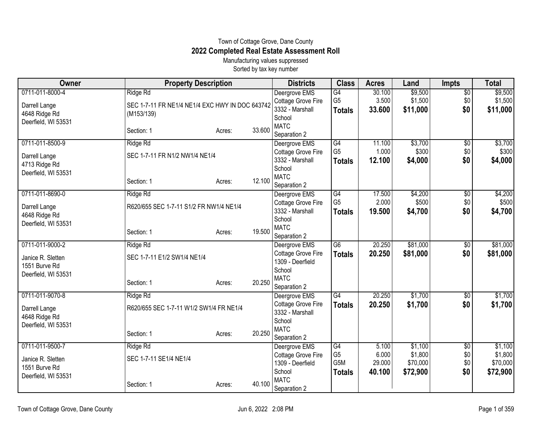## Town of Cottage Grove, Dane County **2022 Completed Real Estate Assessment Roll**

Manufacturing values suppressed Sorted by tax key number

| Owner               | <b>Property Description</b>                     |        |        | <b>Districts</b>                    | <b>Class</b>     | <b>Acres</b> | Land     | <b>Impts</b>      | <b>Total</b> |
|---------------------|-------------------------------------------------|--------|--------|-------------------------------------|------------------|--------------|----------|-------------------|--------------|
| 0711-011-8000-4     | Ridge Rd                                        |        |        | Deergrove EMS                       | $\overline{G4}$  | 30.100       | \$9,500  | $\overline{50}$   | \$9,500      |
| Darrell Lange       | SEC 1-7-11 FR NE1/4 NE1/4 EXC HWY IN DOC 643742 |        |        | Cottage Grove Fire                  | G <sub>5</sub>   | 3.500        | \$1,500  | \$0               | \$1,500      |
| 4648 Ridge Rd       | (M153/139)                                      |        |        | 3332 - Marshall                     | <b>Totals</b>    | 33.600       | \$11,000 | \$0               | \$11,000     |
| Deerfield, WI 53531 |                                                 |        |        | School                              |                  |              |          |                   |              |
|                     | Section: 1                                      | Acres: | 33.600 | <b>MATC</b>                         |                  |              |          |                   |              |
|                     |                                                 |        |        | Separation 2                        |                  |              |          |                   |              |
| 0711-011-8500-9     | Ridge Rd                                        |        |        | Deergrove EMS                       | $\overline{G4}$  | 11.100       | \$3,700  | $\overline{30}$   | \$3,700      |
| Darrell Lange       | SEC 1-7-11 FR N1/2 NW1/4 NE1/4                  |        |        | Cottage Grove Fire                  | G <sub>5</sub>   | 1.000        | \$300    | \$0               | \$300        |
| 4713 Ridge Rd       |                                                 |        |        | 3332 - Marshall                     | <b>Totals</b>    | 12.100       | \$4,000  | \$0               | \$4,000      |
| Deerfield, WI 53531 |                                                 |        |        | School                              |                  |              |          |                   |              |
|                     | Section: 1                                      | Acres: | 12.100 | <b>MATC</b>                         |                  |              |          |                   |              |
|                     |                                                 |        |        | Separation 2                        |                  |              |          |                   |              |
| 0711-011-8690-0     | Ridge Rd                                        |        |        | Deergrove EMS                       | G4               | 17.500       | \$4,200  | \$0               | \$4,200      |
| Darrell Lange       | R620/655 SEC 1-7-11 S1/2 FR NW1/4 NE1/4         |        |        | Cottage Grove Fire                  | G <sub>5</sub>   | 2.000        | \$500    | \$0               | \$500        |
| 4648 Ridge Rd       |                                                 |        |        | 3332 - Marshall                     | <b>Totals</b>    | 19.500       | \$4,700  | \$0               | \$4,700      |
| Deerfield, WI 53531 |                                                 |        |        | School                              |                  |              |          |                   |              |
|                     | Section: 1                                      | Acres: | 19.500 | <b>MATC</b>                         |                  |              |          |                   |              |
| 0711-011-9000-2     | Ridge Rd                                        |        |        | Separation 2                        | G6               | 20.250       | \$81,000 |                   | \$81,000     |
|                     |                                                 |        |        | Deergrove EMS<br>Cottage Grove Fire |                  | 20.250       |          | $\sqrt{6}$<br>\$0 |              |
| Janice R. Sletten   | SEC 1-7-11 E1/2 SW1/4 NE1/4                     |        |        | 1309 - Deerfield                    | <b>Totals</b>    |              | \$81,000 |                   | \$81,000     |
| 1551 Burve Rd       |                                                 |        |        | School                              |                  |              |          |                   |              |
| Deerfield, WI 53531 |                                                 |        |        | <b>MATC</b>                         |                  |              |          |                   |              |
|                     | Section: 1                                      | Acres: | 20.250 | Separation 2                        |                  |              |          |                   |              |
| 0711-011-9070-8     | Ridge Rd                                        |        |        | Deergrove EMS                       | G4               | 20.250       | \$1,700  | \$0               | \$1,700      |
|                     |                                                 |        |        | Cottage Grove Fire                  | <b>Totals</b>    | 20.250       | \$1,700  | \$0               | \$1,700      |
| Darrell Lange       | R620/655 SEC 1-7-11 W1/2 SW1/4 FR NE1/4         |        |        | 3332 - Marshall                     |                  |              |          |                   |              |
| 4648 Ridge Rd       |                                                 |        |        | School                              |                  |              |          |                   |              |
| Deerfield, WI 53531 |                                                 |        |        | <b>MATC</b>                         |                  |              |          |                   |              |
|                     | Section: 1                                      | Acres: | 20.250 | Separation 2                        |                  |              |          |                   |              |
| 0711-011-9500-7     | Ridge Rd                                        |        |        | Deergrove EMS                       | G4               | 5.100        | \$1,100  | \$0               | \$1,100      |
| Janice R. Sletten   | SEC 1-7-11 SE1/4 NE1/4                          |        |        | Cottage Grove Fire                  | G <sub>5</sub>   | 6.000        | \$1,800  | \$0               | \$1,800      |
| 1551 Burve Rd       |                                                 |        |        | 1309 - Deerfield                    | G <sub>5</sub> M | 29.000       | \$70,000 | \$0               | \$70,000     |
| Deerfield, WI 53531 |                                                 |        |        | School                              | <b>Totals</b>    | 40.100       | \$72,900 | \$0               | \$72,900     |
|                     | Section: 1                                      | Acres: | 40.100 | <b>MATC</b>                         |                  |              |          |                   |              |
|                     |                                                 |        |        | Separation 2                        |                  |              |          |                   |              |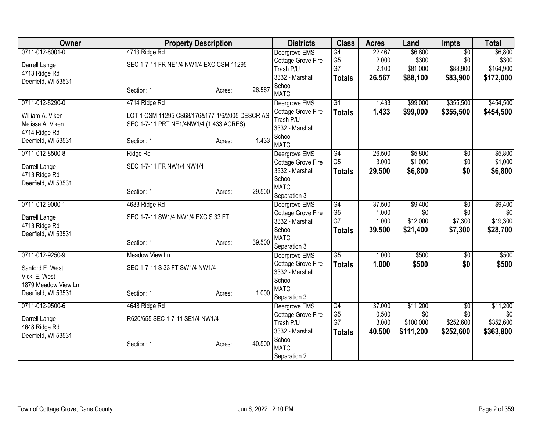| Owner               | <b>Property Description</b>                    |        |        | <b>Districts</b>                      | <b>Class</b>    | <b>Acres</b> | Land      | <b>Impts</b>    | <b>Total</b> |
|---------------------|------------------------------------------------|--------|--------|---------------------------------------|-----------------|--------------|-----------|-----------------|--------------|
| 0711-012-8001-0     | 4713 Ridge Rd                                  |        |        | Deergrove EMS                         | G4              | 22.467       | \$6,800   | $\overline{30}$ | \$6,800      |
| Darrell Lange       | SEC 1-7-11 FR NE1/4 NW1/4 EXC CSM 11295        |        |        | Cottage Grove Fire                    | G <sub>5</sub>  | 2.000        | \$300     | \$0             | \$300        |
| 4713 Ridge Rd       |                                                |        |        | Trash P/U                             | G7              | 2.100        | \$81,000  | \$83,900        | \$164,900    |
| Deerfield, WI 53531 |                                                |        |        | 3332 - Marshall                       | <b>Totals</b>   | 26.567       | \$88,100  | \$83,900        | \$172,000    |
|                     | Section: 1                                     | Acres: | 26.567 | School<br><b>MATC</b>                 |                 |              |           |                 |              |
| 0711-012-8290-0     | 4714 Ridge Rd                                  |        |        | Deergrove EMS                         | $\overline{G1}$ | 1.433        | \$99,000  | \$355,500       | \$454,500    |
| William A. Viken    | LOT 1 CSM 11295 CS68/176&177-1/6/2005 DESCR AS |        |        | Cottage Grove Fire                    | <b>Totals</b>   | 1.433        | \$99,000  | \$355,500       | \$454,500    |
| Melissa A. Viken    | SEC 1-7-11 PRT NE1/4NW1/4 (1.433 ACRES)        |        |        | Trash P/U                             |                 |              |           |                 |              |
| 4714 Ridge Rd       |                                                |        |        | 3332 - Marshall                       |                 |              |           |                 |              |
| Deerfield, WI 53531 | Section: 1                                     | Acres: | 1.433  | School                                |                 |              |           |                 |              |
|                     |                                                |        |        | <b>MATC</b>                           |                 |              |           |                 |              |
| 0711-012-8500-8     | Ridge Rd                                       |        |        | Deergrove EMS                         | G4              | 26.500       | \$5,800   | \$0             | \$5,800      |
| Darrell Lange       | SEC 1-7-11 FR NW1/4 NW1/4                      |        |        | Cottage Grove Fire                    | G <sub>5</sub>  | 3.000        | \$1,000   | \$0             | \$1,000      |
| 4713 Ridge Rd       |                                                |        |        | 3332 - Marshall                       | <b>Totals</b>   | 29.500       | \$6,800   | \$0             | \$6,800      |
| Deerfield, WI 53531 |                                                |        |        | School<br><b>MATC</b>                 |                 |              |           |                 |              |
|                     | Section: 1                                     | Acres: | 29.500 | Separation 3                          |                 |              |           |                 |              |
| 0711-012-9000-1     |                                                |        |        |                                       | G4              | 37.500       | \$9,400   | $\overline{50}$ | \$9,400      |
|                     | 4683 Ridge Rd                                  |        |        | Deergrove EMS                         | G <sub>5</sub>  | 1.000        | \$0       | \$0             | \$0          |
| Darrell Lange       | SEC 1-7-11 SW1/4 NW1/4 EXC S 33 FT             |        |        | Cottage Grove Fire<br>3332 - Marshall | G7              | 1.000        | \$12,000  | \$7,300         | \$19,300     |
| 4713 Ridge Rd       |                                                |        |        | School                                |                 | 39.500       | \$21,400  | \$7,300         | \$28,700     |
| Deerfield, WI 53531 |                                                |        |        | <b>MATC</b>                           | <b>Totals</b>   |              |           |                 |              |
|                     | Section: 1                                     | Acres: | 39.500 | Separation 3                          |                 |              |           |                 |              |
| 0711-012-9250-9     | Meadow View Ln                                 |        |        | Deergrove EMS                         | $\overline{G5}$ | 1.000        | \$500     | \$0             | \$500        |
|                     |                                                |        |        | Cottage Grove Fire                    | <b>Totals</b>   | 1.000        | \$500     | \$0             | \$500        |
| Sanford E. West     | SEC 1-7-11 S 33 FT SW1/4 NW1/4                 |        |        | 3332 - Marshall                       |                 |              |           |                 |              |
| Vicki E. West       |                                                |        |        | School                                |                 |              |           |                 |              |
| 1879 Meadow View Ln |                                                |        |        | <b>MATC</b>                           |                 |              |           |                 |              |
| Deerfield, WI 53531 | Section: 1                                     | Acres: | 1.000  | Separation 3                          |                 |              |           |                 |              |
| 0711-012-9500-6     | 4648 Ridge Rd                                  |        |        | Deergrove EMS                         | $\overline{G4}$ | 37.000       | \$11,200  | $\overline{50}$ | \$11,200     |
|                     | R620/655 SEC 1-7-11 SE1/4 NW1/4                |        |        | Cottage Grove Fire                    | G <sub>5</sub>  | 0.500        | \$0       | \$0             | \$0          |
| Darrell Lange       |                                                |        |        | Trash P/U                             | G7              | 3.000        | \$100,000 | \$252,600       | \$352,600    |
| 4648 Ridge Rd       |                                                |        |        | 3332 - Marshall                       | <b>Totals</b>   | 40.500       | \$111,200 | \$252,600       | \$363,800    |
| Deerfield, WI 53531 | Section: 1                                     | Acres: | 40.500 | School                                |                 |              |           |                 |              |
|                     |                                                |        |        | <b>MATC</b>                           |                 |              |           |                 |              |
|                     |                                                |        |        | Separation 2                          |                 |              |           |                 |              |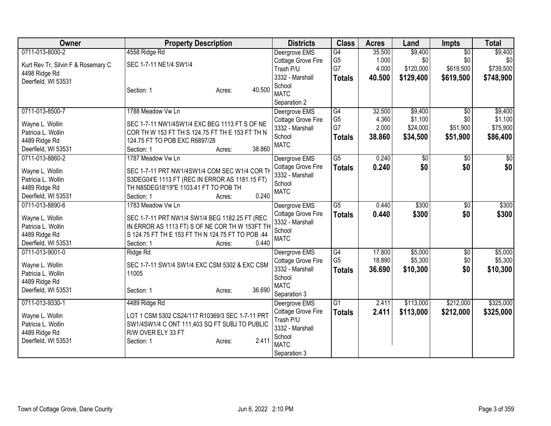| Owner                              | <b>Property Description</b>                       | <b>Districts</b>      | <b>Class</b>    | <b>Acres</b> | Land            | <b>Impts</b>    | <b>Total</b>  |
|------------------------------------|---------------------------------------------------|-----------------------|-----------------|--------------|-----------------|-----------------|---------------|
| 0711-013-8000-2                    | 4558 Ridge Rd                                     | Deergrove EMS         | G4              | 35.500       | \$9,400         | $\overline{50}$ | \$9,400       |
| Kurt Rev Tr, Silvin F & Rosemary C | SEC 1-7-11 NE1/4 SW1/4                            | Cottage Grove Fire    | G <sub>5</sub>  | 1.000        | \$0             | \$0             | \$0           |
| 4498 Ridge Rd                      |                                                   | Trash P/U             | G7              | 4.000        | \$120,000       | \$619,500       | \$739,500     |
| Deerfield, WI 53531                |                                                   | 3332 - Marshall       | <b>Totals</b>   | 40.500       | \$129,400       | \$619,500       | \$748,900     |
|                                    | 40.500<br>Section: 1<br>Acres:                    | School                |                 |              |                 |                 |               |
|                                    |                                                   | <b>MATC</b>           |                 |              |                 |                 |               |
|                                    |                                                   | Separation 2          |                 |              |                 |                 |               |
| 0711-013-8500-7                    | 1788 Meadow Vw Ln                                 | Deergrove EMS         | G4              | 32.500       | \$9,400         | \$0             | \$9,400       |
| Wayne L. Wollin                    | SEC 1-7-11 NW1/4SW1/4 EXC BEG 1113 FT S OF NE     | Cottage Grove Fire    | G <sub>5</sub>  | 4.360        | \$1,100         | \$0             | \$1,100       |
| Patricia L. Wollin                 | COR TH W 153 FT TH S 124.75 FT TH E 153 FT TH N   | 3332 - Marshall       | G7              | 2.000        | \$24,000        | \$51,900        | \$75,900      |
| 4489 Ridge Rd                      | 124.75 FT TO POB EXC R6897/28                     | School                | <b>Totals</b>   | 38.860       | \$34,500        | \$51,900        | \$86,400      |
| Deerfield, WI 53531                | 38.860<br>Section: 1<br>Acres:                    | <b>MATC</b>           |                 |              |                 |                 |               |
| 0711-013-8860-2                    | 1787 Meadow Vw Ln                                 | Deergrove EMS         | $\overline{G5}$ | 0.240        | $\overline{50}$ | $\overline{50}$ | $\frac{1}{6}$ |
|                                    |                                                   | Cottage Grove Fire    | <b>Totals</b>   | 0.240        | \$0             | \$0             | \$0           |
| Wayne L. Wollin                    | SEC 1-7-11 PRT NW1/4SW1/4 COM SEC W1/4 COR TH     | 3332 - Marshall       |                 |              |                 |                 |               |
| Patricia L. Wollin                 | S3DEG04'E 1113 FT (REC IN ERROR AS 1181.15 FT)    | School                |                 |              |                 |                 |               |
| 4489 Ridge Rd                      | TH N85DEG18'19"E 1103.41 FT TO POB TH             | <b>MATC</b>           |                 |              |                 |                 |               |
| Deerfield, WI 53531                | 0.240<br>Section: 1<br>Acres:                     |                       |                 |              |                 |                 |               |
| 0711-013-8890-6                    | 1783 Meadow Vw Ln                                 | Deergrove EMS         | $\overline{G5}$ | 0.440        | \$300           | $\overline{30}$ | \$300         |
| Wayne L. Wollin                    | SEC 1-7-11 PRT NW1/4 SW1/4 BEG 1182.25 FT (REC    | Cottage Grove Fire    | <b>Totals</b>   | 0.440        | \$300           | \$0             | \$300         |
| Patricia L. Wollin                 | IN ERROR AS 1113 FT) S OF NE COR TH W 153FT TH    | 3332 - Marshall       |                 |              |                 |                 |               |
| 4489 Ridge Rd                      | S 124.75 FT TH E 153 FT TH N 124.75 FT TO POB .44 | School<br><b>MATC</b> |                 |              |                 |                 |               |
| Deerfield, WI 53531                | 0.440<br>Section: 1<br>Acres:                     |                       |                 |              |                 |                 |               |
| 0711-013-9001-0                    | Ridge Rd                                          | Deergrove EMS         | G4              | 17.800       | \$5,000         | \$0             | \$5,000       |
| Wayne L. Wollin                    | SEC 1-7-11 SW1/4 SW1/4 EXC CSM 5302 & EXC CSM     | Cottage Grove Fire    | G <sub>5</sub>  | 18.890       | \$5,300         | \$0             | \$5,300       |
| Patricia L. Wollin                 | 11005                                             | 3332 - Marshall       | <b>Totals</b>   | 36.690       | \$10,300        | \$0             | \$10,300      |
| 4489 Ridge Rd                      |                                                   | School                |                 |              |                 |                 |               |
| Deerfield, WI 53531                | 36.690<br>Section: 1<br>Acres:                    | <b>MATC</b>           |                 |              |                 |                 |               |
|                                    |                                                   | Separation 3          |                 |              |                 |                 |               |
| 0711-013-9330-1                    | 4489 Ridge Rd                                     | Deergrove EMS         | G1              | 2.411        | \$113,000       | \$212,000       | \$325,000     |
| Wayne L. Wollin                    | LOT 1 CSM 5302 CS24/117 R10369/3 SEC 1-7-11 PRT   | Cottage Grove Fire    | <b>Totals</b>   | 2.411        | \$113,000       | \$212,000       | \$325,000     |
| Patricia L. Wollin                 | SW1/4SW1/4 C ONT 111,403 SQ FT SUBJ TO PUBLIC     | Trash P/U             |                 |              |                 |                 |               |
| 4489 Ridge Rd                      | R/W OVER ELY 33 FT                                | 3332 - Marshall       |                 |              |                 |                 |               |
| Deerfield, WI 53531                | 2.411<br>Section: 1<br>Acres:                     | School                |                 |              |                 |                 |               |
|                                    |                                                   | <b>MATC</b>           |                 |              |                 |                 |               |
|                                    |                                                   | Separation 3          |                 |              |                 |                 |               |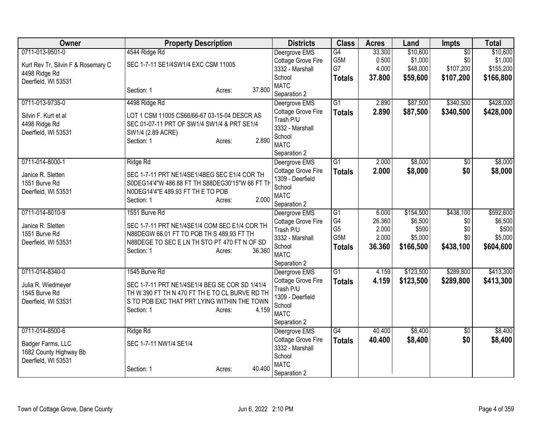| Owner                              | <b>Property Description</b>                     |        | <b>Districts</b>                | <b>Class</b>         | <b>Acres</b>    | Land             | <b>Impts</b>    | <b>Total</b>     |
|------------------------------------|-------------------------------------------------|--------|---------------------------------|----------------------|-----------------|------------------|-----------------|------------------|
| 0711-013-9501-0                    | 4544 Ridge Rd                                   |        | Deergrove EMS                   | G4                   | 33.300          | \$10,600         | $\overline{50}$ | \$10,600         |
| Kurt Rev Tr, Silvin F & Rosemary C | SEC 1-7-11 SE1/4SW1/4 EXC CSM 11005             |        | Cottage Grove Fire              | G5M                  | 0.500           | \$1,000          | \$0             | \$1,000          |
| 4498 Ridge Rd                      |                                                 |        | 3332 - Marshall                 | G7                   | 4.000           | \$48,000         | \$107,200       | \$155,200        |
| Deerfield, WI 53531                |                                                 |        | School                          | <b>Totals</b>        | 37.800          | \$59,600         | \$107,200       | \$166,800        |
|                                    | Section: 1<br>Acres:                            | 37.800 | <b>MATC</b><br>Separation 2     |                      |                 |                  |                 |                  |
| 0711-013-9735-0                    | 4498 Ridge Rd                                   |        | Deergrove EMS                   | $\overline{G1}$      | 2.890           | \$87,500         | \$340,500       | \$428,000        |
|                                    |                                                 |        | Cottage Grove Fire              | <b>Totals</b>        | 2.890           | \$87,500         | \$340,500       | \$428,000        |
| Silvin F. Kurt et al               | LOT 1 CSM 11005 CS66/66-67 03-15-04 DESCR AS    |        | Trash P/U                       |                      |                 |                  |                 |                  |
| 4498 Ridge Rd                      | SEC 01-07-11 PRT OF SW1/4 SW1/4 & PRT SE1/4     |        | 3332 - Marshall                 |                      |                 |                  |                 |                  |
| Deerfield, WI 53531                | SW1/4 (2.89 ACRE)                               |        | School                          |                      |                 |                  |                 |                  |
|                                    | Section: 1<br>Acres:                            | 2.890  | <b>MATC</b>                     |                      |                 |                  |                 |                  |
|                                    |                                                 |        | Separation 2                    |                      |                 |                  |                 |                  |
| 0711-014-8000-1                    | Ridge Rd                                        |        | Deergrove EMS                   | $\overline{G1}$      | 2.000           | \$8,000          | \$0             | \$8,000          |
| Janice R. Sletten                  | SEC 1-7-11 PRT NE1/4SE1/4BEG SEC E1/4 COR TH    |        | Cottage Grove Fire              | <b>Totals</b>        | 2.000           | \$8,000          | \$0             | \$8,000          |
| 1551 Burve Rd                      | S0DEG14'4"W 486.88 FT TH S88DEG30'15"W 66 FT TH |        | 1309 - Deerfield                |                      |                 |                  |                 |                  |
| Deerfield, WI 53531                | N0DEG14'4"E 489.93 FT TH E TO POB               |        | School                          |                      |                 |                  |                 |                  |
|                                    | Section: 1<br>Acres:                            | 2.000  | <b>MATC</b>                     |                      |                 |                  |                 |                  |
|                                    |                                                 |        | Separation 2                    |                      |                 |                  |                 |                  |
| 0711-014-8010-9                    | 1551 Burve Rd                                   |        | Deergrove EMS                   | $\overline{G1}$      | 6.000           | \$154,500        | \$438,100       | \$592,600        |
| Janice R. Sletten                  | SEC 1-7-11 PRT NE1/4SE1/4 COM SEC E1/4 COR TH   |        | Cottage Grove Fire<br>Trash P/U | G4<br>G <sub>5</sub> | 26.360<br>2.000 | \$6,500<br>\$500 | \$0<br>\$0      | \$6,500<br>\$500 |
| 1551 Burve Rd                      | N88DEGW 66.01 FT TO POB TH S 489.93 FT TH       |        | 3332 - Marshall                 | G5M                  | 2.000           | \$5,000          | \$0             | \$5,000          |
| Deerfield, WI 53531                | N88DEGE TO SEC E LN TH STO PT 470 FT N OF SD    |        | School                          | <b>Totals</b>        | 36.360          | \$166,500        | \$438,100       | \$604,600        |
|                                    | Section: 1<br>Acres:                            | 36.360 | <b>MATC</b>                     |                      |                 |                  |                 |                  |
|                                    |                                                 |        | Separation 2                    |                      |                 |                  |                 |                  |
| 0711-014-8340-0                    | 1545 Burve Rd                                   |        | Deergrove EMS                   | $\overline{G1}$      | 4.159           | \$123,500        | \$289,800       | \$413,300        |
| Julia R. Wiedmeyer                 | SEC 1-7-11 PRT NE1/4SE1/4 BEG SE COR SD 1/41/4  |        | Cottage Grove Fire              | <b>Totals</b>        | 4.159           | \$123,500        | \$289,800       | \$413,300        |
| 1545 Burve Rd                      | TH W 390 FT TH N 470 FT TH E TO CL BURVE RD TH  |        | Trash P/U                       |                      |                 |                  |                 |                  |
| Deerfield, WI 53531                | S TO POB EXC THAT PRT LYING WITHIN THE TOWN     |        | 1309 - Deerfield                |                      |                 |                  |                 |                  |
|                                    | Section: 1<br>Acres:                            | 4.159  | School                          |                      |                 |                  |                 |                  |
|                                    |                                                 |        | <b>MATC</b>                     |                      |                 |                  |                 |                  |
| 0711-014-8500-6                    | Ridge Rd                                        |        | Separation 2<br>Deergrove EMS   | G4                   | 40.400          | \$8,400          | $\overline{50}$ | \$8,400          |
|                                    |                                                 |        | Cottage Grove Fire              | <b>Totals</b>        | 40.400          | \$8,400          | \$0             | \$8,400          |
| Badger Farms, LLC                  | SEC 1-7-11 NW1/4 SE1/4                          |        | 3332 - Marshall                 |                      |                 |                  |                 |                  |
| 1682 County Highway Bb             |                                                 |        | School                          |                      |                 |                  |                 |                  |
| Deerfield, WI 53531                |                                                 |        | <b>MATC</b>                     |                      |                 |                  |                 |                  |
|                                    | Section: 1<br>Acres:                            | 40.400 | Separation 2                    |                      |                 |                  |                 |                  |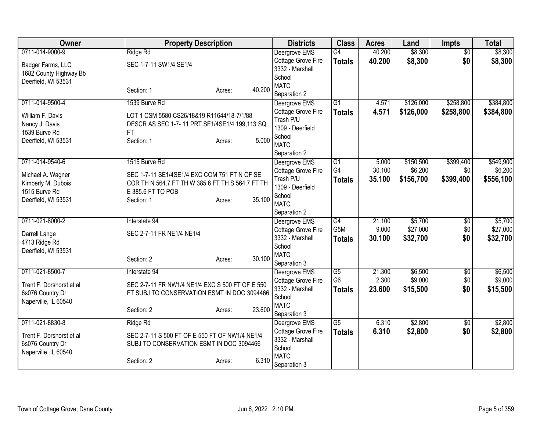| Owner                           | <b>Property Description</b>                         |        |        | <b>Districts</b>                    | <b>Class</b>                      | <b>Acres</b>    | Land               | <b>Impts</b>           | <b>Total</b>       |
|---------------------------------|-----------------------------------------------------|--------|--------|-------------------------------------|-----------------------------------|-----------------|--------------------|------------------------|--------------------|
| 0711-014-9000-9                 | Ridge Rd                                            |        |        | Deergrove EMS                       | G4                                | 40.200          | \$8,300            | $\overline{60}$        | \$8,300            |
| Badger Farms, LLC               | SEC 1-7-11 SW1/4 SE1/4                              |        |        | Cottage Grove Fire                  | <b>Totals</b>                     | 40.200          | \$8,300            | \$0                    | \$8,300            |
| 1682 County Highway Bb          |                                                     |        |        | 3332 - Marshall                     |                                   |                 |                    |                        |                    |
| Deerfield, WI 53531             |                                                     |        |        | School<br><b>MATC</b>               |                                   |                 |                    |                        |                    |
|                                 | Section: 1                                          | Acres: | 40.200 | Separation 2                        |                                   |                 |                    |                        |                    |
| 0711-014-9500-4                 | 1539 Burve Rd                                       |        |        | Deergrove EMS                       | $\overline{G1}$                   | 4.571           | \$126,000          | \$258,800              | \$384,800          |
|                                 |                                                     |        |        | Cottage Grove Fire                  | <b>Totals</b>                     | 4.571           | \$126,000          | \$258,800              | \$384,800          |
| William F. Davis                | LOT 1 CSM 5580 CS26/18&19 R11644/18-7/1/88          |        |        | Trash P/U                           |                                   |                 |                    |                        |                    |
| Nancy J. Davis<br>1539 Burve Rd | DESCR AS SEC 1-7-11 PRT SE1/4SE1/4 199,113 SQ<br>FT |        |        | 1309 - Deerfield                    |                                   |                 |                    |                        |                    |
| Deerfield, WI 53531             | Section: 1                                          | Acres: | 5.000  | School                              |                                   |                 |                    |                        |                    |
|                                 |                                                     |        |        | <b>MATC</b>                         |                                   |                 |                    |                        |                    |
|                                 |                                                     |        |        | Separation 2                        |                                   |                 |                    |                        |                    |
| 0711-014-9540-6                 | 1515 Burve Rd                                       |        |        | Deergrove EMS                       | $\overline{G1}$                   | 5.000           | \$150,500          | \$399,400              | \$549,900          |
| Michael A. Wagner               | SEC 1-7-11 SE1/4SE1/4 EXC COM 751 FT N OF SE        |        |        | Cottage Grove Fire                  | G4                                | 30.100          | \$6,200            | \$0                    | \$6,200            |
| Kimberly M. Dubois              | COR TH N 564.7 FT TH W 385.6 FT TH S 564.7 FT TH    |        |        | Trash P/U<br>1309 - Deerfield       | <b>Totals</b>                     | 35.100          | \$156,700          | \$399,400              | \$556,100          |
| 1515 Burve Rd                   | E 385.6 FT TO POB                                   |        |        | School                              |                                   |                 |                    |                        |                    |
| Deerfield, WI 53531             | Section: 1                                          | Acres: | 35.100 | <b>MATC</b>                         |                                   |                 |                    |                        |                    |
|                                 |                                                     |        |        | Separation 2                        |                                   |                 |                    |                        |                    |
| 0711-021-8000-2                 | Interstate 94                                       |        |        | Deergrove EMS                       | G4                                | 21.100          | \$5,700            | \$0                    | \$5,700            |
| Darrell Lange                   | SEC 2-7-11 FR NE1/4 NE1/4                           |        |        | Cottage Grove Fire                  | G <sub>5</sub> M                  | 9.000           | \$27,000           | \$0                    | \$27,000           |
| 4713 Ridge Rd                   |                                                     |        |        | 3332 - Marshall                     | <b>Totals</b>                     | 30.100          | \$32,700           | \$0                    | \$32,700           |
| Deerfield, WI 53531             |                                                     |        |        | School                              |                                   |                 |                    |                        |                    |
|                                 | Section: 2                                          | Acres: | 30.100 | <b>MATC</b>                         |                                   |                 |                    |                        |                    |
|                                 |                                                     |        |        | Separation 3                        |                                   |                 |                    |                        |                    |
| 0711-021-8500-7                 | Interstate 94                                       |        |        | Deergrove EMS<br>Cottage Grove Fire | $\overline{G5}$<br>G <sub>6</sub> | 21.300<br>2.300 | \$6,500<br>\$9,000 | $\overline{60}$<br>\$0 | \$6,500<br>\$9,000 |
| Trent F. Dorshorst et al        | SEC 2-7-11 FR NW1/4 NE1/4 EXC S 500 FT OF E 550     |        |        | 3332 - Marshall                     | Totals                            | 23,600          | \$15,500           | \$0                    | \$15,500           |
| 6s076 Country Dr                | FT SUBJ TO CONSERVATION ESMT IN DOC 3094466         |        |        | School                              |                                   |                 |                    |                        |                    |
| Naperville, IL 60540            |                                                     |        |        | <b>MATC</b>                         |                                   |                 |                    |                        |                    |
|                                 | Section: 2                                          | Acres: | 23.600 | Separation 3                        |                                   |                 |                    |                        |                    |
| 0711-021-8830-8                 | Ridge Rd                                            |        |        | Deergrove EMS                       | G5                                | 6.310           | \$2,800            | \$0                    | \$2,800            |
| Trent F. Dorshorst et al        | SEC 2-7-11 S 500 FT OF E 550 FT OF NW1/4 NE1/4      |        |        | Cottage Grove Fire                  | <b>Totals</b>                     | 6.310           | \$2,800            | \$0                    | \$2,800            |
| 6s076 Country Dr                | SUBJ TO CONSERVATION ESMT IN DOC 3094466            |        |        | 3332 - Marshall                     |                                   |                 |                    |                        |                    |
| Naperville, IL 60540            |                                                     |        |        | School                              |                                   |                 |                    |                        |                    |
|                                 | Section: 2                                          | Acres: | 6.310  | <b>MATC</b>                         |                                   |                 |                    |                        |                    |
|                                 |                                                     |        |        | Separation 3                        |                                   |                 |                    |                        |                    |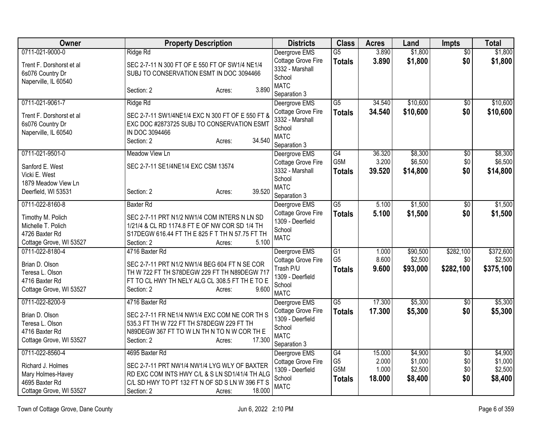| <b>Owner</b>                                                                                           | <b>Property Description</b>                                                                                                                                                                           | <b>Districts</b>                                                                                 | <b>Class</b>                                              | <b>Acres</b>                       | Land                                     | <b>Impts</b>                         | <b>Total</b>                             |
|--------------------------------------------------------------------------------------------------------|-------------------------------------------------------------------------------------------------------------------------------------------------------------------------------------------------------|--------------------------------------------------------------------------------------------------|-----------------------------------------------------------|------------------------------------|------------------------------------------|--------------------------------------|------------------------------------------|
| 0711-021-9000-0                                                                                        | Ridge Rd                                                                                                                                                                                              | Deergrove EMS                                                                                    | $\overline{G5}$                                           | 3.890                              | \$1,800                                  | $\overline{60}$                      | \$1,800                                  |
| Trent F. Dorshorst et al<br>6s076 Country Dr<br>Naperville, IL 60540                                   | SEC 2-7-11 N 300 FT OF E 550 FT OF SW1/4 NE1/4<br>SUBJ TO CONSERVATION ESMT IN DOC 3094466                                                                                                            | Cottage Grove Fire<br>3332 - Marshall<br>School<br><b>MATC</b>                                   | <b>Totals</b>                                             | 3.890                              | \$1,800                                  | \$0                                  | \$1,800                                  |
|                                                                                                        | 3.890<br>Section: 2<br>Acres:                                                                                                                                                                         | Separation 3                                                                                     |                                                           |                                    |                                          |                                      |                                          |
| 0711-021-9061-7                                                                                        | Ridge Rd                                                                                                                                                                                              | Deergrove EMS                                                                                    | $\overline{G5}$                                           | 34.540                             | \$10,600                                 | $\overline{50}$                      | \$10,600                                 |
| Trent F. Dorshorst et al<br>6s076 Country Dr<br>Naperville, IL 60540                                   | SEC 2-7-11 SW1/4NE1/4 EXC N 300 FT OF E 550 FT &<br>EXC DOC #2873725 SUBJ TO CONSERVATION ESMT<br>IN DOC 3094466<br>34.540<br>Section: 2<br>Acres:                                                    | Cottage Grove Fire<br>3332 - Marshall<br>School<br><b>MATC</b><br>Separation 3                   | <b>Totals</b>                                             | 34.540                             | \$10,600                                 | \$0                                  | \$10,600                                 |
| 0711-021-9501-0                                                                                        | Meadow View Ln                                                                                                                                                                                        | Deergrove EMS                                                                                    | G4                                                        | 36.320                             | \$8,300                                  | \$0                                  | \$8,300                                  |
| Sanford E. West<br>Vicki E. West<br>1879 Meadow View Ln                                                | SEC 2-7-11 SE1/4NE1/4 EXC CSM 13574                                                                                                                                                                   | Cottage Grove Fire<br>3332 - Marshall<br>School<br><b>MATC</b>                                   | G5M<br><b>Totals</b>                                      | 3.200<br>39.520                    | \$6,500<br>\$14,800                      | \$0<br>\$0                           | \$6,500<br>\$14,800                      |
| Deerfield, WI 53531                                                                                    | 39.520<br>Section: 2<br>Acres:                                                                                                                                                                        | Separation 3                                                                                     |                                                           |                                    |                                          |                                      |                                          |
| 0711-022-8160-8                                                                                        | <b>Baxter Rd</b>                                                                                                                                                                                      | Deergrove EMS                                                                                    | G5                                                        | 5.100                              | \$1,500                                  | \$0                                  | \$1,500                                  |
| Timothy M. Polich<br>Michelle T. Polich<br>4726 Baxter Rd<br>Cottage Grove, WI 53527                   | SEC 2-7-11 PRT N1/2 NW1/4 COM INTERS N LN SD<br>1/21/4 & CL RD 1174.8 FT E OF NW COR SD 1/4 TH<br>S17DEGW 616.44 FT TH E 825 F T TH N 57.75 FT TH<br>5.100<br>Section: 2<br>Acres:                    | Cottage Grove Fire<br>1309 - Deerfield<br>School<br><b>MATC</b>                                  | <b>Totals</b>                                             | 5.100                              | \$1,500                                  | \$0                                  | \$1,500                                  |
| 0711-022-8180-4<br>Brian D. Olson<br>Teresa L. Olson<br>4716 Baxter Rd<br>Cottage Grove, WI 53527      | 4716 Baxter Rd<br>SEC 2-7-11 PRT N1/2 NW1/4 BEG 604 FT N SE COR<br>TH W 722 FT TH S78DEGW 229 FT TH N89DEGW 717<br>FT TO CL HWY TH NELY ALG CL 308.5 FT TH E TO E<br>Section: 2<br>9.600<br>Acres:    | Deergrove EMS<br>Cottage Grove Fire<br>Trash P/U<br>1309 - Deerfield<br>School<br><b>MATC</b>    | $\overline{G1}$<br>G <sub>5</sub><br><b>Totals</b>        | 1.000<br>8.600<br>9.600            | \$90,500<br>\$2,500<br>\$93,000          | \$282,100<br>\$0<br>\$282,100        | \$372,600<br>\$2,500<br>\$375,100        |
| 0711-022-8200-9<br>Brian D. Olson<br>Teresa L. Olson<br>4716 Baxter Rd<br>Cottage Grove, WI 53527      | 4716 Baxter Rd<br>SEC 2-7-11 FR NE1/4 NW1/4 EXC COM NE COR TH S<br>535.3 FT TH W 722 FT TH S78DEGW 229 FT TH<br>N89DEGW 367 FT TO W LN TH N TO N W COR TH E<br>17.300<br>Section: 2<br>Acres:         | Deergrove EMS<br>Cottage Grove Fire<br>1309 - Deerfield<br>School<br><b>MATC</b><br>Separation 3 | $\overline{G5}$<br><b>Totals</b>                          | 17.300<br>17.300                   | \$5,300<br>\$5,300                       | $\overline{30}$<br>\$0               | \$5,300<br>\$5,300                       |
| 0711-022-8560-4<br>Richard J. Holmes<br>Mary Holmes-Havey<br>4695 Baxter Rd<br>Cottage Grove, WI 53527 | 4695 Baxter Rd<br>SEC 2-7-11 PRT NW1/4 NW1/4 LYG WLY OF BAXTER<br>RD EXC COM INTS HWY C/L & S LN SD1/41/4 TH ALG<br>C/L SD HWY TO PT 132 FT N OF SD S LN W 396 FT S<br>18.000<br>Section: 2<br>Acres: | Deergrove EMS<br>Cottage Grove Fire<br>1309 - Deerfield<br>School<br><b>MATC</b>                 | $\overline{G4}$<br>G <sub>5</sub><br>G5M<br><b>Totals</b> | 15.000<br>2.000<br>1.000<br>18.000 | \$4,900<br>\$1,000<br>\$2,500<br>\$8,400 | $\overline{50}$<br>\$0<br>\$0<br>\$0 | \$4,900<br>\$1,000<br>\$2,500<br>\$8,400 |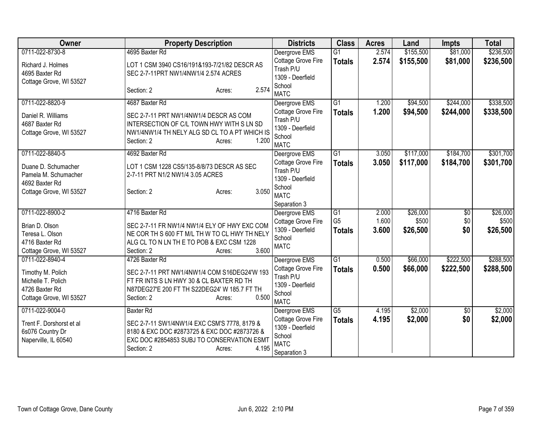| Owner                    | <b>Property Description</b>                   | <b>Districts</b>                       | <b>Class</b>    | <b>Acres</b> | Land      | <b>Impts</b>    | <b>Total</b> |
|--------------------------|-----------------------------------------------|----------------------------------------|-----------------|--------------|-----------|-----------------|--------------|
| 0711-022-8730-8          | 4695 Baxter Rd                                | Deergrove EMS                          | $\overline{G1}$ | 2.574        | \$155,500 | \$81,000        | \$236,500    |
| Richard J. Holmes        | LOT 1 CSM 3940 CS16/191&193-7/21/82 DESCR AS  | Cottage Grove Fire                     | <b>Totals</b>   | 2.574        | \$155,500 | \$81,000        | \$236,500    |
| 4695 Baxter Rd           | SEC 2-7-11PRT NW1/4NW1/4 2.574 ACRES          | Trash P/U                              |                 |              |           |                 |              |
| Cottage Grove, WI 53527  |                                               | 1309 - Deerfield                       |                 |              |           |                 |              |
|                          | 2.574<br>Section: 2<br>Acres:                 | School<br><b>MATC</b>                  |                 |              |           |                 |              |
| 0711-022-8820-9          | 4687 Baxter Rd                                | Deergrove EMS                          | G1              | 1.200        | \$94,500  | \$244,000       | \$338,500    |
| Daniel R. Williams       | SEC 2-7-11 PRT NW1/4NW1/4 DESCR AS COM        | Cottage Grove Fire                     | <b>Totals</b>   | 1.200        | \$94,500  | \$244,000       | \$338,500    |
| 4687 Baxter Rd           | INTERSECTION OF C/L TOWN HWY WITH S LN SD     | Trash P/U                              |                 |              |           |                 |              |
| Cottage Grove, WI 53527  | NW1/4NW1/4 TH NELY ALG SD CL TO A PT WHICH IS | 1309 - Deerfield                       |                 |              |           |                 |              |
|                          | 1.200<br>Section: 2<br>Acres:                 | School                                 |                 |              |           |                 |              |
|                          |                                               | <b>MATC</b>                            |                 |              |           |                 |              |
| 0711-022-8840-5          | 4692 Baxter Rd                                | Deergrove EMS                          | $\overline{G1}$ | 3.050        | \$117,000 | \$184,700       | \$301,700    |
| Duane D. Schumacher      | LOT 1 CSM 1228 CS5/135-8/8/73 DESCR AS SEC    | Cottage Grove Fire                     | <b>Totals</b>   | 3.050        | \$117,000 | \$184,700       | \$301,700    |
| Pamela M. Schumacher     | 2-7-11 PRT N1/2 NW1/4 3.05 ACRES              | Trash P/U                              |                 |              |           |                 |              |
| 4692 Baxter Rd           |                                               | 1309 - Deerfield                       |                 |              |           |                 |              |
| Cottage Grove, WI 53527  | 3.050<br>Section: 2<br>Acres:                 | School                                 |                 |              |           |                 |              |
|                          |                                               | <b>MATC</b>                            |                 |              |           |                 |              |
| 0711-022-8900-2          | 4716 Baxter Rd                                | Separation 3<br>Deergrove EMS          | G1              | 2.000        | \$26,000  | $\overline{30}$ | \$26,000     |
|                          |                                               | Cottage Grove Fire                     | G <sub>5</sub>  | 1.600        | \$500     | \$0             | \$500        |
| Brian D. Olson           | SEC 2-7-11 FR NW1/4 NW1/4 ELY OF HWY EXC COM  | 1309 - Deerfield                       | <b>Totals</b>   | 3.600        | \$26,500  | \$0             | \$26,500     |
| Teresa L. Olson          | NE COR TH S 600 FT M/L TH W TO CL HWY TH NELY | School                                 |                 |              |           |                 |              |
| 4716 Baxter Rd           | ALG CL TO N LN TH E TO POB & EXC CSM 1228     | <b>MATC</b>                            |                 |              |           |                 |              |
| Cottage Grove, WI 53527  | 3.600<br>Section: 2<br>Acres:                 |                                        |                 |              |           |                 |              |
| 0711-022-8940-4          | 4726 Baxter Rd                                | Deergrove EMS                          | G1              | 0.500        | \$66,000  | \$222,500       | \$288,500    |
| Timothy M. Polich        | SEC 2-7-11 PRT NW1/4NW1/4 COM S16DEG24'W 193  | Cottage Grove Fire                     | <b>Totals</b>   | 0.500        | \$66,000  | \$222,500       | \$288,500    |
| Michelle T. Polich       | FT FR INTS S LN HWY 30 & CL BAXTER RD TH      | Trash P/U                              |                 |              |           |                 |              |
| 4726 Baxter Rd           | N87DEG27'E 200 FT TH S22DEG24' W 185.7 FT TH  | 1309 - Deerfield                       |                 |              |           |                 |              |
| Cottage Grove, WI 53527  | 0.500<br>Section: 2<br>Acres:                 | School                                 |                 |              |           |                 |              |
|                          |                                               | <b>MATC</b>                            |                 |              |           |                 |              |
| 0711-022-9004-0          | <b>Baxter Rd</b>                              | Deergrove EMS                          | $\overline{G5}$ | 4.195        | \$2,000   | $\overline{50}$ | \$2,000      |
| Trent F. Dorshorst et al | SEC 2-7-11 SW1/4NW1/4 EXC CSM'S 7778, 8179 &  | Cottage Grove Fire<br>1309 - Deerfield | <b>Totals</b>   | 4.195        | \$2,000   | \$0             | \$2,000      |
| 6s076 Country Dr         | 8180 & EXC DOC #2873725 & EXC DOC #2873726 &  | School                                 |                 |              |           |                 |              |
| Naperville, IL 60540     | EXC DOC #2854853 SUBJ TO CONSERVATION ESMT    | <b>MATC</b>                            |                 |              |           |                 |              |
|                          | 4.195<br>Section: 2<br>Acres:                 | Separation 3                           |                 |              |           |                 |              |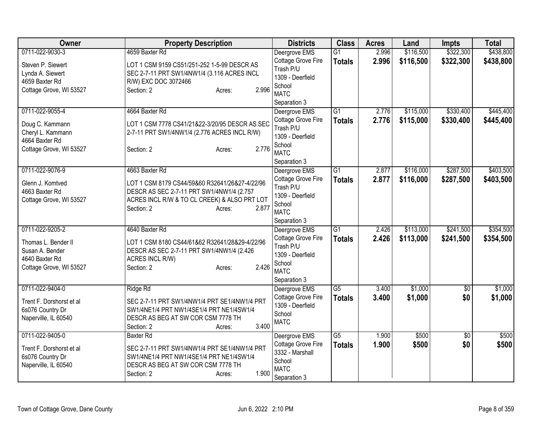| \$322,300<br>\$438,800<br>0711-022-9030-3<br>4659 Baxter Rd<br>2.996<br>\$116,500<br>Deergrove EMS<br>$\overline{G1}$<br>Cottage Grove Fire<br>2.996<br>\$116,500<br>\$322,300<br>\$438,800<br><b>Totals</b><br>Steven P. Siewert<br>LOT 1 CSM 9159 CS51/251-252 1-5-99 DESCR AS<br>Trash P/U<br>Lynda A. Siewert<br>SEC 2-7-11 PRT SW1/4NW1/4 (3.116 ACRES INCL<br>1309 - Deerfield<br>4659 Baxter Rd<br>R/W) EXC DOC 3072466<br>School<br>2.996<br>Cottage Grove, WI 53527<br>Section: 2<br>Acres:<br><b>MATC</b><br>Separation 3<br>$\overline{G1}$<br>\$330,400<br>0711-022-9055-4<br>4664 Baxter Rd<br>Deergrove EMS<br>2.776<br>\$115,000<br>2.776<br>\$115,000<br>\$330,400<br>Cottage Grove Fire<br><b>Totals</b><br>LOT 1 CSM 7778 CS41/21&22-3/20/95 DESCR AS SEC<br>Doug C. Kammann<br>Trash P/U<br>Cheryl L. Kammann<br>2-7-11 PRT SW1/4NW1/4 (2.776 ACRES INCL R/W)<br>1309 - Deerfield<br>4664 Baxter Rd<br>School<br>2.776<br>Cottage Grove, WI 53527<br>Section: 2<br>Acres:<br><b>MATC</b><br>Separation 3<br>0711-022-9076-9<br>4663 Baxter Rd<br>G1<br>\$116,000<br>\$287,500<br>2.877<br>Deergrove EMS<br>Cottage Grove Fire<br>2.877<br>\$116,000<br>\$287,500<br><b>Totals</b><br>Glenn J. Komtved<br>LOT 1 CSM 8179 CS44/59&60 R32641/26&27-4/22/96<br>Trash P/U<br>4663 Baxter Rd<br>DESCR AS SEC 2-7-11 PRT SW1/4NW1/4 (2.757<br>1309 - Deerfield<br>Cottage Grove, WI 53527<br>ACRES INCL R/W & TO CL CREEK) & ALSO PRT LOT<br>School<br>2.877<br>Section: 2<br>Acres:<br><b>MATC</b><br>Separation 3<br>4640 Baxter Rd<br>\$113,000<br>\$241,500<br>0711-022-9205-2<br>$\overline{G1}$<br>2.426<br>Deergrove EMS<br>Cottage Grove Fire<br>2.426<br>\$113,000<br>\$241,500<br><b>Totals</b><br>LOT 1 CSM 8180 CS44/61&62 R32641/28&29-4/22/96<br>Thomas L. Bender II<br>Trash P/U<br>Susan A. Bender<br>DESCR AS SEC 2-7-11 PRT SW1/4NW1/4 (2.426)<br>1309 - Deerfield<br>4640 Baxter Rd<br>ACRES INCL R/W)<br>School<br>2.426<br>Cottage Grove, WI 53527<br>Section: 2<br>Acres:<br><b>MATC</b><br>Separation 3<br>0711-022-9404-0<br>$\overline{G5}$<br>\$1,000<br>Ridge Rd<br>Deergrove EMS<br>3.400<br>$\overline{50}$<br>Cottage Grove Fire<br>3.400<br>\$1,000<br>\$0<br><b>Totals</b><br>Trent F. Dorshorst et al<br>SEC 2-7-11 PRT SW1/4NW1/4 PRT SE1/4NW1/4 PRT<br>1309 - Deerfield<br>6s076 Country Dr<br>SW1/4NE1/4 PRT NW1/4SE1/4 PRT NE1/4SW1/4<br>School<br>DESCR AS BEG AT SW COR CSM 7778 TH<br>Naperville, IL 60540<br><b>MATC</b><br>3.400<br>Section: 2<br>Acres:<br>$\overline{G5}$<br>0711-022-9405-0<br>1.900<br>\$500<br>$\overline{50}$<br>\$500<br>Deergrove EMS<br><b>Baxter Rd</b><br>Cottage Grove Fire<br>1.900<br>\$500<br>\$0<br><b>Totals</b><br>SEC 2-7-11 PRT SW1/4NW1/4 PRT SE1/4NW1/4 PRT<br>Trent F. Dorshorst et al<br>3332 - Marshall<br>6s076 Country Dr<br>SW1/4NE1/4 PRT NW1/4SE1/4 PRT NE1/4SW1/4<br>School<br>Naperville, IL 60540<br>DESCR AS BEG AT SW COR CSM 7778 TH<br><b>MATC</b><br>1.900<br>Section: 2<br>Acres: | Owner | <b>Property Description</b> | <b>Districts</b> | <b>Class</b> | <b>Acres</b> | Land | <b>Impts</b> | <b>Total</b> |
|------------------------------------------------------------------------------------------------------------------------------------------------------------------------------------------------------------------------------------------------------------------------------------------------------------------------------------------------------------------------------------------------------------------------------------------------------------------------------------------------------------------------------------------------------------------------------------------------------------------------------------------------------------------------------------------------------------------------------------------------------------------------------------------------------------------------------------------------------------------------------------------------------------------------------------------------------------------------------------------------------------------------------------------------------------------------------------------------------------------------------------------------------------------------------------------------------------------------------------------------------------------------------------------------------------------------------------------------------------------------------------------------------------------------------------------------------------------------------------------------------------------------------------------------------------------------------------------------------------------------------------------------------------------------------------------------------------------------------------------------------------------------------------------------------------------------------------------------------------------------------------------------------------------------------------------------------------------------------------------------------------------------------------------------------------------------------------------------------------------------------------------------------------------------------------------------------------------------------------------------------------------------------------------------------------------------------------------------------------------------------------------------------------------------------------------------------------------------------------------------------------------------------------------------------------------------------------------------------------------------------------------------------------------------------------------------------------------------------------------------------------------------------------------------------------------------------------------------------------------------------------------------------------------------------------------------------------------------------------------------|-------|-----------------------------|------------------|--------------|--------------|------|--------------|--------------|
|                                                                                                                                                                                                                                                                                                                                                                                                                                                                                                                                                                                                                                                                                                                                                                                                                                                                                                                                                                                                                                                                                                                                                                                                                                                                                                                                                                                                                                                                                                                                                                                                                                                                                                                                                                                                                                                                                                                                                                                                                                                                                                                                                                                                                                                                                                                                                                                                                                                                                                                                                                                                                                                                                                                                                                                                                                                                                                                                                                                                |       |                             |                  |              |              |      |              |              |
| \$445,400<br>\$403,500<br>\$354,500<br>\$354,500<br>\$500                                                                                                                                                                                                                                                                                                                                                                                                                                                                                                                                                                                                                                                                                                                                                                                                                                                                                                                                                                                                                                                                                                                                                                                                                                                                                                                                                                                                                                                                                                                                                                                                                                                                                                                                                                                                                                                                                                                                                                                                                                                                                                                                                                                                                                                                                                                                                                                                                                                                                                                                                                                                                                                                                                                                                                                                                                                                                                                                      |       |                             |                  |              |              |      |              |              |
|                                                                                                                                                                                                                                                                                                                                                                                                                                                                                                                                                                                                                                                                                                                                                                                                                                                                                                                                                                                                                                                                                                                                                                                                                                                                                                                                                                                                                                                                                                                                                                                                                                                                                                                                                                                                                                                                                                                                                                                                                                                                                                                                                                                                                                                                                                                                                                                                                                                                                                                                                                                                                                                                                                                                                                                                                                                                                                                                                                                                |       |                             |                  |              |              |      |              |              |
|                                                                                                                                                                                                                                                                                                                                                                                                                                                                                                                                                                                                                                                                                                                                                                                                                                                                                                                                                                                                                                                                                                                                                                                                                                                                                                                                                                                                                                                                                                                                                                                                                                                                                                                                                                                                                                                                                                                                                                                                                                                                                                                                                                                                                                                                                                                                                                                                                                                                                                                                                                                                                                                                                                                                                                                                                                                                                                                                                                                                |       |                             |                  |              |              |      |              |              |
| \$445,400<br>\$403,500                                                                                                                                                                                                                                                                                                                                                                                                                                                                                                                                                                                                                                                                                                                                                                                                                                                                                                                                                                                                                                                                                                                                                                                                                                                                                                                                                                                                                                                                                                                                                                                                                                                                                                                                                                                                                                                                                                                                                                                                                                                                                                                                                                                                                                                                                                                                                                                                                                                                                                                                                                                                                                                                                                                                                                                                                                                                                                                                                                         |       |                             |                  |              |              |      |              |              |
|                                                                                                                                                                                                                                                                                                                                                                                                                                                                                                                                                                                                                                                                                                                                                                                                                                                                                                                                                                                                                                                                                                                                                                                                                                                                                                                                                                                                                                                                                                                                                                                                                                                                                                                                                                                                                                                                                                                                                                                                                                                                                                                                                                                                                                                                                                                                                                                                                                                                                                                                                                                                                                                                                                                                                                                                                                                                                                                                                                                                |       |                             |                  |              |              |      |              |              |
|                                                                                                                                                                                                                                                                                                                                                                                                                                                                                                                                                                                                                                                                                                                                                                                                                                                                                                                                                                                                                                                                                                                                                                                                                                                                                                                                                                                                                                                                                                                                                                                                                                                                                                                                                                                                                                                                                                                                                                                                                                                                                                                                                                                                                                                                                                                                                                                                                                                                                                                                                                                                                                                                                                                                                                                                                                                                                                                                                                                                |       |                             |                  |              |              |      |              |              |
|                                                                                                                                                                                                                                                                                                                                                                                                                                                                                                                                                                                                                                                                                                                                                                                                                                                                                                                                                                                                                                                                                                                                                                                                                                                                                                                                                                                                                                                                                                                                                                                                                                                                                                                                                                                                                                                                                                                                                                                                                                                                                                                                                                                                                                                                                                                                                                                                                                                                                                                                                                                                                                                                                                                                                                                                                                                                                                                                                                                                |       |                             |                  |              |              |      |              |              |
|                                                                                                                                                                                                                                                                                                                                                                                                                                                                                                                                                                                                                                                                                                                                                                                                                                                                                                                                                                                                                                                                                                                                                                                                                                                                                                                                                                                                                                                                                                                                                                                                                                                                                                                                                                                                                                                                                                                                                                                                                                                                                                                                                                                                                                                                                                                                                                                                                                                                                                                                                                                                                                                                                                                                                                                                                                                                                                                                                                                                |       |                             |                  |              |              |      |              |              |
|                                                                                                                                                                                                                                                                                                                                                                                                                                                                                                                                                                                                                                                                                                                                                                                                                                                                                                                                                                                                                                                                                                                                                                                                                                                                                                                                                                                                                                                                                                                                                                                                                                                                                                                                                                                                                                                                                                                                                                                                                                                                                                                                                                                                                                                                                                                                                                                                                                                                                                                                                                                                                                                                                                                                                                                                                                                                                                                                                                                                |       |                             |                  |              |              |      |              |              |
|                                                                                                                                                                                                                                                                                                                                                                                                                                                                                                                                                                                                                                                                                                                                                                                                                                                                                                                                                                                                                                                                                                                                                                                                                                                                                                                                                                                                                                                                                                                                                                                                                                                                                                                                                                                                                                                                                                                                                                                                                                                                                                                                                                                                                                                                                                                                                                                                                                                                                                                                                                                                                                                                                                                                                                                                                                                                                                                                                                                                |       |                             |                  |              |              |      |              |              |
|                                                                                                                                                                                                                                                                                                                                                                                                                                                                                                                                                                                                                                                                                                                                                                                                                                                                                                                                                                                                                                                                                                                                                                                                                                                                                                                                                                                                                                                                                                                                                                                                                                                                                                                                                                                                                                                                                                                                                                                                                                                                                                                                                                                                                                                                                                                                                                                                                                                                                                                                                                                                                                                                                                                                                                                                                                                                                                                                                                                                |       |                             |                  |              |              |      |              |              |
|                                                                                                                                                                                                                                                                                                                                                                                                                                                                                                                                                                                                                                                                                                                                                                                                                                                                                                                                                                                                                                                                                                                                                                                                                                                                                                                                                                                                                                                                                                                                                                                                                                                                                                                                                                                                                                                                                                                                                                                                                                                                                                                                                                                                                                                                                                                                                                                                                                                                                                                                                                                                                                                                                                                                                                                                                                                                                                                                                                                                |       |                             |                  |              |              |      |              |              |
|                                                                                                                                                                                                                                                                                                                                                                                                                                                                                                                                                                                                                                                                                                                                                                                                                                                                                                                                                                                                                                                                                                                                                                                                                                                                                                                                                                                                                                                                                                                                                                                                                                                                                                                                                                                                                                                                                                                                                                                                                                                                                                                                                                                                                                                                                                                                                                                                                                                                                                                                                                                                                                                                                                                                                                                                                                                                                                                                                                                                |       |                             |                  |              |              |      |              |              |
|                                                                                                                                                                                                                                                                                                                                                                                                                                                                                                                                                                                                                                                                                                                                                                                                                                                                                                                                                                                                                                                                                                                                                                                                                                                                                                                                                                                                                                                                                                                                                                                                                                                                                                                                                                                                                                                                                                                                                                                                                                                                                                                                                                                                                                                                                                                                                                                                                                                                                                                                                                                                                                                                                                                                                                                                                                                                                                                                                                                                |       |                             |                  |              |              |      |              |              |
|                                                                                                                                                                                                                                                                                                                                                                                                                                                                                                                                                                                                                                                                                                                                                                                                                                                                                                                                                                                                                                                                                                                                                                                                                                                                                                                                                                                                                                                                                                                                                                                                                                                                                                                                                                                                                                                                                                                                                                                                                                                                                                                                                                                                                                                                                                                                                                                                                                                                                                                                                                                                                                                                                                                                                                                                                                                                                                                                                                                                |       |                             |                  |              |              |      |              |              |
|                                                                                                                                                                                                                                                                                                                                                                                                                                                                                                                                                                                                                                                                                                                                                                                                                                                                                                                                                                                                                                                                                                                                                                                                                                                                                                                                                                                                                                                                                                                                                                                                                                                                                                                                                                                                                                                                                                                                                                                                                                                                                                                                                                                                                                                                                                                                                                                                                                                                                                                                                                                                                                                                                                                                                                                                                                                                                                                                                                                                |       |                             |                  |              |              |      |              |              |
|                                                                                                                                                                                                                                                                                                                                                                                                                                                                                                                                                                                                                                                                                                                                                                                                                                                                                                                                                                                                                                                                                                                                                                                                                                                                                                                                                                                                                                                                                                                                                                                                                                                                                                                                                                                                                                                                                                                                                                                                                                                                                                                                                                                                                                                                                                                                                                                                                                                                                                                                                                                                                                                                                                                                                                                                                                                                                                                                                                                                |       |                             |                  |              |              |      |              |              |
|                                                                                                                                                                                                                                                                                                                                                                                                                                                                                                                                                                                                                                                                                                                                                                                                                                                                                                                                                                                                                                                                                                                                                                                                                                                                                                                                                                                                                                                                                                                                                                                                                                                                                                                                                                                                                                                                                                                                                                                                                                                                                                                                                                                                                                                                                                                                                                                                                                                                                                                                                                                                                                                                                                                                                                                                                                                                                                                                                                                                |       |                             |                  |              |              |      |              |              |
| \$1,000<br>\$1,000                                                                                                                                                                                                                                                                                                                                                                                                                                                                                                                                                                                                                                                                                                                                                                                                                                                                                                                                                                                                                                                                                                                                                                                                                                                                                                                                                                                                                                                                                                                                                                                                                                                                                                                                                                                                                                                                                                                                                                                                                                                                                                                                                                                                                                                                                                                                                                                                                                                                                                                                                                                                                                                                                                                                                                                                                                                                                                                                                                             |       |                             |                  |              |              |      |              |              |
|                                                                                                                                                                                                                                                                                                                                                                                                                                                                                                                                                                                                                                                                                                                                                                                                                                                                                                                                                                                                                                                                                                                                                                                                                                                                                                                                                                                                                                                                                                                                                                                                                                                                                                                                                                                                                                                                                                                                                                                                                                                                                                                                                                                                                                                                                                                                                                                                                                                                                                                                                                                                                                                                                                                                                                                                                                                                                                                                                                                                |       |                             |                  |              |              |      |              |              |
|                                                                                                                                                                                                                                                                                                                                                                                                                                                                                                                                                                                                                                                                                                                                                                                                                                                                                                                                                                                                                                                                                                                                                                                                                                                                                                                                                                                                                                                                                                                                                                                                                                                                                                                                                                                                                                                                                                                                                                                                                                                                                                                                                                                                                                                                                                                                                                                                                                                                                                                                                                                                                                                                                                                                                                                                                                                                                                                                                                                                |       |                             |                  |              |              |      |              |              |
|                                                                                                                                                                                                                                                                                                                                                                                                                                                                                                                                                                                                                                                                                                                                                                                                                                                                                                                                                                                                                                                                                                                                                                                                                                                                                                                                                                                                                                                                                                                                                                                                                                                                                                                                                                                                                                                                                                                                                                                                                                                                                                                                                                                                                                                                                                                                                                                                                                                                                                                                                                                                                                                                                                                                                                                                                                                                                                                                                                                                |       |                             |                  |              |              |      |              |              |
|                                                                                                                                                                                                                                                                                                                                                                                                                                                                                                                                                                                                                                                                                                                                                                                                                                                                                                                                                                                                                                                                                                                                                                                                                                                                                                                                                                                                                                                                                                                                                                                                                                                                                                                                                                                                                                                                                                                                                                                                                                                                                                                                                                                                                                                                                                                                                                                                                                                                                                                                                                                                                                                                                                                                                                                                                                                                                                                                                                                                |       |                             |                  |              |              |      |              |              |
|                                                                                                                                                                                                                                                                                                                                                                                                                                                                                                                                                                                                                                                                                                                                                                                                                                                                                                                                                                                                                                                                                                                                                                                                                                                                                                                                                                                                                                                                                                                                                                                                                                                                                                                                                                                                                                                                                                                                                                                                                                                                                                                                                                                                                                                                                                                                                                                                                                                                                                                                                                                                                                                                                                                                                                                                                                                                                                                                                                                                |       |                             |                  |              |              |      |              |              |
|                                                                                                                                                                                                                                                                                                                                                                                                                                                                                                                                                                                                                                                                                                                                                                                                                                                                                                                                                                                                                                                                                                                                                                                                                                                                                                                                                                                                                                                                                                                                                                                                                                                                                                                                                                                                                                                                                                                                                                                                                                                                                                                                                                                                                                                                                                                                                                                                                                                                                                                                                                                                                                                                                                                                                                                                                                                                                                                                                                                                |       |                             |                  |              |              |      |              |              |
|                                                                                                                                                                                                                                                                                                                                                                                                                                                                                                                                                                                                                                                                                                                                                                                                                                                                                                                                                                                                                                                                                                                                                                                                                                                                                                                                                                                                                                                                                                                                                                                                                                                                                                                                                                                                                                                                                                                                                                                                                                                                                                                                                                                                                                                                                                                                                                                                                                                                                                                                                                                                                                                                                                                                                                                                                                                                                                                                                                                                |       |                             |                  |              |              |      |              |              |
|                                                                                                                                                                                                                                                                                                                                                                                                                                                                                                                                                                                                                                                                                                                                                                                                                                                                                                                                                                                                                                                                                                                                                                                                                                                                                                                                                                                                                                                                                                                                                                                                                                                                                                                                                                                                                                                                                                                                                                                                                                                                                                                                                                                                                                                                                                                                                                                                                                                                                                                                                                                                                                                                                                                                                                                                                                                                                                                                                                                                |       |                             |                  |              |              |      |              |              |
|                                                                                                                                                                                                                                                                                                                                                                                                                                                                                                                                                                                                                                                                                                                                                                                                                                                                                                                                                                                                                                                                                                                                                                                                                                                                                                                                                                                                                                                                                                                                                                                                                                                                                                                                                                                                                                                                                                                                                                                                                                                                                                                                                                                                                                                                                                                                                                                                                                                                                                                                                                                                                                                                                                                                                                                                                                                                                                                                                                                                |       |                             |                  |              |              |      |              |              |
|                                                                                                                                                                                                                                                                                                                                                                                                                                                                                                                                                                                                                                                                                                                                                                                                                                                                                                                                                                                                                                                                                                                                                                                                                                                                                                                                                                                                                                                                                                                                                                                                                                                                                                                                                                                                                                                                                                                                                                                                                                                                                                                                                                                                                                                                                                                                                                                                                                                                                                                                                                                                                                                                                                                                                                                                                                                                                                                                                                                                |       |                             |                  |              |              |      |              |              |
|                                                                                                                                                                                                                                                                                                                                                                                                                                                                                                                                                                                                                                                                                                                                                                                                                                                                                                                                                                                                                                                                                                                                                                                                                                                                                                                                                                                                                                                                                                                                                                                                                                                                                                                                                                                                                                                                                                                                                                                                                                                                                                                                                                                                                                                                                                                                                                                                                                                                                                                                                                                                                                                                                                                                                                                                                                                                                                                                                                                                |       |                             |                  |              |              |      |              |              |
|                                                                                                                                                                                                                                                                                                                                                                                                                                                                                                                                                                                                                                                                                                                                                                                                                                                                                                                                                                                                                                                                                                                                                                                                                                                                                                                                                                                                                                                                                                                                                                                                                                                                                                                                                                                                                                                                                                                                                                                                                                                                                                                                                                                                                                                                                                                                                                                                                                                                                                                                                                                                                                                                                                                                                                                                                                                                                                                                                                                                |       |                             |                  |              |              |      |              |              |
|                                                                                                                                                                                                                                                                                                                                                                                                                                                                                                                                                                                                                                                                                                                                                                                                                                                                                                                                                                                                                                                                                                                                                                                                                                                                                                                                                                                                                                                                                                                                                                                                                                                                                                                                                                                                                                                                                                                                                                                                                                                                                                                                                                                                                                                                                                                                                                                                                                                                                                                                                                                                                                                                                                                                                                                                                                                                                                                                                                                                |       |                             |                  |              |              |      |              |              |
|                                                                                                                                                                                                                                                                                                                                                                                                                                                                                                                                                                                                                                                                                                                                                                                                                                                                                                                                                                                                                                                                                                                                                                                                                                                                                                                                                                                                                                                                                                                                                                                                                                                                                                                                                                                                                                                                                                                                                                                                                                                                                                                                                                                                                                                                                                                                                                                                                                                                                                                                                                                                                                                                                                                                                                                                                                                                                                                                                                                                |       |                             |                  |              |              |      |              |              |
|                                                                                                                                                                                                                                                                                                                                                                                                                                                                                                                                                                                                                                                                                                                                                                                                                                                                                                                                                                                                                                                                                                                                                                                                                                                                                                                                                                                                                                                                                                                                                                                                                                                                                                                                                                                                                                                                                                                                                                                                                                                                                                                                                                                                                                                                                                                                                                                                                                                                                                                                                                                                                                                                                                                                                                                                                                                                                                                                                                                                |       |                             |                  |              |              |      |              |              |
|                                                                                                                                                                                                                                                                                                                                                                                                                                                                                                                                                                                                                                                                                                                                                                                                                                                                                                                                                                                                                                                                                                                                                                                                                                                                                                                                                                                                                                                                                                                                                                                                                                                                                                                                                                                                                                                                                                                                                                                                                                                                                                                                                                                                                                                                                                                                                                                                                                                                                                                                                                                                                                                                                                                                                                                                                                                                                                                                                                                                |       |                             |                  |              |              |      |              |              |
|                                                                                                                                                                                                                                                                                                                                                                                                                                                                                                                                                                                                                                                                                                                                                                                                                                                                                                                                                                                                                                                                                                                                                                                                                                                                                                                                                                                                                                                                                                                                                                                                                                                                                                                                                                                                                                                                                                                                                                                                                                                                                                                                                                                                                                                                                                                                                                                                                                                                                                                                                                                                                                                                                                                                                                                                                                                                                                                                                                                                |       |                             |                  |              |              |      |              |              |
|                                                                                                                                                                                                                                                                                                                                                                                                                                                                                                                                                                                                                                                                                                                                                                                                                                                                                                                                                                                                                                                                                                                                                                                                                                                                                                                                                                                                                                                                                                                                                                                                                                                                                                                                                                                                                                                                                                                                                                                                                                                                                                                                                                                                                                                                                                                                                                                                                                                                                                                                                                                                                                                                                                                                                                                                                                                                                                                                                                                                |       |                             |                  |              |              |      |              |              |
|                                                                                                                                                                                                                                                                                                                                                                                                                                                                                                                                                                                                                                                                                                                                                                                                                                                                                                                                                                                                                                                                                                                                                                                                                                                                                                                                                                                                                                                                                                                                                                                                                                                                                                                                                                                                                                                                                                                                                                                                                                                                                                                                                                                                                                                                                                                                                                                                                                                                                                                                                                                                                                                                                                                                                                                                                                                                                                                                                                                                |       |                             | Separation 3     |              |              |      |              |              |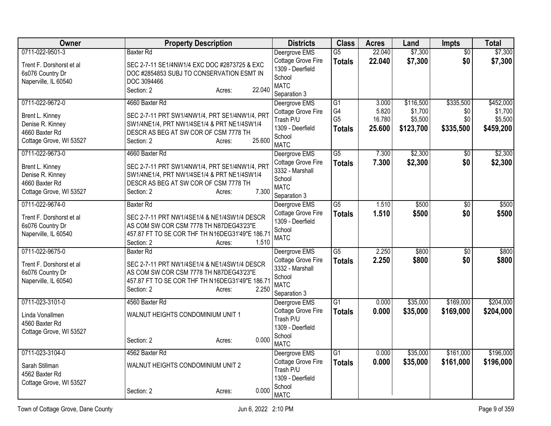| <b>Owner</b>                                 | <b>Property Description</b>                                                               | <b>Districts</b>                    | <b>Class</b>                     | <b>Acres</b>     | Land               | <b>Impts</b>           | <b>Total</b>       |
|----------------------------------------------|-------------------------------------------------------------------------------------------|-------------------------------------|----------------------------------|------------------|--------------------|------------------------|--------------------|
| 0711-022-9501-3                              | <b>Baxter Rd</b>                                                                          | Deergrove EMS<br>Cottage Grove Fire | $\overline{G5}$<br><b>Totals</b> | 22.040<br>22.040 | \$7,300<br>\$7,300 | $\overline{50}$<br>\$0 | \$7,300<br>\$7,300 |
| Trent F. Dorshorst et al<br>6s076 Country Dr | SEC 2-7-11 SE1/4NW1/4 EXC DOC #2873725 & EXC<br>DOC #2854853 SUBJ TO CONSERVATION ESMT IN | 1309 - Deerfield                    |                                  |                  |                    |                        |                    |
| Naperville, IL 60540                         | DOC 3094466                                                                               | School                              |                                  |                  |                    |                        |                    |
|                                              | 22.040<br>Section: 2<br>Acres:                                                            | <b>MATC</b><br>Separation 3         |                                  |                  |                    |                        |                    |
| 0711-022-9672-0                              | 4660 Baxter Rd                                                                            | Deergrove EMS                       | $\overline{G1}$                  | 3.000            | \$116,500          | \$335,500              | \$452,000          |
|                                              |                                                                                           | Cottage Grove Fire                  | G4                               | 5.820            | \$1,700            | \$0                    | \$1,700            |
| Brent L. Kinney                              | SEC 2-7-11 PRT SW1/4NW1/4, PRT SE1/4NW1/4, PRT                                            | Trash P/U                           | G <sub>5</sub>                   | 16.780           | \$5,500            | \$0                    | \$5,500            |
| Denise R. Kinney                             | SW1/4NE1/4, PRT NW1/4SE1/4 & PRT NE1/4SW1/4                                               | 1309 - Deerfield                    | <b>Totals</b>                    | 25.600           | \$123,700          | \$335,500              | \$459,200          |
| 4660 Baxter Rd<br>Cottage Grove, WI 53527    | DESCR AS BEG AT SW COR OF CSM 7778 TH<br>25.600<br>Section: 2<br>Acres:                   | School                              |                                  |                  |                    |                        |                    |
|                                              |                                                                                           | <b>MATC</b>                         |                                  |                  |                    |                        |                    |
| 0711-022-9673-0                              | 4660 Baxter Rd                                                                            | Deergrove EMS                       | $\overline{G5}$                  | 7.300            | \$2,300            | $\sqrt[6]{}$           | \$2,300            |
| Brent L. Kinney                              | SEC 2-7-11 PRT SW1/4NW1/4, PRT SE1/4NW1/4, PRT                                            | Cottage Grove Fire                  | <b>Totals</b>                    | 7.300            | \$2,300            | \$0                    | \$2,300            |
| Denise R. Kinney                             | SW1/4NE1/4, PRT NW1/4SE1/4 & PRT NE1/4SW1/4                                               | 3332 - Marshall<br>School           |                                  |                  |                    |                        |                    |
| 4660 Baxter Rd                               | DESCR AS BEG AT SW COR OF CSM 7778 TH                                                     | <b>MATC</b>                         |                                  |                  |                    |                        |                    |
| Cottage Grove, WI 53527                      | 7.300<br>Section: 2<br>Acres:                                                             | Separation 3                        |                                  |                  |                    |                        |                    |
| 0711-022-9674-0                              | <b>Baxter Rd</b>                                                                          | Deergrove EMS                       | $\overline{G5}$                  | 1.510            | \$500              | $\overline{50}$        | \$500              |
| Trent F. Dorshorst et al                     | SEC 2-7-11 PRT NW1/4SE1/4 & NE1/4SW1/4 DESCR                                              | Cottage Grove Fire                  | <b>Totals</b>                    | 1.510            | \$500              | \$0                    | \$500              |
| 6s076 Country Dr                             | AS COM SW COR CSM 7778 TH N87DEG43'23"E                                                   | 1309 - Deerfield                    |                                  |                  |                    |                        |                    |
| Naperville, IL 60540                         | 457.87 FT TO SE COR THF TH N16DEG31'49"E 186.71                                           | School                              |                                  |                  |                    |                        |                    |
|                                              | Section: 2<br>1.510<br>Acres:                                                             | <b>MATC</b>                         |                                  |                  |                    |                        |                    |
| 0711-022-9675-0                              | Baxter Rd                                                                                 | Deergrove EMS                       | $\overline{G5}$                  | 2.250            | \$800              | $\overline{50}$        | \$800              |
| Trent F. Dorshorst et al                     | SEC 2-7-11 PRT NW1/4SE1/4 & NE1/4SW1/4 DESCR                                              | <b>Cottage Grove Fire</b>           | <b>Totals</b>                    | 2.250            | \$800              | \$0                    | \$800              |
| 6s076 Country Dr                             | AS COM SW COR CSM 7778 TH N87DEG43'23"E                                                   | 3332 - Marshall                     |                                  |                  |                    |                        |                    |
| Naperville, IL 60540                         | 457.87 FT TO SE COR THF TH N16DEG31'49"E 186.71                                           | School                              |                                  |                  |                    |                        |                    |
|                                              | 2.250<br>Section: 2<br>Acres:                                                             | <b>MATC</b><br>Separation 3         |                                  |                  |                    |                        |                    |
| 0711-023-3101-0                              | 4560 Baxter Rd                                                                            | Deergrove EMS                       | $\overline{G1}$                  | 0.000            | \$35,000           | \$169,000              | \$204,000          |
|                                              |                                                                                           | Cottage Grove Fire                  | <b>Totals</b>                    | 0.000            | \$35,000           | \$169,000              | \$204,000          |
| Linda Vonallmen                              | WALNUT HEIGHTS CONDOMINIUM UNIT 1                                                         | Trash P/U                           |                                  |                  |                    |                        |                    |
| 4560 Baxter Rd                               |                                                                                           | 1309 - Deerfield                    |                                  |                  |                    |                        |                    |
| Cottage Grove, WI 53527                      | 0.000<br>Section: 2<br>Acres:                                                             | School                              |                                  |                  |                    |                        |                    |
|                                              |                                                                                           | <b>MATC</b>                         |                                  |                  |                    |                        |                    |
| 0711-023-3104-0                              | 4562 Baxter Rd                                                                            | Deergrove EMS                       | $\overline{G1}$                  | 0.000            | \$35,000           | \$161,000              | \$196,000          |
| Sarah Stillman                               | WALNUT HEIGHTS CONDOMINIUM UNIT 2                                                         | Cottage Grove Fire<br>Trash P/U     | <b>Totals</b>                    | 0.000            | \$35,000           | \$161,000              | \$196,000          |
| 4562 Baxter Rd                               |                                                                                           | 1309 - Deerfield                    |                                  |                  |                    |                        |                    |
| Cottage Grove, WI 53527                      |                                                                                           | School                              |                                  |                  |                    |                        |                    |
|                                              | 0.000<br>Section: 2<br>Acres:                                                             | <b>MATC</b>                         |                                  |                  |                    |                        |                    |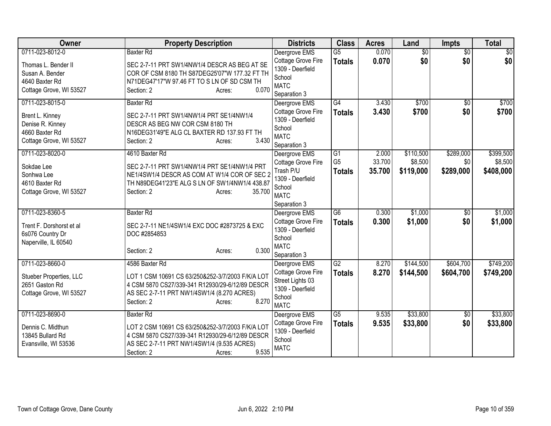| Owner                    | <b>Property Description</b>                      | <b>Districts</b>                    | <b>Class</b>    | <b>Acres</b> | Land            | <b>Impts</b>    | <b>Total</b> |
|--------------------------|--------------------------------------------------|-------------------------------------|-----------------|--------------|-----------------|-----------------|--------------|
| 0711-023-8012-0          | <b>Baxter Rd</b>                                 | Deergrove EMS                       | $\overline{G5}$ | 0.070        | $\overline{30}$ | $\overline{50}$ | \$0          |
| Thomas L. Bender II      | SEC 2-7-11 PRT SW1/4NW1/4 DESCR AS BEG AT SE     | Cottage Grove Fire                  | <b>Totals</b>   | 0.070        | \$0             | \$0             | \$0          |
| Susan A. Bender          | COR OF CSM 8180 TH S87DEG25'07"W 177.32 FT TH    | 1309 - Deerfield                    |                 |              |                 |                 |              |
| 4640 Baxter Rd           | N71DEG47'17"W 97.46 FT TO S LN OF SD CSM TH      | School<br><b>MATC</b>               |                 |              |                 |                 |              |
| Cottage Grove, WI 53527  | 0.070<br>Section: 2<br>Acres:                    | Separation 3                        |                 |              |                 |                 |              |
| 0711-023-8015-0          | <b>Baxter Rd</b>                                 | Deergrove EMS                       | G4              | 3.430        | \$700           | \$0             | \$700        |
|                          |                                                  | Cottage Grove Fire                  | <b>Totals</b>   | 3.430        | \$700           | \$0             | \$700        |
| Brent L. Kinney          | SEC 2-7-11 PRT SW1/4NW1/4 PRT SE1/4NW1/4         | 1309 - Deerfield                    |                 |              |                 |                 |              |
| Denise R. Kinney         | DESCR AS BEG NW COR CSM 8180 TH                  | School                              |                 |              |                 |                 |              |
| 4660 Baxter Rd           | N16DEG31'49"E ALG CL BAXTER RD 137.93 FT TH      | <b>MATC</b>                         |                 |              |                 |                 |              |
| Cottage Grove, WI 53527  | 3.430<br>Section: 2<br>Acres:                    | Separation 3                        |                 |              |                 |                 |              |
| 0711-023-8020-0          | 4610 Baxter Rd                                   | Deergrove EMS                       | G1              | 2.000        | \$110,500       | \$289,000       | \$399,500    |
| Sokdae Lee               | SEC 2-7-11 PRT SW1/4NW1/4 PRT SE1/4NW1/4 PRT     | Cottage Grove Fire                  | G <sub>5</sub>  | 33.700       | \$8,500         | \$0             | \$8,500      |
| Sonhwa Lee               | NE1/4SW1/4 DESCR AS COM AT W1/4 COR OF SEC 2     | Trash P/U                           | <b>Totals</b>   | 35.700       | \$119,000       | \$289,000       | \$408,000    |
| 4610 Baxter Rd           | TH N89DEG41'23"E ALG S LN OF SW1/4NW1/4 438.87   | 1309 - Deerfield                    |                 |              |                 |                 |              |
| Cottage Grove, WI 53527  | 35.700<br>Section: 2<br>Acres:                   | School                              |                 |              |                 |                 |              |
|                          |                                                  | <b>MATC</b>                         |                 |              |                 |                 |              |
| 0711-023-8360-5          | <b>Baxter Rd</b>                                 | Separation 3                        | G6              | 0.300        | \$1,000         | $\overline{50}$ | \$1,000      |
|                          |                                                  | Deergrove EMS<br>Cottage Grove Fire |                 | 0.300        | \$1,000         | \$0             | \$1,000      |
| Trent F. Dorshorst et al | SEC 2-7-11 NE1/4SW1/4 EXC DOC #2873725 & EXC     | 1309 - Deerfield                    | <b>Totals</b>   |              |                 |                 |              |
| 6s076 Country Dr         | DOC #2854853                                     | School                              |                 |              |                 |                 |              |
| Naperville, IL 60540     |                                                  | <b>MATC</b>                         |                 |              |                 |                 |              |
|                          | 0.300<br>Section: 2<br>Acres:                    | Separation 3                        |                 |              |                 |                 |              |
| 0711-023-8660-0          | 4586 Baxter Rd                                   | Deergrove EMS                       | $\overline{G2}$ | 8.270        | \$144,500       | \$604,700       | \$749,200    |
| Stueber Properties, LLC  | LOT 1 CSM 10691 CS 63/250&252-3/7/2003 F/K/A LOT | Cottage Grove Fire                  | <b>Totals</b>   | 8.270        | \$144,500       | \$604,700       | \$749,200    |
| 2651 Gaston Rd           | 4 CSM 5870 CS27/339-341 R12930/29-6/12/89 DESCR  | Street Lights 03                    |                 |              |                 |                 |              |
| Cottage Grove, WI 53527  | AS SEC 2-7-11 PRT NW1/4SW1/4 (8.270 ACRES)       | 1309 - Deerfield                    |                 |              |                 |                 |              |
|                          | 8.270<br>Section: 2<br>Acres:                    | School                              |                 |              |                 |                 |              |
|                          |                                                  | <b>MATC</b>                         |                 |              |                 |                 |              |
| 0711-023-8690-0          | <b>Baxter Rd</b>                                 | Deergrove EMS                       | G5              | 9.535        | \$33,800        | \$0             | \$33,800     |
| Dennis C. Midthun        | LOT 2 CSM 10691 CS 63/250&252-3/7/2003 F/K/A LOT | Cottage Grove Fire                  | <b>Totals</b>   | 9.535        | \$33,800        | \$0             | \$33,800     |
| 13845 Bullard Rd         | 4 CSM 5870 CS27/339-341 R12930/29-6/12/89 DESCR  | 1309 - Deerfield<br>School          |                 |              |                 |                 |              |
| Evansville, WI 53536     | AS SEC 2-7-11 PRT NW1/4SW1/4 (9.535 ACRES)       | <b>MATC</b>                         |                 |              |                 |                 |              |
|                          | 9.535<br>Section: 2<br>Acres:                    |                                     |                 |              |                 |                 |              |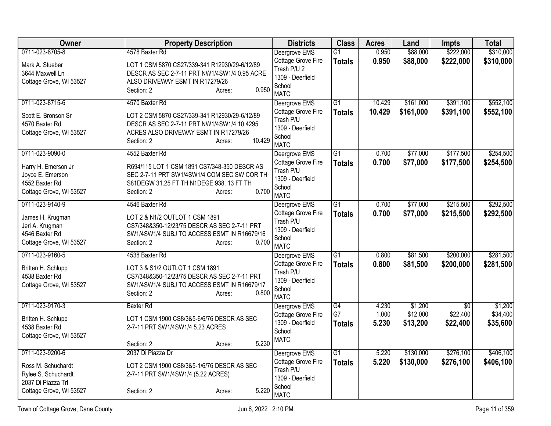| Owner                                | <b>Property Description</b>                                                    | <b>Districts</b>                | <b>Class</b>    | <b>Acres</b> | Land      | Impts           | <b>Total</b> |
|--------------------------------------|--------------------------------------------------------------------------------|---------------------------------|-----------------|--------------|-----------|-----------------|--------------|
| 0711-023-8705-8                      | 4578 Baxter Rd                                                                 | Deergrove EMS                   | $\overline{G1}$ | 0.950        | \$88,000  | \$222,000       | \$310,000    |
| Mark A. Stueber                      | LOT 1 CSM 5870 CS27/339-341 R12930/29-6/12/89                                  | Cottage Grove Fire              | <b>Totals</b>   | 0.950        | \$88,000  | \$222,000       | \$310,000    |
| 3644 Maxwell Ln                      | DESCR AS SEC 2-7-11 PRT NW1/4SW1/4 0.95 ACRE                                   | Trash P/U 2                     |                 |              |           |                 |              |
| Cottage Grove, WI 53527              | ALSO DRIVEWAY ESMT IN R17279/26                                                | 1309 - Deerfield                |                 |              |           |                 |              |
|                                      | 0.950<br>Section: 2<br>Acres:                                                  | School                          |                 |              |           |                 |              |
|                                      |                                                                                | <b>MATC</b>                     |                 |              |           |                 |              |
| 0711-023-8715-6                      | 4570 Baxter Rd                                                                 | Deergrove EMS                   | $\overline{G1}$ | 10.429       | \$161,000 | \$391,100       | \$552,100    |
| Scott E. Bronson Sr                  | LOT 2 CSM 5870 CS27/339-341 R12930/29-6/12/89                                  | Cottage Grove Fire<br>Trash P/U | <b>Totals</b>   | 10.429       | \$161,000 | \$391,100       | \$552,100    |
| 4570 Baxter Rd                       | DESCR AS SEC 2-7-11 PRT NW1/4SW1/4 10.4295                                     | 1309 - Deerfield                |                 |              |           |                 |              |
| Cottage Grove, WI 53527              | ACRES ALSO DRIVEWAY ESMT IN R17279/26                                          | School                          |                 |              |           |                 |              |
|                                      | 10.429<br>Section: 2<br>Acres:                                                 | <b>MATC</b>                     |                 |              |           |                 |              |
| 0711-023-9090-0                      | 4552 Baxter Rd                                                                 | Deergrove EMS                   | $\overline{G1}$ | 0.700        | \$77,000  | \$177,500       | \$254,500    |
|                                      |                                                                                | Cottage Grove Fire              | <b>Totals</b>   | 0.700        | \$77,000  | \$177,500       | \$254,500    |
| Harry H. Emerson Jr                  | R694/115 LOT 1 CSM 1891 CS7/348-350 DESCR AS                                   | Trash P/U                       |                 |              |           |                 |              |
| Joyce E. Emerson                     | SEC 2-7-11 PRT SW1/4SW1/4 COM SEC SW COR TH                                    | 1309 - Deerfield                |                 |              |           |                 |              |
| 4552 Baxter Rd                       | S81DEGW 31.25 FT TH N1DEGE 938. 13 FT TH<br>0.700                              | School                          |                 |              |           |                 |              |
| Cottage Grove, WI 53527              | Section: 2<br>Acres:                                                           | <b>MATC</b>                     |                 |              |           |                 |              |
| 0711-023-9140-9                      | 4546 Baxter Rd                                                                 | Deergrove EMS                   | $\overline{G1}$ | 0.700        | \$77,000  | \$215,500       | \$292,500    |
| James H. Krugman                     | LOT 2 & N1/2 OUTLOT 1 CSM 1891                                                 | Cottage Grove Fire              | <b>Totals</b>   | 0.700        | \$77,000  | \$215,500       | \$292,500    |
| Jeri A. Krugman                      | CS7/348&350-12/23/75 DESCR AS SEC 2-7-11 PRT                                   | Trash P/U                       |                 |              |           |                 |              |
| 4546 Baxter Rd                       | SW1/4SW1/4 SUBJ TO ACCESS ESMT IN R16679/16                                    | 1309 - Deerfield                |                 |              |           |                 |              |
| Cottage Grove, WI 53527              | 0.700<br>Section: 2<br>Acres:                                                  | School                          |                 |              |           |                 |              |
| 0711-023-9160-5                      | 4538 Baxter Rd                                                                 | <b>MATC</b><br>Deergrove EMS    | $\overline{G1}$ | 0.800        | \$81,500  | \$200,000       | \$281,500    |
|                                      |                                                                                | Cottage Grove Fire              |                 | 0.800        | \$81,500  | \$200,000       | \$281,500    |
| Britten H. Schlupp                   | LOT 3 & S1/2 OUTLOT 1 CSM 1891                                                 | Trash P/U                       | <b>Totals</b>   |              |           |                 |              |
| 4538 Baxter Rd                       | CS7/348&350-12/23/75 DESCR AS SEC 2-7-11 PRT                                   | 1309 - Deerfield                |                 |              |           |                 |              |
| Cottage Grove, WI 53527              | SW1/4SW1/4 SUBJ TO ACCESS ESMT IN R16679/17                                    | School                          |                 |              |           |                 |              |
|                                      | 0.800<br>Section: 2<br>Acres:                                                  | <b>MATC</b>                     |                 |              |           |                 |              |
| 0711-023-9170-3                      | <b>Baxter Rd</b>                                                               | Deergrove EMS                   | G4              | 4.230        | \$1,200   | $\overline{50}$ | \$1,200      |
|                                      |                                                                                | Cottage Grove Fire              | G7              | 1.000        | \$12,000  | \$22,400        | \$34,400     |
| Britten H. Schlupp<br>4538 Baxter Rd | LOT 1 CSM 1900 CS8/3&5-6/6/76 DESCR AS SEC<br>2-7-11 PRT SW1/4SW1/4 5.23 ACRES | 1309 - Deerfield                | <b>Totals</b>   | 5.230        | \$13,200  | \$22,400        | \$35,600     |
| Cottage Grove, WI 53527              |                                                                                | School                          |                 |              |           |                 |              |
|                                      | 5.230<br>Section: 2<br>Acres:                                                  | <b>MATC</b>                     |                 |              |           |                 |              |
| 0711-023-9200-6                      | 2037 Di Piazza Dr                                                              | Deergrove EMS                   | $\overline{G1}$ | 5.220        | \$130,000 | \$276,100       | \$406,100    |
|                                      |                                                                                | Cottage Grove Fire              | <b>Totals</b>   | 5.220        | \$130,000 | \$276,100       | \$406,100    |
| Ross M. Schuchardt                   | LOT 2 CSM 1900 CS8/3&5-1/6/76 DESCR AS SEC                                     | Trash P/U                       |                 |              |           |                 |              |
| Rylee S. Schuchardt                  | 2-7-11 PRT SW1/4SW1/4 (5.22 ACRES)                                             | 1309 - Deerfield                |                 |              |           |                 |              |
| 2037 Di Piazza Trl                   | 5.220<br>Section: 2                                                            | School                          |                 |              |           |                 |              |
| Cottage Grove, WI 53527              | Acres:                                                                         | <b>MATC</b>                     |                 |              |           |                 |              |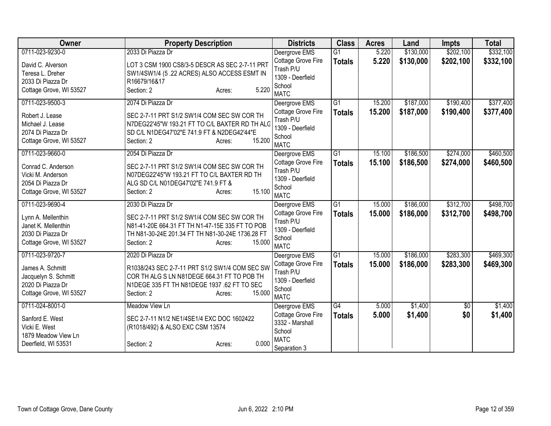| Owner                                | <b>Property Description</b>                                                        | <b>Districts</b>                | <b>Class</b>    | <b>Acres</b> | Land      | <b>Impts</b> | <b>Total</b> |
|--------------------------------------|------------------------------------------------------------------------------------|---------------------------------|-----------------|--------------|-----------|--------------|--------------|
| 0711-023-9230-0                      | 2033 Di Piazza Dr                                                                  | Deergrove EMS                   | $\overline{G1}$ | 5.220        | \$130,000 | \$202,100    | \$332,100    |
| David C. Alverson                    | LOT 3 CSM 1900 CS8/3-5 DESCR AS SEC 2-7-11 PRT                                     | Cottage Grove Fire              | <b>Totals</b>   | 5.220        | \$130,000 | \$202,100    | \$332,100    |
| Teresa L. Dreher                     | SW1/4SW1/4 (5.22 ACRES) ALSO ACCESS ESMT IN                                        | Trash P/U                       |                 |              |           |              |              |
| 2033 Di Piazza Dr                    | R16679/16&17                                                                       | 1309 - Deerfield                |                 |              |           |              |              |
| Cottage Grove, WI 53527              | 5.220<br>Section: 2<br>Acres:                                                      | School                          |                 |              |           |              |              |
|                                      |                                                                                    | <b>MATC</b>                     |                 |              |           |              |              |
| 0711-023-9500-3                      | 2074 Di Piazza Dr                                                                  | Deergrove EMS                   | $\overline{G1}$ | 15.200       | \$187,000 | \$190,400    | \$377,400    |
| Robert J. Lease                      | SEC 2-7-11 PRT S1/2 SW1/4 COM SEC SW COR TH                                        | Cottage Grove Fire<br>Trash P/U | <b>Totals</b>   | 15.200       | \$187,000 | \$190,400    | \$377,400    |
| Michael J. Lease                     | N7DEG22'45"W 193.21 FT TO C/L BAXTER RD TH ALG                                     | 1309 - Deerfield                |                 |              |           |              |              |
| 2074 Di Piazza Dr                    | SD C/L N1DEG47'02"E 741.9 FT & N2DEG42'44"E                                        | School                          |                 |              |           |              |              |
| Cottage Grove, WI 53527              | 15.200<br>Section: 2<br>Acres:                                                     | <b>MATC</b>                     |                 |              |           |              |              |
| 0711-023-9660-0                      | 2054 Di Piazza Dr                                                                  | Deergrove EMS                   | $\overline{G1}$ | 15.100       | \$186,500 | \$274,000    | \$460,500    |
|                                      |                                                                                    | Cottage Grove Fire              | <b>Totals</b>   | 15.100       | \$186,500 | \$274,000    | \$460,500    |
| Conrad C. Anderson                   | SEC 2-7-11 PRT S1/2 SW1/4 COM SEC SW COR TH                                        | Trash P/U                       |                 |              |           |              |              |
| Vicki M. Anderson                    | N07DEG22'45"W 193.21 FT TO C/L BAXTER RD TH<br>ALG SD C/L N01DEG47'02"E 741.9 FT & | 1309 - Deerfield                |                 |              |           |              |              |
| 2054 Di Piazza Dr                    | 15.100                                                                             | School                          |                 |              |           |              |              |
| Cottage Grove, WI 53527              | Section: 2<br>Acres:                                                               | <b>MATC</b>                     |                 |              |           |              |              |
| 0711-023-9690-4                      | 2030 Di Piazza Dr                                                                  | Deergrove EMS                   | $\overline{G1}$ | 15.000       | \$186,000 | \$312,700    | \$498,700    |
| Lynn A. Mellenthin                   | SEC 2-7-11 PRT S1/2 SW1/4 COM SEC SW COR TH                                        | Cottage Grove Fire              | <b>Totals</b>   | 15.000       | \$186,000 | \$312,700    | \$498,700    |
| Janet K. Mellenthin                  | N81-41-20E 664.31 FT TH N1-47-15E 335 FT TO POB                                    | Trash P/U                       |                 |              |           |              |              |
| 2030 Di Piazza Dr                    | TH N81-30-24E 201.34 FT TH N81-30-24E 1736.28 FT                                   | 1309 - Deerfield                |                 |              |           |              |              |
| Cottage Grove, WI 53527              | 15.000<br>Section: 2<br>Acres:                                                     | School                          |                 |              |           |              |              |
|                                      |                                                                                    | <b>MATC</b>                     |                 |              |           |              |              |
| 0711-023-9720-7                      | 2020 Di Piazza Dr                                                                  | Deergrove EMS                   | $\overline{G1}$ | 15.000       | \$186,000 | \$283,300    | \$469,300    |
| James A. Schmitt                     | R1038/243 SEC 2-7-11 PRT S1/2 SW1/4 COM SEC SW                                     | Cottage Grove Fire<br>Trash P/U | <b>Totals</b>   | 15.000       | \$186,000 | \$283,300    | \$469,300    |
| Jacquelyn S. Schmitt                 | COR TH ALG S LN N81DEGE 664.31 FT TO POB TH                                        | 1309 - Deerfield                |                 |              |           |              |              |
| 2020 Di Piazza Dr                    | N1DEGE 335 FT TH N81DEGE 1937 .62 FT TO SEC                                        | School                          |                 |              |           |              |              |
| Cottage Grove, WI 53527              | 15.000<br>Section: 2<br>Acres:                                                     | <b>MATC</b>                     |                 |              |           |              |              |
| 0711-024-8001-0                      | Meadow View Ln                                                                     | Deergrove EMS                   | $\overline{G4}$ | 5.000        | \$1,400   | \$0          | \$1,400      |
|                                      |                                                                                    | Cottage Grove Fire              | <b>Totals</b>   | 5.000        | \$1,400   | \$0          | \$1,400      |
| Sanford E. West                      | SEC 2-7-11 N1/2 NE1/4SE1/4 EXC DOC 1602422                                         | 3332 - Marshall                 |                 |              |           |              |              |
| Vicki E. West<br>1879 Meadow View Ln | (R1018/492) & ALSO EXC CSM 13574                                                   | School                          |                 |              |           |              |              |
| Deerfield, WI 53531                  | 0.000<br>Section: 2                                                                | <b>MATC</b>                     |                 |              |           |              |              |
|                                      | Acres:                                                                             | Separation 3                    |                 |              |           |              |              |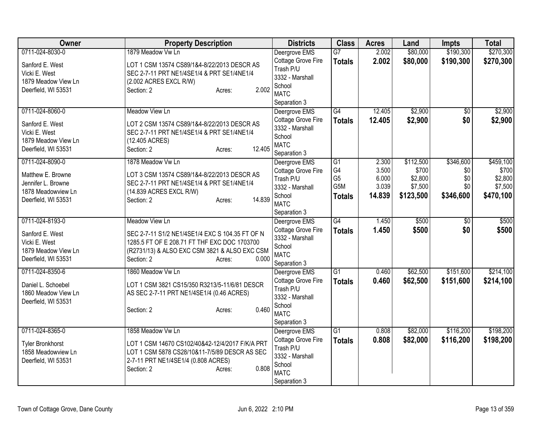| Owner                   | <b>Property Description</b>                     | <b>Districts</b>   | <b>Class</b>    | <b>Acres</b> | Land      | <b>Impts</b>    | <b>Total</b> |
|-------------------------|-------------------------------------------------|--------------------|-----------------|--------------|-----------|-----------------|--------------|
| 0711-024-8030-0         | 1879 Meadow Vw Ln                               | Deergrove EMS      | $\overline{G7}$ | 2.002        | \$80,000  | \$190,300       | \$270,300    |
| Sanford E. West         | LOT 1 CSM 13574 CS89/1&4-8/22/2013 DESCR AS     | Cottage Grove Fire | <b>Totals</b>   | 2.002        | \$80,000  | \$190,300       | \$270,300    |
| Vicki E. West           | SEC 2-7-11 PRT NE1/4SE1/4 & PRT SE1/4NE1/4      | Trash P/U          |                 |              |           |                 |              |
| 1879 Meadow View Ln     | (2.002 ACRES EXCL R/W)                          | 3332 - Marshall    |                 |              |           |                 |              |
| Deerfield, WI 53531     | 2.002<br>Section: 2<br>Acres:                   | School             |                 |              |           |                 |              |
|                         |                                                 | <b>MATC</b>        |                 |              |           |                 |              |
|                         |                                                 | Separation 3       |                 |              |           |                 |              |
| 0711-024-8060-0         | <b>Meadow View Ln</b>                           | Deergrove EMS      | G4              | 12.405       | \$2,900   | $\sqrt{6}$      | \$2,900      |
| Sanford E. West         | LOT 2 CSM 13574 CS89/1&4-8/22/2013 DESCR AS     | Cottage Grove Fire | <b>Totals</b>   | 12.405       | \$2,900   | \$0             | \$2,900      |
| Vicki E. West           | SEC 2-7-11 PRT NE1/4SE1/4 & PRT SE1/4NE1/4      | 3332 - Marshall    |                 |              |           |                 |              |
| 1879 Meadow View Ln     | (12.405 ACRES)                                  | School             |                 |              |           |                 |              |
| Deerfield, WI 53531     | 12.405<br>Section: 2<br>Acres:                  | <b>MATC</b>        |                 |              |           |                 |              |
|                         |                                                 | Separation 3       |                 |              |           |                 |              |
| 0711-024-8090-0         | 1878 Meadow Vw Ln                               | Deergrove EMS      | $\overline{G1}$ | 2.300        | \$112,500 | \$346,600       | \$459,100    |
| Matthew E. Browne       | LOT 3 CSM 13574 CS89/1&4-8/22/2013 DESCR AS     | Cottage Grove Fire | G4              | 3.500        | \$700     | \$0             | \$700        |
| Jennifer L. Browne      | SEC 2-7-11 PRT NE1/4SE1/4 & PRT SE1/4NE1/4      | Trash P/U          | G <sub>5</sub>  | 6.000        | \$2,800   | \$0             | \$2,800      |
| 1878 Meadowview Ln      | (14.839 ACRES EXCL R/W)                         | 3332 - Marshall    | G5M             | 3.039        | \$7,500   | \$0             | \$7,500      |
| Deerfield, WI 53531     | 14.839<br>Section: 2<br>Acres:                  | School             | <b>Totals</b>   | 14.839       | \$123,500 | \$346,600       | \$470,100    |
|                         |                                                 | <b>MATC</b>        |                 |              |           |                 |              |
|                         |                                                 | Separation 3       |                 |              |           |                 |              |
| 0711-024-8193-0         | Meadow View Ln                                  | Deergrove EMS      | G4              | 1.450        | \$500     | $\overline{50}$ | \$500        |
| Sanford E. West         | SEC 2-7-11 S1/2 NE1/4SE1/4 EXC S 104.35 FT OF N | Cottage Grove Fire | <b>Totals</b>   | 1.450        | \$500     | \$0             | \$500        |
| Vicki E. West           | 1285.5 FT OF E 208.71 FT THF EXC DOC 1703700    | 3332 - Marshall    |                 |              |           |                 |              |
| 1879 Meadow View Ln     | (R2731/13) & ALSO EXC CSM 3821 & ALSO EXC CSM   | School             |                 |              |           |                 |              |
| Deerfield, WI 53531     | 0.000<br>Section: 2<br>Acres:                   | <b>MATC</b>        |                 |              |           |                 |              |
|                         |                                                 | Separation 3       |                 |              |           |                 |              |
| 0711-024-8350-6         | 1860 Meadow Vw Ln                               | Deergrove EMS      | $\overline{G1}$ | 0.460        | \$62,500  | \$151,600       | \$214,100    |
| Daniel L. Schoebel      | LOT 1 CSM 3821 CS15/350 R3213/5-11/6/81 DESCR   | Cottage Grove Fire | <b>Totals</b>   | 0.460        | \$62,500  | \$151,600       | \$214,100    |
| 1860 Meadow View Ln     | AS SEC 2-7-11 PRT NE1/4SE1/4 (0.46 ACRES)       | Trash P/U          |                 |              |           |                 |              |
| Deerfield, WI 53531     |                                                 | 3332 - Marshall    |                 |              |           |                 |              |
|                         | 0.460<br>Section: 2<br>Acres:                   | School             |                 |              |           |                 |              |
|                         |                                                 | <b>MATC</b>        |                 |              |           |                 |              |
|                         |                                                 | Separation 3       |                 |              |           |                 |              |
| 0711-024-8365-0         | 1858 Meadow Vw Ln                               | Deergrove EMS      | G1              | 0.808        | \$82,000  | \$116,200       | \$198,200    |
| <b>Tyler Bronkhorst</b> | LOT 1 CSM 14670 CS102/40&42-12/4/2017 F/K/A PRT | Cottage Grove Fire | <b>Totals</b>   | 0.808        | \$82,000  | \$116,200       | \$198,200    |
| 1858 Meadowview Ln      | LOT 1 CSM 5878 CS28/10&11-7/5/89 DESCR AS SEC   | Trash P/U          |                 |              |           |                 |              |
| Deerfield, WI 53531     | 2-7-11 PRT NE1/4SE1/4 (0.808 ACRES)             | 3332 - Marshall    |                 |              |           |                 |              |
|                         | 0.808<br>Section: 2<br>Acres:                   | School             |                 |              |           |                 |              |
|                         |                                                 | <b>MATC</b>        |                 |              |           |                 |              |
|                         |                                                 | Separation 3       |                 |              |           |                 |              |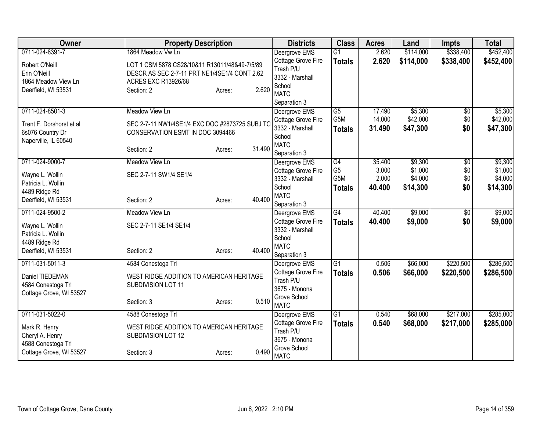| <b>Owner</b>                        | <b>Property Description</b>                    |                  | <b>Districts</b>              | <b>Class</b>     | <b>Acres</b> | Land      | Impts           | <b>Total</b> |
|-------------------------------------|------------------------------------------------|------------------|-------------------------------|------------------|--------------|-----------|-----------------|--------------|
| 0711-024-8391-7                     | 1864 Meadow Vw Ln                              |                  | Deergrove EMS                 | $\overline{G1}$  | 2.620        | \$114,000 | \$338,400       | \$452,400    |
| Robert O'Neill                      | LOT 1 CSM 5878 CS28/10&11 R13011/48&49-7/5/89  |                  | Cottage Grove Fire            | <b>Totals</b>    | 2.620        | \$114,000 | \$338,400       | \$452,400    |
| Erin O'Neill                        | DESCR AS SEC 2-7-11 PRT NE1/4SE1/4 CONT 2.62   |                  | Trash P/U                     |                  |              |           |                 |              |
| 1864 Meadow View Ln                 | <b>ACRES EXC R13926/68</b>                     |                  | 3332 - Marshall               |                  |              |           |                 |              |
| Deerfield, WI 53531                 | Section: 2                                     | 2.620<br>Acres:  | School<br><b>MATC</b>         |                  |              |           |                 |              |
|                                     |                                                |                  | Separation 3                  |                  |              |           |                 |              |
| 0711-024-8501-3                     | Meadow View Ln                                 |                  | Deergrove EMS                 | $\overline{G5}$  | 17.490       | \$5,300   | $\sqrt{6}$      | \$5,300      |
|                                     |                                                |                  | Cottage Grove Fire            | G5M              | 14.000       | \$42,000  | \$0             | \$42,000     |
| Trent F. Dorshorst et al            | SEC 2-7-11 NW1/4SE1/4 EXC DOC #2873725 SUBJ TO |                  | 3332 - Marshall               | <b>Totals</b>    | 31.490       | \$47,300  | \$0             | \$47,300     |
| 6s076 Country Dr                    | CONSERVATION ESMT IN DOC 3094466               |                  | School                        |                  |              |           |                 |              |
| Naperville, IL 60540                | Section: 2                                     | 31.490<br>Acres: | <b>MATC</b>                   |                  |              |           |                 |              |
|                                     |                                                |                  | Separation 3                  |                  |              |           |                 |              |
| 0711-024-9000-7                     | Meadow View Ln                                 |                  | Deergrove EMS                 | $\overline{G4}$  | 35.400       | \$9,300   | \$0             | \$9,300      |
| Wayne L. Wollin                     | SEC 2-7-11 SW1/4 SE1/4                         |                  | Cottage Grove Fire            | G <sub>5</sub>   | 3.000        | \$1,000   | \$0             | \$1,000      |
| Patricia L. Wollin                  |                                                |                  | 3332 - Marshall               | G <sub>5</sub> M | 2.000        | \$4,000   | \$0             | \$4,000      |
| 4489 Ridge Rd                       |                                                |                  | School<br><b>MATC</b>         | <b>Totals</b>    | 40.400       | \$14,300  | \$0             | \$14,300     |
| Deerfield, WI 53531                 | Section: 2                                     | 40.400<br>Acres: | Separation 3                  |                  |              |           |                 |              |
| 0711-024-9500-2                     | <b>Meadow View Ln</b>                          |                  | Deergrove EMS                 | G4               | 40.400       | \$9,000   | $\overline{50}$ | \$9,000      |
|                                     |                                                |                  | Cottage Grove Fire            | <b>Totals</b>    | 40.400       | \$9,000   | \$0             | \$9,000      |
| Wayne L. Wollin                     | SEC 2-7-11 SE1/4 SE1/4                         |                  | 3332 - Marshall               |                  |              |           |                 |              |
| Patricia L. Wollin<br>4489 Ridge Rd |                                                |                  | School                        |                  |              |           |                 |              |
| Deerfield, WI 53531                 | Section: 2                                     | 40.400<br>Acres: | <b>MATC</b>                   |                  |              |           |                 |              |
|                                     |                                                |                  | Separation 3                  |                  |              |           |                 |              |
| 0711-031-5011-3                     | 4584 Conestoga Trl                             |                  | Deergrove EMS                 | $\overline{G1}$  | 0.506        | \$66,000  | \$220,500       | \$286,500    |
| Daniel TIEDEMAN                     | WEST RIDGE ADDITION TO AMERICAN HERITAGE       |                  | <b>Cottage Grove Fire</b>     | <b>Totals</b>    | 0.506        | \$66,000  | \$220,500       | \$286,500    |
| 4584 Conestoga Trl                  | SUBDIVISION LOT 11                             |                  | Trash P/U                     |                  |              |           |                 |              |
| Cottage Grove, WI 53527             |                                                |                  | 3675 - Monona<br>Grove School |                  |              |           |                 |              |
|                                     | Section: 3                                     | 0.510<br>Acres:  | <b>MATC</b>                   |                  |              |           |                 |              |
| 0711-031-5022-0                     | 4588 Conestoga Trl                             |                  | Deergrove EMS                 | $\overline{G1}$  | 0.540        | \$68,000  | \$217,000       | \$285,000    |
| Mark R. Henry                       | WEST RIDGE ADDITION TO AMERICAN HERITAGE       |                  | Cottage Grove Fire            | <b>Totals</b>    | 0.540        | \$68,000  | \$217,000       | \$285,000    |
| Cheryl A. Henry                     | SUBDIVISION LOT 12                             |                  | Trash P/U                     |                  |              |           |                 |              |
| 4588 Conestoga Trl                  |                                                |                  | 3675 - Monona                 |                  |              |           |                 |              |
| Cottage Grove, WI 53527             | Section: 3                                     | 0.490<br>Acres:  | Grove School                  |                  |              |           |                 |              |
|                                     |                                                |                  | <b>MATC</b>                   |                  |              |           |                 |              |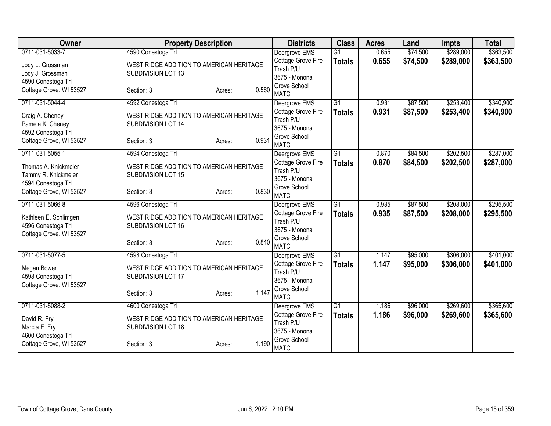| Owner                                  | <b>Property Description</b>              |                 | <b>Districts</b>                | <b>Class</b>    | <b>Acres</b> | Land     | <b>Impts</b> | <b>Total</b> |
|----------------------------------------|------------------------------------------|-----------------|---------------------------------|-----------------|--------------|----------|--------------|--------------|
| 0711-031-5033-7                        | 4590 Conestoga Trl                       |                 | Deergrove EMS                   | $\overline{G1}$ | 0.655        | \$74,500 | \$289,000    | \$363,500    |
| Jody L. Grossman                       | WEST RIDGE ADDITION TO AMERICAN HERITAGE |                 | Cottage Grove Fire              | <b>Totals</b>   | 0.655        | \$74,500 | \$289,000    | \$363,500    |
| Jody J. Grossman                       | SUBDIVISION LOT 13                       |                 | Trash P/U                       |                 |              |          |              |              |
| 4590 Conestoga Trl                     |                                          |                 | 3675 - Monona                   |                 |              |          |              |              |
| Cottage Grove, WI 53527                | Section: 3                               | 0.560<br>Acres: | Grove School<br><b>MATC</b>     |                 |              |          |              |              |
| 0711-031-5044-4                        | 4592 Conestoga Trl                       |                 | Deergrove EMS                   | $\overline{G1}$ | 0.931        | \$87,500 | \$253,400    | \$340,900    |
|                                        |                                          |                 | Cottage Grove Fire              | <b>Totals</b>   | 0.931        | \$87,500 | \$253,400    | \$340,900    |
| Craig A. Cheney                        | WEST RIDGE ADDITION TO AMERICAN HERITAGE |                 | Trash P/U                       |                 |              |          |              |              |
| Pamela K. Cheney<br>4592 Conestoga Trl | SUBDIVISION LOT 14                       |                 | 3675 - Monona                   |                 |              |          |              |              |
| Cottage Grove, WI 53527                | Section: 3                               | 0.931<br>Acres: | Grove School                    |                 |              |          |              |              |
|                                        |                                          |                 | <b>MATC</b>                     |                 |              |          |              |              |
| 0711-031-5055-1                        | 4594 Conestoga Trl                       |                 | Deergrove EMS                   | $\overline{G1}$ | 0.870        | \$84,500 | \$202,500    | \$287,000    |
| Thomas A. Knickmeier                   | WEST RIDGE ADDITION TO AMERICAN HERITAGE |                 | Cottage Grove Fire              | <b>Totals</b>   | 0.870        | \$84,500 | \$202,500    | \$287,000    |
| Tammy R. Knickmeier                    | SUBDIVISION LOT 15                       |                 | Trash P/U                       |                 |              |          |              |              |
| 4594 Conestoga Trl                     |                                          |                 | 3675 - Monona                   |                 |              |          |              |              |
| Cottage Grove, WI 53527                | Section: 3                               | 0.830<br>Acres: | Grove School<br><b>MATC</b>     |                 |              |          |              |              |
| 0711-031-5066-8                        | 4596 Conestoga Trl                       |                 | Deergrove EMS                   | G1              | 0.935        | \$87,500 | \$208,000    | \$295,500    |
|                                        |                                          |                 | Cottage Grove Fire              |                 | 0.935        | \$87,500 | \$208,000    | \$295,500    |
| Kathleen E. Schlimgen                  | WEST RIDGE ADDITION TO AMERICAN HERITAGE |                 | Trash P/U                       | <b>Totals</b>   |              |          |              |              |
| 4596 Conestoga Trl                     | SUBDIVISION LOT 16                       |                 | 3675 - Monona                   |                 |              |          |              |              |
| Cottage Grove, WI 53527                |                                          |                 | Grove School                    |                 |              |          |              |              |
|                                        | Section: 3                               | 0.840<br>Acres: | <b>MATC</b>                     |                 |              |          |              |              |
| 0711-031-5077-5                        | 4598 Conestoga Trl                       |                 | Deergrove EMS                   | G1              | 1.147        | \$95,000 | \$306,000    | \$401,000    |
| Megan Bower                            | WEST RIDGE ADDITION TO AMERICAN HERITAGE |                 | Cottage Grove Fire              | <b>Totals</b>   | 1.147        | \$95,000 | \$306,000    | \$401,000    |
| 4598 Conestoga Trl                     | SUBDIVISION LOT 17                       |                 | Trash P/U                       |                 |              |          |              |              |
| Cottage Grove, WI 53527                |                                          |                 | 3675 - Monona                   |                 |              |          |              |              |
|                                        | Section: 3                               | 1.147<br>Acres: | Grove School                    |                 |              |          |              |              |
|                                        |                                          |                 | <b>MATC</b>                     |                 |              |          |              |              |
| 0711-031-5088-2                        | 4600 Conestoga Trl                       |                 | Deergrove EMS                   | $\overline{G1}$ | 1.186        | \$96,000 | \$269,600    | \$365,600    |
| David R. Fry                           | WEST RIDGE ADDITION TO AMERICAN HERITAGE |                 | Cottage Grove Fire<br>Trash P/U | <b>Totals</b>   | 1.186        | \$96,000 | \$269,600    | \$365,600    |
| Marcia E. Fry                          | SUBDIVISION LOT 18                       |                 | 3675 - Monona                   |                 |              |          |              |              |
| 4600 Conestoga Trl                     |                                          |                 | Grove School                    |                 |              |          |              |              |
| Cottage Grove, WI 53527                | Section: 3                               | 1.190<br>Acres: | <b>MATC</b>                     |                 |              |          |              |              |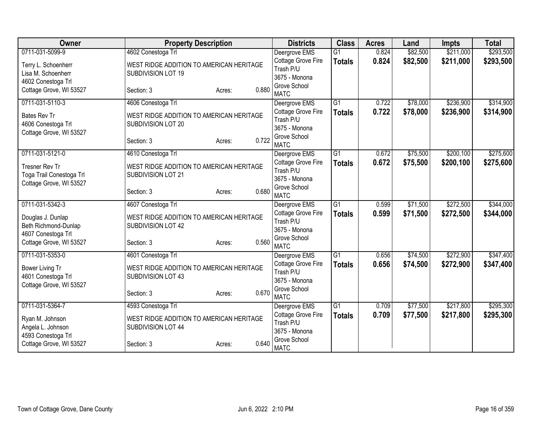| Owner                                     | <b>Property Description</b>              |                 | <b>Districts</b>                    | <b>Class</b>    | <b>Acres</b> | Land     | <b>Impts</b> | <b>Total</b> |
|-------------------------------------------|------------------------------------------|-----------------|-------------------------------------|-----------------|--------------|----------|--------------|--------------|
| 0711-031-5099-9                           | 4602 Conestoga Trl                       |                 | Deergrove EMS                       | $\overline{G1}$ | 0.824        | \$82,500 | \$211,000    | \$293,500    |
| Terry L. Schoenherr                       | WEST RIDGE ADDITION TO AMERICAN HERITAGE |                 | Cottage Grove Fire                  | <b>Totals</b>   | 0.824        | \$82,500 | \$211,000    | \$293,500    |
| Lisa M. Schoenherr                        | SUBDIVISION LOT 19                       |                 | Trash P/U                           |                 |              |          |              |              |
| 4602 Conestoga Trl                        |                                          |                 | 3675 - Monona                       |                 |              |          |              |              |
| Cottage Grove, WI 53527                   | Section: 3                               | 0.880<br>Acres: | Grove School                        |                 |              |          |              |              |
|                                           |                                          |                 | <b>MATC</b>                         |                 |              |          |              |              |
| 0711-031-5110-3                           | 4606 Conestoga Trl                       |                 | Deergrove EMS                       | $\overline{G1}$ | 0.722        | \$78,000 | \$236,900    | \$314,900    |
| <b>Bates Rev Tr</b>                       | WEST RIDGE ADDITION TO AMERICAN HERITAGE |                 | Cottage Grove Fire                  | <b>Totals</b>   | 0.722        | \$78,000 | \$236,900    | \$314,900    |
| 4606 Conestoga Trl                        | SUBDIVISION LOT 20                       |                 | Trash P/U<br>3675 - Monona          |                 |              |          |              |              |
| Cottage Grove, WI 53527                   |                                          |                 | Grove School                        |                 |              |          |              |              |
|                                           | Section: 3                               | 0.722<br>Acres: | <b>MATC</b>                         |                 |              |          |              |              |
| 0711-031-5121-0                           | 4610 Conestoga Trl                       |                 | Deergrove EMS                       | $\overline{G1}$ | 0.672        | \$75,500 | \$200,100    | \$275,600    |
|                                           |                                          |                 | Cottage Grove Fire                  | <b>Totals</b>   | 0.672        | \$75,500 | \$200,100    | \$275,600    |
| <b>Tresner Rev Tr</b>                     | WEST RIDGE ADDITION TO AMERICAN HERITAGE |                 | Trash P/U                           |                 |              |          |              |              |
| Toga Trail Conestoga Trl                  | SUBDIVISION LOT 21                       |                 | 3675 - Monona                       |                 |              |          |              |              |
| Cottage Grove, WI 53527                   |                                          |                 | Grove School                        |                 |              |          |              |              |
|                                           | Section: 3                               | 0.680<br>Acres: | <b>MATC</b>                         |                 |              |          |              |              |
| 0711-031-5342-3                           | 4607 Conestoga Trl                       |                 | Deergrove EMS                       | G1              | 0.599        | \$71,500 | \$272,500    | \$344,000    |
|                                           | WEST RIDGE ADDITION TO AMERICAN HERITAGE |                 | Cottage Grove Fire                  | <b>Totals</b>   | 0.599        | \$71,500 | \$272,500    | \$344,000    |
| Douglas J. Dunlap<br>Beth Richmond-Dunlap | SUBDIVISION LOT 42                       |                 | Trash P/U                           |                 |              |          |              |              |
| 4607 Conestoga Trl                        |                                          |                 | 3675 - Monona                       |                 |              |          |              |              |
| Cottage Grove, WI 53527                   | Section: 3                               | 0.560<br>Acres: | Grove School                        |                 |              |          |              |              |
|                                           |                                          |                 | <b>MATC</b>                         |                 |              |          |              |              |
| 0711-031-5353-0                           | 4601 Conestoga Trl                       |                 | Deergrove EMS                       | G1              | 0.656        | \$74,500 | \$272,900    | \$347,400    |
| Bower Living Tr                           | WEST RIDGE ADDITION TO AMERICAN HERITAGE |                 | Cottage Grove Fire                  | <b>Totals</b>   | 0.656        | \$74,500 | \$272,900    | \$347,400    |
| 4601 Conestoga Trl                        | SUBDIVISION LOT 43                       |                 | Trash P/U                           |                 |              |          |              |              |
| Cottage Grove, WI 53527                   |                                          |                 | 3675 - Monona                       |                 |              |          |              |              |
|                                           | Section: 3                               | 0.670<br>Acres: | Grove School<br><b>MATC</b>         |                 |              |          |              |              |
| 0711-031-5364-7                           |                                          |                 |                                     | $\overline{G1}$ | 0.709        | \$77,500 | \$217,800    | \$295,300    |
|                                           | 4593 Conestoga Trl                       |                 | Deergrove EMS<br>Cottage Grove Fire |                 |              |          |              |              |
| Ryan M. Johnson                           | WEST RIDGE ADDITION TO AMERICAN HERITAGE |                 | Trash P/U                           | <b>Totals</b>   | 0.709        | \$77,500 | \$217,800    | \$295,300    |
| Angela L. Johnson                         | SUBDIVISION LOT 44                       |                 | 3675 - Monona                       |                 |              |          |              |              |
| 4593 Conestoga Trl                        |                                          |                 | Grove School                        |                 |              |          |              |              |
| Cottage Grove, WI 53527                   | Section: 3                               | 0.640<br>Acres: | <b>MATC</b>                         |                 |              |          |              |              |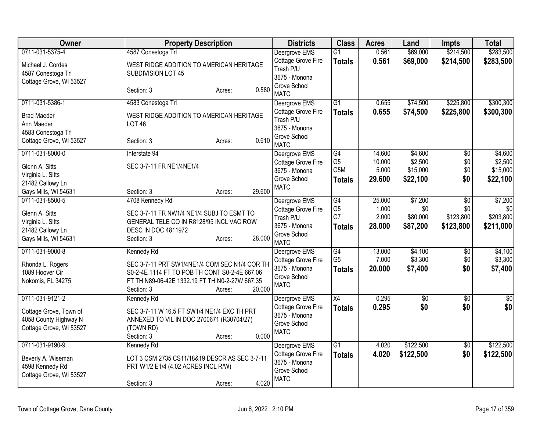| <b>Owner</b>                                                       | <b>Property Description</b>                                    | <b>Districts</b>                                 | <b>Class</b>                       | <b>Acres</b>    | Land                | <b>Impts</b>           | <b>Total</b>        |
|--------------------------------------------------------------------|----------------------------------------------------------------|--------------------------------------------------|------------------------------------|-----------------|---------------------|------------------------|---------------------|
| 0711-031-5375-4                                                    | 4587 Conestoga Trl                                             | Deergrove EMS                                    | $\overline{G1}$                    | 0.561           | \$69,000            | \$214,500              | \$283,500           |
| Michael J. Cordes<br>4587 Conestoga Trl<br>Cottage Grove, WI 53527 | WEST RIDGE ADDITION TO AMERICAN HERITAGE<br>SUBDIVISION LOT 45 | Cottage Grove Fire<br>Trash P/U<br>3675 - Monona | <b>Totals</b>                      | 0.561           | \$69,000            | \$214,500              | \$283,500           |
|                                                                    | 0.580<br>Section: 3<br>Acres:                                  | Grove School<br><b>MATC</b>                      |                                    |                 |                     |                        |                     |
| 0711-031-5386-1                                                    | 4583 Conestoga Trl                                             | Deergrove EMS                                    | G1                                 | 0.655           | \$74,500            | \$225,800              | \$300,300           |
| <b>Brad Maeder</b><br>Ann Maeder<br>4583 Conestoga Trl             | WEST RIDGE ADDITION TO AMERICAN HERITAGE<br><b>LOT 46</b>      | Cottage Grove Fire<br>Trash P/U<br>3675 - Monona | <b>Totals</b>                      | 0.655           | \$74,500            | \$225,800              | \$300,300           |
| Cottage Grove, WI 53527                                            | 0.610<br>Section: 3<br>Acres:                                  | Grove School<br><b>MATC</b>                      |                                    |                 |                     |                        |                     |
| 0711-031-8000-0                                                    | Interstate 94                                                  | Deergrove EMS                                    | G4                                 | 14.600          | \$4,600             | $\overline{50}$        | \$4,600             |
| Glenn A. Sitts                                                     | SEC 3-7-11 FR NE1/4NE1/4                                       | Cottage Grove Fire<br>3675 - Monona              | G <sub>5</sub><br>G <sub>5</sub> M | 10.000<br>5.000 | \$2,500<br>\$15,000 | \$0<br>\$0             | \$2,500<br>\$15,000 |
| Virginia L. Sitts                                                  |                                                                | Grove School                                     | <b>Totals</b>                      | 29.600          | \$22,100            | \$0                    | \$22,100            |
| 21482 Callowy Ln                                                   |                                                                | <b>MATC</b>                                      |                                    |                 |                     |                        |                     |
| Gays Mills, WI 54631                                               | 29.600<br>Section: 3<br>Acres:                                 |                                                  |                                    |                 |                     |                        |                     |
| 0711-031-8500-5                                                    | 4708 Kennedy Rd                                                | Deergrove EMS                                    | G4<br>G <sub>5</sub>               | 25.000<br>1.000 | \$7,200<br>\$0      | $\overline{30}$<br>\$0 | \$7,200<br>\$0      |
| Glenn A. Sitts                                                     | SEC 3-7-11 FR NW1/4 NE1/4 SUBJ TO ESMT TO                      | Cottage Grove Fire<br>Trash P/U                  | G7                                 | 2.000           | \$80,000            | \$123,800              | \$203,800           |
| Virginia L. Sitts                                                  | GENERAL TELE CO IN R8128/95 INCL VAC ROW                       | 3675 - Monona                                    | <b>Totals</b>                      | 28.000          | \$87,200            | \$123,800              | \$211,000           |
| 21482 Callowy Ln                                                   | <b>DESC IN DOC 4811972</b>                                     | Grove School                                     |                                    |                 |                     |                        |                     |
| Gays Mills, WI 54631                                               | 28.000<br>Section: 3<br>Acres:                                 | <b>MATC</b>                                      |                                    |                 |                     |                        |                     |
| 0711-031-9000-8                                                    | Kennedy Rd                                                     | Deergrove EMS                                    | $\overline{G4}$                    | 13.000          | \$4,100             | $\overline{50}$        | \$4,100             |
| Rhonda L. Rogers                                                   | SEC 3-7-11 PRT SW1/4NE1/4 COM SEC N1/4 COR TH                  | Cottage Grove Fire                               | G <sub>5</sub>                     | 7.000           | \$3,300             | \$0                    | \$3,300             |
| 1089 Hoover Cir                                                    | S0-2-4E 1114 FT TO POB TH CONT S0-2-4E 667.06                  | 3675 - Monona                                    | <b>Totals</b>                      | 20.000          | \$7,400             | \$0                    | \$7,400             |
| Nokomis, FL 34275                                                  | FT TH N89-06-42E 1332.19 FT TH N0-2-27W 667.35                 | Grove School<br><b>MATC</b>                      |                                    |                 |                     |                        |                     |
|                                                                    | 20.000<br>Section: 3<br>Acres:                                 |                                                  |                                    |                 |                     |                        |                     |
| 0711-031-9121-2                                                    | Kennedy Rd                                                     | Deergrove EMS                                    | X4                                 | 0.295           | $\overline{50}$     | $\overline{50}$        | $\sqrt{50}$         |
| Cottage Grove, Town of                                             | SEC 3-7-11 W 16.5 FT SW1/4 NE1/4 EXC TH PRT                    | Cottage Grove Fire                               | <b>Totals</b>                      | 0.295           | \$0                 | \$0                    | \$0                 |
| 4058 County Highway N                                              | ANNEXED TO VIL IN DOC 2700671 (R30704/27)                      | 3675 - Monona<br>Grove School                    |                                    |                 |                     |                        |                     |
| Cottage Grove, WI 53527                                            | (TOWN RD)                                                      | <b>MATC</b>                                      |                                    |                 |                     |                        |                     |
|                                                                    | 0.000<br>Section: 3<br>Acres:                                  |                                                  |                                    |                 |                     |                        |                     |
| 0711-031-9190-9                                                    | Kennedy Rd                                                     | Deergrove EMS                                    | $\overline{G1}$                    | 4.020           | \$122,500           | $\overline{50}$        | \$122,500           |
| Beverly A. Wiseman                                                 | LOT 3 CSM 2735 CS11/18&19 DESCR AS SEC 3-7-11                  | Cottage Grove Fire<br>3675 - Monona              | <b>Totals</b>                      | 4.020           | \$122,500           | \$0                    | \$122,500           |
| 4598 Kennedy Rd                                                    | PRT W1/2 E1/4 (4.02 ACRES INCL R/W)                            | Grove School                                     |                                    |                 |                     |                        |                     |
| Cottage Grove, WI 53527                                            |                                                                | <b>MATC</b>                                      |                                    |                 |                     |                        |                     |
|                                                                    | 4.020<br>Section: 3<br>Acres:                                  |                                                  |                                    |                 |                     |                        |                     |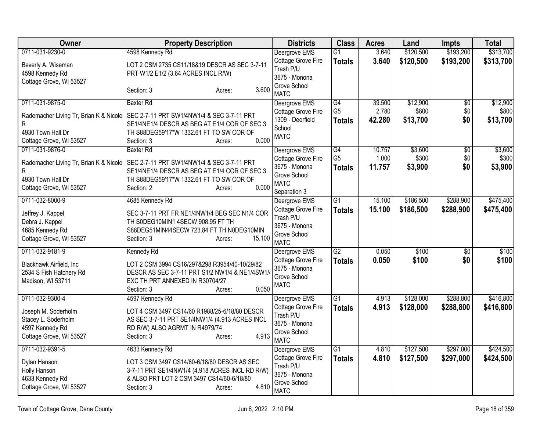| Owner                                  | <b>Property Description</b>                                                        | <b>Districts</b>                           | <b>Class</b>    | <b>Acres</b> | Land      | <b>Impts</b>    | <b>Total</b> |
|----------------------------------------|------------------------------------------------------------------------------------|--------------------------------------------|-----------------|--------------|-----------|-----------------|--------------|
| 0711-031-9230-0                        | 4598 Kennedy Rd                                                                    | Deergrove EMS                              | $\overline{G1}$ | 3.640        | \$120,500 | \$193,200       | \$313,700    |
| Beverly A. Wiseman                     | LOT 2 CSM 2735 CS11/18&19 DESCR AS SEC 3-7-11                                      | Cottage Grove Fire                         | <b>Totals</b>   | 3.640        | \$120,500 | \$193,200       | \$313,700    |
| 4598 Kennedy Rd                        | PRT W1/2 E1/2 (3.64 ACRES INCL R/W)                                                | Trash P/U                                  |                 |              |           |                 |              |
| Cottage Grove, WI 53527                |                                                                                    | 3675 - Monona<br>Grove School              |                 |              |           |                 |              |
|                                        | 3.600<br>Section: 3<br>Acres:                                                      | <b>MATC</b>                                |                 |              |           |                 |              |
| 0711-031-9875-0                        | <b>Baxter Rd</b>                                                                   | Deergrove EMS                              | G4              | 39.500       | \$12,900  | $\overline{50}$ | \$12,900     |
| Rademacher Living Tr, Brian K & Nicole | SEC 2-7-11 PRT SW1/4NW1/4 & SEC 3-7-11 PRT                                         | Cottage Grove Fire                         | G <sub>5</sub>  | 2.780        | \$800     | \$0             | \$800        |
| R                                      | SE1/4NE1/4 DESCR AS BEG AT E1/4 COR OF SEC 3                                       | 1309 - Deerfield<br>School                 | <b>Totals</b>   | 42.280       | \$13,700  | \$0             | \$13,700     |
| 4930 Town Hall Dr                      | TH S88DEG59'17"W 1332.61 FT TO SW COR OF                                           | <b>MATC</b>                                |                 |              |           |                 |              |
| Cottage Grove, WI 53527                | 0.000<br>Section: 3<br>Acres:                                                      |                                            |                 |              |           |                 |              |
| 0711-031-9876-0                        | <b>Baxter Rd</b>                                                                   | Deergrove EMS                              | $\overline{G4}$ | 10.757       | \$3,600   | $\overline{50}$ | \$3,600      |
| Rademacher Living Tr, Brian K & Nicole | SEC 2-7-11 PRT SW1/4NW1/4 & SEC 3-7-11 PRT                                         | Cottage Grove Fire                         | G <sub>5</sub>  | 1.000        | \$300     | \$0             | \$300        |
| R                                      | SE1/4NE1/4 DESCR AS BEG AT E1/4 COR OF SEC 3                                       | 3675 - Monona                              | <b>Totals</b>   | 11.757       | \$3,900   | \$0             | \$3,900      |
| 4930 Town Hall Dr                      | TH S88DEG59'17"W 1332.61 FT TO SW COR OF                                           | Grove School<br><b>MATC</b>                |                 |              |           |                 |              |
| Cottage Grove, WI 53527                | 0.000<br>Section: 2<br>Acres:                                                      | Separation 3                               |                 |              |           |                 |              |
| 0711-032-8000-9                        | 4685 Kennedy Rd                                                                    | Deergrove EMS                              | $\overline{G1}$ | 15.100       | \$186,500 | \$288,900       | \$475,400    |
|                                        |                                                                                    | Cottage Grove Fire                         | <b>Totals</b>   | 15.100       | \$186,500 | \$288,900       | \$475,400    |
| Jeffrey J. Kappel                      | SEC 3-7-11 PRT FR NE1/4NW1/4 BEG SEC N1/4 COR<br>TH SODEG10MIN1 4SECW 908.95 FT TH | Trash P/U                                  |                 |              |           |                 |              |
| Debra J. Kappel<br>4685 Kennedy Rd     | S88DEG51MIN44SECW 723.84 FT TH N0DEG10MIN                                          | 3675 - Monona                              |                 |              |           |                 |              |
| Cottage Grove, WI 53527                | 15.100<br>Section: 3<br>Acres:                                                     | Grove School                               |                 |              |           |                 |              |
|                                        |                                                                                    | <b>MATC</b>                                |                 |              |           |                 |              |
| 0711-032-9181-9                        | Kennedy Rd                                                                         | Deergrove EMS                              | G2              | 0.050        | \$100     | $\overline{50}$ | \$100        |
| Blackhawk Airfield, Inc                | LOT 2 CSM 3994 CS16/297&298 R3954/40-10/29/82                                      | <b>Cottage Grove Fire</b><br>3675 - Monona | <b>Totals</b>   | 0.050        | \$100     | \$0             | \$100        |
| 2534 S Fish Hatchery Rd                | DESCR AS SEC 3-7-11 PRT S1/2 NW1/4 & NE1/4SW1/                                     | Grove School                               |                 |              |           |                 |              |
| Madison, WI 53711                      | EXC TH PRT ANNEXED IN R30704/27                                                    | <b>MATC</b>                                |                 |              |           |                 |              |
|                                        | 0.050<br>Section: 3<br>Acres:                                                      |                                            |                 |              |           |                 |              |
| 0711-032-9300-4                        | 4597 Kennedy Rd                                                                    | Deergrove EMS                              | $\overline{G1}$ | 4.913        | \$128,000 | \$288,800       | \$416,800    |
| Joseph M. Soderholm                    | LOT 4 CSM 3497 CS14/60 R1988/25-6/18/80 DESCR                                      | Cottage Grove Fire<br>Trash P/U            | <b>Totals</b>   | 4.913        | \$128,000 | \$288,800       | \$416,800    |
| Stacey L. Soderholm                    | AS SEC 3-7-11 PRT SE1/4NW1/4 (4.913 ACRES INCL                                     | 3675 - Monona                              |                 |              |           |                 |              |
| 4597 Kennedy Rd                        | RD R/W) ALSO AGRMT IN R4979/74                                                     | Grove School                               |                 |              |           |                 |              |
| Cottage Grove, WI 53527                | 4.913<br>Section: 3<br>Acres:                                                      | <b>MATC</b>                                |                 |              |           |                 |              |
| 0711-032-9391-5                        | 4633 Kennedy Rd                                                                    | Deergrove EMS                              | G1              | 4.810        | \$127,500 | \$297,000       | \$424,500    |
| Dylan Hanson                           | LOT 3 CSM 3497 CS14/60-6/18/80 DESCR AS SEC                                        | Cottage Grove Fire                         | <b>Totals</b>   | 4.810        | \$127,500 | \$297,000       | \$424,500    |
| Holly Hanson                           | 3-7-11 PRT SE1/4NW1/4 (4.918 ACRES INCL RD R/W)                                    | Trash P/U                                  |                 |              |           |                 |              |
| 4633 Kennedy Rd                        | & ALSO PRT LOT 2 CSM 3497 CS14/60-6/18/80                                          | 3675 - Monona                              |                 |              |           |                 |              |
| Cottage Grove, WI 53527                | 4.810<br>Section: 3<br>Acres:                                                      | Grove School<br><b>MATC</b>                |                 |              |           |                 |              |
|                                        |                                                                                    |                                            |                 |              |           |                 |              |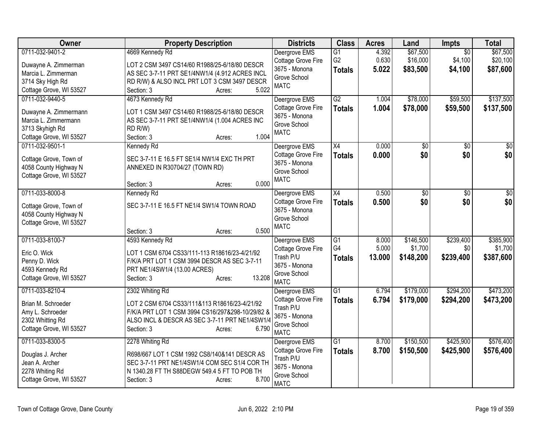| Owner                                                                                                          | <b>Property Description</b>                                                                                                                                                                             | <b>Districts</b>                                                                                 | <b>Class</b>                                       | <b>Acres</b>             | Land                              | Impts                                 | <b>Total</b>                      |
|----------------------------------------------------------------------------------------------------------------|---------------------------------------------------------------------------------------------------------------------------------------------------------------------------------------------------------|--------------------------------------------------------------------------------------------------|----------------------------------------------------|--------------------------|-----------------------------------|---------------------------------------|-----------------------------------|
| 0711-032-9401-2<br>Duwayne A. Zimmerman<br>Marcia L. Zimmerman<br>3714 Sky High Rd                             | 4669 Kennedy Rd<br>LOT 2 CSM 3497 CS14/60 R1988/25-6/18/80 DESCR<br>AS SEC 3-7-11 PRT SE1/4NW1/4 (4.912 ACRES INCL<br>RD R/W) & ALSO INCL PRT LOT 3 CSM 3497 DESCR                                      | Deergrove EMS<br>Cottage Grove Fire<br>3675 - Monona<br>Grove School                             | $\overline{G1}$<br>G <sub>2</sub><br><b>Totals</b> | 4.392<br>0.630<br>5.022  | \$67,500<br>\$16,000<br>\$83,500  | $\overline{30}$<br>\$4,100<br>\$4,100 | \$67,500<br>\$20,100<br>\$87,600  |
| Cottage Grove, WI 53527                                                                                        | 5.022<br>Section: 3<br>Acres:                                                                                                                                                                           | <b>MATC</b>                                                                                      |                                                    |                          |                                   |                                       |                                   |
| 0711-032-9440-5<br>Duwayne A. Zimmermann<br>Marcia L. Zimmermann<br>3713 Skyhigh Rd<br>Cottage Grove, WI 53527 | 4673 Kennedy Rd<br>LOT 1 CSM 3497 CS14/60 R1988/25-6/18/80 DESCR<br>AS SEC 3-7-11 PRT SE1/4NW1/4 (1.004 ACRES INC<br>RD R/W)<br>1.004<br>Section: 3<br>Acres:                                           | Deergrove EMS<br>Cottage Grove Fire<br>3675 - Monona<br>Grove School<br><b>MATC</b>              | $\overline{G2}$<br><b>Totals</b>                   | 1.004<br>1.004           | \$78,000<br>\$78,000              | \$59,500<br>\$59,500                  | \$137,500<br>\$137,500            |
| 0711-032-9501-1<br>Cottage Grove, Town of<br>4058 County Highway N<br>Cottage Grove, WI 53527                  | Kennedy Rd<br>SEC 3-7-11 E 16.5 FT SE1/4 NW1/4 EXC TH PRT<br>ANNEXED IN R30704/27 (TOWN RD)<br>0.000<br>Section: 3<br>Acres:                                                                            | Deergrove EMS<br>Cottage Grove Fire<br>3675 - Monona<br>Grove School<br><b>MATC</b>              | $\overline{X4}$<br><b>Totals</b>                   | 0.000<br>0.000           | \$0<br>\$0                        | \$0<br>\$0                            | $\overline{50}$<br>\$0            |
| 0711-033-8000-8<br>Cottage Grove, Town of<br>4058 County Highway N<br>Cottage Grove, WI 53527                  | Kennedy Rd<br>SEC 3-7-11 E 16.5 FT NE1/4 SW1/4 TOWN ROAD<br>0.500<br>Section: 3<br>Acres:                                                                                                               | Deergrove EMS<br>Cottage Grove Fire<br>3675 - Monona<br>Grove School<br><b>MATC</b>              | X4<br><b>Totals</b>                                | 0.500<br>0.500           | \$0<br>\$0                        | \$0<br>\$0                            | \$0<br>\$0                        |
| 0711-033-8100-7<br>Eric O. Wick<br>Penny D. Wick<br>4593 Kennedy Rd<br>Cottage Grove, WI 53527                 | 4593 Kennedy Rd<br>LOT 1 CSM 6704 CS33/111-113 R18616/23-4/21/92<br>F/K/A PRT LOT 1 CSM 3994 DESCR AS SEC 3-7-11<br>PRT NE1/4SW1/4 (13.00 ACRES)<br>13.208<br>Section: 3<br>Acres:                      | Deergrove EMS<br>Cottage Grove Fire<br>Trash P/U<br>3675 - Monona<br>Grove School<br><b>MATC</b> | G1<br>G4<br><b>Totals</b>                          | 8.000<br>5.000<br>13,000 | \$146,500<br>\$1,700<br>\$148,200 | \$239,400<br>\$0<br>\$239,400         | \$385,900<br>\$1,700<br>\$387,600 |
| 0711-033-8210-4<br>Brian M. Schroeder<br>Amy L. Schroeder<br>2302 Whitting Rd<br>Cottage Grove, WI 53527       | 2302 Whiting Rd<br>LOT 2 CSM 6704 CS33/111&113 R18616/23-4/21/92<br>F/K/A PRT LOT 1 CSM 3994 CS16/297&298-10/29/82 &<br>ALSO INCL & DESCR AS SEC 3-7-11 PRT NE1/4SW1/4<br>6.790<br>Section: 3<br>Acres: | Deergrove EMS<br>Cottage Grove Fire<br>Trash P/U<br>3675 - Monona<br>Grove School<br><b>MATC</b> | G1<br><b>Totals</b>                                | 6.794<br>6.794           | \$179,000<br>\$179,000            | \$294,200<br>\$294,200                | \$473,200<br>\$473,200            |
| 0711-033-8300-5<br>Douglas J. Archer<br>Jean A. Archer<br>2278 Whiting Rd<br>Cottage Grove, WI 53527           | 2278 Whiting Rd<br>R698/667 LOT 1 CSM 1992 CS8/140&141 DESCR AS<br>SEC 3-7-11 PRT NE1/4SW1/4 COM SEC S1/4 COR TH<br>N 1340.28 FT TH S88DEGW 549.4 5 FT TO POB TH<br>8.700<br>Section: 3<br>Acres:       | Deergrove EMS<br>Cottage Grove Fire<br>Trash P/U<br>3675 - Monona<br>Grove School<br><b>MATC</b> | $\overline{G1}$<br><b>Totals</b>                   | 8.700<br>8.700           | \$150,500<br>\$150,500            | \$425,900<br>\$425,900                | \$576,400<br>\$576,400            |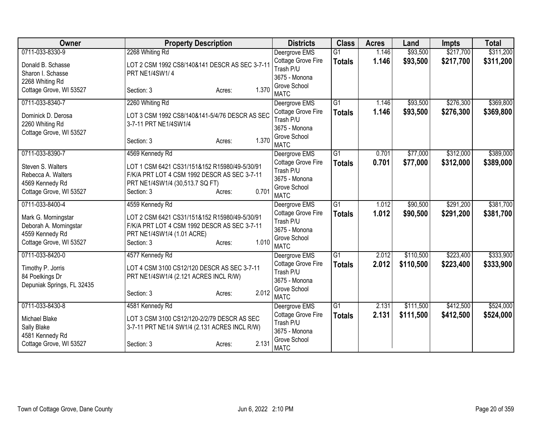| Owner                                 | <b>Property Description</b>                                                     |                 | <b>Districts</b>                | <b>Class</b>    | <b>Acres</b> | Land      | Impts     | <b>Total</b> |
|---------------------------------------|---------------------------------------------------------------------------------|-----------------|---------------------------------|-----------------|--------------|-----------|-----------|--------------|
| 0711-033-8330-9                       | 2268 Whiting Rd                                                                 |                 | Deergrove EMS                   | $\overline{G1}$ | 1.146        | \$93,500  | \$217,700 | \$311,200    |
| Donald B. Schasse                     | LOT 2 CSM 1992 CS8/140&141 DESCR AS SEC 3-7-11                                  |                 | Cottage Grove Fire              | <b>Totals</b>   | 1.146        | \$93,500  | \$217,700 | \$311,200    |
| Sharon I. Schasse                     | PRT NE1/4SW1/4                                                                  |                 | Trash P/U                       |                 |              |           |           |              |
| 2268 Whiting Rd                       |                                                                                 |                 | 3675 - Monona<br>Grove School   |                 |              |           |           |              |
| Cottage Grove, WI 53527               | Section: 3                                                                      | 1.370<br>Acres: | <b>MATC</b>                     |                 |              |           |           |              |
| 0711-033-8340-7                       | 2260 Whiting Rd                                                                 |                 | Deergrove EMS                   | $\overline{G1}$ | 1.146        | \$93,500  | \$276,300 | \$369,800    |
| Dominick D. Derosa                    | LOT 3 CSM 1992 CS8/140&141-5/4/76 DESCR AS SEC                                  |                 | Cottage Grove Fire              | <b>Totals</b>   | 1.146        | \$93,500  | \$276,300 | \$369,800    |
| 2260 Whiting Rd                       | 3-7-11 PRT NE1/4SW1/4                                                           |                 | Trash P/U                       |                 |              |           |           |              |
| Cottage Grove, WI 53527               |                                                                                 |                 | 3675 - Monona                   |                 |              |           |           |              |
|                                       | Section: 3                                                                      | 1.370<br>Acres: | Grove School<br><b>MATC</b>     |                 |              |           |           |              |
| 0711-033-8390-7                       | 4569 Kennedy Rd                                                                 |                 | Deergrove EMS                   | G1              | 0.701        | \$77,000  | \$312,000 | \$389,000    |
|                                       |                                                                                 |                 | Cottage Grove Fire              | <b>Totals</b>   | 0.701        | \$77,000  | \$312,000 | \$389,000    |
| Steven S. Walters                     | LOT 1 CSM 6421 CS31/151&152 R15980/49-5/30/91                                   |                 | Trash P/U                       |                 |              |           |           |              |
| Rebecca A. Walters<br>4569 Kennedy Rd | F/K/A PRT LOT 4 CSM 1992 DESCR AS SEC 3-7-11<br>PRT NE1/4SW1/4 (30,513.7 SQ FT) |                 | 3675 - Monona                   |                 |              |           |           |              |
| Cottage Grove, WI 53527               | Section: 3                                                                      | 0.701<br>Acres: | Grove School                    |                 |              |           |           |              |
|                                       |                                                                                 |                 | <b>MATC</b>                     |                 |              |           |           |              |
| 0711-033-8400-4                       | 4559 Kennedy Rd                                                                 |                 | Deergrove EMS                   | $\overline{G1}$ | 1.012        | \$90,500  | \$291,200 | \$381,700    |
| Mark G. Morningstar                   | LOT 2 CSM 6421 CS31/151&152 R15980/49-5/30/91                                   |                 | Cottage Grove Fire              | <b>Totals</b>   | 1.012        | \$90,500  | \$291,200 | \$381,700    |
| Deborah A. Morningstar                | F/K/A PRT LOT 4 CSM 1992 DESCR AS SEC 3-7-11                                    |                 | Trash P/U                       |                 |              |           |           |              |
| 4559 Kennedy Rd                       | PRT NE1/4SW1/4 (1.01 ACRE)                                                      |                 | 3675 - Monona<br>Grove School   |                 |              |           |           |              |
| Cottage Grove, WI 53527               | Section: 3                                                                      | 1.010<br>Acres: | <b>MATC</b>                     |                 |              |           |           |              |
| 0711-033-8420-0                       | 4577 Kennedy Rd                                                                 |                 | Deergrove EMS                   | G1              | 2.012        | \$110,500 | \$223,400 | \$333,900    |
| Timothy P. Jorris                     | LOT 4 CSM 3100 CS12/120 DESCR AS SEC 3-7-11                                     |                 | Cottage Grove Fire              | <b>Totals</b>   | 2.012        | \$110,500 | \$223,400 | \$333,900    |
| 84 Poelkings Dr                       | PRT NE1/4SW1/4 (2.121 ACRES INCL R/W)                                           |                 | Trash P/U                       |                 |              |           |           |              |
| Depuniak Springs, FL 32435            |                                                                                 |                 | 3675 - Monona                   |                 |              |           |           |              |
|                                       | Section: 3                                                                      | 2.012<br>Acres: | Grove School                    |                 |              |           |           |              |
|                                       |                                                                                 |                 | <b>MATC</b>                     |                 |              |           |           |              |
| 0711-033-8430-8                       | 4581 Kennedy Rd                                                                 |                 | Deergrove EMS                   | $\overline{G1}$ | 2.131        | \$111,500 | \$412,500 | \$524,000    |
| Michael Blake                         | LOT 3 CSM 3100 CS12/120-2/2/79 DESCR AS SEC                                     |                 | Cottage Grove Fire<br>Trash P/U | <b>Totals</b>   | 2.131        | \$111,500 | \$412,500 | \$524,000    |
| Sally Blake                           | 3-7-11 PRT NE1/4 SW1/4 (2.131 ACRES INCL R/W)                                   |                 | 3675 - Monona                   |                 |              |           |           |              |
| 4581 Kennedy Rd                       |                                                                                 |                 | Grove School                    |                 |              |           |           |              |
| Cottage Grove, WI 53527               | Section: 3                                                                      | 2.131<br>Acres: | <b>MATC</b>                     |                 |              |           |           |              |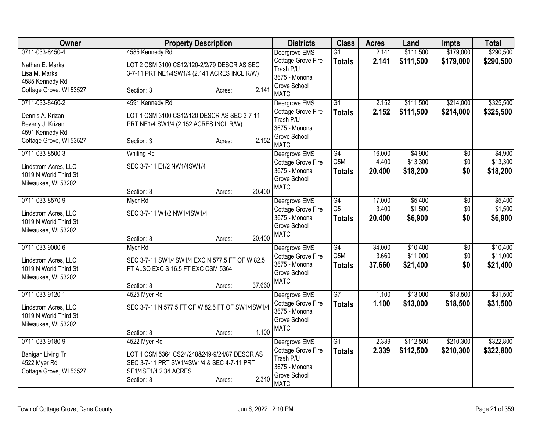| Owner                                                                           | <b>Property Description</b>                                                                                                                                          | <b>Districts</b>                                                                                 | <b>Class</b>                      | <b>Acres</b>    | Land                   | <b>Impts</b>           | <b>Total</b>           |
|---------------------------------------------------------------------------------|----------------------------------------------------------------------------------------------------------------------------------------------------------------------|--------------------------------------------------------------------------------------------------|-----------------------------------|-----------------|------------------------|------------------------|------------------------|
| 0711-033-8450-4                                                                 | 4585 Kennedy Rd                                                                                                                                                      | Deergrove EMS                                                                                    | $\overline{G1}$                   | 2.141           | \$111,500              | \$179,000              | \$290,500              |
| Nathan E. Marks<br>Lisa M. Marks<br>4585 Kennedy Rd                             | LOT 2 CSM 3100 CS12/120-2/2/79 DESCR AS SEC<br>3-7-11 PRT NE1/4SW1/4 (2.141 ACRES INCL R/W)                                                                          | Cottage Grove Fire<br>Trash P/U<br>3675 - Monona                                                 | <b>Totals</b>                     | 2.141           | \$111,500              | \$179,000              | \$290,500              |
| Cottage Grove, WI 53527                                                         | 2.141<br>Section: 3<br>Acres:                                                                                                                                        | Grove School<br><b>MATC</b>                                                                      |                                   |                 |                        |                        |                        |
| 0711-033-8460-2                                                                 | 4591 Kennedy Rd                                                                                                                                                      | Deergrove EMS                                                                                    | $\overline{G1}$                   | 2.152           | \$111,500              | \$214,000              | \$325,500              |
| Dennis A. Krizan<br>Beverly J. Krizan<br>4591 Kennedy Rd                        | LOT 1 CSM 3100 CS12/120 DESCR AS SEC 3-7-11<br>PRT NE1/4 SW1/4 (2.152 ACRES INCL R/W)                                                                                | Cottage Grove Fire<br>Trash P/U<br>3675 - Monona                                                 | <b>Totals</b>                     | 2.152           | \$111,500              | \$214,000              | \$325,500              |
| Cottage Grove, WI 53527                                                         | 2.152<br>Section: 3<br>Acres:                                                                                                                                        | Grove School<br><b>MATC</b>                                                                      |                                   |                 |                        |                        |                        |
| 0711-033-8500-3                                                                 | <b>Whiting Rd</b>                                                                                                                                                    | Deergrove EMS                                                                                    | G4                                | 16.000          | \$4,900                | \$0                    | \$4,900                |
| Lindstrom Acres, LLC<br>1019 N World Third St<br>Milwaukee, WI 53202            | SEC 3-7-11 E1/2 NW1/4SW1/4                                                                                                                                           | Cottage Grove Fire<br>3675 - Monona<br>Grove School                                              | G <sub>5</sub> M<br><b>Totals</b> | 4.400<br>20.400 | \$13,300<br>\$18,200   | \$0<br>\$0             | \$13,300<br>\$18,200   |
|                                                                                 | 20.400<br>Section: 3<br>Acres:                                                                                                                                       | <b>MATC</b>                                                                                      |                                   |                 |                        |                        |                        |
| 0711-033-8570-9                                                                 | Myer Rd                                                                                                                                                              | Deergrove EMS                                                                                    | $\overline{G4}$                   | 17.000          | \$5,400                | \$0                    | \$5,400                |
| Lindstrom Acres, LLC<br>1019 N World Third St<br>Milwaukee, WI 53202            | SEC 3-7-11 W1/2 NW1/4SW1/4                                                                                                                                           | Cottage Grove Fire<br>3675 - Monona<br>Grove School                                              | G <sub>5</sub><br><b>Totals</b>   | 3.400<br>20.400 | \$1,500<br>\$6,900     | \$0<br>\$0             | \$1,500<br>\$6,900     |
|                                                                                 | 20.400<br>Section: 3<br>Acres:                                                                                                                                       | <b>MATC</b>                                                                                      |                                   |                 |                        |                        |                        |
| 0711-033-9000-6                                                                 | Myer Rd                                                                                                                                                              | Deergrove EMS                                                                                    | $\overline{G4}$                   | 34.000          | \$10,400               | $\overline{50}$        | \$10,400               |
| Lindstrom Acres, LLC<br>1019 N World Third St<br>Milwaukee, WI 53202            | SEC 3-7-11 SW1/4SW1/4 EXC N 577.5 FT OF W 82.5<br>FT ALSO EXC S 16.5 FT EXC CSM 5364<br>37.660<br>Section: 3                                                         | Cottage Grove Fire<br>3675 - Monona<br>Grove School<br><b>MATC</b>                               | G <sub>5</sub> M<br><b>Totals</b> | 3.660<br>37.660 | \$11,000<br>\$21,400   | \$0<br>\$0             | \$11,000<br>\$21,400   |
| 0711-033-9120-1                                                                 | Acres:<br>4525 Myer Rd                                                                                                                                               | Deergrove EMS                                                                                    | $\overline{G7}$                   | 1.100           | \$13,000               | \$18,500               | \$31,500               |
| Lindstrom Acres, LLC<br>1019 N World Third St<br>Milwaukee, WI 53202            | SEC 3-7-11 N 577.5 FT OF W 82.5 FT OF SW1/4SW1/4                                                                                                                     | Cottage Grove Fire<br>3675 - Monona<br>Grove School<br><b>MATC</b>                               | <b>Totals</b>                     | 1.100           | \$13,000               | \$18,500               | \$31,500               |
|                                                                                 | 1.100<br>Section: 3<br>Acres:                                                                                                                                        |                                                                                                  |                                   |                 |                        |                        |                        |
| 0711-033-9180-9<br>Banigan Living Tr<br>4522 Myer Rd<br>Cottage Grove, WI 53527 | 4522 Myer Rd<br>LOT 1 CSM 5364 CS24/248&249-9/24/87 DESCR AS<br>SEC 3-7-11 PRT SW1/4SW1/4 & SEC 4-7-11 PRT<br>SE1/4SE1/4 2.34 ACRES<br>2.340<br>Section: 3<br>Acres: | Deergrove EMS<br>Cottage Grove Fire<br>Trash P/U<br>3675 - Monona<br>Grove School<br><b>MATC</b> | $\overline{G1}$<br><b>Totals</b>  | 2.339<br>2.339  | \$112,500<br>\$112,500 | \$210,300<br>\$210,300 | \$322,800<br>\$322,800 |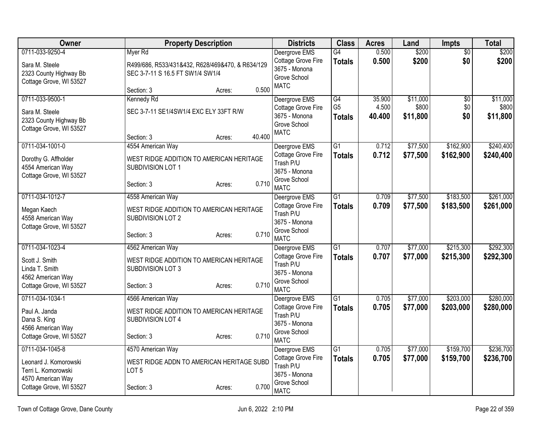| <b>Owner</b>                                                                                                    | <b>Property Description</b>                                                                                         | <b>Districts</b>                                                                                 | <b>Class</b>                          | <b>Acres</b>              | Land                          | Impts                         | <b>Total</b>                  |
|-----------------------------------------------------------------------------------------------------------------|---------------------------------------------------------------------------------------------------------------------|--------------------------------------------------------------------------------------------------|---------------------------------------|---------------------------|-------------------------------|-------------------------------|-------------------------------|
| 0711-033-9250-4<br>Sara M. Steele<br>2323 County Highway Bb<br>Cottage Grove, WI 53527                          | Myer Rd<br>R499/686, R533/431&432, R628/469&470, & R634/129<br>SEC 3-7-11 S 16.5 FT SW1/4 SW1/4                     | Deergrove EMS<br>Cottage Grove Fire<br>3675 - Monona<br>Grove School                             | G4<br><b>Totals</b>                   | 0.500<br>0.500            | \$200<br>\$200                | $\overline{50}$<br>\$0        | \$200<br>\$200                |
|                                                                                                                 | 0.500<br>Section: 3<br>Acres:                                                                                       | <b>MATC</b>                                                                                      |                                       |                           |                               |                               |                               |
| 0711-033-9500-1<br>Sara M. Steele<br>2323 County Highway Bb<br>Cottage Grove, WI 53527                          | Kennedy Rd<br>SEC 3-7-11 SE1/4SW1/4 EXC ELY 33FT R/W<br>40.400<br>Section: 3<br>Acres:                              | Deergrove EMS<br>Cottage Grove Fire<br>3675 - Monona<br>Grove School<br><b>MATC</b>              | G4<br>G <sub>5</sub><br><b>Totals</b> | 35.900<br>4.500<br>40.400 | \$11,000<br>\$800<br>\$11,800 | $\overline{50}$<br>\$0<br>\$0 | \$11,000<br>\$800<br>\$11,800 |
| 0711-034-1001-0<br>Dorothy G. Affholder<br>4554 American Way<br>Cottage Grove, WI 53527                         | 4554 American Way<br>WEST RIDGE ADDITION TO AMERICAN HERITAGE<br>SUBDIVISION LOT 1<br>0.710<br>Section: 3<br>Acres: | Deergrove EMS<br>Cottage Grove Fire<br>Trash P/U<br>3675 - Monona<br>Grove School<br><b>MATC</b> | $\overline{G1}$<br><b>Totals</b>      | 0.712<br>0.712            | \$77,500<br>\$77,500          | \$162,900<br>\$162,900        | \$240,400<br>\$240,400        |
| 0711-034-1012-7<br>Megan Kaech<br>4558 American Way<br>Cottage Grove, WI 53527                                  | 4558 American Way<br>WEST RIDGE ADDITION TO AMERICAN HERITAGE<br>SUBDIVISION LOT 2<br>0.710<br>Section: 3<br>Acres: | Deergrove EMS<br>Cottage Grove Fire<br>Trash P/U<br>3675 - Monona<br>Grove School<br><b>MATC</b> | $\overline{G1}$<br><b>Totals</b>      | 0.709<br>0.709            | \$77,500<br>\$77,500          | \$183,500<br>\$183,500        | \$261,000<br>\$261,000        |
| 0711-034-1023-4<br>Scott J. Smith<br>Linda T. Smith<br>4562 American Way<br>Cottage Grove, WI 53527             | 4562 American Way<br>WEST RIDGE ADDITION TO AMERICAN HERITAGE<br>SUBDIVISION LOT 3<br>0.710<br>Section: 3<br>Acres: | Deergrove EMS<br>Cottage Grove Fire<br>Trash P/U<br>3675 - Monona<br>Grove School<br><b>MATC</b> | G1<br><b>Totals</b>                   | 0.707<br>0.707            | \$77,000<br>\$77,000          | \$215,300<br>\$215,300        | \$292,300<br>\$292,300        |
| 0711-034-1034-1<br>Paul A. Janda<br>Dana S. King<br>4566 American Way<br>Cottage Grove, WI 53527                | 4566 American Way<br>WEST RIDGE ADDITION TO AMERICAN HERITAGE<br>SUBDIVISION LOT 4<br>0.710<br>Section: 3<br>Acres: | Deergrove EMS<br>Cottage Grove Fire<br>Trash P/U<br>3675 - Monona<br>Grove School<br><b>MATC</b> | $\overline{G1}$<br><b>Totals</b>      | 0.705<br>0.705            | \$77,000<br>\$77,000          | \$203,000<br>\$203,000        | \$280,000<br>\$280,000        |
| 0711-034-1045-8<br>Leonard J. Komorowski<br>Terri L. Komorowski<br>4570 American Way<br>Cottage Grove, WI 53527 | 4570 American Way<br>WEST RIDGE ADDN TO AMERICAN HERITAGE SUBD<br>LOT <sub>5</sub><br>0.700<br>Section: 3<br>Acres: | Deergrove EMS<br>Cottage Grove Fire<br>Trash P/U<br>3675 - Monona<br>Grove School<br><b>MATC</b> | G1<br><b>Totals</b>                   | 0.705<br>0.705            | \$77,000<br>\$77,000          | \$159,700<br>\$159,700        | \$236,700<br>\$236,700        |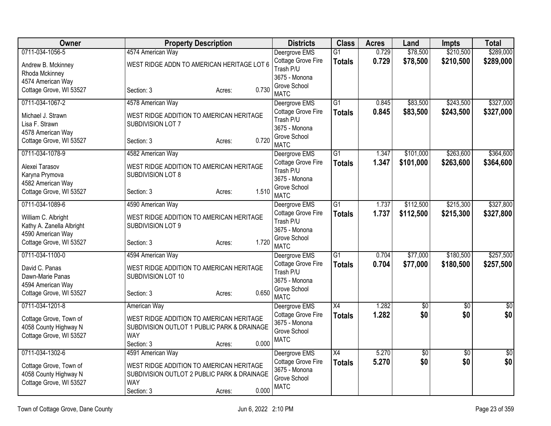| Owner                                        | <b>Property Description</b>                                   |       | <b>Districts</b>                | <b>Class</b>    | <b>Acres</b> | Land      | <b>Impts</b>    | <b>Total</b>    |
|----------------------------------------------|---------------------------------------------------------------|-------|---------------------------------|-----------------|--------------|-----------|-----------------|-----------------|
| 0711-034-1056-5                              | 4574 American Way                                             |       | Deergrove EMS                   | $\overline{G1}$ | 0.729        | \$78,500  | \$210,500       | \$289,000       |
| Andrew B. Mckinney                           | WEST RIDGE ADDN TO AMERICAN HERITAGE LOT 6                    |       | Cottage Grove Fire<br>Trash P/U | <b>Totals</b>   | 0.729        | \$78,500  | \$210,500       | \$289,000       |
| Rhoda Mckinney                               |                                                               |       | 3675 - Monona                   |                 |              |           |                 |                 |
| 4574 American Way<br>Cottage Grove, WI 53527 | Section: 3                                                    | 0.730 | Grove School                    |                 |              |           |                 |                 |
|                                              | Acres:                                                        |       | <b>MATC</b>                     |                 |              |           |                 |                 |
| 0711-034-1067-2                              | 4578 American Way                                             |       | Deergrove EMS                   | $\overline{G1}$ | 0.845        | \$83,500  | \$243,500       | \$327,000       |
| Michael J. Strawn                            | WEST RIDGE ADDITION TO AMERICAN HERITAGE                      |       | Cottage Grove Fire              | <b>Totals</b>   | 0.845        | \$83,500  | \$243,500       | \$327,000       |
| Lisa F. Strawn                               | SUBDIVISION LOT 7                                             |       | Trash P/U                       |                 |              |           |                 |                 |
| 4578 American Way                            |                                                               |       | 3675 - Monona<br>Grove School   |                 |              |           |                 |                 |
| Cottage Grove, WI 53527                      | Section: 3<br>Acres:                                          | 0.720 | <b>MATC</b>                     |                 |              |           |                 |                 |
| 0711-034-1078-9                              | 4582 American Way                                             |       | Deergrove EMS                   | G1              | 1.347        | \$101,000 | \$263,600       | \$364,600       |
|                                              |                                                               |       | Cottage Grove Fire              | <b>Totals</b>   | 1.347        | \$101,000 | \$263,600       | \$364,600       |
| Alexei Tarasov                               | WEST RIDGE ADDITION TO AMERICAN HERITAGE<br>SUBDIVISION LOT 8 |       | Trash P/U                       |                 |              |           |                 |                 |
| Karyna Prymova<br>4582 American Way          |                                                               |       | 3675 - Monona                   |                 |              |           |                 |                 |
| Cottage Grove, WI 53527                      | Section: 3<br>Acres:                                          | 1.510 | Grove School                    |                 |              |           |                 |                 |
|                                              |                                                               |       | <b>MATC</b>                     |                 |              |           |                 |                 |
| 0711-034-1089-6                              | 4590 American Way                                             |       | Deergrove EMS                   | G1              | 1.737        | \$112,500 | \$215,300       | \$327,800       |
| William C. Albright                          | WEST RIDGE ADDITION TO AMERICAN HERITAGE                      |       | Cottage Grove Fire              | <b>Totals</b>   | 1.737        | \$112,500 | \$215,300       | \$327,800       |
| Kathy A. Zanella Albright                    | SUBDIVISION LOT 9                                             |       | Trash P/U<br>3675 - Monona      |                 |              |           |                 |                 |
| 4590 American Way                            |                                                               |       | Grove School                    |                 |              |           |                 |                 |
| Cottage Grove, WI 53527                      | Section: 3<br>Acres:                                          | 1.720 | <b>MATC</b>                     |                 |              |           |                 |                 |
| 0711-034-1100-0                              | 4594 American Way                                             |       | Deergrove EMS                   | $\overline{G1}$ | 0.704        | \$77,000  | \$180,500       | \$257,500       |
| David C. Panas                               | WEST RIDGE ADDITION TO AMERICAN HERITAGE                      |       | Cottage Grove Fire              | <b>Totals</b>   | 0.704        | \$77,000  | \$180,500       | \$257,500       |
| Dawn-Marie Panas                             | SUBDIVISION LOT 10                                            |       | Trash P/U                       |                 |              |           |                 |                 |
| 4594 American Way                            |                                                               |       | 3675 - Monona                   |                 |              |           |                 |                 |
| Cottage Grove, WI 53527                      | Section: 3<br>Acres:                                          | 0.650 | Grove School<br><b>MATC</b>     |                 |              |           |                 |                 |
| 0711-034-1201-8                              | American Way                                                  |       | Deergrove EMS                   | X4              | 1.282        | \$0       | \$0             | $\overline{50}$ |
|                                              |                                                               |       | Cottage Grove Fire              | <b>Totals</b>   | 1.282        | \$0       | \$0             | \$0             |
| Cottage Grove, Town of                       | WEST RIDGE ADDITION TO AMERICAN HERITAGE                      |       | 3675 - Monona                   |                 |              |           |                 |                 |
| 4058 County Highway N                        | SUBDIVISION OUTLOT 1 PUBLIC PARK & DRAINAGE                   |       | Grove School                    |                 |              |           |                 |                 |
| Cottage Grove, WI 53527                      | <b>WAY</b>                                                    | 0.000 | <b>MATC</b>                     |                 |              |           |                 |                 |
| 0711-034-1302-6                              | Section: 3<br>Acres:<br>4591 American Way                     |       | Deergrove EMS                   | $\overline{X4}$ | 5.270        | \$0       | $\overline{50}$ | $\overline{50}$ |
|                                              |                                                               |       | Cottage Grove Fire              |                 | 5.270        | \$0       | \$0             | \$0             |
| Cottage Grove, Town of                       | WEST RIDGE ADDITION TO AMERICAN HERITAGE                      |       | 3675 - Monona                   | <b>Totals</b>   |              |           |                 |                 |
| 4058 County Highway N                        | SUBDIVISION OUTLOT 2 PUBLIC PARK & DRAINAGE                   |       | Grove School                    |                 |              |           |                 |                 |
| Cottage Grove, WI 53527                      | <b>WAY</b>                                                    |       | <b>MATC</b>                     |                 |              |           |                 |                 |
|                                              | Section: 3<br>Acres:                                          | 0.000 |                                 |                 |              |           |                 |                 |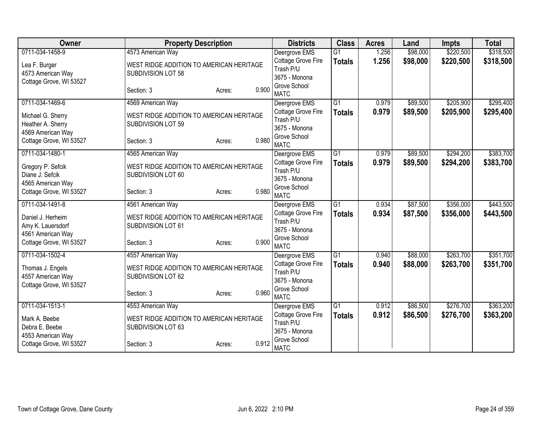| Owner                   | <b>Property Description</b>              |                 | <b>Districts</b>                    | <b>Class</b>    | <b>Acres</b> | Land     | <b>Impts</b> | <b>Total</b> |
|-------------------------|------------------------------------------|-----------------|-------------------------------------|-----------------|--------------|----------|--------------|--------------|
| 0711-034-1458-9         | 4573 American Way                        |                 | Deergrove EMS                       | $\overline{G1}$ | 1.256        | \$98,000 | \$220,500    | \$318,500    |
| Lea F. Burger           | WEST RIDGE ADDITION TO AMERICAN HERITAGE |                 | Cottage Grove Fire                  | <b>Totals</b>   | 1.256        | \$98,000 | \$220,500    | \$318,500    |
| 4573 American Way       | SUBDIVISION LOT 58                       |                 | Trash P/U                           |                 |              |          |              |              |
| Cottage Grove, WI 53527 |                                          |                 | 3675 - Monona                       |                 |              |          |              |              |
|                         | Section: 3                               | 0.900<br>Acres: | Grove School<br><b>MATC</b>         |                 |              |          |              |              |
| 0711-034-1469-6         | 4569 American Way                        |                 | Deergrove EMS                       | $\overline{G1}$ | 0.979        | \$89,500 | \$205,900    | \$295,400    |
| Michael G. Sherry       | WEST RIDGE ADDITION TO AMERICAN HERITAGE |                 | Cottage Grove Fire                  | <b>Totals</b>   | 0.979        | \$89,500 | \$205,900    | \$295,400    |
| Heather A. Sherry       | SUBDIVISION LOT 59                       |                 | Trash P/U                           |                 |              |          |              |              |
| 4569 American Way       |                                          |                 | 3675 - Monona                       |                 |              |          |              |              |
| Cottage Grove, WI 53527 | Section: 3                               | 0.980<br>Acres: | Grove School<br><b>MATC</b>         |                 |              |          |              |              |
| 0711-034-1480-1         | 4565 American Way                        |                 | Deergrove EMS                       | $\overline{G1}$ | 0.979        | \$89,500 | \$294,200    | \$383,700    |
|                         |                                          |                 | Cottage Grove Fire                  |                 | 0.979        | \$89,500 | \$294,200    | \$383,700    |
| Gregory P. Sefcik       | WEST RIDGE ADDITION TO AMERICAN HERITAGE |                 | Trash P/U                           | <b>Totals</b>   |              |          |              |              |
| Diane J. Sefcik         | SUBDIVISION LOT 60                       |                 | 3675 - Monona                       |                 |              |          |              |              |
| 4565 American Way       |                                          |                 | Grove School                        |                 |              |          |              |              |
| Cottage Grove, WI 53527 | Section: 3                               | 0.980<br>Acres: | <b>MATC</b>                         |                 |              |          |              |              |
| 0711-034-1491-8         | 4561 American Way                        |                 | Deergrove EMS                       | G1              | 0.934        | \$87,500 | \$356,000    | \$443,500    |
| Daniel J. Herheim       | WEST RIDGE ADDITION TO AMERICAN HERITAGE |                 | Cottage Grove Fire                  | <b>Totals</b>   | 0.934        | \$87,500 | \$356,000    | \$443,500    |
| Amy K. Lauersdorf       | SUBDIVISION LOT 61                       |                 | Trash P/U                           |                 |              |          |              |              |
| 4561 American Way       |                                          |                 | 3675 - Monona                       |                 |              |          |              |              |
| Cottage Grove, WI 53527 | Section: 3                               | 0.900<br>Acres: | Grove School                        |                 |              |          |              |              |
| 0711-034-1502-4         | 4557 American Way                        |                 | <b>MATC</b>                         | $\overline{G1}$ | 0.940        | \$88,000 | \$263,700    | \$351,700    |
|                         |                                          |                 | Deergrove EMS<br>Cottage Grove Fire |                 | 0.940        | \$88,000 | \$263,700    |              |
| Thomas J. Engels        | WEST RIDGE ADDITION TO AMERICAN HERITAGE |                 | Trash P/U                           | <b>Totals</b>   |              |          |              | \$351,700    |
| 4557 American Way       | SUBDIVISION LOT 62                       |                 | 3675 - Monona                       |                 |              |          |              |              |
| Cottage Grove, WI 53527 |                                          |                 | Grove School                        |                 |              |          |              |              |
|                         | Section: 3                               | 0.960<br>Acres: | <b>MATC</b>                         |                 |              |          |              |              |
| 0711-034-1513-1         | 4553 American Way                        |                 | Deergrove EMS                       | $\overline{G1}$ | 0.912        | \$86,500 | \$276,700    | \$363,200    |
| Mark A. Beebe           | WEST RIDGE ADDITION TO AMERICAN HERITAGE |                 | Cottage Grove Fire                  | <b>Totals</b>   | 0.912        | \$86,500 | \$276,700    | \$363,200    |
| Debra E. Beebe          | SUBDIVISION LOT 63                       |                 | Trash P/U                           |                 |              |          |              |              |
| 4553 American Way       |                                          |                 | 3675 - Monona                       |                 |              |          |              |              |
| Cottage Grove, WI 53527 | Section: 3                               | 0.912<br>Acres: | Grove School<br><b>MATC</b>         |                 |              |          |              |              |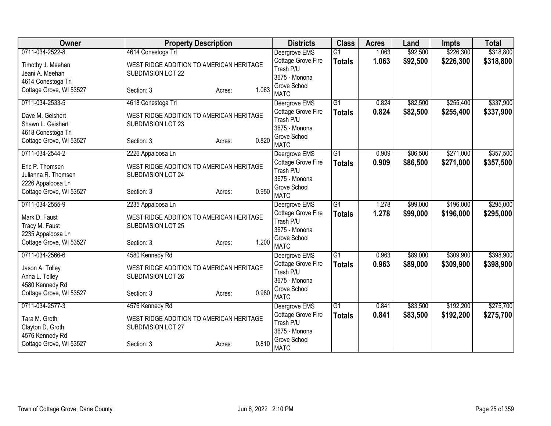| Owner                   | <b>Property Description</b>              |                 | <b>Districts</b>            | <b>Class</b>    | <b>Acres</b> | Land     | <b>Impts</b> | <b>Total</b> |
|-------------------------|------------------------------------------|-----------------|-----------------------------|-----------------|--------------|----------|--------------|--------------|
| 0711-034-2522-8         | 4614 Conestoga Trl                       |                 | Deergrove EMS               | $\overline{G1}$ | 1.063        | \$92,500 | \$226,300    | \$318,800    |
| Timothy J. Meehan       | WEST RIDGE ADDITION TO AMERICAN HERITAGE |                 | Cottage Grove Fire          | <b>Totals</b>   | 1.063        | \$92,500 | \$226,300    | \$318,800    |
| Jeani A. Meehan         | SUBDIVISION LOT 22                       |                 | Trash P/U                   |                 |              |          |              |              |
| 4614 Conestoga Trl      |                                          |                 | 3675 - Monona               |                 |              |          |              |              |
| Cottage Grove, WI 53527 | Section: 3                               | 1.063<br>Acres: | Grove School                |                 |              |          |              |              |
|                         |                                          |                 | <b>MATC</b>                 |                 |              |          |              |              |
| 0711-034-2533-5         | 4618 Conestoga Trl                       |                 | Deergrove EMS               | $\overline{G1}$ | 0.824        | \$82,500 | \$255,400    | \$337,900    |
| Dave M. Geishert        | WEST RIDGE ADDITION TO AMERICAN HERITAGE |                 | Cottage Grove Fire          | <b>Totals</b>   | 0.824        | \$82,500 | \$255,400    | \$337,900    |
| Shawn L. Geishert       | SUBDIVISION LOT 23                       |                 | Trash P/U<br>3675 - Monona  |                 |              |          |              |              |
| 4618 Conestoga Trl      |                                          |                 | Grove School                |                 |              |          |              |              |
| Cottage Grove, WI 53527 | Section: 3                               | 0.820<br>Acres: | <b>MATC</b>                 |                 |              |          |              |              |
| 0711-034-2544-2         | 2226 Appaloosa Ln                        |                 | Deergrove EMS               | $\overline{G1}$ | 0.909        | \$86,500 | \$271,000    | \$357,500    |
|                         |                                          |                 | Cottage Grove Fire          | <b>Totals</b>   | 0.909        | \$86,500 | \$271,000    | \$357,500    |
| Eric P. Thomsen         | WEST RIDGE ADDITION TO AMERICAN HERITAGE |                 | Trash P/U                   |                 |              |          |              |              |
| Julianna R. Thomsen     | SUBDIVISION LOT 24                       |                 | 3675 - Monona               |                 |              |          |              |              |
| 2226 Appaloosa Ln       |                                          |                 | Grove School                |                 |              |          |              |              |
| Cottage Grove, WI 53527 | Section: 3                               | 0.950<br>Acres: | <b>MATC</b>                 |                 |              |          |              |              |
| 0711-034-2555-9         | 2235 Appaloosa Ln                        |                 | Deergrove EMS               | $\overline{G1}$ | 1.278        | \$99,000 | \$196,000    | \$295,000    |
| Mark D. Faust           | WEST RIDGE ADDITION TO AMERICAN HERITAGE |                 | Cottage Grove Fire          | <b>Totals</b>   | 1.278        | \$99,000 | \$196,000    | \$295,000    |
| Tracy M. Faust          | SUBDIVISION LOT 25                       |                 | Trash P/U                   |                 |              |          |              |              |
| 2235 Appaloosa Ln       |                                          |                 | 3675 - Monona               |                 |              |          |              |              |
| Cottage Grove, WI 53527 | Section: 3                               | 1.200<br>Acres: | Grove School                |                 |              |          |              |              |
|                         |                                          |                 | <b>MATC</b>                 |                 |              |          |              |              |
| 0711-034-2566-6         | 4580 Kennedy Rd                          |                 | Deergrove EMS               | $\overline{G1}$ | 0.963        | \$89,000 | \$309,900    | \$398,900    |
| Jason A. Tolley         | WEST RIDGE ADDITION TO AMERICAN HERITAGE |                 | Cottage Grove Fire          | <b>Totals</b>   | 0.963        | \$89,000 | \$309,900    | \$398,900    |
| Anna L. Tolley          | SUBDIVISION LOT 26                       |                 | Trash P/U                   |                 |              |          |              |              |
| 4580 Kennedy Rd         |                                          |                 | 3675 - Monona               |                 |              |          |              |              |
| Cottage Grove, WI 53527 | Section: 3                               | 0.980<br>Acres: | Grove School<br><b>MATC</b> |                 |              |          |              |              |
| 0711-034-2577-3         | 4576 Kennedy Rd                          |                 | Deergrove EMS               | $\overline{G1}$ | 0.841        | \$83,500 | \$192,200    | \$275,700    |
|                         |                                          |                 | Cottage Grove Fire          |                 | 0.841        | \$83,500 | \$192,200    | \$275,700    |
| Tara M. Groth           | WEST RIDGE ADDITION TO AMERICAN HERITAGE |                 | Trash P/U                   | <b>Totals</b>   |              |          |              |              |
| Clayton D. Groth        | SUBDIVISION LOT 27                       |                 | 3675 - Monona               |                 |              |          |              |              |
| 4576 Kennedy Rd         |                                          |                 | Grove School                |                 |              |          |              |              |
| Cottage Grove, WI 53527 | Section: 3                               | 0.810<br>Acres: | <b>MATC</b>                 |                 |              |          |              |              |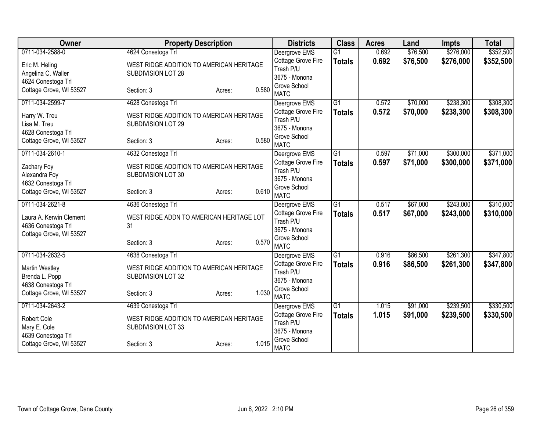| Owner                   | <b>Property Description</b>              |                 | <b>Districts</b>              | <b>Class</b>    | <b>Acres</b> | Land     | <b>Impts</b> | <b>Total</b> |
|-------------------------|------------------------------------------|-----------------|-------------------------------|-----------------|--------------|----------|--------------|--------------|
| 0711-034-2588-0         | 4624 Conestoga Trl                       |                 | Deergrove EMS                 | $\overline{G1}$ | 0.692        | \$76,500 | \$276,000    | \$352,500    |
| Eric M. Heling          | WEST RIDGE ADDITION TO AMERICAN HERITAGE |                 | Cottage Grove Fire            | <b>Totals</b>   | 0.692        | \$76,500 | \$276,000    | \$352,500    |
| Angelina C. Waller      | SUBDIVISION LOT 28                       |                 | Trash P/U                     |                 |              |          |              |              |
| 4624 Conestoga Trl      |                                          |                 | 3675 - Monona                 |                 |              |          |              |              |
| Cottage Grove, WI 53527 | Section: 3                               | 0.580<br>Acres: | Grove School                  |                 |              |          |              |              |
|                         |                                          |                 | <b>MATC</b>                   |                 |              |          |              |              |
| 0711-034-2599-7         | 4628 Conestoga Trl                       |                 | Deergrove EMS                 | $\overline{G1}$ | 0.572        | \$70,000 | \$238,300    | \$308,300    |
| Harry W. Treu           | WEST RIDGE ADDITION TO AMERICAN HERITAGE |                 | Cottage Grove Fire            | <b>Totals</b>   | 0.572        | \$70,000 | \$238,300    | \$308,300    |
| Lisa M. Treu            | SUBDIVISION LOT 29                       |                 | Trash P/U                     |                 |              |          |              |              |
| 4628 Conestoga Trl      |                                          |                 | 3675 - Monona<br>Grove School |                 |              |          |              |              |
| Cottage Grove, WI 53527 | Section: 3                               | 0.580<br>Acres: | <b>MATC</b>                   |                 |              |          |              |              |
| 0711-034-2610-1         | 4632 Conestoga Trl                       |                 | Deergrove EMS                 | $\overline{G1}$ | 0.597        | \$71,000 | \$300,000    | \$371,000    |
|                         |                                          |                 | Cottage Grove Fire            |                 | 0.597        | \$71,000 | \$300,000    | \$371,000    |
| Zachary Foy             | WEST RIDGE ADDITION TO AMERICAN HERITAGE |                 | Trash P/U                     | <b>Totals</b>   |              |          |              |              |
| Alexandra Foy           | SUBDIVISION LOT 30                       |                 | 3675 - Monona                 |                 |              |          |              |              |
| 4632 Conestoga Trl      |                                          |                 | Grove School                  |                 |              |          |              |              |
| Cottage Grove, WI 53527 | Section: 3                               | 0.610<br>Acres: | <b>MATC</b>                   |                 |              |          |              |              |
| 0711-034-2621-8         | 4636 Conestoga Trl                       |                 | Deergrove EMS                 | $\overline{G1}$ | 0.517        | \$67,000 | \$243,000    | \$310,000    |
| Laura A. Kerwin Clement | WEST RIDGE ADDN TO AMERICAN HERITAGE LOT |                 | Cottage Grove Fire            | <b>Totals</b>   | 0.517        | \$67,000 | \$243,000    | \$310,000    |
| 4636 Conestoga Trl      | 31                                       |                 | Trash P/U                     |                 |              |          |              |              |
| Cottage Grove, WI 53527 |                                          |                 | 3675 - Monona                 |                 |              |          |              |              |
|                         | Section: 3                               | 0.570<br>Acres: | Grove School                  |                 |              |          |              |              |
|                         |                                          |                 | <b>MATC</b>                   |                 |              |          |              |              |
| 0711-034-2632-5         | 4638 Conestoga Trl                       |                 | Deergrove EMS                 | $\overline{G1}$ | 0.916        | \$86,500 | \$261,300    | \$347,800    |
| <b>Martin Westley</b>   | WEST RIDGE ADDITION TO AMERICAN HERITAGE |                 | Cottage Grove Fire            | <b>Totals</b>   | 0.916        | \$86,500 | \$261,300    | \$347,800    |
| Brenda L. Popp          | SUBDIVISION LOT 32                       |                 | Trash P/U                     |                 |              |          |              |              |
| 4638 Conestoga Trl      |                                          |                 | 3675 - Monona                 |                 |              |          |              |              |
| Cottage Grove, WI 53527 | Section: 3                               | 1.030<br>Acres: | Grove School                  |                 |              |          |              |              |
|                         |                                          |                 | <b>MATC</b>                   |                 |              |          |              |              |
| 0711-034-2643-2         | 4639 Conestoga Trl                       |                 | Deergrove EMS                 | G <sub>1</sub>  | 1.015        | \$91,000 | \$239,500    | \$330,500    |
| Robert Cole             | WEST RIDGE ADDITION TO AMERICAN HERITAGE |                 | Cottage Grove Fire            | <b>Totals</b>   | 1.015        | \$91,000 | \$239,500    | \$330,500    |
| Mary E. Cole            | SUBDIVISION LOT 33                       |                 | Trash P/U<br>3675 - Monona    |                 |              |          |              |              |
| 4639 Conestoga Trl      |                                          |                 | Grove School                  |                 |              |          |              |              |
| Cottage Grove, WI 53527 | Section: 3                               | 1.015<br>Acres: | <b>MATC</b>                   |                 |              |          |              |              |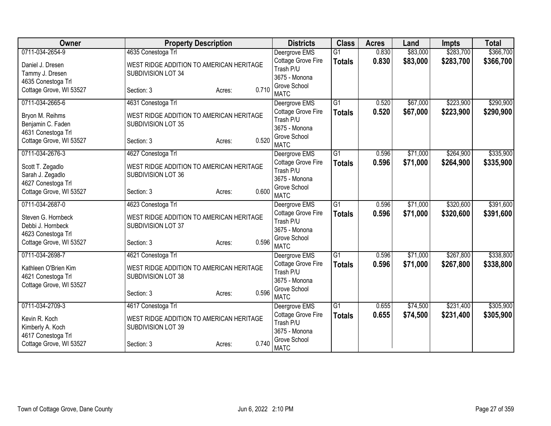| Owner                   | <b>Property Description</b>              |                 | <b>Districts</b>                | <b>Class</b>    | <b>Acres</b> | Land     | <b>Impts</b> | <b>Total</b> |
|-------------------------|------------------------------------------|-----------------|---------------------------------|-----------------|--------------|----------|--------------|--------------|
| 0711-034-2654-9         | 4635 Conestoga Trl                       |                 | Deergrove EMS                   | $\overline{G1}$ | 0.830        | \$83,000 | \$283,700    | \$366,700    |
| Daniel J. Dresen        | WEST RIDGE ADDITION TO AMERICAN HERITAGE |                 | Cottage Grove Fire              | <b>Totals</b>   | 0.830        | \$83,000 | \$283,700    | \$366,700    |
| Tammy J. Dresen         | SUBDIVISION LOT 34                       |                 | Trash P/U                       |                 |              |          |              |              |
| 4635 Conestoga Trl      |                                          |                 | 3675 - Monona                   |                 |              |          |              |              |
| Cottage Grove, WI 53527 | Section: 3                               | 0.710<br>Acres: | Grove School                    |                 |              |          |              |              |
|                         |                                          |                 | <b>MATC</b>                     |                 |              |          |              |              |
| 0711-034-2665-6         | 4631 Conestoga Trl                       |                 | Deergrove EMS                   | $\overline{G1}$ | 0.520        | \$67,000 | \$223,900    | \$290,900    |
| Bryon M. Reihms         | WEST RIDGE ADDITION TO AMERICAN HERITAGE |                 | Cottage Grove Fire              | <b>Totals</b>   | 0.520        | \$67,000 | \$223,900    | \$290,900    |
| Benjamin C. Faden       | SUBDIVISION LOT 35                       |                 | Trash P/U                       |                 |              |          |              |              |
| 4631 Conestoga Trl      |                                          |                 | 3675 - Monona                   |                 |              |          |              |              |
| Cottage Grove, WI 53527 | Section: 3                               | 0.520<br>Acres: | Grove School<br><b>MATC</b>     |                 |              |          |              |              |
| 0711-034-2676-3         | 4627 Conestoga Trl                       |                 |                                 | $\overline{G1}$ | 0.596        | \$71,000 | \$264,900    | \$335,900    |
|                         |                                          |                 | Deergrove EMS                   |                 |              |          |              |              |
| Scott T. Zegadlo        | WEST RIDGE ADDITION TO AMERICAN HERITAGE |                 | Cottage Grove Fire<br>Trash P/U | <b>Totals</b>   | 0.596        | \$71,000 | \$264,900    | \$335,900    |
| Sarah J. Zegadlo        | SUBDIVISION LOT 36                       |                 | 3675 - Monona                   |                 |              |          |              |              |
| 4627 Conestoga Trl      |                                          |                 | Grove School                    |                 |              |          |              |              |
| Cottage Grove, WI 53527 | Section: 3                               | 0.600<br>Acres: | <b>MATC</b>                     |                 |              |          |              |              |
| 0711-034-2687-0         | 4623 Conestoga Trl                       |                 | Deergrove EMS                   | $\overline{G1}$ | 0.596        | \$71,000 | \$320,600    | \$391,600    |
| Steven G. Hornbeck      | WEST RIDGE ADDITION TO AMERICAN HERITAGE |                 | Cottage Grove Fire              | <b>Totals</b>   | 0.596        | \$71,000 | \$320,600    | \$391,600    |
| Debbi J. Hornbeck       | SUBDIVISION LOT 37                       |                 | Trash P/U                       |                 |              |          |              |              |
| 4623 Conestoga Trl      |                                          |                 | 3675 - Monona                   |                 |              |          |              |              |
| Cottage Grove, WI 53527 | Section: 3                               | 0.596<br>Acres: | Grove School                    |                 |              |          |              |              |
|                         |                                          |                 | <b>MATC</b>                     |                 |              |          |              |              |
| 0711-034-2698-7         | 4621 Conestoga Trl                       |                 | Deergrove EMS                   | G1              | 0.596        | \$71,000 | \$267,800    | \$338,800    |
| Kathleen O'Brien Kim    | WEST RIDGE ADDITION TO AMERICAN HERITAGE |                 | Cottage Grove Fire              | <b>Totals</b>   | 0.596        | \$71,000 | \$267,800    | \$338,800    |
| 4621 Conestoga Trl      | SUBDIVISION LOT 38                       |                 | Trash P/U                       |                 |              |          |              |              |
| Cottage Grove, WI 53527 |                                          |                 | 3675 - Monona                   |                 |              |          |              |              |
|                         | Section: 3                               | 0.596<br>Acres: | Grove School                    |                 |              |          |              |              |
|                         |                                          |                 | <b>MATC</b>                     |                 |              |          |              |              |
| 0711-034-2709-3         | 4617 Conestoga Trl                       |                 | Deergrove EMS                   | $\overline{G1}$ | 0.655        | \$74,500 | \$231,400    | \$305,900    |
| Kevin R. Koch           | WEST RIDGE ADDITION TO AMERICAN HERITAGE |                 | Cottage Grove Fire              | <b>Totals</b>   | 0.655        | \$74,500 | \$231,400    | \$305,900    |
| Kimberly A. Koch        | SUBDIVISION LOT 39                       |                 | Trash P/U<br>3675 - Monona      |                 |              |          |              |              |
| 4617 Conestoga Trl      |                                          |                 | Grove School                    |                 |              |          |              |              |
| Cottage Grove, WI 53527 | Section: 3                               | 0.740<br>Acres: | <b>MATC</b>                     |                 |              |          |              |              |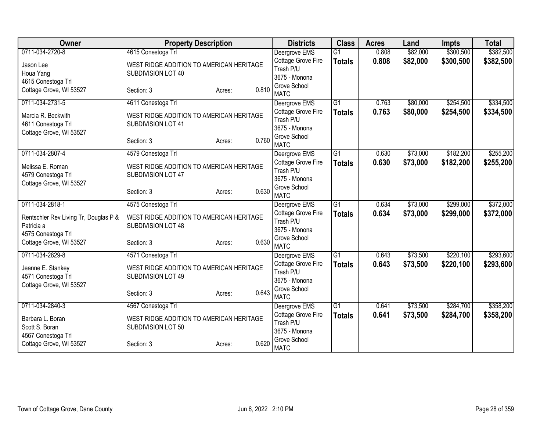| Owner                                               | <b>Property Description</b>                                    |                 | <b>Districts</b>                | <b>Class</b>    | <b>Acres</b> | Land     | <b>Impts</b> | <b>Total</b> |
|-----------------------------------------------------|----------------------------------------------------------------|-----------------|---------------------------------|-----------------|--------------|----------|--------------|--------------|
| 0711-034-2720-8                                     | 4615 Conestoga Trl                                             |                 | Deergrove EMS                   | $\overline{G1}$ | 0.808        | \$82,000 | \$300,500    | \$382,500    |
| Jason Lee                                           | WEST RIDGE ADDITION TO AMERICAN HERITAGE                       |                 | Cottage Grove Fire              | <b>Totals</b>   | 0.808        | \$82,000 | \$300,500    | \$382,500    |
| Houa Yang                                           | SUBDIVISION LOT 40                                             |                 | Trash P/U                       |                 |              |          |              |              |
| 4615 Conestoga Trl                                  |                                                                |                 | 3675 - Monona<br>Grove School   |                 |              |          |              |              |
| Cottage Grove, WI 53527                             | Section: 3                                                     | 0.810<br>Acres: | <b>MATC</b>                     |                 |              |          |              |              |
| 0711-034-2731-5                                     | 4611 Conestoga Trl                                             |                 | Deergrove EMS                   | $\overline{G1}$ | 0.763        | \$80,000 | \$254,500    | \$334,500    |
| Marcia R. Beckwith                                  | WEST RIDGE ADDITION TO AMERICAN HERITAGE                       |                 | Cottage Grove Fire              | <b>Totals</b>   | 0.763        | \$80,000 | \$254,500    | \$334,500    |
| 4611 Conestoga Trl                                  | SUBDIVISION LOT 41                                             |                 | Trash P/U                       |                 |              |          |              |              |
| Cottage Grove, WI 53527                             |                                                                |                 | 3675 - Monona                   |                 |              |          |              |              |
|                                                     | Section: 3                                                     | 0.760<br>Acres: | Grove School<br><b>MATC</b>     |                 |              |          |              |              |
| 0711-034-2807-4                                     | 4579 Conestoga Trl                                             |                 | Deergrove EMS                   | G1              | 0.630        | \$73,000 | \$182,200    | \$255,200    |
| Melissa E. Roman                                    | WEST RIDGE ADDITION TO AMERICAN HERITAGE                       |                 | Cottage Grove Fire              | <b>Totals</b>   | 0.630        | \$73,000 | \$182,200    | \$255,200    |
| 4579 Conestoga Trl                                  | SUBDIVISION LOT 47                                             |                 | Trash P/U                       |                 |              |          |              |              |
| Cottage Grove, WI 53527                             |                                                                |                 | 3675 - Monona                   |                 |              |          |              |              |
|                                                     | Section: 3                                                     | 0.630<br>Acres: | Grove School<br><b>MATC</b>     |                 |              |          |              |              |
| 0711-034-2818-1                                     | 4575 Conestoga Trl                                             |                 | Deergrove EMS                   | G1              | 0.634        | \$73,000 | \$299,000    | \$372,000    |
|                                                     |                                                                |                 | Cottage Grove Fire              | <b>Totals</b>   | 0.634        | \$73,000 | \$299,000    | \$372,000    |
| Rentschler Rev Living Tr, Douglas P &<br>Patricia a | WEST RIDGE ADDITION TO AMERICAN HERITAGE<br>SUBDIVISION LOT 48 |                 | Trash P/U                       |                 |              |          |              |              |
| 4575 Conestoga Trl                                  |                                                                |                 | 3675 - Monona                   |                 |              |          |              |              |
| Cottage Grove, WI 53527                             | Section: 3                                                     | 0.630<br>Acres: | Grove School                    |                 |              |          |              |              |
|                                                     |                                                                |                 | <b>MATC</b>                     |                 |              |          |              |              |
| 0711-034-2829-8                                     | 4571 Conestoga Trl                                             |                 | Deergrove EMS                   | $\overline{G1}$ | 0.643        | \$73,500 | \$220,100    | \$293,600    |
| Jeanne E. Stankey                                   | WEST RIDGE ADDITION TO AMERICAN HERITAGE                       |                 | Cottage Grove Fire<br>Trash P/U | <b>Totals</b>   | 0.643        | \$73,500 | \$220,100    | \$293,600    |
| 4571 Conestoga Trl                                  | SUBDIVISION LOT 49                                             |                 | 3675 - Monona                   |                 |              |          |              |              |
| Cottage Grove, WI 53527                             |                                                                |                 | Grove School                    |                 |              |          |              |              |
|                                                     | Section: 3                                                     | 0.643<br>Acres: | <b>MATC</b>                     |                 |              |          |              |              |
| 0711-034-2840-3                                     | 4567 Conestoga Trl                                             |                 | Deergrove EMS                   | $\overline{G1}$ | 0.641        | \$73,500 | \$284,700    | \$358,200    |
| Barbara L. Boran                                    | WEST RIDGE ADDITION TO AMERICAN HERITAGE                       |                 | Cottage Grove Fire              | <b>Totals</b>   | 0.641        | \$73,500 | \$284,700    | \$358,200    |
| Scott S. Boran                                      | SUBDIVISION LOT 50                                             |                 | Trash P/U                       |                 |              |          |              |              |
| 4567 Conestoga Trl                                  |                                                                |                 | 3675 - Monona<br>Grove School   |                 |              |          |              |              |
| Cottage Grove, WI 53527                             | Section: 3                                                     | 0.620<br>Acres: | <b>MATC</b>                     |                 |              |          |              |              |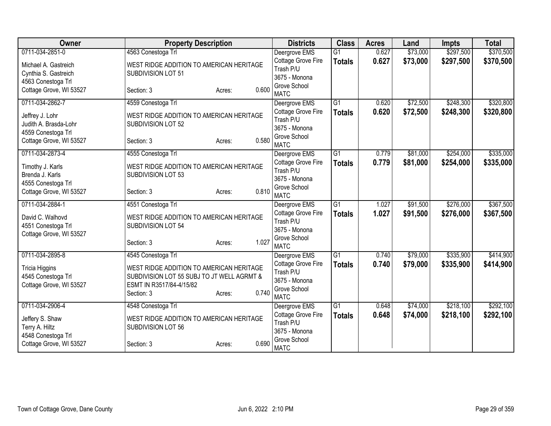| Owner                   | <b>Property Description</b>                |                 | <b>Districts</b>                | <b>Class</b>    | <b>Acres</b> | Land     | <b>Impts</b> | <b>Total</b> |
|-------------------------|--------------------------------------------|-----------------|---------------------------------|-----------------|--------------|----------|--------------|--------------|
| 0711-034-2851-0         | 4563 Conestoga Trl                         |                 | Deergrove EMS                   | $\overline{G1}$ | 0.627        | \$73,000 | \$297,500    | \$370,500    |
| Michael A. Gastreich    | WEST RIDGE ADDITION TO AMERICAN HERITAGE   |                 | Cottage Grove Fire              | <b>Totals</b>   | 0.627        | \$73,000 | \$297,500    | \$370,500    |
| Cynthia S. Gastreich    | SUBDIVISION LOT 51                         |                 | Trash P/U                       |                 |              |          |              |              |
| 4563 Conestoga Trl      |                                            |                 | 3675 - Monona                   |                 |              |          |              |              |
| Cottage Grove, WI 53527 | Section: 3                                 | 0.600<br>Acres: | Grove School<br><b>MATC</b>     |                 |              |          |              |              |
| 0711-034-2862-7         | 4559 Conestoga Trl                         |                 | Deergrove EMS                   | $\overline{G1}$ | 0.620        | \$72,500 | \$248,300    | \$320,800    |
| Jeffrey J. Lohr         | WEST RIDGE ADDITION TO AMERICAN HERITAGE   |                 | Cottage Grove Fire              | <b>Totals</b>   | 0.620        | \$72,500 | \$248,300    | \$320,800    |
| Judith A. Brasda-Lohr   | SUBDIVISION LOT 52                         |                 | Trash P/U                       |                 |              |          |              |              |
| 4559 Conestoga Trl      |                                            |                 | 3675 - Monona                   |                 |              |          |              |              |
| Cottage Grove, WI 53527 | Section: 3                                 | 0.580<br>Acres: | Grove School                    |                 |              |          |              |              |
|                         |                                            |                 | <b>MATC</b>                     |                 |              |          |              |              |
| 0711-034-2873-4         | 4555 Conestoga Trl                         |                 | Deergrove EMS                   | $\overline{G1}$ | 0.779        | \$81,000 | \$254,000    | \$335,000    |
| Timothy J. Karls        | WEST RIDGE ADDITION TO AMERICAN HERITAGE   |                 | Cottage Grove Fire<br>Trash P/U | <b>Totals</b>   | 0.779        | \$81,000 | \$254,000    | \$335,000    |
| Brenda J. Karls         | SUBDIVISION LOT 53                         |                 | 3675 - Monona                   |                 |              |          |              |              |
| 4555 Conestoga Trl      |                                            |                 | Grove School                    |                 |              |          |              |              |
| Cottage Grove, WI 53527 | Section: 3                                 | 0.810<br>Acres: | <b>MATC</b>                     |                 |              |          |              |              |
| 0711-034-2884-1         | 4551 Conestoga Trl                         |                 | Deergrove EMS                   | G1              | 1.027        | \$91,500 | \$276,000    | \$367,500    |
| David C. Walhovd        | WEST RIDGE ADDITION TO AMERICAN HERITAGE   |                 | Cottage Grove Fire              | <b>Totals</b>   | 1.027        | \$91,500 | \$276,000    | \$367,500    |
| 4551 Conestoga Trl      | SUBDIVISION LOT 54                         |                 | Trash P/U                       |                 |              |          |              |              |
| Cottage Grove, WI 53527 |                                            |                 | 3675 - Monona                   |                 |              |          |              |              |
|                         | Section: 3                                 | 1.027<br>Acres: | Grove School                    |                 |              |          |              |              |
|                         |                                            |                 | <b>MATC</b>                     |                 |              |          |              |              |
| 0711-034-2895-8         | 4545 Conestoga Trl                         |                 | Deergrove EMS                   | $\overline{G1}$ | 0.740        | \$79,000 | \$335,900    | \$414,900    |
| <b>Tricia Higgins</b>   | WEST RIDGE ADDITION TO AMERICAN HERITAGE   |                 | Cottage Grove Fire<br>Trash P/U | <b>Totals</b>   | 0.740        | \$79,000 | \$335,900    | \$414,900    |
| 4545 Conestoga Trl      | SUBDIVISION LOT 55 SUBJ TO JT WELL AGRMT & |                 | 3675 - Monona                   |                 |              |          |              |              |
| Cottage Grove, WI 53527 | ESMT IN R3517/84-4/15/82                   |                 | Grove School                    |                 |              |          |              |              |
|                         | Section: 3                                 | 0.740<br>Acres: | <b>MATC</b>                     |                 |              |          |              |              |
| 0711-034-2906-4         | 4548 Conestoga Trl                         |                 | Deergrove EMS                   | $\overline{G1}$ | 0.648        | \$74,000 | \$218,100    | \$292,100    |
| Jeffery S. Shaw         | WEST RIDGE ADDITION TO AMERICAN HERITAGE   |                 | Cottage Grove Fire              | <b>Totals</b>   | 0.648        | \$74,000 | \$218,100    | \$292,100    |
| Terry A. Hiltz          | SUBDIVISION LOT 56                         |                 | Trash P/U                       |                 |              |          |              |              |
| 4548 Conestoga Trl      |                                            |                 | 3675 - Monona                   |                 |              |          |              |              |
| Cottage Grove, WI 53527 | Section: 3                                 | 0.690<br>Acres: | Grove School<br><b>MATC</b>     |                 |              |          |              |              |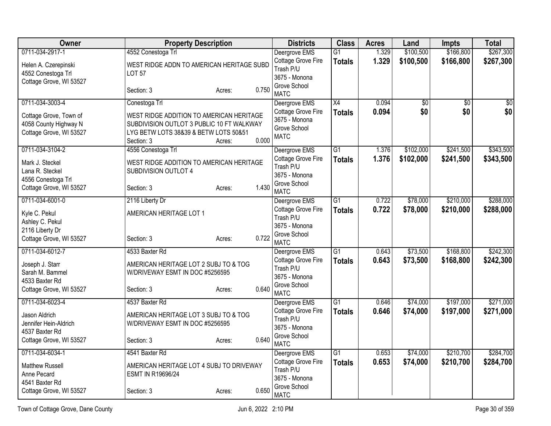| Owner                            |                                           | <b>Property Description</b> |       | <b>Districts</b>                    | <b>Class</b>    | <b>Acres</b>   | Land            | <b>Impts</b>    | <b>Total</b>    |
|----------------------------------|-------------------------------------------|-----------------------------|-------|-------------------------------------|-----------------|----------------|-----------------|-----------------|-----------------|
| 0711-034-2917-1                  | 4552 Conestoga Trl                        |                             |       | Deergrove EMS                       | $\overline{G1}$ | 1.329          | \$100,500       | \$166,800       | \$267,300       |
| Helen A. Czerepinski             | WEST RIDGE ADDN TO AMERICAN HERITAGE SUBD |                             |       | Cottage Grove Fire                  | <b>Totals</b>   | 1.329          | \$100,500       | \$166,800       | \$267,300       |
| 4552 Conestoga Trl               | <b>LOT 57</b>                             |                             |       | Trash P/U<br>3675 - Monona          |                 |                |                 |                 |                 |
| Cottage Grove, WI 53527          |                                           |                             |       | Grove School                        |                 |                |                 |                 |                 |
|                                  | Section: 3                                | Acres:                      | 0.750 | <b>MATC</b>                         |                 |                |                 |                 |                 |
| 0711-034-3003-4                  | Conestoga Trl                             |                             |       | Deergrove EMS                       | $\overline{X4}$ | 0.094          | $\overline{50}$ | $\overline{50}$ | $\overline{50}$ |
| Cottage Grove, Town of           | WEST RIDGE ADDITION TO AMERICAN HERITAGE  |                             |       | Cottage Grove Fire                  | <b>Totals</b>   | 0.094          | \$0             | \$0             | \$0             |
| 4058 County Highway N            | SUBDIVISION OUTLOT 3 PUBLIC 10 FT WALKWAY |                             |       | 3675 - Monona<br>Grove School       |                 |                |                 |                 |                 |
| Cottage Grove, WI 53527          | LYG BETW LOTS 38&39 & BETW LOTS 50&51     |                             |       | <b>MATC</b>                         |                 |                |                 |                 |                 |
|                                  | Section: 3                                | Acres:                      | 0.000 |                                     |                 |                |                 |                 |                 |
| 0711-034-3104-2                  | 4556 Conestoga Trl                        |                             |       | Deergrove EMS                       | $\overline{G1}$ | 1.376          | \$102,000       | \$241,500       | \$343,500       |
| Mark J. Steckel                  | WEST RIDGE ADDITION TO AMERICAN HERITAGE  |                             |       | Cottage Grove Fire                  | <b>Totals</b>   | 1.376          | \$102,000       | \$241,500       | \$343,500       |
| Lana R. Steckel                  | SUBDIVISION OUTLOT 4                      |                             |       | Trash P/U                           |                 |                |                 |                 |                 |
| 4556 Conestoga Trl               |                                           |                             |       | 3675 - Monona                       |                 |                |                 |                 |                 |
| Cottage Grove, WI 53527          | Section: 3                                | Acres:                      | 1.430 | Grove School<br><b>MATC</b>         |                 |                |                 |                 |                 |
| 0711-034-6001-0                  | 2116 Liberty Dr                           |                             |       | Deergrove EMS                       | $\overline{G1}$ | 0.722          | \$78,000        | \$210,000       | \$288,000       |
|                                  |                                           |                             |       | Cottage Grove Fire                  | <b>Totals</b>   | 0.722          | \$78,000        | \$210,000       | \$288,000       |
| Kyle C. Pekul<br>Ashley C. Pekul | AMERICAN HERITAGE LOT 1                   |                             |       | Trash P/U                           |                 |                |                 |                 |                 |
| 2116 Liberty Dr                  |                                           |                             |       | 3675 - Monona                       |                 |                |                 |                 |                 |
| Cottage Grove, WI 53527          | Section: 3                                | Acres:                      | 0.722 | Grove School                        |                 |                |                 |                 |                 |
|                                  |                                           |                             |       | <b>MATC</b>                         |                 |                |                 |                 |                 |
| 0711-034-6012-7                  | 4533 Baxter Rd                            |                             |       | Deergrove EMS<br>Cottage Grove Fire | $\overline{G1}$ | 0.643<br>0.643 | \$73,500        | \$168,800       | \$242,300       |
| Joseph J. Starr                  | AMERICAN HERITAGE LOT 2 SUBJ TO & TOG     |                             |       | Trash P/U                           | <b>Totals</b>   |                | \$73,500        | \$168,800       | \$242,300       |
| Sarah M. Bammel                  | W/DRIVEWAY ESMT IN DOC #5256595           |                             |       | 3675 - Monona                       |                 |                |                 |                 |                 |
| 4533 Baxter Rd                   |                                           |                             |       | Grove School                        |                 |                |                 |                 |                 |
| Cottage Grove, WI 53527          | Section: 3                                | Acres:                      | 0.640 | <b>MATC</b>                         |                 |                |                 |                 |                 |
| 0711-034-6023-4                  | 4537 Baxter Rd                            |                             |       | Deergrove EMS                       | $\overline{G1}$ | 0.646          | \$74,000        | \$197,000       | \$271,000       |
| Jason Aldrich                    | AMERICAN HERITAGE LOT 3 SUBJ TO & TOG     |                             |       | Cottage Grove Fire                  | <b>Totals</b>   | 0.646          | \$74,000        | \$197,000       | \$271,000       |
| Jennifer Hein-Aldrich            | W/DRIVEWAY ESMT IN DOC #5256595           |                             |       | Trash P/U                           |                 |                |                 |                 |                 |
| 4537 Baxter Rd                   |                                           |                             |       | 3675 - Monona<br>Grove School       |                 |                |                 |                 |                 |
| Cottage Grove, WI 53527          | Section: 3                                | Acres:                      | 0.640 | <b>MATC</b>                         |                 |                |                 |                 |                 |
| 0711-034-6034-1                  | 4541 Baxter Rd                            |                             |       | Deergrove EMS                       | $\overline{G1}$ | 0.653          | \$74,000        | \$210,700       | \$284,700       |
| <b>Matthew Russell</b>           | AMERICAN HERITAGE LOT 4 SUBJ TO DRIVEWAY  |                             |       | Cottage Grove Fire                  | <b>Totals</b>   | 0.653          | \$74,000        | \$210,700       | \$284,700       |
| Anne Pecard                      | ESMT IN R19696/24                         |                             |       | Trash P/U                           |                 |                |                 |                 |                 |
| 4541 Baxter Rd                   |                                           |                             |       | 3675 - Monona                       |                 |                |                 |                 |                 |
| Cottage Grove, WI 53527          | Section: 3                                | Acres:                      | 0.650 | Grove School<br><b>MATC</b>         |                 |                |                 |                 |                 |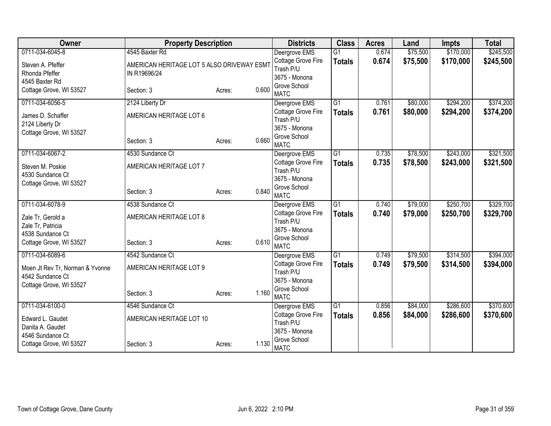| Owner                           | <b>Property Description</b>                |                 | <b>Districts</b>                    | <b>Class</b>    | <b>Acres</b> | Land     | Impts     | <b>Total</b> |
|---------------------------------|--------------------------------------------|-----------------|-------------------------------------|-----------------|--------------|----------|-----------|--------------|
| 0711-034-6045-8                 | 4545 Baxter Rd                             |                 | Deergrove EMS                       | $\overline{G1}$ | 0.674        | \$75,500 | \$170,000 | \$245,500    |
| Steven A. Pfeffer               | AMERICAN HERITAGE LOT 5 ALSO DRIVEWAY ESM1 |                 | Cottage Grove Fire                  | <b>Totals</b>   | 0.674        | \$75,500 | \$170,000 | \$245,500    |
| Rhonda Pfeffer                  | IN R19696/24                               |                 | Trash P/U                           |                 |              |          |           |              |
| 4545 Baxter Rd                  |                                            |                 | 3675 - Monona<br>Grove School       |                 |              |          |           |              |
| Cottage Grove, WI 53527         | Section: 3                                 | 0.600<br>Acres: | <b>MATC</b>                         |                 |              |          |           |              |
| 0711-034-6056-5                 | 2124 Liberty Dr                            |                 | Deergrove EMS                       | G <sub>1</sub>  | 0.761        | \$80,000 | \$294,200 | \$374,200    |
| James D. Schaffer               | AMERICAN HERITAGE LOT 6                    |                 | Cottage Grove Fire                  | <b>Totals</b>   | 0.761        | \$80,000 | \$294,200 | \$374,200    |
| 2124 Liberty Dr                 |                                            |                 | Trash P/U                           |                 |              |          |           |              |
| Cottage Grove, WI 53527         |                                            |                 | 3675 - Monona                       |                 |              |          |           |              |
|                                 | Section: 3                                 | 0.660<br>Acres: | Grove School<br><b>MATC</b>         |                 |              |          |           |              |
| 0711-034-6067-2                 | 4530 Sundance Ct                           |                 | Deergrove EMS                       | G1              | 0.735        | \$78,500 | \$243,000 | \$321,500    |
|                                 |                                            |                 | Cottage Grove Fire                  | <b>Totals</b>   | 0.735        | \$78,500 | \$243,000 | \$321,500    |
| Steven M. Poskie                | AMERICAN HERITAGE LOT 7                    |                 | Trash P/U                           |                 |              |          |           |              |
| 4530 Sundance Ct                |                                            |                 | 3675 - Monona                       |                 |              |          |           |              |
| Cottage Grove, WI 53527         | Section: 3                                 | 0.840           | Grove School                        |                 |              |          |           |              |
|                                 |                                            | Acres:          | <b>MATC</b>                         |                 |              |          |           |              |
| 0711-034-6078-9                 | 4538 Sundance Ct                           |                 | Deergrove EMS                       | G <sub>1</sub>  | 0.740        | \$79,000 | \$250,700 | \$329,700    |
| Zale Tr, Gerold a               | AMERICAN HERITAGE LOT 8                    |                 | Cottage Grove Fire                  | <b>Totals</b>   | 0.740        | \$79,000 | \$250,700 | \$329,700    |
| Zale Tr, Patricia               |                                            |                 | Trash P/U                           |                 |              |          |           |              |
| 4538 Sundance Ct                |                                            |                 | 3675 - Monona<br>Grove School       |                 |              |          |           |              |
| Cottage Grove, WI 53527         | Section: 3                                 | 0.610<br>Acres: | <b>MATC</b>                         |                 |              |          |           |              |
| 0711-034-6089-6                 | 4542 Sundance Ct                           |                 | Deergrove EMS                       | G1              | 0.749        | \$79,500 | \$314,500 | \$394,000    |
| Moen Jt Rev Tr, Norman & Yvonne | AMERICAN HERITAGE LOT 9                    |                 | Cottage Grove Fire                  | <b>Totals</b>   | 0.749        | \$79,500 | \$314,500 | \$394,000    |
| 4542 Sundance Ct                |                                            |                 | Trash P/U                           |                 |              |          |           |              |
| Cottage Grove, WI 53527         |                                            |                 | 3675 - Monona                       |                 |              |          |           |              |
|                                 | Section: 3                                 | 1.160<br>Acres: | Grove School                        |                 |              |          |           |              |
| 0711-034-6100-0                 | 4546 Sundance Ct                           |                 | <b>MATC</b>                         | G <sub>1</sub>  | 0.856        | \$84,000 | \$286,600 | \$370,600    |
|                                 |                                            |                 | Deergrove EMS<br>Cottage Grove Fire |                 | 0.856        |          |           |              |
| Edward L. Gaudet                | AMERICAN HERITAGE LOT 10                   |                 | Trash P/U                           | <b>Totals</b>   |              | \$84,000 | \$286,600 | \$370,600    |
| Danita A. Gaudet                |                                            |                 | 3675 - Monona                       |                 |              |          |           |              |
| 4546 Sundance Ct                |                                            |                 | Grove School                        |                 |              |          |           |              |
| Cottage Grove, WI 53527         | Section: 3                                 | 1.130<br>Acres: | <b>MATC</b>                         |                 |              |          |           |              |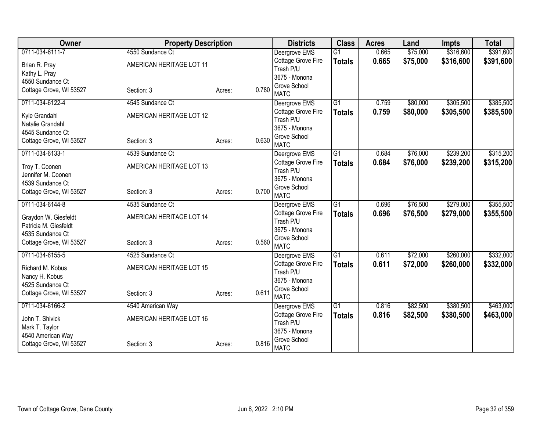| Owner                                       | <b>Property Description</b> |                 | <b>Districts</b>              | <b>Class</b>    | <b>Acres</b> | Land     | <b>Impts</b> | <b>Total</b> |
|---------------------------------------------|-----------------------------|-----------------|-------------------------------|-----------------|--------------|----------|--------------|--------------|
| 0711-034-6111-7                             | 4550 Sundance Ct            |                 | Deergrove EMS                 | $\overline{G1}$ | 0.665        | \$75,000 | \$316,600    | \$391,600    |
| Brian R. Pray                               | AMERICAN HERITAGE LOT 11    |                 | Cottage Grove Fire            | <b>Totals</b>   | 0.665        | \$75,000 | \$316,600    | \$391,600    |
| Kathy L. Pray                               |                             |                 | Trash P/U                     |                 |              |          |              |              |
| 4550 Sundance Ct                            |                             |                 | 3675 - Monona<br>Grove School |                 |              |          |              |              |
| Cottage Grove, WI 53527                     | Section: 3                  | 0.780<br>Acres: | <b>MATC</b>                   |                 |              |          |              |              |
| 0711-034-6122-4                             | 4545 Sundance Ct            |                 | Deergrove EMS                 | $\overline{G1}$ | 0.759        | \$80,000 | \$305,500    | \$385,500    |
| Kyle Grandahl                               | AMERICAN HERITAGE LOT 12    |                 | Cottage Grove Fire            | <b>Totals</b>   | 0.759        | \$80,000 | \$305,500    | \$385,500    |
| Natalie Grandahl                            |                             |                 | Trash P/U                     |                 |              |          |              |              |
| 4545 Sundance Ct                            |                             |                 | 3675 - Monona                 |                 |              |          |              |              |
| Cottage Grove, WI 53527                     | Section: 3                  | 0.630<br>Acres: | Grove School<br><b>MATC</b>   |                 |              |          |              |              |
| 0711-034-6133-1                             | 4539 Sundance Ct            |                 | Deergrove EMS                 | $\overline{G1}$ | 0.684        | \$76,000 | \$239,200    | \$315,200    |
|                                             |                             |                 | Cottage Grove Fire            | <b>Totals</b>   | 0.684        | \$76,000 | \$239,200    | \$315,200    |
| Troy T. Coonen                              | AMERICAN HERITAGE LOT 13    |                 | Trash P/U                     |                 |              |          |              |              |
| Jennifer M. Coonen                          |                             |                 | 3675 - Monona                 |                 |              |          |              |              |
| 4539 Sundance Ct                            |                             | 0.700           | Grove School                  |                 |              |          |              |              |
| Cottage Grove, WI 53527                     | Section: 3                  | Acres:          | <b>MATC</b>                   |                 |              |          |              |              |
| 0711-034-6144-8                             | 4535 Sundance Ct            |                 | Deergrove EMS                 | $\overline{G1}$ | 0.696        | \$76,500 | \$279,000    | \$355,500    |
| Graydon W. Giesfeldt                        | AMERICAN HERITAGE LOT 14    |                 | <b>Cottage Grove Fire</b>     | <b>Totals</b>   | 0.696        | \$76,500 | \$279,000    | \$355,500    |
| Patricia M. Giesfeldt                       |                             |                 | Trash P/U                     |                 |              |          |              |              |
| 4535 Sundance Ct                            |                             |                 | 3675 - Monona                 |                 |              |          |              |              |
| Cottage Grove, WI 53527                     | Section: 3                  | 0.560<br>Acres: | Grove School<br><b>MATC</b>   |                 |              |          |              |              |
| 0711-034-6155-5                             | 4525 Sundance Ct            |                 | Deergrove EMS                 | $\overline{G1}$ | 0.611        | \$72,000 | \$260,000    | \$332,000    |
|                                             |                             |                 | Cottage Grove Fire            | <b>Totals</b>   | 0.611        | \$72,000 | \$260,000    | \$332,000    |
| Richard M. Kobus                            | AMERICAN HERITAGE LOT 15    |                 | Trash P/U                     |                 |              |          |              |              |
| Nancy H. Kobus                              |                             |                 | 3675 - Monona                 |                 |              |          |              |              |
| 4525 Sundance Ct<br>Cottage Grove, WI 53527 | Section: 3                  | 0.611<br>Acres: | Grove School                  |                 |              |          |              |              |
|                                             |                             |                 | <b>MATC</b>                   |                 |              |          |              |              |
| 0711-034-6166-2                             | 4540 American Way           |                 | Deergrove EMS                 | G1              | 0.816        | \$82,500 | \$380,500    | \$463,000    |
| John T. Shivick                             | AMERICAN HERITAGE LOT 16    |                 | Cottage Grove Fire            | <b>Totals</b>   | 0.816        | \$82,500 | \$380,500    | \$463,000    |
| Mark T. Taylor                              |                             |                 | Trash P/U<br>3675 - Monona    |                 |              |          |              |              |
| 4540 American Way                           |                             |                 | Grove School                  |                 |              |          |              |              |
| Cottage Grove, WI 53527                     | Section: 3                  | 0.816<br>Acres: | <b>MATC</b>                   |                 |              |          |              |              |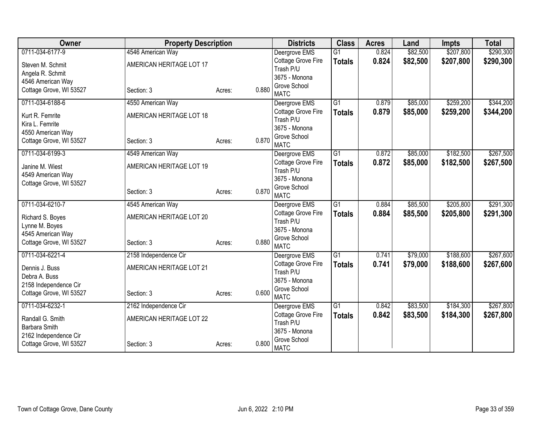| Owner                   | <b>Property Description</b> |                 | <b>Districts</b>                    | <b>Class</b>    | <b>Acres</b> | Land     | <b>Impts</b> | <b>Total</b> |
|-------------------------|-----------------------------|-----------------|-------------------------------------|-----------------|--------------|----------|--------------|--------------|
| 0711-034-6177-9         | 4546 American Way           |                 | Deergrove EMS                       | $\overline{G1}$ | 0.824        | \$82,500 | \$207,800    | \$290,300    |
| Steven M. Schmit        | AMERICAN HERITAGE LOT 17    |                 | Cottage Grove Fire                  | <b>Totals</b>   | 0.824        | \$82,500 | \$207,800    | \$290,300    |
| Angela R. Schmit        |                             |                 | Trash P/U                           |                 |              |          |              |              |
| 4546 American Way       |                             |                 | 3675 - Monona                       |                 |              |          |              |              |
| Cottage Grove, WI 53527 | Section: 3                  | 0.880<br>Acres: | Grove School<br><b>MATC</b>         |                 |              |          |              |              |
| 0711-034-6188-6         | 4550 American Way           |                 | Deergrove EMS                       | $\overline{G1}$ | 0.879        | \$85,000 | \$259,200    | \$344,200    |
|                         |                             |                 | Cottage Grove Fire                  | <b>Totals</b>   | 0.879        | \$85,000 | \$259,200    | \$344,200    |
| Kurt R. Femrite         | AMERICAN HERITAGE LOT 18    |                 | Trash P/U                           |                 |              |          |              |              |
| Kira L. Femrite         |                             |                 | 3675 - Monona                       |                 |              |          |              |              |
| 4550 American Way       |                             | 0.870           | Grove School                        |                 |              |          |              |              |
| Cottage Grove, WI 53527 | Section: 3                  | Acres:          | <b>MATC</b>                         |                 |              |          |              |              |
| 0711-034-6199-3         | 4549 American Way           |                 | Deergrove EMS                       | $\overline{G1}$ | 0.872        | \$85,000 | \$182,500    | \$267,500    |
| Janine M. Wiest         | AMERICAN HERITAGE LOT 19    |                 | Cottage Grove Fire                  | <b>Totals</b>   | 0.872        | \$85,000 | \$182,500    | \$267,500    |
| 4549 American Way       |                             |                 | Trash P/U                           |                 |              |          |              |              |
| Cottage Grove, WI 53527 |                             |                 | 3675 - Monona                       |                 |              |          |              |              |
|                         | Section: 3                  | 0.870<br>Acres: | Grove School                        |                 |              |          |              |              |
| 0711-034-6210-7         | 4545 American Way           |                 | <b>MATC</b>                         | $\overline{G1}$ | 0.884        | \$85,500 | \$205,800    | \$291,300    |
|                         |                             |                 | Deergrove EMS<br>Cottage Grove Fire |                 | 0.884        | \$85,500 |              | \$291,300    |
| Richard S. Boyes        | AMERICAN HERITAGE LOT 20    |                 | Trash P/U                           | <b>Totals</b>   |              |          | \$205,800    |              |
| Lynne M. Boyes          |                             |                 | 3675 - Monona                       |                 |              |          |              |              |
| 4545 American Way       |                             |                 | Grove School                        |                 |              |          |              |              |
| Cottage Grove, WI 53527 | Section: 3                  | 0.880<br>Acres: | <b>MATC</b>                         |                 |              |          |              |              |
| 0711-034-6221-4         | 2158 Independence Cir       |                 | Deergrove EMS                       | G1              | 0.741        | \$79,000 | \$188,600    | \$267,600    |
| Dennis J. Buss          | AMERICAN HERITAGE LOT 21    |                 | Cottage Grove Fire                  | <b>Totals</b>   | 0.741        | \$79,000 | \$188,600    | \$267,600    |
| Debra A. Buss           |                             |                 | Trash P/U                           |                 |              |          |              |              |
| 2158 Independence Cir   |                             |                 | 3675 - Monona                       |                 |              |          |              |              |
| Cottage Grove, WI 53527 | Section: 3                  | 0.600<br>Acres: | Grove School                        |                 |              |          |              |              |
| 0711-034-6232-1         | 2162 Independence Cir       |                 | <b>MATC</b>                         | $\overline{G1}$ | 0.842        | \$83,500 | \$184,300    | \$267,800    |
|                         |                             |                 | Deergrove EMS<br>Cottage Grove Fire |                 | 0.842        |          |              |              |
| Randall G. Smith        | AMERICAN HERITAGE LOT 22    |                 | Trash P/U                           | <b>Totals</b>   |              | \$83,500 | \$184,300    | \$267,800    |
| Barbara Smith           |                             |                 | 3675 - Monona                       |                 |              |          |              |              |
| 2162 Independence Cir   |                             |                 | Grove School                        |                 |              |          |              |              |
| Cottage Grove, WI 53527 | Section: 3                  | 0.800<br>Acres: | <b>MATC</b>                         |                 |              |          |              |              |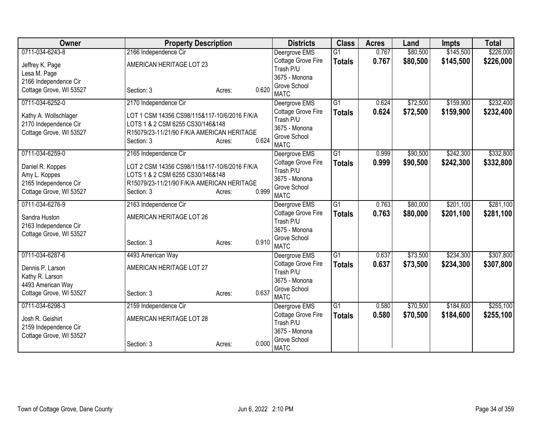| Owner                   | <b>Property Description</b>                  |                 | <b>Districts</b>                    | <b>Class</b>    | <b>Acres</b> | Land     | <b>Impts</b> | <b>Total</b> |
|-------------------------|----------------------------------------------|-----------------|-------------------------------------|-----------------|--------------|----------|--------------|--------------|
| 0711-034-6243-8         | 2166 Independence Cir                        |                 | Deergrove EMS                       | $\overline{G1}$ | 0.767        | \$80,500 | \$145,500    | \$226,000    |
| Jeffrey K. Page         | AMERICAN HERITAGE LOT 23                     |                 | Cottage Grove Fire                  | <b>Totals</b>   | 0.767        | \$80,500 | \$145,500    | \$226,000    |
| Lesa M. Page            |                                              |                 | Trash P/U                           |                 |              |          |              |              |
| 2166 Independence Cir   |                                              |                 | 3675 - Monona                       |                 |              |          |              |              |
| Cottage Grove, WI 53527 | Section: 3                                   | 0.620<br>Acres: | Grove School<br><b>MATC</b>         |                 |              |          |              |              |
| 0711-034-6252-0         | 2170 Independence Cir                        |                 | Deergrove EMS                       | $\overline{G1}$ | 0.624        | \$72,500 | \$159,900    | \$232,400    |
| Kathy A. Wollschlager   | LOT 1 CSM 14356 CS98/115&117-10/6/2016 F/K/A |                 | Cottage Grove Fire                  | <b>Totals</b>   | 0.624        | \$72,500 | \$159,900    | \$232,400    |
| 2170 Independence Cir   | LOTS 1 & 2 CSM 6255 CS30/146&148             |                 | Trash P/U                           |                 |              |          |              |              |
| Cottage Grove, WI 53527 | R15079/23-11/21/90 F/K/A AMERICAN HERITAGE   |                 | 3675 - Monona                       |                 |              |          |              |              |
|                         | Section: 3                                   | 0.624<br>Acres: | Grove School                        |                 |              |          |              |              |
| 0711-034-6259-0         |                                              |                 | <b>MATC</b>                         | $\overline{G1}$ |              |          | \$242,300    |              |
|                         | 2165 Independence Cir                        |                 | Deergrove EMS<br>Cottage Grove Fire |                 | 0.999        | \$90,500 |              | \$332,800    |
| Daniel R. Koppes        | LOT 2 CSM 14356 CS98/115&117-10/6/2016 F/K/A |                 | Trash P/U                           | <b>Totals</b>   | 0.999        | \$90,500 | \$242,300    | \$332,800    |
| Amy L. Koppes           | LOTS 1 & 2 CSM 6255 CS30/146&148             |                 | 3675 - Monona                       |                 |              |          |              |              |
| 2165 Independence Cir   | R15079/23-11/21/90 F/K/A AMERICAN HERITAGE   |                 | Grove School                        |                 |              |          |              |              |
| Cottage Grove, WI 53527 | Section: 3                                   | 0.999<br>Acres: | <b>MATC</b>                         |                 |              |          |              |              |
| 0711-034-6276-9         | 2163 Independence Cir                        |                 | Deergrove EMS                       | $\overline{G1}$ | 0.763        | \$80,000 | \$201,100    | \$281,100    |
| Sandra Huston           | AMERICAN HERITAGE LOT 26                     |                 | Cottage Grove Fire                  | <b>Totals</b>   | 0.763        | \$80,000 | \$201,100    | \$281,100    |
| 2163 Independence Cir   |                                              |                 | Trash P/U                           |                 |              |          |              |              |
| Cottage Grove, WI 53527 |                                              |                 | 3675 - Monona                       |                 |              |          |              |              |
|                         | Section: 3                                   | 0.910<br>Acres: | Grove School                        |                 |              |          |              |              |
|                         |                                              |                 | <b>MATC</b>                         |                 |              |          |              |              |
| 0711-034-6287-6         | 4493 American Way                            |                 | Deergrove EMS                       | G1              | 0.637        | \$73,500 | \$234,300    | \$307,800    |
| Dennis P. Larson        | AMERICAN HERITAGE LOT 27                     |                 | Cottage Grove Fire<br>Trash P/U     | <b>Totals</b>   | 0.637        | \$73,500 | \$234,300    | \$307,800    |
| Kathy R. Larson         |                                              |                 | 3675 - Monona                       |                 |              |          |              |              |
| 4493 American Way       |                                              |                 | Grove School                        |                 |              |          |              |              |
| Cottage Grove, WI 53527 | Section: 3                                   | 0.637<br>Acres: | <b>MATC</b>                         |                 |              |          |              |              |
| 0711-034-6298-3         | 2159 Independence Cir                        |                 | Deergrove EMS                       | $\overline{G1}$ | 0.580        | \$70,500 | \$184,600    | \$255,100    |
| Josh R. Geishirt        | AMERICAN HERITAGE LOT 28                     |                 | Cottage Grove Fire                  | <b>Totals</b>   | 0.580        | \$70,500 | \$184,600    | \$255,100    |
| 2159 Independence Cir   |                                              |                 | Trash P/U                           |                 |              |          |              |              |
| Cottage Grove, WI 53527 |                                              |                 | 3675 - Monona                       |                 |              |          |              |              |
|                         | Section: 3                                   | 0.000<br>Acres: | Grove School<br><b>MATC</b>         |                 |              |          |              |              |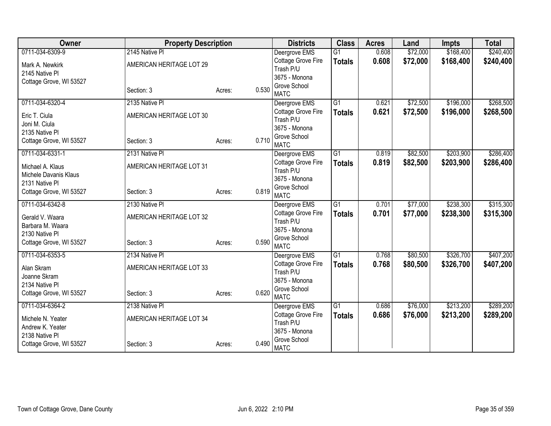| Owner                   | <b>Property Description</b> |                 | <b>Districts</b>                | <b>Class</b>    | <b>Acres</b> | Land     | <b>Impts</b> | <b>Total</b> |
|-------------------------|-----------------------------|-----------------|---------------------------------|-----------------|--------------|----------|--------------|--------------|
| 0711-034-6309-9         | 2145 Native PI              |                 | Deergrove EMS                   | $\overline{G1}$ | 0.608        | \$72,000 | \$168,400    | \$240,400    |
| Mark A. Newkirk         | AMERICAN HERITAGE LOT 29    |                 | Cottage Grove Fire              | <b>Totals</b>   | 0.608        | \$72,000 | \$168,400    | \$240,400    |
| 2145 Native Pl          |                             |                 | Trash P/U                       |                 |              |          |              |              |
| Cottage Grove, WI 53527 |                             |                 | 3675 - Monona                   |                 |              |          |              |              |
|                         | Section: 3                  | 0.530<br>Acres: | Grove School<br><b>MATC</b>     |                 |              |          |              |              |
| 0711-034-6320-4         | 2135 Native PI              |                 | Deergrove EMS                   | $\overline{G1}$ | 0.621        | \$72,500 | \$196,000    | \$268,500    |
| Eric T. Ciula           | AMERICAN HERITAGE LOT 30    |                 | Cottage Grove Fire              | <b>Totals</b>   | 0.621        | \$72,500 | \$196,000    | \$268,500    |
| Joni M. Ciula           |                             |                 | Trash P/U                       |                 |              |          |              |              |
| 2135 Native PI          |                             |                 | 3675 - Monona                   |                 |              |          |              |              |
| Cottage Grove, WI 53527 | Section: 3                  | 0.710<br>Acres: | Grove School                    |                 |              |          |              |              |
|                         |                             |                 | <b>MATC</b>                     |                 |              |          |              |              |
| 0711-034-6331-1         | 2131 Native PI              |                 | Deergrove EMS                   | $\overline{G1}$ | 0.819        | \$82,500 | \$203,900    | \$286,400    |
| Michael A. Klaus        | AMERICAN HERITAGE LOT 31    |                 | Cottage Grove Fire<br>Trash P/U | <b>Totals</b>   | 0.819        | \$82,500 | \$203,900    | \$286,400    |
| Michele Davanis Klaus   |                             |                 | 3675 - Monona                   |                 |              |          |              |              |
| 2131 Native PI          |                             |                 | Grove School                    |                 |              |          |              |              |
| Cottage Grove, WI 53527 | Section: 3                  | 0.819<br>Acres: | <b>MATC</b>                     |                 |              |          |              |              |
| 0711-034-6342-8         | 2130 Native PI              |                 | Deergrove EMS                   | G1              | 0.701        | \$77,000 | \$238,300    | \$315,300    |
| Gerald V. Waara         | AMERICAN HERITAGE LOT 32    |                 | Cottage Grove Fire              | <b>Totals</b>   | 0.701        | \$77,000 | \$238,300    | \$315,300    |
| Barbara M. Waara        |                             |                 | Trash P/U                       |                 |              |          |              |              |
| 2130 Native Pl          |                             |                 | 3675 - Monona                   |                 |              |          |              |              |
| Cottage Grove, WI 53527 | Section: 3                  | 0.590<br>Acres: | Grove School                    |                 |              |          |              |              |
|                         |                             |                 | <b>MATC</b>                     |                 |              |          |              |              |
| 0711-034-6353-5         | 2134 Native PI              |                 | Deergrove EMS                   | $\overline{G1}$ | 0.768        | \$80,500 | \$326,700    | \$407,200    |
| Alan Skram              | AMERICAN HERITAGE LOT 33    |                 | Cottage Grove Fire<br>Trash P/U | <b>Totals</b>   | 0.768        | \$80,500 | \$326,700    | \$407,200    |
| Joanne Skram            |                             |                 | 3675 - Monona                   |                 |              |          |              |              |
| 2134 Native Pl          |                             |                 | Grove School                    |                 |              |          |              |              |
| Cottage Grove, WI 53527 | Section: 3                  | 0.620<br>Acres: | <b>MATC</b>                     |                 |              |          |              |              |
| 0711-034-6364-2         | 2138 Native PI              |                 | Deergrove EMS                   | $\overline{G1}$ | 0.686        | \$76,000 | \$213,200    | \$289,200    |
| Michele N. Yeater       | AMERICAN HERITAGE LOT 34    |                 | Cottage Grove Fire              | <b>Totals</b>   | 0.686        | \$76,000 | \$213,200    | \$289,200    |
| Andrew K. Yeater        |                             |                 | Trash P/U                       |                 |              |          |              |              |
| 2138 Native Pl          |                             |                 | 3675 - Monona                   |                 |              |          |              |              |
| Cottage Grove, WI 53527 | Section: 3                  | 0.490<br>Acres: | Grove School<br><b>MATC</b>     |                 |              |          |              |              |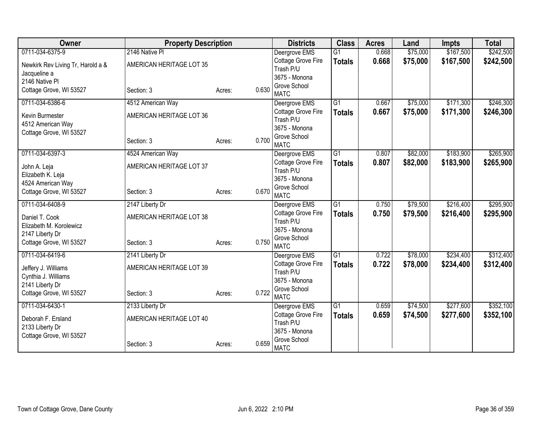| Owner                                      | <b>Property Description</b> |                 | <b>Districts</b>            | <b>Class</b>    | <b>Acres</b> | Land     | <b>Impts</b> | <b>Total</b> |
|--------------------------------------------|-----------------------------|-----------------|-----------------------------|-----------------|--------------|----------|--------------|--------------|
| 0711-034-6375-9                            | 2146 Native PI              |                 | Deergrove EMS               | $\overline{G1}$ | 0.668        | \$75,000 | \$167,500    | \$242,500    |
| Newkirk Rev Living Tr, Harold a &          | AMERICAN HERITAGE LOT 35    |                 | Cottage Grove Fire          | <b>Totals</b>   | 0.668        | \$75,000 | \$167,500    | \$242,500    |
| Jacqueline a                               |                             |                 | Trash P/U                   |                 |              |          |              |              |
| 2146 Native PI                             |                             |                 | 3675 - Monona               |                 |              |          |              |              |
| Cottage Grove, WI 53527                    | Section: 3                  | 0.630<br>Acres: | Grove School<br><b>MATC</b> |                 |              |          |              |              |
| 0711-034-6386-6                            | 4512 American Way           |                 | Deergrove EMS               | $\overline{G1}$ | 0.667        | \$75,000 | \$171,300    | \$246,300    |
| Kevin Burmester                            | AMERICAN HERITAGE LOT 36    |                 | Cottage Grove Fire          | <b>Totals</b>   | 0.667        | \$75,000 | \$171,300    | \$246,300    |
| 4512 American Way                          |                             |                 | Trash P/U                   |                 |              |          |              |              |
| Cottage Grove, WI 53527                    |                             |                 | 3675 - Monona               |                 |              |          |              |              |
|                                            | Section: 3                  | 0.700<br>Acres: | Grove School                |                 |              |          |              |              |
|                                            |                             |                 | <b>MATC</b>                 |                 |              |          |              |              |
| 0711-034-6397-3                            | 4524 American Way           |                 | Deergrove EMS               | $\overline{G1}$ | 0.807        | \$82,000 | \$183,900    | \$265,900    |
| John A. Leja                               | AMERICAN HERITAGE LOT 37    |                 | Cottage Grove Fire          | <b>Totals</b>   | 0.807        | \$82,000 | \$183,900    | \$265,900    |
| Elizabeth K. Leja                          |                             |                 | Trash P/U<br>3675 - Monona  |                 |              |          |              |              |
| 4524 American Way                          |                             |                 | Grove School                |                 |              |          |              |              |
| Cottage Grove, WI 53527                    | Section: 3                  | 0.670<br>Acres: | <b>MATC</b>                 |                 |              |          |              |              |
| 0711-034-6408-9                            | 2147 Liberty Dr             |                 | Deergrove EMS               | G1              | 0.750        | \$79,500 | \$216,400    | \$295,900    |
| Daniel T. Cook                             | AMERICAN HERITAGE LOT 38    |                 | Cottage Grove Fire          | <b>Totals</b>   | 0.750        | \$79,500 | \$216,400    | \$295,900    |
| Elizabeth M. Korolewicz                    |                             |                 | Trash P/U                   |                 |              |          |              |              |
| 2147 Liberty Dr                            |                             |                 | 3675 - Monona               |                 |              |          |              |              |
| Cottage Grove, WI 53527                    | Section: 3                  | 0.750<br>Acres: | Grove School                |                 |              |          |              |              |
|                                            |                             |                 | <b>MATC</b>                 |                 |              |          |              |              |
| 0711-034-6419-6                            | 2141 Liberty Dr             |                 | Deergrove EMS               | $\overline{G1}$ | 0.722        | \$78,000 | \$234,400    | \$312,400    |
| Jeffery J. Williams                        | AMERICAN HERITAGE LOT 39    |                 | Cottage Grove Fire          | <b>Totals</b>   | 0.722        | \$78,000 | \$234,400    | \$312,400    |
| Cynthia J. Williams                        |                             |                 | Trash P/U<br>3675 - Monona  |                 |              |          |              |              |
| 2141 Liberty Dr                            |                             |                 | Grove School                |                 |              |          |              |              |
| Cottage Grove, WI 53527                    | Section: 3                  | 0.722<br>Acres: | <b>MATC</b>                 |                 |              |          |              |              |
| 0711-034-6430-1                            | 2133 Liberty Dr             |                 | Deergrove EMS               | $\overline{G1}$ | 0.659        | \$74,500 | \$277,600    | \$352,100    |
|                                            |                             |                 | Cottage Grove Fire          | <b>Totals</b>   | 0.659        | \$74,500 | \$277,600    | \$352,100    |
| Deborah F. Ersland                         | AMERICAN HERITAGE LOT 40    |                 | Trash P/U                   |                 |              |          |              |              |
| 2133 Liberty Dr<br>Cottage Grove, WI 53527 |                             |                 | 3675 - Monona               |                 |              |          |              |              |
|                                            | Section: 3                  | 0.659<br>Acres: | Grove School                |                 |              |          |              |              |
|                                            |                             |                 | <b>MATC</b>                 |                 |              |          |              |              |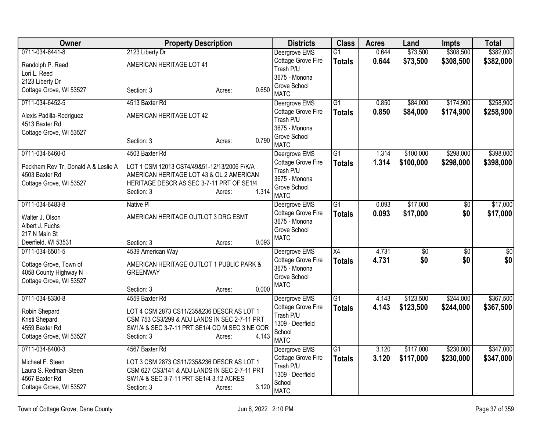| Owner                                                                                  | <b>Property Description</b>                                                                                                                                 |                 | <b>Districts</b>                                                             | <b>Class</b>        | <b>Acres</b>   | Land                 | <b>Impts</b>           | <b>Total</b>         |
|----------------------------------------------------------------------------------------|-------------------------------------------------------------------------------------------------------------------------------------------------------------|-----------------|------------------------------------------------------------------------------|---------------------|----------------|----------------------|------------------------|----------------------|
| 0711-034-6441-8                                                                        | 2123 Liberty Dr                                                                                                                                             |                 | Deergrove EMS                                                                | $\overline{G1}$     | 0.644          | \$73,500             | \$308,500              | \$382,000            |
| Randolph P. Reed<br>Lori L. Reed                                                       | AMERICAN HERITAGE LOT 41                                                                                                                                    |                 | Cottage Grove Fire<br>Trash P/U                                              | <b>Totals</b>       | 0.644          | \$73,500             | \$308,500              | \$382,000            |
| 2123 Liberty Dr                                                                        |                                                                                                                                                             |                 | 3675 - Monona                                                                |                     |                |                      |                        |                      |
| Cottage Grove, WI 53527                                                                | Section: 3                                                                                                                                                  | 0.650<br>Acres: | Grove School<br><b>MATC</b>                                                  |                     |                |                      |                        |                      |
| 0711-034-6452-5                                                                        | 4513 Baxter Rd                                                                                                                                              |                 | Deergrove EMS                                                                | $\overline{G1}$     | 0.850          | \$84,000             | \$174,900              | \$258,900            |
| Alexis Padilla-Rodriguez<br>4513 Baxter Rd                                             | AMERICAN HERITAGE LOT 42                                                                                                                                    |                 | Cottage Grove Fire<br>Trash P/U                                              | <b>Totals</b>       | 0.850          | \$84,000             | \$174,900              | \$258,900            |
| Cottage Grove, WI 53527                                                                | Section: 3                                                                                                                                                  | 0.790<br>Acres: | 3675 - Monona<br>Grove School<br><b>MATC</b>                                 |                     |                |                      |                        |                      |
| 0711-034-6460-0                                                                        | 4503 Baxter Rd                                                                                                                                              |                 | Deergrove EMS                                                                | G1                  | 1.314          | \$100,000            | \$298,000              | \$398,000            |
| Peckham Rev Tr, Donald A & Leslie A<br>4503 Baxter Rd<br>Cottage Grove, WI 53527       | LOT 1 CSM 12013 CS74/49&51-12/13/2006 F/K/A<br>AMERICAN HERITAGE LOT 43 & OL 2 AMERICAN<br>HERITAGE DESCR AS SEC 3-7-11 PRT OF SE1/4<br>Section: 3          | 1.314<br>Acres: | Cottage Grove Fire<br>Trash P/U<br>3675 - Monona<br>Grove School             | <b>Totals</b>       | 1.314          | \$100,000            | \$298,000              | \$398,000            |
|                                                                                        |                                                                                                                                                             |                 | <b>MATC</b>                                                                  |                     |                |                      |                        |                      |
| 0711-034-6483-8<br>Walter J. Olson<br>Albert J. Fuchs                                  | <b>Native PI</b><br>AMERICAN HERITAGE OUTLOT 3 DRG ESMT                                                                                                     |                 | Deergrove EMS<br>Cottage Grove Fire<br>3675 - Monona                         | G1<br><b>Totals</b> | 0.093<br>0.093 | \$17,000<br>\$17,000 | $\overline{60}$<br>\$0 | \$17,000<br>\$17,000 |
| 217 N Main St                                                                          |                                                                                                                                                             |                 | Grove School                                                                 |                     |                |                      |                        |                      |
| Deerfield, WI 53531                                                                    | Section: 3                                                                                                                                                  | 0.093<br>Acres: | <b>MATC</b>                                                                  |                     |                |                      |                        |                      |
| 0711-034-6501-5                                                                        | 4539 American Way                                                                                                                                           |                 | Deergrove EMS                                                                | $\overline{X4}$     | 4.731          | \$0                  | $\overline{50}$        | $\overline{50}$      |
| Cottage Grove, Town of<br>4058 County Highway N<br>Cottage Grove, WI 53527             | AMERICAN HERITAGE OUTLOT 1 PUBLIC PARK &<br><b>GREENWAY</b><br>Section: 3                                                                                   | 0.000<br>Acres: | Cottage Grove Fire<br>3675 - Monona<br>Grove School<br><b>MATC</b>           | <b>Totals</b>       | 4.731          | \$0                  | \$0                    | \$0                  |
| 0711-034-8330-8                                                                        | 4559 Baxter Rd                                                                                                                                              |                 | Deergrove EMS                                                                | $\overline{G1}$     | 4.143          | \$123,500            | \$244,000              | \$367,500            |
| Robin Shepard<br>Kristi Shepard<br>4559 Baxter Rd<br>Cottage Grove, WI 53527           | LOT 4 CSM 2873 CS11/235&236 DESCR AS LOT 1<br>CSM 753 CS3/299 & ADJ LANDS IN SEC 2-7-11 PRT<br>SW1/4 & SEC 3-7-11 PRT SE1/4 CO M SEC 3 NE COR<br>Section: 3 | 4.143<br>Acres: | Cottage Grove Fire<br>Trash P/U<br>1309 - Deerfield<br>School<br><b>MATC</b> | <b>Totals</b>       | 4.143          | \$123,500            | \$244,000              | \$367,500            |
| 0711-034-8400-3                                                                        | 4567 Baxter Rd                                                                                                                                              |                 | Deergrove EMS                                                                | $\overline{G1}$     | 3.120          | \$117,000            | \$230,000              | \$347,000            |
| Michael F. Steen<br>Laura S. Redman-Steen<br>4567 Baxter Rd<br>Cottage Grove, WI 53527 | LOT 3 CSM 2873 CS11/235&236 DESCR AS LOT 1<br>CSM 627 CS3/141 & ADJ LANDS IN SEC 2-7-11 PRT<br>SW1/4 & SEC 3-7-11 PRT SE1/4 3.12 ACRES<br>Section: 3        | 3.120<br>Acres: | Cottage Grove Fire<br>Trash P/U<br>1309 - Deerfield<br>School<br><b>MATC</b> | <b>Totals</b>       | 3.120          | \$117,000            | \$230,000              | \$347,000            |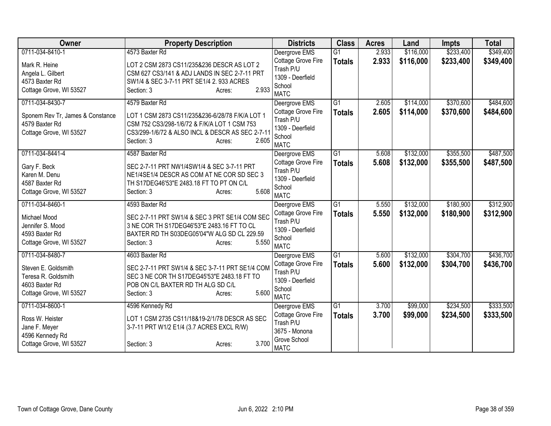| Owner                            | <b>Property Description</b>                                                              | <b>Districts</b>                       | <b>Class</b>    | <b>Acres</b> | Land      | <b>Impts</b> | <b>Total</b> |
|----------------------------------|------------------------------------------------------------------------------------------|----------------------------------------|-----------------|--------------|-----------|--------------|--------------|
| 0711-034-8410-1                  | 4573 Baxter Rd                                                                           | Deergrove EMS                          | $\overline{G1}$ | 2.933        | \$116,000 | \$233,400    | \$349,400    |
| Mark R. Heine                    | LOT 2 CSM 2873 CS11/235&236 DESCR AS LOT 2                                               | Cottage Grove Fire                     | <b>Totals</b>   | 2.933        | \$116,000 | \$233,400    | \$349,400    |
| Angela L. Gilbert                | CSM 627 CS3/141 & ADJ LANDS IN SEC 2-7-11 PRT                                            | Trash P/U                              |                 |              |           |              |              |
| 4573 Baxter Rd                   | SW1/4 & SEC 3-7-11 PRT SE1/4 2. 933 ACRES                                                | 1309 - Deerfield                       |                 |              |           |              |              |
| Cottage Grove, WI 53527          | 2.933<br>Section: 3<br>Acres:                                                            | School                                 |                 |              |           |              |              |
| 0711-034-8430-7                  | 4579 Baxter Rd                                                                           | <b>MATC</b>                            | $\overline{G1}$ |              | \$114,000 | \$370,600    |              |
|                                  |                                                                                          | Deergrove EMS                          |                 | 2.605        |           |              | \$484,600    |
| Sponem Rev Tr, James & Constance | LOT 1 CSM 2873 CS11/235&236-6/28/78 F/K/A LOT 1                                          | <b>Cottage Grove Fire</b><br>Trash P/U | <b>Totals</b>   | 2.605        | \$114,000 | \$370,600    | \$484,600    |
| 4579 Baxter Rd                   | CSM 752 CS3/298-1/6/72 & F/K/A LOT 1 CSM 753                                             | 1309 - Deerfield                       |                 |              |           |              |              |
| Cottage Grove, WI 53527          | CS3/299-1/6/72 & ALSO INCL & DESCR AS SEC 2-7-11                                         | School                                 |                 |              |           |              |              |
|                                  | Section: 3<br>2.605<br>Acres:                                                            | <b>MATC</b>                            |                 |              |           |              |              |
| 0711-034-8441-4                  | 4587 Baxter Rd                                                                           | Deergrove EMS                          | $\overline{G1}$ | 5.608        | \$132,000 | \$355,500    | \$487,500    |
|                                  |                                                                                          | Cottage Grove Fire                     | <b>Totals</b>   | 5.608        | \$132,000 | \$355,500    | \$487,500    |
| Gary F. Beck                     | SEC 2-7-11 PRT NW1/4SW1/4 & SEC 3-7-11 PRT<br>NE1/4SE1/4 DESCR AS COM AT NE COR SD SEC 3 | Trash P/U                              |                 |              |           |              |              |
| Karen M. Denu<br>4587 Baxter Rd  | TH S17DEG46'53"E 2483.18 FT TO PT ON C/L                                                 | 1309 - Deerfield                       |                 |              |           |              |              |
| Cottage Grove, WI 53527          | 5.608<br>Section: 3<br>Acres:                                                            | School                                 |                 |              |           |              |              |
|                                  |                                                                                          | <b>MATC</b>                            |                 |              |           |              |              |
| 0711-034-8460-1                  | 4593 Baxter Rd                                                                           | Deergrove EMS                          | $\overline{G1}$ | 5.550        | \$132,000 | \$180,900    | \$312,900    |
| Michael Mood                     | SEC 2-7-11 PRT SW1/4 & SEC 3 PRT SE1/4 COM SEC                                           | Cottage Grove Fire                     | <b>Totals</b>   | 5.550        | \$132,000 | \$180,900    | \$312,900    |
| Jennifer S. Mood                 | 3 NE COR TH S17DEG46'53"E 2483.16 FT TO CL                                               | Trash P/U                              |                 |              |           |              |              |
| 4593 Baxter Rd                   | BAXTER RD TH S03DEG05'04"W ALG SD CL 229.59                                              | 1309 - Deerfield                       |                 |              |           |              |              |
| Cottage Grove, WI 53527          | 5.550<br>Section: 3<br>Acres:                                                            | School                                 |                 |              |           |              |              |
|                                  |                                                                                          | <b>MATC</b>                            |                 |              |           |              |              |
| 0711-034-8480-7                  | 4603 Baxter Rd                                                                           | Deergrove EMS                          | $\overline{G1}$ | 5.600        | \$132,000 | \$304,700    | \$436,700    |
| Steven E. Goldsmith              | SEC 2-7-11 PRT SW1/4 & SEC 3-7-11 PRT SE1/4 COM                                          | Cottage Grove Fire<br>Trash P/U        | <b>Totals</b>   | 5.600        | \$132,000 | \$304,700    | \$436,700    |
| Teresa R. Goldsmith              | SEC 3 NE COR TH S17DEG45'53"E 2483.18 FT TO                                              | 1309 - Deerfield                       |                 |              |           |              |              |
| 4603 Baxter Rd                   | POB ON C/L BAXTER RD TH ALG SD C/L                                                       | School                                 |                 |              |           |              |              |
| Cottage Grove, WI 53527          | 5.600<br>Section: 3<br>Acres:                                                            | <b>MATC</b>                            |                 |              |           |              |              |
| 0711-034-8600-1                  | 4596 Kennedy Rd                                                                          | Deergrove EMS                          | $\overline{G1}$ | 3.700        | \$99,000  | \$234,500    | \$333,500    |
| Ross W. Heister                  | LOT 1 CSM 2735 CS11/18&19-2/1/78 DESCR AS SEC                                            | Cottage Grove Fire                     | <b>Totals</b>   | 3.700        | \$99,000  | \$234,500    | \$333,500    |
| Jane F. Meyer                    | 3-7-11 PRT W1/2 E1/4 (3.7 ACRES EXCL R/W)                                                | Trash P/U                              |                 |              |           |              |              |
| 4596 Kennedy Rd                  |                                                                                          | 3675 - Monona                          |                 |              |           |              |              |
| Cottage Grove, WI 53527          | 3.700<br>Section: 3<br>Acres:                                                            | Grove School<br><b>MATC</b>            |                 |              |           |              |              |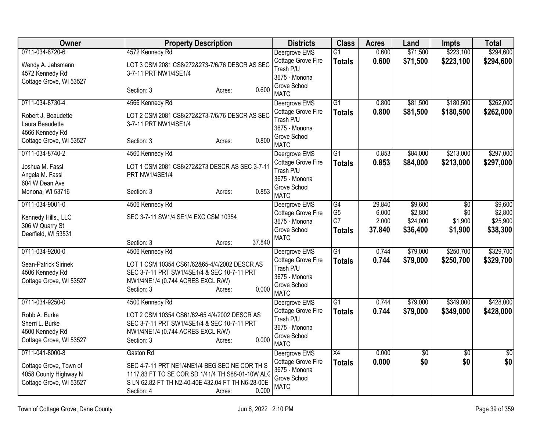| <b>Owner</b>                                                               | <b>Property Description</b>                                                                                                                                                             | <b>Districts</b>                                                   | <b>Class</b>                     | <b>Acres</b>    | Land                 | <b>Impts</b>           | <b>Total</b>           |
|----------------------------------------------------------------------------|-----------------------------------------------------------------------------------------------------------------------------------------------------------------------------------------|--------------------------------------------------------------------|----------------------------------|-----------------|----------------------|------------------------|------------------------|
| 0711-034-8720-6                                                            | 4572 Kennedy Rd                                                                                                                                                                         | Deergrove EMS<br>Cottage Grove Fire                                | $\overline{G1}$<br><b>Totals</b> | 0.600<br>0.600  | \$71,500<br>\$71,500 | \$223,100<br>\$223,100 | \$294,600<br>\$294,600 |
| Wendy A. Jahsmann<br>4572 Kennedy Rd<br>Cottage Grove, WI 53527            | LOT 3 CSM 2081 CS8/272&273-7/6/76 DESCR AS SEC<br>3-7-11 PRT NW1/4SE1/4                                                                                                                 | Trash P/U<br>3675 - Monona                                         |                                  |                 |                      |                        |                        |
|                                                                            | 0.600<br>Section: 3<br>Acres:                                                                                                                                                           | Grove School<br><b>MATC</b>                                        |                                  |                 |                      |                        |                        |
| 0711-034-8730-4                                                            | 4566 Kennedy Rd                                                                                                                                                                         | Deergrove EMS                                                      | $\overline{G1}$                  | 0.800           | \$81,500             | \$180,500              | \$262,000              |
| Robert J. Beaudette<br>Laura Beaudette                                     | LOT 2 CSM 2081 CS8/272&273-7/6/76 DESCR AS SEC<br>3-7-11 PRT NW1/4SE1/4                                                                                                                 | Cottage Grove Fire<br>Trash P/U<br>3675 - Monona                   | <b>Totals</b>                    | 0.800           | \$81,500             | \$180,500              | \$262,000              |
| 4566 Kennedy Rd<br>Cottage Grove, WI 53527                                 | 0.800<br>Section: 3<br>Acres:                                                                                                                                                           | Grove School<br><b>MATC</b>                                        |                                  |                 |                      |                        |                        |
| 0711-034-8740-2                                                            | 4560 Kennedy Rd                                                                                                                                                                         | Deergrove EMS                                                      | G <sub>1</sub>                   | 0.853           | \$84,000             | \$213,000              | \$297,000              |
| Joshua M. Fassl<br>Angela M. Fassl<br>604 W Dean Ave                       | LOT 1 CSM 2081 CS8/272&273 DESCR AS SEC 3-7-11<br>PRT NW1/4SE1/4                                                                                                                        | Cottage Grove Fire<br>Trash P/U<br>3675 - Monona                   | <b>Totals</b>                    | 0.853           | \$84,000             | \$213,000              | \$297,000              |
| Monona, WI 53716                                                           | 0.853<br>Section: 3<br>Acres:                                                                                                                                                           | Grove School<br><b>MATC</b>                                        |                                  |                 |                      |                        |                        |
| 0711-034-9001-0                                                            | 4506 Kennedy Rd                                                                                                                                                                         | Deergrove EMS                                                      | G4                               | 29.840          | \$9,600              | $\overline{50}$        | \$9,600                |
| Kennedy Hills,, LLC                                                        | SEC 3-7-11 SW1/4 SE1/4 EXC CSM 10354                                                                                                                                                    | Cottage Grove Fire                                                 | G <sub>5</sub>                   | 6.000           | \$2,800              | \$0                    | \$2,800                |
| 306 W Quarry St                                                            |                                                                                                                                                                                         | 3675 - Monona<br>Grove School                                      | G7                               | 2.000<br>37.840 | \$24,000<br>\$36,400 | \$1,900<br>\$1,900     | \$25,900               |
| Deerfield, WI 53531                                                        |                                                                                                                                                                                         | <b>MATC</b>                                                        | <b>Totals</b>                    |                 |                      |                        | \$38,300               |
|                                                                            | 37.840<br>Section: 3<br>Acres:                                                                                                                                                          |                                                                    |                                  |                 |                      |                        |                        |
| 0711-034-9200-0                                                            | 4506 Kennedy Rd                                                                                                                                                                         | Deergrove EMS<br>Cottage Grove Fire                                | G1                               | 0.744<br>0.744  | \$79,000             | \$250,700              | \$329,700              |
| Sean-Patrick Sirinek                                                       | LOT 1 CSM 10354 CS61/62&65-4/4/2002 DESCR AS                                                                                                                                            | Trash P/U                                                          | <b>Totals</b>                    |                 | \$79,000             | \$250,700              | \$329,700              |
| 4506 Kennedy Rd                                                            | SEC 3-7-11 PRT SW1/4SE1/4 & SEC 10-7-11 PRT                                                                                                                                             | 3675 - Monona                                                      |                                  |                 |                      |                        |                        |
| Cottage Grove, WI 53527                                                    | NW1/4NE1/4 (0.744 ACRES EXCL R/W)<br>0.000<br>Section: 3<br>Acres:                                                                                                                      | Grove School                                                       |                                  |                 |                      |                        |                        |
|                                                                            |                                                                                                                                                                                         | <b>MATC</b>                                                        |                                  |                 |                      |                        |                        |
| 0711-034-9250-0                                                            | 4500 Kennedy Rd                                                                                                                                                                         | Deergrove EMS                                                      | $\overline{G1}$                  | 0.744           | \$79,000             | \$349,000              | \$428,000              |
| Robb A. Burke                                                              | LOT 2 CSM 10354 CS61/62-65 4/4/2002 DESCR AS                                                                                                                                            | Cottage Grove Fire<br>Trash P/U                                    | <b>Totals</b>                    | 0.744           | \$79,000             | \$349,000              | \$428,000              |
| Sherri L. Burke                                                            | SEC 3-7-11 PRT SW1/4SE1/4 & SEC 10-7-11 PRT                                                                                                                                             | 3675 - Monona                                                      |                                  |                 |                      |                        |                        |
| 4500 Kennedy Rd                                                            | NW1/4NE1/4 (0.744 ACRES EXCL R/W)                                                                                                                                                       | Grove School                                                       |                                  |                 |                      |                        |                        |
| Cottage Grove, WI 53527                                                    | 0.000<br>Section: 3<br>Acres:                                                                                                                                                           | <b>MATC</b>                                                        |                                  |                 |                      |                        |                        |
| 0711-041-8000-8                                                            | Gaston Rd                                                                                                                                                                               | Deergrove EMS                                                      | X4                               | 0.000           | \$0                  | $\overline{50}$        | \$0                    |
| Cottage Grove, Town of<br>4058 County Highway N<br>Cottage Grove, WI 53527 | SEC 4-7-11 PRT NE1/4NE1/4 BEG SEC NE COR TH S<br>1117.83 FT TO SE COR SD 1/41/4 TH S88-01-10W ALG<br>S LN 62.82 FT TH N2-40-40E 432.04 FT TH N6-28-00E<br>0.000<br>Section: 4<br>Acres: | Cottage Grove Fire<br>3675 - Monona<br>Grove School<br><b>MATC</b> | <b>Totals</b>                    | 0.000           | \$0                  | \$0                    | \$0                    |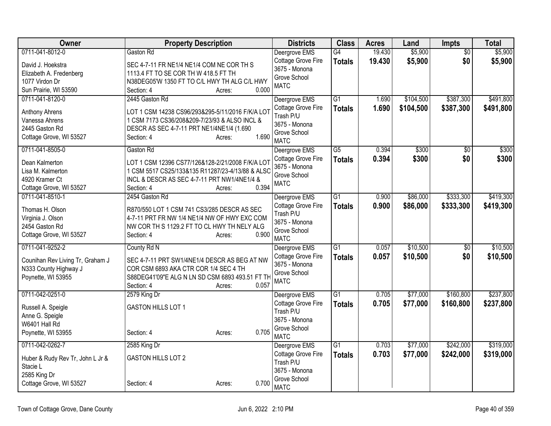| Owner                            | <b>Property Description</b>                      | <b>Districts</b>                    | <b>Class</b>    | <b>Acres</b> | Land      | <b>Impts</b>    | <b>Total</b> |
|----------------------------------|--------------------------------------------------|-------------------------------------|-----------------|--------------|-----------|-----------------|--------------|
| 0711-041-8012-0                  | Gaston Rd                                        | Deergrove EMS                       | G4              | 19.430       | \$5,900   | $\overline{50}$ | \$5,900      |
| David J. Hoekstra                | SEC 4-7-11 FR NE1/4 NE1/4 COM NE COR TH S        | Cottage Grove Fire                  | <b>Totals</b>   | 19.430       | \$5,900   | \$0             | \$5,900      |
| Elizabeth A. Fredenberg          | 1113.4 FT TO SE COR TH W 418.5 FT TH             | 3675 - Monona                       |                 |              |           |                 |              |
| 1077 Virdon Dr                   | N38DEG05'W 1350 FT TO C/L HWY TH ALG C/L HWY     | Grove School                        |                 |              |           |                 |              |
| Sun Prairie, WI 53590            | 0.000<br>Section: 4<br>Acres:                    | <b>MATC</b>                         |                 |              |           |                 |              |
| 0711-041-8120-0                  | 2445 Gaston Rd                                   | Deergrove EMS                       | G1              | 1.690        | \$104,500 | \$387,300       | \$491,800    |
| Anthony Ahrens                   | LOT 1 CSM 14238 CS96/293&295-5/11/2016 F/K/A LOT | Cottage Grove Fire                  | <b>Totals</b>   | 1.690        | \$104,500 | \$387,300       | \$491,800    |
| Vanessa Ahrens                   | 1 CSM 7173 CS36/208&209-7/23/93 & ALSO INCL &    | Trash P/U                           |                 |              |           |                 |              |
| 2445 Gaston Rd                   | DESCR AS SEC 4-7-11 PRT NE1/4NE1/4 (1.690        | 3675 - Monona                       |                 |              |           |                 |              |
| Cottage Grove, WI 53527          | 1.690<br>Section: 4<br>Acres:                    | Grove School                        |                 |              |           |                 |              |
|                                  |                                                  | <b>MATC</b>                         |                 |              |           |                 |              |
| 0711-041-8505-0                  | Gaston Rd                                        | Deergrove EMS                       | $\overline{G5}$ | 0.394        | \$300     | $\overline{30}$ | \$300        |
| Dean Kalmerton                   | LOT 1 CSM 12396 CS77/126&128-2/21/2008 F/K/A LOT | Cottage Grove Fire<br>3675 - Monona | <b>Totals</b>   | 0.394        | \$300     | \$0             | \$300        |
| Lisa M. Kalmerton                | 1 CSM 5517 CS25/133&135 R11287/23-4/13/88 & ALSC | Grove School                        |                 |              |           |                 |              |
| 4920 Kramer Ct                   | INCL & DESCR AS SEC 4-7-11 PRT NW1/4NE1/4 &      | <b>MATC</b>                         |                 |              |           |                 |              |
| Cottage Grove, WI 53527          | 0.394<br>Section: 4<br>Acres:                    |                                     |                 |              |           |                 |              |
| 0711-041-8510-1                  | 2454 Gaston Rd                                   | Deergrove EMS                       | $\overline{G1}$ | 0.900        | \$86,000  | \$333,300       | \$419,300    |
| Thomas H. Olson                  | R870/550 LOT 1 CSM 741 CS3/285 DESCR AS SEC      | Cottage Grove Fire                  | <b>Totals</b>   | 0.900        | \$86,000  | \$333,300       | \$419,300    |
| Virginia J. Olson                | 4-7-11 PRT FR NW 1/4 NE1/4 NW OF HWY EXC COM     | Trash P/U                           |                 |              |           |                 |              |
| 2454 Gaston Rd                   | NW COR TH S 1129.2 FT TO CL HWY TH NELY ALG      | 3675 - Monona                       |                 |              |           |                 |              |
| Cottage Grove, WI 53527          | 0.900<br>Section: 4<br>Acres:                    | Grove School                        |                 |              |           |                 |              |
|                                  |                                                  | <b>MATC</b>                         |                 |              |           |                 |              |
| 0711-041-9252-2                  | County Rd N                                      | Deergrove EMS                       | $\overline{G1}$ | 0.057        | \$10,500  | $\overline{50}$ | \$10,500     |
| Counihan Rev Living Tr, Graham J | SEC 4-7-11 PRT SW1/4NE1/4 DESCR AS BEG AT NW     | Cottage Grove Fire<br>3675 - Monona | <b>Totals</b>   | 0.057        | \$10,500  | \$0             | \$10,500     |
| N333 County Highway J            | COR CSM 6893 AKA CTR COR 1/4 SEC 4 TH            | Grove School                        |                 |              |           |                 |              |
| Poynette, WI 53955               | S88DEG41'09"E ALG N LN SD CSM 6893 493.51 FT TH  | <b>MATC</b>                         |                 |              |           |                 |              |
|                                  | Section: 4<br>0.057<br>Acres:                    |                                     |                 |              |           |                 |              |
| 0711-042-0251-0                  | 2579 King Dr                                     | Deergrove EMS                       | $\overline{G1}$ | 0.705        | \$77,000  | \$160,800       | \$237,800    |
| Russell A. Speigle               | <b>GASTON HILLS LOT 1</b>                        | Cottage Grove Fire                  | <b>Totals</b>   | 0.705        | \$77,000  | \$160,800       | \$237,800    |
| Anne G. Speigle                  |                                                  | Trash P/U                           |                 |              |           |                 |              |
| W6401 Hall Rd                    |                                                  | 3675 - Monona                       |                 |              |           |                 |              |
| Poynette, WI 53955               | 0.705<br>Section: 4<br>Acres:                    | Grove School<br><b>MATC</b>         |                 |              |           |                 |              |
| 0711-042-0262-7                  | 2585 King Dr                                     | Deergrove EMS                       | G1              | 0.703        | \$77,000  | \$242,000       | \$319,000    |
|                                  |                                                  | Cottage Grove Fire                  | <b>Totals</b>   | 0.703        | \$77,000  | \$242,000       | \$319,000    |
| Huber & Rudy Rev Tr, John L Jr & | <b>GASTON HILLS LOT 2</b>                        | Trash P/U                           |                 |              |           |                 |              |
| Stacie L                         |                                                  | 3675 - Monona                       |                 |              |           |                 |              |
| 2585 King Dr                     |                                                  | Grove School                        |                 |              |           |                 |              |
| Cottage Grove, WI 53527          | 0.700<br>Section: 4<br>Acres:                    | <b>MATC</b>                         |                 |              |           |                 |              |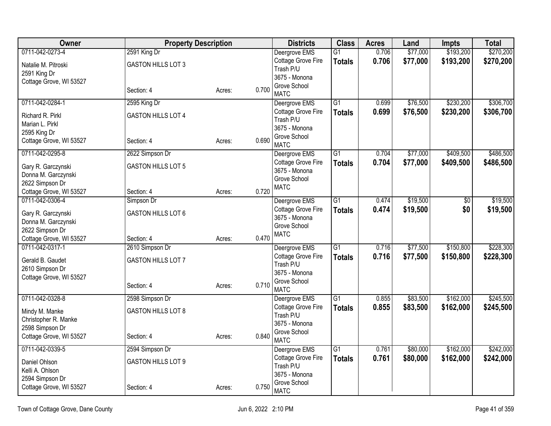| <b>Owner</b>                               | <b>Property Description</b> |        |       | <b>Districts</b>              | <b>Class</b>    | <b>Acres</b> | Land     | <b>Impts</b>   | <b>Total</b> |
|--------------------------------------------|-----------------------------|--------|-------|-------------------------------|-----------------|--------------|----------|----------------|--------------|
| 0711-042-0273-4                            | 2591 King Dr                |        |       | Deergrove EMS                 | $\overline{G1}$ | 0.706        | \$77,000 | \$193,200      | \$270,200    |
| Natalie M. Pitroski                        | <b>GASTON HILLS LOT 3</b>   |        |       | Cottage Grove Fire            | <b>Totals</b>   | 0.706        | \$77,000 | \$193,200      | \$270,200    |
| 2591 King Dr                               |                             |        |       | Trash P/U                     |                 |              |          |                |              |
| Cottage Grove, WI 53527                    |                             |        |       | 3675 - Monona<br>Grove School |                 |              |          |                |              |
|                                            | Section: 4                  | Acres: | 0.700 | <b>MATC</b>                   |                 |              |          |                |              |
| 0711-042-0284-1                            | 2595 King Dr                |        |       | Deergrove EMS                 | $\overline{G1}$ | 0.699        | \$76,500 | \$230,200      | \$306,700    |
| Richard R. Pirkl                           | <b>GASTON HILLS LOT 4</b>   |        |       | Cottage Grove Fire            | <b>Totals</b>   | 0.699        | \$76,500 | \$230,200      | \$306,700    |
| Marian L. Pirkl                            |                             |        |       | Trash P/U                     |                 |              |          |                |              |
| 2595 King Dr                               |                             |        |       | 3675 - Monona                 |                 |              |          |                |              |
| Cottage Grove, WI 53527                    | Section: 4                  | Acres: | 0.690 | Grove School<br><b>MATC</b>   |                 |              |          |                |              |
| 0711-042-0295-8                            | 2622 Simpson Dr             |        |       | Deergrove EMS                 | $\overline{G1}$ | 0.704        | \$77,000 | \$409,500      | \$486,500    |
|                                            | <b>GASTON HILLS LOT 5</b>   |        |       | Cottage Grove Fire            | <b>Totals</b>   | 0.704        | \$77,000 | \$409,500      | \$486,500    |
| Gary R. Garczynski<br>Donna M. Garczynski  |                             |        |       | 3675 - Monona                 |                 |              |          |                |              |
| 2622 Simpson Dr                            |                             |        |       | Grove School                  |                 |              |          |                |              |
| Cottage Grove, WI 53527                    | Section: 4                  | Acres: | 0.720 | <b>MATC</b>                   |                 |              |          |                |              |
| 0711-042-0306-4                            | Simpson Dr                  |        |       | Deergrove EMS                 | $\overline{G1}$ | 0.474        | \$19,500 | $\frac{1}{20}$ | \$19,500     |
|                                            |                             |        |       | Cottage Grove Fire            | <b>Totals</b>   | 0.474        | \$19,500 | \$0            | \$19,500     |
| Gary R. Garczynski                         | GASTON HILLS LOT 6          |        |       | 3675 - Monona                 |                 |              |          |                |              |
| Donna M. Garczynski                        |                             |        |       | Grove School                  |                 |              |          |                |              |
| 2622 Simpson Dr<br>Cottage Grove, WI 53527 | Section: 4                  |        | 0.470 | <b>MATC</b>                   |                 |              |          |                |              |
| 0711-042-0317-1                            | 2610 Simpson Dr             | Acres: |       | Deergrove EMS                 | $\overline{G1}$ | 0.716        | \$77,500 | \$150,800      | \$228,300    |
|                                            |                             |        |       | Cottage Grove Fire            |                 | 0.716        | \$77,500 | \$150,800      | \$228,300    |
| Gerald B. Gaudet                           | GASTON HILLS LOT 7          |        |       | Trash P/U                     | <b>Totals</b>   |              |          |                |              |
| 2610 Simpson Dr                            |                             |        |       | 3675 - Monona                 |                 |              |          |                |              |
| Cottage Grove, WI 53527                    |                             |        |       | Grove School                  |                 |              |          |                |              |
|                                            | Section: 4                  | Acres: | 0.710 | <b>MATC</b>                   |                 |              |          |                |              |
| 0711-042-0328-8                            | 2598 Simpson Dr             |        |       | Deergrove EMS                 | $\overline{G1}$ | 0.855        | \$83,500 | \$162,000      | \$245,500    |
| Mindy M. Manke                             | <b>GASTON HILLS LOT 8</b>   |        |       | Cottage Grove Fire            | <b>Totals</b>   | 0.855        | \$83,500 | \$162,000      | \$245,500    |
| Christopher R. Manke                       |                             |        |       | Trash P/U                     |                 |              |          |                |              |
| 2598 Simpson Dr                            |                             |        |       | 3675 - Monona                 |                 |              |          |                |              |
| Cottage Grove, WI 53527                    | Section: 4                  | Acres: | 0.840 | Grove School<br><b>MATC</b>   |                 |              |          |                |              |
| 0711-042-0339-5                            | 2594 Simpson Dr             |        |       | Deergrove EMS                 | G1              | 0.761        | \$80,000 | \$162,000      | \$242,000    |
|                                            |                             |        |       | Cottage Grove Fire            | <b>Totals</b>   | 0.761        | \$80,000 | \$162,000      | \$242,000    |
| Daniel Ohlson<br>Kelli A. Ohlson           | <b>GASTON HILLS LOT 9</b>   |        |       | Trash P/U                     |                 |              |          |                |              |
| 2594 Simpson Dr                            |                             |        |       | 3675 - Monona                 |                 |              |          |                |              |
| Cottage Grove, WI 53527                    | Section: 4                  | Acres: | 0.750 | Grove School<br><b>MATC</b>   |                 |              |          |                |              |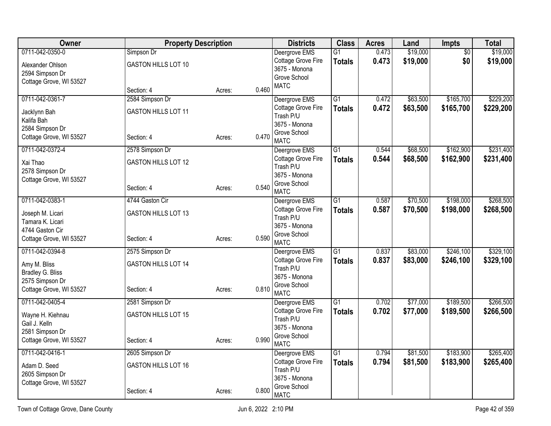| <b>Owner</b>                               | <b>Property Description</b>              |        |       | <b>Districts</b>                                 | <b>Class</b>                     | <b>Acres</b>   | Land                 | <b>Impts</b>           | <b>Total</b>           |
|--------------------------------------------|------------------------------------------|--------|-------|--------------------------------------------------|----------------------------------|----------------|----------------------|------------------------|------------------------|
| 0711-042-0350-0<br>Alexander Ohlson        | Simpson Dr<br><b>GASTON HILLS LOT 10</b> |        |       | Deergrove EMS<br>Cottage Grove Fire              | G1<br><b>Totals</b>              | 0.473<br>0.473 | \$19,000<br>\$19,000 | $\overline{50}$<br>\$0 | \$19,000<br>\$19,000   |
| 2594 Simpson Dr                            |                                          |        |       | 3675 - Monona<br>Grove School                    |                                  |                |                      |                        |                        |
| Cottage Grove, WI 53527                    | Section: 4                               | Acres: | 0.460 | <b>MATC</b>                                      |                                  |                |                      |                        |                        |
| 0711-042-0361-7                            | 2584 Simpson Dr                          |        |       | Deergrove EMS                                    | $\overline{G1}$                  | 0.472          | \$63,500             | \$165,700              | \$229,200              |
| Jacklynn Bah<br>Kalifa Bah                 | GASTON HILLS LOT 11                      |        |       | Cottage Grove Fire<br>Trash P/U<br>3675 - Monona | <b>Totals</b>                    | 0.472          | \$63,500             | \$165,700              | \$229,200              |
| 2584 Simpson Dr<br>Cottage Grove, WI 53527 | Section: 4                               | Acres: | 0.470 | Grove School<br><b>MATC</b>                      |                                  |                |                      |                        |                        |
| 0711-042-0372-4                            | 2578 Simpson Dr                          |        |       | Deergrove EMS                                    | $\overline{G1}$                  | 0.544          | \$68,500             | \$162,900              | \$231,400              |
| Xai Thao<br>2578 Simpson Dr                | <b>GASTON HILLS LOT 12</b>               |        |       | Cottage Grove Fire<br>Trash P/U                  | <b>Totals</b>                    | 0.544          | \$68,500             | \$162,900              | \$231,400              |
| Cottage Grove, WI 53527                    | Section: 4                               | Acres: | 0.540 | 3675 - Monona<br>Grove School                    |                                  |                |                      |                        |                        |
|                                            |                                          |        |       | <b>MATC</b>                                      |                                  |                |                      |                        |                        |
| 0711-042-0383-1                            | 4744 Gaston Cir                          |        |       | Deergrove EMS<br>Cottage Grove Fire              | $\overline{G1}$<br><b>Totals</b> | 0.587<br>0.587 | \$70,500<br>\$70,500 | \$198,000<br>\$198,000 | \$268,500<br>\$268,500 |
| Joseph M. Licari                           | GASTON HILLS LOT 13                      |        |       | Trash P/U                                        |                                  |                |                      |                        |                        |
| Tamara K. Licari<br>4744 Gaston Cir        |                                          |        |       | 3675 - Monona                                    |                                  |                |                      |                        |                        |
| Cottage Grove, WI 53527                    | Section: 4                               | Acres: | 0.590 | Grove School<br><b>MATC</b>                      |                                  |                |                      |                        |                        |
| 0711-042-0394-8                            | 2575 Simpson Dr                          |        |       | Deergrove EMS                                    | $\overline{G1}$                  | 0.837          | \$83,000             | \$246,100              | \$329,100              |
| Amy M. Bliss<br>Bradley G. Bliss           | <b>GASTON HILLS LOT 14</b>               |        |       | Cottage Grove Fire<br>Trash P/U<br>3675 - Monona | <b>Totals</b>                    | 0.837          | \$83,000             | \$246,100              | \$329,100              |
| 2575 Simpson Dr                            |                                          |        |       | Grove School                                     |                                  |                |                      |                        |                        |
| Cottage Grove, WI 53527                    | Section: 4                               | Acres: | 0.810 | <b>MATC</b>                                      |                                  |                |                      |                        |                        |
| 0711-042-0405-4                            | 2581 Simpson Dr                          |        |       | Deergrove EMS                                    | $\overline{G1}$                  | 0.702          | \$77,000             | \$189,500              | \$266,500              |
| Wayne H. Kiehnau<br>Gail J. Kelln          | <b>GASTON HILLS LOT 15</b>               |        |       | Cottage Grove Fire<br>Trash P/U                  | <b>Totals</b>                    | 0.702          | \$77,000             | \$189,500              | \$266,500              |
| 2581 Simpson Dr                            |                                          |        |       | 3675 - Monona                                    |                                  |                |                      |                        |                        |
| Cottage Grove, WI 53527                    | Section: 4                               | Acres: | 0.990 | Grove School<br><b>MATC</b>                      |                                  |                |                      |                        |                        |
| 0711-042-0416-1                            | 2605 Simpson Dr                          |        |       | Deergrove EMS                                    | $\overline{G1}$                  | 0.794          | \$81,500             | \$183,900              | \$265,400              |
| Adam D. Seed<br>2605 Simpson Dr            | <b>GASTON HILLS LOT 16</b>               |        |       | Cottage Grove Fire<br>Trash P/U                  | <b>Totals</b>                    | 0.794          | \$81,500             | \$183,900              | \$265,400              |
| Cottage Grove, WI 53527                    |                                          |        |       | 3675 - Monona<br>Grove School                    |                                  |                |                      |                        |                        |
|                                            | Section: 4                               | Acres: | 0.800 | <b>MATC</b>                                      |                                  |                |                      |                        |                        |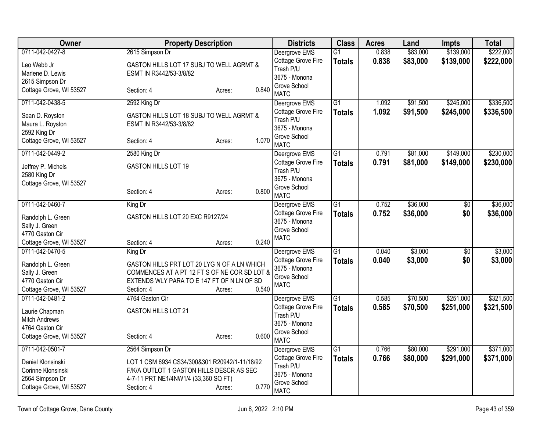| <b>Owner</b>                            | <b>Property Description</b>                   |                 | <b>Districts</b>              | <b>Class</b>    | <b>Acres</b> | Land     | <b>Impts</b>    | <b>Total</b> |
|-----------------------------------------|-----------------------------------------------|-----------------|-------------------------------|-----------------|--------------|----------|-----------------|--------------|
| 0711-042-0427-8                         | 2615 Simpson Dr                               |                 | Deergrove EMS                 | $\overline{G1}$ | 0.838        | \$83,000 | \$139,000       | \$222,000    |
| Leo Webb Jr                             | GASTON HILLS LOT 17 SUBJ TO WELL AGRMT &      |                 | Cottage Grove Fire            | <b>Totals</b>   | 0.838        | \$83,000 | \$139,000       | \$222,000    |
| Marlene D. Lewis                        | ESMT IN R3442/53-3/8/82                       |                 | Trash P/U                     |                 |              |          |                 |              |
| 2615 Simpson Dr                         |                                               |                 | 3675 - Monona<br>Grove School |                 |              |          |                 |              |
| Cottage Grove, WI 53527                 | Section: 4                                    | 0.840<br>Acres: | <b>MATC</b>                   |                 |              |          |                 |              |
| 0711-042-0438-5                         | 2592 King Dr                                  |                 | Deergrove EMS                 | $\overline{G1}$ | 1.092        | \$91,500 | \$245,000       | \$336,500    |
| Sean D. Royston                         | GASTON HILLS LOT 18 SUBJ TO WELL AGRMT &      |                 | Cottage Grove Fire            | <b>Totals</b>   | 1.092        | \$91,500 | \$245,000       | \$336,500    |
| Maura L. Royston                        | ESMT IN R3442/53-3/8/82                       |                 | Trash P/U                     |                 |              |          |                 |              |
| 2592 King Dr                            |                                               |                 | 3675 - Monona                 |                 |              |          |                 |              |
| Cottage Grove, WI 53527                 | Section: 4                                    | 1.070<br>Acres: | Grove School<br><b>MATC</b>   |                 |              |          |                 |              |
| 0711-042-0449-2                         | 2580 King Dr                                  |                 | Deergrove EMS                 | $\overline{G1}$ | 0.791        | \$81,000 | \$149,000       | \$230,000    |
| Jeffrey P. Michels                      | GASTON HILLS LOT 19                           |                 | Cottage Grove Fire            | <b>Totals</b>   | 0.791        | \$81,000 | \$149,000       | \$230,000    |
| 2580 King Dr                            |                                               |                 | Trash P/U                     |                 |              |          |                 |              |
| Cottage Grove, WI 53527                 |                                               |                 | 3675 - Monona                 |                 |              |          |                 |              |
|                                         | Section: 4                                    | 0.800<br>Acres: | Grove School<br><b>MATC</b>   |                 |              |          |                 |              |
| 0711-042-0460-7                         | King Dr                                       |                 | Deergrove EMS                 | G1              | 0.752        | \$36,000 | $\overline{50}$ | \$36,000     |
| Randolph L. Green                       | GASTON HILLS LOT 20 EXC R9127/24              |                 | Cottage Grove Fire            | <b>Totals</b>   | 0.752        | \$36,000 | \$0             | \$36,000     |
| Sally J. Green                          |                                               |                 | 3675 - Monona                 |                 |              |          |                 |              |
| 4770 Gaston Cir                         |                                               |                 | Grove School                  |                 |              |          |                 |              |
| Cottage Grove, WI 53527                 | Section: 4                                    | 0.240<br>Acres: | <b>MATC</b>                   |                 |              |          |                 |              |
| 0711-042-0470-5                         | King Dr                                       |                 | Deergrove EMS                 | $\overline{G1}$ | 0.040        | \$3,000  | $\overline{50}$ | \$3,000      |
| Randolph L. Green                       | GASTON HILLS PRT LOT 20 LYG N OF A LN WHICH   |                 | <b>Cottage Grove Fire</b>     | <b>Totals</b>   | 0.040        | \$3,000  | \$0             | \$3,000      |
| Sally J. Green                          | COMMENCES AT A PT 12 FT S OF NE COR SD LOT &  |                 | 3675 - Monona                 |                 |              |          |                 |              |
| 4770 Gaston Cir                         | EXTENDS WLY PARA TO E 147 FT OF N LN OF SD    |                 | Grove School                  |                 |              |          |                 |              |
| Cottage Grove, WI 53527                 | Section: 4                                    | 0.540<br>Acres: | <b>MATC</b>                   |                 |              |          |                 |              |
| 0711-042-0481-2                         | 4764 Gaston Cir                               |                 | Deergrove EMS                 | $\overline{G1}$ | 0.585        | \$70,500 | \$251,000       | \$321,500    |
|                                         |                                               |                 | Cottage Grove Fire            | <b>Totals</b>   | 0.585        | \$70,500 | \$251,000       | \$321,500    |
| Laurie Chapman                          | <b>GASTON HILLS LOT 21</b>                    |                 | Trash P/U                     |                 |              |          |                 |              |
| <b>Mitch Andrews</b><br>4764 Gaston Cir |                                               |                 | 3675 - Monona                 |                 |              |          |                 |              |
| Cottage Grove, WI 53527                 | Section: 4                                    | 0.600<br>Acres: | Grove School                  |                 |              |          |                 |              |
|                                         |                                               |                 | <b>MATC</b>                   |                 |              |          |                 |              |
| 0711-042-0501-7                         | 2564 Simpson Dr                               |                 | Deergrove EMS                 | G1              | 0.766        | \$80,000 | \$291,000       | \$371,000    |
| Daniel Klonsinski                       | LOT 1 CSM 6934 CS34/300&301 R20942/1-11/18/92 |                 | Cottage Grove Fire            | <b>Totals</b>   | 0.766        | \$80,000 | \$291,000       | \$371,000    |
| Corinne Klonsinski                      | F/K/A OUTLOT 1 GASTON HILLS DESCR AS SEC      |                 | Trash P/U                     |                 |              |          |                 |              |
| 2564 Simpson Dr                         | 4-7-11 PRT NE1/4NW1/4 (33,360 SQ FT)          |                 | 3675 - Monona                 |                 |              |          |                 |              |
| Cottage Grove, WI 53527                 | Section: 4                                    | 0.770<br>Acres: | Grove School<br><b>MATC</b>   |                 |              |          |                 |              |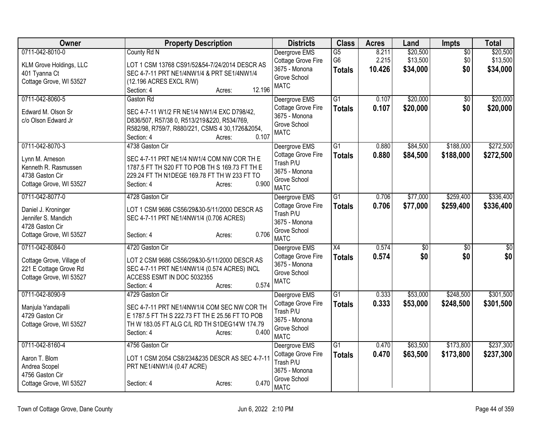| Owner                     | <b>Property Description</b>                     | <b>Districts</b>                    | <b>Class</b>    | <b>Acres</b>   | Land       | <b>Impts</b>    | <b>Total</b>    |
|---------------------------|-------------------------------------------------|-------------------------------------|-----------------|----------------|------------|-----------------|-----------------|
| 0711-042-8010-0           | County Rd N                                     | Deergrove EMS                       | $\overline{G5}$ | 8.211          | \$20,500   | $\overline{50}$ | \$20,500        |
| KLM Grove Holdings, LLC   | LOT 1 CSM 13768 CS91/52&54-7/24/2014 DESCR AS   | Cottage Grove Fire                  | G <sub>6</sub>  | 2.215          | \$13,500   | \$0             | \$13,500        |
| 401 Tyanna Ct             | SEC 4-7-11 PRT NE1/4NW1/4 & PRT SE1/4NW1/4      | 3675 - Monona                       | <b>Totals</b>   | 10.426         | \$34,000   | \$0             | \$34,000        |
| Cottage Grove, WI 53527   | (12.196 ACRES EXCL R/W)                         | Grove School                        |                 |                |            |                 |                 |
|                           | 12.196<br>Section: 4<br>Acres:                  | <b>MATC</b>                         |                 |                |            |                 |                 |
| 0711-042-8060-5           | Gaston Rd                                       | Deergrove EMS                       | G1              | 0.107          | \$20,000   | $\overline{50}$ | \$20,000        |
| Edward M. Olson Sr        | SEC 4-7-11 W1/2 FR NE1/4 NW1/4 EXC D798/42,     | Cottage Grove Fire                  | <b>Totals</b>   | 0.107          | \$20,000   | \$0             | \$20,000        |
| c/o Olson Edward Jr       | D836/507, R57/38 0, R513/219&220, R534/769,     | 3675 - Monona                       |                 |                |            |                 |                 |
|                           | R582/98, R759/7, R880/221, CSMS 4 30,1726&2054, | Grove School                        |                 |                |            |                 |                 |
|                           | 0.107<br>Section: 4<br>Acres:                   | <b>MATC</b>                         |                 |                |            |                 |                 |
| 0711-042-8070-3           | 4738 Gaston Cir                                 | Deergrove EMS                       | $\overline{G1}$ | 0.880          | \$84,500   | \$188,000       | \$272,500       |
| Lynn M. Arneson           | SEC 4-7-11 PRT NE1/4 NW1/4 COM NW COR TH E      | Cottage Grove Fire                  | <b>Totals</b>   | 0.880          | \$84,500   | \$188,000       | \$272,500       |
| Kenneth R. Rasmussen      | 1787.5 FT TH S20 FT TO POB TH S 169.73 FT TH E  | Trash P/U                           |                 |                |            |                 |                 |
| 4738 Gaston Cir           | 229.24 FT TH N1DEGE 169.78 FT TH W 233 FT TO    | 3675 - Monona                       |                 |                |            |                 |                 |
| Cottage Grove, WI 53527   | 0.900<br>Section: 4<br>Acres:                   | Grove School                        |                 |                |            |                 |                 |
| 0711-042-8077-0           | 4728 Gaston Cir                                 | <b>MATC</b>                         | $\overline{G1}$ |                |            | \$259,400       | \$336,400       |
|                           |                                                 | Deergrove EMS<br>Cottage Grove Fire |                 | 0.706<br>0.706 | \$77,000   |                 |                 |
| Daniel J. Kroninger       | LOT 1 CSM 9686 CS56/29&30-5/11/2000 DESCR AS    | Trash P/U                           | <b>Totals</b>   |                | \$77,000   | \$259,400       | \$336,400       |
| Jennifer S. Mandich       | SEC 4-7-11 PRT NE1/4NW1/4 (0.706 ACRES)         | 3675 - Monona                       |                 |                |            |                 |                 |
| 4728 Gaston Cir           |                                                 | Grove School                        |                 |                |            |                 |                 |
| Cottage Grove, WI 53527   | 0.706<br>Section: 4<br>Acres:                   | <b>MATC</b>                         |                 |                |            |                 |                 |
| 0711-042-8084-0           | 4720 Gaston Cir                                 | Deergrove EMS                       | $\overline{X4}$ | 0.574          | $\sqrt{6}$ | $\overline{50}$ | $\overline{50}$ |
| Cottage Grove, Village of | LOT 2 CSM 9686 CS56/29&30-5/11/2000 DESCR AS    | Cottage Grove Fire                  | <b>Totals</b>   | 0.574          | \$0        | \$0             | \$0             |
| 221 E Cottage Grove Rd    | SEC 4-7-11 PRT NE1/4NW1/4 (0.574 ACRES) INCL    | 3675 - Monona                       |                 |                |            |                 |                 |
| Cottage Grove, WI 53527   | ACCESS ESMT IN DOC 5032355                      | Grove School                        |                 |                |            |                 |                 |
|                           | 0.574<br>Section: 4<br>Acres:                   | <b>MATC</b>                         |                 |                |            |                 |                 |
| 0711-042-8090-9           | 4729 Gaston Cir                                 | Deergrove EMS                       | G1              | 0.333          | \$53,000   | \$248,500       | \$301,500       |
| Manjula Yandapalli        | SEC 4-7-11 PRT NE1/4NW1/4 COM SEC NW COR TH     | Cottage Grove Fire                  | <b>Totals</b>   | 0.333          | \$53,000   | \$248,500       | \$301,500       |
| 4729 Gaston Cir           | E 1787.5 FT TH S 222.73 FT TH E 25.56 FT TO POB | Trash P/U                           |                 |                |            |                 |                 |
| Cottage Grove, WI 53527   | TH W 183.05 FT ALG C/L RD TH S1DEG14'W 174.79   | 3675 - Monona                       |                 |                |            |                 |                 |
|                           | 0.400<br>Section: 4<br>Acres:                   | Grove School                        |                 |                |            |                 |                 |
|                           |                                                 | <b>MATC</b>                         |                 |                |            |                 |                 |
| 0711-042-8160-4           | 4756 Gaston Cir                                 | Deergrove EMS                       | G1              | 0.470          | \$63,500   | \$173,800       | \$237,300       |
| Aaron T. Blom             | LOT 1 CSM 2054 CS8/234&235 DESCR AS SEC 4-7-11  | Cottage Grove Fire<br>Trash P/U     | <b>Totals</b>   | 0.470          | \$63,500   | \$173,800       | \$237,300       |
| Andrea Scopel             | PRT NE1/4NW1/4 (0.47 ACRE)                      | 3675 - Monona                       |                 |                |            |                 |                 |
| 4756 Gaston Cir           |                                                 | Grove School                        |                 |                |            |                 |                 |
| Cottage Grove, WI 53527   | 0.470<br>Section: 4<br>Acres:                   | <b>MATC</b>                         |                 |                |            |                 |                 |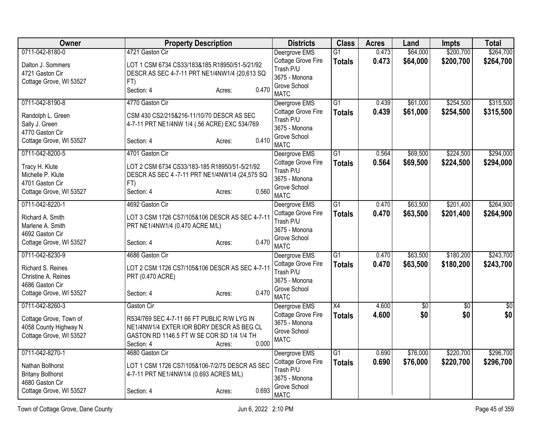| Owner                    | <b>Property Description</b>                    | <b>Districts</b>              | <b>Class</b>    | <b>Acres</b> | Land     | <b>Impts</b>    | <b>Total</b> |
|--------------------------|------------------------------------------------|-------------------------------|-----------------|--------------|----------|-----------------|--------------|
| 0711-042-8180-0          | 4721 Gaston Cir                                | Deergrove EMS                 | G1              | 0.473        | \$64,000 | \$200,700       | \$264,700    |
| Dalton J. Sommers        | LOT 1 CSM 6734 CS33/183&185 R18950/51-5/21/92  | Cottage Grove Fire            | <b>Totals</b>   | 0.473        | \$64,000 | \$200,700       | \$264,700    |
| 4721 Gaston Cir          | DESCR AS SEC 4-7-11 PRT NE1/4NW1/4 (20,613 SQ  | Trash P/U                     |                 |              |          |                 |              |
| Cottage Grove, WI 53527  | FT)                                            | 3675 - Monona<br>Grove School |                 |              |          |                 |              |
|                          | 0.470<br>Section: 4<br>Acres:                  | <b>MATC</b>                   |                 |              |          |                 |              |
| 0711-042-8190-8          | 4770 Gaston Cir                                | Deergrove EMS                 | $\overline{G1}$ | 0.439        | \$61,000 | \$254,500       | \$315,500    |
| Randolph L. Green        | CSM 430 CS2/215&216-11/10/70 DESCR AS SEC      | Cottage Grove Fire            | <b>Totals</b>   | 0.439        | \$61,000 | \$254,500       | \$315,500    |
| Sally J. Green           | 4-7-11 PRT NE1/4NW 1/4 (.56 ACRE) EXC 534/769  | Trash P/U                     |                 |              |          |                 |              |
| 4770 Gaston Cir          |                                                | 3675 - Monona<br>Grove School |                 |              |          |                 |              |
| Cottage Grove, WI 53527  | 0.410<br>Section: 4<br>Acres:                  | <b>MATC</b>                   |                 |              |          |                 |              |
| 0711-042-8200-5          | 4701 Gaston Cir                                | Deergrove EMS                 | $\overline{G1}$ | 0.564        | \$69,500 | \$224,500       | \$294,000    |
| Tracy H. Klute           | LOT 2 CSM 6734 CS33/183-185 R18950/51-5/21/92  | Cottage Grove Fire            | <b>Totals</b>   | 0.564        | \$69,500 | \$224,500       | \$294,000    |
| Michelle P. Klute        | DESCR AS SEC 4 -7-11 PRT NE1/4NW1/4 (24,575 SQ | Trash P/U                     |                 |              |          |                 |              |
| 4701 Gaston Cir          | FT)                                            | 3675 - Monona<br>Grove School |                 |              |          |                 |              |
| Cottage Grove, WI 53527  | 0.560<br>Section: 4<br>Acres:                  | <b>MATC</b>                   |                 |              |          |                 |              |
| 0711-042-8220-1          | 4692 Gaston Cir                                | Deergrove EMS                 | G1              | 0.470        | \$63,500 | \$201,400       | \$264,900    |
| Richard A. Smith         | LOT 3 CSM 1726 CS7/105&106 DESCR AS SEC 4-7-11 | Cottage Grove Fire            | <b>Totals</b>   | 0.470        | \$63,500 | \$201,400       | \$264,900    |
| Marlene A. Smith         | PRT NE1/4NW1/4 (0.470 ACRE M/L)                | Trash P/U                     |                 |              |          |                 |              |
| 4692 Gaston Cir          |                                                | 3675 - Monona<br>Grove School |                 |              |          |                 |              |
| Cottage Grove, WI 53527  | 0.470<br>Section: 4<br>Acres:                  | <b>MATC</b>                   |                 |              |          |                 |              |
| 0711-042-8230-9          | 4686 Gaston Cir                                | Deergrove EMS                 | $\overline{G1}$ | 0.470        | \$63,500 | \$180,200       | \$243,700    |
| Richard S. Reines        | LOT 2 CSM 1726 CS7/105&106 DESCR AS SEC 4-7-11 | Cottage Grove Fire            | <b>Totals</b>   | 0.470        | \$63,500 | \$180,200       | \$243,700    |
| Christine A. Reines      | PRT (0.470 ACRE)                               | Trash P/U                     |                 |              |          |                 |              |
| 4686 Gaston Cir          |                                                | 3675 - Monona<br>Grove School |                 |              |          |                 |              |
| Cottage Grove, WI 53527  | 0.470<br>Section: 4<br>Acres:                  | <b>MATC</b>                   |                 |              |          |                 |              |
| 0711-042-8260-3          | Gaston Cir                                     | Deergrove EMS                 | X4              | 4.600        | \$0      | $\overline{50}$ | \$0          |
| Cottage Grove, Town of   | R534/769 SEC 4-7-11 66 FT PUBLIC R/W LYG IN    | Cottage Grove Fire            | <b>Totals</b>   | 4.600        | \$0      | \$0             | \$0          |
| 4058 County Highway N    | NE1/4NW1/4 EXTER IOR BDRY DESCR AS BEG CL      | 3675 - Monona                 |                 |              |          |                 |              |
| Cottage Grove, WI 53527  | GASTON RD 1146.5 FT W SE COR SD 1/4 1/4 TH     | Grove School<br><b>MATC</b>   |                 |              |          |                 |              |
|                          | 0.000<br>Section: 4<br>Acres:                  |                               |                 |              |          |                 |              |
| 0711-042-8270-1          | 4680 Gaston Cir                                | Deergrove EMS                 | $\overline{G1}$ | 0.690        | \$76,000 | \$220,700       | \$296,700    |
| Nathan Bollhorst         | LOT 1 CSM 1726 CS7/105&106-7/2/75 DESCR AS SEC | Cottage Grove Fire            | <b>Totals</b>   | 0.690        | \$76,000 | \$220,700       | \$296,700    |
| <b>Britany Bollhorst</b> | 4-7-11 PRT NE1/4NW1/4 (0.693 ACRES M/L)        | Trash P/U<br>3675 - Monona    |                 |              |          |                 |              |
| 4680 Gaston Cir          |                                                | Grove School                  |                 |              |          |                 |              |
| Cottage Grove, WI 53527  | 0.693<br>Section: 4<br>Acres:                  | <b>MATC</b>                   |                 |              |          |                 |              |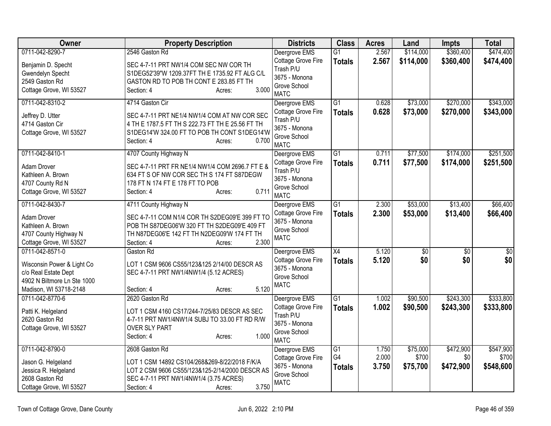| Owner                                              | <b>Property Description</b>                      | <b>Districts</b>                    | <b>Class</b>    | <b>Acres</b> | Land      | <b>Impts</b>    | <b>Total</b>    |
|----------------------------------------------------|--------------------------------------------------|-------------------------------------|-----------------|--------------|-----------|-----------------|-----------------|
| 0711-042-8290-7                                    | 2546 Gaston Rd                                   | Deergrove EMS                       | $\overline{G1}$ | 2.567        | \$114,000 | \$360,400       | \$474,400       |
| Benjamin D. Specht                                 | SEC 4-7-11 PRT NW1/4 COM SEC NW COR TH           | Cottage Grove Fire                  | <b>Totals</b>   | 2.567        | \$114,000 | \$360,400       | \$474,400       |
| Gwendelyn Specht                                   | S1DEG52'39"W 1209.37FT TH E 1735.92 FT ALG C/L   | Trash P/U                           |                 |              |           |                 |                 |
| 2549 Gaston Rd                                     | GASTON RD TO POB TH CONT E 283.85 FT TH          | 3675 - Monona                       |                 |              |           |                 |                 |
| Cottage Grove, WI 53527                            | 3.000<br>Section: 4<br>Acres:                    | Grove School<br><b>MATC</b>         |                 |              |           |                 |                 |
| 0711-042-8310-2                                    | 4714 Gaston Cir                                  | Deergrove EMS                       | $\overline{G1}$ | 0.628        | \$73,000  | \$270,000       | \$343,000       |
| Jeffrey D. Utter                                   | SEC 4-7-11 PRT NE1/4 NW1/4 COM AT NW COR SEC     | Cottage Grove Fire                  | <b>Totals</b>   | 0.628        | \$73,000  | \$270,000       | \$343,000       |
| 4714 Gaston Cir                                    | 4 TH E 1787.5 FT TH S 222.73 FT TH E 25.56 FT TH | Trash P/U                           |                 |              |           |                 |                 |
| Cottage Grove, WI 53527                            | S1DEG14'W 324.00 FT TO POB TH CONT S1DEG14'W     | 3675 - Monona                       |                 |              |           |                 |                 |
|                                                    | 0.700<br>Section: 4<br>Acres:                    | Grove School                        |                 |              |           |                 |                 |
| 0711-042-8410-1                                    | 4707 County Highway N                            | <b>MATC</b>                         | $\overline{G1}$ | 0.711        | \$77,500  | \$174,000       | \$251,500       |
|                                                    |                                                  | Deergrove EMS<br>Cottage Grove Fire |                 |              |           |                 |                 |
| Adam Drover                                        | SEC 4-7-11 PRT FR NE1/4 NW1/4 COM 2696.7 FT E &  | Trash P/U                           | <b>Totals</b>   | 0.711        | \$77,500  | \$174,000       | \$251,500       |
| Kathleen A. Brown                                  | 634 FT S OF NW COR SEC TH S 174 FT S87DEGW       | 3675 - Monona                       |                 |              |           |                 |                 |
| 4707 County Rd N                                   | 178 FT N 174 FT E 178 FT TO POB                  | Grove School                        |                 |              |           |                 |                 |
| Cottage Grove, WI 53527                            | 0.711<br>Section: 4<br>Acres:                    | <b>MATC</b>                         |                 |              |           |                 |                 |
| 0711-042-8430-7                                    | 4711 County Highway N                            | Deergrove EMS                       | $\overline{G1}$ | 2.300        | \$53,000  | \$13,400        | \$66,400        |
| Adam Drover                                        | SEC 4-7-11 COM N1/4 COR TH S2DEG09'E 399 FT TO   | Cottage Grove Fire                  | <b>Totals</b>   | 2.300        | \$53,000  | \$13,400        | \$66,400        |
| Kathleen A. Brown                                  | POB TH S87DEG06'W 320 FT TH S2DEG09'E 409 FT     | 3675 - Monona                       |                 |              |           |                 |                 |
| 4707 County Highway N                              | TH N87DEG06'E 142 FT TH N2DEG09'W 174 FT TH      | Grove School                        |                 |              |           |                 |                 |
| Cottage Grove, WI 53527                            | 2.300<br>Section: 4<br>Acres:                    | <b>MATC</b>                         |                 |              |           |                 |                 |
| 0711-042-8571-0                                    | Gaston Rd                                        | Deergrove EMS                       | X4              | 5.120        | \$0       | $\overline{50}$ | $\overline{50}$ |
|                                                    | LOT 1 CSM 9606 CS55/123&125 2/14/00 DESCR AS     | Cottage Grove Fire                  | <b>Totals</b>   | 5.120        | \$0       | \$0             | \$0             |
| Wisconsin Power & Light Co<br>c/o Real Estate Dept | SEC 4-7-11 PRT NW1/4NW1/4 (5.12 ACRES)           | 3675 - Monona                       |                 |              |           |                 |                 |
| 4902 N Biltmore Ln Ste 1000                        |                                                  | Grove School                        |                 |              |           |                 |                 |
| Madison, WI 53718-2148                             | 5.120<br>Section: 4<br>Acres:                    | <b>MATC</b>                         |                 |              |           |                 |                 |
| 0711-042-8770-6                                    | 2620 Gaston Rd                                   | Deergrove EMS                       | $\overline{G1}$ | 1.002        | \$90,500  | \$243,300       | \$333,800       |
| Patti K. Helgeland                                 | LOT 1 CSM 4160 CS17/244-7/25/83 DESCR AS SEC     | Cottage Grove Fire                  | <b>Totals</b>   | 1.002        | \$90,500  | \$243,300       | \$333,800       |
| 2620 Gaston Rd                                     | 4-7-11 PRT NW1/4NW1/4 SUBJ TO 33.00 FT RD R/W    | Trash P/U                           |                 |              |           |                 |                 |
| Cottage Grove, WI 53527                            | <b>OVER SLY PART</b>                             | 3675 - Monona                       |                 |              |           |                 |                 |
|                                                    | 1.000<br>Section: 4<br>Acres:                    | Grove School<br><b>MATC</b>         |                 |              |           |                 |                 |
| 0711-042-8790-0                                    | 2608 Gaston Rd                                   | Deergrove EMS                       | $\overline{G1}$ | 1.750        | \$75,000  | \$472,900       | \$547,900       |
| Jason G. Helgeland                                 | LOT 1 CSM 14892 CS104/268&269-8/22/2018 F/K/A    | Cottage Grove Fire                  | G4              | 2.000        | \$700     | \$0             | \$700           |
| Jessica R. Helgeland                               | LOT 2 CSM 9606 CS55/123&125-2/14/2000 DESCR AS   | 3675 - Monona                       | <b>Totals</b>   | 3.750        | \$75,700  | \$472,900       | \$548,600       |
| 2608 Gaston Rd                                     | SEC 4-7-11 PRT NW1/4NW1/4 (3.75 ACRES)           | Grove School                        |                 |              |           |                 |                 |
| Cottage Grove, WI 53527                            | 3.750<br>Section: 4<br>Acres:                    | <b>MATC</b>                         |                 |              |           |                 |                 |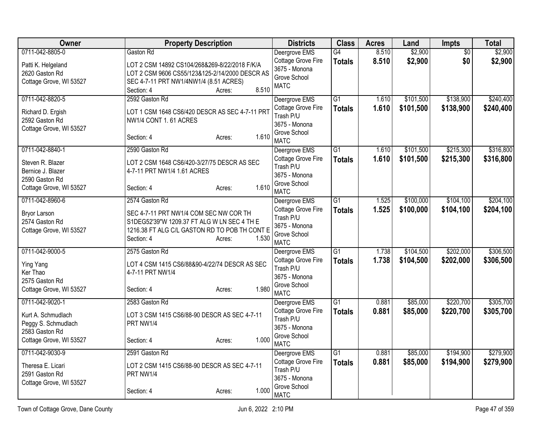| Owner                                                                                                     | <b>Property Description</b>                                                                                                                                                               | <b>Districts</b>                                                                                 | <b>Class</b>                     | <b>Acres</b>   | Land                   | <b>Impts</b>           | <b>Total</b>           |
|-----------------------------------------------------------------------------------------------------------|-------------------------------------------------------------------------------------------------------------------------------------------------------------------------------------------|--------------------------------------------------------------------------------------------------|----------------------------------|----------------|------------------------|------------------------|------------------------|
| 0711-042-8805-0<br>Patti K. Helgeland<br>2620 Gaston Rd<br>Cottage Grove, WI 53527                        | Gaston Rd<br>LOT 2 CSM 14892 CS104/268&269-8/22/2018 F/K/A<br>LOT 2 CSM 9606 CS55/123&125-2/14/2000 DESCR AS<br>SEC 4-7-11 PRT NW1/4NW1/4 (8.51 ACRES)<br>8.510<br>Section: 4<br>Acres:   | Deergrove EMS<br>Cottage Grove Fire<br>3675 - Monona<br>Grove School<br><b>MATC</b>              | G4<br><b>Totals</b>              | 8.510<br>8.510 | \$2,900<br>\$2,900     | $\overline{50}$<br>\$0 | \$2,900<br>\$2,900     |
| 0711-042-8820-5<br>Richard D. Ergish<br>2592 Gaston Rd<br>Cottage Grove, WI 53527                         | 2592 Gaston Rd<br>LOT 1 CSM 1648 CS6/420 DESCR AS SEC 4-7-11 PRT<br>NW1/4 CONT 1.61 ACRES<br>1.610<br>Section: 4<br>Acres:                                                                | Deergrove EMS<br>Cottage Grove Fire<br>Trash P/U<br>3675 - Monona<br>Grove School<br><b>MATC</b> | $\overline{G1}$<br><b>Totals</b> | 1.610<br>1.610 | \$101,500<br>\$101,500 | \$138,900<br>\$138,900 | \$240,400<br>\$240,400 |
| 0711-042-8840-1<br>Steven R. Blazer<br>Bernice J. Blazer<br>2590 Gaston Rd<br>Cottage Grove, WI 53527     | 2590 Gaston Rd<br>LOT 2 CSM 1648 CS6/420-3/27/75 DESCR AS SEC<br>4-7-11 PRT NW1/4 1.61 ACRES<br>1.610<br>Section: 4<br>Acres:                                                             | Deergrove EMS<br>Cottage Grove Fire<br>Trash P/U<br>3675 - Monona<br>Grove School<br><b>MATC</b> | $\overline{G1}$<br><b>Totals</b> | 1.610<br>1.610 | \$101,500<br>\$101,500 | \$215,300<br>\$215,300 | \$316,800<br>\$316,800 |
| 0711-042-8960-6<br><b>Bryor Larson</b><br>2574 Gaston Rd<br>Cottage Grove, WI 53527                       | 2574 Gaston Rd<br>SEC 4-7-11 PRT NW1/4 COM SEC NW COR TH<br>S1DEG52'39"W 1209.37 FT ALG W LN SEC 4 TH E<br>1216.38 FT ALG C/L GASTON RD TO POB TH CONT E<br>1.530<br>Section: 4<br>Acres: | Deergrove EMS<br>Cottage Grove Fire<br>Trash P/U<br>3675 - Monona<br>Grove School<br><b>MATC</b> | $\overline{G1}$<br><b>Totals</b> | 1.525<br>1.525 | \$100,000<br>\$100,000 | \$104,100<br>\$104,100 | \$204,100<br>\$204,100 |
| 0711-042-9000-5<br>Ying Yang<br>Ker Thao<br>2575 Gaston Rd<br>Cottage Grove, WI 53527                     | 2575 Gaston Rd<br>LOT 4 CSM 1415 CS6/88&90-4/22/74 DESCR AS SEC<br>4-7-11 PRT NW1/4<br>1.980<br>Section: 4<br>Acres:                                                                      | Deergrove EMS<br>Cottage Grove Fire<br>Trash P/U<br>3675 - Monona<br>Grove School<br><b>MATC</b> | $\overline{G1}$<br><b>Totals</b> | 1.738<br>1.738 | \$104,500<br>\$104,500 | \$202,000<br>\$202,000 | \$306,500<br>\$306,500 |
| 0711-042-9020-1<br>Kurt A. Schmudlach<br>Peggy S. Schmudlach<br>2583 Gaston Rd<br>Cottage Grove, WI 53527 | 2583 Gaston Rd<br>LOT 3 CSM 1415 CS6/88-90 DESCR AS SEC 4-7-11<br>PRT NW1/4<br>1.000<br>Section: 4<br>Acres:                                                                              | Deergrove EMS<br>Cottage Grove Fire<br>Trash P/U<br>3675 - Monona<br>Grove School<br><b>MATC</b> | $\overline{G1}$<br><b>Totals</b> | 0.881<br>0.881 | \$85,000<br>\$85,000   | \$220,700<br>\$220,700 | \$305,700<br>\$305,700 |
| 0711-042-9030-9<br>Theresa E. Licari<br>2591 Gaston Rd<br>Cottage Grove, WI 53527                         | 2591 Gaston Rd<br>LOT 2 CSM 1415 CS6/88-90 DESCR AS SEC 4-7-11<br>PRT NW1/4<br>1.000<br>Section: 4<br>Acres:                                                                              | Deergrove EMS<br>Cottage Grove Fire<br>Trash P/U<br>3675 - Monona<br>Grove School<br><b>MATC</b> | $\overline{G1}$<br><b>Totals</b> | 0.881<br>0.881 | \$85,000<br>\$85,000   | \$194,900<br>\$194,900 | \$279,900<br>\$279,900 |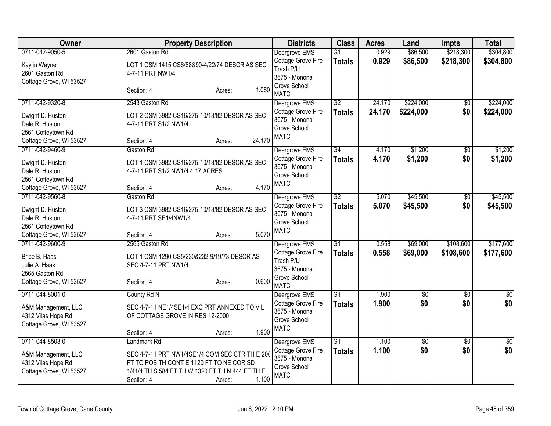| Owner                                                                               | <b>Property Description</b>                                                                                                                                                     | <b>Districts</b>                                                                | <b>Class</b>        | <b>Acres</b>   | Land                 | <b>Impts</b>           | <b>Total</b>         |
|-------------------------------------------------------------------------------------|---------------------------------------------------------------------------------------------------------------------------------------------------------------------------------|---------------------------------------------------------------------------------|---------------------|----------------|----------------------|------------------------|----------------------|
| 0711-042-9050-5                                                                     | 2601 Gaston Rd                                                                                                                                                                  | Deergrove EMS                                                                   | $\overline{G1}$     | 0.929          | \$86,500             | \$218,300              | \$304,800            |
| Kaylin Wayne<br>2601 Gaston Rd<br>Cottage Grove, WI 53527                           | LOT 1 CSM 1415 CS6/88&90-4/22/74 DESCR AS SEC<br>4-7-11 PRT NW1/4                                                                                                               | Cottage Grove Fire<br>Trash P/U<br>3675 - Monona<br>Grove School                | <b>Totals</b>       | 0.929          | \$86,500             | \$218,300              | \$304,800            |
|                                                                                     | 1.060<br>Section: 4<br>Acres:                                                                                                                                                   | <b>MATC</b>                                                                     |                     |                |                      |                        |                      |
| 0711-042-9320-8                                                                     | 2543 Gaston Rd                                                                                                                                                                  | Deergrove EMS                                                                   | G2                  | 24.170         | \$224,000            | \$0                    | \$224,000            |
| Dwight D. Huston<br>Dale R. Huston<br>2561 Coffeytown Rd<br>Cottage Grove, WI 53527 | LOT 2 CSM 3982 CS16/275-10/13/82 DESCR AS SEC<br>4-7-11 PRT S1/2 NW1/4<br>24.170<br>Section: 4<br>Acres:                                                                        | Cottage Grove Fire<br>3675 - Monona<br>Grove School<br><b>MATC</b>              | <b>Totals</b>       | 24.170         | \$224,000            | \$0                    | \$224,000            |
| 0711-042-9460-9                                                                     | Gaston Rd                                                                                                                                                                       | Deergrove EMS                                                                   | $\overline{G4}$     | 4.170          | \$1,200              | $\overline{30}$        | \$1,200              |
| Dwight D. Huston<br>Dale R. Huston<br>2561 Coffeytown Rd                            | LOT 1 CSM 3982 CS16/275-10/13/82 DESCR AS SEC<br>4-7-11 PRT S1/2 NW1/4 4.17 ACRES                                                                                               | Cottage Grove Fire<br>3675 - Monona<br>Grove School<br><b>MATC</b>              | <b>Totals</b>       | 4.170          | \$1,200              | \$0                    | \$1,200              |
| Cottage Grove, WI 53527                                                             | 4.170<br>Section: 4<br>Acres:                                                                                                                                                   |                                                                                 |                     |                |                      |                        |                      |
| 0711-042-9560-8                                                                     | Gaston Rd                                                                                                                                                                       | Deergrove EMS<br>Cottage Grove Fire                                             | G2<br><b>Totals</b> | 5.070<br>5.070 | \$45,500<br>\$45,500 | $\overline{50}$<br>\$0 | \$45,500<br>\$45,500 |
| Dwight D. Huston<br>Dale R. Huston<br>2561 Coffeytown Rd                            | LOT 3 CSM 3982 CS16/275-10/13/82 DESCR AS SEC<br>4-7-11 PRT SE1/4NW1/4                                                                                                          | 3675 - Monona<br>Grove School                                                   |                     |                |                      |                        |                      |
| Cottage Grove, WI 53527                                                             | 5.070<br>Section: 4<br>Acres:                                                                                                                                                   | <b>MATC</b>                                                                     |                     |                |                      |                        |                      |
| 0711-042-9600-9                                                                     | 2565 Gaston Rd                                                                                                                                                                  | Deergrove EMS                                                                   | $\overline{G1}$     | 0.558          | \$69,000             | \$108,600              | \$177,600            |
| Brice B. Haas<br>Julie A. Haas<br>2565 Gaston Rd<br>Cottage Grove, WI 53527         | LOT 1 CSM 1290 CS5/230&232-9/19/73 DESCR AS<br>SEC 4-7-11 PRT NW1/4<br>0.600<br>Section: 4<br>Acres:                                                                            | Cottage Grove Fire<br>Trash P/U<br>3675 - Monona<br>Grove School<br><b>MATC</b> | <b>Totals</b>       | 0.558          | \$69,000             | \$108,600              | \$177,600            |
| 0711-044-8001-0                                                                     | County Rd N                                                                                                                                                                     | Deergrove EMS                                                                   | $\overline{G1}$     | 1.900          | $\overline{50}$      | $\overline{50}$        | $\overline{50}$      |
| A&M Management, LLC<br>4312 Vilas Hope Rd<br>Cottage Grove, WI 53527                | SEC 4-7-11 NE1/4SE1/4 EXC PRT ANNEXED TO VIL<br>OF COTTAGE GROVE IN RES 12-2000                                                                                                 | Cottage Grove Fire<br>3675 - Monona<br>Grove School<br><b>MATC</b>              | <b>Totals</b>       | 1.900          | \$0                  | \$0                    | \$0                  |
|                                                                                     | 1.900<br>Section: 4<br>Acres:                                                                                                                                                   |                                                                                 |                     |                |                      |                        |                      |
| 0711-044-8503-0                                                                     | Landmark Rd                                                                                                                                                                     | Deergrove EMS                                                                   | $\overline{G1}$     | 1.100          | $\overline{60}$      | $\overline{30}$        | $\overline{50}$      |
| A&M Management, LLC<br>4312 Vilas Hope Rd<br>Cottage Grove, WI 53527                | SEC 4-7-11 PRT NW1/4SE1/4 COM SEC CTR TH E 200<br>FT TO POB TH CONT E 1120 FT TO NE COR SD<br>1/41/4 TH S 584 FT TH W 1320 FT TH N 444 FT TH E<br>1.100<br>Section: 4<br>Acres: | Cottage Grove Fire<br>3675 - Monona<br>Grove School<br><b>MATC</b>              | <b>Totals</b>       | 1.100          | \$0                  | \$0                    | \$0                  |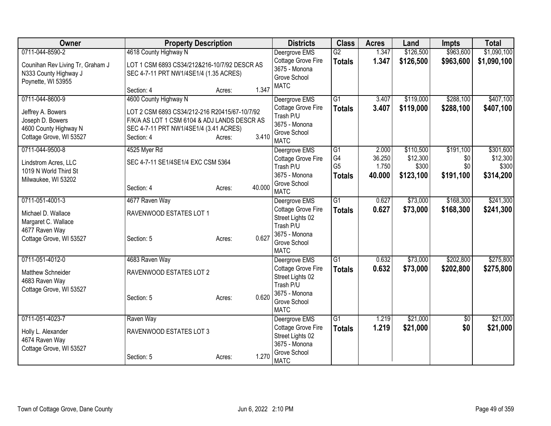| Owner                                                                                                        | <b>Property Description</b>                                                                                                                                                    |                  | <b>Districts</b>                                                                                                     | <b>Class</b>                                | <b>Acres</b>                       | Land                                        | Impts                                | <b>Total</b>                                |
|--------------------------------------------------------------------------------------------------------------|--------------------------------------------------------------------------------------------------------------------------------------------------------------------------------|------------------|----------------------------------------------------------------------------------------------------------------------|---------------------------------------------|------------------------------------|---------------------------------------------|--------------------------------------|---------------------------------------------|
| 0711-044-8590-2<br>Counihan Rev Living Tr, Graham J<br>N333 County Highway J<br>Poynette, WI 53955           | 4618 County Highway N<br>LOT 1 CSM 6893 CS34/212&216-10/7/92 DESCR AS<br>SEC 4-7-11 PRT NW1/4SE1/4 (1.35 ACRES)                                                                |                  | Deergrove EMS<br>Cottage Grove Fire<br>3675 - Monona<br>Grove School<br><b>MATC</b>                                  | $\overline{G2}$<br><b>Totals</b>            | 1.347<br>1.347                     | \$126,500<br>\$126,500                      | \$963,600<br>\$963,600               | \$1,090,100<br>\$1,090,100                  |
|                                                                                                              | Section: 4                                                                                                                                                                     | 1.347<br>Acres:  |                                                                                                                      |                                             |                                    |                                             |                                      |                                             |
| 0711-044-8600-9<br>Jeffrey A. Bowers<br>Joseph D. Bowers<br>4600 County Highway N<br>Cottage Grove, WI 53527 | 4600 County Highway N<br>LOT 2 CSM 6893 CS34/212-216 R20415/67-10/7/92<br>F/K/A AS LOT 1 CSM 6104 & ADJ LANDS DESCR AS<br>SEC 4-7-11 PRT NW1/4SE1/4 (3.41 ACRES)<br>Section: 4 | 3.410<br>Acres:  | Deergrove EMS<br>Cottage Grove Fire<br>Trash P/U<br>3675 - Monona<br>Grove School<br><b>MATC</b>                     | $\overline{G1}$<br><b>Totals</b>            | 3.407<br>3.407                     | \$119,000<br>\$119,000                      | \$288,100<br>\$288,100               | \$407,100<br>\$407,100                      |
| 0711-044-9500-8<br>Lindstrom Acres, LLC<br>1019 N World Third St<br>Milwaukee, WI 53202                      | 4525 Myer Rd<br>SEC 4-7-11 SE1/4SE1/4 EXC CSM 5364<br>Section: 4                                                                                                               | 40.000<br>Acres: | Deergrove EMS<br>Cottage Grove Fire<br>Trash P/U<br>3675 - Monona<br>Grove School<br><b>MATC</b>                     | G1<br>G4<br>G <sub>5</sub><br><b>Totals</b> | 2.000<br>36.250<br>1.750<br>40.000 | \$110,500<br>\$12,300<br>\$300<br>\$123,100 | \$191,100<br>\$0<br>\$0<br>\$191,100 | \$301,600<br>\$12,300<br>\$300<br>\$314,200 |
| 0711-051-4001-3<br>Michael D. Wallace<br>Margaret C. Wallace<br>4677 Raven Way<br>Cottage Grove, WI 53527    | 4677 Raven Way<br>RAVENWOOD ESTATES LOT 1<br>Section: 5                                                                                                                        | 0.627<br>Acres:  | Deergrove EMS<br>Cottage Grove Fire<br>Street Lights 02<br>Trash P/U<br>3675 - Monona<br>Grove School<br><b>MATC</b> | $\overline{G1}$<br><b>Totals</b>            | 0.627<br>0.627                     | \$73,000<br>\$73,000                        | \$168,300<br>\$168,300               | \$241,300<br>\$241,300                      |
| 0711-051-4012-0<br>Matthew Schneider<br>4683 Raven Way<br>Cottage Grove, WI 53527                            | 4683 Raven Way<br>RAVENWOOD ESTATES LOT 2<br>Section: 5                                                                                                                        | 0.620<br>Acres:  | Deergrove EMS<br>Cottage Grove Fire<br>Street Lights 02<br>Trash P/U<br>3675 - Monona<br>Grove School<br><b>MATC</b> | $\overline{G1}$<br><b>Totals</b>            | 0.632<br>0.632                     | \$73,000<br>\$73,000                        | \$202,800<br>\$202,800               | \$275,800<br>\$275,800                      |
| 0711-051-4023-7<br>Holly L. Alexander<br>4674 Raven Way<br>Cottage Grove, WI 53527                           | Raven Way<br>RAVENWOOD ESTATES LOT 3<br>Section: 5                                                                                                                             | 1.270<br>Acres:  | Deergrove EMS<br>Cottage Grove Fire<br>Street Lights 02<br>3675 - Monona<br>Grove School<br><b>MATC</b>              | $\overline{G1}$<br><b>Totals</b>            | 1.219<br>1.219                     | \$21,000<br>\$21,000                        | $\overline{50}$<br>\$0               | \$21,000<br>\$21,000                        |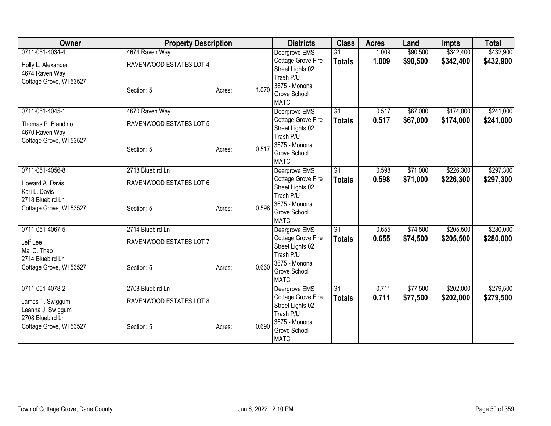| Owner                                                           | <b>Property Description</b>               |                 | <b>Districts</b>                                                     | <b>Class</b>                     | <b>Acres</b>   | Land                 | <b>Impts</b>           | <b>Total</b>           |
|-----------------------------------------------------------------|-------------------------------------------|-----------------|----------------------------------------------------------------------|----------------------------------|----------------|----------------------|------------------------|------------------------|
| 0711-051-4034-4<br>Holly L. Alexander                           | 4674 Raven Way<br>RAVENWOOD ESTATES LOT 4 |                 | Deergrove EMS<br>Cottage Grove Fire<br>Street Lights 02              | $\overline{G1}$<br><b>Totals</b> | 1.009<br>1.009 | \$90,500<br>\$90,500 | \$342,400<br>\$342,400 | \$432,900<br>\$432,900 |
| 4674 Raven Way<br>Cottage Grove, WI 53527                       | Section: 5                                | 1.070<br>Acres: | Trash P/U<br>3675 - Monona<br>Grove School<br><b>MATC</b>            |                                  |                |                      |                        |                        |
| 0711-051-4045-1                                                 | 4670 Raven Way                            |                 | Deergrove EMS                                                        | $\overline{G1}$                  | 0.517          | \$67,000             | \$174,000              | \$241,000              |
| Thomas P. Blandino<br>4670 Raven Way<br>Cottage Grove, WI 53527 | RAVENWOOD ESTATES LOT 5                   |                 | Cottage Grove Fire<br>Street Lights 02<br>Trash P/U<br>3675 - Monona | <b>Totals</b>                    | 0.517          | \$67,000             | \$174,000              | \$241,000              |
|                                                                 | Section: 5                                | 0.517<br>Acres: | Grove School<br><b>MATC</b>                                          |                                  |                |                      |                        |                        |
| 0711-051-4056-8                                                 | 2718 Bluebird Ln                          |                 | Deergrove EMS                                                        | $\overline{G1}$                  | 0.598          | \$71,000             | \$226,300              | \$297,300              |
| Howard A. Davis<br>Kari L. Davis                                | RAVENWOOD ESTATES LOT 6                   |                 | Cottage Grove Fire<br>Street Lights 02<br>Trash P/U                  | <b>Totals</b>                    | 0.598          | \$71,000             | \$226,300              | \$297,300              |
| 2718 Bluebird Ln<br>Cottage Grove, WI 53527                     | Section: 5                                | 0.598<br>Acres: | 3675 - Monona<br>Grove School<br><b>MATC</b>                         |                                  |                |                      |                        |                        |
| 0711-051-4067-5                                                 | 2714 Bluebird Ln                          |                 | Deergrove EMS                                                        | G1                               | 0.655          | \$74,500             | \$205,500              | \$280,000              |
| Jeff Lee<br>Mai C. Thao<br>2714 Bluebird Ln                     | RAVENWOOD ESTATES LOT 7                   |                 | Cottage Grove Fire<br>Street Lights 02<br>Trash P/U                  | <b>Totals</b>                    | 0.655          | \$74,500             | \$205,500              | \$280,000              |
| Cottage Grove, WI 53527                                         | Section: 5                                | 0.660<br>Acres: | 3675 - Monona<br>Grove School<br><b>MATC</b>                         |                                  |                |                      |                        |                        |
| 0711-051-4078-2                                                 | 2708 Bluebird Ln                          |                 | Deergrove EMS                                                        | $\overline{G1}$                  | 0.711          | \$77,500             | \$202,000              | \$279,500              |
| James T. Swiggum<br>Leanna J. Swiggum<br>2708 Bluebird Ln       | RAVENWOOD ESTATES LOT 8                   |                 | Cottage Grove Fire<br>Street Lights 02<br>Trash P/U                  | <b>Totals</b>                    | 0.711          | \$77,500             | \$202,000              | \$279,500              |
| Cottage Grove, WI 53527                                         | Section: 5                                | 0.690<br>Acres: | 3675 - Monona<br>Grove School<br><b>MATC</b>                         |                                  |                |                      |                        |                        |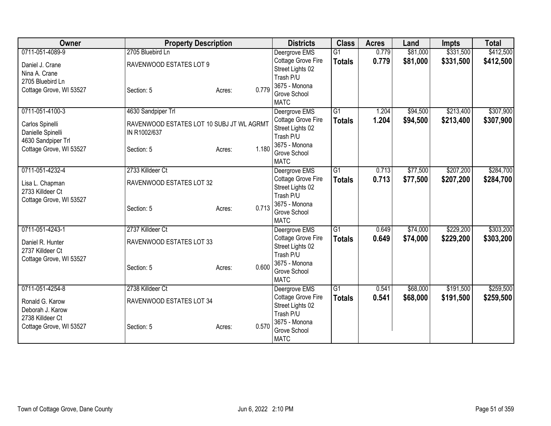| 0711-051-4089-9<br>2705 Bluebird Ln<br>0.779<br>\$81,000<br>\$331,500<br>Deergrove EMS<br>$\overline{G1}$<br>Cottage Grove Fire<br>0.779<br>\$81,000<br>\$331,500<br>\$412,500<br><b>Totals</b><br>RAVENWOOD ESTATES LOT 9<br>Daniel J. Crane<br>Street Lights 02<br>Nina A. Crane<br>Trash P/U<br>2705 Bluebird Ln<br>3675 - Monona<br>0.779<br>Cottage Grove, WI 53527<br>Section: 5<br>Acres:<br>Grove School<br><b>MATC</b><br>0711-051-4100-3<br>4630 Sandpiper Trl<br>G1<br>\$94,500<br>\$213,400<br>Deergrove EMS<br>1.204<br>Cottage Grove Fire<br>1.204<br>\$94,500<br>\$213,400<br><b>Totals</b><br>RAVENWOOD ESTATES LOT 10 SUBJ JT WL AGRMT<br>Carlos Spinelli<br>Street Lights 02<br>Danielle Spinelli<br>IN R1002/637<br>Trash P/U<br>4630 Sandpiper Trl<br>3675 - Monona<br>1.180<br>Cottage Grove, WI 53527<br>Section: 5<br>Acres:<br>Grove School<br><b>MATC</b><br>0711-051-4232-4<br>2733 Killdeer Ct<br>$\overline{G1}$<br>\$77,500<br>\$207,200<br>Deergrove EMS<br>0.713<br>Cottage Grove Fire<br>0.713<br>\$77,500<br>\$207,200<br><b>Totals</b><br>RAVENWOOD ESTATES LOT 32<br>Lisa L. Chapman<br>Street Lights 02<br>2733 Killdeer Ct<br>Trash P/U<br>Cottage Grove, WI 53527<br>3675 - Monona<br>0.713<br>Section: 5<br>Acres:<br>Grove School<br><b>MATC</b><br>0711-051-4243-1<br>G1<br>2737 Killdeer Ct<br>0.649<br>\$74,000<br>\$229,200<br>Deergrove EMS<br>Cottage Grove Fire<br>0.649<br>\$74,000<br>\$229,200<br><b>Totals</b><br>RAVENWOOD ESTATES LOT 33<br>Daniel R. Hunter<br>Street Lights 02<br>2737 Killdeer Ct<br>Trash P/U<br>Cottage Grove, WI 53527<br>3675 - Monona<br>0.600<br>Section: 5<br>Acres:<br>Grove School<br><b>MATC</b><br>0711-051-4254-8<br>2738 Killdeer Ct<br>$\overline{G1}$<br>\$68,000<br>\$191,500<br>Deergrove EMS<br>0.541<br>Cottage Grove Fire<br>0.541<br>\$68,000<br>\$191,500<br><b>Totals</b><br>RAVENWOOD ESTATES LOT 34<br>Ronald G. Karow<br>Street Lights 02<br>Deborah J. Karow<br>Trash P/U<br>2738 Killdeer Ct<br>3675 - Monona<br>0.570<br>Cottage Grove, WI 53527<br>Section: 5<br>Acres:<br>Grove School<br><b>MATC</b> | Owner | <b>Property Description</b> | <b>Districts</b> | <b>Class</b> | <b>Acres</b> | Land | <b>Impts</b> | <b>Total</b> |
|--------------------------------------------------------------------------------------------------------------------------------------------------------------------------------------------------------------------------------------------------------------------------------------------------------------------------------------------------------------------------------------------------------------------------------------------------------------------------------------------------------------------------------------------------------------------------------------------------------------------------------------------------------------------------------------------------------------------------------------------------------------------------------------------------------------------------------------------------------------------------------------------------------------------------------------------------------------------------------------------------------------------------------------------------------------------------------------------------------------------------------------------------------------------------------------------------------------------------------------------------------------------------------------------------------------------------------------------------------------------------------------------------------------------------------------------------------------------------------------------------------------------------------------------------------------------------------------------------------------------------------------------------------------------------------------------------------------------------------------------------------------------------------------------------------------------------------------------------------------------------------------------------------------------------------------------------------------------------------------------------------------------------------------------------------------------------------------------------------------|-------|-----------------------------|------------------|--------------|--------------|------|--------------|--------------|
|                                                                                                                                                                                                                                                                                                                                                                                                                                                                                                                                                                                                                                                                                                                                                                                                                                                                                                                                                                                                                                                                                                                                                                                                                                                                                                                                                                                                                                                                                                                                                                                                                                                                                                                                                                                                                                                                                                                                                                                                                                                                                                              |       |                             |                  |              |              |      |              | \$412,500    |
| \$307,900<br>\$307,900<br>\$284,700<br>\$303,200<br>\$259,500                                                                                                                                                                                                                                                                                                                                                                                                                                                                                                                                                                                                                                                                                                                                                                                                                                                                                                                                                                                                                                                                                                                                                                                                                                                                                                                                                                                                                                                                                                                                                                                                                                                                                                                                                                                                                                                                                                                                                                                                                                                |       |                             |                  |              |              |      |              |              |
|                                                                                                                                                                                                                                                                                                                                                                                                                                                                                                                                                                                                                                                                                                                                                                                                                                                                                                                                                                                                                                                                                                                                                                                                                                                                                                                                                                                                                                                                                                                                                                                                                                                                                                                                                                                                                                                                                                                                                                                                                                                                                                              |       |                             |                  |              |              |      |              |              |
|                                                                                                                                                                                                                                                                                                                                                                                                                                                                                                                                                                                                                                                                                                                                                                                                                                                                                                                                                                                                                                                                                                                                                                                                                                                                                                                                                                                                                                                                                                                                                                                                                                                                                                                                                                                                                                                                                                                                                                                                                                                                                                              |       |                             |                  |              |              |      |              |              |
|                                                                                                                                                                                                                                                                                                                                                                                                                                                                                                                                                                                                                                                                                                                                                                                                                                                                                                                                                                                                                                                                                                                                                                                                                                                                                                                                                                                                                                                                                                                                                                                                                                                                                                                                                                                                                                                                                                                                                                                                                                                                                                              |       |                             |                  |              |              |      |              |              |
|                                                                                                                                                                                                                                                                                                                                                                                                                                                                                                                                                                                                                                                                                                                                                                                                                                                                                                                                                                                                                                                                                                                                                                                                                                                                                                                                                                                                                                                                                                                                                                                                                                                                                                                                                                                                                                                                                                                                                                                                                                                                                                              |       |                             |                  |              |              |      |              |              |
|                                                                                                                                                                                                                                                                                                                                                                                                                                                                                                                                                                                                                                                                                                                                                                                                                                                                                                                                                                                                                                                                                                                                                                                                                                                                                                                                                                                                                                                                                                                                                                                                                                                                                                                                                                                                                                                                                                                                                                                                                                                                                                              |       |                             |                  |              |              |      |              |              |
|                                                                                                                                                                                                                                                                                                                                                                                                                                                                                                                                                                                                                                                                                                                                                                                                                                                                                                                                                                                                                                                                                                                                                                                                                                                                                                                                                                                                                                                                                                                                                                                                                                                                                                                                                                                                                                                                                                                                                                                                                                                                                                              |       |                             |                  |              |              |      |              |              |
|                                                                                                                                                                                                                                                                                                                                                                                                                                                                                                                                                                                                                                                                                                                                                                                                                                                                                                                                                                                                                                                                                                                                                                                                                                                                                                                                                                                                                                                                                                                                                                                                                                                                                                                                                                                                                                                                                                                                                                                                                                                                                                              |       |                             |                  |              |              |      |              |              |
|                                                                                                                                                                                                                                                                                                                                                                                                                                                                                                                                                                                                                                                                                                                                                                                                                                                                                                                                                                                                                                                                                                                                                                                                                                                                                                                                                                                                                                                                                                                                                                                                                                                                                                                                                                                                                                                                                                                                                                                                                                                                                                              |       |                             |                  |              |              |      |              |              |
|                                                                                                                                                                                                                                                                                                                                                                                                                                                                                                                                                                                                                                                                                                                                                                                                                                                                                                                                                                                                                                                                                                                                                                                                                                                                                                                                                                                                                                                                                                                                                                                                                                                                                                                                                                                                                                                                                                                                                                                                                                                                                                              |       |                             |                  |              |              |      |              |              |
|                                                                                                                                                                                                                                                                                                                                                                                                                                                                                                                                                                                                                                                                                                                                                                                                                                                                                                                                                                                                                                                                                                                                                                                                                                                                                                                                                                                                                                                                                                                                                                                                                                                                                                                                                                                                                                                                                                                                                                                                                                                                                                              |       |                             |                  |              |              |      |              |              |
| \$284,700<br>\$303,200<br>\$259,500                                                                                                                                                                                                                                                                                                                                                                                                                                                                                                                                                                                                                                                                                                                                                                                                                                                                                                                                                                                                                                                                                                                                                                                                                                                                                                                                                                                                                                                                                                                                                                                                                                                                                                                                                                                                                                                                                                                                                                                                                                                                          |       |                             |                  |              |              |      |              |              |
|                                                                                                                                                                                                                                                                                                                                                                                                                                                                                                                                                                                                                                                                                                                                                                                                                                                                                                                                                                                                                                                                                                                                                                                                                                                                                                                                                                                                                                                                                                                                                                                                                                                                                                                                                                                                                                                                                                                                                                                                                                                                                                              |       |                             |                  |              |              |      |              |              |
|                                                                                                                                                                                                                                                                                                                                                                                                                                                                                                                                                                                                                                                                                                                                                                                                                                                                                                                                                                                                                                                                                                                                                                                                                                                                                                                                                                                                                                                                                                                                                                                                                                                                                                                                                                                                                                                                                                                                                                                                                                                                                                              |       |                             |                  |              |              |      |              |              |
|                                                                                                                                                                                                                                                                                                                                                                                                                                                                                                                                                                                                                                                                                                                                                                                                                                                                                                                                                                                                                                                                                                                                                                                                                                                                                                                                                                                                                                                                                                                                                                                                                                                                                                                                                                                                                                                                                                                                                                                                                                                                                                              |       |                             |                  |              |              |      |              |              |
|                                                                                                                                                                                                                                                                                                                                                                                                                                                                                                                                                                                                                                                                                                                                                                                                                                                                                                                                                                                                                                                                                                                                                                                                                                                                                                                                                                                                                                                                                                                                                                                                                                                                                                                                                                                                                                                                                                                                                                                                                                                                                                              |       |                             |                  |              |              |      |              |              |
|                                                                                                                                                                                                                                                                                                                                                                                                                                                                                                                                                                                                                                                                                                                                                                                                                                                                                                                                                                                                                                                                                                                                                                                                                                                                                                                                                                                                                                                                                                                                                                                                                                                                                                                                                                                                                                                                                                                                                                                                                                                                                                              |       |                             |                  |              |              |      |              |              |
|                                                                                                                                                                                                                                                                                                                                                                                                                                                                                                                                                                                                                                                                                                                                                                                                                                                                                                                                                                                                                                                                                                                                                                                                                                                                                                                                                                                                                                                                                                                                                                                                                                                                                                                                                                                                                                                                                                                                                                                                                                                                                                              |       |                             |                  |              |              |      |              |              |
|                                                                                                                                                                                                                                                                                                                                                                                                                                                                                                                                                                                                                                                                                                                                                                                                                                                                                                                                                                                                                                                                                                                                                                                                                                                                                                                                                                                                                                                                                                                                                                                                                                                                                                                                                                                                                                                                                                                                                                                                                                                                                                              |       |                             |                  |              |              |      |              |              |
|                                                                                                                                                                                                                                                                                                                                                                                                                                                                                                                                                                                                                                                                                                                                                                                                                                                                                                                                                                                                                                                                                                                                                                                                                                                                                                                                                                                                                                                                                                                                                                                                                                                                                                                                                                                                                                                                                                                                                                                                                                                                                                              |       |                             |                  |              |              |      |              |              |
|                                                                                                                                                                                                                                                                                                                                                                                                                                                                                                                                                                                                                                                                                                                                                                                                                                                                                                                                                                                                                                                                                                                                                                                                                                                                                                                                                                                                                                                                                                                                                                                                                                                                                                                                                                                                                                                                                                                                                                                                                                                                                                              |       |                             |                  |              |              |      |              |              |
|                                                                                                                                                                                                                                                                                                                                                                                                                                                                                                                                                                                                                                                                                                                                                                                                                                                                                                                                                                                                                                                                                                                                                                                                                                                                                                                                                                                                                                                                                                                                                                                                                                                                                                                                                                                                                                                                                                                                                                                                                                                                                                              |       |                             |                  |              |              |      |              |              |
|                                                                                                                                                                                                                                                                                                                                                                                                                                                                                                                                                                                                                                                                                                                                                                                                                                                                                                                                                                                                                                                                                                                                                                                                                                                                                                                                                                                                                                                                                                                                                                                                                                                                                                                                                                                                                                                                                                                                                                                                                                                                                                              |       |                             |                  |              |              |      |              |              |
|                                                                                                                                                                                                                                                                                                                                                                                                                                                                                                                                                                                                                                                                                                                                                                                                                                                                                                                                                                                                                                                                                                                                                                                                                                                                                                                                                                                                                                                                                                                                                                                                                                                                                                                                                                                                                                                                                                                                                                                                                                                                                                              |       |                             |                  |              |              |      |              |              |
|                                                                                                                                                                                                                                                                                                                                                                                                                                                                                                                                                                                                                                                                                                                                                                                                                                                                                                                                                                                                                                                                                                                                                                                                                                                                                                                                                                                                                                                                                                                                                                                                                                                                                                                                                                                                                                                                                                                                                                                                                                                                                                              |       |                             |                  |              |              |      |              |              |
|                                                                                                                                                                                                                                                                                                                                                                                                                                                                                                                                                                                                                                                                                                                                                                                                                                                                                                                                                                                                                                                                                                                                                                                                                                                                                                                                                                                                                                                                                                                                                                                                                                                                                                                                                                                                                                                                                                                                                                                                                                                                                                              |       |                             |                  |              |              |      |              |              |
|                                                                                                                                                                                                                                                                                                                                                                                                                                                                                                                                                                                                                                                                                                                                                                                                                                                                                                                                                                                                                                                                                                                                                                                                                                                                                                                                                                                                                                                                                                                                                                                                                                                                                                                                                                                                                                                                                                                                                                                                                                                                                                              |       |                             |                  |              |              |      |              |              |
|                                                                                                                                                                                                                                                                                                                                                                                                                                                                                                                                                                                                                                                                                                                                                                                                                                                                                                                                                                                                                                                                                                                                                                                                                                                                                                                                                                                                                                                                                                                                                                                                                                                                                                                                                                                                                                                                                                                                                                                                                                                                                                              |       |                             |                  |              |              |      |              |              |
|                                                                                                                                                                                                                                                                                                                                                                                                                                                                                                                                                                                                                                                                                                                                                                                                                                                                                                                                                                                                                                                                                                                                                                                                                                                                                                                                                                                                                                                                                                                                                                                                                                                                                                                                                                                                                                                                                                                                                                                                                                                                                                              |       |                             |                  |              |              |      |              |              |
|                                                                                                                                                                                                                                                                                                                                                                                                                                                                                                                                                                                                                                                                                                                                                                                                                                                                                                                                                                                                                                                                                                                                                                                                                                                                                                                                                                                                                                                                                                                                                                                                                                                                                                                                                                                                                                                                                                                                                                                                                                                                                                              |       |                             |                  |              |              |      |              |              |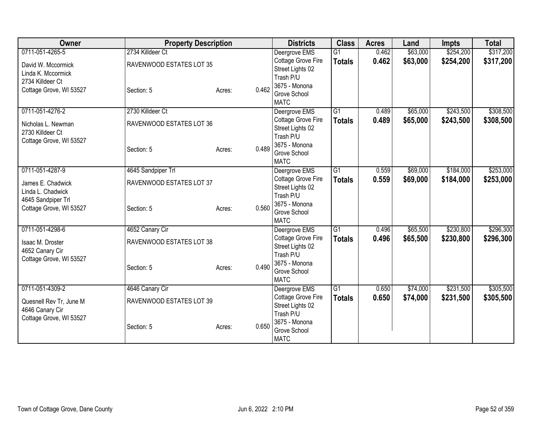| Owner                   | <b>Property Description</b> |        |       | <b>Districts</b>              | <b>Class</b>    | <b>Acres</b> | Land     | <b>Impts</b> | <b>Total</b> |
|-------------------------|-----------------------------|--------|-------|-------------------------------|-----------------|--------------|----------|--------------|--------------|
| 0711-051-4265-5         | 2734 Killdeer Ct            |        |       | Deergrove EMS                 | $\overline{G1}$ | 0.462        | \$63,000 | \$254,200    | \$317,200    |
| David W. Mccormick      | RAVENWOOD ESTATES LOT 35    |        |       | Cottage Grove Fire            | <b>Totals</b>   | 0.462        | \$63,000 | \$254,200    | \$317,200    |
| Linda K. Mccormick      |                             |        |       | Street Lights 02              |                 |              |          |              |              |
| 2734 Killdeer Ct        |                             |        |       | Trash P/U                     |                 |              |          |              |              |
| Cottage Grove, WI 53527 | Section: 5                  | Acres: | 0.462 | 3675 - Monona<br>Grove School |                 |              |          |              |              |
|                         |                             |        |       | <b>MATC</b>                   |                 |              |          |              |              |
| 0711-051-4276-2         | 2730 Killdeer Ct            |        |       | Deergrove EMS                 | $\overline{G1}$ | 0.489        | \$65,000 | \$243,500    | \$308,500    |
| Nicholas L. Newman      | RAVENWOOD ESTATES LOT 36    |        |       | Cottage Grove Fire            | <b>Totals</b>   | 0.489        | \$65,000 | \$243,500    | \$308,500    |
| 2730 Killdeer Ct        |                             |        |       | Street Lights 02              |                 |              |          |              |              |
| Cottage Grove, WI 53527 |                             |        |       | Trash P/U                     |                 |              |          |              |              |
|                         | Section: 5                  | Acres: | 0.489 | 3675 - Monona<br>Grove School |                 |              |          |              |              |
|                         |                             |        |       | <b>MATC</b>                   |                 |              |          |              |              |
| 0711-051-4287-9         | 4645 Sandpiper Trl          |        |       | Deergrove EMS                 | $\overline{G1}$ | 0.559        | \$69,000 | \$184,000    | \$253,000    |
| James E. Chadwick       | RAVENWOOD ESTATES LOT 37    |        |       | Cottage Grove Fire            | <b>Totals</b>   | 0.559        | \$69,000 | \$184,000    | \$253,000    |
| Linda L. Chadwick       |                             |        |       | Street Lights 02              |                 |              |          |              |              |
| 4645 Sandpiper Trl      |                             |        |       | Trash P/U                     |                 |              |          |              |              |
| Cottage Grove, WI 53527 | Section: 5                  | Acres: | 0.560 | 3675 - Monona                 |                 |              |          |              |              |
|                         |                             |        |       | Grove School<br><b>MATC</b>   |                 |              |          |              |              |
| 0711-051-4298-6         | 4652 Canary Cir             |        |       | Deergrove EMS                 | G1              | 0.496        | \$65,500 | \$230,800    | \$296,300    |
|                         |                             |        |       | Cottage Grove Fire            | <b>Totals</b>   | 0.496        | \$65,500 | \$230,800    | \$296,300    |
| Isaac M. Droster        | RAVENWOOD ESTATES LOT 38    |        |       | Street Lights 02              |                 |              |          |              |              |
| 4652 Canary Cir         |                             |        |       | Trash P/U                     |                 |              |          |              |              |
| Cottage Grove, WI 53527 | Section: 5                  | Acres: | 0.490 | 3675 - Monona                 |                 |              |          |              |              |
|                         |                             |        |       | Grove School                  |                 |              |          |              |              |
|                         |                             |        |       | <b>MATC</b>                   |                 |              |          |              |              |
| 0711-051-4309-2         | 4646 Canary Cir             |        |       | Deergrove EMS                 | $\overline{G1}$ | 0.650        | \$74,000 | \$231,500    | \$305,500    |
| Quesnell Rev Tr, June M | RAVENWOOD ESTATES LOT 39    |        |       | Cottage Grove Fire            | <b>Totals</b>   | 0.650        | \$74,000 | \$231,500    | \$305,500    |
| 4646 Canary Cir         |                             |        |       | Street Lights 02<br>Trash P/U |                 |              |          |              |              |
| Cottage Grove, WI 53527 |                             |        |       | 3675 - Monona                 |                 |              |          |              |              |
|                         | Section: 5                  | Acres: | 0.650 | Grove School                  |                 |              |          |              |              |
|                         |                             |        |       | <b>MATC</b>                   |                 |              |          |              |              |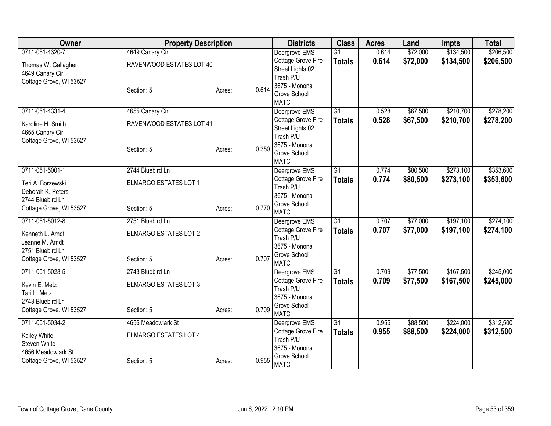| Owner                   | <b>Property Description</b>  |                 | <b>Districts</b>              | <b>Class</b>    | <b>Acres</b> | Land     | <b>Impts</b> | <b>Total</b> |
|-------------------------|------------------------------|-----------------|-------------------------------|-----------------|--------------|----------|--------------|--------------|
| 0711-051-4320-7         | 4649 Canary Cir              |                 | Deergrove EMS                 | $\overline{G1}$ | 0.614        | \$72,000 | \$134,500    | \$206,500    |
| Thomas W. Gallagher     | RAVENWOOD ESTATES LOT 40     |                 | Cottage Grove Fire            | <b>Totals</b>   | 0.614        | \$72,000 | \$134,500    | \$206,500    |
| 4649 Canary Cir         |                              |                 | Street Lights 02              |                 |              |          |              |              |
| Cottage Grove, WI 53527 |                              |                 | Trash P/U<br>3675 - Monona    |                 |              |          |              |              |
|                         | Section: 5                   | 0.614<br>Acres: | Grove School                  |                 |              |          |              |              |
|                         |                              |                 | <b>MATC</b>                   |                 |              |          |              |              |
| 0711-051-4331-4         | 4655 Canary Cir              |                 | Deergrove EMS                 | $\overline{G1}$ | 0.528        | \$67,500 | \$210,700    | \$278,200    |
| Karoline H. Smith       | RAVENWOOD ESTATES LOT 41     |                 | Cottage Grove Fire            | <b>Totals</b>   | 0.528        | \$67,500 | \$210,700    | \$278,200    |
| 4655 Canary Cir         |                              |                 | Street Lights 02              |                 |              |          |              |              |
| Cottage Grove, WI 53527 |                              |                 | Trash P/U<br>3675 - Monona    |                 |              |          |              |              |
|                         | Section: 5                   | 0.350<br>Acres: | Grove School                  |                 |              |          |              |              |
|                         |                              |                 | <b>MATC</b>                   |                 |              |          |              |              |
| 0711-051-5001-1         | 2744 Bluebird Ln             |                 | Deergrove EMS                 | G1              | 0.774        | \$80,500 | \$273,100    | \$353,600    |
| Teri A. Borzewski       | ELMARGO ESTATES LOT 1        |                 | Cottage Grove Fire            | <b>Totals</b>   | 0.774        | \$80,500 | \$273,100    | \$353,600    |
| Deborah K. Peters       |                              |                 | Trash P/U<br>3675 - Monona    |                 |              |          |              |              |
| 2744 Bluebird Ln        |                              |                 | Grove School                  |                 |              |          |              |              |
| Cottage Grove, WI 53527 | Section: 5                   | 0.770<br>Acres: | <b>MATC</b>                   |                 |              |          |              |              |
| 0711-051-5012-8         | 2751 Bluebird Ln             |                 | Deergrove EMS                 | $\overline{G1}$ | 0.707        | \$77,000 | \$197,100    | \$274,100    |
| Kenneth L. Arndt        | ELMARGO ESTATES LOT 2        |                 | Cottage Grove Fire            | <b>Totals</b>   | 0.707        | \$77,000 | \$197,100    | \$274,100    |
| Jeanne M. Arndt         |                              |                 | Trash P/U                     |                 |              |          |              |              |
| 2751 Bluebird Ln        |                              |                 | 3675 - Monona<br>Grove School |                 |              |          |              |              |
| Cottage Grove, WI 53527 | Section: 5                   | 0.707<br>Acres: | <b>MATC</b>                   |                 |              |          |              |              |
| 0711-051-5023-5         | 2743 Bluebird Ln             |                 | Deergrove EMS                 | $\overline{G1}$ | 0.709        | \$77,500 | \$167,500    | \$245,000    |
| Kevin E. Metz           | <b>ELMARGO ESTATES LOT 3</b> |                 | Cottage Grove Fire            | <b>Totals</b>   | 0.709        | \$77,500 | \$167,500    | \$245,000    |
| Tari L. Metz            |                              |                 | Trash P/U                     |                 |              |          |              |              |
| 2743 Bluebird Ln        |                              |                 | 3675 - Monona<br>Grove School |                 |              |          |              |              |
| Cottage Grove, WI 53527 | Section: 5                   | 0.709<br>Acres: | <b>MATC</b>                   |                 |              |          |              |              |
| 0711-051-5034-2         | 4656 Meadowlark St           |                 | Deergrove EMS                 | $\overline{G1}$ | 0.955        | \$88,500 | \$224,000    | \$312,500    |
| Kailey White            | ELMARGO ESTATES LOT 4        |                 | Cottage Grove Fire            | <b>Totals</b>   | 0.955        | \$88,500 | \$224,000    | \$312,500    |
| Steven White            |                              |                 | Trash P/U                     |                 |              |          |              |              |
| 4656 Meadowlark St      |                              |                 | 3675 - Monona<br>Grove School |                 |              |          |              |              |
| Cottage Grove, WI 53527 | Section: 5                   | 0.955<br>Acres: | <b>MATC</b>                   |                 |              |          |              |              |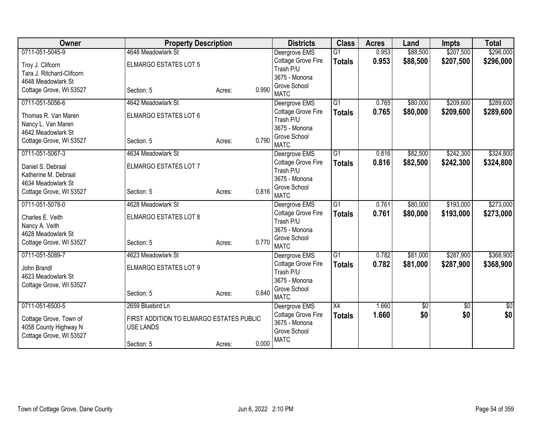| Owner                                      | <b>Property Description</b>              |        |       | <b>Districts</b>                | <b>Class</b>    | <b>Acres</b> | Land     | <b>Impts</b>    | <b>Total</b> |
|--------------------------------------------|------------------------------------------|--------|-------|---------------------------------|-----------------|--------------|----------|-----------------|--------------|
| 0711-051-5045-9                            | 4648 Meadowlark St                       |        |       | Deergrove EMS                   | $\overline{G1}$ | 0.953        | \$88,500 | \$207,500       | \$296,000    |
| Troy J. Clifcorn                           | <b>ELMARGO ESTATES LOT 5</b>             |        |       | Cottage Grove Fire              | <b>Totals</b>   | 0.953        | \$88,500 | \$207,500       | \$296,000    |
| Tara J. Ritchard-Clifcorn                  |                                          |        |       | Trash P/U                       |                 |              |          |                 |              |
| 4648 Meadowlark St                         |                                          |        |       | 3675 - Monona<br>Grove School   |                 |              |          |                 |              |
| Cottage Grove, WI 53527                    | Section: 5                               | Acres: | 0.990 | <b>MATC</b>                     |                 |              |          |                 |              |
| 0711-051-5056-6                            | 4642 Meadowlark St                       |        |       | Deergrove EMS                   | $\overline{G1}$ | 0.765        | \$80,000 | \$209,600       | \$289,600    |
| Thomas R. Van Maren                        | ELMARGO ESTATES LOT 6                    |        |       | Cottage Grove Fire              | <b>Totals</b>   | 0.765        | \$80,000 | \$209,600       | \$289,600    |
| Nancy L. Van Maren                         |                                          |        |       | Trash P/U                       |                 |              |          |                 |              |
| 4642 Meadowlark St                         |                                          |        |       | 3675 - Monona                   |                 |              |          |                 |              |
| Cottage Grove, WI 53527                    | Section: 5                               | Acres: | 0.790 | Grove School<br><b>MATC</b>     |                 |              |          |                 |              |
| 0711-051-5067-3                            | 4634 Meadowlark St                       |        |       | Deergrove EMS                   | G1              | 0.816        | \$82,500 | \$242,300       | \$324,800    |
|                                            |                                          |        |       | Cottage Grove Fire              | <b>Totals</b>   | 0.816        | \$82,500 | \$242,300       | \$324,800    |
| Daniel S. Debraal                          | ELMARGO ESTATES LOT 7                    |        |       | Trash P/U                       |                 |              |          |                 |              |
| Katherine M. Debraal<br>4634 Meadowlark St |                                          |        |       | 3675 - Monona                   |                 |              |          |                 |              |
| Cottage Grove, WI 53527                    | Section: 5                               | Acres: | 0.816 | Grove School                    |                 |              |          |                 |              |
|                                            |                                          |        |       | <b>MATC</b>                     |                 |              |          |                 |              |
| 0711-051-5078-0                            | 4628 Meadowlark St                       |        |       | Deergrove EMS                   | $\overline{G1}$ | 0.761        | \$80,000 | \$193,000       | \$273,000    |
| Charles E. Veith                           | ELMARGO ESTATES LOT 8                    |        |       | Cottage Grove Fire<br>Trash P/U | <b>Totals</b>   | 0.761        | \$80,000 | \$193,000       | \$273,000    |
| Nancy A. Veith                             |                                          |        |       | 3675 - Monona                   |                 |              |          |                 |              |
| 4628 Meadowlark St                         |                                          |        |       | Grove School                    |                 |              |          |                 |              |
| Cottage Grove, WI 53527                    | Section: 5                               | Acres: | 0.770 | <b>MATC</b>                     |                 |              |          |                 |              |
| 0711-051-5089-7                            | 4623 Meadowlark St                       |        |       | Deergrove EMS                   | $\overline{G1}$ | 0.782        | \$81,000 | \$287,900       | \$368,900    |
| John Brandl                                | ELMARGO ESTATES LOT 9                    |        |       | Cottage Grove Fire              | <b>Totals</b>   | 0.782        | \$81,000 | \$287,900       | \$368,900    |
| 4623 Meadowlark St                         |                                          |        |       | Trash P/U                       |                 |              |          |                 |              |
| Cottage Grove, WI 53527                    |                                          |        |       | 3675 - Monona<br>Grove School   |                 |              |          |                 |              |
|                                            | Section: 5                               | Acres: | 0.840 | <b>MATC</b>                     |                 |              |          |                 |              |
| 0711-051-6500-5                            | 2659 Bluebird Ln                         |        |       | Deergrove EMS                   | $\overline{X4}$ | 1.660        | \$0      | $\overline{50}$ | \$0          |
| Cottage Grove, Town of                     | FIRST ADDITION TO ELMARGO ESTATES PUBLIC |        |       | Cottage Grove Fire              | <b>Totals</b>   | 1.660        | \$0      | \$0             | \$0          |
| 4058 County Highway N                      | <b>USE LANDS</b>                         |        |       | 3675 - Monona                   |                 |              |          |                 |              |
| Cottage Grove, WI 53527                    |                                          |        |       | Grove School                    |                 |              |          |                 |              |
|                                            | Section: 5                               | Acres: | 0.000 | <b>MATC</b>                     |                 |              |          |                 |              |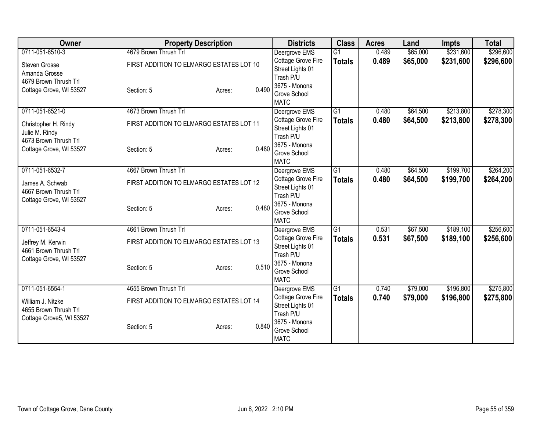| Owner                    | <b>Property Description</b>              |        |       | <b>Districts</b>              | <b>Class</b>    | <b>Acres</b> | Land     | <b>Impts</b> | <b>Total</b> |
|--------------------------|------------------------------------------|--------|-------|-------------------------------|-----------------|--------------|----------|--------------|--------------|
| 0711-051-6510-3          | 4679 Brown Thrush Trl                    |        |       | Deergrove EMS                 | $\overline{G1}$ | 0.489        | \$65,000 | \$231,600    | \$296,600    |
| Steven Grosse            | FIRST ADDITION TO ELMARGO ESTATES LOT 10 |        |       | Cottage Grove Fire            | <b>Totals</b>   | 0.489        | \$65,000 | \$231,600    | \$296,600    |
| Amanda Grosse            |                                          |        |       | Street Lights 01              |                 |              |          |              |              |
| 4679 Brown Thrush Trl    |                                          |        |       | Trash P/U                     |                 |              |          |              |              |
| Cottage Grove, WI 53527  | Section: 5                               | Acres: | 0.490 | 3675 - Monona<br>Grove School |                 |              |          |              |              |
|                          |                                          |        |       | <b>MATC</b>                   |                 |              |          |              |              |
| 0711-051-6521-0          | 4673 Brown Thrush Trl                    |        |       | Deergrove EMS                 | $\overline{G1}$ | 0.480        | \$64,500 | \$213,800    | \$278,300    |
| Christopher H. Rindy     | FIRST ADDITION TO ELMARGO ESTATES LOT 11 |        |       | Cottage Grove Fire            | <b>Totals</b>   | 0.480        | \$64,500 | \$213,800    | \$278,300    |
| Julie M. Rindy           |                                          |        |       | Street Lights 01              |                 |              |          |              |              |
| 4673 Brown Thrush Trl    |                                          |        |       | Trash P/U<br>3675 - Monona    |                 |              |          |              |              |
| Cottage Grove, WI 53527  | Section: 5                               | Acres: | 0.480 | Grove School                  |                 |              |          |              |              |
|                          |                                          |        |       | <b>MATC</b>                   |                 |              |          |              |              |
| 0711-051-6532-7          | 4667 Brown Thrush Trl                    |        |       | Deergrove EMS                 | $\overline{G1}$ | 0.480        | \$64,500 | \$199,700    | \$264,200    |
| James A. Schwab          | FIRST ADDITION TO ELMARGO ESTATES LOT 12 |        |       | Cottage Grove Fire            | <b>Totals</b>   | 0.480        | \$64,500 | \$199,700    | \$264,200    |
| 4667 Brown Thrush Trl    |                                          |        |       | Street Lights 01              |                 |              |          |              |              |
| Cottage Grove, WI 53527  |                                          |        |       | Trash P/U<br>3675 - Monona    |                 |              |          |              |              |
|                          | Section: 5                               | Acres: | 0.480 | Grove School                  |                 |              |          |              |              |
|                          |                                          |        |       | <b>MATC</b>                   |                 |              |          |              |              |
| 0711-051-6543-4          | 4661 Brown Thrush Trl                    |        |       | Deergrove EMS                 | $\overline{G1}$ | 0.531        | \$67,500 | \$189,100    | \$256,600    |
| Jeffrey M. Kerwin        | FIRST ADDITION TO ELMARGO ESTATES LOT 13 |        |       | Cottage Grove Fire            | <b>Totals</b>   | 0.531        | \$67,500 | \$189,100    | \$256,600    |
| 4661 Brown Thrush Trl    |                                          |        |       | Street Lights 01              |                 |              |          |              |              |
| Cottage Grove, WI 53527  |                                          |        |       | Trash P/U<br>3675 - Monona    |                 |              |          |              |              |
|                          | Section: 5                               | Acres: | 0.510 | Grove School                  |                 |              |          |              |              |
|                          |                                          |        |       | <b>MATC</b>                   |                 |              |          |              |              |
| 0711-051-6554-1          | 4655 Brown Thrush Trl                    |        |       | Deergrove EMS                 | $\overline{G1}$ | 0.740        | \$79,000 | \$196,800    | \$275,800    |
| William J. Nitzke        | FIRST ADDITION TO ELMARGO ESTATES LOT 14 |        |       | Cottage Grove Fire            | <b>Totals</b>   | 0.740        | \$79,000 | \$196,800    | \$275,800    |
| 4655 Brown Thrush Trl    |                                          |        |       | Street Lights 01              |                 |              |          |              |              |
| Cottage Grove5, WI 53527 |                                          |        |       | Trash P/U<br>3675 - Monona    |                 |              |          |              |              |
|                          | Section: 5                               | Acres: | 0.840 | Grove School                  |                 |              |          |              |              |
|                          |                                          |        |       | <b>MATC</b>                   |                 |              |          |              |              |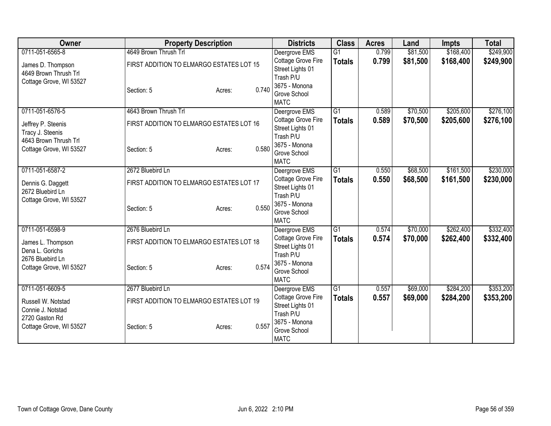| Owner                                 | <b>Property Description</b>              |        |       | <b>Districts</b>                    | <b>Class</b>    | <b>Acres</b>   | Land     | <b>Impts</b> | <b>Total</b> |
|---------------------------------------|------------------------------------------|--------|-------|-------------------------------------|-----------------|----------------|----------|--------------|--------------|
| 0711-051-6565-8                       | 4649 Brown Thrush Trl                    |        |       | Deergrove EMS                       | $\overline{G1}$ | 0.799          | \$81,500 | \$168,400    | \$249,900    |
| James D. Thompson                     | FIRST ADDITION TO ELMARGO ESTATES LOT 15 |        |       | Cottage Grove Fire                  | <b>Totals</b>   | 0.799          | \$81,500 | \$168,400    | \$249,900    |
| 4649 Brown Thrush Trl                 |                                          |        |       | Street Lights 01                    |                 |                |          |              |              |
| Cottage Grove, WI 53527               |                                          |        |       | Trash P/U                           |                 |                |          |              |              |
|                                       | Section: 5                               | Acres: | 0.740 | 3675 - Monona<br>Grove School       |                 |                |          |              |              |
|                                       |                                          |        |       | <b>MATC</b>                         |                 |                |          |              |              |
| 0711-051-6576-5                       | 4643 Brown Thrush Trl                    |        |       | Deergrove EMS                       | $\overline{G1}$ | 0.589          | \$70,500 | \$205,600    | \$276,100    |
| Jeffrey P. Steenis                    | FIRST ADDITION TO ELMARGO ESTATES LOT 16 |        |       | Cottage Grove Fire                  | <b>Totals</b>   | 0.589          | \$70,500 | \$205,600    | \$276,100    |
| Tracy J. Steenis                      |                                          |        |       | Street Lights 01                    |                 |                |          |              |              |
| 4643 Brown Thrush Trl                 |                                          |        |       | Trash P/U                           |                 |                |          |              |              |
| Cottage Grove, WI 53527               | Section: 5                               | Acres: | 0.580 | 3675 - Monona<br>Grove School       |                 |                |          |              |              |
|                                       |                                          |        |       | <b>MATC</b>                         |                 |                |          |              |              |
| 0711-051-6587-2                       | 2672 Bluebird Ln                         |        |       | Deergrove EMS                       | $\overline{G1}$ | 0.550          | \$68,500 | \$161,500    | \$230,000    |
|                                       |                                          |        |       | Cottage Grove Fire                  | <b>Totals</b>   | 0.550          | \$68,500 | \$161,500    | \$230,000    |
| Dennis G. Daggett<br>2672 Bluebird Ln | FIRST ADDITION TO ELMARGO ESTATES LOT 17 |        |       | Street Lights 01                    |                 |                |          |              |              |
| Cottage Grove, WI 53527               |                                          |        |       | Trash P/U                           |                 |                |          |              |              |
|                                       | Section: 5                               | Acres: | 0.550 | 3675 - Monona                       |                 |                |          |              |              |
|                                       |                                          |        |       | Grove School                        |                 |                |          |              |              |
| 0711-051-6598-9                       | 2676 Bluebird Ln                         |        |       | <b>MATC</b>                         | G1              |                | \$70,000 | \$262,400    |              |
|                                       |                                          |        |       | Deergrove EMS<br>Cottage Grove Fire |                 | 0.574<br>0.574 | \$70,000 |              | \$332,400    |
| James L. Thompson                     | FIRST ADDITION TO ELMARGO ESTATES LOT 18 |        |       | Street Lights 01                    | <b>Totals</b>   |                |          | \$262,400    | \$332,400    |
| Dena L. Gorichs                       |                                          |        |       | Trash P/U                           |                 |                |          |              |              |
| 2676 Bluebird Ln                      |                                          |        |       | 3675 - Monona                       |                 |                |          |              |              |
| Cottage Grove, WI 53527               | Section: 5                               | Acres: | 0.574 | Grove School                        |                 |                |          |              |              |
|                                       |                                          |        |       | <b>MATC</b>                         |                 |                |          |              |              |
| 0711-051-6609-5                       | 2677 Bluebird Ln                         |        |       | Deergrove EMS                       | $\overline{G1}$ | 0.557          | \$69,000 | \$284,200    | \$353,200    |
| Russell W. Notstad                    | FIRST ADDITION TO ELMARGO ESTATES LOT 19 |        |       | Cottage Grove Fire                  | <b>Totals</b>   | 0.557          | \$69,000 | \$284,200    | \$353,200    |
| Connie J. Notstad                     |                                          |        |       | Street Lights 01                    |                 |                |          |              |              |
| 2720 Gaston Rd                        |                                          |        |       | Trash P/U<br>3675 - Monona          |                 |                |          |              |              |
| Cottage Grove, WI 53527               | Section: 5                               | Acres: | 0.557 | Grove School                        |                 |                |          |              |              |
|                                       |                                          |        |       | <b>MATC</b>                         |                 |                |          |              |              |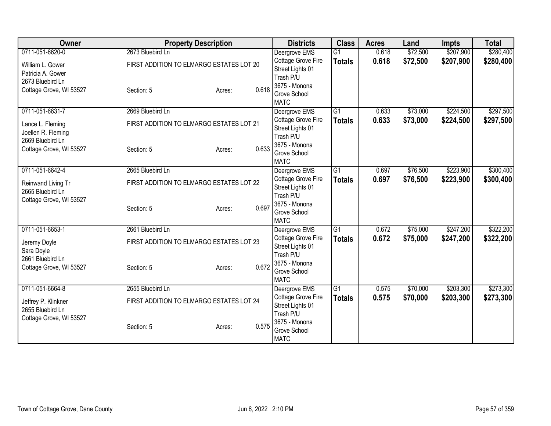| Owner                   | <b>Property Description</b>              |        |       | <b>Districts</b>              | <b>Class</b>    | <b>Acres</b> | Land     | <b>Impts</b> | <b>Total</b> |
|-------------------------|------------------------------------------|--------|-------|-------------------------------|-----------------|--------------|----------|--------------|--------------|
| 0711-051-6620-0         | 2673 Bluebird Ln                         |        |       | Deergrove EMS                 | $\overline{G1}$ | 0.618        | \$72,500 | \$207,900    | \$280,400    |
| William L. Gower        | FIRST ADDITION TO ELMARGO ESTATES LOT 20 |        |       | Cottage Grove Fire            | <b>Totals</b>   | 0.618        | \$72,500 | \$207,900    | \$280,400    |
| Patricia A. Gower       |                                          |        |       | Street Lights 01              |                 |              |          |              |              |
| 2673 Bluebird Ln        |                                          |        |       | Trash P/U                     |                 |              |          |              |              |
| Cottage Grove, WI 53527 | Section: 5                               | Acres: | 0.618 | 3675 - Monona<br>Grove School |                 |              |          |              |              |
|                         |                                          |        |       | <b>MATC</b>                   |                 |              |          |              |              |
| 0711-051-6631-7         | 2669 Bluebird Ln                         |        |       | Deergrove EMS                 | $\overline{G1}$ | 0.633        | \$73,000 | \$224,500    | \$297,500    |
| Lance L. Fleming        | FIRST ADDITION TO ELMARGO ESTATES LOT 21 |        |       | Cottage Grove Fire            | <b>Totals</b>   | 0.633        | \$73,000 | \$224,500    | \$297,500    |
| Joellen R. Fleming      |                                          |        |       | Street Lights 01              |                 |              |          |              |              |
| 2669 Bluebird Ln        |                                          |        |       | Trash P/U                     |                 |              |          |              |              |
| Cottage Grove, WI 53527 | Section: 5                               | Acres: | 0.633 | 3675 - Monona<br>Grove School |                 |              |          |              |              |
|                         |                                          |        |       | <b>MATC</b>                   |                 |              |          |              |              |
| 0711-051-6642-4         | 2665 Bluebird Ln                         |        |       | Deergrove EMS                 | $\overline{G1}$ | 0.697        | \$76,500 | \$223,900    | \$300,400    |
|                         |                                          |        |       | Cottage Grove Fire            | <b>Totals</b>   | 0.697        | \$76,500 | \$223,900    | \$300,400    |
| Reinwand Living Tr      | FIRST ADDITION TO ELMARGO ESTATES LOT 22 |        |       | Street Lights 01              |                 |              |          |              |              |
| 2665 Bluebird Ln        |                                          |        |       | Trash P/U                     |                 |              |          |              |              |
| Cottage Grove, WI 53527 | Section: 5                               | Acres: | 0.697 | 3675 - Monona                 |                 |              |          |              |              |
|                         |                                          |        |       | Grove School                  |                 |              |          |              |              |
|                         |                                          |        |       | <b>MATC</b>                   |                 |              |          |              |              |
| 0711-051-6653-1         | 2661 Bluebird Ln                         |        |       | Deergrove EMS                 | G1              | 0.672        | \$75,000 | \$247,200    | \$322,200    |
| Jeremy Doyle            | FIRST ADDITION TO ELMARGO ESTATES LOT 23 |        |       | Cottage Grove Fire            | <b>Totals</b>   | 0.672        | \$75,000 | \$247,200    | \$322,200    |
| Sara Doyle              |                                          |        |       | Street Lights 01<br>Trash P/U |                 |              |          |              |              |
| 2661 Bluebird Ln        |                                          |        |       | 3675 - Monona                 |                 |              |          |              |              |
| Cottage Grove, WI 53527 | Section: 5                               | Acres: | 0.672 | Grove School                  |                 |              |          |              |              |
|                         |                                          |        |       | <b>MATC</b>                   |                 |              |          |              |              |
| 0711-051-6664-8         | 2655 Bluebird Ln                         |        |       | Deergrove EMS                 | $\overline{G1}$ | 0.575        | \$70,000 | \$203,300    | \$273,300    |
| Jeffrey P. Klinkner     | FIRST ADDITION TO ELMARGO ESTATES LOT 24 |        |       | Cottage Grove Fire            | <b>Totals</b>   | 0.575        | \$70,000 | \$203,300    | \$273,300    |
| 2655 Bluebird Ln        |                                          |        |       | Street Lights 01              |                 |              |          |              |              |
| Cottage Grove, WI 53527 |                                          |        |       | Trash P/U                     |                 |              |          |              |              |
|                         | Section: 5                               | Acres: | 0.575 | 3675 - Monona<br>Grove School |                 |              |          |              |              |
|                         |                                          |        |       | <b>MATC</b>                   |                 |              |          |              |              |
|                         |                                          |        |       |                               |                 |              |          |              |              |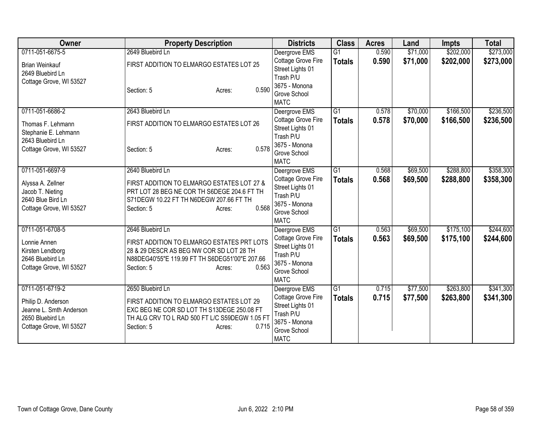| Owner                                                                                                           | <b>Property Description</b>                                                                                                                                                                   | <b>Districts</b>                                                                                                     | <b>Class</b>                     | <b>Acres</b>   | Land                 | <b>Impts</b>           | <b>Total</b>           |
|-----------------------------------------------------------------------------------------------------------------|-----------------------------------------------------------------------------------------------------------------------------------------------------------------------------------------------|----------------------------------------------------------------------------------------------------------------------|----------------------------------|----------------|----------------------|------------------------|------------------------|
| 0711-051-6675-5<br><b>Brian Weinkauf</b><br>2649 Bluebird Ln                                                    | 2649 Bluebird Ln<br>FIRST ADDITION TO ELMARGO ESTATES LOT 25                                                                                                                                  | Deergrove EMS<br>Cottage Grove Fire<br>Street Lights 01<br>Trash P/U                                                 | $\overline{G1}$<br><b>Totals</b> | 0.590<br>0.590 | \$71,000<br>\$71,000 | \$202,000<br>\$202,000 | \$273,000<br>\$273,000 |
| Cottage Grove, WI 53527                                                                                         | 0.590<br>Section: 5<br>Acres:                                                                                                                                                                 | 3675 - Monona<br>Grove School<br><b>MATC</b>                                                                         |                                  |                |                      |                        |                        |
| 0711-051-6686-2<br>Thomas F. Lehmann<br>Stephanie E. Lehmann<br>2643 Bluebird Ln<br>Cottage Grove, WI 53527     | 2643 Bluebird Ln<br>FIRST ADDITION TO ELMARGO ESTATES LOT 26<br>0.578<br>Section: 5<br>Acres:                                                                                                 | Deergrove EMS<br>Cottage Grove Fire<br>Street Lights 01<br>Trash P/U<br>3675 - Monona<br>Grove School<br><b>MATC</b> | $\overline{G1}$<br><b>Totals</b> | 0.578<br>0.578 | \$70,000<br>\$70,000 | \$166,500<br>\$166,500 | \$236,500<br>\$236,500 |
| 0711-051-6697-9<br>Alyssa A. Zellner<br>Jacob T. Nieting<br>2640 Blue Bird Ln<br>Cottage Grove, WI 53527        | 2640 Bluebird Ln<br>FIRST ADDITION TO ELMARGO ESTATES LOT 27 &<br>PRT LOT 28 BEG NE COR TH S6DEGE 204.6 FT TH<br>S71DEGW 10.22 FT TH N6DEGW 207.66 FT TH<br>0.568<br>Section: 5<br>Acres:     | Deergrove EMS<br>Cottage Grove Fire<br>Street Lights 01<br>Trash P/U<br>3675 - Monona<br>Grove School<br><b>MATC</b> | $\overline{G1}$<br><b>Totals</b> | 0.568<br>0.568 | \$69,500<br>\$69,500 | \$288,800<br>\$288,800 | \$358,300<br>\$358,300 |
| 0711-051-6708-5<br>Lonnie Annen<br>Kirsten Lendborg<br>2646 Bluebird Ln<br>Cottage Grove, WI 53527              | 2646 Bluebird Ln<br>FIRST ADDITION TO ELMARGO ESTATES PRT LOTS<br>28 & 29 DESCR AS BEG NW COR SD LOT 28 TH<br>N88DEG40'55"E 119.99 FT TH S6DEG51'00"E 207.66<br>0.563<br>Section: 5<br>Acres: | Deergrove EMS<br>Cottage Grove Fire<br>Street Lights 01<br>Trash P/U<br>3675 - Monona<br>Grove School<br><b>MATC</b> | G1<br><b>Totals</b>              | 0.563<br>0.563 | \$69,500<br>\$69,500 | \$175,100<br>\$175,100 | \$244,600<br>\$244,600 |
| 0711-051-6719-2<br>Philip D. Anderson<br>Jeanne L. Smth Anderson<br>2650 Bluebird Ln<br>Cottage Grove, WI 53527 | 2650 Bluebird Ln<br>FIRST ADDITION TO ELMARGO ESTATES LOT 29<br>EXC BEG NE COR SD LOT TH S13DEGE 250.08 FT<br>TH ALG CRV TO L RAD 500 FT L/C S59DEGW 1.05 FT<br>0.715<br>Section: 5<br>Acres: | Deergrove EMS<br>Cottage Grove Fire<br>Street Lights 01<br>Trash P/U<br>3675 - Monona<br>Grove School<br><b>MATC</b> | $\overline{G1}$<br><b>Totals</b> | 0.715<br>0.715 | \$77,500<br>\$77,500 | \$263,800<br>\$263,800 | \$341,300<br>\$341,300 |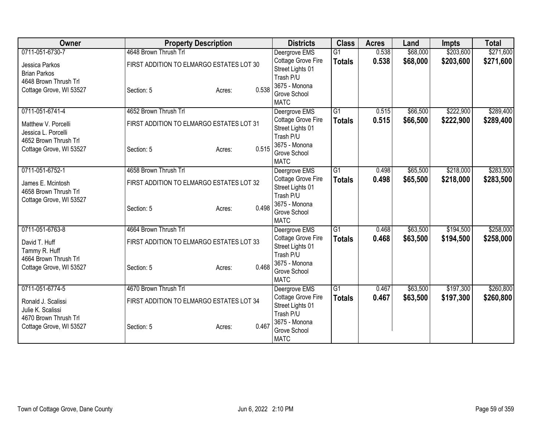| 4648 Brown Thrush Trl<br>\$68,000<br>\$203,600<br>$\overline{G1}$<br>0.538<br>Deergrove EMS<br>Cottage Grove Fire<br>0.538<br>\$68,000<br>\$203,600<br><b>Totals</b><br>FIRST ADDITION TO ELMARGO ESTATES LOT 30<br>Jessica Parkos<br>Street Lights 01<br><b>Brian Parkos</b><br>Trash P/U<br>4648 Brown Thrush Trl<br>3675 - Monona<br>0.538<br>Cottage Grove, WI 53527<br>Section: 5<br>Acres:<br>Grove School<br><b>MATC</b><br>4652 Brown Thrush Trl<br>$\overline{G1}$<br>\$66,500<br>\$222,900<br>0711-051-6741-4<br>0.515<br>Deergrove EMS<br>Cottage Grove Fire<br>0.515<br>\$66,500<br>\$222,900<br><b>Totals</b><br>FIRST ADDITION TO ELMARGO ESTATES LOT 31<br>Matthew V. Porcelli<br>Street Lights 01<br>Jessica L. Porcelli<br>Trash P/U<br>4652 Brown Thrush Trl<br>3675 - Monona<br>0.515<br>Cottage Grove, WI 53527<br>Section: 5<br>Acres:<br>Grove School<br><b>MATC</b><br>\$218,000<br>0711-051-6752-1<br>4658 Brown Thrush Trl<br>$\overline{G1}$<br>\$65,500<br>Deergrove EMS<br>0.498<br>Cottage Grove Fire<br>0.498<br>\$65,500<br>\$218,000<br><b>Totals</b><br>FIRST ADDITION TO ELMARGO ESTATES LOT 32<br>James E. Mcintosh<br>Street Lights 01<br>4658 Brown Thrush Trl<br>Trash P/U<br>Cottage Grove, WI 53527<br>3675 - Monona<br>0.498<br>Section: 5<br>Acres:<br>Grove School<br><b>MATC</b><br>0711-051-6763-8<br>4664 Brown Thrush Trl<br>G1<br>\$63,500<br>\$194,500<br>Deergrove EMS<br>0.468 | <b>Owner</b>    | <b>Property Description</b> |  | <b>Districts</b>          | <b>Class</b>  | <b>Acres</b> | Land     | <b>Impts</b> | <b>Total</b> |
|-----------------------------------------------------------------------------------------------------------------------------------------------------------------------------------------------------------------------------------------------------------------------------------------------------------------------------------------------------------------------------------------------------------------------------------------------------------------------------------------------------------------------------------------------------------------------------------------------------------------------------------------------------------------------------------------------------------------------------------------------------------------------------------------------------------------------------------------------------------------------------------------------------------------------------------------------------------------------------------------------------------------------------------------------------------------------------------------------------------------------------------------------------------------------------------------------------------------------------------------------------------------------------------------------------------------------------------------------------------------------------------------------------------------------------------|-----------------|-----------------------------|--|---------------------------|---------------|--------------|----------|--------------|--------------|
|                                                                                                                                                                                                                                                                                                                                                                                                                                                                                                                                                                                                                                                                                                                                                                                                                                                                                                                                                                                                                                                                                                                                                                                                                                                                                                                                                                                                                                   | 0711-051-6730-7 |                             |  |                           |               |              |          |              | \$271,600    |
|                                                                                                                                                                                                                                                                                                                                                                                                                                                                                                                                                                                                                                                                                                                                                                                                                                                                                                                                                                                                                                                                                                                                                                                                                                                                                                                                                                                                                                   |                 |                             |  |                           |               |              |          |              | \$271,600    |
|                                                                                                                                                                                                                                                                                                                                                                                                                                                                                                                                                                                                                                                                                                                                                                                                                                                                                                                                                                                                                                                                                                                                                                                                                                                                                                                                                                                                                                   |                 |                             |  |                           |               |              |          |              |              |
|                                                                                                                                                                                                                                                                                                                                                                                                                                                                                                                                                                                                                                                                                                                                                                                                                                                                                                                                                                                                                                                                                                                                                                                                                                                                                                                                                                                                                                   |                 |                             |  |                           |               |              |          |              |              |
|                                                                                                                                                                                                                                                                                                                                                                                                                                                                                                                                                                                                                                                                                                                                                                                                                                                                                                                                                                                                                                                                                                                                                                                                                                                                                                                                                                                                                                   |                 |                             |  |                           |               |              |          |              |              |
|                                                                                                                                                                                                                                                                                                                                                                                                                                                                                                                                                                                                                                                                                                                                                                                                                                                                                                                                                                                                                                                                                                                                                                                                                                                                                                                                                                                                                                   |                 |                             |  |                           |               |              |          |              |              |
|                                                                                                                                                                                                                                                                                                                                                                                                                                                                                                                                                                                                                                                                                                                                                                                                                                                                                                                                                                                                                                                                                                                                                                                                                                                                                                                                                                                                                                   |                 |                             |  |                           |               |              |          |              | \$289,400    |
|                                                                                                                                                                                                                                                                                                                                                                                                                                                                                                                                                                                                                                                                                                                                                                                                                                                                                                                                                                                                                                                                                                                                                                                                                                                                                                                                                                                                                                   |                 |                             |  |                           |               |              |          |              | \$289,400    |
|                                                                                                                                                                                                                                                                                                                                                                                                                                                                                                                                                                                                                                                                                                                                                                                                                                                                                                                                                                                                                                                                                                                                                                                                                                                                                                                                                                                                                                   |                 |                             |  |                           |               |              |          |              |              |
|                                                                                                                                                                                                                                                                                                                                                                                                                                                                                                                                                                                                                                                                                                                                                                                                                                                                                                                                                                                                                                                                                                                                                                                                                                                                                                                                                                                                                                   |                 |                             |  |                           |               |              |          |              |              |
|                                                                                                                                                                                                                                                                                                                                                                                                                                                                                                                                                                                                                                                                                                                                                                                                                                                                                                                                                                                                                                                                                                                                                                                                                                                                                                                                                                                                                                   |                 |                             |  |                           |               |              |          |              |              |
|                                                                                                                                                                                                                                                                                                                                                                                                                                                                                                                                                                                                                                                                                                                                                                                                                                                                                                                                                                                                                                                                                                                                                                                                                                                                                                                                                                                                                                   |                 |                             |  |                           |               |              |          |              |              |
|                                                                                                                                                                                                                                                                                                                                                                                                                                                                                                                                                                                                                                                                                                                                                                                                                                                                                                                                                                                                                                                                                                                                                                                                                                                                                                                                                                                                                                   |                 |                             |  |                           |               |              |          |              | \$283,500    |
|                                                                                                                                                                                                                                                                                                                                                                                                                                                                                                                                                                                                                                                                                                                                                                                                                                                                                                                                                                                                                                                                                                                                                                                                                                                                                                                                                                                                                                   |                 |                             |  |                           |               |              |          |              | \$283,500    |
|                                                                                                                                                                                                                                                                                                                                                                                                                                                                                                                                                                                                                                                                                                                                                                                                                                                                                                                                                                                                                                                                                                                                                                                                                                                                                                                                                                                                                                   |                 |                             |  |                           |               |              |          |              |              |
|                                                                                                                                                                                                                                                                                                                                                                                                                                                                                                                                                                                                                                                                                                                                                                                                                                                                                                                                                                                                                                                                                                                                                                                                                                                                                                                                                                                                                                   |                 |                             |  |                           |               |              |          |              |              |
|                                                                                                                                                                                                                                                                                                                                                                                                                                                                                                                                                                                                                                                                                                                                                                                                                                                                                                                                                                                                                                                                                                                                                                                                                                                                                                                                                                                                                                   |                 |                             |  |                           |               |              |          |              |              |
|                                                                                                                                                                                                                                                                                                                                                                                                                                                                                                                                                                                                                                                                                                                                                                                                                                                                                                                                                                                                                                                                                                                                                                                                                                                                                                                                                                                                                                   |                 |                             |  |                           |               |              |          |              |              |
|                                                                                                                                                                                                                                                                                                                                                                                                                                                                                                                                                                                                                                                                                                                                                                                                                                                                                                                                                                                                                                                                                                                                                                                                                                                                                                                                                                                                                                   |                 |                             |  |                           |               |              |          |              | \$258,000    |
| FIRST ADDITION TO ELMARGO ESTATES LOT 33<br>David T. Huff                                                                                                                                                                                                                                                                                                                                                                                                                                                                                                                                                                                                                                                                                                                                                                                                                                                                                                                                                                                                                                                                                                                                                                                                                                                                                                                                                                         |                 |                             |  | <b>Cottage Grove Fire</b> | <b>Totals</b> | 0.468        | \$63,500 | \$194,500    | \$258,000    |
| Street Lights 01<br>Tammy R. Huff                                                                                                                                                                                                                                                                                                                                                                                                                                                                                                                                                                                                                                                                                                                                                                                                                                                                                                                                                                                                                                                                                                                                                                                                                                                                                                                                                                                                 |                 |                             |  |                           |               |              |          |              |              |
| Trash P/U<br>4664 Brown Thrush Trl<br>3675 - Monona                                                                                                                                                                                                                                                                                                                                                                                                                                                                                                                                                                                                                                                                                                                                                                                                                                                                                                                                                                                                                                                                                                                                                                                                                                                                                                                                                                               |                 |                             |  |                           |               |              |          |              |              |
| 0.468<br>Cottage Grove, WI 53527<br>Section: 5<br>Acres:<br>Grove School                                                                                                                                                                                                                                                                                                                                                                                                                                                                                                                                                                                                                                                                                                                                                                                                                                                                                                                                                                                                                                                                                                                                                                                                                                                                                                                                                          |                 |                             |  |                           |               |              |          |              |              |
| <b>MATC</b>                                                                                                                                                                                                                                                                                                                                                                                                                                                                                                                                                                                                                                                                                                                                                                                                                                                                                                                                                                                                                                                                                                                                                                                                                                                                                                                                                                                                                       |                 |                             |  |                           |               |              |          |              |              |
| 0711-051-6774-5<br>4670 Brown Thrush Trl<br>\$197,300<br>Deergrove EMS<br>$\overline{G1}$<br>\$63,500<br>0.467                                                                                                                                                                                                                                                                                                                                                                                                                                                                                                                                                                                                                                                                                                                                                                                                                                                                                                                                                                                                                                                                                                                                                                                                                                                                                                                    |                 |                             |  |                           |               |              |          |              | \$260,800    |
| Cottage Grove Fire<br>0.467<br>\$63,500<br>\$197,300<br><b>Totals</b><br>FIRST ADDITION TO ELMARGO ESTATES LOT 34<br>Ronald J. Scalissi                                                                                                                                                                                                                                                                                                                                                                                                                                                                                                                                                                                                                                                                                                                                                                                                                                                                                                                                                                                                                                                                                                                                                                                                                                                                                           |                 |                             |  |                           |               |              |          |              | \$260,800    |
| Street Lights 01<br>Julie K. Scalissi                                                                                                                                                                                                                                                                                                                                                                                                                                                                                                                                                                                                                                                                                                                                                                                                                                                                                                                                                                                                                                                                                                                                                                                                                                                                                                                                                                                             |                 |                             |  |                           |               |              |          |              |              |
| Trash P/U<br>4670 Brown Thrush Trl                                                                                                                                                                                                                                                                                                                                                                                                                                                                                                                                                                                                                                                                                                                                                                                                                                                                                                                                                                                                                                                                                                                                                                                                                                                                                                                                                                                                |                 |                             |  |                           |               |              |          |              |              |
| 3675 - Monona<br>0.467<br>Cottage Grove, WI 53527<br>Section: 5<br>Acres:<br>Grove School                                                                                                                                                                                                                                                                                                                                                                                                                                                                                                                                                                                                                                                                                                                                                                                                                                                                                                                                                                                                                                                                                                                                                                                                                                                                                                                                         |                 |                             |  |                           |               |              |          |              |              |
| <b>MATC</b>                                                                                                                                                                                                                                                                                                                                                                                                                                                                                                                                                                                                                                                                                                                                                                                                                                                                                                                                                                                                                                                                                                                                                                                                                                                                                                                                                                                                                       |                 |                             |  |                           |               |              |          |              |              |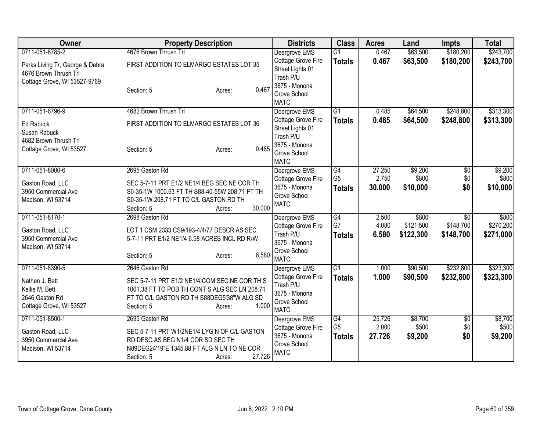| Owner                                                    | <b>Property Description</b>                                              | <b>Districts</b>                                    | <b>Class</b>    | <b>Acres</b> | Land      | <b>Impts</b>    | <b>Total</b> |
|----------------------------------------------------------|--------------------------------------------------------------------------|-----------------------------------------------------|-----------------|--------------|-----------|-----------------|--------------|
| 0711-051-6785-2                                          | 4676 Brown Thrush Trl                                                    | Deergrove EMS                                       | $\overline{G1}$ | 0.467        | \$63,500  | \$180,200       | \$243,700    |
| Parks Living Tr, George & Debra<br>4676 Brown Thrush Trl | FIRST ADDITION TO ELMARGO ESTATES LOT 35                                 | Cottage Grove Fire<br>Street Lights 01<br>Trash P/U | <b>Totals</b>   | 0.467        | \$63,500  | \$180,200       | \$243,700    |
| Cottage Grove, WI 53527-9769                             | 0.467<br>Section: 5<br>Acres:                                            | 3675 - Monona<br>Grove School<br><b>MATC</b>        |                 |              |           |                 |              |
| 0711-051-6796-9                                          | 4682 Brown Thrush Trl                                                    | Deergrove EMS                                       | $\overline{G1}$ | 0.485        | \$64,500  | \$248,800       | \$313,300    |
| Ed Rabuck<br>Susan Rabuck                                | FIRST ADDITION TO ELMARGO ESTATES LOT 36                                 | Cottage Grove Fire<br>Street Lights 01<br>Trash P/U | <b>Totals</b>   | 0.485        | \$64,500  | \$248,800       | \$313,300    |
| 4682 Brown Thrush Trl<br>Cottage Grove, WI 53527         | 0.485<br>Section: 5<br>Acres:                                            | 3675 - Monona<br>Grove School<br><b>MATC</b>        |                 |              |           |                 |              |
| 0711-051-8000-6                                          | 2695 Gaston Rd                                                           | Deergrove EMS                                       | G4              | 27.250       | \$9,200   | \$0             | \$9,200      |
| Gaston Road, LLC                                         | SEC 5-7-11 PRT E1/2 NE1/4 BEG SEC NE COR TH                              | Cottage Grove Fire                                  | G <sub>5</sub>  | 2.750        | \$800     | \$0             | \$800        |
| 3950 Commercial Ave                                      | S0-35-1W 1000.63 FT TH S88-40-55W 208.71 FT TH                           | 3675 - Monona<br>Grove School                       | <b>Totals</b>   | 30.000       | \$10,000  | \$0             | \$10,000     |
| Madison, WI 53714                                        | S0-35-1W 208.71 FT TO C/L GASTON RD TH<br>30.000<br>Section: 5<br>Acres: | <b>MATC</b>                                         |                 |              |           |                 |              |
| 0711-051-8170-1                                          | 2698 Gaston Rd                                                           | Deergrove EMS                                       | $\overline{G4}$ | 2.500        | \$800     | $\overline{30}$ | \$800        |
| Gaston Road, LLC                                         | LOT 1 CSM 2333 CS9/193-4/4/77 DESCR AS SEC                               | Cottage Grove Fire                                  | G7              | 4.080        | \$121,500 | \$148,700       | \$270,200    |
| 3950 Commercial Ave<br>Madison, WI 53714                 | 5-7-11 PRT E1/2 NE1/4 6.58 ACRES INCL RD R/W                             | Trash P/U<br>3675 - Monona                          | <b>Totals</b>   | 6.580        | \$122,300 | \$148,700       | \$271,000    |
|                                                          | 6.580<br>Section: 5<br>Acres:                                            | Grove School<br><b>MATC</b>                         |                 |              |           |                 |              |
| 0711-051-8390-5                                          | 2646 Gaston Rd                                                           | Deergrove EMS                                       | $\overline{G1}$ | 1.000        | \$90,500  | \$232,800       | \$323,300    |
| Nathen J. Bett                                           | SEC 5-7-11 PRT E1/2 NE1/4 COM SEC NE COR TH S                            | Cottage Grove Fire                                  | <b>Totals</b>   | 1.000        | \$90,500  | \$232,800       | \$323,300    |
| Kellie M. Bett                                           | 1001.38 FT TO POB TH CONT S ALG SEC LN 208.71                            | Trash P/U<br>3675 - Monona                          |                 |              |           |                 |              |
| 2646 Gaston Rd                                           | FT TO C/L GASTON RD TH S88DEG5'38"W ALG SD                               | Grove School                                        |                 |              |           |                 |              |
| Cottage Grove, WI 53527                                  | 1.000<br>Section: 5<br>Acres:                                            | <b>MATC</b>                                         |                 |              |           |                 |              |
| 0711-051-8500-1                                          | 2695 Gaston Rd                                                           | Deergrove EMS                                       | $\overline{G4}$ | 25.726       | \$8,700   | $\overline{50}$ | \$8,700      |
| Gaston Road, LLC                                         | SEC 5-7-11 PRT W1/2NE1/4 LYG N OF C/L GASTON                             | Cottage Grove Fire                                  | G <sub>5</sub>  | 2.000        | \$500     | \$0             | \$500        |
| 3950 Commercial Ave                                      | RD DESC AS BEG N1/4 COR SD SEC TH                                        | 3675 - Monona                                       | <b>Totals</b>   | 27.726       | \$9,200   | \$0             | \$9,200      |
| Madison, WI 53714                                        | N89DEG24'19"E 1345.88 FT ALG N LN TO NE COR                              | Grove School<br><b>MATC</b>                         |                 |              |           |                 |              |
|                                                          | 27.726<br>Section: 5<br>Acres:                                           |                                                     |                 |              |           |                 |              |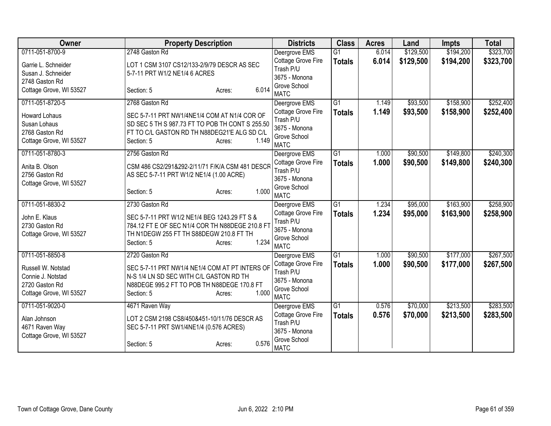| Owner                   | <b>Property Description</b>                     | <b>Districts</b>                    | <b>Class</b>    | <b>Acres</b> | Land      | <b>Impts</b> | <b>Total</b> |
|-------------------------|-------------------------------------------------|-------------------------------------|-----------------|--------------|-----------|--------------|--------------|
| 0711-051-8700-9         | 2748 Gaston Rd                                  | Deergrove EMS                       | $\overline{G1}$ | 6.014        | \$129,500 | \$194,200    | \$323,700    |
| Garrie L. Schneider     | LOT 1 CSM 3107 CS12/133-2/9/79 DESCR AS SEC     | Cottage Grove Fire                  | <b>Totals</b>   | 6.014        | \$129,500 | \$194,200    | \$323,700    |
| Susan J. Schneider      | 5-7-11 PRT W1/2 NE1/4 6 ACRES                   | Trash P/U                           |                 |              |           |              |              |
| 2748 Gaston Rd          |                                                 | 3675 - Monona                       |                 |              |           |              |              |
| Cottage Grove, WI 53527 | 6.014<br>Section: 5<br>Acres:                   | Grove School<br><b>MATC</b>         |                 |              |           |              |              |
| 0711-051-8720-5         | 2768 Gaston Rd                                  | Deergrove EMS                       | $\overline{G1}$ | 1.149        | \$93,500  | \$158,900    | \$252,400    |
| <b>Howard Lohaus</b>    | SEC 5-7-11 PRT NW1/4NE1/4 COM AT N1/4 COR OF    | Cottage Grove Fire                  | <b>Totals</b>   | 1.149        | \$93,500  | \$158,900    | \$252,400    |
| Susan Lohaus            | SD SEC 5 TH S 987.73 FT TO POB TH CONT S 255.50 | Trash P/U                           |                 |              |           |              |              |
| 2768 Gaston Rd          | FT TO C/L GASTON RD TH N88DEG21'E ALG SD C/L    | 3675 - Monona                       |                 |              |           |              |              |
| Cottage Grove, WI 53527 | 1.149<br>Section: 5<br>Acres:                   | Grove School                        |                 |              |           |              |              |
| 0711-051-8780-3         | 2756 Gaston Rd                                  | <b>MATC</b>                         | $\overline{G1}$ | 1.000        | \$90,500  | \$149,800    | \$240,300    |
|                         |                                                 | Deergrove EMS                       |                 |              |           |              |              |
| Anita B. Olson          | CSM 486 CS2/291&292-2/11/71 F/K/A CSM 481 DESCR | Cottage Grove Fire<br>Trash P/U     | <b>Totals</b>   | 1.000        | \$90,500  | \$149,800    | \$240,300    |
| 2756 Gaston Rd          | AS SEC 5-7-11 PRT W1/2 NE1/4 (1.00 ACRE)        | 3675 - Monona                       |                 |              |           |              |              |
| Cottage Grove, WI 53527 |                                                 | Grove School                        |                 |              |           |              |              |
|                         | 1.000<br>Section: 5<br>Acres:                   | <b>MATC</b>                         |                 |              |           |              |              |
| 0711-051-8830-2         | 2730 Gaston Rd                                  | Deergrove EMS                       | $\overline{G1}$ | 1.234        | \$95,000  | \$163,900    | \$258,900    |
| John E. Klaus           | SEC 5-7-11 PRT W1/2 NE1/4 BEG 1243.29 FT S &    | Cottage Grove Fire                  | <b>Totals</b>   | 1.234        | \$95,000  | \$163,900    | \$258,900    |
| 2730 Gaston Rd          | 784.12 FT E OF SEC N1/4 COR TH N88DEGE 210.8 FT | Trash P/U                           |                 |              |           |              |              |
| Cottage Grove, WI 53527 | TH N1DEGW 255 FT TH S88DEGW 210.8 FT TH         | 3675 - Monona                       |                 |              |           |              |              |
|                         | 1.234<br>Section: 5<br>Acres:                   | Grove School                        |                 |              |           |              |              |
|                         |                                                 | <b>MATC</b>                         |                 |              |           |              |              |
| 0711-051-8850-8         | 2720 Gaston Rd                                  | Deergrove EMS                       | $\overline{G1}$ | 1.000        | \$90,500  | \$177,000    | \$267,500    |
| Russell W. Notstad      | SEC 5-7-11 PRT NW1/4 NE1/4 COM AT PT INTERS OF  | Cottage Grove Fire                  | <b>Totals</b>   | 1.000        | \$90,500  | \$177,000    | \$267,500    |
| Connie J. Notstad       | N-S 1/4 LN SD SEC WITH C/L GASTON RD TH         | Trash P/U                           |                 |              |           |              |              |
| 2720 Gaston Rd          | N88DEGE 995.2 FT TO POB TH N88DEGE 170.8 FT     | 3675 - Monona                       |                 |              |           |              |              |
| Cottage Grove, WI 53527 | 1.000<br>Section: 5<br>Acres:                   | Grove School                        |                 |              |           |              |              |
| 0711-051-9020-0         | 4671 Raven Way                                  | <b>MATC</b>                         | $\overline{G1}$ | 0.576        | \$70,000  | \$213,500    | \$283,500    |
|                         |                                                 | Deergrove EMS<br>Cottage Grove Fire |                 | 0.576        |           |              |              |
| Alan Johnson            | LOT 2 CSM 2198 CS8/450&451-10/11/76 DESCR AS    | Trash P/U                           | <b>Totals</b>   |              | \$70,000  | \$213,500    | \$283,500    |
| 4671 Raven Way          | SEC 5-7-11 PRT SW1/4NE1/4 (0.576 ACRES)         | 3675 - Monona                       |                 |              |           |              |              |
| Cottage Grove, WI 53527 |                                                 | Grove School                        |                 |              |           |              |              |
|                         | 0.576<br>Section: 5<br>Acres:                   | <b>MATC</b>                         |                 |              |           |              |              |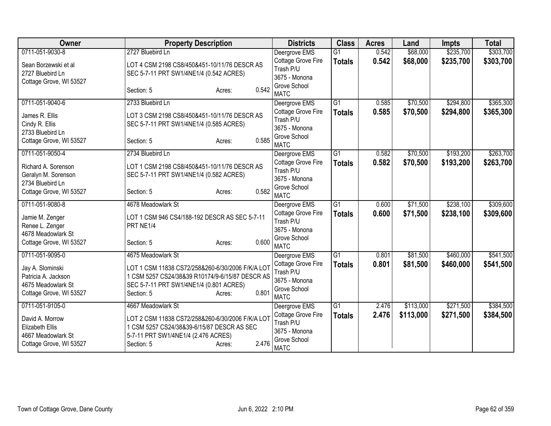| Owner                   | <b>Property Description</b>                      | <b>Districts</b>            | <b>Class</b>    | <b>Acres</b> | Land      | <b>Impts</b> | <b>Total</b> |
|-------------------------|--------------------------------------------------|-----------------------------|-----------------|--------------|-----------|--------------|--------------|
| 0711-051-9030-8         | 2727 Bluebird Ln                                 | Deergrove EMS               | $\overline{G1}$ | 0.542        | \$68,000  | \$235,700    | \$303,700    |
| Sean Borzewski et al    | LOT 4 CSM 2198 CS8/450&451-10/11/76 DESCR AS     | Cottage Grove Fire          | <b>Totals</b>   | 0.542        | \$68,000  | \$235,700    | \$303,700    |
| 2727 Bluebird Ln        | SEC 5-7-11 PRT SW1/4NE1/4 (0.542 ACRES)          | Trash P/U                   |                 |              |           |              |              |
| Cottage Grove, WI 53527 |                                                  | 3675 - Monona               |                 |              |           |              |              |
|                         | 0.542<br>Section: 5<br>Acres:                    | Grove School<br><b>MATC</b> |                 |              |           |              |              |
| 0711-051-9040-6         | 2733 Bluebird Ln                                 | Deergrove EMS               | $\overline{G1}$ | 0.585        | \$70,500  | \$294,800    | \$365,300    |
| James R. Ellis          | LOT 3 CSM 2198 CS8/450&451-10/11/76 DESCR AS     | Cottage Grove Fire          | <b>Totals</b>   | 0.585        | \$70,500  | \$294,800    | \$365,300    |
| Cindy R. Ellis          | SEC 5-7-11 PRT SW1/4NE1/4 (0.585 ACRES)          | Trash P/U                   |                 |              |           |              |              |
| 2733 Bluebird Ln        |                                                  | 3675 - Monona               |                 |              |           |              |              |
| Cottage Grove, WI 53527 | 0.585<br>Section: 5<br>Acres:                    | Grove School<br><b>MATC</b> |                 |              |           |              |              |
| 0711-051-9050-4         | 2734 Bluebird Ln                                 | Deergrove EMS               | $\overline{G1}$ | 0.582        | \$70,500  | \$193,200    | \$263,700    |
| Richard A. Sorenson     | LOT 1 CSM 2198 CS8/450&451-10/11/76 DESCR AS     | Cottage Grove Fire          | <b>Totals</b>   | 0.582        | \$70,500  | \$193,200    | \$263,700    |
| Geralyn M. Sorenson     | SEC 5-7-11 PRT SW1/4NE1/4 (0.582 ACRES)          | Trash P/U                   |                 |              |           |              |              |
| 2734 Bluebird Ln        |                                                  | 3675 - Monona               |                 |              |           |              |              |
| Cottage Grove, WI 53527 | 0.582<br>Section: 5<br>Acres:                    | Grove School<br><b>MATC</b> |                 |              |           |              |              |
| 0711-051-9080-8         | 4678 Meadowlark St                               | Deergrove EMS               | $\overline{G1}$ | 0.600        | \$71,500  | \$238,100    | \$309,600    |
| Jamie M. Zenger         | LOT 1 CSM 946 CS4/188-192 DESCR AS SEC 5-7-11    | Cottage Grove Fire          | <b>Totals</b>   | 0.600        | \$71,500  | \$238,100    | \$309,600    |
| Renee L. Zenger         | PRT NE1/4                                        | Trash P/U                   |                 |              |           |              |              |
| 4678 Meadowlark St      |                                                  | 3675 - Monona               |                 |              |           |              |              |
| Cottage Grove, WI 53527 | 0.600<br>Section: 5<br>Acres:                    | Grove School<br><b>MATC</b> |                 |              |           |              |              |
| 0711-051-9095-0         | 4675 Meadowlark St                               | Deergrove EMS               | $\overline{G1}$ | 0.801        | \$81,500  | \$460,000    | \$541,500    |
|                         |                                                  | Cottage Grove Fire          | <b>Totals</b>   | 0.801        | \$81,500  | \$460,000    | \$541,500    |
| Jay A. Slominski        | LOT 1 CSM 11838 CS72/258&260-6/30/2006 F/K/A LOT | Trash P/U                   |                 |              |           |              |              |
| Patricia A. Jackson     | 1 CSM 5257 CS24/38&39 R10174/9-6/15/87 DESCR AS  | 3675 - Monona               |                 |              |           |              |              |
| 4675 Meadowlark St      | SEC 5-7-11 PRT SW1/4NE1/4 (0.801 ACRES)          | Grove School                |                 |              |           |              |              |
| Cottage Grove, WI 53527 | 0.801<br>Section: 5<br>Acres:                    | <b>MATC</b>                 |                 |              |           |              |              |
| 0711-051-9105-0         | 4667 Meadowlark St                               | Deergrove EMS               | G1              | 2.476        | \$113,000 | \$271,500    | \$384,500    |
| David A. Morrow         | LOT 2 CSM 11838 CS72/258&260-6/30/2006 F/K/A LOT | Cottage Grove Fire          | <b>Totals</b>   | 2.476        | \$113,000 | \$271,500    | \$384,500    |
| <b>Elizabeth Ellis</b>  | 1 CSM 5257 CS24/38&39-6/15/87 DESCR AS SEC       | Trash P/U                   |                 |              |           |              |              |
| 4667 Meadowlark St      | 5-7-11 PRT SW1/4NE1/4 (2.476 ACRES)              | 3675 - Monona               |                 |              |           |              |              |
| Cottage Grove, WI 53527 | 2.476<br>Section: 5<br>Acres:                    | Grove School<br><b>MATC</b> |                 |              |           |              |              |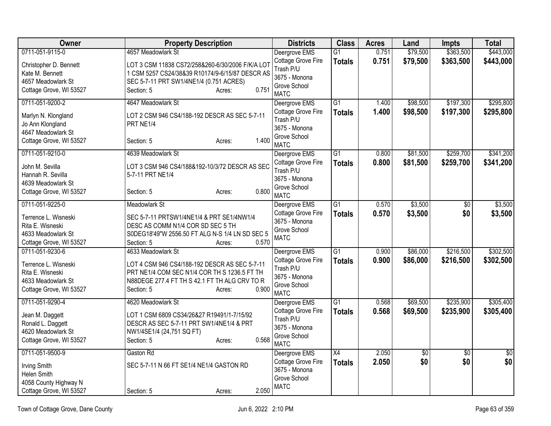| <b>Owner</b>                                                                               | <b>Property Description</b>                                                                                                                                                     | <b>Districts</b>                                                                | <b>Class</b>                     | <b>Acres</b>   | Land                   | Impts                  | <b>Total</b>           |
|--------------------------------------------------------------------------------------------|---------------------------------------------------------------------------------------------------------------------------------------------------------------------------------|---------------------------------------------------------------------------------|----------------------------------|----------------|------------------------|------------------------|------------------------|
| 0711-051-9115-0                                                                            | 4657 Meadowlark St                                                                                                                                                              | Deergrove EMS                                                                   | $\overline{G1}$                  | 0.751          | \$79,500               | \$363,500              | \$443,000              |
| Christopher D. Bennett<br>Kate M. Bennett<br>4657 Meadowlark St<br>Cottage Grove, WI 53527 | LOT 3 CSM 11838 CS72/258&260-6/30/2006 F/K/A LOT<br>1 CSM 5257 CS24/38&39 R10174/9-6/15/87 DESCR AS<br>SEC 5-7-11 PRT SW1/4NE1/4 (0.751 ACRES)<br>0.751<br>Section: 5<br>Acres: | Cottage Grove Fire<br>Trash P/U<br>3675 - Monona<br>Grove School<br><b>MATC</b> | <b>Totals</b>                    | 0.751          | \$79,500               | \$363,500              | \$443,000              |
| 0711-051-9200-2                                                                            | 4647 Meadowlark St                                                                                                                                                              | Deergrove EMS                                                                   | $\overline{G1}$                  | 1.400          | \$98,500               | \$197,300              | \$295,800              |
| Marlyn N. Klongland<br>Jo Ann Klongland<br>4647 Meadowlark St<br>Cottage Grove, WI 53527   | LOT 2 CSM 946 CS4/188-192 DESCR AS SEC 5-7-11<br>PRT NE1/4<br>1.400<br>Section: 5<br>Acres:                                                                                     | Cottage Grove Fire<br>Trash P/U<br>3675 - Monona<br>Grove School<br><b>MATC</b> | <b>Totals</b>                    | 1.400          | \$98,500               | \$197,300              | \$295,800              |
| 0711-051-9210-0                                                                            | 4639 Meadowlark St                                                                                                                                                              | Deergrove EMS                                                                   | $\overline{G1}$                  | 0.800          | \$81,500               | \$259,700              | \$341,200              |
| John M. Sevilla<br>Hannah R. Sevilla<br>4639 Meadowlark St                                 | LOT 3 CSM 946 CS4/188&192-10/3/72 DESCR AS SEC<br>5-7-11 PRT NE1/4                                                                                                              | Cottage Grove Fire<br>Trash P/U<br>3675 - Monona<br>Grove School                | <b>Totals</b>                    | 0.800          | \$81,500               | \$259,700              | \$341,200              |
| Cottage Grove, WI 53527                                                                    | 0.800<br>Section: 5<br>Acres:                                                                                                                                                   | <b>MATC</b>                                                                     |                                  |                |                        |                        |                        |
| 0711-051-9225-0                                                                            | Meadowlark St                                                                                                                                                                   | Deergrove EMS                                                                   | G1                               | 0.570          | \$3,500                | $\overline{50}$        | \$3,500                |
| Terrence L. Wisneski<br>Rita E. Wisneski<br>4633 Meadowlark St<br>Cottage Grove, WI 53527  | SEC 5-7-11 PRTSW1/4NE1/4 & PRT SE1/4NW1/4<br>DESC AS COMM N1/4 COR SD SEC 5 TH<br>S0DEG18'49"W 2556.50 FT ALG N-S 1/4 LN SD SEC 5<br>0.570<br>Section: 5<br>Acres:              | Cottage Grove Fire<br>3675 - Monona<br>Grove School<br><b>MATC</b>              | <b>Totals</b>                    | 0.570          | \$3,500                | \$0                    | \$3,500                |
| 0711-051-9230-6                                                                            | 4633 Meadowlark St                                                                                                                                                              | Deergrove EMS                                                                   | $\overline{G1}$                  | 0.900          | \$86,000               | \$216,500              | \$302,500              |
| Terrence L. Wisneski<br>Rita E. Wisneski<br>4633 Meadowlark St<br>Cottage Grove, WI 53527  | LOT 4 CSM 946 CS4/188-192 DESCR AS SEC 5-7-11<br>PRT NE1/4 COM SEC N1/4 COR TH S 1236.5 FT TH<br>N88DEGE 277.4 FT TH S 42.1 FT TH ALG CRV TO R<br>0.900<br>Section: 5<br>Acres: | Cottage Grove Fire<br>Trash P/U<br>3675 - Monona<br>Grove School<br><b>MATC</b> | <b>Totals</b>                    | 0.900          | \$86,000               | \$216,500              | \$302,500              |
| 0711-051-9290-4                                                                            | 4620 Meadowlark St                                                                                                                                                              | Deergrove EMS                                                                   | $\overline{G1}$                  | 0.568          | \$69,500               | \$235,900              | \$305,400              |
| Jean M. Daggett<br>Ronald L. Daggett<br>4620 Meadowlark St<br>Cottage Grove, WI 53527      | LOT 1 CSM 6809 CS34/26&27 R19491/1-7/15/92<br>DESCR AS SEC 5-7-11 PRT SW1/4NE1/4 & PRT<br>NW1/4SE1/4 (24,751 SQ FT)<br>0.568<br>Section: 5<br>Acres:                            | Cottage Grove Fire<br>Trash P/U<br>3675 - Monona<br>Grove School<br><b>MATC</b> | <b>Totals</b>                    | 0.568          | \$69,500               | \$235,900              | \$305,400              |
| 0711-051-9500-9                                                                            | Gaston Rd                                                                                                                                                                       | Deergrove EMS<br>Cottage Grove Fire                                             | $\overline{X4}$<br><b>Totals</b> | 2.050<br>2.050 | $\overline{50}$<br>\$0 | $\overline{50}$<br>\$0 | $\overline{50}$<br>\$0 |
| <b>Irving Smith</b><br>Helen Smith<br>4058 County Highway N<br>Cottage Grove, WI 53527     | SEC 5-7-11 N 66 FT SE1/4 NE1/4 GASTON RD<br>2.050<br>Section: 5<br>Acres:                                                                                                       | 3675 - Monona<br>Grove School<br><b>MATC</b>                                    |                                  |                |                        |                        |                        |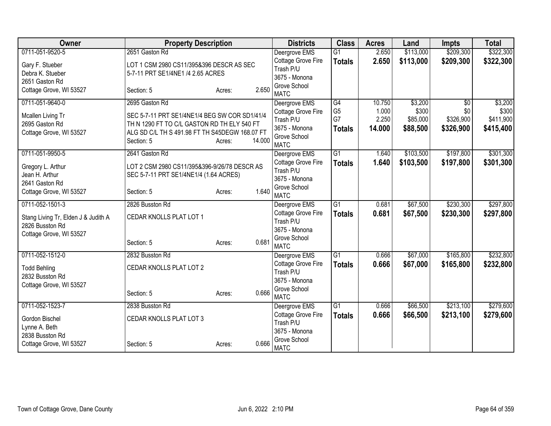| Owner                                                  | <b>Property Description</b>                    |                  | <b>Districts</b>              | <b>Class</b>    | <b>Acres</b> | Land      | <b>Impts</b>    | <b>Total</b> |
|--------------------------------------------------------|------------------------------------------------|------------------|-------------------------------|-----------------|--------------|-----------|-----------------|--------------|
| 0711-051-9520-5                                        | 2651 Gaston Rd                                 |                  | Deergrove EMS                 | $\overline{G1}$ | 2.650        | \$113,000 | \$209,300       | \$322,300    |
| Gary F. Stueber                                        | LOT 1 CSM 2980 CS11/395&396 DESCR AS SEC       |                  | Cottage Grove Fire            | <b>Totals</b>   | 2.650        | \$113,000 | \$209,300       | \$322,300    |
| Debra K. Stueber                                       | 5-7-11 PRT SE1/4NE1 /4 2.65 ACRES              |                  | Trash P/U                     |                 |              |           |                 |              |
| 2651 Gaston Rd                                         |                                                |                  | 3675 - Monona                 |                 |              |           |                 |              |
| Cottage Grove, WI 53527                                | Section: 5                                     | 2.650<br>Acres:  | Grove School                  |                 |              |           |                 |              |
|                                                        |                                                |                  | <b>MATC</b>                   |                 |              |           |                 |              |
| 0711-051-9640-0                                        | 2695 Gaston Rd                                 |                  | Deergrove EMS                 | G4              | 10.750       | \$3,200   | $\overline{30}$ | \$3,200      |
| Mcallen Living Tr                                      | SEC 5-7-11 PRT SE1/4NE1/4 BEG SW COR SD1/41/4  |                  | Cottage Grove Fire            | G <sub>5</sub>  | 1.000        | \$300     | \$0             | \$300        |
| 2695 Gaston Rd                                         | TH N 1290 FT TO C/L GASTON RD TH ELY 540 FT    |                  | Trash P/U                     | G7              | 2.250        | \$85,000  | \$326,900       | \$411,900    |
| Cottage Grove, WI 53527                                | ALG SD C/L TH S 491.98 FT TH S45DEGW 168.07 FT |                  | 3675 - Monona                 | <b>Totals</b>   | 14.000       | \$88,500  | \$326,900       | \$415,400    |
|                                                        | Section: 5                                     | 14.000<br>Acres: | Grove School<br><b>MATC</b>   |                 |              |           |                 |              |
| 0711-051-9950-5                                        | 2641 Gaston Rd                                 |                  | Deergrove EMS                 | G1              | 1.640        | \$103,500 | \$197,800       | \$301,300    |
|                                                        |                                                |                  | Cottage Grove Fire            |                 |              |           |                 |              |
| Gregory L. Arthur                                      | LOT 2 CSM 2980 CS11/395&396-9/26/78 DESCR AS   |                  | Trash P/U                     | <b>Totals</b>   | 1.640        | \$103,500 | \$197,800       | \$301,300    |
| Jean H. Arthur                                         | SEC 5-7-11 PRT SE1/4NE1/4 (1.64 ACRES)         |                  | 3675 - Monona                 |                 |              |           |                 |              |
| 2641 Gaston Rd                                         |                                                |                  | Grove School                  |                 |              |           |                 |              |
| Cottage Grove, WI 53527                                | Section: 5                                     | 1.640<br>Acres:  | <b>MATC</b>                   |                 |              |           |                 |              |
| 0711-052-1501-3                                        | 2826 Busston Rd                                |                  | Deergrove EMS                 | $\overline{G1}$ | 0.681        | \$67,500  | \$230,300       | \$297,800    |
|                                                        | CEDAR KNOLLS PLAT LOT 1                        |                  | Cottage Grove Fire            | <b>Totals</b>   | 0.681        | \$67,500  | \$230,300       | \$297,800    |
| Stang Living Tr, Elden J & Judith A<br>2826 Busston Rd |                                                |                  | Trash P/U                     |                 |              |           |                 |              |
| Cottage Grove, WI 53527                                |                                                |                  | 3675 - Monona                 |                 |              |           |                 |              |
|                                                        | Section: 5                                     | 0.681<br>Acres:  | Grove School                  |                 |              |           |                 |              |
|                                                        |                                                |                  | <b>MATC</b>                   |                 |              |           |                 |              |
| 0711-052-1512-0                                        | 2832 Busston Rd                                |                  | Deergrove EMS                 | G1              | 0.666        | \$67,000  | \$165,800       | \$232,800    |
| <b>Todd Behling</b>                                    | CEDAR KNOLLS PLAT LOT 2                        |                  | Cottage Grove Fire            | <b>Totals</b>   | 0.666        | \$67,000  | \$165,800       | \$232,800    |
| 2832 Busston Rd                                        |                                                |                  | Trash P/U                     |                 |              |           |                 |              |
| Cottage Grove, WI 53527                                |                                                |                  | 3675 - Monona                 |                 |              |           |                 |              |
|                                                        | Section: 5                                     | 0.666<br>Acres:  | Grove School                  |                 |              |           |                 |              |
|                                                        |                                                |                  | <b>MATC</b>                   |                 |              |           |                 |              |
| 0711-052-1523-7                                        | 2838 Busston Rd                                |                  | Deergrove EMS                 | G1              | 0.666        | \$66,500  | \$213,100       | \$279,600    |
| Gordon Bischel                                         | CEDAR KNOLLS PLAT LOT 3                        |                  | Cottage Grove Fire            | <b>Totals</b>   | 0.666        | \$66,500  | \$213,100       | \$279,600    |
| Lynne A. Beth                                          |                                                |                  | Trash P/U                     |                 |              |           |                 |              |
| 2838 Busston Rd                                        |                                                |                  | 3675 - Monona<br>Grove School |                 |              |           |                 |              |
| Cottage Grove, WI 53527                                | Section: 5                                     | 0.666<br>Acres:  | <b>MATC</b>                   |                 |              |           |                 |              |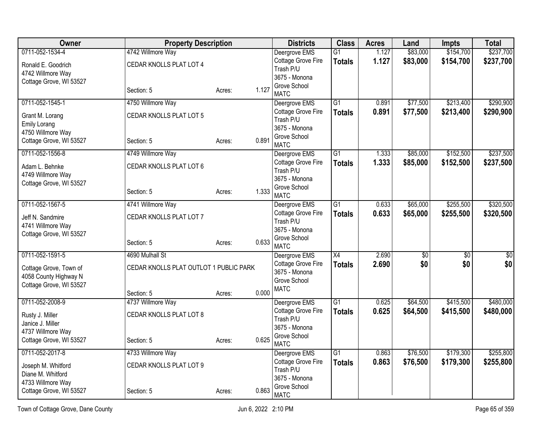| <b>Owner</b>                           | <b>Property Description</b>            |        |       | <b>Districts</b>                    | <b>Class</b>    | <b>Acres</b> | Land       | Impts      | <b>Total</b>    |
|----------------------------------------|----------------------------------------|--------|-------|-------------------------------------|-----------------|--------------|------------|------------|-----------------|
| 0711-052-1534-4                        | 4742 Willmore Way                      |        |       | Deergrove EMS                       | $\overline{G1}$ | 1.127        | \$83,000   | \$154,700  | \$237,700       |
| Ronald E. Goodrich                     | CEDAR KNOLLS PLAT LOT 4                |        |       | Cottage Grove Fire                  | <b>Totals</b>   | 1.127        | \$83,000   | \$154,700  | \$237,700       |
| 4742 Willmore Way                      |                                        |        |       | Trash P/U<br>3675 - Monona          |                 |              |            |            |                 |
| Cottage Grove, WI 53527                |                                        |        |       | Grove School                        |                 |              |            |            |                 |
|                                        | Section: 5                             | Acres: | 1.127 | <b>MATC</b>                         |                 |              |            |            |                 |
| 0711-052-1545-1                        | 4750 Willmore Way                      |        |       | Deergrove EMS                       | $\overline{G1}$ | 0.891        | \$77,500   | \$213,400  | \$290,900       |
| Grant M. Lorang                        | CEDAR KNOLLS PLAT LOT 5                |        |       | Cottage Grove Fire<br>Trash P/U     | <b>Totals</b>   | 0.891        | \$77,500   | \$213,400  | \$290,900       |
| <b>Emily Lorang</b>                    |                                        |        |       | 3675 - Monona                       |                 |              |            |            |                 |
| 4750 Willmore Way                      |                                        |        |       | Grove School                        |                 |              |            |            |                 |
| Cottage Grove, WI 53527                | Section: 5                             | Acres: | 0.891 | <b>MATC</b>                         |                 |              |            |            |                 |
| 0711-052-1556-8                        | 4749 Willmore Way                      |        |       | Deergrove EMS                       | G1              | 1.333        | \$85,000   | \$152,500  | \$237,500       |
| Adam L. Behnke                         | CEDAR KNOLLS PLAT LOT 6                |        |       | Cottage Grove Fire<br>Trash P/U     | <b>Totals</b>   | 1.333        | \$85,000   | \$152,500  | \$237,500       |
| 4749 Willmore Way                      |                                        |        |       | 3675 - Monona                       |                 |              |            |            |                 |
| Cottage Grove, WI 53527                |                                        |        |       | Grove School                        |                 |              |            |            |                 |
|                                        | Section: 5                             | Acres: | 1.333 | <b>MATC</b>                         |                 |              |            |            |                 |
| 0711-052-1567-5                        | 4741 Willmore Way                      |        |       | Deergrove EMS                       | $\overline{G1}$ | 0.633        | \$65,000   | \$255,500  | \$320,500       |
| Jeff N. Sandmire                       | CEDAR KNOLLS PLAT LOT 7                |        |       | Cottage Grove Fire                  | <b>Totals</b>   | 0.633        | \$65,000   | \$255,500  | \$320,500       |
| 4741 Willmore Way                      |                                        |        |       | Trash P/U<br>3675 - Monona          |                 |              |            |            |                 |
| Cottage Grove, WI 53527                |                                        |        |       | Grove School                        |                 |              |            |            |                 |
|                                        | Section: 5                             | Acres: | 0.633 | <b>MATC</b>                         |                 |              |            |            |                 |
| 0711-052-1591-5                        | 4690 Mulhall St                        |        |       | Deergrove EMS                       | $\overline{X4}$ | 2.690        | $\sqrt{6}$ | $\sqrt{6}$ | $\overline{50}$ |
| Cottage Grove, Town of                 | CEDAR KNOLLS PLAT OUTLOT 1 PUBLIC PARK |        |       | Cottage Grove Fire<br>3675 - Monona | <b>Totals</b>   | 2.690        | \$0        | \$0        | \$0             |
| 4058 County Highway N                  |                                        |        |       | Grove School                        |                 |              |            |            |                 |
| Cottage Grove, WI 53527                |                                        |        |       | <b>MATC</b>                         |                 |              |            |            |                 |
| 0711-052-2008-9                        | Section: 5<br>4737 Willmore Way        | Acres: | 0.000 | Deergrove EMS                       | $\overline{G1}$ | 0.625        | \$64,500   | \$415,500  | \$480,000       |
|                                        |                                        |        |       | Cottage Grove Fire                  | <b>Totals</b>   | 0.625        | \$64,500   | \$415,500  | \$480,000       |
| Rusty J. Miller                        | CEDAR KNOLLS PLAT LOT 8                |        |       | Trash P/U                           |                 |              |            |            |                 |
| Janice J. Miller<br>4737 Willmore Way  |                                        |        |       | 3675 - Monona                       |                 |              |            |            |                 |
| Cottage Grove, WI 53527                | Section: 5                             | Acres: | 0.625 | Grove School                        |                 |              |            |            |                 |
| 0711-052-2017-8                        | 4733 Willmore Way                      |        |       | <b>MATC</b><br>Deergrove EMS        | $\overline{G1}$ | 0.863        | \$76,500   | \$179,300  | \$255,800       |
|                                        |                                        |        |       | Cottage Grove Fire                  | <b>Totals</b>   | 0.863        | \$76,500   | \$179,300  | \$255,800       |
| Joseph M. Whitford                     | CEDAR KNOLLS PLAT LOT 9                |        |       | Trash P/U                           |                 |              |            |            |                 |
| Diane M. Whitford<br>4733 Willmore Way |                                        |        |       | 3675 - Monona                       |                 |              |            |            |                 |
| Cottage Grove, WI 53527                | Section: 5                             | Acres: | 0.863 | Grove School                        |                 |              |            |            |                 |
|                                        |                                        |        |       | <b>MATC</b>                         |                 |              |            |            |                 |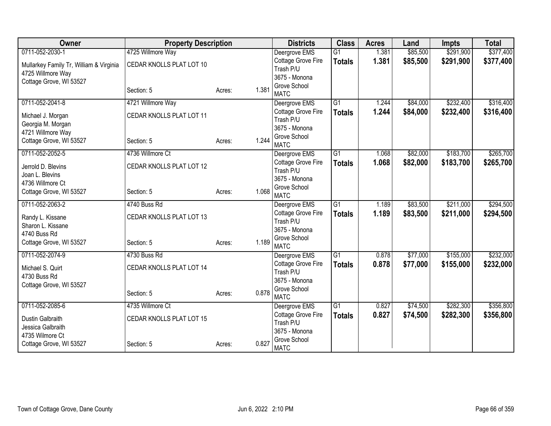| Owner                                   | <b>Property Description</b> |        |       | <b>Districts</b>              | <b>Class</b>    | <b>Acres</b> | Land     | <b>Impts</b> | <b>Total</b> |
|-----------------------------------------|-----------------------------|--------|-------|-------------------------------|-----------------|--------------|----------|--------------|--------------|
| 0711-052-2030-1                         | 4725 Willmore Way           |        |       | Deergrove EMS                 | $\overline{G1}$ | 1.381        | \$85,500 | \$291,900    | \$377,400    |
| Mullarkey Family Tr, William & Virginia | CEDAR KNOLLS PLAT LOT 10    |        |       | Cottage Grove Fire            | <b>Totals</b>   | 1.381        | \$85,500 | \$291,900    | \$377,400    |
| 4725 Willmore Way                       |                             |        |       | Trash P/U                     |                 |              |          |              |              |
| Cottage Grove, WI 53527                 |                             |        |       | 3675 - Monona<br>Grove School |                 |              |          |              |              |
|                                         | Section: 5                  | Acres: | 1.381 | <b>MATC</b>                   |                 |              |          |              |              |
| 0711-052-2041-8                         | 4721 Willmore Way           |        |       | Deergrove EMS                 | $\overline{G1}$ | 1.244        | \$84,000 | \$232,400    | \$316,400    |
| Michael J. Morgan                       | CEDAR KNOLLS PLAT LOT 11    |        |       | Cottage Grove Fire            | <b>Totals</b>   | 1.244        | \$84,000 | \$232,400    | \$316,400    |
| Georgia M. Morgan                       |                             |        |       | Trash P/U                     |                 |              |          |              |              |
| 4721 Willmore Way                       |                             |        |       | 3675 - Monona                 |                 |              |          |              |              |
| Cottage Grove, WI 53527                 | Section: 5                  | Acres: | 1.244 | Grove School<br><b>MATC</b>   |                 |              |          |              |              |
| 0711-052-2052-5                         | 4736 Willmore Ct            |        |       | Deergrove EMS                 | $\overline{G1}$ | 1.068        | \$82,000 | \$183,700    | \$265,700    |
|                                         |                             |        |       | Cottage Grove Fire            | <b>Totals</b>   | 1.068        | \$82,000 | \$183,700    | \$265,700    |
| Jerrold D. Blevins                      | CEDAR KNOLLS PLAT LOT 12    |        |       | Trash P/U                     |                 |              |          |              |              |
| Joan L. Blevins                         |                             |        |       | 3675 - Monona                 |                 |              |          |              |              |
| 4736 Willmore Ct                        |                             |        |       | Grove School                  |                 |              |          |              |              |
| Cottage Grove, WI 53527                 | Section: 5                  | Acres: | 1.068 | <b>MATC</b>                   |                 |              |          |              |              |
| 0711-052-2063-2                         | 4740 Buss Rd                |        |       | Deergrove EMS                 | $\overline{G1}$ | 1.189        | \$83,500 | \$211,000    | \$294,500    |
| Randy L. Kissane                        | CEDAR KNOLLS PLAT LOT 13    |        |       | Cottage Grove Fire            | <b>Totals</b>   | 1.189        | \$83,500 | \$211,000    | \$294,500    |
| Sharon L. Kissane                       |                             |        |       | Trash P/U                     |                 |              |          |              |              |
| 4740 Buss Rd                            |                             |        |       | 3675 - Monona                 |                 |              |          |              |              |
| Cottage Grove, WI 53527                 | Section: 5                  | Acres: | 1.189 | Grove School<br><b>MATC</b>   |                 |              |          |              |              |
| 0711-052-2074-9                         | 4730 Buss Rd                |        |       | Deergrove EMS                 | $\overline{G1}$ | 0.878        | \$77,000 | \$155,000    | \$232,000    |
|                                         |                             |        |       | <b>Cottage Grove Fire</b>     | <b>Totals</b>   | 0.878        | \$77,000 | \$155,000    | \$232,000    |
| Michael S. Quirt                        | CEDAR KNOLLS PLAT LOT 14    |        |       | Trash P/U                     |                 |              |          |              |              |
| 4730 Buss Rd                            |                             |        |       | 3675 - Monona                 |                 |              |          |              |              |
| Cottage Grove, WI 53527                 |                             |        |       | Grove School                  |                 |              |          |              |              |
|                                         | Section: 5                  | Acres: | 0.878 | <b>MATC</b>                   |                 |              |          |              |              |
| 0711-052-2085-6                         | 4735 Willmore Ct            |        |       | Deergrove EMS                 | $\overline{G1}$ | 0.827        | \$74,500 | \$282,300    | \$356,800    |
| Dustin Galbraith                        | CEDAR KNOLLS PLAT LOT 15    |        |       | <b>Cottage Grove Fire</b>     | <b>Totals</b>   | 0.827        | \$74,500 | \$282,300    | \$356,800    |
| Jessica Galbraith                       |                             |        |       | Trash P/U                     |                 |              |          |              |              |
| 4735 Wilmore Ct                         |                             |        |       | 3675 - Monona                 |                 |              |          |              |              |
| Cottage Grove, WI 53527                 | Section: 5                  | Acres: | 0.827 | Grove School<br><b>MATC</b>   |                 |              |          |              |              |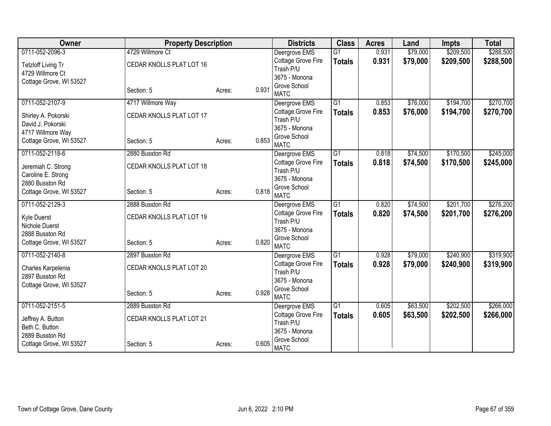| Owner                   | <b>Property Description</b> |        |       | <b>Districts</b>            | <b>Class</b>    | <b>Acres</b> | Land     | <b>Impts</b> | <b>Total</b> |
|-------------------------|-----------------------------|--------|-------|-----------------------------|-----------------|--------------|----------|--------------|--------------|
| 0711-052-2096-3         | 4729 Willmore Ct            |        |       | Deergrove EMS               | $\overline{G1}$ | 0.931        | \$79,000 | \$209,500    | \$288,500    |
| Tetzloff Living Tr      | CEDAR KNOLLS PLAT LOT 16    |        |       | Cottage Grove Fire          | <b>Totals</b>   | 0.931        | \$79,000 | \$209,500    | \$288,500    |
| 4729 Willmore Ct        |                             |        |       | Trash P/U                   |                 |              |          |              |              |
| Cottage Grove, WI 53527 |                             |        |       | 3675 - Monona               |                 |              |          |              |              |
|                         | Section: 5                  | Acres: | 0.931 | Grove School<br><b>MATC</b> |                 |              |          |              |              |
| 0711-052-2107-9         | 4717 Willmore Way           |        |       | Deergrove EMS               | $\overline{G1}$ | 0.853        | \$76,000 | \$194,700    | \$270,700    |
| Shirley A. Pokorski     | CEDAR KNOLLS PLAT LOT 17    |        |       | Cottage Grove Fire          | <b>Totals</b>   | 0.853        | \$76,000 | \$194,700    | \$270,700    |
| David J. Pokorski       |                             |        |       | Trash P/U                   |                 |              |          |              |              |
| 4717 Willmore Way       |                             |        |       | 3675 - Monona               |                 |              |          |              |              |
| Cottage Grove, WI 53527 | Section: 5                  | Acres: | 0.853 | Grove School<br><b>MATC</b> |                 |              |          |              |              |
| 0711-052-2118-6         | 2880 Busston Rd             |        |       | Deergrove EMS               | $\overline{G1}$ | 0.818        | \$74,500 | \$170,500    | \$245,000    |
| Jeremiah C. Strong      | CEDAR KNOLLS PLAT LOT 18    |        |       | Cottage Grove Fire          | <b>Totals</b>   | 0.818        | \$74,500 | \$170,500    | \$245,000    |
| Caroline E. Strong      |                             |        |       | Trash P/U                   |                 |              |          |              |              |
| 2880 Busston Rd         |                             |        |       | 3675 - Monona               |                 |              |          |              |              |
| Cottage Grove, WI 53527 | Section: 5                  | Acres: | 0.818 | Grove School<br><b>MATC</b> |                 |              |          |              |              |
| 0711-052-2129-3         | 2888 Busston Rd             |        |       | Deergrove EMS               | $\overline{G1}$ | 0.820        | \$74,500 | \$201,700    | \$276,200    |
| Kyle Duerst             | CEDAR KNOLLS PLAT LOT 19    |        |       | Cottage Grove Fire          | <b>Totals</b>   | 0.820        | \$74,500 | \$201,700    | \$276,200    |
| Nichole Duerst          |                             |        |       | Trash P/U                   |                 |              |          |              |              |
| 2888 Busston Rd         |                             |        |       | 3675 - Monona               |                 |              |          |              |              |
| Cottage Grove, WI 53527 | Section: 5                  | Acres: | 0.820 | Grove School<br><b>MATC</b> |                 |              |          |              |              |
| 0711-052-2140-8         | 2897 Busston Rd             |        |       | Deergrove EMS               | $\overline{G1}$ | 0.928        | \$79,000 | \$240,900    | \$319,900    |
|                         |                             |        |       | <b>Cottage Grove Fire</b>   | <b>Totals</b>   | 0.928        | \$79,000 | \$240,900    | \$319,900    |
| Charles Karpelenia      | CEDAR KNOLLS PLAT LOT 20    |        |       | Trash P/U                   |                 |              |          |              |              |
| 2897 Busston Rd         |                             |        |       | 3675 - Monona               |                 |              |          |              |              |
| Cottage Grove, WI 53527 |                             |        | 0.928 | Grove School                |                 |              |          |              |              |
|                         | Section: 5                  | Acres: |       | <b>MATC</b>                 |                 |              |          |              |              |
| 0711-052-2151-5         | 2889 Busston Rd             |        |       | Deergrove EMS               | G1              | 0.605        | \$63,500 | \$202,500    | \$266,000    |
| Jeffrey A. Button       | CEDAR KNOLLS PLAT LOT 21    |        |       | <b>Cottage Grove Fire</b>   | <b>Totals</b>   | 0.605        | \$63,500 | \$202,500    | \$266,000    |
| Beth C. Button          |                             |        |       | Trash P/U                   |                 |              |          |              |              |
| 2889 Busston Rd         |                             |        |       | 3675 - Monona               |                 |              |          |              |              |
| Cottage Grove, WI 53527 | Section: 5                  | Acres: | 0.605 | Grove School<br><b>MATC</b> |                 |              |          |              |              |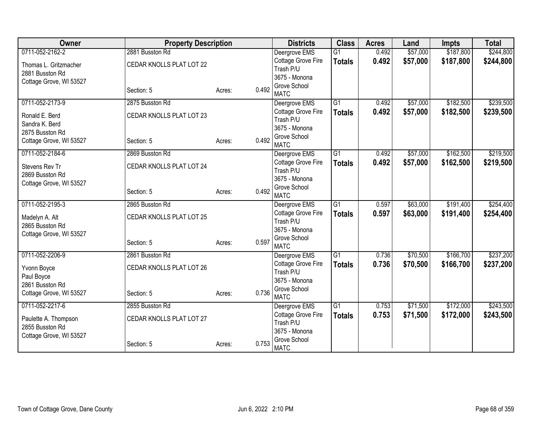| Owner                   | <b>Property Description</b> |                 | <b>Districts</b>                | <b>Class</b>    | <b>Acres</b> | Land     | <b>Impts</b> | <b>Total</b> |
|-------------------------|-----------------------------|-----------------|---------------------------------|-----------------|--------------|----------|--------------|--------------|
| 0711-052-2162-2         | 2881 Busston Rd             |                 | Deergrove EMS                   | $\overline{G1}$ | 0.492        | \$57,000 | \$187,800    | \$244,800    |
| Thomas L. Gritzmacher   | CEDAR KNOLLS PLAT LOT 22    |                 | Cottage Grove Fire              | <b>Totals</b>   | 0.492        | \$57,000 | \$187,800    | \$244,800    |
| 2881 Busston Rd         |                             |                 | Trash P/U                       |                 |              |          |              |              |
| Cottage Grove, WI 53527 |                             |                 | 3675 - Monona                   |                 |              |          |              |              |
|                         | Section: 5                  | 0.492<br>Acres: | Grove School<br><b>MATC</b>     |                 |              |          |              |              |
| 0711-052-2173-9         | 2875 Busston Rd             |                 | Deergrove EMS                   | $\overline{G1}$ | 0.492        | \$57,000 | \$182,500    | \$239,500    |
| Ronald E. Berd          | CEDAR KNOLLS PLAT LOT 23    |                 | Cottage Grove Fire              | <b>Totals</b>   | 0.492        | \$57,000 | \$182,500    | \$239,500    |
| Sandra K. Berd          |                             |                 | Trash P/U                       |                 |              |          |              |              |
| 2875 Busston Rd         |                             |                 | 3675 - Monona                   |                 |              |          |              |              |
| Cottage Grove, WI 53527 | Section: 5                  | 0.492<br>Acres: | Grove School                    |                 |              |          |              |              |
|                         |                             |                 | <b>MATC</b>                     |                 |              |          |              |              |
| 0711-052-2184-6         | 2869 Busston Rd             |                 | Deergrove EMS                   | $\overline{G1}$ | 0.492        | \$57,000 | \$162,500    | \$219,500    |
| Stevens Rev Tr          | CEDAR KNOLLS PLAT LOT 24    |                 | Cottage Grove Fire<br>Trash P/U | <b>Totals</b>   | 0.492        | \$57,000 | \$162,500    | \$219,500    |
| 2869 Busston Rd         |                             |                 | 3675 - Monona                   |                 |              |          |              |              |
| Cottage Grove, WI 53527 |                             |                 | Grove School                    |                 |              |          |              |              |
|                         | Section: 5                  | 0.492<br>Acres: | <b>MATC</b>                     |                 |              |          |              |              |
| 0711-052-2195-3         | 2865 Busston Rd             |                 | Deergrove EMS                   | G1              | 0.597        | \$63,000 | \$191,400    | \$254,400    |
| Madelyn A. Alt          | CEDAR KNOLLS PLAT LOT 25    |                 | Cottage Grove Fire              | <b>Totals</b>   | 0.597        | \$63,000 | \$191,400    | \$254,400    |
| 2865 Busston Rd         |                             |                 | Trash P/U                       |                 |              |          |              |              |
| Cottage Grove, WI 53527 |                             |                 | 3675 - Monona                   |                 |              |          |              |              |
|                         | Section: 5                  | 0.597<br>Acres: | Grove School                    |                 |              |          |              |              |
|                         |                             |                 | <b>MATC</b>                     |                 |              |          |              |              |
| 0711-052-2206-9         | 2861 Busston Rd             |                 | Deergrove EMS                   | $\overline{G1}$ | 0.736        | \$70,500 | \$166,700    | \$237,200    |
| Yvonn Boyce             | CEDAR KNOLLS PLAT LOT 26    |                 | Cottage Grove Fire<br>Trash P/U | <b>Totals</b>   | 0.736        | \$70,500 | \$166,700    | \$237,200    |
| Paul Boyce              |                             |                 | 3675 - Monona                   |                 |              |          |              |              |
| 2861 Busston Rd         |                             |                 | Grove School                    |                 |              |          |              |              |
| Cottage Grove, WI 53527 | Section: 5                  | 0.736<br>Acres: | <b>MATC</b>                     |                 |              |          |              |              |
| 0711-052-2217-6         | 2855 Busston Rd             |                 | Deergrove EMS                   | G1              | 0.753        | \$71,500 | \$172,000    | \$243,500    |
| Paulette A. Thompson    | CEDAR KNOLLS PLAT LOT 27    |                 | Cottage Grove Fire              | <b>Totals</b>   | 0.753        | \$71,500 | \$172,000    | \$243,500    |
| 2855 Busston Rd         |                             |                 | Trash P/U                       |                 |              |          |              |              |
| Cottage Grove, WI 53527 |                             |                 | 3675 - Monona                   |                 |              |          |              |              |
|                         | Section: 5                  | 0.753<br>Acres: | Grove School<br><b>MATC</b>     |                 |              |          |              |              |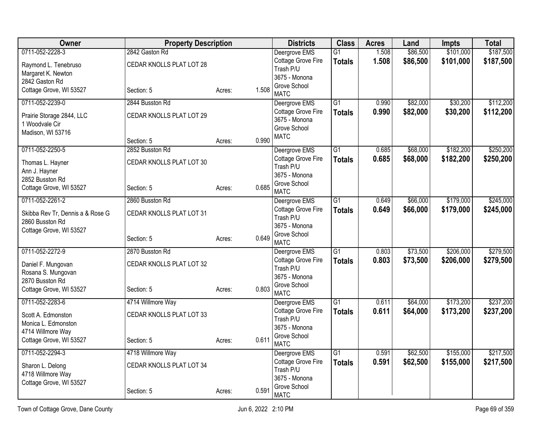| Owner                                      | <b>Property Description</b> |        |       | <b>Districts</b>                    | <b>Class</b>                     | <b>Acres</b>   | Land                 | <b>Impts</b>           | <b>Total</b>           |
|--------------------------------------------|-----------------------------|--------|-------|-------------------------------------|----------------------------------|----------------|----------------------|------------------------|------------------------|
| 0711-052-2228-3                            | 2842 Gaston Rd              |        |       | Deergrove EMS                       | G1                               | 1.508          | \$86,500             | \$101,000              | \$187,500              |
| Raymond L. Tenebruso                       | CEDAR KNOLLS PLAT LOT 28    |        |       | Cottage Grove Fire                  | <b>Totals</b>                    | 1.508          | \$86,500             | \$101,000              | \$187,500              |
| Margaret K. Newton                         |                             |        |       | Trash P/U<br>3675 - Monona          |                                  |                |                      |                        |                        |
| 2842 Gaston Rd                             |                             |        |       | Grove School                        |                                  |                |                      |                        |                        |
| Cottage Grove, WI 53527                    | Section: 5                  | Acres: | 1.508 | <b>MATC</b>                         |                                  |                |                      |                        |                        |
| 0711-052-2239-0                            | 2844 Busston Rd             |        |       | Deergrove EMS                       | $\overline{G1}$                  | 0.990          | \$82,000             | \$30,200               | \$112,200              |
| Prairie Storage 2844, LLC                  | CEDAR KNOLLS PLAT LOT 29    |        |       | Cottage Grove Fire                  | <b>Totals</b>                    | 0.990          | \$82,000             | \$30,200               | \$112,200              |
| 1 Woodvale Cir                             |                             |        |       | 3675 - Monona<br>Grove School       |                                  |                |                      |                        |                        |
| Madison, WI 53716                          |                             |        |       | <b>MATC</b>                         |                                  |                |                      |                        |                        |
|                                            | Section: 5                  | Acres: | 0.990 |                                     |                                  |                |                      |                        |                        |
| 0711-052-2250-5                            | 2852 Busston Rd             |        |       | Deergrove EMS<br>Cottage Grove Fire | $\overline{G1}$<br><b>Totals</b> | 0.685<br>0.685 | \$68,000<br>\$68,000 | \$182,200<br>\$182,200 | \$250,200<br>\$250,200 |
| Thomas L. Hayner                           | CEDAR KNOLLS PLAT LOT 30    |        |       | Trash P/U                           |                                  |                |                      |                        |                        |
| Ann J. Hayner                              |                             |        |       | 3675 - Monona                       |                                  |                |                      |                        |                        |
| 2852 Busston Rd<br>Cottage Grove, WI 53527 | Section: 5                  | Acres: | 0.685 | Grove School                        |                                  |                |                      |                        |                        |
|                                            |                             |        |       | <b>MATC</b>                         |                                  |                |                      |                        |                        |
| 0711-052-2261-2                            | 2860 Busston Rd             |        |       | Deergrove EMS                       | $\overline{G1}$                  | 0.649          | \$66,000             | \$179,000              | \$245,000              |
| Skibba Rev Tr, Dennis a & Rose G           | CEDAR KNOLLS PLAT LOT 31    |        |       | Cottage Grove Fire<br>Trash P/U     | <b>Totals</b>                    | 0.649          | \$66,000             | \$179,000              | \$245,000              |
| 2860 Busston Rd                            |                             |        |       | 3675 - Monona                       |                                  |                |                      |                        |                        |
| Cottage Grove, WI 53527                    | Section: 5                  |        | 0.649 | Grove School                        |                                  |                |                      |                        |                        |
|                                            |                             | Acres: |       | <b>MATC</b>                         |                                  |                |                      |                        |                        |
| 0711-052-2272-9                            | 2870 Busston Rd             |        |       | Deergrove EMS                       | $\overline{G1}$                  | 0.803          | \$73,500             | \$206,000              | \$279,500              |
| Daniel F. Mungovan                         | CEDAR KNOLLS PLAT LOT 32    |        |       | Cottage Grove Fire<br>Trash P/U     | <b>Totals</b>                    | 0.803          | \$73,500             | \$206,000              | \$279,500              |
| Rosana S. Mungovan                         |                             |        |       | 3675 - Monona                       |                                  |                |                      |                        |                        |
| 2870 Busston Rd                            |                             |        | 0.803 | Grove School                        |                                  |                |                      |                        |                        |
| Cottage Grove, WI 53527                    | Section: 5                  | Acres: |       | <b>MATC</b>                         |                                  |                |                      |                        |                        |
| 0711-052-2283-6                            | 4714 Willmore Way           |        |       | Deergrove EMS                       | $\overline{G1}$                  | 0.611          | \$64,000             | \$173,200              | \$237,200              |
| Scott A. Edmonston                         | CEDAR KNOLLS PLAT LOT 33    |        |       | Cottage Grove Fire<br>Trash P/U     | <b>Totals</b>                    | 0.611          | \$64,000             | \$173,200              | \$237,200              |
| Monica L. Edmonston                        |                             |        |       | 3675 - Monona                       |                                  |                |                      |                        |                        |
| 4714 Willmore Way                          |                             |        |       | Grove School                        |                                  |                |                      |                        |                        |
| Cottage Grove, WI 53527                    | Section: 5                  | Acres: | 0.611 | <b>MATC</b>                         |                                  |                |                      |                        |                        |
| 0711-052-2294-3                            | 4718 Willmore Way           |        |       | Deergrove EMS                       | G1                               | 0.591          | \$62,500             | \$155,000              | \$217,500              |
| Sharon L. Delong                           | CEDAR KNOLLS PLAT LOT 34    |        |       | Cottage Grove Fire                  | <b>Totals</b>                    | 0.591          | \$62,500             | \$155,000              | \$217,500              |
| 4718 Willmore Way                          |                             |        |       | Trash P/U<br>3675 - Monona          |                                  |                |                      |                        |                        |
| Cottage Grove, WI 53527                    |                             |        |       | Grove School                        |                                  |                |                      |                        |                        |
|                                            | Section: 5                  | Acres: | 0.591 | <b>MATC</b>                         |                                  |                |                      |                        |                        |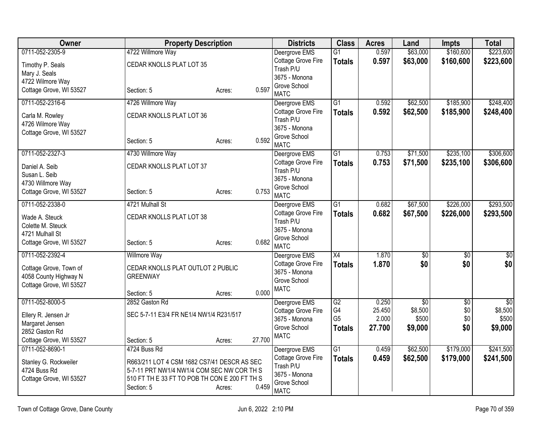| Owner                                                                      | <b>Property Description</b>                                                                                                                                |                  | <b>Districts</b>                                                   | <b>Class</b>         | <b>Acres</b>    | Land                 | <b>Impts</b>           | <b>Total</b>           |
|----------------------------------------------------------------------------|------------------------------------------------------------------------------------------------------------------------------------------------------------|------------------|--------------------------------------------------------------------|----------------------|-----------------|----------------------|------------------------|------------------------|
| 0711-052-2305-9                                                            | 4722 Willmore Way                                                                                                                                          |                  | Deergrove EMS                                                      | $\overline{G1}$      | 0.597           | \$63,000             | \$160,600              | \$223,600              |
| Timothy P. Seals<br>Mary J. Seals                                          | CEDAR KNOLLS PLAT LOT 35                                                                                                                                   |                  | Cottage Grove Fire<br>Trash P/U                                    | <b>Totals</b>        | 0.597           | \$63,000             | \$160,600              | \$223,600              |
| 4722 Wilmore Way                                                           |                                                                                                                                                            |                  | 3675 - Monona                                                      |                      |                 |                      |                        |                        |
| Cottage Grove, WI 53527                                                    | Section: 5                                                                                                                                                 | 0.597<br>Acres:  | Grove School<br><b>MATC</b>                                        |                      |                 |                      |                        |                        |
| 0711-052-2316-6                                                            | 4726 Willmore Way                                                                                                                                          |                  | Deergrove EMS                                                      | $\overline{G1}$      | 0.592           | \$62,500             | \$185,900              | \$248,400              |
| Carla M. Rowley<br>4726 Wilmore Way                                        | CEDAR KNOLLS PLAT LOT 36                                                                                                                                   |                  | Cottage Grove Fire<br>Trash P/U                                    | <b>Totals</b>        | 0.592           | \$62,500             | \$185,900              | \$248,400              |
| Cottage Grove, WI 53527                                                    | Section: 5                                                                                                                                                 | 0.592<br>Acres:  | 3675 - Monona<br>Grove School<br><b>MATC</b>                       |                      |                 |                      |                        |                        |
| 0711-052-2327-3                                                            | 4730 Willmore Way                                                                                                                                          |                  | Deergrove EMS                                                      | $\overline{G1}$      | 0.753           | \$71,500             | \$235,100              | \$306,600              |
| Daniel A. Seib<br>Susan L. Seib<br>4730 Willmore Way                       | CEDAR KNOLLS PLAT LOT 37                                                                                                                                   |                  | Cottage Grove Fire<br>Trash P/U<br>3675 - Monona                   | <b>Totals</b>        | 0.753           | \$71,500             | \$235,100              | \$306,600              |
| Cottage Grove, WI 53527                                                    | Section: 5                                                                                                                                                 | 0.753<br>Acres:  | Grove School<br><b>MATC</b>                                        |                      |                 |                      |                        |                        |
| 0711-052-2338-0                                                            | 4721 Mulhall St                                                                                                                                            |                  | Deergrove EMS                                                      | G1                   | 0.682           | \$67,500             | \$226,000              | \$293,500              |
| Wade A. Steuck<br>Colette M. Steuck<br>4721 Mulhall St                     | CEDAR KNOLLS PLAT LOT 38                                                                                                                                   |                  | Cottage Grove Fire<br>Trash P/U<br>3675 - Monona                   | <b>Totals</b>        | 0.682           | \$67,500             | \$226,000              | \$293,500              |
| Cottage Grove, WI 53527                                                    | Section: 5                                                                                                                                                 | 0.682<br>Acres:  | Grove School<br><b>MATC</b>                                        |                      |                 |                      |                        |                        |
| 0711-052-2392-4                                                            | <b>Willmore Way</b>                                                                                                                                        |                  | Deergrove EMS                                                      | $\overline{X4}$      | 1.870           | $\overline{60}$      | $\overline{30}$        | $\overline{50}$        |
| Cottage Grove, Town of<br>4058 County Highway N<br>Cottage Grove, WI 53527 | CEDAR KNOLLS PLAT OUTLOT 2 PUBLIC<br><b>GREENWAY</b>                                                                                                       |                  | Cottage Grove Fire<br>3675 - Monona<br>Grove School<br><b>MATC</b> | <b>Totals</b>        | 1.870           | \$0                  | \$0                    | \$0                    |
|                                                                            | Section: 5                                                                                                                                                 | 0.000<br>Acres:  |                                                                    |                      |                 |                      |                        |                        |
| 0711-052-8000-5                                                            | 2852 Gaston Rd                                                                                                                                             |                  | Deergrove EMS                                                      | G2                   | 0.250           | $\overline{50}$      | $\overline{30}$        | $\overline{30}$        |
| Ellery R. Jensen Jr                                                        | SEC 5-7-11 E3/4 FR NE1/4 NW1/4 R231/517                                                                                                                    |                  | Cottage Grove Fire<br>3675 - Monona                                | G4<br>G <sub>5</sub> | 25.450<br>2.000 | \$8,500<br>\$500     | \$0<br>\$0             | \$8,500<br>\$500       |
| Margaret Jensen                                                            |                                                                                                                                                            |                  | Grove School                                                       | <b>Totals</b>        | 27.700          | \$9,000              | \$0                    | \$9,000                |
| 2852 Gaston Rd                                                             |                                                                                                                                                            |                  | <b>MATC</b>                                                        |                      |                 |                      |                        |                        |
| Cottage Grove, WI 53527<br>0711-052-8690-1                                 | Section: 5                                                                                                                                                 | 27.700<br>Acres: |                                                                    |                      |                 |                      |                        |                        |
| Stanley G. Rockweiler<br>4724 Buss Rd<br>Cottage Grove, WI 53527           | 4724 Buss Rd<br>R663/211 LOT 4 CSM 1682 CS7/41 DESCR AS SEC<br>5-7-11 PRT NW1/4 NW1/4 COM SEC NW COR TH S<br>510 FT TH E 33 FT TO POB TH CON E 200 FT TH S |                  | Deergrove EMS<br>Cottage Grove Fire<br>Trash P/U<br>3675 - Monona  | G1<br><b>Totals</b>  | 0.459<br>0.459  | \$62,500<br>\$62,500 | \$179,000<br>\$179,000 | \$241,500<br>\$241,500 |
|                                                                            | Section: 5                                                                                                                                                 | 0.459<br>Acres:  | Grove School<br><b>MATC</b>                                        |                      |                 |                      |                        |                        |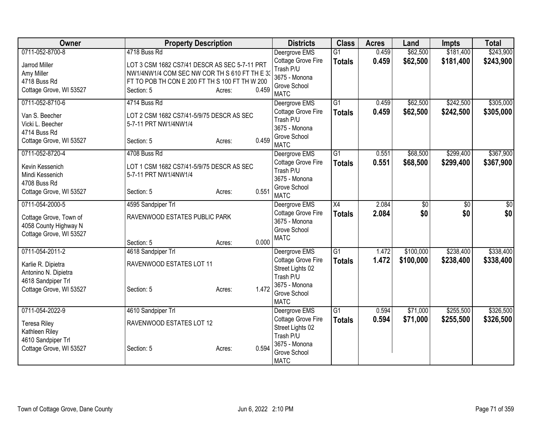| <b>Owner</b>                          | <b>Property Description</b>                    |        |       | <b>Districts</b>            | <b>Class</b>    | <b>Acres</b> | Land      | <b>Impts</b>    | <b>Total</b> |
|---------------------------------------|------------------------------------------------|--------|-------|-----------------------------|-----------------|--------------|-----------|-----------------|--------------|
| 0711-052-8700-8                       | 4718 Buss Rd                                   |        |       | Deergrove EMS               | $\overline{G1}$ | 0.459        | \$62,500  | \$181,400       | \$243,900    |
| <b>Jarrod Miller</b>                  | LOT 3 CSM 1682 CS7/41 DESCR AS SEC 5-7-11 PRT  |        |       | Cottage Grove Fire          | <b>Totals</b>   | 0.459        | \$62,500  | \$181,400       | \$243,900    |
| Amy Miller                            | NW1/4NW1/4 COM SEC NW COR TH S 610 FT TH E 33  |        |       | Trash P/U                   |                 |              |           |                 |              |
| 4718 Buss Rd                          | FT TO POB TH CON E 200 FT TH S 100 FT TH W 200 |        |       | 3675 - Monona               |                 |              |           |                 |              |
| Cottage Grove, WI 53527               | Section: 5                                     | Acres: | 0.459 | Grove School<br><b>MATC</b> |                 |              |           |                 |              |
| 0711-052-8710-6                       | 4714 Buss Rd                                   |        |       | Deergrove EMS               | $\overline{G1}$ | 0.459        | \$62,500  | \$242,500       | \$305,000    |
| Van S. Beecher                        | LOT 2 CSM 1682 CS7/41-5/9/75 DESCR AS SEC      |        |       | Cottage Grove Fire          | <b>Totals</b>   | 0.459        | \$62,500  | \$242,500       | \$305,000    |
| Vicki L. Beecher                      | 5-7-11 PRT NW1/4NW1/4                          |        |       | Trash P/U                   |                 |              |           |                 |              |
| 4714 Buss Rd                          |                                                |        |       | 3675 - Monona               |                 |              |           |                 |              |
| Cottage Grove, WI 53527               | Section: 5                                     | Acres: | 0.459 | Grove School<br><b>MATC</b> |                 |              |           |                 |              |
| 0711-052-8720-4                       | 4708 Buss Rd                                   |        |       | Deergrove EMS               | G1              | 0.551        | \$68,500  | \$299,400       | \$367,900    |
| Kevin Kessenich                       | LOT 1 CSM 1682 CS7/41-5/9/75 DESCR AS SEC      |        |       | Cottage Grove Fire          | <b>Totals</b>   | 0.551        | \$68,500  | \$299,400       | \$367,900    |
| Mindi Kessenich                       | 5-7-11 PRT NW1/4NW1/4                          |        |       | Trash P/U                   |                 |              |           |                 |              |
| 4708 Buss Rd                          |                                                |        |       | 3675 - Monona               |                 |              |           |                 |              |
| Cottage Grove, WI 53527               | Section: 5                                     | Acres: | 0.551 | Grove School<br><b>MATC</b> |                 |              |           |                 |              |
| 0711-054-2000-5                       | 4595 Sandpiper Trl                             |        |       | Deergrove EMS               | X4              | 2.084        | \$0       | $\overline{50}$ | \$0          |
| Cottage Grove, Town of                | RAVENWOOD ESTATES PUBLIC PARK                  |        |       | Cottage Grove Fire          | <b>Totals</b>   | 2.084        | \$0       | \$0             | \$0          |
| 4058 County Highway N                 |                                                |        |       | 3675 - Monona               |                 |              |           |                 |              |
| Cottage Grove, WI 53527               |                                                |        |       | Grove School                |                 |              |           |                 |              |
|                                       | Section: 5                                     | Acres: | 0.000 | <b>MATC</b>                 |                 |              |           |                 |              |
| 0711-054-2011-2                       | 4618 Sandpiper Trl                             |        |       | Deergrove EMS               | $\overline{G1}$ | 1.472        | \$100,000 | \$238,400       | \$338,400    |
| Karlie R. Dipietra                    | RAVENWOOD ESTATES LOT 11                       |        |       | Cottage Grove Fire          | <b>Totals</b>   | 1.472        | \$100,000 | \$238,400       | \$338,400    |
| Antonino N. Dipietra                  |                                                |        |       | Street Lights 02            |                 |              |           |                 |              |
| 4618 Sandpiper Trl                    |                                                |        |       | Trash P/U<br>3675 - Monona  |                 |              |           |                 |              |
| Cottage Grove, WI 53527               | Section: 5                                     | Acres: | 1.472 | Grove School                |                 |              |           |                 |              |
|                                       |                                                |        |       | <b>MATC</b>                 |                 |              |           |                 |              |
| 0711-054-2022-9                       | 4610 Sandpiper Trl                             |        |       | Deergrove EMS               | $\overline{G1}$ | 0.594        | \$71,000  | \$255,500       | \$326,500    |
|                                       | RAVENWOOD ESTATES LOT 12                       |        |       | Cottage Grove Fire          | <b>Totals</b>   | 0.594        | \$71,000  | \$255,500       | \$326,500    |
| <b>Teresa Riley</b><br>Kathleen Riley |                                                |        |       | Street Lights 02            |                 |              |           |                 |              |
| 4610 Sandpiper Trl                    |                                                |        |       | Trash P/U                   |                 |              |           |                 |              |
| Cottage Grove, WI 53527               | Section: 5                                     | Acres: | 0.594 | 3675 - Monona               |                 |              |           |                 |              |
|                                       |                                                |        |       | Grove School                |                 |              |           |                 |              |
|                                       |                                                |        |       | <b>MATC</b>                 |                 |              |           |                 |              |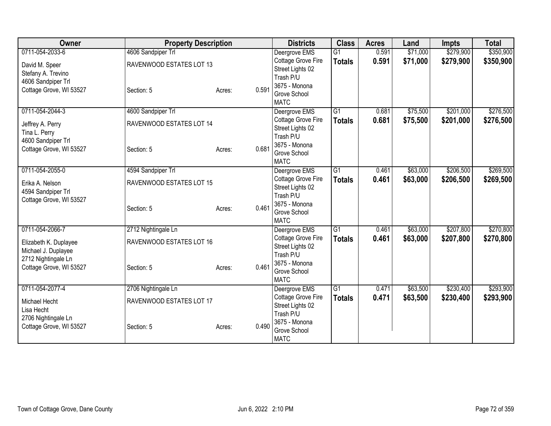| Owner                   | <b>Property Description</b> |        |       | <b>Districts</b>              | <b>Class</b>    | <b>Acres</b> | Land     | <b>Impts</b> | <b>Total</b> |
|-------------------------|-----------------------------|--------|-------|-------------------------------|-----------------|--------------|----------|--------------|--------------|
| 0711-054-2033-6         | 4606 Sandpiper Trl          |        |       | Deergrove EMS                 | $\overline{G1}$ | 0.591        | \$71,000 | \$279,900    | \$350,900    |
| David M. Speer          | RAVENWOOD ESTATES LOT 13    |        |       | Cottage Grove Fire            | <b>Totals</b>   | 0.591        | \$71,000 | \$279,900    | \$350,900    |
| Stefany A. Trevino      |                             |        |       | Street Lights 02              |                 |              |          |              |              |
| 4606 Sandpiper Trl      |                             |        |       | Trash P/U                     |                 |              |          |              |              |
| Cottage Grove, WI 53527 | Section: 5                  | Acres: | 0.591 | 3675 - Monona<br>Grove School |                 |              |          |              |              |
|                         |                             |        |       | <b>MATC</b>                   |                 |              |          |              |              |
| 0711-054-2044-3         | 4600 Sandpiper Trl          |        |       | Deergrove EMS                 | $\overline{G1}$ | 0.681        | \$75,500 | \$201,000    | \$276,500    |
| Jeffrey A. Perry        | RAVENWOOD ESTATES LOT 14    |        |       | Cottage Grove Fire            | <b>Totals</b>   | 0.681        | \$75,500 | \$201,000    | \$276,500    |
| Tina L. Perry           |                             |        |       | Street Lights 02              |                 |              |          |              |              |
| 4600 Sandpiper Trl      |                             |        |       | Trash P/U<br>3675 - Monona    |                 |              |          |              |              |
| Cottage Grove, WI 53527 | Section: 5                  | Acres: | 0.681 | Grove School                  |                 |              |          |              |              |
|                         |                             |        |       | <b>MATC</b>                   |                 |              |          |              |              |
| 0711-054-2055-0         | 4594 Sandpiper Trl          |        |       | Deergrove EMS                 | $\overline{G1}$ | 0.461        | \$63,000 | \$206,500    | \$269,500    |
| Erika A. Nelson         | RAVENWOOD ESTATES LOT 15    |        |       | Cottage Grove Fire            | <b>Totals</b>   | 0.461        | \$63,000 | \$206,500    | \$269,500    |
| 4594 Sandpiper Trl      |                             |        |       | Street Lights 02<br>Trash P/U |                 |              |          |              |              |
| Cottage Grove, WI 53527 |                             |        |       | 3675 - Monona                 |                 |              |          |              |              |
|                         | Section: 5                  | Acres: | 0.461 | Grove School                  |                 |              |          |              |              |
|                         |                             |        |       | <b>MATC</b>                   |                 |              |          |              |              |
| 0711-054-2066-7         | 2712 Nightingale Ln         |        |       | Deergrove EMS                 | $\overline{G1}$ | 0.461        | \$63,000 | \$207,800    | \$270,800    |
| Elizabeth K. Duplayee   | RAVENWOOD ESTATES LOT 16    |        |       | Cottage Grove Fire            | <b>Totals</b>   | 0.461        | \$63,000 | \$207,800    | \$270,800    |
| Michael J. Duplayee     |                             |        |       | Street Lights 02<br>Trash P/U |                 |              |          |              |              |
| 2712 Nightingale Ln     |                             |        |       | 3675 - Monona                 |                 |              |          |              |              |
| Cottage Grove, WI 53527 | Section: 5                  | Acres: | 0.461 | Grove School                  |                 |              |          |              |              |
|                         |                             |        |       | <b>MATC</b>                   |                 |              |          |              |              |
| 0711-054-2077-4         | 2706 Nightingale Ln         |        |       | Deergrove EMS                 | $\overline{G1}$ | 0.471        | \$63,500 | \$230,400    | \$293,900    |
| Michael Hecht           | RAVENWOOD ESTATES LOT 17    |        |       | Cottage Grove Fire            | <b>Totals</b>   | 0.471        | \$63,500 | \$230,400    | \$293,900    |
| Lisa Hecht              |                             |        |       | Street Lights 02<br>Trash P/U |                 |              |          |              |              |
| 2706 Nightingale Ln     |                             |        |       | 3675 - Monona                 |                 |              |          |              |              |
| Cottage Grove, WI 53527 | Section: 5                  | Acres: | 0.490 | Grove School                  |                 |              |          |              |              |
|                         |                             |        |       | <b>MATC</b>                   |                 |              |          |              |              |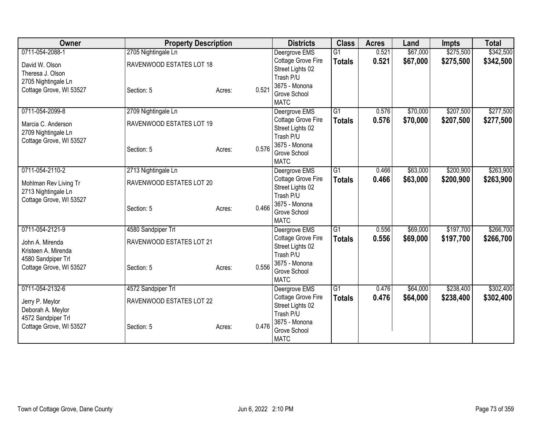| Owner                                                                                                      | <b>Property Description</b>                                   |        |       | <b>Districts</b>                                                                                                     | <b>Class</b>                     | <b>Acres</b>   | Land                 | <b>Impts</b>           | <b>Total</b>           |
|------------------------------------------------------------------------------------------------------------|---------------------------------------------------------------|--------|-------|----------------------------------------------------------------------------------------------------------------------|----------------------------------|----------------|----------------------|------------------------|------------------------|
| 0711-054-2088-1<br>David W. Olson<br>Theresa J. Olson                                                      | 2705 Nightingale Ln<br>RAVENWOOD ESTATES LOT 18               |        |       | Deergrove EMS<br>Cottage Grove Fire<br>Street Lights 02<br>Trash P/U                                                 | $\overline{G1}$<br><b>Totals</b> | 0.521<br>0.521 | \$67,000<br>\$67,000 | \$275,500<br>\$275,500 | \$342,500<br>\$342,500 |
| 2705 Nightingale Ln<br>Cottage Grove, WI 53527                                                             | Section: 5                                                    | Acres: | 0.521 | 3675 - Monona<br>Grove School<br><b>MATC</b>                                                                         |                                  |                |                      |                        |                        |
| 0711-054-2099-8<br>Marcia C. Anderson<br>2709 Nightingale Ln<br>Cottage Grove, WI 53527                    | 2709 Nightingale Ln<br>RAVENWOOD ESTATES LOT 19<br>Section: 5 | Acres: | 0.576 | Deergrove EMS<br>Cottage Grove Fire<br>Street Lights 02<br>Trash P/U<br>3675 - Monona<br>Grove School<br><b>MATC</b> | $\overline{G1}$<br><b>Totals</b> | 0.576<br>0.576 | \$70,000<br>\$70,000 | \$207,500<br>\$207,500 | \$277,500<br>\$277,500 |
| 0711-054-2110-2<br>Mohlman Rev Living Tr<br>2713 Nightingale Ln<br>Cottage Grove, WI 53527                 | 2713 Nightingale Ln<br>RAVENWOOD ESTATES LOT 20<br>Section: 5 | Acres: | 0.466 | Deergrove EMS<br>Cottage Grove Fire<br>Street Lights 02<br>Trash P/U<br>3675 - Monona<br>Grove School<br><b>MATC</b> | G1<br><b>Totals</b>              | 0.466<br>0.466 | \$63,000<br>\$63,000 | \$200,900<br>\$200,900 | \$263,900<br>\$263,900 |
| 0711-054-2121-9<br>John A. Mirenda<br>Kristeen A. Mirenda<br>4580 Sandpiper Trl<br>Cottage Grove, WI 53527 | 4580 Sandpiper Trl<br>RAVENWOOD ESTATES LOT 21<br>Section: 5  | Acres: | 0.556 | Deergrove EMS<br>Cottage Grove Fire<br>Street Lights 02<br>Trash P/U<br>3675 - Monona<br>Grove School<br><b>MATC</b> | G1<br><b>Totals</b>              | 0.556<br>0.556 | \$69,000<br>\$69,000 | \$197,700<br>\$197,700 | \$266,700<br>\$266,700 |
| 0711-054-2132-6<br>Jerry P. Meylor<br>Deborah A. Meylor<br>4572 Sandpiper Trl<br>Cottage Grove, WI 53527   | 4572 Sandpiper Trl<br>RAVENWOOD ESTATES LOT 22<br>Section: 5  | Acres: | 0.476 | Deergrove EMS<br>Cottage Grove Fire<br>Street Lights 02<br>Trash P/U<br>3675 - Monona<br>Grove School<br><b>MATC</b> | G1<br><b>Totals</b>              | 0.476<br>0.476 | \$64,000<br>\$64,000 | \$238,400<br>\$238,400 | \$302,400<br>\$302,400 |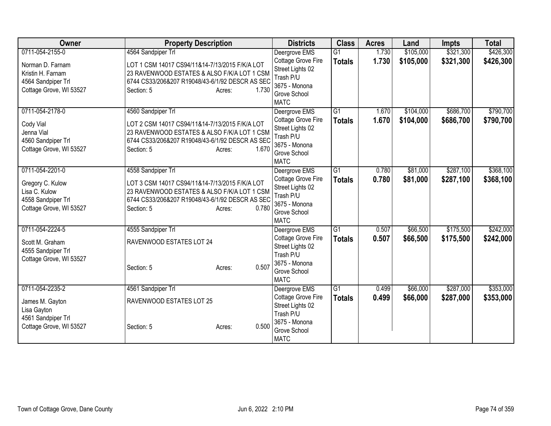| Owner                                                                                                     | <b>Property Description</b>                                                                                                                                                                             | <b>Districts</b>                                                                                                                    | <b>Class</b>                     | <b>Acres</b>   | Land                   | <b>Impts</b>           | <b>Total</b>           |
|-----------------------------------------------------------------------------------------------------------|---------------------------------------------------------------------------------------------------------------------------------------------------------------------------------------------------------|-------------------------------------------------------------------------------------------------------------------------------------|----------------------------------|----------------|------------------------|------------------------|------------------------|
| 0711-054-2155-0<br>Norman D. Farnam<br>Kristin H. Farnam<br>4564 Sandpiper Trl<br>Cottage Grove, WI 53527 | 4564 Sandpiper Trl<br>LOT 1 CSM 14017 CS94/11&14-7/13/2015 F/K/A LOT<br>23 RAVENWOOD ESTATES & ALSO F/K/A LOT 1 CSM<br>6744 CS33/206&207 R19048/43-6/1/92 DESCR AS SEC<br>1.730<br>Section: 5<br>Acres: | Deergrove EMS<br>Cottage Grove Fire<br>Street Lights 02<br>Trash P/U<br>3675 - Monona<br>Grove School                               | $\overline{G1}$<br><b>Totals</b> | 1.730<br>1.730 | \$105,000<br>\$105,000 | \$321,300<br>\$321,300 | \$426,300<br>\$426,300 |
| 0711-054-2178-0<br>Cody Vial<br>Jenna Vial<br>4560 Sandpiper Trl<br>Cottage Grove, WI 53527               | 4560 Sandpiper Trl<br>LOT 2 CSM 14017 CS94/11&14-7/13/2015 F/K/A LOT<br>23 RAVENWOOD ESTATES & ALSO F/K/A LOT 1 CSM<br>6744 CS33/206&207 R19048/43-6/1/92 DESCR AS SEC<br>Section: 5<br>1.670<br>Acres: | <b>MATC</b><br>Deergrove EMS<br>Cottage Grove Fire<br>Street Lights 02<br>Trash P/U<br>3675 - Monona<br>Grove School<br><b>MATC</b> | G1<br><b>Totals</b>              | 1.670<br>1.670 | \$104,000<br>\$104,000 | \$686,700<br>\$686,700 | \$790,700<br>\$790,700 |
| 0711-054-2201-0<br>Gregory C. Kulow<br>Lisa C. Kulow<br>4558 Sandpiper Trl<br>Cottage Grove, WI 53527     | 4558 Sandpiper Trl<br>LOT 3 CSM 14017 CS94/11&14-7/13/2015 F/K/A LOT<br>23 RAVENWOOD ESTATES & ALSO F/K/A LOT 1 CSM<br>6744 CS33/206&207 R19048/43-6/1/92 DESCR AS SEC<br>0.780<br>Section: 5<br>Acres: | Deergrove EMS<br>Cottage Grove Fire<br>Street Lights 02<br>Trash P/U<br>3675 - Monona<br>Grove School<br><b>MATC</b>                | $\overline{G1}$<br><b>Totals</b> | 0.780<br>0.780 | \$81,000<br>\$81,000   | \$287,100<br>\$287,100 | \$368,100<br>\$368,100 |
| 0711-054-2224-5<br>Scott M. Graham<br>4555 Sandpiper Trl<br>Cottage Grove, WI 53527                       | 4555 Sandpiper Trl<br>RAVENWOOD ESTATES LOT 24<br>0.507<br>Section: 5<br>Acres:                                                                                                                         | Deergrove EMS<br><b>Cottage Grove Fire</b><br>Street Lights 02<br>Trash P/U<br>3675 - Monona<br>Grove School<br><b>MATC</b>         | G1<br><b>Totals</b>              | 0.507<br>0.507 | \$66,500<br>\$66,500   | \$175,500<br>\$175,500 | \$242,000<br>\$242,000 |
| 0711-054-2235-2<br>James M. Gayton<br>Lisa Gayton<br>4561 Sandpiper Trl<br>Cottage Grove, WI 53527        | 4561 Sandpiper Trl<br>RAVENWOOD ESTATES LOT 25<br>0.500<br>Section: 5<br>Acres:                                                                                                                         | Deergrove EMS<br>Cottage Grove Fire<br>Street Lights 02<br>Trash P/U<br>3675 - Monona<br>Grove School<br><b>MATC</b>                | $\overline{G1}$<br><b>Totals</b> | 0.499<br>0.499 | \$66,000<br>\$66,000   | \$287,000<br>\$287,000 | \$353,000<br>\$353,000 |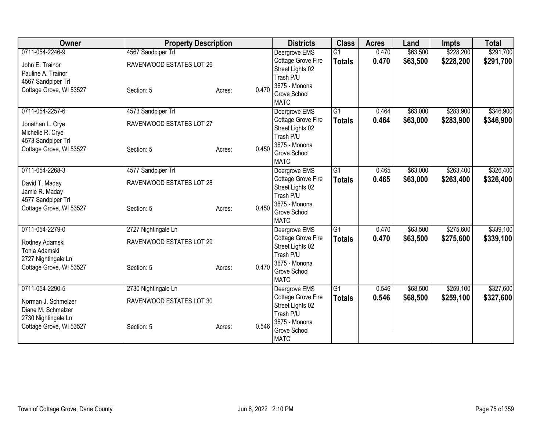| Owner                   | <b>Property Description</b> |                 | <b>Districts</b>              | <b>Class</b>    | <b>Acres</b> | Land     | <b>Impts</b> | <b>Total</b> |
|-------------------------|-----------------------------|-----------------|-------------------------------|-----------------|--------------|----------|--------------|--------------|
| 0711-054-2246-9         | 4567 Sandpiper Trl          |                 | Deergrove EMS                 | $\overline{G1}$ | 0.470        | \$63,500 | \$228,200    | \$291,700    |
| John E. Trainor         | RAVENWOOD ESTATES LOT 26    |                 | Cottage Grove Fire            | <b>Totals</b>   | 0.470        | \$63,500 | \$228,200    | \$291,700    |
| Pauline A. Trainor      |                             |                 | Street Lights 02              |                 |              |          |              |              |
| 4567 Sandpiper Trl      |                             |                 | Trash P/U                     |                 |              |          |              |              |
| Cottage Grove, WI 53527 | Section: 5                  | 0.470<br>Acres: | 3675 - Monona<br>Grove School |                 |              |          |              |              |
|                         |                             |                 | <b>MATC</b>                   |                 |              |          |              |              |
| 0711-054-2257-6         | 4573 Sandpiper Trl          |                 | Deergrove EMS                 | $\overline{G1}$ | 0.464        | \$63,000 | \$283,900    | \$346,900    |
| Jonathan L. Crye        | RAVENWOOD ESTATES LOT 27    |                 | Cottage Grove Fire            | <b>Totals</b>   | 0.464        | \$63,000 | \$283,900    | \$346,900    |
| Michelle R. Crye        |                             |                 | Street Lights 02              |                 |              |          |              |              |
| 4573 Sandpiper Trl      |                             |                 | Trash P/U<br>3675 - Monona    |                 |              |          |              |              |
| Cottage Grove, WI 53527 | Section: 5                  | 0.450<br>Acres: | Grove School                  |                 |              |          |              |              |
|                         |                             |                 | <b>MATC</b>                   |                 |              |          |              |              |
| 0711-054-2268-3         | 4577 Sandpiper Trl          |                 | Deergrove EMS                 | G <sub>1</sub>  | 0.465        | \$63,000 | \$263,400    | \$326,400    |
| David T. Maday          | RAVENWOOD ESTATES LOT 28    |                 | Cottage Grove Fire            | <b>Totals</b>   | 0.465        | \$63,000 | \$263,400    | \$326,400    |
| Jamie R. Maday          |                             |                 | Street Lights 02<br>Trash P/U |                 |              |          |              |              |
| 4577 Sandpiper Trl      |                             |                 | 3675 - Monona                 |                 |              |          |              |              |
| Cottage Grove, WI 53527 | Section: 5                  | 0.450<br>Acres: | Grove School                  |                 |              |          |              |              |
|                         |                             |                 | <b>MATC</b>                   |                 |              |          |              |              |
| 0711-054-2279-0         | 2727 Nightingale Ln         |                 | Deergrove EMS                 | G <sub>1</sub>  | 0.470        | \$63,500 | \$275,600    | \$339,100    |
| Rodney Adamski          | RAVENWOOD ESTATES LOT 29    |                 | Cottage Grove Fire            | <b>Totals</b>   | 0.470        | \$63,500 | \$275,600    | \$339,100    |
| Tonia Adamski           |                             |                 | Street Lights 02<br>Trash P/U |                 |              |          |              |              |
| 2727 Nightingale Ln     |                             |                 | 3675 - Monona                 |                 |              |          |              |              |
| Cottage Grove, WI 53527 | Section: 5                  | 0.470<br>Acres: | Grove School                  |                 |              |          |              |              |
|                         |                             |                 | <b>MATC</b>                   |                 |              |          |              |              |
| 0711-054-2290-5         | 2730 Nightingale Ln         |                 | Deergrove EMS                 | $\overline{G1}$ | 0.546        | \$68,500 | \$259,100    | \$327,600    |
| Norman J. Schmelzer     | RAVENWOOD ESTATES LOT 30    |                 | Cottage Grove Fire            | <b>Totals</b>   | 0.546        | \$68,500 | \$259,100    | \$327,600    |
| Diane M. Schmelzer      |                             |                 | Street Lights 02              |                 |              |          |              |              |
| 2730 Nightingale Ln     |                             |                 | Trash P/U<br>3675 - Monona    |                 |              |          |              |              |
| Cottage Grove, WI 53527 | Section: 5                  | 0.546<br>Acres: | Grove School                  |                 |              |          |              |              |
|                         |                             |                 | <b>MATC</b>                   |                 |              |          |              |              |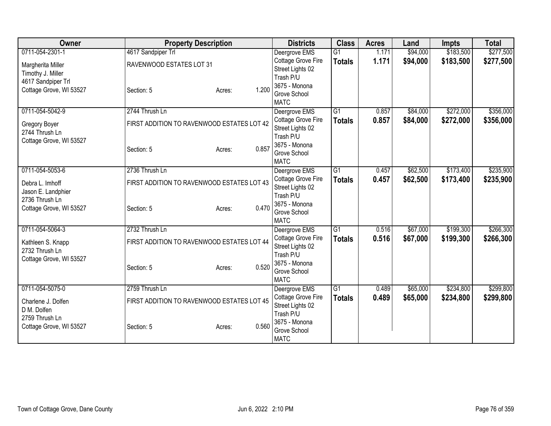| Owner                                | <b>Property Description</b>                |                 | <b>Districts</b>                       | <b>Class</b>    | <b>Acres</b> | Land     | <b>Impts</b> | <b>Total</b> |
|--------------------------------------|--------------------------------------------|-----------------|----------------------------------------|-----------------|--------------|----------|--------------|--------------|
| 0711-054-2301-1                      | 4617 Sandpiper Trl                         |                 | Deergrove EMS                          | $\overline{G1}$ | 1.171        | \$94,000 | \$183,500    | \$277,500    |
| Margherita Miller                    | RAVENWOOD ESTATES LOT 31                   |                 | Cottage Grove Fire                     | <b>Totals</b>   | 1.171        | \$94,000 | \$183,500    | \$277,500    |
| Timothy J. Miller                    |                                            |                 | Street Lights 02                       |                 |              |          |              |              |
| 4617 Sandpiper Trl                   |                                            |                 | Trash P/U                              |                 |              |          |              |              |
| Cottage Grove, WI 53527              | Section: 5                                 | 1.200<br>Acres: | 3675 - Monona<br>Grove School          |                 |              |          |              |              |
|                                      |                                            |                 | <b>MATC</b>                            |                 |              |          |              |              |
| 0711-054-5042-9                      | 2744 Thrush Ln                             |                 | Deergrove EMS                          | G1              | 0.857        | \$84,000 | \$272,000    | \$356,000    |
| Gregory Boyer                        | FIRST ADDITION TO RAVENWOOD ESTATES LOT 42 |                 | Cottage Grove Fire                     | <b>Totals</b>   | 0.857        | \$84,000 | \$272,000    | \$356,000    |
| 2744 Thrush Ln                       |                                            |                 | Street Lights 02                       |                 |              |          |              |              |
| Cottage Grove, WI 53527              |                                            |                 | Trash P/U                              |                 |              |          |              |              |
|                                      | Section: 5                                 | 0.857<br>Acres: | 3675 - Monona<br>Grove School          |                 |              |          |              |              |
|                                      |                                            |                 | <b>MATC</b>                            |                 |              |          |              |              |
| 0711-054-5053-6                      | 2736 Thrush Ln                             |                 | Deergrove EMS                          | $\overline{G1}$ | 0.457        | \$62,500 | \$173,400    | \$235,900    |
|                                      |                                            |                 | Cottage Grove Fire                     | <b>Totals</b>   | 0.457        | \$62,500 | \$173,400    | \$235,900    |
| Debra L. Imhoff                      | FIRST ADDITION TO RAVENWOOD ESTATES LOT 43 |                 | Street Lights 02                       |                 |              |          |              |              |
| Jason E. Landphier<br>2736 Thrush Ln |                                            |                 | Trash P/U                              |                 |              |          |              |              |
| Cottage Grove, WI 53527              | Section: 5                                 | 0.470<br>Acres: | 3675 - Monona                          |                 |              |          |              |              |
|                                      |                                            |                 | Grove School                           |                 |              |          |              |              |
|                                      |                                            |                 | <b>MATC</b>                            |                 |              |          |              |              |
| 0711-054-5064-3                      | 2732 Thrush Ln                             |                 | Deergrove EMS                          | G1              | 0.516        | \$67,000 | \$199,300    | \$266,300    |
| Kathleen S. Knapp                    | FIRST ADDITION TO RAVENWOOD ESTATES LOT 44 |                 | Cottage Grove Fire<br>Street Lights 02 | <b>Totals</b>   | 0.516        | \$67,000 | \$199,300    | \$266,300    |
| 2732 Thrush Ln                       |                                            |                 | Trash P/U                              |                 |              |          |              |              |
| Cottage Grove, WI 53527              |                                            |                 | 3675 - Monona                          |                 |              |          |              |              |
|                                      | Section: 5                                 | 0.520<br>Acres: | Grove School                           |                 |              |          |              |              |
|                                      |                                            |                 | <b>MATC</b>                            |                 |              |          |              |              |
| 0711-054-5075-0                      | 2759 Thrush Ln                             |                 | Deergrove EMS                          | $\overline{G1}$ | 0.489        | \$65,000 | \$234,800    | \$299,800    |
| Charlene J. Dolfen                   | FIRST ADDITION TO RAVENWOOD ESTATES LOT 45 |                 | Cottage Grove Fire                     | <b>Totals</b>   | 0.489        | \$65,000 | \$234,800    | \$299,800    |
| D M. Dolfen                          |                                            |                 | Street Lights 02                       |                 |              |          |              |              |
| 2759 Thrush Ln                       |                                            |                 | Trash P/U<br>3675 - Monona             |                 |              |          |              |              |
| Cottage Grove, WI 53527              | Section: 5                                 | 0.560<br>Acres: | Grove School                           |                 |              |          |              |              |
|                                      |                                            |                 | <b>MATC</b>                            |                 |              |          |              |              |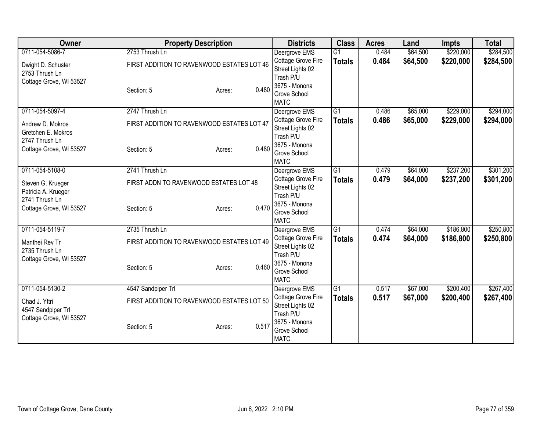| Owner                                    | <b>Property Description</b>                | <b>Districts</b>              | <b>Class</b>    | <b>Acres</b> | Land     | <b>Impts</b> | <b>Total</b> |
|------------------------------------------|--------------------------------------------|-------------------------------|-----------------|--------------|----------|--------------|--------------|
| 0711-054-5086-7                          | 2753 Thrush Ln                             | Deergrove EMS                 | $\overline{G1}$ | 0.484        | \$64,500 | \$220,000    | \$284,500    |
| Dwight D. Schuster                       | FIRST ADDITION TO RAVENWOOD ESTATES LOT 46 | Cottage Grove Fire            | <b>Totals</b>   | 0.484        | \$64,500 | \$220,000    | \$284,500    |
| 2753 Thrush Ln                           |                                            | Street Lights 02              |                 |              |          |              |              |
| Cottage Grove, WI 53527                  |                                            | Trash P/U<br>3675 - Monona    |                 |              |          |              |              |
|                                          | 0.480<br>Section: 5<br>Acres:              | Grove School                  |                 |              |          |              |              |
|                                          |                                            | <b>MATC</b>                   |                 |              |          |              |              |
| 0711-054-5097-4                          | 2747 Thrush Ln                             | Deergrove EMS                 | G1              | 0.486        | \$65,000 | \$229,000    | \$294,000    |
| Andrew D. Mokros                         | FIRST ADDITION TO RAVENWOOD ESTATES LOT 47 | Cottage Grove Fire            | <b>Totals</b>   | 0.486        | \$65,000 | \$229,000    | \$294,000    |
| Gretchen E. Mokros                       |                                            | Street Lights 02              |                 |              |          |              |              |
| 2747 Thrush Ln                           |                                            | Trash P/U<br>3675 - Monona    |                 |              |          |              |              |
| Cottage Grove, WI 53527                  | 0.480<br>Section: 5<br>Acres:              | Grove School                  |                 |              |          |              |              |
|                                          |                                            | <b>MATC</b>                   |                 |              |          |              |              |
| 0711-054-5108-0                          | 2741 Thrush Ln                             | Deergrove EMS                 | G1              | 0.479        | \$64,000 | \$237,200    | \$301,200    |
|                                          | FIRST ADDN TO RAVENWOOD ESTATES LOT 48     | Cottage Grove Fire            | <b>Totals</b>   | 0.479        | \$64,000 | \$237,200    | \$301,200    |
| Steven G. Krueger<br>Patricia A. Krueger |                                            | Street Lights 02              |                 |              |          |              |              |
| 2741 Thrush Ln                           |                                            | Trash P/U                     |                 |              |          |              |              |
| Cottage Grove, WI 53527                  | 0.470<br>Section: 5<br>Acres:              | 3675 - Monona                 |                 |              |          |              |              |
|                                          |                                            | Grove School<br><b>MATC</b>   |                 |              |          |              |              |
| 0711-054-5119-7                          | 2735 Thrush Ln                             | Deergrove EMS                 | G1              | 0.474        | \$64,000 | \$186,800    | \$250,800    |
|                                          |                                            | Cottage Grove Fire            | <b>Totals</b>   | 0.474        | \$64,000 | \$186,800    | \$250,800    |
| Manthei Rev Tr                           | FIRST ADDITION TO RAVENWOOD ESTATES LOT 49 | Street Lights 02              |                 |              |          |              |              |
| 2735 Thrush Ln                           |                                            | Trash P/U                     |                 |              |          |              |              |
| Cottage Grove, WI 53527                  | 0.460                                      | 3675 - Monona                 |                 |              |          |              |              |
|                                          | Section: 5<br>Acres:                       | Grove School                  |                 |              |          |              |              |
|                                          |                                            | <b>MATC</b>                   |                 |              |          |              |              |
| 0711-054-5130-2                          | 4547 Sandpiper Trl                         | Deergrove EMS                 | G1              | 0.517        | \$67,000 | \$200,400    | \$267,400    |
| Chad J. Yttri                            | FIRST ADDITION TO RAVENWOOD ESTATES LOT 50 | Cottage Grove Fire            | <b>Totals</b>   | 0.517        | \$67,000 | \$200,400    | \$267,400    |
| 4547 Sandpiper Trl                       |                                            | Street Lights 02<br>Trash P/U |                 |              |          |              |              |
| Cottage Grove, WI 53527                  |                                            | 3675 - Monona                 |                 |              |          |              |              |
|                                          | 0.517<br>Section: 5<br>Acres:              | Grove School                  |                 |              |          |              |              |
|                                          |                                            | <b>MATC</b>                   |                 |              |          |              |              |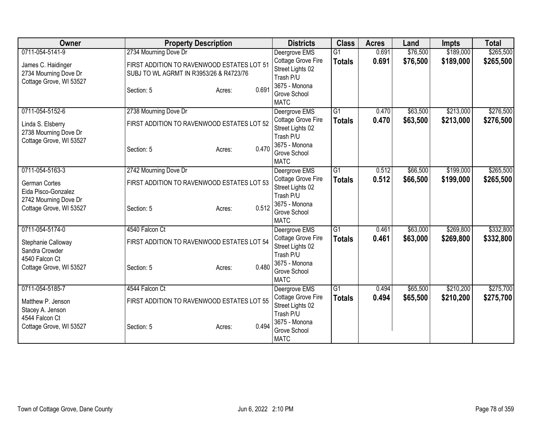| Owner                                                                  | <b>Property Description</b>                                                           | <b>Districts</b>                                                     | <b>Class</b>    | <b>Acres</b> | Land     | <b>Impts</b> | <b>Total</b> |
|------------------------------------------------------------------------|---------------------------------------------------------------------------------------|----------------------------------------------------------------------|-----------------|--------------|----------|--------------|--------------|
| 0711-054-5141-9                                                        | 2734 Mourning Dove Dr                                                                 | Deergrove EMS                                                        | $\overline{G1}$ | 0.691        | \$76,500 | \$189,000    | \$265,500    |
| James C. Haidinger<br>2734 Mourning Dove Dr<br>Cottage Grove, WI 53527 | FIRST ADDITION TO RAVENWOOD ESTATES LOT 51<br>SUBJ TO WL AGRMT IN R3953/26 & R4723/76 | Cottage Grove Fire<br>Street Lights 02<br>Trash P/U                  | <b>Totals</b>   | 0.691        | \$76,500 | \$189,000    | \$265,500    |
|                                                                        | 0.691<br>Section: 5<br>Acres:                                                         | 3675 - Monona<br>Grove School<br><b>MATC</b>                         |                 |              |          |              |              |
| 0711-054-5152-6                                                        | 2738 Mourning Dove Dr                                                                 | Deergrove EMS                                                        | $\overline{G1}$ | 0.470        | \$63,500 | \$213,000    | \$276,500    |
| Linda S. Elsberry<br>2738 Mourning Dove Dr<br>Cottage Grove, WI 53527  | FIRST ADDITION TO RAVENWOOD ESTATES LOT 52                                            | Cottage Grove Fire<br>Street Lights 02<br>Trash P/U<br>3675 - Monona | <b>Totals</b>   | 0.470        | \$63,500 | \$213,000    | \$276,500    |
|                                                                        | 0.470<br>Section: 5<br>Acres:                                                         | Grove School<br><b>MATC</b>                                          |                 |              |          |              |              |
| 0711-054-5163-3                                                        | 2742 Mourning Dove Dr                                                                 | Deergrove EMS                                                        | $\overline{G1}$ | 0.512        | \$66,500 | \$199,000    | \$265,500    |
| <b>German Cortes</b><br>Eida Pisco-Gonzalez                            | FIRST ADDITION TO RAVENWOOD ESTATES LOT 53                                            | Cottage Grove Fire<br>Street Lights 02<br>Trash P/U                  | <b>Totals</b>   | 0.512        | \$66,500 | \$199,000    | \$265,500    |
| 2742 Mourning Dove Dr<br>Cottage Grove, WI 53527                       | 0.512<br>Section: 5<br>Acres:                                                         | 3675 - Monona<br>Grove School<br><b>MATC</b>                         |                 |              |          |              |              |
| 0711-054-5174-0                                                        | 4540 Falcon Ct                                                                        | Deergrove EMS                                                        | G1              | 0.461        | \$63,000 | \$269,800    | \$332,800    |
| Stephanie Calloway<br>Sandra Crowder                                   | FIRST ADDITION TO RAVENWOOD ESTATES LOT 54                                            | Cottage Grove Fire<br>Street Lights 02<br>Trash P/U                  | <b>Totals</b>   | 0.461        | \$63,000 | \$269,800    | \$332,800    |
| 4540 Falcon Ct<br>Cottage Grove, WI 53527                              | 0.480<br>Section: 5<br>Acres:                                                         | 3675 - Monona<br>Grove School<br><b>MATC</b>                         |                 |              |          |              |              |
| 0711-054-5185-7                                                        | 4544 Falcon Ct                                                                        | Deergrove EMS                                                        | $\overline{G1}$ | 0.494        | \$65,500 | \$210,200    | \$275,700    |
| Matthew P. Jenson<br>Stacey A. Jenson                                  | FIRST ADDITION TO RAVENWOOD ESTATES LOT 55                                            | Cottage Grove Fire<br>Street Lights 02<br>Trash P/U                  | <b>Totals</b>   | 0.494        | \$65,500 | \$210,200    | \$275,700    |
| 4544 Falcon Ct<br>Cottage Grove, WI 53527                              | 0.494<br>Section: 5<br>Acres:                                                         | 3675 - Monona<br>Grove School<br><b>MATC</b>                         |                 |              |          |              |              |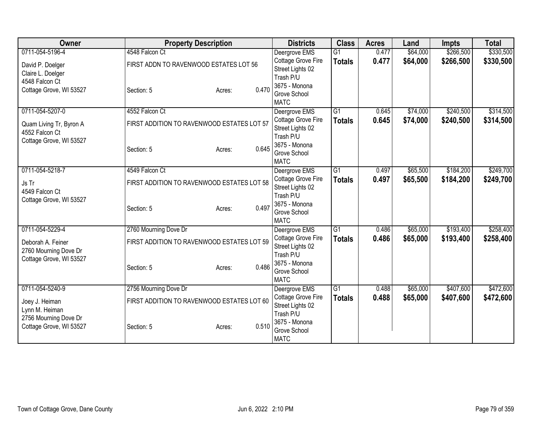| <b>Owner</b>            | <b>Property Description</b>                | <b>Districts</b>                    | <b>Class</b>    | <b>Acres</b> | Land     | <b>Impts</b> | <b>Total</b> |
|-------------------------|--------------------------------------------|-------------------------------------|-----------------|--------------|----------|--------------|--------------|
| 0711-054-5196-4         | 4548 Falcon Ct                             | Deergrove EMS                       | $\overline{G1}$ | 0.477        | \$64,000 | \$266,500    | \$330,500    |
| David P. Doelger        | FIRST ADDN TO RAVENWOOD ESTATES LOT 56     | Cottage Grove Fire                  | <b>Totals</b>   | 0.477        | \$64,000 | \$266,500    | \$330,500    |
| Claire L. Doelger       |                                            | Street Lights 02                    |                 |              |          |              |              |
| 4548 Falcon Ct          |                                            | Trash P/U                           |                 |              |          |              |              |
| Cottage Grove, WI 53527 | 0.470<br>Section: 5<br>Acres:              | 3675 - Monona                       |                 |              |          |              |              |
|                         |                                            | Grove School<br><b>MATC</b>         |                 |              |          |              |              |
| 0711-054-5207-0         | 4552 Falcon Ct                             | Deergrove EMS                       | G1              | 0.645        | \$74,000 | \$240,500    | \$314,500    |
|                         |                                            | Cottage Grove Fire                  | <b>Totals</b>   | 0.645        | \$74,000 | \$240,500    | \$314,500    |
| Quam Living Tr, Byron A | FIRST ADDITION TO RAVENWOOD ESTATES LOT 57 | Street Lights 02                    |                 |              |          |              |              |
| 4552 Falcon Ct          |                                            | Trash P/U                           |                 |              |          |              |              |
| Cottage Grove, WI 53527 |                                            | 3675 - Monona                       |                 |              |          |              |              |
|                         | 0.645<br>Section: 5<br>Acres:              | Grove School                        |                 |              |          |              |              |
|                         |                                            | <b>MATC</b>                         |                 |              |          |              |              |
| 0711-054-5218-7         | 4549 Falcon Ct                             | Deergrove EMS<br>Cottage Grove Fire | $\overline{G1}$ | 0.497        | \$65,500 | \$184,200    | \$249,700    |
| Js Tr                   | FIRST ADDITION TO RAVENWOOD ESTATES LOT 58 |                                     | <b>Totals</b>   | 0.497        | \$65,500 | \$184,200    | \$249,700    |
| 4549 Falcon Ct          |                                            | Street Lights 02                    |                 |              |          |              |              |
| Cottage Grove, WI 53527 |                                            | Trash P/U                           |                 |              |          |              |              |
|                         | 0.497<br>Section: 5<br>Acres:              | 3675 - Monona                       |                 |              |          |              |              |
|                         |                                            | Grove School<br><b>MATC</b>         |                 |              |          |              |              |
| 0711-054-5229-4         | 2760 Mourning Dove Dr                      | Deergrove EMS                       | G1              | 0.486        | \$65,000 | \$193,400    | \$258,400    |
|                         |                                            | Cottage Grove Fire                  | <b>Totals</b>   | 0.486        | \$65,000 | \$193,400    | \$258,400    |
| Deborah A. Feiner       | FIRST ADDITION TO RAVENWOOD ESTATES LOT 59 | Street Lights 02                    |                 |              |          |              |              |
| 2760 Mourning Dove Dr   |                                            | Trash P/U                           |                 |              |          |              |              |
| Cottage Grove, WI 53527 |                                            | 3675 - Monona                       |                 |              |          |              |              |
|                         | 0.486<br>Section: 5<br>Acres:              | Grove School                        |                 |              |          |              |              |
|                         |                                            | <b>MATC</b>                         |                 |              |          |              |              |
| 0711-054-5240-9         | 2756 Mourning Dove Dr                      | Deergrove EMS                       | G1              | 0.488        | \$65,000 | \$407,600    | \$472,600    |
| Joey J. Heiman          | FIRST ADDITION TO RAVENWOOD ESTATES LOT 60 | Cottage Grove Fire                  | <b>Totals</b>   | 0.488        | \$65,000 | \$407,600    | \$472,600    |
| Lynn M. Heiman          |                                            | Street Lights 02                    |                 |              |          |              |              |
| 2756 Mourning Dove Dr   |                                            | Trash P/U                           |                 |              |          |              |              |
| Cottage Grove, WI 53527 | 0.510<br>Section: 5<br>Acres:              | 3675 - Monona                       |                 |              |          |              |              |
|                         |                                            | Grove School                        |                 |              |          |              |              |
|                         |                                            | <b>MATC</b>                         |                 |              |          |              |              |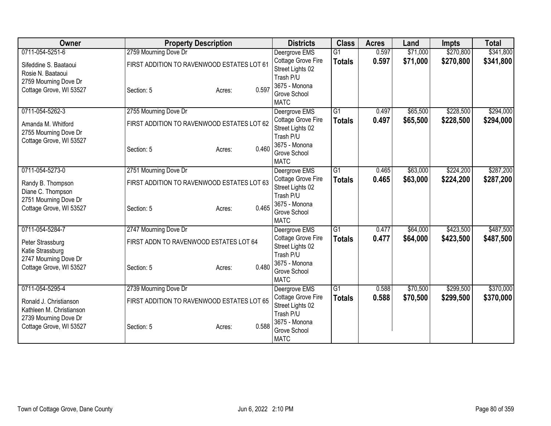| Owner                    | <b>Property Description</b>                |                 | <b>Districts</b>              | <b>Class</b>    | <b>Acres</b> | Land     | <b>Impts</b> | <b>Total</b> |
|--------------------------|--------------------------------------------|-----------------|-------------------------------|-----------------|--------------|----------|--------------|--------------|
| 0711-054-5251-6          | 2759 Mourning Dove Dr                      |                 | Deergrove EMS                 | $\overline{G1}$ | 0.597        | \$71,000 | \$270,800    | \$341,800    |
| Sifeddine S. Baataoui    | FIRST ADDITION TO RAVENWOOD ESTATES LOT 61 |                 | Cottage Grove Fire            | <b>Totals</b>   | 0.597        | \$71,000 | \$270,800    | \$341,800    |
| Rosie N. Baataoui        |                                            |                 | Street Lights 02              |                 |              |          |              |              |
| 2759 Mourning Dove Dr    |                                            |                 | Trash P/U<br>3675 - Monona    |                 |              |          |              |              |
| Cottage Grove, WI 53527  | Section: 5                                 | 0.597<br>Acres: | Grove School                  |                 |              |          |              |              |
|                          |                                            |                 | <b>MATC</b>                   |                 |              |          |              |              |
| 0711-054-5262-3          | 2755 Mourning Dove Dr                      |                 | Deergrove EMS                 | $\overline{G1}$ | 0.497        | \$65,500 | \$228,500    | \$294,000    |
| Amanda M. Whitford       | FIRST ADDITION TO RAVENWOOD ESTATES LOT 62 |                 | Cottage Grove Fire            | <b>Totals</b>   | 0.497        | \$65,500 | \$228,500    | \$294,000    |
| 2755 Mourning Dove Dr    |                                            |                 | Street Lights 02<br>Trash P/U |                 |              |          |              |              |
| Cottage Grove, WI 53527  |                                            |                 | 3675 - Monona                 |                 |              |          |              |              |
|                          | Section: 5                                 | 0.460<br>Acres: | Grove School                  |                 |              |          |              |              |
|                          |                                            |                 | <b>MATC</b>                   |                 |              |          |              |              |
| 0711-054-5273-0          | 2751 Mourning Dove Dr                      |                 | Deergrove EMS                 | G1              | 0.465        | \$63,000 | \$224,200    | \$287,200    |
| Randy B. Thompson        | FIRST ADDITION TO RAVENWOOD ESTATES LOT 63 |                 | Cottage Grove Fire            | <b>Totals</b>   | 0.465        | \$63,000 | \$224,200    | \$287,200    |
| Diane C. Thompson        |                                            |                 | Street Lights 02<br>Trash P/U |                 |              |          |              |              |
| 2751 Mourning Dove Dr    |                                            |                 | 3675 - Monona                 |                 |              |          |              |              |
| Cottage Grove, WI 53527  | Section: 5                                 | 0.465<br>Acres: | Grove School                  |                 |              |          |              |              |
|                          |                                            |                 | <b>MATC</b>                   |                 |              |          |              |              |
| 0711-054-5284-7          | 2747 Mourning Dove Dr                      |                 | Deergrove EMS                 | $\overline{G1}$ | 0.477        | \$64,000 | \$423,500    | \$487,500    |
| Peter Strassburg         | FIRST ADDN TO RAVENWOOD ESTATES LOT 64     |                 | Cottage Grove Fire            | <b>Totals</b>   | 0.477        | \$64,000 | \$423,500    | \$487,500    |
| Katie Strassburg         |                                            |                 | Street Lights 02<br>Trash P/U |                 |              |          |              |              |
| 2747 Mourning Dove Dr    |                                            |                 | 3675 - Monona                 |                 |              |          |              |              |
| Cottage Grove, WI 53527  | Section: 5                                 | 0.480<br>Acres: | Grove School                  |                 |              |          |              |              |
|                          |                                            |                 | <b>MATC</b>                   |                 |              |          |              |              |
| 0711-054-5295-4          | 2739 Mourning Dove Dr                      |                 | Deergrove EMS                 | $\overline{G1}$ | 0.588        | \$70,500 | \$299,500    | \$370,000    |
| Ronald J. Christianson   | FIRST ADDITION TO RAVENWOOD ESTATES LOT 65 |                 | Cottage Grove Fire            | <b>Totals</b>   | 0.588        | \$70,500 | \$299,500    | \$370,000    |
| Kathleen M. Christianson |                                            |                 | Street Lights 02              |                 |              |          |              |              |
| 2739 Mourning Dove Dr    |                                            |                 | Trash P/U<br>3675 - Monona    |                 |              |          |              |              |
| Cottage Grove, WI 53527  | Section: 5                                 | 0.588<br>Acres: | Grove School                  |                 |              |          |              |              |
|                          |                                            |                 | <b>MATC</b>                   |                 |              |          |              |              |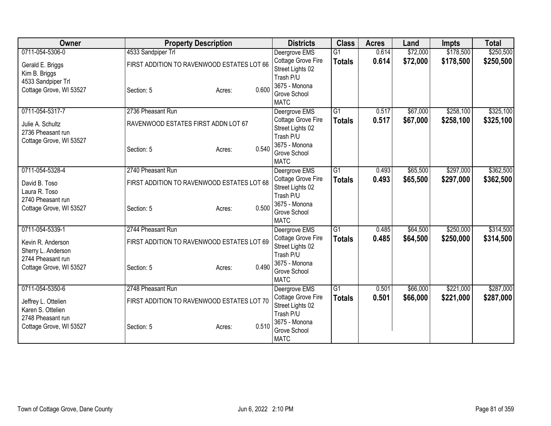| Owner                   |                                            | <b>Property Description</b> |       | <b>Districts</b>              | <b>Class</b>    | <b>Acres</b> | Land     | <b>Impts</b> | <b>Total</b> |
|-------------------------|--------------------------------------------|-----------------------------|-------|-------------------------------|-----------------|--------------|----------|--------------|--------------|
| 0711-054-5306-0         | 4533 Sandpiper Trl                         |                             |       | Deergrove EMS                 | $\overline{G1}$ | 0.614        | \$72,000 | \$178,500    | \$250,500    |
| Gerald E. Briggs        | FIRST ADDITION TO RAVENWOOD ESTATES LOT 66 |                             |       | Cottage Grove Fire            | <b>Totals</b>   | 0.614        | \$72,000 | \$178,500    | \$250,500    |
| Kim B. Briggs           |                                            |                             |       | Street Lights 02              |                 |              |          |              |              |
| 4533 Sandpiper Trl      |                                            |                             |       | Trash P/U<br>3675 - Monona    |                 |              |          |              |              |
| Cottage Grove, WI 53527 | Section: 5                                 | Acres:                      | 0.600 | Grove School                  |                 |              |          |              |              |
|                         |                                            |                             |       | <b>MATC</b>                   |                 |              |          |              |              |
| 0711-054-5317-7         | 2736 Pheasant Run                          |                             |       | Deergrove EMS                 | $\overline{G1}$ | 0.517        | \$67,000 | \$258,100    | \$325,100    |
| Julie A. Schultz        | RAVENWOOD ESTATES FIRST ADDN LOT 67        |                             |       | Cottage Grove Fire            | <b>Totals</b>   | 0.517        | \$67,000 | \$258,100    | \$325,100    |
| 2736 Pheasant run       |                                            |                             |       | Street Lights 02<br>Trash P/U |                 |              |          |              |              |
| Cottage Grove, WI 53527 |                                            |                             |       | 3675 - Monona                 |                 |              |          |              |              |
|                         | Section: 5                                 | Acres:                      | 0.540 | Grove School                  |                 |              |          |              |              |
|                         |                                            |                             |       | <b>MATC</b>                   |                 |              |          |              |              |
| 0711-054-5328-4         | 2740 Pheasant Run                          |                             |       | Deergrove EMS                 | $\overline{G1}$ | 0.493        | \$65,500 | \$297,000    | \$362,500    |
| David B. Toso           | FIRST ADDITION TO RAVENWOOD ESTATES LOT 68 |                             |       | Cottage Grove Fire            | <b>Totals</b>   | 0.493        | \$65,500 | \$297,000    | \$362,500    |
| Laura R. Toso           |                                            |                             |       | Street Lights 02<br>Trash P/U |                 |              |          |              |              |
| 2740 Pheasant run       |                                            |                             |       | 3675 - Monona                 |                 |              |          |              |              |
| Cottage Grove, WI 53527 | Section: 5                                 | Acres:                      | 0.500 | Grove School                  |                 |              |          |              |              |
|                         |                                            |                             |       | <b>MATC</b>                   |                 |              |          |              |              |
| 0711-054-5339-1         | 2744 Pheasant Run                          |                             |       | Deergrove EMS                 | G1              | 0.485        | \$64,500 | \$250,000    | \$314,500    |
| Kevin R. Anderson       | FIRST ADDITION TO RAVENWOOD ESTATES LOT 69 |                             |       | Cottage Grove Fire            | <b>Totals</b>   | 0.485        | \$64,500 | \$250,000    | \$314,500    |
| Sherry L. Anderson      |                                            |                             |       | Street Lights 02              |                 |              |          |              |              |
| 2744 Pheasant run       |                                            |                             |       | Trash P/U<br>3675 - Monona    |                 |              |          |              |              |
| Cottage Grove, WI 53527 | Section: 5                                 | Acres:                      | 0.490 | Grove School                  |                 |              |          |              |              |
|                         |                                            |                             |       | <b>MATC</b>                   |                 |              |          |              |              |
| 0711-054-5350-6         | 2748 Pheasant Run                          |                             |       | Deergrove EMS                 | $\overline{G1}$ | 0.501        | \$66,000 | \$221,000    | \$287,000    |
| Jeffrey L. Ottelien     | FIRST ADDITION TO RAVENWOOD ESTATES LOT 70 |                             |       | Cottage Grove Fire            | <b>Totals</b>   | 0.501        | \$66,000 | \$221,000    | \$287,000    |
| Karen S. Ottelien       |                                            |                             |       | Street Lights 02              |                 |              |          |              |              |
| 2748 Pheasant run       |                                            |                             |       | Trash P/U<br>3675 - Monona    |                 |              |          |              |              |
| Cottage Grove, WI 53527 | Section: 5                                 | Acres:                      | 0.510 | Grove School                  |                 |              |          |              |              |
|                         |                                            |                             |       | <b>MATC</b>                   |                 |              |          |              |              |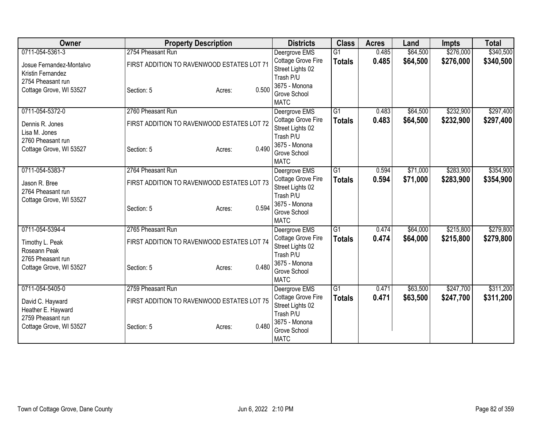| Owner                    | <b>Property Description</b>                |                 | <b>Districts</b>              | <b>Class</b>    | <b>Acres</b> | Land     | <b>Impts</b> | <b>Total</b> |
|--------------------------|--------------------------------------------|-----------------|-------------------------------|-----------------|--------------|----------|--------------|--------------|
| 0711-054-5361-3          | 2754 Pheasant Run                          |                 | Deergrove EMS                 | $\overline{G1}$ | 0.485        | \$64,500 | \$276,000    | \$340,500    |
| Josue Fernandez-Montalvo | FIRST ADDITION TO RAVENWOOD ESTATES LOT 71 |                 | Cottage Grove Fire            | <b>Totals</b>   | 0.485        | \$64,500 | \$276,000    | \$340,500    |
| Kristin Fernandez        |                                            |                 | Street Lights 02              |                 |              |          |              |              |
| 2754 Pheasant run        |                                            |                 | Trash P/U                     |                 |              |          |              |              |
| Cottage Grove, WI 53527  | Section: 5                                 | 0.500<br>Acres: | 3675 - Monona<br>Grove School |                 |              |          |              |              |
|                          |                                            |                 | <b>MATC</b>                   |                 |              |          |              |              |
| 0711-054-5372-0          | 2760 Pheasant Run                          |                 | Deergrove EMS                 | $\overline{G1}$ | 0.483        | \$64,500 | \$232,900    | \$297,400    |
| Dennis R. Jones          | FIRST ADDITION TO RAVENWOOD ESTATES LOT 72 |                 | Cottage Grove Fire            | <b>Totals</b>   | 0.483        | \$64,500 | \$232,900    | \$297,400    |
| Lisa M. Jones            |                                            |                 | Street Lights 02              |                 |              |          |              |              |
| 2760 Pheasant run        |                                            |                 | Trash P/U                     |                 |              |          |              |              |
| Cottage Grove, WI 53527  | Section: 5                                 | 0.490<br>Acres: | 3675 - Monona<br>Grove School |                 |              |          |              |              |
|                          |                                            |                 | <b>MATC</b>                   |                 |              |          |              |              |
| 0711-054-5383-7          | 2764 Pheasant Run                          |                 | Deergrove EMS                 | $\overline{G1}$ | 0.594        | \$71,000 | \$283,900    | \$354,900    |
|                          |                                            |                 | Cottage Grove Fire            | <b>Totals</b>   | 0.594        | \$71,000 | \$283,900    | \$354,900    |
| Jason R. Bree            | FIRST ADDITION TO RAVENWOOD ESTATES LOT 73 |                 | Street Lights 02              |                 |              |          |              |              |
| 2764 Pheasant run        |                                            |                 | Trash P/U                     |                 |              |          |              |              |
| Cottage Grove, WI 53527  | Section: 5                                 | 0.594           | 3675 - Monona                 |                 |              |          |              |              |
|                          |                                            | Acres:          | Grove School                  |                 |              |          |              |              |
|                          |                                            |                 | <b>MATC</b>                   |                 |              |          |              |              |
| 0711-054-5394-4          | 2765 Pheasant Run                          |                 | Deergrove EMS                 | G1              | 0.474        | \$64,000 | \$215,800    | \$279,800    |
| Timothy L. Peak          | FIRST ADDITION TO RAVENWOOD ESTATES LOT 74 |                 | Cottage Grove Fire            | <b>Totals</b>   | 0.474        | \$64,000 | \$215,800    | \$279,800    |
| Roseann Peak             |                                            |                 | Street Lights 02<br>Trash P/U |                 |              |          |              |              |
| 2765 Pheasant run        |                                            |                 | 3675 - Monona                 |                 |              |          |              |              |
| Cottage Grove, WI 53527  | Section: 5                                 | 0.480<br>Acres: | Grove School                  |                 |              |          |              |              |
|                          |                                            |                 | <b>MATC</b>                   |                 |              |          |              |              |
| 0711-054-5405-0          | 2759 Pheasant Run                          |                 | Deergrove EMS                 | $\overline{G1}$ | 0.471        | \$63,500 | \$247,700    | \$311,200    |
| David C. Hayward         | FIRST ADDITION TO RAVENWOOD ESTATES LOT 75 |                 | Cottage Grove Fire            | <b>Totals</b>   | 0.471        | \$63,500 | \$247,700    | \$311,200    |
| Heather E. Hayward       |                                            |                 | Street Lights 02              |                 |              |          |              |              |
| 2759 Pheasant run        |                                            |                 | Trash P/U                     |                 |              |          |              |              |
| Cottage Grove, WI 53527  | Section: 5                                 | 0.480<br>Acres: | 3675 - Monona                 |                 |              |          |              |              |
|                          |                                            |                 | Grove School<br><b>MATC</b>   |                 |              |          |              |              |
|                          |                                            |                 |                               |                 |              |          |              |              |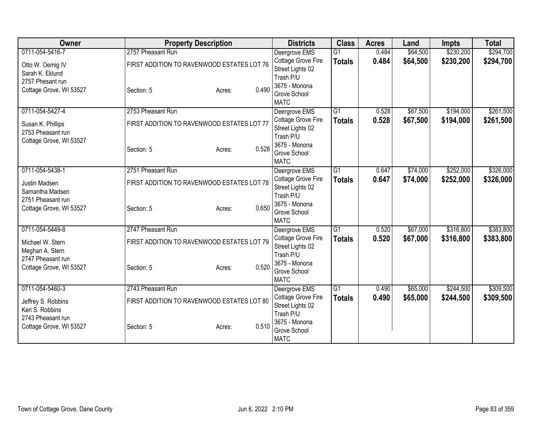| Owner                                |                                            | <b>Property Description</b> |       | <b>Districts</b>                       | <b>Class</b>    | <b>Acres</b> | Land     | <b>Impts</b> | <b>Total</b> |
|--------------------------------------|--------------------------------------------|-----------------------------|-------|----------------------------------------|-----------------|--------------|----------|--------------|--------------|
| 0711-054-5416-7                      | 2757 Pheasant Run                          |                             |       | Deergrove EMS                          | $\overline{G1}$ | 0.484        | \$64,500 | \$230,200    | \$294,700    |
| Otto W. Oemig IV                     | FIRST ADDITION TO RAVENWOOD ESTATES LOT 76 |                             |       | Cottage Grove Fire                     | <b>Totals</b>   | 0.484        | \$64,500 | \$230,200    | \$294,700    |
| Sarah K. Eklund                      |                                            |                             |       | Street Lights 02                       |                 |              |          |              |              |
| 2757 Phesant run                     |                                            |                             |       | Trash P/U                              |                 |              |          |              |              |
| Cottage Grove, WI 53527              | Section: 5                                 | Acres:                      | 0.490 | 3675 - Monona<br>Grove School          |                 |              |          |              |              |
|                                      |                                            |                             |       | <b>MATC</b>                            |                 |              |          |              |              |
| 0711-054-5427-4                      | 2753 Pheasant Run                          |                             |       | Deergrove EMS                          | $\overline{G1}$ | 0.528        | \$67,500 | \$194,000    | \$261,500    |
| Susan K. Phillips                    | FIRST ADDITION TO RAVENWOOD ESTATES LOT 77 |                             |       | Cottage Grove Fire                     | <b>Totals</b>   | 0.528        | \$67,500 | \$194,000    | \$261,500    |
| 2753 Pheasant run                    |                                            |                             |       | Street Lights 02                       |                 |              |          |              |              |
| Cottage Grove, WI 53527              |                                            |                             |       | Trash P/U                              |                 |              |          |              |              |
|                                      | Section: 5                                 | Acres:                      | 0.528 | 3675 - Monona<br>Grove School          |                 |              |          |              |              |
|                                      |                                            |                             |       | <b>MATC</b>                            |                 |              |          |              |              |
| 0711-054-5438-1                      | 2751 Pheasant Run                          |                             |       | Deergrove EMS                          | $\overline{G1}$ | 0.647        | \$74,000 | \$252,000    | \$326,000    |
| Justin Madsen                        | FIRST ADDITION TO RAVENWOOD ESTATES LOT 78 |                             |       | Cottage Grove Fire                     | <b>Totals</b>   | 0.647        | \$74,000 | \$252,000    | \$326,000    |
| Samantha Madsen                      |                                            |                             |       | Street Lights 02                       |                 |              |          |              |              |
| 2751 Pheasant run                    |                                            |                             |       | Trash P/U                              |                 |              |          |              |              |
| Cottage Grove, WI 53527              | Section: 5                                 | Acres:                      | 0.650 | 3675 - Monona<br>Grove School          |                 |              |          |              |              |
|                                      |                                            |                             |       | <b>MATC</b>                            |                 |              |          |              |              |
| 0711-054-5449-8                      | 2747 Pheasant Run                          |                             |       | Deergrove EMS                          | G1              | 0.520        | \$67,000 | \$316,800    | \$383,800    |
|                                      |                                            |                             |       | Cottage Grove Fire                     | <b>Totals</b>   | 0.520        | \$67,000 | \$316,800    | \$383,800    |
| Michael W. Stern                     | FIRST ADDITION TO RAVENWOOD ESTATES LOT 79 |                             |       | Street Lights 02                       |                 |              |          |              |              |
| Meghan A. Stern<br>2747 Pheasant run |                                            |                             |       | Trash P/U                              |                 |              |          |              |              |
| Cottage Grove, WI 53527              | Section: 5                                 | Acres:                      | 0.520 | 3675 - Monona                          |                 |              |          |              |              |
|                                      |                                            |                             |       | Grove School                           |                 |              |          |              |              |
|                                      |                                            |                             |       | <b>MATC</b>                            |                 |              |          |              |              |
| 0711-054-5460-3                      | 2743 Pheasant Run                          |                             |       | Deergrove EMS                          | $\overline{G1}$ | 0.490        | \$65,000 | \$244,500    | \$309,500    |
| Jeffrey S. Robbins                   | FIRST ADDITION TO RAVENWOOD ESTATES LOT 80 |                             |       | Cottage Grove Fire<br>Street Lights 02 | <b>Totals</b>   | 0.490        | \$65,000 | \$244,500    | \$309,500    |
| Keri S. Robbins                      |                                            |                             |       | Trash P/U                              |                 |              |          |              |              |
| 2743 Pheasant run                    |                                            |                             |       | 3675 - Monona                          |                 |              |          |              |              |
| Cottage Grove, WI 53527              | Section: 5                                 | Acres:                      | 0.510 | Grove School                           |                 |              |          |              |              |
|                                      |                                            |                             |       | <b>MATC</b>                            |                 |              |          |              |              |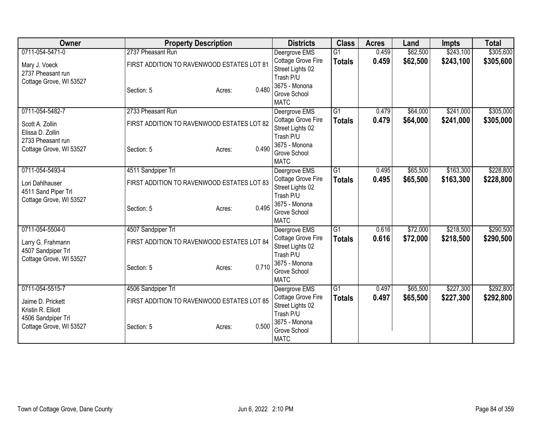| Owner                                          | <b>Property Description</b>                |                 | <b>Districts</b>                       | <b>Class</b>    | <b>Acres</b> | Land     | <b>Impts</b> | <b>Total</b> |
|------------------------------------------------|--------------------------------------------|-----------------|----------------------------------------|-----------------|--------------|----------|--------------|--------------|
| 0711-054-5471-0                                | 2737 Pheasant Run                          |                 | Deergrove EMS                          | $\overline{G1}$ | 0.459        | \$62,500 | \$243,100    | \$305,600    |
| Mary J. Voeck                                  | FIRST ADDITION TO RAVENWOOD ESTATES LOT 81 |                 | Cottage Grove Fire                     | <b>Totals</b>   | 0.459        | \$62,500 | \$243,100    | \$305,600    |
| 2737 Pheasant run                              |                                            |                 | Street Lights 02                       |                 |              |          |              |              |
| Cottage Grove, WI 53527                        |                                            |                 | Trash P/U                              |                 |              |          |              |              |
|                                                | Section: 5                                 | 0.480<br>Acres: | 3675 - Monona<br>Grove School          |                 |              |          |              |              |
|                                                |                                            |                 | <b>MATC</b>                            |                 |              |          |              |              |
| 0711-054-5482-7                                | 2733 Pheasant Run                          |                 | Deergrove EMS                          | G1              | 0.479        | \$64,000 | \$241,000    | \$305,000    |
| Scott A. Zollin                                | FIRST ADDITION TO RAVENWOOD ESTATES LOT 82 |                 | Cottage Grove Fire                     | <b>Totals</b>   | 0.479        | \$64,000 | \$241,000    | \$305,000    |
| Elissa D. Zollin                               |                                            |                 | Street Lights 02                       |                 |              |          |              |              |
| 2733 Pheasant run                              |                                            |                 | Trash P/U                              |                 |              |          |              |              |
| Cottage Grove, WI 53527                        | Section: 5                                 | 0.490<br>Acres: | 3675 - Monona<br>Grove School          |                 |              |          |              |              |
|                                                |                                            |                 | <b>MATC</b>                            |                 |              |          |              |              |
| 0711-054-5493-4                                | 4511 Sandpiper Trl                         |                 | Deergrove EMS                          | $\overline{G1}$ | 0.495        | \$65,500 | \$163,300    | \$228,800    |
|                                                |                                            |                 | Cottage Grove Fire                     | <b>Totals</b>   | 0.495        | \$65,500 | \$163,300    | \$228,800    |
| Lori Dahlhauser                                | FIRST ADDITION TO RAVENWOOD ESTATES LOT 83 |                 | Street Lights 02                       |                 |              |          |              |              |
| 4511 Sand Piper Trl<br>Cottage Grove, WI 53527 |                                            |                 | Trash P/U                              |                 |              |          |              |              |
|                                                | Section: 5                                 | 0.495<br>Acres: | 3675 - Monona                          |                 |              |          |              |              |
|                                                |                                            |                 | Grove School                           |                 |              |          |              |              |
|                                                |                                            |                 | <b>MATC</b>                            |                 |              |          |              |              |
| 0711-054-5504-0                                | 4507 Sandpiper Trl                         |                 | Deergrove EMS                          | G1              | 0.616        | \$72,000 | \$218,500    | \$290,500    |
| Larry G. Frahmann                              | FIRST ADDITION TO RAVENWOOD ESTATES LOT 84 |                 | Cottage Grove Fire<br>Street Lights 02 | <b>Totals</b>   | 0.616        | \$72,000 | \$218,500    | \$290,500    |
| 4507 Sandpiper Trl                             |                                            |                 | Trash P/U                              |                 |              |          |              |              |
| Cottage Grove, WI 53527                        |                                            |                 | 3675 - Monona                          |                 |              |          |              |              |
|                                                | Section: 5                                 | 0.710<br>Acres: | Grove School                           |                 |              |          |              |              |
|                                                |                                            |                 | <b>MATC</b>                            |                 |              |          |              |              |
| 0711-054-5515-7                                | 4506 Sandpiper Trl                         |                 | Deergrove EMS                          | $\overline{G1}$ | 0.497        | \$65,500 | \$227,300    | \$292,800    |
| Jaime D. Prickett                              | FIRST ADDITION TO RAVENWOOD ESTATES LOT 85 |                 | Cottage Grove Fire                     | <b>Totals</b>   | 0.497        | \$65,500 | \$227,300    | \$292,800    |
| Kristin R. Elliott                             |                                            |                 | Street Lights 02                       |                 |              |          |              |              |
| 4506 Sandpiper Trl                             |                                            |                 | Trash P/U<br>3675 - Monona             |                 |              |          |              |              |
| Cottage Grove, WI 53527                        | Section: 5                                 | 0.500<br>Acres: | Grove School                           |                 |              |          |              |              |
|                                                |                                            |                 | <b>MATC</b>                            |                 |              |          |              |              |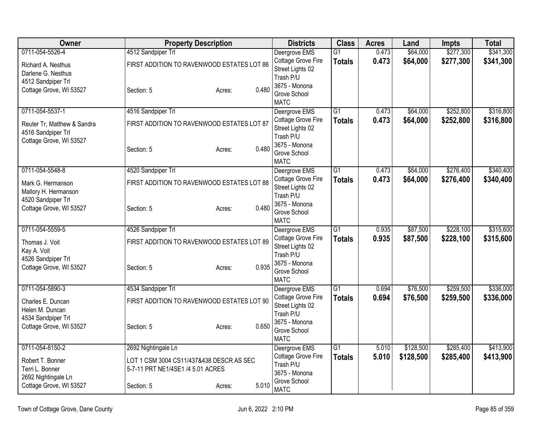| Owner                                                               | <b>Property Description</b>                                                   |                 | <b>Districts</b>                                                              | <b>Class</b>                     | <b>Acres</b>   | Land                 | <b>Impts</b>           | <b>Total</b>           |
|---------------------------------------------------------------------|-------------------------------------------------------------------------------|-----------------|-------------------------------------------------------------------------------|----------------------------------|----------------|----------------------|------------------------|------------------------|
| 0711-054-5526-4<br>Richard A. Nesthus                               | 4512 Sandpiper Trl<br>FIRST ADDITION TO RAVENWOOD ESTATES LOT 86              |                 | Deergrove EMS<br>Cottage Grove Fire                                           | $\overline{G1}$<br><b>Totals</b> | 0.473<br>0.473 | \$64,000<br>\$64,000 | \$277,300<br>\$277,300 | \$341,300<br>\$341,300 |
| Darlene G. Nesthus<br>4512 Sandpiper Trl<br>Cottage Grove, WI 53527 | Section: 5                                                                    | 0.480<br>Acres: | Street Lights 02<br>Trash P/U<br>3675 - Monona<br>Grove School<br><b>MATC</b> |                                  |                |                      |                        |                        |
| 0711-054-5537-1                                                     | 4516 Sandpiper Trl                                                            |                 | Deergrove EMS                                                                 | $\overline{G1}$                  | 0.473          | \$64,000             | \$252,800              | \$316,800              |
| Reuter Tr, Matthew & Sandra<br>4516 Sandpiper Trl                   | FIRST ADDITION TO RAVENWOOD ESTATES LOT 87                                    |                 | Cottage Grove Fire<br>Street Lights 02<br>Trash P/U                           | <b>Totals</b>                    | 0.473          | \$64,000             | \$252,800              | \$316,800              |
| Cottage Grove, WI 53527                                             | Section: 5                                                                    | 0.480<br>Acres: | 3675 - Monona<br>Grove School<br><b>MATC</b>                                  |                                  |                |                      |                        |                        |
| 0711-054-5548-8                                                     | 4520 Sandpiper Trl                                                            |                 | Deergrove EMS                                                                 | $\overline{G1}$                  | 0.473          | \$64,000             | \$276,400              | \$340,400              |
| Mark G. Hermanson<br>Mallory H. Hermanson                           | FIRST ADDITION TO RAVENWOOD ESTATES LOT 88                                    |                 | Cottage Grove Fire<br>Street Lights 02                                        | <b>Totals</b>                    | 0.473          | \$64,000             | \$276,400              | \$340,400              |
| 4520 Sandpiper Trl<br>Cottage Grove, WI 53527                       | Section: 5                                                                    | 0.480<br>Acres: | Trash P/U<br>3675 - Monona<br>Grove School<br><b>MATC</b>                     |                                  |                |                      |                        |                        |
| 0711-054-5559-5                                                     | 4526 Sandpiper Trl                                                            |                 | Deergrove EMS                                                                 | $\overline{G1}$                  | 0.935          | \$87,500             | \$228,100              | \$315,600              |
| Thomas J. Voit<br>Kay A. Voit                                       | FIRST ADDITION TO RAVENWOOD ESTATES LOT 89                                    |                 | Cottage Grove Fire<br>Street Lights 02<br>Trash P/U                           | <b>Totals</b>                    | 0.935          | \$87,500             | \$228,100              | \$315,600              |
| 4526 Sandpiper Trl<br>Cottage Grove, WI 53527                       | Section: 5                                                                    | 0.935<br>Acres: | 3675 - Monona<br>Grove School<br><b>MATC</b>                                  |                                  |                |                      |                        |                        |
| 0711-054-5890-3                                                     | 4534 Sandpiper Trl                                                            |                 | Deergrove EMS                                                                 | $\overline{G1}$                  | 0.694          | \$76,500             | \$259,500              | \$336,000              |
| Charles E. Duncan<br>Helen M. Duncan                                | FIRST ADDITION TO RAVENWOOD ESTATES LOT 90                                    |                 | Cottage Grove Fire<br>Street Lights 02<br>Trash P/U                           | <b>Totals</b>                    | 0.694          | \$76,500             | \$259,500              | \$336,000              |
| 4534 Sandpiper Trl<br>Cottage Grove, WI 53527                       | Section: 5                                                                    | 0.650<br>Acres: | 3675 - Monona<br>Grove School<br><b>MATC</b>                                  |                                  |                |                      |                        |                        |
| 0711-054-8150-2                                                     | 2692 Nightingale Ln                                                           |                 | Deergrove EMS                                                                 | G1                               | 5.010          | \$128,500            | \$285,400              | \$413,900              |
| Robert T. Bonner<br>Terri L. Bonner<br>2692 Nightingale Ln          | LOT 1 CSM 3004 CS11/437&438 DESCR AS SEC<br>5-7-11 PRT NE1/4SE1 /4 5.01 ACRES |                 | Cottage Grove Fire<br>Trash P/U<br>3675 - Monona                              | <b>Totals</b>                    | 5.010          | \$128,500            | \$285,400              | \$413,900              |
| Cottage Grove, WI 53527                                             | Section: 5                                                                    | 5.010<br>Acres: | Grove School<br><b>MATC</b>                                                   |                                  |                |                      |                        |                        |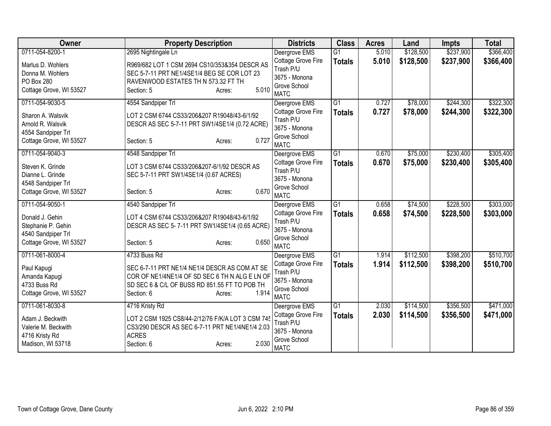| Owner                   | <b>Property Description</b>                       | <b>Districts</b>            | <b>Class</b>    | <b>Acres</b> | Land      | <b>Impts</b> | <b>Total</b> |
|-------------------------|---------------------------------------------------|-----------------------------|-----------------|--------------|-----------|--------------|--------------|
| 0711-054-8200-1         | 2695 Nightingale Ln                               | Deergrove EMS               | $\overline{G1}$ | 5.010        | \$128,500 | \$237,900    | \$366,400    |
| Marlus D. Wohlers       | R969/682 LOT 1 CSM 2694 CS10/353&354 DESCR AS     | Cottage Grove Fire          | <b>Totals</b>   | 5.010        | \$128,500 | \$237,900    | \$366,400    |
| Donna M. Wohlers        | SEC 5-7-11 PRT NE1/4SE1/4 BEG SE COR LOT 23       | Trash P/U                   |                 |              |           |              |              |
| PO Box 280              | RAVENWOOD ESTATES TH N 573.32 FT TH               | 3675 - Monona               |                 |              |           |              |              |
| Cottage Grove, WI 53527 | 5.010<br>Section: 5<br>Acres:                     | Grove School                |                 |              |           |              |              |
|                         |                                                   | <b>MATC</b>                 |                 |              |           |              |              |
| 0711-054-9030-5         | 4554 Sandpiper Trl                                | Deergrove EMS               | $\overline{G1}$ | 0.727        | \$78,000  | \$244,300    | \$322,300    |
| Sharon A. Walsvik       | LOT 2 CSM 6744 CS33/206&207 R19048/43-6/1/92      | Cottage Grove Fire          | <b>Totals</b>   | 0.727        | \$78,000  | \$244,300    | \$322,300    |
| Arnold R. Walsvik       | DESCR AS SEC 5-7-11 PRT SW1/4SE1/4 (0.72 ACRE)    | Trash P/U                   |                 |              |           |              |              |
| 4554 Sandpiper Trl      |                                                   | 3675 - Monona               |                 |              |           |              |              |
| Cottage Grove, WI 53527 | 0.727<br>Section: 5<br>Acres:                     | Grove School                |                 |              |           |              |              |
|                         |                                                   | <b>MATC</b>                 |                 |              |           |              |              |
| 0711-054-9040-3         | 4548 Sandpiper Trl                                | Deergrove EMS               | $\overline{G1}$ | 0.670        | \$75,000  | \$230,400    | \$305,400    |
| Steven K. Grinde        | LOT 3 CSM 6744 CS33/206&207-6/1/92 DESCR AS       | Cottage Grove Fire          | <b>Totals</b>   | 0.670        | \$75,000  | \$230,400    | \$305,400    |
| Dianne L. Grinde        | SEC 5-7-11 PRT SW1/4SE1/4 (0.67 ACRES)            | Trash P/U                   |                 |              |           |              |              |
| 4548 Sandpiper Trl      |                                                   | 3675 - Monona               |                 |              |           |              |              |
| Cottage Grove, WI 53527 | 0.670<br>Section: 5<br>Acres:                     | Grove School                |                 |              |           |              |              |
|                         |                                                   | <b>MATC</b>                 |                 |              |           |              |              |
| 0711-054-9050-1         | 4540 Sandpiper Trl                                | Deergrove EMS               | $\overline{G1}$ | 0.658        | \$74,500  | \$228,500    | \$303,000    |
| Donald J. Gehin         | LOT 4 CSM 6744 CS33/206&207 R19048/43-6/1/92      | Cottage Grove Fire          | <b>Totals</b>   | 0.658        | \$74,500  | \$228,500    | \$303,000    |
| Stephanie P. Gehin      | DESCR AS SEC 5-7-11 PRT SW1/4SE1/4 (0.65 ACRE)    | Trash P/U                   |                 |              |           |              |              |
| 4540 Sandpiper Trl      |                                                   | 3675 - Monona               |                 |              |           |              |              |
| Cottage Grove, WI 53527 | 0.650<br>Section: 5<br>Acres:                     | Grove School<br><b>MATC</b> |                 |              |           |              |              |
| 0711-061-8000-4         | 4733 Buss Rd                                      |                             | $\overline{G1}$ |              | \$112,500 | \$398,200    | \$510,700    |
|                         |                                                   | Deergrove EMS               |                 | 1.914        |           |              |              |
| Paul Kapugi             | SEC 6-7-11 PRT NE1/4 NE1/4 DESCR AS COM AT SE     | Cottage Grove Fire          | <b>Totals</b>   | 1.914        | \$112,500 | \$398,200    | \$510,700    |
| Amanda Kapugi           | COR OF NE1/4NE1/4 OF SD SEC 6 TH N ALG E LN OF    | Trash P/U<br>3675 - Monona  |                 |              |           |              |              |
| 4733 Buss Rd            | SD SEC 6 & C/L OF BUSS RD 851.55 FT TO POB TH     |                             |                 |              |           |              |              |
| Cottage Grove, WI 53527 | 1.914<br>Section: 6<br>Acres:                     | Grove School<br><b>MATC</b> |                 |              |           |              |              |
| 0711-061-8030-8         | 4716 Kristy Rd                                    | Deergrove EMS               | $\overline{G1}$ | 2.030        | \$114,500 | \$356,500    | \$471,000    |
|                         |                                                   | Cottage Grove Fire          |                 | 2.030        | \$114,500 | \$356,500    | \$471,000    |
| Adam J. Beckwith        | LOT 2 CSM 1925 CS8/44-2/12/76 F/K/A LOT 3 CSM 745 | Trash P/U                   | <b>Totals</b>   |              |           |              |              |
| Valerie M. Beckwith     | CS3/290 DESCR AS SEC 6-7-11 PRT NE1/4NE1/4 2.03   | 3675 - Monona               |                 |              |           |              |              |
| 4716 Kristy Rd          | <b>ACRES</b>                                      | Grove School                |                 |              |           |              |              |
| Madison, WI 53718       | 2.030<br>Section: 6<br>Acres:                     | <b>MATC</b>                 |                 |              |           |              |              |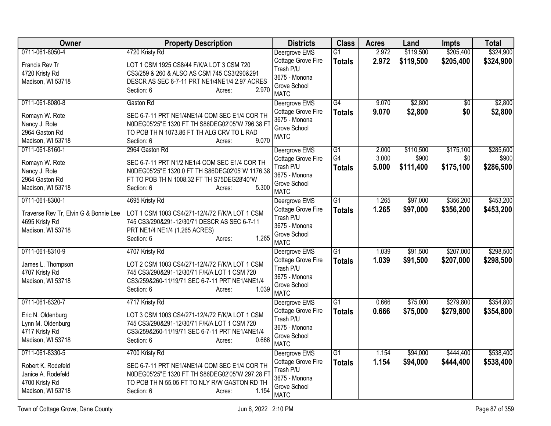| <b>Owner</b>                          | <b>Property Description</b>                                                                    | <b>Districts</b>              | <b>Class</b>    | <b>Acres</b> | Land      | Impts           | <b>Total</b> |
|---------------------------------------|------------------------------------------------------------------------------------------------|-------------------------------|-----------------|--------------|-----------|-----------------|--------------|
| 0711-061-8050-4                       | 4720 Kristy Rd                                                                                 | Deergrove EMS                 | $\overline{G1}$ | 2.972        | \$119,500 | \$205,400       | \$324,900    |
| Francis Rev Tr                        | LOT 1 CSM 1925 CS8/44 F/K/A LOT 3 CSM 720                                                      | Cottage Grove Fire            | <b>Totals</b>   | 2.972        | \$119,500 | \$205,400       | \$324,900    |
| 4720 Kristy Rd                        | CS3/259 & 260 & ALSO AS CSM 745 CS3/290&291                                                    | Trash P/U                     |                 |              |           |                 |              |
| Madison, WI 53718                     | DESCR AS SEC 6-7-11 PRT NE1/4NE1/4 2.97 ACRES                                                  | 3675 - Monona<br>Grove School |                 |              |           |                 |              |
|                                       | 2.970<br>Section: 6<br>Acres:                                                                  | <b>MATC</b>                   |                 |              |           |                 |              |
| 0711-061-8080-8                       | Gaston Rd                                                                                      | Deergrove EMS                 | $\overline{G4}$ | 9.070        | \$2,800   | $\overline{50}$ | \$2,800      |
| Romayn W. Rote                        | SEC 6-7-11 PRT NE1/4NE1/4 COM SEC E1/4 COR TH                                                  | Cottage Grove Fire            | <b>Totals</b>   | 9.070        | \$2,800   | \$0             | \$2,800      |
| Nancy J. Rote                         | N0DEG05'25"E 1320 FT TH S86DEG02'05"W 796.38 FT                                                | 3675 - Monona<br>Grove School |                 |              |           |                 |              |
| 2964 Gaston Rd                        | TO POB TH N 1073.86 FT TH ALG CRV TO L RAD                                                     | <b>MATC</b>                   |                 |              |           |                 |              |
| Madison, WI 53718                     | 9.070<br>Section: 6<br>Acres:                                                                  |                               |                 |              |           |                 |              |
| 0711-061-8160-1                       | 2964 Gaston Rd                                                                                 | Deergrove EMS                 | G1              | 2.000        | \$110,500 | \$175,100       | \$285,600    |
| Romayn W. Rote                        | SEC 6-7-11 PRT N1/2 NE1/4 COM SEC E1/4 COR TH                                                  | Cottage Grove Fire            | G4              | 3.000        | \$900     | \$0             | \$900        |
| Nancy J. Rote                         | N0DEG05'25"E 1320.0 FT TH S86DEG02'05"W 1176.38                                                | Trash P/U                     | <b>Totals</b>   | 5.000        | \$111,400 | \$175,100       | \$286,500    |
| 2964 Gaston Rd                        | FT TO POB TH N 1008.32 FT TH S75DEG28'40"W                                                     | 3675 - Monona<br>Grove School |                 |              |           |                 |              |
| Madison, WI 53718                     | 5.300<br>Section: 6<br>Acres:                                                                  | <b>MATC</b>                   |                 |              |           |                 |              |
| 0711-061-8300-1                       | 4695 Kristy Rd                                                                                 | Deergrove EMS                 | $\overline{G1}$ | 1.265        | \$97,000  | \$356,200       | \$453,200    |
| Traverse Rev Tr, Elvin G & Bonnie Lee | LOT 1 CSM 1003 CS4/271-12/4/72 F/K/A LOT 1 CSM                                                 | Cottage Grove Fire            | <b>Totals</b>   | 1.265        | \$97,000  | \$356,200       | \$453,200    |
| 4695 Kristy Rd                        | 745 CS3/290&291-12/30/71 DESCR AS SEC 6-7-11                                                   | Trash P/U                     |                 |              |           |                 |              |
| Madison, WI 53718                     | PRT NE1/4 NE1/4 (1.265 ACRES)                                                                  | 3675 - Monona                 |                 |              |           |                 |              |
|                                       | 1.265<br>Section: 6<br>Acres:                                                                  | Grove School<br><b>MATC</b>   |                 |              |           |                 |              |
| 0711-061-8310-9                       | 4707 Kristy Rd                                                                                 | Deergrove EMS                 | $\overline{G1}$ | 1.039        | \$91,500  | \$207,000       | \$298,500    |
| James L. Thompson                     | LOT 2 CSM 1003 CS4/271-12/4/72 F/K/A LOT 1 CSM                                                 | Cottage Grove Fire            | <b>Totals</b>   | 1.039        | \$91,500  | \$207,000       | \$298,500    |
| 4707 Kristy Rd                        | 745 CS3/290&291-12/30/71 F/K/A LOT 1 CSM 720                                                   | Trash P/U                     |                 |              |           |                 |              |
| Madison, WI 53718                     | CS3/259&260-11/19/71 SEC 6-7-11 PRT NE1/4NE1/4                                                 | 3675 - Monona                 |                 |              |           |                 |              |
|                                       | 1.039<br>Section: 6<br>Acres:                                                                  | Grove School<br><b>MATC</b>   |                 |              |           |                 |              |
| 0711-061-8320-7                       | 4717 Kristy Rd                                                                                 | Deergrove EMS                 | $\overline{G1}$ | 0.666        | \$75,000  | \$279,800       | \$354,800    |
|                                       |                                                                                                | Cottage Grove Fire            | <b>Totals</b>   | 0.666        | \$75,000  | \$279,800       | \$354,800    |
| Eric N. Oldenburg                     | LOT 3 CSM 1003 CS4/271-12/4/72 F/K/A LOT 1 CSM                                                 | Trash P/U                     |                 |              |           |                 |              |
| Lynn M. Oldenburg<br>4717 Kristy Rd   | 745 CS3/290&291-12/30/71 F/K/A LOT 1 CSM 720<br>CS3/259&260-11/19/71 SEC 6-7-11 PRT NE1/4NE1/4 | 3675 - Monona                 |                 |              |           |                 |              |
| Madison, WI 53718                     | 0.666<br>Section: 6<br>Acres:                                                                  | Grove School                  |                 |              |           |                 |              |
|                                       |                                                                                                | <b>MATC</b>                   |                 |              |           |                 |              |
| 0711-061-8330-5                       | 4700 Kristy Rd                                                                                 | Deergrove EMS                 | $\overline{G1}$ | 1.154        | \$94,000  | \$444,400       | \$538,400    |
| Robert K. Rodefeld                    | SEC 6-7-11 PRT NE1/4NE1/4 COM SEC E1/4 COR TH                                                  | Cottage Grove Fire            | <b>Totals</b>   | 1.154        | \$94,000  | \$444,400       | \$538,400    |
| Janice A. Rodefeld                    | N0DEG05'25"E 1320 FT TH S86DEG02'05"W 297.28 FT                                                | Trash P/U<br>3675 - Monona    |                 |              |           |                 |              |
| 4700 Kristy Rd                        | TO POB TH N 55.05 FT TO NLY R/W GASTON RD TH                                                   | Grove School                  |                 |              |           |                 |              |
| Madison, WI 53718                     | 1.154<br>Section: 6<br>Acres:                                                                  | <b>MATC</b>                   |                 |              |           |                 |              |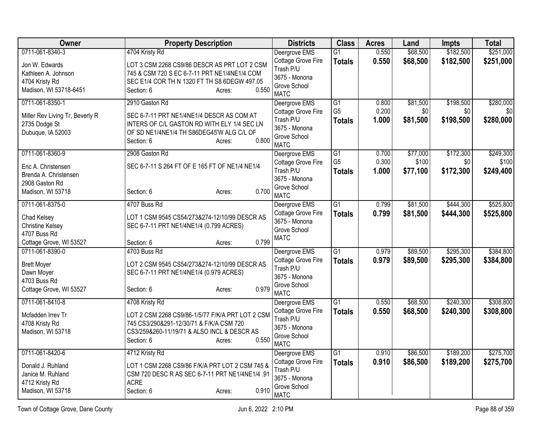| Owner                           | <b>Property Description</b>                      | <b>Districts</b>                    | <b>Class</b>                      | <b>Acres</b>   | Land            | <b>Impts</b>     | <b>Total</b>     |
|---------------------------------|--------------------------------------------------|-------------------------------------|-----------------------------------|----------------|-----------------|------------------|------------------|
| 0711-061-8340-3                 | 4704 Kristy Rd                                   | Deergrove EMS                       | $\overline{G1}$                   | 0.550          | \$68,500        | \$182,500        | \$251,000        |
| Jon W. Edwards                  | LOT 3 CSM 2268 CS9/86 DESCR AS PRT LOT 2 CSM     | Cottage Grove Fire                  | <b>Totals</b>                     | 0.550          | \$68,500        | \$182,500        | \$251,000        |
| Kathleen A. Johnson             | 745 & CSM 720 S EC 6-7-11 PRT NE1/4NE1/4 COM     | Trash P/U<br>3675 - Monona          |                                   |                |                 |                  |                  |
| 4704 Kristy Rd                  | SEC E1/4 COR TH N 1320 FT TH S8 6DEGW 497.05     | Grove School                        |                                   |                |                 |                  |                  |
| Madison, WI 53718-6451          | 0.550<br>Section: 6<br>Acres:                    | <b>MATC</b>                         |                                   |                |                 |                  |                  |
| 0711-061-8350-1                 | 2910 Gaston Rd                                   | Deergrove EMS                       | $\overline{G1}$<br>G <sub>5</sub> | 0.800<br>0.200 | \$81,500<br>\$0 | \$198,500<br>\$0 | \$280,000        |
| Miller Rev Living Tr, Beverly R | SEC 6-7-11 PRT NE1/4NE1/4 DESCR AS COM AT        | Cottage Grove Fire<br>Trash P/U     |                                   | 1.000          | \$81,500        | \$198,500        | \$0<br>\$280,000 |
| 2735 Dodge St                   | INTERS OF C/L GASTON RD WITH ELY 1/4 SEC LN      | 3675 - Monona                       | <b>Totals</b>                     |                |                 |                  |                  |
| Dubuque, IA 52003               | OF SD NE1/4NE1/4 TH S86DEG45'W ALG C/L OF        | Grove School                        |                                   |                |                 |                  |                  |
|                                 | 0.800<br>Section: 6<br>Acres:                    | <b>MATC</b>                         |                                   |                |                 |                  |                  |
| 0711-061-8360-9                 | 2908 Gaston Rd                                   | Deergrove EMS                       | $\overline{G1}$                   | 0.700          | \$77,000        | \$172,300        | \$249,300        |
| Eric A. Christensen             | SEC 6-7-11 S 264 FT OF E 165 FT OF NE1/4 NE1/4   | Cottage Grove Fire                  | G <sub>5</sub>                    | 0.300          | \$100           | \$0              | \$100            |
| Brenda A. Christensen           |                                                  | Trash P/U<br>3675 - Monona          | <b>Totals</b>                     | 1.000          | \$77,100        | \$172,300        | \$249,400        |
| 2908 Gaston Rd                  |                                                  | Grove School                        |                                   |                |                 |                  |                  |
| Madison, WI 53718               | 0.700<br>Section: 6<br>Acres:                    | <b>MATC</b>                         |                                   |                |                 |                  |                  |
| 0711-061-8375-0                 | 4707 Buss Rd                                     | Deergrove EMS                       | $\overline{G1}$                   | 0.799          | \$81,500        | \$444,300        | \$525,800        |
| Chad Kelsey                     | LOT 1 CSM 9545 CS54/273&274-12/10/99 DESCR AS    | Cottage Grove Fire<br>3675 - Monona | <b>Totals</b>                     | 0.799          | \$81,500        | \$444,300        | \$525,800        |
| <b>Christine Kelsey</b>         | SEC 6-7-11 PRT NE1/4NE1/4 (0.799 ACRES)          | Grove School                        |                                   |                |                 |                  |                  |
| 4707 Buss Rd                    |                                                  | <b>MATC</b>                         |                                   |                |                 |                  |                  |
| Cottage Grove, WI 53527         | 0.799<br>Section: 6<br>Acres:                    |                                     |                                   |                |                 |                  |                  |
| 0711-061-8390-0                 | 4703 Buss Rd                                     | Deergrove EMS                       | $\overline{G1}$                   | 0.979          | \$89,500        | \$295,300        | \$384,800        |
| <b>Brett Moyer</b>              | LOT 2 CSM 9545 CS54/273&274-12/10/99 DESCR AS    | Cottage Grove Fire<br>Trash P/U     | <b>Totals</b>                     | 0.979          | \$89,500        | \$295,300        | \$384,800        |
| Dawn Moyer                      | SEC 6-7-11 PRT NE1/4NE1/4 (0.979 ACRES)          | 3675 - Monona                       |                                   |                |                 |                  |                  |
| 4703 Buss Rd                    |                                                  | Grove School                        |                                   |                |                 |                  |                  |
| Cottage Grove, WI 53527         | 0.979<br>Section: 6<br>Acres:                    | <b>MATC</b>                         |                                   |                |                 |                  |                  |
| 0711-061-8410-8                 | 4708 Kristy Rd                                   | Deergrove EMS                       | $\overline{G1}$                   | 0.550          | \$68,500        | \$240,300        | \$308,800        |
| Mcfadden Irrev Tr               | LOT 2 CSM 2268 CS9/86-1/5/77 F/K/A PRT LOT 2 CSM | Cottage Grove Fire                  | <b>Totals</b>                     | 0.550          | \$68,500        | \$240,300        | \$308,800        |
| 4708 Kristy Rd                  | 745 CS3/290&291-12/30/71 & F/K/A CSM 720         | Trash P/U<br>3675 - Monona          |                                   |                |                 |                  |                  |
| Madison, WI 53718               | CS3/259&260-11/19/71 & ALSO INCL & DESCR AS      | Grove School                        |                                   |                |                 |                  |                  |
|                                 | 0.550<br>Section: 6<br>Acres:                    | <b>MATC</b>                         |                                   |                |                 |                  |                  |
| 0711-061-8420-6                 | 4712 Kristy Rd                                   | Deergrove EMS                       | $\overline{G1}$                   | 0.910          | \$86,500        | \$189,200        | \$275,700        |
| Donald J. Ruhland               | LOT 1 CSM 2268 CS9/86 F/K/A PRT LOT 2 CSM 745 &  | Cottage Grove Fire                  | <b>Totals</b>                     | 0.910          | \$86,500        | \$189,200        | \$275,700        |
| Janice M. Ruhland               | CSM 720 DESC R AS SEC 6-7-11 PRT NE1/4NE1/4 .91  | Trash P/U                           |                                   |                |                 |                  |                  |
| 4712 Kristy Rd                  | <b>ACRE</b>                                      | 3675 - Monona                       |                                   |                |                 |                  |                  |
| Madison, WI 53718               | 0.910<br>Section: 6<br>Acres:                    | Grove School<br><b>MATC</b>         |                                   |                |                 |                  |                  |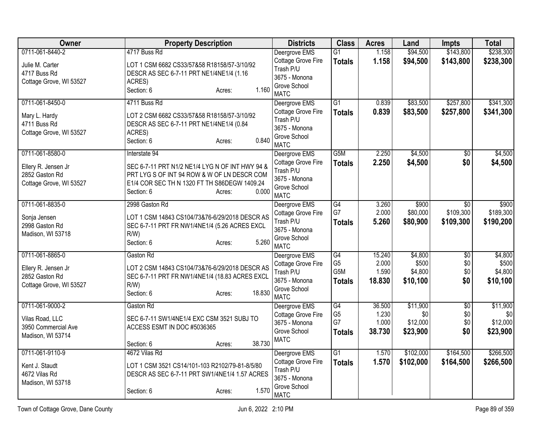| Owner                   | <b>Property Description</b>                     | <b>Districts</b>              | <b>Class</b>    | <b>Acres</b> | Land      | Impts           | <b>Total</b> |
|-------------------------|-------------------------------------------------|-------------------------------|-----------------|--------------|-----------|-----------------|--------------|
| 0711-061-8440-2         | 4717 Buss Rd                                    | Deergrove EMS                 | $\overline{G1}$ | 1.158        | \$94,500  | \$143,800       | \$238,300    |
| Julie M. Carter         | LOT 1 CSM 6682 CS33/57&58 R18158/57-3/10/92     | Cottage Grove Fire            | <b>Totals</b>   | 1.158        | \$94,500  | \$143,800       | \$238,300    |
| 4717 Buss Rd            | DESCR AS SEC 6-7-11 PRT NE1/4NE1/4 (1.16        | Trash P/U                     |                 |              |           |                 |              |
| Cottage Grove, WI 53527 | ACRES)                                          | 3675 - Monona<br>Grove School |                 |              |           |                 |              |
|                         | 1.160<br>Section: 6<br>Acres:                   | <b>MATC</b>                   |                 |              |           |                 |              |
| 0711-061-8450-0         | 4711 Buss Rd                                    | Deergrove EMS                 | $\overline{G1}$ | 0.839        | \$83,500  | \$257,800       | \$341,300    |
| Mary L. Hardy           | LOT 2 CSM 6682 CS33/57&58 R18158/57-3/10/92     | Cottage Grove Fire            | <b>Totals</b>   | 0.839        | \$83,500  | \$257,800       | \$341,300    |
| 4711 Buss Rd            | DESCR AS SEC 6-7-11 PRT NE1/4NE1/4 (0.84        | Trash P/U                     |                 |              |           |                 |              |
| Cottage Grove, WI 53527 | ACRES)                                          | 3675 - Monona<br>Grove School |                 |              |           |                 |              |
|                         | 0.840<br>Section: 6<br>Acres:                   | <b>MATC</b>                   |                 |              |           |                 |              |
| 0711-061-8580-0         | Interstate 94                                   | Deergrove EMS                 | G5M             | 2.250        | \$4,500   | $\overline{50}$ | \$4,500      |
| Ellery R. Jensen Jr     | SEC 6-7-11 PRT N1/2 NE1/4 LYG N OF INT HWY 94 & | Cottage Grove Fire            | <b>Totals</b>   | 2.250        | \$4,500   | \$0             | \$4,500      |
| 2852 Gaston Rd          | PRT LYG S OF INT 94 ROW & W OF LN DESCR COM     | Trash P/U<br>3675 - Monona    |                 |              |           |                 |              |
| Cottage Grove, WI 53527 | E1/4 COR SEC TH N 1320 FT TH S86DEGW 1409.24    | Grove School                  |                 |              |           |                 |              |
|                         | 0.000<br>Section: 6<br>Acres:                   | <b>MATC</b>                   |                 |              |           |                 |              |
| 0711-061-8835-0         | 2998 Gaston Rd                                  | Deergrove EMS                 | G4              | 3.260        | \$900     | $\overline{30}$ | \$900        |
| Sonja Jensen            | LOT 1 CSM 14843 CS104/73&76-6/29/2018 DESCR AS  | Cottage Grove Fire            | G7              | 2.000        | \$80,000  | \$109,300       | \$189,300    |
| 2998 Gaston Rd          | SEC 6-7-11 PRT FR NW1/4NE1/4 (5.26 ACRES EXCL   | Trash P/U<br>3675 - Monona    | <b>Totals</b>   | 5.260        | \$80,900  | \$109,300       | \$190,200    |
| Madison, WI 53718       | R/W                                             | Grove School                  |                 |              |           |                 |              |
|                         | 5.260<br>Section: 6<br>Acres:                   | <b>MATC</b>                   |                 |              |           |                 |              |
| 0711-061-8865-0         | Gaston Rd                                       | Deergrove EMS                 | G4              | 15.240       | \$4,800   | $\overline{50}$ | \$4,800      |
| Ellery R. Jensen Jr     | LOT 2 CSM 14843 CS104/73&76-6/29/2018 DESCR AS  | Cottage Grove Fire            | G <sub>5</sub>  | 2.000        | \$500     | \$0             | \$500        |
| 2852 Gaston Rd          | SEC 6-7-11 PRT FR NW1/4NE1/4 (18.83 ACRES EXCL  | Trash P/U                     | G5M             | 1.590        | \$4,800   | \$0             | \$4,800      |
| Cottage Grove, WI 53527 | $R/W$ )                                         | 3675 - Monona<br>Grove School | <b>Totals</b>   | 18.830       | \$10,100  | \$0             | \$10,100     |
|                         | 18.830<br>Section: 6<br>Acres:                  | <b>MATC</b>                   |                 |              |           |                 |              |
| 0711-061-9000-2         | Gaston Rd                                       | Deergrove EMS                 | G4              | 36.500       | \$11,900  | $\overline{50}$ | \$11,900     |
| Vilas Road, LLC         | SEC 6-7-11 SW1/4NE1/4 EXC CSM 3521 SUBJ TO      | Cottage Grove Fire            | G <sub>5</sub>  | 1.230        | \$0       | \$0             | \$0          |
| 3950 Commercial Ave     | ACCESS ESMT IN DOC #5036365                     | 3675 - Monona                 | G7              | 1.000        | \$12,000  | \$0             | \$12,000     |
| Madison, WI 53714       |                                                 | Grove School<br><b>MATC</b>   | <b>Totals</b>   | 38.730       | \$23,900  | \$0             | \$23,900     |
|                         | 38.730<br>Section: 6<br>Acres:                  |                               |                 |              |           |                 |              |
| 0711-061-9110-9         | 4672 Vilas Rd                                   | Deergrove EMS                 | G1              | 1.570        | \$102,000 | \$164,500       | \$266,500    |
| Kent J. Staudt          | LOT 1 CSM 3521 CS14/101-103 R2102/79-81-8/5/80  | Cottage Grove Fire            | <b>Totals</b>   | 1.570        | \$102,000 | \$164,500       | \$266,500    |
| 4672 Vilas Rd           | DESCR AS SEC 6-7-11 PRT SW1/4NE1/4 1.57 ACRES   | Trash P/U<br>3675 - Monona    |                 |              |           |                 |              |
| Madison, WI 53718       |                                                 | Grove School                  |                 |              |           |                 |              |
|                         | 1.570<br>Section: 6<br>Acres:                   | <b>MATC</b>                   |                 |              |           |                 |              |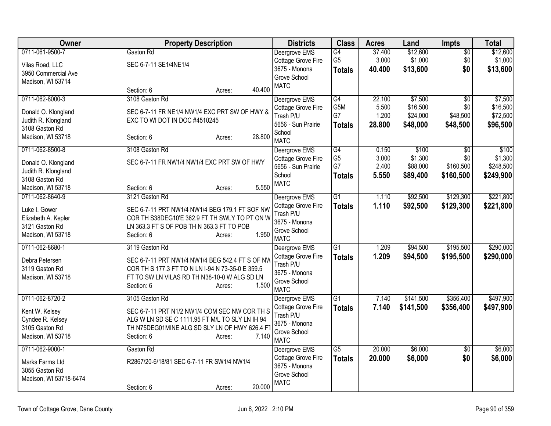| Owner                  | <b>Property Description</b>                      | <b>Districts</b>            | <b>Class</b>           | <b>Acres</b> | Land      | <b>Impts</b>    | <b>Total</b> |
|------------------------|--------------------------------------------------|-----------------------------|------------------------|--------------|-----------|-----------------|--------------|
| 0711-061-9500-7        | Gaston Rd                                        | Deergrove EMS               | G4                     | 37.400       | \$12,600  | $\overline{50}$ | \$12,600     |
| Vilas Road, LLC        | SEC 6-7-11 SE1/4NE1/4                            | Cottage Grove Fire          | G <sub>5</sub>         | 3.000        | \$1,000   | \$0             | \$1,000      |
| 3950 Commercial Ave    |                                                  | 3675 - Monona               | <b>Totals</b>          | 40.400       | \$13,600  | \$0             | \$13,600     |
| Madison, WI 53714      |                                                  | Grove School                |                        |              |           |                 |              |
|                        | 40.400<br>Section: 6<br>Acres:                   | <b>MATC</b>                 |                        |              |           |                 |              |
| 0711-062-8000-3        | 3108 Gaston Rd                                   | Deergrove EMS               | G4                     | 22.100       | \$7,500   | \$0             | \$7,500      |
| Donald O. Klongland    | SEC 6-7-11 FR NE1/4 NW1/4 EXC PRT SW OF HWY &    | Cottage Grove Fire          | G5M                    | 5.500        | \$16,500  | \$0             | \$16,500     |
| Judith R. Klongland    | EXC TO WI DOT IN DOC #4510245                    | Trash P/U                   | G7                     | 1.200        | \$24,000  | \$48,500        | \$72,500     |
| 3108 Gaston Rd         |                                                  | 5656 - Sun Prairie          | <b>Totals</b>          | 28.800       | \$48,000  | \$48,500        | \$96,500     |
| Madison, WI 53718      | 28.800<br>Section: 6<br>Acres:                   | School                      |                        |              |           |                 |              |
|                        |                                                  | <b>MATC</b>                 |                        |              |           |                 |              |
| 0711-062-8500-8        | 3108 Gaston Rd                                   | Deergrove EMS               | G4                     | 0.150        | \$100     | $\overline{50}$ | \$100        |
| Donald O. Klongland    | SEC 6-7-11 FR NW1/4 NW1/4 EXC PRT SW OF HWY      | Cottage Grove Fire          | G <sub>5</sub>         | 3.000        | \$1,300   | \$0             | \$1,300      |
| Judith R. Klongland    |                                                  | 5656 - Sun Prairie          | G7                     | 2.400        | \$88,000  | \$160,500       | \$248,500    |
| 3108 Gaston Rd         |                                                  | School                      | Totals                 | 5.550        | \$89,400  | \$160,500       | \$249,900    |
| Madison, WI 53718      | 5.550<br>Section: 6<br>Acres:                    | <b>MATC</b>                 |                        |              |           |                 |              |
| 0711-062-8640-9        | 3121 Gaston Rd                                   | Deergrove EMS               | $\overline{G1}$        | 1.110        | \$92,500  | \$129,300       | \$221,800    |
| Luke I. Gower          | SEC 6-7-11 PRT NW1/4 NW1/4 BEG 179.1 FT SOF NW   | Cottage Grove Fire          | <b>Totals</b>          | 1.110        | \$92,500  | \$129,300       | \$221,800    |
| Elizabeth A. Kepler    | COR TH S38DEG10'E 362.9 FT TH SWLY TO PT ON W    | Trash P/U                   |                        |              |           |                 |              |
| 3121 Gaston Rd         | LN 363.3 FT S OF POB TH N 363.3 FT TO POB        | 3675 - Monona               |                        |              |           |                 |              |
| Madison, WI 53718      | 1.950<br>Section: 6<br>Acres:                    | Grove School                |                        |              |           |                 |              |
|                        |                                                  | <b>MATC</b>                 |                        |              |           |                 |              |
| 0711-062-8680-1        | 3119 Gaston Rd                                   | Deergrove EMS               | $\overline{G1}$        | 1.209        | \$94,500  | \$195,500       | \$290,000    |
| Debra Petersen         | SEC 6-7-11 PRT NW1/4 NW1/4 BEG 542.4 FT S OF NW  | Cottage Grove Fire          | <b>Totals</b>          | 1.209        | \$94,500  | \$195,500       | \$290,000    |
| 3119 Gaston Rd         | COR TH S 177.3 FT TO N LN I-94 N 73-35-0 E 359.5 | Trash P/U                   |                        |              |           |                 |              |
| Madison, WI 53718      | FT TO SW LN VILAS RD TH N38-10-0 W ALG SD LN     | 3675 - Monona               |                        |              |           |                 |              |
|                        | 1.500<br>Section: 6<br>Acres:                    | Grove School<br><b>MATC</b> |                        |              |           |                 |              |
| 0711-062-8720-2        | 3105 Gaston Rd                                   | Deergrove EMS               | G1                     | 7.140        | \$141,500 | \$356,400       | \$497,900    |
|                        |                                                  | Cottage Grove Fire          | <b>Totals</b>          | 7.140        | \$141,500 | \$356,400       | \$497,900    |
| Kent W. Kelsey         | SEC 6-7-11 PRT N1/2 NW1/4 COM SEC NW COR TH S    | Trash P/U                   |                        |              |           |                 |              |
| Cyndee R. Kelsey       | ALG W LN SD SE C 1111.95 FT M/L TO SLY LN IH 94  | 3675 - Monona               |                        |              |           |                 |              |
| 3105 Gaston Rd         | TH N75DEG01MINE ALG SD SLY LN OF HWY 626.4 FT    | Grove School                |                        |              |           |                 |              |
| Madison, WI 53718      | 7.140<br>Section: 6<br>Acres:                    | <b>MATC</b>                 |                        |              |           |                 |              |
| 0711-062-9000-1        | Gaston Rd                                        | Deergrove EMS               | $\overline{\text{G5}}$ | 20.000       | \$6,000   | $\overline{50}$ | \$6,000      |
| Marks Farms Ltd        | R2867/20-6/18/81 SEC 6-7-11 FR SW1/4 NW1/4       | Cottage Grove Fire          | <b>Totals</b>          | 20.000       | \$6,000   | \$0             | \$6,000      |
| 3055 Gaston Rd         |                                                  | 3675 - Monona               |                        |              |           |                 |              |
| Madison, WI 53718-6474 |                                                  | Grove School                |                        |              |           |                 |              |
|                        | 20.000<br>Section: 6<br>Acres:                   | <b>MATC</b>                 |                        |              |           |                 |              |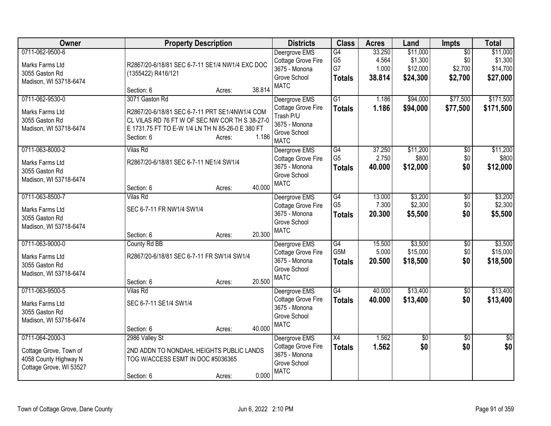| <b>Owner</b>                                                                                      |                                                                                                                                                                    | <b>Property Description</b> |        |                                                                                                      | <b>Class</b>                                                   | <b>Acres</b>                                | Land                                                    | <b>Impts</b>                                             | <b>Total</b>                                             |
|---------------------------------------------------------------------------------------------------|--------------------------------------------------------------------------------------------------------------------------------------------------------------------|-----------------------------|--------|------------------------------------------------------------------------------------------------------|----------------------------------------------------------------|---------------------------------------------|---------------------------------------------------------|----------------------------------------------------------|----------------------------------------------------------|
| 0711-062-9500-6<br>Marks Farms Ltd<br>3055 Gaston Rd<br>Madison, WI 53718-6474<br>0711-062-9530-0 | R2867/20-6/18/81 SEC 6-7-11 SE1/4 NW1/4 EXC DOC<br>(1355422) R416/121<br>Section: 6<br>3071 Gaston Rd                                                              | Acres:                      | 38.814 | Deergrove EMS<br>Cottage Grove Fire<br>3675 - Monona<br>Grove School<br><b>MATC</b><br>Deergrove EMS | G4<br>G <sub>5</sub><br>G7<br><b>Totals</b><br>$\overline{G1}$ | 33.250<br>4.564<br>1.000<br>38.814<br>1.186 | \$11,000<br>\$1,300<br>\$12,000<br>\$24,300<br>\$94,000 | $\overline{50}$<br>\$0<br>\$2,700<br>\$2,700<br>\$77,500 | \$11,000<br>\$1,300<br>\$14,700<br>\$27,000<br>\$171,500 |
| Marks Farms Ltd<br>3055 Gaston Rd<br>Madison, WI 53718-6474                                       | R2867/20-6/18/81 SEC 6-7-11 PRT SE1/4NW1/4 COM<br>CL VILAS RD 76 FT W OF SEC NW COR TH S 38-27-0<br>E 1731.75 FT TO E-W 1/4 LN TH N 85-26-0 E 380 FT<br>Section: 6 | Acres:                      | 1.186  | Cottage Grove Fire<br>Trash P/U<br>3675 - Monona<br>Grove School<br><b>MATC</b>                      | <b>Totals</b>                                                  | 1.186                                       | \$94,000                                                | \$77,500                                                 | \$171,500                                                |
| 0711-063-8000-2<br>Marks Farms Ltd<br>3055 Gaston Rd<br>Madison, WI 53718-6474                    | Vilas Rd<br>R2867/20-6/18/81 SEC 6-7-11 NE1/4 SW1/4<br>Section: 6                                                                                                  | Acres:                      | 40.000 | Deergrove EMS<br>Cottage Grove Fire<br>3675 - Monona<br>Grove School<br><b>MATC</b>                  | $\overline{G4}$<br>G <sub>5</sub><br><b>Totals</b>             | 37.250<br>2.750<br>40.000                   | \$11,200<br>\$800<br>\$12,000                           | $\overline{50}$<br>\$0<br>\$0                            | \$11,200<br>\$800<br>\$12,000                            |
| 0711-063-8500-7<br>Marks Farms Ltd<br>3055 Gaston Rd<br>Madison, WI 53718-6474                    | <b>Vilas Rd</b><br>SEC 6-7-11 FR NW1/4 SW1/4<br>Section: 6                                                                                                         | Acres:                      | 20.300 | Deergrove EMS<br>Cottage Grove Fire<br>3675 - Monona<br>Grove School<br><b>MATC</b>                  | G4<br>G <sub>5</sub><br><b>Totals</b>                          | 13.000<br>7.300<br>20.300                   | \$3,200<br>\$2,300<br>\$5,500                           | $\overline{50}$<br>\$0<br>\$0                            | \$3,200<br>\$2,300<br>\$5,500                            |
| 0711-063-9000-0<br>Marks Farms Ltd<br>3055 Gaston Rd<br>Madison, WI 53718-6474                    | County Rd BB<br>R2867/20-6/18/81 SEC 6-7-11 FR SW1/4 SW1/4<br>Section: 6                                                                                           | Acres:                      | 20.500 | Deergrove EMS<br>Cottage Grove Fire<br>3675 - Monona<br>Grove School<br><b>MATC</b>                  | G4<br>G5M<br><b>Totals</b>                                     | 15.500<br>5.000<br>20.500                   | \$3,500<br>\$15,000<br>\$18,500                         | \$0<br>\$0<br>\$0                                        | \$3,500<br>\$15,000<br>\$18,500                          |
| 0711-063-9500-5<br>Marks Farms Ltd<br>3055 Gaston Rd<br>Madison, WI 53718-6474                    | <b>Vilas Rd</b><br>SEC 6-7-11 SE1/4 SW1/4<br>Section: 6                                                                                                            | Acres:                      | 40.000 | Deergrove EMS<br>Cottage Grove Fire<br>3675 - Monona<br>Grove School<br><b>MATC</b>                  | G4<br><b>Totals</b>                                            | 40.000<br>40.000                            | \$13,400<br>\$13,400                                    | \$0<br>\$0                                               | \$13,400<br>\$13,400                                     |
| 0711-064-2000-3<br>Cottage Grove, Town of<br>4058 County Highway N<br>Cottage Grove, WI 53527     | 2986 Valley St<br>2ND ADDN TO NONDAHL HEIGHTS PUBLIC LANDS<br>TOG W/ACCESS ESMT IN DOC #5036365<br>Section: 6                                                      | Acres:                      | 0.000  | Deergrove EMS<br>Cottage Grove Fire<br>3675 - Monona<br>Grove School<br><b>MATC</b>                  | $\overline{X4}$<br><b>Totals</b>                               | 1.562<br>1.562                              | $\overline{50}$<br>\$0                                  | \$0<br>\$0                                               | $\overline{50}$<br>\$0                                   |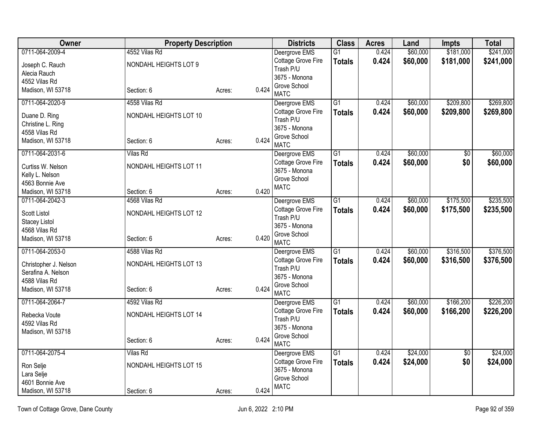| Owner                          | <b>Property Description</b> |        | <b>Districts</b> | <b>Class</b>                        | <b>Acres</b>    | Land  | Impts    | <b>Total</b> |           |
|--------------------------------|-----------------------------|--------|------------------|-------------------------------------|-----------------|-------|----------|--------------|-----------|
| 0711-064-2009-4                | 4552 Vilas Rd               |        |                  | Deergrove EMS                       | $\overline{G1}$ | 0.424 | \$60,000 | \$181,000    | \$241,000 |
| Joseph C. Rauch                | NONDAHL HEIGHTS LOT 9       |        |                  | Cottage Grove Fire                  | <b>Totals</b>   | 0.424 | \$60,000 | \$181,000    | \$241,000 |
| Alecia Rauch                   |                             |        |                  | Trash P/U                           |                 |       |          |              |           |
| 4552 Vilas Rd                  |                             |        |                  | 3675 - Monona                       |                 |       |          |              |           |
| Madison, WI 53718              | Section: 6                  | Acres: | 0.424            | Grove School                        |                 |       |          |              |           |
|                                |                             |        |                  | <b>MATC</b>                         |                 |       |          |              |           |
| 0711-064-2020-9                | 4558 Vilas Rd               |        |                  | Deergrove EMS                       | $\overline{G1}$ | 0.424 | \$60,000 | \$209,800    | \$269,800 |
| Duane D. Ring                  | NONDAHL HEIGHTS LOT 10      |        |                  | Cottage Grove Fire                  | <b>Totals</b>   | 0.424 | \$60,000 | \$209,800    | \$269,800 |
| Christine L. Ring              |                             |        |                  | Trash P/U                           |                 |       |          |              |           |
| 4558 Vilas Rd                  |                             |        |                  | 3675 - Monona                       |                 |       |          |              |           |
| Madison, WI 53718              | Section: 6                  | Acres: | 0.424            | Grove School                        |                 |       |          |              |           |
|                                |                             |        |                  | <b>MATC</b>                         |                 |       |          |              |           |
| 0711-064-2031-6                | <b>Vilas Rd</b>             |        |                  | Deergrove EMS                       | G1              | 0.424 | \$60,000 | \$0          | \$60,000  |
| Curtiss W. Nelson              | NONDAHL HEIGHTS LOT 11      |        |                  | Cottage Grove Fire<br>3675 - Monona | <b>Totals</b>   | 0.424 | \$60,000 | \$0          | \$60,000  |
| Kelly L. Nelson                |                             |        |                  | Grove School                        |                 |       |          |              |           |
| 4563 Bonnie Ave                |                             |        |                  | <b>MATC</b>                         |                 |       |          |              |           |
| Madison, WI 53718              | Section: 6                  | Acres: | 0.420            |                                     |                 |       |          |              |           |
| 0711-064-2042-3                | 4568 Vilas Rd               |        |                  | Deergrove EMS                       | G1              | 0.424 | \$60,000 | \$175,500    | \$235,500 |
| <b>Scott Listol</b>            | NONDAHL HEIGHTS LOT 12      |        |                  | Cottage Grove Fire                  | <b>Totals</b>   | 0.424 | \$60,000 | \$175,500    | \$235,500 |
|                                |                             |        |                  | Trash P/U                           |                 |       |          |              |           |
| Stacey Listol<br>4568 Vilas Rd |                             |        |                  | 3675 - Monona                       |                 |       |          |              |           |
| Madison, WI 53718              | Section: 6                  |        | 0.420            | Grove School                        |                 |       |          |              |           |
|                                |                             | Acres: |                  | <b>MATC</b>                         |                 |       |          |              |           |
| 0711-064-2053-0                | 4588 Vilas Rd               |        |                  | Deergrove EMS                       | G1              | 0.424 | \$60,000 | \$316,500    | \$376,500 |
| Christopher J. Nelson          | NONDAHL HEIGHTS LOT 13      |        |                  | Cottage Grove Fire                  | <b>Totals</b>   | 0.424 | \$60,000 | \$316,500    | \$376,500 |
| Serafina A. Nelson             |                             |        |                  | Trash P/U                           |                 |       |          |              |           |
| 4588 Vilas Rd                  |                             |        |                  | 3675 - Monona                       |                 |       |          |              |           |
| Madison, WI 53718              | Section: 6                  | Acres: | 0.424            | Grove School                        |                 |       |          |              |           |
|                                |                             |        |                  | <b>MATC</b>                         |                 |       |          |              |           |
| 0711-064-2064-7                | 4592 Vilas Rd               |        |                  | Deergrove EMS                       | $\overline{G1}$ | 0.424 | \$60,000 | \$166,200    | \$226,200 |
| Rebecka Voute                  | NONDAHL HEIGHTS LOT 14      |        |                  | Cottage Grove Fire                  | <b>Totals</b>   | 0.424 | \$60,000 | \$166,200    | \$226,200 |
| 4592 Vilas Rd                  |                             |        |                  | Trash P/U                           |                 |       |          |              |           |
| Madison, WI 53718              |                             |        |                  | 3675 - Monona                       |                 |       |          |              |           |
|                                | Section: 6                  | Acres: | 0.424            | Grove School                        |                 |       |          |              |           |
|                                |                             |        |                  | <b>MATC</b>                         |                 |       |          |              |           |
| 0711-064-2075-4                | <b>Vilas Rd</b>             |        |                  | Deergrove EMS                       | $\overline{G1}$ | 0.424 | \$24,000 | \$0          | \$24,000  |
| Ron Selje                      | NONDAHL HEIGHTS LOT 15      |        |                  | Cottage Grove Fire                  | <b>Totals</b>   | 0.424 | \$24,000 | \$0          | \$24,000  |
| Lara Selje                     |                             |        |                  | 3675 - Monona<br>Grove School       |                 |       |          |              |           |
| 4601 Bonnie Ave                |                             |        |                  | <b>MATC</b>                         |                 |       |          |              |           |
| Madison, WI 53718              | Section: 6                  | Acres: | 0.424            |                                     |                 |       |          |              |           |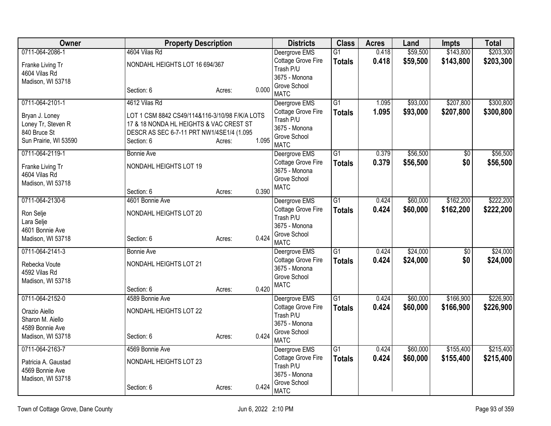| Owner                             |                                                | <b>Property Description</b> |       | <b>Districts</b>              | <b>Class</b>    | <b>Acres</b> | Land     | <b>Impts</b>    | <b>Total</b> |
|-----------------------------------|------------------------------------------------|-----------------------------|-------|-------------------------------|-----------------|--------------|----------|-----------------|--------------|
| 0711-064-2086-1                   | 4604 Vilas Rd                                  |                             |       | Deergrove EMS                 | $\overline{G1}$ | 0.418        | \$59,500 | \$143,800       | \$203,300    |
| Franke Living Tr                  | NONDAHL HEIGHTS LOT 16 694/367                 |                             |       | Cottage Grove Fire            | <b>Totals</b>   | 0.418        | \$59,500 | \$143,800       | \$203,300    |
| 4604 Vilas Rd                     |                                                |                             |       | Trash P/U                     |                 |              |          |                 |              |
| Madison, WI 53718                 |                                                |                             |       | 3675 - Monona<br>Grove School |                 |              |          |                 |              |
|                                   | Section: 6                                     | Acres:                      | 0.000 | <b>MATC</b>                   |                 |              |          |                 |              |
| 0711-064-2101-1                   | 4612 Vilas Rd                                  |                             |       | Deergrove EMS                 | $\overline{G1}$ | 1.095        | \$93,000 | \$207,800       | \$300,800    |
| Bryan J. Loney                    | LOT 1 CSM 8842 CS49/114&116-3/10/98 F/K/A LOTS |                             |       | Cottage Grove Fire            | <b>Totals</b>   | 1.095        | \$93,000 | \$207,800       | \$300,800    |
| Loney Tr, Steven R                | 17 & 18 NONDA HL HEIGHTS & VAC CREST ST        |                             |       | Trash P/U                     |                 |              |          |                 |              |
| 840 Bruce St                      | DESCR AS SEC 6-7-11 PRT NW1/4SE1/4 (1.095      |                             |       | 3675 - Monona                 |                 |              |          |                 |              |
| Sun Prairie, WI 53590             | Section: 6                                     | Acres:                      | 1.095 | Grove School<br><b>MATC</b>   |                 |              |          |                 |              |
| 0711-064-2119-1                   | <b>Bonnie Ave</b>                              |                             |       | Deergrove EMS                 | G1              | 0.379        | \$56,500 | \$0             | \$56,500     |
|                                   | NONDAHL HEIGHTS LOT 19                         |                             |       | Cottage Grove Fire            | <b>Totals</b>   | 0.379        | \$56,500 | \$0             | \$56,500     |
| Franke Living Tr<br>4604 Vilas Rd |                                                |                             |       | 3675 - Monona                 |                 |              |          |                 |              |
| Madison, WI 53718                 |                                                |                             |       | Grove School                  |                 |              |          |                 |              |
|                                   | Section: 6                                     | Acres:                      | 0.390 | <b>MATC</b>                   |                 |              |          |                 |              |
| 0711-064-2130-6                   | 4601 Bonnie Ave                                |                             |       | Deergrove EMS                 | G1              | 0.424        | \$60,000 | \$162,200       | \$222,200    |
|                                   |                                                |                             |       | Cottage Grove Fire            | <b>Totals</b>   | 0.424        | \$60,000 | \$162,200       | \$222,200    |
| Ron Selje                         | NONDAHL HEIGHTS LOT 20                         |                             |       | Trash P/U                     |                 |              |          |                 |              |
| Lara Selje<br>4601 Bonnie Ave     |                                                |                             |       | 3675 - Monona                 |                 |              |          |                 |              |
| Madison, WI 53718                 | Section: 6                                     |                             | 0.424 | Grove School                  |                 |              |          |                 |              |
|                                   |                                                | Acres:                      |       | <b>MATC</b>                   |                 |              |          |                 |              |
| 0711-064-2141-3                   | <b>Bonnie Ave</b>                              |                             |       | Deergrove EMS                 | $\overline{G1}$ | 0.424        | \$24,000 | $\overline{50}$ | \$24,000     |
| Rebecka Voute                     | NONDAHL HEIGHTS LOT 21                         |                             |       | Cottage Grove Fire            | <b>Totals</b>   | 0.424        | \$24,000 | \$0             | \$24,000     |
| 4592 Vilas Rd                     |                                                |                             |       | 3675 - Monona                 |                 |              |          |                 |              |
| Madison, WI 53718                 |                                                |                             |       | Grove School                  |                 |              |          |                 |              |
|                                   | Section: 6                                     | Acres:                      | 0.420 | <b>MATC</b>                   |                 |              |          |                 |              |
| 0711-064-2152-0                   | 4589 Bonnie Ave                                |                             |       | Deergrove EMS                 | $\overline{G1}$ | 0.424        | \$60,000 | \$166,900       | \$226,900    |
| Orazio Aiello                     | NONDAHL HEIGHTS LOT 22                         |                             |       | Cottage Grove Fire            | <b>Totals</b>   | 0.424        | \$60,000 | \$166,900       | \$226,900    |
| Sharon M. Aiello                  |                                                |                             |       | Trash P/U                     |                 |              |          |                 |              |
| 4589 Bonnie Ave                   |                                                |                             |       | 3675 - Monona                 |                 |              |          |                 |              |
| Madison, WI 53718                 | Section: 6                                     | Acres:                      | 0.424 | Grove School                  |                 |              |          |                 |              |
| 0711-064-2163-7                   | 4569 Bonnie Ave                                |                             |       | <b>MATC</b><br>Deergrove EMS  | $\overline{G1}$ | 0.424        | \$60,000 | \$155,400       | \$215,400    |
|                                   |                                                |                             |       | Cottage Grove Fire            |                 | 0.424        | \$60,000 | \$155,400       | \$215,400    |
| Patricia A. Gaustad               | NONDAHL HEIGHTS LOT 23                         |                             |       | Trash P/U                     | <b>Totals</b>   |              |          |                 |              |
| 4569 Bonnie Ave                   |                                                |                             |       | 3675 - Monona                 |                 |              |          |                 |              |
| Madison, WI 53718                 |                                                |                             |       | Grove School                  |                 |              |          |                 |              |
|                                   | Section: 6                                     | Acres:                      | 0.424 | <b>MATC</b>                   |                 |              |          |                 |              |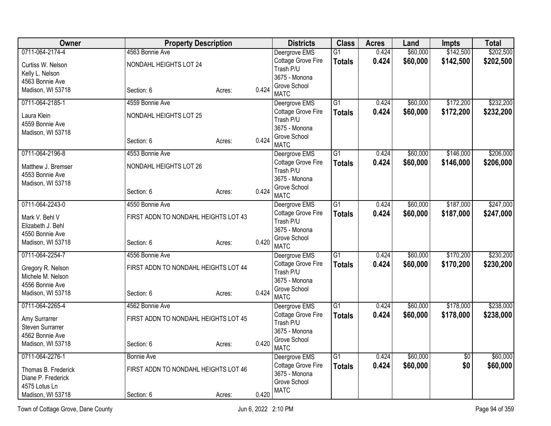| <b>Owner</b>            | <b>Property Description</b>          |        |       | <b>Districts</b>              | <b>Class</b>    | <b>Acres</b> | Land     | Impts           | <b>Total</b> |
|-------------------------|--------------------------------------|--------|-------|-------------------------------|-----------------|--------------|----------|-----------------|--------------|
| 0711-064-2174-4         | 4563 Bonnie Ave                      |        |       | Deergrove EMS                 | $\overline{G1}$ | 0.424        | \$60,000 | \$142,500       | \$202,500    |
| Curtiss W. Nelson       | NONDAHL HEIGHTS LOT 24               |        |       | Cottage Grove Fire            | <b>Totals</b>   | 0.424        | \$60,000 | \$142,500       | \$202,500    |
| Kelly L. Nelson         |                                      |        |       | Trash P/U                     |                 |              |          |                 |              |
| 4563 Bonnie Ave         |                                      |        |       | 3675 - Monona<br>Grove School |                 |              |          |                 |              |
| Madison, WI 53718       | Section: 6                           | Acres: | 0.424 | <b>MATC</b>                   |                 |              |          |                 |              |
| 0711-064-2185-1         | 4559 Bonnie Ave                      |        |       | Deergrove EMS                 | $\overline{G1}$ | 0.424        | \$60,000 | \$172,200       | \$232,200    |
| Laura Klein             | NONDAHL HEIGHTS LOT 25               |        |       | Cottage Grove Fire            | <b>Totals</b>   | 0.424        | \$60,000 | \$172,200       | \$232,200    |
| 4559 Bonnie Ave         |                                      |        |       | Trash P/U<br>3675 - Monona    |                 |              |          |                 |              |
| Madison, WI 53718       |                                      |        |       | Grove School                  |                 |              |          |                 |              |
|                         | Section: 6                           | Acres: | 0.424 | <b>MATC</b>                   |                 |              |          |                 |              |
| 0711-064-2196-8         | 4553 Bonnie Ave                      |        |       | Deergrove EMS                 | $\overline{G1}$ | 0.424        | \$60,000 | \$146,000       | \$206,000    |
| Matthew J. Bremser      | NONDAHL HEIGHTS LOT 26               |        |       | Cottage Grove Fire            | <b>Totals</b>   | 0.424        | \$60,000 | \$146,000       | \$206,000    |
| 4553 Bonnie Ave         |                                      |        |       | Trash P/U                     |                 |              |          |                 |              |
| Madison, WI 53718       |                                      |        |       | 3675 - Monona                 |                 |              |          |                 |              |
|                         | Section: 6                           | Acres: | 0.424 | Grove School<br><b>MATC</b>   |                 |              |          |                 |              |
| 0711-064-2243-0         | 4550 Bonnie Ave                      |        |       | Deergrove EMS                 | $\overline{G1}$ | 0.424        | \$60,000 | \$187,000       | \$247,000    |
| Mark V. Behl V          | FIRST ADDN TO NONDAHL HEIGHTS LOT 43 |        |       | Cottage Grove Fire            | <b>Totals</b>   | 0.424        | \$60,000 | \$187,000       | \$247,000    |
| Elizabeth J. Behl       |                                      |        |       | Trash P/U                     |                 |              |          |                 |              |
| 4550 Bonnie Ave         |                                      |        |       | 3675 - Monona                 |                 |              |          |                 |              |
| Madison, WI 53718       | Section: 6                           | Acres: | 0.420 | Grove School<br><b>MATC</b>   |                 |              |          |                 |              |
| 0711-064-2254-7         | 4556 Bonnie Ave                      |        |       | Deergrove EMS                 | $\overline{G1}$ | 0.424        | \$60,000 | \$170,200       | \$230,200    |
| Gregory R. Nelson       | FIRST ADDN TO NONDAHL HEIGHTS LOT 44 |        |       | Cottage Grove Fire            | <b>Totals</b>   | 0.424        | \$60,000 | \$170,200       | \$230,200    |
| Michele M. Nelson       |                                      |        |       | Trash P/U                     |                 |              |          |                 |              |
| 4556 Bonnie Ave         |                                      |        |       | 3675 - Monona                 |                 |              |          |                 |              |
| Madison, WI 53718       | Section: 6                           | Acres: | 0.424 | Grove School<br><b>MATC</b>   |                 |              |          |                 |              |
| 0711-064-2265-4         | 4562 Bonnie Ave                      |        |       | Deergrove EMS                 | $\overline{G1}$ | 0.424        | \$60,000 | \$178,000       | \$238,000    |
| Amy Surrarrer           | FIRST ADDN TO NONDAHL HEIGHTS LOT 45 |        |       | Cottage Grove Fire            | <b>Totals</b>   | 0.424        | \$60,000 | \$178,000       | \$238,000    |
| <b>Steven Surrarrer</b> |                                      |        |       | Trash P/U                     |                 |              |          |                 |              |
| 4562 Bonnie Ave         |                                      |        |       | 3675 - Monona                 |                 |              |          |                 |              |
| Madison, WI 53718       | Section: 6                           | Acres: | 0.420 | Grove School<br><b>MATC</b>   |                 |              |          |                 |              |
| 0711-064-2276-1         | <b>Bonnie Ave</b>                    |        |       | Deergrove EMS                 | G1              | 0.424        | \$60,000 | $\overline{60}$ | \$60,000     |
| Thomas B. Frederick     | FIRST ADDN TO NONDAHL HEIGHTS LOT 46 |        |       | Cottage Grove Fire            | <b>Totals</b>   | 0.424        | \$60,000 | \$0             | \$60,000     |
| Diane P. Frederick      |                                      |        |       | 3675 - Monona                 |                 |              |          |                 |              |
| 4575 Lotus Ln           |                                      |        |       | Grove School                  |                 |              |          |                 |              |
| Madison, WI 53718       | Section: 6                           | Acres: | 0.420 | <b>MATC</b>                   |                 |              |          |                 |              |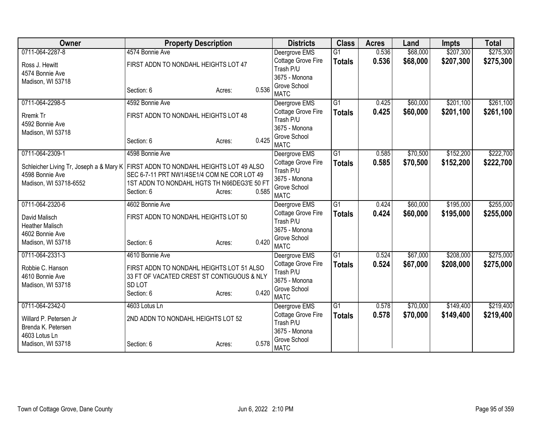| Owner                                   | <b>Property Description</b>                 |           |       | <b>Districts</b>            | <b>Class</b>    | <b>Acres</b> | Land     | <b>Impts</b> | <b>Total</b> |
|-----------------------------------------|---------------------------------------------|-----------|-------|-----------------------------|-----------------|--------------|----------|--------------|--------------|
| 0711-064-2287-8                         | 4574 Bonnie Ave                             |           |       | Deergrove EMS               | $\overline{G1}$ | 0.536        | \$68,000 | \$207,300    | \$275,300    |
| Ross J. Hewitt                          | FIRST ADDN TO NONDAHL HEIGHTS LOT 47        |           |       | Cottage Grove Fire          | <b>Totals</b>   | 0.536        | \$68,000 | \$207,300    | \$275,300    |
| 4574 Bonnie Ave                         |                                             |           |       | Trash P/U                   |                 |              |          |              |              |
| Madison, WI 53718                       |                                             |           |       | 3675 - Monona               |                 |              |          |              |              |
|                                         | Section: 6                                  | Acres:    | 0.536 | Grove School<br><b>MATC</b> |                 |              |          |              |              |
| 0711-064-2298-5                         | 4592 Bonnie Ave                             |           |       | Deergrove EMS               | $\overline{G1}$ | 0.425        | \$60,000 | \$201,100    | \$261,100    |
| Rremk Tr                                | FIRST ADDN TO NONDAHL HEIGHTS LOT 48        |           |       | Cottage Grove Fire          | <b>Totals</b>   | 0.425        | \$60,000 | \$201,100    | \$261,100    |
| 4592 Bonnie Ave                         |                                             |           |       | Trash P/U                   |                 |              |          |              |              |
| Madison, WI 53718                       |                                             |           |       | 3675 - Monona               |                 |              |          |              |              |
|                                         | Section: 6                                  | Acres:    | 0.425 | Grove School<br><b>MATC</b> |                 |              |          |              |              |
| 0711-064-2309-1                         | 4598 Bonnie Ave                             |           |       | Deergrove EMS               | $\overline{G1}$ | 0.585        | \$70,500 | \$152,200    | \$222,700    |
| Schleicher Living Tr, Joseph a & Mary K | FIRST ADDN TO NONDAHL HEIGHTS LOT 49 ALSO   |           |       | Cottage Grove Fire          | <b>Totals</b>   | 0.585        | \$70,500 | \$152,200    | \$222,700    |
| 4598 Bonnie Ave                         | SEC 6-7-11 PRT NW1/4SE1/4 COM NE COR LOT 49 | Trash P/U |       |                             |                 |              |          |              |              |
| Madison, WI 53718-6552                  | 1ST ADDN TO NONDAHL HGTS TH N66DEG3'E 50 FT |           |       | 3675 - Monona               |                 |              |          |              |              |
|                                         | Section: 6                                  | Acres:    | 0.585 | Grove School<br><b>MATC</b> |                 |              |          |              |              |
| 0711-064-2320-6                         | 4602 Bonnie Ave                             |           |       | Deergrove EMS               | $\overline{G1}$ | 0.424        | \$60,000 | \$195,000    | \$255,000    |
| David Malisch                           | FIRST ADDN TO NONDAHL HEIGHTS LOT 50        |           |       | Cottage Grove Fire          | <b>Totals</b>   | 0.424        | \$60,000 | \$195,000    | \$255,000    |
| <b>Heather Malisch</b>                  |                                             |           |       | Trash P/U                   |                 |              |          |              |              |
| 4602 Bonnie Ave                         |                                             |           |       | 3675 - Monona               |                 |              |          |              |              |
| Madison, WI 53718                       | Section: 6                                  | Acres:    | 0.420 | Grove School<br><b>MATC</b> |                 |              |          |              |              |
| 0711-064-2331-3                         | 4610 Bonnie Ave                             |           |       | Deergrove EMS               | $\overline{G1}$ | 0.524        | \$67,000 | \$208,000    | \$275,000    |
|                                         |                                             |           |       | Cottage Grove Fire          | <b>Totals</b>   | 0.524        | \$67,000 | \$208,000    | \$275,000    |
| Robbie C. Hanson                        | FIRST ADDN TO NONDAHL HEIGHTS LOT 51 ALSO   |           |       | Trash P/U                   |                 |              |          |              |              |
| 4610 Bonnie Ave                         | 33 FT OF VACATED CREST ST CONTIGUOUS & NLY  |           |       | 3675 - Monona               |                 |              |          |              |              |
| Madison, WI 53718                       | SD <sub>LOT</sub>                           |           |       | Grove School                |                 |              |          |              |              |
|                                         | Section: 6                                  | Acres:    | 0.420 | <b>MATC</b>                 |                 |              |          |              |              |
| 0711-064-2342-0                         | 4603 Lotus Ln                               |           |       | Deergrove EMS               | G1              | 0.578        | \$70,000 | \$149,400    | \$219,400    |
| Willard P. Petersen Jr                  | 2ND ADDN TO NONDAHL HEIGHTS LOT 52          |           |       | Cottage Grove Fire          | <b>Totals</b>   | 0.578        | \$70,000 | \$149,400    | \$219,400    |
| Brenda K. Petersen                      |                                             |           |       | Trash P/U                   |                 |              |          |              |              |
| 4603 Lotus Ln                           |                                             |           |       | 3675 - Monona               |                 |              |          |              |              |
| Madison, WI 53718                       | Section: 6                                  | Acres:    | 0.578 | Grove School<br><b>MATC</b> |                 |              |          |              |              |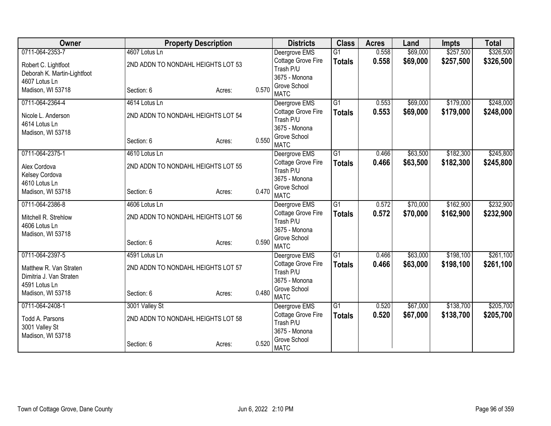| Owner                       | <b>Property Description</b>        |        |       | <b>Districts</b>                | <b>Class</b>    | <b>Acres</b> | Land     | <b>Impts</b> | <b>Total</b> |
|-----------------------------|------------------------------------|--------|-------|---------------------------------|-----------------|--------------|----------|--------------|--------------|
| 0711-064-2353-7             | 4607 Lotus Ln                      |        |       | Deergrove EMS                   | $\overline{G1}$ | 0.558        | \$69,000 | \$257,500    | \$326,500    |
| Robert C. Lightfoot         | 2ND ADDN TO NONDAHL HEIGHTS LOT 53 |        |       | Cottage Grove Fire              | <b>Totals</b>   | 0.558        | \$69,000 | \$257,500    | \$326,500    |
| Deborah K. Martin-Lightfoot |                                    |        |       | Trash P/U                       |                 |              |          |              |              |
| 4607 Lotus Ln               |                                    |        |       | 3675 - Monona                   |                 |              |          |              |              |
| Madison, WI 53718           | Section: 6                         | Acres: | 0.570 | Grove School<br><b>MATC</b>     |                 |              |          |              |              |
| 0711-064-2364-4             | 4614 Lotus Ln                      |        |       | Deergrove EMS                   | $\overline{G1}$ | 0.553        | \$69,000 | \$179,000    | \$248,000    |
| Nicole L. Anderson          | 2ND ADDN TO NONDAHL HEIGHTS LOT 54 |        |       | Cottage Grove Fire              | <b>Totals</b>   | 0.553        | \$69,000 | \$179,000    | \$248,000    |
| 4614 Lotus Ln               |                                    |        |       | Trash P/U                       |                 |              |          |              |              |
| Madison, WI 53718           |                                    |        |       | 3675 - Monona                   |                 |              |          |              |              |
|                             | Section: 6                         | Acres: | 0.550 | Grove School                    |                 |              |          |              |              |
| 0711-064-2375-1             | 4610 Lotus Ln                      |        |       | <b>MATC</b><br>Deergrove EMS    | $\overline{G1}$ | 0.466        | \$63,500 | \$182,300    | \$245,800    |
|                             |                                    |        |       | Cottage Grove Fire              |                 |              |          |              |              |
| Alex Cordova                | 2ND ADDN TO NONDAHL HEIGHTS LOT 55 |        |       | Trash P/U                       | <b>Totals</b>   | 0.466        | \$63,500 | \$182,300    | \$245,800    |
| Kelsey Cordova              |                                    |        |       | 3675 - Monona                   |                 |              |          |              |              |
| 4610 Lotus Ln               |                                    |        |       | Grove School                    |                 |              |          |              |              |
| Madison, WI 53718           | Section: 6                         | Acres: | 0.470 | <b>MATC</b>                     |                 |              |          |              |              |
| 0711-064-2386-8             | 4606 Lotus Ln                      |        |       | Deergrove EMS                   | $\overline{G1}$ | 0.572        | \$70,000 | \$162,900    | \$232,900    |
| Mitchell R. Strehlow        | 2ND ADDN TO NONDAHL HEIGHTS LOT 56 |        |       | Cottage Grove Fire              | <b>Totals</b>   | 0.572        | \$70,000 | \$162,900    | \$232,900    |
| 4606 Lotus Ln               |                                    |        |       | Trash P/U                       |                 |              |          |              |              |
| Madison, WI 53718           |                                    |        |       | 3675 - Monona                   |                 |              |          |              |              |
|                             | Section: 6                         | Acres: | 0.590 | Grove School                    |                 |              |          |              |              |
|                             |                                    |        |       | <b>MATC</b>                     |                 |              |          |              |              |
| 0711-064-2397-5             | 4591 Lotus Ln                      |        |       | Deergrove EMS                   | $\overline{G1}$ | 0.466        | \$63,000 | \$198,100    | \$261,100    |
| Matthew R. Van Straten      | 2ND ADDN TO NONDAHL HEIGHTS LOT 57 |        |       | Cottage Grove Fire<br>Trash P/U | <b>Totals</b>   | 0.466        | \$63,000 | \$198,100    | \$261,100    |
| Dimitria J. Van Straten     |                                    |        |       | 3675 - Monona                   |                 |              |          |              |              |
| 4591 Lotus Ln               |                                    |        |       | Grove School                    |                 |              |          |              |              |
| Madison, WI 53718           | Section: 6                         | Acres: | 0.480 | <b>MATC</b>                     |                 |              |          |              |              |
| 0711-064-2408-1             | 3001 Valley St                     |        |       | Deergrove EMS                   | $\overline{G1}$ | 0.520        | \$67,000 | \$138,700    | \$205,700    |
| Todd A. Parsons             | 2ND ADDN TO NONDAHL HEIGHTS LOT 58 |        |       | Cottage Grove Fire              | <b>Totals</b>   | 0.520        | \$67,000 | \$138,700    | \$205,700    |
| 3001 Valley St              |                                    |        |       | Trash P/U                       |                 |              |          |              |              |
| Madison, WI 53718           |                                    |        |       | 3675 - Monona                   |                 |              |          |              |              |
|                             | Section: 6                         | Acres: | 0.520 | Grove School<br><b>MATC</b>     |                 |              |          |              |              |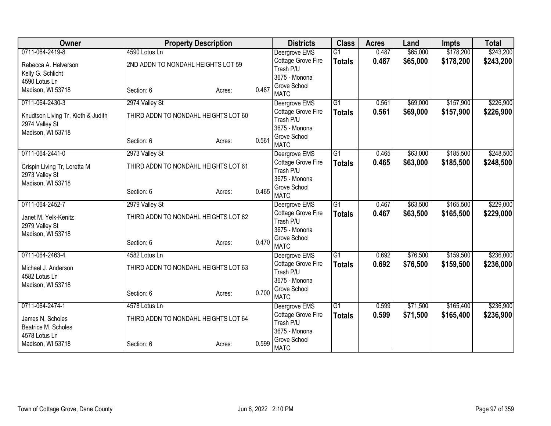| Owner                              | <b>Property Description</b>          |        |       | <b>Districts</b>                       | <b>Class</b>    | <b>Acres</b> | Land     | <b>Impts</b> | <b>Total</b> |
|------------------------------------|--------------------------------------|--------|-------|----------------------------------------|-----------------|--------------|----------|--------------|--------------|
| 0711-064-2419-8                    | 4590 Lotus Ln                        |        |       | Deergrove EMS                          | $\overline{G1}$ | 0.487        | \$65,000 | \$178,200    | \$243,200    |
| Rebecca A. Halverson               | 2ND ADDN TO NONDAHL HEIGHTS LOT 59   |        |       | Cottage Grove Fire                     | <b>Totals</b>   | 0.487        | \$65,000 | \$178,200    | \$243,200    |
| Kelly G. Schlicht                  |                                      |        |       | Trash P/U                              |                 |              |          |              |              |
| 4590 Lotus Ln                      |                                      |        |       | 3675 - Monona                          |                 |              |          |              |              |
| Madison, WI 53718                  | Section: 6                           | Acres: | 0.487 | Grove School<br><b>MATC</b>            |                 |              |          |              |              |
| 0711-064-2430-3                    | 2974 Valley St                       |        |       | Deergrove EMS                          | $\overline{G1}$ | 0.561        | \$69,000 | \$157,900    | \$226,900    |
| Knudtson Living Tr, Kieth & Judith | THIRD ADDN TO NONDAHL HEIGHTS LOT 60 |        |       | Cottage Grove Fire                     | <b>Totals</b>   | 0.561        | \$69,000 | \$157,900    | \$226,900    |
| 2974 Valley St                     |                                      |        |       | Trash P/U                              |                 |              |          |              |              |
| Madison, WI 53718                  |                                      |        |       | 3675 - Monona                          |                 |              |          |              |              |
|                                    | Section: 6                           | Acres: | 0.561 | Grove School                           |                 |              |          |              |              |
|                                    |                                      |        |       | <b>MATC</b>                            |                 |              |          |              |              |
| 0711-064-2441-0                    | 2973 Valley St                       |        |       | Deergrove EMS<br>Cottage Grove Fire    | $\overline{G1}$ | 0.465        | \$63,000 | \$185,500    | \$248,500    |
| Crispin Living Tr, Loretta M       | THIRD ADDN TO NONDAHL HEIGHTS LOT 61 |        |       | Trash P/U                              | <b>Totals</b>   | 0.465        | \$63,000 | \$185,500    | \$248,500    |
| 2973 Valley St                     |                                      |        |       | 3675 - Monona                          |                 |              |          |              |              |
| Madison, WI 53718                  |                                      |        |       | Grove School                           |                 |              |          |              |              |
|                                    | Section: 6                           | Acres: | 0.465 | <b>MATC</b>                            |                 |              |          |              |              |
| 0711-064-2452-7                    | 2979 Valley St                       |        |       | Deergrove EMS                          | $\overline{G1}$ | 0.467        | \$63,500 | \$165,500    | \$229,000    |
| Janet M. Yelk-Kenitz               | THIRD ADDN TO NONDAHL HEIGHTS LOT 62 |        |       | Cottage Grove Fire                     | <b>Totals</b>   | 0.467        | \$63,500 | \$165,500    | \$229,000    |
| 2979 Valley St                     |                                      |        |       | Trash P/U                              |                 |              |          |              |              |
| Madison, WI 53718                  |                                      |        |       | 3675 - Monona                          |                 |              |          |              |              |
|                                    | Section: 6                           | Acres: | 0.470 | Grove School                           |                 |              |          |              |              |
|                                    |                                      |        |       | <b>MATC</b>                            |                 |              |          |              |              |
| 0711-064-2463-4                    | 4582 Lotus Ln                        |        |       | Deergrove EMS                          | $\overline{G1}$ | 0.692        | \$76,500 | \$159,500    | \$236,000    |
| Michael J. Anderson                | THIRD ADDN TO NONDAHL HEIGHTS LOT 63 |        |       | <b>Cottage Grove Fire</b><br>Trash P/U | <b>Totals</b>   | 0.692        | \$76,500 | \$159,500    | \$236,000    |
| 4582 Lotus Ln                      |                                      |        |       | 3675 - Monona                          |                 |              |          |              |              |
| Madison, WI 53718                  |                                      |        |       | Grove School                           |                 |              |          |              |              |
|                                    | Section: 6                           | Acres: | 0.700 | <b>MATC</b>                            |                 |              |          |              |              |
| 0711-064-2474-1                    | 4578 Lotus Ln                        |        |       | Deergrove EMS                          | $\overline{G1}$ | 0.599        | \$71,500 | \$165,400    | \$236,900    |
| James N. Scholes                   | THIRD ADDN TO NONDAHL HEIGHTS LOT 64 |        |       | Cottage Grove Fire                     | <b>Totals</b>   | 0.599        | \$71,500 | \$165,400    | \$236,900    |
| Beatrice M. Scholes                |                                      |        |       | Trash P/U                              |                 |              |          |              |              |
| 4578 Lotus Ln                      |                                      |        |       | 3675 - Monona                          |                 |              |          |              |              |
| Madison, WI 53718                  | Section: 6                           | Acres: | 0.599 | Grove School<br><b>MATC</b>            |                 |              |          |              |              |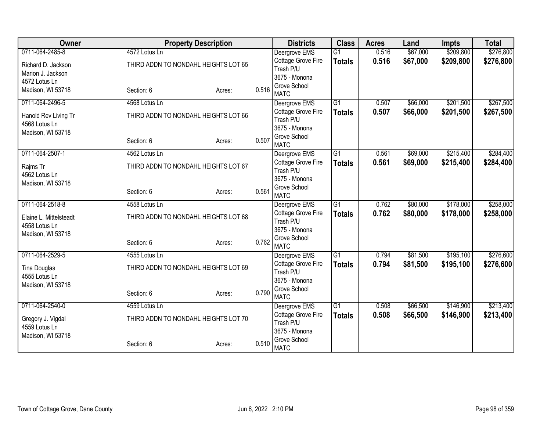| Owner                                 | <b>Property Description</b>          |        |       | <b>Districts</b>                | <b>Class</b>    | <b>Acres</b> | Land     | <b>Impts</b> | <b>Total</b> |
|---------------------------------------|--------------------------------------|--------|-------|---------------------------------|-----------------|--------------|----------|--------------|--------------|
| 0711-064-2485-8                       | 4572 Lotus Ln                        |        |       | Deergrove EMS                   | $\overline{G1}$ | 0.516        | \$67,000 | \$209,800    | \$276,800    |
| Richard D. Jackson                    | THIRD ADDN TO NONDAHL HEIGHTS LOT 65 |        |       | Cottage Grove Fire              | <b>Totals</b>   | 0.516        | \$67,000 | \$209,800    | \$276,800    |
| Marion J. Jackson                     |                                      |        |       | Trash P/U                       |                 |              |          |              |              |
| 4572 Lotus Ln                         |                                      |        |       | 3675 - Monona                   |                 |              |          |              |              |
| Madison, WI 53718                     | Section: 6                           | Acres: | 0.516 | Grove School<br><b>MATC</b>     |                 |              |          |              |              |
| 0711-064-2496-5                       | 4568 Lotus Ln                        |        |       | Deergrove EMS                   | $\overline{G1}$ | 0.507        | \$66,000 | \$201,500    | \$267,500    |
| Hanold Rev Living Tr<br>4568 Lotus Ln | THIRD ADDN TO NONDAHL HEIGHTS LOT 66 |        |       | Cottage Grove Fire<br>Trash P/U | <b>Totals</b>   | 0.507        | \$66,000 | \$201,500    | \$267,500    |
| Madison, WI 53718                     |                                      |        |       | 3675 - Monona                   |                 |              |          |              |              |
|                                       | Section: 6                           | Acres: | 0.507 | Grove School<br><b>MATC</b>     |                 |              |          |              |              |
| 0711-064-2507-1                       | 4562 Lotus Ln                        |        |       | Deergrove EMS                   | G <sub>1</sub>  | 0.561        | \$69,000 | \$215,400    | \$284,400    |
| Rajms Tr<br>4562 Lotus Ln             | THIRD ADDN TO NONDAHL HEIGHTS LOT 67 |        |       | Cottage Grove Fire<br>Trash P/U | <b>Totals</b>   | 0.561        | \$69,000 | \$215,400    | \$284,400    |
| Madison, WI 53718                     |                                      |        |       | 3675 - Monona                   |                 |              |          |              |              |
|                                       | Section: 6                           | Acres: | 0.561 | Grove School<br><b>MATC</b>     |                 |              |          |              |              |
| 0711-064-2518-8                       | 4558 Lotus Ln                        |        |       | Deergrove EMS                   | G1              | 0.762        | \$80,000 | \$178,000    | \$258,000    |
| Elaine L. Mittelsteadt                | THIRD ADDN TO NONDAHL HEIGHTS LOT 68 |        |       | Cottage Grove Fire<br>Trash P/U | <b>Totals</b>   | 0.762        | \$80,000 | \$178,000    | \$258,000    |
| 4558 Lotus Ln                         |                                      |        |       | 3675 - Monona                   |                 |              |          |              |              |
| Madison, WI 53718                     |                                      |        |       | Grove School                    |                 |              |          |              |              |
|                                       | Section: 6                           | Acres: | 0.762 | <b>MATC</b>                     |                 |              |          |              |              |
| 0711-064-2529-5                       | 4555 Lotus Ln                        |        |       | Deergrove EMS                   | $\overline{G1}$ | 0.794        | \$81,500 | \$195,100    | \$276,600    |
| <b>Tina Douglas</b>                   | THIRD ADDN TO NONDAHL HEIGHTS LOT 69 |        |       | Cottage Grove Fire              | <b>Totals</b>   | 0.794        | \$81,500 | \$195,100    | \$276,600    |
| 4555 Lotus Ln                         |                                      |        |       | Trash P/U<br>3675 - Monona      |                 |              |          |              |              |
| Madison, WI 53718                     |                                      |        |       | Grove School                    |                 |              |          |              |              |
|                                       | Section: 6                           | Acres: | 0.790 | <b>MATC</b>                     |                 |              |          |              |              |
| 0711-064-2540-0                       | 4559 Lotus Ln                        |        |       | Deergrove EMS                   | G1              | 0.508        | \$66,500 | \$146,900    | \$213,400    |
| Gregory J. Vigdal<br>4559 Lotus Ln    | THIRD ADDN TO NONDAHL HEIGHTS LOT 70 |        |       | Cottage Grove Fire<br>Trash P/U | <b>Totals</b>   | 0.508        | \$66,500 | \$146,900    | \$213,400    |
| Madison, WI 53718                     |                                      |        |       | 3675 - Monona                   |                 |              |          |              |              |
|                                       | Section: 6                           | Acres: | 0.510 | Grove School<br><b>MATC</b>     |                 |              |          |              |              |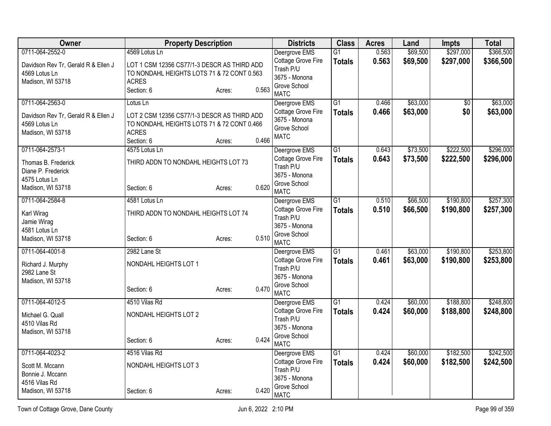| Owner                                                | <b>Property Description</b>                                                               |        |       | <b>Districts</b>                    | <b>Class</b>        | <b>Acres</b>   | Land                 | <b>Impts</b>           | <b>Total</b>           |
|------------------------------------------------------|-------------------------------------------------------------------------------------------|--------|-------|-------------------------------------|---------------------|----------------|----------------------|------------------------|------------------------|
| 0711-064-2552-0                                      | 4569 Lotus Ln                                                                             |        |       | Deergrove EMS<br>Cottage Grove Fire | G1<br><b>Totals</b> | 0.563<br>0.563 | \$69,500<br>\$69,500 | \$297,000<br>\$297,000 | \$366,500<br>\$366,500 |
| Davidson Rev Tr, Gerald R & Ellen J<br>4569 Lotus Ln | LOT 1 CSM 12356 CS77/1-3 DESCR AS THIRD ADD<br>TO NONDAHL HEIGHTS LOTS 71 & 72 CONT 0.563 |        |       | Trash P/U                           |                     |                |                      |                        |                        |
| Madison, WI 53718                                    | <b>ACRES</b>                                                                              |        |       | 3675 - Monona                       |                     |                |                      |                        |                        |
|                                                      | Section: 6                                                                                | Acres: | 0.563 | Grove School<br><b>MATC</b>         |                     |                |                      |                        |                        |
| 0711-064-2563-0                                      | Lotus Ln                                                                                  |        |       | Deergrove EMS                       | $\overline{G1}$     | 0.466          | \$63,000             | $\overline{50}$        | \$63,000               |
| Davidson Rev Tr, Gerald R & Ellen J                  | LOT 2 CSM 12356 CS77/1-3 DESCR AS THIRD ADD                                               |        |       | Cottage Grove Fire<br>3675 - Monona | <b>Totals</b>       | 0.466          | \$63,000             | \$0                    | \$63,000               |
| 4569 Lotus Ln                                        | TO NONDAHL HEIGHTS LOTS 71 & 72 CONT 0.466                                                |        |       | Grove School                        |                     |                |                      |                        |                        |
| Madison, WI 53718                                    | <b>ACRES</b><br>Section: 6                                                                |        | 0.466 | <b>MATC</b>                         |                     |                |                      |                        |                        |
| 0711-064-2573-1                                      | 4575 Lotus Ln                                                                             | Acres: |       | Deergrove EMS                       | $\overline{G1}$     | 0.643          | \$73,500             | \$222,500              | \$296,000              |
|                                                      |                                                                                           |        |       | Cottage Grove Fire                  | <b>Totals</b>       | 0.643          | \$73,500             | \$222,500              | \$296,000              |
| Thomas B. Frederick<br>Diane P. Frederick            | THIRD ADDN TO NONDAHL HEIGHTS LOT 73                                                      |        |       | Trash P/U                           |                     |                |                      |                        |                        |
| 4575 Lotus Ln                                        |                                                                                           |        |       | 3675 - Monona                       |                     |                |                      |                        |                        |
| Madison, WI 53718                                    | Section: 6                                                                                | Acres: | 0.620 | Grove School                        |                     |                |                      |                        |                        |
| 0711-064-2584-8                                      | 4581 Lotus Ln                                                                             |        |       | <b>MATC</b><br>Deergrove EMS        | $\overline{G1}$     | 0.510          | \$66,500             | \$190,800              | \$257,300              |
|                                                      |                                                                                           |        |       | Cottage Grove Fire                  | <b>Totals</b>       | 0.510          | \$66,500             | \$190,800              | \$257,300              |
| Karl Wirag<br>Jamie Wirag                            | THIRD ADDN TO NONDAHL HEIGHTS LOT 74                                                      |        |       | Trash P/U                           |                     |                |                      |                        |                        |
| 4581 Lotus Ln                                        |                                                                                           |        |       | 3675 - Monona                       |                     |                |                      |                        |                        |
| Madison, WI 53718                                    | Section: 6                                                                                | Acres: | 0.510 | Grove School<br><b>MATC</b>         |                     |                |                      |                        |                        |
| 0711-064-4001-8                                      | 2982 Lane St                                                                              |        |       | Deergrove EMS                       | $\overline{G1}$     | 0.461          | \$63,000             | \$190,800              | \$253,800              |
| Richard J. Murphy                                    | NONDAHL HEIGHTS LOT 1                                                                     |        |       | Cottage Grove Fire                  | <b>Totals</b>       | 0.461          | \$63,000             | \$190,800              | \$253,800              |
| 2982 Lane St                                         |                                                                                           |        |       | Trash P/U<br>3675 - Monona          |                     |                |                      |                        |                        |
| Madison, WI 53718                                    |                                                                                           |        |       | Grove School                        |                     |                |                      |                        |                        |
|                                                      | Section: 6                                                                                | Acres: | 0.470 | <b>MATC</b>                         |                     |                |                      |                        |                        |
| 0711-064-4012-5                                      | 4510 Vilas Rd                                                                             |        |       | Deergrove EMS                       | $\overline{G1}$     | 0.424          | \$60,000             | \$188,800              | \$248,800              |
| Michael G. Quall                                     | NONDAHL HEIGHTS LOT 2                                                                     |        |       | Cottage Grove Fire                  | <b>Totals</b>       | 0.424          | \$60,000             | \$188,800              | \$248,800              |
| 4510 Vilas Rd                                        |                                                                                           |        |       | Trash P/U<br>3675 - Monona          |                     |                |                      |                        |                        |
| Madison, WI 53718                                    |                                                                                           |        |       | Grove School                        |                     |                |                      |                        |                        |
|                                                      | Section: 6                                                                                | Acres: | 0.424 | <b>MATC</b>                         |                     |                |                      |                        |                        |
| 0711-064-4023-2                                      | 4516 Vilas Rd                                                                             |        |       | Deergrove EMS                       | $\overline{G1}$     | 0.424          | \$60,000             | \$182,500              | \$242,500              |
| Scott M. Mccann                                      | NONDAHL HEIGHTS LOT 3                                                                     |        |       | Cottage Grove Fire                  | <b>Totals</b>       | 0.424          | \$60,000             | \$182,500              | \$242,500              |
| Bonnie J. Mccann                                     |                                                                                           |        |       | Trash P/U<br>3675 - Monona          |                     |                |                      |                        |                        |
| 4516 Vilas Rd                                        |                                                                                           |        |       | Grove School                        |                     |                |                      |                        |                        |
| Madison, WI 53718                                    | Section: 6                                                                                | Acres: | 0.420 | <b>MATC</b>                         |                     |                |                      |                        |                        |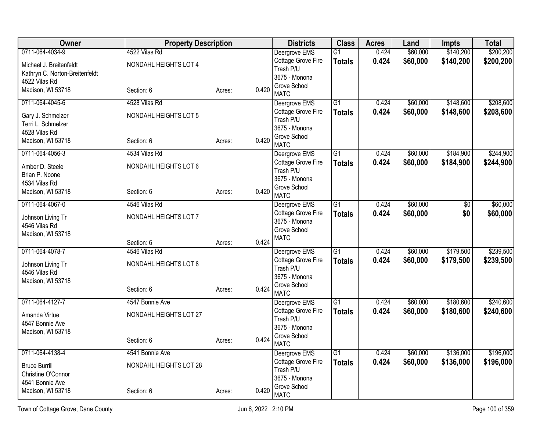| <b>Owner</b>                   | <b>Property Description</b> |        |       | <b>Districts</b>                | <b>Class</b>    | <b>Acres</b> | Land     | <b>Impts</b>    | <b>Total</b> |
|--------------------------------|-----------------------------|--------|-------|---------------------------------|-----------------|--------------|----------|-----------------|--------------|
| 0711-064-4034-9                | 4522 Vilas Rd               |        |       | Deergrove EMS                   | $\overline{G1}$ | 0.424        | \$60,000 | \$140,200       | \$200,200    |
| Michael J. Breitenfeldt        | NONDAHL HEIGHTS LOT 4       |        |       | Cottage Grove Fire              | <b>Totals</b>   | 0.424        | \$60,000 | \$140,200       | \$200,200    |
| Kathryn C. Norton-Breitenfeldt |                             |        |       | Trash P/U<br>3675 - Monona      |                 |              |          |                 |              |
| 4522 Vilas Rd                  |                             |        |       | Grove School                    |                 |              |          |                 |              |
| Madison, WI 53718              | Section: 6                  | Acres: | 0.420 | <b>MATC</b>                     |                 |              |          |                 |              |
| 0711-064-4045-6                | 4528 Vilas Rd               |        |       | Deergrove EMS                   | $\overline{G1}$ | 0.424        | \$60,000 | \$148,600       | \$208,600    |
| Gary J. Schmelzer              | NONDAHL HEIGHTS LOT 5       |        |       | Cottage Grove Fire<br>Trash P/U | <b>Totals</b>   | 0.424        | \$60,000 | \$148,600       | \$208,600    |
| Terri L. Schmelzer             |                             |        |       | 3675 - Monona                   |                 |              |          |                 |              |
| 4528 Vilas Rd                  |                             |        |       | Grove School                    |                 |              |          |                 |              |
| Madison, WI 53718              | Section: 6                  | Acres: | 0.420 | <b>MATC</b>                     |                 |              |          |                 |              |
| 0711-064-4056-3                | 4534 Vilas Rd               |        |       | Deergrove EMS                   | $\overline{G1}$ | 0.424        | \$60,000 | \$184,900       | \$244,900    |
| Amber D. Steele                | NONDAHL HEIGHTS LOT 6       |        |       | Cottage Grove Fire              | <b>Totals</b>   | 0.424        | \$60,000 | \$184,900       | \$244,900    |
| Brian P. Noone                 |                             |        |       | Trash P/U<br>3675 - Monona      |                 |              |          |                 |              |
| 4534 Vilas Rd                  |                             |        |       | Grove School                    |                 |              |          |                 |              |
| Madison, WI 53718              | Section: 6                  | Acres: | 0.420 | <b>MATC</b>                     |                 |              |          |                 |              |
| 0711-064-4067-0                | 4546 Vilas Rd               |        |       | Deergrove EMS                   | G1              | 0.424        | \$60,000 | $\overline{50}$ | \$60,000     |
| Johnson Living Tr              | NONDAHL HEIGHTS LOT 7       |        |       | Cottage Grove Fire              | <b>Totals</b>   | 0.424        | \$60,000 | \$0             | \$60,000     |
| 4546 Vilas Rd                  |                             |        |       | 3675 - Monona<br>Grove School   |                 |              |          |                 |              |
| Madison, WI 53718              |                             |        |       | <b>MATC</b>                     |                 |              |          |                 |              |
|                                | Section: 6                  | Acres: | 0.424 |                                 |                 |              |          |                 |              |
| 0711-064-4078-7                | 4546 Vilas Rd               |        |       | Deergrove EMS                   | G1              | 0.424        | \$60,000 | \$179,500       | \$239,500    |
| Johnson Living Tr              | NONDAHL HEIGHTS LOT 8       |        |       | Cottage Grove Fire<br>Trash P/U | <b>Totals</b>   | 0.424        | \$60,000 | \$179,500       | \$239,500    |
| 4546 Vilas Rd                  |                             |        |       | 3675 - Monona                   |                 |              |          |                 |              |
| Madison, WI 53718              |                             |        |       | Grove School                    |                 |              |          |                 |              |
|                                | Section: 6                  | Acres: | 0.424 | <b>MATC</b>                     |                 |              |          |                 |              |
| 0711-064-4127-7                | 4547 Bonnie Ave             |        |       | Deergrove EMS                   | $\overline{G1}$ | 0.424        | \$60,000 | \$180,600       | \$240,600    |
| Amanda Virtue                  | NONDAHL HEIGHTS LOT 27      |        |       | Cottage Grove Fire<br>Trash P/U | <b>Totals</b>   | 0.424        | \$60,000 | \$180,600       | \$240,600    |
| 4547 Bonnie Ave                |                             |        |       | 3675 - Monona                   |                 |              |          |                 |              |
| Madison, WI 53718              |                             |        |       | Grove School                    |                 |              |          |                 |              |
|                                | Section: 6                  | Acres: | 0.424 | <b>MATC</b>                     |                 |              |          |                 |              |
| 0711-064-4138-4                | 4541 Bonnie Ave             |        |       | Deergrove EMS                   | $\overline{G1}$ | 0.424        | \$60,000 | \$136,000       | \$196,000    |
| <b>Bruce Burrill</b>           | NONDAHL HEIGHTS LOT 28      |        |       | Cottage Grove Fire              | <b>Totals</b>   | 0.424        | \$60,000 | \$136,000       | \$196,000    |
| Christine O'Connor             |                             |        |       | Trash P/U<br>3675 - Monona      |                 |              |          |                 |              |
| 4541 Bonnie Ave                |                             |        |       | Grove School                    |                 |              |          |                 |              |
| Madison, WI 53718              | Section: 6                  | Acres: | 0.420 | <b>MATC</b>                     |                 |              |          |                 |              |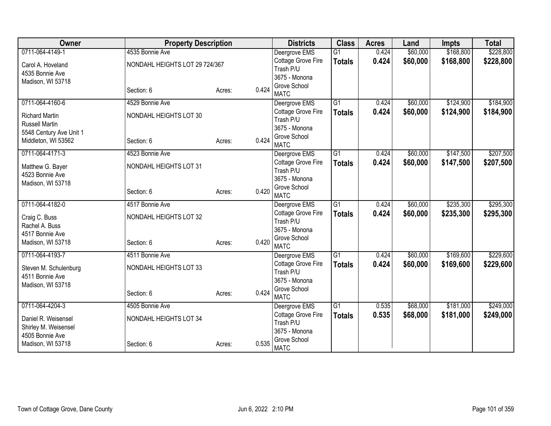| Owner                                          | <b>Property Description</b>    |                 | <b>Districts</b>                                 | <b>Class</b>    | <b>Acres</b> | Land     | <b>Impts</b> | <b>Total</b> |
|------------------------------------------------|--------------------------------|-----------------|--------------------------------------------------|-----------------|--------------|----------|--------------|--------------|
| 0711-064-4149-1                                | 4535 Bonnie Ave                |                 | Deergrove EMS                                    | $\overline{G1}$ | 0.424        | \$60,000 | \$168,800    | \$228,800    |
| Carol A. Hoveland                              | NONDAHL HEIGHTS LOT 29 724/367 |                 | Cottage Grove Fire                               | <b>Totals</b>   | 0.424        | \$60,000 | \$168,800    | \$228,800    |
| 4535 Bonnie Ave                                |                                |                 | Trash P/U                                        |                 |              |          |              |              |
| Madison, WI 53718                              |                                |                 | 3675 - Monona                                    |                 |              |          |              |              |
|                                                | Section: 6                     | 0.424<br>Acres: | Grove School<br><b>MATC</b>                      |                 |              |          |              |              |
| 0711-064-4160-6                                | 4529 Bonnie Ave                |                 | Deergrove EMS                                    | $\overline{G1}$ | 0.424        | \$60,000 | \$124,900    | \$184,900    |
| <b>Richard Martin</b><br><b>Russell Martin</b> | NONDAHL HEIGHTS LOT 30         |                 | Cottage Grove Fire<br>Trash P/U                  | <b>Totals</b>   | 0.424        | \$60,000 | \$124,900    | \$184,900    |
| 5548 Century Ave Unit 1                        |                                |                 | 3675 - Monona                                    |                 |              |          |              |              |
| Middleton, WI 53562                            | Section: 6                     | 0.424<br>Acres: | Grove School<br><b>MATC</b>                      |                 |              |          |              |              |
| 0711-064-4171-3                                | 4523 Bonnie Ave                |                 | Deergrove EMS                                    | G1              | 0.424        | \$60,000 | \$147,500    | \$207,500    |
| Matthew G. Bayer                               | NONDAHL HEIGHTS LOT 31         |                 | Cottage Grove Fire<br>Trash P/U                  | <b>Totals</b>   | 0.424        | \$60,000 | \$147,500    | \$207,500    |
| 4523 Bonnie Ave<br>Madison, WI 53718           |                                |                 | 3675 - Monona                                    |                 |              |          |              |              |
|                                                | Section: 6                     | 0.420<br>Acres: | Grove School<br><b>MATC</b>                      |                 |              |          |              |              |
| 0711-064-4182-0                                | 4517 Bonnie Ave                |                 | Deergrove EMS                                    | G1              | 0.424        | \$60,000 | \$235,300    | \$295,300    |
| Craig C. Buss<br>Rachel A. Buss                | NONDAHL HEIGHTS LOT 32         |                 | Cottage Grove Fire<br>Trash P/U<br>3675 - Monona | <b>Totals</b>   | 0.424        | \$60,000 | \$235,300    | \$295,300    |
| 4517 Bonnie Ave                                |                                |                 | Grove School                                     |                 |              |          |              |              |
| Madison, WI 53718                              | Section: 6                     | 0.420<br>Acres: | <b>MATC</b>                                      |                 |              |          |              |              |
| 0711-064-4193-7                                | 4511 Bonnie Ave                |                 | Deergrove EMS                                    | $\overline{G1}$ | 0.424        | \$60,000 | \$169,600    | \$229,600    |
| Steven M. Schulenburg<br>4511 Bonnie Ave       | NONDAHL HEIGHTS LOT 33         |                 | Cottage Grove Fire<br>Trash P/U                  | <b>Totals</b>   | 0.424        | \$60,000 | \$169,600    | \$229,600    |
| Madison, WI 53718                              |                                |                 | 3675 - Monona                                    |                 |              |          |              |              |
|                                                | Section: 6                     | 0.424<br>Acres: | Grove School<br><b>MATC</b>                      |                 |              |          |              |              |
| 0711-064-4204-3                                | 4505 Bonnie Ave                |                 | Deergrove EMS                                    | G1              | 0.535        | \$68,000 | \$181,000    | \$249,000    |
| Daniel R. Weisensel<br>Shirley M. Weisensel    | NONDAHL HEIGHTS LOT 34         |                 | Cottage Grove Fire<br>Trash P/U                  | <b>Totals</b>   | 0.535        | \$68,000 | \$181,000    | \$249,000    |
| 4505 Bonnie Ave                                |                                |                 | 3675 - Monona                                    |                 |              |          |              |              |
| Madison, WI 53718                              | Section: 6                     | 0.535<br>Acres: | Grove School<br><b>MATC</b>                      |                 |              |          |              |              |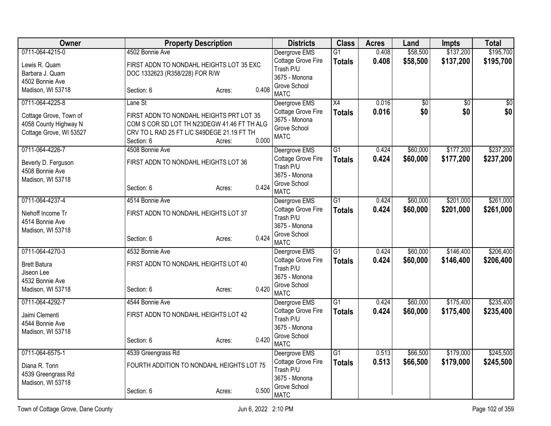| <b>Owner</b>            |                                      | <b>Property Description</b>                 | <b>Districts</b>                    | <b>Class</b>    | <b>Acres</b>   | Land            | <b>Impts</b>    | <b>Total</b>     |
|-------------------------|--------------------------------------|---------------------------------------------|-------------------------------------|-----------------|----------------|-----------------|-----------------|------------------|
| 0711-064-4215-0         | 4502 Bonnie Ave                      |                                             | Deergrove EMS                       | G1              | 0.408          | \$58,500        | \$137,200       | \$195,700        |
| Lewis R. Quam           |                                      | FIRST ADDN TO NONDAHL HEIGHTS LOT 35 EXC    | Cottage Grove Fire                  | <b>Totals</b>   | 0.408          | \$58,500        | \$137,200       | \$195,700        |
| Barbara J. Quam         | DOC 1332623 (R358/228) FOR R/W       |                                             | Trash P/U<br>3675 - Monona          |                 |                |                 |                 |                  |
| 4502 Bonnie Ave         |                                      |                                             | Grove School                        |                 |                |                 |                 |                  |
| Madison, WI 53718       | Section: 6                           | 0.408<br>Acres:                             | <b>MATC</b>                         |                 |                |                 |                 |                  |
| 0711-064-4225-8         | Lane St                              |                                             | Deergrove EMS                       | $\overline{X4}$ | 0.016          | $\overline{50}$ | $\overline{50}$ | $\overline{\$0}$ |
| Cottage Grove, Town of  |                                      | FIRST ADDN TO NONDAHL HEIGHTS PRT LOT 35    | Cottage Grove Fire<br>3675 - Monona | <b>Totals</b>   | 0.016          | \$0             | \$0             | \$0              |
| 4058 County Highway N   |                                      | COM S COR SD LOT TH N23DEGW 41.46 FT TH ALG | Grove School                        |                 |                |                 |                 |                  |
| Cottage Grove, WI 53527 |                                      | CRV TO L RAD 25 FT L/C S49DEGE 21.19 FT TH  | <b>MATC</b>                         |                 |                |                 |                 |                  |
|                         | Section: 6                           | 0.000<br>Acres:                             |                                     |                 |                |                 |                 |                  |
| 0711-064-4226-7         | 4508 Bonnie Ave                      |                                             | Deergrove EMS<br>Cottage Grove Fire | G <sub>1</sub>  | 0.424<br>0.424 | \$60,000        | \$177,200       | \$237,200        |
| Beverly D. Ferguson     | FIRST ADDN TO NONDAHL HEIGHTS LOT 36 |                                             | Trash P/U                           | <b>Totals</b>   |                | \$60,000        | \$177,200       | \$237,200        |
| 4508 Bonnie Ave         |                                      |                                             | 3675 - Monona                       |                 |                |                 |                 |                  |
| Madison, WI 53718       | Section: 6                           | 0.424                                       | Grove School                        |                 |                |                 |                 |                  |
|                         |                                      | Acres:                                      | <b>MATC</b>                         |                 |                |                 |                 |                  |
| 0711-064-4237-4         | 4514 Bonnie Ave                      |                                             | Deergrove EMS                       | $\overline{G1}$ | 0.424          | \$60,000        | \$201,000       | \$261,000        |
| Niehoff Income Tr       | FIRST ADDN TO NONDAHL HEIGHTS LOT 37 |                                             | Cottage Grove Fire<br>Trash P/U     | <b>Totals</b>   | 0.424          | \$60,000        | \$201,000       | \$261,000        |
| 4514 Bonnie Ave         |                                      |                                             | 3675 - Monona                       |                 |                |                 |                 |                  |
| Madison, WI 53718       |                                      |                                             | Grove School                        |                 |                |                 |                 |                  |
|                         | Section: 6                           | 0.424<br>Acres:                             | <b>MATC</b>                         |                 |                |                 |                 |                  |
| 0711-064-4270-3         | 4532 Bonnie Ave                      |                                             | Deergrove EMS                       | G <sub>1</sub>  | 0.424          | \$60,000        | \$146,400       | \$206,400        |
| <b>Brett Batura</b>     | FIRST ADDN TO NONDAHL HEIGHTS LOT 40 |                                             | Cottage Grove Fire                  | <b>Totals</b>   | 0.424          | \$60,000        | \$146,400       | \$206,400        |
| Jiseon Lee              |                                      |                                             | Trash P/U<br>3675 - Monona          |                 |                |                 |                 |                  |
| 4532 Bonnie Ave         |                                      |                                             | Grove School                        |                 |                |                 |                 |                  |
| Madison, WI 53718       | Section: 6                           | 0.420<br>Acres:                             | <b>MATC</b>                         |                 |                |                 |                 |                  |
| 0711-064-4292-7         | 4544 Bonnie Ave                      |                                             | Deergrove EMS                       | $\overline{G1}$ | 0.424          | \$60,000        | \$175,400       | \$235,400        |
| Jaimi Clementi          | FIRST ADDN TO NONDAHL HEIGHTS LOT 42 |                                             | Cottage Grove Fire                  | <b>Totals</b>   | 0.424          | \$60,000        | \$175,400       | \$235,400        |
| 4544 Bonnie Ave         |                                      |                                             | Trash P/U<br>3675 - Monona          |                 |                |                 |                 |                  |
| Madison, WI 53718       |                                      |                                             | Grove School                        |                 |                |                 |                 |                  |
|                         | Section: 6                           | 0.420<br>Acres:                             | <b>MATC</b>                         |                 |                |                 |                 |                  |
| 0711-064-6575-1         | 4539 Greengrass Rd                   |                                             | Deergrove EMS                       | G <sub>1</sub>  | 0.513          | \$66,500        | \$179,000       | \$245,500        |
| Diana R. Tonn           |                                      | FOURTH ADDITION TO NONDAHL HEIGHTS LOT 75   | Cottage Grove Fire                  | <b>Totals</b>   | 0.513          | \$66,500        | \$179,000       | \$245,500        |
| 4539 Greengrass Rd      |                                      |                                             | Trash P/U                           |                 |                |                 |                 |                  |
| Madison, WI 53718       |                                      |                                             | 3675 - Monona<br>Grove School       |                 |                |                 |                 |                  |
|                         | Section: 6                           | 0.500<br>Acres:                             | <b>MATC</b>                         |                 |                |                 |                 |                  |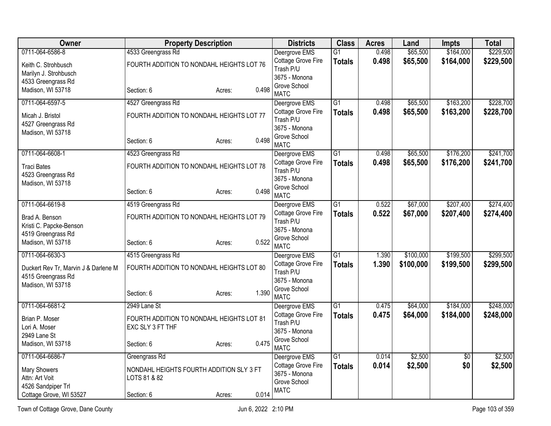| Owner                                |                                           | <b>Property Description</b> |       | <b>Districts</b>                    | <b>Class</b>    | <b>Acres</b> | Land      | <b>Impts</b>    | <b>Total</b> |
|--------------------------------------|-------------------------------------------|-----------------------------|-------|-------------------------------------|-----------------|--------------|-----------|-----------------|--------------|
| 0711-064-6586-8                      | 4533 Greengrass Rd                        |                             |       | Deergrove EMS                       | G1              | 0.498        | \$65,500  | \$164,000       | \$229,500    |
| Keith C. Strohbusch                  | FOURTH ADDITION TO NONDAHL HEIGHTS LOT 76 |                             |       | Cottage Grove Fire<br>Trash P/U     | <b>Totals</b>   | 0.498        | \$65,500  | \$164,000       | \$229,500    |
| Marilyn J. Strohbusch                |                                           |                             |       | 3675 - Monona                       |                 |              |           |                 |              |
| 4533 Greengrass Rd                   |                                           |                             |       | Grove School                        |                 |              |           |                 |              |
| Madison, WI 53718                    | Section: 6                                | Acres:                      | 0.498 | <b>MATC</b>                         |                 |              |           |                 |              |
| 0711-064-6597-5                      | 4527 Greengrass Rd                        |                             |       | Deergrove EMS                       | $\overline{G1}$ | 0.498        | \$65,500  | \$163,200       | \$228,700    |
| Micah J. Bristol                     | FOURTH ADDITION TO NONDAHL HEIGHTS LOT 77 |                             |       | Cottage Grove Fire<br>Trash P/U     | <b>Totals</b>   | 0.498        | \$65,500  | \$163,200       | \$228,700    |
| 4527 Greengrass Rd                   |                                           |                             |       | 3675 - Monona                       |                 |              |           |                 |              |
| Madison, WI 53718                    |                                           |                             |       | Grove School                        |                 |              |           |                 |              |
|                                      | Section: 6                                | Acres:                      | 0.498 | <b>MATC</b>                         |                 |              |           |                 |              |
| 0711-064-6608-1                      | 4523 Greengrass Rd                        |                             |       | Deergrove EMS                       | G1              | 0.498        | \$65,500  | \$176,200       | \$241,700    |
| <b>Traci Bates</b>                   | FOURTH ADDITION TO NONDAHL HEIGHTS LOT 78 |                             |       | Cottage Grove Fire<br>Trash P/U     | <b>Totals</b>   | 0.498        | \$65,500  | \$176,200       | \$241,700    |
| 4523 Greengrass Rd                   |                                           |                             |       | 3675 - Monona                       |                 |              |           |                 |              |
| Madison, WI 53718                    |                                           |                             |       | Grove School                        |                 |              |           |                 |              |
|                                      | Section: 6                                | Acres:                      | 0.498 | <b>MATC</b>                         |                 |              |           |                 |              |
| 0711-064-6619-8                      | 4519 Greengrass Rd                        |                             |       | Deergrove EMS                       | $\overline{G1}$ | 0.522        | \$67,000  | \$207,400       | \$274,400    |
| Brad A. Benson                       | FOURTH ADDITION TO NONDAHL HEIGHTS LOT 79 |                             |       | Cottage Grove Fire<br>Trash P/U     | <b>Totals</b>   | 0.522        | \$67,000  | \$207,400       | \$274,400    |
| Kristi C. Papcke-Benson              |                                           |                             |       | 3675 - Monona                       |                 |              |           |                 |              |
| 4519 Greengrass Rd                   |                                           |                             |       | Grove School                        |                 |              |           |                 |              |
| Madison, WI 53718                    | Section: 6                                | Acres:                      | 0.522 | <b>MATC</b>                         |                 |              |           |                 |              |
| 0711-064-6630-3                      | 4515 Greengrass Rd                        |                             |       | Deergrove EMS                       | G1              | 1.390        | \$100,000 | \$199,500       | \$299,500    |
| Duckert Rev Tr, Marvin J & Darlene M | FOURTH ADDITION TO NONDAHL HEIGHTS LOT 80 |                             |       | Cottage Grove Fire<br>Trash P/U     | <b>Totals</b>   | 1.390        | \$100,000 | \$199,500       | \$299,500    |
| 4515 Greengrass Rd                   |                                           |                             |       | 3675 - Monona                       |                 |              |           |                 |              |
| Madison, WI 53718                    |                                           |                             | 1.390 | Grove School                        |                 |              |           |                 |              |
|                                      | Section: 6                                | Acres:                      |       | <b>MATC</b>                         |                 |              |           |                 |              |
| 0711-064-6681-2                      | 2949 Lane St                              |                             |       | Deergrove EMS                       | $\overline{G1}$ | 0.475        | \$64,000  | \$184,000       | \$248,000    |
| Brian P. Moser                       | FOURTH ADDITION TO NONDAHL HEIGHTS LOT 81 |                             |       | Cottage Grove Fire<br>Trash P/U     | <b>Totals</b>   | 0.475        | \$64,000  | \$184,000       | \$248,000    |
| Lori A. Moser                        | EXC SLY 3 FT THF                          |                             |       | 3675 - Monona                       |                 |              |           |                 |              |
| 2949 Lane St                         |                                           |                             |       | Grove School                        |                 |              |           |                 |              |
| Madison, WI 53718                    | Section: 6                                | Acres:                      | 0.475 | <b>MATC</b>                         |                 |              |           |                 |              |
| 0711-064-6686-7                      | Greengrass Rd                             |                             |       | Deergrove EMS                       | $\overline{G1}$ | 0.014        | \$2,500   | $\overline{50}$ | \$2,500      |
| <b>Mary Showers</b>                  | NONDAHL HEIGHTS FOURTH ADDITION SLY 3 FT  |                             |       | Cottage Grove Fire<br>3675 - Monona | <b>Totals</b>   | 0.014        | \$2,500   | \$0             | \$2,500      |
| Attn: Art Voit                       | LOTS 81 & 82                              |                             |       | Grove School                        |                 |              |           |                 |              |
| 4526 Sandpiper Trl                   |                                           |                             | 0.014 | <b>MATC</b>                         |                 |              |           |                 |              |
| Cottage Grove, WI 53527              | Section: 6                                | Acres:                      |       |                                     |                 |              |           |                 |              |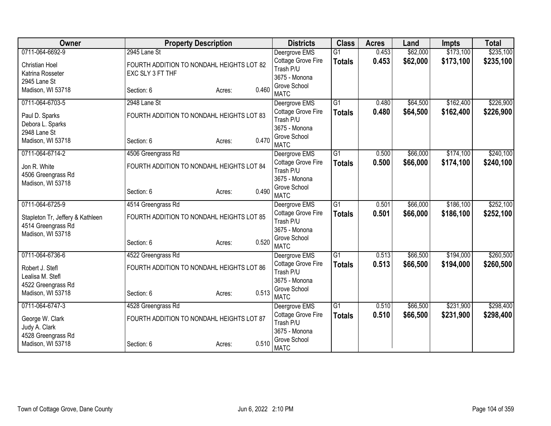| Owner                            | <b>Property Description</b>               |                 | <b>Districts</b>              | <b>Class</b>    | <b>Acres</b> | Land     | <b>Impts</b> | <b>Total</b> |
|----------------------------------|-------------------------------------------|-----------------|-------------------------------|-----------------|--------------|----------|--------------|--------------|
| 0711-064-6692-9                  | 2945 Lane St                              |                 | Deergrove EMS                 | $\overline{G1}$ | 0.453        | \$62,000 | \$173,100    | \$235,100    |
| <b>Christian Hoel</b>            | FOURTH ADDITION TO NONDAHL HEIGHTS LOT 82 |                 | Cottage Grove Fire            | <b>Totals</b>   | 0.453        | \$62,000 | \$173,100    | \$235,100    |
| Katrina Rosseter                 | EXC SLY 3 FT THF                          |                 | Trash P/U                     |                 |              |          |              |              |
| 2945 Lane St                     |                                           |                 | 3675 - Monona                 |                 |              |          |              |              |
| Madison, WI 53718                | Section: 6                                | 0.460<br>Acres: | Grove School                  |                 |              |          |              |              |
|                                  |                                           |                 | <b>MATC</b>                   |                 |              |          |              |              |
| 0711-064-6703-5                  | 2948 Lane St                              |                 | Deergrove EMS                 | $\overline{G1}$ | 0.480        | \$64,500 | \$162,400    | \$226,900    |
| Paul D. Sparks                   | FOURTH ADDITION TO NONDAHL HEIGHTS LOT 83 |                 | Cottage Grove Fire            | <b>Totals</b>   | 0.480        | \$64,500 | \$162,400    | \$226,900    |
| Debora L. Sparks                 |                                           |                 | Trash P/U<br>3675 - Monona    |                 |              |          |              |              |
| 2948 Lane St                     |                                           |                 | Grove School                  |                 |              |          |              |              |
| Madison, WI 53718                | Section: 6                                | 0.470<br>Acres: | <b>MATC</b>                   |                 |              |          |              |              |
| 0711-064-6714-2                  | 4506 Greengrass Rd                        |                 | Deergrove EMS                 | $\overline{G1}$ | 0.500        | \$66,000 | \$174,100    | \$240,100    |
|                                  |                                           |                 | Cottage Grove Fire            | <b>Totals</b>   | 0.500        | \$66,000 | \$174,100    | \$240,100    |
| Jon R. White                     | FOURTH ADDITION TO NONDAHL HEIGHTS LOT 84 |                 | Trash P/U                     |                 |              |          |              |              |
| 4506 Greengrass Rd               |                                           |                 | 3675 - Monona                 |                 |              |          |              |              |
| Madison, WI 53718                |                                           | 0.490           | Grove School                  |                 |              |          |              |              |
|                                  | Section: 6                                | Acres:          | <b>MATC</b>                   |                 |              |          |              |              |
| 0711-064-6725-9                  | 4514 Greengrass Rd                        |                 | Deergrove EMS                 | $\overline{G1}$ | 0.501        | \$66,000 | \$186,100    | \$252,100    |
| Stapleton Tr, Jeffery & Kathleen | FOURTH ADDITION TO NONDAHL HEIGHTS LOT 85 |                 | Cottage Grove Fire            | <b>Totals</b>   | 0.501        | \$66,000 | \$186,100    | \$252,100    |
| 4514 Greengrass Rd               |                                           |                 | Trash P/U                     |                 |              |          |              |              |
| Madison, WI 53718                |                                           |                 | 3675 - Monona                 |                 |              |          |              |              |
|                                  | Section: 6                                | 0.520<br>Acres: | Grove School                  |                 |              |          |              |              |
|                                  |                                           |                 | <b>MATC</b>                   |                 |              |          |              |              |
| 0711-064-6736-6                  | 4522 Greengrass Rd                        |                 | Deergrove EMS                 | $\overline{G1}$ | 0.513        | \$66,500 | \$194,000    | \$260,500    |
| Robert J. Stefl                  | FOURTH ADDITION TO NONDAHL HEIGHTS LOT 86 |                 | Cottage Grove Fire            | <b>Totals</b>   | 0.513        | \$66,500 | \$194,000    | \$260,500    |
| Lealisa M. Stefl                 |                                           |                 | Trash P/U                     |                 |              |          |              |              |
| 4522 Greengrass Rd               |                                           |                 | 3675 - Monona<br>Grove School |                 |              |          |              |              |
| Madison, WI 53718                | Section: 6                                | 0.513<br>Acres: | <b>MATC</b>                   |                 |              |          |              |              |
| 0711-064-6747-3                  | 4528 Greengrass Rd                        |                 | Deergrove EMS                 | G1              | 0.510        | \$66,500 | \$231,900    | \$298,400    |
|                                  |                                           |                 | Cottage Grove Fire            | <b>Totals</b>   | 0.510        | \$66,500 | \$231,900    | \$298,400    |
| George W. Clark                  | FOURTH ADDITION TO NONDAHL HEIGHTS LOT 87 |                 | Trash P/U                     |                 |              |          |              |              |
| Judy A. Clark                    |                                           |                 | 3675 - Monona                 |                 |              |          |              |              |
| 4528 Greengrass Rd               |                                           |                 | Grove School                  |                 |              |          |              |              |
| Madison, WI 53718                | Section: 6                                | 0.510<br>Acres: | <b>MATC</b>                   |                 |              |          |              |              |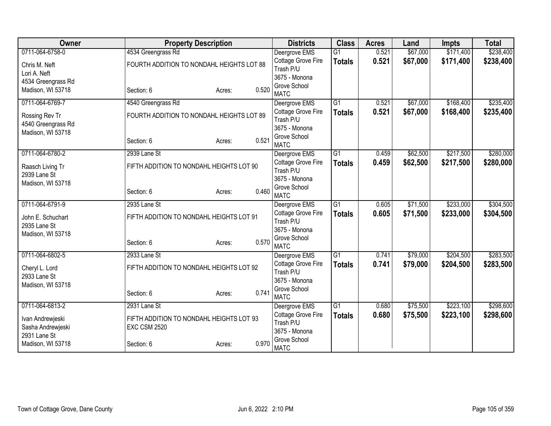| Owner              | <b>Property Description</b>               |        |       | <b>Districts</b>            | <b>Class</b>    | <b>Acres</b> | Land     | <b>Impts</b> | <b>Total</b> |
|--------------------|-------------------------------------------|--------|-------|-----------------------------|-----------------|--------------|----------|--------------|--------------|
| 0711-064-6758-0    | 4534 Greengrass Rd                        |        |       | Deergrove EMS               | $\overline{G1}$ | 0.521        | \$67,000 | \$171,400    | \$238,400    |
| Chris M. Neft      | FOURTH ADDITION TO NONDAHL HEIGHTS LOT 88 |        |       | Cottage Grove Fire          | <b>Totals</b>   | 0.521        | \$67,000 | \$171,400    | \$238,400    |
| Lori A. Neft       |                                           |        |       | Trash P/U                   |                 |              |          |              |              |
| 4534 Greengrass Rd |                                           |        |       | 3675 - Monona               |                 |              |          |              |              |
| Madison, WI 53718  | Section: 6                                | Acres: | 0.520 | Grove School<br><b>MATC</b> |                 |              |          |              |              |
| 0711-064-6769-7    | 4540 Greengrass Rd                        |        |       | Deergrove EMS               | $\overline{G1}$ | 0.521        | \$67,000 | \$168,400    | \$235,400    |
| Rossing Rev Tr     | FOURTH ADDITION TO NONDAHL HEIGHTS LOT 89 |        |       | Cottage Grove Fire          | <b>Totals</b>   | 0.521        | \$67,000 | \$168,400    | \$235,400    |
| 4540 Greengrass Rd |                                           |        |       | Trash P/U                   |                 |              |          |              |              |
| Madison, WI 53718  |                                           |        |       | 3675 - Monona               |                 |              |          |              |              |
|                    | Section: 6                                | Acres: | 0.521 | Grove School<br><b>MATC</b> |                 |              |          |              |              |
| 0711-064-6780-2    | 2939 Lane St                              |        |       | Deergrove EMS               | $\overline{G1}$ | 0.459        | \$62,500 | \$217,500    | \$280,000    |
|                    |                                           |        |       | Cottage Grove Fire          | <b>Totals</b>   | 0.459        | \$62,500 | \$217,500    | \$280,000    |
| Raasch Living Tr   | FIFTH ADDITION TO NONDAHL HEIGHTS LOT 90  |        |       | Trash P/U                   |                 |              |          |              |              |
| 2939 Lane St       |                                           |        |       | 3675 - Monona               |                 |              |          |              |              |
| Madison, WI 53718  |                                           |        | 0.460 | Grove School                |                 |              |          |              |              |
|                    | Section: 6                                | Acres: |       | <b>MATC</b>                 |                 |              |          |              |              |
| 0711-064-6791-9    | 2935 Lane St                              |        |       | Deergrove EMS               | $\overline{G1}$ | 0.605        | \$71,500 | \$233,000    | \$304,500    |
| John E. Schuchart  | FIFTH ADDITION TO NONDAHL HEIGHTS LOT 91  |        |       | Cottage Grove Fire          | <b>Totals</b>   | 0.605        | \$71,500 | \$233,000    | \$304,500    |
| 2935 Lane St       |                                           |        |       | Trash P/U                   |                 |              |          |              |              |
| Madison, WI 53718  |                                           |        |       | 3675 - Monona               |                 |              |          |              |              |
|                    | Section: 6                                | Acres: | 0.570 | Grove School<br><b>MATC</b> |                 |              |          |              |              |
| 0711-064-6802-5    | 2933 Lane St                              |        |       | Deergrove EMS               | $\overline{G1}$ | 0.741        | \$79,000 | \$204,500    | \$283,500    |
|                    |                                           |        |       | Cottage Grove Fire          | <b>Totals</b>   | 0.741        | \$79,000 | \$204,500    | \$283,500    |
| Cheryl L. Lord     | FIFTH ADDITION TO NONDAHL HEIGHTS LOT 92  |        |       | Trash P/U                   |                 |              |          |              |              |
| 2933 Lane St       |                                           |        |       | 3675 - Monona               |                 |              |          |              |              |
| Madison, WI 53718  |                                           |        |       | Grove School                |                 |              |          |              |              |
|                    | Section: 6                                | Acres: | 0.741 | <b>MATC</b>                 |                 |              |          |              |              |
| 0711-064-6813-2    | 2931 Lane St                              |        |       | Deergrove EMS               | $\overline{G1}$ | 0.680        | \$75,500 | \$223,100    | \$298,600    |
| Ivan Andrewjeski   | FIFTH ADDITION TO NONDAHL HEIGHTS LOT 93  |        |       | Cottage Grove Fire          | <b>Totals</b>   | 0.680        | \$75,500 | \$223,100    | \$298,600    |
| Sasha Andrewjeski  | <b>EXC CSM 2520</b>                       |        |       | Trash P/U                   |                 |              |          |              |              |
| 2931 Lane St       |                                           |        |       | 3675 - Monona               |                 |              |          |              |              |
| Madison, WI 53718  | Section: 6                                | Acres: | 0.970 | Grove School<br><b>MATC</b> |                 |              |          |              |              |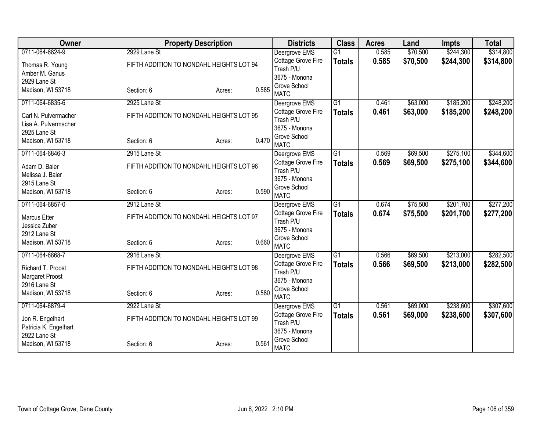| Owner                             | <b>Property Description</b>              |                 | <b>Districts</b>                    | <b>Class</b>    | <b>Acres</b> | Land     | <b>Impts</b> | <b>Total</b> |
|-----------------------------------|------------------------------------------|-----------------|-------------------------------------|-----------------|--------------|----------|--------------|--------------|
| 0711-064-6824-9                   | 2929 Lane St                             |                 | Deergrove EMS                       | $\overline{G1}$ | 0.585        | \$70,500 | \$244,300    | \$314,800    |
| Thomas R. Young                   | FIFTH ADDITION TO NONDAHL HEIGHTS LOT 94 |                 | Cottage Grove Fire                  | <b>Totals</b>   | 0.585        | \$70,500 | \$244,300    | \$314,800    |
| Amber M. Ganus                    |                                          |                 | Trash P/U                           |                 |              |          |              |              |
| 2929 Lane St                      |                                          |                 | 3675 - Monona                       |                 |              |          |              |              |
| Madison, WI 53718                 | Section: 6                               | 0.585<br>Acres: | Grove School<br><b>MATC</b>         |                 |              |          |              |              |
| 0711-064-6835-6                   | 2925 Lane St                             |                 | Deergrove EMS                       | $\overline{G1}$ | 0.461        | \$63,000 | \$185,200    | \$248,200    |
| Carl N. Pulvermacher              | FIFTH ADDITION TO NONDAHL HEIGHTS LOT 95 |                 | Cottage Grove Fire                  | <b>Totals</b>   | 0.461        | \$63,000 | \$185,200    | \$248,200    |
| Lisa A. Pulvermacher              |                                          |                 | Trash P/U                           |                 |              |          |              |              |
| 2925 Lane St                      |                                          |                 | 3675 - Monona                       |                 |              |          |              |              |
| Madison, WI 53718                 | Section: 6                               | 0.470<br>Acres: | Grove School<br><b>MATC</b>         |                 |              |          |              |              |
| 0711-064-6846-3                   | 2915 Lane St                             |                 | Deergrove EMS                       | $\overline{G1}$ | 0.569        | \$69,500 | \$275,100    | \$344,600    |
| Adam D. Baier                     | FIFTH ADDITION TO NONDAHL HEIGHTS LOT 96 |                 | Cottage Grove Fire<br>Trash P/U     | <b>Totals</b>   | 0.569        | \$69,500 | \$275,100    | \$344,600    |
| Melissa J. Baier                  |                                          |                 | 3675 - Monona                       |                 |              |          |              |              |
| 2915 Lane St                      |                                          |                 | Grove School                        |                 |              |          |              |              |
| Madison, WI 53718                 | Section: 6                               | 0.590<br>Acres: | <b>MATC</b>                         |                 |              |          |              |              |
| 0711-064-6857-0                   | 2912 Lane St                             |                 | Deergrove EMS                       | G1              | 0.674        | \$75,500 | \$201,700    | \$277,200    |
| <b>Marcus Etter</b>               | FIFTH ADDITION TO NONDAHL HEIGHTS LOT 97 |                 | Cottage Grove Fire                  | <b>Totals</b>   | 0.674        | \$75,500 | \$201,700    | \$277,200    |
| Jessica Zuber                     |                                          |                 | Trash P/U                           |                 |              |          |              |              |
| 2912 Lane St                      |                                          |                 | 3675 - Monona                       |                 |              |          |              |              |
| Madison, WI 53718                 | Section: 6                               | 0.660<br>Acres: | Grove School                        |                 |              |          |              |              |
|                                   | 2916 Lane St                             |                 | <b>MATC</b>                         | G1              |              |          | \$213,000    | \$282,500    |
| 0711-064-6868-7                   |                                          |                 | Deergrove EMS<br>Cottage Grove Fire |                 | 0.566        | \$69,500 |              |              |
| Richard T. Proost                 | FIFTH ADDITION TO NONDAHL HEIGHTS LOT 98 |                 | Trash P/U                           | <b>Totals</b>   | 0.566        | \$69,500 | \$213,000    | \$282,500    |
| Margaret Proost                   |                                          |                 | 3675 - Monona                       |                 |              |          |              |              |
| 2916 Lane St                      |                                          |                 | Grove School                        |                 |              |          |              |              |
| Madison, WI 53718                 | Section: 6                               | 0.580<br>Acres: | <b>MATC</b>                         |                 |              |          |              |              |
| 0711-064-6879-4                   | 2922 Lane St                             |                 | Deergrove EMS                       | G1              | 0.561        | \$69,000 | \$238,600    | \$307,600    |
| Jon R. Engelhart                  | FIFTH ADDITION TO NONDAHL HEIGHTS LOT 99 |                 | Cottage Grove Fire<br>Trash P/U     | <b>Totals</b>   | 0.561        | \$69,000 | \$238,600    | \$307,600    |
| Patricia K. Engelhart             |                                          |                 | 3675 - Monona                       |                 |              |          |              |              |
| 2922 Lane St<br>Madison, WI 53718 | Section: 6                               | 0.561<br>Acres: | Grove School<br><b>MATC</b>         |                 |              |          |              |              |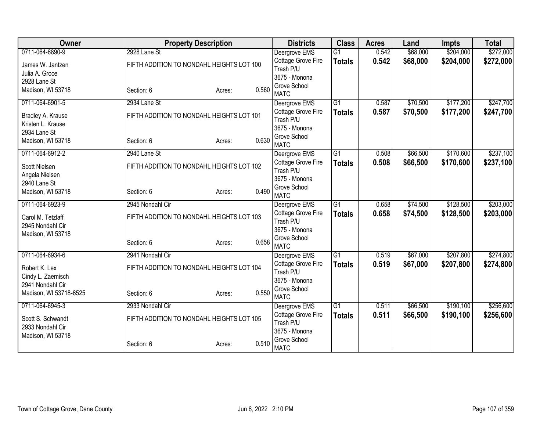| Owner                  | <b>Property Description</b>               |        |       | <b>Districts</b>                    | <b>Class</b>    | <b>Acres</b> | Land     | <b>Impts</b> | <b>Total</b> |
|------------------------|-------------------------------------------|--------|-------|-------------------------------------|-----------------|--------------|----------|--------------|--------------|
| 0711-064-6890-9        | 2928 Lane St                              |        |       | Deergrove EMS                       | $\overline{G1}$ | 0.542        | \$68,000 | \$204,000    | \$272,000    |
| James W. Jantzen       | FIFTH ADDITION TO NONDAHL HEIGHTS LOT 100 |        |       | Cottage Grove Fire                  | <b>Totals</b>   | 0.542        | \$68,000 | \$204,000    | \$272,000    |
| Julia A. Groce         |                                           |        |       | Trash P/U                           |                 |              |          |              |              |
| 2928 Lane St           |                                           |        |       | 3675 - Monona<br>Grove School       |                 |              |          |              |              |
| Madison, WI 53718      | Section: 6                                | Acres: | 0.560 | <b>MATC</b>                         |                 |              |          |              |              |
| 0711-064-6901-5        | 2934 Lane St                              |        |       | Deergrove EMS                       | $\overline{G1}$ | 0.587        | \$70,500 | \$177,200    | \$247,700    |
| Bradley A. Krause      | FIFTH ADDITION TO NONDAHL HEIGHTS LOT 101 |        |       | Cottage Grove Fire                  | <b>Totals</b>   | 0.587        | \$70,500 | \$177,200    | \$247,700    |
| Kristen L. Krause      |                                           |        |       | Trash P/U                           |                 |              |          |              |              |
| 2934 Lane St           |                                           |        |       | 3675 - Monona                       |                 |              |          |              |              |
| Madison, WI 53718      | Section: 6                                | Acres: | 0.630 | Grove School<br><b>MATC</b>         |                 |              |          |              |              |
| 0711-064-6912-2        | 2940 Lane St                              |        |       | Deergrove EMS                       | G1              | 0.508        | \$66,500 | \$170,600    | \$237,100    |
|                        |                                           |        |       | Cottage Grove Fire                  | <b>Totals</b>   | 0.508        | \$66,500 | \$170,600    | \$237,100    |
| Scott Nielsen          | FIFTH ADDITION TO NONDAHL HEIGHTS LOT 102 |        |       | Trash P/U                           |                 |              |          |              |              |
| Angela Nielsen         |                                           |        |       | 3675 - Monona                       |                 |              |          |              |              |
| 2940 Lane St           |                                           |        |       | Grove School                        |                 |              |          |              |              |
| Madison, WI 53718      | Section: 6                                | Acres: | 0.490 | <b>MATC</b>                         |                 |              |          |              |              |
| 0711-064-6923-9        | 2945 Nondahl Cir                          |        |       | Deergrove EMS                       | $\overline{G1}$ | 0.658        | \$74,500 | \$128,500    | \$203,000    |
| Carol M. Tetzlaff      | FIFTH ADDITION TO NONDAHL HEIGHTS LOT 103 |        |       | Cottage Grove Fire                  | <b>Totals</b>   | 0.658        | \$74,500 | \$128,500    | \$203,000    |
| 2945 Nondahl Cir       |                                           |        |       | Trash P/U                           |                 |              |          |              |              |
| Madison, WI 53718      |                                           |        |       | 3675 - Monona                       |                 |              |          |              |              |
|                        | Section: 6                                | Acres: | 0.658 | Grove School                        |                 |              |          |              |              |
| 0711-064-6934-6        | 2941 Nondahl Cir                          |        |       | <b>MATC</b>                         | $\overline{G1}$ | 0.519        | \$67,000 | \$207,800    | \$274,800    |
|                        |                                           |        |       | Deergrove EMS<br>Cottage Grove Fire | <b>Totals</b>   | 0.519        | \$67,000 | \$207,800    | \$274,800    |
| Robert K. Lex          | FIFTH ADDITION TO NONDAHL HEIGHTS LOT 104 |        |       | Trash P/U                           |                 |              |          |              |              |
| Cindy L. Zaemisch      |                                           |        |       | 3675 - Monona                       |                 |              |          |              |              |
| 2941 Nondahl Cir       |                                           |        |       | Grove School                        |                 |              |          |              |              |
| Madison, WI 53718-6525 | Section: 6                                | Acres: | 0.550 | <b>MATC</b>                         |                 |              |          |              |              |
| 0711-064-6945-3        | 2933 Nondahl Cir                          |        |       | Deergrove EMS                       | G1              | 0.511        | \$66,500 | \$190,100    | \$256,600    |
| Scott S. Schwandt      | FIFTH ADDITION TO NONDAHL HEIGHTS LOT 105 |        |       | Cottage Grove Fire                  | <b>Totals</b>   | 0.511        | \$66,500 | \$190,100    | \$256,600    |
| 2933 Nondahl Cir       |                                           |        |       | Trash P/U                           |                 |              |          |              |              |
| Madison, WI 53718      |                                           |        |       | 3675 - Monona                       |                 |              |          |              |              |
|                        | Section: 6                                | Acres: | 0.510 | Grove School<br><b>MATC</b>         |                 |              |          |              |              |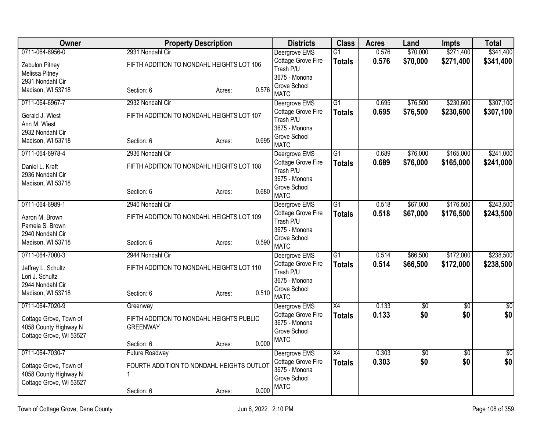| <b>Owner</b>            |                       | <b>Property Description</b>               |       | <b>Districts</b>                    | <b>Class</b>    | <b>Acres</b> | Land     | <b>Impts</b>    | <b>Total</b> |
|-------------------------|-----------------------|-------------------------------------------|-------|-------------------------------------|-----------------|--------------|----------|-----------------|--------------|
| 0711-064-6956-0         | 2931 Nondahl Cir      |                                           |       | Deergrove EMS                       | $\overline{G1}$ | 0.576        | \$70,000 | \$271,400       | \$341,400    |
| Zebulon Pitney          |                       | FIFTH ADDITION TO NONDAHL HEIGHTS LOT 106 |       | Cottage Grove Fire<br>Trash P/U     | <b>Totals</b>   | 0.576        | \$70,000 | \$271,400       | \$341,400    |
| Melissa Pitney          |                       |                                           |       | 3675 - Monona                       |                 |              |          |                 |              |
| 2931 Nondahl Cir        |                       |                                           |       | Grove School                        |                 |              |          |                 |              |
| Madison, WI 53718       | Section: 6            | Acres:                                    | 0.576 | <b>MATC</b>                         |                 |              |          |                 |              |
| 0711-064-6967-7         | 2932 Nondahl Cir      |                                           |       | Deergrove EMS                       | $\overline{G1}$ | 0.695        | \$76,500 | \$230,600       | \$307,100    |
| Gerald J. Wiest         |                       | FIFTH ADDITION TO NONDAHL HEIGHTS LOT 107 |       | Cottage Grove Fire                  | <b>Totals</b>   | 0.695        | \$76,500 | \$230,600       | \$307,100    |
| Ann M. Wiest            |                       |                                           |       | Trash P/U<br>3675 - Monona          |                 |              |          |                 |              |
| 2932 Nondahl Cir        |                       |                                           |       | Grove School                        |                 |              |          |                 |              |
| Madison, WI 53718       | Section: 6            | Acres:                                    | 0.695 | <b>MATC</b>                         |                 |              |          |                 |              |
| 0711-064-6978-4         | 2936 Nondahl Cir      |                                           |       | Deergrove EMS                       | G <sub>1</sub>  | 0.689        | \$76,000 | \$165,000       | \$241,000    |
| Daniel L. Kraft         |                       | FIFTH ADDITION TO NONDAHL HEIGHTS LOT 108 |       | Cottage Grove Fire                  | <b>Totals</b>   | 0.689        | \$76,000 | \$165,000       | \$241,000    |
| 2936 Nondahl Cir        |                       |                                           |       | Trash P/U                           |                 |              |          |                 |              |
| Madison, WI 53718       |                       |                                           |       | 3675 - Monona                       |                 |              |          |                 |              |
|                         | Section: 6            | Acres:                                    | 0.680 | Grove School<br><b>MATC</b>         |                 |              |          |                 |              |
| 0711-064-6989-1         | 2940 Nondahl Cir      |                                           |       | Deergrove EMS                       | G1              | 0.518        | \$67,000 | \$176,500       | \$243,500    |
| Aaron M. Brown          |                       | FIFTH ADDITION TO NONDAHL HEIGHTS LOT 109 |       | Cottage Grove Fire                  | <b>Totals</b>   | 0.518        | \$67,000 | \$176,500       | \$243,500    |
| Pamela S. Brown         |                       |                                           |       | Trash P/U                           |                 |              |          |                 |              |
| 2940 Nondahl Cir        |                       |                                           |       | 3675 - Monona                       |                 |              |          |                 |              |
| Madison, WI 53718       | Section: 6            | Acres:                                    | 0.590 | Grove School                        |                 |              |          |                 |              |
| 0711-064-7000-3         | 2944 Nondahl Cir      |                                           |       | <b>MATC</b><br>Deergrove EMS        | $\overline{G1}$ | 0.514        | \$66,500 | \$172,000       | \$238,500    |
|                         |                       |                                           |       | Cottage Grove Fire                  | <b>Totals</b>   | 0.514        | \$66,500 | \$172,000       | \$238,500    |
| Jeffrey L. Schultz      |                       | FIFTH ADDITION TO NONDAHL HEIGHTS LOT 110 |       | Trash P/U                           |                 |              |          |                 |              |
| Lori J. Schultz         |                       |                                           |       | 3675 - Monona                       |                 |              |          |                 |              |
| 2944 Nondahl Cir        | Section: 6            |                                           | 0.510 | Grove School                        |                 |              |          |                 |              |
| Madison, WI 53718       |                       | Acres:                                    |       | <b>MATC</b>                         |                 |              |          |                 |              |
| 0711-064-7020-9         | Greenway              |                                           |       | Deergrove EMS                       | X4              | 0.133        | \$0      | \$0             | \$0          |
| Cottage Grove, Town of  |                       | FIFTH ADDITION TO NONDAHL HEIGHTS PUBLIC  |       | Cottage Grove Fire<br>3675 - Monona | <b>Totals</b>   | 0.133        | \$0      | \$0             | \$0          |
| 4058 County Highway N   | <b>GREENWAY</b>       |                                           |       | Grove School                        |                 |              |          |                 |              |
| Cottage Grove, WI 53527 |                       |                                           |       | <b>MATC</b>                         |                 |              |          |                 |              |
|                         | Section: 6            | Acres:                                    | 0.000 |                                     |                 |              |          |                 |              |
| 0711-064-7030-7         | <b>Future Roadway</b> |                                           |       | Deergrove EMS                       | X4              | 0.303        | \$0      | $\overline{50}$ | \$0          |
| Cottage Grove, Town of  |                       | FOURTH ADDITION TO NONDAHL HEIGHTS OUTLOT |       | Cottage Grove Fire<br>3675 - Monona | <b>Totals</b>   | 0.303        | \$0      | \$0             | \$0          |
| 4058 County Highway N   |                       |                                           |       | Grove School                        |                 |              |          |                 |              |
| Cottage Grove, WI 53527 |                       |                                           |       | <b>MATC</b>                         |                 |              |          |                 |              |
|                         | Section: 6            | Acres:                                    | 0.000 |                                     |                 |              |          |                 |              |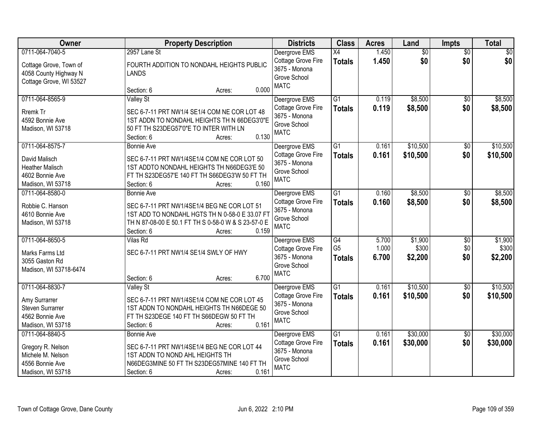| Owner                   | <b>Property Description</b>                         | <b>Districts</b>   | <b>Class</b>    | <b>Acres</b> | Land            | <b>Impts</b>    | <b>Total</b> |
|-------------------------|-----------------------------------------------------|--------------------|-----------------|--------------|-----------------|-----------------|--------------|
| 0711-064-7040-5         | 2957 Lane St                                        | Deergrove EMS      | X4              | 1.450        | $\overline{50}$ | $\overline{50}$ | $\sqrt{30}$  |
| Cottage Grove, Town of  | FOURTH ADDITION TO NONDAHL HEIGHTS PUBLIC           | Cottage Grove Fire | <b>Totals</b>   | 1.450        | \$0             | \$0             | \$0          |
| 4058 County Highway N   | <b>LANDS</b>                                        | 3675 - Monona      |                 |              |                 |                 |              |
| Cottage Grove, WI 53527 |                                                     | Grove School       |                 |              |                 |                 |              |
|                         | 0.000<br>Section: 6<br>Acres:                       | <b>MATC</b>        |                 |              |                 |                 |              |
| 0711-064-8565-9         | <b>Valley St</b>                                    | Deergrove EMS      | $\overline{G1}$ | 0.119        | \$8,500         | $\overline{50}$ | \$8,500      |
| Rremk Tr                | SEC 6-7-11 PRT NW1/4 SE1/4 COM NE COR LOT 48        | Cottage Grove Fire | <b>Totals</b>   | 0.119        | \$8,500         | \$0             | \$8,500      |
| 4592 Bonnie Ave         | 1ST ADDN TO NONDAHL HEIGHTS TH N 66DEG3'0"E         | 3675 - Monona      |                 |              |                 |                 |              |
| Madison, WI 53718       | 50 FT TH S23DEG57'0"E TO INTER WITH LN              | Grove School       |                 |              |                 |                 |              |
|                         | 0.130<br>Section: 6<br>Acres:                       | <b>MATC</b>        |                 |              |                 |                 |              |
| 0711-064-8575-7         | <b>Bonnie Ave</b>                                   | Deergrove EMS      | G1              | 0.161        | \$10,500        | \$0             | \$10,500     |
| David Malisch           | SEC 6-7-11 PRT NW1/4SE1/4 COM NE COR LOT 50         | Cottage Grove Fire | <b>Totals</b>   | 0.161        | \$10,500        | \$0             | \$10,500     |
| <b>Heather Malisch</b>  | 1ST ADDTO NONDAHL HEIGHTS TH N66DEG3'E 50           | 3675 - Monona      |                 |              |                 |                 |              |
| 4602 Bonnie Ave         | FT TH S23DEG57'E 140 FT TH S66DEG3'W 50 FT TH       | Grove School       |                 |              |                 |                 |              |
| Madison, WI 53718       | 0.160<br>Section: 6<br>Acres:                       | <b>MATC</b>        |                 |              |                 |                 |              |
| 0711-064-8580-0         | Bonnie Ave                                          | Deergrove EMS      | $\overline{G1}$ | 0.160        | \$8,500         | \$0             | \$8,500      |
|                         |                                                     | Cottage Grove Fire |                 | 0.160        | \$8,500         | \$0             | \$8,500      |
| Robbie C. Hanson        | SEC 6-7-11 PRT NW1/4SE1/4 BEG NE COR LOT 51         | 3675 - Monona      | <b>Totals</b>   |              |                 |                 |              |
| 4610 Bonnie Ave         | 1ST ADD TO NONDAHL HGTS TH N 0-58-0 E 33.07 FT      | Grove School       |                 |              |                 |                 |              |
| Madison, WI 53718       | TH N 87-08-00 E 50.1 FT TH S 0-58-0 W & S 23-57-0 E | <b>MATC</b>        |                 |              |                 |                 |              |
|                         | 0.159<br>Section: 6<br>Acres:                       |                    |                 |              |                 |                 |              |
| 0711-064-8650-5         | Vilas Rd                                            | Deergrove EMS      | $\overline{G4}$ | 5.700        | \$1,900         | $\overline{50}$ | \$1,900      |
| Marks Farms Ltd         | SEC 6-7-11 PRT NW1/4 SE1/4 SWLY OF HWY              | Cottage Grove Fire | G <sub>5</sub>  | 1.000        | \$300           | \$0             | \$300        |
| 3055 Gaston Rd          |                                                     | 3675 - Monona      | <b>Totals</b>   | 6.700        | \$2,200         | \$0             | \$2,200      |
| Madison, WI 53718-6474  |                                                     | Grove School       |                 |              |                 |                 |              |
|                         | 6.700<br>Section: 6<br>Acres:                       | <b>MATC</b>        |                 |              |                 |                 |              |
| 0711-064-8830-7         | <b>Valley St</b>                                    | Deergrove EMS      | G1              | 0.161        | \$10,500        | $\sqrt{6}$      | \$10,500     |
| Amy Surrarrer           | SEC 6-7-11 PRT NW1/4SE1/4 COM NE COR LOT 45         | Cottage Grove Fire | <b>Totals</b>   | 0.161        | \$10,500        | \$0             | \$10,500     |
| <b>Steven Surrarrer</b> | 1ST ADDN TO NONDAHL HEIGHTS TH N66DEGE 50           | 3675 - Monona      |                 |              |                 |                 |              |
| 4562 Bonnie Ave         | FT TH S23DEGE 140 FT TH S66DEGW 50 FT TH            | Grove School       |                 |              |                 |                 |              |
| Madison, WI 53718       | 0.161<br>Section: 6<br>Acres:                       | <b>MATC</b>        |                 |              |                 |                 |              |
| 0711-064-8840-5         | <b>Bonnie Ave</b>                                   | Deergrove EMS      | $\overline{G1}$ | 0.161        | \$30,000        | $\overline{50}$ | \$30,000     |
| Gregory R. Nelson       | SEC 6-7-11 PRT NW1/4SE1/4 BEG NE COR LOT 44         | Cottage Grove Fire | <b>Totals</b>   | 0.161        | \$30,000        | \$0             | \$30,000     |
| Michele M. Nelson       | 1ST ADDN TO NOND AHL HEIGHTS TH                     | 3675 - Monona      |                 |              |                 |                 |              |
| 4556 Bonnie Ave         | N66DEG3MINE 50 FT TH S23DEG57MINE 140 FT TH         | Grove School       |                 |              |                 |                 |              |
| Madison, WI 53718       | 0.161<br>Section: 6<br>Acres:                       | <b>MATC</b>        |                 |              |                 |                 |              |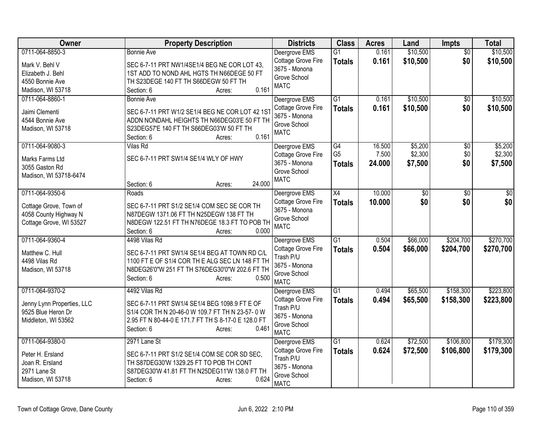| Owner                            | <b>Property Description</b>                                                                      | <b>Districts</b>                | <b>Class</b>    | <b>Acres</b> | Land     | Impts           | <b>Total</b> |
|----------------------------------|--------------------------------------------------------------------------------------------------|---------------------------------|-----------------|--------------|----------|-----------------|--------------|
| 0711-064-8850-3                  | <b>Bonnie Ave</b>                                                                                | Deergrove EMS                   | $\overline{G1}$ | 0.161        | \$10,500 | $\overline{50}$ | \$10,500     |
| Mark V. Behl V                   | SEC 6-7-11 PRT NW1/4SE1/4 BEG NE COR LOT 43,                                                     | Cottage Grove Fire              | <b>Totals</b>   | 0.161        | \$10,500 | \$0             | \$10,500     |
| Elizabeth J. Behl                | 1ST ADD TO NOND AHL HGTS TH N66DEGE 50 FT                                                        | 3675 - Monona                   |                 |              |          |                 |              |
| 4550 Bonnie Ave                  | TH S23DEGE 140 FT TH S66DEGW 50 FT TH                                                            | Grove School<br><b>MATC</b>     |                 |              |          |                 |              |
| Madison, WI 53718                | 0.161<br>Section: 6<br>Acres:                                                                    |                                 |                 |              |          |                 |              |
| 0711-064-8860-1                  | <b>Bonnie Ave</b>                                                                                | Deergrove EMS                   | $\overline{G1}$ | 0.161        | \$10,500 | $\overline{50}$ | \$10,500     |
| Jaimi Clementi                   | SEC 6-7-11 PRT W1/2 SE1/4 BEG NE COR LOT 42 1ST                                                  | Cottage Grove Fire              | <b>Totals</b>   | 0.161        | \$10,500 | \$0             | \$10,500     |
| 4544 Bonnie Ave                  | ADDN NONDAHL HEIGHTS TH N66DEG03'E 50 FT TH                                                      | 3675 - Monona                   |                 |              |          |                 |              |
| Madison, WI 53718                | S23DEG57'E 140 FT TH S66DEG03'W 50 FT TH                                                         | Grove School                    |                 |              |          |                 |              |
|                                  | 0.161<br>Section: 6<br>Acres:                                                                    | <b>MATC</b>                     |                 |              |          |                 |              |
| 0711-064-9080-3                  | <b>Vilas Rd</b>                                                                                  | Deergrove EMS                   | $\overline{G4}$ | 16.500       | \$5,200  | \$0             | \$5,200      |
| Marks Farms Ltd                  | SEC 6-7-11 PRT SW1/4 SE1/4 WLY OF HWY                                                            | Cottage Grove Fire              | G <sub>5</sub>  | 7.500        | \$2,300  | \$0             | \$2,300      |
| 3055 Gaston Rd                   |                                                                                                  | 3675 - Monona                   | <b>Totals</b>   | 24.000       | \$7,500  | \$0             | \$7,500      |
| Madison, WI 53718-6474           |                                                                                                  | Grove School                    |                 |              |          |                 |              |
|                                  | 24.000<br>Section: 6<br>Acres:                                                                   | <b>MATC</b>                     |                 |              |          |                 |              |
| 0711-064-9350-6                  | Roads                                                                                            | Deergrove EMS                   | X4              | 10.000       | \$0      | \$0             | \$0          |
| Cottage Grove, Town of           | SEC 6-7-11 PRT S1/2 SE1/4 COM SEC SE COR TH                                                      | Cottage Grove Fire              | <b>Totals</b>   | 10.000       | \$0      | \$0             | \$0          |
| 4058 County Highway N            | N87DEGW 1371.06 FT TH N25DEGW 138 FT TH                                                          | 3675 - Monona                   |                 |              |          |                 |              |
| Cottage Grove, WI 53527          | N8DEGW 122.51 FT TH N76DEGE 18.3 FT TO POB TH                                                    | Grove School                    |                 |              |          |                 |              |
|                                  | Section: 6<br>0.000<br>Acres:                                                                    | <b>MATC</b>                     |                 |              |          |                 |              |
| 0711-064-9360-4                  | 4498 Vilas Rd                                                                                    | Deergrove EMS                   | G1              | 0.504        | \$66,000 | \$204,700       | \$270,700    |
|                                  |                                                                                                  | Cottage Grove Fire              | <b>Totals</b>   | 0.504        | \$66,000 | \$204,700       | \$270,700    |
| Matthew C. Hull<br>4498 Vilas Rd | SEC 6-7-11 PRT SW1/4 SE1/4 BEG AT TOWN RD C/L<br>1100 FT E OF S1/4 COR TH E ALG SEC LN 148 FT TH | Trash P/U                       |                 |              |          |                 |              |
| Madison, WI 53718                | N8DEG26'0"W 251 FT TH S76DEG30'0"W 202.6 FT TH                                                   | 3675 - Monona                   |                 |              |          |                 |              |
|                                  | 0.500<br>Section: 6<br>Acres:                                                                    | Grove School                    |                 |              |          |                 |              |
|                                  |                                                                                                  | <b>MATC</b>                     |                 |              |          |                 |              |
| 0711-064-9370-2                  | 4492 Vilas Rd                                                                                    | Deergrove EMS                   | $\overline{G1}$ | 0.494        | \$65,500 | \$158,300       | \$223,800    |
| Jenny Lynn Properties, LLC       | SEC 6-7-11 PRT SW1/4 SE1/4 BEG 1098.9 FT E OF                                                    | Cottage Grove Fire<br>Trash P/U | <b>Totals</b>   | 0.494        | \$65,500 | \$158,300       | \$223,800    |
| 9525 Blue Heron Dr               | S1/4 COR TH N 20-46-0 W 109.7 FT TH N 23-57-0 W                                                  | 3675 - Monona                   |                 |              |          |                 |              |
| Middleton, WI 53562              | 2.95 FT N 80-44-0 E 171.7 FT TH S 8-17-0 E 128.0 FT                                              | Grove School                    |                 |              |          |                 |              |
|                                  | 0.461<br>Section: 6<br>Acres:                                                                    | <b>MATC</b>                     |                 |              |          |                 |              |
| 0711-064-9380-0                  | 2971 Lane St                                                                                     | Deergrove EMS                   | $\overline{G1}$ | 0.624        | \$72,500 | \$106,800       | \$179,300    |
| Peter H. Ersland                 | SEC 6-7-11 PRT S1/2 SE1/4 COM SE COR SD SEC,                                                     | Cottage Grove Fire              | <b>Totals</b>   | 0.624        | \$72,500 | \$106,800       | \$179,300    |
| Joan R. Ersland                  | TH S87DEG30'W 1329.25 FT TO POB TH CONT                                                          | Trash P/U                       |                 |              |          |                 |              |
| 2971 Lane St                     | S87DEG30'W 41.81 FT TH N25DEG11'W 138.0 FT TH                                                    | 3675 - Monona                   |                 |              |          |                 |              |
| Madison, WI 53718                | 0.624<br>Section: 6<br>Acres:                                                                    | Grove School                    |                 |              |          |                 |              |
|                                  |                                                                                                  | <b>MATC</b>                     |                 |              |          |                 |              |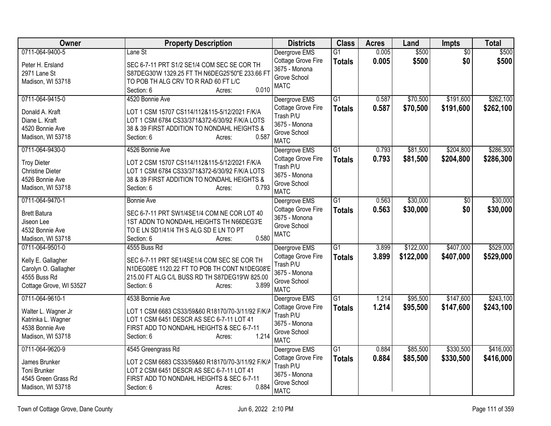| <b>Owner</b>            | <b>Property Description</b>                       | <b>Districts</b>                    | <b>Class</b>    | <b>Acres</b> | Land      | Impts           | <b>Total</b> |
|-------------------------|---------------------------------------------------|-------------------------------------|-----------------|--------------|-----------|-----------------|--------------|
| 0711-064-9400-5         | Lane St                                           | Deergrove EMS                       | $\overline{G1}$ | 0.005        | \$500     | $\overline{50}$ | \$500        |
| Peter H. Ersland        | SEC 6-7-11 PRT S1/2 SE1/4 COM SEC SE COR TH       | Cottage Grove Fire                  | <b>Totals</b>   | 0.005        | \$500     | \$0             | \$500        |
| 2971 Lane St            | S87DEG30'W 1329.25 FT TH N6DEG25'50"E 233.66 FT   | 3675 - Monona                       |                 |              |           |                 |              |
| Madison, WI 53718       | TO POB TH ALG CRV TO R RAD 60 FT L/C              | Grove School                        |                 |              |           |                 |              |
|                         | 0.010<br>Section: 6<br>Acres:                     | <b>MATC</b>                         |                 |              |           |                 |              |
| 0711-064-9415-0         | 4520 Bonnie Ave                                   | Deergrove EMS                       | $\overline{G1}$ | 0.587        | \$70,500  | \$191,600       | \$262,100    |
| Donald A. Kraft         | LOT 1 CSM 15707 CS114/112&115-5/12/2021 F/K/A     | Cottage Grove Fire                  | <b>Totals</b>   | 0.587        | \$70,500  | \$191,600       | \$262,100    |
| Diane L. Kraft          | LOT 1 CSM 6784 CS33/371&372-6/30/92 F/K/A LOTS    | Trash P/U                           |                 |              |           |                 |              |
| 4520 Bonnie Ave         | 38 & 39 FIRST ADDITION TO NONDAHL HEIGHTS &       | 3675 - Monona                       |                 |              |           |                 |              |
| Madison, WI 53718       | 0.587<br>Section: 6<br>Acres:                     | Grove School                        |                 |              |           |                 |              |
|                         |                                                   | <b>MATC</b>                         |                 |              |           |                 |              |
| 0711-064-9430-0         | 4526 Bonnie Ave                                   | Deergrove EMS                       | $\overline{G1}$ | 0.793        | \$81,500  | \$204,800       | \$286,300    |
| <b>Troy Dieter</b>      | LOT 2 CSM 15707 CS114/112&115-5/12/2021 F/K/A     | Cottage Grove Fire                  | <b>Totals</b>   | 0.793        | \$81,500  | \$204,800       | \$286,300    |
| <b>Christine Dieter</b> | LOT 1 CSM 6784 CS33/371&372-6/30/92 F/K/A LOTS    | Trash P/U                           |                 |              |           |                 |              |
| 4526 Bonnie Ave         | 38 & 39 FIRST ADDITION TO NONDAHL HEIGHTS &       | 3675 - Monona                       |                 |              |           |                 |              |
| Madison, WI 53718       | 0.793<br>Section: 6<br>Acres:                     | Grove School<br><b>MATC</b>         |                 |              |           |                 |              |
| 0711-064-9470-1         | <b>Bonnie Ave</b>                                 |                                     | $\overline{G1}$ | 0.563        | \$30,000  | \$0             | \$30,000     |
|                         |                                                   | Deergrove EMS<br>Cottage Grove Fire |                 |              |           |                 |              |
| <b>Brett Batura</b>     | SEC 6-7-11 PRT SW1/4SE1/4 COM NE COR LOT 40       | 3675 - Monona                       | <b>Totals</b>   | 0.563        | \$30,000  | \$0             | \$30,000     |
| Jiseon Lee              | 1ST ADDN TO NONDAHL HEIGHTS TH N66DEG3'E          | Grove School                        |                 |              |           |                 |              |
| 4532 Bonnie Ave         | TO E LN SD1/41/4 TH S ALG SD E LN TO PT           | <b>MATC</b>                         |                 |              |           |                 |              |
| Madison, WI 53718       | 0.580<br>Section: 6<br>Acres:                     |                                     |                 |              |           |                 |              |
| 0711-064-9501-0         | 4555 Buss Rd                                      | Deergrove EMS                       | G1              | 3.899        | \$122,000 | \$407,000       | \$529,000    |
| Kelly E. Gallagher      | SEC 6-7-11 PRT SE1/4SE1/4 COM SEC SE COR TH       | Cottage Grove Fire                  | <b>Totals</b>   | 3.899        | \$122,000 | \$407,000       | \$529,000    |
| Carolyn O. Gallagher    | N1DEG08'E 1120.22 FT TO POB TH CONT N1DEG08'E     | Trash P/U                           |                 |              |           |                 |              |
| 4555 Buss Rd            | 215.00 FT ALG C/L BUSS RD TH S87DEG19'W 825.00    | 3675 - Monona                       |                 |              |           |                 |              |
| Cottage Grove, WI 53527 | 3.899<br>Section: 6<br>Acres:                     | Grove School                        |                 |              |           |                 |              |
|                         |                                                   | <b>MATC</b>                         |                 |              |           |                 |              |
| 0711-064-9610-1         | 4538 Bonnie Ave                                   | Deergrove EMS                       | $\overline{G1}$ | 1.214        | \$95,500  | \$147,600       | \$243,100    |
| Walter L. Wagner Jr     | LOT 1 CSM 6683 CS33/59&60 R18170/70-3/11/92 F/K/A | Cottage Grove Fire                  | <b>Totals</b>   | 1.214        | \$95,500  | \$147,600       | \$243,100    |
| Katrinka L. Wagner      | LOT 1 CSM 6451 DESCR AS SEC 6-7-11 LOT 41         | Trash P/U                           |                 |              |           |                 |              |
| 4538 Bonnie Ave         | FIRST ADD TO NONDAHL HEIGHTS & SEC 6-7-11         | 3675 - Monona                       |                 |              |           |                 |              |
| Madison, WI 53718       | 1.214<br>Section: 6<br>Acres:                     | Grove School                        |                 |              |           |                 |              |
| 0711-064-9620-9         |                                                   | <b>MATC</b>                         | $\overline{G1}$ | 0.884        | \$85,500  | \$330,500       | \$416,000    |
|                         | 4545 Greengrass Rd                                | Deergrove EMS                       |                 |              |           |                 |              |
| James Brunker           | LOT 2 CSM 6683 CS33/59&60 R18170/70-3/11/92 F/K/A | Cottage Grove Fire<br>Trash P/U     | <b>Totals</b>   | 0.884        | \$85,500  | \$330,500       | \$416,000    |
| Toni Brunker            | LOT 2 CSM 6451 DESCR AS SEC 6-7-11 LOT 41         | 3675 - Monona                       |                 |              |           |                 |              |
| 4545 Green Grass Rd     | FIRST ADD TO NONDAHL HEIGHTS & SEC 6-7-11         | Grove School                        |                 |              |           |                 |              |
| Madison, WI 53718       | 0.884<br>Section: 6<br>Acres:                     | <b>MATC</b>                         |                 |              |           |                 |              |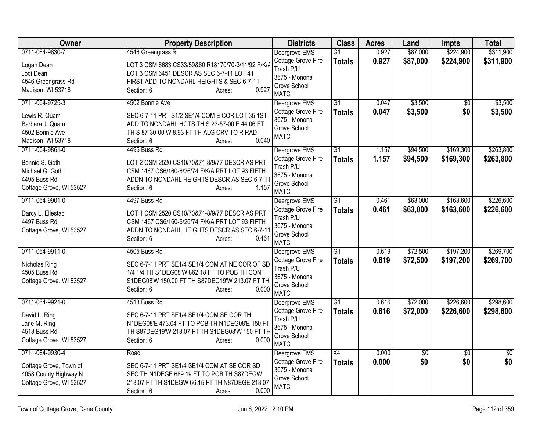| Owner                                                                                           | <b>Property Description</b>                                                                                                                                                                        | <b>Districts</b>                                                                                 | <b>Class</b>                     | <b>Acres</b>   | Land                   | <b>Impts</b>           | <b>Total</b>           |
|-------------------------------------------------------------------------------------------------|----------------------------------------------------------------------------------------------------------------------------------------------------------------------------------------------------|--------------------------------------------------------------------------------------------------|----------------------------------|----------------|------------------------|------------------------|------------------------|
| 0711-064-9630-7                                                                                 | 4546 Greengrass Rd                                                                                                                                                                                 | Deergrove EMS                                                                                    | $\overline{G1}$                  | 0.927          | \$87,000               | \$224,900              | \$311,900              |
| Logan Dean<br>Jodi Dean<br>4546 Greengrass Rd                                                   | LOT 3 CSM 6683 CS33/59&60 R18170/70-3/11/92 F/K/A<br>LOT 3 CSM 6451 DESCR AS SEC 6-7-11 LOT 41<br>FIRST ADD TO NONDAHL HEIGHTS & SEC 6-7-11                                                        | Cottage Grove Fire<br>Trash P/U<br>3675 - Monona                                                 | <b>Totals</b>                    | 0.927          | \$87,000               | \$224,900              | \$311,900              |
| Madison, WI 53718                                                                               | 0.927<br>Section: 6<br>Acres:                                                                                                                                                                      | Grove School<br><b>MATC</b>                                                                      |                                  |                |                        |                        |                        |
| 0711-064-9725-3<br>Lewis R. Quam<br>Barbara J. Quam<br>4502 Bonnie Ave<br>Madison, WI 53718     | 4502 Bonnie Ave<br>SEC 6-7-11 PRT S1/2 SE1/4 COM E COR LOT 35 1ST<br>ADD TO NONDAHL HGTS TH S 23-57-00 E 44.06 FT<br>TH S 87-30-00 W 8.93 FT TH ALG CRV TO R RAD<br>0.040<br>Section: 6<br>Acres:  | Deergrove EMS<br>Cottage Grove Fire<br>3675 - Monona<br>Grove School<br><b>MATC</b>              | $\overline{G1}$<br><b>Totals</b> | 0.047<br>0.047 | \$3,500<br>\$3,500     | $\overline{50}$<br>\$0 | \$3,500<br>\$3,500     |
| 0711-064-9861-0<br>Bonnie S. Goth<br>Michael G. Goth<br>4495 Buss Rd<br>Cottage Grove, WI 53527 | 4495 Buss Rd<br>LOT 2 CSM 2520 CS10/70&71-8/9/77 DESCR AS PRT<br>CSM 1467 CS6/160-6/26/74 F/K/A PRT LOT 93 FIFTH<br>ADDN TO NONDAHL HEIGHTS DESCR AS SEC 6-7-11<br>1.157<br>Section: 6<br>Acres:   | Deergrove EMS<br>Cottage Grove Fire<br>Trash P/U<br>3675 - Monona<br>Grove School<br><b>MATC</b> | $\overline{G1}$<br><b>Totals</b> | 1.157<br>1.157 | \$94,500<br>\$94,500   | \$169,300<br>\$169,300 | \$263,800<br>\$263,800 |
| 0711-064-9901-0<br>Darcy L. Ellestad<br>4497 Buss Rd<br>Cottage Grove, WI 53527                 | 4497 Buss Rd<br>LOT 1 CSM 2520 CS10/70&71-8/9/77 DESCR AS PRT<br>CSM 1467 CS6/160-6/26/74 F/K/A PRT LOT 93 FIFTH<br>ADDN TO NONDAHL HEIGHTS DESCR AS SEC 6-7-11<br>0.461<br>Section: 6<br>Acres:   | Deergrove EMS<br>Cottage Grove Fire<br>Trash P/U<br>3675 - Monona<br>Grove School<br><b>MATC</b> | $\overline{G1}$<br><b>Totals</b> | 0.461<br>0.461 | \$63,000<br>\$63,000   | \$163,600<br>\$163,600 | \$226,600<br>\$226,600 |
| 0711-064-9911-0<br>Nicholas Ring<br>4505 Buss Rd<br>Cottage Grove, WI 53527                     | 4505 Buss Rd<br>SEC 6-7-11 PRT SE1/4 SE1/4 COM AT NE COR OF SD<br>1/4 1/4 TH S1DEG08'W 862.18 FT TO POB TH CONT<br>S1DEG08'W 150.00 FT TH S87DEG19'W 213.07 FT TH<br>Section: 6<br>0.000<br>Acres: | Deergrove EMS<br>Cottage Grove Fire<br>Trash P/U<br>3675 - Monona<br>Grove School<br><b>MATC</b> | $\overline{G1}$<br><b>Totals</b> | 0.619<br>0.619 | \$72,500<br>\$72,500   | \$197,200<br>\$197,200 | \$269,700<br>\$269,700 |
| 0711-064-9921-0<br>David L. Ring<br>Jane M. Ring<br>4513 Buss Rd<br>Cottage Grove, WI 53527     | 4513 Buss Rd<br>SEC 6-7-11 PRT SE1/4 SE1/4 COM SE COR TH<br>N1DEG08'E 473.04 FT TO POB TH N1DEG08'E 150 FT<br>TH S87DEG19'W 213.07 FT TH S1DEG08'W 150 FT TH<br>Section: 6<br>0.000<br>Acres:      | Deergrove EMS<br>Cottage Grove Fire<br>Trash P/U<br>3675 - Monona<br>Grove School<br><b>MATC</b> | $\overline{G1}$<br><b>Totals</b> | 0.616<br>0.616 | \$72,000<br>\$72,000   | \$226,600<br>\$226,600 | \$298,600<br>\$298,600 |
| 0711-064-9930-4<br>Cottage Grove, Town of<br>4058 County Highway N<br>Cottage Grove, WI 53527   | Road<br>SEC 6-7-11 PRT SE1/4 SE1/4 COM AT SE COR SD<br>SEC TH N1DEGE 689.19 FT TO POB TH S87DEGW<br>213.07 FT TH S1DEGW 66.15 FT TH N87DEGE 213.07<br>0.000<br>Section: 6<br>Acres:                | Deergrove EMS<br>Cottage Grove Fire<br>3675 - Monona<br>Grove School<br><b>MATC</b>              | $\overline{X4}$<br><b>Totals</b> | 0.000<br>0.000 | $\overline{60}$<br>\$0 | $\overline{50}$<br>\$0 | $\overline{50}$<br>\$0 |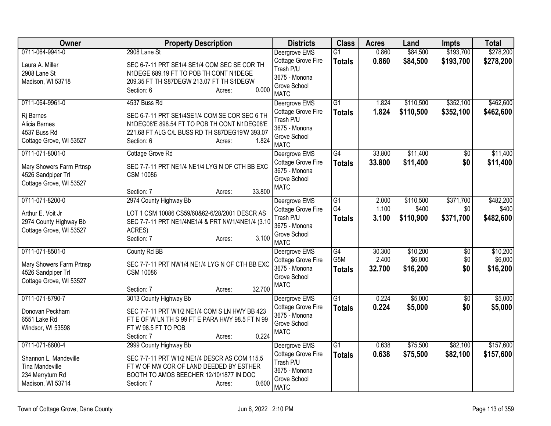| <b>Owner</b>                                                                                                | <b>Property Description</b>                                                                                                                                                                      | <b>Districts</b>                                                                                 | <b>Class</b>                           | <b>Acres</b>              | Land                            | <b>Impts</b>                  | <b>Total</b>                    |
|-------------------------------------------------------------------------------------------------------------|--------------------------------------------------------------------------------------------------------------------------------------------------------------------------------------------------|--------------------------------------------------------------------------------------------------|----------------------------------------|---------------------------|---------------------------------|-------------------------------|---------------------------------|
| 0711-064-9941-0<br>Laura A. Miller<br>2908 Lane St<br>Madison, WI 53718                                     | 2908 Lane St<br>SEC 6-7-11 PRT SE1/4 SE1/4 COM SEC SE COR TH<br>N1DEGE 689.19 FT TO POB TH CONT N1DEGE<br>209.35 FT TH S87DEGW 213.07 FT TH S1DEGW<br>Section: 6<br>0.000<br>Acres:              | Deergrove EMS<br>Cottage Grove Fire<br>Trash P/U<br>3675 - Monona<br>Grove School<br><b>MATC</b> | G1<br><b>Totals</b>                    | 0.860<br>0.860            | \$84,500<br>\$84,500            | \$193,700<br>\$193,700        | \$278,200<br>\$278,200          |
| 0711-064-9961-0<br>Ri Barnes<br>Alicia Barnes<br>4537 Buss Rd<br>Cottage Grove, WI 53527                    | 4537 Buss Rd<br>SEC 6-7-11 PRT SE1/4SE1/4 COM SE COR SEC 6 TH<br>N1DEG08'E 898.54 FT TO POB TH CONT N1DEG08'E<br>221.68 FT ALG C/L BUSS RD TH S87DEG19'W 393.07<br>1.824<br>Section: 6<br>Acres: | Deergrove EMS<br>Cottage Grove Fire<br>Trash P/U<br>3675 - Monona<br>Grove School<br><b>MATC</b> | $\overline{G1}$<br><b>Totals</b>       | 1.824<br>1.824            | \$110,500<br>\$110,500          | \$352,100<br>\$352,100        | \$462,600<br>\$462,600          |
| 0711-071-8001-0<br>Mary Showers Farm Prtnsp<br>4526 Sandpiper Trl<br>Cottage Grove, WI 53527                | Cottage Grove Rd<br>SEC 7-7-11 PRT NE1/4 NE1/4 LYG N OF CTH BB EXC<br><b>CSM 10086</b><br>33.800<br>Section: 7<br>Acres:                                                                         | Deergrove EMS<br>Cottage Grove Fire<br>3675 - Monona<br>Grove School<br><b>MATC</b>              | $\overline{G4}$<br><b>Totals</b>       | 33.800<br>33.800          | \$11,400<br>\$11,400            | \$0<br>\$0                    | \$11,400<br>\$11,400            |
| 0711-071-8200-0<br>Arthur E. Voit Jr<br>2974 County Highway Bb<br>Cottage Grove, WI 53527                   | 2974 County Highway Bb<br>LOT 1 CSM 10086 CS59/60&62-6/28/2001 DESCR AS<br>SEC 7-7-11 PRT NE1/4NE1/4 & PRT NW1/4NE1/4 (3.10<br>ACRES)<br>3.100<br>Section: 7<br>Acres:                           | Deergrove EMS<br>Cottage Grove Fire<br>Trash P/U<br>3675 - Monona<br>Grove School<br><b>MATC</b> | $\overline{G1}$<br>G4<br><b>Totals</b> | 2.000<br>1.100<br>3.100   | \$110,500<br>\$400<br>\$110,900 | \$371,700<br>\$0<br>\$371,700 | \$482,200<br>\$400<br>\$482,600 |
| 0711-071-8501-0<br>Mary Showers Farm Prtnsp<br>4526 Sandpiper Trl<br>Cottage Grove, WI 53527                | County Rd BB<br>SEC 7-7-11 PRT NW1/4 NE1/4 LYG N OF CTH BB EXC<br><b>CSM 10086</b><br>32.700<br>Section: 7<br>Acres:                                                                             | Deergrove EMS<br>Cottage Grove Fire<br>3675 - Monona<br>Grove School<br><b>MATC</b>              | G4<br>G5M<br><b>Totals</b>             | 30.300<br>2.400<br>32.700 | \$10,200<br>\$6,000<br>\$16,200 | $\overline{50}$<br>\$0<br>\$0 | \$10,200<br>\$6,000<br>\$16,200 |
| 0711-071-8790-7<br>Donovan Peckham<br>6551 Lake Rd<br>Windsor, WI 53598                                     | 3013 County Highway Bb<br>SEC 7-7-11 PRT W1/2 NE1/4 COM S LN HWY BB 423<br>FT E OF W LN TH S 99 FT E PARA HWY 98.5 FT N 99<br>FTW 98.5 FT TO POB<br>0.224<br>Section: 7<br>Acres:                | Deergrove EMS<br>Cottage Grove Fire<br>3675 - Monona<br>Grove School<br><b>MATC</b>              | G1<br><b>Totals</b>                    | 0.224<br>0.224            | \$5,000<br>\$5,000              | $\overline{50}$<br>\$0        | \$5,000<br>\$5,000              |
| 0711-071-8800-4<br>Shannon L. Mandeville<br><b>Tina Mandeville</b><br>234 Merryturn Rd<br>Madison, WI 53714 | 2999 County Highway Bb<br>SEC 7-7-11 PRT W1/2 NE1/4 DESCR AS COM 115.5<br>FT W OF NW COR OF LAND DEEDED BY ESTHER<br>BOOTH TO AMOS BEECHER 12/10/1877 IN DOC<br>0.600<br>Section: 7<br>Acres:    | Deergrove EMS<br>Cottage Grove Fire<br>Trash P/U<br>3675 - Monona<br>Grove School<br><b>MATC</b> | $\overline{G1}$<br><b>Totals</b>       | 0.638<br>0.638            | \$75,500<br>\$75,500            | \$82,100<br>\$82,100          | \$157,600<br>\$157,600          |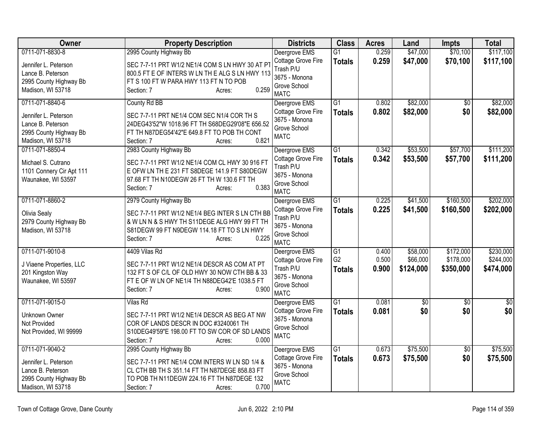| Owner                                                                                                       | <b>Property Description</b>                                                                                                                                                                              | <b>Districts</b>                                                                                 | <b>Class</b>                          | <b>Acres</b>            | Land                              | <b>Impts</b>                        | <b>Total</b>                        |
|-------------------------------------------------------------------------------------------------------------|----------------------------------------------------------------------------------------------------------------------------------------------------------------------------------------------------------|--------------------------------------------------------------------------------------------------|---------------------------------------|-------------------------|-----------------------------------|-------------------------------------|-------------------------------------|
| 0711-071-8830-8                                                                                             | 2995 County Highway Bb                                                                                                                                                                                   | Deergrove EMS                                                                                    | $\overline{G1}$                       | 0.259                   | \$47,000                          | \$70,100                            | \$117,100                           |
| Jennifer L. Peterson<br>Lance B. Peterson<br>2995 County Highway Bb<br>Madison, WI 53718                    | SEC 7-7-11 PRT W1/2 NE1/4 COM S LN HWY 30 AT PT<br>800.5 FT E OF INTERS W LN TH E ALG S LN HWY 113<br>FT S 100 FT W PARA HWY 113 FT N TO POB<br>0.259<br>Section: 7<br>Acres:                            | Cottage Grove Fire<br>Trash P/U<br>3675 - Monona<br>Grove School<br><b>MATC</b>                  | <b>Totals</b>                         | 0.259                   | \$47,000                          | \$70,100                            | \$117,100                           |
| 0711-071-8840-6<br>Jennifer L. Peterson<br>Lance B. Peterson<br>2995 County Highway Bb<br>Madison, WI 53718 | County Rd BB<br>SEC 7-7-11 PRT NE1/4 COM SEC N1/4 COR TH S<br>24DEG43'52"W 1018.96 FT TH S68DEG29'08"E 656.52<br>FT TH N87DEG54'42"E 649.8 FT TO POB TH CONT<br>0.821<br>Section: 7<br>Acres:            | Deergrove EMS<br>Cottage Grove Fire<br>3675 - Monona<br>Grove School<br><b>MATC</b>              | $\overline{G1}$<br><b>Totals</b>      | 0.802<br>0.802          | \$82,000<br>\$82,000              | $\overline{50}$<br>\$0              | \$82,000<br>\$82,000                |
| 0711-071-8850-4<br>Michael S. Cutrano<br>1101 Connery Cir Apt 111<br>Waunakee, WI 53597                     | 2983 County Highway Bb<br>SEC 7-7-11 PRT W1/2 NE1/4 COM CL HWY 30 916 FT<br>E OFW LN TH E 231 FT S8DEGE 141.9 FT S80DEGW<br>97.68 FT TH N10DEGW 26 FT TH W 130.6 FT TH<br>0.383<br>Section: 7<br>Acres:  | Deergrove EMS<br>Cottage Grove Fire<br>Trash P/U<br>3675 - Monona<br>Grove School<br><b>MATC</b> | $\overline{G1}$<br><b>Totals</b>      | 0.342<br>0.342          | \$53,500<br>\$53,500              | \$57,700<br>\$57,700                | \$111,200<br>\$111,200              |
| 0711-071-8860-2<br>Olivia Sealy<br>2979 County Highway Bb<br>Madison, WI 53718                              | 2979 County Highway Bb<br>SEC 7-7-11 PRT W1/2 NE1/4 BEG INTER S LN CTH BB<br>& W LN N & S HWY TH S11DEGE ALG HWY 99 FT TH<br>S81DEGW 99 FT N9DEGW 114.18 FT TO S LN HWY<br>0.225<br>Section: 7<br>Acres: | Deergrove EMS<br>Cottage Grove Fire<br>Trash P/U<br>3675 - Monona<br>Grove School<br><b>MATC</b> | $\overline{G1}$<br><b>Totals</b>      | 0.225<br>0.225          | \$41,500<br>\$41,500              | \$160,500<br>\$160,500              | \$202,000<br>\$202,000              |
| 0711-071-9010-8<br>J Viaene Properties, LLC<br>201 Kingston Way<br>Waunakee, WI 53597                       | 4409 Vilas Rd<br>SEC 7-7-11 PRT W1/2 NE1/4 DESCR AS COM AT PT<br>132 FT S OF C/L OF OLD HWY 30 NOW CTH BB & 33<br>FT E OF W LN OF NE1/4 TH N88DEG42'E 1038.5 FT<br>0.900<br>Section: 7<br>Acres:         | Deergrove EMS<br>Cottage Grove Fire<br>Trash P/U<br>3675 - Monona<br>Grove School<br><b>MATC</b> | G1<br>G <sub>2</sub><br><b>Totals</b> | 0.400<br>0.500<br>0.900 | \$58,000<br>\$66,000<br>\$124,000 | \$172,000<br>\$178,000<br>\$350,000 | \$230,000<br>\$244,000<br>\$474,000 |
| 0711-071-9015-0<br>Unknown Owner<br>Not Provided<br>Not Provided, WI 99999                                  | <b>Vilas Rd</b><br>SEC 7-7-11 PRT W1/2 NE1/4 DESCR AS BEG AT NW<br>COR OF LANDS DESCR IN DOC #3240061 TH<br>S10DEG49'59"E 198.00 FT TO SW COR OF SD LANDS<br>0.000<br>Section: 7<br>Acres:               | Deergrove EMS<br>Cottage Grove Fire<br>3675 - Monona<br>Grove School<br><b>MATC</b>              | $\overline{G1}$<br><b>Totals</b>      | 0.081<br>0.081          | $\overline{60}$<br>\$0            | $\overline{30}$<br>\$0              | $\overline{50}$<br>\$0              |
| 0711-071-9040-2<br>Jennifer L. Peterson<br>Lance B. Peterson<br>2995 County Highway Bb<br>Madison, WI 53718 | 2995 County Highway Bb<br>SEC 7-7-11 PRT NE1/4 COM INTERS W LN SD 1/4 &<br>CL CTH BB TH S 351.14 FT TH N87DEGE 858.83 FT<br>TO POB TH N11DEGW 224.16 FT TH N87DEGE 132<br>0.700<br>Section: 7<br>Acres:  | Deergrove EMS<br>Cottage Grove Fire<br>3675 - Monona<br>Grove School<br><b>MATC</b>              | $\overline{G1}$<br><b>Totals</b>      | 0.673<br>0.673          | \$75,500<br>\$75,500              | $\overline{50}$<br>\$0              | \$75,500<br>\$75,500                |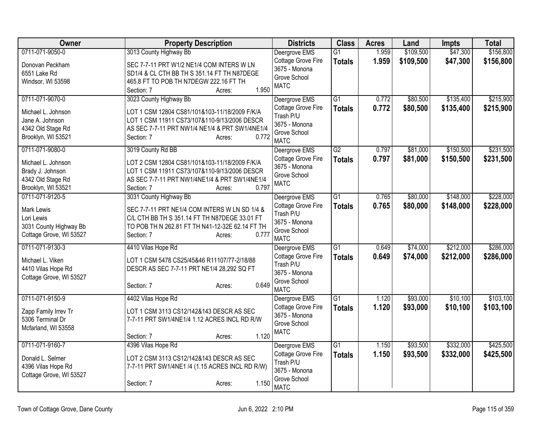| <b>Owner</b>            | <b>Property Description</b>                     | <b>Districts</b>                    | <b>Class</b>    | <b>Acres</b> | Land      | <b>Impts</b> | <b>Total</b> |
|-------------------------|-------------------------------------------------|-------------------------------------|-----------------|--------------|-----------|--------------|--------------|
| 0711-071-9050-0         | 3013 County Highway Bb                          | Deergrove EMS                       | G1              | 1.959        | \$109,500 | \$47,300     | \$156,800    |
| Donovan Peckham         | SEC 7-7-11 PRT W1/2 NE1/4 COM INTERS W LN       | Cottage Grove Fire                  | <b>Totals</b>   | 1.959        | \$109,500 | \$47,300     | \$156,800    |
| 6551 Lake Rd            | SD1/4 & CL CTH BB TH S 351.14 FT TH N87DEGE     | 3675 - Monona                       |                 |              |           |              |              |
| Windsor, WI 53598       | 465.8 FT TO POB TH N7DEGW 222.16 FT TH          | Grove School<br><b>MATC</b>         |                 |              |           |              |              |
|                         | Section: 7<br>1.950<br>Acres:                   |                                     |                 |              |           |              |              |
| 0711-071-9070-0         | 3023 County Highway Bb                          | Deergrove EMS                       | $\overline{G1}$ | 0.772        | \$80,500  | \$135,400    | \$215,900    |
| Michael L. Johnson      | LOT 1 CSM 12804 CS81/101&103-11/18/2009 F/K/A   | Cottage Grove Fire                  | <b>Totals</b>   | 0.772        | \$80,500  | \$135,400    | \$215,900    |
| Jane A. Johnson         | LOT 1 CSM 11911 CS73/107&110-9/13/2006 DESCR    | Trash P/U                           |                 |              |           |              |              |
| 4342 Old Stage Rd       | AS SEC 7-7-11 PRT NW1/4 NE1/4 & PRT SW1/4NE1/4  | 3675 - Monona                       |                 |              |           |              |              |
| Brooklyn, WI 53521      | 0.772<br>Section: 7<br>Acres:                   | Grove School                        |                 |              |           |              |              |
| 0711-071-9080-0         | 3019 County Rd BB                               | <b>MATC</b>                         | $\overline{G2}$ | 0.797        | \$81,000  | \$150,500    | \$231,500    |
|                         |                                                 | Deergrove EMS<br>Cottage Grove Fire | <b>Totals</b>   | 0.797        | \$81,000  | \$150,500    | \$231,500    |
| Michael L. Johnson      | LOT 2 CSM 12804 CS81/101&103-11/18/2009 F/K/A   | 3675 - Monona                       |                 |              |           |              |              |
| Brady J. Johnson        | LOT 1 CSM 11911 CS73/107&110-9/13/2006 DESCR    | Grove School                        |                 |              |           |              |              |
| 4342 Old Stage Rd       | AS SEC 7-7-11 PRT NW1/4NE1/4 & PRT SW1/4NE1/4   | <b>MATC</b>                         |                 |              |           |              |              |
| Brooklyn, WI 53521      | 0.797<br>Section: 7<br>Acres:                   |                                     |                 |              |           |              |              |
| 0711-071-9120-5         | 3031 County Highway Bb                          | Deergrove EMS                       | $\overline{G1}$ | 0.765        | \$80,000  | \$148,000    | \$228,000    |
| <b>Mark Lewis</b>       | SEC 7-7-11 PRT NE1/4 COM INTERS W LN SD 1/4 &   | Cottage Grove Fire                  | <b>Totals</b>   | 0.765        | \$80,000  | \$148,000    | \$228,000    |
| Lori Lewis              | C/L CTH BB TH S 351.14 FT TH N87DEGE 33.01 FT   | Trash P/U                           |                 |              |           |              |              |
| 3031 County Highway Bb  | TO POB TH N 262.81 FT TH N41-12-32E 62.14 FT TH | 3675 - Monona                       |                 |              |           |              |              |
| Cottage Grove, WI 53527 | 0.777<br>Section: 7<br>Acres:                   | Grove School<br><b>MATC</b>         |                 |              |           |              |              |
| 0711-071-9130-3         | 4410 Vilas Hope Rd                              | Deergrove EMS                       | $\overline{G1}$ | 0.649        | \$74,000  | \$212,000    | \$286,000    |
|                         |                                                 | Cottage Grove Fire                  | <b>Totals</b>   | 0.649        | \$74,000  | \$212,000    | \$286,000    |
| Michael L. Viken        | LOT 1 CSM 5478 CS25/45&46 R11107/77-2/18/88     | Trash P/U                           |                 |              |           |              |              |
| 4410 Vilas Hope Rd      | DESCR AS SEC 7-7-11 PRT NE1/4 28,292 SQ FT      | 3675 - Monona                       |                 |              |           |              |              |
| Cottage Grove, WI 53527 |                                                 | Grove School                        |                 |              |           |              |              |
|                         | 0.649<br>Section: 7<br>Acres:                   | <b>MATC</b>                         |                 |              |           |              |              |
| 0711-071-9150-9         | 4402 Vilas Hope Rd                              | Deergrove EMS                       | G1              | 1.120        | \$93,000  | \$10,100     | \$103,100    |
| Zapp Family Irrev Tr    | LOT 1 CSM 3113 CS12/142&143 DESCR AS SEC        | Cottage Grove Fire                  | <b>Totals</b>   | 1.120        | \$93,000  | \$10,100     | \$103,100    |
| 5306 Terminal Dr        | 7-7-11 PRT SW1/4NE1/4 1.12 ACRES INCL RD R/W    | 3675 - Monona                       |                 |              |           |              |              |
| Mcfarland, WI 53558     |                                                 | Grove School                        |                 |              |           |              |              |
|                         | 1.120<br>Section: 7<br>Acres:                   | <b>MATC</b>                         |                 |              |           |              |              |
| 0711-071-9160-7         | 4396 Vilas Hope Rd                              | Deergrove EMS                       | $\overline{G1}$ | 1.150        | \$93,500  | \$332,000    | \$425,500    |
|                         |                                                 | Cottage Grove Fire                  | <b>Totals</b>   | 1.150        | \$93,500  | \$332,000    | \$425,500    |
| Donald L. Selmer        | LOT 2 CSM 3113 CS12/142&143 DESCR AS SEC        | Trash P/U                           |                 |              |           |              |              |
| 4396 Vilas Hope Rd      | 7-7-11 PRT SW1/4NE1 /4 (1.15 ACRES INCL RD R/W) | 3675 - Monona                       |                 |              |           |              |              |
| Cottage Grove, WI 53527 | 1.150                                           | Grove School                        |                 |              |           |              |              |
|                         | Section: 7<br>Acres:                            | <b>MATC</b>                         |                 |              |           |              |              |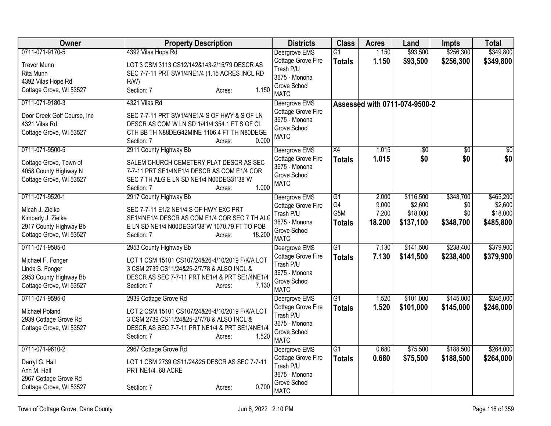| <b>Owner</b>                | <b>Property Description</b>                     | <b>Districts</b>                    | <b>Class</b>    | <b>Acres</b> | Land                          | <b>Impts</b>    | <b>Total</b>    |
|-----------------------------|-------------------------------------------------|-------------------------------------|-----------------|--------------|-------------------------------|-----------------|-----------------|
| 0711-071-9170-5             | 4392 Vilas Hope Rd                              | Deergrove EMS                       | $\overline{G1}$ | 1.150        | \$93,500                      | \$256,300       | \$349,800       |
| <b>Trevor Munn</b>          | LOT 3 CSM 3113 CS12/142&143-2/15/79 DESCR AS    | Cottage Grove Fire                  | <b>Totals</b>   | 1.150        | \$93,500                      | \$256,300       | \$349,800       |
| Rita Munn                   | SEC 7-7-11 PRT SW1/4NE1/4 (1.15 ACRES INCL RD   | Trash P/U                           |                 |              |                               |                 |                 |
| 4392 Vilas Hope Rd          | R/W                                             | 3675 - Monona                       |                 |              |                               |                 |                 |
| Cottage Grove, WI 53527     | 1.150<br>Section: 7<br>Acres:                   | Grove School<br><b>MATC</b>         |                 |              |                               |                 |                 |
| 0711-071-9180-3             | 4321 Vilas Rd                                   | Deergrove EMS                       |                 |              | Assessed with 0711-074-9500-2 |                 |                 |
| Door Creek Golf Course, Inc | SEC 7-7-11 PRT SW1/4NE1/4 S OF HWY & S OF LN    | Cottage Grove Fire<br>3675 - Monona |                 |              |                               |                 |                 |
| 4321 Vilas Rd               | DESCR AS COM W LN SD 1/41/4 354.1 FT S OF CL    | Grove School                        |                 |              |                               |                 |                 |
| Cottage Grove, WI 53527     | CTH BB TH N88DEG42MINE 1106.4 FT TH N80DEGE     | <b>MATC</b>                         |                 |              |                               |                 |                 |
|                             | 0.000<br>Section: 7<br>Acres:                   |                                     |                 |              |                               |                 |                 |
| 0711-071-9500-5             | 2911 County Highway Bb                          | Deergrove EMS                       | X4              | 1.015        | $\overline{50}$               | $\overline{50}$ | $\overline{50}$ |
| Cottage Grove, Town of      | SALEM CHURCH CEMETERY PLAT DESCR AS SEC         | Cottage Grove Fire                  | <b>Totals</b>   | 1.015        | \$0                           | \$0             | \$0             |
| 4058 County Highway N       | 7-7-11 PRT SE1/4NE1/4 DESCR AS COM E1/4 COR     | 3675 - Monona                       |                 |              |                               |                 |                 |
| Cottage Grove, WI 53527     | SEC 7 TH ALG E LN SD NE1/4 N00DEG31'38"W        | Grove School<br><b>MATC</b>         |                 |              |                               |                 |                 |
|                             | 1.000<br>Section: 7<br>Acres:                   |                                     |                 |              |                               |                 |                 |
| 0711-071-9520-1             | 2917 County Highway Bb                          | Deergrove EMS                       | G1              | 2.000        | \$116,500                     | \$348,700       | \$465,200       |
| Micah J. Zielke             | SEC 7-7-11 E1/2 NE1/4 S OF HWY EXC PRT          | Cottage Grove Fire                  | G4              | 9.000        | \$2,600                       | \$0             | \$2,600         |
| Kimberly J. Zielke          | SE1/4NE1/4 DESCR AS COM E1/4 COR SEC 7 TH ALG   | Trash P/U                           | G5M             | 7.200        | \$18,000                      | \$0             | \$18,000        |
| 2917 County Highway Bb      | E LN SD NE1/4 N00DEG31'38"W 1070.79 FT TO POB   | 3675 - Monona                       | <b>Totals</b>   | 18.200       | \$137,100                     | \$348,700       | \$485,800       |
| Cottage Grove, WI 53527     | 18.200<br>Section: 7<br>Acres:                  | Grove School                        |                 |              |                               |                 |                 |
| 0711-071-9585-0             |                                                 | <b>MATC</b>                         | $\overline{G1}$ | 7.130        | \$141,500                     | \$238,400       | \$379,900       |
|                             | 2953 County Highway Bb                          | Deergrove EMS<br>Cottage Grove Fire |                 | 7.130        |                               | \$238,400       |                 |
| Michael F. Fonger           | LOT 1 CSM 15101 CS107/24&26-4/10/2019 F/K/A LOT | Trash P/U                           | <b>Totals</b>   |              | \$141,500                     |                 | \$379,900       |
| Linda S. Fonger             | 3 CSM 2739 CS11/24&25-2/7/78 & ALSO INCL &      | 3675 - Monona                       |                 |              |                               |                 |                 |
| 2953 County Highway Bb      | DESCR AS SEC 7-7-11 PRT NE1/4 & PRT SE1/4NE1/4  | Grove School                        |                 |              |                               |                 |                 |
| Cottage Grove, WI 53527     | 7.130<br>Section: 7<br>Acres:                   | <b>MATC</b>                         |                 |              |                               |                 |                 |
| 0711-071-9595-0             | 2939 Cottage Grove Rd                           | Deergrove EMS                       | $\overline{G1}$ | 1.520        | \$101,000                     | \$145,000       | \$246,000       |
| Michael Poland              | LOT 2 CSM 15101 CS107/24&26-4/10/2019 F/K/A LOT | Cottage Grove Fire                  | <b>Totals</b>   | 1.520        | \$101,000                     | \$145,000       | \$246,000       |
| 2939 Cottage Grove Rd       | 3 CSM 2739 CS11/24&25-2/7/78 & ALSO INCL &      | Trash P/U                           |                 |              |                               |                 |                 |
| Cottage Grove, WI 53527     | DESCR AS SEC 7-7-11 PRT NE1/4 & PRT SE1/4NE1/4  | 3675 - Monona                       |                 |              |                               |                 |                 |
|                             | 1.520<br>Section: 7<br>Acres:                   | Grove School                        |                 |              |                               |                 |                 |
|                             |                                                 | <b>MATC</b>                         |                 |              |                               |                 |                 |
| 0711-071-9610-2             | 2967 Cottage Grove Rd                           | Deergrove EMS                       | G1              | 0.680        | \$75,500                      | \$188,500       | \$264,000       |
| Darryl G. Hall              | LOT 1 CSM 2739 CS11/24&25 DESCR AS SEC 7-7-11   | Cottage Grove Fire                  | <b>Totals</b>   | 0.680        | \$75,500                      | \$188,500       | \$264,000       |
| Ann M. Hall                 | PRT NE1/4 .68 ACRE                              | Trash P/U<br>3675 - Monona          |                 |              |                               |                 |                 |
| 2967 Cottage Grove Rd       |                                                 | Grove School                        |                 |              |                               |                 |                 |
| Cottage Grove, WI 53527     | 0.700<br>Section: 7<br>Acres:                   | <b>MATC</b>                         |                 |              |                               |                 |                 |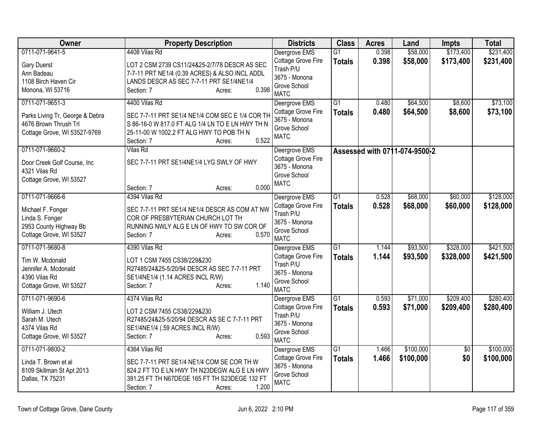| <b>Owner</b>                                                                                                 | <b>Property Description</b>                                                                                                                                                                   | <b>Districts</b>                                                                                 | <b>Class</b>                     | <b>Acres</b>   | Land                          | <b>Impts</b>           | <b>Total</b>           |
|--------------------------------------------------------------------------------------------------------------|-----------------------------------------------------------------------------------------------------------------------------------------------------------------------------------------------|--------------------------------------------------------------------------------------------------|----------------------------------|----------------|-------------------------------|------------------------|------------------------|
| 0711-071-9641-5                                                                                              | 4408 Vilas Rd                                                                                                                                                                                 | Deergrove EMS                                                                                    | G1                               | 0.398          | \$58,000                      | \$173,400              | \$231,400              |
| <b>Gary Duerst</b><br>Ann Badeau<br>1108 Birch Haven Cir<br>Monona, WI 53716                                 | LOT 2 CSM 2739 CS11/24&25-2/7/78 DESCR AS SEC<br>7-7-11 PRT NE1/4 (0.39 ACRES) & ALSO INCL ADDL<br>LANDS DESCR AS SEC 7-7-11 PRT SE1/4NE1/4<br>Section: 7<br>0.398<br>Acres:                  | Cottage Grove Fire<br>Trash P/U<br>3675 - Monona<br>Grove School<br><b>MATC</b>                  | <b>Totals</b>                    | 0.398          | \$58,000                      | \$173,400              | \$231,400              |
| 0711-071-9651-3                                                                                              | 4400 Vilas Rd                                                                                                                                                                                 | Deergrove EMS                                                                                    | $\overline{G1}$                  | 0.480          | \$64,500                      | \$8,600                | \$73,100               |
| Parks Living Tr, George & Debra<br>4676 Brown Thrush Trl<br>Cottage Grove, WI 53527-9769                     | SEC 7-7-11 PRT SE1/4 NE1/4 COM SEC E 1/4 COR TH<br>S 86-16-0 W 817.0 FT ALG 1/4 LN TO E LN HWY TH N<br>25-11-00 W 1002.2 FT ALG HWY TO POB TH N<br>0.522<br>Section: 7<br>Acres:              | Cottage Grove Fire<br>3675 - Monona<br>Grove School<br><b>MATC</b>                               | <b>Totals</b>                    | 0.480          | \$64,500                      | \$8,600                | \$73,100               |
| 0711-071-9660-2<br>Door Creek Golf Course, Inc<br>4321 Vilas Rd<br>Cottage Grove, WI 53527                   | <b>Vilas Rd</b><br>SEC 7-7-11 PRT SE1/4NE1/4 LYG SWLY OF HWY<br>0.000<br>Section: 7<br>Acres:                                                                                                 | Deergrove EMS<br>Cottage Grove Fire<br>3675 - Monona<br>Grove School<br><b>MATC</b>              |                                  |                | Assessed with 0711-074-9500-2 |                        |                        |
| 0711-071-9666-6<br>Michael F. Fonger<br>Linda S. Fonger<br>2953 County Highway Bb<br>Cottage Grove, WI 53527 | 4394 Vilas Rd<br>SEC 7-7-11 PRT SE1/4 NE1/4 DESCR AS COM AT NW<br>COR OF PRESBYTERIAN CHURCH LOT TH<br>RUNNING NWLY ALG E LN OF HWY TO SW COR OF<br>0.570<br>Section: 7<br>Acres:             | Deergrove EMS<br>Cottage Grove Fire<br>Trash P/U<br>3675 - Monona<br>Grove School<br><b>MATC</b> | $\overline{G1}$<br><b>Totals</b> | 0.528<br>0.528 | \$68,000<br>\$68,000          | \$60,000<br>\$60,000   | \$128,000<br>\$128,000 |
| 0711-071-9680-8<br>Tim W. Mcdonald<br>Jennifer A. Mcdonald<br>4390 Vilas Rd<br>Cottage Grove, WI 53527       | 4390 Vilas Rd<br>LOT 1 CSM 7455 CS38/229&230<br>R27485/24&25-5/20/94 DESCR AS SEC 7-7-11 PRT<br>SE1/4NE1/4 (1.14 ACRES INCL R/W)<br>1.140<br>Section: 7<br>Acres:                             | Deergrove EMS<br>Cottage Grove Fire<br>Trash P/U<br>3675 - Monona<br>Grove School<br><b>MATC</b> | $\overline{G1}$<br><b>Totals</b> | 1.144<br>1.144 | \$93,500<br>\$93,500          | \$328,000<br>\$328,000 | \$421,500<br>\$421,500 |
| 0711-071-9690-6<br>William J. Utech<br>Sarah M. Utech<br>4374 Vilas Rd<br>Cottage Grove, WI 53527            | 4374 Vilas Rd<br>LOT 2 CSM 7455 CS38/229&230<br>R27485/24&25-5/20/94 DESCR AS SE C 7-7-11 PRT<br>SE1/4NE1/4 (.59 ACRES INCL R/W)<br>0.593<br>Section: 7<br>Acres:                             | Deergrove EMS<br>Cottage Grove Fire<br>Trash P/U<br>3675 - Monona<br>Grove School<br><b>MATC</b> | G1<br><b>Totals</b>              | 0.593<br>0.593 | \$71,000<br>\$71,000          | \$209,400<br>\$209,400 | \$280,400<br>\$280,400 |
| 0711-071-9800-2<br>Linda T. Brown et al<br>8109 Skillman St Apt 2013<br>Dallas, TX 75231                     | 4364 Vilas Rd<br>SEC 7-7-11 PRT SE1/4 NE1/4 COM SE COR TH W<br>824.2 FT TO E LN HWY TH N23DEGW ALG E LN HWY<br>391.25 FT TH N67DEGE 165 FT TH S23DEGE 132 FT<br>1.200<br>Section: 7<br>Acres: | Deergrove EMS<br>Cottage Grove Fire<br>3675 - Monona<br>Grove School<br><b>MATC</b>              | $\overline{G1}$<br><b>Totals</b> | 1.466<br>1.466 | \$100,000<br>\$100,000        | $\overline{50}$<br>\$0 | \$100,000<br>\$100,000 |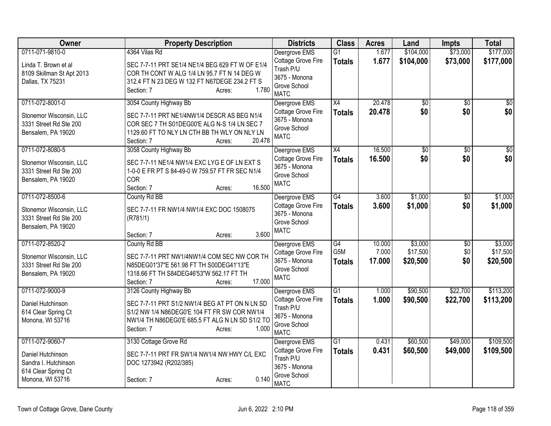| <b>Owner</b>                                                                    | <b>Property Description</b>                                                                                                                                                                                  | <b>Districts</b>                                                                                 | <b>Class</b>                     | <b>Acres</b>    | Land                 | <b>Impts</b>         | <b>Total</b>           |
|---------------------------------------------------------------------------------|--------------------------------------------------------------------------------------------------------------------------------------------------------------------------------------------------------------|--------------------------------------------------------------------------------------------------|----------------------------------|-----------------|----------------------|----------------------|------------------------|
| 0711-071-9810-0                                                                 | 4364 Vilas Rd                                                                                                                                                                                                | Deergrove EMS                                                                                    | $\overline{G1}$                  | 1.677           | \$104,000            | \$73,000             | \$177,000              |
| Linda T. Brown et al<br>8109 Skillman St Apt 2013<br>Dallas, TX 75231           | SEC 7-7-11 PRT SE1/4 NE1/4 BEG 629 FT W OF E1/4<br>COR TH CONT W ALG 1/4 LN 95.7 FT N 14 DEG W<br>312.4 FT N 23 DEG W 132 FT N67DEGE 234.2 FT S<br>1.780<br>Section: 7<br>Acres:                             | Cottage Grove Fire<br>Trash P/U<br>3675 - Monona<br>Grove School<br><b>MATC</b>                  | <b>Totals</b>                    | 1.677           | \$104,000            | \$73,000             | \$177,000              |
| 0711-072-8001-0                                                                 | 3054 County Highway Bb                                                                                                                                                                                       | Deergrove EMS                                                                                    | X4                               | 20.478          | $\overline{50}$      | $\overline{50}$      | $\overline{30}$        |
| Stonemor Wisconsin, LLC<br>3331 Street Rd Ste 200<br>Bensalem, PA 19020         | SEC 7-7-11 PRT NE1/4NW1/4 DESCR AS BEG N1/4<br>COR SEC 7 TH S01DEG00'E ALG N-S 1/4 LN SEC 7<br>1129.60 FT TO NLY LN CTH BB TH WLY ON NLY LN<br>20.478<br>Section: 7<br>Acres:                                | Cottage Grove Fire<br>3675 - Monona<br>Grove School<br><b>MATC</b>                               | <b>Totals</b>                    | 20.478          | \$0                  | \$0                  | \$0                    |
| 0711-072-8080-5                                                                 | 3058 County Highway Bb                                                                                                                                                                                       | Deergrove EMS                                                                                    | $\overline{X4}$                  | 16.500          | $\sqrt{$0}$          | $\overline{50}$      | $\overline{30}$        |
| Stonemor Wisconsin, LLC<br>3331 Street Rd Ste 200<br>Bensalem, PA 19020         | SEC 7-7-11 NE1/4 NW1/4 EXC LYG E OF LN EXT S<br>1-0-0 E FR PT S 84-49-0 W 759.57 FT FR SEC N1/4<br><b>COR</b><br>16.500<br>Section: 7<br>Acres:                                                              | Cottage Grove Fire<br>3675 - Monona<br>Grove School<br><b>MATC</b>                               | <b>Totals</b>                    | 16.500          | \$0                  | \$0                  | \$0                    |
| 0711-072-8500-6                                                                 | County Rd BB                                                                                                                                                                                                 | Deergrove EMS                                                                                    | G4                               | 3.600           | \$1,000              | $\overline{50}$      | \$1,000                |
| Stonemor Wisconsin, LLC<br>3331 Street Rd Ste 200<br>Bensalem, PA 19020         | SEC 7-7-11 FR NW1/4 NW1/4 EXC DOC 1508075<br>(R781/1)<br>3.600<br>Section: 7<br>Acres:                                                                                                                       | Cottage Grove Fire<br>3675 - Monona<br>Grove School<br><b>MATC</b>                               | <b>Totals</b>                    | 3.600           | \$1,000              | \$0                  | \$1,000                |
| 0711-072-8520-2                                                                 | County Rd BB                                                                                                                                                                                                 | Deergrove EMS                                                                                    | G4                               | 10.000          | \$3,000              | \$0                  | \$3,000                |
| Stonemor Wisconsin, LLC<br>3331 Street Rd Ste 200<br>Bensalem, PA 19020         | SEC 7-7-11 PRT NW1/4NW1/4 COM SEC NW COR TH<br>N85DEG01'37"E 561.98 FT TH S00DEG41'13"E<br>1318.66 FT TH S84DEG46'53"W 562.17 FT TH<br>17.000<br>Section: 7<br>Acres:                                        | Cottage Grove Fire<br>3675 - Monona<br>Grove School<br><b>MATC</b>                               | G5M<br><b>Totals</b>             | 7.000<br>17.000 | \$17,500<br>\$20,500 | \$0<br>\$0           | \$17,500<br>\$20,500   |
| 0711-072-9000-9<br>Daniel Hutchinson<br>614 Clear Spring Ct<br>Monona, WI 53716 | 3126 County Highway Bb<br>SEC 7-7-11 PRT S1/2 NW1/4 BEG AT PT ON N LN SD<br>S1/2 NW 1/4 N86DEG0'E 104 FT FR SW COR NW1/4<br>NW1/4 TH N86DEG0'E 685.5 FT ALG N LN SD S1/2 TO<br>1.000<br>Section: 7<br>Acres: | Deergrove EMS<br>Cottage Grove Fire<br>Trash P/U<br>3675 - Monona<br>Grove School<br><b>MATC</b> | $\overline{G1}$<br><b>Totals</b> | 1.000<br>1.000  | \$90,500<br>\$90,500 | \$22,700<br>\$22,700 | \$113,200<br>\$113,200 |
| 0711-072-9060-7                                                                 | 3130 Cottage Grove Rd                                                                                                                                                                                        | Deergrove EMS                                                                                    | $\overline{G1}$                  | 0.431           | \$60,500             | \$49,000             | \$109,500              |
| Daniel Hutchinson<br>Sandra I. Hutchinson<br>614 Clear Spring Ct                | SEC 7-7-11 PRT FR SW1/4 NW1/4 NW HWY C/L EXC<br>DOC 1273942 (R202/385)                                                                                                                                       | Cottage Grove Fire<br>Trash P/U<br>3675 - Monona                                                 | <b>Totals</b>                    | 0.431           | \$60,500             | \$49,000             | \$109,500              |
| Monona, WI 53716                                                                | 0.140<br>Section: 7<br>Acres:                                                                                                                                                                                | Grove School<br><b>MATC</b>                                                                      |                                  |                 |                      |                      |                        |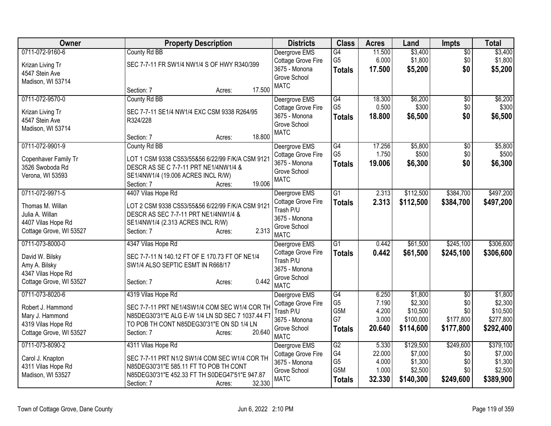| County Rd BB<br>Deergrove EMS<br>G4<br>11.500<br>$\overline{50}$<br>G <sub>5</sub><br>6.000<br>\$1,800<br>\$1,800<br>Cottage Grove Fire<br>\$0<br>SEC 7-7-11 FR SW1/4 NW1/4 S OF HWY R340/399<br>Krizan Living Tr<br>\$0<br>3675 - Monona<br>17.500<br>\$5,200<br>\$5,200<br><b>Totals</b><br>4547 Stein Ave<br>Grove School<br>Madison, WI 53714<br><b>MATC</b><br>17.500<br>Section: 7<br>Acres:<br>\$6,200<br>0711-072-9570-0<br>County Rd BB<br>Deergrove EMS<br>G4<br>18.300<br>$\overline{50}$<br>G <sub>5</sub><br>0.500<br>\$300<br>\$0<br>Cottage Grove Fire<br>SEC 7-7-11 SE1/4 NW1/4 EXC CSM 9338 R264/95<br>Krizan Living Tr<br>3675 - Monona<br>18.800<br>\$6,500<br>\$0<br>\$6,500<br><b>Totals</b><br>4547 Stein Ave<br>R324/228<br>Grove School<br>Madison, WI 53714<br><b>MATC</b><br>18.800<br>Section: 7<br>Acres:<br>\$5,800<br>0711-072-9901-9<br>County Rd BB<br>Deergrove EMS<br>G4<br>17.256<br>\$0<br>G <sub>5</sub><br>1.750<br>\$500<br>\$0<br>Cottage Grove Fire<br>LOT 1 CSM 9338 CS53/55&56 6/22/99 F/K/A CSM 9121<br>Copenhaver Family Tr<br>3675 - Monona<br>19.006<br>\$6,300<br>\$0<br>\$6,300<br><b>Totals</b><br>DESCR AS SE C 7-7-11 PRT NE1/4NW1/4 &<br>3526 Swoboda Rd<br>Grove School<br>SE1/4NW1/4 (19.006 ACRES INCL R/W)<br>Verona, WI 53593<br><b>MATC</b><br>19.006<br>Section: 7<br>Acres:<br>0711-072-9971-5<br>4407 Vilas Hope Rd<br>Deergrove EMS<br>$\overline{G1}$<br>2.313<br>\$112,500<br>\$384,700<br>Cottage Grove Fire<br>2.313<br>\$112,500<br>\$384,700<br>\$497,200<br><b>Totals</b><br>LOT 2 CSM 9338 CS53/55&56 6/22/99 F/K/A CSM 9121<br>Thomas M. Willan<br>Trash P/U<br>DESCR AS SEC 7-7-11 PRT NE1/4NW1/4 &<br>Julia A. Willan<br>3675 - Monona<br>4407 Vilas Hope Rd<br>SE1/4NW1/4 (2.313 ACRES INCL R/W)<br>Grove School<br>2.313<br>Cottage Grove, WI 53527<br>Section: 7<br>Acres:<br><b>MATC</b><br>0711-073-8000-0<br>G <sub>1</sub><br>0.442<br>\$61,500<br>\$245,100<br>4347 Vilas Hope Rd<br>Deergrove EMS | Owner           | <b>Property Description</b> | <b>Districts</b>          | <b>Class</b>  | <b>Acres</b> | Land     | <b>Impts</b> | <b>Total</b> |
|--------------------------------------------------------------------------------------------------------------------------------------------------------------------------------------------------------------------------------------------------------------------------------------------------------------------------------------------------------------------------------------------------------------------------------------------------------------------------------------------------------------------------------------------------------------------------------------------------------------------------------------------------------------------------------------------------------------------------------------------------------------------------------------------------------------------------------------------------------------------------------------------------------------------------------------------------------------------------------------------------------------------------------------------------------------------------------------------------------------------------------------------------------------------------------------------------------------------------------------------------------------------------------------------------------------------------------------------------------------------------------------------------------------------------------------------------------------------------------------------------------------------------------------------------------------------------------------------------------------------------------------------------------------------------------------------------------------------------------------------------------------------------------------------------------------------------------------------------------------------------------------------------------------------------------------------------------------------------------------|-----------------|-----------------------------|---------------------------|---------------|--------------|----------|--------------|--------------|
|                                                                                                                                                                                                                                                                                                                                                                                                                                                                                                                                                                                                                                                                                                                                                                                                                                                                                                                                                                                                                                                                                                                                                                                                                                                                                                                                                                                                                                                                                                                                                                                                                                                                                                                                                                                                                                                                                                                                                                                      | 0711-072-9160-6 |                             |                           |               |              | \$3,400  |              | \$3,400      |
|                                                                                                                                                                                                                                                                                                                                                                                                                                                                                                                                                                                                                                                                                                                                                                                                                                                                                                                                                                                                                                                                                                                                                                                                                                                                                                                                                                                                                                                                                                                                                                                                                                                                                                                                                                                                                                                                                                                                                                                      |                 |                             |                           |               |              |          |              |              |
|                                                                                                                                                                                                                                                                                                                                                                                                                                                                                                                                                                                                                                                                                                                                                                                                                                                                                                                                                                                                                                                                                                                                                                                                                                                                                                                                                                                                                                                                                                                                                                                                                                                                                                                                                                                                                                                                                                                                                                                      |                 |                             |                           |               |              |          |              |              |
| \$6,200<br>\$300<br>\$5,800<br>\$500                                                                                                                                                                                                                                                                                                                                                                                                                                                                                                                                                                                                                                                                                                                                                                                                                                                                                                                                                                                                                                                                                                                                                                                                                                                                                                                                                                                                                                                                                                                                                                                                                                                                                                                                                                                                                                                                                                                                                 |                 |                             |                           |               |              |          |              |              |
|                                                                                                                                                                                                                                                                                                                                                                                                                                                                                                                                                                                                                                                                                                                                                                                                                                                                                                                                                                                                                                                                                                                                                                                                                                                                                                                                                                                                                                                                                                                                                                                                                                                                                                                                                                                                                                                                                                                                                                                      |                 |                             |                           |               |              |          |              |              |
|                                                                                                                                                                                                                                                                                                                                                                                                                                                                                                                                                                                                                                                                                                                                                                                                                                                                                                                                                                                                                                                                                                                                                                                                                                                                                                                                                                                                                                                                                                                                                                                                                                                                                                                                                                                                                                                                                                                                                                                      |                 |                             |                           |               |              |          |              |              |
|                                                                                                                                                                                                                                                                                                                                                                                                                                                                                                                                                                                                                                                                                                                                                                                                                                                                                                                                                                                                                                                                                                                                                                                                                                                                                                                                                                                                                                                                                                                                                                                                                                                                                                                                                                                                                                                                                                                                                                                      |                 |                             |                           |               |              |          |              |              |
|                                                                                                                                                                                                                                                                                                                                                                                                                                                                                                                                                                                                                                                                                                                                                                                                                                                                                                                                                                                                                                                                                                                                                                                                                                                                                                                                                                                                                                                                                                                                                                                                                                                                                                                                                                                                                                                                                                                                                                                      |                 |                             |                           |               |              |          |              |              |
|                                                                                                                                                                                                                                                                                                                                                                                                                                                                                                                                                                                                                                                                                                                                                                                                                                                                                                                                                                                                                                                                                                                                                                                                                                                                                                                                                                                                                                                                                                                                                                                                                                                                                                                                                                                                                                                                                                                                                                                      |                 |                             |                           |               |              |          |              |              |
|                                                                                                                                                                                                                                                                                                                                                                                                                                                                                                                                                                                                                                                                                                                                                                                                                                                                                                                                                                                                                                                                                                                                                                                                                                                                                                                                                                                                                                                                                                                                                                                                                                                                                                                                                                                                                                                                                                                                                                                      |                 |                             |                           |               |              |          |              |              |
|                                                                                                                                                                                                                                                                                                                                                                                                                                                                                                                                                                                                                                                                                                                                                                                                                                                                                                                                                                                                                                                                                                                                                                                                                                                                                                                                                                                                                                                                                                                                                                                                                                                                                                                                                                                                                                                                                                                                                                                      |                 |                             |                           |               |              |          |              |              |
|                                                                                                                                                                                                                                                                                                                                                                                                                                                                                                                                                                                                                                                                                                                                                                                                                                                                                                                                                                                                                                                                                                                                                                                                                                                                                                                                                                                                                                                                                                                                                                                                                                                                                                                                                                                                                                                                                                                                                                                      |                 |                             |                           |               |              |          |              |              |
|                                                                                                                                                                                                                                                                                                                                                                                                                                                                                                                                                                                                                                                                                                                                                                                                                                                                                                                                                                                                                                                                                                                                                                                                                                                                                                                                                                                                                                                                                                                                                                                                                                                                                                                                                                                                                                                                                                                                                                                      |                 |                             |                           |               |              |          |              |              |
|                                                                                                                                                                                                                                                                                                                                                                                                                                                                                                                                                                                                                                                                                                                                                                                                                                                                                                                                                                                                                                                                                                                                                                                                                                                                                                                                                                                                                                                                                                                                                                                                                                                                                                                                                                                                                                                                                                                                                                                      |                 |                             |                           |               |              |          |              |              |
| \$497,200<br>\$306,600                                                                                                                                                                                                                                                                                                                                                                                                                                                                                                                                                                                                                                                                                                                                                                                                                                                                                                                                                                                                                                                                                                                                                                                                                                                                                                                                                                                                                                                                                                                                                                                                                                                                                                                                                                                                                                                                                                                                                               |                 |                             |                           |               |              |          |              |              |
|                                                                                                                                                                                                                                                                                                                                                                                                                                                                                                                                                                                                                                                                                                                                                                                                                                                                                                                                                                                                                                                                                                                                                                                                                                                                                                                                                                                                                                                                                                                                                                                                                                                                                                                                                                                                                                                                                                                                                                                      |                 |                             |                           |               |              |          |              |              |
|                                                                                                                                                                                                                                                                                                                                                                                                                                                                                                                                                                                                                                                                                                                                                                                                                                                                                                                                                                                                                                                                                                                                                                                                                                                                                                                                                                                                                                                                                                                                                                                                                                                                                                                                                                                                                                                                                                                                                                                      |                 |                             |                           |               |              |          |              |              |
|                                                                                                                                                                                                                                                                                                                                                                                                                                                                                                                                                                                                                                                                                                                                                                                                                                                                                                                                                                                                                                                                                                                                                                                                                                                                                                                                                                                                                                                                                                                                                                                                                                                                                                                                                                                                                                                                                                                                                                                      |                 |                             |                           |               |              |          |              |              |
|                                                                                                                                                                                                                                                                                                                                                                                                                                                                                                                                                                                                                                                                                                                                                                                                                                                                                                                                                                                                                                                                                                                                                                                                                                                                                                                                                                                                                                                                                                                                                                                                                                                                                                                                                                                                                                                                                                                                                                                      |                 |                             |                           |               |              |          |              |              |
|                                                                                                                                                                                                                                                                                                                                                                                                                                                                                                                                                                                                                                                                                                                                                                                                                                                                                                                                                                                                                                                                                                                                                                                                                                                                                                                                                                                                                                                                                                                                                                                                                                                                                                                                                                                                                                                                                                                                                                                      |                 |                             |                           |               |              |          |              |              |
|                                                                                                                                                                                                                                                                                                                                                                                                                                                                                                                                                                                                                                                                                                                                                                                                                                                                                                                                                                                                                                                                                                                                                                                                                                                                                                                                                                                                                                                                                                                                                                                                                                                                                                                                                                                                                                                                                                                                                                                      |                 |                             |                           |               |              |          |              |              |
|                                                                                                                                                                                                                                                                                                                                                                                                                                                                                                                                                                                                                                                                                                                                                                                                                                                                                                                                                                                                                                                                                                                                                                                                                                                                                                                                                                                                                                                                                                                                                                                                                                                                                                                                                                                                                                                                                                                                                                                      |                 |                             |                           |               |              |          |              |              |
| SEC 7-7-11 N 140.12 FT OF E 170.73 FT OF NE1/4<br>David W. Bilsky                                                                                                                                                                                                                                                                                                                                                                                                                                                                                                                                                                                                                                                                                                                                                                                                                                                                                                                                                                                                                                                                                                                                                                                                                                                                                                                                                                                                                                                                                                                                                                                                                                                                                                                                                                                                                                                                                                                    |                 |                             | <b>Cottage Grove Fire</b> | <b>Totals</b> | 0.442        | \$61,500 | \$245,100    | \$306,600    |
| Trash P/U<br>SW1/4 ALSO SEPTIC ESMT IN R668/17<br>Amy A. Bilsky                                                                                                                                                                                                                                                                                                                                                                                                                                                                                                                                                                                                                                                                                                                                                                                                                                                                                                                                                                                                                                                                                                                                                                                                                                                                                                                                                                                                                                                                                                                                                                                                                                                                                                                                                                                                                                                                                                                      |                 |                             |                           |               |              |          |              |              |
| 3675 - Monona<br>4347 Vilas Hope Rd                                                                                                                                                                                                                                                                                                                                                                                                                                                                                                                                                                                                                                                                                                                                                                                                                                                                                                                                                                                                                                                                                                                                                                                                                                                                                                                                                                                                                                                                                                                                                                                                                                                                                                                                                                                                                                                                                                                                                  |                 |                             |                           |               |              |          |              |              |
| Grove School<br>0.442<br>Cottage Grove, WI 53527<br>Section: 7<br>Acres:                                                                                                                                                                                                                                                                                                                                                                                                                                                                                                                                                                                                                                                                                                                                                                                                                                                                                                                                                                                                                                                                                                                                                                                                                                                                                                                                                                                                                                                                                                                                                                                                                                                                                                                                                                                                                                                                                                             |                 |                             |                           |               |              |          |              |              |
| <b>MATC</b>                                                                                                                                                                                                                                                                                                                                                                                                                                                                                                                                                                                                                                                                                                                                                                                                                                                                                                                                                                                                                                                                                                                                                                                                                                                                                                                                                                                                                                                                                                                                                                                                                                                                                                                                                                                                                                                                                                                                                                          |                 |                             |                           |               |              |          |              |              |
| G4<br>\$1,800<br>0711-073-8020-6<br>4319 Vilas Hope Rd<br>Deergrove EMS<br>6.250<br>\$1,800<br>$\overline{50}$                                                                                                                                                                                                                                                                                                                                                                                                                                                                                                                                                                                                                                                                                                                                                                                                                                                                                                                                                                                                                                                                                                                                                                                                                                                                                                                                                                                                                                                                                                                                                                                                                                                                                                                                                                                                                                                                       |                 |                             |                           |               |              |          |              |              |
| G <sub>5</sub><br>\$2,300<br>\$2,300<br>7.190<br>\$0<br>Cottage Grove Fire<br>SEC 7-7-11 PRT NE1/4SW1/4 COM SEC W1/4 COR TH<br>Robert J. Hammond<br>G5M<br>4.200                                                                                                                                                                                                                                                                                                                                                                                                                                                                                                                                                                                                                                                                                                                                                                                                                                                                                                                                                                                                                                                                                                                                                                                                                                                                                                                                                                                                                                                                                                                                                                                                                                                                                                                                                                                                                     |                 |                             |                           |               |              |          |              |              |
| \$10,500<br>\$0<br>\$10,500<br>Trash P/U<br>Mary J. Hammond<br>N85DEG30'31"E ALG E-W 1/4 LN SD SEC 7 1037.44 FT<br>G7<br>3.000<br>\$100,000<br>\$177,800<br>\$277,800                                                                                                                                                                                                                                                                                                                                                                                                                                                                                                                                                                                                                                                                                                                                                                                                                                                                                                                                                                                                                                                                                                                                                                                                                                                                                                                                                                                                                                                                                                                                                                                                                                                                                                                                                                                                                |                 |                             |                           |               |              |          |              |              |
| 3675 - Monona<br>4319 Vilas Hope Rd<br>TO POB TH CONT N85DEG30'31"E ON SD 1/4 LN                                                                                                                                                                                                                                                                                                                                                                                                                                                                                                                                                                                                                                                                                                                                                                                                                                                                                                                                                                                                                                                                                                                                                                                                                                                                                                                                                                                                                                                                                                                                                                                                                                                                                                                                                                                                                                                                                                     |                 |                             |                           |               |              |          |              |              |
| 20.640<br>\$114,600<br>\$177,800<br>\$292,400<br>Grove School<br><b>Totals</b><br>20.640<br>Cottage Grove, WI 53527<br>Section: 7<br>Acres:<br><b>MATC</b>                                                                                                                                                                                                                                                                                                                                                                                                                                                                                                                                                                                                                                                                                                                                                                                                                                                                                                                                                                                                                                                                                                                                                                                                                                                                                                                                                                                                                                                                                                                                                                                                                                                                                                                                                                                                                           |                 |                             |                           |               |              |          |              |              |
| \$379,100<br>0711-073-8090-2<br>G2<br>\$129,500<br>\$249,600<br>4311 Vilas Hope Rd<br>Deergrove EMS<br>5.330                                                                                                                                                                                                                                                                                                                                                                                                                                                                                                                                                                                                                                                                                                                                                                                                                                                                                                                                                                                                                                                                                                                                                                                                                                                                                                                                                                                                                                                                                                                                                                                                                                                                                                                                                                                                                                                                         |                 |                             |                           |               |              |          |              |              |
| G4<br>\$7,000<br>22.000<br>\$7,000<br>Cottage Grove Fire<br>\$0<br>SEC 7-7-11 PRT N1/2 SW1/4 COM SEC W1/4 COR TH<br>Carol J. Knapton                                                                                                                                                                                                                                                                                                                                                                                                                                                                                                                                                                                                                                                                                                                                                                                                                                                                                                                                                                                                                                                                                                                                                                                                                                                                                                                                                                                                                                                                                                                                                                                                                                                                                                                                                                                                                                                 |                 |                             |                           |               |              |          |              |              |
| G <sub>5</sub><br>4.000<br>\$1,300<br>\$1,300<br>3675 - Monona<br>\$0<br>4311 Vilas Hope Rd<br>N85DEG30'31"E 585.11 FT TO POB TH CONT                                                                                                                                                                                                                                                                                                                                                                                                                                                                                                                                                                                                                                                                                                                                                                                                                                                                                                                                                                                                                                                                                                                                                                                                                                                                                                                                                                                                                                                                                                                                                                                                                                                                                                                                                                                                                                                |                 |                             |                           |               |              |          |              |              |
| G5M<br>1.000<br>\$2,500<br>\$2,500<br>\$0<br>Grove School<br>N85DEG30'31"E 452.33 FT TH S0DEG47'51"E 947.87<br>Madison, WI 53527                                                                                                                                                                                                                                                                                                                                                                                                                                                                                                                                                                                                                                                                                                                                                                                                                                                                                                                                                                                                                                                                                                                                                                                                                                                                                                                                                                                                                                                                                                                                                                                                                                                                                                                                                                                                                                                     |                 |                             |                           |               |              |          |              |              |
| <b>MATC</b><br>32.330<br>\$140,300<br>\$249,600<br>\$389,900<br><b>Totals</b><br>32.330<br>Section: 7<br>Acres:                                                                                                                                                                                                                                                                                                                                                                                                                                                                                                                                                                                                                                                                                                                                                                                                                                                                                                                                                                                                                                                                                                                                                                                                                                                                                                                                                                                                                                                                                                                                                                                                                                                                                                                                                                                                                                                                      |                 |                             |                           |               |              |          |              |              |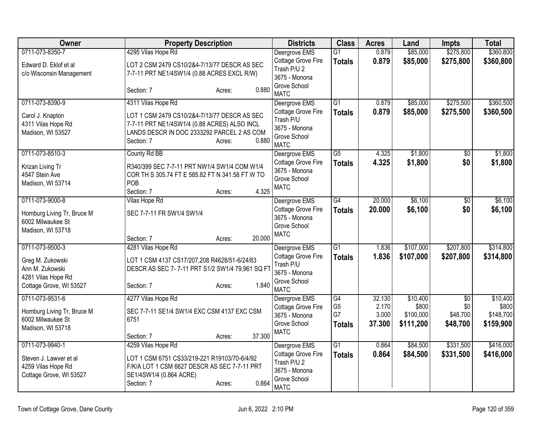| <b>Owner</b>                                                            | <b>Property Description</b>                                                                                                                                                 | <b>Districts</b>                                                                  | <b>Class</b>                          | <b>Acres</b>             | Land                            | <b>Impts</b>                | <b>Total</b>                    |
|-------------------------------------------------------------------------|-----------------------------------------------------------------------------------------------------------------------------------------------------------------------------|-----------------------------------------------------------------------------------|---------------------------------------|--------------------------|---------------------------------|-----------------------------|---------------------------------|
| 0711-073-8350-7                                                         | 4295 Vilas Hope Rd                                                                                                                                                          | Deergrove EMS                                                                     | G1                                    | 0.879                    | \$85,000                        | \$275,800                   | \$360,800                       |
| Edward D. Eklof et al<br>c/o Wisconsin Management                       | LOT 2 CSM 2479 CS10/2&4-7/13/77 DESCR AS SEC<br>7-7-11 PRT NE1/4SW1/4 (0.88 ACRES EXCL R/W)                                                                                 | Cottage Grove Fire<br>Trash P/U 2<br>3675 - Monona                                | <b>Totals</b>                         | 0.879                    | \$85,000                        | \$275,800                   | \$360,800                       |
|                                                                         | 0.880<br>Section: 7<br>Acres:                                                                                                                                               | Grove School<br><b>MATC</b>                                                       |                                       |                          |                                 |                             |                                 |
| 0711-073-8390-9                                                         | 4311 Vilas Hope Rd                                                                                                                                                          | Deergrove EMS                                                                     | $\overline{G1}$                       | 0.879                    | \$85,000                        | \$275,500                   | \$360,500                       |
| Carol J. Knapton<br>4311 Vilas Hope Rd<br>Madison, WI 53527             | LOT 1 CSM 2479 CS10/2&4-7/13/77 DESCR AS SEC<br>7-7-11 PRT NE1/4SW1/4 (0.88 ACRES) ALSO INCL<br>LANDS DESCR IN DOC 2333292 PARCEL 2 AS COM<br>0.880<br>Section: 7<br>Acres: | Cottage Grove Fire<br>Trash P/U<br>3675 - Monona<br>Grove School<br><b>MATC</b>   | <b>Totals</b>                         | 0.879                    | \$85,000                        | \$275,500                   | \$360,500                       |
| 0711-073-8510-3                                                         | County Rd BB                                                                                                                                                                | Deergrove EMS                                                                     | $\overline{G5}$                       | 4.325                    | \$1,800                         | \$0                         | \$1,800                         |
| Krizan Living Tr<br>4547 Stein Ave<br>Madison, WI 53714                 | R340/399 SEC 7-7-11 PRT NW1/4 SW1/4 COM W1/4<br>COR TH S 305.74 FT E 585.82 FT N 341.58 FT W TO<br>POB<br>4.325                                                             | Cottage Grove Fire<br>3675 - Monona<br>Grove School<br><b>MATC</b>                | <b>Totals</b>                         | 4.325                    | \$1,800                         | \$0                         | \$1,800                         |
| 0711-073-9000-8                                                         | Section: 7<br>Acres:<br>Vilas Hope Rd                                                                                                                                       | Deergrove EMS                                                                     | $\overline{G4}$                       | 20.000                   | \$6,100                         | $\overline{30}$             | \$6,100                         |
| Homburg Living Tr, Bruce M<br>6002 Milwaukee St<br>Madison, WI 53718    | SEC 7-7-11 FR SW1/4 SW1/4                                                                                                                                                   | Cottage Grove Fire<br>3675 - Monona<br>Grove School                               | <b>Totals</b>                         | 20.000                   | \$6,100                         | \$0                         | \$6,100                         |
|                                                                         | 20.000<br>Section: 7<br>Acres:                                                                                                                                              | <b>MATC</b>                                                                       |                                       |                          |                                 |                             |                                 |
| 0711-073-9500-3                                                         | 4281 Vilas Hope Rd                                                                                                                                                          | Deergrove EMS                                                                     | $\overline{G1}$                       | 1.836                    | \$107,000                       | \$207,800                   | \$314,800                       |
| Greg M. Zukowski<br>Ann M. Zukowski<br>4281 Vilas Hope Rd               | LOT 1 CSM 4137 CS17/207,208 R4628/51-6/24/83<br>DESCR AS SEC 7-7-11 PRT S1/2 SW1/4 79,961 SQ FT                                                                             | Cottage Grove Fire<br>Trash P/U<br>3675 - Monona<br>Grove School                  | <b>Totals</b>                         | 1.836                    | \$107,000                       | \$207,800                   | \$314,800                       |
| Cottage Grove, WI 53527                                                 | 1.840<br>Section: 7<br>Acres:                                                                                                                                               | <b>MATC</b>                                                                       |                                       |                          |                                 |                             |                                 |
| 0711-073-9531-6                                                         | 4277 Vilas Hope Rd                                                                                                                                                          | Deergrove EMS                                                                     | G4                                    | 32.130                   | \$10,400                        | $\overline{50}$             | \$10,400                        |
| Homburg Living Tr, Bruce M<br>6002 Milwaukee St                         | SEC 7-7-11 SE1/4 SW1/4 EXC CSM 4137 EXC CSM<br>6751                                                                                                                         | Cottage Grove Fire<br>3675 - Monona<br>Grove School                               | G <sub>5</sub><br>G7<br><b>Totals</b> | 2.170<br>3.000<br>37.300 | \$800<br>\$100,000<br>\$111,200 | \$0<br>\$48,700<br>\$48,700 | \$800<br>\$148,700<br>\$159,900 |
| Madison, WI 53718                                                       | 37.300<br>Section: 7<br>Acres:                                                                                                                                              | <b>MATC</b>                                                                       |                                       |                          |                                 |                             |                                 |
| 0711-073-9940-1                                                         | 4259 Vilas Hope Rd                                                                                                                                                          | Deergrove EMS                                                                     | G1                                    | 0.864                    | \$84,500                        | \$331,500                   | \$416,000                       |
| Steven J. Lawver et al<br>4259 Vilas Hope Rd<br>Cottage Grove, WI 53527 | LOT 1 CSM 6751 CS33/219-221 R19103/70-6/4/92<br>F/K/A LOT 1 CSM 6627 DESCR AS SEC 7-7-11 PRT<br>SE1/4SW1/4 (0.864 ACRE)<br>0.864<br>Section: 7<br>Acres:                    | Cottage Grove Fire<br>Trash P/U 2<br>3675 - Monona<br>Grove School<br><b>MATC</b> | <b>Totals</b>                         | 0.864                    | \$84,500                        | \$331,500                   | \$416,000                       |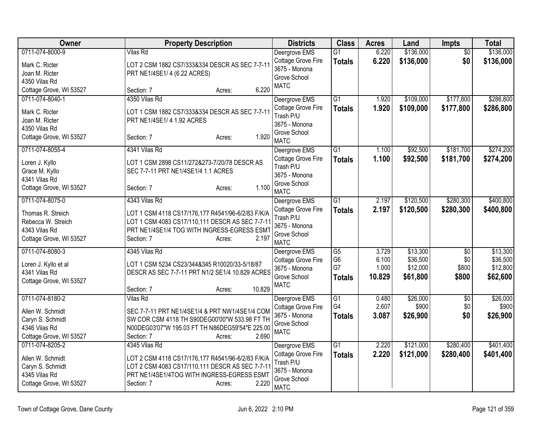| Owner                   | <b>Property Description</b>                       | <b>Districts</b>              | <b>Class</b>    | <b>Acres</b> | Land      | <b>Impts</b>    | <b>Total</b> |
|-------------------------|---------------------------------------------------|-------------------------------|-----------------|--------------|-----------|-----------------|--------------|
| 0711-074-8000-9         | Vilas Rd                                          | Deergrove EMS                 | $\overline{G1}$ | 6.220        | \$136,000 | $\overline{50}$ | \$136,000    |
| Mark C. Ricter          | LOT 2 CSM 1882 CS7/333&334 DESCR AS SEC 7-7-11    | Cottage Grove Fire            | <b>Totals</b>   | 6.220        | \$136,000 | \$0             | \$136,000    |
| Joan M. Ricter          | PRT NE1/4SE1/4 (6.22 ACRES)                       | 3675 - Monona<br>Grove School |                 |              |           |                 |              |
| 4350 Vilas Rd           |                                                   | <b>MATC</b>                   |                 |              |           |                 |              |
| Cottage Grove, WI 53527 | 6.220<br>Section: 7<br>Acres:                     |                               |                 |              |           |                 |              |
| 0711-074-8040-1         | 4350 Vilas Rd                                     | Deergrove EMS                 | $\overline{G1}$ | 1.920        | \$109,000 | \$177,800       | \$286,800    |
| Mark C. Ricter          | LOT 1 CSM 1882 CS7/333&334 DESCR AS SEC 7-7-11    | Cottage Grove Fire            | <b>Totals</b>   | 1.920        | \$109,000 | \$177,800       | \$286,800    |
| Joan M. Ricter          | PRT NE1/4SE1/4 1.92 ACRES                         | Trash P/U<br>3675 - Monona    |                 |              |           |                 |              |
| 4350 Vilas Rd           |                                                   | Grove School                  |                 |              |           |                 |              |
| Cottage Grove, WI 53527 | 1.920<br>Section: 7<br>Acres:                     | <b>MATC</b>                   |                 |              |           |                 |              |
| 0711-074-8055-4         | 4341 Vilas Rd                                     | Deergrove EMS                 | $\overline{G1}$ | 1.100        | \$92,500  | \$181,700       | \$274,200    |
| Loren J. Kyllo          | LOT 1 CSM 2898 CS11/272&273-7/20/78 DESCR AS      | Cottage Grove Fire            | <b>Totals</b>   | 1.100        | \$92,500  | \$181,700       | \$274,200    |
| Grace M. Kyllo          | SEC 7-7-11 PRT NE1/4SE1/4 1.1 ACRES               | Trash P/U                     |                 |              |           |                 |              |
| 4341 Vilas Rd           |                                                   | 3675 - Monona                 |                 |              |           |                 |              |
| Cottage Grove, WI 53527 | 1.100<br>Section: 7<br>Acres:                     | Grove School<br><b>MATC</b>   |                 |              |           |                 |              |
| 0711-074-8075-0         | 4343 Vilas Rd                                     | Deergrove EMS                 | $\overline{G1}$ | 2.197        | \$120,500 | \$280,300       | \$400,800    |
| Thomas R. Streich       | LOT 1 CSM 4118 CS17/176,177 R4541/96-6/2/83 F/K/A | Cottage Grove Fire            | <b>Totals</b>   | 2.197        | \$120,500 | \$280,300       | \$400,800    |
| Rebecca W. Streich      | LOT 1 CSM 4083 CS17/110,111 DESCR AS SEC 7-7-11   | Trash P/U<br>3675 - Monona    |                 |              |           |                 |              |
| 4343 Vilas Rd           | PRT NE1/4SE1/4 TOG WITH INGRESS-EGRESS ESMT       | Grove School                  |                 |              |           |                 |              |
| Cottage Grove, WI 53527 | 2.197<br>Section: 7<br>Acres:                     | <b>MATC</b>                   |                 |              |           |                 |              |
| 0711-074-8080-3         | 4345 Vilas Rd                                     | Deergrove EMS                 | G5              | 3.729        | \$13,300  | $\overline{50}$ | \$13,300     |
| Loren J. Kyllo et al    | LOT 1 CSM 5234 CS23/344&345 R10020/33-5/18/87     | Cottage Grove Fire            | G <sub>6</sub>  | 6.100        | \$36,500  | \$0             | \$36,500     |
| 4341 Vilas Rd           | DESCR AS SEC 7-7-11 PRT N1/2 SE1/4 10.829 ACRES   | 3675 - Monona                 | G7              | 1.000        | \$12,000  | \$800           | \$12,800     |
| Cottage Grove, WI 53527 |                                                   | Grove School<br><b>MATC</b>   | <b>Totals</b>   | 10.829       | \$61,800  | \$800           | \$62,600     |
|                         | 10.829<br>Section: 7<br>Acres:                    |                               |                 |              |           |                 |              |
| 0711-074-8180-2         | <b>Vilas Rd</b>                                   | Deergrove EMS                 | $\overline{G1}$ | 0.480        | \$26,000  | \$0             | \$26,000     |
| Allen W. Schmidt        | SEC 7-7-11 PRT NE1/4SE1/4 & PRT NW1/4SE1/4 COM    | Cottage Grove Fire            | G4              | 2.607        | \$900     | \$0             | \$900        |
| Caryn S. Schmidt        | SW COR CSM 4118 TH S90DEG00'00"W 533.98 FT TH     | 3675 - Monona                 | <b>Totals</b>   | 3.087        | \$26,900  | \$0             | \$26,900     |
| 4346 Vilas Rd           | N00DEG03'07"W 195.03 FT TH N86DEG59'54"E 225.00   | Grove School<br><b>MATC</b>   |                 |              |           |                 |              |
| Cottage Grove, WI 53527 | 2.690<br>Section: 7<br>Acres:                     |                               |                 |              |           |                 |              |
| 0711-074-8205-2         | 4345 Vilas Rd                                     | Deergrove EMS                 | G1              | 2.220        | \$121,000 | \$280,400       | \$401,400    |
| Allen W. Schmidt        | LOT 2 CSM 4118 CS17/176,177 R4541/96-6/2/83 F/K/A | Cottage Grove Fire            | <b>Totals</b>   | 2.220        | \$121,000 | \$280,400       | \$401,400    |
| Caryn S. Schmidt        | LOT 2 CSM 4083 CS17/110,111 DESCR AS SEC 7-7-11   | Trash P/U                     |                 |              |           |                 |              |
| 4345 Vilas Rd           | PRT NE1/4SE1/4TOG WITH INGRESS-EGRESS ESMT        | 3675 - Monona                 |                 |              |           |                 |              |
| Cottage Grove, WI 53527 | 2.220<br>Section: 7<br>Acres:                     | Grove School<br><b>MATC</b>   |                 |              |           |                 |              |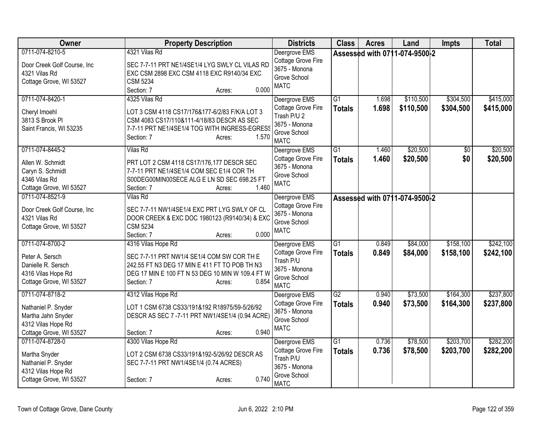| <b>Owner</b>                                                                                                  | <b>Property Description</b>                                                                                                                                                                            | <b>Districts</b>                                                                                   | <b>Class</b>                     | <b>Acres</b>   | Land                          | <b>Impts</b>           | <b>Total</b>           |
|---------------------------------------------------------------------------------------------------------------|--------------------------------------------------------------------------------------------------------------------------------------------------------------------------------------------------------|----------------------------------------------------------------------------------------------------|----------------------------------|----------------|-------------------------------|------------------------|------------------------|
| 0711-074-8210-5<br>Door Creek Golf Course, Inc<br>4321 Vilas Rd<br>Cottage Grove, WI 53527                    | 4321 Vilas Rd<br>SEC 7-7-11 PRT NE1/4SE1/4 LYG SWLY CL VILAS RD<br>EXC CSM 2898 EXC CSM 4118 EXC R9140/34 EXC<br><b>CSM 5234</b><br>0.000<br>Section: 7<br>Acres:                                      | Deergrove EMS<br>Cottage Grove Fire<br>3675 - Monona<br>Grove School<br><b>MATC</b>                |                                  |                | Assessed with 0711-074-9500-2 |                        |                        |
| 0711-074-8420-1<br>Cheryl Imoehl<br>3813 S Brook Pl<br>Saint Francis, WI 53235                                | 4325 Vilas Rd<br>LOT 3 CSM 4118 CS17/176&177-6/2/83 F/K/A LOT 3<br>CSM 4083 CS17/110&111-4/18/83 DESCR AS SEC<br>7-7-11 PRT NE1/4SE1/4 TOG WITH INGRESS-EGRESS<br>1.570<br>Section: 7<br>Acres:        | Deergrove EMS<br>Cottage Grove Fire<br>Trash P/U 2<br>3675 - Monona<br>Grove School<br><b>MATC</b> | G1<br><b>Totals</b>              | 1.698<br>1.698 | \$110,500<br>\$110,500        | \$304,500<br>\$304,500 | \$415,000<br>\$415,000 |
| 0711-074-8445-2<br>Allen W. Schmidt<br>Caryn S. Schmidt<br>4346 Vilas Rd<br>Cottage Grove, WI 53527           | <b>Vilas Rd</b><br>PRT LOT 2 CSM 4118 CS17/176,177 DESCR SEC<br>7-7-11 PRT NE1/4SE1/4 COM SEC E1/4 COR TH<br>S00DEG00MIN00SECE ALG E LN SD SEC 698.25 FT<br>1.460<br>Section: 7<br>Acres:              | Deergrove EMS<br>Cottage Grove Fire<br>3675 - Monona<br>Grove School<br><b>MATC</b>                | $\overline{G1}$<br><b>Totals</b> | 1.460<br>1.460 | \$20,500<br>\$20,500          | $\overline{50}$<br>\$0 | \$20,500<br>\$20,500   |
| 0711-074-8521-9<br>Door Creek Golf Course, Inc<br>4321 Vilas Rd<br>Cottage Grove, WI 53527                    | Vilas Rd<br>SEC 7-7-11 NW1/4SE1/4 EXC PRT LYG SWLY OF CL<br>DOOR CREEK & EXC DOC 1980123 (R9140/34) & EXC<br><b>CSM 5234</b><br>0.000<br>Section: 7<br>Acres:                                          | Deergrove EMS<br>Cottage Grove Fire<br>3675 - Monona<br>Grove School<br><b>MATC</b>                |                                  |                | Assessed with 0711-074-9500-2 |                        |                        |
| 0711-074-8700-2<br>Peter A. Sersch<br>Danielle R. Sersch<br>4316 Vilas Hope Rd<br>Cottage Grove, WI 53527     | 4316 Vilas Hope Rd<br>SEC 7-7-11 PRT NW1/4 SE1/4 COM SW COR TH E<br>242.55 FT N3 DEG 17 MIN E 411 FT TO POB TH N3<br>DEG 17 MIN E 100 FT N 53 DEG 10 MIN W 109.4 FT W<br>0.854<br>Section: 7<br>Acres: | Deergrove EMS<br>Cottage Grove Fire<br>Trash P/U<br>3675 - Monona<br>Grove School<br><b>MATC</b>   | G1<br><b>Totals</b>              | 0.849<br>0.849 | \$84,000<br>\$84,000          | \$158,100<br>\$158,100 | \$242,100<br>\$242,100 |
| 0711-074-8718-2<br>Nathaniel P. Snyder<br>Martha Jahn Snyder<br>4312 Vilas Hope Rd<br>Cottage Grove, WI 53527 | 4312 Vilas Hope Rd<br>LOT 1 CSM 6738 CS33/191&192 R18975/59-5/26/92<br>DESCR AS SEC 7 -7-11 PRT NW1/4SE1/4 (0.94 ACRE)<br>0.940<br>Section: 7<br>Acres:                                                | Deergrove EMS<br>Cottage Grove Fire<br>3675 - Monona<br>Grove School<br><b>MATC</b>                | $\overline{G2}$<br><b>Totals</b> | 0.940<br>0.940 | \$73,500<br>\$73,500          | \$164,300<br>\$164,300 | \$237,800<br>\$237,800 |
| 0711-074-8728-0<br>Martha Snyder<br>Nathaniel P. Snyder<br>4312 Vilas Hope Rd<br>Cottage Grove, WI 53527      | 4300 Vilas Hope Rd<br>LOT 2 CSM 6738 CS33/191&192-5/26/92 DESCR AS<br>SEC 7-7-11 PRT NW1/4SE1/4 (0.74 ACRES)<br>0.740<br>Section: 7<br>Acres:                                                          | Deergrove EMS<br>Cottage Grove Fire<br>Trash P/U<br>3675 - Monona<br>Grove School<br><b>MATC</b>   | $\overline{G1}$<br><b>Totals</b> | 0.736<br>0.736 | \$78,500<br>\$78,500          | \$203,700<br>\$203,700 | \$282,200<br>\$282,200 |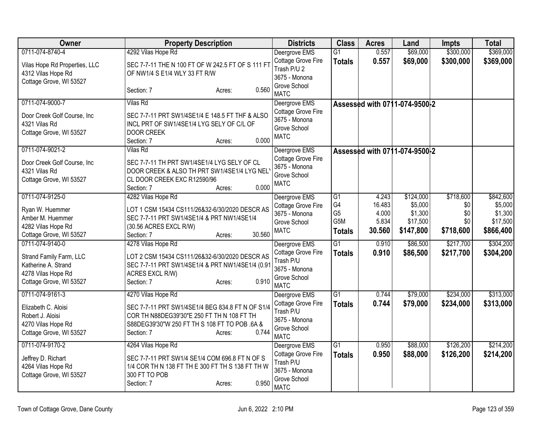| <b>Owner</b>                                                                                    | <b>Property Description</b>                                                                                                                                                      | <b>Districts</b>                                                                | <b>Class</b>    | <b>Acres</b> | Land                          | <b>Impts</b> | <b>Total</b> |
|-------------------------------------------------------------------------------------------------|----------------------------------------------------------------------------------------------------------------------------------------------------------------------------------|---------------------------------------------------------------------------------|-----------------|--------------|-------------------------------|--------------|--------------|
| 0711-074-8740-4                                                                                 | 4292 Vilas Hope Rd                                                                                                                                                               | Deergrove EMS                                                                   | $\overline{G1}$ | 0.557        | \$69,000                      | \$300,000    | \$369,000    |
| Vilas Hope Rd Properties, LLC<br>4312 Vilas Hope Rd<br>Cottage Grove, WI 53527                  | SEC 7-7-11 THE N 100 FT OF W 242.5 FT OF S 111 FT<br>OF NW1/4 S E1/4 WLY 33 FT R/W                                                                                               | Cottage Grove Fire<br>Trash P/U 2<br>3675 - Monona                              | <b>Totals</b>   | 0.557        | \$69,000                      | \$300,000    | \$369,000    |
|                                                                                                 | 0.560<br>Section: 7<br>Acres:                                                                                                                                                    | Grove School<br><b>MATC</b>                                                     |                 |              |                               |              |              |
| 0711-074-9000-7                                                                                 | <b>Vilas Rd</b>                                                                                                                                                                  | Deergrove EMS                                                                   |                 |              | Assessed with 0711-074-9500-2 |              |              |
| Door Creek Golf Course, Inc<br>4321 Vilas Rd<br>Cottage Grove, WI 53527                         | SEC 7-7-11 PRT SW1/4SE1/4 E 148.5 FT THF & ALSO<br>INCL PRT OF SW1/4SE1/4 LYG SELY OF C/L OF<br><b>DOOR CREEK</b><br>0.000<br>Section: 7<br>Acres:                               | Cottage Grove Fire<br>3675 - Monona<br>Grove School<br><b>MATC</b>              |                 |              |                               |              |              |
| 0711-074-9021-2                                                                                 | <b>Vilas Rd</b>                                                                                                                                                                  | Deergrove EMS                                                                   |                 |              | Assessed with 0711-074-9500-2 |              |              |
| Door Creek Golf Course, Inc<br>4321 Vilas Rd<br>Cottage Grove, WI 53527                         | SEC 7-7-11 TH PRT SW1/4SE1/4 LYG SELY OF CL<br>DOOR CREEK & ALSO TH PRT SW1/4SE1/4 LYG NEL'<br>CL DOOR CREEK EXC R12590/96<br>0.000<br>Section: 7<br>Acres:                      | Cottage Grove Fire<br>3675 - Monona<br>Grove School<br><b>MATC</b>              |                 |              |                               |              |              |
| 0711-074-9125-0                                                                                 | 4282 Vilas Hope Rd                                                                                                                                                               | Deergrove EMS                                                                   | $\overline{G1}$ | 4.243        | \$124,000                     | \$718,600    | \$842,600    |
| Ryan W. Huemmer                                                                                 | LOT 1 CSM 15434 CS111/26&32-6/30/2020 DESCR AS                                                                                                                                   | Cottage Grove Fire                                                              | G4              | 16.483       | \$5,000                       | \$0          | \$5,000      |
| Amber M. Huemmer                                                                                | SEC 7-7-11 PRT SW1/4SE1/4 & PRT NW1/4SE1/4                                                                                                                                       | 3675 - Monona                                                                   | G <sub>5</sub>  | 4.000        | \$1,300                       | \$0          | \$1,300      |
| 4282 Vilas Hope Rd                                                                              | (30.56 ACRES EXCL R/W)                                                                                                                                                           | Grove School                                                                    | G5M             | 5.834        | \$17,500                      | \$0          | \$17,500     |
| Cottage Grove, WI 53527                                                                         | 30.560<br>Section: 7<br>Acres:                                                                                                                                                   | <b>MATC</b>                                                                     | <b>Totals</b>   | 30.560       | \$147,800                     | \$718,600    | \$866,400    |
| 0711-074-9140-0                                                                                 | 4278 Vilas Hope Rd                                                                                                                                                               | Deergrove EMS                                                                   | $\overline{G1}$ | 0.910        | \$86,500                      | \$217,700    | \$304,200    |
| Strand Family Farm, LLC<br>Katherine A. Strand<br>4278 Vilas Hope Rd<br>Cottage Grove, WI 53527 | LOT 2 CSM 15434 CS111/26&32-6/30/2020 DESCR AS<br>SEC 7-7-11 PRT SW1/4SE1/4 & PRT NW1/4SE1/4 (0.91<br>ACRES EXCL R/W)<br>0.910<br>Section: 7<br>Acres:                           | Cottage Grove Fire<br>Trash P/U<br>3675 - Monona<br>Grove School<br><b>MATC</b> | <b>Totals</b>   | 0.910        | \$86,500                      | \$217,700    | \$304,200    |
| 0711-074-9161-3                                                                                 | 4270 Vilas Hope Rd                                                                                                                                                               | Deergrove EMS                                                                   | $\overline{G1}$ | 0.744        | \$79,000                      | \$234,000    | \$313,000    |
| Elizabeth C. Aloisi<br>Robert J. Aloisi<br>4270 Vilas Hope Rd<br>Cottage Grove, WI 53527        | SEC 7-7-11 PRT SW1/4SE1/4 BEG 834.8 FT N OF S1/4<br>COR TH N88DEG39'30"E 250 FT TH N 108 FT TH<br>S88DEG39'30"W 250 FT TH S 108 FT TO POB .6A &<br>0.744<br>Section: 7<br>Acres: | Cottage Grove Fire<br>Trash P/U<br>3675 - Monona<br>Grove School<br><b>MATC</b> | <b>Totals</b>   | 0.744        | \$79,000                      | \$234,000    | \$313,000    |
| 0711-074-9170-2                                                                                 | 4264 Vilas Hope Rd                                                                                                                                                               | Deergrove EMS                                                                   | $\overline{G1}$ | 0.950        | \$88,000                      | \$126,200    | \$214,200    |
| Jeffrey D. Richart<br>4264 Vilas Hope Rd<br>Cottage Grove, WI 53527                             | SEC 7-7-11 PRT SW1/4 SE1/4 COM 696.8 FT N OF S<br>1/4 COR TH N 138 FT TH E 300 FT TH S 138 FT TH W<br>300 FT TO POB<br>0.950<br>Section: 7<br>Acres:                             | Cottage Grove Fire<br>Trash P/U<br>3675 - Monona<br>Grove School<br><b>MATC</b> | <b>Totals</b>   | 0.950        | \$88,000                      | \$126,200    | \$214,200    |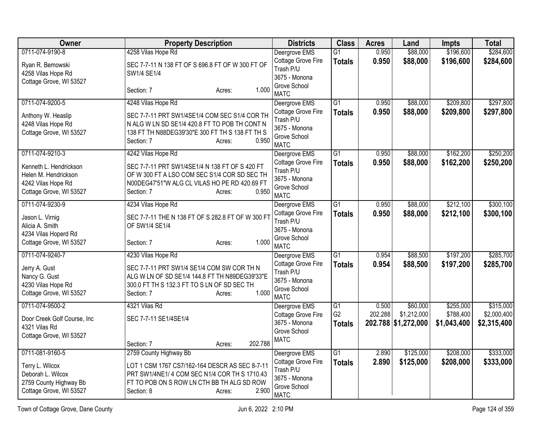| Owner                       | <b>Property Description</b>                       | <b>Districts</b>                | <b>Class</b>    | <b>Acres</b> | Land                | <b>Impts</b> | <b>Total</b> |
|-----------------------------|---------------------------------------------------|---------------------------------|-----------------|--------------|---------------------|--------------|--------------|
| 0711-074-9190-8             | 4258 Vilas Hope Rd                                | Deergrove EMS                   | $\overline{G1}$ | 0.950        | \$88,000            | \$196,600    | \$284,600    |
| Ryan R. Bemowski            | SEC 7-7-11 N 138 FT OF S 696.8 FT OF W 300 FT OF  | Cottage Grove Fire              | <b>Totals</b>   | 0.950        | \$88,000            | \$196,600    | \$284,600    |
| 4258 Vilas Hope Rd          | SW1/4 SE1/4                                       | Trash P/U<br>3675 - Monona      |                 |              |                     |              |              |
| Cottage Grove, WI 53527     |                                                   | Grove School                    |                 |              |                     |              |              |
|                             | 1.000<br>Section: 7<br>Acres:                     | <b>MATC</b>                     |                 |              |                     |              |              |
| 0711-074-9200-5             | 4248 Vilas Hope Rd                                | Deergrove EMS                   | $\overline{G1}$ | 0.950        | \$88,000            | \$209,800    | \$297,800    |
| Anthony W. Heaslip          | SEC 7-7-11 PRT SW1/4SE1/4 COM SEC S1/4 COR TH     | Cottage Grove Fire<br>Trash P/U | <b>Totals</b>   | 0.950        | \$88,000            | \$209,800    | \$297,800    |
| 4248 Vilas Hope Rd          | N ALG W LN SD SE1/4 420.8 FT TO POB TH CONT N     | 3675 - Monona                   |                 |              |                     |              |              |
| Cottage Grove, WI 53527     | 138 FT TH N88DEG39'30"E 300 FT TH S 138 FT TH S   | Grove School                    |                 |              |                     |              |              |
|                             | 0.950<br>Section: 7<br>Acres:                     | <b>MATC</b>                     |                 |              |                     |              |              |
| 0711-074-9210-3             | 4242 Vilas Hope Rd                                | Deergrove EMS                   | G <sub>1</sub>  | 0.950        | \$88,000            | \$162,200    | \$250,200    |
| Kenneth L. Hendrickson      | SEC 7-7-11 PRT SW1/4SE1/4 N 138 FT OF S 420 FT    | Cottage Grove Fire              | <b>Totals</b>   | 0.950        | \$88,000            | \$162,200    | \$250,200    |
| Helen M. Hendrickson        | OF W 300 FT A LSO COM SEC S1/4 COR SD SEC TH      | Trash P/U<br>3675 - Monona      |                 |              |                     |              |              |
| 4242 Vilas Hope Rd          | N00DEG47'51"W ALG CL VILAS HO PE RD 420.69 FT     | Grove School                    |                 |              |                     |              |              |
| Cottage Grove, WI 53527     | 0.950<br>Section: 7<br>Acres:                     | <b>MATC</b>                     |                 |              |                     |              |              |
| 0711-074-9230-9             | 4234 Vilas Hope Rd                                | Deergrove EMS                   | $\overline{G1}$ | 0.950        | \$88,000            | \$212,100    | \$300,100    |
| Jason L. Virnig             | SEC 7-7-11 THE N 138 FT OF S 282.8 FT OF W 300 FT | Cottage Grove Fire              | <b>Totals</b>   | 0.950        | \$88,000            | \$212,100    | \$300,100    |
| Alicia A. Smith             | OF SW1/4 SE1/4                                    | Trash P/U<br>3675 - Monona      |                 |              |                     |              |              |
| 4234 Vilas Hoperd Rd        |                                                   | Grove School                    |                 |              |                     |              |              |
| Cottage Grove, WI 53527     | 1.000<br>Section: 7<br>Acres:                     | <b>MATC</b>                     |                 |              |                     |              |              |
| 0711-074-9240-7             | 4230 Vilas Hope Rd                                | Deergrove EMS                   | $\overline{G1}$ | 0.954        | \$88,500            | \$197,200    | \$285,700    |
| Jerry A. Gust               | SEC 7-7-11 PRT SW1/4 SE1/4 COM SW COR TH N        | Cottage Grove Fire              | <b>Totals</b>   | 0.954        | \$88,500            | \$197,200    | \$285,700    |
| Nancy G. Gust               | ALG W LN OF SD SE1/4 144.8 FT TH N89DEG39'33"E    | Trash P/U<br>3675 - Monona      |                 |              |                     |              |              |
| 4230 Vilas Hope Rd          | 300.0 FT TH S 132.3 FT TO S LN OF SD SEC TH       | Grove School                    |                 |              |                     |              |              |
| Cottage Grove, WI 53527     | 1.000<br>Section: 7<br>Acres:                     | <b>MATC</b>                     |                 |              |                     |              |              |
| 0711-074-9500-2             | 4321 Vilas Rd                                     | Deergrove EMS                   | $\overline{G1}$ | 0.500        | \$60,000            | \$255,000    | \$315,000    |
| Door Creek Golf Course, Inc | SEC 7-7-11 SE1/4SE1/4                             | Cottage Grove Fire              | G <sub>2</sub>  | 202.288      | \$1,212,000         | \$788,400    | \$2,000,400  |
| 4321 Vilas Rd               |                                                   | 3675 - Monona<br>Grove School   | <b>Totals</b>   |              | 202.788 \$1,272,000 | \$1,043,400  | \$2,315,400  |
| Cottage Grove, WI 53527     |                                                   | <b>MATC</b>                     |                 |              |                     |              |              |
|                             | 202.788<br>Section: 7<br>Acres:                   |                                 |                 |              |                     |              |              |
| 0711-081-9160-5             | 2759 County Highway Bb                            | Deergrove EMS                   | $\overline{G1}$ | 2.890        | \$125,000           | \$208,000    | \$333,000    |
| Terry L. Wilcox             | LOT 1 CSM 1767 CS7/162-164 DESCR AS SEC 8-7-11    | Cottage Grove Fire<br>Trash P/U | <b>Totals</b>   | 2.890        | \$125,000           | \$208,000    | \$333,000    |
| Deborah L. Wilcox           | PRT SW1/4NE1/ 4 COM SEC N1/4 COR TH S 1710.43     | 3675 - Monona                   |                 |              |                     |              |              |
| 2759 County Highway Bb      | FT TO POB ON S ROW LN CTH BB TH ALG SD ROW        | Grove School                    |                 |              |                     |              |              |
| Cottage Grove, WI 53527     | 2.900<br>Section: 8<br>Acres:                     | <b>MATC</b>                     |                 |              |                     |              |              |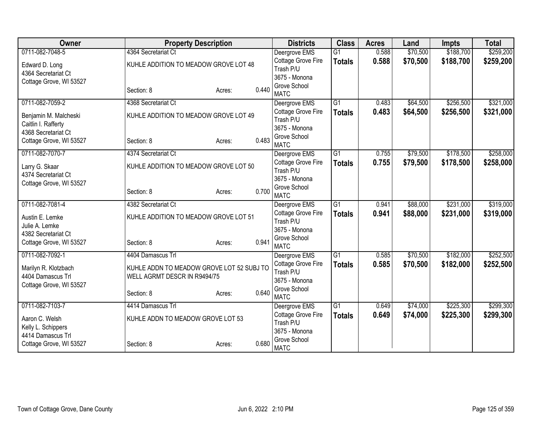| Owner                   | <b>Property Description</b>               |                 | <b>Districts</b>            | <b>Class</b>    | <b>Acres</b> | Land     | <b>Impts</b> | <b>Total</b> |
|-------------------------|-------------------------------------------|-----------------|-----------------------------|-----------------|--------------|----------|--------------|--------------|
| 0711-082-7048-5         | 4364 Secretariat Ct                       |                 | Deergrove EMS               | $\overline{G1}$ | 0.588        | \$70,500 | \$188,700    | \$259,200    |
| Edward D. Long          | KUHLE ADDITION TO MEADOW GROVE LOT 48     |                 | Cottage Grove Fire          | <b>Totals</b>   | 0.588        | \$70,500 | \$188,700    | \$259,200    |
| 4364 Secretariat Ct     |                                           |                 | Trash P/U                   |                 |              |          |              |              |
| Cottage Grove, WI 53527 |                                           |                 | 3675 - Monona               |                 |              |          |              |              |
|                         | Section: 8                                | 0.440<br>Acres: | Grove School<br><b>MATC</b> |                 |              |          |              |              |
| 0711-082-7059-2         | 4368 Secretariat Ct                       |                 | Deergrove EMS               | $\overline{G1}$ | 0.483        | \$64,500 | \$256,500    | \$321,000    |
| Benjamin M. Malcheski   | KUHLE ADDITION TO MEADOW GROVE LOT 49     |                 | Cottage Grove Fire          | <b>Totals</b>   | 0.483        | \$64,500 | \$256,500    | \$321,000    |
| Caitlin I. Rafferty     |                                           |                 | Trash P/U                   |                 |              |          |              |              |
| 4368 Secretariat Ct     |                                           |                 | 3675 - Monona               |                 |              |          |              |              |
| Cottage Grove, WI 53527 | Section: 8                                | 0.483<br>Acres: | Grove School<br><b>MATC</b> |                 |              |          |              |              |
| 0711-082-7070-7         | 4374 Secretariat Ct                       |                 | Deergrove EMS               | $\overline{G1}$ | 0.755        | \$79,500 | \$178,500    | \$258,000    |
|                         |                                           |                 | Cottage Grove Fire          |                 | 0.755        | \$79,500 | \$178,500    | \$258,000    |
| Larry G. Skaar          | KUHLE ADDITION TO MEADOW GROVE LOT 50     |                 | Trash P/U                   | <b>Totals</b>   |              |          |              |              |
| 4374 Secretariat Ct     |                                           |                 | 3675 - Monona               |                 |              |          |              |              |
| Cottage Grove, WI 53527 |                                           |                 | Grove School                |                 |              |          |              |              |
|                         | Section: 8                                | 0.700<br>Acres: | <b>MATC</b>                 |                 |              |          |              |              |
| 0711-082-7081-4         | 4382 Secretariat Ct                       |                 | Deergrove EMS               | $\overline{G1}$ | 0.941        | \$88,000 | \$231,000    | \$319,000    |
| Austin E. Lemke         | KUHLE ADDITION TO MEADOW GROVE LOT 51     |                 | Cottage Grove Fire          | <b>Totals</b>   | 0.941        | \$88,000 | \$231,000    | \$319,000    |
| Julie A. Lemke          |                                           |                 | Trash P/U                   |                 |              |          |              |              |
| 4382 Secretariat Ct     |                                           |                 | 3675 - Monona               |                 |              |          |              |              |
| Cottage Grove, WI 53527 | Section: 8                                | 0.941<br>Acres: | Grove School<br><b>MATC</b> |                 |              |          |              |              |
| 0711-082-7092-1         | 4404 Damascus Trl                         |                 | Deergrove EMS               | $\overline{G1}$ | 0.585        | \$70,500 | \$182,000    | \$252,500    |
|                         |                                           |                 | Cottage Grove Fire          | <b>Totals</b>   | 0.585        | \$70,500 | \$182,000    | \$252,500    |
| Marilyn R. Klotzbach    | KUHLE ADDN TO MEADOW GROVE LOT 52 SUBJ TO |                 | Trash P/U                   |                 |              |          |              |              |
| 4404 Damascus Trl       | WELL AGRMT DESCR IN R9494/75              |                 | 3675 - Monona               |                 |              |          |              |              |
| Cottage Grove, WI 53527 |                                           |                 | Grove School                |                 |              |          |              |              |
|                         | Section: 8                                | 0.640<br>Acres: | <b>MATC</b>                 |                 |              |          |              |              |
| 0711-082-7103-7         | 4414 Damascus Trl                         |                 | Deergrove EMS               | $\overline{G1}$ | 0.649        | \$74,000 | \$225,300    | \$299,300    |
| Aaron C. Welsh          | KUHLE ADDN TO MEADOW GROVE LOT 53         |                 | Cottage Grove Fire          | <b>Totals</b>   | 0.649        | \$74,000 | \$225,300    | \$299,300    |
| Kelly L. Schippers      |                                           |                 | Trash P/U                   |                 |              |          |              |              |
| 4414 Damascus Trl       |                                           |                 | 3675 - Monona               |                 |              |          |              |              |
| Cottage Grove, WI 53527 | Section: 8                                | 0.680<br>Acres: | Grove School<br><b>MATC</b> |                 |              |          |              |              |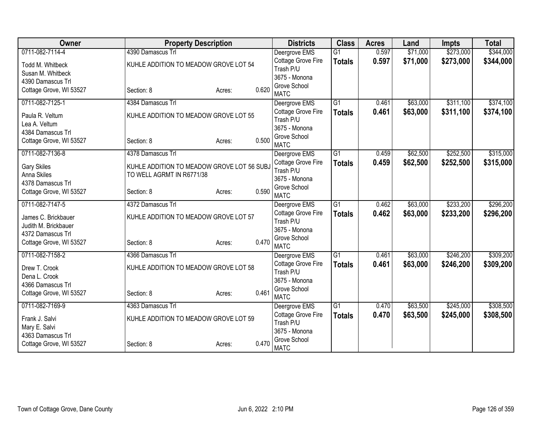| Owner                   | <b>Property Description</b>                |                 | <b>Districts</b>                           | <b>Class</b>    | <b>Acres</b> | Land     | <b>Impts</b> | <b>Total</b> |
|-------------------------|--------------------------------------------|-----------------|--------------------------------------------|-----------------|--------------|----------|--------------|--------------|
| 0711-082-7114-4         | 4390 Damascus Trl                          |                 | Deergrove EMS                              | $\overline{G1}$ | 0.597        | \$71,000 | \$273,000    | \$344,000    |
| Todd M. Whitbeck        | KUHLE ADDITION TO MEADOW GROVE LOT 54      |                 | Cottage Grove Fire                         | <b>Totals</b>   | 0.597        | \$71,000 | \$273,000    | \$344,000    |
| Susan M. Whitbeck       |                                            |                 | Trash P/U                                  |                 |              |          |              |              |
| 4390 Damascus Trl       |                                            |                 | 3675 - Monona<br>Grove School              |                 |              |          |              |              |
| Cottage Grove, WI 53527 | Section: 8                                 | 0.620<br>Acres: | <b>MATC</b>                                |                 |              |          |              |              |
| 0711-082-7125-1         | 4384 Damascus Trl                          |                 | Deergrove EMS                              | $\overline{G1}$ | 0.461        | \$63,000 | \$311,100    | \$374,100    |
| Paula R. Veltum         | KUHLE ADDITION TO MEADOW GROVE LOT 55      |                 | Cottage Grove Fire                         | <b>Totals</b>   | 0.461        | \$63,000 | \$311,100    | \$374,100    |
| Lea A. Veltum           |                                            |                 | Trash P/U                                  |                 |              |          |              |              |
| 4384 Damascus Trl       |                                            |                 | 3675 - Monona<br>Grove School              |                 |              |          |              |              |
| Cottage Grove, WI 53527 | Section: 8                                 | 0.500<br>Acres: | <b>MATC</b>                                |                 |              |          |              |              |
| 0711-082-7136-8         | 4378 Damascus Trl                          |                 | Deergrove EMS                              | $\overline{G1}$ | 0.459        | \$62,500 | \$252,500    | \$315,000    |
| <b>Gary Skiles</b>      | KUHLE ADDITION TO MEADOW GROVE LOT 56 SUBJ |                 | Cottage Grove Fire                         | <b>Totals</b>   | 0.459        | \$62,500 | \$252,500    | \$315,000    |
| Anna Skiles             | TO WELL AGRMT IN R6771/38                  |                 | Trash P/U                                  |                 |              |          |              |              |
| 4378 Damascus Trl       |                                            |                 | 3675 - Monona                              |                 |              |          |              |              |
| Cottage Grove, WI 53527 | Section: 8                                 | 0.590<br>Acres: | Grove School<br><b>MATC</b>                |                 |              |          |              |              |
| 0711-082-7147-5         | 4372 Damascus Trl                          |                 | Deergrove EMS                              | $\overline{G1}$ | 0.462        | \$63,000 | \$233,200    | \$296,200    |
| James C. Brickbauer     | KUHLE ADDITION TO MEADOW GROVE LOT 57      |                 | Cottage Grove Fire                         | <b>Totals</b>   | 0.462        | \$63,000 | \$233,200    | \$296,200    |
| Judith M. Brickbauer    |                                            |                 | Trash P/U                                  |                 |              |          |              |              |
| 4372 Damascus Trl       |                                            |                 | 3675 - Monona                              |                 |              |          |              |              |
| Cottage Grove, WI 53527 | Section: 8                                 | 0.470<br>Acres: | Grove School                               |                 |              |          |              |              |
| 0711-082-7158-2         | 4366 Damascus Trl                          |                 | <b>MATC</b>                                | $\overline{G1}$ | 0.461        | \$63,000 | \$246,200    | \$309,200    |
|                         |                                            |                 | Deergrove EMS<br><b>Cottage Grove Fire</b> | <b>Totals</b>   | 0.461        | \$63,000 | \$246,200    | \$309,200    |
| Drew T. Crook           | KUHLE ADDITION TO MEADOW GROVE LOT 58      |                 | Trash P/U                                  |                 |              |          |              |              |
| Dena L. Crook           |                                            |                 | 3675 - Monona                              |                 |              |          |              |              |
| 4366 Damascus Trl       |                                            | 0.461           | Grove School                               |                 |              |          |              |              |
| Cottage Grove, WI 53527 | Section: 8                                 | Acres:          | <b>MATC</b>                                |                 |              |          |              |              |
| 0711-082-7169-9         | 4363 Damascus Trl                          |                 | Deergrove EMS                              | $\overline{G1}$ | 0.470        | \$63,500 | \$245,000    | \$308,500    |
| Frank J. Salvi          | KUHLE ADDITION TO MEADOW GROVE LOT 59      |                 | Cottage Grove Fire                         | <b>Totals</b>   | 0.470        | \$63,500 | \$245,000    | \$308,500    |
| Mary E. Salvi           |                                            |                 | Trash P/U<br>3675 - Monona                 |                 |              |          |              |              |
| 4363 Damascus Trl       |                                            |                 | Grove School                               |                 |              |          |              |              |
| Cottage Grove, WI 53527 | Section: 8                                 | 0.470<br>Acres: | <b>MATC</b>                                |                 |              |          |              |              |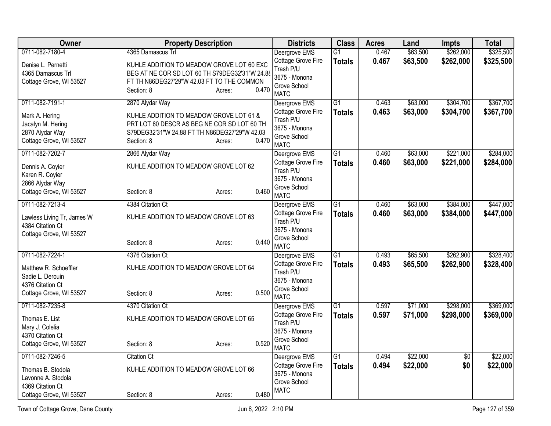| <b>Owner</b>                                | <b>Property Description</b>                                                                 |       | <b>Districts</b>                    | <b>Class</b>                     | <b>Acres</b>   | Land                 | <b>Impts</b>           | <b>Total</b>           |
|---------------------------------------------|---------------------------------------------------------------------------------------------|-------|-------------------------------------|----------------------------------|----------------|----------------------|------------------------|------------------------|
| 0711-082-7180-4                             | 4365 Damascus Trl                                                                           |       | Deergrove EMS<br>Cottage Grove Fire | $\overline{G1}$<br><b>Totals</b> | 0.467<br>0.467 | \$63,500<br>\$63,500 | \$262,000<br>\$262,000 | \$325,500<br>\$325,500 |
| Denise L. Pernetti<br>4365 Damascus Trl     | KUHLE ADDITION TO MEADOW GROVE LOT 60 EXC<br>BEG AT NE COR SD LOT 60 TH S79DEG32'31"W 24.88 |       | Trash P/U                           |                                  |                |                      |                        |                        |
| Cottage Grove, WI 53527                     | FT TH N86DEG27'29"W 42.03 FT TO THE COMMON                                                  |       | 3675 - Monona<br>Grove School       |                                  |                |                      |                        |                        |
|                                             | Section: 8<br>Acres:                                                                        | 0.470 | <b>MATC</b>                         |                                  |                |                      |                        |                        |
| 0711-082-7191-1                             | 2870 Alydar Way                                                                             |       | Deergrove EMS                       | $\overline{G1}$                  | 0.463          | \$63,000             | \$304,700              | \$367,700              |
| Mark A. Hering                              | KUHLE ADDITION TO MEADOW GROVE LOT 61 &                                                     |       | Cottage Grove Fire<br>Trash P/U     | <b>Totals</b>                    | 0.463          | \$63,000             | \$304,700              | \$367,700              |
| Jacalyn M. Hering                           | PRT LOT 60 DESCR AS BEG NE COR SD LOT 60 TH                                                 |       | 3675 - Monona                       |                                  |                |                      |                        |                        |
| 2870 Alydar Way<br>Cottage Grove, WI 53527  | S79DEG32'31"W 24.88 FT TH N86DEG27'29"W 42.03<br>Section: 8                                 | 0.470 | Grove School                        |                                  |                |                      |                        |                        |
|                                             | Acres:                                                                                      |       | <b>MATC</b>                         |                                  |                |                      |                        |                        |
| 0711-082-7202-7                             | 2866 Alydar Way                                                                             |       | Deergrove EMS                       | G1                               | 0.460          | \$63,000             | \$221,000              | \$284,000              |
| Dennis A. Coyier                            | KUHLE ADDITION TO MEADOW GROVE LOT 62                                                       |       | Cottage Grove Fire<br>Trash P/U     | <b>Totals</b>                    | 0.460          | \$63,000             | \$221,000              | \$284,000              |
| Karen R. Coyier                             |                                                                                             |       | 3675 - Monona                       |                                  |                |                      |                        |                        |
| 2866 Alydar Way<br>Cottage Grove, WI 53527  | Section: 8                                                                                  | 0.460 | Grove School                        |                                  |                |                      |                        |                        |
|                                             | Acres:                                                                                      |       | <b>MATC</b>                         |                                  |                |                      |                        |                        |
| 0711-082-7213-4                             | 4384 Citation Ct                                                                            |       | Deergrove EMS                       | $\overline{G1}$                  | 0.460          | \$63,000             | \$384,000              | \$447,000              |
| Lawless Living Tr, James W                  | KUHLE ADDITION TO MEADOW GROVE LOT 63                                                       |       | Cottage Grove Fire<br>Trash P/U     | <b>Totals</b>                    | 0.460          | \$63,000             | \$384,000              | \$447,000              |
| 4384 Citation Ct                            |                                                                                             |       | 3675 - Monona                       |                                  |                |                      |                        |                        |
| Cottage Grove, WI 53527                     | Section: 8<br>Acres:                                                                        | 0.440 | Grove School                        |                                  |                |                      |                        |                        |
|                                             |                                                                                             |       | <b>MATC</b>                         |                                  |                |                      |                        |                        |
| 0711-082-7224-1                             | 4376 Citation Ct                                                                            |       | Deergrove EMS                       | $\overline{G1}$                  | 0.493          | \$65,500             | \$262,900              | \$328,400              |
| Matthew R. Schoeffler                       | KUHLE ADDITION TO MEADOW GROVE LOT 64                                                       |       | Cottage Grove Fire<br>Trash P/U     | <b>Totals</b>                    | 0.493          | \$65,500             | \$262,900              | \$328,400              |
| Sadie L. Derouin                            |                                                                                             |       | 3675 - Monona                       |                                  |                |                      |                        |                        |
| 4376 Citation Ct<br>Cottage Grove, WI 53527 | Section: 8<br>Acres:                                                                        | 0.500 | Grove School                        |                                  |                |                      |                        |                        |
|                                             |                                                                                             |       | <b>MATC</b>                         |                                  |                |                      |                        |                        |
| 0711-082-7235-8                             | 4370 Citation Ct                                                                            |       | Deergrove EMS<br>Cottage Grove Fire | $\overline{G1}$                  | 0.597<br>0.597 | \$71,000<br>\$71,000 | \$298,000<br>\$298,000 | \$369,000<br>\$369,000 |
| Thomas E. List                              | KUHLE ADDITION TO MEADOW GROVE LOT 65                                                       |       | Trash P/U                           | <b>Totals</b>                    |                |                      |                        |                        |
| Mary J. Colelia                             |                                                                                             |       | 3675 - Monona                       |                                  |                |                      |                        |                        |
| 4370 Citation Ct<br>Cottage Grove, WI 53527 | Section: 8<br>Acres:                                                                        | 0.520 | Grove School                        |                                  |                |                      |                        |                        |
|                                             |                                                                                             |       | <b>MATC</b>                         |                                  |                |                      |                        |                        |
| 0711-082-7246-5                             | <b>Citation Ct</b>                                                                          |       | Deergrove EMS<br>Cottage Grove Fire | $\overline{G1}$                  | 0.494<br>0.494 | \$22,000<br>\$22,000 | $\overline{60}$<br>\$0 | \$22,000<br>\$22,000   |
| Thomas B. Stodola                           | KUHLE ADDITION TO MEADOW GROVE LOT 66                                                       |       | 3675 - Monona                       | <b>Totals</b>                    |                |                      |                        |                        |
| Lavonne A. Stodola<br>4369 Citation Ct      |                                                                                             |       | Grove School                        |                                  |                |                      |                        |                        |
| Cottage Grove, WI 53527                     | Section: 8<br>Acres:                                                                        | 0.480 | <b>MATC</b>                         |                                  |                |                      |                        |                        |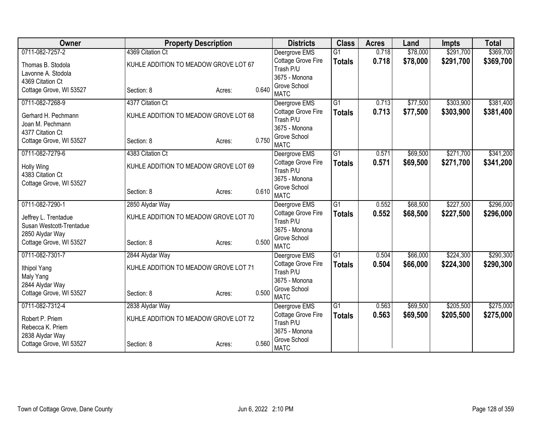| Owner                    | <b>Property Description</b>           |                 | <b>Districts</b>                    | <b>Class</b>    | <b>Acres</b> | Land     | <b>Impts</b> | <b>Total</b> |
|--------------------------|---------------------------------------|-----------------|-------------------------------------|-----------------|--------------|----------|--------------|--------------|
| 0711-082-7257-2          | 4369 Citation Ct                      |                 | Deergrove EMS                       | $\overline{G1}$ | 0.718        | \$78,000 | \$291,700    | \$369,700    |
| Thomas B. Stodola        | KUHLE ADDITION TO MEADOW GROVE LOT 67 |                 | Cottage Grove Fire                  | <b>Totals</b>   | 0.718        | \$78,000 | \$291,700    | \$369,700    |
| Lavonne A. Stodola       |                                       |                 | Trash P/U                           |                 |              |          |              |              |
| 4369 Citation Ct         |                                       |                 | 3675 - Monona<br>Grove School       |                 |              |          |              |              |
| Cottage Grove, WI 53527  | Section: 8                            | 0.640<br>Acres: | <b>MATC</b>                         |                 |              |          |              |              |
| 0711-082-7268-9          | 4377 Citation Ct                      |                 | Deergrove EMS                       | $\overline{G1}$ | 0.713        | \$77,500 | \$303,900    | \$381,400    |
| Gerhard H. Pechmann      | KUHLE ADDITION TO MEADOW GROVE LOT 68 |                 | Cottage Grove Fire                  | <b>Totals</b>   | 0.713        | \$77,500 | \$303,900    | \$381,400    |
| Joan M. Pechmann         |                                       |                 | Trash P/U                           |                 |              |          |              |              |
| 4377 Citation Ct         |                                       |                 | 3675 - Monona                       |                 |              |          |              |              |
| Cottage Grove, WI 53527  | Section: 8                            | 0.750<br>Acres: | Grove School<br><b>MATC</b>         |                 |              |          |              |              |
| 0711-082-7279-6          | 4383 Citation Ct                      |                 | Deergrove EMS                       | $\overline{G1}$ | 0.571        | \$69,500 | \$271,700    | \$341,200    |
|                          |                                       |                 | Cottage Grove Fire                  |                 | 0.571        | \$69,500 | \$271,700    | \$341,200    |
| Holly Wing               | KUHLE ADDITION TO MEADOW GROVE LOT 69 |                 | Trash P/U                           | <b>Totals</b>   |              |          |              |              |
| 4383 Citation Ct         |                                       |                 | 3675 - Monona                       |                 |              |          |              |              |
| Cottage Grove, WI 53527  |                                       |                 | Grove School                        |                 |              |          |              |              |
|                          | Section: 8                            | 0.610<br>Acres: | <b>MATC</b>                         |                 |              |          |              |              |
| 0711-082-7290-1          | 2850 Alydar Way                       |                 | Deergrove EMS                       | $\overline{G1}$ | 0.552        | \$68,500 | \$227,500    | \$296,000    |
| Jeffrey L. Trentadue     | KUHLE ADDITION TO MEADOW GROVE LOT 70 |                 | Cottage Grove Fire                  | <b>Totals</b>   | 0.552        | \$68,500 | \$227,500    | \$296,000    |
| Susan Westcott-Trentadue |                                       |                 | Trash P/U                           |                 |              |          |              |              |
| 2850 Alydar Way          |                                       |                 | 3675 - Monona                       |                 |              |          |              |              |
| Cottage Grove, WI 53527  | Section: 8                            | 0.500<br>Acres: | Grove School                        |                 |              |          |              |              |
| 0711-082-7301-7          | 2844 Alydar Way                       |                 | <b>MATC</b>                         | G1              | 0.504        | \$66,000 | \$224,300    | \$290,300    |
|                          |                                       |                 | Deergrove EMS<br>Cottage Grove Fire |                 | 0.504        | \$66,000 | \$224,300    | \$290,300    |
| Ithipol Yang             | KUHLE ADDITION TO MEADOW GROVE LOT 71 |                 | Trash P/U                           | <b>Totals</b>   |              |          |              |              |
| Maly Yang                |                                       |                 | 3675 - Monona                       |                 |              |          |              |              |
| 2844 Alydar Way          |                                       |                 | Grove School                        |                 |              |          |              |              |
| Cottage Grove, WI 53527  | Section: 8                            | 0.500<br>Acres: | <b>MATC</b>                         |                 |              |          |              |              |
| 0711-082-7312-4          | 2838 Alydar Way                       |                 | Deergrove EMS                       | $\overline{G1}$ | 0.563        | \$69,500 | \$205,500    | \$275,000    |
| Robert P. Priem          | KUHLE ADDITION TO MEADOW GROVE LOT 72 |                 | Cottage Grove Fire                  | <b>Totals</b>   | 0.563        | \$69,500 | \$205,500    | \$275,000    |
| Rebecca K. Priem         |                                       |                 | Trash P/U                           |                 |              |          |              |              |
| 2838 Alydar Way          |                                       |                 | 3675 - Monona                       |                 |              |          |              |              |
| Cottage Grove, WI 53527  | Section: 8                            | 0.560<br>Acres: | Grove School<br><b>MATC</b>         |                 |              |          |              |              |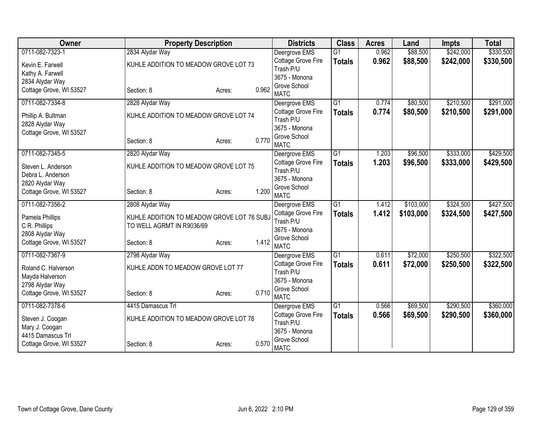| Owner                   | <b>Property Description</b>                |                 | <b>Districts</b>                | <b>Class</b>    | <b>Acres</b> | Land      | <b>Impts</b> | <b>Total</b> |
|-------------------------|--------------------------------------------|-----------------|---------------------------------|-----------------|--------------|-----------|--------------|--------------|
| 0711-082-7323-1         | 2834 Alydar Way                            |                 | Deergrove EMS                   | $\overline{G1}$ | 0.962        | \$88,500  | \$242,000    | \$330,500    |
| Kevin E. Farwell        | KUHLE ADDITION TO MEADOW GROVE LOT 73      |                 | Cottage Grove Fire              | <b>Totals</b>   | 0.962        | \$88,500  | \$242,000    | \$330,500    |
| Kathy A. Farwell        |                                            |                 | Trash P/U                       |                 |              |           |              |              |
| 2834 Alydar Way         |                                            |                 | 3675 - Monona                   |                 |              |           |              |              |
| Cottage Grove, WI 53527 | Section: 8                                 | 0.962<br>Acres: | Grove School                    |                 |              |           |              |              |
|                         |                                            |                 | <b>MATC</b>                     |                 |              |           |              |              |
| 0711-082-7334-8         | 2828 Alydar Way                            |                 | Deergrove EMS                   | $\overline{G1}$ | 0.774        | \$80,500  | \$210,500    | \$291,000    |
| Phillip A. Bultman      | KUHLE ADDITION TO MEADOW GROVE LOT 74      |                 | Cottage Grove Fire<br>Trash P/U | <b>Totals</b>   | 0.774        | \$80,500  | \$210,500    | \$291,000    |
| 2828 Alydar Way         |                                            |                 | 3675 - Monona                   |                 |              |           |              |              |
| Cottage Grove, WI 53527 |                                            |                 | Grove School                    |                 |              |           |              |              |
|                         | Section: 8                                 | 0.770<br>Acres: | <b>MATC</b>                     |                 |              |           |              |              |
| 0711-082-7345-5         | 2820 Alydar Way                            |                 | Deergrove EMS                   | $\overline{G1}$ | 1.203        | \$96,500  | \$333,000    | \$429,500    |
|                         |                                            |                 | Cottage Grove Fire              | <b>Totals</b>   | 1.203        | \$96,500  | \$333,000    | \$429,500    |
| Steven L. Anderson      | KUHLE ADDITION TO MEADOW GROVE LOT 75      |                 | Trash P/U                       |                 |              |           |              |              |
| Debra L. Anderson       |                                            |                 | 3675 - Monona                   |                 |              |           |              |              |
| 2820 Alydar Way         |                                            | 1.200           | Grove School                    |                 |              |           |              |              |
| Cottage Grove, WI 53527 | Section: 8                                 | Acres:          | <b>MATC</b>                     |                 |              |           |              |              |
| 0711-082-7356-2         | 2808 Alydar Way                            |                 | Deergrove EMS                   | $\overline{G1}$ | 1.412        | \$103,000 | \$324,500    | \$427,500    |
| Pamela Phillips         | KUHLE ADDITION TO MEADOW GROVE LOT 76 SUBJ |                 | Cottage Grove Fire              | <b>Totals</b>   | 1.412        | \$103,000 | \$324,500    | \$427,500    |
| C R. Phillips           | TO WELL AGRMT IN R9036/69                  |                 | Trash P/U                       |                 |              |           |              |              |
| 2808 Alydar Way         |                                            |                 | 3675 - Monona                   |                 |              |           |              |              |
| Cottage Grove, WI 53527 | Section: 8                                 | 1.412<br>Acres: | Grove School                    |                 |              |           |              |              |
|                         |                                            |                 | <b>MATC</b>                     |                 |              |           |              |              |
| 0711-082-7367-9         | 2798 Alydar Way                            |                 | Deergrove EMS                   | $\overline{G1}$ | 0.611        | \$72,000  | \$250,500    | \$322,500    |
| Roland C. Halverson     | KUHLE ADDN TO MEADOW GROVE LOT 77          |                 | Cottage Grove Fire              | <b>Totals</b>   | 0.611        | \$72,000  | \$250,500    | \$322,500    |
| Mayda Halverson         |                                            |                 | Trash P/U<br>3675 - Monona      |                 |              |           |              |              |
| 2798 Alydar Way         |                                            |                 | Grove School                    |                 |              |           |              |              |
| Cottage Grove, WI 53527 | Section: 8                                 | 0.710<br>Acres: | <b>MATC</b>                     |                 |              |           |              |              |
| 0711-082-7378-6         | 4415 Damascus Trl                          |                 | Deergrove EMS                   | $\overline{G1}$ | 0.566        | \$69,500  | \$290,500    | \$360,000    |
|                         |                                            |                 | Cottage Grove Fire              | <b>Totals</b>   | 0.566        | \$69,500  | \$290,500    | \$360,000    |
| Steven J. Coogan        | KUHLE ADDITION TO MEADOW GROVE LOT 78      |                 | Trash P/U                       |                 |              |           |              |              |
| Mary J. Coogan          |                                            |                 | 3675 - Monona                   |                 |              |           |              |              |
| 4415 Damascus Trl       |                                            | 0.570           | Grove School                    |                 |              |           |              |              |
| Cottage Grove, WI 53527 | Section: 8                                 | Acres:          | <b>MATC</b>                     |                 |              |           |              |              |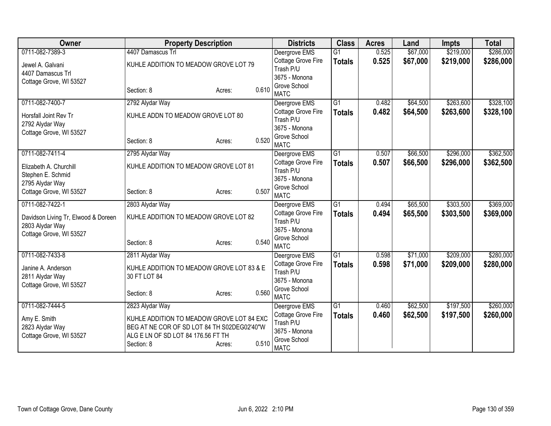| <b>Owner</b>                               | <b>Property Description</b>                 |                 | <b>Districts</b>              | <b>Class</b>    | <b>Acres</b> | Land     | <b>Impts</b> | <b>Total</b> |
|--------------------------------------------|---------------------------------------------|-----------------|-------------------------------|-----------------|--------------|----------|--------------|--------------|
| 0711-082-7389-3                            | 4407 Damascus Trl                           |                 | Deergrove EMS                 | $\overline{G1}$ | 0.525        | \$67,000 | \$219,000    | \$286,000    |
| Jewel A. Galvani                           | KUHLE ADDITION TO MEADOW GROVE LOT 79       |                 | Cottage Grove Fire            | <b>Totals</b>   | 0.525        | \$67,000 | \$219,000    | \$286,000    |
| 4407 Damascus Trl                          |                                             |                 | Trash P/U                     |                 |              |          |              |              |
| Cottage Grove, WI 53527                    |                                             |                 | 3675 - Monona<br>Grove School |                 |              |          |              |              |
|                                            | Section: 8                                  | 0.610<br>Acres: | <b>MATC</b>                   |                 |              |          |              |              |
| 0711-082-7400-7                            | 2792 Alydar Way                             |                 | Deergrove EMS                 | $\overline{G1}$ | 0.482        | \$64,500 | \$263,600    | \$328,100    |
| Horsfall Joint Rev Tr                      | KUHLE ADDN TO MEADOW GROVE LOT 80           |                 | Cottage Grove Fire            | <b>Totals</b>   | 0.482        | \$64,500 | \$263,600    | \$328,100    |
| 2792 Alydar Way                            |                                             |                 | Trash P/U                     |                 |              |          |              |              |
| Cottage Grove, WI 53527                    |                                             |                 | 3675 - Monona                 |                 |              |          |              |              |
|                                            | Section: 8                                  | 0.520<br>Acres: | Grove School<br><b>MATC</b>   |                 |              |          |              |              |
| 0711-082-7411-4                            | 2795 Alydar Way                             |                 | Deergrove EMS                 | G1              | 0.507        | \$66,500 | \$296,000    | \$362,500    |
|                                            |                                             |                 | Cottage Grove Fire            | <b>Totals</b>   | 0.507        | \$66,500 | \$296,000    | \$362,500    |
| Elizabeth A. Churchill                     | KUHLE ADDITION TO MEADOW GROVE LOT 81       | Trash P/U       |                               |                 |              |          |              |              |
| Stephen E. Schmid                          |                                             |                 | 3675 - Monona                 |                 |              |          |              |              |
| 2795 Alydar Way<br>Cottage Grove, WI 53527 | Section: 8                                  | 0.507           | Grove School                  |                 |              |          |              |              |
|                                            |                                             | Acres:          | <b>MATC</b>                   |                 |              |          |              |              |
| 0711-082-7422-1                            | 2803 Alydar Way                             |                 | Deergrove EMS                 | $\overline{G1}$ | 0.494        | \$65,500 | \$303,500    | \$369,000    |
| Davidson Living Tr, Elwood & Doreen        | KUHLE ADDITION TO MEADOW GROVE LOT 82       |                 | <b>Cottage Grove Fire</b>     | <b>Totals</b>   | 0.494        | \$65,500 | \$303,500    | \$369,000    |
| 2803 Alydar Way                            |                                             |                 | Trash P/U                     |                 |              |          |              |              |
| Cottage Grove, WI 53527                    |                                             |                 | 3675 - Monona                 |                 |              |          |              |              |
|                                            | Section: 8                                  | 0.540<br>Acres: | Grove School<br><b>MATC</b>   |                 |              |          |              |              |
| 0711-082-7433-8                            | 2811 Alydar Way                             |                 | Deergrove EMS                 | $\overline{G1}$ | 0.598        | \$71,000 | \$209,000    | \$280,000    |
|                                            |                                             |                 | <b>Cottage Grove Fire</b>     | <b>Totals</b>   | 0.598        | \$71,000 | \$209,000    | \$280,000    |
| Janine A. Anderson                         | KUHLE ADDITION TO MEADOW GROVE LOT 83 & E   |                 | Trash P/U                     |                 |              |          |              |              |
| 2811 Alydar Way                            | 30 FT LOT 84                                |                 | 3675 - Monona                 |                 |              |          |              |              |
| Cottage Grove, WI 53527                    | Section: 8                                  | 0.560<br>Acres: | Grove School                  |                 |              |          |              |              |
|                                            |                                             |                 | <b>MATC</b>                   |                 |              |          |              |              |
| 0711-082-7444-5                            | 2823 Alydar Way                             |                 | Deergrove EMS                 | $\overline{G1}$ | 0.460        | \$62,500 | \$197,500    | \$260,000    |
| Amy E. Smith                               | KUHLE ADDITION TO MEADOW GROVE LOT 84 EXC   |                 | <b>Cottage Grove Fire</b>     | <b>Totals</b>   | 0.460        | \$62,500 | \$197,500    | \$260,000    |
| 2823 Alydar Way                            | BEG AT NE COR OF SD LOT 84 TH S02DEG02'40"W |                 | Trash P/U<br>3675 - Monona    |                 |              |          |              |              |
| Cottage Grove, WI 53527                    | ALG E LN OF SD LOT 84 176.56 FT TH          |                 | Grove School                  |                 |              |          |              |              |
|                                            | Section: 8                                  | 0.510<br>Acres: | <b>MATC</b>                   |                 |              |          |              |              |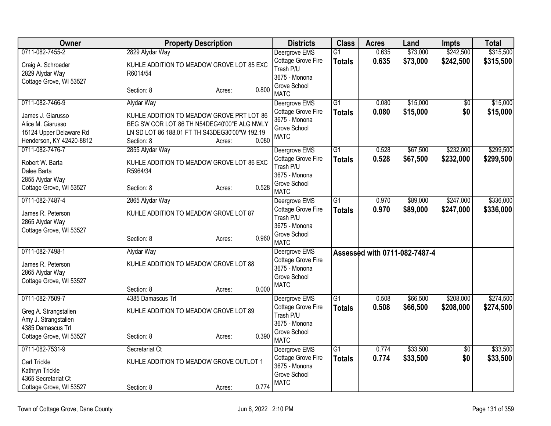| Owner                                                                                         |                                                                                                                                                          | <b>Property Description</b> |       | <b>Districts</b>                                                   | <b>Class</b>                     | <b>Acres</b>   | Land                          | <b>Impts</b>           | <b>Total</b>           |
|-----------------------------------------------------------------------------------------------|----------------------------------------------------------------------------------------------------------------------------------------------------------|-----------------------------|-------|--------------------------------------------------------------------|----------------------------------|----------------|-------------------------------|------------------------|------------------------|
| 0711-082-7455-2                                                                               | 2829 Alydar Way                                                                                                                                          |                             |       | Deergrove EMS<br>Cottage Grove Fire                                | $\overline{G1}$<br><b>Totals</b> | 0.635<br>0.635 | \$73,000<br>\$73,000          | \$242,500<br>\$242,500 | \$315,500<br>\$315,500 |
| Craig A. Schroeder<br>2829 Alydar Way<br>Cottage Grove, WI 53527                              | KUHLE ADDITION TO MEADOW GROVE LOT 85 EXC<br>R6014/54                                                                                                    |                             |       | Trash P/U<br>3675 - Monona                                         |                                  |                |                               |                        |                        |
|                                                                                               | Section: 8                                                                                                                                               | Acres:                      | 0.800 | Grove School<br><b>MATC</b>                                        |                                  |                |                               |                        |                        |
| 0711-082-7466-9                                                                               | Alydar Way                                                                                                                                               |                             |       | Deergrove EMS                                                      | $\overline{G1}$                  | 0.080          | \$15,000                      | $\overline{50}$        | \$15,000               |
| James J. Giarusso<br>Alice M. Giarusso<br>15124 Upper Delaware Rd<br>Henderson, KY 42420-8812 | KUHLE ADDITION TO MEADOW GROVE PRT LOT 86<br>BEG SW COR LOT 86 TH N54DEG40'00"E ALG NWLY<br>LN SD LOT 86 188.01 FT TH S43DEG30'00"W 192.19<br>Section: 8 | Acres:                      | 0.080 | Cottage Grove Fire<br>3675 - Monona<br>Grove School<br><b>MATC</b> | <b>Totals</b>                    | 0.080          | \$15,000                      | \$0                    | \$15,000               |
| 0711-082-7476-7                                                                               | 2855 Alydar Way                                                                                                                                          |                             |       | Deergrove EMS                                                      | $\overline{G1}$                  | 0.528          | \$67,500                      | \$232,000              | \$299,500              |
| Robert W. Barta<br>Dalee Barta<br>2855 Alydar Way                                             | KUHLE ADDITION TO MEADOW GROVE LOT 86 EXC<br>R5964/34                                                                                                    |                             |       | Cottage Grove Fire<br>Trash P/U<br>3675 - Monona                   | <b>Totals</b>                    | 0.528          | \$67,500                      | \$232,000              | \$299,500              |
| Cottage Grove, WI 53527                                                                       | Section: 8                                                                                                                                               | Acres:                      | 0.528 | Grove School<br><b>MATC</b>                                        |                                  |                |                               |                        |                        |
| 0711-082-7487-4                                                                               | 2865 Alydar Way                                                                                                                                          |                             |       | Deergrove EMS                                                      | $\overline{G1}$                  | 0.970          | \$89,000                      | \$247,000              | \$336,000              |
| James R. Peterson<br>2865 Alydar Way                                                          | KUHLE ADDITION TO MEADOW GROVE LOT 87                                                                                                                    |                             |       | Cottage Grove Fire<br>Trash P/U<br>3675 - Monona                   | <b>Totals</b>                    | 0.970          | \$89,000                      | \$247,000              | \$336,000              |
| Cottage Grove, WI 53527                                                                       | Section: 8                                                                                                                                               | Acres:                      | 0.960 | Grove School<br><b>MATC</b>                                        |                                  |                |                               |                        |                        |
| 0711-082-7498-1                                                                               | Alydar Way                                                                                                                                               |                             |       | Deergrove EMS                                                      |                                  |                | Assessed with 0711-082-7487-4 |                        |                        |
| James R. Peterson<br>2865 Alydar Way                                                          | KUHLE ADDITION TO MEADOW GROVE LOT 88                                                                                                                    |                             |       | Cottage Grove Fire<br>3675 - Monona<br>Grove School                |                                  |                |                               |                        |                        |
| Cottage Grove, WI 53527                                                                       | Section: 8                                                                                                                                               | Acres:                      | 0.000 | <b>MATC</b>                                                        |                                  |                |                               |                        |                        |
| 0711-082-7509-7                                                                               | 4385 Damascus Trl                                                                                                                                        |                             |       | Deergrove EMS                                                      | G1                               | 0.508          | \$66,500                      | \$208,000              | \$274,500              |
| Greg A. Strangstalien<br>Amy J. Strangstalien<br>4385 Damascus Trl                            | KUHLE ADDITION TO MEADOW GROVE LOT 89                                                                                                                    |                             |       | Cottage Grove Fire<br>Trash P/U<br>3675 - Monona                   | <b>Totals</b>                    | 0.508          | \$66,500                      | \$208,000              | \$274,500              |
| Cottage Grove, WI 53527                                                                       | Section: 8                                                                                                                                               | Acres:                      | 0.390 | Grove School<br><b>MATC</b>                                        |                                  |                |                               |                        |                        |
| 0711-082-7531-9                                                                               | Secretariat Ct                                                                                                                                           |                             |       | Deergrove EMS                                                      | $\overline{G1}$                  | 0.774          | \$33,500                      | $\overline{50}$        | \$33,500               |
| Carl Trickle<br>Kathryn Trickle                                                               | KUHLE ADDITION TO MEADOW GROVE OUTLOT 1                                                                                                                  |                             |       | Cottage Grove Fire<br>3675 - Monona<br>Grove School                | <b>Totals</b>                    | 0.774          | \$33,500                      | \$0                    | \$33,500               |
| 4365 Secretariat Ct<br>Cottage Grove, WI 53527                                                | Section: 8                                                                                                                                               | Acres:                      | 0.774 | <b>MATC</b>                                                        |                                  |                |                               |                        |                        |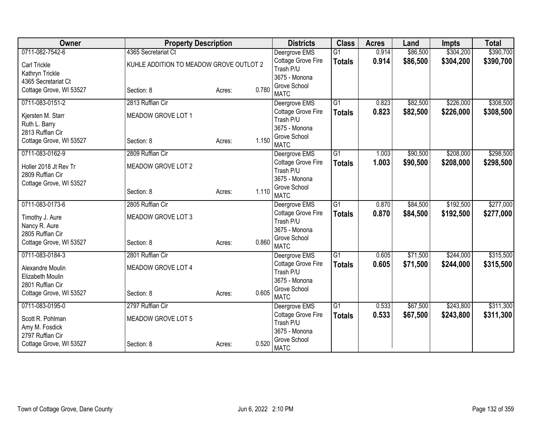| Owner                   | <b>Property Description</b>             |                 | <b>Districts</b>                | <b>Class</b>    | <b>Acres</b> | Land     | <b>Impts</b> | <b>Total</b> |
|-------------------------|-----------------------------------------|-----------------|---------------------------------|-----------------|--------------|----------|--------------|--------------|
| 0711-082-7542-6         | 4365 Secretariat Ct                     |                 | Deergrove EMS                   | $\overline{G1}$ | 0.914        | \$86,500 | \$304,200    | \$390,700    |
| Carl Trickle            | KUHLE ADDITION TO MEADOW GROVE OUTLOT 2 |                 | Cottage Grove Fire              | <b>Totals</b>   | 0.914        | \$86,500 | \$304,200    | \$390,700    |
| Kathryn Trickle         |                                         |                 | Trash P/U                       |                 |              |          |              |              |
| 4365 Secretariat Ct     |                                         |                 | 3675 - Monona                   |                 |              |          |              |              |
| Cottage Grove, WI 53527 | Section: 8                              | 0.780<br>Acres: | Grove School<br><b>MATC</b>     |                 |              |          |              |              |
| 0711-083-0151-2         | 2813 Ruffian Cir                        |                 | Deergrove EMS                   | $\overline{G1}$ | 0.823        | \$82,500 | \$226,000    | \$308,500    |
|                         |                                         |                 | Cottage Grove Fire              | <b>Totals</b>   | 0.823        | \$82,500 | \$226,000    | \$308,500    |
| Kjersten M. Starr       | MEADOW GROVE LOT 1                      |                 | Trash P/U                       |                 |              |          |              |              |
| Ruth L. Barry           |                                         |                 | 3675 - Monona                   |                 |              |          |              |              |
| 2813 Ruffian Cir        |                                         |                 | Grove School                    |                 |              |          |              |              |
| Cottage Grove, WI 53527 | Section: 8                              | 1.150<br>Acres: | <b>MATC</b>                     |                 |              |          |              |              |
| 0711-083-0162-9         | 2809 Ruffian Cir                        |                 | Deergrove EMS                   | $\overline{G1}$ | 1.003        | \$90,500 | \$208,000    | \$298,500    |
| Holler 2018 Jt Rev Tr   | MEADOW GROVE LOT 2                      |                 | Cottage Grove Fire              | <b>Totals</b>   | 1.003        | \$90,500 | \$208,000    | \$298,500    |
| 2809 Ruffian Cir        |                                         |                 | Trash P/U                       |                 |              |          |              |              |
| Cottage Grove, WI 53527 |                                         |                 | 3675 - Monona                   |                 |              |          |              |              |
|                         | Section: 8                              | 1.110<br>Acres: | Grove School                    |                 |              |          |              |              |
|                         |                                         |                 | <b>MATC</b>                     |                 |              |          |              |              |
| 0711-083-0173-6         | 2805 Ruffian Cir                        |                 | Deergrove EMS                   | G1              | 0.870        | \$84,500 | \$192,500    | \$277,000    |
| Timothy J. Aure         | MEADOW GROVE LOT 3                      |                 | Cottage Grove Fire<br>Trash P/U | <b>Totals</b>   | 0.870        | \$84,500 | \$192,500    | \$277,000    |
| Nancy R. Aure           |                                         |                 | 3675 - Monona                   |                 |              |          |              |              |
| 2805 Ruffian Cir        |                                         |                 | Grove School                    |                 |              |          |              |              |
| Cottage Grove, WI 53527 | Section: 8                              | 0.860<br>Acres: | <b>MATC</b>                     |                 |              |          |              |              |
| 0711-083-0184-3         | 2801 Ruffian Cir                        |                 | Deergrove EMS                   | G1              | 0.605        | \$71,500 | \$244,000    | \$315,500    |
| Alexandre Moulin        | MEADOW GROVE LOT 4                      |                 | Cottage Grove Fire              | <b>Totals</b>   | 0.605        | \$71,500 | \$244,000    | \$315,500    |
| Elizabeth Moulin        |                                         |                 | Trash P/U                       |                 |              |          |              |              |
| 2801 Ruffian Cir        |                                         |                 | 3675 - Monona                   |                 |              |          |              |              |
| Cottage Grove, WI 53527 | Section: 8                              | 0.605<br>Acres: | Grove School                    |                 |              |          |              |              |
|                         |                                         |                 | <b>MATC</b>                     |                 |              |          |              |              |
| 0711-083-0195-0         | 2797 Ruffian Cir                        |                 | Deergrove EMS                   | $\overline{G1}$ | 0.533        | \$67,500 | \$243,800    | \$311,300    |
| Scott R. Pohlman        | MEADOW GROVE LOT 5                      |                 | Cottage Grove Fire<br>Trash P/U | <b>Totals</b>   | 0.533        | \$67,500 | \$243,800    | \$311,300    |
| Amy M. Fosdick          |                                         |                 | 3675 - Monona                   |                 |              |          |              |              |
| 2797 Ruffian Cir        |                                         |                 | Grove School                    |                 |              |          |              |              |
| Cottage Grove, WI 53527 | Section: 8                              | 0.520<br>Acres: | <b>MATC</b>                     |                 |              |          |              |              |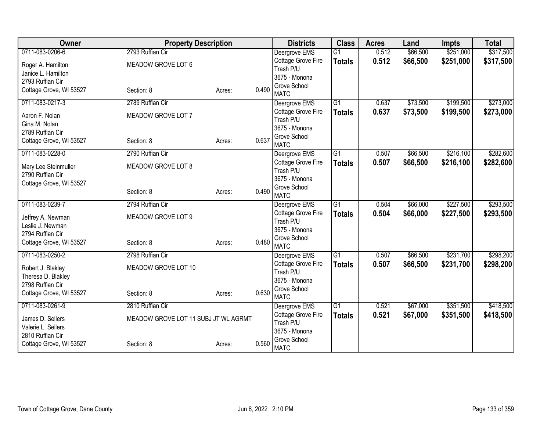| Owner                                    | <b>Property Description</b>          |        |       | <b>Districts</b>                | <b>Class</b>    | <b>Acres</b> | Land     | <b>Impts</b> | <b>Total</b> |
|------------------------------------------|--------------------------------------|--------|-------|---------------------------------|-----------------|--------------|----------|--------------|--------------|
| 0711-083-0206-6                          | 2793 Ruffian Cir                     |        |       | Deergrove EMS                   | $\overline{G1}$ | 0.512        | \$66,500 | \$251,000    | \$317,500    |
| Roger A. Hamilton                        | MEADOW GROVE LOT 6                   |        |       | Cottage Grove Fire              | <b>Totals</b>   | 0.512        | \$66,500 | \$251,000    | \$317,500    |
| Janice L. Hamilton                       |                                      |        |       | Trash P/U                       |                 |              |          |              |              |
| 2793 Ruffian Cir                         |                                      |        |       | 3675 - Monona                   |                 |              |          |              |              |
| Cottage Grove, WI 53527                  | Section: 8                           | Acres: | 0.490 | Grove School                    |                 |              |          |              |              |
| 0711-083-0217-3                          | 2789 Ruffian Cir                     |        |       | <b>MATC</b>                     | $\overline{G1}$ | 0.637        |          | \$199,500    | \$273,000    |
|                                          |                                      |        |       | Deergrove EMS                   |                 |              | \$73,500 |              |              |
| Aaron F. Nolan                           | MEADOW GROVE LOT 7                   |        |       | Cottage Grove Fire<br>Trash P/U | <b>Totals</b>   | 0.637        | \$73,500 | \$199,500    | \$273,000    |
| Gina M. Nolan                            |                                      |        |       | 3675 - Monona                   |                 |              |          |              |              |
| 2789 Ruffian Cir                         |                                      |        |       | Grove School                    |                 |              |          |              |              |
| Cottage Grove, WI 53527                  | Section: 8                           | Acres: | 0.637 | <b>MATC</b>                     |                 |              |          |              |              |
| 0711-083-0228-0                          | 2790 Ruffian Cir                     |        |       | Deergrove EMS                   | $\overline{G1}$ | 0.507        | \$66,500 | \$216,100    | \$282,600    |
|                                          | MEADOW GROVE LOT 8                   |        |       | Cottage Grove Fire              | <b>Totals</b>   | 0.507        | \$66,500 | \$216,100    | \$282,600    |
| Mary Lee Steinmuller<br>2790 Ruffian Cir |                                      |        |       | Trash P/U                       |                 |              |          |              |              |
| Cottage Grove, WI 53527                  |                                      |        |       | 3675 - Monona                   |                 |              |          |              |              |
|                                          | Section: 8                           | Acres: | 0.490 | Grove School                    |                 |              |          |              |              |
|                                          |                                      |        |       | <b>MATC</b>                     |                 |              |          |              |              |
| 0711-083-0239-7                          | 2794 Ruffian Cir                     |        |       | Deergrove EMS                   | $\overline{G1}$ | 0.504        | \$66,000 | \$227,500    | \$293,500    |
| Jeffrey A. Newman                        | MEADOW GROVE LOT 9                   |        |       | Cottage Grove Fire              | <b>Totals</b>   | 0.504        | \$66,000 | \$227,500    | \$293,500    |
| Leslie J. Newman                         |                                      |        |       | Trash P/U                       |                 |              |          |              |              |
| 2794 Ruffian Cir                         |                                      |        |       | 3675 - Monona<br>Grove School   |                 |              |          |              |              |
| Cottage Grove, WI 53527                  | Section: 8                           | Acres: | 0.480 | <b>MATC</b>                     |                 |              |          |              |              |
| 0711-083-0250-2                          | 2798 Ruffian Cir                     |        |       | Deergrove EMS                   | G1              | 0.507        | \$66,500 | \$231,700    | \$298,200    |
|                                          |                                      |        |       | Cottage Grove Fire              | <b>Totals</b>   | 0.507        | \$66,500 | \$231,700    | \$298,200    |
| Robert J. Blakley                        | MEADOW GROVE LOT 10                  |        |       | Trash P/U                       |                 |              |          |              |              |
| Theresa D. Blakley                       |                                      |        |       | 3675 - Monona                   |                 |              |          |              |              |
| 2798 Ruffian Cir                         |                                      |        | 0.630 | Grove School                    |                 |              |          |              |              |
| Cottage Grove, WI 53527                  | Section: 8                           | Acres: |       | <b>MATC</b>                     |                 |              |          |              |              |
| 0711-083-0261-9                          | 2810 Ruffian Cir                     |        |       | Deergrove EMS                   | G1              | 0.521        | \$67,000 | \$351,500    | \$418,500    |
| James D. Sellers                         | MEADOW GROVE LOT 11 SUBJ JT WL AGRMT |        |       | Cottage Grove Fire              | <b>Totals</b>   | 0.521        | \$67,000 | \$351,500    | \$418,500    |
| Valerie L. Sellers                       |                                      |        |       | Trash P/U                       |                 |              |          |              |              |
| 2810 Ruffian Cir                         |                                      |        |       | 3675 - Monona                   |                 |              |          |              |              |
| Cottage Grove, WI 53527                  | Section: 8                           | Acres: | 0.560 | Grove School<br><b>MATC</b>     |                 |              |          |              |              |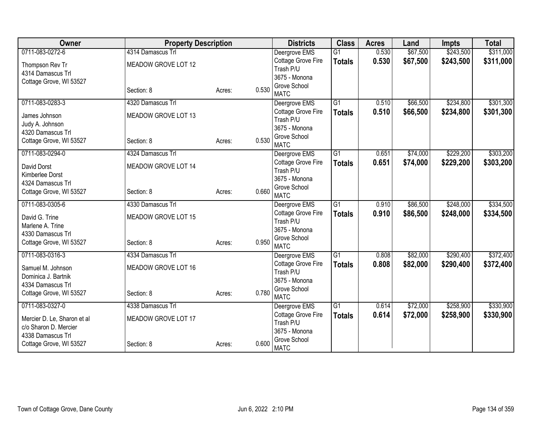| Owner                                      | <b>Property Description</b> |        |                                      | <b>Districts</b> | <b>Class</b>    | <b>Acres</b> | Land     | <b>Impts</b> | <b>Total</b> |
|--------------------------------------------|-----------------------------|--------|--------------------------------------|------------------|-----------------|--------------|----------|--------------|--------------|
| 0711-083-0272-6                            | 4314 Damascus Trl           |        | Deergrove EMS                        |                  | $\overline{G1}$ | 0.530        | \$67,500 | \$243,500    | \$311,000    |
| Thompson Rev Tr                            | MEADOW GROVE LOT 12         |        | Cottage Grove Fire                   |                  | <b>Totals</b>   | 0.530        | \$67,500 | \$243,500    | \$311,000    |
| 4314 Damascus Trl                          |                             |        | Trash P/U                            |                  |                 |              |          |              |              |
| Cottage Grove, WI 53527                    |                             |        | 3675 - Monona                        |                  |                 |              |          |              |              |
|                                            | Section: 8                  | Acres: | Grove School<br>0.530<br><b>MATC</b> |                  |                 |              |          |              |              |
| 0711-083-0283-3                            | 4320 Damascus Trl           |        | Deergrove EMS                        |                  | $\overline{G1}$ | 0.510        | \$66,500 | \$234,800    | \$301,300    |
| James Johnson                              | MEADOW GROVE LOT 13         |        | Cottage Grove Fire                   |                  | <b>Totals</b>   | 0.510        | \$66,500 | \$234,800    | \$301,300    |
| Judy A. Johnson                            |                             |        | Trash P/U                            |                  |                 |              |          |              |              |
| 4320 Damascus Trl                          |                             |        | 3675 - Monona                        |                  |                 |              |          |              |              |
| Cottage Grove, WI 53527                    | Section: 8                  | Acres: | Grove School<br>0.530                |                  |                 |              |          |              |              |
|                                            |                             |        | <b>MATC</b>                          |                  |                 |              |          |              |              |
| 0711-083-0294-0                            | 4324 Damascus Trl           |        | Deergrove EMS                        |                  | $\overline{G1}$ | 0.651        | \$74,000 | \$229,200    | \$303,200    |
| David Dorst                                | MEADOW GROVE LOT 14         |        | Cottage Grove Fire                   |                  | <b>Totals</b>   | 0.651        | \$74,000 | \$229,200    | \$303,200    |
| Kimberlee Dorst                            |                             |        | Trash P/U<br>3675 - Monona           |                  |                 |              |          |              |              |
| 4324 Damascus Trl                          |                             |        | Grove School                         |                  |                 |              |          |              |              |
| Cottage Grove, WI 53527                    | Section: 8                  | Acres: | 0.660<br><b>MATC</b>                 |                  |                 |              |          |              |              |
| 0711-083-0305-6                            | 4330 Damascus Trl           |        | Deergrove EMS                        |                  | G1              | 0.910        | \$86,500 | \$248,000    | \$334,500    |
| David G. Trine                             | MEADOW GROVE LOT 15         |        | Cottage Grove Fire                   |                  | <b>Totals</b>   | 0.910        | \$86,500 | \$248,000    | \$334,500    |
| Marlene A. Trine                           |                             |        | Trash P/U                            |                  |                 |              |          |              |              |
| 4330 Damascus Trl                          |                             |        | 3675 - Monona                        |                  |                 |              |          |              |              |
| Cottage Grove, WI 53527                    | Section: 8                  | Acres: | Grove School<br>0.950                |                  |                 |              |          |              |              |
|                                            |                             |        | <b>MATC</b>                          |                  |                 |              |          |              |              |
| 0711-083-0316-3                            | 4334 Damascus Trl           |        | Deergrove EMS                        |                  | G1              | 0.808        | \$82,000 | \$290,400    | \$372,400    |
| Samuel M. Johnson                          | MEADOW GROVE LOT 16         |        | Cottage Grove Fire                   |                  | <b>Totals</b>   | 0.808        | \$82,000 | \$290,400    | \$372,400    |
| Dominica J. Bartnik                        |                             |        | Trash P/U                            |                  |                 |              |          |              |              |
| 4334 Damascus Trl                          |                             |        | 3675 - Monona                        |                  |                 |              |          |              |              |
| Cottage Grove, WI 53527                    | Section: 8                  | Acres: | Grove School<br>0.780<br><b>MATC</b> |                  |                 |              |          |              |              |
| 0711-083-0327-0                            | 4338 Damascus Trl           |        | Deergrove EMS                        |                  | $\overline{G1}$ | 0.614        | \$72,000 | \$258,900    | \$330,900    |
|                                            |                             |        | Cottage Grove Fire                   |                  | <b>Totals</b>   | 0.614        | \$72,000 | \$258,900    | \$330,900    |
| Mercier D. Le, Sharon et al                | MEADOW GROVE LOT 17         |        | Trash P/U                            |                  |                 |              |          |              |              |
| c/o Sharon D. Mercier<br>4338 Damascus Trl |                             |        | 3675 - Monona                        |                  |                 |              |          |              |              |
| Cottage Grove, WI 53527                    | Section: 8                  |        | Grove School<br>0.600                |                  |                 |              |          |              |              |
|                                            |                             | Acres: | <b>MATC</b>                          |                  |                 |              |          |              |              |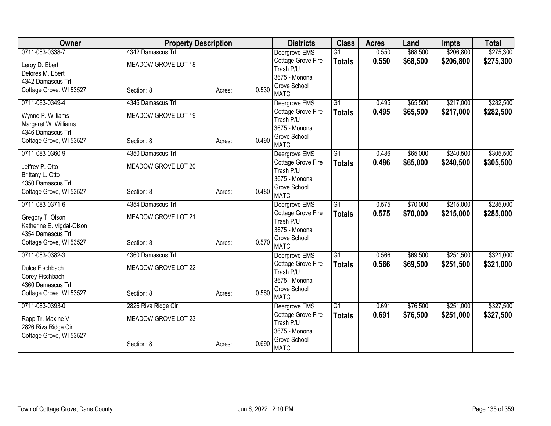| 0711-083-0338-7<br>4342 Damascus Trl<br>0.550<br>\$68,500<br>\$206,800<br>Deergrove EMS<br>$\overline{G1}$<br>Cottage Grove Fire<br>0.550<br>\$68,500<br>\$206,800<br>\$275,300<br><b>Totals</b><br>MEADOW GROVE LOT 18<br>Leroy D. Ebert<br>Trash P/U<br>Delores M. Ebert<br>3675 - Monona<br>4342 Damascus Trl<br>Grove School<br>0.530<br>Cottage Grove, WI 53527<br>Section: 8<br>Acres:<br><b>MATC</b><br>\$217,000<br>0711-083-0349-4<br>4346 Damascus Trl<br>$\overline{G1}$<br>\$65,500<br>Deergrove EMS<br>0.495<br>0.495<br>\$65,500<br>Cottage Grove Fire<br>\$217,000<br>\$282,500<br><b>Totals</b><br>MEADOW GROVE LOT 19<br>Wynne P. Williams<br>Trash P/U<br>Margaret W. Williams<br>3675 - Monona<br>4346 Damascus Trl<br>Grove School<br>0.490<br>Cottage Grove, WI 53527<br>Section: 8<br>Acres:<br><b>MATC</b><br>\$240,500<br>0711-083-0360-9<br>4350 Damascus Trl<br>$\overline{G1}$<br>\$65,000<br>Deergrove EMS<br>0.486<br>Cottage Grove Fire<br>\$65,000<br>0.486<br>\$240,500<br><b>Totals</b><br>MEADOW GROVE LOT 20<br>Jeffrey P. Otto<br>Trash P/U<br>Brittany L. Otto<br>3675 - Monona<br>4350 Damascus Trl<br>Grove School<br>0.480<br>Cottage Grove, WI 53527<br>Section: 8<br>Acres:<br><b>MATC</b><br>4354 Damascus Trl<br>G1<br>\$70,000<br>\$215,000<br>0711-083-0371-6<br>0.575<br>Deergrove EMS<br>0.575<br>\$70,000<br>Cottage Grove Fire<br>\$215,000<br><b>Totals</b><br>MEADOW GROVE LOT 21<br>Gregory T. Olson<br>Trash P/U<br>Katherine E. Vigdal-Olson<br>3675 - Monona<br>4354 Damascus Trl<br>Grove School<br>0.570<br>Cottage Grove, WI 53527<br>Section: 8<br>Acres:<br><b>MATC</b><br>0711-083-0382-3<br>4360 Damascus Trl<br>$\overline{G1}$<br>\$69,500<br>\$251,500<br>0.566<br>Deergrove EMS<br>\$251,500<br>Cottage Grove Fire<br>0.566<br>\$69,500<br><b>Totals</b><br>MEADOW GROVE LOT 22<br>Dulce Fischbach<br>Trash P/U<br>Corey Fischbach<br>3675 - Monona<br>4360 Damascus Trl<br>Grove School<br>0.560<br>Cottage Grove, WI 53527<br>Section: 8<br>Acres:<br><b>MATC</b><br>0711-083-0393-0<br>\$76,500<br>\$251,000<br>2826 Riva Ridge Cir<br>G1<br>0.691<br>Deergrove EMS<br>Cottage Grove Fire<br>0.691<br>\$76,500<br>\$251,000<br><b>Totals</b><br>MEADOW GROVE LOT 23<br>Rapp Tr, Maxine V<br>Trash P/U<br>2826 Riva Ridge Cir<br>3675 - Monona<br>Cottage Grove, WI 53527<br>Grove School<br>0.690<br>Acres: | Owner | <b>Property Description</b> |  | <b>Districts</b> | <b>Class</b> | <b>Acres</b> | Land | <b>Impts</b> | <b>Total</b> |
|-----------------------------------------------------------------------------------------------------------------------------------------------------------------------------------------------------------------------------------------------------------------------------------------------------------------------------------------------------------------------------------------------------------------------------------------------------------------------------------------------------------------------------------------------------------------------------------------------------------------------------------------------------------------------------------------------------------------------------------------------------------------------------------------------------------------------------------------------------------------------------------------------------------------------------------------------------------------------------------------------------------------------------------------------------------------------------------------------------------------------------------------------------------------------------------------------------------------------------------------------------------------------------------------------------------------------------------------------------------------------------------------------------------------------------------------------------------------------------------------------------------------------------------------------------------------------------------------------------------------------------------------------------------------------------------------------------------------------------------------------------------------------------------------------------------------------------------------------------------------------------------------------------------------------------------------------------------------------------------------------------------------------------------------------------------------------------------------------------------------------------------------------------------------------------------------------------------------------------------------------------------------------------------------------------------------------------------------------------------------------------------|-------|-----------------------------|--|------------------|--------------|--------------|------|--------------|--------------|
| \$285,000                                                                                                                                                                                                                                                                                                                                                                                                                                                                                                                                                                                                                                                                                                                                                                                                                                                                                                                                                                                                                                                                                                                                                                                                                                                                                                                                                                                                                                                                                                                                                                                                                                                                                                                                                                                                                                                                                                                                                                                                                                                                                                                                                                                                                                                                                                                                                                         |       |                             |  |                  |              |              |      |              | \$275,300    |
|                                                                                                                                                                                                                                                                                                                                                                                                                                                                                                                                                                                                                                                                                                                                                                                                                                                                                                                                                                                                                                                                                                                                                                                                                                                                                                                                                                                                                                                                                                                                                                                                                                                                                                                                                                                                                                                                                                                                                                                                                                                                                                                                                                                                                                                                                                                                                                                   |       |                             |  |                  |              |              |      |              |              |
| \$282,500                                                                                                                                                                                                                                                                                                                                                                                                                                                                                                                                                                                                                                                                                                                                                                                                                                                                                                                                                                                                                                                                                                                                                                                                                                                                                                                                                                                                                                                                                                                                                                                                                                                                                                                                                                                                                                                                                                                                                                                                                                                                                                                                                                                                                                                                                                                                                                         |       |                             |  |                  |              |              |      |              |              |
|                                                                                                                                                                                                                                                                                                                                                                                                                                                                                                                                                                                                                                                                                                                                                                                                                                                                                                                                                                                                                                                                                                                                                                                                                                                                                                                                                                                                                                                                                                                                                                                                                                                                                                                                                                                                                                                                                                                                                                                                                                                                                                                                                                                                                                                                                                                                                                                   |       |                             |  |                  |              |              |      |              |              |
|                                                                                                                                                                                                                                                                                                                                                                                                                                                                                                                                                                                                                                                                                                                                                                                                                                                                                                                                                                                                                                                                                                                                                                                                                                                                                                                                                                                                                                                                                                                                                                                                                                                                                                                                                                                                                                                                                                                                                                                                                                                                                                                                                                                                                                                                                                                                                                                   |       |                             |  |                  |              |              |      |              |              |
|                                                                                                                                                                                                                                                                                                                                                                                                                                                                                                                                                                                                                                                                                                                                                                                                                                                                                                                                                                                                                                                                                                                                                                                                                                                                                                                                                                                                                                                                                                                                                                                                                                                                                                                                                                                                                                                                                                                                                                                                                                                                                                                                                                                                                                                                                                                                                                                   |       |                             |  |                  |              |              |      |              |              |
| \$305,500<br>\$305,500<br>\$285,000<br>\$321,000<br>\$321,000<br>\$327,500<br>\$327,500                                                                                                                                                                                                                                                                                                                                                                                                                                                                                                                                                                                                                                                                                                                                                                                                                                                                                                                                                                                                                                                                                                                                                                                                                                                                                                                                                                                                                                                                                                                                                                                                                                                                                                                                                                                                                                                                                                                                                                                                                                                                                                                                                                                                                                                                                           |       |                             |  |                  |              |              |      |              |              |
|                                                                                                                                                                                                                                                                                                                                                                                                                                                                                                                                                                                                                                                                                                                                                                                                                                                                                                                                                                                                                                                                                                                                                                                                                                                                                                                                                                                                                                                                                                                                                                                                                                                                                                                                                                                                                                                                                                                                                                                                                                                                                                                                                                                                                                                                                                                                                                                   |       |                             |  |                  |              |              |      |              |              |
|                                                                                                                                                                                                                                                                                                                                                                                                                                                                                                                                                                                                                                                                                                                                                                                                                                                                                                                                                                                                                                                                                                                                                                                                                                                                                                                                                                                                                                                                                                                                                                                                                                                                                                                                                                                                                                                                                                                                                                                                                                                                                                                                                                                                                                                                                                                                                                                   |       |                             |  |                  |              |              |      |              |              |
|                                                                                                                                                                                                                                                                                                                                                                                                                                                                                                                                                                                                                                                                                                                                                                                                                                                                                                                                                                                                                                                                                                                                                                                                                                                                                                                                                                                                                                                                                                                                                                                                                                                                                                                                                                                                                                                                                                                                                                                                                                                                                                                                                                                                                                                                                                                                                                                   |       |                             |  |                  |              |              |      |              |              |
|                                                                                                                                                                                                                                                                                                                                                                                                                                                                                                                                                                                                                                                                                                                                                                                                                                                                                                                                                                                                                                                                                                                                                                                                                                                                                                                                                                                                                                                                                                                                                                                                                                                                                                                                                                                                                                                                                                                                                                                                                                                                                                                                                                                                                                                                                                                                                                                   |       |                             |  |                  |              |              |      |              |              |
|                                                                                                                                                                                                                                                                                                                                                                                                                                                                                                                                                                                                                                                                                                                                                                                                                                                                                                                                                                                                                                                                                                                                                                                                                                                                                                                                                                                                                                                                                                                                                                                                                                                                                                                                                                                                                                                                                                                                                                                                                                                                                                                                                                                                                                                                                                                                                                                   |       |                             |  |                  |              |              |      |              |              |
|                                                                                                                                                                                                                                                                                                                                                                                                                                                                                                                                                                                                                                                                                                                                                                                                                                                                                                                                                                                                                                                                                                                                                                                                                                                                                                                                                                                                                                                                                                                                                                                                                                                                                                                                                                                                                                                                                                                                                                                                                                                                                                                                                                                                                                                                                                                                                                                   |       |                             |  |                  |              |              |      |              |              |
|                                                                                                                                                                                                                                                                                                                                                                                                                                                                                                                                                                                                                                                                                                                                                                                                                                                                                                                                                                                                                                                                                                                                                                                                                                                                                                                                                                                                                                                                                                                                                                                                                                                                                                                                                                                                                                                                                                                                                                                                                                                                                                                                                                                                                                                                                                                                                                                   |       |                             |  |                  |              |              |      |              |              |
|                                                                                                                                                                                                                                                                                                                                                                                                                                                                                                                                                                                                                                                                                                                                                                                                                                                                                                                                                                                                                                                                                                                                                                                                                                                                                                                                                                                                                                                                                                                                                                                                                                                                                                                                                                                                                                                                                                                                                                                                                                                                                                                                                                                                                                                                                                                                                                                   |       |                             |  |                  |              |              |      |              |              |
|                                                                                                                                                                                                                                                                                                                                                                                                                                                                                                                                                                                                                                                                                                                                                                                                                                                                                                                                                                                                                                                                                                                                                                                                                                                                                                                                                                                                                                                                                                                                                                                                                                                                                                                                                                                                                                                                                                                                                                                                                                                                                                                                                                                                                                                                                                                                                                                   |       |                             |  |                  |              |              |      |              |              |
|                                                                                                                                                                                                                                                                                                                                                                                                                                                                                                                                                                                                                                                                                                                                                                                                                                                                                                                                                                                                                                                                                                                                                                                                                                                                                                                                                                                                                                                                                                                                                                                                                                                                                                                                                                                                                                                                                                                                                                                                                                                                                                                                                                                                                                                                                                                                                                                   |       |                             |  |                  |              |              |      |              |              |
|                                                                                                                                                                                                                                                                                                                                                                                                                                                                                                                                                                                                                                                                                                                                                                                                                                                                                                                                                                                                                                                                                                                                                                                                                                                                                                                                                                                                                                                                                                                                                                                                                                                                                                                                                                                                                                                                                                                                                                                                                                                                                                                                                                                                                                                                                                                                                                                   |       |                             |  |                  |              |              |      |              |              |
|                                                                                                                                                                                                                                                                                                                                                                                                                                                                                                                                                                                                                                                                                                                                                                                                                                                                                                                                                                                                                                                                                                                                                                                                                                                                                                                                                                                                                                                                                                                                                                                                                                                                                                                                                                                                                                                                                                                                                                                                                                                                                                                                                                                                                                                                                                                                                                                   |       |                             |  |                  |              |              |      |              |              |
|                                                                                                                                                                                                                                                                                                                                                                                                                                                                                                                                                                                                                                                                                                                                                                                                                                                                                                                                                                                                                                                                                                                                                                                                                                                                                                                                                                                                                                                                                                                                                                                                                                                                                                                                                                                                                                                                                                                                                                                                                                                                                                                                                                                                                                                                                                                                                                                   |       |                             |  |                  |              |              |      |              |              |
|                                                                                                                                                                                                                                                                                                                                                                                                                                                                                                                                                                                                                                                                                                                                                                                                                                                                                                                                                                                                                                                                                                                                                                                                                                                                                                                                                                                                                                                                                                                                                                                                                                                                                                                                                                                                                                                                                                                                                                                                                                                                                                                                                                                                                                                                                                                                                                                   |       |                             |  |                  |              |              |      |              |              |
|                                                                                                                                                                                                                                                                                                                                                                                                                                                                                                                                                                                                                                                                                                                                                                                                                                                                                                                                                                                                                                                                                                                                                                                                                                                                                                                                                                                                                                                                                                                                                                                                                                                                                                                                                                                                                                                                                                                                                                                                                                                                                                                                                                                                                                                                                                                                                                                   |       |                             |  |                  |              |              |      |              |              |
|                                                                                                                                                                                                                                                                                                                                                                                                                                                                                                                                                                                                                                                                                                                                                                                                                                                                                                                                                                                                                                                                                                                                                                                                                                                                                                                                                                                                                                                                                                                                                                                                                                                                                                                                                                                                                                                                                                                                                                                                                                                                                                                                                                                                                                                                                                                                                                                   |       |                             |  |                  |              |              |      |              |              |
|                                                                                                                                                                                                                                                                                                                                                                                                                                                                                                                                                                                                                                                                                                                                                                                                                                                                                                                                                                                                                                                                                                                                                                                                                                                                                                                                                                                                                                                                                                                                                                                                                                                                                                                                                                                                                                                                                                                                                                                                                                                                                                                                                                                                                                                                                                                                                                                   |       |                             |  |                  |              |              |      |              |              |
|                                                                                                                                                                                                                                                                                                                                                                                                                                                                                                                                                                                                                                                                                                                                                                                                                                                                                                                                                                                                                                                                                                                                                                                                                                                                                                                                                                                                                                                                                                                                                                                                                                                                                                                                                                                                                                                                                                                                                                                                                                                                                                                                                                                                                                                                                                                                                                                   |       |                             |  |                  |              |              |      |              |              |
|                                                                                                                                                                                                                                                                                                                                                                                                                                                                                                                                                                                                                                                                                                                                                                                                                                                                                                                                                                                                                                                                                                                                                                                                                                                                                                                                                                                                                                                                                                                                                                                                                                                                                                                                                                                                                                                                                                                                                                                                                                                                                                                                                                                                                                                                                                                                                                                   |       |                             |  |                  |              |              |      |              |              |
|                                                                                                                                                                                                                                                                                                                                                                                                                                                                                                                                                                                                                                                                                                                                                                                                                                                                                                                                                                                                                                                                                                                                                                                                                                                                                                                                                                                                                                                                                                                                                                                                                                                                                                                                                                                                                                                                                                                                                                                                                                                                                                                                                                                                                                                                                                                                                                                   |       |                             |  |                  |              |              |      |              |              |
|                                                                                                                                                                                                                                                                                                                                                                                                                                                                                                                                                                                                                                                                                                                                                                                                                                                                                                                                                                                                                                                                                                                                                                                                                                                                                                                                                                                                                                                                                                                                                                                                                                                                                                                                                                                                                                                                                                                                                                                                                                                                                                                                                                                                                                                                                                                                                                                   |       |                             |  |                  |              |              |      |              |              |
|                                                                                                                                                                                                                                                                                                                                                                                                                                                                                                                                                                                                                                                                                                                                                                                                                                                                                                                                                                                                                                                                                                                                                                                                                                                                                                                                                                                                                                                                                                                                                                                                                                                                                                                                                                                                                                                                                                                                                                                                                                                                                                                                                                                                                                                                                                                                                                                   |       |                             |  |                  |              |              |      |              |              |
|                                                                                                                                                                                                                                                                                                                                                                                                                                                                                                                                                                                                                                                                                                                                                                                                                                                                                                                                                                                                                                                                                                                                                                                                                                                                                                                                                                                                                                                                                                                                                                                                                                                                                                                                                                                                                                                                                                                                                                                                                                                                                                                                                                                                                                                                                                                                                                                   |       | Section: 8                  |  | <b>MATC</b>      |              |              |      |              |              |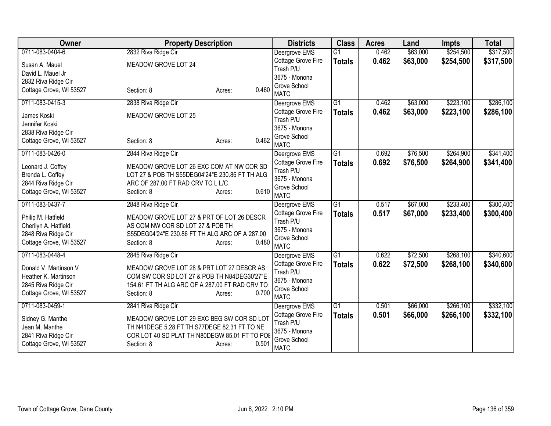| Owner                   | <b>Property Description</b>                    | <b>Districts</b>                | <b>Class</b>    | <b>Acres</b> | Land     | <b>Impts</b> | <b>Total</b> |
|-------------------------|------------------------------------------------|---------------------------------|-----------------|--------------|----------|--------------|--------------|
| 0711-083-0404-6         | 2832 Riva Ridge Cir                            | Deergrove EMS                   | $\overline{G1}$ | 0.462        | \$63,000 | \$254,500    | \$317,500    |
| Susan A. Mauel          | MEADOW GROVE LOT 24                            | Cottage Grove Fire              | <b>Totals</b>   | 0.462        | \$63,000 | \$254,500    | \$317,500    |
| David L. Mauel Jr       |                                                | Trash P/U                       |                 |              |          |              |              |
| 2832 Riva Ridge Cir     |                                                | 3675 - Monona                   |                 |              |          |              |              |
| Cottage Grove, WI 53527 | 0.460<br>Section: 8<br>Acres:                  | Grove School<br><b>MATC</b>     |                 |              |          |              |              |
| 0711-083-0415-3         | 2838 Riva Ridge Cir                            | Deergrove EMS                   | $\overline{G1}$ | 0.462        | \$63,000 | \$223,100    | \$286,100    |
| James Koski             | MEADOW GROVE LOT 25                            | Cottage Grove Fire              | <b>Totals</b>   | 0.462        | \$63,000 | \$223,100    | \$286,100    |
| Jennifer Koski          |                                                | Trash P/U                       |                 |              |          |              |              |
| 2838 Riva Ridge Cir     |                                                | 3675 - Monona                   |                 |              |          |              |              |
| Cottage Grove, WI 53527 | 0.462<br>Section: 8<br>Acres:                  | Grove School<br><b>MATC</b>     |                 |              |          |              |              |
| 0711-083-0426-0         | 2844 Riva Ridge Cir                            | Deergrove EMS                   | $\overline{G1}$ | 0.692        | \$76,500 | \$264,900    | \$341,400    |
| Leonard J. Coffey       | MEADOW GROVE LOT 26 EXC COM AT NW COR SD       | Cottage Grove Fire              | <b>Totals</b>   | 0.692        | \$76,500 | \$264,900    | \$341,400    |
| Brenda L. Coffey        | LOT 27 & POB TH S55DEG04'24"E 230.86 FT TH ALG | Trash P/U                       |                 |              |          |              |              |
| 2844 Riva Ridge Cir     | ARC OF 287.00 FT RAD CRV TO L L/C              | 3675 - Monona                   |                 |              |          |              |              |
| Cottage Grove, WI 53527 | 0.610<br>Section: 8<br>Acres:                  | Grove School                    |                 |              |          |              |              |
|                         |                                                | <b>MATC</b>                     |                 |              |          |              |              |
| 0711-083-0437-7         | 2848 Riva Ridge Cir                            | Deergrove EMS                   | $\overline{G1}$ | 0.517        | \$67,000 | \$233,400    | \$300,400    |
| Philip M. Hatfield      | MEADOW GROVE LOT 27 & PRT OF LOT 26 DESCR      | Cottage Grove Fire<br>Trash P/U | <b>Totals</b>   | 0.517        | \$67,000 | \$233,400    | \$300,400    |
| Cherilyn A. Hatfield    | AS COM NW COR SD LOT 27 & POB TH               | 3675 - Monona                   |                 |              |          |              |              |
| 2848 Riva Ridge Cir     | S55DEG04'24"E 230.86 FT TH ALG ARC OF A 287.00 | Grove School                    |                 |              |          |              |              |
| Cottage Grove, WI 53527 | 0.480<br>Section: 8<br>Acres:                  | <b>MATC</b>                     |                 |              |          |              |              |
| 0711-083-0448-4         | 2845 Riva Ridge Cir                            | Deergrove EMS                   | $\overline{G1}$ | 0.622        | \$72,500 | \$268,100    | \$340,600    |
| Donald V. Martinson V   | MEADOW GROVE LOT 28 & PRT LOT 27 DESCR AS      | Cottage Grove Fire              | <b>Totals</b>   | 0.622        | \$72,500 | \$268,100    | \$340,600    |
| Heather K. Martinson    | COM SW COR SD LOT 27 & POB TH N84DEG30'27"E    | Trash P/U                       |                 |              |          |              |              |
| 2845 Riva Ridge Cir     | 154.61 FT TH ALG ARC OF A 287.00 FT RAD CRV TO | 3675 - Monona                   |                 |              |          |              |              |
| Cottage Grove, WI 53527 | 0.700<br>Section: 8<br>Acres:                  | Grove School                    |                 |              |          |              |              |
|                         |                                                | <b>MATC</b>                     |                 |              |          |              |              |
| 0711-083-0459-1         | 2841 Riva Ridge Cir                            | Deergrove EMS                   | $\overline{G1}$ | 0.501        | \$66,000 | \$266,100    | \$332,100    |
| Sidney G. Manthe        | MEADOW GROVE LOT 29 EXC BEG SW COR SD LOT      | Cottage Grove Fire              | <b>Totals</b>   | 0.501        | \$66,000 | \$266,100    | \$332,100    |
| Jean M. Manthe          | TH N41DEGE 5.28 FT TH S77DEGE 82.31 FT TO NE   | Trash P/U                       |                 |              |          |              |              |
| 2841 Riva Ridge Cir     | COR LOT 40 SD PLAT TH N80DEGW 85.01 FT TO POE  | 3675 - Monona                   |                 |              |          |              |              |
| Cottage Grove, WI 53527 | 0.501<br>Section: 8<br>Acres:                  | Grove School<br><b>MATC</b>     |                 |              |          |              |              |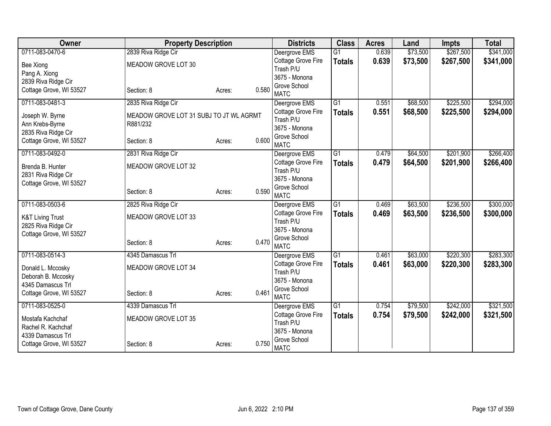| Owner                       | <b>Property Description</b>             |        |       | <b>Districts</b>                | <b>Class</b>    | <b>Acres</b> | Land     | <b>Impts</b> | <b>Total</b> |
|-----------------------------|-----------------------------------------|--------|-------|---------------------------------|-----------------|--------------|----------|--------------|--------------|
| 0711-083-0470-6             | 2839 Riva Ridge Cir                     |        |       | Deergrove EMS                   | $\overline{G1}$ | 0.639        | \$73,500 | \$267,500    | \$341,000    |
| Bee Xiong                   | MEADOW GROVE LOT 30                     |        |       | Cottage Grove Fire              | <b>Totals</b>   | 0.639        | \$73,500 | \$267,500    | \$341,000    |
| Pang A. Xiong               |                                         |        |       | Trash P/U                       |                 |              |          |              |              |
| 2839 Riva Ridge Cir         |                                         |        |       | 3675 - Monona                   |                 |              |          |              |              |
| Cottage Grove, WI 53527     | Section: 8                              | Acres: | 0.580 | Grove School<br><b>MATC</b>     |                 |              |          |              |              |
| 0711-083-0481-3             | 2835 Riva Ridge Cir                     |        |       | Deergrove EMS                   | $\overline{G1}$ | 0.551        | \$68,500 | \$225,500    | \$294,000    |
|                             |                                         |        |       | Cottage Grove Fire              | <b>Totals</b>   | 0.551        | \$68,500 | \$225,500    | \$294,000    |
| Joseph W. Byrne             | MEADOW GROVE LOT 31 SUBJ TO JT WL AGRMT |        |       | Trash P/U                       |                 |              |          |              |              |
| Ann Krebs-Byrne             | R881/232                                |        |       | 3675 - Monona                   |                 |              |          |              |              |
| 2835 Riva Ridge Cir         |                                         |        |       | Grove School                    |                 |              |          |              |              |
| Cottage Grove, WI 53527     | Section: 8                              | Acres: | 0.600 | <b>MATC</b>                     |                 |              |          |              |              |
| 0711-083-0492-0             | 2831 Riva Ridge Cir                     |        |       | Deergrove EMS                   | $\overline{G1}$ | 0.479        | \$64,500 | \$201,900    | \$266,400    |
| Brenda B. Hunter            | MEADOW GROVE LOT 32                     |        |       | Cottage Grove Fire              | <b>Totals</b>   | 0.479        | \$64,500 | \$201,900    | \$266,400    |
| 2831 Riva Ridge Cir         |                                         |        |       | Trash P/U                       |                 |              |          |              |              |
| Cottage Grove, WI 53527     |                                         |        |       | 3675 - Monona                   |                 |              |          |              |              |
|                             | Section: 8                              | Acres: | 0.590 | Grove School                    |                 |              |          |              |              |
|                             |                                         |        |       | <b>MATC</b>                     |                 |              |          |              |              |
| 0711-083-0503-6             | 2825 Riva Ridge Cir                     |        |       | Deergrove EMS                   | $\overline{G1}$ | 0.469        | \$63,500 | \$236,500    | \$300,000    |
| <b>K&amp;T Living Trust</b> | MEADOW GROVE LOT 33                     |        |       | Cottage Grove Fire<br>Trash P/U | <b>Totals</b>   | 0.469        | \$63,500 | \$236,500    | \$300,000    |
| 2825 Riva Ridge Cir         |                                         |        |       | 3675 - Monona                   |                 |              |          |              |              |
| Cottage Grove, WI 53527     |                                         |        |       | Grove School                    |                 |              |          |              |              |
|                             | Section: 8                              | Acres: | 0.470 | <b>MATC</b>                     |                 |              |          |              |              |
| 0711-083-0514-3             | 4345 Damascus Trl                       |        |       | Deergrove EMS                   | G1              | 0.461        | \$63,000 | \$220,300    | \$283,300    |
| Donald L. Mccosky           | MEADOW GROVE LOT 34                     |        |       | Cottage Grove Fire              | <b>Totals</b>   | 0.461        | \$63,000 | \$220,300    | \$283,300    |
| Deborah B. Mccosky          |                                         |        |       | Trash P/U                       |                 |              |          |              |              |
| 4345 Damascus Trl           |                                         |        |       | 3675 - Monona                   |                 |              |          |              |              |
| Cottage Grove, WI 53527     | Section: 8                              | Acres: | 0.461 | Grove School                    |                 |              |          |              |              |
|                             |                                         |        |       | <b>MATC</b>                     |                 |              |          |              |              |
| 0711-083-0525-0             | 4339 Damascus Trl                       |        |       | Deergrove EMS                   | G1              | 0.754        | \$79,500 | \$242,000    | \$321,500    |
| Mostafa Kachchaf            | MEADOW GROVE LOT 35                     |        |       | Cottage Grove Fire<br>Trash P/U | <b>Totals</b>   | 0.754        | \$79,500 | \$242,000    | \$321,500    |
| Rachel R. Kachchaf          |                                         |        |       | 3675 - Monona                   |                 |              |          |              |              |
| 4339 Damascus Trl           |                                         |        |       | Grove School                    |                 |              |          |              |              |
| Cottage Grove, WI 53527     | Section: 8                              | Acres: | 0.750 | <b>MATC</b>                     |                 |              |          |              |              |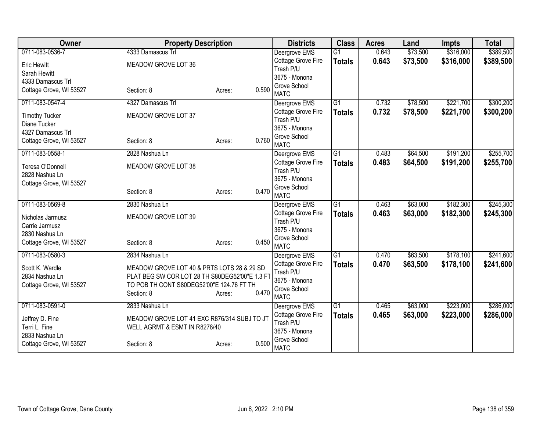| Owner                   | <b>Property Description</b>                    |                 | <b>Districts</b>                | <b>Class</b>    | <b>Acres</b> | Land     | <b>Impts</b> | <b>Total</b> |
|-------------------------|------------------------------------------------|-----------------|---------------------------------|-----------------|--------------|----------|--------------|--------------|
| 0711-083-0536-7         | 4333 Damascus Trl                              |                 | Deergrove EMS                   | $\overline{G1}$ | 0.643        | \$73,500 | \$316,000    | \$389,500    |
| <b>Eric Hewitt</b>      | MEADOW GROVE LOT 36                            |                 | Cottage Grove Fire              | <b>Totals</b>   | 0.643        | \$73,500 | \$316,000    | \$389,500    |
| Sarah Hewitt            |                                                |                 | Trash P/U                       |                 |              |          |              |              |
| 4333 Damascus Trl       |                                                |                 | 3675 - Monona                   |                 |              |          |              |              |
| Cottage Grove, WI 53527 | Section: 8                                     | 0.590<br>Acres: | Grove School                    |                 |              |          |              |              |
|                         |                                                |                 | <b>MATC</b>                     |                 |              |          |              |              |
| 0711-083-0547-4         | 4327 Damascus Trl                              |                 | Deergrove EMS                   | $\overline{G1}$ | 0.732        | \$78,500 | \$221,700    | \$300,200    |
| <b>Timothy Tucker</b>   | MEADOW GROVE LOT 37                            |                 | Cottage Grove Fire              | <b>Totals</b>   | 0.732        | \$78,500 | \$221,700    | \$300,200    |
| Diane Tucker            |                                                |                 | Trash P/U                       |                 |              |          |              |              |
| 4327 Damascus Trl       |                                                |                 | 3675 - Monona                   |                 |              |          |              |              |
| Cottage Grove, WI 53527 | Section: 8                                     | 0.760<br>Acres: | Grove School                    |                 |              |          |              |              |
|                         |                                                |                 | <b>MATC</b>                     |                 |              |          |              |              |
| 0711-083-0558-1         | 2828 Nashua Ln                                 |                 | Deergrove EMS                   | $\overline{G1}$ | 0.483        | \$64,500 | \$191,200    | \$255,700    |
| Teresa O'Donnell        | MEADOW GROVE LOT 38                            |                 | Cottage Grove Fire              | <b>Totals</b>   | 0.483        | \$64,500 | \$191,200    | \$255,700    |
| 2828 Nashua Ln          |                                                |                 | Trash P/U                       |                 |              |          |              |              |
| Cottage Grove, WI 53527 |                                                |                 | 3675 - Monona                   |                 |              |          |              |              |
|                         | Section: 8                                     | 0.470<br>Acres: | Grove School                    |                 |              |          |              |              |
|                         |                                                |                 | <b>MATC</b>                     |                 |              |          |              |              |
| 0711-083-0569-8         | 2830 Nashua Ln                                 |                 | Deergrove EMS                   | $\overline{G1}$ | 0.463        | \$63,000 | \$182,300    | \$245,300    |
| Nicholas Jarmusz        | MEADOW GROVE LOT 39                            |                 | Cottage Grove Fire              | <b>Totals</b>   | 0.463        | \$63,000 | \$182,300    | \$245,300    |
| Carrie Jarmusz          |                                                |                 | Trash P/U                       |                 |              |          |              |              |
| 2830 Nashua Ln          |                                                |                 | 3675 - Monona                   |                 |              |          |              |              |
| Cottage Grove, WI 53527 | Section: 8                                     | 0.450<br>Acres: | Grove School<br><b>MATC</b>     |                 |              |          |              |              |
|                         |                                                |                 |                                 |                 |              |          |              | \$241,600    |
| 0711-083-0580-3         | 2834 Nashua Ln                                 |                 | Deergrove EMS                   | $\overline{G1}$ | 0.470        | \$63,500 | \$178,100    |              |
| Scott K. Wardle         | MEADOW GROVE LOT 40 & PRTS LOTS 28 & 29 SD     |                 | Cottage Grove Fire<br>Trash P/U | <b>Totals</b>   | 0.470        | \$63,500 | \$178,100    | \$241,600    |
| 2834 Nashua Ln          | PLAT BEG SW COR LOT 28 TH S80DEG52'00"E 1.3 FT |                 | 3675 - Monona                   |                 |              |          |              |              |
| Cottage Grove, WI 53527 | TO POB TH CONT S80DEG52'00"E 124.76 FT TH      |                 | Grove School                    |                 |              |          |              |              |
|                         | Section: 8                                     | 0.470<br>Acres: | <b>MATC</b>                     |                 |              |          |              |              |
| 0711-083-0591-0         | 2833 Nashua Ln                                 |                 | Deergrove EMS                   | $\overline{G1}$ | 0.465        | \$63,000 | \$223,000    | \$286,000    |
|                         |                                                |                 | Cottage Grove Fire              | <b>Totals</b>   | 0.465        | \$63,000 | \$223,000    | \$286,000    |
| Jeffrey D. Fine         | MEADOW GROVE LOT 41 EXC R876/314 SUBJ TO JT    |                 | Trash P/U                       |                 |              |          |              |              |
| Terri L. Fine           | WELL AGRMT & ESMT IN R8278/40                  |                 | 3675 - Monona                   |                 |              |          |              |              |
| 2833 Nashua Ln          |                                                |                 | Grove School                    |                 |              |          |              |              |
| Cottage Grove, WI 53527 | Section: 8                                     | 0.500<br>Acres: | <b>MATC</b>                     |                 |              |          |              |              |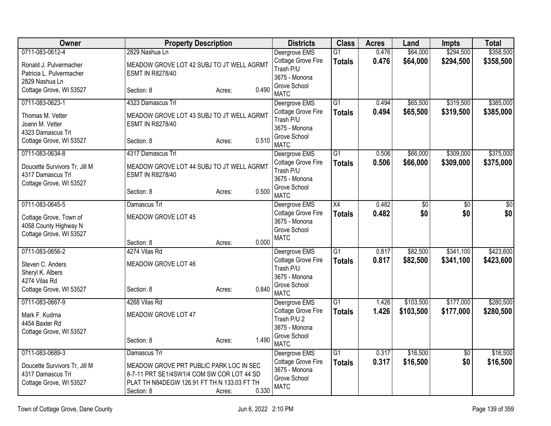| Owner                                                                | <b>Property Description</b>                                          |                 | <b>Districts</b>                                    | <b>Class</b>                     | <b>Acres</b>   | Land                 | <b>Impts</b>           | <b>Total</b>           |
|----------------------------------------------------------------------|----------------------------------------------------------------------|-----------------|-----------------------------------------------------|----------------------------------|----------------|----------------------|------------------------|------------------------|
| 0711-083-0612-4                                                      | 2829 Nashua Ln                                                       |                 | Deergrove EMS<br>Cottage Grove Fire                 | $\overline{G1}$<br><b>Totals</b> | 0.476<br>0.476 | \$64,000<br>\$64,000 | \$294,500<br>\$294,500 | \$358,500<br>\$358,500 |
| Ronald J. Pulvermacher<br>Patricia L. Pulvermacher<br>2829 Nashua Ln | MEADOW GROVE LOT 42 SUBJ TO JT WELL AGRMT<br><b>ESMT IN R8278/40</b> |                 | Trash P/U<br>3675 - Monona                          |                                  |                |                      |                        |                        |
| Cottage Grove, WI 53527                                              | Section: 8                                                           | 0.490<br>Acres: | Grove School<br><b>MATC</b>                         |                                  |                |                      |                        |                        |
| 0711-083-0623-1                                                      | 4323 Damascus Trl                                                    |                 | Deergrove EMS                                       | $\overline{G1}$                  | 0.494          | \$65,500             | \$319,500              | \$385,000              |
| Thomas M. Vetter<br>Joann M. Vetter                                  | MEADOW GROVE LOT 43 SUBJ TO JT WELL AGRMT<br><b>ESMT IN R8278/40</b> |                 | Cottage Grove Fire<br>Trash P/U<br>3675 - Monona    | <b>Totals</b>                    | 0.494          | \$65,500             | \$319,500              | \$385,000              |
| 4323 Damascus Trl<br>Cottage Grove, WI 53527                         | Section: 8                                                           | 0.510<br>Acres: | Grove School<br><b>MATC</b>                         |                                  |                |                      |                        |                        |
| 0711-083-0634-8                                                      | 4317 Damascus Trl                                                    |                 | Deergrove EMS                                       | $\overline{G1}$                  | 0.506          | \$66,000             | \$309,000              | \$375,000              |
| Doucette Survivors Tr, Jill M<br>4317 Damascus Trl                   | MEADOW GROVE LOT 44 SUBJ TO JT WELL AGRMT<br><b>ESMT IN R8278/40</b> |                 | Cottage Grove Fire<br>Trash P/U<br>3675 - Monona    | <b>Totals</b>                    | 0.506          | \$66,000             | \$309,000              | \$375,000              |
| Cottage Grove, WI 53527                                              | Section: 8                                                           | 0.500<br>Acres: | Grove School<br><b>MATC</b>                         |                                  |                |                      |                        |                        |
| 0711-083-0645-5                                                      | Damascus Trl                                                         |                 | Deergrove EMS                                       | X4                               | 0.482          | \$0                  | $\overline{60}$        | $\overline{50}$        |
| Cottage Grove, Town of<br>4058 County Highway N                      | MEADOW GROVE LOT 45                                                  |                 | Cottage Grove Fire<br>3675 - Monona<br>Grove School | <b>Totals</b>                    | 0.482          | \$0                  | \$0                    | \$0                    |
| Cottage Grove, WI 53527                                              | Section: 8                                                           | 0.000<br>Acres: | <b>MATC</b>                                         |                                  |                |                      |                        |                        |
| 0711-083-0656-2                                                      | 4274 Vilas Rd                                                        |                 | Deergrove EMS                                       | $\overline{G1}$                  | 0.817          | \$82,500             | \$341,100              | \$423,600              |
| Steven C. Anders                                                     | MEADOW GROVE LOT 46                                                  |                 | Cottage Grove Fire                                  | <b>Totals</b>                    | 0.817          | \$82,500             | \$341,100              | \$423,600              |
| Sheryl K. Albers                                                     |                                                                      |                 | Trash P/U<br>3675 - Monona                          |                                  |                |                      |                        |                        |
| 4274 Vilas Rd                                                        |                                                                      |                 | Grove School                                        |                                  |                |                      |                        |                        |
| Cottage Grove, WI 53527                                              | Section: 8                                                           | 0.840<br>Acres: | <b>MATC</b>                                         |                                  |                |                      |                        |                        |
| 0711-083-0667-9                                                      | 4268 Vilas Rd                                                        |                 | Deergrove EMS                                       | $\overline{G1}$                  | 1.426          | \$103,500            | \$177,000              | \$280,500              |
| Mark F. Kudrna                                                       | MEADOW GROVE LOT 47                                                  |                 | Cottage Grove Fire                                  | <b>Totals</b>                    | 1.426          | \$103,500            | \$177,000              | \$280,500              |
| 4454 Baxter Rd                                                       |                                                                      |                 | Trash P/U 2<br>3675 - Monona                        |                                  |                |                      |                        |                        |
| Cottage Grove, WI 53527                                              |                                                                      |                 | Grove School                                        |                                  |                |                      |                        |                        |
|                                                                      | Section: 8                                                           | 1.490<br>Acres: | <b>MATC</b>                                         |                                  |                |                      |                        |                        |
| 0711-083-0689-3                                                      | Damascus Trl                                                         |                 | Deergrove EMS                                       | $\overline{G1}$                  | 0.317          | \$16,500             | \$0                    | \$16,500               |
| Doucette Survivors Tr, Jill M                                        | MEADOW GROVE PRT PUBLIC PARK LOC IN SEC                              |                 | Cottage Grove Fire<br>3675 - Monona                 | <b>Totals</b>                    | 0.317          | \$16,500             | \$0                    | \$16,500               |
| 4317 Damascus Trl                                                    | 8-7-11 PRT SE1/4SW1/4 COM SW COR LOT 44 SD                           |                 | Grove School                                        |                                  |                |                      |                        |                        |
| Cottage Grove, WI 53527                                              | PLAT TH N84DEGW 126.91 FT TH N 133.03 FT TH<br>Section: 8            | 0.330<br>Acres: | <b>MATC</b>                                         |                                  |                |                      |                        |                        |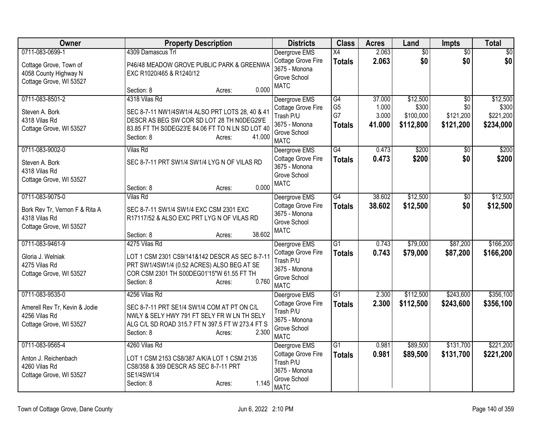| Owner                                                                                         | <b>Property Description</b>                                                                                                                                                                          | <b>Districts</b>                                                                                 | <b>Class</b>                                | <b>Acres</b>                       | Land                                        | <b>Impts</b>                                     | <b>Total</b>                                |
|-----------------------------------------------------------------------------------------------|------------------------------------------------------------------------------------------------------------------------------------------------------------------------------------------------------|--------------------------------------------------------------------------------------------------|---------------------------------------------|------------------------------------|---------------------------------------------|--------------------------------------------------|---------------------------------------------|
| 0711-083-0699-1<br>Cottage Grove, Town of<br>4058 County Highway N<br>Cottage Grove, WI 53527 | 4309 Damascus Trl<br>P46/48 MEADOW GROVE PUBLIC PARK & GREENWA<br>EXC R1020/465 & R1240/12<br>0.000<br>Section: 8<br>Acres:                                                                          | Deergrove EMS<br>Cottage Grove Fire<br>3675 - Monona<br>Grove School<br><b>MATC</b>              | X4<br><b>Totals</b>                         | 2.063<br>2.063                     | $\overline{60}$<br>\$0                      | $\overline{50}$<br>\$0                           | $\sqrt{50}$<br>\$0                          |
| 0711-083-8501-2<br>Steven A. Bork<br>4318 Vilas Rd<br>Cottage Grove, WI 53527                 | 4318 Vilas Rd<br>SEC 8-7-11 NW1/4SW1/4 ALSO PRT LOTS 28, 40 & 41<br>DESCR AS BEG SW COR SD LOT 28 TH N0DEG29'E<br>83.85 FT TH S0DEG23'E 84.06 FT TO N LN SD LOT 40<br>41.000<br>Section: 8<br>Acres: | Deergrove EMS<br>Cottage Grove Fire<br>Trash P/U<br>3675 - Monona<br>Grove School<br><b>MATC</b> | G4<br>G <sub>5</sub><br>G7<br><b>Totals</b> | 37.000<br>1.000<br>3.000<br>41.000 | \$12,500<br>\$300<br>\$100,000<br>\$112,800 | $\overline{50}$<br>\$0<br>\$121,200<br>\$121,200 | \$12,500<br>\$300<br>\$221,200<br>\$234,000 |
| 0711-083-9002-0<br>Steven A. Bork<br>4318 Vilas Rd<br>Cottage Grove, WI 53527                 | <b>Vilas Rd</b><br>SEC 8-7-11 PRT SW1/4 SW1/4 LYG N OF VILAS RD<br>0.000<br>Section: 8<br>Acres:                                                                                                     | Deergrove EMS<br>Cottage Grove Fire<br>3675 - Monona<br>Grove School<br><b>MATC</b>              | $\overline{G4}$<br><b>Totals</b>            | 0.473<br>0.473                     | \$200<br>\$200                              | $\overline{30}$<br>\$0                           | \$200<br>\$200                              |
| 0711-083-9075-0<br>Bork Rev Tr, Vernon F & Rita A<br>4318 Vilas Rd<br>Cottage Grove, WI 53527 | <b>Vilas Rd</b><br>SEC 8-7-11 SW1/4 SW1/4 EXC CSM 2301 EXC<br>R17117/52 & ALSO EXC PRT LYG N OF VILAS RD<br>38.602<br>Section: 8<br>Acres:                                                           | Deergrove EMS<br>Cottage Grove Fire<br>3675 - Monona<br>Grove School<br><b>MATC</b>              | $\overline{G4}$<br><b>Totals</b>            | 38.602<br>38.602                   | \$12,500<br>\$12,500                        | $\overline{50}$<br>\$0                           | \$12,500<br>\$12,500                        |
| 0711-083-9461-9<br>Gloria J. Welniak<br>4275 Vilas Rd<br>Cottage Grove, WI 53527              | 4275 Vilas Rd<br>LOT 1 CSM 2301 CS9/141&142 DESCR AS SEC 8-7-11<br>PRT SW1/4SW1/4 (0.52 ACRES) ALSO BEG AT SE<br>COR CSM 2301 TH S00DEG01'15"W 61.55 FT TH<br>0.760<br>Section: 8<br>Acres:          | Deergrove EMS<br>Cottage Grove Fire<br>Trash P/U<br>3675 - Monona<br>Grove School<br><b>MATC</b> | $\overline{G1}$<br><b>Totals</b>            | 0.743<br>0.743                     | \$79,000<br>\$79,000                        | \$87,200<br>\$87,200                             | \$166,200<br>\$166,200                      |
| 0711-083-9535-0<br>Amerell Rev Tr, Kevin & Jodie<br>4256 Vilas Rd<br>Cottage Grove, WI 53527  | 4256 Vilas Rd<br>SEC 8-7-11 PRT SE1/4 SW1/4 COM AT PT ON C/L<br>NWLY & SELY HWY 791 FT SELY FR W LN TH SELY<br>ALG C/L SD ROAD 315.7 FT N 397.5 FT W 273.4 FT S<br>Section: 8<br>2.300<br>Acres:     | Deergrove EMS<br>Cottage Grove Fire<br>Trash P/U<br>3675 - Monona<br>Grove School<br><b>MATC</b> | $\overline{G1}$<br><b>Totals</b>            | 2.300<br>2.300                     | \$112,500<br>\$112,500                      | \$243,600<br>\$243,600                           | \$356,100<br>\$356,100                      |
| 0711-083-9565-4<br>Anton J. Reichenbach<br>4260 Vilas Rd<br>Cottage Grove, WI 53527           | 4260 Vilas Rd<br>LOT 1 CSM 2153 CS8/387 A/K/A LOT 1 CSM 2135<br>CS8/358 & 359 DESCR AS SEC 8-7-11 PRT<br>SE1/4SW1/4<br>1.145<br>Section: 8<br>Acres:                                                 | Deergrove EMS<br>Cottage Grove Fire<br>Trash P/U<br>3675 - Monona<br>Grove School<br><b>MATC</b> | $\overline{G1}$<br><b>Totals</b>            | 0.981<br>0.981                     | \$89,500<br>\$89,500                        | \$131,700<br>\$131,700                           | \$221,200<br>\$221,200                      |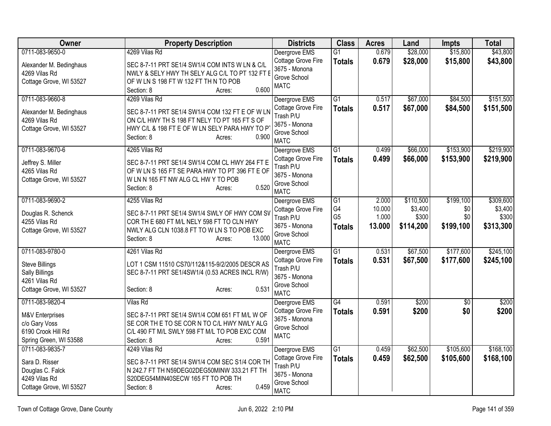| Owner                              | <b>Property Description</b>                                                                      | <b>Districts</b>                    | <b>Class</b>    | <b>Acres</b> | Land      | <b>Impts</b>    | <b>Total</b> |
|------------------------------------|--------------------------------------------------------------------------------------------------|-------------------------------------|-----------------|--------------|-----------|-----------------|--------------|
| 0711-083-9650-0                    | 4269 Vilas Rd                                                                                    | Deergrove EMS                       | $\overline{G1}$ | 0.679        | \$28,000  | \$15,800        | \$43,800     |
| Alexander M. Bedinghaus            | SEC 8-7-11 PRT SE1/4 SW1/4 COM INTS W LN & C/L                                                   | Cottage Grove Fire                  | <b>Totals</b>   | 0.679        | \$28,000  | \$15,800        | \$43,800     |
| 4269 Vilas Rd                      | NWLY & SELY HWY TH SELY ALG C/L TO PT 132 FT E                                                   | 3675 - Monona                       |                 |              |           |                 |              |
| Cottage Grove, WI 53527            | OF W LN S 198 FT W 132 FT TH N TO POB                                                            | Grove School<br><b>MATC</b>         |                 |              |           |                 |              |
|                                    | 0.600<br>Section: 8<br>Acres:                                                                    |                                     |                 |              |           |                 |              |
| 0711-083-9660-8                    | 4269 Vilas Rd                                                                                    | Deergrove EMS                       | $\overline{G1}$ | 0.517        | \$67,000  | \$84,500        | \$151,500    |
| Alexander M. Bedinghaus            | SEC 8-7-11 PRT SE1/4 SW1/4 COM 132 FT E OF W LN                                                  | Cottage Grove Fire                  | <b>Totals</b>   | 0.517        | \$67,000  | \$84,500        | \$151,500    |
| 4269 Vilas Rd                      | ON C/L HWY TH S 198 FT NELY TO PT 165 FT S OF                                                    | Trash P/U<br>3675 - Monona          |                 |              |           |                 |              |
| Cottage Grove, WI 53527            | HWY C/L & 198 FT E OF W LN SELY PARA HWY TO P                                                    | Grove School                        |                 |              |           |                 |              |
|                                    | 0.900<br>Section: 8<br>Acres:                                                                    | <b>MATC</b>                         |                 |              |           |                 |              |
| 0711-083-9670-6                    | 4265 Vilas Rd                                                                                    | Deergrove EMS                       | $\overline{G1}$ | 0.499        | \$66,000  | \$153,900       | \$219,900    |
|                                    |                                                                                                  | Cottage Grove Fire                  | <b>Totals</b>   | 0.499        | \$66,000  | \$153,900       | \$219,900    |
| Jeffrey S. Miller<br>4265 Vilas Rd | SEC 8-7-11 PRT SE1/4 SW1/4 COM CL HWY 264 FT E<br>OF W LN S 165 FT SE PARA HWY TO PT 396 FT E OF | Trash P/U                           |                 |              |           |                 |              |
| Cottage Grove, WI 53527            | W LN N 165 FT NW ALG CL HW Y TO POB                                                              | 3675 - Monona                       |                 |              |           |                 |              |
|                                    | 0.520<br>Section: 8<br>Acres:                                                                    | Grove School                        |                 |              |           |                 |              |
| 0711-083-9690-2                    | 4255 Vilas Rd                                                                                    | <b>MATC</b>                         | G1              | 2.000        | \$110,500 | \$199,100       | \$309,600    |
|                                    |                                                                                                  | Deergrove EMS<br>Cottage Grove Fire | G4              | 10.000       | \$3,400   | \$0             | \$3,400      |
| Douglas R. Schenck                 | SEC 8-7-11 PRT SE1/4 SW1/4 SWLY OF HWY COM SV                                                    | Trash P/U                           | G <sub>5</sub>  | 1.000        | \$300     | \$0             | \$300        |
| 4255 Vilas Rd                      | COR TH E 680 FT M/L NELY 598 FT TO CLN HWY                                                       | 3675 - Monona                       | <b>Totals</b>   | 13.000       | \$114,200 | \$199,100       | \$313,300    |
| Cottage Grove, WI 53527            | NWLY ALG CLN 1038.8 FT TO W LN S TO POB EXC                                                      | Grove School                        |                 |              |           |                 |              |
|                                    | 13.000<br>Section: 8<br>Acres:                                                                   | <b>MATC</b>                         |                 |              |           |                 |              |
| 0711-083-9780-0                    | 4261 Vilas Rd                                                                                    | Deergrove EMS                       | $\overline{G1}$ | 0.531        | \$67,500  | \$177,600       | \$245,100    |
| <b>Steve Billings</b>              | LOT 1 CSM 11510 CS70/112&115-9/2/2005 DESCR AS                                                   | Cottage Grove Fire                  | <b>Totals</b>   | 0.531        | \$67,500  | \$177,600       | \$245,100    |
| Sally Billings                     | SEC 8-7-11 PRT SE1/4SW1/4 (0.53 ACRES INCL R/W)                                                  | Trash P/U                           |                 |              |           |                 |              |
| 4261 Vilas Rd                      |                                                                                                  | 3675 - Monona<br>Grove School       |                 |              |           |                 |              |
| Cottage Grove, WI 53527            | 0.531<br>Section: 8<br>Acres:                                                                    | <b>MATC</b>                         |                 |              |           |                 |              |
| 0711-083-9820-4                    | <b>Vilas Rd</b>                                                                                  | Deergrove EMS                       | G4              | 0.591        | \$200     | $\overline{30}$ | \$200        |
|                                    | SEC 8-7-11 PRT SE1/4 SW1/4 COM 651 FT M/L W OF                                                   | <b>Cottage Grove Fire</b>           | <b>Totals</b>   | 0.591        | \$200     | \$0             | \$200        |
| M&V Enterprises<br>c/o Gary Voss   | SE COR THE TO SE CORN TO C/L HWY NWLY ALG                                                        | 3675 - Monona                       |                 |              |           |                 |              |
| 6190 Crook Hill Rd                 | C/L 490 FT M/L SWLY 598 FT M/L TO POB EXC COM                                                    | Grove School                        |                 |              |           |                 |              |
| Spring Green, WI 53588             | 0.591<br>Section: 8<br>Acres:                                                                    | <b>MATC</b>                         |                 |              |           |                 |              |
| 0711-083-9835-7                    | 4249 Vilas Rd                                                                                    | Deergrove EMS                       | $\overline{G1}$ | 0.459        | \$62,500  | \$105,600       | \$168,100    |
| Sara D. Risser                     | SEC 8-7-11 PRT SE1/4 SW1/4 COM SEC S1/4 COR TH                                                   | Cottage Grove Fire                  | <b>Totals</b>   | 0.459        | \$62,500  | \$105,600       | \$168,100    |
| Douglas C. Falck                   | N 242.7 FT TH N59DEG02DEG50MINW 333.21 FT TH                                                     | Trash P/U                           |                 |              |           |                 |              |
| 4249 Vilas Rd                      | S20DEG54MIN40SECW 165 FT TO POB TH                                                               | 3675 - Monona                       |                 |              |           |                 |              |
| Cottage Grove, WI 53527            | 0.459<br>Section: 8<br>Acres:                                                                    | Grove School                        |                 |              |           |                 |              |
|                                    |                                                                                                  | <b>MATC</b>                         |                 |              |           |                 |              |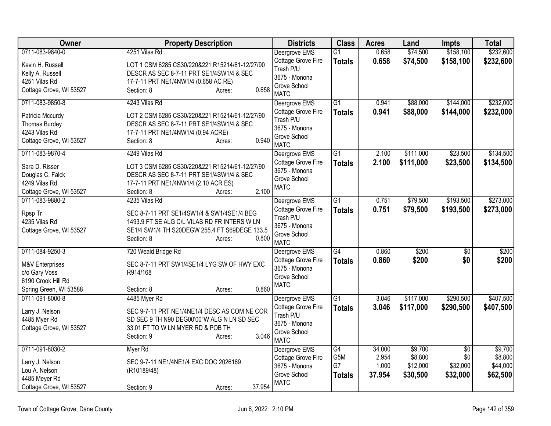| Owner                                                                                               | <b>Property Description</b>                                                                                                                                                                   | <b>Districts</b>                                                                                 | <b>Class</b>                     | <b>Acres</b>                       | Land                                       | <b>Impts</b>                                   | <b>Total</b>                               |
|-----------------------------------------------------------------------------------------------------|-----------------------------------------------------------------------------------------------------------------------------------------------------------------------------------------------|--------------------------------------------------------------------------------------------------|----------------------------------|------------------------------------|--------------------------------------------|------------------------------------------------|--------------------------------------------|
| 0711-083-9840-0                                                                                     | 4251 Vilas Rd                                                                                                                                                                                 | Deergrove EMS                                                                                    | $\overline{G1}$                  | 0.658                              | \$74,500                                   | \$158,100                                      | \$232,600                                  |
| Kevin H. Russell<br>Kelly A. Russell<br>4251 Vilas Rd<br>Cottage Grove, WI 53527                    | LOT 1 CSM 6285 CS30/220&221 R15214/61-12/27/90<br>DESCR AS SEC 8-7-11 PRT SE1/4SW1/4 & SEC<br>17-7-11 PRT NE1/4NW1/4 (0.658 AC RE)<br>0.658<br>Section: 8<br>Acres:                           | Cottage Grove Fire<br>Trash P/U<br>3675 - Monona<br>Grove School<br><b>MATC</b>                  | <b>Totals</b>                    | 0.658                              | \$74,500                                   | \$158,100                                      | \$232,600                                  |
| 0711-083-9850-8                                                                                     | 4243 Vilas Rd                                                                                                                                                                                 | Deergrove EMS                                                                                    | $\overline{G1}$                  | 0.941                              | \$88,000                                   | \$144,000                                      | \$232,000                                  |
| Patricia Mccurdy<br>Thomas Burdey<br>4243 Vilas Rd<br>Cottage Grove, WI 53527                       | LOT 2 CSM 6285 CS30/220&221 R15214/61-12/27/90<br>DESCR AS SEC 8-7-11 PRT SE1/4SW1/4 & SEC<br>17-7-11 PRT NE1/4NW1/4 (0.94 ACRE)<br>0.940<br>Section: 8<br>Acres:                             | Cottage Grove Fire<br>Trash P/U<br>3675 - Monona<br>Grove School<br><b>MATC</b>                  | <b>Totals</b>                    | 0.941                              | \$88,000                                   | \$144,000                                      | \$232,000                                  |
| 0711-083-9870-4<br>Sara D. Risser<br>Douglas C. Falck<br>4249 Vilas Rd<br>Cottage Grove, WI 53527   | 4249 Vilas Rd<br>LOT 3 CSM 6285 CS30/220&221 R15214/61-12/27/90<br>DESCR AS SEC 8-7-11 PRT SE1/4SW1/4 & SEC<br>17-7-11 PRT NE1/4NW1/4 (2.10 ACR ES)<br>2.100<br>Section: 8<br>Acres:          | Deergrove EMS<br>Cottage Grove Fire<br>3675 - Monona<br>Grove School<br><b>MATC</b>              | $\overline{G1}$<br><b>Totals</b> | 2.100<br>2.100                     | \$111,000<br>\$111,000                     | \$23,500<br>\$23,500                           | \$134,500<br>\$134,500                     |
| 0711-083-9880-2<br>Rpsp Tr<br>4235 Vilas Rd<br>Cottage Grove, WI 53527                              | 4235 Vilas Rd<br>SEC 8-7-11 PRT SE1/4SW1/4 & SW1/4SE1/4 BEG<br>1493.9 FT SE ALG C/L VILAS RD FR INTERS W LN<br>SE1/4 SW1/4 TH S20DEGW 255.4 FT S69DEGE 133.5<br>Section: 8<br>0.800<br>Acres: | Deergrove EMS<br>Cottage Grove Fire<br>Trash P/U<br>3675 - Monona<br>Grove School<br><b>MATC</b> | $\overline{G1}$<br><b>Totals</b> | 0.751<br>0.751                     | \$79,500<br>\$79,500                       | \$193,500<br>\$193,500                         | \$273,000<br>\$273,000                     |
| 0711-084-9250-3<br>M&V Enterprises<br>c/o Gary Voss<br>6190 Crook Hill Rd<br>Spring Green, WI 53588 | 720 Weald Bridge Rd<br>SEC 8-7-11 PRT SW1/4SE1/4 LYG SW OF HWY EXC<br>R914/168<br>0.860<br>Section: 8<br>Acres:                                                                               | Deergrove EMS<br>Cottage Grove Fire<br>3675 - Monona<br>Grove School<br><b>MATC</b>              | G4<br><b>Totals</b>              | 0.860<br>0.860                     | \$200<br>\$200                             | $\overline{50}$<br>\$0                         | \$200<br>\$200                             |
| 0711-091-8000-8<br>Larry J. Nelson<br>4485 Myer Rd<br>Cottage Grove, WI 53527                       | 4485 Myer Rd<br>SEC 9-7-11 PRT NE1/4NE1/4 DESC AS COM NE COR<br>SD SEC 9 TH N90 DEG00'00"W ALG N LN SD SEC<br>33.01 FT TO W LN MYER RD & POB TH<br>3.046<br>Section: 9<br>Acres:              | Deergrove EMS<br>Cottage Grove Fire<br>Trash P/U<br>3675 - Monona<br>Grove School<br><b>MATC</b> | G1<br><b>Totals</b>              | 3.046<br>3.046                     | \$117,000<br>\$117,000                     | \$290,500<br>\$290,500                         | \$407,500<br>\$407,500                     |
| 0711-091-8030-2<br>Larry J. Nelson<br>Lou A. Nelson<br>4485 Meyer Rd<br>Cottage Grove, WI 53527     | Myer Rd<br>SEC 9-7-11 NE1/4NE1/4 EXC DOC 2026169<br>(R10189/48)<br>37.954<br>Section: 9<br>Acres:                                                                                             | Deergrove EMS<br><b>Cottage Grove Fire</b><br>3675 - Monona<br>Grove School<br><b>MATC</b>       | G4<br>G5M<br>G7<br><b>Totals</b> | 34.000<br>2.954<br>1.000<br>37.954 | \$9,700<br>\$8,800<br>\$12,000<br>\$30,500 | $\overline{50}$<br>\$0<br>\$32,000<br>\$32,000 | \$9,700<br>\$8,800<br>\$44,000<br>\$62,500 |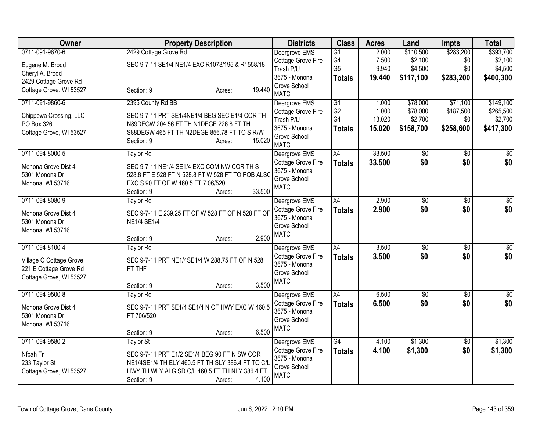| <b>Owner</b>            | <b>Property Description</b>                       | <b>Districts</b>              | <b>Class</b>         | <b>Acres</b> | Land            | <b>Impts</b>    | <b>Total</b>    |
|-------------------------|---------------------------------------------------|-------------------------------|----------------------|--------------|-----------------|-----------------|-----------------|
| 0711-091-9670-6         | 2429 Cottage Grove Rd                             | Deergrove EMS                 | G1                   | 2.000        | \$110,500       | \$283,200       | \$393,700       |
| Eugene M. Brodd         | SEC 9-7-11 SE1/4 NE1/4 EXC R1073/195 & R1558/18   | Cottage Grove Fire            | G4<br>G <sub>5</sub> | 7.500        | \$2,100         | \$0             | \$2,100         |
| Cheryl A. Brodd         |                                                   | Trash P/U<br>3675 - Monona    |                      | 9.940        | \$4,500         | \$0             | \$4,500         |
| 2429 Cottage Grove Rd   |                                                   | Grove School                  | <b>Totals</b>        | 19.440       | \$117,100       | \$283,200       | \$400,300       |
| Cottage Grove, WI 53527 | 19.440<br>Section: 9<br>Acres:                    | <b>MATC</b>                   |                      |              |                 |                 |                 |
| 0711-091-9860-6         | 2395 County Rd BB                                 | Deergrove EMS                 | G1                   | 1.000        | \$78,000        | \$71,100        | \$149,100       |
| Chippewa Crossing, LLC  | SEC 9-7-11 PRT SE1/4NE1/4 BEG SEC E1/4 COR TH     | Cottage Grove Fire            | G <sub>2</sub>       | 1.000        | \$78,000        | \$187,500       | \$265,500       |
| PO Box 326              | N89DEGW 204.56 FT TH N1DEGE 226.8 FT TH           | Trash P/U                     | G4                   | 13.020       | \$2,700         | \$0             | \$2,700         |
| Cottage Grove, WI 53527 | S88DEGW 465 FT TH N2DEGE 856.78 FT TO S R/W       | 3675 - Monona<br>Grove School | <b>Totals</b>        | 15.020       | \$158,700       | \$258,600       | \$417,300       |
|                         | 15.020<br>Section: 9<br>Acres:                    | <b>MATC</b>                   |                      |              |                 |                 |                 |
| 0711-094-8000-5         | <b>Taylor Rd</b>                                  | Deergrove EMS                 | X4                   | 33.500       | \$0             | $\sqrt[6]{30}$  | \$0             |
| Monona Grove Dist 4     | SEC 9-7-11 NE1/4 SE1/4 EXC COM NW COR TH S        | Cottage Grove Fire            | <b>Totals</b>        | 33.500       | \$0             | \$0             | \$0             |
| 5301 Monona Dr          | 528.8 FT E 528 FT N 528.8 FT W 528 FT TO POB ALSO | 3675 - Monona                 |                      |              |                 |                 |                 |
| Monona, WI 53716        | EXC S 90 FT OF W 460.5 FT 7 06/520                | Grove School<br><b>MATC</b>   |                      |              |                 |                 |                 |
|                         | 33.500<br>Section: 9<br>Acres:                    |                               |                      |              |                 |                 |                 |
| 0711-094-8080-9         | Taylor Rd                                         | Deergrove EMS                 | X4                   | 2.900        | \$0             | \$0             | $\sqrt{50}$     |
| Monona Grove Dist 4     | SEC 9-7-11 E 239.25 FT OF W 528 FT OF N 528 FT OF | Cottage Grove Fire            | <b>Totals</b>        | 2.900        | \$0             | \$0             | \$0             |
| 5301 Monona Dr          | <b>NE1/4 SE1/4</b>                                | 3675 - Monona                 |                      |              |                 |                 |                 |
| Monona, WI 53716        |                                                   | Grove School<br><b>MATC</b>   |                      |              |                 |                 |                 |
|                         | 2.900<br>Section: 9<br>Acres:                     |                               |                      |              |                 |                 |                 |
| 0711-094-8100-4         | <b>Taylor Rd</b>                                  | Deergrove EMS                 | $\overline{X4}$      | 3.500        | $\sqrt{$0}$     | \$0             | $\sqrt{50}$     |
| Village O Cottage Grove | SEC 9-7-11 PRT NE1/4SE1/4 W 288.75 FT OF N 528    | Cottage Grove Fire            | <b>Totals</b>        | 3.500        | \$0             | \$0             | \$0             |
| 221 E Cottage Grove Rd  | FT THF                                            | 3675 - Monona                 |                      |              |                 |                 |                 |
| Cottage Grove, WI 53527 |                                                   | Grove School<br><b>MATC</b>   |                      |              |                 |                 |                 |
|                         | 3.500<br>Section: 9<br>Acres:                     |                               |                      |              |                 |                 |                 |
| 0711-094-9500-8         | Taylor Rd                                         | Deergrove EMS                 | $\overline{X4}$      | 6.500        | $\overline{50}$ | $\overline{30}$ | $\overline{30}$ |
| Monona Grove Dist 4     | SEC 9-7-11 PRT SE1/4 SE1/4 N OF HWY EXC W 460.5   | Cottage Grove Fire            | <b>Totals</b>        | 6.500        | \$0             | \$0             | \$0             |
| 5301 Monona Dr          | FT 706/520                                        | 3675 - Monona                 |                      |              |                 |                 |                 |
| Monona, WI 53716        |                                                   | Grove School<br><b>MATC</b>   |                      |              |                 |                 |                 |
|                         | 6.500<br>Section: 9<br>Acres:                     |                               |                      |              |                 |                 |                 |
| 0711-094-9580-2         | <b>Taylor St</b>                                  | Deergrove EMS                 | G4                   | 4.100        | \$1,300         | $\overline{50}$ | \$1,300         |
| Nfpah Tr                | SEC 9-7-11 PRT E1/2 SE1/4 BEG 90 FT N SW COR      | Cottage Grove Fire            | <b>Totals</b>        | 4.100        | \$1,300         | \$0             | \$1,300         |
| 233 Taylor St           | NE1/4SE1/4 TH ELY 460.5 FT TH SLY 386.4 FT TO C/L | 3675 - Monona                 |                      |              |                 |                 |                 |
| Cottage Grove, WI 53527 | HWY TH WLY ALG SD C/L 460.5 FT TH NLY 386.4 FT    | Grove School<br><b>MATC</b>   |                      |              |                 |                 |                 |
|                         | 4.100<br>Section: 9<br>Acres:                     |                               |                      |              |                 |                 |                 |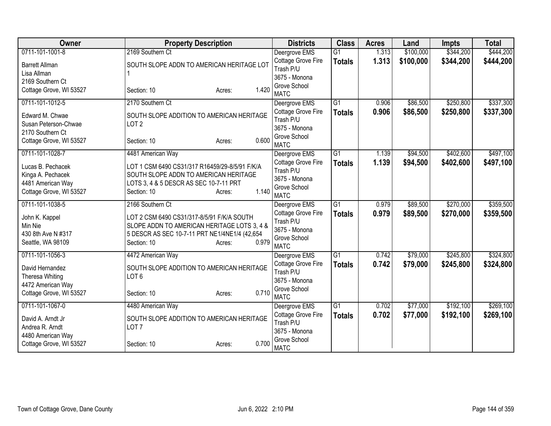| Owner                                   | <b>Property Description</b>                                                     | <b>Districts</b>                | <b>Class</b>    | <b>Acres</b> | Land      | <b>Impts</b> | <b>Total</b> |
|-----------------------------------------|---------------------------------------------------------------------------------|---------------------------------|-----------------|--------------|-----------|--------------|--------------|
| 0711-101-1001-8                         | 2169 Southern Ct                                                                | Deergrove EMS                   | $\overline{G1}$ | 1.313        | \$100,000 | \$344,200    | \$444,200    |
| <b>Barrett Allman</b>                   | SOUTH SLOPE ADDN TO AMERICAN HERITAGE LOT                                       | Cottage Grove Fire              | <b>Totals</b>   | 1.313        | \$100,000 | \$344,200    | \$444,200    |
| Lisa Allman                             |                                                                                 | Trash P/U                       |                 |              |           |              |              |
| 2169 Southern Ct                        |                                                                                 | 3675 - Monona                   |                 |              |           |              |              |
| Cottage Grove, WI 53527                 | 1.420<br>Section: 10<br>Acres:                                                  | Grove School<br><b>MATC</b>     |                 |              |           |              |              |
| 0711-101-1012-5                         | 2170 Southern Ct                                                                | Deergrove EMS                   | $\overline{G1}$ | 0.906        | \$86,500  | \$250,800    | \$337,300    |
| Edward M. Chwae<br>Susan Peterson-Chwae | SOUTH SLOPE ADDITION TO AMERICAN HERITAGE<br>LOT <sub>2</sub>                   | Cottage Grove Fire<br>Trash P/U | <b>Totals</b>   | 0.906        | \$86,500  | \$250,800    | \$337,300    |
| 2170 Southern Ct                        |                                                                                 | 3675 - Monona                   |                 |              |           |              |              |
| Cottage Grove, WI 53527                 | 0.600<br>Section: 10<br>Acres:                                                  | Grove School<br><b>MATC</b>     |                 |              |           |              |              |
| 0711-101-1028-7                         | 4481 American Way                                                               | Deergrove EMS                   | G1              | 1.139        | \$94,500  | \$402,600    | \$497,100    |
| Lucas B. Pechacek                       | LOT 1 CSM 6490 CS31/317 R16459/29-8/5/91 F/K/A                                  | Cottage Grove Fire<br>Trash P/U | <b>Totals</b>   | 1.139        | \$94,500  | \$402,600    | \$497,100    |
| Kinga A. Pechacek<br>4481 American Way  | SOUTH SLOPE ADDN TO AMERICAN HERITAGE<br>LOTS 3, 4 & 5 DESCR AS SEC 10-7-11 PRT | 3675 - Monona                   |                 |              |           |              |              |
| Cottage Grove, WI 53527                 | 1.140<br>Section: 10<br>Acres:                                                  | Grove School                    |                 |              |           |              |              |
|                                         |                                                                                 | <b>MATC</b>                     |                 |              |           |              |              |
| 0711-101-1038-5                         | 2166 Southern Ct                                                                | Deergrove EMS                   | $\overline{G1}$ | 0.979        | \$89,500  | \$270,000    | \$359,500    |
| John K. Kappel                          | LOT 2 CSM 6490 CS31/317-8/5/91 F/K/A SOUTH                                      | Cottage Grove Fire              | <b>Totals</b>   | 0.979        | \$89,500  | \$270,000    | \$359,500    |
| Min Nie                                 | SLOPE ADDN TO AMERICAN HERITAGE LOTS 3, 4 &                                     | Trash P/U<br>3675 - Monona      |                 |              |           |              |              |
| 430 8th Ave N #317                      | 5 DESCR AS SEC 10-7-11 PRT NE1/4NE1/4 (42,654                                   | Grove School                    |                 |              |           |              |              |
| Seattle, WA 98109                       | 0.979<br>Section: 10<br>Acres:                                                  | <b>MATC</b>                     |                 |              |           |              |              |
| 0711-101-1056-3                         | 4472 American Way                                                               | Deergrove EMS                   | $\overline{G1}$ | 0.742        | \$79,000  | \$245,800    | \$324,800    |
| David Hernandez                         | SOUTH SLOPE ADDITION TO AMERICAN HERITAGE                                       | Cottage Grove Fire              | <b>Totals</b>   | 0.742        | \$79,000  | \$245,800    | \$324,800    |
| Theresa Whiting                         | LOT <sub>6</sub>                                                                | Trash P/U                       |                 |              |           |              |              |
| 4472 American Way                       |                                                                                 | 3675 - Monona                   |                 |              |           |              |              |
| Cottage Grove, WI 53527                 | 0.710<br>Section: 10<br>Acres:                                                  | Grove School                    |                 |              |           |              |              |
|                                         |                                                                                 | <b>MATC</b>                     |                 |              |           |              |              |
| 0711-101-1067-0                         | 4480 American Way                                                               | Deergrove EMS                   | G1              | 0.702        | \$77,000  | \$192,100    | \$269,100    |
| David A. Arndt Jr                       | SOUTH SLOPE ADDITION TO AMERICAN HERITAGE                                       | Cottage Grove Fire<br>Trash P/U | <b>Totals</b>   | 0.702        | \$77,000  | \$192,100    | \$269,100    |
| Andrea R. Arndt                         | LOT <sub>7</sub>                                                                | 3675 - Monona                   |                 |              |           |              |              |
| 4480 American Way                       |                                                                                 | Grove School                    |                 |              |           |              |              |
| Cottage Grove, WI 53527                 | 0.700<br>Section: 10<br>Acres:                                                  | <b>MATC</b>                     |                 |              |           |              |              |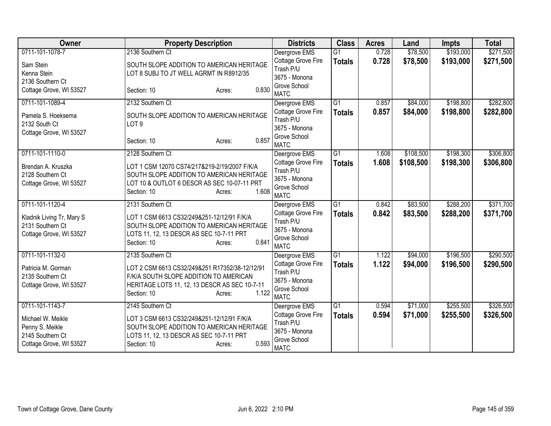| Owner                                                                               | <b>Property Description</b>                                                                                                                                                 | <b>Districts</b>                                                                | <b>Class</b>    | <b>Acres</b> | Land      | <b>Impts</b> | <b>Total</b> |
|-------------------------------------------------------------------------------------|-----------------------------------------------------------------------------------------------------------------------------------------------------------------------------|---------------------------------------------------------------------------------|-----------------|--------------|-----------|--------------|--------------|
| 0711-101-1078-7                                                                     | 2136 Southern Ct                                                                                                                                                            | Deergrove EMS                                                                   | $\overline{G1}$ | 0.728        | \$78,500  | \$193,000    | \$271,500    |
| Sam Stein<br>Kenna Stein<br>2136 Southern Ct                                        | SOUTH SLOPE ADDITION TO AMERICAN HERITAGE<br>LOT 8 SUBJ TO JT WELL AGRMT IN R8912/35                                                                                        | Cottage Grove Fire<br>Trash P/U<br>3675 - Monona                                | <b>Totals</b>   | 0.728        | \$78,500  | \$193,000    | \$271,500    |
| Cottage Grove, WI 53527                                                             | 0.830<br>Section: 10<br>Acres:                                                                                                                                              | Grove School<br><b>MATC</b>                                                     |                 |              |           |              |              |
| 0711-101-1089-4                                                                     | 2132 Southern Ct                                                                                                                                                            | Deergrove EMS                                                                   | $\overline{G1}$ | 0.857        | \$84,000  | \$198,800    | \$282,800    |
| Pamela S. Hoeksema<br>2132 South Ct<br>Cottage Grove, WI 53527                      | SOUTH SLOPE ADDITION TO AMERICAN HERITAGE<br>LOT <sub>9</sub>                                                                                                               | Cottage Grove Fire<br>Trash P/U<br>3675 - Monona                                | <b>Totals</b>   | 0.857        | \$84,000  | \$198,800    | \$282,800    |
|                                                                                     | 0.857<br>Section: 10<br>Acres:                                                                                                                                              | Grove School<br><b>MATC</b>                                                     |                 |              |           |              |              |
| 0711-101-1110-0                                                                     | 2128 Southern Ct                                                                                                                                                            | Deergrove EMS                                                                   | $\overline{G1}$ | 1.608        | \$108,500 | \$198,300    | \$306,800    |
| Brendan A. Kruszka<br>2128 Southern Ct<br>Cottage Grove, WI 53527                   | LOT 1 CSM 12070 CS74/217&219-2/19/2007 F/K/A<br>SOUTH SLOPE ADDITION TO AMERICAN HERITAGE<br>LOT 10 & OUTLOT 6 DESCR AS SEC 10-07-11 PRT<br>1.608<br>Section: 10<br>Acres:  | Cottage Grove Fire<br>Trash P/U<br>3675 - Monona<br>Grove School<br><b>MATC</b> | <b>Totals</b>   | 1.608        | \$108,500 | \$198,300    | \$306,800    |
| 0711-101-1120-4                                                                     | 2131 Southern Ct                                                                                                                                                            | Deergrove EMS                                                                   | G1              | 0.842        | \$83,500  | \$288,200    | \$371,700    |
| Kladnik Living Tr, Mary S<br>2131 Southern Ct<br>Cottage Grove, WI 53527            | LOT 1 CSM 6613 CS32/249&251-12/12/91 F/K/A<br>SOUTH SLOPE ADDITION TO AMERICAN HERITAGE<br>LOTS 11, 12, 13 DESCR AS SEC 10-7-11 PRT<br>0.841<br>Section: 10<br>Acres:       | Cottage Grove Fire<br>Trash P/U<br>3675 - Monona<br>Grove School<br><b>MATC</b> | <b>Totals</b>   | 0.842        | \$83,500  | \$288,200    | \$371,700    |
| 0711-101-1132-0                                                                     | 2135 Southern Ct                                                                                                                                                            | Deergrove EMS                                                                   | $\overline{G1}$ | 1.122        | \$94,000  | \$196,500    | \$290,500    |
| Patricia M. Gorman<br>2135 Southern Ct<br>Cottage Grove, WI 53527                   | LOT 2 CSM 6613 CS32/249&251 R17352/38-12/12/91<br>F/K/A SOUTH SLOPE ADDITION TO AMERICAN<br>HERITAGE LOTS 11, 12, 13 DESCR AS SEC 10-7-11<br>1.122<br>Section: 10<br>Acres: | Cottage Grove Fire<br>Trash P/U<br>3675 - Monona<br>Grove School<br><b>MATC</b> | <b>Totals</b>   | 1.122        | \$94,000  | \$196,500    | \$290,500    |
| 0711-101-1143-7                                                                     | 2145 Southern Ct                                                                                                                                                            | Deergrove EMS                                                                   | G1              | 0.594        | \$71,000  | \$255,500    | \$326,500    |
| Michael W. Meikle<br>Penny S. Meikle<br>2145 Southern Ct<br>Cottage Grove, WI 53527 | LOT 3 CSM 6613 CS32/249&251-12/12/91 F/K/A<br>SOUTH SLOPE ADDITION TO AMERICAN HERITAGE<br>LOTS 11, 12, 13 DESCR AS SEC 10-7-11 PRT<br>0.593<br>Section: 10<br>Acres:       | Cottage Grove Fire<br>Trash P/U<br>3675 - Monona<br>Grove School<br><b>MATC</b> | <b>Totals</b>   | 0.594        | \$71,000  | \$255,500    | \$326,500    |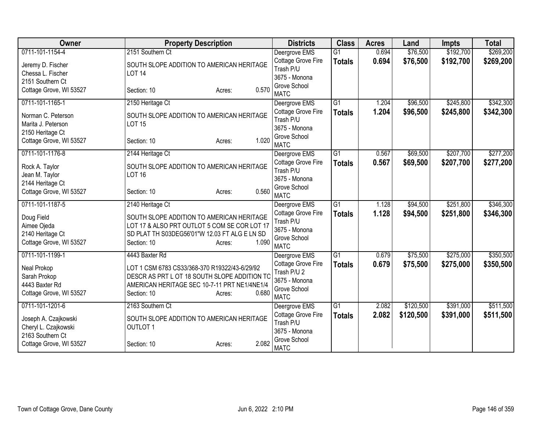| Owner                                                                    | <b>Property Description</b>                                                                                                                                                     | <b>Districts</b>                                                                  | <b>Class</b>    | <b>Acres</b> | Land      | <b>Impts</b> | <b>Total</b> |
|--------------------------------------------------------------------------|---------------------------------------------------------------------------------------------------------------------------------------------------------------------------------|-----------------------------------------------------------------------------------|-----------------|--------------|-----------|--------------|--------------|
| 0711-101-1154-4                                                          | 2151 Southern Ct                                                                                                                                                                | Deergrove EMS                                                                     | $\overline{G1}$ | 0.694        | \$76,500  | \$192,700    | \$269,200    |
| Jeremy D. Fischer<br>Chessa L. Fischer<br>2151 Southern Ct               | SOUTH SLOPE ADDITION TO AMERICAN HERITAGE<br><b>LOT 14</b>                                                                                                                      | Cottage Grove Fire<br>Trash P/U<br>3675 - Monona                                  | <b>Totals</b>   | 0.694        | \$76,500  | \$192,700    | \$269,200    |
| Cottage Grove, WI 53527                                                  | 0.570<br>Section: 10<br>Acres:                                                                                                                                                  | Grove School<br><b>MATC</b>                                                       |                 |              |           |              |              |
| 0711-101-1165-1                                                          | 2150 Heritage Ct                                                                                                                                                                | Deergrove EMS                                                                     | $\overline{G1}$ | 1.204        | \$96,500  | \$245,800    | \$342,300    |
| Norman C. Peterson<br>Marita J. Peterson<br>2150 Heritage Ct             | SOUTH SLOPE ADDITION TO AMERICAN HERITAGE<br><b>LOT 15</b>                                                                                                                      | Cottage Grove Fire<br>Trash P/U<br>3675 - Monona                                  | <b>Totals</b>   | 1.204        | \$96,500  | \$245,800    | \$342,300    |
| Cottage Grove, WI 53527                                                  | 1.020<br>Section: 10<br>Acres:                                                                                                                                                  | Grove School<br><b>MATC</b>                                                       |                 |              |           |              |              |
| 0711-101-1176-8                                                          | 2144 Heritage Ct                                                                                                                                                                | Deergrove EMS                                                                     | $\overline{G1}$ | 0.567        | \$69,500  | \$207,700    | \$277,200    |
| Rock A. Taylor<br>Jean M. Taylor<br>2144 Heritage Ct                     | SOUTH SLOPE ADDITION TO AMERICAN HERITAGE<br><b>LOT 16</b>                                                                                                                      | Cottage Grove Fire<br>Trash P/U<br>3675 - Monona                                  | <b>Totals</b>   | 0.567        | \$69,500  | \$207,700    | \$277,200    |
| Cottage Grove, WI 53527                                                  | 0.560<br>Section: 10<br>Acres:                                                                                                                                                  | Grove School<br><b>MATC</b>                                                       |                 |              |           |              |              |
| 0711-101-1187-5                                                          | 2140 Heritage Ct                                                                                                                                                                | Deergrove EMS                                                                     | $\overline{G1}$ | 1.128        | \$94,500  | \$251,800    | \$346,300    |
| Doug Field<br>Aimee Ojeda<br>2140 Heritage Ct<br>Cottage Grove, WI 53527 | SOUTH SLOPE ADDITION TO AMERICAN HERITAGE<br>LOT 17 & ALSO PRT OUTLOT 5 COM SE COR LOT 17<br>SD PLAT TH S03DEG56'01"W 12.03 FT ALG E LN SD<br>1.090<br>Section: 10<br>Acres:    | Cottage Grove Fire<br>Trash P/U<br>3675 - Monona<br>Grove School<br><b>MATC</b>   | <b>Totals</b>   | 1.128        | \$94,500  | \$251,800    | \$346,300    |
| 0711-101-1199-1                                                          | 4443 Baxter Rd                                                                                                                                                                  | Deergrove EMS                                                                     | $\overline{G1}$ | 0.679        | \$75,500  | \$275,000    | \$350,500    |
| Neal Prokop<br>Sarah Prokop<br>4443 Baxter Rd<br>Cottage Grove, WI 53527 | LOT 1 CSM 6783 CS33/368-370 R19322/43-6/29/92<br>DESCR AS PRT L OT 18 SOUTH SLOPE ADDITION TO<br>AMERICAN HERITAGE SEC 10-7-11 PRT NE1/4NE1/4<br>0.680<br>Section: 10<br>Acres: | Cottage Grove Fire<br>Trash P/U 2<br>3675 - Monona<br>Grove School<br><b>MATC</b> | <b>Totals</b>   | 0.679        | \$75,500  | \$275,000    | \$350,500    |
| 0711-101-1201-6                                                          | 2163 Southern Ct                                                                                                                                                                | Deergrove EMS                                                                     | G <sub>1</sub>  | 2.082        | \$120,500 | \$391,000    | \$511,500    |
| Joseph A. Czajkowski<br>Cheryl L. Czajkowski<br>2163 Southern Ct         | SOUTH SLOPE ADDITION TO AMERICAN HERITAGE<br><b>OUTLOT 1</b>                                                                                                                    | Cottage Grove Fire<br>Trash P/U<br>3675 - Monona                                  | <b>Totals</b>   | 2.082        | \$120,500 | \$391,000    | \$511,500    |
| Cottage Grove, WI 53527                                                  | 2.082<br>Section: 10<br>Acres:                                                                                                                                                  | Grove School<br><b>MATC</b>                                                       |                 |              |           |              |              |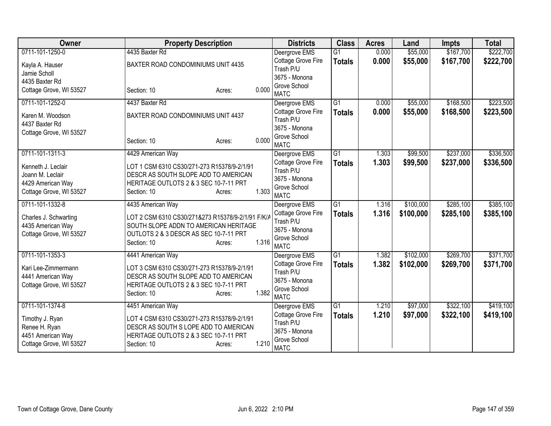| Owner                   | <b>Property Description</b>                       | <b>Districts</b>                    | <b>Class</b>    | <b>Acres</b> | Land      | <b>Impts</b> | <b>Total</b> |
|-------------------------|---------------------------------------------------|-------------------------------------|-----------------|--------------|-----------|--------------|--------------|
| 0711-101-1250-0         | 4435 Baxter Rd                                    | Deergrove EMS                       | $\overline{G1}$ | 0.000        | \$55,000  | \$167,700    | \$222,700    |
| Kayla A. Hauser         | BAXTER ROAD CONDOMINIUMS UNIT 4435                | Cottage Grove Fire                  | <b>Totals</b>   | 0.000        | \$55,000  | \$167,700    | \$222,700    |
| Jamie Scholl            |                                                   | Trash P/U                           |                 |              |           |              |              |
| 4435 Baxter Rd          |                                                   | 3675 - Monona                       |                 |              |           |              |              |
| Cottage Grove, WI 53527 | 0.000<br>Section: 10<br>Acres:                    | Grove School<br><b>MATC</b>         |                 |              |           |              |              |
| 0711-101-1252-0         | 4437 Baxter Rd                                    | Deergrove EMS                       | $\overline{G1}$ | 0.000        | \$55,000  | \$168,500    | \$223,500    |
| Karen M. Woodson        | BAXTER ROAD CONDOMINIUMS UNIT 4437                | Cottage Grove Fire                  | <b>Totals</b>   | 0.000        | \$55,000  | \$168,500    | \$223,500    |
| 4437 Baxter Rd          |                                                   | Trash P/U                           |                 |              |           |              |              |
| Cottage Grove, WI 53527 |                                                   | 3675 - Monona                       |                 |              |           |              |              |
|                         | 0.000<br>Section: 10<br>Acres:                    | Grove School<br><b>MATC</b>         |                 |              |           |              |              |
| 0711-101-1311-3         | 4429 American Way                                 | Deergrove EMS                       | $\overline{G1}$ | 1.303        | \$99,500  | \$237,000    | \$336,500    |
| Kenneth J. Leclair      | LOT 1 CSM 6310 CS30/271-273 R15378/9-2/1/91       | Cottage Grove Fire                  | <b>Totals</b>   | 1.303        | \$99,500  | \$237,000    | \$336,500    |
| Joann M. Leclair        | DESCR AS SOUTH SLOPE ADD TO AMERICAN              | Trash P/U                           |                 |              |           |              |              |
| 4429 American Way       | HERITAGE OUTLOTS 2 & 3 SEC 10-7-11 PRT            | 3675 - Monona                       |                 |              |           |              |              |
| Cottage Grove, WI 53527 | 1.303<br>Section: 10<br>Acres:                    | Grove School<br><b>MATC</b>         |                 |              |           |              |              |
| 0711-101-1332-8         | 4435 American Way                                 | Deergrove EMS                       | $\overline{G1}$ | 1.316        | \$100,000 | \$285,100    | \$385,100    |
|                         |                                                   | Cottage Grove Fire                  |                 | 1.316        | \$100,000 | \$285,100    | \$385,100    |
| Charles J. Schwarting   | LOT 2 CSM 6310 CS30/271&273 R15378/9-2/1/91 F/K/A | Trash P/U                           | <b>Totals</b>   |              |           |              |              |
| 4435 American Way       | SOUTH SLOPE ADDN TO AMERICAN HERITAGE             | 3675 - Monona                       |                 |              |           |              |              |
| Cottage Grove, WI 53527 | OUTLOTS 2 & 3 DESCR AS SEC 10-7-11 PRT            | Grove School                        |                 |              |           |              |              |
|                         | 1.316<br>Section: 10<br>Acres:                    | <b>MATC</b>                         |                 |              |           |              |              |
| 0711-101-1353-3         | 4441 American Way                                 | Deergrove EMS                       | $\overline{G1}$ | 1.382        | \$102,000 | \$269,700    | \$371,700    |
| Kari Lee-Zimmermann     | LOT 3 CSM 6310 CS30/271-273 R15378/9-2/1/91       | Cottage Grove Fire                  | <b>Totals</b>   | 1.382        | \$102,000 | \$269,700    | \$371,700    |
| 4441 American Way       | DESCR AS SOUTH SLOPE ADD TO AMERICAN              | Trash P/U                           |                 |              |           |              |              |
| Cottage Grove, WI 53527 | HERITAGE OUTLOTS 2 & 3 SEC 10-7-11 PRT            | 3675 - Monona                       |                 |              |           |              |              |
|                         | 1.382<br>Section: 10<br>Acres:                    | Grove School                        |                 |              |           |              |              |
| 0711-101-1374-8         | 4451 American Way                                 | <b>MATC</b>                         | G <sub>1</sub>  | 1.210        | \$97,000  | \$322,100    | \$419,100    |
|                         |                                                   | Deergrove EMS<br>Cottage Grove Fire | <b>Totals</b>   | 1.210        | \$97,000  | \$322,100    | \$419,100    |
| Timothy J. Ryan         | LOT 4 CSM 6310 CS30/271-273 R15378/9-2/1/91       | Trash P/U                           |                 |              |           |              |              |
| Renee H. Ryan           | DESCR AS SOUTH S LOPE ADD TO AMERICAN             | 3675 - Monona                       |                 |              |           |              |              |
| 4451 American Way       | HERITAGE OUTLOTS 2 & 3 SEC 10-7-11 PRT            | Grove School                        |                 |              |           |              |              |
| Cottage Grove, WI 53527 | 1.210<br>Section: 10<br>Acres:                    | <b>MATC</b>                         |                 |              |           |              |              |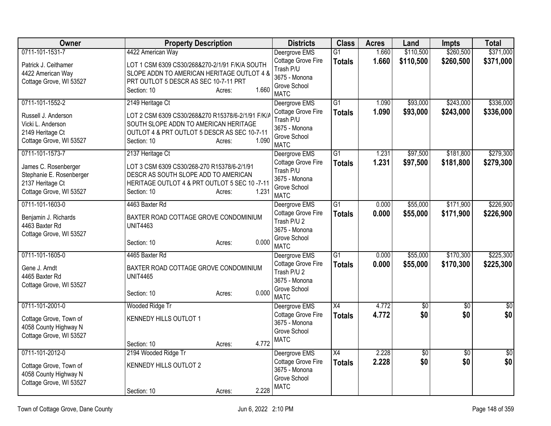| <b>Owner</b>                                                                                    | <b>Property Description</b>                                                                                                                                                  | <b>Districts</b>                                                                  | <b>Class</b>    | <b>Acres</b> | Land            | <b>Impts</b>    | <b>Total</b>    |
|-------------------------------------------------------------------------------------------------|------------------------------------------------------------------------------------------------------------------------------------------------------------------------------|-----------------------------------------------------------------------------------|-----------------|--------------|-----------------|-----------------|-----------------|
| 0711-101-1531-7                                                                                 | 4422 American Way                                                                                                                                                            | Deergrove EMS                                                                     | $\overline{G1}$ | 1.660        | \$110,500       | \$260,500       | \$371,000       |
| Patrick J. Ceithamer<br>4422 American Way<br>Cottage Grove, WI 53527                            | LOT 1 CSM 6309 CS30/268&270-2/1/91 F/K/A SOUTH<br>SLOPE ADDN TO AMERICAN HERITAGE OUTLOT 4 &<br>PRT OUTLOT 5 DESCR AS SEC 10-7-11 PRT<br>1.660<br>Section: 10<br>Acres:      | Cottage Grove Fire<br>Trash P/U<br>3675 - Monona<br>Grove School<br><b>MATC</b>   | <b>Totals</b>   | 1.660        | \$110,500       | \$260,500       | \$371,000       |
| 0711-101-1552-2                                                                                 | 2149 Heritage Ct                                                                                                                                                             | Deergrove EMS                                                                     | $\overline{G1}$ | 1.090        | \$93,000        | \$243,000       | \$336,000       |
| Russell J. Anderson<br>Vicki L. Anderson<br>2149 Heritage Ct<br>Cottage Grove, WI 53527         | LOT 2 CSM 6309 CS30/268&270 R15378/6-2/1/91 F/K/A<br>SOUTH SLOPE ADDN TO AMERICAN HERITAGE<br>OUTLOT 4 & PRT OUTLOT 5 DESCR AS SEC 10-7-11<br>1.090<br>Section: 10<br>Acres: | Cottage Grove Fire<br>Trash P/U<br>3675 - Monona<br>Grove School<br><b>MATC</b>   | <b>Totals</b>   | 1.090        | \$93,000        | \$243,000       | \$336,000       |
| 0711-101-1573-7                                                                                 | 2137 Heritage Ct                                                                                                                                                             | Deergrove EMS                                                                     | $\overline{G1}$ | 1.231        | \$97,500        | \$181,800       | \$279,300       |
| James C. Rosenberger<br>Stephanie E. Rosenberger<br>2137 Heritage Ct<br>Cottage Grove, WI 53527 | LOT 3 CSM 6309 CS30/268-270 R15378/6-2/1/91<br>DESCR AS SOUTH SLOPE ADD TO AMERICAN<br>HERITAGE OUTLOT 4 & PRT OUTLOT 5 SEC 10-7-11<br>1.231<br>Section: 10<br>Acres:        | Cottage Grove Fire<br>Trash P/U<br>3675 - Monona<br>Grove School<br><b>MATC</b>   | <b>Totals</b>   | 1.231        | \$97,500        | \$181,800       | \$279,300       |
| 0711-101-1603-0                                                                                 | 4463 Baxter Rd                                                                                                                                                               | Deergrove EMS                                                                     | G1              | 0.000        | \$55,000        | \$171,900       | \$226,900       |
| Benjamin J. Richards<br>4463 Baxter Rd<br>Cottage Grove, WI 53527                               | BAXTER ROAD COTTAGE GROVE CONDOMINIUM<br><b>UNIT4463</b><br>0.000<br>Section: 10<br>Acres:                                                                                   | Cottage Grove Fire<br>Trash P/U 2<br>3675 - Monona<br>Grove School<br><b>MATC</b> | <b>Totals</b>   | 0.000        | \$55,000        | \$171,900       | \$226,900       |
| 0711-101-1605-0                                                                                 | 4465 Baxter Rd                                                                                                                                                               | Deergrove EMS                                                                     | $\overline{G1}$ | 0.000        | \$55,000        | \$170,300       | \$225,300       |
| Gene J. Arndt<br>4465 Baxter Rd<br>Cottage Grove, WI 53527                                      | BAXTER ROAD COTTAGE GROVE CONDOMINIUM<br><b>UNIT4465</b><br>0.000<br>Section: 10<br>Acres:                                                                                   | Cottage Grove Fire<br>Trash P/U 2<br>3675 - Monona<br>Grove School<br><b>MATC</b> | <b>Totals</b>   | 0.000        | \$55,000        | \$170,300       | \$225,300       |
| 0711-101-2001-0                                                                                 | Wooded Ridge Tr                                                                                                                                                              | Deergrove EMS                                                                     | $\overline{X4}$ | 4.772        | $\overline{60}$ | $\overline{50}$ | $\overline{50}$ |
| Cottage Grove, Town of<br>4058 County Highway N<br>Cottage Grove, WI 53527                      | KENNEDY HILLS OUTLOT 1<br>4.772<br>Section: 10<br>Acres:                                                                                                                     | Cottage Grove Fire<br>3675 - Monona<br>Grove School<br><b>MATC</b>                | <b>Totals</b>   | 4.772        | \$0             | \$0             | \$0             |
| 0711-101-2012-0                                                                                 | 2194 Wooded Ridge Tr                                                                                                                                                         | Deergrove EMS                                                                     | X4              | 2.228        | $\overline{60}$ | $\overline{50}$ | $\overline{50}$ |
| Cottage Grove, Town of<br>4058 County Highway N<br>Cottage Grove, WI 53527                      | KENNEDY HILLS OUTLOT 2<br>2.228<br>Section: 10<br>Acres:                                                                                                                     | Cottage Grove Fire<br>3675 - Monona<br>Grove School<br><b>MATC</b>                | <b>Totals</b>   | 2.228        | \$0             | \$0             | \$0             |
|                                                                                                 |                                                                                                                                                                              |                                                                                   |                 |              |                 |                 |                 |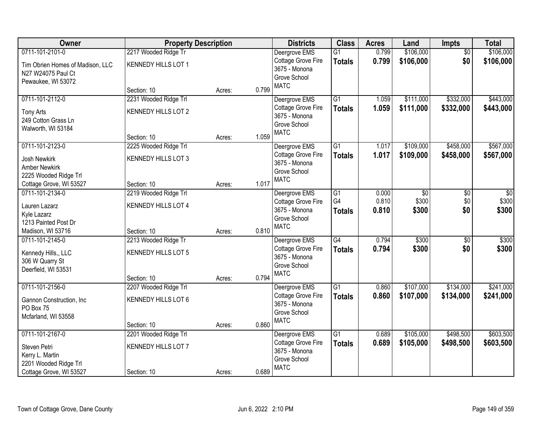| Owner                            | <b>Property Description</b> |        |       | <b>Districts</b>              | <b>Class</b>    | <b>Acres</b> | Land            | <b>Impts</b>    | <b>Total</b>    |
|----------------------------------|-----------------------------|--------|-------|-------------------------------|-----------------|--------------|-----------------|-----------------|-----------------|
| 0711-101-2101-0                  | 2217 Wooded Ridge Tr        |        |       | Deergrove EMS                 | $\overline{G1}$ | 0.799        | \$106,000       | $\overline{50}$ | \$106,000       |
| Tim Obrien Homes of Madison, LLC | KENNEDY HILLS LOT 1         |        |       | Cottage Grove Fire            | <b>Totals</b>   | 0.799        | \$106,000       | \$0             | \$106,000       |
| N27 W24075 Paul Ct               |                             |        |       | 3675 - Monona                 |                 |              |                 |                 |                 |
| Pewaukee, WI 53072               |                             |        |       | Grove School                  |                 |              |                 |                 |                 |
|                                  | Section: 10                 | Acres: | 0.799 | <b>MATC</b>                   |                 |              |                 |                 |                 |
| 0711-101-2112-0                  | 2231 Wooded Ridge Trl       |        |       | Deergrove EMS                 | $\overline{G1}$ | 1.059        | \$111,000       | \$332,000       | \$443,000       |
| Tony Arts                        | <b>KENNEDY HILLS LOT 2</b>  |        |       | Cottage Grove Fire            | <b>Totals</b>   | 1.059        | \$111,000       | \$332,000       | \$443,000       |
| 249 Cotton Grass Ln              |                             |        |       | 3675 - Monona                 |                 |              |                 |                 |                 |
| Walworth, WI 53184               |                             |        |       | Grove School                  |                 |              |                 |                 |                 |
|                                  | Section: 10                 | Acres: | 1.059 | <b>MATC</b>                   |                 |              |                 |                 |                 |
| 0711-101-2123-0                  | 2225 Wooded Ridge Trl       |        |       | Deergrove EMS                 | G1              | 1.017        | \$109,000       | \$458,000       | \$567,000       |
| <b>Josh Newkirk</b>              | KENNEDY HILLS LOT 3         |        |       | Cottage Grove Fire            | <b>Totals</b>   | 1.017        | \$109,000       | \$458,000       | \$567,000       |
| <b>Amber Newkirk</b>             |                             |        |       | 3675 - Monona                 |                 |              |                 |                 |                 |
| 2225 Wooded Ridge Trl            |                             |        |       | Grove School                  |                 |              |                 |                 |                 |
| Cottage Grove, WI 53527          | Section: 10                 | Acres: | 1.017 | <b>MATC</b>                   |                 |              |                 |                 |                 |
| 0711-101-2134-0                  | 2219 Wooded Ridge Trl       |        |       | Deergrove EMS                 | $\overline{G1}$ | 0.000        | $\overline{50}$ | \$0             | $\overline{30}$ |
| Lauren Lazarz                    | <b>KENNEDY HILLS LOT 4</b>  |        |       | Cottage Grove Fire            | G4              | 0.810        | \$300           | \$0             | \$300           |
| Kyle Lazarz                      |                             |        |       | 3675 - Monona                 | <b>Totals</b>   | 0.810        | \$300           | \$0             | \$300           |
| 1213 Painted Post Dr             |                             |        |       | Grove School                  |                 |              |                 |                 |                 |
| Madison, WI 53716                | Section: 10                 | Acres: | 0.810 | <b>MATC</b>                   |                 |              |                 |                 |                 |
| 0711-101-2145-0                  | 2213 Wooded Ridge Tr        |        |       | Deergrove EMS                 | $\overline{G4}$ | 0.794        | \$300           | \$0             | \$300           |
|                                  |                             |        |       | Cottage Grove Fire            | <b>Totals</b>   | 0.794        | \$300           | \$0             | \$300           |
| Kennedy Hills,, LLC              | KENNEDY HILLS LOT 5         |        |       | 3675 - Monona                 |                 |              |                 |                 |                 |
| 306 W Quarry St                  |                             |        |       | Grove School                  |                 |              |                 |                 |                 |
| Deerfield, WI 53531              | Section: 10                 |        | 0.794 | <b>MATC</b>                   |                 |              |                 |                 |                 |
| 0711-101-2156-0                  | 2207 Wooded Ridge Trl       | Acres: |       | Deergrove EMS                 | $\overline{G1}$ | 0.860        | \$107,000       | \$134,000       | \$241,000       |
|                                  |                             |        |       | Cottage Grove Fire            | <b>Totals</b>   | 0.860        | \$107,000       | \$134,000       | \$241,000       |
| Gannon Construction, Inc         | KENNEDY HILLS LOT 6         |        |       | 3675 - Monona                 |                 |              |                 |                 |                 |
| PO Box 75                        |                             |        |       | Grove School                  |                 |              |                 |                 |                 |
| Mcfarland, WI 53558              |                             |        |       | <b>MATC</b>                   |                 |              |                 |                 |                 |
|                                  | Section: 10                 | Acres: | 0.860 |                               |                 |              |                 |                 |                 |
| 0711-101-2167-0                  | 2201 Wooded Ridge Trl       |        |       | Deergrove EMS                 | $\overline{G1}$ | 0.689        | \$105,000       | \$498,500       | \$603,500       |
| Steven Petri                     | <b>KENNEDY HILLS LOT 7</b>  |        |       | Cottage Grove Fire            | <b>Totals</b>   | 0.689        | \$105,000       | \$498,500       | \$603,500       |
| Kerry L. Martin                  |                             |        |       | 3675 - Monona<br>Grove School |                 |              |                 |                 |                 |
| 2201 Wooded Ridge Trl            |                             |        |       | <b>MATC</b>                   |                 |              |                 |                 |                 |
| Cottage Grove, WI 53527          | Section: 10                 | Acres: | 0.689 |                               |                 |              |                 |                 |                 |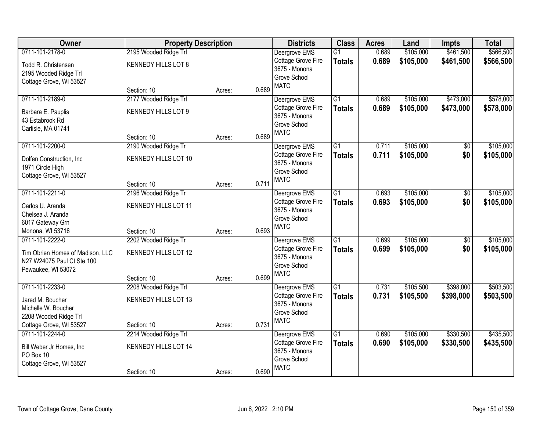| Owner                                                          | <b>Property Description</b>          |        |       | <b>Districts</b>                    | <b>Class</b>    | <b>Acres</b> | Land      | <b>Impts</b> | <b>Total</b> |
|----------------------------------------------------------------|--------------------------------------|--------|-------|-------------------------------------|-----------------|--------------|-----------|--------------|--------------|
| 0711-101-2178-0                                                | 2195 Wooded Ridge Trl                |        |       | Deergrove EMS                       | $\overline{G1}$ | 0.689        | \$105,000 | \$461,500    | \$566,500    |
| Todd R. Christensen                                            | KENNEDY HILLS LOT 8                  |        |       | Cottage Grove Fire                  | <b>Totals</b>   | 0.689        | \$105,000 | \$461,500    | \$566,500    |
| 2195 Wooded Ridge Trl                                          |                                      |        |       | 3675 - Monona                       |                 |              |           |              |              |
| Cottage Grove, WI 53527                                        |                                      |        |       | Grove School                        |                 |              |           |              |              |
|                                                                | Section: 10                          | Acres: | 0.689 | <b>MATC</b>                         |                 |              |           |              |              |
| 0711-101-2189-0                                                | 2177 Wooded Ridge Trl                |        |       | Deergrove EMS                       | $\overline{G1}$ | 0.689        | \$105,000 | \$473,000    | \$578,000    |
| Barbara E. Pauplis                                             | KENNEDY HILLS LOT 9                  |        |       | Cottage Grove Fire                  | <b>Totals</b>   | 0.689        | \$105,000 | \$473,000    | \$578,000    |
| 43 Estabrook Rd                                                |                                      |        |       | 3675 - Monona                       |                 |              |           |              |              |
| Carlisle, MA 01741                                             |                                      |        |       | Grove School                        |                 |              |           |              |              |
|                                                                | Section: 10                          | Acres: | 0.689 | <b>MATC</b>                         |                 |              |           |              |              |
| 0711-101-2200-0                                                | 2190 Wooded Ridge Tr                 |        |       | Deergrove EMS                       | $\overline{G1}$ | 0.711        | \$105,000 | \$0          | \$105,000    |
| Dolfen Construction, Inc.                                      | KENNEDY HILLS LOT 10                 |        |       | Cottage Grove Fire                  | <b>Totals</b>   | 0.711        | \$105,000 | \$0          | \$105,000    |
| 1971 Circle High                                               |                                      |        |       | 3675 - Monona                       |                 |              |           |              |              |
| Cottage Grove, WI 53527                                        |                                      |        |       | Grove School                        |                 |              |           |              |              |
|                                                                | Section: 10                          | Acres: | 0.711 | <b>MATC</b>                         |                 |              |           |              |              |
| 0711-101-2211-0                                                | 2196 Wooded Ridge Tr                 |        |       | Deergrove EMS                       | $\overline{G1}$ | 0.693        | \$105,000 | \$0          | \$105,000    |
| Carlos U. Aranda                                               | KENNEDY HILLS LOT 11                 |        |       | Cottage Grove Fire                  | <b>Totals</b>   | 0.693        | \$105,000 | \$0          | \$105,000    |
| Chelsea J. Aranda                                              |                                      |        |       | 3675 - Monona                       |                 |              |           |              |              |
| 6017 Gateway Grn                                               |                                      |        |       | Grove School                        |                 |              |           |              |              |
| Monona, WI 53716                                               | Section: 10                          | Acres: | 0.693 | <b>MATC</b>                         |                 |              |           |              |              |
| 0711-101-2222-0                                                | 2202 Wooded Ridge Tr                 |        |       | Deergrove EMS                       | $\overline{G1}$ | 0.699        | \$105,000 | \$0          | \$105,000    |
|                                                                |                                      |        |       | Cottage Grove Fire                  | <b>Totals</b>   | 0.699        | \$105,000 | \$0          | \$105,000    |
| Tim Obrien Homes of Madison, LLC<br>N27 W24075 Paul Ct Ste 100 | KENNEDY HILLS LOT 12                 |        |       | 3675 - Monona                       |                 |              |           |              |              |
| Pewaukee, WI 53072                                             |                                      |        |       | Grove School                        |                 |              |           |              |              |
|                                                                | Section: 10                          | Acres: | 0.699 | <b>MATC</b>                         |                 |              |           |              |              |
| 0711-101-2233-0                                                | 2208 Wooded Ridge Trl                |        |       | Deergrove EMS                       | $\overline{G1}$ | 0.731        | \$105,500 | \$398,000    | \$503,500    |
|                                                                |                                      |        |       | Cottage Grove Fire                  | <b>Totals</b>   | 0.731        | \$105,500 | \$398,000    | \$503,500    |
| Jared M. Boucher                                               | KENNEDY HILLS LOT 13                 |        |       | 3675 - Monona                       |                 |              |           |              |              |
| Michelle W. Boucher                                            |                                      |        |       | Grove School                        |                 |              |           |              |              |
| 2208 Wooded Ridge Trl                                          |                                      |        | 0.731 | <b>MATC</b>                         |                 |              |           |              |              |
| Cottage Grove, WI 53527<br>0711-101-2244-0                     | Section: 10<br>2214 Wooded Ridge Trl | Acres: |       |                                     | $\overline{G1}$ | 0.690        | \$105,000 | \$330,500    | \$435,500    |
|                                                                |                                      |        |       | Deergrove EMS<br>Cottage Grove Fire |                 |              |           |              |              |
| Bill Weber Jr Homes, Inc                                       | <b>KENNEDY HILLS LOT 14</b>          |        |       | 3675 - Monona                       | <b>Totals</b>   | 0.690        | \$105,000 | \$330,500    | \$435,500    |
| PO Box 10                                                      |                                      |        |       | Grove School                        |                 |              |           |              |              |
| Cottage Grove, WI 53527                                        |                                      |        |       | <b>MATC</b>                         |                 |              |           |              |              |
|                                                                | Section: 10                          | Acres: | 0.690 |                                     |                 |              |           |              |              |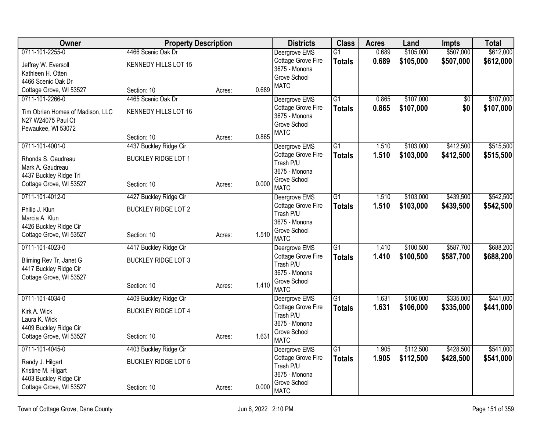| <b>Owner</b>                                      | <b>Property Description</b> |        |       | <b>Districts</b>                | <b>Class</b>    | <b>Acres</b> | Land      | <b>Impts</b>    | <b>Total</b> |
|---------------------------------------------------|-----------------------------|--------|-------|---------------------------------|-----------------|--------------|-----------|-----------------|--------------|
| 0711-101-2255-0                                   | 4466 Scenic Oak Dr          |        |       | Deergrove EMS                   | G1              | 0.689        | \$105,000 | \$507,000       | \$612,000    |
| Jeffrey W. Eversoll                               | KENNEDY HILLS LOT 15        |        |       | Cottage Grove Fire              | <b>Totals</b>   | 0.689        | \$105,000 | \$507,000       | \$612,000    |
| Kathleen H. Otten                                 |                             |        |       | 3675 - Monona                   |                 |              |           |                 |              |
| 4466 Scenic Oak Dr                                |                             |        |       | Grove School<br><b>MATC</b>     |                 |              |           |                 |              |
| Cottage Grove, WI 53527                           | Section: 10                 | Acres: | 0.689 |                                 |                 |              |           |                 |              |
| 0711-101-2266-0                                   | 4465 Scenic Oak Dr          |        |       | Deergrove EMS                   | G <sub>1</sub>  | 0.865        | \$107,000 | $\overline{50}$ | \$107,000    |
| Tim Obrien Homes of Madison, LLC                  | KENNEDY HILLS LOT 16        |        |       | Cottage Grove Fire              | <b>Totals</b>   | 0.865        | \$107,000 | \$0             | \$107,000    |
| N27 W24075 Paul Ct                                |                             |        |       | 3675 - Monona                   |                 |              |           |                 |              |
| Pewaukee, WI 53072                                |                             |        |       | Grove School<br><b>MATC</b>     |                 |              |           |                 |              |
|                                                   | Section: 10                 | Acres: | 0.865 |                                 |                 |              |           |                 |              |
| 0711-101-4001-0                                   | 4437 Buckley Ridge Cir      |        |       | Deergrove EMS                   | G1              | 1.510        | \$103,000 | \$412,500       | \$515,500    |
| Rhonda S. Gaudreau                                | <b>BUCKLEY RIDGE LOT 1</b>  |        |       | Cottage Grove Fire              | <b>Totals</b>   | 1.510        | \$103,000 | \$412,500       | \$515,500    |
| Mark A. Gaudreau                                  |                             |        |       | Trash P/U                       |                 |              |           |                 |              |
| 4437 Buckley Ridge Trl                            |                             |        |       | 3675 - Monona<br>Grove School   |                 |              |           |                 |              |
| Cottage Grove, WI 53527                           | Section: 10                 | Acres: | 0.000 | <b>MATC</b>                     |                 |              |           |                 |              |
| 0711-101-4012-0                                   | 4427 Buckley Ridge Cir      |        |       | Deergrove EMS                   | $\overline{G1}$ | 1.510        | \$103,000 | \$439,500       | \$542,500    |
| Philip J. Klun                                    | <b>BUCKLEY RIDGE LOT 2</b>  |        |       | Cottage Grove Fire              | <b>Totals</b>   | 1.510        | \$103,000 | \$439,500       | \$542,500    |
| Marcia A. Klun                                    |                             |        |       | Trash P/U                       |                 |              |           |                 |              |
| 4426 Buckley Ridge Cir                            |                             |        |       | 3675 - Monona                   |                 |              |           |                 |              |
| Cottage Grove, WI 53527                           | Section: 10                 | Acres: | 1.510 | Grove School<br><b>MATC</b>     |                 |              |           |                 |              |
| 0711-101-4023-0                                   | 4417 Buckley Ridge Cir      |        |       | Deergrove EMS                   | G1              | 1.410        | \$100,500 | \$587,700       | \$688,200    |
|                                                   |                             |        |       | Cottage Grove Fire              | <b>Totals</b>   | 1.410        | \$100,500 | \$587,700       | \$688,200    |
| Bliming Rev Tr, Janet G<br>4417 Buckley Ridge Cir | <b>BUCKLEY RIDGE LOT 3</b>  |        |       | Trash P/U                       |                 |              |           |                 |              |
| Cottage Grove, WI 53527                           |                             |        |       | 3675 - Monona                   |                 |              |           |                 |              |
|                                                   | Section: 10                 | Acres: | 1.410 | Grove School                    |                 |              |           |                 |              |
|                                                   |                             |        |       | <b>MATC</b>                     |                 |              |           |                 |              |
| 0711-101-4034-0                                   | 4409 Buckley Ridge Cir      |        |       | Deergrove EMS                   | $\overline{G1}$ | 1.631        | \$106,000 | \$335,000       | \$441,000    |
| Kirk A. Wick                                      | <b>BUCKLEY RIDGE LOT 4</b>  |        |       | Cottage Grove Fire<br>Trash P/U | <b>Totals</b>   | 1.631        | \$106,000 | \$335,000       | \$441,000    |
| Laura K. Wick                                     |                             |        |       | 3675 - Monona                   |                 |              |           |                 |              |
| 4409 Buckley Ridge Cir                            |                             |        |       | Grove School                    |                 |              |           |                 |              |
| Cottage Grove, WI 53527                           | Section: 10                 | Acres: | 1.631 | <b>MATC</b>                     |                 |              |           |                 |              |
| 0711-101-4045-0                                   | 4403 Buckley Ridge Cir      |        |       | Deergrove EMS                   | G1              | 1.905        | \$112,500 | \$428,500       | \$541,000    |
| Randy J. Hilgart                                  | <b>BUCKLEY RIDGE LOT 5</b>  |        |       | Cottage Grove Fire              | <b>Totals</b>   | 1.905        | \$112,500 | \$428,500       | \$541,000    |
| Kristine M. Hilgart                               |                             |        |       | Trash P/U                       |                 |              |           |                 |              |
| 4403 Buckley Ridge Cir                            |                             |        |       | 3675 - Monona<br>Grove School   |                 |              |           |                 |              |
| Cottage Grove, WI 53527                           | Section: 10                 | Acres: | 0.000 | <b>MATC</b>                     |                 |              |           |                 |              |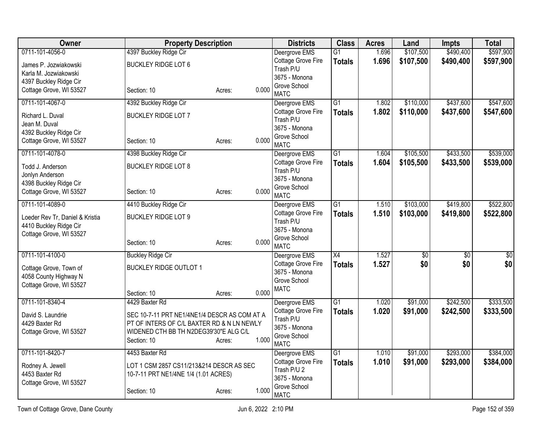| Owner                                           | <b>Property Description</b>                  |        |       | <b>Districts</b>                    | <b>Class</b>    | <b>Acres</b> | Land        | <b>Impts</b>    | <b>Total</b>    |
|-------------------------------------------------|----------------------------------------------|--------|-------|-------------------------------------|-----------------|--------------|-------------|-----------------|-----------------|
| 0711-101-4056-0                                 | 4397 Buckley Ridge Cir                       |        |       | Deergrove EMS                       | $\overline{G1}$ | 1.696        | \$107,500   | \$490,400       | \$597,900       |
| James P. Jozwiakowski                           | <b>BUCKLEY RIDGE LOT 6</b>                   |        |       | Cottage Grove Fire<br>Trash P/U     | <b>Totals</b>   | 1.696        | \$107,500   | \$490,400       | \$597,900       |
| Karla M. Jozwiakowski<br>4397 Buckley Ridge Cir |                                              |        |       | 3675 - Monona                       |                 |              |             |                 |                 |
| Cottage Grove, WI 53527                         | Section: 10                                  | Acres: | 0.000 | Grove School<br><b>MATC</b>         |                 |              |             |                 |                 |
| 0711-101-4067-0                                 | 4392 Buckley Ridge Cir                       |        |       | Deergrove EMS                       | $\overline{G1}$ | 1.802        | \$110,000   | \$437,600       | \$547,600       |
| Richard L. Duval                                | <b>BUCKLEY RIDGE LOT 7</b>                   |        |       | Cottage Grove Fire                  | <b>Totals</b>   | 1.802        | \$110,000   | \$437,600       | \$547,600       |
| Jean M. Duval                                   |                                              |        |       | Trash P/U                           |                 |              |             |                 |                 |
| 4392 Buckley Ridge Cir                          |                                              |        |       | 3675 - Monona<br>Grove School       |                 |              |             |                 |                 |
| Cottage Grove, WI 53527                         | Section: 10                                  | Acres: | 0.000 | <b>MATC</b>                         |                 |              |             |                 |                 |
| 0711-101-4078-0                                 | 4398 Buckley Ridge Cir                       |        |       | Deergrove EMS                       | G1              | 1.604        | \$105,500   | \$433,500       | \$539,000       |
| Todd J. Anderson                                | <b>BUCKLEY RIDGE LOT 8</b>                   |        |       | Cottage Grove Fire                  | <b>Totals</b>   | 1.604        | \$105,500   | \$433,500       | \$539,000       |
| Jonlyn Anderson                                 |                                              |        |       | Trash P/U<br>3675 - Monona          |                 |              |             |                 |                 |
| 4398 Buckley Ridge Cir                          |                                              |        |       | Grove School                        |                 |              |             |                 |                 |
| Cottage Grove, WI 53527                         | Section: 10                                  | Acres: | 0.000 | <b>MATC</b>                         |                 |              |             |                 |                 |
| 0711-101-4089-0                                 | 4410 Buckley Ridge Cir                       |        |       | Deergrove EMS                       | $\overline{G1}$ | 1.510        | \$103,000   | \$419,800       | \$522,800       |
| Loeder Rev Tr, Daniel & Kristia                 | <b>BUCKLEY RIDGE LOT 9</b>                   |        |       | Cottage Grove Fire                  | <b>Totals</b>   | 1.510        | \$103,000   | \$419,800       | \$522,800       |
| 4410 Buckley Ridge Cir                          |                                              |        |       | Trash P/U<br>3675 - Monona          |                 |              |             |                 |                 |
| Cottage Grove, WI 53527                         |                                              |        |       | Grove School                        |                 |              |             |                 |                 |
|                                                 | Section: 10                                  | Acres: | 0.000 | <b>MATC</b>                         |                 |              |             |                 |                 |
| 0711-101-4100-0                                 | <b>Buckley Ridge Cir</b>                     |        |       | Deergrove EMS                       | $\overline{X4}$ | 1.527        | $\sqrt{50}$ | $\overline{60}$ | $\overline{50}$ |
| Cottage Grove, Town of                          | <b>BUCKLEY RIDGE OUTLOT 1</b>                |        |       | Cottage Grove Fire                  | <b>Totals</b>   | 1.527        | \$0         | \$0             | \$0             |
| 4058 County Highway N                           |                                              |        |       | 3675 - Monona<br>Grove School       |                 |              |             |                 |                 |
| Cottage Grove, WI 53527                         |                                              |        |       | <b>MATC</b>                         |                 |              |             |                 |                 |
|                                                 | Section: 10                                  | Acres: | 0.000 |                                     |                 |              |             |                 |                 |
| 0711-101-8340-4                                 | 4429 Baxter Rd                               |        |       | Deergrove EMS<br>Cottage Grove Fire | $\overline{G1}$ | 1.020        | \$91,000    | \$242,500       | \$333,500       |
| David S. Laundrie                               | SEC 10-7-11 PRT NE1/4NE1/4 DESCR AS COM AT A |        |       | Trash P/U                           | <b>Totals</b>   | 1.020        | \$91,000    | \$242,500       | \$333,500       |
| 4429 Baxter Rd                                  | PT OF INTERS OF C/L BAXTER RD & N LN NEWLY   |        |       | 3675 - Monona                       |                 |              |             |                 |                 |
| Cottage Grove, WI 53527                         | WIDENED CTH BB TH N2DEG39'30"E ALG C/L       |        | 1.000 | Grove School                        |                 |              |             |                 |                 |
|                                                 | Section: 10                                  | Acres: |       | <b>MATC</b>                         |                 |              |             |                 |                 |
| 0711-101-8420-7                                 | 4453 Baxter Rd                               |        |       | Deergrove EMS                       | $\overline{G1}$ | 1.010        | \$91,000    | \$293,000       | \$384,000       |
| Rodney A. Jewell                                | LOT 1 CSM 2857 CS11/213&214 DESCR AS SEC     |        |       | Cottage Grove Fire                  | <b>Totals</b>   | 1.010        | \$91,000    | \$293,000       | \$384,000       |
| 4453 Baxter Rd                                  | 10-7-11 PRT NE1/4NE 1/4 (1.01 ACRES)         |        |       | Trash P/U 2<br>3675 - Monona        |                 |              |             |                 |                 |
| Cottage Grove, WI 53527                         |                                              |        |       | Grove School                        |                 |              |             |                 |                 |
|                                                 | Section: 10                                  | Acres: | 1.000 | <b>MATC</b>                         |                 |              |             |                 |                 |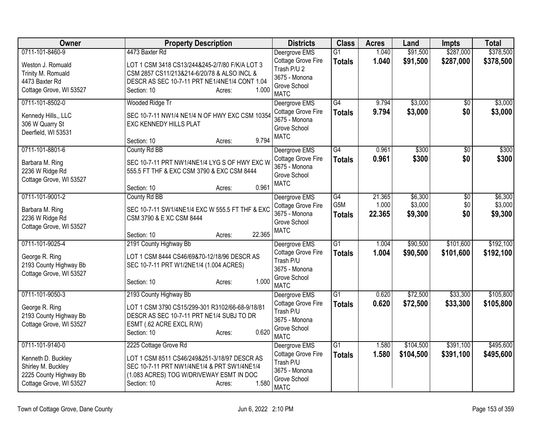| Owner                   | <b>Property Description</b>                     | <b>Districts</b>                    | <b>Class</b>    | <b>Acres</b> | Land      | <b>Impts</b>    | <b>Total</b> |
|-------------------------|-------------------------------------------------|-------------------------------------|-----------------|--------------|-----------|-----------------|--------------|
| 0711-101-8460-9         | 4473 Baxter Rd                                  | Deergrove EMS                       | G1              | 1.040        | \$91,500  | \$287,000       | \$378,500    |
| Weston J. Romuald       | LOT 1 CSM 3418 CS13/244&245-2/7/80 F/K/A LOT 3  | Cottage Grove Fire                  | <b>Totals</b>   | 1.040        | \$91,500  | \$287,000       | \$378,500    |
| Trinity M. Romuald      | CSM 2857 CS11/213&214-6/20/78 & ALSO INCL &     | Trash P/U 2                         |                 |              |           |                 |              |
| 4473 Baxter Rd          | DESCR AS SEC 10-7-11 PRT NE1/4NE1/4 CONT 1.04   | 3675 - Monona<br>Grove School       |                 |              |           |                 |              |
| Cottage Grove, WI 53527 | 1.000<br>Section: 10<br>Acres:                  | <b>MATC</b>                         |                 |              |           |                 |              |
| 0711-101-8502-0         | Wooded Ridge Tr                                 | Deergrove EMS                       | G4              | 9.794        | \$3,000   | \$0             | \$3,000      |
| Kennedy Hills,, LLC     | SEC 10-7-11 NW1/4 NE1/4 N OF HWY EXC CSM 10354  | Cottage Grove Fire<br>3675 - Monona | <b>Totals</b>   | 9.794        | \$3,000   | \$0             | \$3,000      |
| 306 W Quarry St         | EXC KENNEDY HILLS PLAT                          | Grove School                        |                 |              |           |                 |              |
| Deerfield, WI 53531     |                                                 | <b>MATC</b>                         |                 |              |           |                 |              |
|                         | 9.794<br>Section: 10<br>Acres:                  |                                     |                 |              |           |                 |              |
| 0711-101-8801-6         | County Rd BB                                    | Deergrove EMS                       | $\overline{G4}$ | 0.961        | \$300     | $\overline{50}$ | \$300        |
| Barbara M. Ring         | SEC 10-7-11 PRT NW1/4NE1/4 LYG S OF HWY EXC W   | Cottage Grove Fire                  | <b>Totals</b>   | 0.961        | \$300     | \$0             | \$300        |
| 2236 W Ridge Rd         | 555.5 FT THF & EXC CSM 3790 & EXC CSM 8444      | 3675 - Monona<br>Grove School       |                 |              |           |                 |              |
| Cottage Grove, WI 53527 |                                                 | <b>MATC</b>                         |                 |              |           |                 |              |
|                         | 0.961<br>Section: 10<br>Acres:                  |                                     |                 |              |           |                 |              |
| 0711-101-9001-2         | County Rd BB                                    | Deergrove EMS                       | G4              | 21.365       | \$6,300   | $\overline{50}$ | \$6,300      |
| Barbara M. Ring         | SEC 10-7-11 SW1/4NE1/4 EXC W 555.5 FT THF & EXC | Cottage Grove Fire                  | G5M             | 1.000        | \$3,000   | \$0             | \$3,000      |
| 2236 W Ridge Rd         | CSM 3790 & E XC CSM 8444                        | 3675 - Monona                       | <b>Totals</b>   | 22.365       | \$9,300   | \$0             | \$9,300      |
| Cottage Grove, WI 53527 |                                                 | Grove School<br><b>MATC</b>         |                 |              |           |                 |              |
|                         | 22.365<br>Section: 10<br>Acres:                 |                                     |                 |              |           |                 |              |
| 0711-101-9025-4         | 2191 County Highway Bb                          | Deergrove EMS                       | $\overline{G1}$ | 1.004        | \$90,500  | \$101,600       | \$192,100    |
| George R. Ring          | LOT 1 CSM 8444 CS46/69&70-12/18/96 DESCR AS     | Cottage Grove Fire                  | <b>Totals</b>   | 1.004        | \$90,500  | \$101,600       | \$192,100    |
| 2193 County Highway Bb  | SEC 10-7-11 PRT W1/2NE1/4 (1.004 ACRES)         | Trash P/U<br>3675 - Monona          |                 |              |           |                 |              |
| Cottage Grove, WI 53527 |                                                 | Grove School                        |                 |              |           |                 |              |
|                         | 1.000<br>Section: 10<br>Acres:                  | <b>MATC</b>                         |                 |              |           |                 |              |
| 0711-101-9050-3         | 2193 County Highway Bb                          | Deergrove EMS                       | $\overline{G1}$ | 0.620        | \$72,500  | \$33,300        | \$105,800    |
| George R. Ring          | LOT 1 CSM 3790 CS15/299-301 R3102/66-68-9/18/81 | Cottage Grove Fire                  | <b>Totals</b>   | 0.620        | \$72,500  | \$33,300        | \$105,800    |
| 2193 County Highway Bb  | DESCR AS SEC 10-7-11 PRT NE1/4 SUBJ TO DR       | Trash P/U                           |                 |              |           |                 |              |
| Cottage Grove, WI 53527 | ESMT (.62 ACRE EXCL R/W)                        | 3675 - Monona                       |                 |              |           |                 |              |
|                         | 0.620<br>Section: 10<br>Acres:                  | Grove School<br><b>MATC</b>         |                 |              |           |                 |              |
| 0711-101-9140-0         | 2225 Cottage Grove Rd                           | Deergrove EMS                       | G1              | 1.580        | \$104,500 | \$391,100       | \$495,600    |
| Kenneth D. Buckley      | LOT 1 CSM 8511 CS46/249&251-3/18/97 DESCR AS    | Cottage Grove Fire                  | <b>Totals</b>   | 1.580        | \$104,500 | \$391,100       | \$495,600    |
| Shirley M. Buckley      | SEC 10-7-11 PRT NW1/4NE1/4 & PRT SW1/4NE1/4     | Trash P/U                           |                 |              |           |                 |              |
| 2225 County Highway Bb  | (1.083 ACRES) TOG W/DRIVEWAY ESMT IN DOC        | 3675 - Monona                       |                 |              |           |                 |              |
| Cottage Grove, WI 53527 | 1.580<br>Section: 10<br>Acres:                  | Grove School                        |                 |              |           |                 |              |
|                         |                                                 | <b>MATC</b>                         |                 |              |           |                 |              |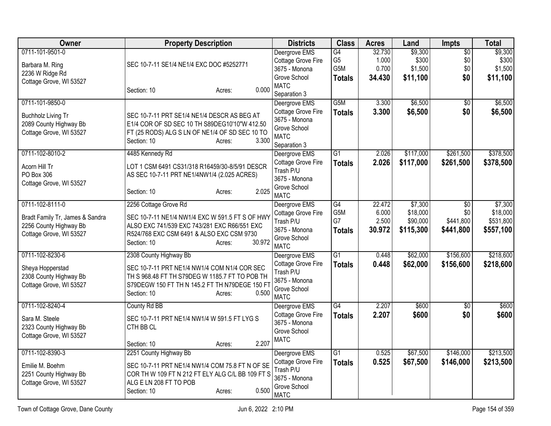| Owner                                                                                                   | <b>Property Description</b>                                                                                                                                                                                  | <b>Districts</b>                                                                                    | <b>Class</b>                                  | <b>Acres</b>                       | Land                                         | Impts                                            | <b>Total</b>                                  |
|---------------------------------------------------------------------------------------------------------|--------------------------------------------------------------------------------------------------------------------------------------------------------------------------------------------------------------|-----------------------------------------------------------------------------------------------------|-----------------------------------------------|------------------------------------|----------------------------------------------|--------------------------------------------------|-----------------------------------------------|
| 0711-101-9501-0<br>Barbara M. Ring<br>2236 W Ridge Rd<br>Cottage Grove, WI 53527                        | SEC 10-7-11 SE1/4 NE1/4 EXC DOC #5252771                                                                                                                                                                     | Deergrove EMS<br>Cottage Grove Fire<br>3675 - Monona<br>Grove School                                | G4<br>G <sub>5</sub><br>G5M<br><b>Totals</b>  | 32.730<br>1.000<br>0.700<br>34.430 | \$9,300<br>\$300<br>\$1,500<br>\$11,100      | $\overline{50}$<br>\$0<br>\$0<br>\$0             | \$9,300<br>\$300<br>\$1,500<br>\$11,100       |
|                                                                                                         | 0.000<br>Section: 10<br>Acres:                                                                                                                                                                               | <b>MATC</b><br>Separation 3                                                                         |                                               |                                    |                                              |                                                  |                                               |
| 0711-101-9850-0<br><b>Buchholz Living Tr</b><br>2089 County Highway Bb<br>Cottage Grove, WI 53527       | SEC 10-7-11 PRT SE1/4 NE1/4 DESCR AS BEG AT<br>E1/4 COR OF SD SEC 10 TH S89DEG10'10"W 412.50<br>FT (25 RODS) ALG S LN OF NE1/4 OF SD SEC 10 TO<br>Section: 10<br>3.300<br>Acres:                             | Deergrove EMS<br>Cottage Grove Fire<br>3675 - Monona<br>Grove School<br><b>MATC</b><br>Separation 3 | G5M<br><b>Totals</b>                          | 3.300<br>3.300                     | \$6,500<br>\$6,500                           | $\overline{50}$<br>\$0                           | \$6,500<br>\$6,500                            |
| 0711-102-8010-2<br>Acorn Hill Tr<br>PO Box 306<br>Cottage Grove, WI 53527                               | 4485 Kennedy Rd<br>LOT 1 CSM 6491 CS31/318 R16459/30-8/5/91 DESCR<br>AS SEC 10-7-11 PRT NE1/4NW1/4 (2.025 ACRES)<br>2.025<br>Section: 10<br>Acres:                                                           | Deergrove EMS<br>Cottage Grove Fire<br>Trash P/U<br>3675 - Monona<br>Grove School<br><b>MATC</b>    | $\overline{G1}$<br><b>Totals</b>              | 2.026<br>2.026                     | \$117,000<br>\$117,000                       | \$261,500<br>\$261,500                           | \$378,500<br>\$378,500                        |
| 0711-102-8111-0<br>Bradt Family Tr, James & Sandra<br>2256 County Highway Bb<br>Cottage Grove, WI 53527 | 2256 Cottage Grove Rd<br>SEC 10-7-11 NE1/4 NW1/4 EXC W 591.5 FT S OF HWY<br>ALSO EXC 741/539 EXC 743/281 EXC R66/551 EXC<br>R524/768 EXC CSM 6491 & ALSO EXC CSM 9730<br>30.972<br>Section: 10<br>Acres:     | Deergrove EMS<br>Cottage Grove Fire<br>Trash P/U<br>3675 - Monona<br>Grove School<br><b>MATC</b>    | G4<br>G <sub>5</sub> M<br>G7<br><b>Totals</b> | 22.472<br>6.000<br>2.500<br>30.972 | \$7,300<br>\$18,000<br>\$90,000<br>\$115,300 | $\overline{50}$<br>\$0<br>\$441,800<br>\$441,800 | \$7,300<br>\$18,000<br>\$531,800<br>\$557,100 |
| 0711-102-8230-6<br>Sheya Hopperstad<br>2308 County Highway Bb<br>Cottage Grove, WI 53527                | 2308 County Highway Bb<br>SEC 10-7-11 PRT NE1/4 NW1/4 COM N1/4 COR SEC<br>TH S 968.48 FT TH S79DEG W 1185.7 FT TO POB TH<br>S79DEGW 150 FT TH N 145.2 FT TH N79DEGE 150 FT<br>0.500<br>Section: 10<br>Acres: | Deergrove EMS<br>Cottage Grove Fire<br>Trash P/U<br>3675 - Monona<br>Grove School<br><b>MATC</b>    | $\overline{G1}$<br><b>Totals</b>              | 0.448<br>0.448                     | \$62,000<br>\$62,000                         | \$156,600<br>\$156,600                           | \$218,600<br>\$218,600                        |
| 0711-102-8240-4<br>Sara M. Steele<br>2323 County Highway Bb<br>Cottage Grove, WI 53527                  | County Rd BB<br>SEC 10-7-11 PRT NE1/4 NW1/4 W 591.5 FT LYG S<br>CTH BB CL<br>2.207<br>Section: 10<br>Acres:                                                                                                  | Deergrove EMS<br>Cottage Grove Fire<br>3675 - Monona<br>Grove School<br><b>MATC</b>                 | G4<br><b>Totals</b>                           | 2.207<br>2.207                     | \$600<br>\$600                               | \$0<br>\$0                                       | \$600<br>\$600                                |
| 0711-102-8390-3<br>Emilie M. Boehm<br>2251 County Highway Bb<br>Cottage Grove, WI 53527                 | 2251 County Highway Bb<br>SEC 10-7-11 PRT NE1/4 NW1/4 COM 75.8 FT N OF SE<br>COR TH W 109 FT N 212 FT ELY ALG C/L BB 109 FT S<br>ALG E LN 208 FT TO POB<br>0.500<br>Section: 10<br>Acres:                    | Deergrove EMS<br>Cottage Grove Fire<br>Trash P/U<br>3675 - Monona<br>Grove School<br><b>MATC</b>    | $\overline{G1}$<br><b>Totals</b>              | 0.525<br>0.525                     | \$67,500<br>\$67,500                         | \$146,000<br>\$146,000                           | \$213,500<br>\$213,500                        |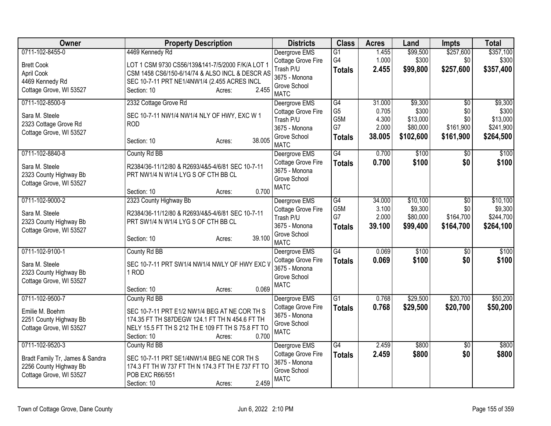| Owner                                                                                  | <b>Property Description</b>                                                                                                                                                            | <b>Districts</b>                                                                | <b>Class</b>                                               | <b>Acres</b>                       | Land                                        | <b>Impts</b>                                     | <b>Total</b>                                  |
|----------------------------------------------------------------------------------------|----------------------------------------------------------------------------------------------------------------------------------------------------------------------------------------|---------------------------------------------------------------------------------|------------------------------------------------------------|------------------------------------|---------------------------------------------|--------------------------------------------------|-----------------------------------------------|
| 0711-102-8455-0<br><b>Brett Cook</b>                                                   | 4469 Kennedy Rd<br>LOT 1 CSM 9730 CS56/139&141-7/5/2000 F/K/A LOT 1                                                                                                                    | Deergrove EMS<br>Cottage Grove Fire<br>Trash P/U                                | $\overline{G1}$<br>G4<br><b>Totals</b>                     | 1.455<br>1.000<br>2.455            | \$99,500<br>\$300<br>\$99,800               | \$257,600<br>\$0<br>\$257,600                    | \$357,100<br>\$300<br>\$357,400               |
| April Cook<br>4469 Kennedy Rd<br>Cottage Grove, WI 53527                               | CSM 1458 CS6/150-6/14/74 & ALSO INCL & DESCR AS<br>SEC 10-7-11 PRT NE1/4NW1/4 (2.455 ACRES INCL<br>2.455<br>Section: 10<br>Acres:                                                      | 3675 - Monona<br>Grove School<br><b>MATC</b>                                    |                                                            |                                    |                                             |                                                  |                                               |
| 0711-102-8500-9                                                                        | 2332 Cottage Grove Rd                                                                                                                                                                  | Deergrove EMS                                                                   | G4                                                         | 31.000                             | \$9,300                                     | $\overline{50}$                                  | \$9,300                                       |
| Sara M. Steele<br>2323 Cottage Grove Rd<br>Cottage Grove, WI 53527                     | SEC 10-7-11 NW1/4 NW1/4 NLY OF HWY, EXC W 1<br><b>ROD</b><br>38.005<br>Section: 10<br>Acres:                                                                                           | Cottage Grove Fire<br>Trash P/U<br>3675 - Monona<br>Grove School<br><b>MATC</b> | G <sub>5</sub><br>G <sub>5</sub> M<br>G7<br><b>Totals</b>  | 0.705<br>4.300<br>2.000<br>38.005  | \$300<br>\$13,000<br>\$80,000<br>\$102,600  | \$0<br>\$0<br>\$161,900<br>\$161,900             | \$300<br>\$13,000<br>\$241,900<br>\$264,500   |
| 0711-102-8840-8                                                                        | County Rd BB                                                                                                                                                                           | Deergrove EMS                                                                   | G4                                                         | 0.700                              | \$100                                       | \$0                                              | \$100                                         |
| Sara M. Steele<br>2323 County Highway Bb<br>Cottage Grove, WI 53527                    | R2384/36-11/12/80 & R2693/4&5-4/6/81 SEC 10-7-11<br>PRT NW1/4 N W1/4 LYG S OF CTH BB CL                                                                                                | Cottage Grove Fire<br>3675 - Monona<br>Grove School<br><b>MATC</b>              | <b>Totals</b>                                              | 0.700                              | \$100                                       | \$0                                              | \$100                                         |
|                                                                                        | 0.700<br>Section: 10<br>Acres:                                                                                                                                                         |                                                                                 |                                                            |                                    |                                             |                                                  |                                               |
| 0711-102-9000-2<br>Sara M. Steele<br>2323 County Highway Bb<br>Cottage Grove, WI 53527 | 2323 County Highway Bb<br>R2384/36-11/12/80 & R2693/4&5-4/6/81 SEC 10-7-11<br>PRT SW1/4 N W1/4 LYG S OF CTH BB CL                                                                      | Deergrove EMS<br>Cottage Grove Fire<br>Trash P/U<br>3675 - Monona               | $\overline{G4}$<br>G <sub>5</sub> M<br>G7<br><b>Totals</b> | 34.000<br>3.100<br>2.000<br>39.100 | \$10,100<br>\$9,300<br>\$80,000<br>\$99,400 | $\overline{30}$<br>\$0<br>\$164,700<br>\$164,700 | \$10,100<br>\$9,300<br>\$244,700<br>\$264,100 |
|                                                                                        | 39.100<br>Section: 10<br>Acres:                                                                                                                                                        | Grove School<br><b>MATC</b>                                                     |                                                            |                                    |                                             |                                                  |                                               |
| 0711-102-9100-1                                                                        | County Rd BB                                                                                                                                                                           | Deergrove EMS                                                                   | G4                                                         | 0.069                              | \$100                                       | $\overline{50}$                                  | \$100                                         |
| Sara M. Steele<br>2323 County Highway Bb<br>Cottage Grove, WI 53527                    | SEC 10-7-11 PRT SW1/4 NW1/4 NWLY OF HWY EXC V<br>1 ROD<br>0.069<br>Section: 10<br>Acres:                                                                                               | Cottage Grove Fire<br>3675 - Monona<br>Grove School<br><b>MATC</b>              | <b>Totals</b>                                              | 0.069                              | \$100                                       | \$0                                              | \$100                                         |
| 0711-102-9500-7                                                                        | County Rd BB                                                                                                                                                                           | Deergrove EMS                                                                   | $\overline{G1}$                                            | 0.768                              | \$29,500                                    | \$20,700                                         | \$50,200                                      |
| Emilie M. Boehm<br>2251 County Highway Bb<br>Cottage Grove, WI 53527                   | SEC 10-7-11 PRT E1/2 NW1/4 BEG AT NE COR TH S<br>174.35 FT TH S87DEGW 124.1 FT TH N 454.6 FT TH<br>NELY 15.5 FT TH S 212 TH E 109 FT TH S 75.8 FT TO<br>0.700<br>Section: 10<br>Acres: | Cottage Grove Fire<br>3675 - Monona<br>Grove School<br><b>MATC</b>              | <b>Totals</b>                                              | 0.768                              | \$29,500                                    | \$20,700                                         | \$50,200                                      |
| 0711-102-9520-3                                                                        | County Rd BB                                                                                                                                                                           | Deergrove EMS                                                                   | G4                                                         | 2.459                              | \$800                                       | \$0                                              | \$800                                         |
| Bradt Family Tr, James & Sandra<br>2256 County Highway Bb<br>Cottage Grove, WI 53527   | SEC 10-7-11 PRT SE1/4NW1/4 BEG NE COR TH S<br>174.3 FT TH W 737 FT TH N 174.3 FT TH E 737 FT TO<br>POB EXC R66/551<br>2.459<br>Section: 10<br>Acres:                                   | Cottage Grove Fire<br>3675 - Monona<br>Grove School<br><b>MATC</b>              | <b>Totals</b>                                              | 2.459                              | \$800                                       | \$0                                              | \$800                                         |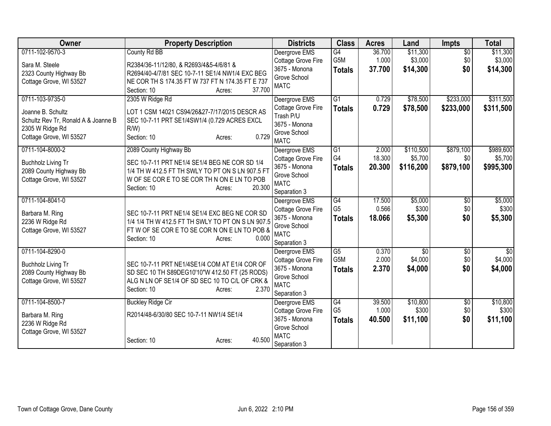| Owner                               | <b>Property Description</b>                                                                        | <b>Districts</b>                    | <b>Class</b>           | <b>Acres</b>   | Land                       | <b>Impts</b>           | <b>Total</b>               |
|-------------------------------------|----------------------------------------------------------------------------------------------------|-------------------------------------|------------------------|----------------|----------------------------|------------------------|----------------------------|
| 0711-102-9570-3                     | County Rd BB                                                                                       | Deergrove EMS                       | $\overline{G4}$        | 36.700         | \$11,300                   | $\overline{50}$        | \$11,300                   |
| Sara M. Steele                      | R2384/36-11/12/80, & R2693/4&5-4/6/81 &                                                            | Cottage Grove Fire                  | G5M                    | 1.000          | \$3,000                    | \$0                    | \$3,000                    |
| 2323 County Highway Bb              | R2694/40-4/7/81 SEC 10-7-11 SE1/4 NW1/4 EXC BEG                                                    | 3675 - Monona                       | <b>Totals</b>          | 37.700         | \$14,300                   | \$0                    | \$14,300                   |
| Cottage Grove, WI 53527             | NE COR TH S 174.35 FT W 737 FT N 174.35 FT E 737                                                   | Grove School<br><b>MATC</b>         |                        |                |                            |                        |                            |
|                                     | 37.700<br>Section: 10<br>Acres:                                                                    |                                     |                        |                |                            |                        |                            |
| 0711-103-9735-0                     | 2305 W Ridge Rd                                                                                    | Deergrove EMS                       | $\overline{G1}$        | 0.729          | \$78,500                   | \$233,000              | \$311,500                  |
| Joanne B. Schultz                   | LOT 1 CSM 14021 CS94/26&27-7/17/2015 DESCR AS                                                      | Cottage Grove Fire                  | <b>Totals</b>          | 0.729          | \$78,500                   | \$233,000              | \$311,500                  |
| Schultz Rev Tr, Ronald A & Joanne B | SEC 10-7-11 PRT SE1/4SW1/4 (0.729 ACRES EXCL                                                       | Trash P/U                           |                        |                |                            |                        |                            |
| 2305 W Ridge Rd                     | $R/W$ )                                                                                            | 3675 - Monona<br>Grove School       |                        |                |                            |                        |                            |
| Cottage Grove, WI 53527             | 0.729<br>Section: 10<br>Acres:                                                                     | <b>MATC</b>                         |                        |                |                            |                        |                            |
| 0711-104-8000-2                     | 2089 County Highway Bb                                                                             | Deergrove EMS                       | $\overline{G1}$        | 2.000          | \$110,500                  | \$879,100              | \$989,600                  |
| Buchholz Living Tr                  | SEC 10-7-11 PRT NE1/4 SE1/4 BEG NE COR SD 1/4                                                      | Cottage Grove Fire                  | G4                     | 18.300         | \$5,700                    | \$0                    | \$5,700                    |
| 2089 County Highway Bb              | 1/4 TH W 412.5 FT TH SWLY TO PT ON S LN 907.5 FT                                                   | 3675 - Monona                       | <b>Totals</b>          | 20.300         | \$116,200                  | \$879,100              | \$995,300                  |
| Cottage Grove, WI 53527             | W OF SE CORE TO SE COR THIN ON ELN TO POB                                                          | Grove School                        |                        |                |                            |                        |                            |
|                                     | 20.300<br>Section: 10<br>Acres:                                                                    | <b>MATC</b><br>Separation 3         |                        |                |                            |                        |                            |
| 0711-104-8041-0                     |                                                                                                    | Deergrove EMS                       | G4                     | 17.500         | \$5,000                    | $\sqrt[6]{3}$          | \$5,000                    |
|                                     |                                                                                                    | Cottage Grove Fire                  | G <sub>5</sub>         | 0.566          | \$300                      | \$0                    | \$300                      |
| Barbara M. Ring<br>2236 W Ridge Rd  | SEC 10-7-11 PRT NE1/4 SE1/4 EXC BEG NE COR SD<br>1/4 1/4 TH W 412.5 FT TH SWLY TO PT ON S LN 907.5 | 3675 - Monona                       | <b>Totals</b>          | 18.066         | \$5,300                    | \$0                    | \$5,300                    |
| Cottage Grove, WI 53527             | FTW OF SE CORE TO SE CORN ON ELN TO POB &                                                          | Grove School                        |                        |                |                            |                        |                            |
|                                     | 0.000<br>Section: 10<br>Acres:                                                                     | <b>MATC</b>                         |                        |                |                            |                        |                            |
|                                     |                                                                                                    | Separation 3                        |                        |                |                            |                        |                            |
| 0711-104-8290-0                     |                                                                                                    | Deergrove EMS<br>Cottage Grove Fire | $\overline{G5}$<br>G5M | 0.370<br>2.000 | $\overline{50}$<br>\$4,000 | $\overline{50}$<br>\$0 | $\overline{50}$<br>\$4,000 |
| <b>Buchholz Living Tr</b>           | SEC 10-7-11 PRT NE1/4SE1/4 COM AT E1/4 COR OF                                                      | 3675 - Monona                       | <b>Totals</b>          | 2.370          | \$4,000                    | \$0                    | \$4,000                    |
| 2089 County Highway Bb              | SD SEC 10 TH S89DEG10'10"W 412.50 FT (25 RODS)                                                     | Grove School                        |                        |                |                            |                        |                            |
| Cottage Grove, WI 53527             | ALG N LN OF SE1/4 OF SD SEC 10 TO C/L OF CRK &                                                     | <b>MATC</b>                         |                        |                |                            |                        |                            |
|                                     | Section: 10<br>2.370<br>Acres:                                                                     | Separation 3                        |                        |                |                            |                        |                            |
| 0711-104-8500-7                     | <b>Buckley Ridge Cir</b>                                                                           | Deergrove EMS                       | G4                     | 39.500         | \$10,800                   | $\overline{50}$        | \$10,800                   |
| Barbara M. Ring                     | R2014/48-6/30/80 SEC 10-7-11 NW1/4 SE1/4                                                           | Cottage Grove Fire                  | G <sub>5</sub>         | 1.000          | \$300                      | \$0                    | \$300                      |
| 2236 W Ridge Rd                     |                                                                                                    | 3675 - Monona                       | <b>Totals</b>          | 40.500         | \$11,100                   | \$0                    | \$11,100                   |
| Cottage Grove, WI 53527             |                                                                                                    | Grove School<br><b>MATC</b>         |                        |                |                            |                        |                            |
|                                     | 40.500<br>Section: 10<br>Acres:                                                                    | Separation 3                        |                        |                |                            |                        |                            |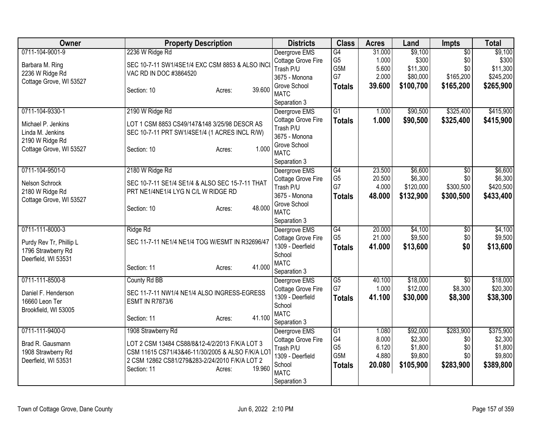| <b>Owner</b>                                                                                            | <b>Property Description</b>                                                                                                                                                                                   | <b>Districts</b>                                                                                                 | <b>Class</b>                                       | <b>Acres</b>                                | Land                                                   | Impts                                                   | <b>Total</b>                                            |
|---------------------------------------------------------------------------------------------------------|---------------------------------------------------------------------------------------------------------------------------------------------------------------------------------------------------------------|------------------------------------------------------------------------------------------------------------------|----------------------------------------------------|---------------------------------------------|--------------------------------------------------------|---------------------------------------------------------|---------------------------------------------------------|
| 0711-104-9001-9<br>Barbara M. Ring<br>2236 W Ridge Rd<br>Cottage Grove, WI 53527                        | 2236 W Ridge Rd<br>SEC 10-7-11 SW1/4SE1/4 EXC CSM 8853 & ALSO INCI<br>VAC RD IN DOC #3864520                                                                                                                  | Deergrove EMS<br>Cottage Grove Fire<br>Trash P/U<br>3675 - Monona<br>Grove School                                | G4<br>G <sub>5</sub><br>G5M<br>G7<br><b>Totals</b> | 31.000<br>1.000<br>5.600<br>2.000<br>39.600 | \$9,100<br>\$300<br>\$11,300<br>\$80,000<br>\$100,700  | $\overline{50}$<br>\$0<br>\$0<br>\$165,200<br>\$165,200 | \$9,100<br>\$300<br>\$11,300<br>\$245,200<br>\$265,900  |
|                                                                                                         | 39.600<br>Section: 10<br>Acres:                                                                                                                                                                               | <b>MATC</b><br>Separation 3                                                                                      |                                                    |                                             |                                                        |                                                         |                                                         |
| 0711-104-9330-1<br>Michael P. Jenkins<br>Linda M. Jenkins<br>2190 W Ridge Rd<br>Cottage Grove, WI 53527 | 2190 W Ridge Rd<br>LOT 1 CSM 8853 CS49/147&148 3/25/98 DESCR AS<br>SEC 10-7-11 PRT SW1/4SE1/4 (1 ACRES INCL R/W)<br>1.000<br>Section: 10<br>Acres:                                                            | Deergrove EMS<br>Cottage Grove Fire<br>Trash P/U<br>3675 - Monona<br>Grove School<br><b>MATC</b><br>Separation 3 | $\overline{G1}$<br><b>Totals</b>                   | 1.000<br>1.000                              | \$90,500<br>\$90,500                                   | \$325,400<br>\$325,400                                  | \$415,900<br>\$415,900                                  |
| 0711-104-9501-0<br>Nelson Schrock<br>2180 W Ridge Rd<br>Cottage Grove, WI 53527                         | 2180 W Ridge Rd<br>SEC 10-7-11 SE1/4 SE1/4 & ALSO SEC 15-7-11 THAT<br>PRT NE1/4NE1/4 LYG N C/L W RIDGE RD<br>48.000<br>Section: 10<br>Acres:                                                                  | Deergrove EMS<br>Cottage Grove Fire<br>Trash P/U<br>3675 - Monona<br>Grove School<br><b>MATC</b><br>Separation 3 | G4<br>G <sub>5</sub><br>G7<br><b>Totals</b>        | 23.500<br>20.500<br>4.000<br>48.000         | \$6,600<br>\$6,300<br>\$120,000<br>\$132,900           | $\overline{50}$<br>\$0<br>\$300,500<br>\$300,500        | \$6,600<br>\$6,300<br>\$420,500<br>\$433,400            |
| 0711-111-8000-3<br>Purdy Rev Tr, Phillip L<br>1796 Strawberry Rd<br>Deerfield, WI 53531                 | Ridge Rd<br>SEC 11-7-11 NE1/4 NE1/4 TOG W/ESMT IN R32696/47<br>41.000<br>Section: 11<br>Acres:                                                                                                                | Deergrove EMS<br>Cottage Grove Fire<br>1309 - Deerfield<br>School<br><b>MATC</b><br>Separation 3                 | G4<br>G <sub>5</sub><br><b>Totals</b>              | 20.000<br>21.000<br>41.000                  | \$4,100<br>\$9,500<br>\$13,600                         | $\overline{50}$<br>\$0<br>\$0                           | \$4,100<br>\$9,500<br>\$13,600                          |
| 0711-111-8500-8<br>Daniel F. Henderson<br>16660 Leon Ter<br>Brookfield, WI 53005                        | County Rd BB<br>SEC 11-7-11 NW1/4 NE1/4 ALSO INGRESS-EGRESS<br><b>ESMT IN R7873/6</b><br>41.100<br>Section: 11<br>Acres:                                                                                      | Deergrove EMS<br>Cottage Grove Fire<br>1309 - Deerfield<br>School<br><b>MATC</b><br>Separation 3                 | G <sub>5</sub><br>G7<br><b>Totals</b>              | 40.100<br>1.000<br>41.100                   | \$18,000<br>\$12,000<br>\$30,000                       | $\overline{50}$<br>\$8,300<br>\$8,300                   | \$18,000<br>\$20,300<br>\$38,300                        |
| 0711-111-9400-0<br>Brad R. Gausmann<br>1908 Strawberry Rd<br>Deerfield, WI 53531                        | 1908 Strawberry Rd<br>LOT 2 CSM 13484 CS88/8&12-4/2/2013 F/K/A LOT 3<br>CSM 11615 CS71/43&46-11/30/2005 & ALSO F/K/A LOT<br>2 CSM 12862 CS81/279&283-2/24/2010 F/K/A LOT 2<br>19.960<br>Section: 11<br>Acres: | Deergrove EMS<br>Cottage Grove Fire<br>Trash P/U<br>1309 - Deerfield<br>School<br><b>MATC</b><br>Separation 3    | G1<br>G4<br>G <sub>5</sub><br>G5M<br><b>Totals</b> | 1.080<br>8.000<br>6.120<br>4.880<br>20.080  | \$92,000<br>\$2,300<br>\$1,800<br>\$9,800<br>\$105,900 | \$283,900<br>\$0<br>\$0<br>\$0<br>\$283,900             | \$375,900<br>\$2,300<br>\$1,800<br>\$9,800<br>\$389,800 |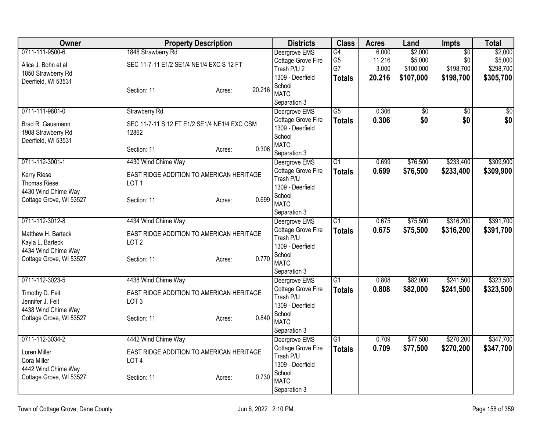| <b>Owner</b><br><b>Districts</b><br><b>Class</b><br><b>Acres</b><br><b>Property Description</b><br>Land<br><b>Impts</b>                 | <b>Total</b>     |
|-----------------------------------------------------------------------------------------------------------------------------------------|------------------|
| 0711-111-9500-6<br>\$2,000<br>1848 Strawberry Rd<br>G4<br>6.000<br>$\overline{50}$<br>Deergrove EMS                                     | \$2,000          |
| G <sub>5</sub><br>11.216<br>\$5,000<br>\$0<br>Cottage Grove Fire<br>SEC 11-7-11 E1/2 SE1/4 NE1/4 EXC S 12 FT<br>Alice J. Bohn et al     | \$5,000          |
| G7<br>3.000<br>\$100,000<br>\$198,700<br>Trash P/U 2<br>1850 Strawberry Rd                                                              | \$298,700        |
| 1309 - Deerfield<br>\$107,000<br>20.216<br>\$198,700<br><b>Totals</b><br>Deerfield, WI 53531                                            | \$305,700        |
| School<br>20.216<br>Section: 11<br>Acres:<br><b>MATC</b>                                                                                |                  |
| Separation 3                                                                                                                            |                  |
| 0711-111-9801-0<br>$\overline{G5}$<br>0.306<br>Strawberry Rd<br>Deergrove EMS<br>$\sqrt{6}$<br>$\overline{50}$                          | $\overline{\$0}$ |
| \$0<br>0.306<br>\$0<br>Cottage Grove Fire<br><b>Totals</b>                                                                              | \$0              |
| Brad R. Gausmann<br>SEC 11-7-11 S 12 FT E1/2 SE1/4 NE1/4 EXC CSM<br>1309 - Deerfield                                                    |                  |
| 1908 Strawberry Rd<br>12862<br>School<br>Deerfield, WI 53531                                                                            |                  |
| <b>MATC</b><br>0.306<br>Section: 11<br>Acres:                                                                                           |                  |
| Separation 3                                                                                                                            |                  |
| G1<br>\$76,500<br>\$233,400<br>0711-112-3001-1<br>4430 Wind Chime Way<br>0.699<br>Deergrove EMS                                         | \$309,900        |
| Cottage Grove Fire<br>0.699<br>\$76,500<br>\$233,400<br><b>Totals</b><br>EAST RIDGE ADDITION TO AMERICAN HERITAGE<br>Kerry Riese        | \$309,900        |
| Trash P/U<br><b>Thomas Riese</b><br>LOT <sub>1</sub><br>1309 - Deerfield                                                                |                  |
| 4430 Wind Chime Way<br>School                                                                                                           |                  |
| 0.699<br>Cottage Grove, WI 53527<br>Section: 11<br>Acres:<br><b>MATC</b>                                                                |                  |
| Separation 3                                                                                                                            |                  |
| 0711-112-3012-8<br>4434 Wind Chime Way<br>$\overline{G1}$<br>0.675<br>\$75,500<br>\$316,200<br>Deergrove EMS                            | \$391,700        |
| Cottage Grove Fire<br>0.675<br>\$75,500<br>\$316,200<br><b>Totals</b><br>Matthew H. Barteck<br>EAST RIDGE ADDITION TO AMERICAN HERITAGE | \$391,700        |
| Trash P/U<br>Kayla L. Barteck<br>LOT <sub>2</sub>                                                                                       |                  |
| 1309 - Deerfield<br>4434 Wind Chime Way                                                                                                 |                  |
| School<br>0.770<br>Cottage Grove, WI 53527<br>Section: 11<br>Acres:                                                                     |                  |
| <b>MATC</b>                                                                                                                             |                  |
| Separation 3<br>0711-112-3023-5<br>4438 Wind Chime Way<br>$\overline{G1}$<br>\$82,000<br>\$241,500<br>0.808                             | \$323,500        |
| Deergrove EMS<br>Cottage Grove Fire<br>0.808<br>\$82,000<br>\$241,500                                                                   | \$323,500        |
| <b>Totals</b><br>Timothy D. Feit<br>EAST RIDGE ADDITION TO AMERICAN HERITAGE<br>Trash P/U                                               |                  |
| LOT <sub>3</sub><br>Jennifer J. Feit<br>1309 - Deerfield                                                                                |                  |
| 4438 Wind Chime Way<br>School                                                                                                           |                  |
| 0.840<br>Cottage Grove, WI 53527<br>Section: 11<br>Acres:<br><b>MATC</b>                                                                |                  |
| Separation 3                                                                                                                            |                  |
| \$270,200<br>0711-112-3034-2<br>4442 Wind Chime Way<br>$\overline{G1}$<br>0.709<br>\$77,500<br>Deergrove EMS                            | \$347,700        |
| Cottage Grove Fire<br>0.709<br>\$77,500<br>\$270,200<br><b>Totals</b><br>EAST RIDGE ADDITION TO AMERICAN HERITAGE<br>Loren Miller       | \$347,700        |
| Trash P/U<br>Cora Miller<br>LOT <sub>4</sub>                                                                                            |                  |
| 1309 - Deerfield<br>4442 Wind Chime Way                                                                                                 |                  |
| School<br>0.730<br>Cottage Grove, WI 53527<br>Section: 11<br>Acres:<br><b>MATC</b>                                                      |                  |
| Separation 3                                                                                                                            |                  |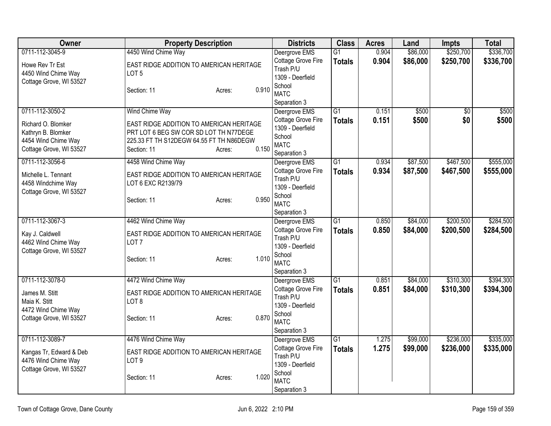| 0711-112-3045-9<br>0.904<br>\$86,000<br>4450 Wind Chime Way<br>Deergrove EMS<br>$\overline{G1}$<br>Cottage Grove Fire<br>0.904<br>\$86,000<br>\$250,700<br>\$336,700<br><b>Totals</b><br>EAST RIDGE ADDITION TO AMERICAN HERITAGE<br>Howe Rev Tr Est<br>Trash P/U<br>4450 Wind Chime Way<br>LOT <sub>5</sub><br>1309 - Deerfield<br>Cottage Grove, WI 53527<br>School<br>0.910<br>Section: 11<br>Acres:<br><b>MATC</b><br>Separation 3<br>0711-112-3050-2<br>Wind Chime Way<br>$\overline{G1}$<br>\$500<br>Deergrove EMS<br>0.151<br>$\overline{30}$<br>\$500<br>Cottage Grove Fire<br>0.151<br>\$500<br>\$0<br><b>Totals</b><br>EAST RIDGE ADDITION TO AMERICAN HERITAGE<br>Richard O. Blomker<br>1309 - Deerfield<br>PRT LOT 6 BEG SW COR SD LOT TH N77DEGE<br>Kathryn B. Blomker<br>School<br>4454 Wind Chime Way<br>225.33 FT TH S12DEGW 64.55 FT TH N86DEGW<br><b>MATC</b><br>0.150<br>Cottage Grove, WI 53527<br>Section: 11<br>Acres:<br>Separation 3<br>0711-112-3056-6<br>\$87,500<br>\$467,500<br>4458 Wind Chime Way<br>Deergrove EMS<br>G1<br>0.934<br>Cottage Grove Fire<br>0.934<br>\$87,500<br>\$467,500<br><b>Totals</b><br>EAST RIDGE ADDITION TO AMERICAN HERITAGE<br>Michelle L. Tennant<br>Trash P/U<br>LOT 6 EXC R2139/79<br>4458 Windchime Way<br>1309 - Deerfield<br>Cottage Grove, WI 53527<br>School<br>0.950<br>Section: 11<br>Acres:<br><b>MATC</b><br>Separation 3<br>0711-112-3067-3<br>4462 Wind Chime Way<br>G1<br>0.850<br>\$84,000<br>\$200,500<br>Deergrove EMS<br>Cottage Grove Fire<br>0.850<br>\$84,000<br>\$200,500<br><b>Totals</b><br>Kay J. Caldwell<br>EAST RIDGE ADDITION TO AMERICAN HERITAGE<br>Trash P/U<br>4462 Wind Chime Way<br>LOT <sub>7</sub><br>1309 - Deerfield<br>Cottage Grove, WI 53527<br>School<br>1.010<br>Section: 11<br>Acres:<br><b>MATC</b><br>Separation 3<br>0711-112-3078-0<br>4472 Wind Chime Way<br>$\overline{G1}$<br>\$310,300<br>0.851<br>\$84,000<br>Deergrove EMS<br>Cottage Grove Fire<br>0.851<br>\$310,300<br>\$84,000<br><b>Totals</b><br>James M. Stitt<br>EAST RIDGE ADDITION TO AMERICAN HERITAGE<br>Trash P/U<br>Maia K. Stitt<br>LOT <sub>8</sub><br>1309 - Deerfield<br>4472 Wind Chime Way<br>School<br>0.870<br>Cottage Grove, WI 53527<br>Section: 11<br>Acres:<br><b>MATC</b><br>Separation 3<br>0711-112-3089-7<br>4476 Wind Chime Way<br>G1<br>1.275<br>\$99,000<br>\$236,000<br>Deergrove EMS<br>Cottage Grove Fire<br>1.275<br>\$99,000<br>\$236,000<br><b>Totals</b><br>EAST RIDGE ADDITION TO AMERICAN HERITAGE<br>Kangas Tr, Edward & Deb<br>Trash P/U<br>4476 Wind Chime Way<br>LOT <sub>9</sub><br>1309 - Deerfield<br>Cottage Grove, WI 53527<br>School<br>1.020<br>Section: 11<br>Acres:<br><b>MATC</b> | <b>Owner</b> | <b>Property Description</b> | <b>Districts</b> | <b>Class</b> | <b>Acres</b> | Land | <b>Impts</b> | <b>Total</b> |
|------------------------------------------------------------------------------------------------------------------------------------------------------------------------------------------------------------------------------------------------------------------------------------------------------------------------------------------------------------------------------------------------------------------------------------------------------------------------------------------------------------------------------------------------------------------------------------------------------------------------------------------------------------------------------------------------------------------------------------------------------------------------------------------------------------------------------------------------------------------------------------------------------------------------------------------------------------------------------------------------------------------------------------------------------------------------------------------------------------------------------------------------------------------------------------------------------------------------------------------------------------------------------------------------------------------------------------------------------------------------------------------------------------------------------------------------------------------------------------------------------------------------------------------------------------------------------------------------------------------------------------------------------------------------------------------------------------------------------------------------------------------------------------------------------------------------------------------------------------------------------------------------------------------------------------------------------------------------------------------------------------------------------------------------------------------------------------------------------------------------------------------------------------------------------------------------------------------------------------------------------------------------------------------------------------------------------------------------------------------------------------------------------------------------------------------------------------------------------------------------------------------------------------------------------------------------------------------------------------------------------------------------------------------------------------------------------------|--------------|-----------------------------|------------------|--------------|--------------|------|--------------|--------------|
|                                                                                                                                                                                                                                                                                                                                                                                                                                                                                                                                                                                                                                                                                                                                                                                                                                                                                                                                                                                                                                                                                                                                                                                                                                                                                                                                                                                                                                                                                                                                                                                                                                                                                                                                                                                                                                                                                                                                                                                                                                                                                                                                                                                                                                                                                                                                                                                                                                                                                                                                                                                                                                                                                                            |              |                             |                  |              |              |      | \$250,700    | \$336,700    |
|                                                                                                                                                                                                                                                                                                                                                                                                                                                                                                                                                                                                                                                                                                                                                                                                                                                                                                                                                                                                                                                                                                                                                                                                                                                                                                                                                                                                                                                                                                                                                                                                                                                                                                                                                                                                                                                                                                                                                                                                                                                                                                                                                                                                                                                                                                                                                                                                                                                                                                                                                                                                                                                                                                            |              |                             |                  |              |              |      |              |              |
|                                                                                                                                                                                                                                                                                                                                                                                                                                                                                                                                                                                                                                                                                                                                                                                                                                                                                                                                                                                                                                                                                                                                                                                                                                                                                                                                                                                                                                                                                                                                                                                                                                                                                                                                                                                                                                                                                                                                                                                                                                                                                                                                                                                                                                                                                                                                                                                                                                                                                                                                                                                                                                                                                                            |              |                             |                  |              |              |      |              |              |
| \$500                                                                                                                                                                                                                                                                                                                                                                                                                                                                                                                                                                                                                                                                                                                                                                                                                                                                                                                                                                                                                                                                                                                                                                                                                                                                                                                                                                                                                                                                                                                                                                                                                                                                                                                                                                                                                                                                                                                                                                                                                                                                                                                                                                                                                                                                                                                                                                                                                                                                                                                                                                                                                                                                                                      |              |                             |                  |              |              |      |              |              |
|                                                                                                                                                                                                                                                                                                                                                                                                                                                                                                                                                                                                                                                                                                                                                                                                                                                                                                                                                                                                                                                                                                                                                                                                                                                                                                                                                                                                                                                                                                                                                                                                                                                                                                                                                                                                                                                                                                                                                                                                                                                                                                                                                                                                                                                                                                                                                                                                                                                                                                                                                                                                                                                                                                            |              |                             |                  |              |              |      |              |              |
|                                                                                                                                                                                                                                                                                                                                                                                                                                                                                                                                                                                                                                                                                                                                                                                                                                                                                                                                                                                                                                                                                                                                                                                                                                                                                                                                                                                                                                                                                                                                                                                                                                                                                                                                                                                                                                                                                                                                                                                                                                                                                                                                                                                                                                                                                                                                                                                                                                                                                                                                                                                                                                                                                                            |              |                             |                  |              |              |      |              |              |
|                                                                                                                                                                                                                                                                                                                                                                                                                                                                                                                                                                                                                                                                                                                                                                                                                                                                                                                                                                                                                                                                                                                                                                                                                                                                                                                                                                                                                                                                                                                                                                                                                                                                                                                                                                                                                                                                                                                                                                                                                                                                                                                                                                                                                                                                                                                                                                                                                                                                                                                                                                                                                                                                                                            |              |                             |                  |              |              |      |              |              |
|                                                                                                                                                                                                                                                                                                                                                                                                                                                                                                                                                                                                                                                                                                                                                                                                                                                                                                                                                                                                                                                                                                                                                                                                                                                                                                                                                                                                                                                                                                                                                                                                                                                                                                                                                                                                                                                                                                                                                                                                                                                                                                                                                                                                                                                                                                                                                                                                                                                                                                                                                                                                                                                                                                            |              |                             |                  |              |              |      |              |              |
| \$555,000<br>\$555,000<br>\$284,500<br>\$284,500<br>\$394,300<br>\$394,300<br>\$335,000<br>\$335,000                                                                                                                                                                                                                                                                                                                                                                                                                                                                                                                                                                                                                                                                                                                                                                                                                                                                                                                                                                                                                                                                                                                                                                                                                                                                                                                                                                                                                                                                                                                                                                                                                                                                                                                                                                                                                                                                                                                                                                                                                                                                                                                                                                                                                                                                                                                                                                                                                                                                                                                                                                                                       |              |                             |                  |              |              |      |              |              |
|                                                                                                                                                                                                                                                                                                                                                                                                                                                                                                                                                                                                                                                                                                                                                                                                                                                                                                                                                                                                                                                                                                                                                                                                                                                                                                                                                                                                                                                                                                                                                                                                                                                                                                                                                                                                                                                                                                                                                                                                                                                                                                                                                                                                                                                                                                                                                                                                                                                                                                                                                                                                                                                                                                            |              |                             |                  |              |              |      |              |              |
|                                                                                                                                                                                                                                                                                                                                                                                                                                                                                                                                                                                                                                                                                                                                                                                                                                                                                                                                                                                                                                                                                                                                                                                                                                                                                                                                                                                                                                                                                                                                                                                                                                                                                                                                                                                                                                                                                                                                                                                                                                                                                                                                                                                                                                                                                                                                                                                                                                                                                                                                                                                                                                                                                                            |              |                             |                  |              |              |      |              |              |
|                                                                                                                                                                                                                                                                                                                                                                                                                                                                                                                                                                                                                                                                                                                                                                                                                                                                                                                                                                                                                                                                                                                                                                                                                                                                                                                                                                                                                                                                                                                                                                                                                                                                                                                                                                                                                                                                                                                                                                                                                                                                                                                                                                                                                                                                                                                                                                                                                                                                                                                                                                                                                                                                                                            |              |                             |                  |              |              |      |              |              |
|                                                                                                                                                                                                                                                                                                                                                                                                                                                                                                                                                                                                                                                                                                                                                                                                                                                                                                                                                                                                                                                                                                                                                                                                                                                                                                                                                                                                                                                                                                                                                                                                                                                                                                                                                                                                                                                                                                                                                                                                                                                                                                                                                                                                                                                                                                                                                                                                                                                                                                                                                                                                                                                                                                            |              |                             |                  |              |              |      |              |              |
|                                                                                                                                                                                                                                                                                                                                                                                                                                                                                                                                                                                                                                                                                                                                                                                                                                                                                                                                                                                                                                                                                                                                                                                                                                                                                                                                                                                                                                                                                                                                                                                                                                                                                                                                                                                                                                                                                                                                                                                                                                                                                                                                                                                                                                                                                                                                                                                                                                                                                                                                                                                                                                                                                                            |              |                             |                  |              |              |      |              |              |
|                                                                                                                                                                                                                                                                                                                                                                                                                                                                                                                                                                                                                                                                                                                                                                                                                                                                                                                                                                                                                                                                                                                                                                                                                                                                                                                                                                                                                                                                                                                                                                                                                                                                                                                                                                                                                                                                                                                                                                                                                                                                                                                                                                                                                                                                                                                                                                                                                                                                                                                                                                                                                                                                                                            |              |                             |                  |              |              |      |              |              |
|                                                                                                                                                                                                                                                                                                                                                                                                                                                                                                                                                                                                                                                                                                                                                                                                                                                                                                                                                                                                                                                                                                                                                                                                                                                                                                                                                                                                                                                                                                                                                                                                                                                                                                                                                                                                                                                                                                                                                                                                                                                                                                                                                                                                                                                                                                                                                                                                                                                                                                                                                                                                                                                                                                            |              |                             |                  |              |              |      |              |              |
|                                                                                                                                                                                                                                                                                                                                                                                                                                                                                                                                                                                                                                                                                                                                                                                                                                                                                                                                                                                                                                                                                                                                                                                                                                                                                                                                                                                                                                                                                                                                                                                                                                                                                                                                                                                                                                                                                                                                                                                                                                                                                                                                                                                                                                                                                                                                                                                                                                                                                                                                                                                                                                                                                                            |              |                             |                  |              |              |      |              |              |
|                                                                                                                                                                                                                                                                                                                                                                                                                                                                                                                                                                                                                                                                                                                                                                                                                                                                                                                                                                                                                                                                                                                                                                                                                                                                                                                                                                                                                                                                                                                                                                                                                                                                                                                                                                                                                                                                                                                                                                                                                                                                                                                                                                                                                                                                                                                                                                                                                                                                                                                                                                                                                                                                                                            |              |                             |                  |              |              |      |              |              |
|                                                                                                                                                                                                                                                                                                                                                                                                                                                                                                                                                                                                                                                                                                                                                                                                                                                                                                                                                                                                                                                                                                                                                                                                                                                                                                                                                                                                                                                                                                                                                                                                                                                                                                                                                                                                                                                                                                                                                                                                                                                                                                                                                                                                                                                                                                                                                                                                                                                                                                                                                                                                                                                                                                            |              |                             |                  |              |              |      |              |              |
|                                                                                                                                                                                                                                                                                                                                                                                                                                                                                                                                                                                                                                                                                                                                                                                                                                                                                                                                                                                                                                                                                                                                                                                                                                                                                                                                                                                                                                                                                                                                                                                                                                                                                                                                                                                                                                                                                                                                                                                                                                                                                                                                                                                                                                                                                                                                                                                                                                                                                                                                                                                                                                                                                                            |              |                             |                  |              |              |      |              |              |
|                                                                                                                                                                                                                                                                                                                                                                                                                                                                                                                                                                                                                                                                                                                                                                                                                                                                                                                                                                                                                                                                                                                                                                                                                                                                                                                                                                                                                                                                                                                                                                                                                                                                                                                                                                                                                                                                                                                                                                                                                                                                                                                                                                                                                                                                                                                                                                                                                                                                                                                                                                                                                                                                                                            |              |                             |                  |              |              |      |              |              |
|                                                                                                                                                                                                                                                                                                                                                                                                                                                                                                                                                                                                                                                                                                                                                                                                                                                                                                                                                                                                                                                                                                                                                                                                                                                                                                                                                                                                                                                                                                                                                                                                                                                                                                                                                                                                                                                                                                                                                                                                                                                                                                                                                                                                                                                                                                                                                                                                                                                                                                                                                                                                                                                                                                            |              |                             |                  |              |              |      |              |              |
|                                                                                                                                                                                                                                                                                                                                                                                                                                                                                                                                                                                                                                                                                                                                                                                                                                                                                                                                                                                                                                                                                                                                                                                                                                                                                                                                                                                                                                                                                                                                                                                                                                                                                                                                                                                                                                                                                                                                                                                                                                                                                                                                                                                                                                                                                                                                                                                                                                                                                                                                                                                                                                                                                                            |              |                             |                  |              |              |      |              |              |
|                                                                                                                                                                                                                                                                                                                                                                                                                                                                                                                                                                                                                                                                                                                                                                                                                                                                                                                                                                                                                                                                                                                                                                                                                                                                                                                                                                                                                                                                                                                                                                                                                                                                                                                                                                                                                                                                                                                                                                                                                                                                                                                                                                                                                                                                                                                                                                                                                                                                                                                                                                                                                                                                                                            |              |                             |                  |              |              |      |              |              |
|                                                                                                                                                                                                                                                                                                                                                                                                                                                                                                                                                                                                                                                                                                                                                                                                                                                                                                                                                                                                                                                                                                                                                                                                                                                                                                                                                                                                                                                                                                                                                                                                                                                                                                                                                                                                                                                                                                                                                                                                                                                                                                                                                                                                                                                                                                                                                                                                                                                                                                                                                                                                                                                                                                            |              |                             |                  |              |              |      |              |              |
|                                                                                                                                                                                                                                                                                                                                                                                                                                                                                                                                                                                                                                                                                                                                                                                                                                                                                                                                                                                                                                                                                                                                                                                                                                                                                                                                                                                                                                                                                                                                                                                                                                                                                                                                                                                                                                                                                                                                                                                                                                                                                                                                                                                                                                                                                                                                                                                                                                                                                                                                                                                                                                                                                                            |              |                             |                  |              |              |      |              |              |
|                                                                                                                                                                                                                                                                                                                                                                                                                                                                                                                                                                                                                                                                                                                                                                                                                                                                                                                                                                                                                                                                                                                                                                                                                                                                                                                                                                                                                                                                                                                                                                                                                                                                                                                                                                                                                                                                                                                                                                                                                                                                                                                                                                                                                                                                                                                                                                                                                                                                                                                                                                                                                                                                                                            |              |                             |                  |              |              |      |              |              |
|                                                                                                                                                                                                                                                                                                                                                                                                                                                                                                                                                                                                                                                                                                                                                                                                                                                                                                                                                                                                                                                                                                                                                                                                                                                                                                                                                                                                                                                                                                                                                                                                                                                                                                                                                                                                                                                                                                                                                                                                                                                                                                                                                                                                                                                                                                                                                                                                                                                                                                                                                                                                                                                                                                            |              |                             |                  |              |              |      |              |              |
|                                                                                                                                                                                                                                                                                                                                                                                                                                                                                                                                                                                                                                                                                                                                                                                                                                                                                                                                                                                                                                                                                                                                                                                                                                                                                                                                                                                                                                                                                                                                                                                                                                                                                                                                                                                                                                                                                                                                                                                                                                                                                                                                                                                                                                                                                                                                                                                                                                                                                                                                                                                                                                                                                                            |              |                             |                  |              |              |      |              |              |
|                                                                                                                                                                                                                                                                                                                                                                                                                                                                                                                                                                                                                                                                                                                                                                                                                                                                                                                                                                                                                                                                                                                                                                                                                                                                                                                                                                                                                                                                                                                                                                                                                                                                                                                                                                                                                                                                                                                                                                                                                                                                                                                                                                                                                                                                                                                                                                                                                                                                                                                                                                                                                                                                                                            |              |                             |                  |              |              |      |              |              |
|                                                                                                                                                                                                                                                                                                                                                                                                                                                                                                                                                                                                                                                                                                                                                                                                                                                                                                                                                                                                                                                                                                                                                                                                                                                                                                                                                                                                                                                                                                                                                                                                                                                                                                                                                                                                                                                                                                                                                                                                                                                                                                                                                                                                                                                                                                                                                                                                                                                                                                                                                                                                                                                                                                            |              |                             |                  |              |              |      |              |              |
|                                                                                                                                                                                                                                                                                                                                                                                                                                                                                                                                                                                                                                                                                                                                                                                                                                                                                                                                                                                                                                                                                                                                                                                                                                                                                                                                                                                                                                                                                                                                                                                                                                                                                                                                                                                                                                                                                                                                                                                                                                                                                                                                                                                                                                                                                                                                                                                                                                                                                                                                                                                                                                                                                                            |              |                             |                  |              |              |      |              |              |
|                                                                                                                                                                                                                                                                                                                                                                                                                                                                                                                                                                                                                                                                                                                                                                                                                                                                                                                                                                                                                                                                                                                                                                                                                                                                                                                                                                                                                                                                                                                                                                                                                                                                                                                                                                                                                                                                                                                                                                                                                                                                                                                                                                                                                                                                                                                                                                                                                                                                                                                                                                                                                                                                                                            |              |                             |                  |              |              |      |              |              |
|                                                                                                                                                                                                                                                                                                                                                                                                                                                                                                                                                                                                                                                                                                                                                                                                                                                                                                                                                                                                                                                                                                                                                                                                                                                                                                                                                                                                                                                                                                                                                                                                                                                                                                                                                                                                                                                                                                                                                                                                                                                                                                                                                                                                                                                                                                                                                                                                                                                                                                                                                                                                                                                                                                            |              |                             |                  |              |              |      |              |              |
| Separation 3                                                                                                                                                                                                                                                                                                                                                                                                                                                                                                                                                                                                                                                                                                                                                                                                                                                                                                                                                                                                                                                                                                                                                                                                                                                                                                                                                                                                                                                                                                                                                                                                                                                                                                                                                                                                                                                                                                                                                                                                                                                                                                                                                                                                                                                                                                                                                                                                                                                                                                                                                                                                                                                                                               |              |                             |                  |              |              |      |              |              |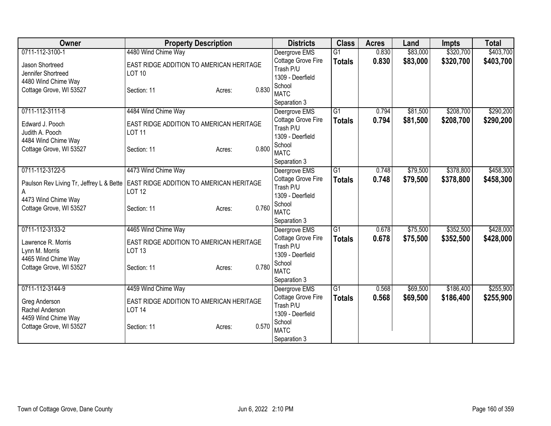| Owner                                    | <b>Property Description</b>                     | <b>Districts</b>                | <b>Class</b>    | <b>Acres</b> | Land     | <b>Impts</b> | <b>Total</b> |
|------------------------------------------|-------------------------------------------------|---------------------------------|-----------------|--------------|----------|--------------|--------------|
| 0711-112-3100-1                          | 4480 Wind Chime Way                             | Deergrove EMS                   | $\overline{G1}$ | 0.830        | \$83,000 | \$320,700    | \$403,700    |
| Jason Shortreed                          | EAST RIDGE ADDITION TO AMERICAN HERITAGE        | Cottage Grove Fire              | <b>Totals</b>   | 0.830        | \$83,000 | \$320,700    | \$403,700    |
| Jennifer Shortreed                       | <b>LOT 10</b>                                   | Trash P/U                       |                 |              |          |              |              |
| 4480 Wind Chime Way                      |                                                 | 1309 - Deerfield                |                 |              |          |              |              |
| Cottage Grove, WI 53527                  | Section: 11<br>Acres:                           | School<br>0.830                 |                 |              |          |              |              |
|                                          |                                                 | <b>MATC</b>                     |                 |              |          |              |              |
|                                          |                                                 | Separation 3                    |                 |              |          |              |              |
| 0711-112-3111-8                          | 4484 Wind Chime Way                             | Deergrove EMS                   | G1              | 0.794        | \$81,500 | \$208,700    | \$290,200    |
| Edward J. Pooch                          | EAST RIDGE ADDITION TO AMERICAN HERITAGE        | Cottage Grove Fire<br>Trash P/U | <b>Totals</b>   | 0.794        | \$81,500 | \$208,700    | \$290,200    |
| Judith A. Pooch                          | <b>LOT 11</b>                                   | 1309 - Deerfield                |                 |              |          |              |              |
| 4484 Wind Chime Way                      |                                                 | School                          |                 |              |          |              |              |
| Cottage Grove, WI 53527                  | Section: 11<br>Acres:                           | 0.800<br><b>MATC</b>            |                 |              |          |              |              |
|                                          |                                                 | Separation 3                    |                 |              |          |              |              |
| 0711-112-3122-5                          | 4473 Wind Chime Way                             | Deergrove EMS                   | $\overline{G1}$ | 0.748        | \$79,500 | \$378,800    | \$458,300    |
|                                          |                                                 | Cottage Grove Fire              | <b>Totals</b>   | 0.748        | \$79,500 | \$378,800    | \$458,300    |
| Paulson Rev Living Tr, Jeffrey L & Bette | <b>EAST RIDGE ADDITION TO AMERICAN HERITAGE</b> | Trash P/U                       |                 |              |          |              |              |
| A                                        | <b>LOT 12</b>                                   | 1309 - Deerfield                |                 |              |          |              |              |
| 4473 Wind Chime Way                      |                                                 | School                          |                 |              |          |              |              |
| Cottage Grove, WI 53527                  | Section: 11<br>Acres:                           | 0.760<br><b>MATC</b>            |                 |              |          |              |              |
|                                          |                                                 | Separation 3                    |                 |              |          |              |              |
| 0711-112-3133-2                          | 4465 Wind Chime Way                             | Deergrove EMS                   | G1              | 0.678        | \$75,500 | \$352,500    | \$428,000    |
| Lawrence R. Morris                       | EAST RIDGE ADDITION TO AMERICAN HERITAGE        | Cottage Grove Fire              | <b>Totals</b>   | 0.678        | \$75,500 | \$352,500    | \$428,000    |
| Lynn M. Morris                           | <b>LOT 13</b>                                   | Trash P/U                       |                 |              |          |              |              |
| 4465 Wind Chime Way                      |                                                 | 1309 - Deerfield                |                 |              |          |              |              |
| Cottage Grove, WI 53527                  | Section: 11<br>Acres:                           | School<br>0.780                 |                 |              |          |              |              |
|                                          |                                                 | <b>MATC</b>                     |                 |              |          |              |              |
|                                          |                                                 | Separation 3                    |                 |              |          |              |              |
| 0711-112-3144-9                          | 4459 Wind Chime Way                             | Deergrove EMS                   | $\overline{G1}$ | 0.568        | \$69,500 | \$186,400    | \$255,900    |
| Greg Anderson                            | EAST RIDGE ADDITION TO AMERICAN HERITAGE        | <b>Cottage Grove Fire</b>       | <b>Totals</b>   | 0.568        | \$69,500 | \$186,400    | \$255,900    |
| Rachel Anderson                          | <b>LOT 14</b>                                   | Trash P/U                       |                 |              |          |              |              |
| 4459 Wind Chime Way                      |                                                 | 1309 - Deerfield                |                 |              |          |              |              |
| Cottage Grove, WI 53527                  | Section: 11<br>Acres:                           | School<br>0.570<br><b>MATC</b>  |                 |              |          |              |              |
|                                          |                                                 | Separation 3                    |                 |              |          |              |              |
|                                          |                                                 |                                 |                 |              |          |              |              |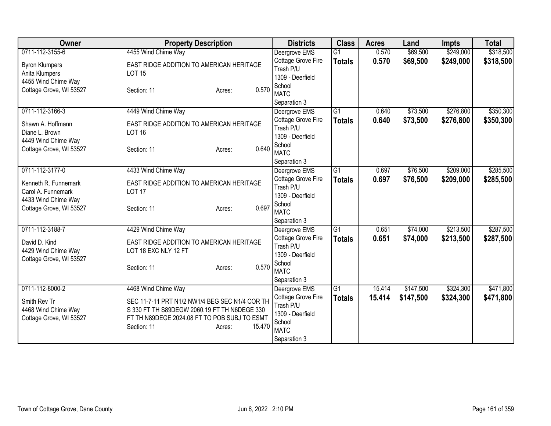| Owner                                      | <b>Property Description</b>                                                                    | <b>Districts</b>                    | <b>Class</b>    | <b>Acres</b> | Land      | <b>Impts</b> | <b>Total</b> |
|--------------------------------------------|------------------------------------------------------------------------------------------------|-------------------------------------|-----------------|--------------|-----------|--------------|--------------|
| 0711-112-3155-6                            | 4455 Wind Chime Way                                                                            | Deergrove EMS                       | $\overline{G1}$ | 0.570        | \$69,500  | \$249,000    | \$318,500    |
| <b>Byron Klumpers</b>                      | EAST RIDGE ADDITION TO AMERICAN HERITAGE                                                       | Cottage Grove Fire                  | <b>Totals</b>   | 0.570        | \$69,500  | \$249,000    | \$318,500    |
| Anita Klumpers                             | <b>LOT 15</b>                                                                                  | Trash P/U                           |                 |              |           |              |              |
| 4455 Wind Chime Way                        |                                                                                                | 1309 - Deerfield                    |                 |              |           |              |              |
| Cottage Grove, WI 53527                    | 0.570<br>Section: 11<br>Acres:                                                                 | School                              |                 |              |           |              |              |
|                                            |                                                                                                | <b>MATC</b>                         |                 |              |           |              |              |
| 0711-112-3166-3                            |                                                                                                | Separation 3                        | $\overline{G1}$ | 0.640        | \$73,500  | \$276,800    | \$350,300    |
|                                            | 4449 Wind Chime Way                                                                            | Deergrove EMS<br>Cottage Grove Fire |                 |              |           |              |              |
| Shawn A. Hoffmann                          | EAST RIDGE ADDITION TO AMERICAN HERITAGE                                                       | Trash P/U                           | <b>Totals</b>   | 0.640        | \$73,500  | \$276,800    | \$350,300    |
| Diane L. Brown                             | <b>LOT 16</b>                                                                                  | 1309 - Deerfield                    |                 |              |           |              |              |
| 4449 Wind Chime Way                        |                                                                                                | School                              |                 |              |           |              |              |
| Cottage Grove, WI 53527                    | 0.640<br>Section: 11<br>Acres:                                                                 | <b>MATC</b>                         |                 |              |           |              |              |
|                                            |                                                                                                | Separation 3                        |                 |              |           |              |              |
| 0711-112-3177-0                            | 4433 Wind Chime Way                                                                            | Deergrove EMS                       | $\overline{G1}$ | 0.697        | \$76,500  | \$209,000    | \$285,500    |
|                                            |                                                                                                | Cottage Grove Fire                  | <b>Totals</b>   | 0.697        | \$76,500  | \$209,000    | \$285,500    |
| Kenneth R. Funnemark<br>Carol A. Funnemark | EAST RIDGE ADDITION TO AMERICAN HERITAGE<br><b>LOT 17</b>                                      | Trash P/U                           |                 |              |           |              |              |
| 4433 Wind Chime Way                        |                                                                                                | 1309 - Deerfield                    |                 |              |           |              |              |
| Cottage Grove, WI 53527                    | 0.697<br>Section: 11<br>Acres:                                                                 | School                              |                 |              |           |              |              |
|                                            |                                                                                                | <b>MATC</b>                         |                 |              |           |              |              |
|                                            |                                                                                                | Separation 3                        |                 |              |           |              |              |
| 0711-112-3188-7                            | 4429 Wind Chime Way                                                                            | Deergrove EMS                       | G1              | 0.651        | \$74,000  | \$213,500    | \$287,500    |
| David D. Kind                              | EAST RIDGE ADDITION TO AMERICAN HERITAGE                                                       | Cottage Grove Fire<br>Trash P/U     | <b>Totals</b>   | 0.651        | \$74,000  | \$213,500    | \$287,500    |
| 4429 Wind Chime Way                        | LOT 18 EXC NLY 12 FT                                                                           | 1309 - Deerfield                    |                 |              |           |              |              |
| Cottage Grove, WI 53527                    |                                                                                                | School                              |                 |              |           |              |              |
|                                            | 0.570<br>Section: 11<br>Acres:                                                                 | <b>MATC</b>                         |                 |              |           |              |              |
|                                            |                                                                                                | Separation 3                        |                 |              |           |              |              |
| 0711-112-8000-2                            | 4468 Wind Chime Way                                                                            | Deergrove EMS                       | $\overline{G1}$ | 15.414       | \$147,500 | \$324,300    | \$471,800    |
|                                            |                                                                                                | Cottage Grove Fire                  | <b>Totals</b>   | 15.414       | \$147,500 | \$324,300    | \$471,800    |
| Smith Rev Tr<br>4468 Wind Chime Way        | SEC 11-7-11 PRT N1/2 NW1/4 BEG SEC N1/4 COR TH<br>S 330 FT TH S89DEGW 2060.19 FT TH N6DEGE 330 | Trash P/U                           |                 |              |           |              |              |
| Cottage Grove, WI 53527                    | FT TH N89DEGE 2024.08 FT TO POB SUBJ TO ESMT                                                   | 1309 - Deerfield                    |                 |              |           |              |              |
|                                            | 15.470<br>Section: 11<br>Acres:                                                                | School                              |                 |              |           |              |              |
|                                            |                                                                                                | <b>MATC</b>                         |                 |              |           |              |              |
|                                            |                                                                                                | Separation 3                        |                 |              |           |              |              |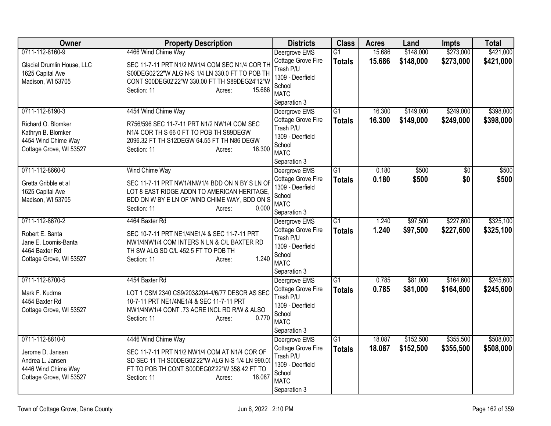| <b>Owner</b>                                                                               | <b>Property Description</b>                                                                                                                                                           | <b>Districts</b>                                                                             | <b>Class</b>    | <b>Acres</b> | Land      | <b>Impts</b>    | <b>Total</b> |
|--------------------------------------------------------------------------------------------|---------------------------------------------------------------------------------------------------------------------------------------------------------------------------------------|----------------------------------------------------------------------------------------------|-----------------|--------------|-----------|-----------------|--------------|
| 0711-112-8160-9                                                                            | 4466 Wind Chime Way                                                                                                                                                                   | Deergrove EMS                                                                                | $\overline{G1}$ | 15.686       | \$148,000 | \$273,000       | \$421,000    |
| Glacial Drumlin House, LLC<br>1625 Capital Ave<br>Madison, WI 53705                        | SEC 11-7-11 PRT N1/2 NW1/4 COM SEC N1/4 COR TH<br>S00DEG02'22"W ALG N-S 1/4 LN 330.0 FT TO POB TH<br>CONT S00DEG02'22"W 330.00 FT TH S89DEG24'12"W<br>Section: 11<br>15.686<br>Acres: | Cottage Grove Fire<br>Trash P/U<br>1309 - Deerfield<br>School<br><b>MATC</b><br>Separation 3 | <b>Totals</b>   | 15.686       | \$148,000 | \$273,000       | \$421,000    |
| 0711-112-8190-3                                                                            | 4454 Wind Chime Way                                                                                                                                                                   | Deergrove EMS                                                                                | $\overline{G1}$ | 16.300       | \$149,000 | \$249,000       | \$398,000    |
| Richard O. Blomker<br>Kathryn B. Blomker<br>4454 Wind Chime Way<br>Cottage Grove, WI 53527 | R756/596 SEC 11-7-11 PRT N1/2 NW1/4 COM SEC<br>N1/4 COR TH S 66 0 FT TO POB TH S89DEGW<br>2096.32 FT TH S12DEGW 64.55 FT TH N86 DEGW<br>16.300<br>Section: 11<br>Acres:               | Cottage Grove Fire<br>Trash P/U<br>1309 - Deerfield<br>School<br><b>MATC</b><br>Separation 3 | <b>Totals</b>   | 16.300       | \$149,000 | \$249,000       | \$398,000    |
| 0711-112-8660-0                                                                            | Wind Chime Way                                                                                                                                                                        | Deergrove EMS                                                                                | $\overline{G1}$ | 0.180        | \$500     | $\overline{50}$ | \$500        |
| Gretta Gribble et al<br>1625 Capital Ave<br>Madison, WI 53705                              | SEC 11-7-11 PRT NW1/4NW1/4 BDD ON N BY S LN OF<br>LOT 8 EAST RIDGE ADDN TO AMERICAN HERITAGE,<br>BDD ON W BY E LN OF WIND CHIME WAY, BDD ON S<br>0.000<br>Section: 11<br>Acres:       | Cottage Grove Fire<br>1309 - Deerfield<br>School<br><b>MATC</b><br>Separation 3              | <b>Totals</b>   | 0.180        | \$500     | \$0             | \$500        |
| 0711-112-8670-2                                                                            | 4464 Baxter Rd                                                                                                                                                                        | Deergrove EMS                                                                                | G1              | 1.240        | \$97,500  | \$227,600       | \$325,100    |
| Robert E. Banta<br>Jane E. Loomis-Banta<br>4464 Baxter Rd<br>Cottage Grove, WI 53527       | SEC 10-7-11 PRT NE1/4NE1/4 & SEC 11-7-11 PRT<br>NW1/4NW1/4 COM INTERS N LN & C/L BAXTER RD<br>TH SW ALG SD C/L 452.5 FT TO POB TH<br>1.240<br>Section: 11<br>Acres:                   | Cottage Grove Fire<br>Trash P/U<br>1309 - Deerfield<br>School<br><b>MATC</b><br>Separation 3 | <b>Totals</b>   | 1.240        | \$97,500  | \$227,600       | \$325,100    |
| 0711-112-8700-5                                                                            | 4454 Baxter Rd                                                                                                                                                                        | Deergrove EMS                                                                                | $\overline{G1}$ | 0.785        | \$81,000  | \$164,600       | \$245,600    |
| Mark F. Kudrna<br>4454 Baxter Rd<br>Cottage Grove, WI 53527                                | LOT 1 CSM 2340 CS9/203&204-4/6/77 DESCR AS SEC<br>10-7-11 PRT NE1/4NE1/4 & SEC 11-7-11 PRT<br>NW1/4NW1/4 CONT .73 ACRE INCL RD R/W & ALSO<br>0.770<br>Section: 11<br>Acres:           | Cottage Grove Fire<br>Trash P/U<br>1309 - Deerfield<br>School<br><b>MATC</b><br>Separation 3 | <b>Totals</b>   | 0.785        | \$81,000  | \$164,600       | \$245,600    |
| 0711-112-8810-0                                                                            | 4446 Wind Chime Way                                                                                                                                                                   | Deergrove EMS                                                                                | G1              | 18.087       | \$152,500 | \$355,500       | \$508,000    |
| Jerome D. Jansen<br>Andrea L. Jansen<br>4446 Wind Chime Way<br>Cottage Grove, WI 53527     | SEC 11-7-11 PRT N1/2 NW1/4 COM AT N1/4 COR OF<br>SD SEC 11 TH S00DEG02'22"W ALG N-S 1/4 LN 990.00<br>FT TO POB TH CONT S00DEG02'22"W 358.42 FT TO<br>18.087<br>Section: 11<br>Acres:  | Cottage Grove Fire<br>Trash P/U<br>1309 - Deerfield<br>School<br><b>MATC</b><br>Separation 3 | <b>Totals</b>   | 18.087       | \$152,500 | \$355,500       | \$508,000    |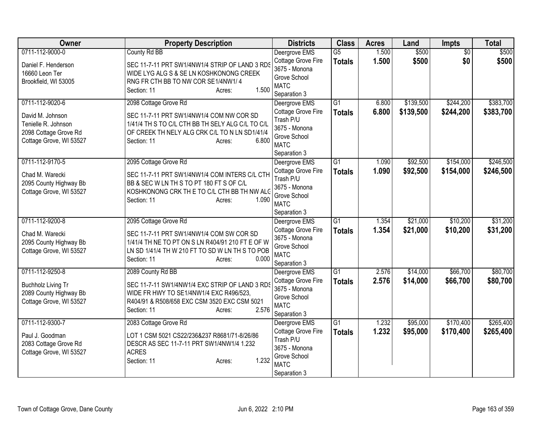| <b>Owner</b>                                                                                | <b>Property Description</b>                                                                                                                                                                        | <b>Districts</b>                                                                                                 | <b>Class</b>                     | <b>Acres</b>   | Land                 | Impts                  | <b>Total</b>           |
|---------------------------------------------------------------------------------------------|----------------------------------------------------------------------------------------------------------------------------------------------------------------------------------------------------|------------------------------------------------------------------------------------------------------------------|----------------------------------|----------------|----------------------|------------------------|------------------------|
| 0711-112-9000-0                                                                             | County Rd BB                                                                                                                                                                                       | Deergrove EMS<br>Cottage Grove Fire                                                                              | $\overline{G5}$<br><b>Totals</b> | 1.500<br>1.500 | \$500<br>\$500       | $\overline{50}$<br>\$0 | \$500<br>\$500         |
| Daniel F. Henderson<br>16660 Leon Ter<br>Brookfield, WI 53005                               | SEC 11-7-11 PRT SW1/4NW1/4 STRIP OF LAND 3 RDS<br>WIDE LYG ALG S & SE LN KOSHKONONG CREEK<br>RNG FR CTH BB TO NW COR SE1/4NW1/4<br>1.500<br>Section: 11<br>Acres:                                  | 3675 - Monona<br>Grove School<br><b>MATC</b><br>Separation 3                                                     |                                  |                |                      |                        |                        |
| 0711-112-9020-6                                                                             | 2098 Cottage Grove Rd                                                                                                                                                                              | Deergrove EMS                                                                                                    | $\overline{G1}$                  | 6.800          | \$139,500            | \$244,200              | \$383,700              |
| David M. Johnson<br>Tenielle R. Johnson<br>2098 Cottage Grove Rd<br>Cottage Grove, WI 53527 | SEC 11-7-11 PRT SW1/4NW1/4 COM NW COR SD<br>1/41/4 TH S TO C/L CTH BB TH SELY ALG C/L TO C/L<br>OF CREEK TH NELY ALG CRK C/L TO N LN SD1/41/4<br>6.800<br>Section: 11<br>Acres:                    | Cottage Grove Fire<br>Trash P/U<br>3675 - Monona<br>Grove School<br><b>MATC</b><br>Separation 3                  | <b>Totals</b>                    | 6.800          | \$139,500            | \$244,200              | \$383,700              |
| 0711-112-9170-5<br>Chad M. Warecki<br>2095 County Highway Bb<br>Cottage Grove, WI 53527     | 2095 Cottage Grove Rd<br>SEC 11-7-11 PRT SW1/4NW1/4 COM INTERS C/L CTH<br>BB & SEC W LN TH S TO PT 180 FT S OF C/L<br>KOSHKONONG CRK THE TO C/L CTH BB TH NW ALG<br>1.090<br>Section: 11<br>Acres: | Deergrove EMS<br>Cottage Grove Fire<br>Trash P/U<br>3675 - Monona<br>Grove School<br><b>MATC</b><br>Separation 3 | $\overline{G1}$<br><b>Totals</b> | 1.090<br>1.090 | \$92,500<br>\$92,500 | \$154,000<br>\$154,000 | \$246,500<br>\$246,500 |
| 0711-112-9200-8                                                                             | 2095 Cottage Grove Rd                                                                                                                                                                              | Deergrove EMS                                                                                                    | $\overline{G1}$                  | 1.354          | \$21,000             | \$10,200               | \$31,200               |
| Chad M. Warecki<br>2095 County Highway Bb<br>Cottage Grove, WI 53527                        | SEC 11-7-11 PRT SW1/4NW1/4 COM SW COR SD<br>1/41/4 TH NE TO PT ON S LN R404/91 210 FT E OF W<br>LN SD 1/41/4 TH W 210 FT TO SD W LN TH S TO POB<br>0.000<br>Section: 11<br>Acres:                  | Cottage Grove Fire<br>3675 - Monona<br>Grove School<br><b>MATC</b><br>Separation 3                               | <b>Totals</b>                    | 1.354          | \$21,000             | \$10,200               | \$31,200               |
| 0711-112-9250-8                                                                             | 2089 County Rd BB                                                                                                                                                                                  | Deergrove EMS                                                                                                    | $\overline{G1}$                  | 2.576          | \$14,000             | \$66,700               | \$80,700               |
| <b>Buchholz Living Tr</b><br>2089 County Highway Bb<br>Cottage Grove, WI 53527              | SEC 11-7-11 SW1/4NW1/4 EXC STRIP OF LAND 3 RDS<br>WIDE FR HWY TO SE1/4NW1/4 EXC R496/523,<br>R404/91 & R508/658 EXC CSM 3520 EXC CSM 5021<br>2.576<br>Section: 11<br>Acres:                        | Cottage Grove Fire<br>3675 - Monona<br>Grove School<br><b>MATC</b><br>Separation 3                               | <b>Totals</b>                    | 2.576          | \$14,000             | \$66,700               | \$80,700               |
| 0711-112-9300-7                                                                             | 2083 Cottage Grove Rd                                                                                                                                                                              | Deergrove EMS                                                                                                    | G1                               | 1.232          | \$95,000             | \$170,400              | \$265,400              |
| Paul J. Goodman<br>2083 Cottage Grove Rd<br>Cottage Grove, WI 53527                         | LOT 1 CSM 5021 CS22/236&237 R8681/71-8/26/86<br>DESCR AS SEC 11-7-11 PRT SW1/4NW1/4 1.232<br><b>ACRES</b><br>1.232<br>Section: 11<br>Acres:                                                        | Cottage Grove Fire<br>Trash P/U<br>3675 - Monona<br>Grove School<br><b>MATC</b><br>Separation 3                  | <b>Totals</b>                    | 1.232          | \$95,000             | \$170,400              | \$265,400              |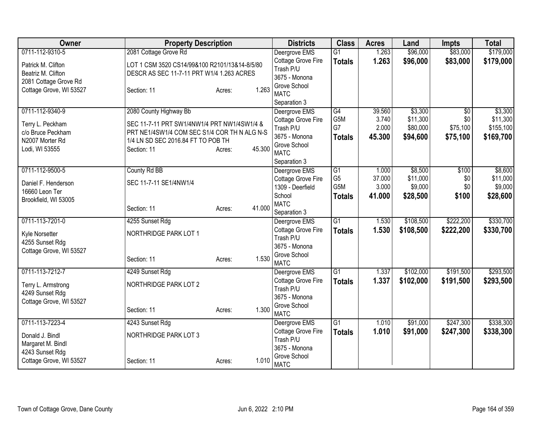| <b>Owner</b>            | <b>Property Description</b>                   |                  | <b>Districts</b>                | <b>Class</b>    | <b>Acres</b> | Land      | <b>Impts</b>    | <b>Total</b> |
|-------------------------|-----------------------------------------------|------------------|---------------------------------|-----------------|--------------|-----------|-----------------|--------------|
| 0711-112-9310-5         | 2081 Cottage Grove Rd                         |                  | Deergrove EMS                   | $\overline{G1}$ | 1.263        | \$96,000  | \$83,000        | \$179,000    |
| Patrick M. Clifton      | LOT 1 CSM 3520 CS14/99&100 R2101/13&14-8/5/80 |                  | Cottage Grove Fire              | <b>Totals</b>   | 1.263        | \$96,000  | \$83,000        | \$179,000    |
| Beatriz M. Clifton      | DESCR AS SEC 11-7-11 PRT W1/4 1.263 ACRES     |                  | Trash P/U                       |                 |              |           |                 |              |
| 2081 Cottage Grove Rd   |                                               |                  | 3675 - Monona                   |                 |              |           |                 |              |
| Cottage Grove, WI 53527 | Section: 11                                   | 1.263<br>Acres:  | Grove School<br><b>MATC</b>     |                 |              |           |                 |              |
|                         |                                               |                  | Separation 3                    |                 |              |           |                 |              |
| 0711-112-9340-9         | 2080 County Highway Bb                        |                  | Deergrove EMS                   | G4              | 39.560       | \$3,300   | $\overline{50}$ | \$3,300      |
|                         |                                               |                  | Cottage Grove Fire              | G5M             | 3.740        | \$11,300  | \$0             | \$11,300     |
| Terry L. Peckham        | SEC 11-7-11 PRT SW1/4NW1/4 PRT NW1/4SW1/4 &   |                  | Trash P/U                       | G7              | 2.000        | \$80,000  | \$75,100        | \$155,100    |
| c/o Bruce Peckham       | PRT NE1/4SW1/4 COM SEC S1/4 COR TH N ALG N-S  |                  | 3675 - Monona                   | <b>Totals</b>   | 45.300       | \$94,600  | \$75,100        | \$169,700    |
| N2007 Morter Rd         | 1/4 LN SD SEC 2016.84 FT TO POB TH            |                  | Grove School                    |                 |              |           |                 |              |
| Lodi, WI 53555          | Section: 11                                   | 45.300<br>Acres: | <b>MATC</b>                     |                 |              |           |                 |              |
|                         |                                               |                  | Separation 3                    |                 |              |           |                 |              |
| 0711-112-9500-5         | County Rd BB                                  |                  | Deergrove EMS                   | G1              | 1.000        | \$8,500   | \$100           | \$8,600      |
| Daniel F. Henderson     | SEC 11-7-11 SE1/4NW1/4                        |                  | Cottage Grove Fire              | G <sub>5</sub>  | 37.000       | \$11,000  | \$0             | \$11,000     |
| 16660 Leon Ter          |                                               |                  | 1309 - Deerfield                | G5M             | 3.000        | \$9,000   | \$0             | \$9,000      |
| Brookfield, WI 53005    |                                               |                  | School                          | <b>Totals</b>   | 41.000       | \$28,500  | \$100           | \$28,600     |
|                         | Section: 11                                   | 41.000<br>Acres: | <b>MATC</b>                     |                 |              |           |                 |              |
| 0711-113-7201-0         | 4255 Sunset Rdg                               |                  | Separation 3<br>Deergrove EMS   | G1              | 1.530        | \$108,500 | \$222,200       | \$330,700    |
|                         |                                               |                  | Cottage Grove Fire              |                 | 1.530        | \$108,500 | \$222,200       | \$330,700    |
| Kyle Norsetter          | NORTHRIDGE PARK LOT 1                         |                  | Trash P/U                       | <b>Totals</b>   |              |           |                 |              |
| 4255 Sunset Rdg         |                                               |                  | 3675 - Monona                   |                 |              |           |                 |              |
| Cottage Grove, WI 53527 |                                               |                  | Grove School                    |                 |              |           |                 |              |
|                         | Section: 11                                   | 1.530<br>Acres:  | <b>MATC</b>                     |                 |              |           |                 |              |
| 0711-113-7212-7         | 4249 Sunset Rdg                               |                  | Deergrove EMS                   | $\overline{G1}$ | 1.337        | \$102,000 | \$191,500       | \$293,500    |
| Terry L. Armstrong      | NORTHRIDGE PARK LOT 2                         |                  | Cottage Grove Fire              | <b>Totals</b>   | 1.337        | \$102,000 | \$191,500       | \$293,500    |
| 4249 Sunset Rdg         |                                               |                  | Trash P/U                       |                 |              |           |                 |              |
| Cottage Grove, WI 53527 |                                               |                  | 3675 - Monona                   |                 |              |           |                 |              |
|                         | Section: 11                                   | 1.300<br>Acres:  | Grove School                    |                 |              |           |                 |              |
|                         |                                               |                  | <b>MATC</b>                     |                 |              |           |                 |              |
| 0711-113-7223-4         | 4243 Sunset Rdg                               |                  | Deergrove EMS                   | $\overline{G1}$ | 1.010        | \$91,000  | \$247,300       | \$338,300    |
| Donald J. Bindl         | NORTHRIDGE PARK LOT 3                         |                  | Cottage Grove Fire<br>Trash P/U | <b>Totals</b>   | 1.010        | \$91,000  | \$247,300       | \$338,300    |
| Margaret M. Bindl       |                                               |                  | 3675 - Monona                   |                 |              |           |                 |              |
| 4243 Sunset Rdg         |                                               |                  | Grove School                    |                 |              |           |                 |              |
| Cottage Grove, WI 53527 | Section: 11                                   | 1.010<br>Acres:  | <b>MATC</b>                     |                 |              |           |                 |              |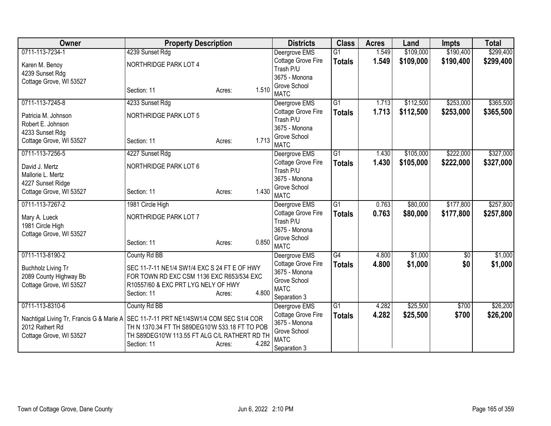| Owner                                                                                | <b>Property Description</b>                    |                 | <b>Districts</b>                | <b>Class</b>    | <b>Acres</b> | Land      | <b>Impts</b> | <b>Total</b> |
|--------------------------------------------------------------------------------------|------------------------------------------------|-----------------|---------------------------------|-----------------|--------------|-----------|--------------|--------------|
| 0711-113-7234-1                                                                      | 4239 Sunset Rdg                                |                 | Deergrove EMS                   | $\overline{G1}$ | 1.549        | \$109,000 | \$190,400    | \$299,400    |
| Karen M. Benoy                                                                       | NORTHRIDGE PARK LOT 4                          |                 | Cottage Grove Fire              | <b>Totals</b>   | 1.549        | \$109,000 | \$190,400    | \$299,400    |
| 4239 Sunset Rdg                                                                      |                                                |                 | Trash P/U                       |                 |              |           |              |              |
| Cottage Grove, WI 53527                                                              |                                                |                 | 3675 - Monona                   |                 |              |           |              |              |
|                                                                                      | Section: 11                                    | 1.510<br>Acres: | Grove School                    |                 |              |           |              |              |
|                                                                                      |                                                |                 | <b>MATC</b>                     |                 |              |           |              |              |
| 0711-113-7245-8                                                                      | 4233 Sunset Rdg                                |                 | Deergrove EMS                   | $\overline{G1}$ | 1.713        | \$112,500 | \$253,000    | \$365,500    |
| Patricia M. Johnson                                                                  | NORTHRIDGE PARK LOT 5                          |                 | Cottage Grove Fire              | <b>Totals</b>   | 1.713        | \$112,500 | \$253,000    | \$365,500    |
| Robert E. Johnson                                                                    |                                                |                 | Trash P/U                       |                 |              |           |              |              |
| 4233 Sunset Rdg                                                                      |                                                |                 | 3675 - Monona                   |                 |              |           |              |              |
| Cottage Grove, WI 53527                                                              | Section: 11                                    | 1.713<br>Acres: | Grove School                    |                 |              |           |              |              |
|                                                                                      |                                                |                 | <b>MATC</b>                     |                 |              |           |              |              |
| 0711-113-7256-5                                                                      | 4227 Sunset Rdg                                |                 | Deergrove EMS                   | $\overline{G1}$ | 1.430        | \$105,000 | \$222,000    | \$327,000    |
| David J. Mertz                                                                       | NORTHRIDGE PARK LOT 6                          |                 | Cottage Grove Fire              | <b>Totals</b>   | 1.430        | \$105,000 | \$222,000    | \$327,000    |
| Mallorie L. Mertz                                                                    |                                                |                 | Trash P/U                       |                 |              |           |              |              |
| 4227 Sunset Ridge                                                                    |                                                |                 | 3675 - Monona                   |                 |              |           |              |              |
| Cottage Grove, WI 53527                                                              | Section: 11                                    | 1.430<br>Acres: | Grove School<br><b>MATC</b>     |                 |              |           |              |              |
| 0711-113-7267-2                                                                      |                                                |                 |                                 |                 | 0.763        |           |              |              |
|                                                                                      | 1981 Circle High                               |                 | Deergrove EMS                   | $\overline{G1}$ |              | \$80,000  | \$177,800    | \$257,800    |
| Mary A. Lueck                                                                        | NORTHRIDGE PARK LOT 7                          |                 | Cottage Grove Fire<br>Trash P/U | <b>Totals</b>   | 0.763        | \$80,000  | \$177,800    | \$257,800    |
| 1981 Circle High                                                                     |                                                |                 | 3675 - Monona                   |                 |              |           |              |              |
| Cottage Grove, WI 53527                                                              |                                                |                 | Grove School                    |                 |              |           |              |              |
|                                                                                      | Section: 11                                    | 0.850<br>Acres: | <b>MATC</b>                     |                 |              |           |              |              |
| 0711-113-8190-2                                                                      | County Rd BB                                   |                 | Deergrove EMS                   | G4              | 4.800        | \$1,000   | $\sqrt{6}$   | \$1,000      |
|                                                                                      |                                                |                 | Cottage Grove Fire              |                 |              |           | \$0          |              |
| <b>Buchholz Living Tr</b>                                                            | SEC 11-7-11 NE1/4 SW1/4 EXC S 24 FT E OF HWY   |                 | 3675 - Monona                   | <b>Totals</b>   | 4.800        | \$1,000   |              | \$1,000      |
| 2089 County Highway Bb                                                               | FOR TOWN RD EXC CSM 1136 EXC R653/534 EXC      |                 | Grove School                    |                 |              |           |              |              |
| Cottage Grove, WI 53527                                                              | R10557/60 & EXC PRT LYG NELY OF HWY            |                 | <b>MATC</b>                     |                 |              |           |              |              |
|                                                                                      | Section: 11                                    | 4.800<br>Acres: | Separation 3                    |                 |              |           |              |              |
| 0711-113-8310-6                                                                      | County Rd BB                                   |                 | Deergrove EMS                   | $\overline{G1}$ | 4.282        | \$25,500  | \$700        | \$26,200     |
|                                                                                      |                                                |                 | Cottage Grove Fire              | <b>Totals</b>   | 4.282        | \$25,500  | \$700        | \$26,200     |
| Nachtigal Living Tr, Francis G & Marie A SEC 11-7-11 PRT NE1/4SW1/4 COM SEC S1/4 COR |                                                |                 | 3675 - Monona                   |                 |              |           |              |              |
| 2012 Rathert Rd                                                                      | TH N 1370.34 FT TH S89DEG10'W 533.18 FT TO POB |                 | Grove School                    |                 |              |           |              |              |
| Cottage Grove, WI 53527                                                              | TH S89DEG10'W 113.55 FT ALG C/L RATHERT RD TH  |                 | <b>MATC</b>                     |                 |              |           |              |              |
|                                                                                      | Section: 11                                    | 4.282<br>Acres: | Separation 3                    |                 |              |           |              |              |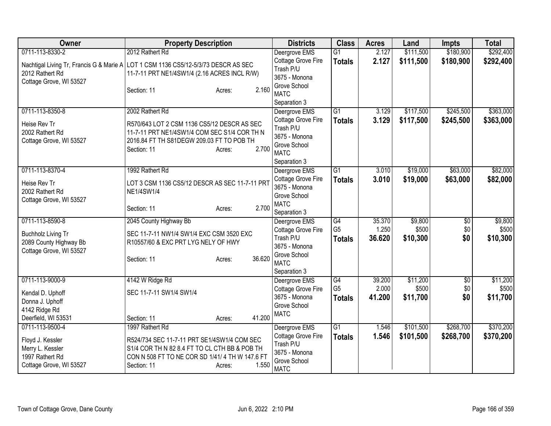| <b>Owner</b>                                        | <b>Property Description</b>                                                        | <b>Districts</b>                    | <b>Class</b>                      | <b>Acres</b>    | Land              | <b>Impts</b>           | <b>Total</b>      |
|-----------------------------------------------------|------------------------------------------------------------------------------------|-------------------------------------|-----------------------------------|-----------------|-------------------|------------------------|-------------------|
| 0711-113-8330-2                                     | 2012 Rathert Rd                                                                    | Deergrove EMS                       | $\overline{G1}$                   | 2.127           | \$111,500         | \$180,900              | \$292,400         |
|                                                     | Nachtigal Living Tr, Francis G & Marie A LOT 1 CSM 1136 CS5/12-5/3/73 DESCR AS SEC | Cottage Grove Fire                  | <b>Totals</b>                     | 2.127           | \$111,500         | \$180,900              | \$292,400         |
| 2012 Rathert Rd                                     | 11-7-11 PRT NE1/4SW1/4 (2.16 ACRES INCL R/W)                                       | Trash P/U                           |                                   |                 |                   |                        |                   |
| Cottage Grove, WI 53527                             |                                                                                    | 3675 - Monona                       |                                   |                 |                   |                        |                   |
|                                                     | 2.160<br>Section: 11<br>Acres:                                                     | Grove School<br><b>MATC</b>         |                                   |                 |                   |                        |                   |
|                                                     |                                                                                    | Separation 3                        |                                   |                 |                   |                        |                   |
| 0711-113-8350-8                                     | 2002 Rathert Rd                                                                    | Deergrove EMS                       | $\overline{G1}$                   | 3.129           | \$117,500         | \$245,500              | \$363,000         |
|                                                     |                                                                                    | Cottage Grove Fire                  | <b>Totals</b>                     | 3.129           | \$117,500         | \$245,500              | \$363,000         |
| Heise Rev Tr                                        | R570/643 LOT 2 CSM 1136 CS5/12 DESCR AS SEC                                        | Trash P/U                           |                                   |                 |                   |                        |                   |
| 2002 Rathert Rd                                     | 11-7-11 PRT NE1/4SW1/4 COM SEC S1/4 COR TH N                                       | 3675 - Monona                       |                                   |                 |                   |                        |                   |
| Cottage Grove, WI 53527                             | 2016.84 FT TH S81DEGW 209.03 FT TO POB TH<br>2.700<br>Section: 11<br>Acres:        | Grove School                        |                                   |                 |                   |                        |                   |
|                                                     |                                                                                    | <b>MATC</b>                         |                                   |                 |                   |                        |                   |
|                                                     |                                                                                    | Separation 3                        |                                   |                 |                   |                        |                   |
| 0711-113-8370-4                                     | 1992 Rathert Rd                                                                    | Deergrove EMS                       | $\overline{G1}$                   | 3.010           | \$19,000          | \$63,000               | \$82,000          |
| Heise Rev Tr                                        | LOT 3 CSM 1136 CS5/12 DESCR AS SEC 11-7-11 PRT                                     | Cottage Grove Fire                  | <b>Totals</b>                     | 3.010           | \$19,000          | \$63,000               | \$82,000          |
| 2002 Rathert Rd                                     | <b>NE1/4SW1/4</b>                                                                  | 3675 - Monona<br>Grove School       |                                   |                 |                   |                        |                   |
| Cottage Grove, WI 53527                             |                                                                                    | <b>MATC</b>                         |                                   |                 |                   |                        |                   |
|                                                     | 2.700<br>Section: 11<br>Acres:                                                     | Separation 3                        |                                   |                 |                   |                        |                   |
| 0711-113-8590-8                                     | 2045 County Highway Bb                                                             | Deergrove EMS                       | G4                                | 35.370          | \$9,800           | $\overline{60}$        | \$9,800           |
|                                                     | SEC 11-7-11 NW1/4 SW1/4 EXC CSM 3520 EXC                                           | Cottage Grove Fire                  | G <sub>5</sub>                    | 1.250           | \$500             | \$0                    | \$500             |
| <b>Buchholz Living Tr</b><br>2089 County Highway Bb | R10557/60 & EXC PRT LYG NELY OF HWY                                                | Trash P/U                           | <b>Totals</b>                     | 36.620          | \$10,300          | \$0                    | \$10,300          |
| Cottage Grove, WI 53527                             |                                                                                    | 3675 - Monona                       |                                   |                 |                   |                        |                   |
|                                                     | 36.620<br>Section: 11<br>Acres:                                                    | Grove School                        |                                   |                 |                   |                        |                   |
|                                                     |                                                                                    | <b>MATC</b>                         |                                   |                 |                   |                        |                   |
|                                                     |                                                                                    | Separation 3                        |                                   |                 |                   |                        |                   |
| 0711-113-9000-9                                     | 4142 W Ridge Rd                                                                    | Deergrove EMS                       | $\overline{G4}$<br>G <sub>5</sub> | 39.200<br>2.000 | \$11,200<br>\$500 | $\overline{50}$<br>\$0 | \$11,200<br>\$500 |
| Kendal D. Uphoff                                    | SEC 11-7-11 SW1/4 SW1/4                                                            | Cottage Grove Fire<br>3675 - Monona | <b>Totals</b>                     | 41.200          | \$11,700          | \$0                    | \$11,700          |
| Donna J. Uphoff                                     |                                                                                    | Grove School                        |                                   |                 |                   |                        |                   |
| 4142 Ridge Rd                                       |                                                                                    | <b>MATC</b>                         |                                   |                 |                   |                        |                   |
| Deerfield, WI 53531                                 | 41.200<br>Section: 11<br>Acres:                                                    |                                     |                                   |                 |                   |                        |                   |
| 0711-113-9500-4                                     | 1997 Rathert Rd                                                                    | Deergrove EMS                       | $\overline{G1}$                   | 1.546           | \$101,500         | \$268,700              | \$370,200         |
| Floyd J. Kessler                                    | R524/734 SEC 11-7-11 PRT SE1/4SW1/4 COM SEC                                        | Cottage Grove Fire<br>Trash P/U     | <b>Totals</b>                     | 1.546           | \$101,500         | \$268,700              | \$370,200         |
| Merry L. Kessler                                    | S1/4 COR TH N 82 8.4 FT TO CL CTH BB & POB TH                                      | 3675 - Monona                       |                                   |                 |                   |                        |                   |
| 1997 Rathert Rd                                     | CON N 508 FT TO NE COR SD 1/41/ 4 TH W 147.6 FT                                    | Grove School                        |                                   |                 |                   |                        |                   |
| Cottage Grove, WI 53527                             | 1.550<br>Section: 11<br>Acres:                                                     | <b>MATC</b>                         |                                   |                 |                   |                        |                   |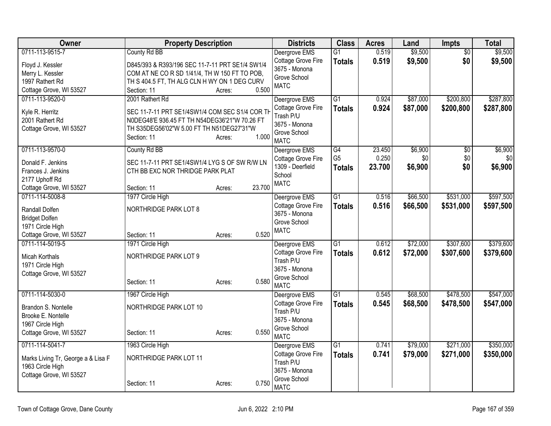| Owner                              | <b>Property Description</b>                     |        | <b>Districts</b>                    | <b>Class</b>    | <b>Acres</b> | Land     | <b>Impts</b>    | <b>Total</b> |
|------------------------------------|-------------------------------------------------|--------|-------------------------------------|-----------------|--------------|----------|-----------------|--------------|
| 0711-113-9515-7                    | County Rd BB                                    |        | Deergrove EMS                       | G1              | 0.519        | \$9,500  | $\overline{50}$ | \$9,500      |
| Floyd J. Kessler                   | D845/393 & R393/196 SEC 11-7-11 PRT SE1/4 SW1/4 |        | Cottage Grove Fire                  | <b>Totals</b>   | 0.519        | \$9,500  | \$0             | \$9,500      |
| Merry L. Kessler                   | COM AT NE CO R SD 1/41/4, TH W 150 FT TO POB,   |        | 3675 - Monona<br>Grove School       |                 |              |          |                 |              |
| 1997 Rathert Rd                    | TH S 404.5 FT, TH ALG CLN H WY ON 1 DEG CURV    |        | <b>MATC</b>                         |                 |              |          |                 |              |
| Cottage Grove, WI 53527            | Section: 11<br>Acres:                           | 0.500  |                                     |                 |              |          |                 |              |
| 0711-113-9520-0                    | 2001 Rathert Rd                                 |        | Deergrove EMS                       | G1              | 0.924        | \$87,000 | \$200,800       | \$287,800    |
| Kyle R. Herritz                    | SEC 11-7-11 PRT SE1/4SW1/4 COM SEC S1/4 COR TH  |        | Cottage Grove Fire                  | <b>Totals</b>   | 0.924        | \$87,000 | \$200,800       | \$287,800    |
| 2001 Rathert Rd                    | N0DEG48'E 936.45 FT TH N54DEG36'21"W 70.26 FT   |        | Trash P/U                           |                 |              |          |                 |              |
| Cottage Grove, WI 53527            | TH S35DEG56'02"W 5.00 FT TH N51DEG27'31"W       |        | 3675 - Monona                       |                 |              |          |                 |              |
|                                    | Section: 11<br>Acres:                           | 1.000  | Grove School<br><b>MATC</b>         |                 |              |          |                 |              |
| 0711-113-9570-0                    | County Rd BB                                    |        | Deergrove EMS                       | G4              | 23.450       | \$6,900  | $\overline{50}$ | \$6,900      |
| Donald F. Jenkins                  | SEC 11-7-11 PRT SE1/4SW1/4 LYG S OF SW R/W LN   |        | Cottage Grove Fire                  | G <sub>5</sub>  | 0.250        | \$0      | \$0             | \$0          |
| Frances J. Jenkins                 | CTH BB EXC NOR THRIDGE PARK PLAT                |        | 1309 - Deerfield                    | <b>Totals</b>   | 23.700       | \$6,900  | \$0             | \$6,900      |
| 2177 Uphoff Rd                     |                                                 |        | School                              |                 |              |          |                 |              |
| Cottage Grove, WI 53527            | Section: 11<br>Acres:                           | 23.700 | <b>MATC</b>                         |                 |              |          |                 |              |
| 0711-114-5008-8                    | 1977 Circle High                                |        | Deergrove EMS                       | $\overline{G1}$ | 0.516        | \$66,500 | \$531,000       | \$597,500    |
| Randall Dolfen                     | NORTHRIDGE PARK LOT 8                           |        | Cottage Grove Fire                  | <b>Totals</b>   | 0.516        | \$66,500 | \$531,000       | \$597,500    |
| <b>Bridget Dolfen</b>              |                                                 |        | 3675 - Monona                       |                 |              |          |                 |              |
| 1971 Circle High                   |                                                 |        | Grove School                        |                 |              |          |                 |              |
| Cottage Grove, WI 53527            | Section: 11<br>Acres:                           | 0.520  | <b>MATC</b>                         |                 |              |          |                 |              |
| 0711-114-5019-5                    | 1971 Circle High                                |        | Deergrove EMS                       | $\overline{G1}$ | 0.612        | \$72,000 | \$307,600       | \$379,600    |
| <b>Micah Korthals</b>              | NORTHRIDGE PARK LOT 9                           |        | Cottage Grove Fire                  | <b>Totals</b>   | 0.612        | \$72,000 | \$307,600       | \$379,600    |
| 1971 Circle High                   |                                                 |        | Trash P/U                           |                 |              |          |                 |              |
| Cottage Grove, WI 53527            |                                                 |        | 3675 - Monona                       |                 |              |          |                 |              |
|                                    | Section: 11<br>Acres:                           | 0.580  | Grove School                        |                 |              |          |                 |              |
| 0711-114-5030-0                    | 1967 Circle High                                |        | <b>MATC</b>                         | $\overline{G1}$ | 0.545        | \$68,500 | \$478,500       | \$547,000    |
|                                    |                                                 |        | Deergrove EMS<br>Cottage Grove Fire | <b>Totals</b>   | 0.545        | \$68,500 | \$478,500       | \$547,000    |
| Brandon S. Nontelle                | NORTHRIDGE PARK LOT 10                          |        | Trash P/U                           |                 |              |          |                 |              |
| Brooke E. Nontelle                 |                                                 |        | 3675 - Monona                       |                 |              |          |                 |              |
| 1967 Circle High                   |                                                 |        | Grove School                        |                 |              |          |                 |              |
| Cottage Grove, WI 53527            | Section: 11<br>Acres:                           | 0.550  | <b>MATC</b>                         |                 |              |          |                 |              |
| 0711-114-5041-7                    | 1963 Circle High                                |        | Deergrove EMS                       | G1              | 0.741        | \$79,000 | \$271,000       | \$350,000    |
| Marks Living Tr, George a & Lisa F | NORTHRIDGE PARK LOT 11                          |        | Cottage Grove Fire                  | <b>Totals</b>   | 0.741        | \$79,000 | \$271,000       | \$350,000    |
| 1963 Circle High                   |                                                 |        | Trash P/U                           |                 |              |          |                 |              |
| Cottage Grove, WI 53527            |                                                 |        | 3675 - Monona                       |                 |              |          |                 |              |
|                                    | Section: 11<br>Acres:                           | 0.750  | Grove School<br><b>MATC</b>         |                 |              |          |                 |              |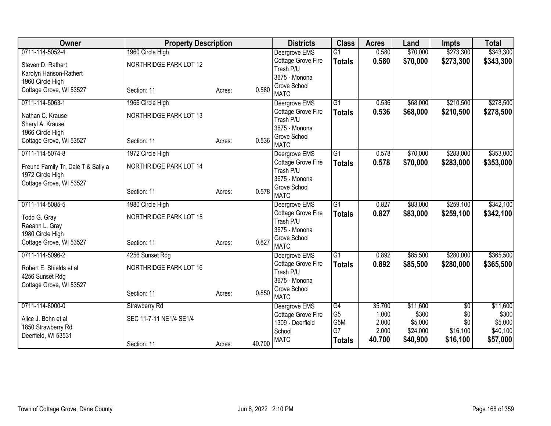| Owner                                                  | <b>Property Description</b> |        |        | <b>Districts</b>                | <b>Class</b>    | <b>Acres</b> | Land     | <b>Impts</b> | <b>Total</b> |
|--------------------------------------------------------|-----------------------------|--------|--------|---------------------------------|-----------------|--------------|----------|--------------|--------------|
| 0711-114-5052-4                                        | 1960 Circle High            |        |        | Deergrove EMS                   | $\overline{G1}$ | 0.580        | \$70,000 | \$273,300    | \$343,300    |
| Steven D. Rathert                                      | NORTHRIDGE PARK LOT 12      |        |        | Cottage Grove Fire              | <b>Totals</b>   | 0.580        | \$70,000 | \$273,300    | \$343,300    |
| Karolyn Hanson-Rathert                                 |                             |        |        | Trash P/U<br>3675 - Monona      |                 |              |          |              |              |
| 1960 Circle High                                       |                             |        |        | Grove School                    |                 |              |          |              |              |
| Cottage Grove, WI 53527                                | Section: 11                 | Acres: | 0.580  | <b>MATC</b>                     |                 |              |          |              |              |
| 0711-114-5063-1                                        | 1966 Circle High            |        |        | Deergrove EMS                   | G1              | 0.536        | \$68,000 | \$210,500    | \$278,500    |
| Nathan C. Krause                                       | NORTHRIDGE PARK LOT 13      |        |        | Cottage Grove Fire              | <b>Totals</b>   | 0.536        | \$68,000 | \$210,500    | \$278,500    |
| Sheryl A. Krause                                       |                             |        |        | Trash P/U                       |                 |              |          |              |              |
| 1966 Circle High                                       |                             |        |        | 3675 - Monona                   |                 |              |          |              |              |
| Cottage Grove, WI 53527                                | Section: 11                 | Acres: | 0.536  | Grove School<br><b>MATC</b>     |                 |              |          |              |              |
| 0711-114-5074-8                                        | 1972 Circle High            |        |        | Deergrove EMS                   | G1              | 0.578        | \$70,000 | \$283,000    | \$353,000    |
|                                                        |                             |        |        | Cottage Grove Fire              | <b>Totals</b>   | 0.578        | \$70,000 | \$283,000    | \$353,000    |
| Freund Family Tr, Dale T & Sally a<br>1972 Circle High | NORTHRIDGE PARK LOT 14      |        |        | Trash P/U                       |                 |              |          |              |              |
| Cottage Grove, WI 53527                                |                             |        |        | 3675 - Monona                   |                 |              |          |              |              |
|                                                        | Section: 11                 | Acres: | 0.578  | Grove School                    |                 |              |          |              |              |
|                                                        |                             |        |        | <b>MATC</b>                     |                 |              |          |              |              |
| 0711-114-5085-5                                        | 1980 Circle High            |        |        | Deergrove EMS                   | $\overline{G1}$ | 0.827        | \$83,000 | \$259,100    | \$342,100    |
| Todd G. Gray                                           | NORTHRIDGE PARK LOT 15      |        |        | Cottage Grove Fire<br>Trash P/U | <b>Totals</b>   | 0.827        | \$83,000 | \$259,100    | \$342,100    |
| Raeann L. Gray                                         |                             |        |        | 3675 - Monona                   |                 |              |          |              |              |
| 1980 Circle High                                       |                             |        |        | Grove School                    |                 |              |          |              |              |
| Cottage Grove, WI 53527                                | Section: 11                 | Acres: | 0.827  | <b>MATC</b>                     |                 |              |          |              |              |
| 0711-114-5096-2                                        | 4256 Sunset Rdg             |        |        | Deergrove EMS                   | $\overline{G1}$ | 0.892        | \$85,500 | \$280,000    | \$365,500    |
| Robert E. Shields et al                                | NORTHRIDGE PARK LOT 16      |        |        | Cottage Grove Fire              | <b>Totals</b>   | 0.892        | \$85,500 | \$280,000    | \$365,500    |
| 4256 Sunset Rdg                                        |                             |        |        | Trash P/U                       |                 |              |          |              |              |
| Cottage Grove, WI 53527                                |                             |        |        | 3675 - Monona                   |                 |              |          |              |              |
|                                                        | Section: 11                 | Acres: | 0.850  | Grove School<br><b>MATC</b>     |                 |              |          |              |              |
| 0711-114-8000-0                                        | <b>Strawberry Rd</b>        |        |        | Deergrove EMS                   | G4              | 35.700       | \$11,600 | \$0          | \$11,600     |
|                                                        |                             |        |        | Cottage Grove Fire              | G <sub>5</sub>  | 1.000        | \$300    | \$0          | \$300        |
| Alice J. Bohn et al                                    | SEC 11-7-11 NE1/4 SE1/4     |        |        | 1309 - Deerfield                | G5M             | 2.000        | \$5,000  | \$0          | \$5,000      |
| 1850 Strawberry Rd<br>Deerfield, WI 53531              |                             |        |        | School                          | G7              | 2.000        | \$24,000 | \$16,100     | \$40,100     |
|                                                        | Section: 11                 | Acres: | 40.700 | <b>MATC</b>                     | <b>Totals</b>   | 40.700       | \$40,900 | \$16,100     | \$57,000     |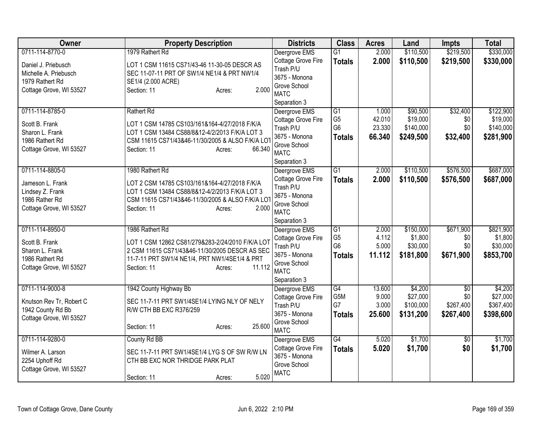| Owner                    | <b>Property Description</b>                      | <b>Districts</b>                | <b>Class</b>    | <b>Acres</b>    | Land                | <b>Impts</b>           | <b>Total</b> |
|--------------------------|--------------------------------------------------|---------------------------------|-----------------|-----------------|---------------------|------------------------|--------------|
| 0711-114-8770-0          | 1979 Rathert Rd                                  | Deergrove EMS                   | $\overline{G1}$ | 2.000           | \$110,500           | \$219,500              | \$330,000    |
| Daniel J. Priebusch      | LOT 1 CSM 11615 CS71/43-46 11-30-05 DESCR AS     | Cottage Grove Fire              | <b>Totals</b>   | 2.000           | \$110,500           | \$219,500              | \$330,000    |
| Michelle A. Priebusch    | SEC 11-07-11 PRT OF SW1/4 NE1/4 & PRT NW1/4      | Trash P/U                       |                 |                 |                     |                        |              |
| 1979 Rathert Rd          | SE1/4 (2.000 ACRE)                               | 3675 - Monona                   |                 |                 |                     |                        |              |
| Cottage Grove, WI 53527  | 2.000<br>Section: 11<br>Acres:                   | Grove School                    |                 |                 |                     |                        |              |
|                          |                                                  | <b>MATC</b>                     |                 |                 |                     |                        |              |
|                          |                                                  | Separation 3                    |                 |                 |                     |                        |              |
| 0711-114-8785-0          | <b>Rathert Rd</b>                                | Deergrove EMS                   | G1              | 1.000           | \$90,500            | \$32,400               | \$122,900    |
| Scott B. Frank           | LOT 1 CSM 14785 CS103/161&164-4/27/2018 F/K/A    | Cottage Grove Fire              | G <sub>5</sub>  | 42.010          | \$19,000            | \$0                    | \$19,000     |
| Sharon L. Frank          | LOT 1 CSM 13484 CS88/8&12-4/2/2013 F/K/A LOT 3   | Trash P/U                       | G <sub>6</sub>  | 23.330          | \$140,000           | \$0                    | \$140,000    |
| 1986 Rathert Rd          | CSM 11615 CS71/43&46-11/30/2005 & ALSO F/K/A LOT | 3675 - Monona                   | <b>Totals</b>   | 66.340          | \$249,500           | \$32,400               | \$281,900    |
| Cottage Grove, WI 53527  | 66.340<br>Section: 11<br>Acres:                  | Grove School                    |                 |                 |                     |                        |              |
|                          |                                                  | <b>MATC</b>                     |                 |                 |                     |                        |              |
|                          |                                                  | Separation 3                    |                 |                 |                     |                        |              |
| 0711-114-8805-0          | 1980 Rathert Rd                                  | Deergrove EMS                   | $\overline{G1}$ | 2.000           | \$110,500           | \$576,500              | \$687,000    |
| Jameson L. Frank         | LOT 2 CSM 14785 CS103/161&164-4/27/2018 F/K/A    | Cottage Grove Fire              | <b>Totals</b>   | 2.000           | \$110,500           | \$576,500              | \$687,000    |
| Lindsey Z. Frank         | LOT 1 CSM 13484 CS88/8&12-4/2/2013 F/K/A LOT 3   | Trash P/U                       |                 |                 |                     |                        |              |
| 1986 Rather Rd           | CSM 11615 CS71/43&46-11/30/2005 & ALSO F/K/A LOT | 3675 - Monona                   |                 |                 |                     |                        |              |
| Cottage Grove, WI 53527  | 2.000<br>Section: 11<br>Acres:                   | Grove School                    |                 |                 |                     |                        |              |
|                          |                                                  | <b>MATC</b>                     |                 |                 |                     |                        |              |
|                          |                                                  | Separation 3                    |                 |                 |                     |                        |              |
| 0711-114-8950-0          | 1986 Rathert Rd                                  | Deergrove EMS                   | $\overline{G1}$ | 2.000           | \$150,000           | \$671,900              | \$821,900    |
| Scott B. Frank           | LOT 1 CSM 12862 CS81/279&283-2/24/2010 F/K/A LOT | Cottage Grove Fire              | G <sub>5</sub>  | 4.112           | \$1,800             | \$0                    | \$1,800      |
| Sharon L. Frank          | 2 CSM 11615 CS71/43&46-11/30/2005 DESCR AS SEC   | Trash P/U                       | G <sub>6</sub>  | 5.000           | \$30,000            | \$0                    | \$30,000     |
| 1986 Rathert Rd          | 11-7-11 PRT SW1/4 NE1/4, PRT NW1/4SE1/4 & PRT    | 3675 - Monona                   | <b>Totals</b>   | 11.112          | \$181,800           | \$671,900              | \$853,700    |
| Cottage Grove, WI 53527  | 11.112<br>Section: 11<br>Acres:                  | Grove School<br><b>MATC</b>     |                 |                 |                     |                        |              |
|                          |                                                  |                                 |                 |                 |                     |                        |              |
| 0711-114-9000-8          |                                                  | Separation 3                    | $\overline{G4}$ |                 |                     |                        | \$4,200      |
|                          | 1942 County Highway Bb                           | Deergrove EMS                   | G5M             | 13.600<br>9.000 | \$4,200<br>\$27,000 | $\overline{50}$<br>\$0 | \$27,000     |
| Knutson Rev Tr, Robert C | SEC 11-7-11 PRT SW1/4SE1/4 LYING NLY OF NELY     | Cottage Grove Fire<br>Trash P/U | G7              | 3.000           | \$100,000           | \$267,400              | \$367,400    |
| 1942 County Rd Bb        | R/W CTH BB EXC R376/259                          | 3675 - Monona                   |                 | 25.600          | \$131,200           | \$267,400              |              |
| Cottage Grove, WI 53527  |                                                  | Grove School                    | <b>Totals</b>   |                 |                     |                        | \$398,600    |
|                          | 25.600<br>Section: 11<br>Acres:                  | <b>MATC</b>                     |                 |                 |                     |                        |              |
| 0711-114-9280-0          | County Rd BB                                     | Deergrove EMS                   | $\overline{G4}$ | 5.020           | \$1,700             | \$0                    | \$1,700      |
|                          |                                                  | Cottage Grove Fire              |                 | 5.020           | \$1,700             | \$0                    | \$1,700      |
| Wilmer A. Larson         | SEC 11-7-11 PRT SW1/4SE1/4 LYG S OF SW R/W LN    | 3675 - Monona                   | <b>Totals</b>   |                 |                     |                        |              |
| 2254 Uphoff Rd           | CTH BB EXC NOR THRIDGE PARK PLAT                 | Grove School                    |                 |                 |                     |                        |              |
| Cottage Grove, WI 53527  |                                                  | <b>MATC</b>                     |                 |                 |                     |                        |              |
|                          | 5.020<br>Section: 11<br>Acres:                   |                                 |                 |                 |                     |                        |              |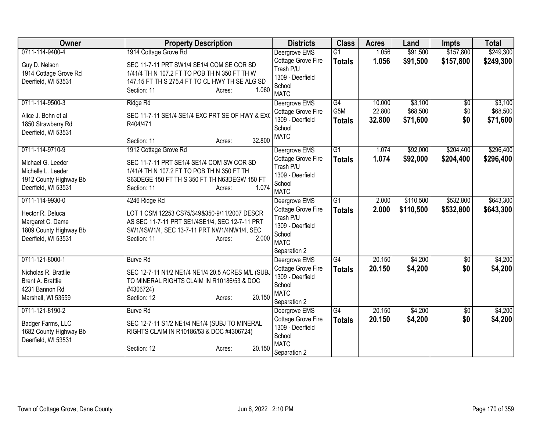| 0711-114-9400-4<br>1914 Cottage Grove Rd<br>\$91,500<br>$\overline{G1}$<br>\$157,800<br>Deergrove EMS<br>1.056<br>Cottage Grove Fire<br>1.056<br>\$91,500<br>\$157,800<br>\$249,300<br><b>Totals</b><br>SEC 11-7-11 PRT SW1/4 SE1/4 COM SE COR SD<br>Guy D. Nelson<br>Trash P/U<br>1914 Cottage Grove Rd<br>1/41/4 TH N 107.2 FT TO POB TH N 350 FT TH W<br>1309 - Deerfield<br>Deerfield, WI 53531<br>147.15 FT TH S 275.4 FT TO CL HWY TH SE ALG SD<br>School<br>1.060<br>Section: 11<br>Acres:<br><b>MATC</b><br>0711-114-9500-3<br>\$3,100<br>Ridge Rd<br>Deergrove EMS<br>G4<br>10.000<br>\$0<br>G5M<br>22.800<br>\$68,500<br>\$0<br>Cottage Grove Fire<br>SEC 11-7-11 SE1/4 SE1/4 EXC PRT SE OF HWY & EXC<br>Alice J. Bohn et al<br>1309 - Deerfield<br>\$0<br>32.800<br>\$71,600<br><b>Totals</b><br>1850 Strawberry Rd<br>R404/471<br>School<br>Deerfield, WI 53531<br><b>MATC</b><br>32.800<br>Section: 11<br>Acres:<br>0711-114-9710-9<br>$\overline{G1}$<br>\$92,000<br>\$204,400<br>1912 Cottage Grove Rd<br>Deergrove EMS<br>1.074<br>1.074<br>Cottage Grove Fire<br>\$92,000<br>\$204,400<br><b>Totals</b><br>Michael G. Leeder<br>SEC 11-7-11 PRT SE1/4 SE1/4 COM SW COR SD<br>Trash P/U<br>Michelle L. Leeder<br>1/41/4 TH N 107.2 FT TO POB TH N 350 FT TH<br>1309 - Deerfield<br>1912 County Highway Bb<br>S63DEGE 150 FT TH S 350 FT TH N63DEGW 150 FT<br>School<br>1.074<br>Deerfield, WI 53531<br>Section: 11<br>Acres:<br><b>MATC</b><br>0711-114-9930-0<br>$\overline{G1}$<br>\$110,500<br>\$532,800<br>4246 Ridge Rd<br>Deergrove EMS<br>2.000<br>Cottage Grove Fire<br>2.000<br>\$110,500<br>\$532,800<br><b>Totals</b><br>Hector R. Deluca<br>LOT 1 CSM 12253 CS75/349&350-9/11/2007 DESCR<br>Trash P/U<br>Margaret C. Dame<br>AS SEC 11-7-11 PRT SE1/4SE1/4, SEC 12-7-11 PRT<br>1309 - Deerfield<br>1809 County Highway Bb<br>SW1/4SW1/4, SEC 13-7-11 PRT NW1/4NW1/4, SEC<br>School<br>2.000<br>Deerfield, WI 53531<br>Section: 11<br>Acres:<br><b>MATC</b><br>Separation 2<br>20.150<br>\$4,200<br>0711-121-8000-1<br>G4<br><b>Burve Rd</b><br>Deergrove EMS<br>$\sqrt{6}$<br>Cottage Grove Fire<br>\$0<br>20.150<br>\$4,200<br>\$4,200<br><b>Totals</b><br>Nicholas R. Brattlie<br>SEC 12-7-11 N1/2 NE1/4 NE1/4 20.5 ACRES M/L (SUBJ<br>1309 - Deerfield<br>Brent A. Brattlie<br>TO MINERAL RIGHTS CLAIM IN R10186/53 & DOC<br>School<br>4231 Bannon Rd<br>#4306724)<br><b>MATC</b><br>20.150<br>Marshall, WI 53559<br>Section: 12<br>Acres:<br>Separation 2<br>G4<br>\$4,200<br>0711-121-8190-2<br>20.150<br><b>Burve Rd</b><br>Deergrove EMS<br>$\overline{50}$<br>Cottage Grove Fire<br>\$0<br>20.150<br>\$4,200<br>\$4,200<br><b>Totals</b><br>Badger Farms, LLC<br>SEC 12-7-11 S1/2 NE1/4 NE1/4 (SUBJ TO MINERAL<br>1309 - Deerfield<br>1682 County Highway Bb<br>RIGHTS CLAIM IN R10186/53 & DOC #4306724)<br>School<br>Deerfield, WI 53531<br><b>MATC</b><br>20.150<br>Section: 12<br>Acres:<br>Separation 2 | Owner | <b>Property Description</b> | <b>Districts</b> | <b>Class</b> | <b>Acres</b> | Land | <b>Impts</b> | <b>Total</b> |
|--------------------------------------------------------------------------------------------------------------------------------------------------------------------------------------------------------------------------------------------------------------------------------------------------------------------------------------------------------------------------------------------------------------------------------------------------------------------------------------------------------------------------------------------------------------------------------------------------------------------------------------------------------------------------------------------------------------------------------------------------------------------------------------------------------------------------------------------------------------------------------------------------------------------------------------------------------------------------------------------------------------------------------------------------------------------------------------------------------------------------------------------------------------------------------------------------------------------------------------------------------------------------------------------------------------------------------------------------------------------------------------------------------------------------------------------------------------------------------------------------------------------------------------------------------------------------------------------------------------------------------------------------------------------------------------------------------------------------------------------------------------------------------------------------------------------------------------------------------------------------------------------------------------------------------------------------------------------------------------------------------------------------------------------------------------------------------------------------------------------------------------------------------------------------------------------------------------------------------------------------------------------------------------------------------------------------------------------------------------------------------------------------------------------------------------------------------------------------------------------------------------------------------------------------------------------------------------------------------------------------------------------------------------------------------------------------------------------------------------------------------------------------------------------------------------------------------------------------------------------------------------------------------------------------------------------------|-------|-----------------------------|------------------|--------------|--------------|------|--------------|--------------|
|                                                                                                                                                                                                                                                                                                                                                                                                                                                                                                                                                                                                                                                                                                                                                                                                                                                                                                                                                                                                                                                                                                                                                                                                                                                                                                                                                                                                                                                                                                                                                                                                                                                                                                                                                                                                                                                                                                                                                                                                                                                                                                                                                                                                                                                                                                                                                                                                                                                                                                                                                                                                                                                                                                                                                                                                                                                                                                                                                  |       |                             |                  |              |              |      |              | \$249,300    |
|                                                                                                                                                                                                                                                                                                                                                                                                                                                                                                                                                                                                                                                                                                                                                                                                                                                                                                                                                                                                                                                                                                                                                                                                                                                                                                                                                                                                                                                                                                                                                                                                                                                                                                                                                                                                                                                                                                                                                                                                                                                                                                                                                                                                                                                                                                                                                                                                                                                                                                                                                                                                                                                                                                                                                                                                                                                                                                                                                  |       |                             |                  |              |              |      |              |              |
|                                                                                                                                                                                                                                                                                                                                                                                                                                                                                                                                                                                                                                                                                                                                                                                                                                                                                                                                                                                                                                                                                                                                                                                                                                                                                                                                                                                                                                                                                                                                                                                                                                                                                                                                                                                                                                                                                                                                                                                                                                                                                                                                                                                                                                                                                                                                                                                                                                                                                                                                                                                                                                                                                                                                                                                                                                                                                                                                                  |       |                             |                  |              |              |      |              |              |
| \$3,100<br>\$68,500<br>\$71,600                                                                                                                                                                                                                                                                                                                                                                                                                                                                                                                                                                                                                                                                                                                                                                                                                                                                                                                                                                                                                                                                                                                                                                                                                                                                                                                                                                                                                                                                                                                                                                                                                                                                                                                                                                                                                                                                                                                                                                                                                                                                                                                                                                                                                                                                                                                                                                                                                                                                                                                                                                                                                                                                                                                                                                                                                                                                                                                  |       |                             |                  |              |              |      |              |              |
|                                                                                                                                                                                                                                                                                                                                                                                                                                                                                                                                                                                                                                                                                                                                                                                                                                                                                                                                                                                                                                                                                                                                                                                                                                                                                                                                                                                                                                                                                                                                                                                                                                                                                                                                                                                                                                                                                                                                                                                                                                                                                                                                                                                                                                                                                                                                                                                                                                                                                                                                                                                                                                                                                                                                                                                                                                                                                                                                                  |       |                             |                  |              |              |      |              |              |
|                                                                                                                                                                                                                                                                                                                                                                                                                                                                                                                                                                                                                                                                                                                                                                                                                                                                                                                                                                                                                                                                                                                                                                                                                                                                                                                                                                                                                                                                                                                                                                                                                                                                                                                                                                                                                                                                                                                                                                                                                                                                                                                                                                                                                                                                                                                                                                                                                                                                                                                                                                                                                                                                                                                                                                                                                                                                                                                                                  |       |                             |                  |              |              |      |              |              |
|                                                                                                                                                                                                                                                                                                                                                                                                                                                                                                                                                                                                                                                                                                                                                                                                                                                                                                                                                                                                                                                                                                                                                                                                                                                                                                                                                                                                                                                                                                                                                                                                                                                                                                                                                                                                                                                                                                                                                                                                                                                                                                                                                                                                                                                                                                                                                                                                                                                                                                                                                                                                                                                                                                                                                                                                                                                                                                                                                  |       |                             |                  |              |              |      |              |              |
| \$296,400<br>\$296,400<br>\$643,300<br>\$643,300<br>\$4,200<br>\$4,200                                                                                                                                                                                                                                                                                                                                                                                                                                                                                                                                                                                                                                                                                                                                                                                                                                                                                                                                                                                                                                                                                                                                                                                                                                                                                                                                                                                                                                                                                                                                                                                                                                                                                                                                                                                                                                                                                                                                                                                                                                                                                                                                                                                                                                                                                                                                                                                                                                                                                                                                                                                                                                                                                                                                                                                                                                                                           |       |                             |                  |              |              |      |              |              |
|                                                                                                                                                                                                                                                                                                                                                                                                                                                                                                                                                                                                                                                                                                                                                                                                                                                                                                                                                                                                                                                                                                                                                                                                                                                                                                                                                                                                                                                                                                                                                                                                                                                                                                                                                                                                                                                                                                                                                                                                                                                                                                                                                                                                                                                                                                                                                                                                                                                                                                                                                                                                                                                                                                                                                                                                                                                                                                                                                  |       |                             |                  |              |              |      |              |              |
|                                                                                                                                                                                                                                                                                                                                                                                                                                                                                                                                                                                                                                                                                                                                                                                                                                                                                                                                                                                                                                                                                                                                                                                                                                                                                                                                                                                                                                                                                                                                                                                                                                                                                                                                                                                                                                                                                                                                                                                                                                                                                                                                                                                                                                                                                                                                                                                                                                                                                                                                                                                                                                                                                                                                                                                                                                                                                                                                                  |       |                             |                  |              |              |      |              |              |
|                                                                                                                                                                                                                                                                                                                                                                                                                                                                                                                                                                                                                                                                                                                                                                                                                                                                                                                                                                                                                                                                                                                                                                                                                                                                                                                                                                                                                                                                                                                                                                                                                                                                                                                                                                                                                                                                                                                                                                                                                                                                                                                                                                                                                                                                                                                                                                                                                                                                                                                                                                                                                                                                                                                                                                                                                                                                                                                                                  |       |                             |                  |              |              |      |              |              |
|                                                                                                                                                                                                                                                                                                                                                                                                                                                                                                                                                                                                                                                                                                                                                                                                                                                                                                                                                                                                                                                                                                                                                                                                                                                                                                                                                                                                                                                                                                                                                                                                                                                                                                                                                                                                                                                                                                                                                                                                                                                                                                                                                                                                                                                                                                                                                                                                                                                                                                                                                                                                                                                                                                                                                                                                                                                                                                                                                  |       |                             |                  |              |              |      |              |              |
|                                                                                                                                                                                                                                                                                                                                                                                                                                                                                                                                                                                                                                                                                                                                                                                                                                                                                                                                                                                                                                                                                                                                                                                                                                                                                                                                                                                                                                                                                                                                                                                                                                                                                                                                                                                                                                                                                                                                                                                                                                                                                                                                                                                                                                                                                                                                                                                                                                                                                                                                                                                                                                                                                                                                                                                                                                                                                                                                                  |       |                             |                  |              |              |      |              |              |
|                                                                                                                                                                                                                                                                                                                                                                                                                                                                                                                                                                                                                                                                                                                                                                                                                                                                                                                                                                                                                                                                                                                                                                                                                                                                                                                                                                                                                                                                                                                                                                                                                                                                                                                                                                                                                                                                                                                                                                                                                                                                                                                                                                                                                                                                                                                                                                                                                                                                                                                                                                                                                                                                                                                                                                                                                                                                                                                                                  |       |                             |                  |              |              |      |              |              |
|                                                                                                                                                                                                                                                                                                                                                                                                                                                                                                                                                                                                                                                                                                                                                                                                                                                                                                                                                                                                                                                                                                                                                                                                                                                                                                                                                                                                                                                                                                                                                                                                                                                                                                                                                                                                                                                                                                                                                                                                                                                                                                                                                                                                                                                                                                                                                                                                                                                                                                                                                                                                                                                                                                                                                                                                                                                                                                                                                  |       |                             |                  |              |              |      |              |              |
|                                                                                                                                                                                                                                                                                                                                                                                                                                                                                                                                                                                                                                                                                                                                                                                                                                                                                                                                                                                                                                                                                                                                                                                                                                                                                                                                                                                                                                                                                                                                                                                                                                                                                                                                                                                                                                                                                                                                                                                                                                                                                                                                                                                                                                                                                                                                                                                                                                                                                                                                                                                                                                                                                                                                                                                                                                                                                                                                                  |       |                             |                  |              |              |      |              |              |
|                                                                                                                                                                                                                                                                                                                                                                                                                                                                                                                                                                                                                                                                                                                                                                                                                                                                                                                                                                                                                                                                                                                                                                                                                                                                                                                                                                                                                                                                                                                                                                                                                                                                                                                                                                                                                                                                                                                                                                                                                                                                                                                                                                                                                                                                                                                                                                                                                                                                                                                                                                                                                                                                                                                                                                                                                                                                                                                                                  |       |                             |                  |              |              |      |              |              |
|                                                                                                                                                                                                                                                                                                                                                                                                                                                                                                                                                                                                                                                                                                                                                                                                                                                                                                                                                                                                                                                                                                                                                                                                                                                                                                                                                                                                                                                                                                                                                                                                                                                                                                                                                                                                                                                                                                                                                                                                                                                                                                                                                                                                                                                                                                                                                                                                                                                                                                                                                                                                                                                                                                                                                                                                                                                                                                                                                  |       |                             |                  |              |              |      |              |              |
|                                                                                                                                                                                                                                                                                                                                                                                                                                                                                                                                                                                                                                                                                                                                                                                                                                                                                                                                                                                                                                                                                                                                                                                                                                                                                                                                                                                                                                                                                                                                                                                                                                                                                                                                                                                                                                                                                                                                                                                                                                                                                                                                                                                                                                                                                                                                                                                                                                                                                                                                                                                                                                                                                                                                                                                                                                                                                                                                                  |       |                             |                  |              |              |      |              |              |
|                                                                                                                                                                                                                                                                                                                                                                                                                                                                                                                                                                                                                                                                                                                                                                                                                                                                                                                                                                                                                                                                                                                                                                                                                                                                                                                                                                                                                                                                                                                                                                                                                                                                                                                                                                                                                                                                                                                                                                                                                                                                                                                                                                                                                                                                                                                                                                                                                                                                                                                                                                                                                                                                                                                                                                                                                                                                                                                                                  |       |                             |                  |              |              |      |              |              |
|                                                                                                                                                                                                                                                                                                                                                                                                                                                                                                                                                                                                                                                                                                                                                                                                                                                                                                                                                                                                                                                                                                                                                                                                                                                                                                                                                                                                                                                                                                                                                                                                                                                                                                                                                                                                                                                                                                                                                                                                                                                                                                                                                                                                                                                                                                                                                                                                                                                                                                                                                                                                                                                                                                                                                                                                                                                                                                                                                  |       |                             |                  |              |              |      |              |              |
|                                                                                                                                                                                                                                                                                                                                                                                                                                                                                                                                                                                                                                                                                                                                                                                                                                                                                                                                                                                                                                                                                                                                                                                                                                                                                                                                                                                                                                                                                                                                                                                                                                                                                                                                                                                                                                                                                                                                                                                                                                                                                                                                                                                                                                                                                                                                                                                                                                                                                                                                                                                                                                                                                                                                                                                                                                                                                                                                                  |       |                             |                  |              |              |      |              |              |
|                                                                                                                                                                                                                                                                                                                                                                                                                                                                                                                                                                                                                                                                                                                                                                                                                                                                                                                                                                                                                                                                                                                                                                                                                                                                                                                                                                                                                                                                                                                                                                                                                                                                                                                                                                                                                                                                                                                                                                                                                                                                                                                                                                                                                                                                                                                                                                                                                                                                                                                                                                                                                                                                                                                                                                                                                                                                                                                                                  |       |                             |                  |              |              |      |              |              |
|                                                                                                                                                                                                                                                                                                                                                                                                                                                                                                                                                                                                                                                                                                                                                                                                                                                                                                                                                                                                                                                                                                                                                                                                                                                                                                                                                                                                                                                                                                                                                                                                                                                                                                                                                                                                                                                                                                                                                                                                                                                                                                                                                                                                                                                                                                                                                                                                                                                                                                                                                                                                                                                                                                                                                                                                                                                                                                                                                  |       |                             |                  |              |              |      |              |              |
|                                                                                                                                                                                                                                                                                                                                                                                                                                                                                                                                                                                                                                                                                                                                                                                                                                                                                                                                                                                                                                                                                                                                                                                                                                                                                                                                                                                                                                                                                                                                                                                                                                                                                                                                                                                                                                                                                                                                                                                                                                                                                                                                                                                                                                                                                                                                                                                                                                                                                                                                                                                                                                                                                                                                                                                                                                                                                                                                                  |       |                             |                  |              |              |      |              |              |
|                                                                                                                                                                                                                                                                                                                                                                                                                                                                                                                                                                                                                                                                                                                                                                                                                                                                                                                                                                                                                                                                                                                                                                                                                                                                                                                                                                                                                                                                                                                                                                                                                                                                                                                                                                                                                                                                                                                                                                                                                                                                                                                                                                                                                                                                                                                                                                                                                                                                                                                                                                                                                                                                                                                                                                                                                                                                                                                                                  |       |                             |                  |              |              |      |              |              |
|                                                                                                                                                                                                                                                                                                                                                                                                                                                                                                                                                                                                                                                                                                                                                                                                                                                                                                                                                                                                                                                                                                                                                                                                                                                                                                                                                                                                                                                                                                                                                                                                                                                                                                                                                                                                                                                                                                                                                                                                                                                                                                                                                                                                                                                                                                                                                                                                                                                                                                                                                                                                                                                                                                                                                                                                                                                                                                                                                  |       |                             |                  |              |              |      |              |              |
|                                                                                                                                                                                                                                                                                                                                                                                                                                                                                                                                                                                                                                                                                                                                                                                                                                                                                                                                                                                                                                                                                                                                                                                                                                                                                                                                                                                                                                                                                                                                                                                                                                                                                                                                                                                                                                                                                                                                                                                                                                                                                                                                                                                                                                                                                                                                                                                                                                                                                                                                                                                                                                                                                                                                                                                                                                                                                                                                                  |       |                             |                  |              |              |      |              |              |
|                                                                                                                                                                                                                                                                                                                                                                                                                                                                                                                                                                                                                                                                                                                                                                                                                                                                                                                                                                                                                                                                                                                                                                                                                                                                                                                                                                                                                                                                                                                                                                                                                                                                                                                                                                                                                                                                                                                                                                                                                                                                                                                                                                                                                                                                                                                                                                                                                                                                                                                                                                                                                                                                                                                                                                                                                                                                                                                                                  |       |                             |                  |              |              |      |              |              |
|                                                                                                                                                                                                                                                                                                                                                                                                                                                                                                                                                                                                                                                                                                                                                                                                                                                                                                                                                                                                                                                                                                                                                                                                                                                                                                                                                                                                                                                                                                                                                                                                                                                                                                                                                                                                                                                                                                                                                                                                                                                                                                                                                                                                                                                                                                                                                                                                                                                                                                                                                                                                                                                                                                                                                                                                                                                                                                                                                  |       |                             |                  |              |              |      |              |              |
|                                                                                                                                                                                                                                                                                                                                                                                                                                                                                                                                                                                                                                                                                                                                                                                                                                                                                                                                                                                                                                                                                                                                                                                                                                                                                                                                                                                                                                                                                                                                                                                                                                                                                                                                                                                                                                                                                                                                                                                                                                                                                                                                                                                                                                                                                                                                                                                                                                                                                                                                                                                                                                                                                                                                                                                                                                                                                                                                                  |       |                             |                  |              |              |      |              |              |
|                                                                                                                                                                                                                                                                                                                                                                                                                                                                                                                                                                                                                                                                                                                                                                                                                                                                                                                                                                                                                                                                                                                                                                                                                                                                                                                                                                                                                                                                                                                                                                                                                                                                                                                                                                                                                                                                                                                                                                                                                                                                                                                                                                                                                                                                                                                                                                                                                                                                                                                                                                                                                                                                                                                                                                                                                                                                                                                                                  |       |                             |                  |              |              |      |              |              |
|                                                                                                                                                                                                                                                                                                                                                                                                                                                                                                                                                                                                                                                                                                                                                                                                                                                                                                                                                                                                                                                                                                                                                                                                                                                                                                                                                                                                                                                                                                                                                                                                                                                                                                                                                                                                                                                                                                                                                                                                                                                                                                                                                                                                                                                                                                                                                                                                                                                                                                                                                                                                                                                                                                                                                                                                                                                                                                                                                  |       |                             |                  |              |              |      |              |              |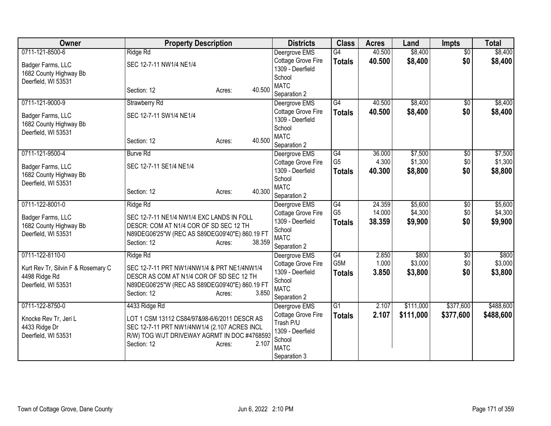| Owner                                         | <b>Property Description</b>                                                         | <b>Districts</b>                       | <b>Class</b>           | <b>Acres</b>   | Land             | <b>Impts</b>    | <b>Total</b>     |
|-----------------------------------------------|-------------------------------------------------------------------------------------|----------------------------------------|------------------------|----------------|------------------|-----------------|------------------|
| 0711-121-8500-6                               | Ridge Rd                                                                            | Deergrove EMS                          | $\overline{G4}$        | 40.500         | \$8,400          | $\overline{50}$ | \$8,400          |
| Badger Farms, LLC                             | SEC 12-7-11 NW1/4 NE1/4                                                             | Cottage Grove Fire                     | <b>Totals</b>          | 40.500         | \$8,400          | \$0             | \$8,400          |
| 1682 County Highway Bb                        |                                                                                     | 1309 - Deerfield                       |                        |                |                  |                 |                  |
| Deerfield, WI 53531                           |                                                                                     | School<br><b>MATC</b>                  |                        |                |                  |                 |                  |
|                                               | 40.500<br>Section: 12<br>Acres:                                                     | Separation 2                           |                        |                |                  |                 |                  |
| 0711-121-9000-9                               | <b>Strawberry Rd</b>                                                                | Deergrove EMS                          | $\overline{G4}$        | 40.500         | \$8,400          | \$0             | \$8,400          |
|                                               |                                                                                     | Cottage Grove Fire                     | <b>Totals</b>          | 40.500         | \$8,400          | \$0             | \$8,400          |
| Badger Farms, LLC                             | SEC 12-7-11 SW1/4 NE1/4                                                             | 1309 - Deerfield                       |                        |                |                  |                 |                  |
| 1682 County Highway Bb<br>Deerfield, WI 53531 |                                                                                     | School                                 |                        |                |                  |                 |                  |
|                                               | 40.500<br>Section: 12<br>Acres:                                                     | <b>MATC</b>                            |                        |                |                  |                 |                  |
|                                               |                                                                                     | Separation 2                           |                        |                |                  |                 |                  |
| 0711-121-9500-4                               | <b>Burve Rd</b>                                                                     | Deergrove EMS                          | G4                     | 36.000         | \$7,500          | $\frac{1}{20}$  | \$7,500          |
| Badger Farms, LLC                             | SEC 12-7-11 SE1/4 NE1/4                                                             | Cottage Grove Fire                     | G <sub>5</sub>         | 4.300          | \$1,300          | \$0             | \$1,300          |
| 1682 County Highway Bb                        |                                                                                     | 1309 - Deerfield<br>School             | <b>Totals</b>          | 40.300         | \$8,800          | \$0             | \$8,800          |
| Deerfield, WI 53531                           |                                                                                     | <b>MATC</b>                            |                        |                |                  |                 |                  |
|                                               | 40.300<br>Section: 12<br>Acres:                                                     | Separation 2                           |                        |                |                  |                 |                  |
| 0711-122-8001-0                               | <b>Ridge Rd</b>                                                                     | Deergrove EMS                          | G4                     | 24.359         | \$5,600          | $\overline{50}$ | \$5,600          |
|                                               |                                                                                     | Cottage Grove Fire                     | G <sub>5</sub>         | 14.000         | \$4,300          | \$0             | \$4,300          |
| Badger Farms, LLC<br>1682 County Highway Bb   | SEC 12-7-11 NE1/4 NW1/4 EXC LANDS IN FOLL<br>DESCR: COM AT N1/4 COR OF SD SEC 12 TH | 1309 - Deerfield                       | <b>Totals</b>          | 38.359         | \$9,900          | \$0             | \$9,900          |
| Deerfield, WI 53531                           | N89DEG06'25"W (REC AS S89DEG09'40"E) 860.19 FT                                      | School                                 |                        |                |                  |                 |                  |
|                                               | 38.359<br>Section: 12<br>Acres:                                                     | <b>MATC</b>                            |                        |                |                  |                 |                  |
|                                               |                                                                                     | Separation 2                           |                        |                |                  |                 |                  |
| 0711-122-8110-0                               | Ridge Rd                                                                            | Deergrove EMS                          | G4<br>G <sub>5</sub> M | 2.850<br>1.000 | \$800<br>\$3,000 | \$0<br>\$0      | \$800<br>\$3,000 |
| Kurt Rev Tr, Silvin F & Rosemary C            | SEC 12-7-11 PRT NW1/4NW1/4 & PRT NE1/4NW1/4                                         | Cottage Grove Fire<br>1309 - Deerfield |                        | 3.850          | \$3,800          | \$0             | \$3,800          |
| 4498 Ridge Rd                                 | DESCR AS COM AT N1/4 COR OF SD SEC 12 TH                                            | School                                 | <b>Totals</b>          |                |                  |                 |                  |
| Deerfield, WI 53531                           | N89DEG06'25"W (REC AS S89DEG09'40"E) 860.19 FT                                      | <b>MATC</b>                            |                        |                |                  |                 |                  |
|                                               | Section: 12<br>3.850<br>Acres:                                                      | Separation 2                           |                        |                |                  |                 |                  |
| 0711-122-8750-0                               | 4433 Ridge Rd                                                                       | Deergrove EMS                          | G1                     | 2.107          | \$111,000        | \$377,600       | \$488,600        |
| Knocke Rev Tr, Jeri L                         | LOT 1 CSM 13112 CS84/97&98-6/6/2011 DESCR AS                                        | Cottage Grove Fire                     | <b>Totals</b>          | 2.107          | \$111,000        | \$377,600       | \$488,600        |
| 4433 Ridge Dr                                 | SEC 12-7-11 PRT NW1/4NW1/4 (2.107 ACRES INCL                                        | Trash P/U                              |                        |                |                  |                 |                  |
| Deerfield, WI 53531                           | R/W) TOG W/JT DRIVEWAY AGRMT IN DOC #4768593                                        | 1309 - Deerfield                       |                        |                |                  |                 |                  |
|                                               | 2.107<br>Section: 12<br>Acres:                                                      | School                                 |                        |                |                  |                 |                  |
|                                               |                                                                                     | <b>MATC</b>                            |                        |                |                  |                 |                  |
|                                               |                                                                                     | Separation 3                           |                        |                |                  |                 |                  |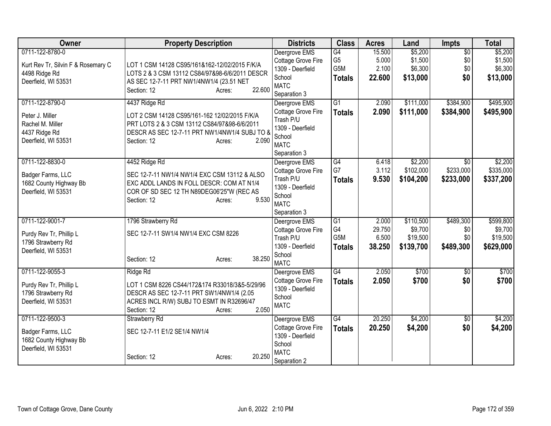| <b>Owner</b>                       | <b>Property Description</b>                    | <b>Districts</b>           | <b>Class</b>    | <b>Acres</b> | Land      | <b>Impts</b>    | <b>Total</b> |
|------------------------------------|------------------------------------------------|----------------------------|-----------------|--------------|-----------|-----------------|--------------|
| 0711-122-8780-0                    |                                                | Deergrove EMS              | $\overline{G4}$ | 15.500       | \$5,200   | $\overline{50}$ | \$5,200      |
| Kurt Rev Tr, Silvin F & Rosemary C | LOT 1 CSM 14128 CS95/161&162-12/02/2015 F/K/A  | Cottage Grove Fire         | G <sub>5</sub>  | 5.000        | \$1,500   | \$0             | \$1,500      |
| 4498 Ridge Rd                      | LOTS 2 & 3 CSM 13112 CS84/97&98-6/6/2011 DESCR | 1309 - Deerfield           | G5M             | 2.100        | \$6,300   | \$0             | \$6,300      |
| Deerfield, WI 53531                | AS SEC 12-7-11 PRT NW1/4NW1/4 (23.51 NET       | School<br><b>MATC</b>      | <b>Totals</b>   | 22.600       | \$13,000  | \$0             | \$13,000     |
|                                    | 22.600<br>Section: 12<br>Acres:                | Separation 3               |                 |              |           |                 |              |
| 0711-122-8790-0                    | 4437 Ridge Rd                                  | Deergrove EMS              | $\overline{G1}$ | 2.090        | \$111,000 | \$384,900       | \$495,900    |
| Peter J. Miller                    | LOT 2 CSM 14128 CS95/161-162 12/02/2015 F/K/A  | Cottage Grove Fire         | <b>Totals</b>   | 2.090        | \$111,000 | \$384,900       | \$495,900    |
| Rachel M. Miller                   | PRT LOTS 2 & 3 CSM 13112 CS84/97&98-6/6/2011   | Trash P/U                  |                 |              |           |                 |              |
| 4437 Ridge Rd                      | DESCR AS SEC 12-7-11 PRT NW1/4NW1/4 SUBJ TO 8  | 1309 - Deerfield           |                 |              |           |                 |              |
| Deerfield, WI 53531                | 2.090<br>Section: 12<br>Acres:                 | School<br><b>MATC</b>      |                 |              |           |                 |              |
|                                    |                                                | Separation 3               |                 |              |           |                 |              |
| 0711-122-8830-0                    | 4452 Ridge Rd                                  | Deergrove EMS              | G4              | 6.418        | \$2,200   | \$0             | \$2,200      |
|                                    |                                                | Cottage Grove Fire         | G7              | 3.112        | \$102,000 | \$233,000       | \$335,000    |
| Badger Farms, LLC                  | SEC 12-7-11 NW1/4 NW1/4 EXC CSM 13112 & ALSO   | Trash P/U                  | <b>Totals</b>   | 9.530        | \$104,200 | \$233,000       | \$337,200    |
| 1682 County Highway Bb             | EXC ADDL LANDS IN FOLL DESCR: COM AT N1/4      | 1309 - Deerfield           |                 |              |           |                 |              |
| Deerfield, WI 53531                | COR OF SD SEC 12 TH N89DEG06'25"W (REC AS      | School                     |                 |              |           |                 |              |
|                                    | 9.530<br>Section: 12<br>Acres:                 | <b>MATC</b>                |                 |              |           |                 |              |
|                                    |                                                | Separation 3               |                 |              |           |                 |              |
| 0711-122-9001-7                    | 1796 Strawberry Rd                             | Deergrove EMS              | $\overline{G1}$ | 2.000        | \$110,500 | \$489,300       | \$599,800    |
| Purdy Rev Tr, Phillip L            | SEC 12-7-11 SW1/4 NW1/4 EXC CSM 8226           | Cottage Grove Fire         | G4              | 29.750       | \$9,700   | \$0             | \$9,700      |
| 1796 Strawberry Rd                 |                                                | Trash P/U                  | G5M             | 6.500        | \$19,500  | \$0             | \$19,500     |
| Deerfield, WI 53531                |                                                | 1309 - Deerfield<br>School | <b>Totals</b>   | 38.250       | \$139,700 | \$489,300       | \$629,000    |
|                                    | 38.250<br>Section: 12<br>Acres:                | <b>MATC</b>                |                 |              |           |                 |              |
| 0711-122-9055-3                    | Ridge Rd                                       | Deergrove EMS              | $\overline{G4}$ | 2.050        | \$700     | $\overline{30}$ | \$700        |
| Purdy Rev Tr, Phillip L            | LOT 1 CSM 8226 CS44/172&174 R33018/3&5-5/29/96 | Cottage Grove Fire         | <b>Totals</b>   | 2.050        | \$700     | \$0             | \$700        |
| 1796 Strawberry Rd                 | DESCR AS SEC 12-7-11 PRT SW1/4NW1/4 (2.05      | 1309 - Deerfield           |                 |              |           |                 |              |
| Deerfield, WI 53531                | ACRES INCL R/W) SUBJ TO ESMT IN R32696/47      | School                     |                 |              |           |                 |              |
|                                    | Section: 12<br>2.050<br>Acres:                 | <b>MATC</b>                |                 |              |           |                 |              |
| 0711-122-9500-3                    | Strawberry Rd                                  | Deergrove EMS              | $\overline{G4}$ | 20.250       | \$4,200   | $\overline{50}$ | \$4,200      |
| Badger Farms, LLC                  | SEC 12-7-11 E1/2 SE1/4 NW1/4                   | Cottage Grove Fire         | <b>Totals</b>   | 20.250       | \$4,200   | \$0             | \$4,200      |
| 1682 County Highway Bb             |                                                | 1309 - Deerfield           |                 |              |           |                 |              |
| Deerfield, WI 53531                |                                                | School                     |                 |              |           |                 |              |
|                                    | 20.250<br>Section: 12<br>Acres:                | <b>MATC</b>                |                 |              |           |                 |              |
|                                    |                                                | Separation 2               |                 |              |           |                 |              |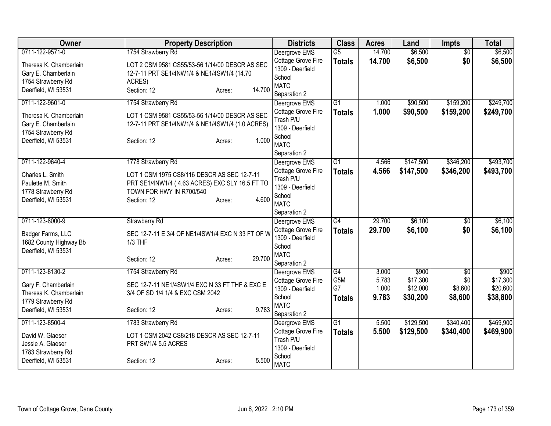| Owner                  | <b>Property Description</b>                      |        | <b>Districts</b>                    | <b>Class</b>    | <b>Acres</b> | Land      | <b>Impts</b>           | <b>Total</b> |
|------------------------|--------------------------------------------------|--------|-------------------------------------|-----------------|--------------|-----------|------------------------|--------------|
| 0711-122-9571-0        | 1754 Strawberry Rd                               |        | Deergrove EMS                       | $\overline{G5}$ | 14.700       | \$6,500   | $\overline{50}$        | \$6,500      |
| Theresa K. Chamberlain | LOT 2 CSM 9581 CS55/53-56 1/14/00 DESCR AS SEC   |        | Cottage Grove Fire                  | <b>Totals</b>   | 14.700       | \$6,500   | \$0                    | \$6,500      |
| Gary E. Chamberlain    | 12-7-11 PRT SE1/4NW1/4 & NE1/4SW1/4 (14.70       |        | 1309 - Deerfield                    |                 |              |           |                        |              |
| 1754 Strawberry Rd     | ACRES)                                           |        | School<br><b>MATC</b>               |                 |              |           |                        |              |
| Deerfield, WI 53531    | Section: 12<br>Acres:                            | 14.700 | Separation 2                        |                 |              |           |                        |              |
| 0711-122-9601-0        | 1754 Strawberry Rd                               |        | Deergrove EMS                       | $\overline{G1}$ | 1.000        | \$90,500  | \$159,200              | \$249,700    |
| Theresa K. Chamberlain | LOT 1 CSM 9581 CS55/53-56 1/14/00 DESCR AS SEC   |        | Cottage Grove Fire                  | <b>Totals</b>   | 1.000        | \$90,500  | \$159,200              | \$249,700    |
| Gary E. Chamberlain    | 12-7-11 PRT SE1/4NW1/4 & NE1/4SW1/4 (1.0 ACRES)  |        | Trash P/U                           |                 |              |           |                        |              |
| 1754 Strawberry Rd     |                                                  |        | 1309 - Deerfield                    |                 |              |           |                        |              |
| Deerfield, WI 53531    | Section: 12<br>Acres:                            | 1.000  | School<br><b>MATC</b>               |                 |              |           |                        |              |
|                        |                                                  |        | Separation 2                        |                 |              |           |                        |              |
| 0711-122-9640-4        | 1778 Strawberry Rd                               |        | Deergrove EMS                       | $\overline{G1}$ | 4.566        | \$147,500 | \$346,200              | \$493,700    |
| Charles L. Smith       | LOT 1 CSM 1975 CS8/116 DESCR AS SEC 12-7-11      |        | Cottage Grove Fire                  | <b>Totals</b>   | 4.566        | \$147,500 | \$346,200              | \$493,700    |
| Paulette M. Smith      | PRT SE1/4NW1/4 (4.63 ACRES) EXC SLY 16.5 FT TO   |        | Trash P/U                           |                 |              |           |                        |              |
| 1778 Strawberry Rd     | TOWN FOR HWY IN R700/540                         |        | 1309 - Deerfield<br>School          |                 |              |           |                        |              |
| Deerfield, WI 53531    | Section: 12<br>Acres:                            | 4.600  | <b>MATC</b>                         |                 |              |           |                        |              |
|                        |                                                  |        | Separation 2                        |                 |              |           |                        |              |
| 0711-123-8000-9        | <b>Strawberry Rd</b>                             |        | Deergrove EMS                       | G4              | 29.700       | \$6,100   | $\overline{50}$        | \$6,100      |
| Badger Farms, LLC      | SEC 12-7-11 E 3/4 OF NE1/4SW1/4 EXC N 33 FT OF W |        | Cottage Grove Fire                  | <b>Totals</b>   | 29.700       | \$6,100   | \$0                    | \$6,100      |
| 1682 County Highway Bb | 1/3 THF                                          |        | 1309 - Deerfield                    |                 |              |           |                        |              |
| Deerfield, WI 53531    |                                                  |        | School                              |                 |              |           |                        |              |
|                        | Section: 12<br>Acres:                            | 29.700 | <b>MATC</b>                         |                 |              |           |                        |              |
| 0711-123-8130-2        | 1754 Strawberry Rd                               |        | Separation 2                        | $\overline{G4}$ | 3.000        | \$900     |                        | \$900        |
|                        |                                                  |        | Deergrove EMS<br>Cottage Grove Fire | G5M             | 5.783        | \$17,300  | $\overline{50}$<br>\$0 | \$17,300     |
| Gary F. Chamberlain    | SEC 12-7-11 NE1/4SW1/4 EXC N 33 FT THF & EXC E   |        | 1309 - Deerfield                    | G7              | 1.000        | \$12,000  | \$8,600                | \$20,600     |
| Theresa K. Chamberlain | 3/4 OF SD 1/4 1/4 & EXC CSM 2042                 |        | School                              | <b>Totals</b>   | 9.783        | \$30,200  | \$8,600                | \$38,800     |
| 1779 Strawberry Rd     |                                                  |        | <b>MATC</b>                         |                 |              |           |                        |              |
| Deerfield, WI 53531    | Section: 12<br>Acres:                            | 9.783  | Separation 2                        |                 |              |           |                        |              |
| 0711-123-8500-4        | 1783 Strawberry Rd                               |        | Deergrove EMS                       | G1              | 5.500        | \$129,500 | \$340,400              | \$469,900    |
| David W. Glaeser       | LOT 1 CSM 2042 CS8/218 DESCR AS SEC 12-7-11      |        | Cottage Grove Fire                  | <b>Totals</b>   | 5.500        | \$129,500 | \$340,400              | \$469,900    |
| Jessie A. Glaeser      | PRT SW1/4 5.5 ACRES                              |        | Trash P/U                           |                 |              |           |                        |              |
| 1783 Strawberry Rd     |                                                  |        | 1309 - Deerfield                    |                 |              |           |                        |              |
| Deerfield, WI 53531    | Section: 12<br>Acres:                            | 5.500  | School<br><b>MATC</b>               |                 |              |           |                        |              |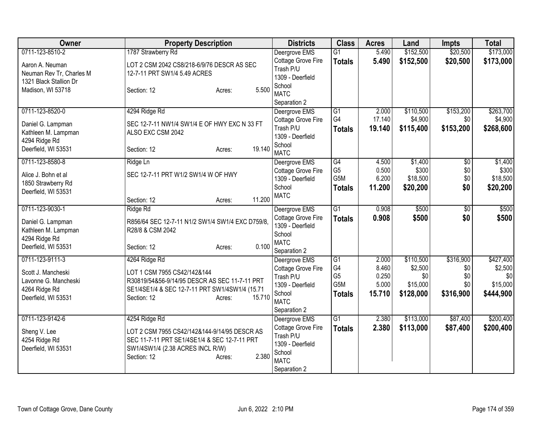| <b>Owner</b>             | <b>Property Description</b>                      | <b>Districts</b>                | <b>Class</b>    | <b>Acres</b>   | Land           | <b>Impts</b>    | <b>Total</b>   |
|--------------------------|--------------------------------------------------|---------------------------------|-----------------|----------------|----------------|-----------------|----------------|
| 0711-123-8510-2          | 1787 Strawberry Rd                               | Deergrove EMS                   | $\overline{G1}$ | 5.490          | \$152,500      | \$20,500        | \$173,000      |
| Aaron A. Neuman          | LOT 2 CSM 2042 CS8/218-6/9/76 DESCR AS SEC       | Cottage Grove Fire              | <b>Totals</b>   | 5.490          | \$152,500      | \$20,500        | \$173,000      |
| Neuman Rev Tr, Charles M | 12-7-11 PRT SW1/4 5.49 ACRES                     | Trash P/U                       |                 |                |                |                 |                |
| 1321 Black Stallion Dr   |                                                  | 1309 - Deerfield                |                 |                |                |                 |                |
| Madison, WI 53718        | 5.500<br>Section: 12<br>Acres:                   | School<br><b>MATC</b>           |                 |                |                |                 |                |
|                          |                                                  | Separation 2                    |                 |                |                |                 |                |
| 0711-123-8520-0          | 4294 Ridge Rd                                    | Deergrove EMS                   | $\overline{G1}$ | 2.000          | \$110,500      | \$153,200       | \$263,700      |
|                          |                                                  | Cottage Grove Fire              | G4              | 17.140         | \$4,900        | \$0             | \$4,900        |
| Daniel G. Lampman        | SEC 12-7-11 NW1/4 SW1/4 E OF HWY EXC N 33 FT     | Trash P/U                       | <b>Totals</b>   | 19.140         | \$115,400      | \$153,200       | \$268,600      |
| Kathleen M. Lampman      | ALSO EXC CSM 2042                                | 1309 - Deerfield                |                 |                |                |                 |                |
| 4294 Ridge Rd            |                                                  | School                          |                 |                |                |                 |                |
| Deerfield, WI 53531      | 19.140<br>Section: 12<br>Acres:                  | <b>MATC</b>                     |                 |                |                |                 |                |
| 0711-123-8580-8          | Ridge Ln                                         | Deergrove EMS                   | $\overline{G4}$ | 4.500          | \$1,400        | \$0             | \$1,400        |
| Alice J. Bohn et al      | SEC 12-7-11 PRT W1/2 SW1/4 W OF HWY              | Cottage Grove Fire              | G <sub>5</sub>  | 0.500          | \$300          | \$0             | \$300          |
| 1850 Strawberry Rd       |                                                  | 1309 - Deerfield                | G5M             | 6.200          | \$18,500       | \$0             | \$18,500       |
| Deerfield, WI 53531      |                                                  | School                          | <b>Totals</b>   | 11.200         | \$20,200       | \$0             | \$20,200       |
|                          | 11.200<br>Section: 12<br>Acres:                  | <b>MATC</b>                     |                 |                |                |                 |                |
| 0711-123-9030-1          | Ridge Rd                                         | Deergrove EMS                   | $\overline{G1}$ | 0.908          | \$500          | $\overline{50}$ | \$500          |
| Daniel G. Lampman        | R856/64 SEC 12-7-11 N1/2 SW1/4 SW1/4 EXC D759/8. | Cottage Grove Fire              | <b>Totals</b>   | 0.908          | \$500          | \$0             | \$500          |
| Kathleen M. Lampman      | R28/8 & CSM 2042                                 | 1309 - Deerfield                |                 |                |                |                 |                |
| 4294 Ridge Rd            |                                                  | School                          |                 |                |                |                 |                |
| Deerfield, WI 53531      | 0.100<br>Section: 12<br>Acres:                   | <b>MATC</b>                     |                 |                |                |                 |                |
|                          |                                                  | Separation 2                    |                 |                |                |                 |                |
| 0711-123-9111-3          | 4264 Ridge Rd                                    | Deergrove EMS                   | G1<br>G4        | 2.000<br>8.460 | \$110,500      | \$316,900       | \$427,400      |
| Scott J. Mancheski       | LOT 1 CSM 7955 CS42/142&144                      | Cottage Grove Fire<br>Trash P/U | G <sub>5</sub>  | 0.250          | \$2,500<br>\$0 | \$0<br>\$0      | \$2,500<br>\$0 |
| Lavonne G. Mancheski     | R30819/54&56-9/14/95 DESCR AS SEC 11-7-11 PRT    | 1309 - Deerfield                | G5M             | 5.000          | \$15,000       | \$0             | \$15,000       |
| 4264 Ridge Rd            | SE1/4SE1/4 & SEC 12-7-11 PRT SW1/4SW1/4 (15.71   | School                          | <b>Totals</b>   | 15.710         | \$128,000      | \$316,900       | \$444,900      |
| Deerfield, WI 53531      | 15.710<br>Section: 12<br>Acres:                  | <b>MATC</b>                     |                 |                |                |                 |                |
|                          |                                                  | Separation 2                    |                 |                |                |                 |                |
| 0711-123-9142-6          | 4254 Ridge Rd                                    | Deergrove EMS                   | G1              | 2.380          | \$113,000      | \$87,400        | \$200,400      |
| Sheng V. Lee             | LOT 2 CSM 7955 CS42/142&144-9/14/95 DESCR AS     | Cottage Grove Fire              | <b>Totals</b>   | 2.380          | \$113,000      | \$87,400        | \$200,400      |
| 4254 Ridge Rd            | SEC 11-7-11 PRT SE1/4SE1/4 & SEC 12-7-11 PRT     | Trash P/U                       |                 |                |                |                 |                |
| Deerfield, WI 53531      | SW1/4SW1/4 (2.38 ACRES INCL R/W)                 | 1309 - Deerfield                |                 |                |                |                 |                |
|                          | 2.380<br>Section: 12<br>Acres:                   | School                          |                 |                |                |                 |                |
|                          |                                                  | <b>MATC</b>                     |                 |                |                |                 |                |
|                          |                                                  | Separation 2                    |                 |                |                |                 |                |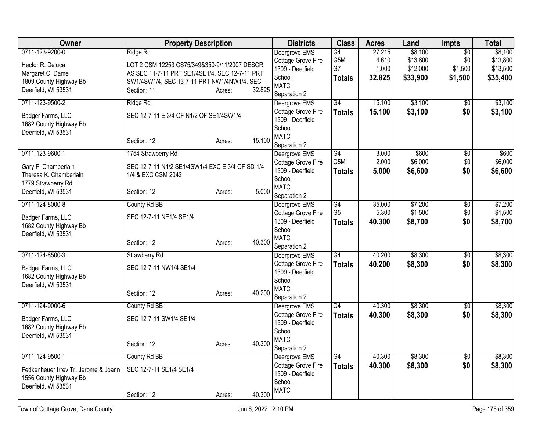| <b>Owner</b>                         | <b>Property Description</b>                     |        |        | <b>Districts</b>                       | <b>Class</b>    | <b>Acres</b> | Land     | Impts           | <b>Total</b> |
|--------------------------------------|-------------------------------------------------|--------|--------|----------------------------------------|-----------------|--------------|----------|-----------------|--------------|
| 0711-123-9200-0                      | Ridge Rd                                        |        |        | Deergrove EMS                          | G4              | 27.215       | \$8,100  | $\overline{50}$ | \$8,100      |
| Hector R. Deluca                     | LOT 2 CSM 12253 CS75/349&350-9/11/2007 DESCR    |        |        | Cottage Grove Fire                     | G5M             | 4.610        | \$13,800 | \$0             | \$13,800     |
| Margaret C. Dame                     | AS SEC 11-7-11 PRT SE1/4SE1/4, SEC 12-7-11 PRT  |        |        | 1309 - Deerfield                       | G7              | 1.000        | \$12,000 | \$1,500         | \$13,500     |
| 1809 County Highway Bb               | SW1/4SW1/4, SEC 13-7-11 PRT NW1/4NW1/4, SEC     |        |        | School                                 | <b>Totals</b>   | 32.825       | \$33,900 | \$1,500         | \$35,400     |
| Deerfield, WI 53531                  | Section: 11                                     | Acres: | 32.825 | <b>MATC</b>                            |                 |              |          |                 |              |
|                                      |                                                 |        |        | Separation 2                           |                 |              |          |                 |              |
| 0711-123-9500-2                      | Ridge Rd                                        |        |        | Deergrove EMS                          | $\overline{G4}$ | 15.100       | \$3,100  | $\overline{50}$ | \$3,100      |
| Badger Farms, LLC                    | SEC 12-7-11 E 3/4 OF N1/2 OF SE1/4SW1/4         |        |        | Cottage Grove Fire                     | <b>Totals</b>   | 15.100       | \$3,100  | \$0             | \$3,100      |
| 1682 County Highway Bb               |                                                 |        |        | 1309 - Deerfield<br>School             |                 |              |          |                 |              |
| Deerfield, WI 53531                  |                                                 |        |        | <b>MATC</b>                            |                 |              |          |                 |              |
|                                      | Section: 12                                     | Acres: | 15.100 | Separation 2                           |                 |              |          |                 |              |
| 0711-123-9600-1                      | 1754 Strawberry Rd                              |        |        | Deergrove EMS                          | G4              | 3.000        | \$600    | $\overline{50}$ | \$600        |
|                                      |                                                 |        |        | Cottage Grove Fire                     | G5M             | 2.000        | \$6,000  | \$0             | \$6,000      |
| Gary F. Chamberlain                  | SEC 12-7-11 N1/2 SE1/4SW1/4 EXC E 3/4 OF SD 1/4 |        |        | 1309 - Deerfield                       | <b>Totals</b>   | 5.000        | \$6,600  | \$0             | \$6,600      |
| Theresa K. Chamberlain               | 1/4 & EXC CSM 2042                              |        |        | School                                 |                 |              |          |                 |              |
| 1779 Strawberry Rd                   |                                                 |        |        | <b>MATC</b>                            |                 |              |          |                 |              |
| Deerfield, WI 53531                  | Section: 12                                     | Acres: | 5.000  | Separation 2                           |                 |              |          |                 |              |
| 0711-124-8000-8                      | County Rd BB                                    |        |        | Deergrove EMS                          | G4              | 35.000       | \$7,200  | $\overline{60}$ | \$7,200      |
| Badger Farms, LLC                    | SEC 12-7-11 NE1/4 SE1/4                         |        |        | Cottage Grove Fire                     | G <sub>5</sub>  | 5.300        | \$1,500  | \$0             | \$1,500      |
| 1682 County Highway Bb               |                                                 |        |        | 1309 - Deerfield                       | <b>Totals</b>   | 40.300       | \$8,700  | \$0             | \$8,700      |
| Deerfield, WI 53531                  |                                                 |        |        | School                                 |                 |              |          |                 |              |
|                                      | Section: 12                                     | Acres: | 40.300 | <b>MATC</b>                            |                 |              |          |                 |              |
|                                      |                                                 |        |        | Separation 2                           |                 |              |          |                 |              |
| 0711-124-8500-3                      | <b>Strawberry Rd</b>                            |        |        | Deergrove EMS                          | $\overline{G4}$ | 40.200       | \$8,300  | $\overline{50}$ | \$8,300      |
| Badger Farms, LLC                    | SEC 12-7-11 NW1/4 SE1/4                         |        |        | Cottage Grove Fire<br>1309 - Deerfield | <b>Totals</b>   | 40.200       | \$8,300  | \$0             | \$8,300      |
| 1682 County Highway Bb               |                                                 |        |        | School                                 |                 |              |          |                 |              |
| Deerfield, WI 53531                  |                                                 |        |        | <b>MATC</b>                            |                 |              |          |                 |              |
|                                      | Section: 12                                     | Acres: | 40.200 | Separation 2                           |                 |              |          |                 |              |
| 0711-124-9000-6                      | County Rd BB                                    |        |        | Deergrove EMS                          | G4              | 40.300       | \$8,300  | $\overline{50}$ | \$8,300      |
|                                      |                                                 |        |        | Cottage Grove Fire                     | <b>Totals</b>   | 40.300       | \$8,300  | \$0             | \$8,300      |
| Badger Farms, LLC                    | SEC 12-7-11 SW1/4 SE1/4                         |        |        | 1309 - Deerfield                       |                 |              |          |                 |              |
| 1682 County Highway Bb               |                                                 |        |        | School                                 |                 |              |          |                 |              |
| Deerfield, WI 53531                  |                                                 |        | 40.300 | <b>MATC</b>                            |                 |              |          |                 |              |
|                                      | Section: 12                                     | Acres: |        | Separation 2                           |                 |              |          |                 |              |
| 0711-124-9500-1                      | County Rd BB                                    |        |        | Deergrove EMS                          | G4              | 40.300       | \$8,300  | $\overline{50}$ | \$8,300      |
| Fedkenheuer Irrev Tr, Jerome & Joann | SEC 12-7-11 SE1/4 SE1/4                         |        |        | Cottage Grove Fire                     | <b>Totals</b>   | 40.300       | \$8,300  | \$0             | \$8,300      |
| 1556 County Highway Bb               |                                                 |        |        | 1309 - Deerfield                       |                 |              |          |                 |              |
| Deerfield, WI 53531                  |                                                 |        |        | School                                 |                 |              |          |                 |              |
|                                      | Section: 12                                     | Acres: | 40.300 | <b>MATC</b>                            |                 |              |          |                 |              |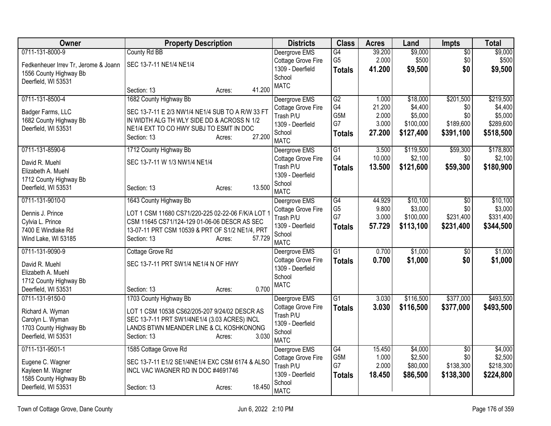| Owner                                         | <b>Property Description</b>                       |        | <b>Districts</b>                       | <b>Class</b>     | <b>Acres</b> | Land      | <b>Impts</b>    | <b>Total</b> |
|-----------------------------------------------|---------------------------------------------------|--------|----------------------------------------|------------------|--------------|-----------|-----------------|--------------|
| 0711-131-8000-9                               | County Rd BB                                      |        | Deergrove EMS                          | G4               | 39.200       | \$9,000   | $\overline{60}$ | \$9,000      |
| Fedkenheuer Irrev Tr, Jerome & Joann          | SEC 13-7-11 NE1/4 NE1/4                           |        | Cottage Grove Fire                     | G <sub>5</sub>   | 2.000        | \$500     | \$0             | \$500        |
| 1556 County Highway Bb                        |                                                   |        | 1309 - Deerfield                       | <b>Totals</b>    | 41.200       | \$9,500   | \$0             | \$9,500      |
| Deerfield, WI 53531                           |                                                   |        | School                                 |                  |              |           |                 |              |
|                                               | Section: 13<br>Acres:                             | 41.200 | <b>MATC</b>                            |                  |              |           |                 |              |
| 0711-131-8500-4                               | 1682 County Highway Bb                            |        | Deergrove EMS                          | G2               | 1.000        | \$18,000  | \$201,500       | \$219,500    |
| Badger Farms, LLC                             | SEC 13-7-11 E 2/3 NW1/4 NE1/4 SUB TO A R/W 33 FT  |        | Cottage Grove Fire                     | G4               | 21.200       | \$4,400   | \$0             | \$4,400      |
| 1682 County Highway Bb                        | IN WIDTH ALG TH WLY SIDE DD & ACROSS N 1/2        |        | Trash P/U                              | G <sub>5</sub> M | 2.000        | \$5,000   | \$0             | \$5,000      |
| Deerfield, WI 53531                           | NE1/4 EXT TO CO HWY SUBJ TO ESMT IN DOC           |        | 1309 - Deerfield                       | G7               | 3.000        | \$100,000 | \$189,600       | \$289,600    |
|                                               | Section: 13<br>Acres:                             | 27.200 | School<br><b>MATC</b>                  | <b>Totals</b>    | 27.200       | \$127,400 | \$391,100       | \$518,500    |
| 0711-131-8590-6                               | 1712 County Highway Bb                            |        | Deergrove EMS                          | $\overline{G1}$  | 3.500        | \$119,500 | \$59,300        | \$178,800    |
|                                               |                                                   |        | Cottage Grove Fire                     | G4               | 10.000       | \$2,100   | \$0             | \$2,100      |
| David R. Muehl                                | SEC 13-7-11 W 1/3 NW1/4 NE1/4                     |        | Trash P/U                              | <b>Totals</b>    | 13.500       | \$121,600 | \$59,300        | \$180,900    |
| Elizabeth A. Muehl                            |                                                   |        | 1309 - Deerfield                       |                  |              |           |                 |              |
| 1712 County Highway Bb                        |                                                   |        | School                                 |                  |              |           |                 |              |
| Deerfield, WI 53531                           | Section: 13<br>Acres:                             | 13.500 | <b>MATC</b>                            |                  |              |           |                 |              |
| 0711-131-9010-0                               | 1643 County Highway Bb                            |        | Deergrove EMS                          | G4               | 44.929       | \$10,100  | $\overline{50}$ | \$10,100     |
| Dennis J. Prince                              | LOT 1 CSM 11680 CS71/220-225 02-22-06 F/K/A LOT 1 |        | Cottage Grove Fire                     | G <sub>5</sub>   | 9.800        | \$3,000   | \$0             | \$3,000      |
| Cylvia L. Prince                              | CSM 11645 CS71/124-129 01-06-06 DESCR AS SEC      |        | Trash P/U                              | G7               | 3.000        | \$100,000 | \$231,400       | \$331,400    |
| 7400 E Windlake Rd                            | 13-07-11 PRT CSM 10539 & PRT OF S1/2 NE1/4, PRT   |        | 1309 - Deerfield                       | <b>Totals</b>    | 57.729       | \$113,100 | \$231,400       | \$344,500    |
| Wind Lake, WI 53185                           | Section: 13<br>Acres:                             | 57.729 | School                                 |                  |              |           |                 |              |
|                                               |                                                   |        | <b>MATC</b>                            |                  |              |           |                 |              |
| 0711-131-9090-9                               | Cottage Grove Rd                                  |        | Deergrove EMS                          | $\overline{G1}$  | 0.700        | \$1,000   | $\overline{50}$ | \$1,000      |
| David R. Muehl                                | SEC 13-7-11 PRT SW1/4 NE1/4 N OF HWY              |        | Cottage Grove Fire<br>1309 - Deerfield | <b>Totals</b>    | 0.700        | \$1,000   | \$0             | \$1,000      |
| Elizabeth A. Muehl                            |                                                   |        | School                                 |                  |              |           |                 |              |
| 1712 County Highway Bb                        |                                                   |        | <b>MATC</b>                            |                  |              |           |                 |              |
| Deerfield, WI 53531                           | Section: 13<br>Acres:                             | 0.700  |                                        |                  |              |           |                 |              |
| 0711-131-9150-0                               | 1703 County Highway Bb                            |        | Deergrove EMS                          | G <sub>1</sub>   | 3.030        | \$116,500 | \$377,000       | \$493,500    |
| Richard A. Wyman                              | LOT 1 CSM 10538 CS62/205-207 9/24/02 DESCR AS     |        | <b>Cottage Grove Fire</b>              | <b>Totals</b>    | 3.030        | \$116,500 | \$377,000       | \$493,500    |
| Carolyn L. Wyman                              | SEC 13-7-11 PRT SW1/4NE1/4 (3.03 ACRES) INCL      |        | Trash P/U<br>1309 - Deerfield          |                  |              |           |                 |              |
| 1703 County Highway Bb                        | LANDS BTWN MEANDER LINE & CL KOSHKONONG           |        | School                                 |                  |              |           |                 |              |
| Deerfield, WI 53531                           | Section: 13<br>Acres:                             | 3.030  | <b>MATC</b>                            |                  |              |           |                 |              |
| 0711-131-9501-1                               | 1585 Cottage Grove Rd                             |        | Deergrove EMS                          | G4               | 15.450       | \$4,000   | $\overline{50}$ | \$4,000      |
|                                               |                                                   |        | Cottage Grove Fire                     | G5M              | 1.000        | \$2,500   | \$0             | \$2,500      |
| Eugene C. Wagner                              | SEC 13-7-11 E1/2 SE1/4NE1/4 EXC CSM 6174 & ALSO   |        | Trash P/U                              | G7               | 2.000        | \$80,000  | \$138,300       | \$218,300    |
| Kayleen M. Wagner                             | INCL VAC WAGNER RD IN DOC #4691746                |        | 1309 - Deerfield                       | <b>Totals</b>    | 18.450       | \$86,500  | \$138,300       | \$224,800    |
| 1585 County Highway Bb<br>Deerfield, WI 53531 | Section: 13<br>Acres:                             | 18.450 | School                                 |                  |              |           |                 |              |
|                                               |                                                   |        | <b>MATC</b>                            |                  |              |           |                 |              |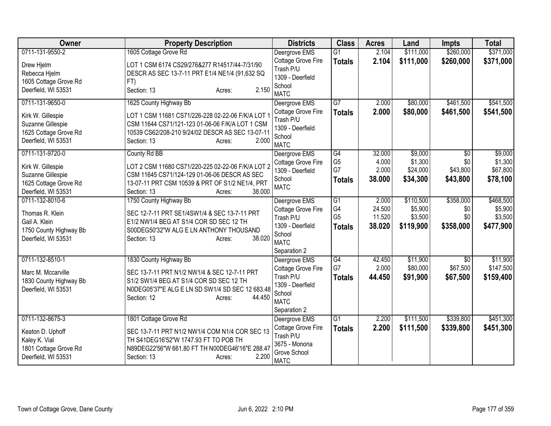| <b>Owner</b>                           | <b>Property Description</b>                                                                     | <b>Districts</b>                    | <b>Class</b>         | <b>Acres</b>    | Land               | <b>Impts</b>    | <b>Total</b>       |
|----------------------------------------|-------------------------------------------------------------------------------------------------|-------------------------------------|----------------------|-----------------|--------------------|-----------------|--------------------|
| 0711-131-9550-2                        | 1605 Cottage Grove Rd                                                                           | Deergrove EMS                       | $\overline{G1}$      | 2.104           | \$111,000          | \$260,000       | \$371,000          |
| Drew Hjelm                             | LOT 1 CSM 6174 CS29/276&277 R14517/44-7/31/90<br>DESCR AS SEC 13-7-11 PRT E1/4 NE1/4 (91,632 SQ | Cottage Grove Fire<br>Trash P/U     | <b>Totals</b>        | 2.104           | \$111,000          | \$260,000       | \$371,000          |
| Rebecca Hjelm<br>1605 Cottage Grove Rd | FT)                                                                                             | 1309 - Deerfield                    |                      |                 |                    |                 |                    |
| Deerfield, WI 53531                    | 2.150<br>Section: 13<br>Acres:                                                                  | School                              |                      |                 |                    |                 |                    |
|                                        |                                                                                                 | <b>MATC</b>                         |                      |                 |                    |                 |                    |
| 0711-131-9650-0                        | 1625 County Highway Bb                                                                          | Deergrove EMS                       | $\overline{G7}$      | 2.000           | \$80,000           | \$461,500       | \$541,500          |
| Kirk W. Gillespie                      | LOT 1 CSM 11681 CS71/226-228 02-22-06 F/K/A LOT 1                                               | Cottage Grove Fire                  | <b>Totals</b>        | 2.000           | \$80,000           | \$461,500       | \$541,500          |
| Suzanne Gillespie                      | CSM 11644 CS71/121-123 01-06-06 F/K/A LOT 1 CSM                                                 | Trash P/U                           |                      |                 |                    |                 |                    |
| 1625 Cottage Grove Rd                  | 10539 CS62/208-210 9/24/02 DESCR AS SEC 13-07-11                                                | 1309 - Deerfield                    |                      |                 |                    |                 |                    |
| Deerfield, WI 53531                    | 2.000<br>Section: 13<br>Acres:                                                                  | School                              |                      |                 |                    |                 |                    |
| 0711-131-9720-0                        |                                                                                                 | <b>MATC</b>                         |                      |                 |                    |                 |                    |
|                                        | County Rd BB                                                                                    | Deergrove EMS<br>Cottage Grove Fire | G4<br>G <sub>5</sub> | 32.000<br>4.000 | \$9,000<br>\$1,300 | \$0<br>\$0      | \$9,000<br>\$1,300 |
| Kirk W. Gillespie                      | LOT 2 CSM 11680 CS71/220-225 02-22-06 F/K/A LOT 2                                               | 1309 - Deerfield                    | G7                   | 2.000           | \$24,000           | \$43,800        | \$67,800           |
| Suzanne Gillespie                      | CSM 11645 CS71/124-129 01-06-06 DESCR AS SEC                                                    | School                              | <b>Totals</b>        | 38.000          | \$34,300           | \$43,800        | \$78,100           |
| 1625 Cottage Grove Rd                  | 13-07-11 PRT CSM 10539 & PRT OF S1/2 NE1/4, PRT                                                 | <b>MATC</b>                         |                      |                 |                    |                 |                    |
| Deerfield, WI 53531                    | 38.000<br>Section: 13<br>Acres:                                                                 |                                     |                      |                 |                    |                 |                    |
| 0711-132-8010-6                        | 1750 County Highway Bb                                                                          | Deergrove EMS                       | G1                   | 2.000           | \$110,500          | \$358,000       | \$468,500          |
| Thomas R. Klein                        | SEC 12-7-11 PRT SE1/4SW1/4 & SEC 13-7-11 PRT                                                    | Cottage Grove Fire                  | G4                   | 24.500          | \$5,900            | \$0             | \$5,900            |
| Gail A. Klein                          | E1/2 NW1/4 BEG AT S1/4 COR SD SEC 12 TH                                                         | Trash P/U                           | G <sub>5</sub>       | 11.520          | \$3,500            | \$0             | \$3,500            |
| 1750 County Highway Bb                 | S00DEG50'32"W ALG E LN ANTHONY THOUSAND                                                         | 1309 - Deerfield                    | <b>Totals</b>        | 38.020          | \$119,900          | \$358,000       | \$477,900          |
| Deerfield, WI 53531                    | 38.020<br>Section: 13<br>Acres:                                                                 | School<br><b>MATC</b>               |                      |                 |                    |                 |                    |
|                                        |                                                                                                 | Separation 2                        |                      |                 |                    |                 |                    |
| 0711-132-8510-1                        | 1830 County Highway Bb                                                                          | Deergrove EMS                       | $\overline{G4}$      | 42.450          | \$11,900           | $\overline{30}$ | \$11,900           |
|                                        |                                                                                                 | Cottage Grove Fire                  | G7                   | 2.000           | \$80,000           | \$67,500        | \$147,500          |
| Marc M. Mccarville                     | SEC 13-7-11 PRT N1/2 NW1/4 & SEC 12-7-11 PRT                                                    | Trash P/U                           | <b>Totals</b>        | 44.450          | \$91,900           | \$67,500        | \$159,400          |
| 1830 County Highway Bb                 | S1/2 SW1/4 BEG AT S1/4 COR SD SEC 12 TH                                                         | 1309 - Deerfield                    |                      |                 |                    |                 |                    |
| Deerfield, WI 53531                    | N0DEG05'37"E ALG E LN SD SW1/4 SD SEC 12 683.48                                                 | School                              |                      |                 |                    |                 |                    |
|                                        | Section: 12<br>44.450<br>Acres:                                                                 | <b>MATC</b>                         |                      |                 |                    |                 |                    |
|                                        |                                                                                                 | Separation 2                        |                      |                 |                    |                 |                    |
| 0711-132-8675-3                        | 1801 Cottage Grove Rd                                                                           | Deergrove EMS                       | $\overline{G1}$      | 2.200           | \$111,500          | \$339,800       | \$451,300          |
| Keaton D. Uphoff                       | SEC 13-7-11 PRT N1/2 NW1/4 COM N1/4 COR SEC 13                                                  | Cottage Grove Fire                  | <b>Totals</b>        | 2.200           | \$111,500          | \$339,800       | \$451,300          |
| Kaley K. Vial                          | TH S41DEG16'52"W 1747.93 FT TO POB TH                                                           | Trash P/U                           |                      |                 |                    |                 |                    |
| 1801 Cottage Grove Rd                  | N89DEG22'56"W 661.80 FT TH N00DEG46'16"E 288.47                                                 | 3675 - Monona                       |                      |                 |                    |                 |                    |
| Deerfield, WI 53531                    | 2.200<br>Section: 13<br>Acres:                                                                  | Grove School                        |                      |                 |                    |                 |                    |
|                                        |                                                                                                 | <b>MATC</b>                         |                      |                 |                    |                 |                    |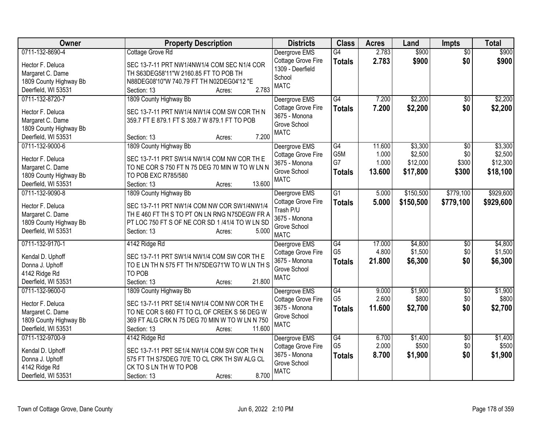| Owner                  | <b>Property Description</b>                     | <b>Districts</b>                       | <b>Class</b>     | <b>Acres</b> | Land      | <b>Impts</b>    | <b>Total</b> |
|------------------------|-------------------------------------------------|----------------------------------------|------------------|--------------|-----------|-----------------|--------------|
| 0711-132-8690-4        | Cottage Grove Rd                                | Deergrove EMS                          | G4               | 2.783        | \$900     | $\overline{50}$ | \$900        |
| Hector F. Deluca       | SEC 13-7-11 PRT NW1/4NW1/4 COM SEC N1/4 COR     | Cottage Grove Fire<br>1309 - Deerfield | <b>Totals</b>    | 2.783        | \$900     | \$0             | \$900        |
| Margaret C. Dame       | TH S63DEG58'11"W 2160.85 FT TO POB TH           | School                                 |                  |              |           |                 |              |
| 1809 County Highway Bb | N88DEG08'10"W 740.79 FT TH N02DEG04'12 "E       | <b>MATC</b>                            |                  |              |           |                 |              |
| Deerfield, WI 53531    | 2.783<br>Section: 13<br>Acres:                  |                                        |                  |              |           |                 |              |
| 0711-132-8720-7        | 1809 County Highway Bb                          | Deergrove EMS                          | $\overline{G4}$  | 7.200        | \$2,200   | $\overline{50}$ | \$2,200      |
| Hector F. Deluca       | SEC 13-7-11 PRT NW1/4 NW1/4 COM SW COR TH N     | Cottage Grove Fire                     | <b>Totals</b>    | 7.200        | \$2,200   | \$0             | \$2,200      |
| Margaret C. Dame       | 359.7 FT E 879.1 FT S 359.7 W 879.1 FT TO POB   | 3675 - Monona                          |                  |              |           |                 |              |
| 1809 County Highway Bb |                                                 | Grove School                           |                  |              |           |                 |              |
| Deerfield, WI 53531    | 7.200<br>Section: 13<br>Acres:                  | <b>MATC</b>                            |                  |              |           |                 |              |
| 0711-132-9000-6        | 1809 County Highway Bb                          | Deergrove EMS                          | $\overline{G4}$  | 11.600       | \$3,300   | $\overline{30}$ | \$3,300      |
| Hector F. Deluca       | SEC 13-7-11 PRT SW1/4 NW1/4 COM NW COR TH E     | Cottage Grove Fire                     | G <sub>5</sub> M | 1.000        | \$2,500   | \$0             | \$2,500      |
| Margaret C. Dame       | TO NE COR S 750 FT N 75 DEG 70 MIN W TO W LN N  | 3675 - Monona                          | G7               | 1.000        | \$12,000  | \$300           | \$12,300     |
| 1809 County Highway Bb | TO POB EXC R785/580                             | Grove School                           | <b>Totals</b>    | 13.600       | \$17,800  | \$300           | \$18,100     |
| Deerfield, WI 53531    | 13.600<br>Section: 13<br>Acres:                 | <b>MATC</b>                            |                  |              |           |                 |              |
| 0711-132-9090-8        | 1809 County Highway Bb                          | Deergrove EMS                          | G1               | 5.000        | \$150,500 | \$779,100       | \$929,600    |
|                        |                                                 | Cottage Grove Fire                     | <b>Totals</b>    | 5.000        | \$150,500 | \$779,100       | \$929,600    |
| Hector F. Deluca       | SEC 13-7-11 PRT NW1/4 COM NW COR SW1/4NW1/4     | Trash P/U                              |                  |              |           |                 |              |
| Margaret C. Dame       | TH E 460 FT TH S TO PT ON LN RNG N75DEGW FR A   | 3675 - Monona                          |                  |              |           |                 |              |
| 1809 County Highway Bb | PT LOC 750 FT S OF NE COR SD 1 /41/4 TO W LN SD | Grove School                           |                  |              |           |                 |              |
| Deerfield, WI 53531    | Section: 13<br>5.000<br>Acres:                  | <b>MATC</b>                            |                  |              |           |                 |              |
| 0711-132-9170-1        | 4142 Ridge Rd                                   | Deergrove EMS                          | G4               | 17.000       | \$4,800   | \$0             | \$4,800      |
| Kendal D. Uphoff       | SEC 13-7-11 PRT SW1/4 NW1/4 COM SW COR TH E     | Cottage Grove Fire                     | G <sub>5</sub>   | 4.800        | \$1,500   | \$0             | \$1,500      |
| Donna J. Uphoff        | TO E LN TH N 575 FT TH N75DEG71'W TO W LN TH S  | 3675 - Monona                          | <b>Totals</b>    | 21.800       | \$6,300   | \$0             | \$6,300      |
| 4142 Ridge Rd          | TO POB                                          | Grove School                           |                  |              |           |                 |              |
| Deerfield, WI 53531    | 21.800<br>Section: 13<br>Acres:                 | <b>MATC</b>                            |                  |              |           |                 |              |
| 0711-132-9600-0        | 1809 County Highway Bb                          | Deergrove EMS                          | G4               | 9.000        | \$1,900   | \$0             | \$1,900      |
| Hector F. Deluca       | SEC 13-7-11 PRT SE1/4 NW1/4 COM NW COR TH E     | Cottage Grove Fire                     | G <sub>5</sub>   | 2.600        | \$800     | \$0             | \$800        |
| Margaret C. Dame       | TO NE COR S 660 FT TO CL OF CREEK S 56 DEG W    | 3675 - Monona                          | <b>Totals</b>    | 11.600       | \$2,700   | \$0             | \$2,700      |
| 1809 County Highway Bb | 369 FT ALG CRK N 75 DEG 70 MIN W TO W LN N 750  | Grove School                           |                  |              |           |                 |              |
| Deerfield, WI 53531    | 11.600<br>Section: 13<br>Acres:                 | <b>MATC</b>                            |                  |              |           |                 |              |
| 0711-132-9700-9        | 4142 Ridge Rd                                   | Deergrove EMS                          | G4               | 6.700        | \$1,400   | \$0             | \$1,400      |
|                        |                                                 | Cottage Grove Fire                     | G <sub>5</sub>   | 2.000        | \$500     | \$0             | \$500        |
| Kendal D. Uphoff       | SEC 13-7-11 PRT SE1/4 NW1/4 COM SW COR TH N     | 3675 - Monona                          | <b>Totals</b>    | 8.700        | \$1,900   | \$0             | \$1,900      |
| Donna J. Uphoff        | 575 FT TH S75DEG 70'E TO CL CRK TH SW ALG CL    | Grove School                           |                  |              |           |                 |              |
| 4142 Ridge Rd          | CK TO S LN TH W TO POB                          | <b>MATC</b>                            |                  |              |           |                 |              |
| Deerfield, WI 53531    | 8.700<br>Section: 13<br>Acres:                  |                                        |                  |              |           |                 |              |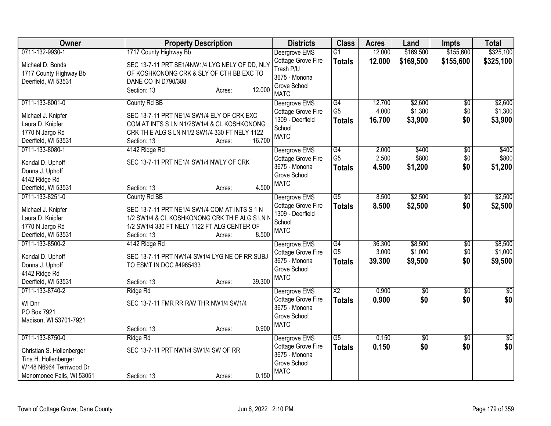| Owner                                                                                                     | <b>Property Description</b>                                                                                                                                                     | <b>Districts</b>                                                                | <b>Class</b>                    | <b>Acres</b>    | Land               | <b>Impts</b>    | <b>Total</b>       |
|-----------------------------------------------------------------------------------------------------------|---------------------------------------------------------------------------------------------------------------------------------------------------------------------------------|---------------------------------------------------------------------------------|---------------------------------|-----------------|--------------------|-----------------|--------------------|
| 0711-132-9930-1                                                                                           | 1717 County Highway Bb                                                                                                                                                          | Deergrove EMS                                                                   | $\overline{G1}$                 | 12.000          | \$169,500          | \$155,600       | \$325,100          |
| Michael D. Bonds<br>1717 County Highway Bb<br>Deerfield, WI 53531                                         | SEC 13-7-11 PRT SE1/4NW1/4 LYG NELY OF DD, NLY<br>OF KOSHKONONG CRK & SLY OF CTH BB EXC TO<br>DANE CO IN D790/388<br>12.000<br>Section: 13<br>Acres:                            | Cottage Grove Fire<br>Trash P/U<br>3675 - Monona<br>Grove School<br><b>MATC</b> | <b>Totals</b>                   | 12.000          | \$169,500          | \$155,600       | \$325,100          |
| 0711-133-8001-0                                                                                           | County Rd BB                                                                                                                                                                    | Deergrove EMS                                                                   | G4                              | 12.700          | \$2,600            | $\overline{50}$ | \$2,600            |
| Michael J. Knipfer<br>Laura D. Knipfer<br>1770 N Jargo Rd<br>Deerfield, WI 53531                          | SEC 13-7-11 PRT NE1/4 SW1/4 ELY OF CRK EXC<br>COM AT INTS S LN N1/2SW1/4 & CL KOSHKONONG<br>CRK TH E ALG S LN N1/2 SW1/4 330 FT NELY 1122<br>16.700<br>Section: 13<br>Acres:    | Cottage Grove Fire<br>1309 - Deerfield<br>School<br><b>MATC</b>                 | G <sub>5</sub><br><b>Totals</b> | 4.000<br>16.700 | \$1,300<br>\$3,900 | \$0<br>\$0      | \$1,300<br>\$3,900 |
| 0711-133-8080-1                                                                                           | 4142 Ridge Rd                                                                                                                                                                   | Deergrove EMS                                                                   | $\overline{G4}$                 | 2.000           | \$400              | $\overline{50}$ | \$400              |
| Kendal D. Uphoff                                                                                          | SEC 13-7-11 PRT NE1/4 SW1/4 NWLY OF CRK                                                                                                                                         | Cottage Grove Fire<br>3675 - Monona                                             | G <sub>5</sub>                  | 2.500           | \$800              | \$0             | \$800              |
| Donna J. Uphoff                                                                                           |                                                                                                                                                                                 | Grove School                                                                    | <b>Totals</b>                   | 4.500           | \$1,200            | \$0             | \$1,200            |
| 4142 Ridge Rd                                                                                             |                                                                                                                                                                                 | <b>MATC</b>                                                                     |                                 |                 |                    |                 |                    |
| Deerfield, WI 53531                                                                                       | 4.500<br>Section: 13<br>Acres:                                                                                                                                                  |                                                                                 |                                 |                 |                    |                 |                    |
| 0711-133-8251-0                                                                                           | County Rd BB                                                                                                                                                                    | Deergrove EMS                                                                   | $\overline{G5}$                 | 8.500           | \$2,500            | $\overline{50}$ | \$2,500            |
| Michael J. Knipfer<br>Laura D. Knipfer<br>1770 N Jargo Rd<br>Deerfield, WI 53531                          | SEC 13-7-11 PRT NE1/4 SW1/4 COM AT INTS S 1 N<br>1/2 SW1/4 & CL KOSHKONONG CRK TH E ALG S LN N<br>1/2 SW1/4 330 FT NELY 1122 FT ALG CENTER OF<br>8.500<br>Section: 13<br>Acres: | Cottage Grove Fire<br>1309 - Deerfield<br>School<br><b>MATC</b>                 | <b>Totals</b>                   | 8.500           | \$2,500            | \$0             | \$2,500            |
| 0711-133-8500-2                                                                                           | 4142 Ridge Rd                                                                                                                                                                   | Deergrove EMS                                                                   | G4                              | 36.300          | \$8,500            | $\overline{60}$ | \$8,500            |
| Kendal D. Uphoff<br>Donna J. Uphoff<br>4142 Ridge Rd<br>Deerfield, WI 53531                               | SEC 13-7-11 PRT NW1/4 SW1/4 LYG NE OF RR SUBJ<br>TO ESMT IN DOC #4965433<br>39.300<br>Section: 13<br>Acres:                                                                     | Cottage Grove Fire<br>3675 - Monona<br>Grove School<br><b>MATC</b>              | G <sub>5</sub><br><b>Totals</b> | 3.000<br>39.300 | \$1,000<br>\$9,500 | \$0<br>\$0      | \$1,000<br>\$9,500 |
| 0711-133-8740-2                                                                                           | Ridge Rd                                                                                                                                                                        | Deergrove EMS                                                                   | $\overline{X2}$                 | 0.900           | $\overline{50}$    | $\sqrt[6]{}$    | $\sqrt{50}$        |
| WI Dnr<br>PO Box 7921<br>Madison, WI 53701-7921                                                           | SEC 13-7-11 FMR RR R/W THR NW1/4 SW1/4<br>0.900<br>Section: 13<br>Acres:                                                                                                        | Cottage Grove Fire<br>3675 - Monona<br>Grove School<br><b>MATC</b>              | <b>Totals</b>                   | 0.900           | \$0                | \$0             | \$0                |
| 0711-133-8750-0                                                                                           | Ridge Rd                                                                                                                                                                        | Deergrove EMS                                                                   | G5                              | 0.150           | \$0                | \$0             | \$0                |
| Christian S. Hollenberger<br>Tina H. Hollenberger<br>W148 N6964 Terriwood Dr<br>Menomonee Falls, WI 53051 | SEC 13-7-11 PRT NW1/4 SW1/4 SW OF RR<br>0.150<br>Section: 13<br>Acres:                                                                                                          | <b>Cottage Grove Fire</b><br>3675 - Monona<br>Grove School<br><b>MATC</b>       | <b>Totals</b>                   | 0.150           | \$0                | \$0             | \$0                |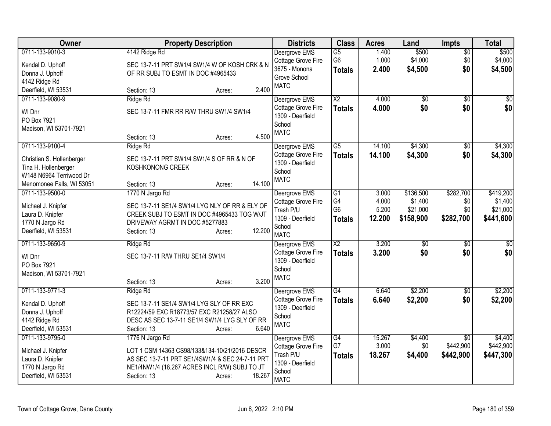| Owner                                                                                                                        | <b>Property Description</b>                                                                                                                                                                             | <b>Districts</b>                                                                              | <b>Class</b>                                             | <b>Acres</b>                      | Land                                          | <b>Impts</b>                              | <b>Total</b>                                  |
|------------------------------------------------------------------------------------------------------------------------------|---------------------------------------------------------------------------------------------------------------------------------------------------------------------------------------------------------|-----------------------------------------------------------------------------------------------|----------------------------------------------------------|-----------------------------------|-----------------------------------------------|-------------------------------------------|-----------------------------------------------|
| 0711-133-9010-3<br>Kendal D. Uphoff<br>Donna J. Uphoff<br>4142 Ridge Rd                                                      | 4142 Ridge Rd<br>SEC 13-7-11 PRT SW1/4 SW1/4 W OF KOSH CRK & N<br>OF RR SUBJ TO ESMT IN DOC #4965433                                                                                                    | Deergrove EMS<br>Cottage Grove Fire<br>3675 - Monona<br>Grove School<br><b>MATC</b>           | $\overline{G5}$<br>G <sub>6</sub><br><b>Totals</b>       | 1.400<br>1.000<br>2.400           | \$500<br>\$4,000<br>\$4,500                   | $\overline{50}$<br>\$0<br>\$0             | \$500<br>\$4,000<br>\$4,500                   |
| Deerfield, WI 53531                                                                                                          | 2.400<br>Section: 13<br>Acres:                                                                                                                                                                          |                                                                                               |                                                          |                                   |                                               |                                           |                                               |
| 0711-133-9080-9<br>WI Dnr<br>PO Box 7921<br>Madison, WI 53701-7921                                                           | Ridge Rd<br>SEC 13-7-11 FMR RR R/W THRU SW1/4 SW1/4<br>4.500<br>Section: 13<br>Acres:                                                                                                                   | Deergrove EMS<br>Cottage Grove Fire<br>1309 - Deerfield<br>School<br><b>MATC</b>              | $\overline{X2}$<br><b>Totals</b>                         | 4.000<br>4.000                    | $\overline{50}$<br>\$0                        | \$0<br>\$0                                | $\overline{50}$<br>\$0                        |
| 0711-133-9100-4<br>Christian S. Hollenberger<br>Tina H. Hollenberger<br>W148 N6964 Terriwood Dr<br>Menomonee Falls, WI 53051 | Ridge Rd<br>SEC 13-7-11 PRT SW1/4 SW1/4 S OF RR & N OF<br>KOSHKONONG CREEK<br>14.100<br>Section: 13<br>Acres:                                                                                           | Deergrove EMS<br>Cottage Grove Fire<br>1309 - Deerfield<br>School<br><b>MATC</b>              | $\overline{G5}$<br><b>Totals</b>                         | 14.100<br>14.100                  | \$4,300<br>\$4,300                            | $\overline{50}$<br>\$0                    | \$4,300<br>\$4,300                            |
| 0711-133-9500-0<br>Michael J. Knipfer<br>Laura D. Knipfer<br>1770 N Jargo Rd<br>Deerfield, WI 53531                          | 1770 N Jargo Rd<br>SEC 13-7-11 SE1/4 SW1/4 LYG NLY OF RR & ELY OF<br>CREEK SUBJ TO ESMT IN DOC #4965433 TOG W/JT<br>DRIVEWAY AGRMT IN DOC #5277883<br>12.200<br>Section: 13<br>Acres:                   | Deergrove EMS<br>Cottage Grove Fire<br>Trash P/U<br>1309 - Deerfield<br>School<br><b>MATC</b> | $\overline{G1}$<br>G4<br>G <sub>6</sub><br><b>Totals</b> | 3.000<br>4.000<br>5.200<br>12.200 | \$136,500<br>\$1,400<br>\$21,000<br>\$158,900 | \$282,700<br>\$0<br>\$0<br>\$282,700      | \$419,200<br>\$1,400<br>\$21,000<br>\$441,600 |
| 0711-133-9650-9<br>WI Dnr<br>PO Box 7921<br>Madison, WI 53701-7921                                                           | Ridge Rd<br>SEC 13-7-11 R/W THRU SE1/4 SW1/4<br>3.200<br>Section: 13<br>Acres:                                                                                                                          | Deergrove EMS<br>Cottage Grove Fire<br>1309 - Deerfield<br>School<br><b>MATC</b>              | $\overline{X2}$<br><b>Totals</b>                         | 3.200<br>3.200                    | $\overline{50}$<br>\$0                        | $\overline{50}$<br>\$0                    | $\sqrt{50}$<br>\$0                            |
| 0711-133-9771-3<br>Kendal D. Uphoff<br>Donna J. Uphoff<br>4142 Ridge Rd<br>Deerfield, WI 53531                               | Ridge Rd<br>SEC 13-7-11 SE1/4 SW1/4 LYG SLY OF RR EXC<br>R12224/59 EXC R18773/57 EXC R21258/27 ALSO<br>DESC AS SEC 13-7-11 SE1/4 SW1/4 LYG SLY OF RR<br>6.640<br>Section: 13<br>Acres:                  | Deergrove EMS<br>Cottage Grove Fire<br>1309 - Deerfield<br>School<br><b>MATC</b>              | G4<br><b>Totals</b>                                      | 6.640<br>6.640                    | \$2,200<br>\$2,200                            | $\overline{50}$<br>\$0                    | \$2,200<br>\$2,200                            |
| 0711-133-9795-0<br>Michael J. Knipfer<br>Laura D. Knipfer<br>1770 N Jargo Rd<br>Deerfield, WI 53531                          | 1776 N Jargo Rd<br>LOT 1 CSM 14363 CS98/133&134-10/21/2016 DESCR<br>AS SEC 13-7-11 PRT SE1/4SW1/4 & SEC 24-7-11 PRT<br>NE1/4NW1/4 (18.267 ACRES INCL R/W) SUBJ TO JT<br>18.267<br>Section: 13<br>Acres: | Deergrove EMS<br>Cottage Grove Fire<br>Trash P/U<br>1309 - Deerfield<br>School<br><b>MATC</b> | G4<br>G7<br><b>Totals</b>                                | 15.267<br>3.000<br>18.267         | \$4,400<br>\$0<br>\$4,400                     | $\overline{30}$<br>\$442,900<br>\$442,900 | \$4,400<br>\$442,900<br>\$447,300             |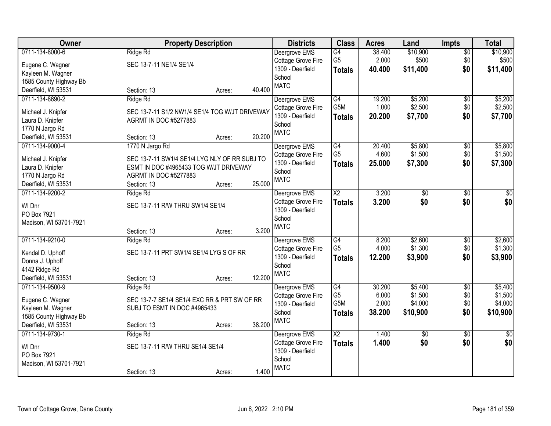| Owner                  | <b>Property Description</b>                    |                  | <b>Districts</b>   | <b>Class</b>           | <b>Acres</b> | Land            | <b>Impts</b>    | <b>Total</b>    |
|------------------------|------------------------------------------------|------------------|--------------------|------------------------|--------------|-----------------|-----------------|-----------------|
| 0711-134-8000-6        | Ridge Rd                                       |                  | Deergrove EMS      | G4                     | 38.400       | \$10,900        | \$0             | \$10,900        |
| Eugene C. Wagner       | SEC 13-7-11 NE1/4 SE1/4                        |                  | Cottage Grove Fire | G <sub>5</sub>         | 2.000        | \$500           | \$0             | \$500           |
| Kayleen M. Wagner      |                                                |                  | 1309 - Deerfield   | <b>Totals</b>          | 40.400       | \$11,400        | \$0             | \$11,400        |
| 1585 County Highway Bb |                                                |                  | School             |                        |              |                 |                 |                 |
| Deerfield, WI 53531    | Section: 13                                    | 40.400<br>Acres: | <b>MATC</b>        |                        |              |                 |                 |                 |
| 0711-134-8690-2        | Ridge Rd                                       |                  | Deergrove EMS      | G4                     | 19.200       | \$5,200         | \$0             | \$5,200         |
|                        |                                                |                  | Cottage Grove Fire | G <sub>5</sub> M       | 1.000        | \$2,500         | \$0             | \$2,500         |
| Michael J. Knipfer     | SEC 13-7-11 S1/2 NW1/4 SE1/4 TOG W/JT DRIVEWAY |                  | 1309 - Deerfield   | <b>Totals</b>          | 20.200       | \$7,700         | \$0             | \$7,700         |
| Laura D. Knipfer       | <b>AGRMT IN DOC #5277883</b>                   |                  | School             |                        |              |                 |                 |                 |
| 1770 N Jargo Rd        |                                                |                  | <b>MATC</b>        |                        |              |                 |                 |                 |
| Deerfield, WI 53531    | Section: 13                                    | 20.200<br>Acres: |                    |                        |              |                 |                 |                 |
| 0711-134-9000-4        | 1770 N Jargo Rd                                |                  | Deergrove EMS      | G4                     | 20.400       | \$5,800         | \$0             | \$5,800         |
| Michael J. Knipfer     | SEC 13-7-11 SW1/4 SE1/4 LYG NLY OF RR SUBJ TO  |                  | Cottage Grove Fire | G <sub>5</sub>         | 4.600        | \$1,500         | \$0             | \$1,500         |
| Laura D. Knipfer       | ESMT IN DOC #4965433 TOG W/JT DRIVEWAY         |                  | 1309 - Deerfield   | <b>Totals</b>          | 25.000       | \$7,300         | \$0             | \$7,300         |
| 1770 N Jargo Rd        | <b>AGRMT IN DOC #5277883</b>                   |                  | School             |                        |              |                 |                 |                 |
| Deerfield, WI 53531    | Section: 13                                    | 25.000<br>Acres: | <b>MATC</b>        |                        |              |                 |                 |                 |
| 0711-134-9200-2        | Ridge Rd                                       |                  | Deergrove EMS      | $\overline{X2}$        | 3.200        | \$0             | $\sqrt[6]{3}$   | $\sqrt{50}$     |
|                        |                                                |                  | Cottage Grove Fire | <b>Totals</b>          | 3.200        | \$0             | \$0             | \$0             |
| WI Dnr                 | SEC 13-7-11 R/W THRU SW1/4 SE1/4               |                  | 1309 - Deerfield   |                        |              |                 |                 |                 |
| PO Box 7921            |                                                |                  | School             |                        |              |                 |                 |                 |
| Madison, WI 53701-7921 |                                                |                  | <b>MATC</b>        |                        |              |                 |                 |                 |
|                        | Section: 13                                    | 3.200<br>Acres:  |                    |                        |              |                 |                 |                 |
| 0711-134-9210-0        | Ridge Rd                                       |                  | Deergrove EMS      | G4                     | 8.200        | \$2,600         | $\overline{50}$ | \$2,600         |
| Kendal D. Uphoff       | SEC 13-7-11 PRT SW1/4 SE1/4 LYG S OF RR        |                  | Cottage Grove Fire | G <sub>5</sub>         | 4.000        | \$1,300         | \$0             | \$1,300         |
| Donna J. Uphoff        |                                                |                  | 1309 - Deerfield   | <b>Totals</b>          | 12.200       | \$3,900         | \$0             | \$3,900         |
| 4142 Ridge Rd          |                                                |                  | School             |                        |              |                 |                 |                 |
| Deerfield, WI 53531    | Section: 13                                    | 12.200<br>Acres: | <b>MATC</b>        |                        |              |                 |                 |                 |
| 0711-134-9500-9        | Ridge Rd                                       |                  | Deergrove EMS      | G4                     | 30.200       | \$5,400         | $\overline{50}$ | \$5,400         |
|                        |                                                |                  | Cottage Grove Fire | G <sub>5</sub>         | 6.000        | \$1,500         | \$0             | \$1,500         |
| Eugene C. Wagner       | SEC 13-7-7 SE1/4 SE1/4 EXC RR & PRT SW OF RR   |                  | 1309 - Deerfield   | G <sub>5</sub> M       | 2.000        | \$4,000         | \$0             | \$4,000         |
| Kayleen M. Wagner      | SUBJ TO ESMT IN DOC #4965433                   |                  | School             | <b>Totals</b>          | 38.200       | \$10,900        | \$0             | \$10,900        |
| 1585 County Highway Bb |                                                |                  | <b>MATC</b>        |                        |              |                 |                 |                 |
| Deerfield, WI 53531    | Section: 13                                    | 38.200<br>Acres: |                    |                        |              |                 |                 |                 |
| 0711-134-9730-1        | Ridge Rd                                       |                  | Deergrove EMS      | $\overline{\text{X2}}$ | 1.400        | $\overline{50}$ | $\overline{50}$ | $\overline{50}$ |
| WI Dnr                 | SEC 13-7-11 R/W THRU SE1/4 SE1/4               |                  | Cottage Grove Fire | <b>Totals</b>          | 1.400        | \$0             | \$0             | \$0             |
| PO Box 7921            |                                                |                  | 1309 - Deerfield   |                        |              |                 |                 |                 |
| Madison, WI 53701-7921 |                                                |                  | School             |                        |              |                 |                 |                 |
|                        | Section: 13                                    | 1.400<br>Acres:  | <b>MATC</b>        |                        |              |                 |                 |                 |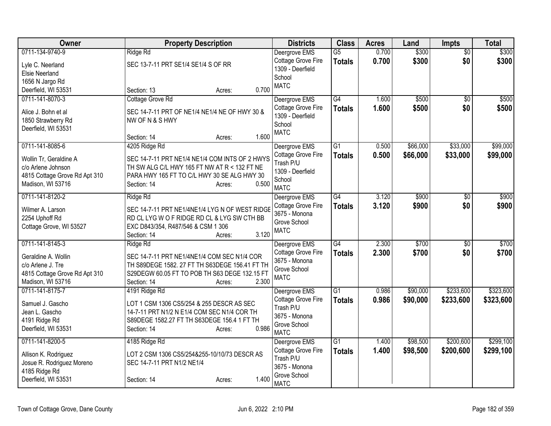| Owner                                        | <b>Property Description</b>                                                                    | <b>Districts</b>            | <b>Class</b>    | <b>Acres</b> | Land     | <b>Impts</b>    | <b>Total</b> |
|----------------------------------------------|------------------------------------------------------------------------------------------------|-----------------------------|-----------------|--------------|----------|-----------------|--------------|
| 0711-134-9740-9                              | Ridge Rd                                                                                       | Deergrove EMS               | $\overline{G5}$ | 0.700        | \$300    | $\overline{50}$ | \$300        |
| Lyle C. Neerland                             | SEC 13-7-11 PRT SE1/4 SE1/4 S OF RR                                                            | Cottage Grove Fire          | <b>Totals</b>   | 0.700        | \$300    | \$0             | \$300        |
| <b>Elsie Neerland</b>                        |                                                                                                | 1309 - Deerfield            |                 |              |          |                 |              |
| 1656 N Jargo Rd                              |                                                                                                | School<br><b>MATC</b>       |                 |              |          |                 |              |
| Deerfield, WI 53531                          | 0.700<br>Section: 13<br>Acres:                                                                 |                             |                 |              |          |                 |              |
| 0711-141-8070-3                              | Cottage Grove Rd                                                                               | Deergrove EMS               | G4              | 1.600        | \$500    | \$0             | \$500        |
| Alice J. Bohn et al                          | SEC 14-7-11 PRT OF NE1/4 NE1/4 NE OF HWY 30 &                                                  | Cottage Grove Fire          | <b>Totals</b>   | 1.600        | \$500    | \$0             | \$500        |
| 1850 Strawberry Rd                           | NW OF N & S HWY                                                                                | 1309 - Deerfield            |                 |              |          |                 |              |
| Deerfield, WI 53531                          |                                                                                                | School                      |                 |              |          |                 |              |
|                                              | 1.600<br>Section: 14<br>Acres:                                                                 | <b>MATC</b>                 |                 |              |          |                 |              |
| 0711-141-8085-6                              | 4205 Ridge Rd                                                                                  | Deergrove EMS               | $\overline{G1}$ | 0.500        | \$66,000 | \$33,000        | \$99,000     |
|                                              |                                                                                                | Cottage Grove Fire          | Totals          | 0.500        | \$66,000 | \$33,000        | \$99,000     |
| Wollin Tr, Geraldine A<br>c/o Arlene Johnson | SEC 14-7-11 PRT NE1/4 NE1/4 COM INTS OF 2 HWYS<br>TH SW ALG C/L HWY 165 FT NW AT R < 132 FT NE | Trash P/U                   |                 |              |          |                 |              |
| 4815 Cottage Grove Rd Apt 310                | PARA HWY 165 FT TO C/L HWY 30 SE ALG HWY 30                                                    | 1309 - Deerfield            |                 |              |          |                 |              |
| Madison, WI 53716                            | 0.500<br>Section: 14<br>Acres:                                                                 | School                      |                 |              |          |                 |              |
|                                              |                                                                                                | <b>MATC</b>                 |                 |              |          |                 |              |
| 0711-141-8120-2                              | Ridge Rd                                                                                       | Deergrove EMS               | G4              | 3.120        | \$900    | $\overline{30}$ | \$900        |
| Wilmer A. Larson                             | SEC 14-7-11 PRT NE1/4NE1/4 LYG N OF WEST RIDGE                                                 | Cottage Grove Fire          | <b>Totals</b>   | 3.120        | \$900    | \$0             | \$900        |
| 2254 Uphoff Rd                               | RD CL LYG W O F RIDGE RD CL & LYG SW CTH BB                                                    | 3675 - Monona               |                 |              |          |                 |              |
| Cottage Grove, WI 53527                      | EXC D843/354, R487/546 & CSM 1 306                                                             | Grove School                |                 |              |          |                 |              |
|                                              | 3.120<br>Section: 14<br>Acres:                                                                 | <b>MATC</b>                 |                 |              |          |                 |              |
| 0711-141-8145-3                              | Ridge Rd                                                                                       | Deergrove EMS               | G4              | 2.300        | \$700    | \$0             | \$700        |
| Geraldine A. Wollin                          | SEC 14-7-11 PRT NE1/4NE1/4 COM SEC N1/4 COR                                                    | Cottage Grove Fire          | <b>Totals</b>   | 2.300        | \$700    | \$0             | \$700        |
| c/o Arlene J. Tre                            | TH S89DEGE 1582. 27 FT TH S63DEGE 156.41 FT TH                                                 | 3675 - Monona               |                 |              |          |                 |              |
| 4815 Cottage Grove Rd Apt 310                | S29DEGW 60.05 FT TO POB TH S63 DEGE 132.15 FT                                                  | Grove School                |                 |              |          |                 |              |
| Madison, WI 53716                            | 2.300<br>Section: 14<br>Acres:                                                                 | <b>MATC</b>                 |                 |              |          |                 |              |
| 0711-141-8175-7                              | 4191 Ridge Rd                                                                                  | Deergrove EMS               | G1              | 0.986        | \$90,000 | \$233,600       | \$323,600    |
|                                              |                                                                                                | Cottage Grove Fire          | <b>Totals</b>   | 0.986        | \$90,000 | \$233,600       | \$323,600    |
| Samuel J. Gascho                             | LOT 1 CSM 1306 CS5/254 & 255 DESCR AS SEC                                                      | Trash P/U                   |                 |              |          |                 |              |
| Jean L. Gascho<br>4191 Ridge Rd              | 14-7-11 PRT N1/2 N E1/4 COM SEC N1/4 COR TH<br>S89DEGE 1582.27 FT TH S63DEGE 156.4 1 FT TH     | 3675 - Monona               |                 |              |          |                 |              |
| Deerfield, WI 53531                          | 0.986<br>Section: 14<br>Acres:                                                                 | Grove School                |                 |              |          |                 |              |
|                                              |                                                                                                | <b>MATC</b>                 |                 |              |          |                 |              |
| 0711-141-8200-5                              | 4185 Ridge Rd                                                                                  | Deergrove EMS               | $\overline{G1}$ | 1.400        | \$98,500 | \$200,600       | \$299,100    |
| Allison K. Rodriguez                         | LOT 2 CSM 1306 CS5/254&255-10/10/73 DESCR AS                                                   | Cottage Grove Fire          | <b>Totals</b>   | 1.400        | \$98,500 | \$200,600       | \$299,100    |
| Josue R. Rodriguez Moreno                    | SEC 14-7-11 PRT N1/2 NE1/4                                                                     | Trash P/U                   |                 |              |          |                 |              |
| 4185 Ridge Rd                                |                                                                                                | 3675 - Monona               |                 |              |          |                 |              |
| Deerfield, WI 53531                          | 1.400<br>Section: 14<br>Acres:                                                                 | Grove School<br><b>MATC</b> |                 |              |          |                 |              |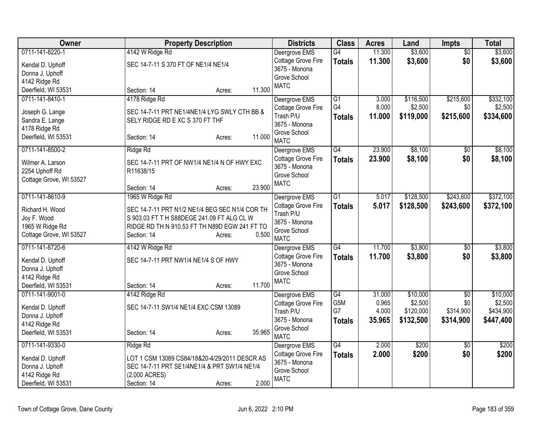| Owner                   | <b>Property Description</b>                    | <b>Districts</b>                    | <b>Class</b>    | <b>Acres</b> | Land      | Impts           | <b>Total</b> |
|-------------------------|------------------------------------------------|-------------------------------------|-----------------|--------------|-----------|-----------------|--------------|
| 0711-141-8220-1         | 4142 W Ridge Rd                                | Deergrove EMS                       | G4              | 11.300       | \$3,600   | $\overline{50}$ | \$3,600      |
| Kendal D. Uphoff        | SEC 14-7-11 S 370 FT OF NE1/4 NE1/4            | Cottage Grove Fire                  | <b>Totals</b>   | 11.300       | \$3,600   | \$0             | \$3,600      |
| Donna J. Uphoff         |                                                | 3675 - Monona                       |                 |              |           |                 |              |
| 4142 Ridge Rd           |                                                | Grove School<br><b>MATC</b>         |                 |              |           |                 |              |
| Deerfield, WI 53531     | 11.300<br>Section: 14<br>Acres:                |                                     |                 |              |           |                 |              |
| 0711-141-8410-1         | 4178 Ridge Rd                                  | Deergrove EMS                       | G1              | 3.000        | \$116,500 | \$215,600       | \$332,100    |
| Joseph G. Lange         | SEC 14-7-11 PRT NE1/4NE1/4 LYG SWLY CTH BB &   | Cottage Grove Fire                  | G4              | 8.000        | \$2,500   | \$0             | \$2,500      |
| Sandra E. Lange         | SELY RIDGE RD E XC S 370 FT THF                | Trash P/U                           | <b>Totals</b>   | 11.000       | \$119,000 | \$215,600       | \$334,600    |
| 4178 Ridge Rd           |                                                | 3675 - Monona                       |                 |              |           |                 |              |
| Deerfield, WI 53531     | 11.000<br>Section: 14<br>Acres:                | Grove School                        |                 |              |           |                 |              |
|                         |                                                | <b>MATC</b>                         |                 |              |           |                 |              |
| 0711-141-8500-2         | Ridge Rd                                       | Deergrove EMS                       | G4              | 23.900       | \$8,100   | $\overline{50}$ | \$8,100      |
| Wilmer A. Larson        | SEC 14-7-11 PRT OF NW1/4 NE1/4 N OF HWY EXC    | Cottage Grove Fire<br>3675 - Monona | <b>Totals</b>   | 23.900       | \$8,100   | \$0             | \$8,100      |
| 2254 Uphoff Rd          | R11638/15                                      | Grove School                        |                 |              |           |                 |              |
| Cottage Grove, WI 53527 |                                                | <b>MATC</b>                         |                 |              |           |                 |              |
|                         | 23.900<br>Section: 14<br>Acres:                |                                     |                 |              |           |                 |              |
| 0711-141-8610-9         | 1965 W Ridge Rd                                | Deergrove EMS                       | G <sub>1</sub>  | 5.017        | \$128,500 | \$243,600       | \$372,100    |
| Richard H. Wood         | SEC 14-7-11 PRT N1/2 NE1/4 BEG SEC N1/4 COR TH | Cottage Grove Fire                  | <b>Totals</b>   | 5.017        | \$128,500 | \$243,600       | \$372,100    |
| Joy F. Wood             | S 903.03 FT T H S88DEGE 241.09 FT ALG CL W     | Trash P/U                           |                 |              |           |                 |              |
| 1965 W Ridge Rd         | RIDGE RD TH N 910.53 FT TH N89D EGW 241 FT TO  | 3675 - Monona                       |                 |              |           |                 |              |
| Cottage Grove, WI 53527 | 0.500<br>Section: 14<br>Acres:                 | Grove School                        |                 |              |           |                 |              |
| 0711-141-8720-6         |                                                | <b>MATC</b>                         | $\overline{G4}$ | 11.700       | \$3,800   |                 | \$3,800      |
|                         | 4142 W Ridge Rd                                | Deergrove EMS<br>Cottage Grove Fire |                 | 11.700       |           | $\overline{50}$ |              |
| Kendal D. Uphoff        | SEC 14-7-11 PRT NW1/4 NE1/4 S OF HWY           | 3675 - Monona                       | <b>Totals</b>   |              | \$3,800   | \$0             | \$3,800      |
| Donna J. Uphoff         |                                                | Grove School                        |                 |              |           |                 |              |
| 4142 Ridge Rd           |                                                | <b>MATC</b>                         |                 |              |           |                 |              |
| Deerfield, WI 53531     | 11.700<br>Section: 14<br>Acres:                |                                     |                 |              |           |                 |              |
| 0711-141-9001-0         | 4142 Ridge Rd                                  | Deergrove EMS                       | $\overline{G4}$ | 31.000       | \$10,000  | $\overline{50}$ | \$10,000     |
| Kendal D. Uphoff        | SEC 14-7-11 SW1/4 NE1/4 EXC CSM 13089          | Cottage Grove Fire                  | G5M             | 0.965        | \$2,500   | \$0             | \$2,500      |
| Donna J. Uphoff         |                                                | Trash P/U                           | G7              | 4.000        | \$120,000 | \$314,900       | \$434,900    |
| 4142 Ridge Rd           |                                                | 3675 - Monona                       | <b>Totals</b>   | 35.965       | \$132,500 | \$314,900       | \$447,400    |
| Deerfield, WI 53531     | 35.965<br>Section: 14<br>Acres:                | Grove School<br><b>MATC</b>         |                 |              |           |                 |              |
| 0711-141-9330-0         | Ridge Rd                                       | Deergrove EMS                       | G4              | 2.000        | \$200     | \$0             | \$200        |
|                         |                                                | Cottage Grove Fire                  | <b>Totals</b>   | 2.000        | \$200     | \$0             | \$200        |
| Kendal D. Uphoff        | LOT 1 CSM 13089 CS84/18&20-4/29/2011 DESCR AS  | 3675 - Monona                       |                 |              |           |                 |              |
| Donna J. Uphoff         | SEC 14-7-11 PRT SE1/4NE1/4 & PRT SW1/4 NE1/4   | Grove School                        |                 |              |           |                 |              |
| 4142 Ridge Rd           | (2.000 ACRES)                                  | <b>MATC</b>                         |                 |              |           |                 |              |
| Deerfield, WI 53531     | 2.000<br>Section: 14<br>Acres:                 |                                     |                 |              |           |                 |              |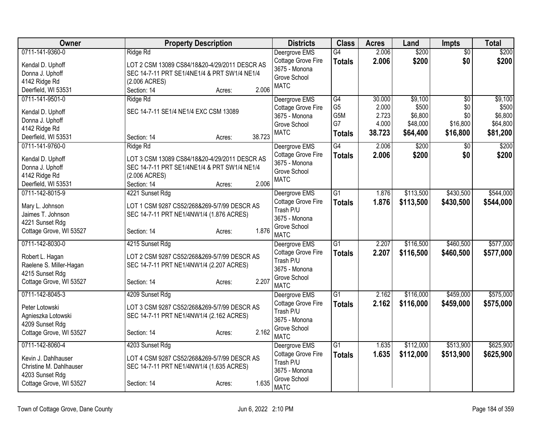| <b>Owner</b>                         | <b>Property Description</b>                   | <b>Districts</b>              | <b>Class</b>     | <b>Acres</b> | Land      | <b>Impts</b> | <b>Total</b> |
|--------------------------------------|-----------------------------------------------|-------------------------------|------------------|--------------|-----------|--------------|--------------|
| 0711-141-9360-0                      | Ridge Rd                                      | Deergrove EMS                 | G4               | 2.006        | \$200     | \$0          | \$200        |
| Kendal D. Uphoff                     | LOT 2 CSM 13089 CS84/18&20-4/29/2011 DESCR AS | Cottage Grove Fire            | <b>Totals</b>    | 2.006        | \$200     | \$0          | \$200        |
| Donna J. Uphoff                      | SEC 14-7-11 PRT SE1/4NE1/4 & PRT SW1/4 NE1/4  | 3675 - Monona<br>Grove School |                  |              |           |              |              |
| 4142 Ridge Rd                        | (2.006 ACRES)                                 | <b>MATC</b>                   |                  |              |           |              |              |
| Deerfield, WI 53531                  | 2.006<br>Section: 14<br>Acres:                |                               |                  |              |           |              |              |
| 0711-141-9501-0                      | Ridge Rd                                      | Deergrove EMS                 | G4               | 30.000       | \$9,100   | \$0          | \$9,100      |
| Kendal D. Uphoff                     | SEC 14-7-11 SE1/4 NE1/4 EXC CSM 13089         | Cottage Grove Fire            | G <sub>5</sub>   | 2.000        | \$500     | \$0          | \$500        |
| Donna J. Uphoff                      |                                               | 3675 - Monona                 | G <sub>5</sub> M | 2.723        | \$6,800   | \$0          | \$6,800      |
| 4142 Ridge Rd                        |                                               | Grove School                  | G7               | 4.000        | \$48,000  | \$16,800     | \$64,800     |
| Deerfield, WI 53531                  | 38.723<br>Section: 14<br>Acres:               | <b>MATC</b>                   | <b>Totals</b>    | 38.723       | \$64,400  | \$16,800     | \$81,200     |
| 0711-141-9760-0                      | Ridge Rd                                      | Deergrove EMS                 | G4               | 2.006        | \$200     | \$0          | \$200        |
| Kendal D. Uphoff                     | LOT 3 CSM 13089 CS84/18&20-4/29/2011 DESCR AS | Cottage Grove Fire            | <b>Totals</b>    | 2.006        | \$200     | \$0          | \$200        |
| Donna J. Uphoff                      | SEC 14-7-11 PRT SE1/4NE1/4 & PRT SW1/4 NE1/4  | 3675 - Monona                 |                  |              |           |              |              |
| 4142 Ridge Rd                        | (2.006 ACRES)                                 | Grove School                  |                  |              |           |              |              |
| Deerfield, WI 53531                  | 2.006<br>Section: 14<br>Acres:                | <b>MATC</b>                   |                  |              |           |              |              |
| 0711-142-8015-9                      | 4221 Sunset Rdg                               | Deergrove EMS                 | $\overline{G1}$  | 1.876        | \$113,500 | \$430,500    | \$544,000    |
|                                      |                                               | Cottage Grove Fire            | <b>Totals</b>    | 1.876        | \$113,500 | \$430,500    | \$544,000    |
| Mary L. Johnson                      | LOT 1 CSM 9287 CS52/268&269-5/7/99 DESCR AS   | Trash P/U                     |                  |              |           |              |              |
| Jaimes T. Johnson<br>4221 Sunset Rdg | SEC 14-7-11 PRT NE1/4NW1/4 (1.876 ACRES)      | 3675 - Monona                 |                  |              |           |              |              |
| Cottage Grove, WI 53527              | 1.876<br>Section: 14<br>Acres:                | Grove School                  |                  |              |           |              |              |
|                                      |                                               | <b>MATC</b>                   |                  |              |           |              |              |
| 0711-142-8030-0                      | 4215 Sunset Rdg                               | Deergrove EMS                 | $\overline{G1}$  | 2.207        | \$116,500 | \$460,500    | \$577,000    |
| Robert L. Hagan                      | LOT 2 CSM 9287 CS52/268&269-5/7/99 DESCR AS   | Cottage Grove Fire            | <b>Totals</b>    | 2.207        | \$116,500 | \$460,500    | \$577,000    |
| Raelene S. Miller-Hagan              | SEC 14-7-11 PRT NE1/4NW1/4 (2.207 ACRES)      | Trash P/U                     |                  |              |           |              |              |
| 4215 Sunset Rdg                      |                                               | 3675 - Monona<br>Grove School |                  |              |           |              |              |
| Cottage Grove, WI 53527              | 2.207<br>Section: 14<br>Acres:                | <b>MATC</b>                   |                  |              |           |              |              |
| 0711-142-8045-3                      | 4209 Sunset Rdg                               | Deergrove EMS                 | G1               | 2.162        | \$116,000 | \$459,000    | \$575,000    |
|                                      |                                               | Cottage Grove Fire            | <b>Totals</b>    | 2.162        | \$116,000 | \$459,000    | \$575,000    |
| Peter Lotowski                       | LOT 3 CSM 9287 CS52/268&269-5/7/99 DESCR AS   | Trash P/U                     |                  |              |           |              |              |
| Agnieszka Lotowski                   | SEC 14-7-11 PRT NE1/4NW1/4 (2.162 ACRES)      | 3675 - Monona                 |                  |              |           |              |              |
| 4209 Sunset Rdg                      | 2.162                                         | Grove School                  |                  |              |           |              |              |
| Cottage Grove, WI 53527              | Section: 14<br>Acres:                         | <b>MATC</b>                   |                  |              |           |              |              |
| 0711-142-8060-4                      | 4203 Sunset Rdg                               | Deergrove EMS                 | $\overline{G1}$  | 1.635        | \$112,000 | \$513,900    | \$625,900    |
| Kevin J. Dahlhauser                  | LOT 4 CSM 9287 CS52/268&269-5/7/99 DESCR AS   | Cottage Grove Fire            | <b>Totals</b>    | 1.635        | \$112,000 | \$513,900    | \$625,900    |
| Christine M. Dahlhauser              | SEC 14-7-11 PRT NE1/4NW1/4 (1.635 ACRES)      | Trash P/U                     |                  |              |           |              |              |
| 4203 Sunset Rdg                      |                                               | 3675 - Monona                 |                  |              |           |              |              |
| Cottage Grove, WI 53527              | 1.635<br>Section: 14<br>Acres:                | Grove School                  |                  |              |           |              |              |
|                                      |                                               | <b>MATC</b>                   |                  |              |           |              |              |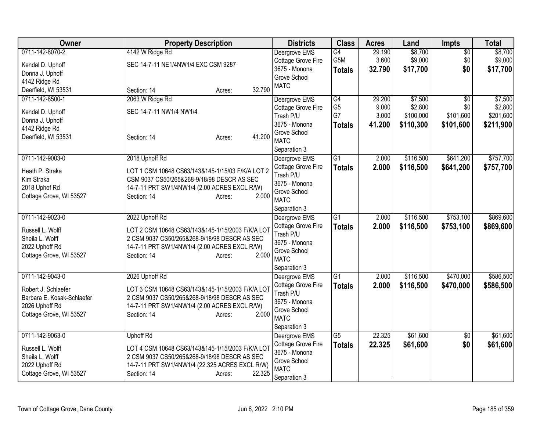| Owner                               | <b>Property Description</b>                                                                      | <b>Districts</b>              | <b>Class</b>    | <b>Acres</b> | Land      | Impts           | <b>Total</b> |
|-------------------------------------|--------------------------------------------------------------------------------------------------|-------------------------------|-----------------|--------------|-----------|-----------------|--------------|
| 0711-142-8070-2                     | 4142 W Ridge Rd                                                                                  | Deergrove EMS                 | G4              | 29.190       | \$8,700   | $\overline{50}$ | \$8,700      |
| Kendal D. Uphoff                    | SEC 14-7-11 NE1/4NW1/4 EXC CSM 9287                                                              | Cottage Grove Fire            | G5M             | 3.600        | \$9,000   | \$0             | \$9,000      |
| Donna J. Uphoff                     |                                                                                                  | 3675 - Monona                 | <b>Totals</b>   | 32.790       | \$17,700  | \$0             | \$17,700     |
| 4142 Ridge Rd                       |                                                                                                  | Grove School                  |                 |              |           |                 |              |
| Deerfield, WI 53531                 | 32.790<br>Section: 14<br>Acres:                                                                  | <b>MATC</b>                   |                 |              |           |                 |              |
| 0711-142-8500-1                     | 2063 W Ridge Rd                                                                                  | Deergrove EMS                 | $\overline{G4}$ | 29.200       | \$7,500   | \$0             | \$7,500      |
| Kendal D. Uphoff                    | SEC 14-7-11 NW1/4 NW1/4                                                                          | Cottage Grove Fire            | G <sub>5</sub>  | 9.000        | \$2,800   | \$0             | \$2,800      |
| Donna J. Uphoff                     |                                                                                                  | Trash P/U                     | G7              | 3.000        | \$100,000 | \$101,600       | \$201,600    |
| 4142 Ridge Rd                       |                                                                                                  | 3675 - Monona                 | <b>Totals</b>   | 41.200       | \$110,300 | \$101,600       | \$211,900    |
| Deerfield, WI 53531                 | 41.200<br>Section: 14<br>Acres:                                                                  | Grove School                  |                 |              |           |                 |              |
|                                     |                                                                                                  | <b>MATC</b>                   |                 |              |           |                 |              |
|                                     |                                                                                                  | Separation 3                  |                 |              |           |                 |              |
| 0711-142-9003-0                     | 2018 Uphoff Rd                                                                                   | Deergrove EMS                 | $\overline{G1}$ | 2.000        | \$116,500 | \$641,200       | \$757,700    |
| Heath P. Straka                     | LOT 1 CSM 10648 CS63/143&145-1/15/03 F/K/A LOT 2                                                 | Cottage Grove Fire            | <b>Totals</b>   | 2.000        | \$116,500 | \$641,200       | \$757,700    |
| Kim Straka                          | CSM 9037 CS50/265&268-9/18/98 DESCR AS SEC                                                       | Trash P/U                     |                 |              |           |                 |              |
| 2018 Uphof Rd                       | 14-7-11 PRT SW1/4NW1/4 (2.00 ACRES EXCL R/W)                                                     | 3675 - Monona                 |                 |              |           |                 |              |
| Cottage Grove, WI 53527             | 2.000<br>Section: 14<br>Acres:                                                                   | Grove School                  |                 |              |           |                 |              |
|                                     |                                                                                                  | <b>MATC</b>                   |                 |              |           |                 |              |
|                                     |                                                                                                  | Separation 3                  |                 |              |           |                 |              |
| 0711-142-9023-0                     | 2022 Uphoff Rd                                                                                   | Deergrove EMS                 | $\overline{G1}$ | 2.000        | \$116,500 | \$753,100       | \$869,600    |
| Russell L. Wolff                    | LOT 2 CSM 10648 CS63/143&145-1/15/2003 F/K/A LOT                                                 | Cottage Grove Fire            | <b>Totals</b>   | 2.000        | \$116,500 | \$753,100       | \$869,600    |
| Sheila L. Wolff                     | 2 CSM 9037 CS50/265&268-9/18/98 DESCR AS SEC                                                     | Trash P/U                     |                 |              |           |                 |              |
| 2022 Uphoff Rd                      | 14-7-11 PRT SW1/4NW1/4 (2.00 ACRES EXCL R/W)                                                     | 3675 - Monona                 |                 |              |           |                 |              |
| Cottage Grove, WI 53527             | 2.000<br>Section: 14<br>Acres:                                                                   | Grove School<br><b>MATC</b>   |                 |              |           |                 |              |
|                                     |                                                                                                  |                               |                 |              |           |                 |              |
| 0711-142-9043-0                     | 2026 Uphoff Rd                                                                                   | Separation 3<br>Deergrove EMS | $\overline{G1}$ | 2.000        | \$116,500 | \$470,000       | \$586,500    |
|                                     |                                                                                                  | Cottage Grove Fire            |                 | 2.000        | \$116,500 | \$470,000       | \$586,500    |
| Robert J. Schlaefer                 | LOT 3 CSM 10648 CS63/143&145-1/15/2003 F/K/A LOT                                                 | Trash P/U                     | <b>Totals</b>   |              |           |                 |              |
| Barbara E. Kosak-Schlaefer          | 2 CSM 9037 CS50/265&268-9/18/98 DESCR AS SEC                                                     | 3675 - Monona                 |                 |              |           |                 |              |
| 2026 Uphoff Rd                      | 14-7-11 PRT SW1/4NW1/4 (2.00 ACRES EXCL R/W)                                                     | Grove School                  |                 |              |           |                 |              |
| Cottage Grove, WI 53527             | 2.000<br>Section: 14<br>Acres:                                                                   | <b>MATC</b>                   |                 |              |           |                 |              |
|                                     |                                                                                                  | Separation 3                  |                 |              |           |                 |              |
| 0711-142-9063-0                     | <b>Uphoff Rd</b>                                                                                 | Deergrove EMS                 | $\overline{G5}$ | 22.325       | \$61,600  | $\overline{50}$ | \$61,600     |
|                                     |                                                                                                  | Cottage Grove Fire            | <b>Totals</b>   | 22.325       | \$61,600  | \$0             | \$61,600     |
| Russell L. Wolff<br>Sheila L. Wolff | LOT 4 CSM 10648 CS63/143&145-1/15/2003 F/K/A LOT<br>2 CSM 9037 CS50/265&268-9/18/98 DESCR AS SEC | 3675 - Monona                 |                 |              |           |                 |              |
| 2022 Uphoff Rd                      | 14-7-11 PRT SW1/4NW1/4 (22.325 ACRES EXCL R/W)                                                   | Grove School                  |                 |              |           |                 |              |
| Cottage Grove, WI 53527             | 22.325<br>Section: 14<br>Acres:                                                                  | <b>MATC</b>                   |                 |              |           |                 |              |
|                                     |                                                                                                  | Separation 3                  |                 |              |           |                 |              |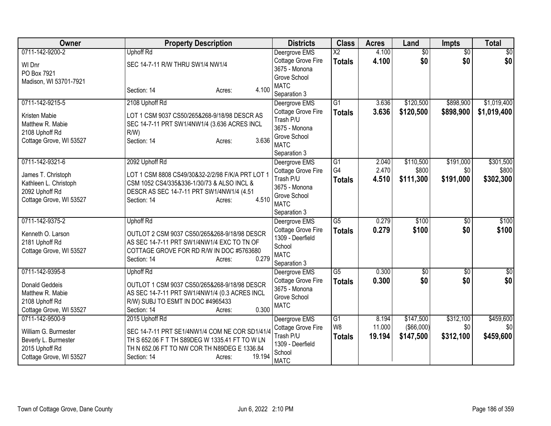| Owner                                        | <b>Property Description</b>                                                                      | <b>Districts</b>              | <b>Class</b>           | <b>Acres</b> | Land            | Impts           | <b>Total</b>    |
|----------------------------------------------|--------------------------------------------------------------------------------------------------|-------------------------------|------------------------|--------------|-----------------|-----------------|-----------------|
| 0711-142-9200-2                              | <b>Uphoff Rd</b>                                                                                 | Deergrove EMS                 | $\overline{\text{X2}}$ | 4.100        | $\overline{60}$ | $\overline{50}$ | $\overline{50}$ |
| WI Dnr                                       | SEC 14-7-11 R/W THRU SW1/4 NW1/4                                                                 | Cottage Grove Fire            | <b>Totals</b>          | 4.100        | \$0             | \$0             | \$0             |
| PO Box 7921                                  |                                                                                                  | 3675 - Monona                 |                        |              |                 |                 |                 |
| Madison, WI 53701-7921                       |                                                                                                  | Grove School<br><b>MATC</b>   |                        |              |                 |                 |                 |
|                                              | 4.100<br>Section: 14<br>Acres:                                                                   | Separation 3                  |                        |              |                 |                 |                 |
| 0711-142-9215-5                              | 2108 Uphoff Rd                                                                                   | Deergrove EMS                 | $\overline{G1}$        | 3.636        | \$120,500       | \$898,900       | \$1,019,400     |
| Kristen Mabie                                | LOT 1 CSM 9037 CS50/265&268-9/18/98 DESCR AS                                                     | Cottage Grove Fire            | <b>Totals</b>          | 3.636        | \$120,500       | \$898,900       | \$1,019,400     |
| Matthew R. Mabie                             | SEC 14-7-11 PRT SW1/4NW1/4 (3.636 ACRES INCL                                                     | Trash P/U                     |                        |              |                 |                 |                 |
| 2108 Uphoff Rd                               | R/W                                                                                              | 3675 - Monona                 |                        |              |                 |                 |                 |
| Cottage Grove, WI 53527                      | 3.636<br>Section: 14<br>Acres:                                                                   | Grove School                  |                        |              |                 |                 |                 |
|                                              |                                                                                                  | <b>MATC</b>                   |                        |              |                 |                 |                 |
| 0711-142-9321-6                              | 2092 Uphoff Rd                                                                                   | Separation 3<br>Deergrove EMS | G1                     | 2.040        | \$110,500       | \$191,000       | \$301,500       |
|                                              |                                                                                                  | Cottage Grove Fire            | G4                     | 2.470        | \$800           | \$0             | \$800           |
| James T. Christoph                           | LOT 1 CSM 8808 CS49/30&32-2/2/98 F/K/A PRT LOT 1                                                 | Trash P/U                     | <b>Totals</b>          | 4.510        | \$111,300       | \$191,000       | \$302,300       |
| Kathleen L. Christoph                        | CSM 1052 CS4/335&336-1/30/73 & ALSO INCL &                                                       | 3675 - Monona                 |                        |              |                 |                 |                 |
| 2092 Uphoff Rd                               | DESCR AS SEC 14-7-11 PRT SW1/4NW1/4 (4.51                                                        | Grove School                  |                        |              |                 |                 |                 |
| Cottage Grove, WI 53527                      | 4.510<br>Section: 14<br>Acres:                                                                   | <b>MATC</b>                   |                        |              |                 |                 |                 |
|                                              |                                                                                                  | Separation 3                  |                        |              |                 |                 |                 |
| 0711-142-9375-2                              | <b>Uphoff Rd</b>                                                                                 | Deergrove EMS                 | G5                     | 0.279        | \$100           | $\overline{50}$ | \$100           |
| Kenneth O. Larson                            | OUTLOT 2 CSM 9037 CS50/265&268-9/18/98 DESCR                                                     | Cottage Grove Fire            | <b>Totals</b>          | 0.279        | \$100           | \$0             | \$100           |
| 2181 Uphoff Rd                               | AS SEC 14-7-11 PRT SW1/4NW1/4 EXC TO TN OF                                                       | 1309 - Deerfield              |                        |              |                 |                 |                 |
| Cottage Grove, WI 53527                      | COTTAGE GROVE FOR RD R/W IN DOC #5763680                                                         | School<br><b>MATC</b>         |                        |              |                 |                 |                 |
|                                              | 0.279<br>Section: 14<br>Acres:                                                                   | Separation 3                  |                        |              |                 |                 |                 |
| 0711-142-9395-8                              | <b>Uphoff Rd</b>                                                                                 | Deergrove EMS                 | $\overline{G5}$        | 0.300        | $\sqrt{$0}$     | $\overline{30}$ | $\overline{50}$ |
|                                              |                                                                                                  | Cottage Grove Fire            | <b>Totals</b>          | 0.300        | \$0             | \$0             | \$0             |
| <b>Donald Geddeis</b><br>Matthew R. Mabie    | OUTLOT 1 CSM 9037 CS50/265&268-9/18/98 DESCR<br>AS SEC 14-7-11 PRT SW1/4NW1/4 (0.3 ACRES INCL    | 3675 - Monona                 |                        |              |                 |                 |                 |
| 2108 Uphoff Rd                               | R/W) SUBJ TO ESMT IN DOC #4965433                                                                | Grove School                  |                        |              |                 |                 |                 |
| Cottage Grove, WI 53527                      | 0.300<br>Section: 14<br>Acres:                                                                   | <b>MATC</b>                   |                        |              |                 |                 |                 |
| 0711-142-9500-9                              | 2015 Uphoff Rd                                                                                   | Deergrove EMS                 | $\overline{G1}$        | 8.194        | \$147,500       | \$312,100       | \$459,600       |
|                                              |                                                                                                  | Cottage Grove Fire            | W <sub>8</sub>         | 11.000       | (\$66,000)      | \$0             | \$0             |
| William G. Burmester<br>Beverly L. Burmester | SEC 14-7-11 PRT SE1/4NW1/4 COM NE COR SD1/41/4<br>TH S 652.06 F T TH S89DEG W 1335.41 FT TO W LN | Trash P/U                     | <b>Totals</b>          | 19.194       | \$147,500       | \$312,100       | \$459,600       |
| 2015 Uphoff Rd                               | TH N 652.06 FT TO NW COR TH N89DEG E 1336.84                                                     | 1309 - Deerfield              |                        |              |                 |                 |                 |
| Cottage Grove, WI 53527                      | 19.194<br>Section: 14<br>Acres:                                                                  | School                        |                        |              |                 |                 |                 |
|                                              |                                                                                                  | <b>MATC</b>                   |                        |              |                 |                 |                 |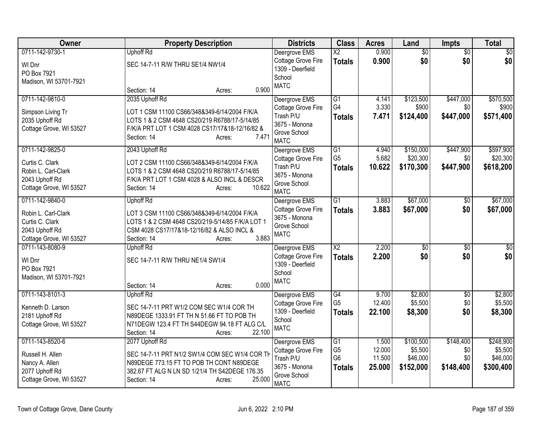| Owner                                                                                                  | <b>Property Description</b>                                                                                                                                                                          | <b>Districts</b>                                                                                 | <b>Class</b>                                                         | <b>Acres</b>                        | Land                                          | <b>Impts</b>                         | <b>Total</b>                                  |
|--------------------------------------------------------------------------------------------------------|------------------------------------------------------------------------------------------------------------------------------------------------------------------------------------------------------|--------------------------------------------------------------------------------------------------|----------------------------------------------------------------------|-------------------------------------|-----------------------------------------------|--------------------------------------|-----------------------------------------------|
| 0711-142-9730-1<br>WI Dnr<br>PO Box 7921<br>Madison, WI 53701-7921                                     | <b>Uphoff Rd</b><br>SEC 14-7-11 R/W THRU SE1/4 NW1/4<br>0.900<br>Section: 14<br>Acres:                                                                                                               | Deergrove EMS<br>Cottage Grove Fire<br>1309 - Deerfield<br>School<br><b>MATC</b>                 | $\overline{\text{X2}}$<br><b>Totals</b>                              | 0.900<br>0.900                      | $\overline{50}$<br>\$0                        | $\overline{50}$<br>\$0               | $\overline{50}$<br>\$0                        |
| 0711-142-9810-0<br>Simpson Living Tr<br>2035 Uphoff Rd<br>Cottage Grove, WI 53527                      | 2035 Uphoff Rd<br>LOT 1 CSM 11100 CS66/348&349-6/14/2004 F/K/A<br>LOTS 1 & 2 CSM 4648 CS20/219 R6788/17-5/14/85<br>F/K/A PRT LOT 1 CSM 4028 CS17/17&18-12/16/82 &<br>7.471<br>Section: 14<br>Acres:  | Deergrove EMS<br>Cottage Grove Fire<br>Trash P/U<br>3675 - Monona<br>Grove School<br><b>MATC</b> | $\overline{G1}$<br>G4<br><b>Totals</b>                               | 4.141<br>3.330<br>7.471             | \$123,500<br>\$900<br>\$124,400               | \$447,000<br>\$0<br>\$447,000        | \$570,500<br>\$900<br>\$571,400               |
| 0711-142-9825-0<br>Curtis C. Clark<br>Robin L. Carl-Clark<br>2043 Uphoff Rd<br>Cottage Grove, WI 53527 | 2043 Uphoff Rd<br>LOT 2 CSM 11100 CS66/348&349-6/14/2004 F/K/A<br>LOTS 1 & 2 CSM 4648 CS20/219 R6788/17-5/14/85<br>F/K/A PRT LOT 1 CSM 4028 & ALSO INCL & DESCR<br>10.622<br>Section: 14<br>Acres:   | Deergrove EMS<br>Cottage Grove Fire<br>Trash P/U<br>3675 - Monona<br>Grove School<br><b>MATC</b> | $\overline{G1}$<br>G <sub>5</sub><br><b>Totals</b>                   | 4.940<br>5.682<br>10.622            | \$150,000<br>\$20,300<br>\$170,300            | \$447,900<br>\$0<br>\$447,900        | \$597,900<br>\$20,300<br>\$618,200            |
| 0711-142-9840-0<br>Robin L. Carl-Clark<br>Curtis C. Clark<br>2043 Uphoff Rd<br>Cottage Grove, WI 53527 | <b>Uphoff Rd</b><br>LOT 3 CSM 11100 CS66/348&349-6/14/2004 F/K/A<br>LOTS 1 & 2 CSM 4648 CS20/219-5/14/85 F/K/A LOT 1<br>CSM 4028 CS17/17&18-12/16/82 & ALSO INCL &<br>3.883<br>Section: 14<br>Acres: | Deergrove EMS<br>Cottage Grove Fire<br>3675 - Monona<br>Grove School<br><b>MATC</b>              | $\overline{G1}$<br><b>Totals</b>                                     | 3.883<br>3.883                      | \$67,000<br>\$67,000                          | \$0<br>\$0                           | \$67,000<br>\$67,000                          |
| 0711-143-8080-9<br>WI Dnr<br>PO Box 7921<br>Madison, WI 53701-7921                                     | <b>Uphoff Rd</b><br>SEC 14-7-11 R/W THRU NE1/4 SW1/4<br>0.000<br>Section: 14<br>Acres:                                                                                                               | Deergrove EMS<br>Cottage Grove Fire<br>1309 - Deerfield<br>School<br><b>MATC</b>                 | $\overline{\text{X2}}$<br><b>Totals</b>                              | 2.200<br>2.200                      | $\sqrt{6}$<br>\$0                             | $\overline{50}$<br>\$0               | $\sqrt{50}$<br>\$0                            |
| 0711-143-8101-3<br>Kenneth D. Larson<br>2181 Uphoff Rd<br>Cottage Grove, WI 53527                      | <b>Uphoff Rd</b><br>SEC 14-7-11 PRT W1/2 COM SEC W1/4 COR TH<br>N89DEGE 1333.91 FT TH N 51.66 FT TO POB TH<br>N71DEGW 123.4 FT TH S44DEGW 94.18 FT ALG C/L<br>22.100<br>Section: 14<br>Acres:        | Deergrove EMS<br>Cottage Grove Fire<br>1309 - Deerfield<br>School<br><b>MATC</b>                 | G4<br>G <sub>5</sub><br><b>Totals</b>                                | 9.700<br>12.400<br>22.100           | \$2,800<br>\$5,500<br>\$8,300                 | $\overline{50}$<br>\$0<br>\$0        | \$2,800<br>\$5,500<br>\$8,300                 |
| 0711-143-8520-6<br>Russell H. Allen<br>Nancy A. Allen<br>2077 Uphoff Rd<br>Cottage Grove, WI 53527     | 2077 Uphoff Rd<br>SEC 14-7-11 PRT N1/2 SW1/4 COM SEC W1/4 COR TH<br>N89DEGE 773.15 FT TO POB TH CONT N89DEGE<br>382.67 FT ALG N LN SD 1/21/4 TH S42DEGE 176.35<br>25.000<br>Section: 14<br>Acres:    | Deergrove EMS<br>Cottage Grove Fire<br>Trash P/U<br>3675 - Monona<br>Grove School<br><b>MATC</b> | $\overline{G1}$<br>G <sub>5</sub><br>G <sub>6</sub><br><b>Totals</b> | 1.500<br>12.000<br>11.500<br>25.000 | \$100,500<br>\$5,500<br>\$46,000<br>\$152,000 | \$148,400<br>\$0<br>\$0<br>\$148,400 | \$248,900<br>\$5,500<br>\$46,000<br>\$300,400 |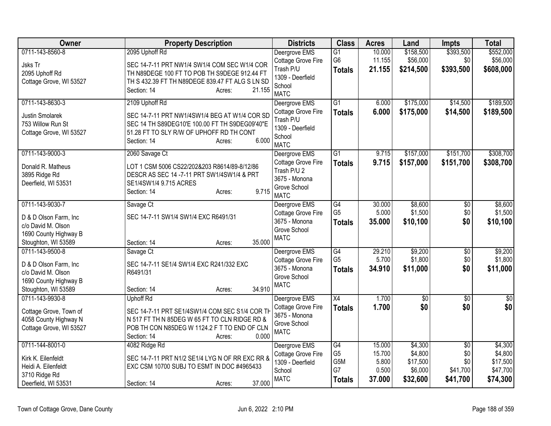| Owner                   | <b>Property Description</b>                     | <b>Districts</b>                    | <b>Class</b>          | <b>Acres</b>    | Land                | <b>Impts</b>           | <b>Total</b>         |
|-------------------------|-------------------------------------------------|-------------------------------------|-----------------------|-----------------|---------------------|------------------------|----------------------|
| 0711-143-8560-8         | 2095 Uphoff Rd                                  | Deergrove EMS                       | $\overline{G1}$       | 10.000          | \$158,500           | \$393,500              | \$552,000            |
| Jsks Tr                 | SEC 14-7-11 PRT NW1/4 SW1/4 COM SEC W1/4 COR    | Cottage Grove Fire                  | G <sub>6</sub>        | 11.155          | \$56,000            | \$0                    | \$56,000             |
| 2095 Uphoff Rd          | TH N89DEGE 100 FT TO POB TH S9DEGE 912.44 FT    | Trash P/U                           | <b>Totals</b>         | 21.155          | \$214,500           | \$393,500              | \$608,000            |
| Cottage Grove, WI 53527 | TH S 432.39 FT TH N89DEGE 839.47 FT ALG S LN SD | 1309 - Deerfield<br>School          |                       |                 |                     |                        |                      |
|                         | Section: 14<br>21.155<br>Acres:                 | <b>MATC</b>                         |                       |                 |                     |                        |                      |
| 0711-143-8630-3         | 2109 Uphoff Rd                                  | Deergrove EMS                       | $\overline{G1}$       | 6.000           | \$175,000           | \$14,500               | \$189,500            |
| <b>Justin Smolarek</b>  | SEC 14-7-11 PRT NW1/4SW1/4 BEG AT W1/4 COR SD   | Cottage Grove Fire                  | <b>Totals</b>         | 6.000           | \$175,000           | \$14,500               | \$189,500            |
| 753 Willow Run St       | SEC 14 TH S89DEG10'E 100.00 FT TH S9DEG09'40"E  | Trash P/U                           |                       |                 |                     |                        |                      |
| Cottage Grove, WI 53527 | 51.28 FT TO SLY R/W OF UPHOFF RD TH CONT        | 1309 - Deerfield<br>School          |                       |                 |                     |                        |                      |
|                         | 6.000<br>Section: 14<br>Acres:                  | <b>MATC</b>                         |                       |                 |                     |                        |                      |
| 0711-143-9000-3         | 2060 Savage Ct                                  | Deergrove EMS                       | $\overline{G1}$       | 9.715           | \$157,000           | \$151,700              | \$308,700            |
| Donald R. Matheus       | LOT 1 CSM 5006 CS22/202&203 R8614/89-8/12/86    | Cottage Grove Fire                  | <b>Totals</b>         | 9.715           | \$157,000           | \$151,700              | \$308,700            |
| 3895 Ridge Rd           | DESCR AS SEC 14 -7-11 PRT SW1/4SW1/4 & PRT      | Trash P/U 2                         |                       |                 |                     |                        |                      |
| Deerfield, WI 53531     | SE1/4SW1/4 9.715 ACRES                          | 3675 - Monona                       |                       |                 |                     |                        |                      |
|                         | 9.715<br>Section: 14<br>Acres:                  | Grove School                        |                       |                 |                     |                        |                      |
| 0711-143-9030-7         |                                                 | <b>MATC</b>                         | G4                    | 30.000          | \$8,600             |                        | \$8,600              |
|                         | Savage Ct                                       | Deergrove EMS<br>Cottage Grove Fire | G <sub>5</sub>        | 5.000           | \$1,500             | $\overline{30}$<br>\$0 | \$1,500              |
| D & D Olson Farm, Inc.  | SEC 14-7-11 SW1/4 SW1/4 EXC R6491/31            | 3675 - Monona                       | <b>Totals</b>         | 35.000          | \$10,100            | \$0                    | \$10,100             |
| c/o David M. Olson      |                                                 | Grove School                        |                       |                 |                     |                        |                      |
| 1690 County Highway B   |                                                 | <b>MATC</b>                         |                       |                 |                     |                        |                      |
| Stoughton, WI 53589     | 35.000<br>Section: 14<br>Acres:                 |                                     |                       |                 |                     |                        |                      |
| 0711-143-9500-8         | Savage Ct                                       | Deergrove EMS                       | G4<br>G <sub>5</sub>  | 29.210<br>5.700 | \$9,200<br>\$1,800  | $\overline{50}$<br>\$0 | \$9,200<br>\$1,800   |
| D & D Olson Farm, Inc   | SEC 14-7-11 SE1/4 SW1/4 EXC R241/332 EXC        | Cottage Grove Fire<br>3675 - Monona | <b>Totals</b>         | 34.910          | \$11,000            | \$0                    | \$11,000             |
| c/o David M. Olson      | R6491/31                                        | Grove School                        |                       |                 |                     |                        |                      |
| 1690 County Highway B   |                                                 | <b>MATC</b>                         |                       |                 |                     |                        |                      |
| Stoughton, WI 53589     | 34.910<br>Section: 14<br>Acres:                 |                                     |                       |                 |                     |                        |                      |
| 0711-143-9930-8         | <b>Uphoff Rd</b>                                | Deergrove EMS                       | X4                    | 1.700           | $\overline{50}$     | $\overline{30}$        | $\overline{50}$      |
| Cottage Grove, Town of  | SEC 14-7-11 PRT SE1/4SW1/4 COM SEC S1/4 COR TH  | Cottage Grove Fire<br>3675 - Monona | <b>Totals</b>         | 1.700           | \$0                 | \$0                    | \$0                  |
| 4058 County Highway N   | N 517 FT TH N 85DEG W 65 FT TO CLN RIDGE RD &   | Grove School                        |                       |                 |                     |                        |                      |
| Cottage Grove, WI 53527 | POB TH CON N85DEG W 1124.2 F T TO END OF CLN    | <b>MATC</b>                         |                       |                 |                     |                        |                      |
|                         | 0.000<br>Section: 14<br>Acres:                  |                                     |                       |                 |                     |                        |                      |
| 0711-144-8001-0         | 4082 Ridge Rd                                   | Deergrove EMS                       | G4                    | 15.000          | \$4,300             | $\overline{30}$        | \$4,300              |
| Kirk K. Eilenfeldt      | SEC 14-7-11 PRT N1/2 SE1/4 LYG N OF RR EXC RR & | Cottage Grove Fire                  | G <sub>5</sub><br>G5M | 15.700          | \$4,800             | \$0<br>\$0             | \$4,800              |
| Heidi A. Eilenfeldt     | EXC CSM 10700 SUBJ TO ESMT IN DOC #4965433      | 1309 - Deerfield<br>School          | G7                    | 5.800<br>0.500  | \$17,500<br>\$6,000 | \$41,700               | \$17,500<br>\$47,700 |
| 3710 Ridge Rd           |                                                 | <b>MATC</b>                         | <b>Totals</b>         | 37.000          | \$32,600            | \$41,700               | \$74,300             |
| Deerfield, WI 53531     | 37.000<br>Section: 14<br>Acres:                 |                                     |                       |                 |                     |                        |                      |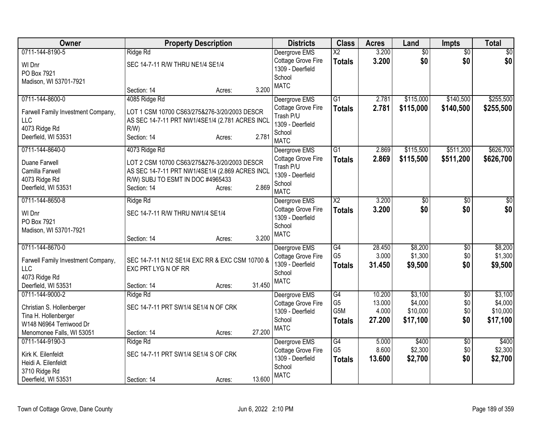| Owner                              | <b>Property Description</b>                     |                  | <b>Districts</b>           | <b>Class</b>     | <b>Acres</b> | Land            | Impts           | <b>Total</b> |
|------------------------------------|-------------------------------------------------|------------------|----------------------------|------------------|--------------|-----------------|-----------------|--------------|
| 0711-144-8190-5                    | Ridge Rd                                        |                  | Deergrove EMS              | $\overline{X2}$  | 3.200        | $\overline{50}$ | $\overline{50}$ | \$0          |
| WI Dnr                             | SEC 14-7-11 R/W THRU NE1/4 SE1/4                |                  | Cottage Grove Fire         | <b>Totals</b>    | 3.200        | \$0             | \$0             | \$0          |
| PO Box 7921                        |                                                 |                  | 1309 - Deerfield           |                  |              |                 |                 |              |
| Madison, WI 53701-7921             |                                                 |                  | School                     |                  |              |                 |                 |              |
|                                    | Section: 14                                     | 3.200<br>Acres:  | <b>MATC</b>                |                  |              |                 |                 |              |
| 0711-144-8600-0                    | 4085 Ridge Rd                                   |                  | Deergrove EMS              | $\overline{G1}$  | 2.781        | \$115,000       | \$140,500       | \$255,500    |
| Farwell Family Investment Company, | LOT 1 CSM 10700 CS63/275&276-3/20/2003 DESCR    |                  | Cottage Grove Fire         | <b>Totals</b>    | 2.781        | \$115,000       | \$140,500       | \$255,500    |
| <b>LLC</b>                         | AS SEC 14-7-11 PRT NW1/4SE1/4 (2.781 ACRES INCL |                  | Trash P/U                  |                  |              |                 |                 |              |
| 4073 Ridge Rd                      | $R/W$ )                                         |                  | 1309 - Deerfield           |                  |              |                 |                 |              |
| Deerfield, WI 53531                | Section: 14                                     | 2.781<br>Acres:  | School                     |                  |              |                 |                 |              |
|                                    |                                                 |                  | <b>MATC</b>                |                  |              |                 |                 |              |
| 0711-144-8640-0                    | 4073 Ridge Rd                                   |                  | Deergrove EMS              | G1               | 2.869        | \$115,500       | \$511,200       | \$626,700    |
| Duane Farwell                      | LOT 2 CSM 10700 CS63/275&276-3/20/2003 DESCR    |                  | Cottage Grove Fire         | <b>Totals</b>    | 2.869        | \$115,500       | \$511,200       | \$626,700    |
| Camilla Farwell                    | AS SEC 14-7-11 PRT NW1/4SE1/4 (2.869 ACRES INCL |                  | Trash P/U                  |                  |              |                 |                 |              |
| 4073 Ridge Rd                      | R/W) SUBJ TO ESMT IN DOC #4965433               |                  | 1309 - Deerfield           |                  |              |                 |                 |              |
| Deerfield, WI 53531                | Section: 14                                     | 2.869<br>Acres:  | School                     |                  |              |                 |                 |              |
|                                    |                                                 |                  | <b>MATC</b>                |                  |              |                 |                 |              |
| 0711-144-8650-8                    | Ridge Rd                                        |                  | Deergrove EMS              | X2               | 3.200        | \$0             | $\sqrt[6]{30}$  | $\sqrt{50}$  |
| WI Dnr                             | SEC 14-7-11 R/W THRU NW1/4 SE1/4                |                  | Cottage Grove Fire         | <b>Totals</b>    | 3.200        | \$0             | \$0             | \$0          |
| PO Box 7921                        |                                                 |                  | 1309 - Deerfield<br>School |                  |              |                 |                 |              |
| Madison, WI 53701-7921             |                                                 |                  | <b>MATC</b>                |                  |              |                 |                 |              |
|                                    | Section: 14                                     | 3.200<br>Acres:  |                            |                  |              |                 |                 |              |
| 0711-144-8670-0                    |                                                 |                  | Deergrove EMS              | G4               | 28.450       | \$8,200         | $\sqrt{$0}$     | \$8,200      |
| Farwell Family Investment Company, | SEC 14-7-11 N1/2 SE1/4 EXC RR & EXC CSM 10700 & |                  | Cottage Grove Fire         | G <sub>5</sub>   | 3.000        | \$1,300         | \$0             | \$1,300      |
| <b>LLC</b>                         | EXC PRT LYG N OF RR                             |                  | 1309 - Deerfield           | <b>Totals</b>    | 31.450       | \$9,500         | \$0             | \$9,500      |
| 4073 Ridge Rd                      |                                                 |                  | School                     |                  |              |                 |                 |              |
| Deerfield, WI 53531                | Section: 14                                     | 31.450<br>Acres: | <b>MATC</b>                |                  |              |                 |                 |              |
| 0711-144-9000-2                    | Ridge Rd                                        |                  | Deergrove EMS              | G4               | 10.200       | \$3,100         | $\overline{30}$ | \$3,100      |
|                                    |                                                 |                  | Cottage Grove Fire         | G <sub>5</sub>   | 13.000       | \$4,000         | \$0             | \$4,000      |
| Christian S. Hollenberger          | SEC 14-7-11 PRT SW1/4 SE1/4 N OF CRK            |                  | 1309 - Deerfield           | G <sub>5</sub> M | 4.000        | \$10,000        | \$0             | \$10,000     |
| Tina H. Hollenberger               |                                                 |                  | School                     | <b>Totals</b>    | 27.200       | \$17,100        | \$0             | \$17,100     |
| W148 N6964 Terriwood Dr            |                                                 |                  | <b>MATC</b>                |                  |              |                 |                 |              |
| Menomonee Falls, WI 53051          | Section: 14                                     | 27.200<br>Acres: |                            |                  |              |                 |                 |              |
| 0711-144-9190-3                    | Ridge Rd                                        |                  | Deergrove EMS              | $\overline{G4}$  | 5.000        | \$400           | $\overline{30}$ | \$400        |
| Kirk K. Eilenfeldt                 | SEC 14-7-11 PRT SW1/4 SE1/4 S OF CRK            |                  | Cottage Grove Fire         | G <sub>5</sub>   | 8.600        | \$2,300         | \$0             | \$2,300      |
| Heidi A. Eilenfeldt                |                                                 |                  | 1309 - Deerfield           | <b>Totals</b>    | 13.600       | \$2,700         | \$0             | \$2,700      |
| 3710 Ridge Rd                      |                                                 |                  | School                     |                  |              |                 |                 |              |
| Deerfield, WI 53531                | Section: 14                                     | 13.600<br>Acres: | <b>MATC</b>                |                  |              |                 |                 |              |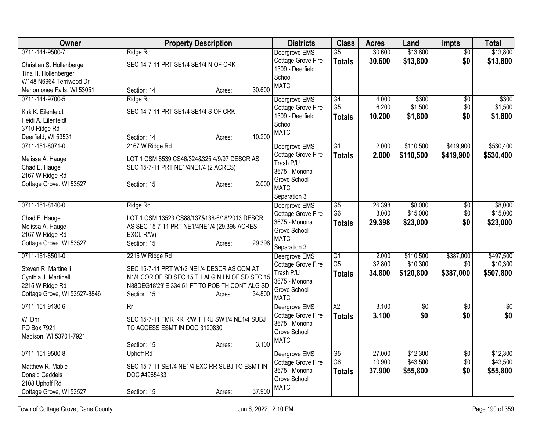| <b>Owner</b>                 | <b>Property Description</b>                    | <b>Districts</b>                    | <b>Class</b>         | <b>Acres</b> | Land      | <b>Impts</b>    | <b>Total</b> |
|------------------------------|------------------------------------------------|-------------------------------------|----------------------|--------------|-----------|-----------------|--------------|
| 0711-144-9500-7              | Ridge Rd                                       | Deergrove EMS                       | $\overline{G5}$      | 30.600       | \$13,800  | $\overline{50}$ | \$13,800     |
| Christian S. Hollenberger    | SEC 14-7-11 PRT SE1/4 SE1/4 N OF CRK           | Cottage Grove Fire                  | <b>Totals</b>        | 30.600       | \$13,800  | \$0             | \$13,800     |
| Tina H. Hollenberger         |                                                | 1309 - Deerfield<br>School          |                      |              |           |                 |              |
| W148 N6964 Terriwood Dr      |                                                | <b>MATC</b>                         |                      |              |           |                 |              |
| Menomonee Falls, WI 53051    | 30.600<br>Section: 14<br>Acres:                |                                     |                      |              |           |                 |              |
| 0711-144-9700-5              | Ridge Rd                                       | Deergrove EMS                       | $\overline{G4}$      | 4.000        | \$300     | $\overline{50}$ | \$300        |
| Kirk K. Eilenfeldt           | SEC 14-7-11 PRT SE1/4 SE1/4 S OF CRK           | Cottage Grove Fire                  | G <sub>5</sub>       | 6.200        | \$1,500   | \$0             | \$1,500      |
| Heidi A. Eilenfeldt          |                                                | 1309 - Deerfield                    | <b>Totals</b>        | 10.200       | \$1,800   | \$0             | \$1,800      |
| 3710 Ridge Rd                |                                                | School                              |                      |              |           |                 |              |
| Deerfield, WI 53531          | 10.200<br>Section: 14<br>Acres:                | <b>MATC</b>                         |                      |              |           |                 |              |
| 0711-151-8071-0              | 2167 W Ridge Rd                                | Deergrove EMS                       | $\overline{G1}$      | 2.000        | \$110,500 | \$419,900       | \$530,400    |
| Melissa A. Hauge             | LOT 1 CSM 8539 CS46/324&325 4/9/97 DESCR AS    | Cottage Grove Fire                  | <b>Totals</b>        | 2.000        | \$110,500 | \$419,900       | \$530,400    |
| Chad E. Hauge                | SEC 15-7-11 PRT NE1/4NE1/4 (2 ACRES)           | Trash P/U                           |                      |              |           |                 |              |
| 2167 W Ridge Rd              |                                                | 3675 - Monona                       |                      |              |           |                 |              |
| Cottage Grove, WI 53527      | 2.000<br>Section: 15<br>Acres:                 | Grove School                        |                      |              |           |                 |              |
|                              |                                                | <b>MATC</b>                         |                      |              |           |                 |              |
| 0711-151-8140-0              | Ridge Rd                                       | Separation 3                        | $\overline{G5}$      | 26.398       | \$8,000   | $\overline{50}$ | \$8,000      |
|                              |                                                | Deergrove EMS<br>Cottage Grove Fire | G <sub>6</sub>       | 3.000        | \$15,000  | \$0             | \$15,000     |
| Chad E. Hauge                | LOT 1 CSM 13523 CS88/137&138-6/18/2013 DESCR   | 3675 - Monona                       | <b>Totals</b>        | 29.398       | \$23,000  | \$0             | \$23,000     |
| Melissa A. Hauge             | AS SEC 15-7-11 PRT NE1/4NE1/4 (29.398 ACRES    | Grove School                        |                      |              |           |                 |              |
| 2167 W Ridge Rd              | EXCL R/W)                                      | <b>MATC</b>                         |                      |              |           |                 |              |
| Cottage Grove, WI 53527      | 29.398<br>Section: 15<br>Acres:                | Separation 3                        |                      |              |           |                 |              |
| 0711-151-8501-0              | 2215 W Ridge Rd                                | Deergrove EMS                       | $\overline{G1}$      | 2.000        | \$110,500 | \$387,000       | \$497,500    |
| Steven R. Martinelli         | SEC 15-7-11 PRT W1/2 NE1/4 DESCR AS COM AT     | Cottage Grove Fire                  | G <sub>5</sub>       | 32.800       | \$10,300  | \$0             | \$10,300     |
| Cynthia J. Martinelli        | N1/4 COR OF SD SEC 15 TH ALG N LN OF SD SEC 15 | Trash P/U                           | <b>Totals</b>        | 34.800       | \$120,800 | \$387,000       | \$507,800    |
| 2215 W Ridge Rd              | N88DEG18'29"E 334.51 FT TO POB TH CONT ALG SD  | 3675 - Monona                       |                      |              |           |                 |              |
| Cottage Grove, WI 53527-8846 | 34.800<br>Section: 15<br>Acres:                | Grove School<br><b>MATC</b>         |                      |              |           |                 |              |
| 0711-151-9130-6              | Rr                                             | Deergrove EMS                       | $\overline{X2}$      | 3.100        | \$0       | $\overline{50}$ | \$0          |
|                              |                                                | Cottage Grove Fire                  | <b>Totals</b>        | 3.100        | \$0       | \$0             | \$0          |
| WI Dnr                       | SEC 15-7-11 FMR RR R/W THRU SW1/4 NE1/4 SUBJ   | 3675 - Monona                       |                      |              |           |                 |              |
| PO Box 7921                  | TO ACCESS ESMT IN DOC 3120830                  | Grove School                        |                      |              |           |                 |              |
| Madison, WI 53701-7921       |                                                | <b>MATC</b>                         |                      |              |           |                 |              |
|                              | 3.100<br>Section: 15<br>Acres:                 |                                     |                      |              |           |                 |              |
| 0711-151-9500-8              | <b>Uphoff Rd</b>                               | Deergrove EMS                       | G5<br>G <sub>6</sub> | 27.000       | \$12,300  | \$0             | \$12,300     |
| Matthew R. Mabie             | SEC 15-7-11 SE1/4 NE1/4 EXC RR SUBJ TO ESMT IN | Cottage Grove Fire<br>3675 - Monona |                      | 10.900       | \$43,500  | \$0             | \$43,500     |
| <b>Donald Geddeis</b>        | DOC #4965433                                   | Grove School                        | <b>Totals</b>        | 37.900       | \$55,800  | \$0             | \$55,800     |
| 2108 Uphoff Rd               |                                                | <b>MATC</b>                         |                      |              |           |                 |              |
| Cottage Grove, WI 53527      | 37.900<br>Section: 15<br>Acres:                |                                     |                      |              |           |                 |              |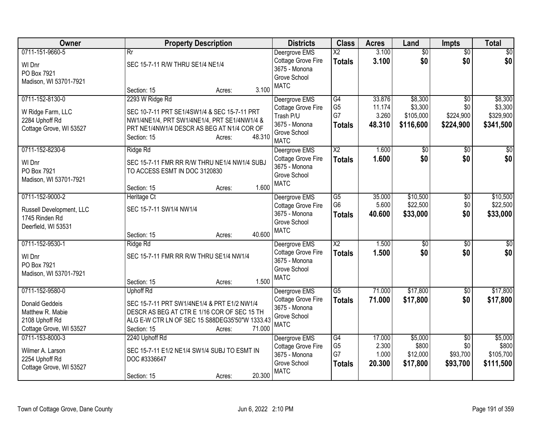| Owner                                                                                                     | <b>Property Description</b>                                                                                                                                                                         | <b>Districts</b>                                                                                 | <b>Class</b>                                             | <b>Acres</b>                        | Land                                         | <b>Impts</b>                                     | <b>Total</b>                                 |
|-----------------------------------------------------------------------------------------------------------|-----------------------------------------------------------------------------------------------------------------------------------------------------------------------------------------------------|--------------------------------------------------------------------------------------------------|----------------------------------------------------------|-------------------------------------|----------------------------------------------|--------------------------------------------------|----------------------------------------------|
| 0711-151-9660-5<br>WI Dnr<br>PO Box 7921<br>Madison, WI 53701-7921                                        | $\overline{Rr}$<br>SEC 15-7-11 R/W THRU SE1/4 NE1/4<br>3.100<br>Section: 15<br>Acres:                                                                                                               | Deergrove EMS<br>Cottage Grove Fire<br>3675 - Monona<br>Grove School<br><b>MATC</b>              | $\overline{\text{X2}}$<br><b>Totals</b>                  | 3.100<br>3.100                      | $\overline{50}$<br>\$0                       | $\overline{50}$<br>\$0                           | $\sqrt{50}$<br>\$0                           |
| 0711-152-8130-0<br>W Ridge Farm, LLC<br>2284 Uphoff Rd<br>Cottage Grove, WI 53527                         | 2293 W Ridge Rd<br>SEC 10-7-11 PRT SE1/4SW1/4 & SEC 15-7-11 PRT<br>NW1/4NE1/4, PRT SW1/4NE1/4, PRT SE1/4NW1/4 &<br>PRT NE1/4NW1/4 DESCR AS BEG AT N1/4 COR OF<br>48.310<br>Section: 15<br>Acres:    | Deergrove EMS<br>Cottage Grove Fire<br>Trash P/U<br>3675 - Monona<br>Grove School<br><b>MATC</b> | $\overline{G4}$<br>G <sub>5</sub><br>G7<br><b>Totals</b> | 33.876<br>11.174<br>3.260<br>48.310 | \$8,300<br>\$3,300<br>\$105,000<br>\$116,600 | $\overline{50}$<br>\$0<br>\$224,900<br>\$224,900 | \$8,300<br>\$3,300<br>\$329,900<br>\$341,500 |
| 0711-152-8230-6<br>WI Dnr<br>PO Box 7921<br>Madison, WI 53701-7921                                        | Ridge Rd<br>SEC 15-7-11 FMR RR R/W THRU NE1/4 NW1/4 SUBJ<br>TO ACCESS ESMT IN DOC 3120830<br>1.600<br>Section: 15<br>Acres:                                                                         | Deergrove EMS<br>Cottage Grove Fire<br>3675 - Monona<br>Grove School<br><b>MATC</b>              | $\overline{\text{X2}}$<br><b>Totals</b>                  | 1.600<br>1.600                      | $\overline{50}$<br>\$0                       | $\overline{50}$<br>\$0                           | $\frac{1}{6}$<br>\$0                         |
| 0711-152-9000-2<br>Russell Development, LLC<br>1745 Rinden Rd<br>Deerfield, WI 53531                      | Heritage Ct<br>SEC 15-7-11 SW1/4 NW1/4<br>40.600<br>Section: 15<br>Acres:                                                                                                                           | Deergrove EMS<br>Cottage Grove Fire<br>3675 - Monona<br>Grove School<br><b>MATC</b>              | $\overline{G5}$<br>G <sub>6</sub><br><b>Totals</b>       | 35.000<br>5.600<br>40.600           | \$10,500<br>\$22,500<br>\$33,000             | $\overline{50}$<br>\$0<br>\$0                    | \$10,500<br>\$22,500<br>\$33,000             |
| 0711-152-9530-1<br>WI Dnr<br>PO Box 7921<br>Madison, WI 53701-7921                                        | Ridge Rd<br>SEC 15-7-11 FMR RR R/W THRU SE1/4 NW1/4<br>1.500<br>Section: 15<br>Acres:                                                                                                               | Deergrove EMS<br>Cottage Grove Fire<br>3675 - Monona<br>Grove School<br><b>MATC</b>              | $\overline{X2}$<br><b>Totals</b>                         | 1.500<br>1.500                      | $\overline{50}$<br>\$0                       | \$0<br>\$0                                       | $\overline{50}$<br>\$0                       |
| 0711-152-9580-0<br><b>Donald Geddeis</b><br>Matthew R. Mabie<br>2108 Uphoff Rd<br>Cottage Grove, WI 53527 | <b>Uphoff Rd</b><br>SEC 15-7-11 PRT SW1/4NE1/4 & PRT E1/2 NW1/4<br>DESCR AS BEG AT CTR E 1/16 COR OF SEC 15 TH<br>ALG E-W CTR LN OF SEC 15 S88DEG35'50"W 1333.43<br>71.000<br>Section: 15<br>Acres: | Deergrove EMS<br>Cottage Grove Fire<br>3675 - Monona<br>Grove School<br><b>MATC</b>              | $\overline{G5}$<br><b>Totals</b>                         | 71.000<br>71.000                    | \$17,800<br>\$17,800                         | \$0<br>\$0                                       | \$17,800<br>\$17,800                         |
| 0711-153-8000-3<br>Wilmer A. Larson<br>2254 Uphoff Rd<br>Cottage Grove, WI 53527                          | 2240 Uphoff Rd<br>SEC 15-7-11 E1/2 NE1/4 SW1/4 SUBJ TO ESMT IN<br>DOC #3336647<br>20.300<br>Section: 15<br>Acres:                                                                                   | Deergrove EMS<br><b>Cottage Grove Fire</b><br>3675 - Monona<br>Grove School<br><b>MATC</b>       | $\overline{G4}$<br>G <sub>5</sub><br>G7<br><b>Totals</b> | 17.000<br>2.300<br>1.000<br>20.300  | \$5,000<br>\$800<br>\$12,000<br>\$17,800     | \$0<br>\$0<br>\$93,700<br>\$93,700               | \$5,000<br>\$800<br>\$105,700<br>\$111,500   |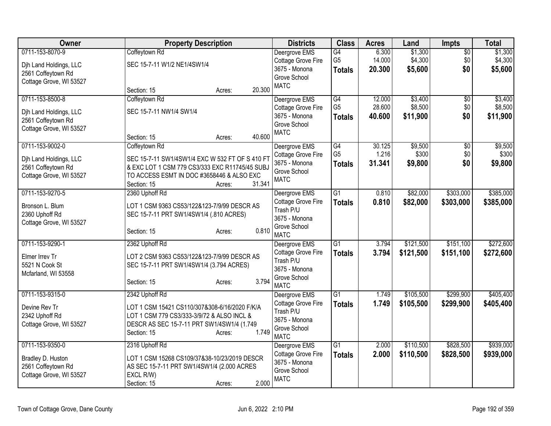| Owner                                                                                      | <b>Property Description</b>                                                                                                                                                       | <b>Districts</b>                                                                    | <b>Class</b>                          | <b>Acres</b>              | Land                          | Impts                         | <b>Total</b>                  |
|--------------------------------------------------------------------------------------------|-----------------------------------------------------------------------------------------------------------------------------------------------------------------------------------|-------------------------------------------------------------------------------------|---------------------------------------|---------------------------|-------------------------------|-------------------------------|-------------------------------|
| 0711-153-8070-9<br>Djh Land Holdings, LLC<br>2561 Coffeytown Rd<br>Cottage Grove, WI 53527 | Coffeytown Rd<br>SEC 15-7-11 W1/2 NE1/4SW1/4                                                                                                                                      | Deergrove EMS<br>Cottage Grove Fire<br>3675 - Monona<br>Grove School<br><b>MATC</b> | G4<br>G <sub>5</sub><br><b>Totals</b> | 6.300<br>14.000<br>20.300 | \$1,300<br>\$4,300<br>\$5,600 | $\overline{50}$<br>\$0<br>\$0 | \$1,300<br>\$4,300<br>\$5,600 |
| 0711-153-8500-8                                                                            | 20.300<br>Section: 15<br>Acres:<br>Coffeytown Rd                                                                                                                                  | Deergrove EMS                                                                       | G4                                    | 12.000                    | \$3,400                       | $\overline{50}$               | \$3,400                       |
| Dih Land Holdings, LLC<br>2561 Coffeytown Rd<br>Cottage Grove, WI 53527                    | SEC 15-7-11 NW1/4 SW1/4<br>40.600<br>Section: 15<br>Acres:                                                                                                                        | Cottage Grove Fire<br>3675 - Monona<br>Grove School<br><b>MATC</b>                  | G <sub>5</sub><br><b>Totals</b>       | 28.600<br>40.600          | \$8,500<br>\$11,900           | \$0<br>\$0                    | \$8,500<br>\$11,900           |
| 0711-153-9002-0                                                                            | Coffeytown Rd                                                                                                                                                                     | Deergrove EMS                                                                       | G4                                    | 30.125                    | \$9,500                       | $\overline{50}$               | \$9,500                       |
| Djh Land Holdings, LLC<br>2561 Coffeytown Rd<br>Cottage Grove, WI 53527                    | SEC 15-7-11 SW1/4SW1/4 EXC W 532 FT OF S 410 FT<br>& EXC LOT 1 CSM 779 CS3/333 EXC R11745/45 SUBJ<br>TO ACCESS ESMT IN DOC #3658446 & ALSO EXC<br>31.341<br>Section: 15<br>Acres: | Cottage Grove Fire<br>3675 - Monona<br>Grove School<br><b>MATC</b>                  | G <sub>5</sub><br><b>Totals</b>       | 1.216<br>31.341           | \$300<br>\$9,800              | \$0<br>\$0                    | \$300<br>\$9,800              |
| 0711-153-9270-5                                                                            | 2360 Uphoff Rd                                                                                                                                                                    | Deergrove EMS                                                                       | $\overline{G1}$                       | 0.810                     | \$82,000                      | \$303,000                     | \$385,000                     |
| Bronson L. Blum<br>2360 Uphoff Rd<br>Cottage Grove, WI 53527                               | LOT 1 CSM 9363 CS53/122&123-7/9/99 DESCR AS<br>SEC 15-7-11 PRT SW1/4SW1/4 (.810 ACRES)<br>0.810<br>Section: 15<br>Acres:                                                          | Cottage Grove Fire<br>Trash P/U<br>3675 - Monona<br>Grove School<br><b>MATC</b>     | <b>Totals</b>                         | 0.810                     | \$82,000                      | \$303,000                     | \$385,000                     |
| 0711-153-9290-1                                                                            | 2362 Uphoff Rd                                                                                                                                                                    | Deergrove EMS                                                                       | G1                                    | 3.794                     | \$121,500                     | \$151,100                     | \$272,600                     |
| Elmer Irrev Tr<br>5521 N Cook St<br>Mcfarland, WI 53558                                    | LOT 2 CSM 9363 CS53/122&123-7/9/99 DESCR AS<br>SEC 15-7-11 PRT SW1/4SW1/4 (3.794 ACRES)<br>3.794<br>Section: 15<br>Acres:                                                         | Cottage Grove Fire<br>Trash P/U<br>3675 - Monona<br>Grove School<br><b>MATC</b>     | <b>Totals</b>                         | 3.794                     | \$121,500                     | \$151,100                     | \$272,600                     |
| 0711-153-9315-0                                                                            | 2342 Uphoff Rd                                                                                                                                                                    | Deergrove EMS                                                                       | $\overline{G1}$                       | 1.749                     | \$105,500                     | \$299,900                     | \$405,400                     |
| Devine Rev Tr<br>2342 Uphoff Rd<br>Cottage Grove, WI 53527                                 | LOT 1 CSM 15421 CS110/307&308-6/16/2020 F/K/A<br>LOT 1 CSM 779 CS3/333-3/9/72 & ALSO INCL &<br>DESCR AS SEC 15-7-11 PRT SW1/4SW1/4 (1.749<br>1.749<br>Section: 15<br>Acres:       | Cottage Grove Fire<br>Trash P/U<br>3675 - Monona<br>Grove School<br><b>MATC</b>     | <b>Totals</b>                         | 1.749                     | \$105,500                     | \$299,900                     | \$405,400                     |
| 0711-153-9350-0                                                                            | 2316 Uphoff Rd                                                                                                                                                                    | Deergrove EMS                                                                       | $\overline{G1}$                       | 2.000                     | \$110,500                     | \$828,500                     | \$939,000                     |
| Bradley D. Huston<br>2561 Coffeytown Rd<br>Cottage Grove, WI 53527                         | LOT 1 CSM 15268 CS109/37&38-10/23/2019 DESCR<br>AS SEC 15-7-11 PRT SW1/4SW1/4 (2.000 ACRES<br>EXCL R/W)<br>2.000<br>Section: 15<br>Acres:                                         | Cottage Grove Fire<br>3675 - Monona<br>Grove School<br><b>MATC</b>                  | <b>Totals</b>                         | 2.000                     | \$110,500                     | \$828,500                     | \$939,000                     |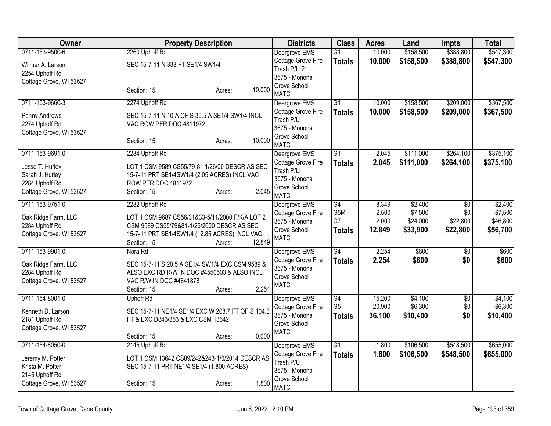| <b>Owner</b>                              |                                           | <b>Property Description</b>                                                                    |        | <b>Districts</b>              | <b>Class</b>    | <b>Acres</b> | Land      | <b>Impts</b>    | <b>Total</b> |
|-------------------------------------------|-------------------------------------------|------------------------------------------------------------------------------------------------|--------|-------------------------------|-----------------|--------------|-----------|-----------------|--------------|
| 0711-153-9500-6                           | 2260 Uphoff Rd                            |                                                                                                |        | Deergrove EMS                 | $\overline{G1}$ | 10.000       | \$158,500 | \$388,800       | \$547,300    |
| Wilmer A. Larson                          | SEC 15-7-11 N 333 FT SE1/4 SW1/4          |                                                                                                |        | Cottage Grove Fire            | <b>Totals</b>   | 10.000       | \$158,500 | \$388,800       | \$547,300    |
| 2254 Uphoff Rd                            |                                           |                                                                                                |        | Trash P/U 2<br>3675 - Monona  |                 |              |           |                 |              |
| Cottage Grove, WI 53527                   |                                           |                                                                                                |        | Grove School                  |                 |              |           |                 |              |
|                                           | Section: 15                               | Acres:                                                                                         | 10.000 | <b>MATC</b>                   |                 |              |           |                 |              |
| 0711-153-9660-3                           | 2274 Uphoff Rd                            |                                                                                                |        | Deergrove EMS                 | $\overline{G1}$ | 10.000       | \$158,500 | \$209,000       | \$367,500    |
| Penny Andrews                             |                                           | SEC 15-7-11 N 10 A OF S 30.5 A SE1/4 SW1/4 INCL                                                |        | Cottage Grove Fire            | <b>Totals</b>   | 10.000       | \$158,500 | \$209,000       | \$367,500    |
| 2274 Uphoff Rd                            | VAC ROW PER DOC 4811972                   |                                                                                                |        | Trash P/U                     |                 |              |           |                 |              |
| Cottage Grove, WI 53527                   |                                           |                                                                                                |        | 3675 - Monona<br>Grove School |                 |              |           |                 |              |
|                                           | Section: 15                               | Acres:                                                                                         | 10.000 | <b>MATC</b>                   |                 |              |           |                 |              |
| 0711-153-9691-0                           | 2284 Uphoff Rd                            |                                                                                                |        | Deergrove EMS                 | $\overline{G1}$ | 2.045        | \$111,000 | \$264,100       | \$375,100    |
| Jesse T. Hurley                           |                                           | LOT 1 CSM 9589 CS55/79-81 1/26/00 DESCR AS SEC                                                 |        | Cottage Grove Fire            | <b>Totals</b>   | 2.045        | \$111,000 | \$264,100       | \$375,100    |
| Sarah J. Hurley                           |                                           | 15-7-11 PRT SE1/4SW1/4 (2.05 ACRES) INCL VAC                                                   |        | Trash P/U                     |                 |              |           |                 |              |
| 2284 Uphoff Rd                            | <b>ROW PER DOC 4811972</b>                |                                                                                                |        | 3675 - Monona                 |                 |              |           |                 |              |
| Cottage Grove, WI 53527                   | Section: 15                               | Acres:                                                                                         | 2.045  | Grove School<br><b>MATC</b>   |                 |              |           |                 |              |
| 0711-153-9751-0                           | 2282 Uphoff Rd                            |                                                                                                |        | Deergrove EMS                 | G4              | 8.349        | \$2,400   | $\overline{50}$ | \$2,400      |
|                                           |                                           |                                                                                                |        | Cottage Grove Fire            | G5M             | 2.500        | \$7,500   | \$0             | \$7,500      |
| Oak Ridge Farm, LLC                       |                                           | LOT 1 CSM 9687 CS56/31&33-5/11/2000 F/K/A LOT 2                                                |        | 3675 - Monona                 | G7              | 2.000        | \$24,000  | \$22,800        | \$46,800     |
| 2284 Uphoff Rd                            |                                           | CSM 9589 CS55/79&81-1/26/2000 DESCR AS SEC                                                     |        | Grove School                  | <b>Totals</b>   | 12.849       | \$33,900  | \$22,800        | \$56,700     |
| Cottage Grove, WI 53527                   | Section: 15                               | 15-7-11 PRT SE1/4SW1/4 (12.85 ACRES) INCL VAC<br>Acres:                                        | 12.849 | <b>MATC</b>                   |                 |              |           |                 |              |
| 0711-153-9901-0                           | Nora Rd                                   |                                                                                                |        | Deergrove EMS                 | G4              | 2.254        | \$600     | \$0             | \$600        |
|                                           |                                           |                                                                                                |        | Cottage Grove Fire            | <b>Totals</b>   | 2.254        | \$600     | \$0             | \$600        |
| Oak Ridge Farm, LLC                       |                                           | SEC 15-7-11 S 20.5 A SE1/4 SW1/4 EXC CSM 9589 &<br>ALSO EXC RD R/W IN DOC #4550503 & ALSO INCL |        | 3675 - Monona                 |                 |              |           |                 |              |
| 2284 Uphoff Rd<br>Cottage Grove, WI 53527 | VAC R/W IN DOC #4641878                   |                                                                                                |        | Grove School                  |                 |              |           |                 |              |
|                                           | Section: 15                               | Acres:                                                                                         | 2.254  | <b>MATC</b>                   |                 |              |           |                 |              |
| 0711-154-8001-0                           | <b>Uphoff Rd</b>                          |                                                                                                |        | Deergrove EMS                 | G4              | 15.200       | \$4,100   | \$0             | \$4,100      |
| Kenneth D. Larson                         |                                           | SEC 15-7-11 NE1/4 SE1/4 EXC W 208.7 FT OF S 104.3                                              |        | Cottage Grove Fire            | G <sub>5</sub>  | 20.900       | \$6,300   | \$0             | \$6,300      |
| 2181 Uphoff Rd                            | FT & EXC D843/353 & EXC CSM 13642         |                                                                                                |        | 3675 - Monona                 | <b>Totals</b>   | 36.100       | \$10,400  | \$0             | \$10,400     |
| Cottage Grove, WI 53527                   |                                           |                                                                                                |        | Grove School                  |                 |              |           |                 |              |
|                                           | Section: 15                               | Acres:                                                                                         | 0.000  | <b>MATC</b>                   |                 |              |           |                 |              |
| 0711-154-8050-0                           | 2145 Uphoff Rd                            |                                                                                                |        | Deergrove EMS                 | $\overline{G1}$ | 1.800        | \$106,500 | \$548,500       | \$655,000    |
| Jeremy M. Potter                          |                                           | LOT 1 CSM 13642 CS89/242&243-1/6/2014 DESCR AS                                                 |        | Cottage Grove Fire            | <b>Totals</b>   | 1.800        | \$106,500 | \$548,500       | \$655,000    |
| Krista M. Potter                          | SEC 15-7-11 PRT NE1/4 SE1/4 (1.800 ACRES) |                                                                                                |        | Trash P/U                     |                 |              |           |                 |              |
| 2145 Uphoff Rd                            |                                           |                                                                                                |        | 3675 - Monona                 |                 |              |           |                 |              |
| Cottage Grove, WI 53527                   | Section: 15                               | Acres:                                                                                         | 1.800  | Grove School<br><b>MATC</b>   |                 |              |           |                 |              |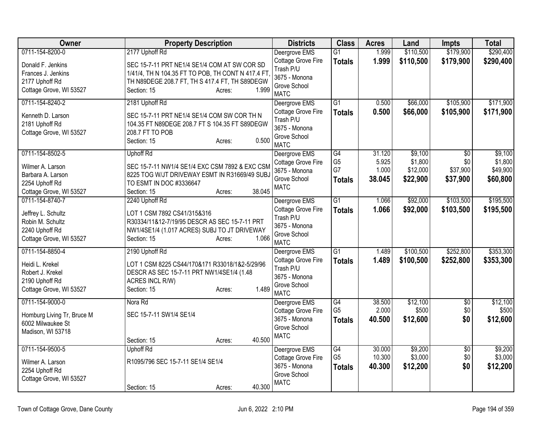| Owner                                  | <b>Property Description</b>                       | <b>Districts</b>            | <b>Class</b>    | <b>Acres</b> | Land      | <b>Impts</b>    | <b>Total</b> |
|----------------------------------------|---------------------------------------------------|-----------------------------|-----------------|--------------|-----------|-----------------|--------------|
| 0711-154-8200-0                        | 2177 Uphoff Rd                                    | Deergrove EMS               | G1              | 1.999        | \$110,500 | \$179,900       | \$290,400    |
| Donald F. Jenkins                      | SEC 15-7-11 PRT NE1/4 SE1/4 COM AT SW COR SD      | Cottage Grove Fire          | <b>Totals</b>   | 1.999        | \$110,500 | \$179,900       | \$290,400    |
| Frances J. Jenkins                     | 1/41/4, TH N 104.35 FT TO POB, TH CONT N 417.4 FT | Trash P/U                   |                 |              |           |                 |              |
| 2177 Uphoff Rd                         | TH N89DEGE 208.7 FT, TH S 417.4 FT, TH S89DEGW    | 3675 - Monona               |                 |              |           |                 |              |
| Cottage Grove, WI 53527                | 1.999<br>Section: 15<br>Acres:                    | Grove School<br><b>MATC</b> |                 |              |           |                 |              |
| 0711-154-8240-2                        | 2181 Uphoff Rd                                    | Deergrove EMS               | $\overline{G1}$ | 0.500        | \$66,000  | \$105,900       | \$171,900    |
| Kenneth D. Larson                      | SEC 15-7-11 PRT NE1/4 SE1/4 COM SW COR TH N       | Cottage Grove Fire          | <b>Totals</b>   | 0.500        | \$66,000  | \$105,900       | \$171,900    |
| 2181 Uphoff Rd                         | 104.35 FT N89DEGE 208.7 FT S 104.35 FT S89DEGW    | Trash P/U                   |                 |              |           |                 |              |
| Cottage Grove, WI 53527                | 208.7 FT TO POB                                   | 3675 - Monona               |                 |              |           |                 |              |
|                                        | 0.500<br>Section: 15<br>Acres:                    | Grove School<br><b>MATC</b> |                 |              |           |                 |              |
| 0711-154-8502-5                        | <b>Uphoff Rd</b>                                  | Deergrove EMS               | $\overline{G4}$ | 31.120       | \$9,100   | \$0             | \$9,100      |
| Wilmer A. Larson                       | SEC 15-7-11 NW1/4 SE1/4 EXC CSM 7892 & EXC CSM    | Cottage Grove Fire          | G <sub>5</sub>  | 5.925        | \$1,800   | \$0             | \$1,800      |
| Barbara A. Larson                      | 8225 TOG W/JT DRIVEWAY ESMT IN R31669/49 SUBJ     | 3675 - Monona               | G7              | 1.000        | \$12,000  | \$37,900        | \$49,900     |
| 2254 Uphoff Rd                         | TO ESMT IN DOC #3336647                           | Grove School                | <b>Totals</b>   | 38.045       | \$22,900  | \$37,900        | \$60,800     |
| Cottage Grove, WI 53527                | 38.045<br>Section: 15<br>Acres:                   | <b>MATC</b>                 |                 |              |           |                 |              |
| 0711-154-8740-7                        | 2240 Uphoff Rd                                    | Deergrove EMS               | $\overline{G1}$ | 1.066        | \$92,000  | \$103,500       | \$195,500    |
|                                        | LOT 1 CSM 7892 CS41/315&316                       | Cottage Grove Fire          | <b>Totals</b>   | 1.066        | \$92,000  | \$103,500       | \$195,500    |
| Jeffrey L. Schultz<br>Robin M. Schultz | R30334/11&12-7/19/95 DESCR AS SEC 15-7-11 PRT     | Trash P/U                   |                 |              |           |                 |              |
| 2240 Uphoff Rd                         | NW1/4SE1/4 (1.017 ACRES) SUBJ TO JT DRIVEWAY      | 3675 - Monona               |                 |              |           |                 |              |
| Cottage Grove, WI 53527                | 1.066<br>Section: 15<br>Acres:                    | Grove School                |                 |              |           |                 |              |
|                                        |                                                   | <b>MATC</b>                 |                 |              |           |                 |              |
| 0711-154-8850-4                        | 2190 Uphoff Rd                                    | Deergrove EMS               | G1              | 1.489        | \$100,500 | \$252,800       | \$353,300    |
| Heidi L. Krekel                        | LOT 1 CSM 8225 CS44/170&171 R33018/1&2-5/29/96    | Cottage Grove Fire          | <b>Totals</b>   | 1.489        | \$100,500 | \$252,800       | \$353,300    |
| Robert J. Krekel                       | DESCR AS SEC 15-7-11 PRT NW1/4SE1/4 (1.48         | Trash P/U<br>3675 - Monona  |                 |              |           |                 |              |
| 2190 Uphoff Rd                         | ACRES INCL R/W)                                   | Grove School                |                 |              |           |                 |              |
| Cottage Grove, WI 53527                | 1.489<br>Section: 15<br>Acres:                    | <b>MATC</b>                 |                 |              |           |                 |              |
| 0711-154-9000-0                        | Nora Rd                                           | Deergrove EMS               | G4              | 38.500       | \$12,100  | $\overline{50}$ | \$12,100     |
| Homburg Living Tr, Bruce M             | SEC 15-7-11 SW1/4 SE1/4                           | Cottage Grove Fire          | G <sub>5</sub>  | 2.000        | \$500     | \$0             | \$500        |
| 6002 Milwaukee St                      |                                                   | 3675 - Monona               | <b>Totals</b>   | 40.500       | \$12,600  | \$0             | \$12,600     |
| Madison, WI 53718                      |                                                   | Grove School                |                 |              |           |                 |              |
|                                        | 40.500<br>Section: 15<br>Acres:                   | <b>MATC</b>                 |                 |              |           |                 |              |
| 0711-154-9500-5                        | <b>Uphoff Rd</b>                                  | Deergrove EMS               | G4              | 30.000       | \$9,200   | $\overline{50}$ | \$9,200      |
| Wilmer A. Larson                       | R1095/796 SEC 15-7-11 SE1/4 SE1/4                 | Cottage Grove Fire          | G <sub>5</sub>  | 10.300       | \$3,000   | \$0             | \$3,000      |
| 2254 Uphoff Rd                         |                                                   | 3675 - Monona               | <b>Totals</b>   | 40.300       | \$12,200  | \$0             | \$12,200     |
| Cottage Grove, WI 53527                |                                                   | Grove School                |                 |              |           |                 |              |
|                                        | 40.300<br>Section: 15<br>Acres:                   | <b>MATC</b>                 |                 |              |           |                 |              |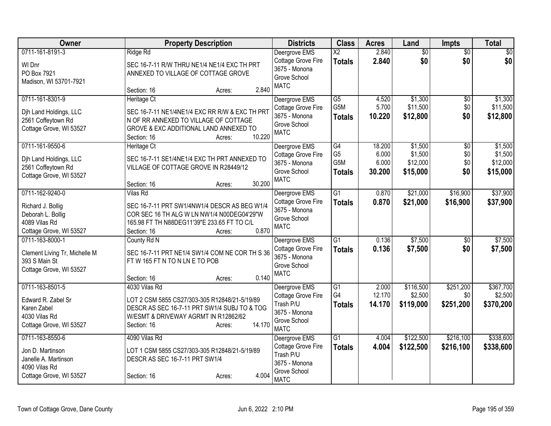| Owner                                                                                                   | <b>Property Description</b>                                                                                                                                                                    | <b>Districts</b>                                                                                 | <b>Class</b>                                 | <b>Acres</b>                       | Land                                       | <b>Impts</b>                  | <b>Total</b>                               |
|---------------------------------------------------------------------------------------------------------|------------------------------------------------------------------------------------------------------------------------------------------------------------------------------------------------|--------------------------------------------------------------------------------------------------|----------------------------------------------|------------------------------------|--------------------------------------------|-------------------------------|--------------------------------------------|
| 0711-161-8191-3<br>WI Dnr<br>PO Box 7921<br>Madison, WI 53701-7921                                      | Ridge Rd<br>SEC 16-7-11 R/W THRU NE1/4 NE1/4 EXC TH PRT<br>ANNEXED TO VILLAGE OF COTTAGE GROVE<br>2.840<br>Section: 16<br>Acres:                                                               | Deergrove EMS<br>Cottage Grove Fire<br>3675 - Monona<br>Grove School<br><b>MATC</b>              | $\overline{X2}$<br><b>Totals</b>             | 2.840<br>2.840                     | $\overline{50}$<br>\$0                     | $\overline{50}$<br>\$0        | $\sqrt{50}$<br>\$0                         |
| 0711-161-8301-9<br>Djh Land Holdings, LLC<br>2561 Coffeytown Rd<br>Cottage Grove, WI 53527              | Heritage Ct<br>SEC 16-7-11 NE1/4NE1/4 EXC RR R/W & EXC TH PRT<br>N OF RR ANNEXED TO VILLAGE OF COTTAGE<br>GROVE & EXC ADDITIONAL LAND ANNEXED TO<br>10.220<br>Section: 16<br>Acres:            | Deergrove EMS<br>Cottage Grove Fire<br>3675 - Monona<br>Grove School<br><b>MATC</b>              | $\overline{G5}$<br>G5M<br><b>Totals</b>      | 4.520<br>5.700<br>10.220           | \$1,300<br>\$11,500<br>\$12,800            | $\overline{50}$<br>\$0<br>\$0 | \$1,300<br>\$11,500<br>\$12,800            |
| 0711-161-9550-6<br>Dih Land Holdings, LLC<br>2561 Coffeytown Rd<br>Cottage Grove, WI 53527              | Heritage Ct<br>SEC 16-7-11 SE1/4NE1/4 EXC TH PRT ANNEXED TO<br>VILLAGE OF COTTAGE GROVE IN R28449/12<br>30.200<br>Section: 16<br>Acres:                                                        | Deergrove EMS<br>Cottage Grove Fire<br>3675 - Monona<br>Grove School<br><b>MATC</b>              | G4<br>G <sub>5</sub><br>G5M<br><b>Totals</b> | 18.200<br>6.000<br>6.000<br>30.200 | \$1,500<br>\$1,500<br>\$12,000<br>\$15,000 | \$0<br>\$0<br>\$0<br>\$0      | \$1,500<br>\$1,500<br>\$12,000<br>\$15,000 |
| 0711-162-9240-0<br>Richard J. Bollig<br>Deborah L. Bollig<br>4089 Vilas Rd<br>Cottage Grove, WI 53527   | <b>Vilas Rd</b><br>SEC 16-7-11 PRT SW1/4NW1/4 DESCR AS BEG W1/4<br>COR SEC 16 TH ALG W LN NW1/4 N00DEG04'29"W<br>165.98 FT TH N88DEG11'39"E 233.65 FT TO C/L<br>0.870<br>Section: 16<br>Acres: | Deergrove EMS<br><b>Cottage Grove Fire</b><br>3675 - Monona<br>Grove School<br><b>MATC</b>       | $\overline{G1}$<br><b>Totals</b>             | 0.870<br>0.870                     | \$21,000<br>\$21,000                       | \$16,900<br>\$16,900          | \$37,900<br>\$37,900                       |
| 0711-163-8000-1<br>Clement Living Tr, Michelle M<br>393 S Main St<br>Cottage Grove, WI 53527            | County Rd N<br>SEC 16-7-11 PRT NE1/4 SW1/4 COM NE COR TH S 36<br>FTW 165 FTN TON LNE TO POB<br>0.140<br>Section: 16<br>Acres:                                                                  | Deergrove EMS<br>Cottage Grove Fire<br>3675 - Monona<br>Grove School<br><b>MATC</b>              | $\overline{G1}$<br><b>Totals</b>             | 0.136<br>0.136                     | \$7,500<br>\$7,500                         | \$0<br>\$0                    | \$7,500<br>\$7,500                         |
| 0711-163-8501-5<br>Edward R. Zabel Sr<br>Karen Zabel<br>4030 Vilas Rd<br>Cottage Grove, WI 53527        | 4030 Vilas Rd<br>LOT 2 CSM 5855 CS27/303-305 R12848/21-5/19/89<br>DESCR AS SEC 16-7-11 PRT SW1/4 SUBJ TO & TOG<br>W/ESMT & DRIVEWAY AGRMT IN R12862/62<br>14.170<br>Section: 16<br>Acres:      | Deergrove EMS<br>Cottage Grove Fire<br>Trash P/U<br>3675 - Monona<br>Grove School<br><b>MATC</b> | $\overline{G1}$<br>G4<br><b>Totals</b>       | 2.000<br>12.170<br>14.170          | \$116,500<br>\$2,500<br>\$119,000          | \$251,200<br>\$0<br>\$251,200 | \$367,700<br>\$2,500<br>\$370,200          |
| 0711-163-8550-6<br>Jon D. Martinson<br>Janelle A. Martinson<br>4090 Vilas Rd<br>Cottage Grove, WI 53527 | 4090 Vilas Rd<br>LOT 1 CSM 5855 CS27/303-305 R12848/21-5/19/89<br>DESCR AS SEC 16-7-11 PRT SW1/4<br>4.004<br>Section: 16<br>Acres:                                                             | Deergrove EMS<br>Cottage Grove Fire<br>Trash P/U<br>3675 - Monona<br>Grove School<br><b>MATC</b> | $\overline{G1}$<br><b>Totals</b>             | 4.004<br>4.004                     | \$122,500<br>\$122,500                     | \$216,100<br>\$216,100        | \$338,600<br>\$338,600                     |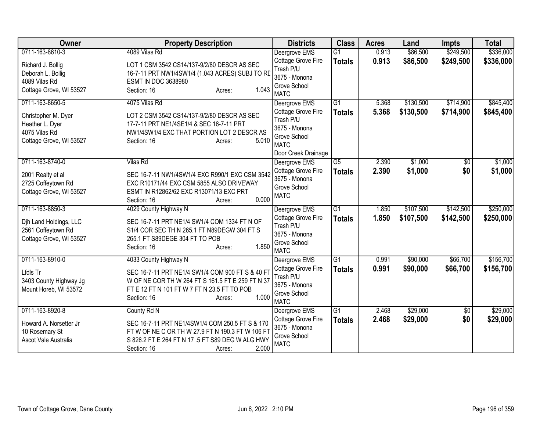| Owner                                                                                                 | <b>Property Description</b>                                                                                                                                                                                    | <b>Districts</b>                                                                                                        | <b>Class</b>                     | <b>Acres</b>   | Land                   | <b>Impts</b>           | <b>Total</b>           |
|-------------------------------------------------------------------------------------------------------|----------------------------------------------------------------------------------------------------------------------------------------------------------------------------------------------------------------|-------------------------------------------------------------------------------------------------------------------------|----------------------------------|----------------|------------------------|------------------------|------------------------|
| 0711-163-8610-3                                                                                       | 4089 Vilas Rd                                                                                                                                                                                                  | Deergrove EMS                                                                                                           | $\overline{G1}$                  | 0.913          | \$86,500               | \$249,500              | \$336,000              |
| Richard J. Bollig<br>Deborah L. Bollig<br>4089 Vilas Rd<br>Cottage Grove, WI 53527                    | LOT 1 CSM 3542 CS14/137-9/2/80 DESCR AS SEC<br>16-7-11 PRT NW1/4SW1/4 (1.043 ACRES) SUBJ TO RD<br><b>ESMT IN DOC 3638980</b><br>1.043<br>Section: 16<br>Acres:                                                 | Cottage Grove Fire<br>Trash P/U<br>3675 - Monona<br>Grove School                                                        | <b>Totals</b>                    | 0.913          | \$86,500               | \$249,500              | \$336,000              |
|                                                                                                       |                                                                                                                                                                                                                | <b>MATC</b>                                                                                                             |                                  |                |                        |                        |                        |
| 0711-163-8650-5<br>Christopher M. Dyer<br>Heather L. Dyer<br>4075 Vilas Rd<br>Cottage Grove, WI 53527 | 4075 Vilas Rd<br>LOT 2 CSM 3542 CS14/137-9/2/80 DESCR AS SEC<br>17-7-11 PRT NE1/4SE1/4 & SEC 16-7-11 PRT<br>NW1/4SW1/4 EXC THAT PORTION LOT 2 DESCR AS<br>5.010<br>Section: 16<br>Acres:                       | Deergrove EMS<br>Cottage Grove Fire<br>Trash P/U<br>3675 - Monona<br>Grove School<br><b>MATC</b><br>Door Creek Drainage | $\overline{G1}$<br><b>Totals</b> | 5.368<br>5.368 | \$130,500<br>\$130,500 | \$714,900<br>\$714,900 | \$845,400<br>\$845,400 |
| 0711-163-8740-0<br>2001 Realty et al<br>2725 Coffeytown Rd<br>Cottage Grove, WI 53527                 | <b>Vilas Rd</b><br>SEC 16-7-11 NW1/4SW1/4 EXC R990/1 EXC CSM 3542<br>EXC R10171/44 EXC CSM 5855 ALSO DRIVEWAY<br>ESMT IN R12862/62 EXC R13071/13 EXC PRT<br>0.000<br>Section: 16<br>Acres:                     | Deergrove EMS<br>Cottage Grove Fire<br>3675 - Monona<br>Grove School<br><b>MATC</b>                                     | $\overline{G5}$<br><b>Totals</b> | 2.390<br>2.390 | \$1,000<br>\$1,000     | \$0<br>\$0             | \$1,000<br>\$1,000     |
| 0711-163-8850-3<br>Djh Land Holdings, LLC<br>2561 Coffeytown Rd<br>Cottage Grove, WI 53527            | 4029 County Highway N<br>SEC 16-7-11 PRT NE1/4 SW1/4 COM 1334 FT N OF<br>S1/4 COR SEC TH N 265.1 FT N89DEGW 304 FT S<br>265.1 FT S89DEGE 304 FT TO POB<br>1.850<br>Section: 16<br>Acres:                       | Deergrove EMS<br>Cottage Grove Fire<br>Trash P/U<br>3675 - Monona<br>Grove School<br><b>MATC</b>                        | $\overline{G1}$<br><b>Totals</b> | 1.850<br>1.850 | \$107,500<br>\$107,500 | \$142,500<br>\$142,500 | \$250,000<br>\$250,000 |
| 0711-163-8910-0<br>Lfdls Tr<br>3403 County Highway Jg<br>Mount Horeb, WI 53572                        | 4033 County Highway N<br>SEC 16-7-11 PRT NE1/4 SW1/4 COM 900 FT S & 40 FT<br>W OF NE COR TH W 264 FT S 161.5 FT E 259 FT N 37<br>FT E 12 FT N 101 FT W 7 FT N 23.5 FT TO POB<br>1.000<br>Section: 16<br>Acres: | Deergrove EMS<br>Cottage Grove Fire<br>Trash P/U<br>3675 - Monona<br>Grove School<br><b>MATC</b>                        | $\overline{G1}$<br><b>Totals</b> | 0.991<br>0.991 | \$90,000<br>\$90,000   | \$66,700<br>\$66,700   | \$156,700<br>\$156,700 |
| 0711-163-8920-8<br>Howard A. Norsetter Jr<br>10 Rosemary St<br>Ascot Vale Australia                   | County Rd N<br>SEC 16-7-11 PRT NE1/4SW1/4 COM 250.5 FT S & 170<br>FT W OF NE C OR TH W 27.9 FT N 190.3 FT W 106 FT<br>S 826.2 FT E 264 FT N 17 .5 FT S89 DEG W ALG HWY<br>2.000<br>Section: 16<br>Acres:       | Deergrove EMS<br>Cottage Grove Fire<br>3675 - Monona<br>Grove School<br><b>MATC</b>                                     | $\overline{G1}$<br><b>Totals</b> | 2.468<br>2.468 | \$29,000<br>\$29,000   | $\overline{50}$<br>\$0 | \$29,000<br>\$29,000   |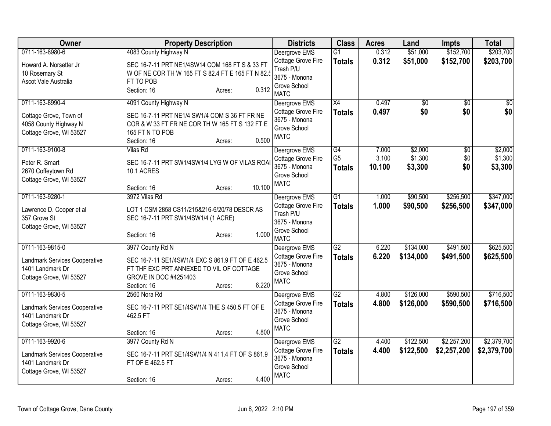| Owner                                                                                           |                                                                                                                                      | <b>Property Description</b> |        | <b>Districts</b>                                                                    | <b>Class</b>                    | <b>Acres</b>    | Land                   | <b>Impts</b>               | <b>Total</b>               |
|-------------------------------------------------------------------------------------------------|--------------------------------------------------------------------------------------------------------------------------------------|-----------------------------|--------|-------------------------------------------------------------------------------------|---------------------------------|-----------------|------------------------|----------------------------|----------------------------|
| 0711-163-8980-6                                                                                 | 4083 County Highway N                                                                                                                |                             |        | Deergrove EMS                                                                       | $\overline{G1}$                 | 0.312           | \$51,000               | \$152,700                  | \$203,700                  |
| Howard A. Norsetter Jr<br>10 Rosemary St<br>Ascot Vale Australia                                | SEC 16-7-11 PRT NE1/4SW14 COM 168 FT S & 33 FT<br>W OF NE COR TH W 165 FT S 82.4 FT E 165 FT N 82.5<br>FT TO POB<br>Section: 16      | Acres:                      | 0.312  | Cottage Grove Fire<br>Trash P/U<br>3675 - Monona<br>Grove School<br><b>MATC</b>     | <b>Totals</b>                   | 0.312           | \$51,000               | \$152,700                  | \$203,700                  |
| 0711-163-8990-4                                                                                 | 4091 County Highway N                                                                                                                |                             |        | Deergrove EMS                                                                       | X4                              | 0.497           | $\overline{50}$        | $\overline{50}$            | $\overline{50}$            |
| Cottage Grove, Town of<br>4058 County Highway N<br>Cottage Grove, WI 53527                      | SEC 16-7-11 PRT NE1/4 SW1/4 COM S 36 FT FR NE<br>COR & W 33 FT FR NE COR TH W 165 FT S 132 FT E<br>165 FT N TO POB<br>Section: 16    | Acres:                      | 0.500  | Cottage Grove Fire<br>3675 - Monona<br>Grove School<br><b>MATC</b>                  | <b>Totals</b>                   | 0.497           | \$0                    | \$0                        | \$0                        |
| 0711-163-9100-8                                                                                 | <b>Vilas Rd</b>                                                                                                                      |                             |        | Deergrove EMS                                                                       | $\overline{G4}$                 | 7.000           | \$2,000                | $\overline{50}$            | \$2,000                    |
| Peter R. Smart<br>2670 Coffeytown Rd<br>Cottage Grove, WI 53527                                 | SEC 16-7-11 PRT SW1/4SW1/4 LYG W OF VILAS ROAI<br>10.1 ACRES                                                                         |                             |        | Cottage Grove Fire<br>3675 - Monona<br>Grove School                                 | G <sub>5</sub><br><b>Totals</b> | 3.100<br>10.100 | \$1,300<br>\$3,300     | \$0<br>\$0                 | \$1,300<br>\$3,300         |
|                                                                                                 | Section: 16                                                                                                                          | Acres:                      | 10.100 | <b>MATC</b>                                                                         |                                 |                 |                        |                            |                            |
| 0711-163-9280-1                                                                                 | 3972 Vilas Rd                                                                                                                        |                             |        | Deergrove EMS                                                                       | $\overline{G1}$                 | 1.000           | \$90,500               | \$256,500                  | \$347,000                  |
| Lawrence D. Cooper et al<br>357 Grove St<br>Cottage Grove, WI 53527                             | LOT 1 CSM 2858 CS11/215&216-6/20/78 DESCR AS<br>SEC 16-7-11 PRT SW1/4SW1/4 (1 ACRE)                                                  |                             |        | Cottage Grove Fire<br>Trash P/U<br>3675 - Monona                                    | <b>Totals</b>                   | 1.000           | \$90,500               | \$256,500                  | \$347,000                  |
|                                                                                                 | Section: 16                                                                                                                          | Acres:                      | 1.000  | Grove School<br><b>MATC</b>                                                         |                                 |                 |                        |                            |                            |
| 0711-163-9815-0                                                                                 | 3977 County Rd N                                                                                                                     |                             |        | Deergrove EMS                                                                       | $\overline{G2}$                 | 6.220           | \$134,000              | \$491,500                  | \$625,500                  |
| Landmark Services Cooperative<br>1401 Landmark Dr<br>Cottage Grove, WI 53527                    | SEC 16-7-11 SE1/4SW1/4 EXC S 861.9 FT OF E 462.5<br>FT THF EXC PRT ANNEXED TO VIL OF COTTAGE<br>GROVE IN DOC #4251403<br>Section: 16 | Acres:                      | 6.220  | Cottage Grove Fire<br>3675 - Monona<br>Grove School<br><b>MATC</b>                  | <b>Totals</b>                   | 6.220           | \$134,000              | \$491,500                  | \$625,500                  |
| 0711-163-9830-5                                                                                 | 2560 Nora Rd                                                                                                                         |                             |        | Deergrove EMS                                                                       | $\overline{G2}$                 | 4.800           | \$126,000              | \$590,500                  | \$716,500                  |
| Landmark Services Cooperative<br>1401 Landmark Dr<br>Cottage Grove, WI 53527                    | SEC 16-7-11 PRT SE1/4SW1/4 THE S 450.5 FT OF E<br>462.5 FT                                                                           |                             |        | Cottage Grove Fire<br>3675 - Monona<br>Grove School<br><b>MATC</b>                  | <b>Totals</b>                   | 4.800           | \$126,000              | \$590,500                  | \$716,500                  |
|                                                                                                 | Section: 16                                                                                                                          | Acres:                      | 4.800  |                                                                                     |                                 |                 |                        |                            |                            |
| 0711-163-9920-6<br>Landmark Services Cooperative<br>1401 Landmark Dr<br>Cottage Grove, WI 53527 | 3977 County Rd N<br>SEC 16-7-11 PRT SE1/4SW1/4 N 411.4 FT OF S 861.9<br>FT OF E 462.5 FT<br>Section: 16                              | Acres:                      | 4.400  | Deergrove EMS<br>Cottage Grove Fire<br>3675 - Monona<br>Grove School<br><b>MATC</b> | G2<br><b>Totals</b>             | 4.400<br>4.400  | \$122,500<br>\$122,500 | \$2,257,200<br>\$2,257,200 | \$2,379,700<br>\$2,379,700 |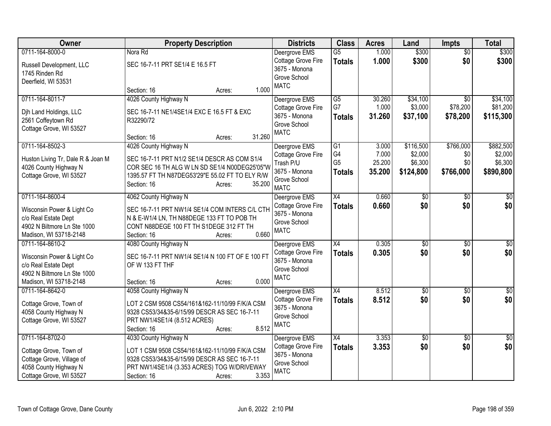| Owner                                              | <b>Property Description</b>                                                                  | <b>Districts</b>                    | <b>Class</b>    | <b>Acres</b> | Land            | <b>Impts</b>    | <b>Total</b> |
|----------------------------------------------------|----------------------------------------------------------------------------------------------|-------------------------------------|-----------------|--------------|-----------------|-----------------|--------------|
| 0711-164-8000-0                                    | Nora Rd                                                                                      | Deergrove EMS                       | $\overline{G5}$ | 1.000        | \$300           | $\overline{50}$ | \$300        |
| Russell Development, LLC                           | SEC 16-7-11 PRT SE1/4 E 16.5 FT                                                              | Cottage Grove Fire                  | <b>Totals</b>   | 1.000        | \$300           | \$0             | \$300        |
| 1745 Rinden Rd                                     |                                                                                              | 3675 - Monona                       |                 |              |                 |                 |              |
| Deerfield, WI 53531                                |                                                                                              | Grove School                        |                 |              |                 |                 |              |
|                                                    | 1.000<br>Section: 16<br>Acres:                                                               | <b>MATC</b>                         |                 |              |                 |                 |              |
| 0711-164-8011-7                                    | 4026 County Highway N                                                                        | Deergrove EMS                       | G5              | 30.260       | \$34,100        | $\overline{50}$ | \$34,100     |
| Dih Land Holdings, LLC                             | SEC 16-7-11 NE1/4SE1/4 EXC E 16.5 FT & EXC                                                   | Cottage Grove Fire                  | G7              | 1.000        | \$3,000         | \$78,200        | \$81,200     |
| 2561 Coffeytown Rd                                 | R32290/72                                                                                    | 3675 - Monona                       | <b>Totals</b>   | 31.260       | \$37,100        | \$78,200        | \$115,300    |
| Cottage Grove, WI 53527                            |                                                                                              | Grove School                        |                 |              |                 |                 |              |
|                                                    | 31.260<br>Section: 16<br>Acres:                                                              | <b>MATC</b>                         |                 |              |                 |                 |              |
| 0711-164-8502-3                                    | 4026 County Highway N                                                                        | Deergrove EMS                       | $\overline{G1}$ | 3.000        | \$116,500       | \$766,000       | \$882,500    |
| Huston Living Tr, Dale R & Joan M                  | SEC 16-7-11 PRT N1/2 SE1/4 DESCR AS COM S1/4                                                 | Cottage Grove Fire                  | G4              | 7.000        | \$2,000         | \$0             | \$2,000      |
| 4026 County Highway N                              | COR SEC 16 TH ALG W LN SD SE1/4 N00DEG25'05"W                                                | Trash P/U                           | G <sub>5</sub>  | 25.200       | \$6,300         | \$0             | \$6,300      |
| Cottage Grove, WI 53527                            | 1395.57 FT TH N87DEG53'29"E 55.02 FT TO ELY R/W                                              | 3675 - Monona                       | <b>Totals</b>   | 35.200       | \$124,800       | \$766,000       | \$890,800    |
|                                                    | 35.200<br>Section: 16<br>Acres:                                                              | Grove School<br><b>MATC</b>         |                 |              |                 |                 |              |
| 0711-164-8600-4                                    | 4062 County Highway N                                                                        | Deergrove EMS                       | $\overline{X4}$ | 0.660        | $\overline{50}$ | $\overline{50}$ | \$0          |
|                                                    |                                                                                              | Cottage Grove Fire                  | <b>Totals</b>   | 0.660        | \$0             | \$0             | \$0          |
| Wisconsin Power & Light Co<br>c/o Real Estate Dept | SEC 16-7-11 PRT NW1/4 SE1/4 COM INTERS C/L CTH<br>N & E-W1/4 LN, TH N88DEGE 133 FT TO POB TH | 3675 - Monona                       |                 |              |                 |                 |              |
| 4902 N Biltmore Ln Ste 1000                        | CONT N88DEGE 100 FT TH S1DEGE 312 FT TH                                                      | Grove School                        |                 |              |                 |                 |              |
| Madison, WI 53718-2148                             | 0.660<br>Section: 16<br>Acres:                                                               | <b>MATC</b>                         |                 |              |                 |                 |              |
| 0711-164-8610-2                                    | 4080 County Highway N                                                                        | Deergrove EMS                       | X4              | 0.305        | $\overline{50}$ | \$0             | \$0          |
|                                                    |                                                                                              | Cottage Grove Fire                  | <b>Totals</b>   | 0.305        | \$0             | \$0             | \$0          |
| Wisconsin Power & Light Co                         | SEC 16-7-11 PRT NW1/4 SE1/4 N 100 FT OF E 100 FT                                             | 3675 - Monona                       |                 |              |                 |                 |              |
| c/o Real Estate Dept                               | OF W 133 FT THF                                                                              | Grove School                        |                 |              |                 |                 |              |
| 4902 N Biltmore Ln Ste 1000                        | 0.000                                                                                        | <b>MATC</b>                         |                 |              |                 |                 |              |
| Madison, WI 53718-2148<br>0711-164-8642-0          | Section: 16<br>Acres:                                                                        |                                     |                 |              |                 |                 |              |
|                                                    | 4058 County Highway N                                                                        | Deergrove EMS<br>Cottage Grove Fire | X4              | 8.512        | \$0             | $\sqrt[6]{}$    | \$0          |
| Cottage Grove, Town of                             | LOT 2 CSM 9508 CS54/161&162-11/10/99 F/K/A CSM                                               | 3675 - Monona                       | <b>Totals</b>   | 8.512        | \$0             | \$0             | \$0          |
| 4058 County Highway N                              | 9328 CS53/34&35-6/15/99 DESCR AS SEC 16-7-11                                                 | Grove School                        |                 |              |                 |                 |              |
| Cottage Grove, WI 53527                            | PRT NW1/4SE1/4 (8.512 ACRES)                                                                 | <b>MATC</b>                         |                 |              |                 |                 |              |
|                                                    | 8.512<br>Section: 16<br>Acres:                                                               |                                     |                 |              |                 |                 |              |
| 0711-164-8702-0                                    | 4030 County Highway N                                                                        | Deergrove EMS                       | $\overline{X4}$ | 3.353        | $\overline{50}$ | \$0             | \$0          |
| Cottage Grove, Town of                             | LOT 1 CSM 9508 CS54/161&162-11/10/99 F/K/A CSM                                               | <b>Cottage Grove Fire</b>           | <b>Totals</b>   | 3.353        | \$0             | \$0             | \$0          |
| Cottage Grove, Village of                          | 9328 CS53/34&35-6/15/99 DESCR AS SEC 16-7-11                                                 | 3675 - Monona                       |                 |              |                 |                 |              |
| 4058 County Highway N                              | PRT NW1/4SE1/4 (3.353 ACRES) TOG W/DRIVEWAY                                                  | Grove School<br><b>MATC</b>         |                 |              |                 |                 |              |
| Cottage Grove, WI 53527                            | 3.353<br>Section: 16<br>Acres:                                                               |                                     |                 |              |                 |                 |              |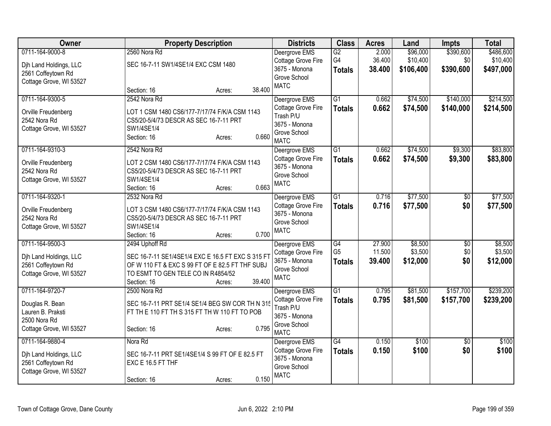| <b>Owner</b>                                                                                       | <b>Property Description</b>                                                                                                                                                                     | <b>Districts</b>                                                                                 | <b>Class</b>                                       | <b>Acres</b>               | Land                              | <b>Impts</b>                  | <b>Total</b>                       |
|----------------------------------------------------------------------------------------------------|-------------------------------------------------------------------------------------------------------------------------------------------------------------------------------------------------|--------------------------------------------------------------------------------------------------|----------------------------------------------------|----------------------------|-----------------------------------|-------------------------------|------------------------------------|
| 0711-164-9000-8<br>Dih Land Holdings, LLC<br>2561 Coffeytown Rd<br>Cottage Grove, WI 53527         | 2560 Nora Rd<br>SEC 16-7-11 SW1/4SE1/4 EXC CSM 1480                                                                                                                                             | Deergrove EMS<br>Cottage Grove Fire<br>3675 - Monona<br>Grove School<br><b>MATC</b>              | G2<br>G4<br><b>Totals</b>                          | 2.000<br>36.400<br>38.400  | \$96,000<br>\$10,400<br>\$106,400 | \$390,600<br>\$0<br>\$390,600 | \$486,600<br>\$10,400<br>\$497,000 |
| 0711-164-9300-5<br>Orville Freudenberg<br>2542 Nora Rd                                             | 38.400<br>Section: 16<br>Acres:<br>2542 Nora Rd<br>LOT 1 CSM 1480 CS6/177-7/17/74 F/K/A CSM 1143<br>CS5/20-5/4/73 DESCR AS SEC 16-7-11 PRT                                                      | Deergrove EMS<br>Cottage Grove Fire<br>Trash P/U<br>3675 - Monona                                | $\overline{G1}$<br><b>Totals</b>                   | 0.662<br>0.662             | \$74,500<br>\$74,500              | \$140,000<br>\$140,000        | \$214,500<br>\$214,500             |
| Cottage Grove, WI 53527<br>0711-164-9310-3                                                         | SW1/4SE1/4<br>0.660<br>Section: 16<br>Acres:<br>2542 Nora Rd                                                                                                                                    | Grove School<br><b>MATC</b><br>Deergrove EMS                                                     | $\overline{G1}$                                    | 0.662                      | \$74,500                          | \$9,300                       | \$83,800                           |
| Orville Freudenberg<br>2542 Nora Rd<br>Cottage Grove, WI 53527                                     | LOT 2 CSM 1480 CS6/177-7/17/74 F/K/A CSM 1143<br>CS5/20-5/4/73 DESCR AS SEC 16-7-11 PRT<br>SW1/4SE1/4<br>0.663<br>Section: 16<br>Acres:                                                         | Cottage Grove Fire<br>3675 - Monona<br>Grove School<br><b>MATC</b>                               | <b>Totals</b>                                      | 0.662                      | \$74,500                          | \$9,300                       | \$83,800                           |
| 0711-164-9320-1<br>Orville Freudenberg<br>2542 Nora Rd<br>Cottage Grove, WI 53527                  | 2532 Nora Rd<br>LOT 3 CSM 1480 CS6/177-7/17/74 F/K/A CSM 1143<br>CS5/20-5/4/73 DESCR AS SEC 16-7-11 PRT<br>SW1/4SE1/4<br>0.700<br>Section: 16<br>Acres:                                         | Deergrove EMS<br>Cottage Grove Fire<br>3675 - Monona<br>Grove School<br><b>MATC</b>              | $\overline{G1}$<br><b>Totals</b>                   | 0.716<br>0.716             | \$77,500<br>\$77,500              | $\overline{50}$<br>\$0        | \$77,500<br>\$77,500               |
| 0711-164-9500-3<br>Dih Land Holdings, LLC<br>2561 Coffeytown Rd<br>Cottage Grove, WI 53527         | 2494 Uphoff Rd<br>SEC 16-7-11 SE1/4SE1/4 EXC E 16.5 FT EXC S 315 FT<br>OF W 110 FT & EXC S 99 FT OF E 82.5 FT THF SUBJ<br>TO ESMT TO GEN TELE CO IN R4854/52<br>39.400<br>Section: 16<br>Acres: | Deergrove EMS<br>Cottage Grove Fire<br>3675 - Monona<br>Grove School<br><b>MATC</b>              | $\overline{G4}$<br>G <sub>5</sub><br><b>Totals</b> | 27.900<br>11.500<br>39.400 | \$8,500<br>\$3,500<br>\$12,000    | \$0<br>\$0<br>\$0             | \$8,500<br>\$3,500<br>\$12,000     |
| 0711-164-9720-7<br>Douglas R. Bean<br>Lauren B. Praksti<br>2500 Nora Rd<br>Cottage Grove, WI 53527 | 2500 Nora Rd<br>SEC 16-7-11 PRT SE1/4 SE1/4 BEG SW COR TH N 315<br>FT TH E 110 FT TH S 315 FT TH W 110 FT TO POB<br>0.795<br>Section: 16<br>Acres:                                              | Deergrove EMS<br>Cottage Grove Fire<br>Trash P/U<br>3675 - Monona<br>Grove School<br><b>MATC</b> | $\overline{G1}$<br><b>Totals</b>                   | 0.795<br>0.795             | \$81,500<br>\$81,500              | \$157,700<br>\$157,700        | \$239,200<br>\$239,200             |
| 0711-164-9880-4<br>Dih Land Holdings, LLC<br>2561 Coffeytown Rd<br>Cottage Grove, WI 53527         | Nora Rd<br>SEC 16-7-11 PRT SE1/4SE1/4 S 99 FT OF E 82.5 FT<br>EXC E 16.5 FT THF<br>0.150<br>Section: 16<br>Acres:                                                                               | Deergrove EMS<br>Cottage Grove Fire<br>3675 - Monona<br>Grove School<br><b>MATC</b>              | $\overline{G4}$<br><b>Totals</b>                   | 0.150<br>0.150             | \$100<br>\$100                    | $\overline{30}$<br>\$0        | \$100<br>\$100                     |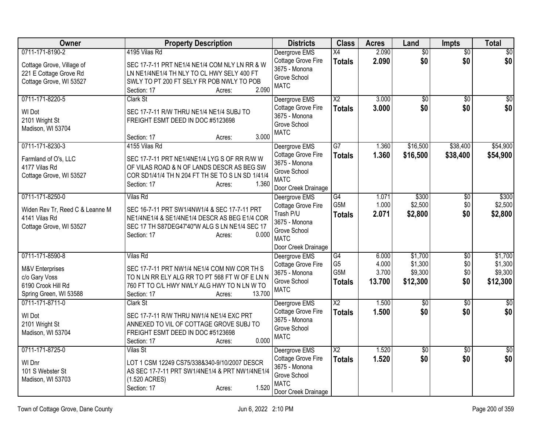| Owner                                                                                                          | <b>Property Description</b>                                                                                                                                                                        | <b>Districts</b>                                                                                                        | <b>Class</b>                                              | <b>Acres</b>                      | Land                                      | Impts                                | <b>Total</b>                              |
|----------------------------------------------------------------------------------------------------------------|----------------------------------------------------------------------------------------------------------------------------------------------------------------------------------------------------|-------------------------------------------------------------------------------------------------------------------------|-----------------------------------------------------------|-----------------------------------|-------------------------------------------|--------------------------------------|-------------------------------------------|
| 0711-171-8190-2<br>Cottage Grove, Village of<br>221 E Cottage Grove Rd<br>Cottage Grove, WI 53527              | 4195 Vilas Rd<br>SEC 17-7-11 PRT NE1/4 NE1/4 COM NLY LN RR & W<br>LN NE1/4NE1/4 TH NLY TO CL HWY SELY 400 FT<br>SWLY TO PT 200 FT SELY FR POB NWLY TO POB<br>2.090<br>Section: 17<br>Acres:        | Deergrove EMS<br>Cottage Grove Fire<br>3675 - Monona<br>Grove School<br><b>MATC</b>                                     | $\overline{X4}$<br><b>Totals</b>                          | 2.090<br>2.090                    | $\overline{50}$<br>\$0                    | $\overline{60}$<br>\$0               | $\overline{50}$<br>\$0                    |
| 0711-171-8220-5<br>WI Dot<br>2101 Wright St<br>Madison, WI 53704                                               | Clark St<br>SEC 17-7-11 R/W THRU NE1/4 NE1/4 SUBJ TO<br>FREIGHT ESMT DEED IN DOC #5123698<br>3.000<br>Section: 17<br>Acres:                                                                        | Deergrove EMS<br>Cottage Grove Fire<br>3675 - Monona<br>Grove School<br><b>MATC</b>                                     | $\overline{X2}$<br><b>Totals</b>                          | 3.000<br>3.000                    | \$0<br>\$0                                | $\overline{50}$<br>\$0               | $\overline{50}$<br>\$0                    |
| 0711-171-8230-3<br>Farmland of O's, LLC<br>4177 Vilas Rd<br>Cottage Grove, WI 53527                            | 4155 Vilas Rd<br>SEC 17-7-11 PRT NE1/4NE1/4 LYG S OF RR R/W W<br>OF VILAS ROAD & N OF LANDS DESCR AS BEG SW<br>COR SD1/41/4 TH N 204 FT TH SE TO S LN SD 1/41/4<br>Section: 17<br>1.360<br>Acres:  | Deergrove EMS<br>Cottage Grove Fire<br>3675 - Monona<br>Grove School<br><b>MATC</b><br>Door Creek Drainage              | $\overline{G7}$<br><b>Totals</b>                          | 1.360<br>1.360                    | \$16,500<br>\$16,500                      | \$38,400<br>\$38,400                 | \$54,900<br>\$54,900                      |
| 0711-171-8250-0<br>Widen Rev Tr, Reed C & Leanne M<br>4141 Vilas Rd<br>Cottage Grove, WI 53527                 | Vilas Rd<br>SEC 16-7-11 PRT SW1/4NW1/4 & SEC 17-7-11 PRT<br>NE1/4NE1/4 & SE1/4NE1/4 DESCR AS BEG E1/4 COR<br>SEC 17 TH S87DEG47'40"W ALG S LN NE1/4 SEC 17<br>Section: 17<br>0.000<br>Acres:       | Deergrove EMS<br>Cottage Grove Fire<br>Trash P/U<br>3675 - Monona<br>Grove School<br><b>MATC</b><br>Door Creek Drainage | G4<br>G5M<br><b>Totals</b>                                | 1.071<br>1.000<br>2.071           | \$300<br>\$2,500<br>\$2,800               | $\overline{50}$<br>\$0<br>\$0        | \$300<br>\$2,500<br>\$2,800               |
| 0711-171-8590-8<br><b>M&amp;V</b> Enterprises<br>c/o Gary Voss<br>6190 Crook Hill Rd<br>Spring Green, WI 53588 | <b>Vilas Rd</b><br>SEC 17-7-11 PRT NW1/4 NE1/4 COM NW COR TH S<br>TO N LN RR ELY ALG RR TO PT 568 FT W OF E LN N<br>760 FT TO C/L HWY NWLY ALG HWY TO N LN W TO<br>13.700<br>Section: 17<br>Acres: | Deergrove EMS<br>Cottage Grove Fire<br>3675 - Monona<br>Grove School<br><b>MATC</b>                                     | G4<br>G <sub>5</sub><br>G <sub>5</sub> M<br><b>Totals</b> | 6.000<br>4.000<br>3.700<br>13.700 | \$1,700<br>\$1,300<br>\$9,300<br>\$12,300 | $\overline{50}$<br>\$0<br>\$0<br>\$0 | \$1,700<br>\$1,300<br>\$9,300<br>\$12,300 |
| 0711-171-8711-0<br>WI Dot<br>2101 Wright St<br>Madison, WI 53704                                               | Clark St<br>SEC 17-7-11 R/W THRU NW1/4 NE1/4 EXC PRT<br>ANNEXED TO VIL OF COTTAGE GROVE SUBJ TO<br>FREIGHT ESMT DEED IN DOC #5123698<br>0.000<br>Section: 17<br>Acres:                             | Deergrove EMS<br>Cottage Grove Fire<br>3675 - Monona<br>Grove School<br><b>MATC</b>                                     | $\overline{\text{X2}}$<br><b>Totals</b>                   | 1.500<br>1.500                    | $\overline{60}$<br>\$0                    | $\overline{30}$<br>\$0               | $\overline{50}$<br>\$0                    |
| 0711-171-8725-0<br>WI Dnr<br>101 S Webster St<br>Madison, WI 53703                                             | <b>Vilas St</b><br>LOT 1 CSM 12249 CS75/338&340-9/10/2007 DESCR<br>AS SEC 17-7-11 PRT SW1/4NE1/4 & PRT NW1/4NE1/4<br>(1.520 ACRES)<br>1.520<br>Section: 17<br>Acres:                               | Deergrove EMS<br>Cottage Grove Fire<br>3675 - Monona<br>Grove School<br><b>MATC</b><br>Door Creek Drainage              | $\overline{X2}$<br><b>Totals</b>                          | 1.520<br>1.520                    | $\overline{50}$<br>\$0                    | $\overline{50}$<br>\$0               | \$0<br>\$0                                |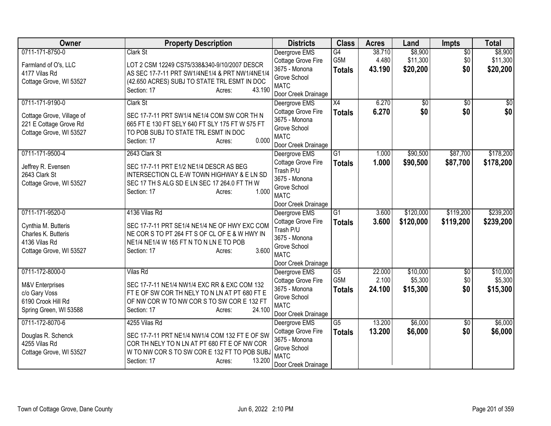| <b>Owner</b>                                                                                              | <b>Property Description</b>                                                                                                                                                                        | <b>Districts</b>                                                                                                        | <b>Class</b>                                         | <b>Acres</b>              | Land                            | Impts                         | <b>Total</b>                    |
|-----------------------------------------------------------------------------------------------------------|----------------------------------------------------------------------------------------------------------------------------------------------------------------------------------------------------|-------------------------------------------------------------------------------------------------------------------------|------------------------------------------------------|---------------------------|---------------------------------|-------------------------------|---------------------------------|
| 0711-171-8750-0<br>Farmland of O's, LLC                                                                   | Clark St<br>LOT 2 CSM 12249 CS75/338&340-9/10/2007 DESCR                                                                                                                                           | Deergrove EMS<br>Cottage Grove Fire                                                                                     | G4<br>G5M                                            | 38.710<br>4.480           | \$8,900<br>\$11,300             | $\overline{50}$<br>\$0        | \$8,900<br>\$11,300             |
| 4177 Vilas Rd<br>Cottage Grove, WI 53527                                                                  | AS SEC 17-7-11 PRT SW1/4NE1/4 & PRT NW1/4NE1/4<br>(42.650 ACRES) SUBJ TO STATE TRL ESMT IN DOC<br>43.190<br>Section: 17<br>Acres:                                                                  | 3675 - Monona<br>Grove School<br><b>MATC</b><br>Door Creek Drainage                                                     | <b>Totals</b>                                        | 43.190                    | \$20,200                        | \$0                           | \$20,200                        |
| 0711-171-9190-0<br>Cottage Grove, Village of<br>221 E Cottage Grove Rd<br>Cottage Grove, WI 53527         | Clark St<br>SEC 17-7-11 PRT SW1/4 NE1/4 COM SW COR TH N<br>665 FT E 130 FT SELY 640 FT SLY 175 FT W 575 FT<br>TO POB SUBJ TO STATE TRL ESMT IN DOC<br>0.000<br>Section: 17<br>Acres:               | Deergrove EMS<br>Cottage Grove Fire<br>3675 - Monona<br>Grove School<br><b>MATC</b><br>Door Creek Drainage              | $\overline{X4}$<br><b>Totals</b>                     | 6.270<br>6.270            | \$0<br>\$0                      | $\overline{50}$<br>\$0        | \$0<br>\$0                      |
| 0711-171-9500-4<br>Jeffrey R. Evensen<br>2643 Clark St<br>Cottage Grove, WI 53527                         | 2643 Clark St<br>SEC 17-7-11 PRT E1/2 NE1/4 DESCR AS BEG<br>INTERSECTION CL E-W TOWN HIGHWAY & E LN SD<br>SEC 17 TH S ALG SD E LN SEC 17 264.0 FT TH W<br>1.000<br>Section: 17<br>Acres:           | Deergrove EMS<br>Cottage Grove Fire<br>Trash P/U<br>3675 - Monona<br>Grove School<br><b>MATC</b><br>Door Creek Drainage | $\overline{G1}$<br><b>Totals</b>                     | 1.000<br>1.000            | \$90,500<br>\$90,500            | \$87,700<br>\$87,700          | \$178,200<br>\$178,200          |
| 0711-171-9520-0<br>Cynthia M. Butteris<br>Charles K. Butteris<br>4136 Vilas Rd<br>Cottage Grove, WI 53527 | 4136 Vilas Rd<br>SEC 17-7-11 PRT SE1/4 NE1/4 NE OF HWY EXC COM<br>NE COR S TO PT 264 FT S OF CL OF E & W HWY IN<br>NE1/4 NE1/4 W 165 FT N TO N LN E TO POB<br>3.600<br>Section: 17<br>Acres:       | Deergrove EMS<br>Cottage Grove Fire<br>Trash P/U<br>3675 - Monona<br>Grove School<br><b>MATC</b><br>Door Creek Drainage | $\overline{G1}$<br><b>Totals</b>                     | 3.600<br>3.600            | \$120,000<br>\$120,000          | \$119,200<br>\$119,200        | \$239,200<br>\$239,200          |
| 0711-172-8000-0<br>M&V Enterprises<br>c/o Gary Voss<br>6190 Crook Hill Rd<br>Spring Green, WI 53588       | <b>Vilas Rd</b><br>SEC 17-7-11 NE1/4 NW1/4 EXC RR & EXC COM 132<br>FT E OF SW COR TH NELY TO N LN AT PT 680 FT E<br>OF NW COR W TO NW COR S TO SW COR E 132 FT<br>24.100<br>Section: 17<br>Acres:  | Deergrove EMS<br>Cottage Grove Fire<br>3675 - Monona<br>Grove School<br><b>MATC</b><br>Door Creek Drainage              | $\overline{G5}$<br>G <sub>5</sub> M<br><b>Totals</b> | 22.000<br>2.100<br>24.100 | \$10,000<br>\$5,300<br>\$15,300 | $\overline{50}$<br>\$0<br>\$0 | \$10,000<br>\$5,300<br>\$15,300 |
| 0711-172-8070-6<br>Douglas R. Schenck<br>4255 Vilas Rd<br>Cottage Grove, WI 53527                         | 4255 Vilas Rd<br>SEC 17-7-11 PRT NE1/4 NW1/4 COM 132 FT E OF SW<br>COR TH NELY TO N LN AT PT 680 FT E OF NW COR<br>W TO NW COR S TO SW COR E 132 FT TO POB SUBJ<br>13.200<br>Section: 17<br>Acres: | Deergrove EMS<br>Cottage Grove Fire<br>3675 - Monona<br>Grove School<br><b>MATC</b><br>Door Creek Drainage              | G5<br><b>Totals</b>                                  | 13.200<br>13.200          | \$6,000<br>\$6,000              | \$0<br>\$0                    | \$6,000<br>\$6,000              |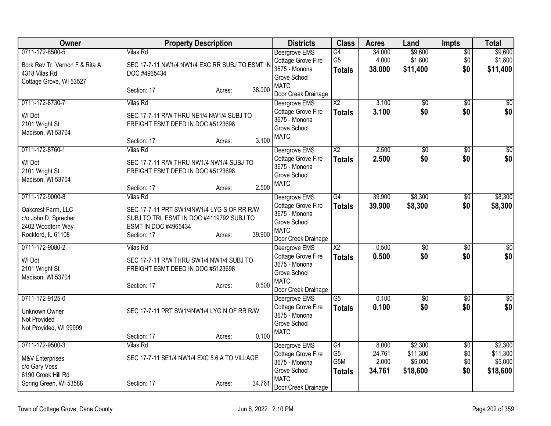| Owner                                             |                                                                               | <b>Property Description</b> |        | <b>Districts</b>                                                   | <b>Class</b>          | <b>Acres</b>    | Land                | <b>Impts</b>    | <b>Total</b>        |
|---------------------------------------------------|-------------------------------------------------------------------------------|-----------------------------|--------|--------------------------------------------------------------------|-----------------------|-----------------|---------------------|-----------------|---------------------|
| 0711-172-8500-5<br>Bork Rev Tr, Vernon F & Rita A | <b>Vilas Rd</b><br>SEC 17-7-11 NW1/4 NW1/4 EXC RR SUBJ TO ESMT IN             |                             |        | Deergrove EMS<br>Cottage Grove Fire                                | G4<br>G <sub>5</sub>  | 34.000<br>4.000 | \$9,600<br>\$1,800  | \$0<br>\$0      | \$9,600<br>\$1,800  |
| 4318 Vilas Rd<br>Cottage Grove, WI 53527          | DOC #4965434                                                                  |                             |        | 3675 - Monona<br>Grove School                                      | <b>Totals</b>         | 38.000          | \$11,400            | \$0             | \$11,400            |
|                                                   | Section: 17                                                                   | Acres:                      | 38.000 | <b>MATC</b><br>Door Creek Drainage                                 |                       |                 |                     |                 |                     |
| 0711-172-8730-7                                   | Vilas Rd                                                                      |                             |        | Deergrove EMS                                                      | $\overline{\chi_2}$   | 3.100           | $\overline{50}$     | $\overline{50}$ | $\overline{\$0}$    |
| WI Dot<br>2101 Wright St<br>Madison, WI 53704     | SEC 17-7-11 R/W THRU NE1/4 NW1/4 SUBJ TO<br>FREIGHT ESMT DEED IN DOC #5123698 |                             |        | Cottage Grove Fire<br>3675 - Monona<br>Grove School<br><b>MATC</b> | <b>Totals</b>         | 3.100           | \$0                 | \$0             | \$0                 |
|                                                   | Section: 17                                                                   | Acres:                      | 3.100  |                                                                    |                       |                 |                     |                 |                     |
| 0711-172-8760-1                                   | <b>Vilas Rd</b>                                                               |                             |        | Deergrove EMS                                                      | $\overline{X2}$       | 2.500           | $\overline{50}$     | $\overline{50}$ | $\overline{30}$     |
| WI Dot                                            | SEC 17-7-11 R/W THRU NW1/4 NW1/4 SUBJ TO                                      |                             |        | Cottage Grove Fire<br>3675 - Monona                                | <b>Totals</b>         | 2.500           | \$0                 | \$0             | \$0                 |
| 2101 Wright St                                    | FREIGHT ESMT DEED IN DOC #5123698                                             |                             |        | Grove School                                                       |                       |                 |                     |                 |                     |
| Madison, WI 53704                                 |                                                                               |                             | 2.500  | <b>MATC</b>                                                        |                       |                 |                     |                 |                     |
| 0711-172-9000-8                                   | Section: 17<br>Vilas Rd                                                       | Acres:                      |        | Deergrove EMS                                                      | $\overline{G4}$       | 39.900          | \$8,300             | $\overline{50}$ | \$8,300             |
|                                                   |                                                                               |                             |        | Cottage Grove Fire                                                 | <b>Totals</b>         | 39.900          | \$8,300             | \$0             | \$8,300             |
| Oakcrest Farm, LLC                                | SEC 17-7-11 PRT SW1/4NW1/4 LYG S OF RR R/W                                    |                             |        | 3675 - Monona                                                      |                       |                 |                     |                 |                     |
| c/o John D. Sprecher<br>2402 Woodfern Way         | SUBJ TO TRL ESMT IN DOC #4119792 SUBJ TO<br>ESMT IN DOC #4965434              |                             |        | Grove School                                                       |                       |                 |                     |                 |                     |
| Rockford, IL 61108                                | Section: 17                                                                   | Acres:                      | 39.900 | <b>MATC</b><br>Door Creek Drainage                                 |                       |                 |                     |                 |                     |
| 0711-172-9080-2                                   | Vilas Rd                                                                      |                             |        | Deergrove EMS                                                      | $\overline{X2}$       | 0.500           | $\overline{60}$     | $\overline{30}$ | $\sqrt{30}$         |
| WI Dot                                            | SEC 17-7-11 R/W THRU SW1/4 NW1/4 SUBJ TO                                      |                             |        | Cottage Grove Fire                                                 | <b>Totals</b>         | 0.500           | \$0                 | \$0             | \$0                 |
| 2101 Wright St                                    | FREIGHT ESMT DEED IN DOC #5123698                                             |                             |        | 3675 - Monona                                                      |                       |                 |                     |                 |                     |
| Madison, WI 53704                                 |                                                                               |                             |        | Grove School<br><b>MATC</b>                                        |                       |                 |                     |                 |                     |
|                                                   | Section: 17                                                                   | Acres:                      | 0.500  | Door Creek Drainage                                                |                       |                 |                     |                 |                     |
| 0711-172-9125-0                                   |                                                                               |                             |        | Deergrove EMS                                                      | $\overline{G5}$       | 0.100           | $\overline{50}$     | \$0             | $\overline{\$0}$    |
| <b>Unknown Owner</b>                              | SEC 17-7-11 PRT SW1/4NW1/4 LYG N OF RR R/W                                    |                             |        | Cottage Grove Fire                                                 | <b>Totals</b>         | 0.100           | \$0                 | \$0             | \$0                 |
| Not Provided                                      |                                                                               |                             |        | 3675 - Monona                                                      |                       |                 |                     |                 |                     |
| Not Provided, WI 99999                            |                                                                               |                             |        | Grove School<br><b>MATC</b>                                        |                       |                 |                     |                 |                     |
|                                                   | Section: 17                                                                   | Acres:                      | 0.100  |                                                                    |                       |                 |                     |                 |                     |
| 0711-172-9500-3                                   | <b>Vilas Rd</b>                                                               |                             |        | Deergrove EMS                                                      | G4                    | 8.000           | \$2,300             | $\overline{60}$ | \$2,300             |
| M&V Enterprises                                   | SEC 17-7-11 SE1/4 NW1/4 EXC 5.6 A TO VILLAGE                                  |                             |        | Cottage Grove Fire                                                 | G <sub>5</sub><br>G5M | 24.761<br>2.000 | \$11,300            | \$0             | \$11,300            |
| c/o Gary Voss                                     |                                                                               |                             |        | 3675 - Monona<br>Grove School                                      | <b>Totals</b>         | 34.761          | \$5,000<br>\$18,600 | \$0<br>\$0      | \$5,000<br>\$18,600 |
| 6190 Crook Hill Rd                                |                                                                               |                             |        | <b>MATC</b>                                                        |                       |                 |                     |                 |                     |
| Spring Green, WI 53588                            | Section: 17                                                                   | Acres:                      | 34.761 | Door Creek Drainage                                                |                       |                 |                     |                 |                     |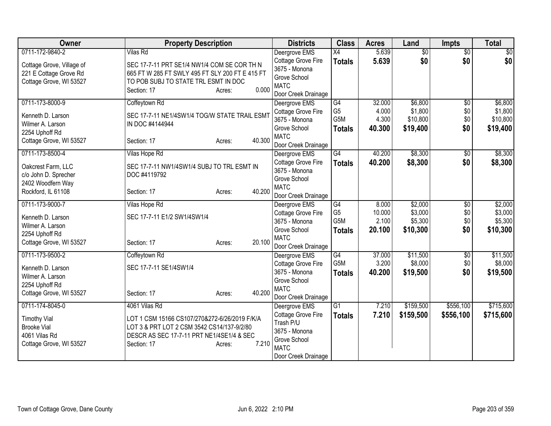| Owner                                 | <b>Property Description</b>                     | <b>Districts</b>                | <b>Class</b>          | <b>Acres</b>   | Land                | <b>Impts</b>    | <b>Total</b>        |
|---------------------------------------|-------------------------------------------------|---------------------------------|-----------------------|----------------|---------------------|-----------------|---------------------|
| 0711-172-9840-2                       | <b>Vilas Rd</b>                                 | Deergrove EMS                   | $\overline{X4}$       | 5.639          | $\overline{50}$     | $\overline{50}$ | $\overline{30}$     |
| Cottage Grove, Village of             | SEC 17-7-11 PRT SE1/4 NW1/4 COM SE COR TH N     | Cottage Grove Fire              | <b>Totals</b>         | 5.639          | \$0                 | \$0             | \$0                 |
| 221 E Cottage Grove Rd                | 665 FT W 285 FT SWLY 495 FT SLY 200 FT E 415 FT | 3675 - Monona                   |                       |                |                     |                 |                     |
| Cottage Grove, WI 53527               | TO POB SUBJ TO STATE TRL ESMT IN DOC            | Grove School                    |                       |                |                     |                 |                     |
|                                       | 0.000<br>Section: 17<br>Acres:                  | <b>MATC</b>                     |                       |                |                     |                 |                     |
|                                       |                                                 | Door Creek Drainage             |                       |                |                     |                 |                     |
| 0711-173-8000-9                       | Coffeytown Rd                                   | Deergrove EMS                   | G4                    | 32.000         | \$6,800             | \$0             | \$6,800             |
| Kenneth D. Larson                     | SEC 17-7-11 NE1/4SW1/4 TOG/W STATE TRAIL ESMT   | Cottage Grove Fire              | G <sub>5</sub><br>G5M | 4.000<br>4.300 | \$1,800<br>\$10,800 | \$0             | \$1,800<br>\$10,800 |
| Wilmer A. Larson                      | IN DOC #4144944                                 | 3675 - Monona<br>Grove School   |                       |                |                     | \$0             |                     |
| 2254 Uphoff Rd                        |                                                 | <b>MATC</b>                     | <b>Totals</b>         | 40.300         | \$19,400            | \$0             | \$19,400            |
| Cottage Grove, WI 53527               | 40.300<br>Section: 17<br>Acres:                 | Door Creek Drainage             |                       |                |                     |                 |                     |
| 0711-173-8500-4                       | Vilas Hope Rd                                   | Deergrove EMS                   | G4                    | 40.200         | \$8,300             | \$0             | \$8,300             |
|                                       |                                                 | Cottage Grove Fire              | <b>Totals</b>         | 40.200         | \$8,300             | \$0             | \$8,300             |
| Oakcrest Farm, LLC                    | SEC 17-7-11 NW1/4SW1/4 SUBJ TO TRL ESMT IN      | 3675 - Monona                   |                       |                |                     |                 |                     |
| c/o John D. Sprecher                  | DOC #4119792                                    | Grove School                    |                       |                |                     |                 |                     |
| 2402 Woodfern Way                     |                                                 | <b>MATC</b>                     |                       |                |                     |                 |                     |
| Rockford, IL 61108                    | 40.200<br>Section: 17<br>Acres:                 | Door Creek Drainage             |                       |                |                     |                 |                     |
| 0711-173-9000-7                       | Vilas Hope Rd                                   | Deergrove EMS                   | G4                    | 8.000          | \$2,000             | $\overline{50}$ | \$2,000             |
|                                       | SEC 17-7-11 E1/2 SW1/4SW1/4                     | Cottage Grove Fire              | G <sub>5</sub>        | 10.000         | \$3,000             | \$0             | \$3,000             |
| Kenneth D. Larson<br>Wilmer A. Larson |                                                 | 3675 - Monona                   | G <sub>5</sub> M      | 2.100          | \$5,300             | \$0             | \$5,300             |
| 2254 Uphoff Rd                        |                                                 | Grove School                    | <b>Totals</b>         | 20.100         | \$10,300            | \$0             | \$10,300            |
| Cottage Grove, WI 53527               | 20.100<br>Section: 17<br>Acres:                 | <b>MATC</b>                     |                       |                |                     |                 |                     |
|                                       |                                                 | Door Creek Drainage             |                       |                |                     |                 |                     |
| 0711-173-9500-2                       | Coffeytown Rd                                   | Deergrove EMS                   | G4                    | 37.000         | \$11,500            | $\overline{50}$ | \$11,500            |
| Kenneth D. Larson                     | SEC 17-7-11 SE1/4SW1/4                          | Cottage Grove Fire              | G <sub>5</sub> M      | 3.200          | \$8,000             | \$0             | \$8,000             |
| Wilmer A. Larson                      |                                                 | 3675 - Monona                   | <b>Totals</b>         | 40.200         | \$19,500            | \$0             | \$19,500            |
| 2254 Uphoff Rd                        |                                                 | Grove School                    |                       |                |                     |                 |                     |
| Cottage Grove, WI 53527               | 40.200<br>Section: 17<br>Acres:                 | <b>MATC</b>                     |                       |                |                     |                 |                     |
|                                       |                                                 | Door Creek Drainage             |                       |                |                     |                 |                     |
| 0711-174-8045-0                       | 4061 Vilas Rd                                   | Deergrove EMS                   | G1                    | 7.210          | \$159,500           | \$556,100       | \$715,600           |
| <b>Timothy Vial</b>                   | LOT 1 CSM 15166 CS107/270&272-6/26/2019 F/K/A   | Cottage Grove Fire<br>Trash P/U | <b>Totals</b>         | 7.210          | \$159,500           | \$556,100       | \$715,600           |
| <b>Brooke Vial</b>                    | LOT 3 & PRT LOT 2 CSM 3542 CS14/137-9/2/80      | 3675 - Monona                   |                       |                |                     |                 |                     |
| 4061 Vilas Rd                         | DESCR AS SEC 17-7-11 PRT NE1/4SE1/4 & SEC       | Grove School                    |                       |                |                     |                 |                     |
| Cottage Grove, WI 53527               | 7.210<br>Section: 17<br>Acres:                  | <b>MATC</b>                     |                       |                |                     |                 |                     |
|                                       |                                                 | Door Creek Drainage             |                       |                |                     |                 |                     |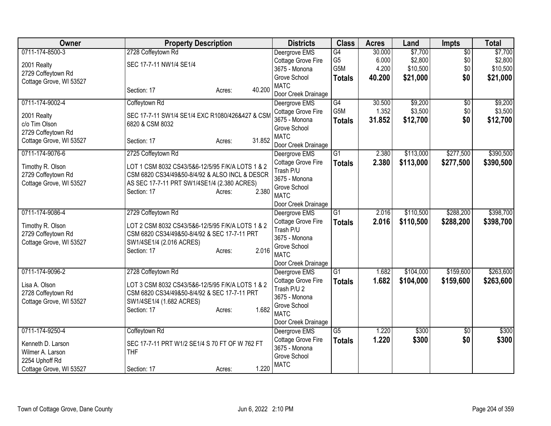| Owner                   | <b>Property Description</b>                      | <b>Districts</b>                    | <b>Class</b>     | <b>Acres</b> | Land      | Impts           | <b>Total</b> |
|-------------------------|--------------------------------------------------|-------------------------------------|------------------|--------------|-----------|-----------------|--------------|
| 0711-174-8500-3         | 2728 Coffeytown Rd                               | Deergrove EMS                       | G4               | 30.000       | \$7,700   | $\overline{50}$ | \$7,700      |
| 2001 Realty             | SEC 17-7-11 NW1/4 SE1/4                          | Cottage Grove Fire                  | G <sub>5</sub>   | 6.000        | \$2,800   | \$0             | \$2,800      |
| 2729 Coffeytown Rd      |                                                  | 3675 - Monona                       | G5M              | 4.200        | \$10,500  | \$0             | \$10,500     |
| Cottage Grove, WI 53527 |                                                  | Grove School                        | <b>Totals</b>    | 40.200       | \$21,000  | \$0             | \$21,000     |
|                         | 40.200<br>Section: 17<br>Acres:                  | <b>MATC</b>                         |                  |              |           |                 |              |
|                         |                                                  | Door Creek Drainage                 |                  |              |           |                 |              |
| 0711-174-9002-4         | Coffeytown Rd                                    | Deergrove EMS                       | $\overline{G4}$  | 30.500       | \$9,200   | $\overline{50}$ | \$9,200      |
| 2001 Realty             | SEC 17-7-11 SW1/4 SE1/4 EXC R1080/426&427 & CSM  | Cottage Grove Fire                  | G <sub>5</sub> M | 1.352        | \$3,500   | \$0             | \$3,500      |
| c/o Tim Olson           | 6820 & CSM 8032                                  | 3675 - Monona                       | <b>Totals</b>    | 31.852       | \$12,700  | \$0             | \$12,700     |
| 2729 Coffeytown Rd      |                                                  | Grove School                        |                  |              |           |                 |              |
| Cottage Grove, WI 53527 | 31.852<br>Section: 17<br>Acres:                  | <b>MATC</b>                         |                  |              |           |                 |              |
|                         |                                                  | Door Creek Drainage                 |                  |              |           |                 |              |
| 0711-174-9076-6         | 2725 Coffeytown Rd                               | Deergrove EMS                       | $\overline{G1}$  | 2.380        | \$113,000 | \$277,500       | \$390,500    |
| Timothy R. Olson        | LOT 1 CSM 8032 CS43/5&6-12/5/95 F/K/A LOTS 1 & 2 | Cottage Grove Fire                  | <b>Totals</b>    | 2.380        | \$113,000 | \$277,500       | \$390,500    |
| 2729 Coffeytown Rd      | CSM 6820 CS34/49&50-8/4/92 & ALSO INCL & DESCR   | Trash P/U                           |                  |              |           |                 |              |
| Cottage Grove, WI 53527 | AS SEC 17-7-11 PRT SW1/4SE1/4 (2.380 ACRES)      | 3675 - Monona                       |                  |              |           |                 |              |
|                         | 2.380<br>Section: 17<br>Acres:                   | Grove School                        |                  |              |           |                 |              |
|                         |                                                  | <b>MATC</b>                         |                  |              |           |                 |              |
|                         |                                                  | Door Creek Drainage                 |                  |              |           |                 |              |
| 0711-174-9086-4         | 2729 Coffeytown Rd                               | Deergrove EMS                       | G1               | 2.016        | \$110,500 | \$288,200       | \$398,700    |
| Timothy R. Olson        | LOT 2 CSM 8032 CS43/5&6-12/5/95 F/K/A LOTS 1 & 2 | Cottage Grove Fire                  | <b>Totals</b>    | 2.016        | \$110,500 | \$288,200       | \$398,700    |
| 2729 Coffeytown Rd      | CSM 6820 CS34/49&50-8/4/92 & SEC 17-7-11 PRT     | Trash P/U                           |                  |              |           |                 |              |
| Cottage Grove, WI 53527 | SW1/4SE1/4 (2.016 ACRES)                         | 3675 - Monona                       |                  |              |           |                 |              |
|                         | 2.016<br>Section: 17<br>Acres:                   | Grove School                        |                  |              |           |                 |              |
|                         |                                                  | <b>MATC</b>                         |                  |              |           |                 |              |
|                         |                                                  | Door Creek Drainage                 |                  |              |           |                 |              |
| 0711-174-9096-2         | 2728 Coffeytown Rd                               | Deergrove EMS                       | $\overline{G1}$  | 1.682        | \$104,000 | \$159,600       | \$263,600    |
| Lisa A. Olson           | LOT 3 CSM 8032 CS43/5&6-12/5/95 F/K/A LOTS 1 & 2 | Cottage Grove Fire                  | <b>Totals</b>    | 1.682        | \$104,000 | \$159,600       | \$263,600    |
| 2728 Coffeytown Rd      | CSM 6820 CS34/49&50-8/4/92 & SEC 17-7-11 PRT     | Trash P/U 2<br>3675 - Monona        |                  |              |           |                 |              |
| Cottage Grove, WI 53527 | SW1/4SE1/4 (1.682 ACRES)                         |                                     |                  |              |           |                 |              |
|                         | 1.682<br>Section: 17<br>Acres:                   | Grove School<br><b>MATC</b>         |                  |              |           |                 |              |
|                         |                                                  |                                     |                  |              |           |                 |              |
| 0711-174-9250-4         | Coffeytown Rd                                    | Door Creek Drainage                 | $\overline{G5}$  | 1.220        | \$300     | \$0             | \$300        |
|                         |                                                  | Deergrove EMS                       |                  |              |           |                 |              |
| Kenneth D. Larson       | SEC 17-7-11 PRT W1/2 SE1/4 S 70 FT OF W 762 FT   | Cottage Grove Fire<br>3675 - Monona | <b>Totals</b>    | 1.220        | \$300     | \$0             | \$300        |
| Wilmer A. Larson        | <b>THF</b>                                       | Grove School                        |                  |              |           |                 |              |
| 2254 Uphoff Rd          |                                                  | <b>MATC</b>                         |                  |              |           |                 |              |
| Cottage Grove, WI 53527 | 1.220<br>Section: 17<br>Acres:                   |                                     |                  |              |           |                 |              |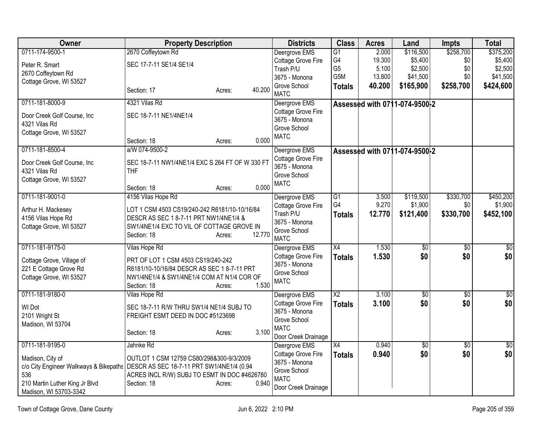| Owner                                                                              | <b>Property Description</b>                     |                  | <b>Districts</b>              | <b>Class</b>         | <b>Acres</b>   | Land                          | Impts           | <b>Total</b> |
|------------------------------------------------------------------------------------|-------------------------------------------------|------------------|-------------------------------|----------------------|----------------|-------------------------------|-----------------|--------------|
| 0711-174-9500-1                                                                    | 2670 Coffeytown Rd                              |                  | Deergrove EMS                 | G1                   | 2.000          | \$116,500                     | \$258,700       | \$375,200    |
| Peter R. Smart                                                                     | SEC 17-7-11 SE1/4 SE1/4                         |                  | Cottage Grove Fire            | G4                   | 19.300         | \$5,400                       | \$0             | \$5,400      |
| 2670 Coffeytown Rd                                                                 |                                                 |                  | Trash P/U                     | G <sub>5</sub>       | 5.100          | \$2,500                       | \$0             | \$2,500      |
| Cottage Grove, WI 53527                                                            |                                                 |                  | 3675 - Monona                 | G5M                  | 13.800         | \$41,500                      | \$0             | \$41,500     |
|                                                                                    | Section: 17                                     | 40.200<br>Acres: | Grove School                  | <b>Totals</b>        | 40.200         | \$165,900                     | \$258,700       | \$424,600    |
|                                                                                    |                                                 |                  | <b>MATC</b>                   |                      |                |                               |                 |              |
| 0711-181-8000-9                                                                    | 4321 Vilas Rd                                   |                  | Deergrove EMS                 |                      |                | Assessed with 0711-074-9500-2 |                 |              |
| Door Creek Golf Course, Inc                                                        | SEC 18-7-11 NE1/4NE1/4                          |                  | Cottage Grove Fire            |                      |                |                               |                 |              |
| 4321 Vilas Rd                                                                      |                                                 |                  | 3675 - Monona                 |                      |                |                               |                 |              |
| Cottage Grove, WI 53527                                                            |                                                 |                  | Grove School                  |                      |                |                               |                 |              |
|                                                                                    | Section: 18                                     | 0.000<br>Acres:  | <b>MATC</b>                   |                      |                |                               |                 |              |
| 0711-181-8500-4                                                                    | a/W 074-9500-2                                  |                  | Deergrove EMS                 |                      |                | Assessed with 0711-074-9500-2 |                 |              |
|                                                                                    |                                                 |                  | Cottage Grove Fire            |                      |                |                               |                 |              |
| Door Creek Golf Course, Inc                                                        | SEC 18-7-11 NW1/4NE1/4 EXC S 264 FT OF W 330 FT |                  | 3675 - Monona                 |                      |                |                               |                 |              |
| 4321 Vilas Rd                                                                      | <b>THF</b>                                      |                  | Grove School                  |                      |                |                               |                 |              |
| Cottage Grove, WI 53527                                                            |                                                 |                  | <b>MATC</b>                   |                      |                |                               |                 |              |
|                                                                                    | Section: 18                                     | 0.000<br>Acres:  |                               |                      |                |                               |                 |              |
| 0711-181-9001-0                                                                    | 4156 Vilas Hope Rd                              |                  | Deergrove EMS                 | G1<br>G <sub>4</sub> | 3.500<br>9.270 | \$119,500                     | \$330,700       | \$450,200    |
| Arthur H. Mackesey                                                                 | LOT 1 CSM 4503 CS19/240-242 R6181/10-10/16/84   |                  | Cottage Grove Fire            |                      |                | \$1,900                       | \$0             | \$1,900      |
| 4156 Vilas Hope Rd                                                                 | DESCR AS SEC 1 8-7-11 PRT NW1/4NE1/4 &          |                  | Trash P/U                     | <b>Totals</b>        | 12.770         | \$121,400                     | \$330,700       | \$452,100    |
| Cottage Grove, WI 53527                                                            | SW1/4NE1/4 EXC TO VIL OF COTTAGE GROVE IN       |                  | 3675 - Monona<br>Grove School |                      |                |                               |                 |              |
|                                                                                    | Section: 18                                     | 12.770<br>Acres: | <b>MATC</b>                   |                      |                |                               |                 |              |
| 0711-181-9175-0                                                                    | Vilas Hope Rd                                   |                  | Deergrove EMS                 | X4                   | 1.530          | $\overline{60}$               | $\overline{50}$ | \$0          |
|                                                                                    |                                                 |                  | Cottage Grove Fire            |                      | 1.530          | \$0                           | \$0             | \$0          |
| Cottage Grove, Village of                                                          | PRT OF LOT 1 CSM 4503 CS19/240-242              |                  | 3675 - Monona                 | <b>Totals</b>        |                |                               |                 |              |
| 221 E Cottage Grove Rd                                                             | R6181/10-10/16/84 DESCR AS SEC 1 8-7-11 PRT     |                  | Grove School                  |                      |                |                               |                 |              |
| Cottage Grove, WI 53527                                                            | NW1/4NE1/4 & SW1/4NE1/4 COM AT N1/4 COR OF      |                  | <b>MATC</b>                   |                      |                |                               |                 |              |
|                                                                                    | Section: 18                                     | 1.530<br>Acres:  |                               |                      |                |                               |                 |              |
| 0711-181-9180-0                                                                    | Vilas Hope Rd                                   |                  | Deergrove EMS                 | $\overline{X2}$      | 3.100          | $\overline{50}$               | $\overline{30}$ | \$0          |
| WI Dot                                                                             | SEC 18-7-11 R/W THRU SW1/4 NE1/4 SUBJ TO        |                  | Cottage Grove Fire            | <b>Totals</b>        | 3.100          | \$0                           | \$0             | \$0          |
| 2101 Wright St                                                                     | FREIGHT ESMT DEED IN DOC #5123698               |                  | 3675 - Monona                 |                      |                |                               |                 |              |
| Madison, WI 53704                                                                  |                                                 |                  | Grove School                  |                      |                |                               |                 |              |
|                                                                                    | Section: 18                                     | 3.100<br>Acres:  | <b>MATC</b>                   |                      |                |                               |                 |              |
|                                                                                    |                                                 |                  | Door Creek Drainage           |                      |                |                               |                 |              |
| 0711-181-9195-0                                                                    | Jahnke Rd                                       |                  | Deergrove EMS                 | X4                   | 0.940          | \$0                           | \$0             | \$0          |
| Madison, City of                                                                   | OUTLOT 1 CSM 12759 CS80/298&300-9/3/2009        |                  | Cottage Grove Fire            | <b>Totals</b>        | 0.940          | \$0                           | \$0             | \$0          |
| c/o City Engineer Walkways & Bikepaths   DESCR AS SEC 18-7-11 PRT SW1/4NE1/4 (0.94 |                                                 |                  | 3675 - Monona                 |                      |                |                               |                 |              |
| 536                                                                                | ACRES INCL R/W) SUBJ TO ESMT IN DOC #4626780    |                  | Grove School                  |                      |                |                               |                 |              |
| 210 Martin Luther King Jr Blvd                                                     | Section: 18                                     | 0.940<br>Acres:  | <b>MATC</b>                   |                      |                |                               |                 |              |
| Madison, WI 53703-3342                                                             |                                                 |                  | Door Creek Drainage           |                      |                |                               |                 |              |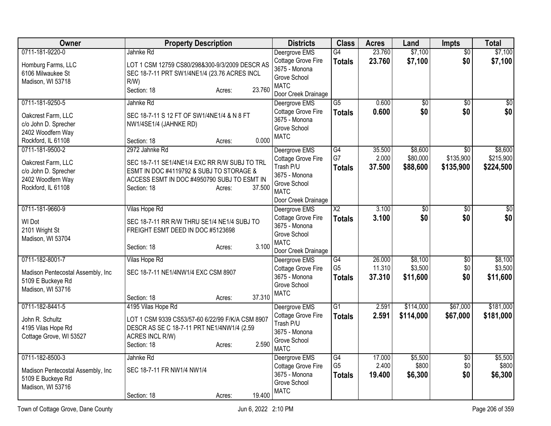| <b>Owner</b>                                            | <b>Property Description</b>                      | <b>Districts</b>          | <b>Class</b>    | <b>Acres</b> | Land            | Impts           | <b>Total</b>     |
|---------------------------------------------------------|--------------------------------------------------|---------------------------|-----------------|--------------|-----------------|-----------------|------------------|
| 0711-181-9220-0                                         | Jahnke Rd                                        | Deergrove EMS             | G4              | 23.760       | \$7,100         | $\overline{50}$ | \$7,100          |
| Homburg Farms, LLC                                      | LOT 1 CSM 12759 CS80/298&300-9/3/2009 DESCR AS   | Cottage Grove Fire        | <b>Totals</b>   | 23.760       | \$7,100         | \$0             | \$7,100          |
| 6106 Milwaukee St                                       | SEC 18-7-11 PRT SW1/4NE1/4 (23.76 ACRES INCL     | 3675 - Monona             |                 |              |                 |                 |                  |
| Madison, WI 53718                                       | $R/W$ )                                          | Grove School              |                 |              |                 |                 |                  |
|                                                         | 23.760<br>Section: 18<br>Acres:                  | <b>MATC</b>               |                 |              |                 |                 |                  |
|                                                         |                                                  | Door Creek Drainage       |                 |              |                 |                 |                  |
| 0711-181-9250-5                                         | Jahnke Rd                                        | Deergrove EMS             | $\overline{G5}$ | 0.600        | $\overline{50}$ | $\overline{30}$ | $\overline{\$0}$ |
| Oakcrest Farm, LLC                                      | SEC 18-7-11 S 12 FT OF SW1/4NE1/4 & N 8 FT       | Cottage Grove Fire        | <b>Totals</b>   | 0.600        | \$0             | \$0             | \$0              |
| c/o John D. Sprecher                                    | NW1/4SE1/4 (JAHNKE RD)                           | 3675 - Monona             |                 |              |                 |                 |                  |
| 2402 Woodfern Way                                       |                                                  | Grove School              |                 |              |                 |                 |                  |
| Rockford, IL 61108                                      | 0.000<br>Section: 18<br>Acres:                   | <b>MATC</b>               |                 |              |                 |                 |                  |
| 0711-181-9500-2                                         | 2972 Jahnke Rd                                   | Deergrove EMS             | G4              | 35.500       | \$8,600         | $\overline{50}$ | \$8,600          |
|                                                         |                                                  | Cottage Grove Fire        | G7              | 2.000        | \$80,000        | \$135,900       | \$215,900        |
| Oakcrest Farm, LLC                                      | SEC 18-7-11 SE1/4NE1/4 EXC RR R/W SUBJ TO TRL    | Trash P/U                 | <b>Totals</b>   | 37,500       | \$88,600        | \$135,900       | \$224,500        |
| c/o John D. Sprecher                                    | ESMT IN DOC #4119792 & SUBJ TO STORAGE &         | 3675 - Monona             |                 |              |                 |                 |                  |
| 2402 Woodfern Way                                       | ACCESS ESMT IN DOC #4950790 SUBJ TO ESMT IN      | Grove School              |                 |              |                 |                 |                  |
| Rockford, IL 61108                                      | 37.500<br>Section: 18<br>Acres:                  | <b>MATC</b>               |                 |              |                 |                 |                  |
|                                                         |                                                  | Door Creek Drainage       |                 |              |                 |                 |                  |
| 0711-181-9660-9                                         | Vilas Hope Rd                                    | Deergrove EMS             | X <sub>2</sub>  | 3.100        | \$0             | \$0             | \$0              |
|                                                         |                                                  | Cottage Grove Fire        | <b>Totals</b>   | 3.100        | \$0             | \$0             | \$0              |
| WI Dot                                                  | SEC 18-7-11 RR R/W THRU SE1/4 NE1/4 SUBJ TO      | 3675 - Monona             |                 |              |                 |                 |                  |
| 2101 Wright St                                          | FREIGHT ESMT DEED IN DOC #5123698                | Grove School              |                 |              |                 |                 |                  |
| Madison, WI 53704                                       | 3.100                                            | <b>MATC</b>               |                 |              |                 |                 |                  |
|                                                         | Section: 18<br>Acres:                            | Door Creek Drainage       |                 |              |                 |                 |                  |
| 0711-182-8001-7                                         | Vilas Hope Rd                                    | Deergrove EMS             | G4              | 26.000       | \$8,100         | $\overline{60}$ | \$8,100          |
|                                                         | SEC 18-7-11 NE1/4NW1/4 EXC CSM 8907              | <b>Cottage Grove Fire</b> | G <sub>5</sub>  | 11.310       | \$3,500         | \$0             | \$3,500          |
| Madison Pentecostal Assembly, Inc.<br>5109 E Buckeye Rd |                                                  | 3675 - Monona             | <b>Totals</b>   | 37.310       | \$11,600        | \$0             | \$11,600         |
| Madison, WI 53716                                       |                                                  | Grove School              |                 |              |                 |                 |                  |
|                                                         | 37.310<br>Section: 18<br>Acres:                  | <b>MATC</b>               |                 |              |                 |                 |                  |
| 0711-182-8441-5                                         | 4195 Vilas Hope Rd                               | Deergrove EMS             | $\overline{G1}$ | 2.591        | \$114,000       | \$67,000        | \$181,000        |
|                                                         |                                                  | Cottage Grove Fire        |                 | 2.591        | \$114,000       | \$67,000        | \$181,000        |
| John R. Schultz                                         | LOT 1 CSM 9339 CS53/57-60 6/22/99 F/K/A CSM 8907 | Trash P/U                 | <b>Totals</b>   |              |                 |                 |                  |
| 4195 Vilas Hope Rd                                      | DESCR AS SE C 18-7-11 PRT NE1/4NW1/4 (2.59       | 3675 - Monona             |                 |              |                 |                 |                  |
| Cottage Grove, WI 53527                                 | ACRES INCL R/W)                                  | Grove School              |                 |              |                 |                 |                  |
|                                                         | 2.590<br>Section: 18<br>Acres:                   | <b>MATC</b>               |                 |              |                 |                 |                  |
| 0711-182-8500-3                                         | Jahnke Rd                                        | Deergrove EMS             | G4              | 17.000       | \$5,500         | $\overline{50}$ | \$5,500          |
|                                                         |                                                  | Cottage Grove Fire        | G <sub>5</sub>  | 2.400        | \$800           | \$0             | \$800            |
| Madison Pentecostal Assembly, Inc.                      | SEC 18-7-11 FR NW1/4 NW1/4                       | 3675 - Monona             | <b>Totals</b>   | 19.400       | \$6,300         | \$0             | \$6,300          |
| 5109 E Buckeye Rd                                       |                                                  | Grove School              |                 |              |                 |                 |                  |
| Madison, WI 53716                                       |                                                  | <b>MATC</b>               |                 |              |                 |                 |                  |
|                                                         | 19.400<br>Section: 18<br>Acres:                  |                           |                 |              |                 |                 |                  |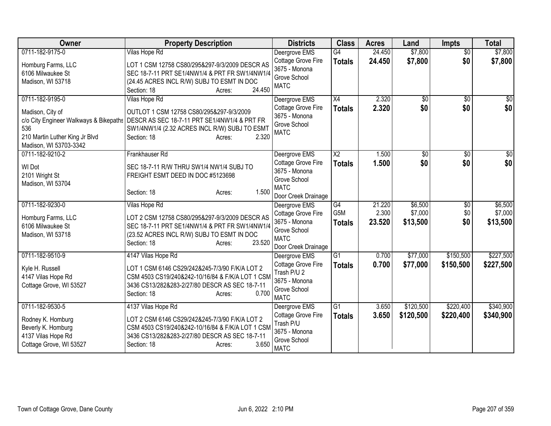| Owner                                                                                                                                            | <b>Property Description</b>                                                                                                                                                                                  | <b>Districts</b>                                                                                                  | <b>Class</b>                            | <b>Acres</b>              | Land                           | <b>Impts</b>                  | <b>Total</b>                   |
|--------------------------------------------------------------------------------------------------------------------------------------------------|--------------------------------------------------------------------------------------------------------------------------------------------------------------------------------------------------------------|-------------------------------------------------------------------------------------------------------------------|-----------------------------------------|---------------------------|--------------------------------|-------------------------------|--------------------------------|
| 0711-182-9175-0<br>Homburg Farms, LLC<br>6106 Milwaukee St<br>Madison, WI 53718                                                                  | Vilas Hope Rd<br>LOT 1 CSM 12758 CS80/295&297-9/3/2009 DESCR AS<br>SEC 18-7-11 PRT SE1/4NW1/4 & PRT FR SW1/4NW1/4<br>(24.45 ACRES INCL R/W) SUBJ TO ESMT IN DOC<br>24.450<br>Section: 18<br>Acres:           | Deergrove EMS<br>Cottage Grove Fire<br>3675 - Monona<br>Grove School<br><b>MATC</b>                               | $\overline{G4}$<br><b>Totals</b>        | 24.450<br>24.450          | \$7,800<br>\$7,800             | $\overline{50}$<br>\$0        | \$7,800<br>\$7,800             |
| 0711-182-9195-0<br>Madison, City of<br>c/o City Engineer Walkways & Bikepaths<br>536<br>210 Martin Luther King Jr Blvd<br>Madison, WI 53703-3342 | Vilas Hope Rd<br>OUTLOT 1 CSM 12758 CS80/295&297-9/3/2009<br>DESCR AS SEC 18-7-11 PRT SE1/4NW1/4 & PRT FR<br>SW1/4NW1/4 (2.32 ACRES INCL R/W) SUBJ TO ESMT<br>2.320<br>Section: 18<br>Acres:                 | Deergrove EMS<br>Cottage Grove Fire<br>3675 - Monona<br>Grove School<br><b>MATC</b>                               | $\overline{X4}$<br><b>Totals</b>        | 2.320<br>2.320            | \$0<br>\$0                     | $\overline{50}$<br>\$0        | \$0<br>\$0                     |
| 0711-182-9210-2<br>WI Dot<br>2101 Wright St<br>Madison, WI 53704                                                                                 | Frankhauser Rd<br>SEC 18-7-11 R/W THRU SW1/4 NW1/4 SUBJ TO<br>FREIGHT ESMT DEED IN DOC #5123698<br>1.500<br>Section: 18<br>Acres:                                                                            | Deergrove EMS<br><b>Cottage Grove Fire</b><br>3675 - Monona<br>Grove School<br><b>MATC</b><br>Door Creek Drainage | $\overline{\text{X2}}$<br><b>Totals</b> | 1.500<br>1.500            | \$0<br>\$0                     | $\sqrt{6}$<br>\$0             | \$0<br>\$0                     |
| 0711-182-9230-0<br>Homburg Farms, LLC<br>6106 Milwaukee St<br>Madison, WI 53718                                                                  | Vilas Hope Rd<br>LOT 2 CSM 12758 CS80/295&297-9/3/2009 DESCR AS<br>SEC 18-7-11 PRT SE1/4NW1/4 & PRT FR SW1/4NW1/4<br>(23.52 ACRES INCL R/W) SUBJ TO ESMT IN DOC<br>23.520<br>Section: 18<br>Acres:           | Deergrove EMS<br>Cottage Grove Fire<br>3675 - Monona<br>Grove School<br><b>MATC</b><br>Door Creek Drainage        | G4<br>G5M<br><b>Totals</b>              | 21.220<br>2.300<br>23.520 | \$6,500<br>\$7,000<br>\$13,500 | $\overline{50}$<br>\$0<br>\$0 | \$6,500<br>\$7,000<br>\$13,500 |
| 0711-182-9510-9<br>Kyle H. Russell<br>4147 Vilas Hope Rd<br>Cottage Grove, WI 53527                                                              | 4147 Vilas Hope Rd<br>LOT 1 CSM 6146 CS29/242&245-7/3/90 F/K/A LOT 2<br>CSM 4503 CS19/240&242-10/16/84 & F/K/A LOT 1 CSM<br>3436 CS13/282&283-2/27/80 DESCR AS SEC 18-7-11<br>0.700<br>Section: 18<br>Acres: | Deergrove EMS<br><b>Cottage Grove Fire</b><br>Trash P/U 2<br>3675 - Monona<br>Grove School<br><b>MATC</b>         | G <sub>1</sub><br><b>Totals</b>         | 0.700<br>0.700            | \$77,000<br>\$77,000           | \$150,500<br>\$150,500        | \$227,500<br>\$227,500         |
| 0711-182-9530-5<br>Rodney K. Homburg<br>Beverly K. Homburg<br>4137 Vilas Hope Rd<br>Cottage Grove, WI 53527                                      | 4137 Vilas Hope Rd<br>LOT 2 CSM 6146 CS29/242&245-7/3/90 F/K/A LOT 2<br>CSM 4503 CS19/240&242-10/16/84 & F/K/A LOT 1 CSM<br>3436 CS13/282&283-2/27/80 DESCR AS SEC 18-7-11<br>3.650<br>Section: 18<br>Acres: | Deergrove EMS<br>Cottage Grove Fire<br>Trash P/U<br>3675 - Monona<br>Grove School<br><b>MATC</b>                  | G1<br><b>Totals</b>                     | 3.650<br>3.650            | \$120,500<br>\$120,500         | \$220,400<br>\$220,400        | \$340,900<br>\$340,900         |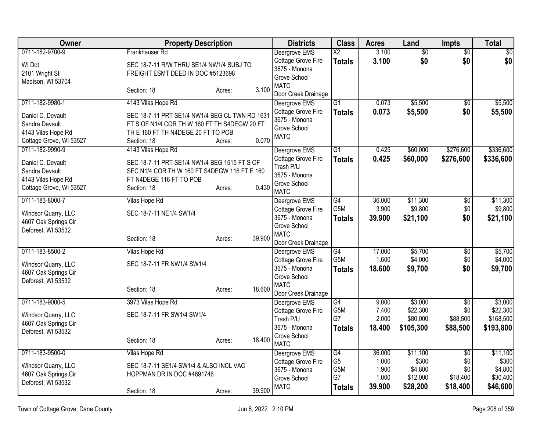| <b>Owner</b>            | <b>Property Description</b>                    |        |        | <b>Districts</b>                    | <b>Class</b>     | <b>Acres</b>    | Land            | <b>Impts</b>    | <b>Total</b>    |
|-------------------------|------------------------------------------------|--------|--------|-------------------------------------|------------------|-----------------|-----------------|-----------------|-----------------|
| 0711-182-9700-9         | Frankhauser Rd                                 |        |        | Deergrove EMS                       | $\overline{X2}$  | 3.100           | $\overline{60}$ | $\overline{50}$ | $\overline{50}$ |
| WI Dot                  | SEC 18-7-11 R/W THRU SE1/4 NW1/4 SUBJ TO       |        |        | Cottage Grove Fire<br>3675 - Monona | <b>Totals</b>    | 3.100           | \$0             | \$0             | \$0             |
| 2101 Wright St          | FREIGHT ESMT DEED IN DOC #5123698              |        |        | Grove School                        |                  |                 |                 |                 |                 |
| Madison, WI 53704       |                                                |        |        | <b>MATC</b>                         |                  |                 |                 |                 |                 |
|                         | Section: 18                                    | Acres: | 3.100  | Door Creek Drainage                 |                  |                 |                 |                 |                 |
| 0711-182-9980-1         | 4143 Vilas Hope Rd                             |        |        | Deergrove EMS                       | $\overline{G1}$  | 0.073           | \$5,500         | $\overline{50}$ | \$5,500         |
| Daniel C. Devault       | SEC 18-7-11 PRT SE1/4 NW1/4 BEG CL TWN RD 1631 |        |        | Cottage Grove Fire<br>3675 - Monona | <b>Totals</b>    | 0.073           | \$5,500         | \$0             | \$5,500         |
| Sandra Devault          | FT S OF N1/4 COR TH W 160 FT TH S4DEGW 20 FT   |        |        | Grove School                        |                  |                 |                 |                 |                 |
| 4143 Vilas Hope Rd      | TH E 160 FT TH N4DEGE 20 FT TO POB             |        |        | <b>MATC</b>                         |                  |                 |                 |                 |                 |
| Cottage Grove, WI 53527 | Section: 18                                    | Acres: | 0.070  |                                     |                  |                 |                 |                 |                 |
| 0711-182-9990-9         | 4143 Vilas Hope Rd                             |        |        | Deergrove EMS                       | $\overline{G1}$  | 0.425           | \$60,000        | \$276,600       | \$336,600       |
| Daniel C. Devault       | SEC 18-7-11 PRT SE1/4 NW1/4 BEG 1515 FT S OF   |        |        | Cottage Grove Fire<br>Trash P/U     | <b>Totals</b>    | 0.425           | \$60,000        | \$276,600       | \$336,600       |
| Sandra Devault          | SEC N1/4 COR TH W 160 FT S4DEGW 116 FT E 160   |        |        | 3675 - Monona                       |                  |                 |                 |                 |                 |
| 4143 Vilas Hope Rd      | FT N4DEGE 116 FT TO POB                        |        |        | Grove School                        |                  |                 |                 |                 |                 |
| Cottage Grove, WI 53527 | Section: 18                                    | Acres: | 0.430  | <b>MATC</b>                         |                  |                 |                 |                 |                 |
| 0711-183-8000-7         | Vilas Hope Rd                                  |        |        | Deergrove EMS                       | G4               | 36.000          | \$11,300        | $\overline{50}$ | \$11,300        |
| Windsor Quarry, LLC     | SEC 18-7-11 NE1/4 SW1/4                        |        |        | Cottage Grove Fire                  | G5M              | 3.900           | \$9,800         | \$0             | \$9,800         |
| 4607 Oak Springs Cir    |                                                |        |        | 3675 - Monona<br>Grove School       | <b>Totals</b>    | 39.900          | \$21,100        | \$0             | \$21,100        |
| Deforest, WI 53532      |                                                |        |        | <b>MATC</b>                         |                  |                 |                 |                 |                 |
|                         | Section: 18                                    | Acres: | 39.900 | Door Creek Drainage                 |                  |                 |                 |                 |                 |
| 0711-183-8500-2         | Vilas Hope Rd                                  |        |        | Deergrove EMS                       | G4               | 17.000          | \$5,700         | $\overline{50}$ | \$5,700         |
| Windsor Quarry, LLC     | SEC 18-7-11 FR NW1/4 SW1/4                     |        |        | Cottage Grove Fire                  | G <sub>5</sub> M | 1.600           | \$4,000         | \$0             | \$4,000         |
| 4607 Oak Springs Cir    |                                                |        |        | 3675 - Monona                       | <b>Totals</b>    | 18.600          | \$9,700         | \$0             | \$9,700         |
| Deforest, WI 53532      |                                                |        |        | Grove School<br><b>MATC</b>         |                  |                 |                 |                 |                 |
|                         | Section: 18                                    | Acres: | 18.600 | Door Creek Drainage                 |                  |                 |                 |                 |                 |
| 0711-183-9000-5         | 3973 Vilas Hope Rd                             |        |        | Deergrove EMS                       | $\overline{G4}$  | 9.000           | \$3,000         | $\overline{50}$ | \$3,000         |
| Windsor Quarry, LLC     | SEC 18-7-11 FR SW1/4 SW1/4                     |        |        | Cottage Grove Fire                  | G5M              | 7.400           | \$22,300        | \$0             | \$22,300        |
| 4607 Oak Springs Cir    |                                                |        |        | Trash P/U                           | G7               | 2.000           | \$80,000        | \$88,500        | \$168,500       |
| Deforest, WI 53532      |                                                |        |        | 3675 - Monona                       | <b>Totals</b>    | 18.400          | \$105,300       | \$88,500        | \$193,800       |
|                         | Section: 18                                    | Acres: | 18.400 | Grove School<br><b>MATC</b>         |                  |                 |                 |                 |                 |
| 0711-183-9500-0         | Vilas Hope Rd                                  |        |        | Deergrove EMS                       | G4               | 36.000          | \$11,100        | $\overline{30}$ | \$11,100        |
| Windsor Quarry, LLC     | SEC 18-7-11 SE1/4 SW1/4 & ALSO INCL VAC        |        |        | Cottage Grove Fire                  | G <sub>5</sub>   | 1.000           | \$300           | \$0             | \$300           |
| 4607 Oak Springs Cir    | HOPPMAN DR IN DOC #4691746                     |        |        | 3675 - Monona                       | G5M              | 1.900           | \$4,800         | \$0             | \$4,800         |
| Deforest, WI 53532      |                                                |        |        | Grove School<br><b>MATC</b>         | G7               | 1.000<br>39.900 | \$12,000        | \$18,400        | \$30,400        |
|                         | Section: 18                                    | Acres: | 39.900 |                                     | <b>Totals</b>    |                 | \$28,200        | \$18,400        | \$46,600        |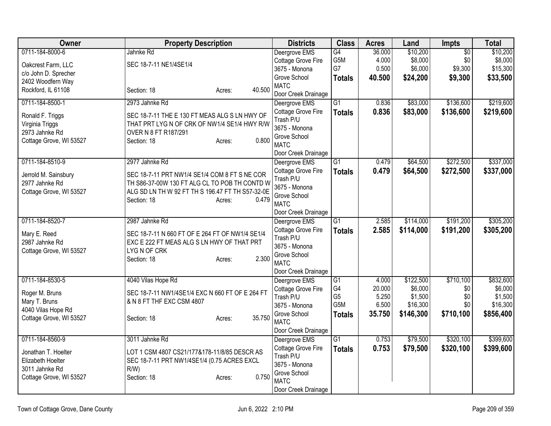| <b>Owner</b>            | <b>Property Description</b>                                |        | <b>Districts</b>                | <b>Class</b>    | <b>Acres</b> | Land      | Impts           | <b>Total</b> |
|-------------------------|------------------------------------------------------------|--------|---------------------------------|-----------------|--------------|-----------|-----------------|--------------|
| 0711-184-8000-6         | Jahnke Rd                                                  |        | Deergrove EMS                   | G4              | 36.000       | \$10,200  | $\overline{50}$ | \$10,200     |
| Oakcrest Farm, LLC      | SEC 18-7-11 NE1/4SE1/4                                     |        | Cottage Grove Fire              | G5M             | 4.000        | \$8,000   | \$0             | \$8,000      |
| c/o John D. Sprecher    |                                                            |        | 3675 - Monona                   | G7              | 0.500        | \$6,000   | \$9,300         | \$15,300     |
| 2402 Woodfern Way       |                                                            |        | Grove School                    | <b>Totals</b>   | 40.500       | \$24,200  | \$9,300         | \$33,500     |
| Rockford, IL 61108      | Section: 18<br>Acres:                                      | 40.500 | <b>MATC</b>                     |                 |              |           |                 |              |
|                         |                                                            |        | Door Creek Drainage             |                 |              |           |                 |              |
| 0711-184-8500-1         | 2973 Jahnke Rd                                             |        | Deergrove EMS                   | $\overline{G1}$ | 0.836        | \$83,000  | \$136,600       | \$219,600    |
| Ronald F. Triggs        | SEC 18-7-11 THE E 130 FT MEAS ALG S LN HWY OF              |        | Cottage Grove Fire              | <b>Totals</b>   | 0.836        | \$83,000  | \$136,600       | \$219,600    |
| Virginia Triggs         | THAT PRT LYG N OF CRK OF NW1/4 SE1/4 HWY R/W               |        | Trash P/U<br>3675 - Monona      |                 |              |           |                 |              |
| 2973 Jahnke Rd          | OVER N 8 FT R187/291                                       |        | Grove School                    |                 |              |           |                 |              |
| Cottage Grove, WI 53527 | Section: 18<br>Acres:                                      | 0.800  | <b>MATC</b>                     |                 |              |           |                 |              |
|                         |                                                            |        | Door Creek Drainage             |                 |              |           |                 |              |
| 0711-184-8510-9         | 2977 Jahnke Rd                                             |        | Deergrove EMS                   | G1              | 0.479        | \$64,500  | \$272,500       | \$337,000    |
|                         |                                                            |        | Cottage Grove Fire              | <b>Totals</b>   | 0.479        | \$64,500  | \$272,500       | \$337,000    |
| Jerrold M. Sainsbury    | SEC 18-7-11 PRT NW1/4 SE1/4 COM 8 FT S NE COR              |        | Trash P/U                       |                 |              |           |                 |              |
| 2977 Jahnke Rd          | TH S86-37-00W 130 FT ALG CL TO POB TH CONTD W              |        | 3675 - Monona                   |                 |              |           |                 |              |
| Cottage Grove, WI 53527 | ALG SD LN TH W 92 FT TH S 196.47 FT TH S57-32-0E           |        | Grove School                    |                 |              |           |                 |              |
|                         | Section: 18<br>Acres:                                      | 0.479  | <b>MATC</b>                     |                 |              |           |                 |              |
|                         |                                                            |        | Door Creek Drainage             |                 |              |           |                 |              |
| 0711-184-8520-7         | 2987 Jahnke Rd                                             |        | Deergrove EMS                   | $\overline{G1}$ | 2.585        | \$114,000 | \$191,200       | \$305,200    |
|                         |                                                            |        | Cottage Grove Fire              | <b>Totals</b>   | 2.585        | \$114,000 | \$191,200       | \$305,200    |
| Mary E. Reed            | SEC 18-7-11 N 660 FT OF E 264 FT OF NW1/4 SE1/4            |        | Trash P/U                       |                 |              |           |                 |              |
| 2987 Jahnke Rd          | EXC E 222 FT MEAS ALG S LN HWY OF THAT PRT<br>LYG N OF CRK |        | 3675 - Monona                   |                 |              |           |                 |              |
| Cottage Grove, WI 53527 | Section: 18                                                | 2.300  | Grove School                    |                 |              |           |                 |              |
|                         | Acres:                                                     |        | <b>MATC</b>                     |                 |              |           |                 |              |
|                         |                                                            |        | Door Creek Drainage             |                 |              |           |                 |              |
| 0711-184-8530-5         | 4040 Vilas Hope Rd                                         |        | Deergrove EMS                   | G1              | 4.000        | \$122,500 | \$710,100       | \$832,600    |
| Roger M. Bruns          | SEC 18-7-11 NW1/4SE1/4 EXC N 660 FT OF E 264 FT            |        | Cottage Grove Fire              | G4              | 20.000       | \$6,000   | \$0             | \$6,000      |
| Mary T. Bruns           | & N 8 FT THF EXC CSM 4807                                  |        | Trash P/U                       | G <sub>5</sub>  | 5.250        | \$1,500   | \$0             | \$1,500      |
| 4040 Vilas Hope Rd      |                                                            |        | 3675 - Monona                   | G5M             | 6.500        | \$16,300  | \$0             | \$16,300     |
| Cottage Grove, WI 53527 | Section: 18<br>Acres:                                      | 35.750 | Grove School                    | <b>Totals</b>   | 35.750       | \$146,300 | \$710,100       | \$856,400    |
|                         |                                                            |        | <b>MATC</b>                     |                 |              |           |                 |              |
|                         |                                                            |        | Door Creek Drainage             |                 |              |           |                 |              |
| 0711-184-8560-9         | 3011 Jahnke Rd                                             |        | Deergrove EMS                   | $\overline{G1}$ | 0.753        | \$79,500  | \$320,100       | \$399,600    |
| Jonathan T. Hoelter     | LOT 1 CSM 4807 CS21/177&178-11/8/85 DESCR AS               |        | Cottage Grove Fire<br>Trash P/U | <b>Totals</b>   | 0.753        | \$79,500  | \$320,100       | \$399,600    |
| Elizabeth Hoelter       | SEC 18-7-11 PRT NW1/4SE1/4 (0.75 ACRES EXCL                |        | 3675 - Monona                   |                 |              |           |                 |              |
| 3011 Jahnke Rd          | $R/W$ )                                                    |        | Grove School                    |                 |              |           |                 |              |
| Cottage Grove, WI 53527 | Section: 18<br>Acres:                                      | 0.750  | <b>MATC</b>                     |                 |              |           |                 |              |
|                         |                                                            |        | Door Creek Drainage             |                 |              |           |                 |              |
|                         |                                                            |        |                                 |                 |              |           |                 |              |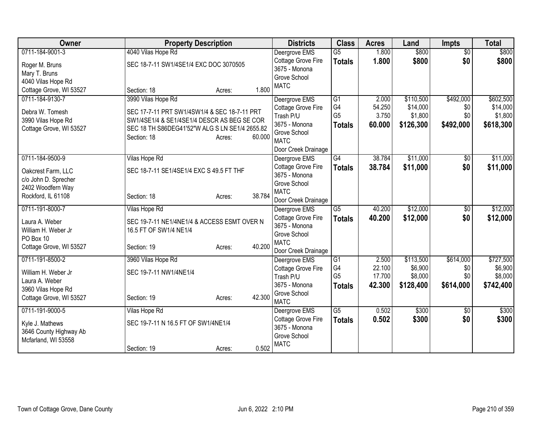| Owner                                 | <b>Property Description</b>                                           | <b>Districts</b>                    | <b>Class</b>           | <b>Acres</b> | Land      | <b>Impts</b>    | <b>Total</b> |
|---------------------------------------|-----------------------------------------------------------------------|-------------------------------------|------------------------|--------------|-----------|-----------------|--------------|
| 0711-184-9001-3                       | 4040 Vilas Hope Rd                                                    | Deergrove EMS                       | $\overline{G5}$        | 1.800        | \$800     | $\overline{50}$ | \$800        |
| Roger M. Bruns                        | SEC 18-7-11 SW1/4SE1/4 EXC DOC 3070505                                | Cottage Grove Fire                  | <b>Totals</b>          | 1.800        | \$800     | \$0             | \$800        |
| Mary T. Bruns                         |                                                                       | 3675 - Monona                       |                        |              |           |                 |              |
| 4040 Vilas Hope Rd                    |                                                                       | Grove School                        |                        |              |           |                 |              |
| Cottage Grove, WI 53527               | 1.800<br>Section: 18<br>Acres:                                        | <b>MATC</b>                         |                        |              |           |                 |              |
| 0711-184-9130-7                       | 3990 Vilas Hope Rd                                                    | Deergrove EMS                       | $\overline{G1}$        | 2.000        | \$110,500 | \$492,000       | \$602,500    |
| Debra W. Tomesh                       | SEC 17-7-11 PRT SW1/4SW1/4 & SEC 18-7-11 PRT                          | Cottage Grove Fire                  | G4                     | 54.250       | \$14,000  | \$0             | \$14,000     |
| 3990 Vilas Hope Rd                    | SW1/4SE1/4 & SE1/4SE1/4 DESCR AS BEG SE COR                           | Trash P/U                           | G <sub>5</sub>         | 3.750        | \$1,800   | \$0             | \$1,800      |
| Cottage Grove, WI 53527               | SEC 18 TH S86DEG41'52"W ALG S LN SE1/4 2655.82                        | 3675 - Monona                       | <b>Totals</b>          | 60.000       | \$126,300 | \$492,000       | \$618,300    |
|                                       | 60.000<br>Section: 18<br>Acres:                                       | Grove School                        |                        |              |           |                 |              |
|                                       |                                                                       | <b>MATC</b>                         |                        |              |           |                 |              |
|                                       |                                                                       | Door Creek Drainage                 | $\overline{G4}$        |              |           |                 |              |
| 0711-184-9500-9                       | Vilas Hope Rd                                                         | Deergrove EMS                       |                        | 38.784       | \$11,000  | $\sqrt{$0}$     | \$11,000     |
| Oakcrest Farm, LLC                    | SEC 18-7-11 SE1/4SE1/4 EXC S 49.5 FT THF                              | Cottage Grove Fire<br>3675 - Monona | <b>Totals</b>          | 38.784       | \$11,000  | \$0             | \$11,000     |
| c/o John D. Sprecher                  |                                                                       | Grove School                        |                        |              |           |                 |              |
| 2402 Woodfern Way                     |                                                                       | <b>MATC</b>                         |                        |              |           |                 |              |
| Rockford, IL 61108                    | 38.784<br>Section: 18<br>Acres:                                       | Door Creek Drainage                 |                        |              |           |                 |              |
| 0711-191-8000-7                       | Vilas Hope Rd                                                         | Deergrove EMS                       | $\overline{G5}$        | 40.200       | \$12,000  | \$0             | \$12,000     |
|                                       |                                                                       | Cottage Grove Fire                  | <b>Totals</b>          | 40.200       | \$12,000  | \$0             | \$12,000     |
| Laura A. Weber<br>William H. Weber Jr | SEC 19-7-11 NE1/4NE1/4 & ACCESS ESMT OVER N<br>16.5 FT OF SW1/4 NE1/4 | 3675 - Monona                       |                        |              |           |                 |              |
| PO Box 10                             |                                                                       | Grove School                        |                        |              |           |                 |              |
| Cottage Grove, WI 53527               | 40.200<br>Section: 19<br>Acres:                                       | <b>MATC</b>                         |                        |              |           |                 |              |
|                                       |                                                                       | Door Creek Drainage                 |                        |              |           |                 |              |
| 0711-191-8500-2                       | 3960 Vilas Hope Rd                                                    | Deergrove EMS                       | G1                     | 2.500        | \$113,500 | \$614,000       | \$727,500    |
| William H. Weber Jr                   | SEC 19-7-11 NW1/4NE1/4                                                | Cottage Grove Fire                  | G4<br>G <sub>5</sub>   | 22.100       | \$6,900   | \$0             | \$6,900      |
| Laura A. Weber                        |                                                                       | Trash P/U<br>3675 - Monona          |                        | 17.700       | \$8,000   | \$0             | \$8,000      |
| 3960 Vilas Hope Rd                    |                                                                       | Grove School                        | <b>Totals</b>          | 42.300       | \$128,400 | \$614,000       | \$742,400    |
| Cottage Grove, WI 53527               | 42.300<br>Section: 19<br>Acres:                                       | <b>MATC</b>                         |                        |              |           |                 |              |
| 0711-191-9000-5                       | Vilas Hope Rd                                                         | Deergrove EMS                       | $\overline{\text{G5}}$ | 0.502        | \$300     | $\overline{50}$ | \$300        |
|                                       |                                                                       | Cottage Grove Fire                  | <b>Totals</b>          | 0.502        | \$300     | \$0             | \$300        |
| Kyle J. Mathews                       | SEC 19-7-11 N 16.5 FT OF SW1/4NE1/4                                   | 3675 - Monona                       |                        |              |           |                 |              |
| 3646 County Highway Ab                |                                                                       | Grove School                        |                        |              |           |                 |              |
| Mcfarland, WI 53558                   |                                                                       | <b>MATC</b>                         |                        |              |           |                 |              |
|                                       | 0.502<br>Section: 19<br>Acres:                                        |                                     |                        |              |           |                 |              |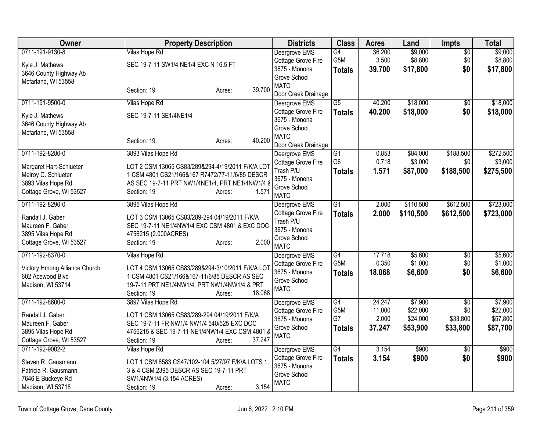| Owner                                |                                         | <b>Property Description</b>                                                                 | <b>Districts</b>                     | <b>Class</b>     | <b>Acres</b> | Land      | Impts           | <b>Total</b> |
|--------------------------------------|-----------------------------------------|---------------------------------------------------------------------------------------------|--------------------------------------|------------------|--------------|-----------|-----------------|--------------|
| 0711-191-9130-8                      | <b>Vilas Hope Rd</b>                    |                                                                                             | Deergrove EMS                        | G4               | 36.200       | \$9,000   | $\overline{50}$ | \$9,000      |
| Kyle J. Mathews                      | SEC 19-7-11 SW1/4 NE1/4 EXC N 16.5 FT   |                                                                                             | Cottage Grove Fire                   | G5M              | 3.500        | \$8,800   | \$0             | \$8,800      |
| 3646 County Highway Ab               |                                         |                                                                                             | 3675 - Monona                        | <b>Totals</b>    | 39.700       | \$17,800  | \$0             | \$17,800     |
| Mcfarland, WI 53558                  |                                         |                                                                                             | Grove School                         |                  |              |           |                 |              |
|                                      | Section: 19                             | 39.700<br>Acres:                                                                            | <b>MATC</b>                          |                  |              |           |                 |              |
| 0711-191-9500-0                      | Vilas Hope Rd                           |                                                                                             | Door Creek Drainage<br>Deergrove EMS | $\overline{G5}$  | 40.200       | \$18,000  | $\sqrt{6}$      | \$18,000     |
|                                      |                                         |                                                                                             | Cottage Grove Fire                   | <b>Totals</b>    | 40.200       | \$18,000  | \$0             | \$18,000     |
| Kyle J. Mathews                      | SEC 19-7-11 SE1/4NE1/4                  |                                                                                             | 3675 - Monona                        |                  |              |           |                 |              |
| 3646 County Highway Ab               |                                         |                                                                                             | Grove School                         |                  |              |           |                 |              |
| Mcfarland, WI 53558                  |                                         |                                                                                             | <b>MATC</b>                          |                  |              |           |                 |              |
|                                      | Section: 19                             | 40.200<br>Acres:                                                                            | Door Creek Drainage                  |                  |              |           |                 |              |
| 0711-192-8280-0                      | 3893 Vilas Hope Rd                      |                                                                                             | Deergrove EMS                        | G1               | 0.853        | \$84,000  | \$188,500       | \$272,500    |
| Margaret Hart-Schlueter              |                                         | LOT 2 CSM 13065 CS83/289&294-4/19/2011 F/K/A LOT                                            | Cottage Grove Fire                   | G <sub>6</sub>   | 0.718        | \$3,000   | \$0             | \$3,000      |
| Melroy C. Schlueter                  |                                         | 1 CSM 4801 CS21/166&167 R7472/77-11/6/85 DESCR                                              | Trash P/U                            | <b>Totals</b>    | 1.571        | \$87,000  | \$188,500       | \$275,500    |
| 3893 Vilas Hope Rd                   |                                         | AS SEC 19-7-11 PRT NW1/4NE1/4, PRT NE1/4NW1/4 8                                             | 3675 - Monona                        |                  |              |           |                 |              |
| Cottage Grove, WI 53527              | Section: 19                             | 1.571<br>Acres:                                                                             | Grove School                         |                  |              |           |                 |              |
|                                      |                                         |                                                                                             | <b>MATC</b>                          |                  |              |           |                 |              |
| 0711-192-8290-0                      | 3895 Vilas Hope Rd                      |                                                                                             | Deergrove EMS                        | G1               | 2.000        | \$110,500 | \$612,500       | \$723,000    |
| Randall J. Gaber                     |                                         | LOT 3 CSM 13065 CS83/289-294 04/19/2011 F/K/A                                               | Cottage Grove Fire                   | <b>Totals</b>    | 2.000        | \$110,500 | \$612,500       | \$723,000    |
| Maureen F. Gaber                     |                                         | SEC 19-7-11 NE1/4NW1/4 EXC CSM 4801 & EXC DOC                                               | Trash P/U<br>3675 - Monona           |                  |              |           |                 |              |
| 3895 Vilas Hope Rd                   | 4756215 (2.000ACRES)                    |                                                                                             | Grove School                         |                  |              |           |                 |              |
| Cottage Grove, WI 53527              | Section: 19                             | 2.000<br>Acres:                                                                             | <b>MATC</b>                          |                  |              |           |                 |              |
| 0711-192-8370-0                      | Vilas Hope Rd                           |                                                                                             | Deergrove EMS                        | $\overline{G4}$  | 17.718       | \$5,600   | $\sqrt{6}$      | \$5,600      |
| Victory Hmong Alliance Church        |                                         | LOT 4 CSM 13065 CS83/289&294-3/10/2011 F/K/A LOT                                            | Cottage Grove Fire                   | G <sub>5</sub> M | 0.350        | \$1,000   | \$0             | \$1,000      |
| 602 Acewood Blvd                     |                                         | 1 CSM 4801 CS21/166&167-11/6/85 DESCR AS SEC                                                | 3675 - Monona                        | <b>Totals</b>    | 18.068       | \$6,600   | \$0             | \$6,600      |
| Madison, WI 53714                    |                                         | 19-7-11 PRT NE1/4NW1/4, PRT NW1/4NW1/4 & PRT                                                | Grove School                         |                  |              |           |                 |              |
|                                      | Section: 19                             | 18.068<br>Acres:                                                                            | <b>MATC</b>                          |                  |              |           |                 |              |
| 0711-192-8600-0                      | 3897 Vilas Hope Rd                      |                                                                                             | Deergrove EMS                        | $\overline{G4}$  | 24.247       | \$7,900   | $\overline{30}$ | \$7,900      |
|                                      |                                         |                                                                                             | Cottage Grove Fire                   | G5M              | 11.000       | \$22,000  | \$0             | \$22,000     |
| Randall J. Gaber<br>Maureen F. Gaber |                                         | LOT 1 CSM 13065 CS83/289-294 04/19/2011 F/K/A<br>SEC 19-7-11 FR NW1/4 NW1/4 540/525 EXC DOC | 3675 - Monona                        | G7               | 2.000        | \$24,000  | \$33,800        | \$57,800     |
| 3895 Vilas Hope Rd                   |                                         | 4756215 & SEC 19-7-11 NE1/4NW1/4 EXC CSM 4801 &                                             | Grove School                         | <b>Totals</b>    | 37.247       | \$53,900  | \$33,800        | \$87,700     |
| Cottage Grove, WI 53527              | Section: 19                             | 37.247<br>Acres:                                                                            | <b>MATC</b>                          |                  |              |           |                 |              |
| 0711-192-9002-2                      | Vilas Hope Rd                           |                                                                                             | Deergrove EMS                        | G4               | 3.154        | \$900     | $\overline{50}$ | \$900        |
|                                      |                                         |                                                                                             | Cottage Grove Fire                   | <b>Totals</b>    | 3.154        | \$900     | \$0             | \$900        |
| Steven R. Gausmann                   |                                         | LOT 1 CSM 8583 CS47/102-104 5/27/97 F/K/A LOTS 1,                                           | 3675 - Monona                        |                  |              |           |                 |              |
| Patricia R. Gausmann                 | 3 & 4 CSM 2395 DESCR AS SEC 19-7-11 PRT |                                                                                             | Grove School                         |                  |              |           |                 |              |
| 7646 E Buckeye Rd                    | SW1/4NW1/4 (3.154 ACRES)                |                                                                                             | <b>MATC</b>                          |                  |              |           |                 |              |
| Madison, WI 53718                    | Section: 19                             | 3.154<br>Acres:                                                                             |                                      |                  |              |           |                 |              |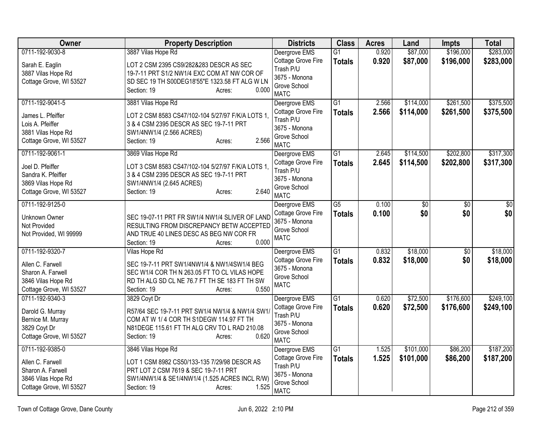| <b>Owner</b>                                                                                              | <b>Property Description</b>                                                                                                                                                                     | <b>Districts</b>                                                                                 | <b>Class</b>                     | <b>Acres</b>   | Land                   | <b>Impts</b>           | <b>Total</b>           |
|-----------------------------------------------------------------------------------------------------------|-------------------------------------------------------------------------------------------------------------------------------------------------------------------------------------------------|--------------------------------------------------------------------------------------------------|----------------------------------|----------------|------------------------|------------------------|------------------------|
| 0711-192-9030-8                                                                                           | 3887 Vilas Hope Rd                                                                                                                                                                              | Deergrove EMS                                                                                    | $\overline{G1}$                  | 0.920          | \$87,000               | \$196,000              | \$283,000              |
| Sarah E. Eaglin<br>3887 Vilas Hope Rd<br>Cottage Grove, WI 53527                                          | LOT 2 CSM 2395 CS9/282&283 DESCR AS SEC<br>19-7-11 PRT S1/2 NW1/4 EXC COM AT NW COR OF<br>SD SEC 19 TH S00DEG18'55"E 1323.58 FT ALG W LN<br>0.000<br>Section: 19<br>Acres:                      | Cottage Grove Fire<br>Trash P/U<br>3675 - Monona<br>Grove School<br><b>MATC</b>                  | <b>Totals</b>                    | 0.920          | \$87,000               | \$196,000              | \$283,000              |
| 0711-192-9041-5                                                                                           | 3881 Vilas Hope Rd                                                                                                                                                                              | Deergrove EMS                                                                                    | $\overline{G1}$                  | 2.566          | \$114,000              | \$261,500              | \$375,500              |
| James L. Pfeiffer<br>Lois A. Pfeiffer<br>3881 Vilas Hope Rd<br>Cottage Grove, WI 53527                    | LOT 2 CSM 8583 CS47/102-104 5/27/97 F/K/A LOTS 1,<br>3 & 4 CSM 2395 DESCR AS SEC 19-7-11 PRT<br>SW1/4NW1/4 (2.566 ACRES)<br>2.566<br>Section: 19<br>Acres:                                      | Cottage Grove Fire<br>Trash P/U<br>3675 - Monona<br>Grove School<br><b>MATC</b>                  | <b>Totals</b>                    | 2.566          | \$114,000              | \$261,500              | \$375,500              |
| 0711-192-9061-1                                                                                           | 3869 Vilas Hope Rd                                                                                                                                                                              | Deergrove EMS                                                                                    | $\overline{G1}$                  | 2.645          | \$114,500              | \$202,800              | \$317,300              |
| Joel D. Pfeiffer<br>Sandra K. Pfeiffer<br>3869 Vilas Hope Rd<br>Cottage Grove, WI 53527                   | LOT 3 CSM 8583 CS47/102-104 5/27/97 F/K/A LOTS 1,<br>3 & 4 CSM 2395 DESCR AS SEC 19-7-11 PRT<br>SW1/4NW1/4 (2.645 ACRES)<br>2.640<br>Section: 19<br>Acres:                                      | Cottage Grove Fire<br>Trash P/U<br>3675 - Monona<br>Grove School<br><b>MATC</b>                  | <b>Totals</b>                    | 2.645          | \$114,500              | \$202,800              | \$317,300              |
| 0711-192-9125-0                                                                                           |                                                                                                                                                                                                 | Deergrove EMS                                                                                    | $\overline{G5}$                  | 0.100          | \$0                    | $\overline{50}$        | $\overline{50}$        |
| Unknown Owner<br>Not Provided<br>Not Provided, WI 99999                                                   | SEC 19-07-11 PRT FR SW1/4 NW1/4 SLIVER OF LAND<br>RESULTING FROM DISCREPANCY BETW ACCEPTED<br>AND TRUE 40 LINES DESC AS BEG NW COR FR<br>0.000<br>Section: 19<br>Acres:                         | Cottage Grove Fire<br>3675 - Monona<br>Grove School<br><b>MATC</b>                               | <b>Totals</b>                    | 0.100          | \$0                    | \$0                    | \$0                    |
| 0711-192-9320-7<br>Allen C. Farwell<br>Sharon A. Farwell<br>3846 Vilas Hope Rd<br>Cottage Grove, WI 53527 | Vilas Hope Rd<br>SEC 19-7-11 PRT SW1/4NW1/4 & NW1/4SW1/4 BEG<br>SEC W1/4 COR TH N 263.05 FT TO CL VILAS HOPE<br>RD TH ALG SD CL NE 76.7 FT TH SE 183 FT TH SW<br>0.550<br>Section: 19<br>Acres: | Deergrove EMS<br>Cottage Grove Fire<br>3675 - Monona<br>Grove School<br><b>MATC</b>              | $\overline{G1}$<br><b>Totals</b> | 0.832<br>0.832 | \$18,000<br>\$18,000   | $\overline{30}$<br>\$0 | \$18,000<br>\$18,000   |
| 0711-192-9340-3                                                                                           | 3829 Coyt Dr                                                                                                                                                                                    | Deergrove EMS                                                                                    | $\overline{G1}$                  | 0.620          | \$72,500               | \$176,600              | \$249,100              |
| Darold G. Murray<br>Bernice M. Murray<br>3829 Coyt Dr<br>Cottage Grove, WI 53527                          | R57/64 SEC 19-7-11 PRT SW1/4 NW1/4 & NW1/4 SW1/<br>COM AT W 1/4 COR TH S1DEGW 114.97 FT TH<br>N81DEGE 115.61 FT TH ALG CRV TO L RAD 210.08<br>0.620<br>Section: 19<br>Acres:                    | Cottage Grove Fire<br>Trash P/U<br>3675 - Monona<br>Grove School<br><b>MATC</b>                  | <b>Totals</b>                    | 0.620          | \$72,500               | \$176,600              | \$249,100              |
| 0711-192-9385-0<br>Allen C. Farwell<br>Sharon A. Farwell<br>3846 Vilas Hope Rd<br>Cottage Grove, WI 53527 | 3846 Vilas Hope Rd<br>LOT 1 CSM 8982 CS50/133-135 7/29/98 DESCR AS<br>PRT LOT 2 CSM 7619 & SEC 19-7-11 PRT<br>SW1/4NW1/4 & SE1/4NW1/4 (1.525 ACRES INCL R/W)<br>1.525<br>Section: 19<br>Acres:  | Deergrove EMS<br>Cottage Grove Fire<br>Trash P/U<br>3675 - Monona<br>Grove School<br><b>MATC</b> | $\overline{G1}$<br><b>Totals</b> | 1.525<br>1.525 | \$101,000<br>\$101,000 | \$86,200<br>\$86,200   | \$187,200<br>\$187,200 |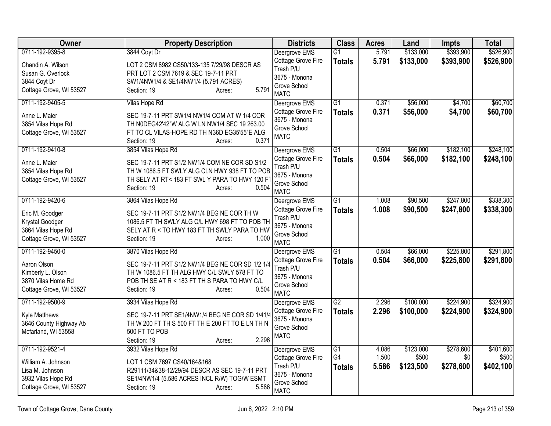| Owner                                                                                  | <b>Property Description</b>                                                                                                                                                        | <b>Districts</b>                                                                | <b>Class</b>        | <b>Acres</b>   | Land               | <b>Impts</b>     | <b>Total</b>       |
|----------------------------------------------------------------------------------------|------------------------------------------------------------------------------------------------------------------------------------------------------------------------------------|---------------------------------------------------------------------------------|---------------------|----------------|--------------------|------------------|--------------------|
| 0711-192-9395-8                                                                        | 3844 Coyt Dr                                                                                                                                                                       | Deergrove EMS                                                                   | $\overline{G1}$     | 5.791          | \$133,000          | \$393,900        | \$526,900          |
| Chandin A. Wilson<br>Susan G. Overlock<br>3844 Coyt Dr                                 | LOT 2 CSM 8982 CS50/133-135 7/29/98 DESCR AS<br>PRT LOT 2 CSM 7619 & SEC 19-7-11 PRT<br>SW1/4NW1/4 & SE1/4NW1/4 (5.791 ACRES)                                                      | Cottage Grove Fire<br>Trash P/U<br>3675 - Monona                                | <b>Totals</b>       | 5.791          | \$133,000          | \$393,900        | \$526,900          |
| Cottage Grove, WI 53527                                                                | 5.791<br>Section: 19<br>Acres:                                                                                                                                                     | Grove School<br><b>MATC</b>                                                     |                     |                |                    |                  |                    |
| 0711-192-9405-5                                                                        | Vilas Hope Rd                                                                                                                                                                      | Deergrove EMS                                                                   | $\overline{G1}$     | 0.371          | \$56,000           | \$4,700          | \$60,700           |
| Anne L. Maier<br>3854 Vilas Hope Rd<br>Cottage Grove, WI 53527                         | SEC 19-7-11 PRT SW1/4 NW1/4 COM AT W 1/4 COR<br>TH N0DEG42'42"W ALG W LN NW1/4 SEC 19 263.00<br>FT TO CL VILAS-HOPE RD TH N36D EG35'55"E ALG<br>0.371<br>Section: 19<br>Acres:     | Cottage Grove Fire<br>3675 - Monona<br>Grove School<br><b>MATC</b>              | <b>Totals</b>       | 0.371          | \$56,000           | \$4,700          | \$60,700           |
| 0711-192-9410-8                                                                        | 3854 Vilas Hope Rd                                                                                                                                                                 | Deergrove EMS                                                                   | $\overline{G1}$     | 0.504          | \$66,000           | \$182,100        | \$248,100          |
| Anne L. Maier<br>3854 Vilas Hope Rd<br>Cottage Grove, WI 53527                         | SEC 19-7-11 PRT S1/2 NW1/4 COM NE COR SD S1/2<br>TH W 1086.5 FT SWLY ALG CLN HWY 938 FT TO POB<br>TH SELY AT RT< 183 FT SWL Y PARA TO HWY 120 F<br>0.504<br>Section: 19<br>Acres:  | Cottage Grove Fire<br>Trash P/U<br>3675 - Monona<br>Grove School<br><b>MATC</b> | <b>Totals</b>       | 0.504          | \$66,000           | \$182,100        | \$248,100          |
| 0711-192-9420-6                                                                        | 3864 Vilas Hope Rd                                                                                                                                                                 | Deergrove EMS                                                                   | $\overline{G1}$     | 1.008          | \$90,500           | \$247,800        | \$338,300          |
| Eric M. Goodger<br>Krystal Goodger<br>3864 Vilas Hope Rd<br>Cottage Grove, WI 53527    | SEC 19-7-11 PRT S1/2 NW1/4 BEG NE COR TH W<br>1086.5 FT TH SWLY ALG C/L HWY 698 FT TO POB TH<br>SELY AT R < TO HWY 183 FT TH SWLY PARA TO HW<br>1.000<br>Section: 19<br>Acres:     | Cottage Grove Fire<br>Trash P/U<br>3675 - Monona<br>Grove School<br><b>MATC</b> | <b>Totals</b>       | 1.008          | \$90,500           | \$247,800        | \$338,300          |
| 0711-192-9450-0                                                                        | 3870 Vilas Hope Rd                                                                                                                                                                 | Deergrove EMS                                                                   | $\overline{G1}$     | 0.504          | \$66,000           | \$225,800        | \$291,800          |
| Aaron Olson<br>Kimberly L. Olson<br>3870 Vilas Home Rd<br>Cottage Grove, WI 53527      | SEC 19-7-11 PRT S1/2 NW1/4 BEG NE COR SD 1/2 1/4<br>TH W 1086.5 FT TH ALG HWY C/L SWLY 578 FT TO<br>POB TH SE AT R < 183 FT TH S PARA TO HWY C/L<br>0.504<br>Section: 19<br>Acres: | Cottage Grove Fire<br>Trash P/U<br>3675 - Monona<br>Grove School<br><b>MATC</b> | <b>Totals</b>       | 0.504          | \$66,000           | \$225,800        | \$291,800          |
| 0711-192-9500-9                                                                        | 3934 Vilas Hope Rd                                                                                                                                                                 | Deergrove EMS                                                                   | G2                  | 2.296          | \$100,000          | \$224,900        | \$324,900          |
| Kyle Matthews<br>3646 County Highway Ab<br>Mcfarland, WI 53558                         | SEC 19-7-11 PRT SE1/4NW1/4 BEG NE COR SD 1/41/4<br>TH W 200 FT TH S 500 FT TH E 200 FT TO E LN TH N<br>500 FT TO POB<br>2.296<br>Section: 19<br>Acres:                             | Cottage Grove Fire<br>3675 - Monona<br>Grove School<br><b>MATC</b>              | <b>Totals</b>       | 2.296          | \$100,000          | \$224,900        | \$324,900          |
| 0711-192-9521-4                                                                        | 3932 Vilas Hope Rd                                                                                                                                                                 | Deergrove EMS                                                                   | G1                  | 4.086          | \$123,000          | \$278,600        | \$401,600          |
| William A. Johnson<br>Lisa M. Johnson<br>3932 Vilas Hope Rd<br>Cottage Grove, WI 53527 | LOT 1 CSM 7697 CS40/164&168<br>R29111/34&38-12/29/94 DESCR AS SEC 19-7-11 PRT<br>SE1/4NW1/4 (5.586 ACRES INCL R/W) TOG/W ESMT<br>5.586<br>Section: 19<br>Acres:                    | Cottage Grove Fire<br>Trash P/U<br>3675 - Monona<br>Grove School<br><b>MATC</b> | G4<br><b>Totals</b> | 1.500<br>5.586 | \$500<br>\$123,500 | \$0<br>\$278,600 | \$500<br>\$402,100 |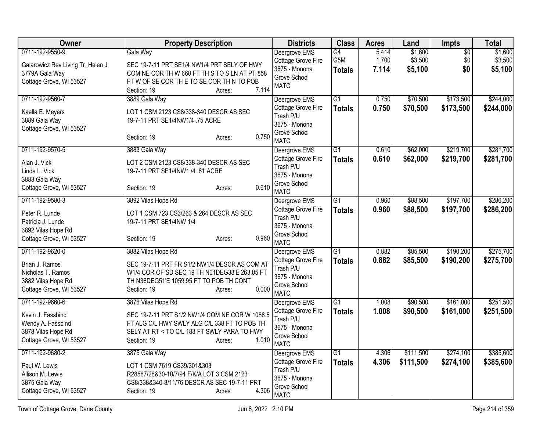| Owner                                                                                                      | <b>Property Description</b>                                                                                                                                                                           | <b>Districts</b>                                                                                 | <b>Class</b>                     | <b>Acres</b>            | Land                          | Impts                  | <b>Total</b>                  |
|------------------------------------------------------------------------------------------------------------|-------------------------------------------------------------------------------------------------------------------------------------------------------------------------------------------------------|--------------------------------------------------------------------------------------------------|----------------------------------|-------------------------|-------------------------------|------------------------|-------------------------------|
| 0711-192-9550-9<br>Galarowicz Rev Living Tr, Helen J<br>3779A Gala Way<br>Cottage Grove, WI 53527          | Gala Way<br>SEC 19-7-11 PRT SE1/4 NW1/4 PRT SELY OF HWY<br>COM NE COR TH W 668 FT TH S TO S LN AT PT 858<br>FTWOF SE COR THE TO SE COR THIN TO POB<br>7.114<br>Section: 19<br>Acres:                  | Deergrove EMS<br>Cottage Grove Fire<br>3675 - Monona<br>Grove School<br><b>MATC</b>              | G4<br>G5M<br><b>Totals</b>       | 5.414<br>1.700<br>7.114 | \$1,600<br>\$3,500<br>\$5,100 | \$0<br>\$0<br>\$0      | \$1,600<br>\$3,500<br>\$5,100 |
| 0711-192-9560-7<br>Kaella E. Meyers<br>3889 Gala Way<br>Cottage Grove, WI 53527                            | 3889 Gala Way<br>LOT 1 CSM 2123 CS8/338-340 DESCR AS SEC<br>19-7-11 PRT SE1/4NW1/4 .75 ACRE<br>0.750<br>Section: 19<br>Acres:                                                                         | Deergrove EMS<br>Cottage Grove Fire<br>Trash P/U<br>3675 - Monona<br>Grove School<br><b>MATC</b> | $\overline{G1}$<br><b>Totals</b> | 0.750<br>0.750          | \$70,500<br>\$70,500          | \$173,500<br>\$173,500 | \$244,000<br>\$244,000        |
| 0711-192-9570-5<br>Alan J. Vick<br>Linda L. Vick<br>3883 Gala Way<br>Cottage Grove, WI 53527               | 3883 Gala Way<br>LOT 2 CSM 2123 CS8/338-340 DESCR AS SEC<br>19-7-11 PRT SE1/4NW1 /4 .61 ACRE<br>0.610<br>Section: 19<br>Acres:                                                                        | Deergrove EMS<br>Cottage Grove Fire<br>Trash P/U<br>3675 - Monona<br>Grove School<br><b>MATC</b> | $\overline{G1}$<br><b>Totals</b> | 0.610<br>0.610          | \$62,000<br>\$62,000          | \$219,700<br>\$219,700 | \$281,700<br>\$281,700        |
| 0711-192-9580-3<br>Peter R. Lunde<br>Patricia J. Lunde<br>3892 Vilas Hope Rd<br>Cottage Grove, WI 53527    | 3892 Vilas Hope Rd<br>LOT 1 CSM 723 CS3/263 & 264 DESCR AS SEC<br>19-7-11 PRT SE1/4NW 1/4<br>0.960<br>Section: 19<br>Acres:                                                                           | Deergrove EMS<br>Cottage Grove Fire<br>Trash P/U<br>3675 - Monona<br>Grove School<br><b>MATC</b> | $\overline{G1}$<br><b>Totals</b> | 0.960<br>0.960          | \$88,500<br>\$88,500          | \$197,700<br>\$197,700 | \$286,200<br>\$286,200        |
| 0711-192-9620-0<br>Brian J. Ramos<br>Nicholas T. Ramos<br>3882 Vilas Hope Rd<br>Cottage Grove, WI 53527    | 3882 Vilas Hope Rd<br>SEC 19-7-11 PRT FR S1/2 NW1/4 DESCR AS COM AT<br>W1/4 COR OF SD SEC 19 TH N01DEG33'E 263.05 FT<br>TH N38DEG51'E 1059.95 FT TO POB TH CONT<br>0.000<br>Section: 19<br>Acres:     | Deergrove EMS<br>Cottage Grove Fire<br>Trash P/U<br>3675 - Monona<br>Grove School<br><b>MATC</b> | $\overline{G1}$<br><b>Totals</b> | 0.882<br>0.882          | \$85,500<br>\$85,500          | \$190,200<br>\$190,200 | \$275,700<br>\$275,700        |
| 0711-192-9660-6<br>Kevin J. Fassbind<br>Wendy A. Fassbind<br>3878 Vilas Hope Rd<br>Cottage Grove, WI 53527 | 3878 Vilas Hope Rd<br>SEC 19-7-11 PRT S1/2 NW1/4 COM NE COR W 1086.5<br>FT ALG C/L HWY SWLY ALG C/L 338 FT TO POB TH<br>SELY AT RT < TO C/L 183 FT SWLY PARA TO HWY<br>1.010<br>Section: 19<br>Acres: | Deergrove EMS<br>Cottage Grove Fire<br>Trash P/U<br>3675 - Monona<br>Grove School<br><b>MATC</b> | $\overline{G1}$<br><b>Totals</b> | 1.008<br>1.008          | \$90,500<br>\$90,500          | \$161,000<br>\$161,000 | \$251,500<br>\$251,500        |
| 0711-192-9680-2<br>Paul W. Lewis<br>Allison M. Lewis<br>3875 Gala Way<br>Cottage Grove, WI 53527           | 3875 Gala Way<br>LOT 1 CSM 7619 CS39/301&303<br>R28587/28&30-10/7/94 F/K/A LOT 3 CSM 2123<br>CS8/338&340-8/11/76 DESCR AS SEC 19-7-11 PRT<br>4.306<br>Section: 19<br>Acres:                           | Deergrove EMS<br>Cottage Grove Fire<br>Trash P/U<br>3675 - Monona<br>Grove School<br><b>MATC</b> | $\overline{G1}$<br><b>Totals</b> | 4.306<br>4.306          | \$111,500<br>\$111,500        | \$274,100<br>\$274,100 | \$385,600<br>\$385,600        |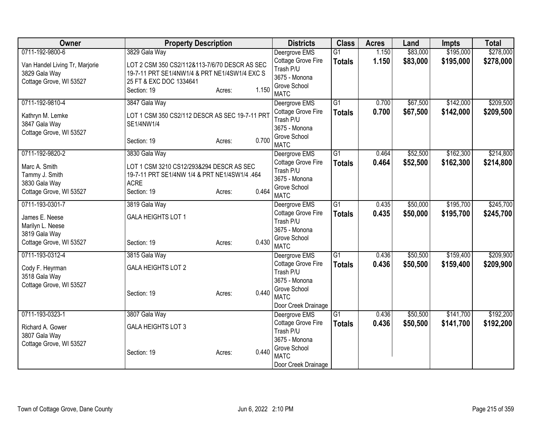| Owner                          | <b>Property Description</b>                    |        |       | <b>Districts</b>                    | <b>Class</b>    | <b>Acres</b> | Land     | <b>Impts</b> | <b>Total</b> |
|--------------------------------|------------------------------------------------|--------|-------|-------------------------------------|-----------------|--------------|----------|--------------|--------------|
| 0711-192-9800-6                | 3829 Gala Way                                  |        |       | Deergrove EMS                       | $\overline{G1}$ | 1.150        | \$83,000 | \$195,000    | \$278,000    |
| Van Handel Living Tr, Marjorie | LOT 2 CSM 350 CS2/112&113-7/6/70 DESCR AS SEC  |        |       | Cottage Grove Fire                  | <b>Totals</b>   | 1.150        | \$83,000 | \$195,000    | \$278,000    |
| 3829 Gala Way                  | 19-7-11 PRT SE1/4NW1/4 & PRT NE1/4SW1/4 EXC S  |        |       | Trash P/U                           |                 |              |          |              |              |
| Cottage Grove, WI 53527        | 25 FT & EXC DOC 1334641                        |        |       | 3675 - Monona<br>Grove School       |                 |              |          |              |              |
|                                | Section: 19                                    | Acres: | 1.150 | <b>MATC</b>                         |                 |              |          |              |              |
| 0711-192-9810-4                | 3847 Gala Way                                  |        |       | Deergrove EMS                       | $\overline{G1}$ | 0.700        | \$67,500 | \$142,000    | \$209,500    |
| Kathryn M. Lemke               | LOT 1 CSM 350 CS2/112 DESCR AS SEC 19-7-11 PRT |        |       | Cottage Grove Fire                  | <b>Totals</b>   | 0.700        | \$67,500 | \$142,000    | \$209,500    |
| 3847 Gala Way                  | SE1/4NW1/4                                     |        |       | Trash P/U                           |                 |              |          |              |              |
| Cottage Grove, WI 53527        |                                                |        |       | 3675 - Monona                       |                 |              |          |              |              |
|                                | Section: 19                                    | Acres: | 0.700 | Grove School                        |                 |              |          |              |              |
|                                |                                                |        |       | <b>MATC</b>                         |                 |              |          |              |              |
| 0711-192-9820-2                | 3830 Gala Way                                  |        |       | Deergrove EMS<br>Cottage Grove Fire | G1              | 0.464        | \$52,500 | \$162,300    | \$214,800    |
| Marc A. Smith                  | LOT 1 CSM 3210 CS12/293&294 DESCR AS SEC       |        |       | Trash P/U                           | <b>Totals</b>   | 0.464        | \$52,500 | \$162,300    | \$214,800    |
| Tammy J. Smith                 | 19-7-11 PRT SE1/4NW 1/4 & PRT NE1/4SW1/4 .464  |        |       | 3675 - Monona                       |                 |              |          |              |              |
| 3830 Gala Way                  | <b>ACRE</b>                                    |        |       | Grove School                        |                 |              |          |              |              |
| Cottage Grove, WI 53527        | Section: 19                                    | Acres: | 0.464 | <b>MATC</b>                         |                 |              |          |              |              |
| 0711-193-0301-7                | 3819 Gala Way                                  |        |       | Deergrove EMS                       | G1              | 0.435        | \$50,000 | \$195,700    | \$245,700    |
| James E. Neese                 | GALA HEIGHTS LOT 1                             |        |       | Cottage Grove Fire                  | <b>Totals</b>   | 0.435        | \$50,000 | \$195,700    | \$245,700    |
| Marilyn L. Neese               |                                                |        |       | Trash P/U                           |                 |              |          |              |              |
| 3819 Gala Way                  |                                                |        |       | 3675 - Monona                       |                 |              |          |              |              |
| Cottage Grove, WI 53527        | Section: 19                                    | Acres: | 0.430 | Grove School                        |                 |              |          |              |              |
| 0711-193-0312-4                | 3815 Gala Way                                  |        |       | <b>MATC</b><br>Deergrove EMS        | $\overline{G1}$ | 0.436        | \$50,500 | \$159,400    | \$209,900    |
|                                |                                                |        |       | Cottage Grove Fire                  | <b>Totals</b>   | 0.436        | \$50,500 | \$159,400    | \$209,900    |
| Cody F. Heyrman                | <b>GALA HEIGHTS LOT 2</b>                      |        |       | Trash P/U                           |                 |              |          |              |              |
| 3518 Gala Way                  |                                                |        |       | 3675 - Monona                       |                 |              |          |              |              |
| Cottage Grove, WI 53527        |                                                |        | 0.440 | Grove School                        |                 |              |          |              |              |
|                                | Section: 19                                    | Acres: |       | <b>MATC</b>                         |                 |              |          |              |              |
|                                |                                                |        |       | Door Creek Drainage                 |                 |              |          |              |              |
| 0711-193-0323-1                | 3807 Gala Way                                  |        |       | Deergrove EMS                       | $\overline{G1}$ | 0.436        | \$50,500 | \$141,700    | \$192,200    |
| Richard A. Gower               | GALA HEIGHTS LOT 3                             |        |       | Cottage Grove Fire                  | <b>Totals</b>   | 0.436        | \$50,500 | \$141,700    | \$192,200    |
| 3807 Gala Way                  |                                                |        |       | Trash P/U                           |                 |              |          |              |              |
| Cottage Grove, WI 53527        |                                                |        |       | 3675 - Monona                       |                 |              |          |              |              |
|                                | Section: 19                                    | Acres: | 0.440 | Grove School<br><b>MATC</b>         |                 |              |          |              |              |
|                                |                                                |        |       | Door Creek Drainage                 |                 |              |          |              |              |
|                                |                                                |        |       |                                     |                 |              |          |              |              |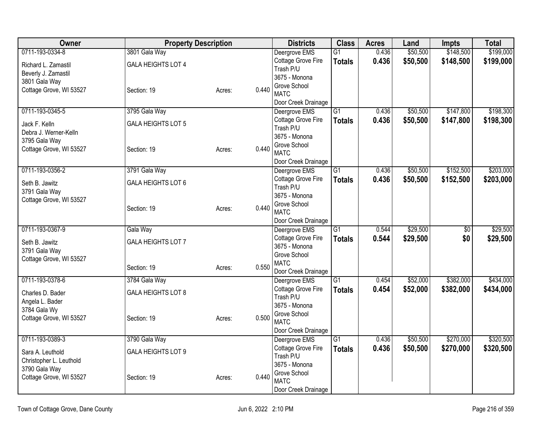| <b>Owner</b>                           | <b>Property Description</b> |        |       | <b>Districts</b>                     | <b>Class</b>    | <b>Acres</b> | Land     | <b>Impts</b>    | <b>Total</b> |
|----------------------------------------|-----------------------------|--------|-------|--------------------------------------|-----------------|--------------|----------|-----------------|--------------|
| 0711-193-0334-8                        | 3801 Gala Way               |        |       | Deergrove EMS                        | $\overline{G1}$ | 0.436        | \$50,500 | \$148,500       | \$199,000    |
| Richard L. Zamastil                    | <b>GALA HEIGHTS LOT 4</b>   |        |       | Cottage Grove Fire                   | <b>Totals</b>   | 0.436        | \$50,500 | \$148,500       | \$199,000    |
| Beverly J. Zamastil                    |                             |        |       | Trash P/U                            |                 |              |          |                 |              |
| 3801 Gala Way                          |                             |        |       | 3675 - Monona<br>Grove School        |                 |              |          |                 |              |
| Cottage Grove, WI 53527                | Section: 19                 | Acres: | 0.440 | <b>MATC</b>                          |                 |              |          |                 |              |
|                                        |                             |        |       | Door Creek Drainage                  |                 |              |          |                 |              |
| 0711-193-0345-5                        | 3795 Gala Way               |        |       | Deergrove EMS                        | $\overline{G1}$ | 0.436        | \$50,500 | \$147,800       | \$198,300    |
|                                        |                             |        |       | Cottage Grove Fire                   | <b>Totals</b>   | 0.436        | \$50,500 | \$147,800       | \$198,300    |
| Jack F. Kelln<br>Debra J. Werner-Kelln | <b>GALA HEIGHTS LOT 5</b>   |        |       | Trash P/U                            |                 |              |          |                 |              |
| 3795 Gala Way                          |                             |        |       | 3675 - Monona                        |                 |              |          |                 |              |
| Cottage Grove, WI 53527                | Section: 19                 | Acres: | 0.440 | Grove School                         |                 |              |          |                 |              |
|                                        |                             |        |       | <b>MATC</b>                          |                 |              |          |                 |              |
|                                        |                             |        |       | Door Creek Drainage                  |                 |              |          |                 |              |
| 0711-193-0356-2                        | 3791 Gala Way               |        |       | Deergrove EMS                        | G1              | 0.436        | \$50,500 | \$152,500       | \$203,000    |
| Seth B. Jawitz                         | <b>GALA HEIGHTS LOT 6</b>   |        |       | Cottage Grove Fire<br>Trash P/U      | <b>Totals</b>   | 0.436        | \$50,500 | \$152,500       | \$203,000    |
| 3791 Gala Way                          |                             |        |       | 3675 - Monona                        |                 |              |          |                 |              |
| Cottage Grove, WI 53527                |                             |        |       | Grove School                         |                 |              |          |                 |              |
|                                        | Section: 19                 | Acres: | 0.440 | <b>MATC</b>                          |                 |              |          |                 |              |
|                                        |                             |        |       | Door Creek Drainage                  |                 |              |          |                 |              |
| 0711-193-0367-9                        | Gala Way                    |        |       | Deergrove EMS                        | $\overline{G1}$ | 0.544        | \$29,500 | $\overline{50}$ | \$29,500     |
| Seth B. Jawitz                         | GALA HEIGHTS LOT 7          |        |       | Cottage Grove Fire                   | <b>Totals</b>   | 0.544        | \$29,500 | \$0             | \$29,500     |
| 3791 Gala Way                          |                             |        |       | 3675 - Monona                        |                 |              |          |                 |              |
| Cottage Grove, WI 53527                |                             |        |       | Grove School                         |                 |              |          |                 |              |
|                                        | Section: 19                 | Acres: | 0.550 | <b>MATC</b>                          |                 |              |          |                 |              |
| 0711-193-0378-6                        | 3784 Gala Way               |        |       | Door Creek Drainage<br>Deergrove EMS | G1              | 0.454        | \$52,000 | \$382,000       | \$434,000    |
|                                        |                             |        |       | Cottage Grove Fire                   | <b>Totals</b>   | 0.454        | \$52,000 | \$382,000       | \$434,000    |
| Charles D. Bader                       | <b>GALA HEIGHTS LOT 8</b>   |        |       | Trash P/U                            |                 |              |          |                 |              |
| Angela L. Bader                        |                             |        |       | 3675 - Monona                        |                 |              |          |                 |              |
| 3784 Gala Wy                           |                             |        |       | Grove School                         |                 |              |          |                 |              |
| Cottage Grove, WI 53527                | Section: 19                 | Acres: | 0.500 | <b>MATC</b>                          |                 |              |          |                 |              |
|                                        |                             |        |       | Door Creek Drainage                  |                 |              |          |                 |              |
| 0711-193-0389-3                        | 3790 Gala Way               |        |       | Deergrove EMS                        | $\overline{G1}$ | 0.436        | \$50,500 | \$270,000       | \$320,500    |
| Sara A. Leuthold                       | <b>GALA HEIGHTS LOT 9</b>   |        |       | Cottage Grove Fire                   | <b>Totals</b>   | 0.436        | \$50,500 | \$270,000       | \$320,500    |
| Christopher L. Leuthold                |                             |        |       | Trash P/U                            |                 |              |          |                 |              |
| 3790 Gala Way                          |                             |        |       | 3675 - Monona<br>Grove School        |                 |              |          |                 |              |
| Cottage Grove, WI 53527                | Section: 19                 | Acres: | 0.440 |                                      |                 |              |          |                 |              |
|                                        |                             |        |       | <b>MATC</b>                          |                 |              |          |                 |              |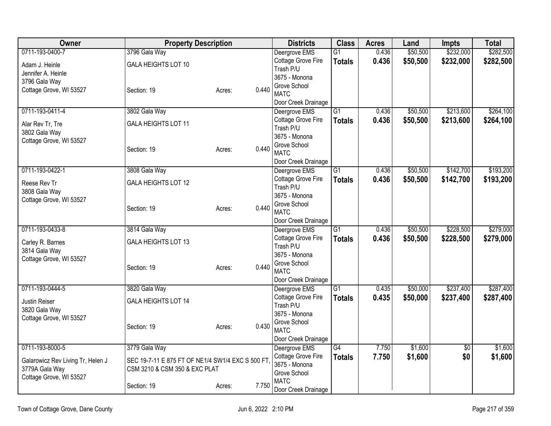| <b>Owner</b>                      | <b>Property Description</b>                       |                 | <b>Districts</b>                    | <b>Class</b>    | <b>Acres</b>   | Land                 | <b>Impts</b>           | <b>Total</b>           |
|-----------------------------------|---------------------------------------------------|-----------------|-------------------------------------|-----------------|----------------|----------------------|------------------------|------------------------|
| 0711-193-0400-7                   | 3796 Gala Way                                     |                 | Deergrove EMS                       | $\overline{G1}$ | 0.436          | \$50,500             | \$232,000              | \$282,500              |
| Adam J. Heinle                    | <b>GALA HEIGHTS LOT 10</b>                        |                 | Cottage Grove Fire                  | <b>Totals</b>   | 0.436          | \$50,500             | \$232,000              | \$282,500              |
| Jennifer A. Heinle                |                                                   |                 | Trash P/U                           |                 |                |                      |                        |                        |
| 3796 Gala Way                     |                                                   |                 | 3675 - Monona<br>Grove School       |                 |                |                      |                        |                        |
| Cottage Grove, WI 53527           | Section: 19                                       | 0.440<br>Acres: | <b>MATC</b>                         |                 |                |                      |                        |                        |
|                                   |                                                   |                 | Door Creek Drainage                 |                 |                |                      |                        |                        |
| 0711-193-0411-4                   | 3802 Gala Way                                     |                 | Deergrove EMS                       | $\overline{G1}$ | 0.436          | \$50,500             | \$213,600              | \$264,100              |
| Alar Rev Tr, Tre                  | <b>GALA HEIGHTS LOT 11</b>                        |                 | Cottage Grove Fire                  | <b>Totals</b>   | 0.436          | \$50,500             | \$213,600              | \$264,100              |
| 3802 Gala Way                     |                                                   |                 | Trash P/U                           |                 |                |                      |                        |                        |
| Cottage Grove, WI 53527           |                                                   |                 | 3675 - Monona                       |                 |                |                      |                        |                        |
|                                   | Section: 19                                       | 0.440<br>Acres: | Grove School<br><b>MATC</b>         |                 |                |                      |                        |                        |
|                                   |                                                   |                 | Door Creek Drainage                 |                 |                |                      |                        |                        |
| 0711-193-0422-1                   | 3808 Gala Way                                     |                 | Deergrove EMS                       | G1              | 0.436          | \$50,500             | \$142,700              | \$193,200              |
|                                   |                                                   |                 | Cottage Grove Fire                  | <b>Totals</b>   | 0.436          | \$50,500             | \$142,700              | \$193,200              |
| Reese Rev Tr<br>3808 Gala Way     | <b>GALA HEIGHTS LOT 12</b>                        |                 | Trash P/U                           |                 |                |                      |                        |                        |
| Cottage Grove, WI 53527           |                                                   |                 | 3675 - Monona                       |                 |                |                      |                        |                        |
|                                   | Section: 19                                       | 0.440<br>Acres: | Grove School                        |                 |                |                      |                        |                        |
|                                   |                                                   |                 | <b>MATC</b>                         |                 |                |                      |                        |                        |
|                                   |                                                   |                 | Door Creek Drainage                 | $\overline{G1}$ |                |                      |                        |                        |
| 0711-193-0433-8                   | 3814 Gala Way                                     |                 | Deergrove EMS<br>Cottage Grove Fire |                 | 0.436<br>0.436 | \$50,500<br>\$50,500 | \$228,500<br>\$228,500 | \$279,000<br>\$279,000 |
| Carley R. Barnes                  | <b>GALA HEIGHTS LOT 13</b>                        |                 | Trash P/U                           | <b>Totals</b>   |                |                      |                        |                        |
| 3814 Gala Way                     |                                                   |                 | 3675 - Monona                       |                 |                |                      |                        |                        |
| Cottage Grove, WI 53527           |                                                   |                 | Grove School                        |                 |                |                      |                        |                        |
|                                   | Section: 19                                       | 0.440<br>Acres: | <b>MATC</b>                         |                 |                |                      |                        |                        |
|                                   |                                                   |                 | Door Creek Drainage                 |                 |                |                      |                        |                        |
| 0711-193-0444-5                   | 3820 Gala Way                                     |                 | Deergrove EMS                       | $\overline{G1}$ | 0.435          | \$50,000             | \$237,400              | \$287,400              |
| Justin Reiser                     | <b>GALA HEIGHTS LOT 14</b>                        |                 | Cottage Grove Fire                  | <b>Totals</b>   | 0.435          | \$50,000             | \$237,400              | \$287,400              |
| 3820 Gala Way                     |                                                   |                 | Trash P/U<br>3675 - Monona          |                 |                |                      |                        |                        |
| Cottage Grove, WI 53527           |                                                   |                 | Grove School                        |                 |                |                      |                        |                        |
|                                   | Section: 19                                       | 0.430<br>Acres: | <b>MATC</b>                         |                 |                |                      |                        |                        |
|                                   |                                                   |                 | Door Creek Drainage                 |                 |                |                      |                        |                        |
| 0711-193-8000-5                   | 3779 Gala Way                                     |                 | Deergrove EMS                       | $\overline{G4}$ | 7.750          | \$1,600              | $\frac{1}{20}$         | \$1,600                |
| Galarowicz Rev Living Tr, Helen J | SEC 19-7-11 E 875 FT OF NE1/4 SW1/4 EXC S 500 FT. |                 | Cottage Grove Fire                  | <b>Totals</b>   | 7.750          | \$1,600              | \$0                    | \$1,600                |
| 3779A Gala Way                    | CSM 3210 & CSM 350 & EXC PLAT                     |                 | 3675 - Monona                       |                 |                |                      |                        |                        |
| Cottage Grove, WI 53527           |                                                   |                 | Grove School                        |                 |                |                      |                        |                        |
|                                   | Section: 19                                       | 7.750<br>Acres: | <b>MATC</b>                         |                 |                |                      |                        |                        |
|                                   |                                                   |                 | Door Creek Drainage                 |                 |                |                      |                        |                        |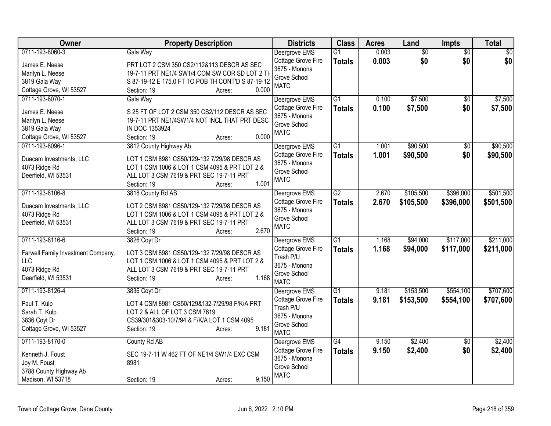| Owner                              | <b>Property Description</b>                       | <b>Districts</b>                    | <b>Class</b>    | <b>Acres</b> | Land            | Impts           | <b>Total</b> |
|------------------------------------|---------------------------------------------------|-------------------------------------|-----------------|--------------|-----------------|-----------------|--------------|
| 0711-193-8060-3                    | Gala Way                                          | Deergrove EMS                       | $\overline{G1}$ | 0.003        | $\overline{50}$ | $\overline{50}$ | \$0          |
| James E. Neese                     | PRT LOT 2 CSM 350 CS2/112&113 DESCR AS SEC        | Cottage Grove Fire                  | <b>Totals</b>   | 0.003        | \$0             | \$0             | \$0          |
| Marilyn L. Neese                   | 19-7-11 PRT NE1/4 SW1/4 COM SW COR SD LOT 2 TH    | 3675 - Monona                       |                 |              |                 |                 |              |
| 3819 Gala Way                      | S 87-19-12 E 175.0 FT TO POB TH CONT'D S 87-19-12 | Grove School                        |                 |              |                 |                 |              |
| Cottage Grove, WI 53527            | 0.000<br>Section: 19<br>Acres:                    | <b>MATC</b>                         |                 |              |                 |                 |              |
| 0711-193-8070-1                    | Gala Way                                          | Deergrove EMS                       | $\overline{G1}$ | 0.100        | \$7,500         | \$0             | \$7,500      |
|                                    |                                                   | Cottage Grove Fire                  | <b>Totals</b>   | 0.100        | \$7,500         | \$0             | \$7,500      |
| James E. Neese                     | S 25 FT OF LOT 2 CSM 350 CS2/112 DESCR AS SEC     | 3675 - Monona                       |                 |              |                 |                 |              |
| Marilyn L. Neese                   | 19-7-11 PRT NE1/4SW1/4 NOT INCL THAT PRT DESC     | Grove School                        |                 |              |                 |                 |              |
| 3819 Gala Way                      | IN DOC 1353924<br>0.000                           | <b>MATC</b>                         |                 |              |                 |                 |              |
| Cottage Grove, WI 53527            | Section: 19<br>Acres:                             |                                     | $\overline{G1}$ |              |                 |                 |              |
| 0711-193-8096-1                    | 3812 County Highway Ab                            | Deergrove EMS                       |                 | 1.001        | \$90,500        | \$0             | \$90,500     |
| Duacam Investments, LLC            | LOT 1 CSM 8981 CS50/129-132 7/29/98 DESCR AS      | Cottage Grove Fire<br>3675 - Monona | <b>Totals</b>   | 1.001        | \$90,500        | \$0             | \$90,500     |
| 4073 Ridge Rd                      | LOT 1 CSM 1006 & LOT 1 CSM 4095 & PRT LOT 2 &     | Grove School                        |                 |              |                 |                 |              |
| Deerfield, WI 53531                | ALL LOT 3 CSM 7619 & PRT SEC 19-7-11 PRT          | <b>MATC</b>                         |                 |              |                 |                 |              |
|                                    | 1.001<br>Section: 19<br>Acres:                    |                                     |                 |              |                 |                 |              |
| 0711-193-8106-8                    | 3818 County Rd AB                                 | Deergrove EMS                       | $\overline{G2}$ | 2.670        | \$105,500       | \$396,000       | \$501,500    |
|                                    |                                                   | Cottage Grove Fire                  | <b>Totals</b>   | 2.670        | \$105,500       | \$396,000       | \$501,500    |
| Duacam Investments, LLC            | LOT 2 CSM 8981 CS50/129-132 7/29/98 DESCR AS      | 3675 - Monona                       |                 |              |                 |                 |              |
| 4073 Ridge Rd                      | LOT 1 CSM 1006 & LOT 1 CSM 4095 & PRT LOT 2 &     | Grove School                        |                 |              |                 |                 |              |
| Deerfield, WI 53531                | ALL LOT 3 CSM 7619 & PRT SEC 19-7-11 PRT<br>2.670 | <b>MATC</b>                         |                 |              |                 |                 |              |
| 0711-193-8116-6                    | Section: 19<br>Acres:                             |                                     | $\overline{G1}$ |              | \$94,000        | \$117,000       | \$211,000    |
|                                    | 3826 Coyt Dr                                      | Deergrove EMS                       |                 | 1.168        |                 |                 |              |
| Farwell Family Investment Company, | LOT 3 CSM 8981 CS50/129-132 7/29/98 DESCR AS      | Cottage Grove Fire<br>Trash P/U     | <b>Totals</b>   | 1.168        | \$94,000        | \$117,000       | \$211,000    |
| <b>LLC</b>                         | LOT 1 CSM 1006 & LOT 1 CSM 4095 & PRT LOT 2 &     | 3675 - Monona                       |                 |              |                 |                 |              |
| 4073 Ridge Rd                      | ALL LOT 3 CSM 7619 & PRT SEC 19-7-11 PRT          | Grove School                        |                 |              |                 |                 |              |
| Deerfield, WI 53531                | 1.168<br>Section: 19<br>Acres:                    | <b>MATC</b>                         |                 |              |                 |                 |              |
| 0711-193-8126-4                    | 3836 Coyt Dr                                      | Deergrove EMS                       | $\overline{G1}$ | 9.181        | \$153,500       | \$554,100       | \$707,600    |
|                                    |                                                   | <b>Cottage Grove Fire</b>           | <b>Totals</b>   | 9.181        | \$153,500       | \$554,100       | \$707,600    |
| Paul T. Kulp                       | LOT 4 CSM 8981 CS50/129&132-7/29/98 F/K/A PRT     | Trash P/U                           |                 |              |                 |                 |              |
| Sarah T. Kulp                      | LOT 2 & ALL OF LOT 3 CSM 7619                     | 3675 - Monona                       |                 |              |                 |                 |              |
| 3836 Coyt Dr                       | CS39/301&303-10/7/94 & F/K/A LOT 1 CSM 4095       | Grove School                        |                 |              |                 |                 |              |
| Cottage Grove, WI 53527            | 9.181<br>Section: 19<br>Acres:                    | <b>MATC</b>                         |                 |              |                 |                 |              |
| 0711-193-8170-0                    | County Rd AB                                      | Deergrove EMS                       | $\overline{G4}$ | 9.150        | \$2,400         | $\overline{50}$ | \$2,400      |
|                                    |                                                   | Cottage Grove Fire                  | <b>Totals</b>   | 9.150        | \$2,400         | \$0             | \$2,400      |
| Kenneth J. Foust                   | SEC 19-7-11 W 462 FT OF NE1/4 SW1/4 EXC CSM       | 3675 - Monona                       |                 |              |                 |                 |              |
| Joy M. Foust                       | 8981                                              | Grove School                        |                 |              |                 |                 |              |
| 3788 County Highway Ab             |                                                   | <b>MATC</b>                         |                 |              |                 |                 |              |
| Madison, WI 53718                  | 9.150<br>Section: 19<br>Acres:                    |                                     |                 |              |                 |                 |              |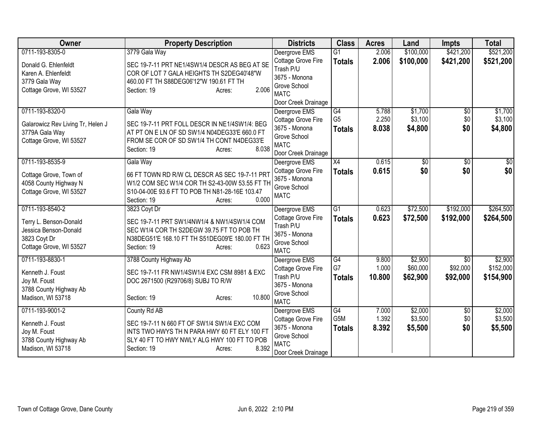| Owner                             | <b>Property Description</b>                                                                      | <b>Districts</b>                    | <b>Class</b>    | <b>Acres</b> | Land         | <b>Impts</b>           | <b>Total</b>    |
|-----------------------------------|--------------------------------------------------------------------------------------------------|-------------------------------------|-----------------|--------------|--------------|------------------------|-----------------|
| 0711-193-8305-0                   | 3779 Gala Way                                                                                    | Deergrove EMS                       | $\overline{G1}$ | 2.006        | \$100,000    | \$421,200              | \$521,200       |
| Donald G. Ehlenfeldt              | SEC 19-7-11 PRT NE1/4SW1/4 DESCR AS BEG AT SE                                                    | Cottage Grove Fire                  | <b>Totals</b>   | 2.006        | \$100,000    | \$421,200              | \$521,200       |
| Karen A. Ehlenfeldt               | COR OF LOT 7 GALA HEIGHTS TH S2DEG40'48"W                                                        | Trash P/U                           |                 |              |              |                        |                 |
| 3779 Gala Way                     | 460.00 FT TH S88DEG06'12"W 190.61 FT TH                                                          | 3675 - Monona                       |                 |              |              |                        |                 |
| Cottage Grove, WI 53527           | 2.006<br>Section: 19<br>Acres:                                                                   | Grove School                        |                 |              |              |                        |                 |
|                                   |                                                                                                  | <b>MATC</b>                         |                 |              |              |                        |                 |
| 0711-193-8320-0                   | Gala Way                                                                                         | Door Creek Drainage                 | G4              | 5.788        | \$1,700      |                        | \$1,700         |
|                                   |                                                                                                  | Deergrove EMS                       | G <sub>5</sub>  | 2.250        | \$3,100      | $\overline{50}$<br>\$0 | \$3,100         |
| Galarowicz Rev Living Tr, Helen J | SEC 19-7-11 PRT FOLL DESCR IN NE1/4SW1/4: BEG                                                    | Cottage Grove Fire<br>3675 - Monona |                 | 8.038        | \$4,800      | \$0                    | \$4,800         |
| 3779A Gala Way                    | AT PT ON E LN OF SD SW1/4 N04DEG33'E 660.0 FT                                                    | Grove School                        | <b>Totals</b>   |              |              |                        |                 |
| Cottage Grove, WI 53527           | FROM SE COR OF SD SW1/4 TH CONT N4DEG33'E                                                        | <b>MATC</b>                         |                 |              |              |                        |                 |
|                                   | 8.038<br>Section: 19<br>Acres:                                                                   | Door Creek Drainage                 |                 |              |              |                        |                 |
| 0711-193-8535-9                   | Gala Way                                                                                         | Deergrove EMS                       | $\overline{X4}$ | 0.615        | $\sqrt[6]{}$ | \$0                    | $\overline{30}$ |
|                                   |                                                                                                  | Cottage Grove Fire                  | <b>Totals</b>   | 0.615        | \$0          | \$0                    | \$0             |
| Cottage Grove, Town of            | 66 FT TOWN RD R/W CL DESCR AS SEC 19-7-11 PRT                                                    | 3675 - Monona                       |                 |              |              |                        |                 |
| 4058 County Highway N             | W1/2 COM SEC W1/4 COR TH S2-43-00W 53.55 FT TH<br>S10-04-00E 93.6 FT TO POB TH N81-28-16E 103.47 | Grove School                        |                 |              |              |                        |                 |
| Cottage Grove, WI 53527           | 0.000<br>Section: 19<br>Acres:                                                                   | <b>MATC</b>                         |                 |              |              |                        |                 |
| 0711-193-8540-2                   | 3823 Coyt Dr                                                                                     | Deergrove EMS                       | $\overline{G1}$ | 0.623        | \$72,500     | \$192,000              | \$264,500       |
|                                   |                                                                                                  | Cottage Grove Fire                  | <b>Totals</b>   | 0.623        | \$72,500     | \$192,000              | \$264,500       |
| Terry L. Benson-Donald            | SEC 19-7-11 PRT SW1/4NW1/4 & NW1/4SW1/4 COM                                                      | Trash P/U                           |                 |              |              |                        |                 |
| Jessica Benson-Donald             | SEC W1/4 COR TH S2DEGW 39.75 FT TO POB TH                                                        | 3675 - Monona                       |                 |              |              |                        |                 |
| 3823 Coyt Dr                      | N38DEG51'E 168.10 FT TH S51DEG09'E 180.00 FT TH                                                  | Grove School                        |                 |              |              |                        |                 |
| Cottage Grove, WI 53527           | 0.623<br>Section: 19<br>Acres:                                                                   | <b>MATC</b>                         |                 |              |              |                        |                 |
| 0711-193-8830-1                   | 3788 County Highway Ab                                                                           | Deergrove EMS                       | G4              | 9.800        | \$2,900      | \$0                    | \$2,900         |
| Kenneth J. Foust                  | SEC 19-7-11 FR NW1/4SW1/4 EXC CSM 8981 & EXC                                                     | Cottage Grove Fire                  | G7              | 1.000        | \$60,000     | \$92,000               | \$152,000       |
| Joy M. Foust                      | DOC 2671500 (R29706/8) SUBJ TO R/W                                                               | Trash P/U                           | <b>Totals</b>   | 10.800       | \$62,900     | \$92,000               | \$154,900       |
| 3788 County Highway Ab            |                                                                                                  | 3675 - Monona                       |                 |              |              |                        |                 |
| Madison, WI 53718                 | 10.800<br>Section: 19<br>Acres:                                                                  | Grove School                        |                 |              |              |                        |                 |
|                                   |                                                                                                  | <b>MATC</b>                         |                 |              |              |                        |                 |
| 0711-193-9001-2                   | County Rd AB                                                                                     | Deergrove EMS                       | G4              | 7.000        | \$2,000      | $\overline{30}$        | \$2,000         |
| Kenneth J. Foust                  | SEC 19-7-11 N 660 FT OF SW1/4 SW1/4 EXC COM                                                      | Cottage Grove Fire                  | G5M             | 1.392        | \$3,500      | \$0                    | \$3,500         |
| Joy M. Foust                      | INTS TWO HWYS TH N PARA HWY 60 FT ELY 100 FT                                                     | 3675 - Monona                       | <b>Totals</b>   | 8.392        | \$5,500      | \$0                    | \$5,500         |
| 3788 County Highway Ab            | SLY 40 FT TO HWY NWLY ALG HWY 100 FT TO POB                                                      | Grove School<br><b>MATC</b>         |                 |              |              |                        |                 |
| Madison, WI 53718                 | 8.392<br>Section: 19<br>Acres:                                                                   | Door Creek Drainage                 |                 |              |              |                        |                 |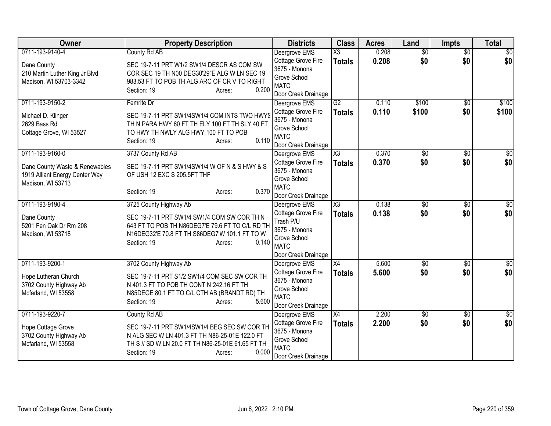| Owner                          | <b>Property Description</b>                       | <b>Districts</b>                    | <b>Class</b>           | <b>Acres</b>   | Land                   | <b>Impts</b>           | <b>Total</b> |
|--------------------------------|---------------------------------------------------|-------------------------------------|------------------------|----------------|------------------------|------------------------|--------------|
| 0711-193-9140-4                | County Rd AB                                      | Deergrove EMS                       | $\overline{\text{X3}}$ | 0.208          | $\overline{50}$        | $\overline{50}$        | \$0          |
| Dane County                    | SEC 19-7-11 PRT W1/2 SW1/4 DESCR AS COM SW        | Cottage Grove Fire                  | <b>Totals</b>          | 0.208          | \$0                    | \$0                    | \$0          |
| 210 Martin Luther King Jr Blvd | COR SEC 19 TH N00 DEG30'29"E ALG W LN SEC 19      | 3675 - Monona                       |                        |                |                        |                        |              |
| Madison, WI 53703-3342         | 983.53 FT TO POB TH ALG ARC OF CR V TO RIGHT      | Grove School<br><b>MATC</b>         |                        |                |                        |                        |              |
|                                | 0.200<br>Section: 19<br>Acres:                    | Door Creek Drainage                 |                        |                |                        |                        |              |
| 0711-193-9150-2                | Femrite Dr                                        | Deergrove EMS                       | $\overline{G2}$        | 0.110          | \$100                  | \$0                    | \$100        |
|                                |                                                   | Cottage Grove Fire                  | <b>Totals</b>          | 0.110          | \$100                  | \$0                    | \$100        |
| Michael D. Klinger             | SEC 19-7-11 PRT SW1/4SW1/4 COM INTS TWO HWYS      | 3675 - Monona                       |                        |                |                        |                        |              |
| 2629 Bass Rd                   | TH N PARA HWY 60 FT TH ELY 100 FT TH SLY 40 FT    | Grove School                        |                        |                |                        |                        |              |
| Cottage Grove, WI 53527        | TO HWY TH NWLY ALG HWY 100 FT TO POB              | <b>MATC</b>                         |                        |                |                        |                        |              |
|                                | 0.110<br>Section: 19<br>Acres:                    | Door Creek Drainage                 |                        |                |                        |                        |              |
| 0711-193-9160-0                | 3737 County Rd AB                                 | Deergrove EMS                       | $\overline{\text{X3}}$ | 0.370          | \$0                    | $\frac{1}{20}$         | \$0          |
| Dane County Waste & Renewables | SEC 19-7-11 PRT SW1/4SW1/4 W OF N & S HWY & S     | Cottage Grove Fire                  | <b>Totals</b>          | 0.370          | \$0                    | \$0                    | \$0          |
| 1919 Alliant Energy Center Way | OF USH 12 EXC S 205.5FT THF                       | 3675 - Monona                       |                        |                |                        |                        |              |
| Madison, WI 53713              |                                                   | Grove School                        |                        |                |                        |                        |              |
|                                | 0.370<br>Section: 19<br>Acres:                    | <b>MATC</b>                         |                        |                |                        |                        |              |
|                                |                                                   | Door Creek Drainage                 | $\overline{\text{X3}}$ |                |                        |                        |              |
| 0711-193-9190-4                | 3725 County Highway Ab                            | Deergrove EMS                       |                        | 0.138<br>0.138 | $\overline{50}$<br>\$0 | $\overline{50}$<br>\$0 | \$0          |
| Dane County                    | SEC 19-7-11 PRT SW1/4 SW1/4 COM SW COR TH N       | Cottage Grove Fire<br>Trash P/U     | <b>Totals</b>          |                |                        |                        | \$0          |
| 5201 Fen Oak Dr Rm 208         | 643 FT TO POB TH N86DEG7'E 79.6 FT TO C/L RD TH   | 3675 - Monona                       |                        |                |                        |                        |              |
| Madison, WI 53718              | N16DEG32'E 70.8 FT TH S86DEG7'W 101.1 FT TO W     | Grove School                        |                        |                |                        |                        |              |
|                                | 0.140<br>Section: 19<br>Acres:                    | <b>MATC</b>                         |                        |                |                        |                        |              |
|                                |                                                   | Door Creek Drainage                 |                        |                |                        |                        |              |
| 0711-193-9200-1                | 3702 County Highway Ab                            | Deergrove EMS                       | X4                     | 5.600          | $\sqrt{$0}$            | \$0                    | $\sqrt{30}$  |
| Hope Lutheran Church           | SEC 19-7-11 PRT S1/2 SW1/4 COM SEC SW COR TH      | Cottage Grove Fire                  | <b>Totals</b>          | 5.600          | \$0                    | \$0                    | \$0          |
| 3702 County Highway Ab         | N 401.3 FT TO POB TH CONT N 242.16 FT TH          | 3675 - Monona                       |                        |                |                        |                        |              |
| Mcfarland, WI 53558            | N85DEGE 80.1 FT TO C/L CTH AB (BRANDT RD) TH      | Grove School                        |                        |                |                        |                        |              |
|                                | 5.600<br>Section: 19<br>Acres:                    | <b>MATC</b>                         |                        |                |                        |                        |              |
|                                |                                                   | Door Creek Drainage                 |                        |                |                        |                        |              |
| 0711-193-9220-7                | County Rd AB                                      | Deergrove EMS                       | X4                     | 2.200          | \$0                    | \$0                    | \$0          |
| Hope Cottage Grove             | SEC 19-7-11 PRT SW1/4SW1/4 BEG SEC SW COR TH      | Cottage Grove Fire<br>3675 - Monona | <b>Totals</b>          | 2.200          | \$0                    | \$0                    | \$0          |
| 3702 County Highway Ab         | N ALG SEC W LN 401.3 FT TH N86-25-01E 122.0 FT    | Grove School                        |                        |                |                        |                        |              |
| Mcfarland, WI 53558            | TH S // SD W LN 20.0 FT TH N86-25-01E 61.65 FT TH | <b>MATC</b>                         |                        |                |                        |                        |              |
|                                | 0.000<br>Section: 19<br>Acres:                    | Door Creek Drainage                 |                        |                |                        |                        |              |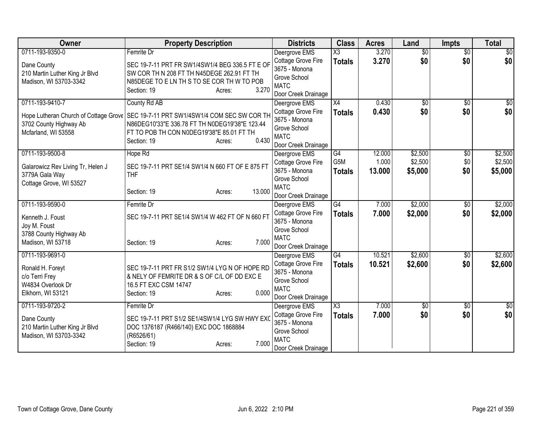| Femrite Dr<br>$\overline{\text{X3}}$<br>3.270<br>$\overline{50}$<br>$\overline{50}$<br>Deergrove EMS<br>\$0 <br>3.270<br>\$0<br>\$0<br>Cottage Grove Fire<br><b>Totals</b><br>SEC 19-7-11 PRT FR SW1/4SW1/4 BEG 336.5 FT E OF<br>Dane County<br>3675 - Monona<br>SW COR TH N 208 FT TH N45DEGE 262.91 FT TH<br>210 Martin Luther King Jr Blvd<br>Grove School<br>Madison, WI 53703-3342<br>N85DEGE TO E LN TH S TO SE COR TH W TO POB<br><b>MATC</b><br>3.270<br>Section: 19<br>Acres:<br>Door Creek Drainage<br>0711-193-9410-7<br>County Rd AB<br>$\overline{X4}$<br>0.430<br>Deergrove EMS<br>$\overline{50}$<br>$\overline{50}$<br>\$0<br>0.430<br>\$0<br>Cottage Grove Fire<br><b>Totals</b><br>SEC 19-7-11 PRT SW1/4SW1/4 COM SEC SW COR TH<br>Hope Lutheran Church of Cottage Grove<br>3675 - Monona<br>N86DEG10'33"E 336.78 FT TH N0DEG19'38"E 123.44<br>3702 County Highway Ab<br>Grove School<br>Mcfarland, WI 53558<br>FT TO POB TH CON N0DEG19'38"E 85.01 FT TH<br><b>MATC</b><br>0.430<br>Section: 19<br>Acres:<br>Door Creek Drainage<br>G4<br>12.000<br>\$2,500<br>0711-193-9500-8<br>Hope Rd<br>\$0<br>Deergrove EMS<br>G <sub>5</sub> M<br>\$2,500<br>Cottage Grove Fire<br>1.000<br>\$0<br>SEC 19-7-11 PRT SE1/4 SW1/4 N 660 FT OF E 875 FT<br>Galarowicz Rev Living Tr, Helen J<br>3675 - Monona<br>\$5,000<br>\$0<br>13.000<br>\$5,000<br><b>Totals</b><br><b>THF</b><br>3779A Gala Way<br>Grove School<br>Cottage Grove, WI 53527<br><b>MATC</b><br>13.000<br>Section: 19<br>Acres:<br>Door Creek Drainage<br>G4<br>\$2,000<br>Femrite Dr<br>0711-193-9590-0<br>Deergrove EMS<br>7.000<br>$\overline{50}$<br>7.000<br>\$2,000<br>\$0<br>Cottage Grove Fire<br>\$2,000<br><b>Totals</b><br>SEC 19-7-11 PRT SE1/4 SW1/4 W 462 FT OF N 660 FT<br>Kenneth J. Foust<br>3675 - Monona<br>Joy M. Foust<br>Grove School<br>3788 County Highway Ab<br><b>MATC</b><br>Madison, WI 53718<br>7.000<br>Section: 19<br>Acres:<br>Door Creek Drainage<br>\$2,600<br>0711-193-9691-0<br>G4<br>10.521<br>$\overline{50}$<br>Deergrove EMS<br>\$2,600<br>\$0<br>Cottage Grove Fire<br>10.521<br><b>Totals</b><br>SEC 19-7-11 PRT FR S1/2 SW1/4 LYG N OF HOPE RD<br>Ronald H. Foreyt<br>3675 - Monona<br>& NELY OF FEMRITE DR & S OF C/L OF DD EXC E<br>c/o Terri Frey<br>Grove School<br>16.5 FT EXC CSM 14747<br>W4834 Overlook Dr<br><b>MATC</b> | Owner             | <b>Property Description</b> | <b>Districts</b> | <b>Class</b> | <b>Acres</b> | Land | <b>Impts</b> | <b>Total</b> |
|-------------------------------------------------------------------------------------------------------------------------------------------------------------------------------------------------------------------------------------------------------------------------------------------------------------------------------------------------------------------------------------------------------------------------------------------------------------------------------------------------------------------------------------------------------------------------------------------------------------------------------------------------------------------------------------------------------------------------------------------------------------------------------------------------------------------------------------------------------------------------------------------------------------------------------------------------------------------------------------------------------------------------------------------------------------------------------------------------------------------------------------------------------------------------------------------------------------------------------------------------------------------------------------------------------------------------------------------------------------------------------------------------------------------------------------------------------------------------------------------------------------------------------------------------------------------------------------------------------------------------------------------------------------------------------------------------------------------------------------------------------------------------------------------------------------------------------------------------------------------------------------------------------------------------------------------------------------------------------------------------------------------------------------------------------------------------------------------------------------------------------------------------------------------------------------------------------------------------------------------------------------------------------------------------------------------------------------------------------|-------------------|-----------------------------|------------------|--------------|--------------|------|--------------|--------------|
|                                                                                                                                                                                                                                                                                                                                                                                                                                                                                                                                                                                                                                                                                                                                                                                                                                                                                                                                                                                                                                                                                                                                                                                                                                                                                                                                                                                                                                                                                                                                                                                                                                                                                                                                                                                                                                                                                                                                                                                                                                                                                                                                                                                                                                                                                                                                                       | 0711-193-9350-0   |                             |                  |              |              |      |              | \$0          |
|                                                                                                                                                                                                                                                                                                                                                                                                                                                                                                                                                                                                                                                                                                                                                                                                                                                                                                                                                                                                                                                                                                                                                                                                                                                                                                                                                                                                                                                                                                                                                                                                                                                                                                                                                                                                                                                                                                                                                                                                                                                                                                                                                                                                                                                                                                                                                       |                   |                             |                  |              |              |      |              |              |
|                                                                                                                                                                                                                                                                                                                                                                                                                                                                                                                                                                                                                                                                                                                                                                                                                                                                                                                                                                                                                                                                                                                                                                                                                                                                                                                                                                                                                                                                                                                                                                                                                                                                                                                                                                                                                                                                                                                                                                                                                                                                                                                                                                                                                                                                                                                                                       |                   |                             |                  |              |              |      |              |              |
|                                                                                                                                                                                                                                                                                                                                                                                                                                                                                                                                                                                                                                                                                                                                                                                                                                                                                                                                                                                                                                                                                                                                                                                                                                                                                                                                                                                                                                                                                                                                                                                                                                                                                                                                                                                                                                                                                                                                                                                                                                                                                                                                                                                                                                                                                                                                                       |                   |                             |                  |              |              |      |              |              |
| $\sqrt{30}$<br>\$0 <br>\$2,500<br>\$2,500<br>\$2,000<br>\$2,600<br>\$2,600                                                                                                                                                                                                                                                                                                                                                                                                                                                                                                                                                                                                                                                                                                                                                                                                                                                                                                                                                                                                                                                                                                                                                                                                                                                                                                                                                                                                                                                                                                                                                                                                                                                                                                                                                                                                                                                                                                                                                                                                                                                                                                                                                                                                                                                                            |                   |                             |                  |              |              |      |              |              |
|                                                                                                                                                                                                                                                                                                                                                                                                                                                                                                                                                                                                                                                                                                                                                                                                                                                                                                                                                                                                                                                                                                                                                                                                                                                                                                                                                                                                                                                                                                                                                                                                                                                                                                                                                                                                                                                                                                                                                                                                                                                                                                                                                                                                                                                                                                                                                       |                   |                             |                  |              |              |      |              |              |
|                                                                                                                                                                                                                                                                                                                                                                                                                                                                                                                                                                                                                                                                                                                                                                                                                                                                                                                                                                                                                                                                                                                                                                                                                                                                                                                                                                                                                                                                                                                                                                                                                                                                                                                                                                                                                                                                                                                                                                                                                                                                                                                                                                                                                                                                                                                                                       |                   |                             |                  |              |              |      |              |              |
|                                                                                                                                                                                                                                                                                                                                                                                                                                                                                                                                                                                                                                                                                                                                                                                                                                                                                                                                                                                                                                                                                                                                                                                                                                                                                                                                                                                                                                                                                                                                                                                                                                                                                                                                                                                                                                                                                                                                                                                                                                                                                                                                                                                                                                                                                                                                                       |                   |                             |                  |              |              |      |              |              |
|                                                                                                                                                                                                                                                                                                                                                                                                                                                                                                                                                                                                                                                                                                                                                                                                                                                                                                                                                                                                                                                                                                                                                                                                                                                                                                                                                                                                                                                                                                                                                                                                                                                                                                                                                                                                                                                                                                                                                                                                                                                                                                                                                                                                                                                                                                                                                       |                   |                             |                  |              |              |      |              |              |
|                                                                                                                                                                                                                                                                                                                                                                                                                                                                                                                                                                                                                                                                                                                                                                                                                                                                                                                                                                                                                                                                                                                                                                                                                                                                                                                                                                                                                                                                                                                                                                                                                                                                                                                                                                                                                                                                                                                                                                                                                                                                                                                                                                                                                                                                                                                                                       |                   |                             |                  |              |              |      |              |              |
|                                                                                                                                                                                                                                                                                                                                                                                                                                                                                                                                                                                                                                                                                                                                                                                                                                                                                                                                                                                                                                                                                                                                                                                                                                                                                                                                                                                                                                                                                                                                                                                                                                                                                                                                                                                                                                                                                                                                                                                                                                                                                                                                                                                                                                                                                                                                                       |                   |                             |                  |              |              |      |              |              |
|                                                                                                                                                                                                                                                                                                                                                                                                                                                                                                                                                                                                                                                                                                                                                                                                                                                                                                                                                                                                                                                                                                                                                                                                                                                                                                                                                                                                                                                                                                                                                                                                                                                                                                                                                                                                                                                                                                                                                                                                                                                                                                                                                                                                                                                                                                                                                       |                   |                             |                  |              |              |      |              |              |
|                                                                                                                                                                                                                                                                                                                                                                                                                                                                                                                                                                                                                                                                                                                                                                                                                                                                                                                                                                                                                                                                                                                                                                                                                                                                                                                                                                                                                                                                                                                                                                                                                                                                                                                                                                                                                                                                                                                                                                                                                                                                                                                                                                                                                                                                                                                                                       |                   |                             |                  |              |              |      |              |              |
|                                                                                                                                                                                                                                                                                                                                                                                                                                                                                                                                                                                                                                                                                                                                                                                                                                                                                                                                                                                                                                                                                                                                                                                                                                                                                                                                                                                                                                                                                                                                                                                                                                                                                                                                                                                                                                                                                                                                                                                                                                                                                                                                                                                                                                                                                                                                                       |                   |                             |                  |              |              |      |              |              |
|                                                                                                                                                                                                                                                                                                                                                                                                                                                                                                                                                                                                                                                                                                                                                                                                                                                                                                                                                                                                                                                                                                                                                                                                                                                                                                                                                                                                                                                                                                                                                                                                                                                                                                                                                                                                                                                                                                                                                                                                                                                                                                                                                                                                                                                                                                                                                       |                   |                             |                  |              |              |      |              |              |
|                                                                                                                                                                                                                                                                                                                                                                                                                                                                                                                                                                                                                                                                                                                                                                                                                                                                                                                                                                                                                                                                                                                                                                                                                                                                                                                                                                                                                                                                                                                                                                                                                                                                                                                                                                                                                                                                                                                                                                                                                                                                                                                                                                                                                                                                                                                                                       |                   |                             |                  |              |              |      |              |              |
|                                                                                                                                                                                                                                                                                                                                                                                                                                                                                                                                                                                                                                                                                                                                                                                                                                                                                                                                                                                                                                                                                                                                                                                                                                                                                                                                                                                                                                                                                                                                                                                                                                                                                                                                                                                                                                                                                                                                                                                                                                                                                                                                                                                                                                                                                                                                                       |                   |                             |                  |              |              |      |              |              |
|                                                                                                                                                                                                                                                                                                                                                                                                                                                                                                                                                                                                                                                                                                                                                                                                                                                                                                                                                                                                                                                                                                                                                                                                                                                                                                                                                                                                                                                                                                                                                                                                                                                                                                                                                                                                                                                                                                                                                                                                                                                                                                                                                                                                                                                                                                                                                       |                   |                             |                  |              |              |      |              |              |
|                                                                                                                                                                                                                                                                                                                                                                                                                                                                                                                                                                                                                                                                                                                                                                                                                                                                                                                                                                                                                                                                                                                                                                                                                                                                                                                                                                                                                                                                                                                                                                                                                                                                                                                                                                                                                                                                                                                                                                                                                                                                                                                                                                                                                                                                                                                                                       |                   |                             |                  |              |              |      |              |              |
|                                                                                                                                                                                                                                                                                                                                                                                                                                                                                                                                                                                                                                                                                                                                                                                                                                                                                                                                                                                                                                                                                                                                                                                                                                                                                                                                                                                                                                                                                                                                                                                                                                                                                                                                                                                                                                                                                                                                                                                                                                                                                                                                                                                                                                                                                                                                                       |                   |                             |                  |              |              |      |              |              |
|                                                                                                                                                                                                                                                                                                                                                                                                                                                                                                                                                                                                                                                                                                                                                                                                                                                                                                                                                                                                                                                                                                                                                                                                                                                                                                                                                                                                                                                                                                                                                                                                                                                                                                                                                                                                                                                                                                                                                                                                                                                                                                                                                                                                                                                                                                                                                       |                   |                             |                  |              |              |      |              |              |
|                                                                                                                                                                                                                                                                                                                                                                                                                                                                                                                                                                                                                                                                                                                                                                                                                                                                                                                                                                                                                                                                                                                                                                                                                                                                                                                                                                                                                                                                                                                                                                                                                                                                                                                                                                                                                                                                                                                                                                                                                                                                                                                                                                                                                                                                                                                                                       |                   |                             |                  |              |              |      |              |              |
|                                                                                                                                                                                                                                                                                                                                                                                                                                                                                                                                                                                                                                                                                                                                                                                                                                                                                                                                                                                                                                                                                                                                                                                                                                                                                                                                                                                                                                                                                                                                                                                                                                                                                                                                                                                                                                                                                                                                                                                                                                                                                                                                                                                                                                                                                                                                                       |                   |                             |                  |              |              |      |              |              |
|                                                                                                                                                                                                                                                                                                                                                                                                                                                                                                                                                                                                                                                                                                                                                                                                                                                                                                                                                                                                                                                                                                                                                                                                                                                                                                                                                                                                                                                                                                                                                                                                                                                                                                                                                                                                                                                                                                                                                                                                                                                                                                                                                                                                                                                                                                                                                       |                   |                             |                  |              |              |      |              |              |
|                                                                                                                                                                                                                                                                                                                                                                                                                                                                                                                                                                                                                                                                                                                                                                                                                                                                                                                                                                                                                                                                                                                                                                                                                                                                                                                                                                                                                                                                                                                                                                                                                                                                                                                                                                                                                                                                                                                                                                                                                                                                                                                                                                                                                                                                                                                                                       |                   |                             |                  |              |              |      |              |              |
|                                                                                                                                                                                                                                                                                                                                                                                                                                                                                                                                                                                                                                                                                                                                                                                                                                                                                                                                                                                                                                                                                                                                                                                                                                                                                                                                                                                                                                                                                                                                                                                                                                                                                                                                                                                                                                                                                                                                                                                                                                                                                                                                                                                                                                                                                                                                                       |                   |                             |                  |              |              |      |              |              |
|                                                                                                                                                                                                                                                                                                                                                                                                                                                                                                                                                                                                                                                                                                                                                                                                                                                                                                                                                                                                                                                                                                                                                                                                                                                                                                                                                                                                                                                                                                                                                                                                                                                                                                                                                                                                                                                                                                                                                                                                                                                                                                                                                                                                                                                                                                                                                       |                   |                             |                  |              |              |      |              |              |
| Section: 19<br>Acres:                                                                                                                                                                                                                                                                                                                                                                                                                                                                                                                                                                                                                                                                                                                                                                                                                                                                                                                                                                                                                                                                                                                                                                                                                                                                                                                                                                                                                                                                                                                                                                                                                                                                                                                                                                                                                                                                                                                                                                                                                                                                                                                                                                                                                                                                                                                                 | Elkhorn, WI 53121 | 0.000                       |                  |              |              |      |              |              |
| Door Creek Drainage                                                                                                                                                                                                                                                                                                                                                                                                                                                                                                                                                                                                                                                                                                                                                                                                                                                                                                                                                                                                                                                                                                                                                                                                                                                                                                                                                                                                                                                                                                                                                                                                                                                                                                                                                                                                                                                                                                                                                                                                                                                                                                                                                                                                                                                                                                                                   |                   |                             |                  |              |              |      |              |              |
| 0711-193-9720-2<br>X3<br>7.000<br>\$0<br>\$0<br>\$0<br>Femrite Dr<br>Deergrove EMS                                                                                                                                                                                                                                                                                                                                                                                                                                                                                                                                                                                                                                                                                                                                                                                                                                                                                                                                                                                                                                                                                                                                                                                                                                                                                                                                                                                                                                                                                                                                                                                                                                                                                                                                                                                                                                                                                                                                                                                                                                                                                                                                                                                                                                                                    |                   |                             |                  |              |              |      |              |              |
| \$0<br>\$0 <br>Cottage Grove Fire<br>7.000<br>\$0<br><b>Totals</b><br>SEC 19-7-11 PRT S1/2 SE1/4SW1/4 LYG SW HWY EXO<br>Dane County                                                                                                                                                                                                                                                                                                                                                                                                                                                                                                                                                                                                                                                                                                                                                                                                                                                                                                                                                                                                                                                                                                                                                                                                                                                                                                                                                                                                                                                                                                                                                                                                                                                                                                                                                                                                                                                                                                                                                                                                                                                                                                                                                                                                                   |                   |                             |                  |              |              |      |              |              |
| 3675 - Monona<br>210 Martin Luther King Jr Blvd<br>DOC 1376187 (R466/140) EXC DOC 1868884<br>Grove School                                                                                                                                                                                                                                                                                                                                                                                                                                                                                                                                                                                                                                                                                                                                                                                                                                                                                                                                                                                                                                                                                                                                                                                                                                                                                                                                                                                                                                                                                                                                                                                                                                                                                                                                                                                                                                                                                                                                                                                                                                                                                                                                                                                                                                             |                   |                             |                  |              |              |      |              |              |
| (R6526/61)<br>Madison, WI 53703-3342<br><b>MATC</b>                                                                                                                                                                                                                                                                                                                                                                                                                                                                                                                                                                                                                                                                                                                                                                                                                                                                                                                                                                                                                                                                                                                                                                                                                                                                                                                                                                                                                                                                                                                                                                                                                                                                                                                                                                                                                                                                                                                                                                                                                                                                                                                                                                                                                                                                                                   |                   |                             |                  |              |              |      |              |              |
| 7.000<br>Section: 19<br>Acres:<br>Door Creek Drainage                                                                                                                                                                                                                                                                                                                                                                                                                                                                                                                                                                                                                                                                                                                                                                                                                                                                                                                                                                                                                                                                                                                                                                                                                                                                                                                                                                                                                                                                                                                                                                                                                                                                                                                                                                                                                                                                                                                                                                                                                                                                                                                                                                                                                                                                                                 |                   |                             |                  |              |              |      |              |              |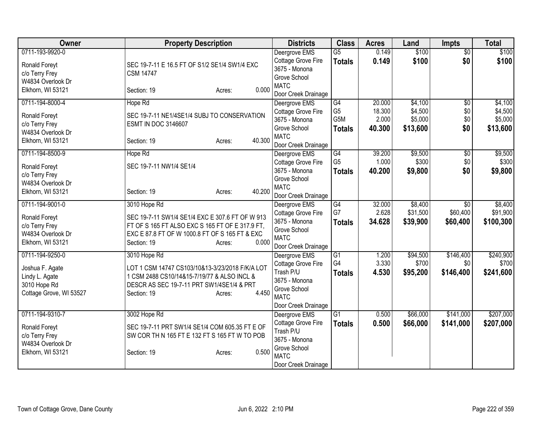| Owner                   | <b>Property Description</b>                     | <b>Districts</b>                    | <b>Class</b>    | <b>Acres</b> | Land     | <b>Impts</b>    | <b>Total</b> |
|-------------------------|-------------------------------------------------|-------------------------------------|-----------------|--------------|----------|-----------------|--------------|
| 0711-193-9920-0         |                                                 | Deergrove EMS                       | $\overline{G5}$ | 0.149        | \$100    | $\overline{50}$ | \$100        |
| Ronald Foreyt           | SEC 19-7-11 E 16.5 FT OF S1/2 SE1/4 SW1/4 EXC   | Cottage Grove Fire                  | <b>Totals</b>   | 0.149        | \$100    | \$0             | \$100        |
| c/o Terry Frey          | <b>CSM 14747</b>                                | 3675 - Monona                       |                 |              |          |                 |              |
| W4834 Overlook Dr       |                                                 | Grove School                        |                 |              |          |                 |              |
| Elkhorn, WI 53121       | 0.000<br>Section: 19<br>Acres:                  | <b>MATC</b>                         |                 |              |          |                 |              |
|                         |                                                 | Door Creek Drainage                 |                 |              |          |                 |              |
| 0711-194-8000-4         | Hope Rd                                         | Deergrove EMS                       | G4              | 20.000       | \$4,100  | $\overline{50}$ | \$4,100      |
| Ronald Foreyt           | SEC 19-7-11 NE1/4SE1/4 SUBJ TO CONSERVATION     | Cottage Grove Fire                  | G <sub>5</sub>  | 18.300       | \$4,500  | \$0             | \$4,500      |
| c/o Terry Frey          | <b>ESMT IN DOC 3146607</b>                      | 3675 - Monona                       | G5M             | 2.000        | \$5,000  | \$0             | \$5,000      |
| W4834 Overlook Dr       |                                                 | Grove School                        | <b>Totals</b>   | 40.300       | \$13,600 | \$0             | \$13,600     |
| Elkhorn, WI 53121       | 40.300<br>Section: 19<br>Acres:                 | <b>MATC</b>                         |                 |              |          |                 |              |
|                         |                                                 | Door Creek Drainage                 |                 |              |          |                 |              |
| 0711-194-8500-9         | Hope Rd                                         | Deergrove EMS                       | G4              | 39.200       | \$9,500  | \$0             | \$9,500      |
| Ronald Foreyt           | SEC 19-7-11 NW1/4 SE1/4                         | Cottage Grove Fire                  | G <sub>5</sub>  | 1.000        | \$300    | \$0             | \$300        |
| c/o Terry Frey          |                                                 | 3675 - Monona                       | <b>Totals</b>   | 40.200       | \$9,800  | \$0             | \$9,800      |
| W4834 Overlook Dr       |                                                 | Grove School<br><b>MATC</b>         |                 |              |          |                 |              |
| Elkhorn, WI 53121       | 40.200<br>Section: 19<br>Acres:                 |                                     |                 |              |          |                 |              |
|                         |                                                 | Door Creek Drainage                 |                 |              |          |                 |              |
| 0711-194-9001-0         | 3010 Hope Rd                                    | Deergrove EMS                       | G4<br>G7        | 32.000       | \$8,400  | $\overline{30}$ | \$8,400      |
| Ronald Foreyt           | SEC 19-7-11 SW1/4 SE1/4 EXC E 307.6 FT OF W 913 | Cottage Grove Fire                  |                 | 2.628        | \$31,500 | \$60,400        | \$91,900     |
| c/o Terry Frey          | FT OF S 165 FT ALSO EXC S 165 FT OF E 317.9 FT, | 3675 - Monona                       | <b>Totals</b>   | 34.628       | \$39,900 | \$60,400        | \$100,300    |
| W4834 Overlook Dr       | EXC E 87.8 FT OF W 1000.8 FT OF S 165 FT & EXC  | Grove School<br><b>MATC</b>         |                 |              |          |                 |              |
| Elkhorn, WI 53121       | 0.000<br>Section: 19<br>Acres:                  | Door Creek Drainage                 |                 |              |          |                 |              |
| 0711-194-9250-0         | 3010 Hope Rd                                    |                                     | G1              | 1.200        | \$94,500 | \$146,400       | \$240,900    |
|                         |                                                 | Deergrove EMS<br>Cottage Grove Fire | G4              | 3.330        | \$700    | \$0             | \$700        |
| Joshua F. Agate         | LOT 1 CSM 14747 CS103/10&13-3/23/2018 F/K/A LOT | Trash P/U                           |                 |              |          |                 |              |
| Lindy L. Agate          | 1 CSM 2488 CS10/14&15-7/19/77 & ALSO INCL &     | 3675 - Monona                       | <b>Totals</b>   | 4.530        | \$95,200 | \$146,400       | \$241,600    |
| 3010 Hope Rd            | DESCR AS SEC 19-7-11 PRT SW1/4SE1/4 & PRT       | Grove School                        |                 |              |          |                 |              |
| Cottage Grove, WI 53527 | 4.450<br>Section: 19<br>Acres:                  | <b>MATC</b>                         |                 |              |          |                 |              |
|                         |                                                 | Door Creek Drainage                 |                 |              |          |                 |              |
| 0711-194-9310-7         | 3002 Hope Rd                                    | Deergrove EMS                       | G1              | 0.500        | \$66,000 | \$141,000       | \$207,000    |
|                         |                                                 | Cottage Grove Fire                  | <b>Totals</b>   | 0.500        | \$66,000 | \$141,000       | \$207,000    |
| Ronald Foreyt           | SEC 19-7-11 PRT SW1/4 SE1/4 COM 605.35 FT E OF  | Trash P/U                           |                 |              |          |                 |              |
| c/o Terry Frey          | SW COR TH N 165 FT E 132 FT S 165 FT W TO POB   | 3675 - Monona                       |                 |              |          |                 |              |
| W4834 Overlook Dr       |                                                 | Grove School                        |                 |              |          |                 |              |
| Elkhorn, WI 53121       | 0.500<br>Section: 19<br>Acres:                  | <b>MATC</b>                         |                 |              |          |                 |              |
|                         |                                                 | Door Creek Drainage                 |                 |              |          |                 |              |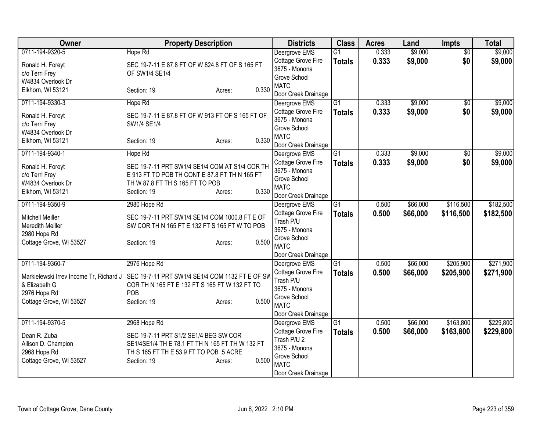| Owner                                       | <b>Property Description</b>                                                                     | <b>Districts</b>                | <b>Class</b>    | <b>Acres</b> | Land     | Impts           | <b>Total</b> |
|---------------------------------------------|-------------------------------------------------------------------------------------------------|---------------------------------|-----------------|--------------|----------|-----------------|--------------|
| 0711-194-9320-5                             | Hope Rd                                                                                         | Deergrove EMS                   | $\overline{G1}$ | 0.333        | \$9,000  | $\overline{50}$ | \$9,000      |
| Ronald H. Foreyt                            | SEC 19-7-11 E 87.8 FT OF W 824.8 FT OF S 165 FT                                                 | Cottage Grove Fire              | <b>Totals</b>   | 0.333        | \$9,000  | \$0             | \$9,000      |
| c/o Terri Frey                              | OF SW1/4 SE1/4                                                                                  | 3675 - Monona                   |                 |              |          |                 |              |
| W4834 Overlook Dr                           |                                                                                                 | Grove School<br><b>MATC</b>     |                 |              |          |                 |              |
| Elkhorn, WI 53121                           | 0.330<br>Section: 19<br>Acres:                                                                  | Door Creek Drainage             |                 |              |          |                 |              |
| 0711-194-9330-3                             | Hope Rd                                                                                         | Deergrove EMS                   | $\overline{G1}$ | 0.333        | \$9,000  | $\overline{50}$ | \$9,000      |
|                                             |                                                                                                 | Cottage Grove Fire              | <b>Totals</b>   | 0.333        | \$9,000  | \$0             | \$9,000      |
| Ronald H. Foreyt                            | SEC 19-7-11 E 87.8 FT OF W 913 FT OF S 165 FT OF                                                | 3675 - Monona                   |                 |              |          |                 |              |
| c/o Terri Frey<br>W4834 Overlook Dr         | SW1/4 SE1/4                                                                                     | Grove School                    |                 |              |          |                 |              |
| Elkhorn, WI 53121                           | 0.330<br>Section: 19<br>Acres:                                                                  | <b>MATC</b>                     |                 |              |          |                 |              |
|                                             |                                                                                                 | Door Creek Drainage             |                 |              |          |                 |              |
| 0711-194-9340-1                             | Hope Rd                                                                                         | Deergrove EMS                   | G1              | 0.333        | \$9,000  | $\overline{50}$ | \$9,000      |
| Ronald H. Foreyt                            | SEC 19-7-11 PRT SW1/4 SE1/4 COM AT S1/4 COR TH                                                  | Cottage Grove Fire              | <b>Totals</b>   | 0.333        | \$9,000  | \$0             | \$9,000      |
| c/o Terri Frey                              | E 913 FT TO POB TH CONT E 87.8 FT TH N 165 FT                                                   | 3675 - Monona                   |                 |              |          |                 |              |
| W4834 Overlook Dr                           | TH W 87.8 FT TH S 165 FT TO POB                                                                 | Grove School<br><b>MATC</b>     |                 |              |          |                 |              |
| Elkhorn, WI 53121                           | 0.330<br>Section: 19<br>Acres:                                                                  | Door Creek Drainage             |                 |              |          |                 |              |
| 0711-194-9350-9                             | 2980 Hope Rd                                                                                    | Deergrove EMS                   | G1              | 0.500        | \$66,000 | \$116,500       | \$182,500    |
|                                             |                                                                                                 | Cottage Grove Fire              | <b>Totals</b>   | 0.500        | \$66,000 | \$116,500       | \$182,500    |
| <b>Mitchell Meiller</b><br>Meredith Meiller | SEC 19-7-11 PRT SW1/4 SE1/4 COM 1000.8 FT E OF<br>SW COR TH N 165 FT E 132 FT S 165 FT W TO POB | Trash P/U                       |                 |              |          |                 |              |
| 2980 Hope Rd                                |                                                                                                 | 3675 - Monona                   |                 |              |          |                 |              |
| Cottage Grove, WI 53527                     | 0.500<br>Section: 19<br>Acres:                                                                  | Grove School                    |                 |              |          |                 |              |
|                                             |                                                                                                 | <b>MATC</b>                     |                 |              |          |                 |              |
|                                             |                                                                                                 | Door Creek Drainage             |                 |              |          |                 |              |
| 0711-194-9360-7                             | 2976 Hope Rd                                                                                    | Deergrove EMS                   | $\overline{G1}$ | 0.500        | \$66,000 | \$205,900       | \$271,900    |
| Markielewski Irrev Income Tr, Richard J     | SEC 19-7-11 PRT SW1/4 SE1/4 COM 1132 FT E OF SW                                                 | Cottage Grove Fire<br>Trash P/U | <b>Totals</b>   | 0.500        | \$66,000 | \$205,900       | \$271,900    |
| & Elizabeth G                               | COR TH N 165 FT E 132 FT S 165 FT W 132 FT TO                                                   | 3675 - Monona                   |                 |              |          |                 |              |
| 2976 Hope Rd                                | <b>POB</b>                                                                                      | Grove School                    |                 |              |          |                 |              |
| Cottage Grove, WI 53527                     | 0.500<br>Section: 19<br>Acres:                                                                  | <b>MATC</b>                     |                 |              |          |                 |              |
|                                             |                                                                                                 | Door Creek Drainage             |                 |              |          |                 |              |
| 0711-194-9370-5                             | 2968 Hope Rd                                                                                    | Deergrove EMS                   | $\overline{G1}$ | 0.500        | \$66,000 | \$163,800       | \$229,800    |
| Dean R. Zuba                                | SEC 19-7-11 PRT S1/2 SE1/4 BEG SW COR                                                           | Cottage Grove Fire              | <b>Totals</b>   | 0.500        | \$66,000 | \$163,800       | \$229,800    |
| Allison D. Champion                         | SE1/4SE1/4 TH E 78.1 FT TH N 165 FT TH W 132 FT                                                 | Trash P/U 2                     |                 |              |          |                 |              |
| 2968 Hope Rd                                | TH S 165 FT TH E 53.9 FT TO POB .5 ACRE                                                         | 3675 - Monona                   |                 |              |          |                 |              |
| Cottage Grove, WI 53527                     | 0.500<br>Section: 19<br>Acres:                                                                  | Grove School<br><b>MATC</b>     |                 |              |          |                 |              |
|                                             |                                                                                                 | Door Creek Drainage             |                 |              |          |                 |              |
|                                             |                                                                                                 |                                 |                 |              |          |                 |              |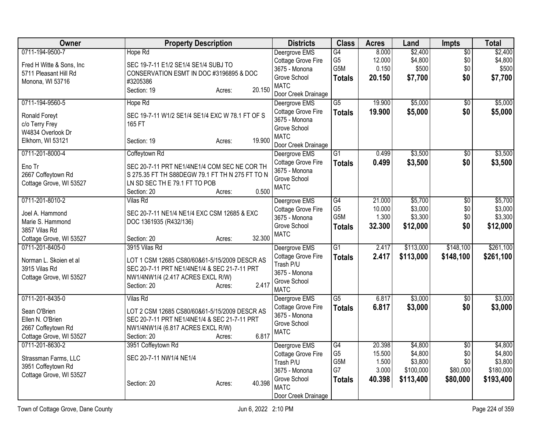| Owner                     | <b>Property Description</b>                     | <b>Districts</b>    | <b>Class</b>     | <b>Acres</b> | Land      | Impts           | <b>Total</b> |
|---------------------------|-------------------------------------------------|---------------------|------------------|--------------|-----------|-----------------|--------------|
| 0711-194-9500-7           | Hope Rd                                         | Deergrove EMS       | G4               | 8.000        | \$2,400   | $\overline{60}$ | \$2,400      |
| Fred H Witte & Sons, Inc. | SEC 19-7-11 E1/2 SE1/4 SE1/4 SUBJ TO            | Cottage Grove Fire  | G <sub>5</sub>   | 12.000       | \$4,800   | \$0             | \$4,800      |
| 5711 Pleasant Hill Rd     | CONSERVATION ESMT IN DOC #3196895 & DOC         | 3675 - Monona       | G5M              | 0.150        | \$500     | \$0             | \$500        |
| Monona, WI 53716          | #3205386                                        | Grove School        | <b>Totals</b>    | 20.150       | \$7,700   | \$0             | \$7,700      |
|                           | 20.150<br>Section: 19<br>Acres:                 | <b>MATC</b>         |                  |              |           |                 |              |
|                           |                                                 | Door Creek Drainage |                  |              |           |                 |              |
| 0711-194-9560-5           | Hope Rd                                         | Deergrove EMS       | $\overline{G5}$  | 19.900       | \$5,000   | $\overline{30}$ | \$5,000      |
| Ronald Foreyt             | SEC 19-7-11 W1/2 SE1/4 SE1/4 EXC W 78.1 FT OF S | Cottage Grove Fire  | <b>Totals</b>    | 19.900       | \$5,000   | \$0             | \$5,000      |
| c/o Terry Frey            | 165 FT                                          | 3675 - Monona       |                  |              |           |                 |              |
| W4834 Overlook Dr         |                                                 | Grove School        |                  |              |           |                 |              |
| Elkhorn, WI 53121         | 19.900<br>Section: 19<br>Acres:                 | <b>MATC</b>         |                  |              |           |                 |              |
|                           |                                                 | Door Creek Drainage |                  |              |           |                 |              |
| 0711-201-8000-4           | Coffeytown Rd                                   | Deergrove EMS       | $\overline{G1}$  | 0.499        | \$3,500   | \$0             | \$3,500      |
| Eno Tr                    | SEC 20-7-11 PRT NE1/4NE1/4 COM SEC NE COR TH    | Cottage Grove Fire  | <b>Totals</b>    | 0.499        | \$3,500   | \$0             | \$3,500      |
| 2667 Coffeytown Rd        | S 275.35 FT TH S88DEGW 79.1 FT TH N 275 FT TO N | 3675 - Monona       |                  |              |           |                 |              |
| Cottage Grove, WI 53527   | LN SD SEC TH E 79.1 FT TO POB                   | Grove School        |                  |              |           |                 |              |
|                           | 0.500<br>Section: 20<br>Acres:                  | <b>MATC</b>         |                  |              |           |                 |              |
| 0711-201-8010-2           | <b>Vilas Rd</b>                                 | Deergrove EMS       | $\overline{G4}$  | 21.000       | \$5,700   | $\overline{30}$ | \$5,700      |
|                           |                                                 | Cottage Grove Fire  | G <sub>5</sub>   | 10.000       | \$3,000   | \$0             | \$3,000      |
| Joel A. Hammond           | SEC 20-7-11 NE1/4 NE1/4 EXC CSM 12685 & EXC     | 3675 - Monona       | G <sub>5</sub> M | 1.300        | \$3,300   | \$0             | \$3,300      |
| Marie S. Hammond          | DOC 1361935 (R432/136)                          | Grove School        | <b>Totals</b>    | 32.300       | \$12,000  | \$0             | \$12,000     |
| 3857 Vilas Rd             |                                                 | <b>MATC</b>         |                  |              |           |                 |              |
| Cottage Grove, WI 53527   | 32.300<br>Section: 20<br>Acres:                 |                     |                  |              |           |                 |              |
| 0711-201-8405-0           | 3915 Vilas Rd                                   | Deergrove EMS       | $\overline{G1}$  | 2.417        | \$113,000 | \$148,100       | \$261,100    |
| Norman L. Skoien et al    | LOT 1 CSM 12685 CS80/60&61-5/15/2009 DESCR AS   | Cottage Grove Fire  | <b>Totals</b>    | 2.417        | \$113,000 | \$148,100       | \$261,100    |
| 3915 Vilas Rd             | SEC 20-7-11 PRT NE1/4NE1/4 & SEC 21-7-11 PRT    | Trash P/U           |                  |              |           |                 |              |
| Cottage Grove, WI 53527   | NW1/4NW1/4 (2.417 ACRES EXCL R/W)               | 3675 - Monona       |                  |              |           |                 |              |
|                           | 2.417<br>Section: 20<br>Acres:                  | Grove School        |                  |              |           |                 |              |
|                           |                                                 | <b>MATC</b>         |                  |              |           |                 |              |
| 0711-201-8435-0           | <b>Vilas Rd</b>                                 | Deergrove EMS       | $\overline{G5}$  | 6.817        | \$3,000   | \$0             | \$3,000      |
| Sean O'Brien              | LOT 2 CSM 12685 CS80/60&61-5/15/2009 DESCR AS   | Cottage Grove Fire  | <b>Totals</b>    | 6.817        | \$3,000   | \$0             | \$3,000      |
| Ellen N. O'Brien          | SEC 20-7-11 PRT NE1/4NE1/4 & SEC 21-7-11 PRT    | 3675 - Monona       |                  |              |           |                 |              |
| 2667 Coffeytown Rd        | NW1/4NW1/4 (6.817 ACRES EXCL R/W)               | Grove School        |                  |              |           |                 |              |
| Cottage Grove, WI 53527   | 6.817<br>Section: 20<br>Acres:                  | <b>MATC</b>         |                  |              |           |                 |              |
| 0711-201-8630-2           | 3951 Coffeytown Rd                              | Deergrove EMS       | G4               | 20.398       | \$4,800   | $\overline{50}$ | \$4,800      |
|                           |                                                 | Cottage Grove Fire  | G <sub>5</sub>   | 15.500       | \$4,800   | \$0             | \$4,800      |
| Strassman Farms, LLC      | SEC 20-7-11 NW1/4 NE1/4                         | Trash P/U           | G5M              | 1.500        | \$3,800   | \$0             | \$3,800      |
| 3951 Coffeytown Rd        |                                                 | 3675 - Monona       | G7               | 3.000        | \$100,000 | \$80,000        | \$180,000    |
| Cottage Grove, WI 53527   |                                                 | Grove School        | <b>Totals</b>    | 40.398       | \$113,400 | \$80,000        | \$193,400    |
|                           | 40.398<br>Section: 20<br>Acres:                 | <b>MATC</b>         |                  |              |           |                 |              |
|                           |                                                 | Door Creek Drainage |                  |              |           |                 |              |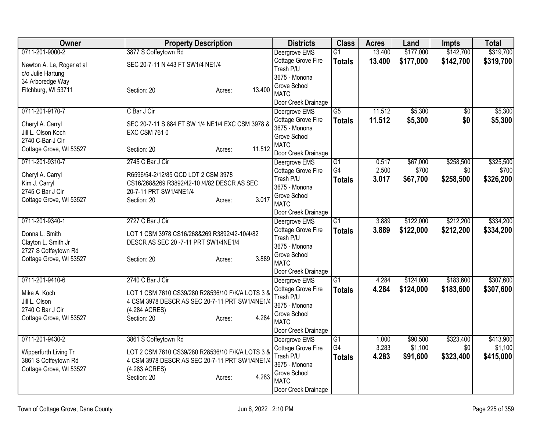| <b>Owner</b>                      | <b>Property Description</b>                                                        | <b>Districts</b>                    | <b>Class</b>    | <b>Acres</b>   | Land      | <b>Impts</b>    | <b>Total</b> |
|-----------------------------------|------------------------------------------------------------------------------------|-------------------------------------|-----------------|----------------|-----------|-----------------|--------------|
| 0711-201-9000-2                   | 3877 S Coffeytown Rd                                                               | Deergrove EMS                       | $\overline{G1}$ | 13.400         | \$177,000 | \$142,700       | \$319,700    |
| Newton A. Le, Roger et al         | SEC 20-7-11 N 443 FT SW1/4 NE1/4                                                   | Cottage Grove Fire<br>Trash P/U     | <b>Totals</b>   | 13.400         | \$177,000 | \$142,700       | \$319,700    |
| c/o Julie Hartung                 |                                                                                    | 3675 - Monona                       |                 |                |           |                 |              |
| 34 Arboredge Way                  |                                                                                    | Grove School                        |                 |                |           |                 |              |
| Fitchburg, WI 53711               | 13.400<br>Section: 20<br>Acres:                                                    | <b>MATC</b>                         |                 |                |           |                 |              |
|                                   |                                                                                    | Door Creek Drainage                 |                 |                |           |                 |              |
| 0711-201-9170-7                   | C Bar J Cir                                                                        | Deergrove EMS                       | $\overline{G5}$ | 11.512         | \$5,300   | $\overline{30}$ | \$5,300      |
| Cheryl A. Carryl                  | SEC 20-7-11 S 884 FT SW 1/4 NE1/4 EXC CSM 3978 &                                   | Cottage Grove Fire                  | <b>Totals</b>   | 11.512         | \$5,300   | \$0             | \$5,300      |
| Jill L. Olson Koch                | <b>EXC CSM 7610</b>                                                                | 3675 - Monona                       |                 |                |           |                 |              |
| 2740 C-Bar-J Cir                  |                                                                                    | Grove School<br><b>MATC</b>         |                 |                |           |                 |              |
| Cottage Grove, WI 53527           | 11.512<br>Section: 20<br>Acres:                                                    | Door Creek Drainage                 |                 |                |           |                 |              |
| 0711-201-9310-7                   | 2745 C Bar J Cir                                                                   | Deergrove EMS                       | G1              | 0.517          | \$67,000  | \$258,500       | \$325,500    |
|                                   |                                                                                    | Cottage Grove Fire                  | G4              | 2.500          | \$700     | \$0             | \$700        |
| Cheryl A. Carryl<br>Kim J. Carryl | R6596/54-2/12/85 QCD LOT 2 CSM 3978<br>CS16/268&269 R3892/42-10 /4/82 DESCR AS SEC | Trash P/U                           | <b>Totals</b>   | 3.017          | \$67,700  | \$258,500       | \$326,200    |
| 2745 C Bar J Cir                  | 20-7-11 PRT SW1/4NE1/4                                                             | 3675 - Monona                       |                 |                |           |                 |              |
| Cottage Grove, WI 53527           | 3.017<br>Section: 20<br>Acres:                                                     | Grove School                        |                 |                |           |                 |              |
|                                   |                                                                                    | <b>MATC</b>                         |                 |                |           |                 |              |
|                                   |                                                                                    | Door Creek Drainage                 |                 |                |           |                 |              |
| 0711-201-9340-1                   | 2727 C Bar J Cir                                                                   | Deergrove EMS<br>Cottage Grove Fire | $\overline{G1}$ | 3.889<br>3.889 | \$122,000 | \$212,200       | \$334,200    |
| Donna L. Smith                    | LOT 1 CSM 3978 CS16/268&269 R3892/42-10/4/82                                       | Trash P/U                           | <b>Totals</b>   |                | \$122,000 | \$212,200       | \$334,200    |
| Clayton L. Smith Jr               | DESCR AS SEC 20 -7-11 PRT SW1/4NE1/4                                               | 3675 - Monona                       |                 |                |           |                 |              |
| 2727 S Coffeytown Rd              |                                                                                    | Grove School                        |                 |                |           |                 |              |
| Cottage Grove, WI 53527           | 3.889<br>Section: 20<br>Acres:                                                     | <b>MATC</b>                         |                 |                |           |                 |              |
|                                   |                                                                                    | Door Creek Drainage                 |                 |                |           |                 |              |
| 0711-201-9410-6                   | 2740 C Bar J Cir                                                                   | Deergrove EMS                       | $\overline{G1}$ | 4.284          | \$124,000 | \$183,600       | \$307,600    |
| Mike A. Koch                      | LOT 1 CSM 7610 CS39/280 R28536/10 F/K/A LOTS 3 &                                   | Cottage Grove Fire                  | <b>Totals</b>   | 4.284          | \$124,000 | \$183,600       | \$307,600    |
| Jill L. Olson                     | 4 CSM 3978 DESCR AS SEC 20-7-11 PRT SW1/4NE1/4                                     | Trash P/U<br>3675 - Monona          |                 |                |           |                 |              |
| 2740 C Bar J Cir                  | (4.284 ACRES)                                                                      | Grove School                        |                 |                |           |                 |              |
| Cottage Grove, WI 53527           | 4.284<br>Section: 20<br>Acres:                                                     | <b>MATC</b>                         |                 |                |           |                 |              |
|                                   |                                                                                    | Door Creek Drainage                 |                 |                |           |                 |              |
| 0711-201-9430-2                   | 3861 S Coffeytown Rd                                                               | Deergrove EMS                       | G1              | 1.000          | \$90,500  | \$323,400       | \$413,900    |
| Wipperfurth Living Tr             | LOT 2 CSM 7610 CS39/280 R28536/10 F/K/A LOTS 3 &                                   | Cottage Grove Fire                  | G4              | 3.283          | \$1,100   | \$0             | \$1,100      |
| 3861 S Coffeytown Rd              | 4 CSM 3978 DESCR AS SEC 20-7-11 PRT SW1/4NE1/4                                     | Trash P/U                           | <b>Totals</b>   | 4.283          | \$91,600  | \$323,400       | \$415,000    |
| Cottage Grove, WI 53527           | (4.283 ACRES)                                                                      | 3675 - Monona                       |                 |                |           |                 |              |
|                                   | 4.283<br>Section: 20<br>Acres:                                                     | Grove School                        |                 |                |           |                 |              |
|                                   |                                                                                    | <b>MATC</b><br>Door Creek Drainage  |                 |                |           |                 |              |
|                                   |                                                                                    |                                     |                 |                |           |                 |              |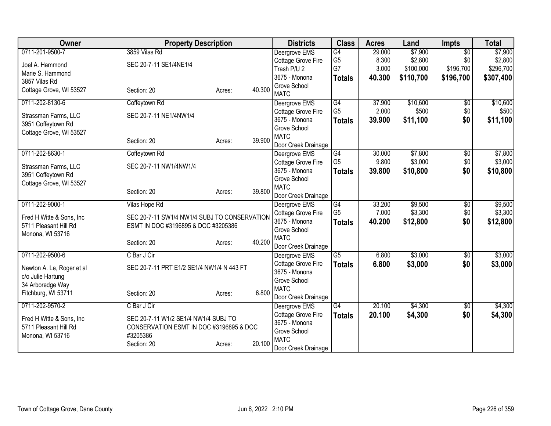| Owner                     | <b>Property Description</b>                  |        |        | <b>Districts</b>                    | <b>Class</b>                      | <b>Acres</b>    | Land               | <b>Impts</b>    | <b>Total</b> |
|---------------------------|----------------------------------------------|--------|--------|-------------------------------------|-----------------------------------|-----------------|--------------------|-----------------|--------------|
| 0711-201-9500-7           | 3859 Vilas Rd                                |        |        | Deergrove EMS                       | G4                                | 29.000          | \$7,900            | $\overline{50}$ | \$7,900      |
| Joel A. Hammond           | SEC 20-7-11 SE1/4NE1/4                       |        |        | Cottage Grove Fire                  | G <sub>5</sub>                    | 8.300           | \$2,800            | \$0             | \$2,800      |
| Marie S. Hammond          |                                              |        |        | Trash P/U 2                         | G7                                | 3.000           | \$100,000          | \$196,700       | \$296,700    |
| 3857 Vilas Rd             |                                              |        |        | 3675 - Monona                       | <b>Totals</b>                     | 40.300          | \$110,700          | \$196,700       | \$307,400    |
| Cottage Grove, WI 53527   | Section: 20                                  | Acres: | 40.300 | Grove School                        |                                   |                 |                    |                 |              |
|                           |                                              |        |        | <b>MATC</b>                         |                                   |                 |                    |                 |              |
| 0711-202-8130-6           | Coffeytown Rd                                |        |        | Deergrove EMS                       | G4                                | 37.900          | \$10,600           | $\overline{50}$ | \$10,600     |
| Strassman Farms, LLC      | SEC 20-7-11 NE1/4NW1/4                       |        |        | Cottage Grove Fire                  | G <sub>5</sub>                    | 2.000           | \$500              | \$0             | \$500        |
| 3951 Coffeytown Rd        |                                              |        |        | 3675 - Monona                       | <b>Totals</b>                     | 39.900          | \$11,100           | \$0             | \$11,100     |
| Cottage Grove, WI 53527   |                                              |        |        | Grove School                        |                                   |                 |                    |                 |              |
|                           | Section: 20                                  | Acres: | 39.900 | <b>MATC</b>                         |                                   |                 |                    |                 |              |
|                           |                                              |        |        | Door Creek Drainage                 |                                   |                 |                    |                 |              |
| 0711-202-8630-1           | Coffeytown Rd                                |        |        | Deergrove EMS                       | $\overline{G4}$<br>G <sub>5</sub> | 30.000<br>9.800 | \$7,800<br>\$3,000 | \$0<br>\$0      | \$7,800      |
| Strassman Farms, LLC      | SEC 20-7-11 NW1/4NW1/4                       |        |        | Cottage Grove Fire<br>3675 - Monona |                                   |                 |                    |                 | \$3,000      |
| 3951 Coffeytown Rd        |                                              |        |        | Grove School                        | <b>Totals</b>                     | 39.800          | \$10,800           | \$0             | \$10,800     |
| Cottage Grove, WI 53527   |                                              |        |        | <b>MATC</b>                         |                                   |                 |                    |                 |              |
|                           | Section: 20                                  | Acres: | 39.800 | Door Creek Drainage                 |                                   |                 |                    |                 |              |
| 0711-202-9000-1           | Vilas Hope Rd                                |        |        | Deergrove EMS                       | G4                                | 33.200          | \$9,500            | $\overline{50}$ | \$9,500      |
|                           |                                              |        |        | Cottage Grove Fire                  | G <sub>5</sub>                    | 7.000           | \$3,300            | \$0             | \$3,300      |
| Fred H Witte & Sons, Inc. | SEC 20-7-11 SW1/4 NW1/4 SUBJ TO CONSERVATION |        |        | 3675 - Monona                       | <b>Totals</b>                     | 40.200          | \$12,800           | \$0             | \$12,800     |
| 5711 Pleasant Hill Rd     | ESMT IN DOC #3196895 & DOC #3205386          |        |        | Grove School                        |                                   |                 |                    |                 |              |
| Monona, WI 53716          |                                              |        |        | <b>MATC</b>                         |                                   |                 |                    |                 |              |
|                           | Section: 20                                  | Acres: | 40.200 | Door Creek Drainage                 |                                   |                 |                    |                 |              |
| 0711-202-9500-6           | C Bar J Cir                                  |        |        | Deergrove EMS                       | $\overline{G5}$                   | 6.800           | \$3,000            | $\sqrt{$0}$     | \$3,000      |
|                           |                                              |        |        | Cottage Grove Fire                  | <b>Totals</b>                     | 6.800           | \$3,000            | \$0             | \$3,000      |
| Newton A. Le, Roger et al | SEC 20-7-11 PRT E1/2 SE1/4 NW1/4 N 443 FT    |        |        | 3675 - Monona                       |                                   |                 |                    |                 |              |
| c/o Julie Hartung         |                                              |        |        | Grove School                        |                                   |                 |                    |                 |              |
| 34 Arboredge Way          |                                              |        |        | <b>MATC</b>                         |                                   |                 |                    |                 |              |
| Fitchburg, WI 53711       | Section: 20                                  | Acres: | 6.800  | Door Creek Drainage                 |                                   |                 |                    |                 |              |
| 0711-202-9570-2           | C Bar J Cir                                  |        |        | Deergrove EMS                       | G4                                | 20.100          | \$4,300            | $\sqrt[6]{}$    | \$4,300      |
|                           |                                              |        |        | Cottage Grove Fire                  | <b>Totals</b>                     | 20.100          | \$4,300            | \$0             | \$4,300      |
| Fred H Witte & Sons, Inc. | SEC 20-7-11 W1/2 SE1/4 NW1/4 SUBJ TO         |        |        | 3675 - Monona                       |                                   |                 |                    |                 |              |
| 5711 Pleasant Hill Rd     | CONSERVATION ESMT IN DOC #3196895 & DOC      |        |        | Grove School                        |                                   |                 |                    |                 |              |
| Monona, WI 53716          | #3205386                                     |        |        | <b>MATC</b>                         |                                   |                 |                    |                 |              |
|                           | Section: 20                                  | Acres: | 20.100 | Door Creek Drainage                 |                                   |                 |                    |                 |              |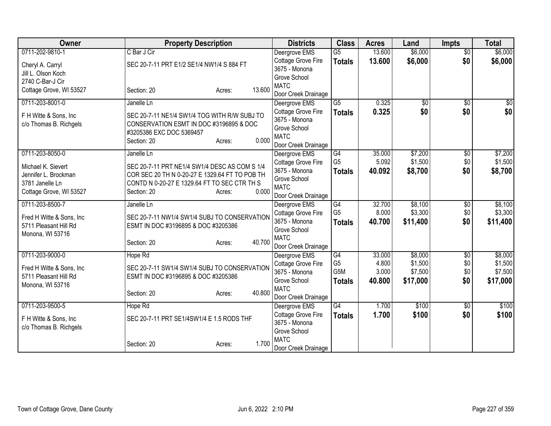| Owner                     | <b>Property Description</b>                    | <b>Districts</b>    | <b>Class</b>     | <b>Acres</b> | Land            | <b>Impts</b>    | <b>Total</b> |
|---------------------------|------------------------------------------------|---------------------|------------------|--------------|-----------------|-----------------|--------------|
| 0711-202-9810-1           | C Bar J Cir                                    | Deergrove EMS       | $\overline{G5}$  | 13.600       | \$6,000         | $\overline{50}$ | \$6,000      |
| Cheryl A. Carryl          | SEC 20-7-11 PRT E1/2 SE1/4 NW1/4 S 884 FT      | Cottage Grove Fire  | <b>Totals</b>    | 13.600       | \$6,000         | \$0             | \$6,000      |
| Jill L. Olson Koch        |                                                | 3675 - Monona       |                  |              |                 |                 |              |
| 2740 C-Bar-J Cir          |                                                | Grove School        |                  |              |                 |                 |              |
| Cottage Grove, WI 53527   | 13.600<br>Section: 20<br>Acres:                | <b>MATC</b>         |                  |              |                 |                 |              |
|                           |                                                | Door Creek Drainage |                  |              |                 |                 |              |
| 0711-203-8001-0           | Janelle Ln                                     | Deergrove EMS       | $\overline{G5}$  | 0.325        | $\overline{50}$ | $\overline{50}$ | $\sqrt{30}$  |
| F H Witte & Sons, Inc.    | SEC 20-7-11 NE1/4 SW1/4 TOG WITH R/W SUBJ TO   | Cottage Grove Fire  | <b>Totals</b>    | 0.325        | \$0             | \$0             | \$0          |
| c/o Thomas B. Richgels    | CONSERVATION ESMT IN DOC #3196895 & DOC        | 3675 - Monona       |                  |              |                 |                 |              |
|                           | #3205386 EXC DOC 5369457                       | Grove School        |                  |              |                 |                 |              |
|                           | 0.000<br>Section: 20<br>Acres:                 | <b>MATC</b>         |                  |              |                 |                 |              |
|                           |                                                | Door Creek Drainage |                  |              |                 |                 |              |
| 0711-203-8050-0           | Janelle Ln                                     | Deergrove EMS       | G4               | 35.000       | \$7,200         | \$0             | \$7,200      |
| Michael K. Sievert        | SEC 20-7-11 PRT NE1/4 SW1/4 DESC AS COM S 1/4  | Cottage Grove Fire  | G <sub>5</sub>   | 5.092        | \$1,500         | \$0             | \$1,500      |
| Jennifer L. Brockman      | COR SEC 20 TH N 0-20-27 E 1329.64 FT TO POB TH | 3675 - Monona       | <b>Totals</b>    | 40.092       | \$8,700         | \$0             | \$8,700      |
| 3781 Janelle Ln           | CONTD N 0-20-27 E 1329.64 FT TO SEC CTR TH S   | Grove School        |                  |              |                 |                 |              |
| Cottage Grove, WI 53527   | 0.000<br>Section: 20<br>Acres:                 | <b>MATC</b>         |                  |              |                 |                 |              |
|                           |                                                | Door Creek Drainage |                  |              |                 |                 |              |
| 0711-203-8500-7           | Janelle Ln                                     | Deergrove EMS       | G4               | 32.700       | \$8,100         | \$0             | \$8,100      |
| Fred H Witte & Sons, Inc. | SEC 20-7-11 NW1/4 SW1/4 SUBJ TO CONSERVATION   | Cottage Grove Fire  | G <sub>5</sub>   | 8.000        | \$3,300         | \$0             | \$3,300      |
| 5711 Pleasant Hill Rd     | ESMT IN DOC #3196895 & DOC #3205386            | 3675 - Monona       | <b>Totals</b>    | 40.700       | \$11,400        | \$0             | \$11,400     |
| Monona, WI 53716          |                                                | Grove School        |                  |              |                 |                 |              |
|                           | 40.700<br>Section: 20<br>Acres:                | <b>MATC</b>         |                  |              |                 |                 |              |
|                           |                                                | Door Creek Drainage |                  |              |                 |                 |              |
| 0711-203-9000-0           | Hope Rd                                        | Deergrove EMS       | G4               | 33.000       | \$8,000         | $\overline{50}$ | \$8,000      |
| Fred H Witte & Sons, Inc. | SEC 20-7-11 SW1/4 SW1/4 SUBJ TO CONSERVATION   | Cottage Grove Fire  | G <sub>5</sub>   | 4.800        | \$1,500         | \$0             | \$1,500      |
| 5711 Pleasant Hill Rd     | ESMT IN DOC #3196895 & DOC #3205386            | 3675 - Monona       | G <sub>5</sub> M | 3.000        | \$7,500         | \$0             | \$7,500      |
| Monona, WI 53716          |                                                | Grove School        | <b>Totals</b>    | 40.800       | \$17,000        | \$0             | \$17,000     |
|                           | 40.800<br>Section: 20<br>Acres:                | <b>MATC</b>         |                  |              |                 |                 |              |
|                           |                                                | Door Creek Drainage |                  |              |                 |                 |              |
| 0711-203-9500-5           | Hope Rd                                        | Deergrove EMS       | G4               | 1.700        | \$100           | \$0             | \$100        |
| F H Witte & Sons, Inc.    | SEC 20-7-11 PRT SE1/4SW1/4 E 1.5 RODS THF      | Cottage Grove Fire  | <b>Totals</b>    | 1.700        | \$100           | \$0             | \$100        |
| c/o Thomas B. Richgels    |                                                | 3675 - Monona       |                  |              |                 |                 |              |
|                           |                                                | Grove School        |                  |              |                 |                 |              |
|                           | 1.700<br>Section: 20<br>Acres:                 | <b>MATC</b>         |                  |              |                 |                 |              |
|                           |                                                | Door Creek Drainage |                  |              |                 |                 |              |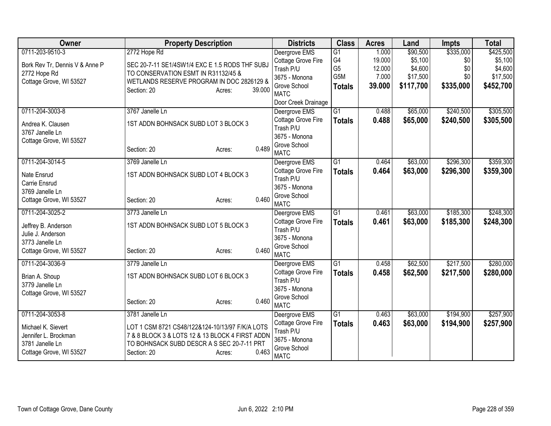| <b>Owner</b>                   | <b>Property Description</b>                     | <b>Districts</b>                | <b>Class</b>     | <b>Acres</b> | Land      | <b>Impts</b> | <b>Total</b> |
|--------------------------------|-------------------------------------------------|---------------------------------|------------------|--------------|-----------|--------------|--------------|
| 0711-203-9510-3                | 2772 Hope Rd                                    | Deergrove EMS                   | $\overline{G1}$  | 1.000        | \$90,500  | \$335,000    | \$425,500    |
| Bork Rev Tr, Dennis V & Anne P | SEC 20-7-11 SE1/4SW1/4 EXC E 1.5 RODS THF SUBJ  | Cottage Grove Fire              | G4               | 19.000       | \$5,100   | \$0          | \$5,100      |
| 2772 Hope Rd                   | TO CONSERVATION ESMT IN R31132/45 &             | Trash P/U                       | G <sub>5</sub>   | 12.000       | \$4,600   | \$0          | \$4,600      |
| Cottage Grove, WI 53527        | WETLANDS RESERVE PROGRAM IN DOC 2826129 &       | 3675 - Monona                   | G <sub>5</sub> M | 7.000        | \$17,500  | \$0          | \$17,500     |
|                                | 39.000<br>Section: 20<br>Acres:                 | Grove School<br><b>MATC</b>     | <b>Totals</b>    | 39.000       | \$117,700 | \$335,000    | \$452,700    |
|                                |                                                 | Door Creek Drainage             |                  |              |           |              |              |
| 0711-204-3003-8                | 3767 Janelle Ln                                 | Deergrove EMS                   | $\overline{G1}$  | 0.488        | \$65,000  | \$240,500    | \$305,500    |
| Andrea K. Clausen              | 1ST ADDN BOHNSACK SUBD LOT 3 BLOCK 3            | Cottage Grove Fire<br>Trash P/U | <b>Totals</b>    | 0.488        | \$65,000  | \$240,500    | \$305,500    |
| 3767 Janelle Ln                |                                                 | 3675 - Monona                   |                  |              |           |              |              |
| Cottage Grove, WI 53527        |                                                 | Grove School                    |                  |              |           |              |              |
|                                | 0.489<br>Section: 20<br>Acres:                  | <b>MATC</b>                     |                  |              |           |              |              |
| 0711-204-3014-5                | 3769 Janelle Ln                                 | Deergrove EMS                   | $\overline{G1}$  | 0.464        | \$63,000  | \$296,300    | \$359,300    |
| Nate Ensrud                    | 1ST ADDN BOHNSACK SUBD LOT 4 BLOCK 3            | Cottage Grove Fire              | <b>Totals</b>    | 0.464        | \$63,000  | \$296,300    | \$359,300    |
| Carrie Ensrud                  |                                                 | Trash P/U                       |                  |              |           |              |              |
| 3769 Janelle Ln                |                                                 | 3675 - Monona                   |                  |              |           |              |              |
| Cottage Grove, WI 53527        | 0.460<br>Section: 20<br>Acres:                  | Grove School                    |                  |              |           |              |              |
|                                |                                                 | <b>MATC</b>                     |                  |              |           |              |              |
| 0711-204-3025-2                | 3773 Janelle Ln                                 | Deergrove EMS                   | $\overline{G1}$  | 0.461        | \$63,000  | \$185,300    | \$248,300    |
| Jeffrey B. Anderson            | 1ST ADDN BOHNSACK SUBD LOT 5 BLOCK 3            | Cottage Grove Fire              | <b>Totals</b>    | 0.461        | \$63,000  | \$185,300    | \$248,300    |
| Julie J. Anderson              |                                                 | Trash P/U<br>3675 - Monona      |                  |              |           |              |              |
| 3773 Janelle Ln                |                                                 | Grove School                    |                  |              |           |              |              |
| Cottage Grove, WI 53527        | 0.460<br>Section: 20<br>Acres:                  | <b>MATC</b>                     |                  |              |           |              |              |
| 0711-204-3036-9                | 3779 Janelle Ln                                 | Deergrove EMS                   | $\overline{G1}$  | 0.458        | \$62,500  | \$217,500    | \$280,000    |
| Brian A. Shoup                 | 1ST ADDN BOHNSACK SUBD LOT 6 BLOCK 3            | Cottage Grove Fire              | <b>Totals</b>    | 0.458        | \$62,500  | \$217,500    | \$280,000    |
| 3779 Janelle Ln                |                                                 | Trash P/U                       |                  |              |           |              |              |
| Cottage Grove, WI 53527        |                                                 | 3675 - Monona                   |                  |              |           |              |              |
|                                | 0.460<br>Section: 20<br>Acres:                  | Grove School                    |                  |              |           |              |              |
|                                |                                                 | <b>MATC</b>                     |                  |              |           |              |              |
| 0711-204-3053-8                | 3781 Janelle Ln                                 | Deergrove EMS                   | G1               | 0.463        | \$63,000  | \$194,900    | \$257,900    |
| Michael K. Sievert             | LOT 1 CSM 8721 CS48/122&124-10/13/97 F/K/A LOTS | Cottage Grove Fire              | <b>Totals</b>    | 0.463        | \$63,000  | \$194,900    | \$257,900    |
| Jennifer L. Brockman           | 7 & 8 BLOCK 3 & LOTS 12 & 13 BLOCK 4 FIRST ADDN | Trash P/U<br>3675 - Monona      |                  |              |           |              |              |
| 3781 Janelle Ln                | TO BOHNSACK SUBD DESCR A S SEC 20-7-11 PRT      | Grove School                    |                  |              |           |              |              |
| Cottage Grove, WI 53527        | 0.463<br>Section: 20<br>Acres:                  | <b>MATC</b>                     |                  |              |           |              |              |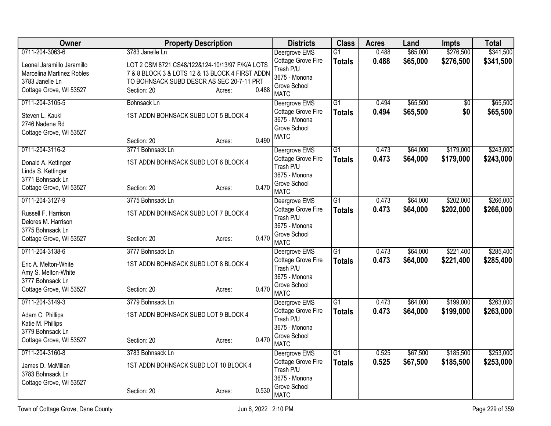| Owner                                                                                                 | <b>Property Description</b>                                                                                                                                              |       | <b>Districts</b>                                                                | <b>Class</b>    | <b>Acres</b> | Land     | Impts           | <b>Total</b> |
|-------------------------------------------------------------------------------------------------------|--------------------------------------------------------------------------------------------------------------------------------------------------------------------------|-------|---------------------------------------------------------------------------------|-----------------|--------------|----------|-----------------|--------------|
| 0711-204-3063-6                                                                                       | 3783 Janelle Ln                                                                                                                                                          |       | Deergrove EMS                                                                   | G1              | 0.488        | \$65,000 | \$276,500       | \$341,500    |
| Leonel Jaramillo Jaramillo<br>Marcelina Martinez Robles<br>3783 Janelle Ln<br>Cottage Grove, WI 53527 | LOT 2 CSM 8721 CS48/122&124-10/13/97 F/K/A LOTS<br>7 & 8 BLOCK 3 & LOTS 12 & 13 BLOCK 4 FIRST ADDN<br>TO BOHNSACK SUBD DESCR AS SEC 20-7-11 PRT<br>Section: 20<br>Acres: | 0.488 | Cottage Grove Fire<br>Trash P/U<br>3675 - Monona<br>Grove School<br><b>MATC</b> | <b>Totals</b>   | 0.488        | \$65,000 | \$276,500       | \$341,500    |
| 0711-204-3105-5                                                                                       | <b>Bohnsack Ln</b>                                                                                                                                                       |       | Deergrove EMS                                                                   | $\overline{G1}$ | 0.494        | \$65,500 | $\overline{50}$ | \$65,500     |
| Steven L. Kaukl<br>2746 Nadene Rd<br>Cottage Grove, WI 53527                                          | 1ST ADDN BOHNSACK SUBD LOT 5 BLOCK 4                                                                                                                                     | 0.490 | Cottage Grove Fire<br>3675 - Monona<br>Grove School<br><b>MATC</b>              | <b>Totals</b>   | 0.494        | \$65,500 | \$0             | \$65,500     |
| 0711-204-3116-2                                                                                       | Section: 20<br>Acres:<br>3771 Bohnsack Ln                                                                                                                                |       | Deergrove EMS                                                                   | $\overline{G1}$ | 0.473        | \$64,000 | \$179,000       | \$243,000    |
| Donald A. Kettinger<br>Linda S. Kettinger<br>3771 Bohnsack Ln<br>Cottage Grove, WI 53527              | 1ST ADDN BOHNSACK SUBD LOT 6 BLOCK 4<br>Section: 20<br>Acres:                                                                                                            | 0.470 | Cottage Grove Fire<br>Trash P/U<br>3675 - Monona<br>Grove School<br><b>MATC</b> | <b>Totals</b>   | 0.473        | \$64,000 | \$179,000       | \$243,000    |
| 0711-204-3127-9                                                                                       | 3775 Bohnsack Ln                                                                                                                                                         |       | Deergrove EMS                                                                   | $\overline{G1}$ | 0.473        | \$64,000 | \$202,000       | \$266,000    |
| Russell F. Harrison<br>Delores M. Harrison<br>3775 Bohnsack Ln<br>Cottage Grove, WI 53527             | 1ST ADDN BOHNSACK SUBD LOT 7 BLOCK 4<br>Section: 20<br>Acres:                                                                                                            | 0.470 | Cottage Grove Fire<br>Trash P/U<br>3675 - Monona<br>Grove School<br><b>MATC</b> | <b>Totals</b>   | 0.473        | \$64,000 | \$202,000       | \$266,000    |
| 0711-204-3138-6                                                                                       | 3777 Bohnsack Ln                                                                                                                                                         |       | Deergrove EMS                                                                   | $\overline{G1}$ | 0.473        | \$64,000 | \$221,400       | \$285,400    |
| Eric A. Melton-White<br>Amy S. Melton-White<br>3777 Bohnsack Ln<br>Cottage Grove, WI 53527            | 1ST ADDN BOHNSACK SUBD LOT 8 BLOCK 4<br>Section: 20<br>Acres:                                                                                                            | 0.470 | Cottage Grove Fire<br>Trash P/U<br>3675 - Monona<br>Grove School<br><b>MATC</b> | <b>Totals</b>   | 0.473        | \$64,000 | \$221,400       | \$285,400    |
| 0711-204-3149-3                                                                                       | 3779 Bohnsack Ln                                                                                                                                                         |       | Deergrove EMS                                                                   | $\overline{G1}$ | 0.473        | \$64,000 | \$199,000       | \$263,000    |
| Adam C. Phillips<br>Katie M. Phillips<br>3779 Bohnsack Ln<br>Cottage Grove, WI 53527                  | 1ST ADDN BOHNSACK SUBD LOT 9 BLOCK 4<br>Section: 20<br>Acres:                                                                                                            | 0.470 | Cottage Grove Fire<br>Trash P/U<br>3675 - Monona<br>Grove School                | <b>Totals</b>   | 0.473        | \$64,000 | \$199,000       | \$263,000    |
| 0711-204-3160-8                                                                                       | 3783 Bohnsack Ln                                                                                                                                                         |       | <b>MATC</b><br>Deergrove EMS                                                    | $\overline{G1}$ | 0.525        | \$67,500 | \$185,500       | \$253,000    |
| James D. McMillan<br>3783 Bohnsack Ln<br>Cottage Grove, WI 53527                                      | 1ST ADDN BOHNSACK SUBD LOT 10 BLOCK 4                                                                                                                                    |       | Cottage Grove Fire<br>Trash P/U<br>3675 - Monona<br>Grove School                | <b>Totals</b>   | 0.525        | \$67,500 | \$185,500       | \$253,000    |
|                                                                                                       | Section: 20<br>Acres:                                                                                                                                                    | 0.530 | <b>MATC</b>                                                                     |                 |              |          |                 |              |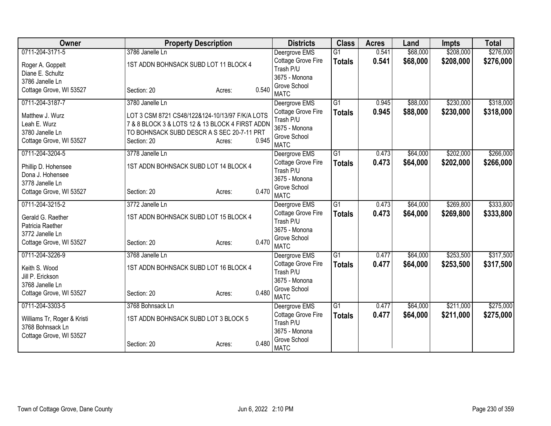| Owner                       | <b>Property Description</b>                     |                 | <b>Districts</b>              | <b>Class</b>    | <b>Acres</b> | Land     | <b>Impts</b> | <b>Total</b> |
|-----------------------------|-------------------------------------------------|-----------------|-------------------------------|-----------------|--------------|----------|--------------|--------------|
| 0711-204-3171-5             | 3786 Janelle Ln                                 |                 | Deergrove EMS                 | $\overline{G1}$ | 0.541        | \$68,000 | \$208,000    | \$276,000    |
| Roger A. Goppelt            | 1ST ADDN BOHNSACK SUBD LOT 11 BLOCK 4           |                 | Cottage Grove Fire            | <b>Totals</b>   | 0.541        | \$68,000 | \$208,000    | \$276,000    |
| Diane E. Schultz            |                                                 |                 | Trash P/U                     |                 |              |          |              |              |
| 3786 Janelle Ln             |                                                 |                 | 3675 - Monona                 |                 |              |          |              |              |
| Cottage Grove, WI 53527     | Section: 20                                     | 0.540<br>Acres: | Grove School                  |                 |              |          |              |              |
|                             |                                                 |                 | <b>MATC</b>                   |                 |              |          |              |              |
| 0711-204-3187-7             | 3780 Janelle Ln                                 |                 | Deergrove EMS                 | $\overline{G1}$ | 0.945        | \$88,000 | \$230,000    | \$318,000    |
| Matthew J. Wurz             | LOT 3 CSM 8721 CS48/122&124-10/13/97 F/K/A LOTS |                 | Cottage Grove Fire            | <b>Totals</b>   | 0.945        | \$88,000 | \$230,000    | \$318,000    |
| Leah E. Wurz                | 7 & 8 BLOCK 3 & LOTS 12 & 13 BLOCK 4 FIRST ADDN |                 | Trash P/U<br>3675 - Monona    |                 |              |          |              |              |
| 3780 Janelle Ln             | TO BOHNSACK SUBD DESCR A S SEC 20-7-11 PRT      |                 | Grove School                  |                 |              |          |              |              |
| Cottage Grove, WI 53527     | Section: 20                                     | 0.945<br>Acres: | <b>MATC</b>                   |                 |              |          |              |              |
| 0711-204-3204-5             | 3778 Janelle Ln                                 |                 | Deergrove EMS                 | $\overline{G1}$ | 0.473        | \$64,000 | \$202,000    | \$266,000    |
|                             |                                                 |                 | Cottage Grove Fire            | <b>Totals</b>   | 0.473        | \$64,000 | \$202,000    | \$266,000    |
| Phillip D. Hohensee         | 1ST ADDN BOHNSACK SUBD LOT 14 BLOCK 4           |                 | Trash P/U                     |                 |              |          |              |              |
| Dona J. Hohensee            |                                                 |                 | 3675 - Monona                 |                 |              |          |              |              |
| 3778 Janelle Ln             |                                                 | 0.470           | Grove School                  |                 |              |          |              |              |
| Cottage Grove, WI 53527     | Section: 20                                     | Acres:          | <b>MATC</b>                   |                 |              |          |              |              |
| 0711-204-3215-2             | 3772 Janelle Ln                                 |                 | Deergrove EMS                 | G <sub>1</sub>  | 0.473        | \$64,000 | \$269,800    | \$333,800    |
| Gerald G. Raether           | 1ST ADDN BOHNSACK SUBD LOT 15 BLOCK 4           |                 | Cottage Grove Fire            | <b>Totals</b>   | 0.473        | \$64,000 | \$269,800    | \$333,800    |
| Patricia Raether            |                                                 |                 | Trash P/U                     |                 |              |          |              |              |
| 3772 Janelle Ln             |                                                 |                 | 3675 - Monona                 |                 |              |          |              |              |
| Cottage Grove, WI 53527     | Section: 20                                     | 0.470<br>Acres: | Grove School                  |                 |              |          |              |              |
|                             |                                                 |                 | <b>MATC</b>                   |                 |              |          |              |              |
| 0711-204-3226-9             | 3768 Janelle Ln                                 |                 | Deergrove EMS                 | G1              | 0.477        | \$64,000 | \$253,500    | \$317,500    |
| Keith S. Wood               | 1ST ADDN BOHNSACK SUBD LOT 16 BLOCK 4           |                 | Cottage Grove Fire            | <b>Totals</b>   | 0.477        | \$64,000 | \$253,500    | \$317,500    |
| Jill P. Erickson            |                                                 |                 | Trash P/U                     |                 |              |          |              |              |
| 3768 Janelle Ln             |                                                 |                 | 3675 - Monona<br>Grove School |                 |              |          |              |              |
| Cottage Grove, WI 53527     | Section: 20                                     | 0.480<br>Acres: | <b>MATC</b>                   |                 |              |          |              |              |
| 0711-204-3303-5             | 3768 Bohnsack Ln                                |                 | Deergrove EMS                 | G1              | 0.477        | \$64,000 | \$211,000    | \$275,000    |
|                             |                                                 |                 | Cottage Grove Fire            | <b>Totals</b>   | 0.477        | \$64,000 | \$211,000    | \$275,000    |
| Williams Tr, Roger & Kristi | 1ST ADDN BOHNSACK SUBD LOT 3 BLOCK 5            |                 | Trash P/U                     |                 |              |          |              |              |
| 3768 Bohnsack Ln            |                                                 |                 | 3675 - Monona                 |                 |              |          |              |              |
| Cottage Grove, WI 53527     |                                                 | 0.480           | Grove School                  |                 |              |          |              |              |
|                             | Section: 20                                     | Acres:          | <b>MATC</b>                   |                 |              |          |              |              |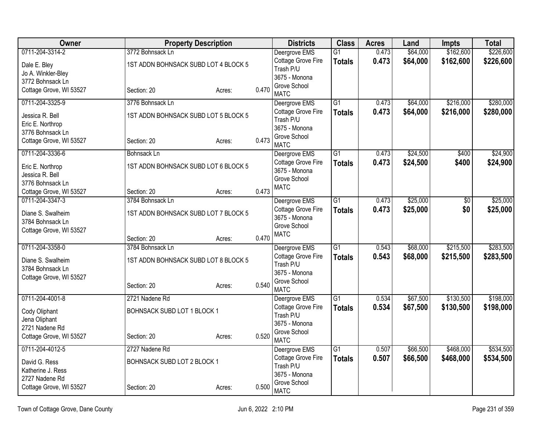| <b>Owner</b>            |                             | <b>Property Description</b>          |       | <b>Districts</b>              | <b>Class</b>    | <b>Acres</b> | Land     | <b>Impts</b>    | <b>Total</b> |
|-------------------------|-----------------------------|--------------------------------------|-------|-------------------------------|-----------------|--------------|----------|-----------------|--------------|
| 0711-204-3314-2         | 3772 Bohnsack Ln            |                                      |       | Deergrove EMS                 | $\overline{G1}$ | 0.473        | \$64,000 | \$162,600       | \$226,600    |
| Dale E. Bley            |                             | 1ST ADDN BOHNSACK SUBD LOT 4 BLOCK 5 |       | Cottage Grove Fire            | <b>Totals</b>   | 0.473        | \$64,000 | \$162,600       | \$226,600    |
| Jo A. Winkler-Bley      |                             |                                      |       | Trash P/U                     |                 |              |          |                 |              |
| 3772 Bohnsack Ln        |                             |                                      |       | 3675 - Monona<br>Grove School |                 |              |          |                 |              |
| Cottage Grove, WI 53527 | Section: 20                 | Acres:                               | 0.470 | <b>MATC</b>                   |                 |              |          |                 |              |
| 0711-204-3325-9         | 3776 Bohnsack Ln            |                                      |       | Deergrove EMS                 | $\overline{G1}$ | 0.473        | \$64,000 | \$216,000       | \$280,000    |
| Jessica R. Bell         |                             | 1ST ADDN BOHNSACK SUBD LOT 5 BLOCK 5 |       | Cottage Grove Fire            | <b>Totals</b>   | 0.473        | \$64,000 | \$216,000       | \$280,000    |
| Eric E. Northrop        |                             |                                      |       | Trash P/U<br>3675 - Monona    |                 |              |          |                 |              |
| 3776 Bohnsack Ln        |                             |                                      |       | Grove School                  |                 |              |          |                 |              |
| Cottage Grove, WI 53527 | Section: 20                 | Acres:                               | 0.473 | <b>MATC</b>                   |                 |              |          |                 |              |
| 0711-204-3336-6         | Bohnsack Ln                 |                                      |       | Deergrove EMS                 | $\overline{G1}$ | 0.473        | \$24,500 | \$400           | \$24,900     |
| Eric E. Northrop        |                             | 1ST ADDN BOHNSACK SUBD LOT 6 BLOCK 5 |       | Cottage Grove Fire            | <b>Totals</b>   | 0.473        | \$24,500 | \$400           | \$24,900     |
| Jessica R. Bell         |                             |                                      |       | 3675 - Monona                 |                 |              |          |                 |              |
| 3776 Bohnsack Ln        |                             |                                      |       | Grove School<br><b>MATC</b>   |                 |              |          |                 |              |
| Cottage Grove, WI 53527 | Section: 20                 | Acres:                               | 0.473 |                               |                 |              |          |                 |              |
| 0711-204-3347-3         | 3784 Bohnsack Ln            |                                      |       | Deergrove EMS                 | $\overline{G1}$ | 0.473        | \$25,000 | $\overline{60}$ | \$25,000     |
| Diane S. Swalheim       |                             | 1ST ADDN BOHNSACK SUBD LOT 7 BLOCK 5 |       | Cottage Grove Fire            | <b>Totals</b>   | 0.473        | \$25,000 | \$0             | \$25,000     |
| 3784 Bohnsack Ln        |                             |                                      |       | 3675 - Monona                 |                 |              |          |                 |              |
| Cottage Grove, WI 53527 |                             |                                      |       | Grove School                  |                 |              |          |                 |              |
|                         | Section: 20                 | Acres:                               | 0.470 | <b>MATC</b>                   |                 |              |          |                 |              |
| 0711-204-3358-0         | 3784 Bohnsack Ln            |                                      |       | Deergrove EMS                 | $\overline{G1}$ | 0.543        | \$68,000 | \$215,500       | \$283,500    |
| Diane S. Swalheim       |                             | 1ST ADDN BOHNSACK SUBD LOT 8 BLOCK 5 |       | Cottage Grove Fire            | <b>Totals</b>   | 0.543        | \$68,000 | \$215,500       | \$283,500    |
| 3784 Bohnsack Ln        |                             |                                      |       | Trash P/U                     |                 |              |          |                 |              |
| Cottage Grove, WI 53527 |                             |                                      |       | 3675 - Monona                 |                 |              |          |                 |              |
|                         | Section: 20                 | Acres:                               | 0.540 | Grove School<br><b>MATC</b>   |                 |              |          |                 |              |
| 0711-204-4001-8         | 2721 Nadene Rd              |                                      |       | Deergrove EMS                 | $\overline{G1}$ | 0.534        | \$67,500 | \$130,500       | \$198,000    |
|                         |                             |                                      |       | Cottage Grove Fire            | <b>Totals</b>   | 0.534        | \$67,500 | \$130,500       | \$198,000    |
| Cody Oliphant           | BOHNSACK SUBD LOT 1 BLOCK 1 |                                      |       | Trash P/U                     |                 |              |          |                 |              |
| Jena Oliphant           |                             |                                      |       | 3675 - Monona                 |                 |              |          |                 |              |
| 2721 Nadene Rd          |                             |                                      | 0.520 | Grove School                  |                 |              |          |                 |              |
| Cottage Grove, WI 53527 | Section: 20                 | Acres:                               |       | <b>MATC</b>                   |                 |              |          |                 |              |
| 0711-204-4012-5         | 2727 Nadene Rd              |                                      |       | Deergrove EMS                 | G1              | 0.507        | \$66,500 | \$468,000       | \$534,500    |
| David G. Ress           | BOHNSACK SUBD LOT 2 BLOCK 1 |                                      |       | Cottage Grove Fire            | <b>Totals</b>   | 0.507        | \$66,500 | \$468,000       | \$534,500    |
| Katherine J. Ress       |                             |                                      |       | Trash P/U                     |                 |              |          |                 |              |
| 2727 Nadene Rd          |                             |                                      |       | 3675 - Monona<br>Grove School |                 |              |          |                 |              |
| Cottage Grove, WI 53527 | Section: 20                 | Acres:                               | 0.500 | <b>MATC</b>                   |                 |              |          |                 |              |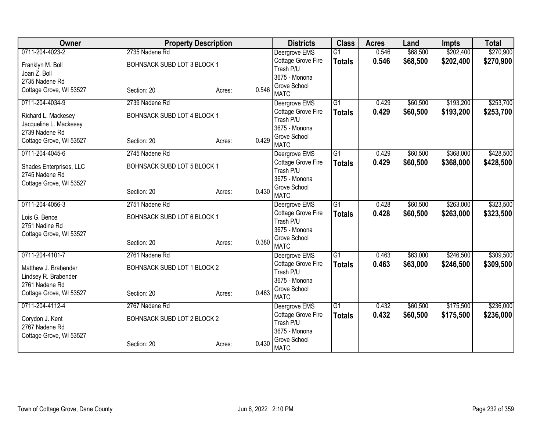| <b>Owner</b>            | <b>Property Description</b> |                 | <b>Districts</b>                | <b>Class</b>    | <b>Acres</b> | Land     | <b>Impts</b> | <b>Total</b> |
|-------------------------|-----------------------------|-----------------|---------------------------------|-----------------|--------------|----------|--------------|--------------|
| 0711-204-4023-2         | 2735 Nadene Rd              |                 | Deergrove EMS                   | $\overline{G1}$ | 0.546        | \$68,500 | \$202,400    | \$270,900    |
| Franklyn M. Boll        | BOHNSACK SUBD LOT 3 BLOCK 1 |                 | Cottage Grove Fire              | <b>Totals</b>   | 0.546        | \$68,500 | \$202,400    | \$270,900    |
| Joan Z. Boll            |                             |                 | Trash P/U                       |                 |              |          |              |              |
| 2735 Nadene Rd          |                             |                 | 3675 - Monona                   |                 |              |          |              |              |
| Cottage Grove, WI 53527 | Section: 20                 | 0.546<br>Acres: | Grove School<br><b>MATC</b>     |                 |              |          |              |              |
| 0711-204-4034-9         | 2739 Nadene Rd              |                 | Deergrove EMS                   | $\overline{G1}$ | 0.429        | \$60,500 | \$193,200    | \$253,700    |
| Richard L. Mackesey     | BOHNSACK SUBD LOT 4 BLOCK 1 |                 | Cottage Grove Fire              | <b>Totals</b>   | 0.429        | \$60,500 | \$193,200    | \$253,700    |
| Jacqueline L. Mackesey  |                             |                 | Trash P/U                       |                 |              |          |              |              |
| 2739 Nadene Rd          |                             |                 | 3675 - Monona                   |                 |              |          |              |              |
| Cottage Grove, WI 53527 | Section: 20                 | 0.429<br>Acres: | Grove School                    |                 |              |          |              |              |
|                         |                             |                 | <b>MATC</b>                     |                 |              |          |              |              |
| 0711-204-4045-6         | 2745 Nadene Rd              |                 | Deergrove EMS                   | G1              | 0.429        | \$60,500 | \$368,000    | \$428,500    |
| Shades Enterprises, LLC | BOHNSACK SUBD LOT 5 BLOCK 1 |                 | Cottage Grove Fire<br>Trash P/U | <b>Totals</b>   | 0.429        | \$60,500 | \$368,000    | \$428,500    |
| 2745 Nadene Rd          |                             |                 | 3675 - Monona                   |                 |              |          |              |              |
| Cottage Grove, WI 53527 |                             |                 | Grove School                    |                 |              |          |              |              |
|                         | Section: 20                 | 0.430<br>Acres: | <b>MATC</b>                     |                 |              |          |              |              |
| 0711-204-4056-3         | 2751 Nadene Rd              |                 | Deergrove EMS                   | G1              | 0.428        | \$60,500 | \$263,000    | \$323,500    |
| Lois G. Bence           | BOHNSACK SUBD LOT 6 BLOCK 1 |                 | Cottage Grove Fire              | <b>Totals</b>   | 0.428        | \$60,500 | \$263,000    | \$323,500    |
| 2751 Nadine Rd          |                             |                 | Trash P/U                       |                 |              |          |              |              |
| Cottage Grove, WI 53527 |                             |                 | 3675 - Monona                   |                 |              |          |              |              |
|                         | Section: 20                 | 0.380<br>Acres: | Grove School                    |                 |              |          |              |              |
| 0711-204-4101-7         |                             |                 | <b>MATC</b>                     |                 |              |          |              | \$309,500    |
|                         | 2761 Nadene Rd              |                 | Deergrove EMS                   | $\overline{G1}$ | 0.463        | \$63,000 | \$246,500    |              |
| Matthew J. Brabender    | BOHNSACK SUBD LOT 1 BLOCK 2 |                 | Cottage Grove Fire<br>Trash P/U | <b>Totals</b>   | 0.463        | \$63,000 | \$246,500    | \$309,500    |
| Lindsey R. Brabender    |                             |                 | 3675 - Monona                   |                 |              |          |              |              |
| 2761 Nadene Rd          |                             |                 | Grove School                    |                 |              |          |              |              |
| Cottage Grove, WI 53527 | Section: 20                 | 0.463<br>Acres: | <b>MATC</b>                     |                 |              |          |              |              |
| 0711-204-4112-4         | 2767 Nadene Rd              |                 | Deergrove EMS                   | G1              | 0.432        | \$60,500 | \$175,500    | \$236,000    |
| Corydon J. Kent         | BOHNSACK SUBD LOT 2 BLOCK 2 |                 | Cottage Grove Fire              | <b>Totals</b>   | 0.432        | \$60,500 | \$175,500    | \$236,000    |
| 2767 Nadene Rd          |                             |                 | Trash P/U                       |                 |              |          |              |              |
| Cottage Grove, WI 53527 |                             |                 | 3675 - Monona                   |                 |              |          |              |              |
|                         | Section: 20                 | 0.430<br>Acres: | Grove School<br><b>MATC</b>     |                 |              |          |              |              |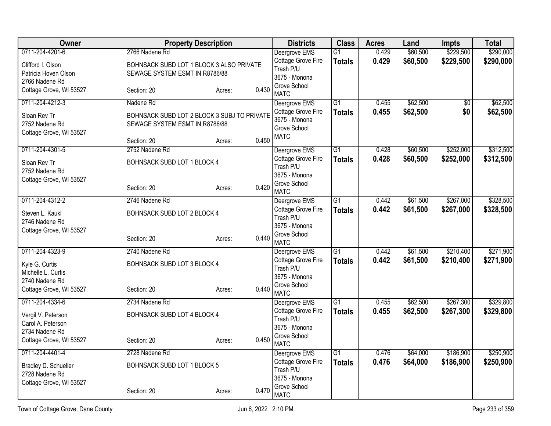| Owner                   |                                             | <b>Property Description</b> |       | <b>Districts</b>                | <b>Class</b>    | <b>Acres</b> | Land     | Impts           | <b>Total</b> |
|-------------------------|---------------------------------------------|-----------------------------|-------|---------------------------------|-----------------|--------------|----------|-----------------|--------------|
| 0711-204-4201-6         | 2766 Nadene Rd                              |                             |       | Deergrove EMS                   | G1              | 0.429        | \$60,500 | \$229,500       | \$290,000    |
| Clifford I. Olson       | BOHNSACK SUBD LOT 1 BLOCK 3 ALSO PRIVATE    |                             |       | Cottage Grove Fire              | <b>Totals</b>   | 0.429        | \$60,500 | \$229,500       | \$290,000    |
| Patricia Hoven Olson    | SEWAGE SYSTEM ESMT IN R8786/88              |                             |       | Trash P/U<br>3675 - Monona      |                 |              |          |                 |              |
| 2766 Nadene Rd          |                                             |                             |       | Grove School                    |                 |              |          |                 |              |
| Cottage Grove, WI 53527 | Section: 20                                 | Acres:                      | 0.430 | <b>MATC</b>                     |                 |              |          |                 |              |
| 0711-204-4212-3         | Nadene Rd                                   |                             |       | Deergrove EMS                   | $\overline{G1}$ | 0.455        | \$62,500 | $\overline{50}$ | \$62,500     |
| Sloan Rev Tr            | BOHNSACK SUBD LOT 2 BLOCK 3 SUBJ TO PRIVATE |                             |       | Cottage Grove Fire              | <b>Totals</b>   | 0.455        | \$62,500 | \$0             | \$62,500     |
| 2752 Nadene Rd          | SEWAGE SYSTEM ESMT IN R8786/88              |                             |       | 3675 - Monona<br>Grove School   |                 |              |          |                 |              |
| Cottage Grove, WI 53527 |                                             |                             |       | <b>MATC</b>                     |                 |              |          |                 |              |
|                         | Section: 20                                 | Acres:                      | 0.450 |                                 |                 |              |          |                 |              |
| 0711-204-4301-5         | 2752 Nadene Rd                              |                             |       | Deergrove EMS                   | $\overline{G1}$ | 0.428        | \$60,500 | \$252,000       | \$312,500    |
| Sloan Rev Tr            | BOHNSACK SUBD LOT 1 BLOCK 4                 |                             |       | Cottage Grove Fire<br>Trash P/U | <b>Totals</b>   | 0.428        | \$60,500 | \$252,000       | \$312,500    |
| 2752 Nadene Rd          |                                             |                             |       | 3675 - Monona                   |                 |              |          |                 |              |
| Cottage Grove, WI 53527 |                                             |                             |       | Grove School                    |                 |              |          |                 |              |
|                         | Section: 20                                 | Acres:                      | 0.420 | <b>MATC</b>                     |                 |              |          |                 |              |
| 0711-204-4312-2         | 2746 Nadene Rd                              |                             |       | Deergrove EMS                   | $\overline{G1}$ | 0.442        | \$61,500 | \$267,000       | \$328,500    |
| Steven L. Kaukl         | BOHNSACK SUBD LOT 2 BLOCK 4                 |                             |       | Cottage Grove Fire              | <b>Totals</b>   | 0.442        | \$61,500 | \$267,000       | \$328,500    |
| 2746 Nadene Rd          |                                             |                             |       | Trash P/U<br>3675 - Monona      |                 |              |          |                 |              |
| Cottage Grove, WI 53527 |                                             |                             |       | Grove School                    |                 |              |          |                 |              |
|                         | Section: 20                                 | Acres:                      | 0.440 | <b>MATC</b>                     |                 |              |          |                 |              |
| 0711-204-4323-9         | 2740 Nadene Rd                              |                             |       | Deergrove EMS                   | $\overline{G1}$ | 0.442        | \$61,500 | \$210,400       | \$271,900    |
| Kyle G. Curtis          | BOHNSACK SUBD LOT 3 BLOCK 4                 |                             |       | Cottage Grove Fire              | <b>Totals</b>   | 0.442        | \$61,500 | \$210,400       | \$271,900    |
| Michelle L. Curtis      |                                             |                             |       | Trash P/U                       |                 |              |          |                 |              |
| 2740 Nadene Rd          |                                             |                             |       | 3675 - Monona<br>Grove School   |                 |              |          |                 |              |
| Cottage Grove, WI 53527 | Section: 20                                 | Acres:                      | 0.440 | <b>MATC</b>                     |                 |              |          |                 |              |
| 0711-204-4334-6         | 2734 Nadene Rd                              |                             |       | Deergrove EMS                   | $\overline{G1}$ | 0.455        | \$62,500 | \$267,300       | \$329,800    |
| Vergil V. Peterson      | BOHNSACK SUBD LOT 4 BLOCK 4                 |                             |       | Cottage Grove Fire              | <b>Totals</b>   | 0.455        | \$62,500 | \$267,300       | \$329,800    |
| Carol A. Peterson       |                                             |                             |       | Trash P/U                       |                 |              |          |                 |              |
| 2734 Nadene Rd          |                                             |                             |       | 3675 - Monona<br>Grove School   |                 |              |          |                 |              |
| Cottage Grove, WI 53527 | Section: 20                                 | Acres:                      | 0.450 | <b>MATC</b>                     |                 |              |          |                 |              |
| 0711-204-4401-4         | 2728 Nadene Rd                              |                             |       | Deergrove EMS                   | $\overline{G1}$ | 0.476        | \$64,000 | \$186,900       | \$250,900    |
| Bradley D. Schueller    | BOHNSACK SUBD LOT 1 BLOCK 5                 |                             |       | Cottage Grove Fire              | <b>Totals</b>   | 0.476        | \$64,000 | \$186,900       | \$250,900    |
| 2728 Nadene Rd          |                                             |                             |       | Trash P/U                       |                 |              |          |                 |              |
| Cottage Grove, WI 53527 |                                             |                             |       | 3675 - Monona<br>Grove School   |                 |              |          |                 |              |
|                         | Section: 20                                 | Acres:                      | 0.470 | <b>MATC</b>                     |                 |              |          |                 |              |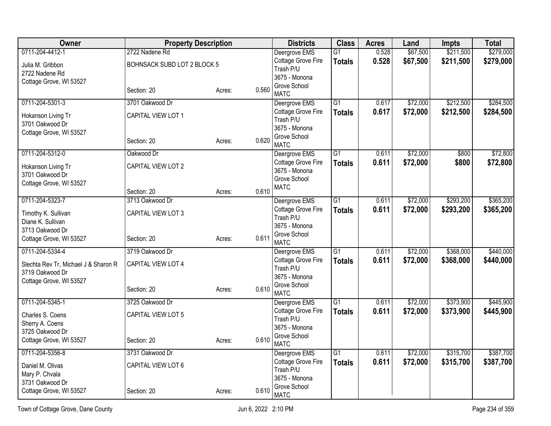| Owner                                | <b>Property Description</b> |        |       | <b>Districts</b>                    | <b>Class</b>    | <b>Acres</b> | Land     | Impts     | <b>Total</b> |
|--------------------------------------|-----------------------------|--------|-------|-------------------------------------|-----------------|--------------|----------|-----------|--------------|
| 0711-204-4412-1                      | 2722 Nadene Rd              |        |       | Deergrove EMS                       | $\overline{G1}$ | 0.528        | \$67,500 | \$211,500 | \$279,000    |
| Julia M. Gribbon                     | BOHNSACK SUBD LOT 2 BLOCK 5 |        |       | Cottage Grove Fire                  | <b>Totals</b>   | 0.528        | \$67,500 | \$211,500 | \$279,000    |
| 2722 Nadene Rd                       |                             |        |       | Trash P/U<br>3675 - Monona          |                 |              |          |           |              |
| Cottage Grove, WI 53527              |                             |        |       | Grove School                        |                 |              |          |           |              |
|                                      | Section: 20                 | Acres: | 0.560 | <b>MATC</b>                         |                 |              |          |           |              |
| 0711-204-5301-3                      | 3701 Oakwood Dr             |        |       | Deergrove EMS                       | $\overline{G1}$ | 0.617        | \$72,000 | \$212,500 | \$284,500    |
| Hokanson Living Tr                   | CAPITAL VIEW LOT 1          |        |       | Cottage Grove Fire                  | <b>Totals</b>   | 0.617        | \$72,000 | \$212,500 | \$284,500    |
| 3701 Oakwood Dr                      |                             |        |       | Trash P/U<br>3675 - Monona          |                 |              |          |           |              |
| Cottage Grove, WI 53527              |                             |        |       | Grove School                        |                 |              |          |           |              |
|                                      | Section: 20                 | Acres: | 0.620 | <b>MATC</b>                         |                 |              |          |           |              |
| 0711-204-5312-0                      | Oakwood Dr                  |        |       | Deergrove EMS                       | $\overline{G1}$ | 0.611        | \$72,000 | \$800     | \$72,800     |
| Hokanson Living Tr                   | CAPITAL VIEW LOT 2          |        |       | Cottage Grove Fire                  | <b>Totals</b>   | 0.611        | \$72,000 | \$800     | \$72,800     |
| 3701 Oakwood Dr                      |                             |        |       | 3675 - Monona                       |                 |              |          |           |              |
| Cottage Grove, WI 53527              |                             |        |       | Grove School<br><b>MATC</b>         |                 |              |          |           |              |
|                                      | Section: 20                 | Acres: | 0.610 |                                     |                 |              |          |           |              |
| 0711-204-5323-7                      | 3713 Oakwood Dr             |        |       | Deergrove EMS                       | $\overline{G1}$ | 0.611        | \$72,000 | \$293,200 | \$365,200    |
| Timothy K. Sullivan                  | CAPITAL VIEW LOT 3          |        |       | Cottage Grove Fire                  | <b>Totals</b>   | 0.611        | \$72,000 | \$293,200 | \$365,200    |
| Diane K. Sullivan                    |                             |        |       | Trash P/U                           |                 |              |          |           |              |
| 3713 Oakwood Dr                      |                             |        |       | 3675 - Monona<br>Grove School       |                 |              |          |           |              |
| Cottage Grove, WI 53527              | Section: 20                 | Acres: | 0.611 | <b>MATC</b>                         |                 |              |          |           |              |
| 0711-204-5334-4                      | 3719 Oakwood Dr             |        |       | Deergrove EMS                       | $\overline{G1}$ | 0.611        | \$72,000 | \$368,000 | \$440,000    |
| Slechta Rev Tr, Michael J & Sharon R | CAPITAL VIEW LOT 4          |        |       | Cottage Grove Fire                  | <b>Totals</b>   | 0.611        | \$72,000 | \$368,000 | \$440,000    |
| 3719 Oakwood Dr                      |                             |        |       | Trash P/U                           |                 |              |          |           |              |
| Cottage Grove, WI 53527              |                             |        |       | 3675 - Monona                       |                 |              |          |           |              |
|                                      | Section: 20                 | Acres: | 0.610 | Grove School<br><b>MATC</b>         |                 |              |          |           |              |
| 0711-204-5345-1                      | 3725 Oakwood Dr             |        |       | Deergrove EMS                       | $\overline{G1}$ | 0.611        | \$72,000 | \$373,900 | \$445,900    |
|                                      | CAPITAL VIEW LOT 5          |        |       | Cottage Grove Fire                  | <b>Totals</b>   | 0.611        | \$72,000 | \$373,900 | \$445,900    |
| Charles S. Coens<br>Sherry A. Coens  |                             |        |       | Trash P/U                           |                 |              |          |           |              |
| 3725 Oakwood Dr                      |                             |        |       | 3675 - Monona                       |                 |              |          |           |              |
| Cottage Grove, WI 53527              | Section: 20                 | Acres: | 0.610 | Grove School                        |                 |              |          |           |              |
| 0711-204-5356-8                      | 3731 Oakwood Dr             |        |       | <b>MATC</b>                         | $\overline{G1}$ | 0.611        | \$72,000 | \$315,700 | \$387,700    |
|                                      |                             |        |       | Deergrove EMS<br>Cottage Grove Fire |                 | 0.611        | \$72,000 | \$315,700 |              |
| Daniel M. Olivas                     | CAPITAL VIEW LOT 6          |        |       | Trash P/U                           | <b>Totals</b>   |              |          |           | \$387,700    |
| Mary P. Chvala                       |                             |        |       | 3675 - Monona                       |                 |              |          |           |              |
| 3731 Oakwood Dr                      |                             |        |       | Grove School                        |                 |              |          |           |              |
| Cottage Grove, WI 53527              | Section: 20                 | Acres: | 0.610 | <b>MATC</b>                         |                 |              |          |           |              |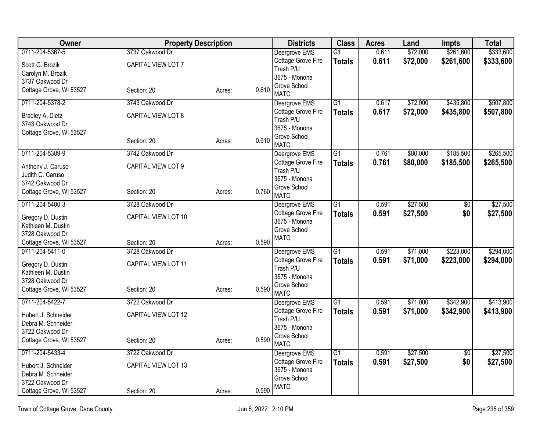| Owner                   | <b>Property Description</b> |        |       | <b>Districts</b>              | <b>Class</b>    | <b>Acres</b> | Land     | <b>Impts</b>    | <b>Total</b> |
|-------------------------|-----------------------------|--------|-------|-------------------------------|-----------------|--------------|----------|-----------------|--------------|
| 0711-204-5367-5         | 3737 Oakwood Dr             |        |       | Deergrove EMS                 | $\overline{G1}$ | 0.611        | \$72,000 | \$261,600       | \$333,600    |
| Scott G. Brozik         | CAPITAL VIEW LOT 7          |        |       | Cottage Grove Fire            | <b>Totals</b>   | 0.611        | \$72,000 | \$261,600       | \$333,600    |
| Carolyn M. Brozik       |                             |        |       | Trash P/U                     |                 |              |          |                 |              |
| 3737 Oakwood Dr         |                             |        |       | 3675 - Monona<br>Grove School |                 |              |          |                 |              |
| Cottage Grove, WI 53527 | Section: 20                 | Acres: | 0.610 | <b>MATC</b>                   |                 |              |          |                 |              |
| 0711-204-5378-2         | 3743 Oakwood Dr             |        |       | Deergrove EMS                 | $\overline{G1}$ | 0.617        | \$72,000 | \$435,800       | \$507,800    |
| Bradley A. Dietz        | CAPITAL VIEW LOT 8          |        |       | Cottage Grove Fire            | <b>Totals</b>   | 0.617        | \$72,000 | \$435,800       | \$507,800    |
| 3743 Oakwood Dr         |                             |        |       | Trash P/U<br>3675 - Monona    |                 |              |          |                 |              |
| Cottage Grove, WI 53527 |                             |        |       | Grove School                  |                 |              |          |                 |              |
|                         | Section: 20                 | Acres: | 0.610 | <b>MATC</b>                   |                 |              |          |                 |              |
| 0711-204-5389-9         | 3742 Oakwood Dr             |        |       | Deergrove EMS                 | $\overline{G1}$ | 0.761        | \$80,000 | \$185,500       | \$265,500    |
| Anthony J. Caruso       | CAPITAL VIEW LOT 9          |        |       | Cottage Grove Fire            | <b>Totals</b>   | 0.761        | \$80,000 | \$185,500       | \$265,500    |
| Judith C. Caruso        |                             |        |       | Trash P/U<br>3675 - Monona    |                 |              |          |                 |              |
| 3742 Oakwood Dr         |                             |        |       | Grove School                  |                 |              |          |                 |              |
| Cottage Grove, WI 53527 | Section: 20                 | Acres: | 0.760 | <b>MATC</b>                   |                 |              |          |                 |              |
| 0711-204-5400-3         | 3728 Oakwood Dr             |        |       | Deergrove EMS                 | G1              | 0.591        | \$27,500 | $\overline{50}$ | \$27,500     |
| Gregory D. Dustin       | CAPITAL VIEW LOT 10         |        |       | Cottage Grove Fire            | <b>Totals</b>   | 0.591        | \$27,500 | \$0             | \$27,500     |
| Kathleen M. Dustin      |                             |        |       | 3675 - Monona                 |                 |              |          |                 |              |
| 3728 Oakwood Dr         |                             |        |       | Grove School<br><b>MATC</b>   |                 |              |          |                 |              |
| Cottage Grove, WI 53527 | Section: 20                 | Acres: | 0.590 |                               |                 |              |          |                 |              |
| 0711-204-5411-0         | 3728 Oakwood Dr             |        |       | Deergrove EMS                 | $\overline{G1}$ | 0.591        | \$71,000 | \$223,000       | \$294,000    |
| Gregory D. Dustin       | CAPITAL VIEW LOT 11         |        |       | Cottage Grove Fire            | <b>Totals</b>   | 0.591        | \$71,000 | \$223,000       | \$294,000    |
| Kathleen M. Dustin      |                             |        |       | Trash P/U                     |                 |              |          |                 |              |
| 3728 Oakwood Dr         |                             |        |       | 3675 - Monona<br>Grove School |                 |              |          |                 |              |
| Cottage Grove, WI 53527 | Section: 20                 | Acres: | 0.590 | <b>MATC</b>                   |                 |              |          |                 |              |
| 0711-204-5422-7         | 3722 Oakwood Dr             |        |       | Deergrove EMS                 | $\overline{G1}$ | 0.591        | \$71,000 | \$342,900       | \$413,900    |
| Hubert J. Schneider     | CAPITAL VIEW LOT 12         |        |       | Cottage Grove Fire            | <b>Totals</b>   | 0.591        | \$71,000 | \$342,900       | \$413,900    |
| Debra M. Schneider      |                             |        |       | Trash P/U                     |                 |              |          |                 |              |
| 3722 Oakwood Dr         |                             |        |       | 3675 - Monona<br>Grove School |                 |              |          |                 |              |
| Cottage Grove, WI 53527 | Section: 20                 | Acres: | 0.590 | <b>MATC</b>                   |                 |              |          |                 |              |
| 0711-204-5433-4         | 3722 Oakwood Dr             |        |       | Deergrove EMS                 | $\overline{G1}$ | 0.591        | \$27,500 | \$0             | \$27,500     |
| Hubert J. Schneider     | CAPITAL VIEW LOT 13         |        |       | Cottage Grove Fire            | <b>Totals</b>   | 0.591        | \$27,500 | \$0             | \$27,500     |
| Debra M. Schneider      |                             |        |       | 3675 - Monona<br>Grove School |                 |              |          |                 |              |
| 3722 Oakwood Dr         |                             |        |       | <b>MATC</b>                   |                 |              |          |                 |              |
| Cottage Grove, WI 53527 | Section: 20                 | Acres: | 0.590 |                               |                 |              |          |                 |              |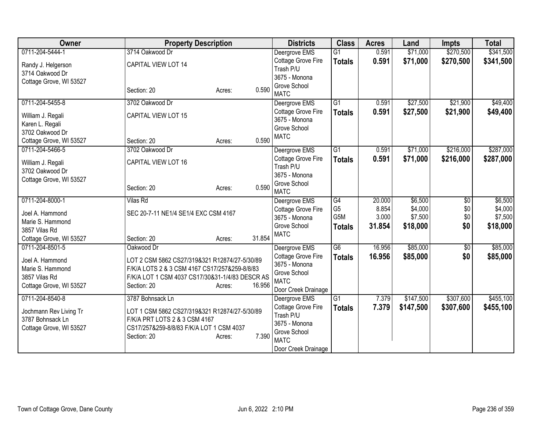| 0711-204-5444-1<br>\$341,500<br>3714 Oakwood Dr<br>Deergrove EMS<br>$\overline{G1}$<br>\$71,000<br>\$270,500<br>0.591<br>Cottage Grove Fire<br>\$71,000<br>\$270,500<br>0.591<br><b>Totals</b><br>CAPITAL VIEW LOT 14<br>Randy J. Helgerson<br>Trash P/U<br>3714 Oakwood Dr<br>3675 - Monona<br>Cottage Grove, WI 53527<br>Grove School<br>0.590<br>Section: 20<br>Acres:<br><b>MATC</b><br>$\overline{G1}$<br>\$27,500<br>\$21,900<br>0711-204-5455-8<br>3702 Oakwood Dr<br>Deergrove EMS<br>0.591<br>\$27,500<br>\$21,900<br>Cottage Grove Fire<br>0.591<br><b>Totals</b><br>CAPITAL VIEW LOT 15<br>William J. Regali<br>3675 - Monona<br>Karen L. Regali<br>Grove School<br>3702 Oakwood Dr<br><b>MATC</b><br>0.590<br>Cottage Grove, WI 53527<br>Section: 20<br>Acres:<br>0711-204-5466-5<br>$\overline{G1}$<br>\$216,000<br>3702 Oakwood Dr<br>Deergrove EMS<br>0.591<br>\$71,000<br>Cottage Grove Fire<br>0.591<br>\$71,000<br>\$216,000<br><b>Totals</b><br>CAPITAL VIEW LOT 16<br>William J. Regali<br>Trash P/U<br>3702 Oakwood Dr<br>3675 - Monona<br>Cottage Grove, WI 53527<br>Grove School<br>0.590<br>Section: 20<br>Acres:<br><b>MATC</b><br>\$6,500<br>0711-204-8000-1<br>$\overline{G4}$<br>20.000<br>$\overline{50}$<br><b>Vilas Rd</b><br>Deergrove EMS<br>G <sub>5</sub><br>8.854<br>\$4,000<br>\$0<br>Cottage Grove Fire<br>SEC 20-7-11 NE1/4 SE1/4 EXC CSM 4167<br>Joel A. Hammond<br>G <sub>5</sub> M<br>\$7,500<br>\$0<br>3675 - Monona<br>3.000<br>Marie S. Hammond<br>\$18,000<br>Grove School<br>31.854<br>\$0<br><b>Totals</b><br>3857 Vilas Rd<br><b>MATC</b><br>31.854<br>Cottage Grove, WI 53527<br>Section: 20<br>Acres:<br>\$85,000<br>0711-204-8501-5<br>G6<br>\$85,000<br>Deergrove EMS<br>16.956<br>$\sqrt{6}$<br>Oakwood Dr<br>\$0<br>Cottage Grove Fire<br>16.956<br>\$85,000<br><b>Totals</b><br>Joel A. Hammond<br>LOT 2 CSM 5862 CS27/319&321 R12874/27-5/30/89<br>3675 - Monona<br>F/K/A LOTS 2 & 3 CSM 4167 CS17/257&259-8/8/83<br>Marie S. Hammond<br>Grove School<br>F/K/A LOT 1 CSM 4037 CS17/30&31-1/4/83 DESCR AS<br>3857 Vilas Rd<br><b>MATC</b><br>16.956<br>Cottage Grove, WI 53527<br>Section: 20<br>Acres:<br>Door Creek Drainage<br>0711-204-8540-8<br>\$147,500<br>\$307,600<br>3787 Bohnsack Ln<br>$\overline{G1}$<br>7.379<br>Deergrove EMS<br>Cottage Grove Fire<br>7.379<br>\$147,500<br>\$307,600<br><b>Totals</b><br>LOT 1 CSM 5862 CS27/319&321 R12874/27-5/30/89<br>Jochmann Rev Living Tr<br>Trash P/U<br>F/K/A PRT LOTS 2 & 3 CSM 4167<br>3787 Bohnsack Ln<br>3675 - Monona<br>CS17/257&259-8/8/83 F/K/A LOT 1 CSM 4037<br>Cottage Grove, WI 53527<br>Grove School<br>7.390<br>Section: 20<br>Acres:<br><b>MATC</b> | Owner | <b>Property Description</b> | <b>Districts</b>    | <b>Class</b> | <b>Acres</b> | Land | <b>Impts</b> | <b>Total</b> |
|--------------------------------------------------------------------------------------------------------------------------------------------------------------------------------------------------------------------------------------------------------------------------------------------------------------------------------------------------------------------------------------------------------------------------------------------------------------------------------------------------------------------------------------------------------------------------------------------------------------------------------------------------------------------------------------------------------------------------------------------------------------------------------------------------------------------------------------------------------------------------------------------------------------------------------------------------------------------------------------------------------------------------------------------------------------------------------------------------------------------------------------------------------------------------------------------------------------------------------------------------------------------------------------------------------------------------------------------------------------------------------------------------------------------------------------------------------------------------------------------------------------------------------------------------------------------------------------------------------------------------------------------------------------------------------------------------------------------------------------------------------------------------------------------------------------------------------------------------------------------------------------------------------------------------------------------------------------------------------------------------------------------------------------------------------------------------------------------------------------------------------------------------------------------------------------------------------------------------------------------------------------------------------------------------------------------------------------------------------------------------------------------------------------------------------------------------------------------------------------------------------------------------------------------------------------------------------------------------------------------------------------------------------------------------------------|-------|-----------------------------|---------------------|--------------|--------------|------|--------------|--------------|
|                                                                                                                                                                                                                                                                                                                                                                                                                                                                                                                                                                                                                                                                                                                                                                                                                                                                                                                                                                                                                                                                                                                                                                                                                                                                                                                                                                                                                                                                                                                                                                                                                                                                                                                                                                                                                                                                                                                                                                                                                                                                                                                                                                                                                                                                                                                                                                                                                                                                                                                                                                                                                                                                                      |       |                             |                     |              |              |      |              |              |
| \$49,400<br>\$49,400<br>\$6,500<br>\$18,000<br>\$455,100                                                                                                                                                                                                                                                                                                                                                                                                                                                                                                                                                                                                                                                                                                                                                                                                                                                                                                                                                                                                                                                                                                                                                                                                                                                                                                                                                                                                                                                                                                                                                                                                                                                                                                                                                                                                                                                                                                                                                                                                                                                                                                                                                                                                                                                                                                                                                                                                                                                                                                                                                                                                                             |       |                             |                     |              |              |      |              | \$341,500    |
|                                                                                                                                                                                                                                                                                                                                                                                                                                                                                                                                                                                                                                                                                                                                                                                                                                                                                                                                                                                                                                                                                                                                                                                                                                                                                                                                                                                                                                                                                                                                                                                                                                                                                                                                                                                                                                                                                                                                                                                                                                                                                                                                                                                                                                                                                                                                                                                                                                                                                                                                                                                                                                                                                      |       |                             |                     |              |              |      |              |              |
|                                                                                                                                                                                                                                                                                                                                                                                                                                                                                                                                                                                                                                                                                                                                                                                                                                                                                                                                                                                                                                                                                                                                                                                                                                                                                                                                                                                                                                                                                                                                                                                                                                                                                                                                                                                                                                                                                                                                                                                                                                                                                                                                                                                                                                                                                                                                                                                                                                                                                                                                                                                                                                                                                      |       |                             |                     |              |              |      |              |              |
|                                                                                                                                                                                                                                                                                                                                                                                                                                                                                                                                                                                                                                                                                                                                                                                                                                                                                                                                                                                                                                                                                                                                                                                                                                                                                                                                                                                                                                                                                                                                                                                                                                                                                                                                                                                                                                                                                                                                                                                                                                                                                                                                                                                                                                                                                                                                                                                                                                                                                                                                                                                                                                                                                      |       |                             |                     |              |              |      |              |              |
| \$287,000<br>\$287,000<br>\$4,000<br>\$7,500<br>\$85,000<br>\$455,100                                                                                                                                                                                                                                                                                                                                                                                                                                                                                                                                                                                                                                                                                                                                                                                                                                                                                                                                                                                                                                                                                                                                                                                                                                                                                                                                                                                                                                                                                                                                                                                                                                                                                                                                                                                                                                                                                                                                                                                                                                                                                                                                                                                                                                                                                                                                                                                                                                                                                                                                                                                                                |       |                             |                     |              |              |      |              |              |
|                                                                                                                                                                                                                                                                                                                                                                                                                                                                                                                                                                                                                                                                                                                                                                                                                                                                                                                                                                                                                                                                                                                                                                                                                                                                                                                                                                                                                                                                                                                                                                                                                                                                                                                                                                                                                                                                                                                                                                                                                                                                                                                                                                                                                                                                                                                                                                                                                                                                                                                                                                                                                                                                                      |       |                             |                     |              |              |      |              |              |
|                                                                                                                                                                                                                                                                                                                                                                                                                                                                                                                                                                                                                                                                                                                                                                                                                                                                                                                                                                                                                                                                                                                                                                                                                                                                                                                                                                                                                                                                                                                                                                                                                                                                                                                                                                                                                                                                                                                                                                                                                                                                                                                                                                                                                                                                                                                                                                                                                                                                                                                                                                                                                                                                                      |       |                             |                     |              |              |      |              |              |
|                                                                                                                                                                                                                                                                                                                                                                                                                                                                                                                                                                                                                                                                                                                                                                                                                                                                                                                                                                                                                                                                                                                                                                                                                                                                                                                                                                                                                                                                                                                                                                                                                                                                                                                                                                                                                                                                                                                                                                                                                                                                                                                                                                                                                                                                                                                                                                                                                                                                                                                                                                                                                                                                                      |       |                             |                     |              |              |      |              |              |
|                                                                                                                                                                                                                                                                                                                                                                                                                                                                                                                                                                                                                                                                                                                                                                                                                                                                                                                                                                                                                                                                                                                                                                                                                                                                                                                                                                                                                                                                                                                                                                                                                                                                                                                                                                                                                                                                                                                                                                                                                                                                                                                                                                                                                                                                                                                                                                                                                                                                                                                                                                                                                                                                                      |       |                             |                     |              |              |      |              |              |
|                                                                                                                                                                                                                                                                                                                                                                                                                                                                                                                                                                                                                                                                                                                                                                                                                                                                                                                                                                                                                                                                                                                                                                                                                                                                                                                                                                                                                                                                                                                                                                                                                                                                                                                                                                                                                                                                                                                                                                                                                                                                                                                                                                                                                                                                                                                                                                                                                                                                                                                                                                                                                                                                                      |       |                             |                     |              |              |      |              |              |
|                                                                                                                                                                                                                                                                                                                                                                                                                                                                                                                                                                                                                                                                                                                                                                                                                                                                                                                                                                                                                                                                                                                                                                                                                                                                                                                                                                                                                                                                                                                                                                                                                                                                                                                                                                                                                                                                                                                                                                                                                                                                                                                                                                                                                                                                                                                                                                                                                                                                                                                                                                                                                                                                                      |       |                             |                     |              |              |      |              |              |
|                                                                                                                                                                                                                                                                                                                                                                                                                                                                                                                                                                                                                                                                                                                                                                                                                                                                                                                                                                                                                                                                                                                                                                                                                                                                                                                                                                                                                                                                                                                                                                                                                                                                                                                                                                                                                                                                                                                                                                                                                                                                                                                                                                                                                                                                                                                                                                                                                                                                                                                                                                                                                                                                                      |       |                             |                     |              |              |      |              |              |
|                                                                                                                                                                                                                                                                                                                                                                                                                                                                                                                                                                                                                                                                                                                                                                                                                                                                                                                                                                                                                                                                                                                                                                                                                                                                                                                                                                                                                                                                                                                                                                                                                                                                                                                                                                                                                                                                                                                                                                                                                                                                                                                                                                                                                                                                                                                                                                                                                                                                                                                                                                                                                                                                                      |       |                             |                     |              |              |      |              |              |
|                                                                                                                                                                                                                                                                                                                                                                                                                                                                                                                                                                                                                                                                                                                                                                                                                                                                                                                                                                                                                                                                                                                                                                                                                                                                                                                                                                                                                                                                                                                                                                                                                                                                                                                                                                                                                                                                                                                                                                                                                                                                                                                                                                                                                                                                                                                                                                                                                                                                                                                                                                                                                                                                                      |       |                             |                     |              |              |      |              |              |
|                                                                                                                                                                                                                                                                                                                                                                                                                                                                                                                                                                                                                                                                                                                                                                                                                                                                                                                                                                                                                                                                                                                                                                                                                                                                                                                                                                                                                                                                                                                                                                                                                                                                                                                                                                                                                                                                                                                                                                                                                                                                                                                                                                                                                                                                                                                                                                                                                                                                                                                                                                                                                                                                                      |       |                             |                     |              |              |      |              |              |
|                                                                                                                                                                                                                                                                                                                                                                                                                                                                                                                                                                                                                                                                                                                                                                                                                                                                                                                                                                                                                                                                                                                                                                                                                                                                                                                                                                                                                                                                                                                                                                                                                                                                                                                                                                                                                                                                                                                                                                                                                                                                                                                                                                                                                                                                                                                                                                                                                                                                                                                                                                                                                                                                                      |       |                             |                     |              |              |      |              |              |
|                                                                                                                                                                                                                                                                                                                                                                                                                                                                                                                                                                                                                                                                                                                                                                                                                                                                                                                                                                                                                                                                                                                                                                                                                                                                                                                                                                                                                                                                                                                                                                                                                                                                                                                                                                                                                                                                                                                                                                                                                                                                                                                                                                                                                                                                                                                                                                                                                                                                                                                                                                                                                                                                                      |       |                             |                     |              |              |      |              |              |
|                                                                                                                                                                                                                                                                                                                                                                                                                                                                                                                                                                                                                                                                                                                                                                                                                                                                                                                                                                                                                                                                                                                                                                                                                                                                                                                                                                                                                                                                                                                                                                                                                                                                                                                                                                                                                                                                                                                                                                                                                                                                                                                                                                                                                                                                                                                                                                                                                                                                                                                                                                                                                                                                                      |       |                             |                     |              |              |      |              |              |
|                                                                                                                                                                                                                                                                                                                                                                                                                                                                                                                                                                                                                                                                                                                                                                                                                                                                                                                                                                                                                                                                                                                                                                                                                                                                                                                                                                                                                                                                                                                                                                                                                                                                                                                                                                                                                                                                                                                                                                                                                                                                                                                                                                                                                                                                                                                                                                                                                                                                                                                                                                                                                                                                                      |       |                             |                     |              |              |      |              |              |
|                                                                                                                                                                                                                                                                                                                                                                                                                                                                                                                                                                                                                                                                                                                                                                                                                                                                                                                                                                                                                                                                                                                                                                                                                                                                                                                                                                                                                                                                                                                                                                                                                                                                                                                                                                                                                                                                                                                                                                                                                                                                                                                                                                                                                                                                                                                                                                                                                                                                                                                                                                                                                                                                                      |       |                             |                     |              |              |      |              |              |
|                                                                                                                                                                                                                                                                                                                                                                                                                                                                                                                                                                                                                                                                                                                                                                                                                                                                                                                                                                                                                                                                                                                                                                                                                                                                                                                                                                                                                                                                                                                                                                                                                                                                                                                                                                                                                                                                                                                                                                                                                                                                                                                                                                                                                                                                                                                                                                                                                                                                                                                                                                                                                                                                                      |       |                             |                     |              |              |      |              |              |
|                                                                                                                                                                                                                                                                                                                                                                                                                                                                                                                                                                                                                                                                                                                                                                                                                                                                                                                                                                                                                                                                                                                                                                                                                                                                                                                                                                                                                                                                                                                                                                                                                                                                                                                                                                                                                                                                                                                                                                                                                                                                                                                                                                                                                                                                                                                                                                                                                                                                                                                                                                                                                                                                                      |       |                             |                     |              |              |      |              |              |
|                                                                                                                                                                                                                                                                                                                                                                                                                                                                                                                                                                                                                                                                                                                                                                                                                                                                                                                                                                                                                                                                                                                                                                                                                                                                                                                                                                                                                                                                                                                                                                                                                                                                                                                                                                                                                                                                                                                                                                                                                                                                                                                                                                                                                                                                                                                                                                                                                                                                                                                                                                                                                                                                                      |       |                             |                     |              |              |      |              |              |
|                                                                                                                                                                                                                                                                                                                                                                                                                                                                                                                                                                                                                                                                                                                                                                                                                                                                                                                                                                                                                                                                                                                                                                                                                                                                                                                                                                                                                                                                                                                                                                                                                                                                                                                                                                                                                                                                                                                                                                                                                                                                                                                                                                                                                                                                                                                                                                                                                                                                                                                                                                                                                                                                                      |       |                             |                     |              |              |      |              |              |
|                                                                                                                                                                                                                                                                                                                                                                                                                                                                                                                                                                                                                                                                                                                                                                                                                                                                                                                                                                                                                                                                                                                                                                                                                                                                                                                                                                                                                                                                                                                                                                                                                                                                                                                                                                                                                                                                                                                                                                                                                                                                                                                                                                                                                                                                                                                                                                                                                                                                                                                                                                                                                                                                                      |       |                             |                     |              |              |      |              |              |
|                                                                                                                                                                                                                                                                                                                                                                                                                                                                                                                                                                                                                                                                                                                                                                                                                                                                                                                                                                                                                                                                                                                                                                                                                                                                                                                                                                                                                                                                                                                                                                                                                                                                                                                                                                                                                                                                                                                                                                                                                                                                                                                                                                                                                                                                                                                                                                                                                                                                                                                                                                                                                                                                                      |       |                             |                     |              |              |      |              |              |
|                                                                                                                                                                                                                                                                                                                                                                                                                                                                                                                                                                                                                                                                                                                                                                                                                                                                                                                                                                                                                                                                                                                                                                                                                                                                                                                                                                                                                                                                                                                                                                                                                                                                                                                                                                                                                                                                                                                                                                                                                                                                                                                                                                                                                                                                                                                                                                                                                                                                                                                                                                                                                                                                                      |       |                             |                     |              |              |      |              |              |
|                                                                                                                                                                                                                                                                                                                                                                                                                                                                                                                                                                                                                                                                                                                                                                                                                                                                                                                                                                                                                                                                                                                                                                                                                                                                                                                                                                                                                                                                                                                                                                                                                                                                                                                                                                                                                                                                                                                                                                                                                                                                                                                                                                                                                                                                                                                                                                                                                                                                                                                                                                                                                                                                                      |       |                             |                     |              |              |      |              |              |
|                                                                                                                                                                                                                                                                                                                                                                                                                                                                                                                                                                                                                                                                                                                                                                                                                                                                                                                                                                                                                                                                                                                                                                                                                                                                                                                                                                                                                                                                                                                                                                                                                                                                                                                                                                                                                                                                                                                                                                                                                                                                                                                                                                                                                                                                                                                                                                                                                                                                                                                                                                                                                                                                                      |       |                             |                     |              |              |      |              |              |
|                                                                                                                                                                                                                                                                                                                                                                                                                                                                                                                                                                                                                                                                                                                                                                                                                                                                                                                                                                                                                                                                                                                                                                                                                                                                                                                                                                                                                                                                                                                                                                                                                                                                                                                                                                                                                                                                                                                                                                                                                                                                                                                                                                                                                                                                                                                                                                                                                                                                                                                                                                                                                                                                                      |       |                             |                     |              |              |      |              |              |
|                                                                                                                                                                                                                                                                                                                                                                                                                                                                                                                                                                                                                                                                                                                                                                                                                                                                                                                                                                                                                                                                                                                                                                                                                                                                                                                                                                                                                                                                                                                                                                                                                                                                                                                                                                                                                                                                                                                                                                                                                                                                                                                                                                                                                                                                                                                                                                                                                                                                                                                                                                                                                                                                                      |       |                             |                     |              |              |      |              |              |
|                                                                                                                                                                                                                                                                                                                                                                                                                                                                                                                                                                                                                                                                                                                                                                                                                                                                                                                                                                                                                                                                                                                                                                                                                                                                                                                                                                                                                                                                                                                                                                                                                                                                                                                                                                                                                                                                                                                                                                                                                                                                                                                                                                                                                                                                                                                                                                                                                                                                                                                                                                                                                                                                                      |       |                             |                     |              |              |      |              |              |
|                                                                                                                                                                                                                                                                                                                                                                                                                                                                                                                                                                                                                                                                                                                                                                                                                                                                                                                                                                                                                                                                                                                                                                                                                                                                                                                                                                                                                                                                                                                                                                                                                                                                                                                                                                                                                                                                                                                                                                                                                                                                                                                                                                                                                                                                                                                                                                                                                                                                                                                                                                                                                                                                                      |       |                             | Door Creek Drainage |              |              |      |              |              |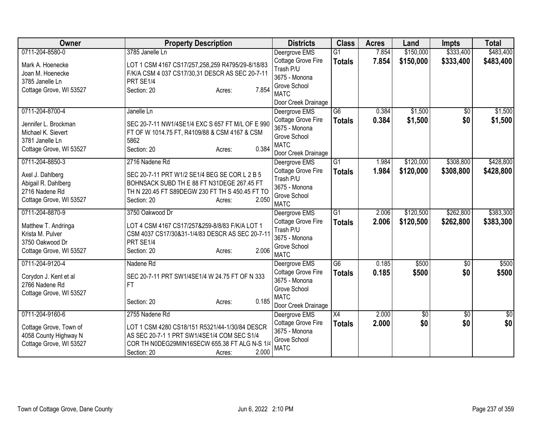| Owner                                   | <b>Property Description</b>                      | <b>Districts</b>                | <b>Class</b>    | <b>Acres</b> | Land            | <b>Impts</b>    | <b>Total</b> |
|-----------------------------------------|--------------------------------------------------|---------------------------------|-----------------|--------------|-----------------|-----------------|--------------|
| 0711-204-8580-0                         | 3785 Janelle Ln                                  | Deergrove EMS                   | $\overline{G1}$ | 7.854        | \$150,000       | \$333,400       | \$483,400    |
| Mark A. Hoenecke                        | LOT 1 CSM 4167 CS17/257,258,259 R4795/29-8/18/83 | Cottage Grove Fire              | <b>Totals</b>   | 7.854        | \$150,000       | \$333,400       | \$483,400    |
| Joan M. Hoenecke                        | F/K/A CSM 4 037 CS17/30,31 DESCR AS SEC 20-7-11  | Trash P/U                       |                 |              |                 |                 |              |
| 3785 Janelle Ln                         | PRT SE1/4                                        | 3675 - Monona                   |                 |              |                 |                 |              |
| Cottage Grove, WI 53527                 | 7.854<br>Section: 20<br>Acres:                   | Grove School                    |                 |              |                 |                 |              |
|                                         |                                                  | <b>MATC</b>                     |                 |              |                 |                 |              |
|                                         |                                                  | Door Creek Drainage             |                 |              |                 |                 |              |
| 0711-204-8700-4                         | Janelle Ln                                       | Deergrove EMS                   | $\overline{G6}$ | 0.384        | \$1,500         | \$0             | \$1,500      |
| Jennifer L. Brockman                    | SEC 20-7-11 NW1/4SE1/4 EXC S 657 FT M/L OF E 990 | Cottage Grove Fire              | <b>Totals</b>   | 0.384        | \$1,500         | \$0             | \$1,500      |
| Michael K. Sievert                      | FT OF W 1014.75 FT, R4109/88 & CSM 4167 & CSM    | 3675 - Monona                   |                 |              |                 |                 |              |
| 3781 Janelle Ln                         | 5862                                             | Grove School                    |                 |              |                 |                 |              |
| Cottage Grove, WI 53527                 | 0.384<br>Section: 20<br>Acres:                   | <b>MATC</b>                     |                 |              |                 |                 |              |
| 0711-204-8850-3                         | 2716 Nadene Rd                                   | Door Creek Drainage             | G1              |              |                 | \$308,800       | \$428,800    |
|                                         |                                                  | Deergrove EMS                   |                 | 1.984        | \$120,000       |                 |              |
| Axel J. Dahlberg                        | SEC 20-7-11 PRT W1/2 SE1/4 BEG SE COR L 2 B 5    | Cottage Grove Fire<br>Trash P/U | <b>Totals</b>   | 1.984        | \$120,000       | \$308,800       | \$428,800    |
| Abigail R. Dahlberg                     | BOHNSACK SUBD TH E 88 FT N31DEGE 267.45 FT       | 3675 - Monona                   |                 |              |                 |                 |              |
| 2716 Nadene Rd                          | TH N 220.45 FT S89DEGW 230 FT TH S 450.45 FT TO  | Grove School                    |                 |              |                 |                 |              |
| Cottage Grove, WI 53527                 | 2.050<br>Section: 20<br>Acres:                   | <b>MATC</b>                     |                 |              |                 |                 |              |
| 0711-204-8870-9                         | 3750 Oakwood Dr                                  | Deergrove EMS                   | G1              | 2.006        | \$120,500       | \$262,800       | \$383,300    |
|                                         |                                                  | Cottage Grove Fire              | <b>Totals</b>   | 2.006        | \$120,500       | \$262,800       | \$383,300    |
| Matthew T. Andringa                     | LOT 4 CSM 4167 CS17/257&259-8/8/83 F/K/A LOT 1   | Trash P/U                       |                 |              |                 |                 |              |
| Krista M. Pulver                        | CSM 4037 CS17/30&31-1/4/83 DESCR AS SEC 20-7-11  | 3675 - Monona                   |                 |              |                 |                 |              |
| 3750 Oakwood Dr                         | PRT SE1/4                                        | Grove School                    |                 |              |                 |                 |              |
| Cottage Grove, WI 53527                 | 2.006<br>Section: 20<br>Acres:                   | <b>MATC</b>                     |                 |              |                 |                 |              |
| 0711-204-9120-4                         | Nadene Rd                                        | Deergrove EMS                   | $\overline{G6}$ | 0.185        | \$500           | $\sqrt{6}$      | \$500        |
|                                         | SEC 20-7-11 PRT SW1/4SE1/4 W 24.75 FT OF N 333   | Cottage Grove Fire              | <b>Totals</b>   | 0.185        | \$500           | \$0             | \$500        |
| Corydon J. Kent et al<br>2766 Nadene Rd | <b>FT</b>                                        | 3675 - Monona                   |                 |              |                 |                 |              |
| Cottage Grove, WI 53527                 |                                                  | Grove School                    |                 |              |                 |                 |              |
|                                         | 0.185<br>Section: 20<br>Acres:                   | <b>MATC</b>                     |                 |              |                 |                 |              |
|                                         |                                                  | Door Creek Drainage             |                 |              |                 |                 |              |
| 0711-204-9160-6                         | 2755 Nadene Rd                                   | Deergrove EMS                   | X4              | 2.000        | $\overline{50}$ | $\overline{50}$ | $\sqrt{50}$  |
| Cottage Grove, Town of                  | LOT 1 CSM 4280 CS18/151 R5321/44-1/30/84 DESCR   | Cottage Grove Fire              | <b>Totals</b>   | 2.000        | \$0             | \$0             | \$0          |
| 4058 County Highway N                   | AS SEC 20-7-1 1 PRT SW1/4SE1/4 COM SEC S1/4      | 3675 - Monona                   |                 |              |                 |                 |              |
| Cottage Grove, WI 53527                 | COR TH NODEG29MIN16SECW 655.38 FT ALG N-S 1/4    | Grove School                    |                 |              |                 |                 |              |
|                                         | 2.000<br>Section: 20<br>Acres:                   | <b>MATC</b>                     |                 |              |                 |                 |              |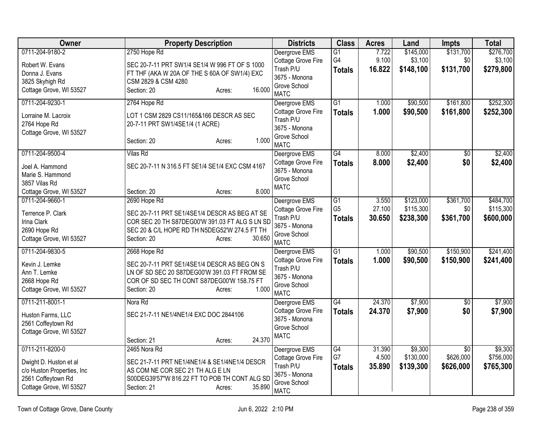| <b>Owner</b>                                  | <b>Property Description</b>                                                                     | <b>Districts</b>            | <b>Class</b>    | <b>Acres</b> | Land      | <b>Impts</b>    | <b>Total</b> |
|-----------------------------------------------|-------------------------------------------------------------------------------------------------|-----------------------------|-----------------|--------------|-----------|-----------------|--------------|
| 0711-204-9180-2                               | 2750 Hope Rd                                                                                    | Deergrove EMS               | $\overline{G1}$ | 7.722        | \$145,000 | \$131,700       | \$276,700    |
| Robert W. Evans                               | SEC 20-7-11 PRT SW1/4 SE1/4 W 996 FT OF S 1000                                                  | Cottage Grove Fire          | G4              | 9.100        | \$3,100   | \$0             | \$3,100      |
| Donna J. Evans                                | FT THF (AKA W 20A OF THE S 60A OF SW1/4) EXC                                                    | Trash P/U                   | <b>Totals</b>   | 16.822       | \$148,100 | \$131,700       | \$279,800    |
| 3825 Skyhigh Rd                               | CSM 2829 & CSM 4280                                                                             | 3675 - Monona               |                 |              |           |                 |              |
| Cottage Grove, WI 53527                       | 16.000<br>Section: 20<br>Acres:                                                                 | Grove School<br><b>MATC</b> |                 |              |           |                 |              |
| 0711-204-9230-1                               | 2764 Hope Rd                                                                                    | Deergrove EMS               | $\overline{G1}$ | 1.000        | \$90,500  | \$161,800       | \$252,300    |
| Lorraine M. Lacroix                           | LOT 1 CSM 2829 CS11/165&166 DESCR AS SEC                                                        | Cottage Grove Fire          | <b>Totals</b>   | 1.000        | \$90,500  | \$161,800       | \$252,300    |
| 2764 Hope Rd                                  | 20-7-11 PRT SW1/4SE1/4 (1 ACRE)                                                                 | Trash P/U                   |                 |              |           |                 |              |
| Cottage Grove, WI 53527                       |                                                                                                 | 3675 - Monona               |                 |              |           |                 |              |
|                                               | 1.000<br>Section: 20<br>Acres:                                                                  | Grove School<br><b>MATC</b> |                 |              |           |                 |              |
| 0711-204-9500-4                               | <b>Vilas Rd</b>                                                                                 | Deergrove EMS               | G4              | 8.000        | \$2,400   | \$0             | \$2,400      |
| Joel A. Hammond                               | SEC 20-7-11 N 316.5 FT SE1/4 SE1/4 EXC CSM 4167                                                 | Cottage Grove Fire          | <b>Totals</b>   | 8.000        | \$2,400   | \$0             | \$2,400      |
| Marie S. Hammond                              |                                                                                                 | 3675 - Monona               |                 |              |           |                 |              |
| 3857 Vilas Rd                                 |                                                                                                 | Grove School                |                 |              |           |                 |              |
| Cottage Grove, WI 53527                       | 8.000<br>Section: 20<br>Acres:                                                                  | <b>MATC</b>                 |                 |              |           |                 |              |
| 0711-204-9660-1                               | 2690 Hope Rd                                                                                    | Deergrove EMS               | $\overline{G1}$ | 3.550        | \$123,000 | \$361,700       | \$484,700    |
|                                               |                                                                                                 | Cottage Grove Fire          | G <sub>5</sub>  | 27.100       | \$115,300 | \$0             | \$115,300    |
| Terrence P. Clark                             | SEC 20-7-11 PRT SE1/4SE1/4 DESCR AS BEG AT SE                                                   | Trash P/U                   | <b>Totals</b>   | 30.650       | \$238,300 | \$361,700       | \$600,000    |
| Irina Clark<br>2690 Hope Rd                   | COR SEC 20 TH S87DEG00'W 391.03 FT ALG S LN SD<br>SEC 20 & C/L HOPE RD TH N5DEG52'W 274.5 FT TH | 3675 - Monona               |                 |              |           |                 |              |
| Cottage Grove, WI 53527                       | 30.650<br>Section: 20<br>Acres:                                                                 | Grove School                |                 |              |           |                 |              |
|                                               |                                                                                                 | <b>MATC</b>                 |                 |              |           |                 |              |
| 0711-204-9830-5                               | 2668 Hope Rd                                                                                    | Deergrove EMS               | $\overline{G1}$ | 1.000        | \$90,500  | \$150,900       | \$241,400    |
| Kevin J. Lemke                                | SEC 20-7-11 PRT SE1/4SE1/4 DESCR AS BEG ON S                                                    | Cottage Grove Fire          | <b>Totals</b>   | 1.000        | \$90,500  | \$150,900       | \$241,400    |
| Ann T. Lemke                                  | LN OF SD SEC 20 S87DEG00'W 391.03 FT FROM SE                                                    | Trash P/U                   |                 |              |           |                 |              |
| 2668 Hope Rd                                  | COR OF SD SEC TH CONT S87DEG00'W 158.75 FT                                                      | 3675 - Monona               |                 |              |           |                 |              |
| Cottage Grove, WI 53527                       | 1.000<br>Section: 20<br>Acres:                                                                  | Grove School<br><b>MATC</b> |                 |              |           |                 |              |
| 0711-211-8001-1                               | Nora Rd                                                                                         | Deergrove EMS               | G4              | 24.370       | \$7,900   | $\overline{50}$ | \$7,900      |
|                                               |                                                                                                 | Cottage Grove Fire          | <b>Totals</b>   | 24.370       | \$7,900   | \$0             | \$7,900      |
| Huston Farms, LLC                             | SEC 21-7-11 NE1/4NE1/4 EXC DOC 2844106                                                          | 3675 - Monona               |                 |              |           |                 |              |
| 2561 Coffeytown Rd<br>Cottage Grove, WI 53527 |                                                                                                 | Grove School                |                 |              |           |                 |              |
|                                               | 24.370<br>Section: 21<br>Acres:                                                                 | <b>MATC</b>                 |                 |              |           |                 |              |
| 0711-211-8200-0                               | 2465 Nora Rd                                                                                    | Deergrove EMS               | G4              | 31.390       | \$9,300   | $\overline{30}$ | \$9,300      |
|                                               |                                                                                                 | Cottage Grove Fire          | G7              | 4.500        | \$130,000 | \$626,000       | \$756,000    |
| Dwight D. Huston et al                        | SEC 21-7-11 PRT NE1/4NE1/4 & SE1/4NE1/4 DESCR                                                   | Trash P/U                   | <b>Totals</b>   | 35.890       | \$139,300 | \$626,000       | \$765,300    |
| c/o Huston Properties, Inc                    | AS COM NE COR SEC 21 TH ALG E LN                                                                | 3675 - Monona               |                 |              |           |                 |              |
| 2561 Coffeytown Rd<br>Cottage Grove, WI 53527 | S00DEG39'57"W 816.22 FT TO POB TH CONT ALG SD<br>35.890<br>Section: 21                          | Grove School                |                 |              |           |                 |              |
|                                               | Acres:                                                                                          | <b>MATC</b>                 |                 |              |           |                 |              |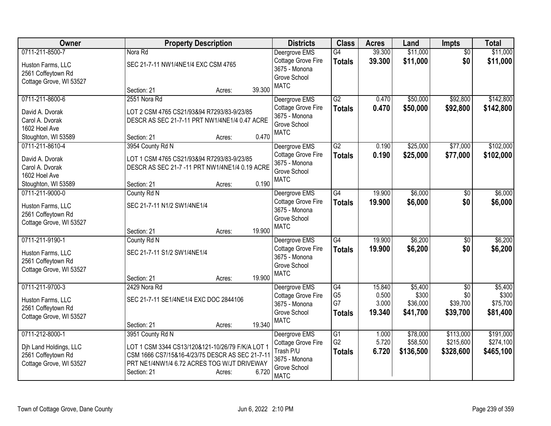| Owner                   | <b>Property Description</b>                      | <b>Districts</b>                    | <b>Class</b>                      | <b>Acres</b>    | Land             | <b>Impts</b>           | <b>Total</b>     |
|-------------------------|--------------------------------------------------|-------------------------------------|-----------------------------------|-----------------|------------------|------------------------|------------------|
| 0711-211-8500-7         | Nora Rd                                          | Deergrove EMS                       | G4                                | 39.300          | \$11,000         | $\overline{50}$        | \$11,000         |
| Huston Farms, LLC       | SEC 21-7-11 NW1/4NE1/4 EXC CSM 4765              | Cottage Grove Fire                  | <b>Totals</b>                     | 39.300          | \$11,000         | \$0                    | \$11,000         |
| 2561 Coffeytown Rd      |                                                  | 3675 - Monona                       |                                   |                 |                  |                        |                  |
| Cottage Grove, WI 53527 |                                                  | Grove School                        |                                   |                 |                  |                        |                  |
|                         | 39.300<br>Section: 21<br>Acres:                  | <b>MATC</b>                         |                                   |                 |                  |                        |                  |
| 0711-211-8600-6         | 2551 Nora Rd                                     | Deergrove EMS                       | G2                                | 0.470           | \$50,000         | \$92,800               | \$142,800        |
| David A. Dvorak         | LOT 2 CSM 4765 CS21/93&94 R7293/83-9/23/85       | Cottage Grove Fire                  | <b>Totals</b>                     | 0.470           | \$50,000         | \$92,800               | \$142,800        |
| Carol A. Dvorak         | DESCR AS SEC 21-7-11 PRT NW1/4NE1/4 0.47 ACRE    | 3675 - Monona                       |                                   |                 |                  |                        |                  |
| 1602 Hoel Ave           |                                                  | Grove School                        |                                   |                 |                  |                        |                  |
| Stoughton, WI 53589     | 0.470<br>Section: 21<br>Acres:                   | <b>MATC</b>                         |                                   |                 |                  |                        |                  |
| 0711-211-8610-4         | 3954 County Rd N                                 | Deergrove EMS                       | G2                                | 0.190           | \$25,000         | \$77,000               | \$102,000        |
|                         |                                                  | Cottage Grove Fire                  | <b>Totals</b>                     | 0.190           | \$25,000         | \$77,000               | \$102,000        |
| David A. Dvorak         | LOT 1 CSM 4765 CS21/93&94 R7293/83-9/23/85       | 3675 - Monona                       |                                   |                 |                  |                        |                  |
| Carol A. Dvorak         | DESCR AS SEC 21-7 -11 PRT NW1/4NE1/4 0.19 ACRE   | Grove School                        |                                   |                 |                  |                        |                  |
| 1602 Hoel Ave           |                                                  | <b>MATC</b>                         |                                   |                 |                  |                        |                  |
| Stoughton, WI 53589     | 0.190<br>Section: 21<br>Acres:                   |                                     |                                   |                 |                  |                        |                  |
| 0711-211-9000-0         | County Rd N                                      | Deergrove EMS                       | G4                                | 19.900          | \$6,000          | \$0                    | \$6,000          |
| Huston Farms, LLC       | SEC 21-7-11 N1/2 SW1/4NE1/4                      | Cottage Grove Fire                  | <b>Totals</b>                     | 19.900          | \$6,000          | \$0                    | \$6,000          |
| 2561 Coffeytown Rd      |                                                  | 3675 - Monona                       |                                   |                 |                  |                        |                  |
| Cottage Grove, WI 53527 |                                                  | Grove School                        |                                   |                 |                  |                        |                  |
|                         | 19.900<br>Section: 21<br>Acres:                  | <b>MATC</b>                         |                                   |                 |                  |                        |                  |
| 0711-211-9190-1         | County Rd N                                      | Deergrove EMS                       | G4                                | 19.900          | \$6,200          | \$0                    | \$6,200          |
|                         |                                                  | <b>Cottage Grove Fire</b>           | <b>Totals</b>                     | 19.900          | \$6,200          | \$0                    | \$6,200          |
| Huston Farms, LLC       | SEC 21-7-11 S1/2 SW1/4NE1/4                      | 3675 - Monona                       |                                   |                 |                  |                        |                  |
| 2561 Coffeytown Rd      |                                                  | Grove School                        |                                   |                 |                  |                        |                  |
| Cottage Grove, WI 53527 | 19.900<br>Section: 21                            | <b>MATC</b>                         |                                   |                 |                  |                        |                  |
|                         | Acres:                                           |                                     |                                   |                 |                  |                        |                  |
| 0711-211-9700-3         | 2429 Nora Rd                                     | Deergrove EMS                       | $\overline{G4}$<br>G <sub>5</sub> | 15.840<br>0.500 | \$5,400<br>\$300 | $\overline{50}$<br>\$0 | \$5,400<br>\$300 |
| Huston Farms, LLC       | SEC 21-7-11 SE1/4NE1/4 EXC DOC 2844106           | Cottage Grove Fire<br>3675 - Monona | G7                                | 3.000           | \$36,000         | \$39,700               | \$75,700         |
| 2561 Coffeytown Rd      |                                                  | Grove School                        |                                   |                 |                  |                        |                  |
| Cottage Grove, WI 53527 |                                                  | <b>MATC</b>                         | <b>Totals</b>                     | 19.340          | \$41,700         | \$39,700               | \$81,400         |
|                         | 19.340<br>Section: 21<br>Acres:                  |                                     |                                   |                 |                  |                        |                  |
| 0711-212-8000-1         | 3951 County Rd N                                 | Deergrove EMS                       | $\overline{G1}$                   | 1.000           | \$78,000         | \$113,000              | \$191,000        |
| Djh Land Holdings, LLC  | LOT 1 CSM 3344 CS13/120&121-10/26/79 F/K/A LOT 1 | Cottage Grove Fire                  | G <sub>2</sub>                    | 5.720           | \$58,500         | \$215,600              | \$274,100        |
| 2561 Coffeytown Rd      | CSM 1666 CS7/15&16-4/23/75 DESCR AS SEC 21-7-11  | Trash P/U                           | <b>Totals</b>                     | 6.720           | \$136,500        | \$328,600              | \$465,100        |
| Cottage Grove, WI 53527 | PRT NE1/4NW1/4 6.72 ACRES TOG W/JT DRIVEWAY      | 3675 - Monona                       |                                   |                 |                  |                        |                  |
|                         | 6.720<br>Section: 21<br>Acres:                   | Grove School                        |                                   |                 |                  |                        |                  |
|                         |                                                  | <b>MATC</b>                         |                                   |                 |                  |                        |                  |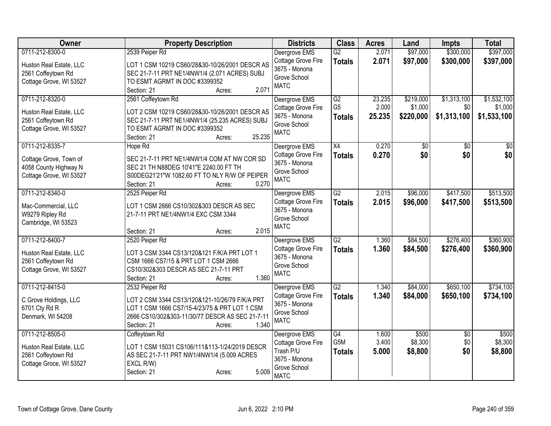| <b>Owner</b>            | <b>Property Description</b>                     | <b>Districts</b>   | <b>Class</b>     | <b>Acres</b> | Land      | <b>Impts</b>    | <b>Total</b> |
|-------------------------|-------------------------------------------------|--------------------|------------------|--------------|-----------|-----------------|--------------|
| 0711-212-8300-0         | 2539 Peiper Rd                                  | Deergrove EMS      | $\overline{G2}$  | 2.071        | \$97,000  | \$300,000       | \$397,000    |
| Huston Real Estate, LLC | LOT 1 CSM 10219 CS60/28&30-10/26/2001 DESCR AS  | Cottage Grove Fire | <b>Totals</b>    | 2.071        | \$97,000  | \$300,000       | \$397,000    |
| 2561 Coffeytown Rd      | SEC 21-7-11 PRT NE1/4NW1/4 (2.071 ACRES) SUBJ   | 3675 - Monona      |                  |              |           |                 |              |
| Cottage Grove, WI 53527 | TO ESMT AGRMT IN DOC #3399352                   | Grove School       |                  |              |           |                 |              |
|                         | 2.071<br>Section: 21<br>Acres:                  | <b>MATC</b>        |                  |              |           |                 |              |
| 0711-212-8320-0         | 2561 Coffeytown Rd                              | Deergrove EMS      | G2               | 23.235       | \$219,000 | \$1,313,100     | \$1,532,100  |
| Huston Real Estate, LLC | LOT 2 CSM 10219 CS60/28&30-10/26/2001 DESCR AS  | Cottage Grove Fire | G <sub>5</sub>   | 2.000        | \$1,000   | \$0             | \$1,000      |
| 2561 Coffeytown Rd      | SEC 21-7-11 PRT NE1/4NW1/4 (25.235 ACRES) SUBJ  | 3675 - Monona      | <b>Totals</b>    | 25.235       | \$220,000 | \$1,313,100     | \$1,533,100  |
| Cottage Grove, WI 53527 | TO ESMT AGRMT IN DOC #3399352                   | Grove School       |                  |              |           |                 |              |
|                         | 25.235<br>Section: 21<br>Acres:                 | <b>MATC</b>        |                  |              |           |                 |              |
| 0711-212-8335-7         | Hope Rd                                         | Deergrove EMS      | X4               | 0.270        | \$0       | $\sqrt{6}$      | \$0          |
| Cottage Grove, Town of  | SEC 21-7-11 PRT NE1/4NW1/4 COM AT NW COR SD     | Cottage Grove Fire | <b>Totals</b>    | 0.270        | \$0       | \$0             | \$0          |
| 4058 County Highway N   | SEC 21 TH N88DEG 10'41"E 2240.00 FT TH          | 3675 - Monona      |                  |              |           |                 |              |
| Cottage Grove, WI 53527 | S00DEG21'21"W 1082.60 FT TO NLY R/W OF PEIPER   | Grove School       |                  |              |           |                 |              |
|                         | 0.270<br>Section: 21<br>Acres:                  | <b>MATC</b>        |                  |              |           |                 |              |
| 0711-212-8340-0         | 2525 Peiper Rd                                  | Deergrove EMS      | $\overline{G2}$  | 2.015        | \$96,000  | \$417,500       | \$513,500    |
| Mac-Commercial, LLC     | LOT 1 CSM 2666 CS10/302&303 DESCR AS SEC        | Cottage Grove Fire | <b>Totals</b>    | 2.015        | \$96,000  | \$417,500       | \$513,500    |
| W9279 Ripley Rd         | 21-7-11 PRT NE1/4NW1/4 EXC CSM 3344             | 3675 - Monona      |                  |              |           |                 |              |
| Cambridge, WI 53523     |                                                 | Grove School       |                  |              |           |                 |              |
|                         | 2.015<br>Section: 21<br>Acres:                  | <b>MATC</b>        |                  |              |           |                 |              |
| 0711-212-8400-7         | 2520 Peiper Rd                                  | Deergrove EMS      | $\overline{G2}$  | 1.360        | \$84,500  | \$276,400       | \$360,900    |
| Huston Real Estate, LLC | LOT 3 CSM 3344 CS13/120&121 F/K/A PRT LOT 1     | Cottage Grove Fire | <b>Totals</b>    | 1.360        | \$84,500  | \$276,400       | \$360,900    |
| 2561 Coffeytown Rd      | CSM 1666 CS7/15 & PRT LOT 1 CSM 2666            | 3675 - Monona      |                  |              |           |                 |              |
| Cottage Grove, WI 53527 | CS10/302&303 DESCR AS SEC 21-7-11 PRT           | Grove School       |                  |              |           |                 |              |
|                         | 1.360<br>Section: 21<br>Acres:                  | <b>MATC</b>        |                  |              |           |                 |              |
| 0711-212-8415-0         | 2532 Peiper Rd                                  | Deergrove EMS      | $\overline{G2}$  | 1.340        | \$84,000  | \$650,100       | \$734,100    |
| C Grove Holdings, LLC   | LOT 2 CSM 3344 CS13/120&121-10/26/79 F/K/A PRT  | Cottage Grove Fire | <b>Totals</b>    | 1.340        | \$84,000  | \$650,100       | \$734,100    |
| 6701 Cty Rd R           | LOT 1 CSM 1666 CS7/15-4/23/75 & PRT LOT 1 CSM   | 3675 - Monona      |                  |              |           |                 |              |
| Denmark, WI 54208       | 2666 CS10/302&303-11/30/77 DESCR AS SEC 21-7-11 | Grove School       |                  |              |           |                 |              |
|                         | 1.340<br>Section: 21<br>Acres:                  | <b>MATC</b>        |                  |              |           |                 |              |
| 0711-212-8505-0         | Coffeytown Rd                                   | Deergrove EMS      | $\overline{G4}$  | 1.600        | \$500     | $\overline{50}$ | \$500        |
| Huston Real Estate, LLC | LOT 1 CSM 15031 CS106/111&113-1/24/2019 DESCR   | Cottage Grove Fire | G <sub>5</sub> M | 3.400        | \$8,300   | \$0             | \$8,300      |
| 2561 Coffeytown Rd      | AS SEC 21-7-11 PRT NW1/4NW1/4 (5.009 ACRES      | Trash P/U          | <b>Totals</b>    | 5.000        | \$8,800   | \$0             | \$8,800      |
| Cottage Groce, WI 53527 | EXCL R/W)                                       | 3675 - Monona      |                  |              |           |                 |              |
|                         | 5.009<br>Section: 21<br>Acres:                  | Grove School       |                  |              |           |                 |              |
|                         |                                                 | <b>MATC</b>        |                  |              |           |                 |              |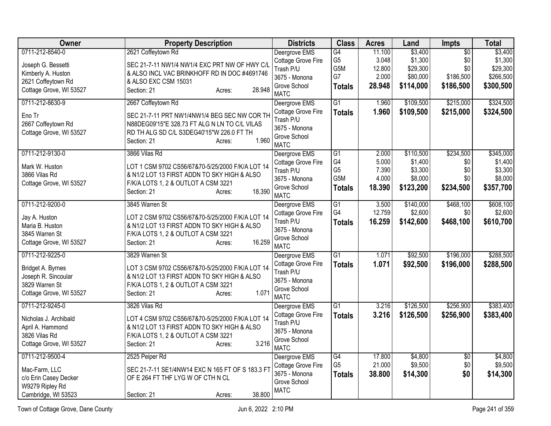| Owner                   | <b>Property Description</b>                      | <b>Districts</b>                | <b>Class</b>    | <b>Acres</b> | Land      | Impts           | <b>Total</b> |
|-------------------------|--------------------------------------------------|---------------------------------|-----------------|--------------|-----------|-----------------|--------------|
| 0711-212-8540-0         | 2621 Coffeytown Rd                               | Deergrove EMS                   | $\overline{G4}$ | 11.100       | \$3,400   | $\overline{50}$ | \$3,400      |
| Joseph G. Bessetti      | SEC 21-7-11 NW1/4 NW1/4 EXC PRT NW OF HWY C/L    | Cottage Grove Fire              | G <sub>5</sub>  | 3.048        | \$1,300   | \$0             | \$1,300      |
| Kimberly A. Huston      | & ALSO INCL VAC BRINKHOFF RD IN DOC #4691746     | Trash P/U                       | G5M             | 12.800       | \$29,300  | \$0             | \$29,300     |
| 2621 Coffeytown Rd      | & ALSO EXC CSM 15031                             | 3675 - Monona                   | G7              | 2.000        | \$80,000  | \$186,500       | \$266,500    |
| Cottage Grove, WI 53527 | 28.948<br>Section: 21<br>Acres:                  | Grove School                    | <b>Totals</b>   | 28.948       | \$114,000 | \$186,500       | \$300,500    |
|                         |                                                  | <b>MATC</b>                     |                 |              |           |                 |              |
| 0711-212-8630-9         | 2667 Coffeytown Rd                               | Deergrove EMS                   | $\overline{G1}$ | 1.960        | \$109,500 | \$215,000       | \$324,500    |
| Eno Tr                  | SEC 21-7-11 PRT NW1/4NW1/4 BEG SEC NW COR TH     | Cottage Grove Fire<br>Trash P/U | <b>Totals</b>   | 1.960        | \$109,500 | \$215,000       | \$324,500    |
| 2667 Coffeytown Rd      | N88DEG09'15"E 328.73 FT ALG N LN TO C/L VILAS    | 3675 - Monona                   |                 |              |           |                 |              |
| Cottage Grove, WI 53527 | RD TH ALG SD C/L S3DEG40'15"W 226.0 FT TH        | Grove School                    |                 |              |           |                 |              |
|                         | 1.960<br>Section: 21<br>Acres:                   | <b>MATC</b>                     |                 |              |           |                 |              |
| 0711-212-9130-0         | 3866 Vilas Rd                                    | Deergrove EMS                   | G <sub>1</sub>  | 2.000        | \$110,500 | \$234,500       | \$345,000    |
| Mark W. Huston          | LOT 1 CSM 9702 CS56/67&70-5/25/2000 F/K/A LOT 14 | Cottage Grove Fire              | G4              | 5.000        | \$1,400   | \$0             | \$1,400      |
| 3866 Vilas Rd           | & N1/2 LOT 13 FIRST ADDN TO SKY HIGH & ALSO      | Trash P/U                       | G <sub>5</sub>  | 7.390        | \$3,300   | \$0             | \$3,300      |
| Cottage Grove, WI 53527 | F/K/A LOTS 1, 2 & OUTLOT A CSM 3221              | 3675 - Monona                   | G5M             | 4.000        | \$8,000   | \$0             | \$8,000      |
|                         | 18.390<br>Section: 21<br>Acres:                  | Grove School<br><b>MATC</b>     | <b>Totals</b>   | 18.390       | \$123,200 | \$234,500       | \$357,700    |
| 0711-212-9200-0         | 3845 Warren St                                   | Deergrove EMS                   | $\overline{G1}$ | 3.500        | \$140,000 | \$468,100       | \$608,100    |
|                         |                                                  | Cottage Grove Fire              | G4              | 12.759       | \$2,600   | \$0             | \$2,600      |
| Jay A. Huston           | LOT 2 CSM 9702 CS56/67&70-5/25/2000 F/K/A LOT 14 | Trash P/U                       | <b>Totals</b>   | 16.259       | \$142,600 | \$468,100       | \$610,700    |
| Maria B. Huston         | & N1/2 LOT 13 FIRST ADDN TO SKY HIGH & ALSO      | 3675 - Monona                   |                 |              |           |                 |              |
| 3845 Warren St          | F/K/A LOTS 1, 2 & OUTLOT A CSM 3221              | Grove School                    |                 |              |           |                 |              |
| Cottage Grove, WI 53527 | 16.259<br>Section: 21<br>Acres:                  | <b>MATC</b>                     |                 |              |           |                 |              |
| 0711-212-9225-0         | 3829 Warren St                                   | Deergrove EMS                   | $\overline{G1}$ | 1.071        | \$92,500  | \$196,000       | \$288,500    |
| Bridget A. Byrnes       | LOT 3 CSM 9702 CS56/67&70-5/25/2000 F/K/A LOT 14 | Cottage Grove Fire              | <b>Totals</b>   | 1.071        | \$92,500  | \$196,000       | \$288,500    |
| Joseph R. Sincoular     | & N1/2 LOT 13 FIRST ADDN TO SKY HIGH & ALSO      | Trash P/U                       |                 |              |           |                 |              |
| 3829 Warren St          | F/K/A LOTS 1, 2 & OUTLOT A CSM 3221              | 3675 - Monona                   |                 |              |           |                 |              |
| Cottage Grove, WI 53527 | 1.071<br>Section: 21<br>Acres:                   | Grove School                    |                 |              |           |                 |              |
| 0711-212-9245-0         |                                                  | <b>MATC</b>                     |                 |              | \$126,500 | \$256,900       | \$383,400    |
|                         | 3826 Vilas Rd                                    | Deergrove EMS                   | G1              | 3.216        |           |                 |              |
| Nicholas J. Archibald   | LOT 4 CSM 9702 CS56/67&70-5/25/2000 F/K/A LOT 14 | Cottage Grove Fire<br>Trash P/U | <b>Totals</b>   | 3.216        | \$126,500 | \$256,900       | \$383,400    |
| April A. Hammond        | & N1/2 LOT 13 FIRST ADDN TO SKY HIGH & ALSO      | 3675 - Monona                   |                 |              |           |                 |              |
| 3826 Vilas Rd           | F/K/A LOTS 1, 2 & OUTLOT A CSM 3221              | Grove School                    |                 |              |           |                 |              |
| Cottage Grove, WI 53527 | 3.216<br>Section: 21<br>Acres:                   | <b>MATC</b>                     |                 |              |           |                 |              |
| 0711-212-9500-4         | 2525 Peiper Rd                                   | Deergrove EMS                   | G4              | 17.800       | \$4,800   | $\overline{50}$ | \$4,800      |
| Mac-Farm, LLC           | SEC 21-7-11 SE1/4NW14 EXC N 165 FT OF S 183.3 FT | Cottage Grove Fire              | G <sub>5</sub>  | 21.000       | \$9,500   | \$0             | \$9,500      |
| c/o Erin Casey Decker   | OF E 264 FT THF LYG W OF CTH N CL                | 3675 - Monona                   | <b>Totals</b>   | 38.800       | \$14,300  | \$0             | \$14,300     |
| W9279 Ripley Rd         |                                                  | Grove School                    |                 |              |           |                 |              |
| Cambridge, WI 53523     | 38.800<br>Section: 21<br>Acres:                  | <b>MATC</b>                     |                 |              |           |                 |              |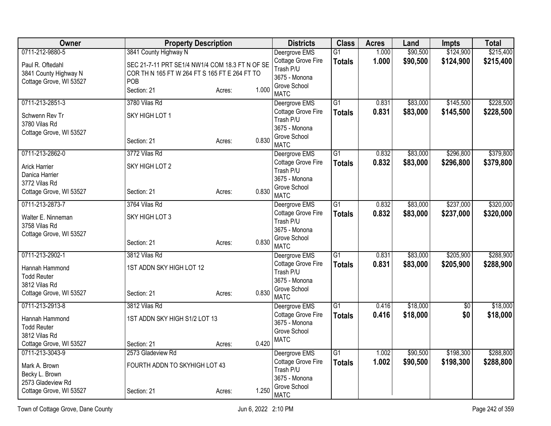| Owner                   |                                                 | <b>Property Description</b> |       | <b>Districts</b>                    | <b>Class</b>    | <b>Acres</b> | Land     | <b>Impts</b>    | <b>Total</b> |
|-------------------------|-------------------------------------------------|-----------------------------|-------|-------------------------------------|-----------------|--------------|----------|-----------------|--------------|
| 0711-212-9880-5         | 3841 County Highway N                           |                             |       | Deergrove EMS                       | $\overline{G1}$ | 1.000        | \$90,500 | \$124,900       | \$215,400    |
| Paul R. Oftedahl        | SEC 21-7-11 PRT SE1/4 NW1/4 COM 18.3 FT N OF SE |                             |       | Cottage Grove Fire                  | <b>Totals</b>   | 1.000        | \$90,500 | \$124,900       | \$215,400    |
| 3841 County Highway N   | COR TH N 165 FT W 264 FT S 165 FT E 264 FT TO   |                             |       | Trash P/U<br>3675 - Monona          |                 |              |          |                 |              |
| Cottage Grove, WI 53527 | POB                                             |                             |       | Grove School                        |                 |              |          |                 |              |
|                         | Section: 21                                     | Acres:                      | 1.000 | <b>MATC</b>                         |                 |              |          |                 |              |
| 0711-213-2851-3         | 3780 Vilas Rd                                   |                             |       | Deergrove EMS                       | $\overline{G1}$ | 0.831        | \$83,000 | \$145,500       | \$228,500    |
| Schwenn Rev Tr          | SKY HIGH LOT 1                                  |                             |       | Cottage Grove Fire<br>Trash P/U     | <b>Totals</b>   | 0.831        | \$83,000 | \$145,500       | \$228,500    |
| 3780 Vilas Rd           |                                                 |                             |       | 3675 - Monona                       |                 |              |          |                 |              |
| Cottage Grove, WI 53527 |                                                 |                             |       | Grove School                        |                 |              |          |                 |              |
|                         | Section: 21                                     | Acres:                      | 0.830 | <b>MATC</b>                         |                 |              |          |                 |              |
| 0711-213-2862-0         | 3772 Vilas Rd                                   |                             |       | Deergrove EMS                       | $\overline{G1}$ | 0.832        | \$83,000 | \$296,800       | \$379,800    |
| <b>Arick Harrier</b>    | SKY HIGH LOT 2                                  |                             |       | Cottage Grove Fire                  | <b>Totals</b>   | 0.832        | \$83,000 | \$296,800       | \$379,800    |
| Danica Harrier          |                                                 |                             |       | Trash P/U<br>3675 - Monona          |                 |              |          |                 |              |
| 3772 Vilas Rd           |                                                 |                             |       | Grove School                        |                 |              |          |                 |              |
| Cottage Grove, WI 53527 | Section: 21                                     | Acres:                      | 0.830 | <b>MATC</b>                         |                 |              |          |                 |              |
| 0711-213-2873-7         | 3764 Vilas Rd                                   |                             |       | Deergrove EMS                       | G1              | 0.832        | \$83,000 | \$237,000       | \$320,000    |
| Walter E. Ninneman      | SKY HIGH LOT 3                                  |                             |       | Cottage Grove Fire                  | <b>Totals</b>   | 0.832        | \$83,000 | \$237,000       | \$320,000    |
| 3758 Vilas Rd           |                                                 |                             |       | Trash P/U<br>3675 - Monona          |                 |              |          |                 |              |
| Cottage Grove, WI 53527 |                                                 |                             |       | Grove School                        |                 |              |          |                 |              |
|                         | Section: 21                                     | Acres:                      | 0.830 | <b>MATC</b>                         |                 |              |          |                 |              |
| 0711-213-2902-1         | 3812 Vilas Rd                                   |                             |       | Deergrove EMS                       | $\overline{G1}$ | 0.831        | \$83,000 | \$205,900       | \$288,900    |
| Hannah Hammond          | 1ST ADDN SKY HIGH LOT 12                        |                             |       | Cottage Grove Fire                  | <b>Totals</b>   | 0.831        | \$83,000 | \$205,900       | \$288,900    |
| <b>Todd Reuter</b>      |                                                 |                             |       | Trash P/U<br>3675 - Monona          |                 |              |          |                 |              |
| 3812 Vilas Rd           |                                                 |                             |       | Grove School                        |                 |              |          |                 |              |
| Cottage Grove, WI 53527 | Section: 21                                     | Acres:                      | 0.830 | <b>MATC</b>                         |                 |              |          |                 |              |
| 0711-213-2913-8         | 3812 Vilas Rd                                   |                             |       | Deergrove EMS                       | $\overline{G1}$ | 0.416        | \$18,000 | $\overline{50}$ | \$18,000     |
| Hannah Hammond          | 1ST ADDN SKY HIGH S1/2 LOT 13                   |                             |       | Cottage Grove Fire                  | <b>Totals</b>   | 0.416        | \$18,000 | \$0             | \$18,000     |
| <b>Todd Reuter</b>      |                                                 |                             |       | 3675 - Monona<br>Grove School       |                 |              |          |                 |              |
| 3812 Vilas Rd           |                                                 |                             |       | <b>MATC</b>                         |                 |              |          |                 |              |
| Cottage Grove, WI 53527 | Section: 21                                     | Acres:                      | 0.420 |                                     |                 |              |          |                 |              |
| 0711-213-3043-9         | 2573 Gladeview Rd                               |                             |       | Deergrove EMS<br>Cottage Grove Fire | $\overline{G1}$ | 1.002        | \$90,500 | \$198,300       | \$288,800    |
| Mark A. Brown           | FOURTH ADDN TO SKYHIGH LOT 43                   |                             |       | Trash P/U                           | <b>Totals</b>   | 1.002        | \$90,500 | \$198,300       | \$288,800    |
| Becky L. Brown          |                                                 |                             |       | 3675 - Monona                       |                 |              |          |                 |              |
| 2573 Gladeview Rd       |                                                 |                             |       | Grove School                        |                 |              |          |                 |              |
| Cottage Grove, WI 53527 | Section: 21                                     | Acres:                      | 1.250 | <b>MATC</b>                         |                 |              |          |                 |              |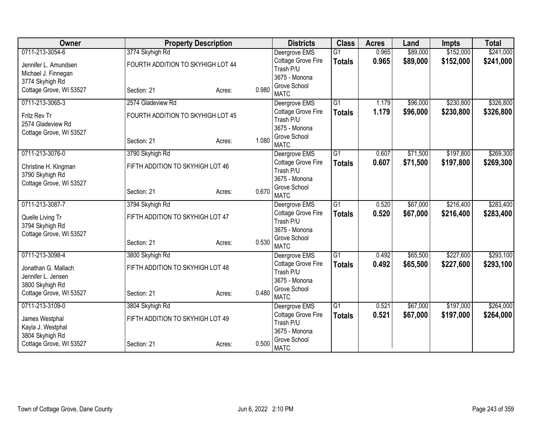| Owner                                   |                                   | <b>Property Description</b> |       | <b>Districts</b>                       | <b>Class</b>    | <b>Acres</b> | Land     | <b>Impts</b> | <b>Total</b> |
|-----------------------------------------|-----------------------------------|-----------------------------|-------|----------------------------------------|-----------------|--------------|----------|--------------|--------------|
| 0711-213-3054-6                         | 3774 Skyhigh Rd                   |                             |       | Deergrove EMS                          | $\overline{G1}$ | 0.965        | \$89,000 | \$152,000    | \$241,000    |
| Jennifer L. Amundsen                    | FOURTH ADDITION TO SKYHIGH LOT 44 |                             |       | Cottage Grove Fire                     | <b>Totals</b>   | 0.965        | \$89,000 | \$152,000    | \$241,000    |
| Michael J. Finnegan                     |                                   |                             |       | Trash P/U                              |                 |              |          |              |              |
| 3774 Skyhigh Rd                         |                                   |                             |       | 3675 - Monona<br>Grove School          |                 |              |          |              |              |
| Cottage Grove, WI 53527                 | Section: 21                       | Acres:                      | 0.980 | <b>MATC</b>                            |                 |              |          |              |              |
| 0711-213-3065-3                         | 2574 Gladeview Rd                 |                             |       | Deergrove EMS                          | $\overline{G1}$ | 1.179        | \$96,000 | \$230,800    | \$326,800    |
| Fritz Rev Tr                            | FOURTH ADDITION TO SKYHIGH LOT 45 |                             |       | Cottage Grove Fire                     | <b>Totals</b>   | 1.179        | \$96,000 | \$230,800    | \$326,800    |
| 2574 Gladeview Rd                       |                                   |                             |       | Trash P/U                              |                 |              |          |              |              |
| Cottage Grove, WI 53527                 |                                   |                             |       | 3675 - Monona                          |                 |              |          |              |              |
|                                         | Section: 21                       | Acres:                      | 1.080 | Grove School<br><b>MATC</b>            |                 |              |          |              |              |
| 0711-213-3076-0                         | 3790 Skyhigh Rd                   |                             |       | Deergrove EMS                          | G1              | 0.607        | \$71,500 | \$197,800    | \$269,300    |
|                                         | FIFTH ADDITION TO SKYHIGH LOT 46  |                             |       | Cottage Grove Fire                     | <b>Totals</b>   | 0.607        | \$71,500 | \$197,800    | \$269,300    |
| Christine H. Kingman<br>3790 Skyhigh Rd |                                   |                             |       | Trash P/U                              |                 |              |          |              |              |
| Cottage Grove, WI 53527                 |                                   |                             |       | 3675 - Monona                          |                 |              |          |              |              |
|                                         | Section: 21                       | Acres:                      | 0.670 | Grove School                           |                 |              |          |              |              |
|                                         |                                   |                             |       | <b>MATC</b>                            |                 |              |          |              |              |
| 0711-213-3087-7                         | 3794 Skyhigh Rd                   |                             |       | Deergrove EMS                          | $\overline{G1}$ | 0.520        | \$67,000 | \$216,400    | \$283,400    |
| Quelle Living Tr                        | FIFTH ADDITION TO SKYHIGH LOT 47  |                             |       | <b>Cottage Grove Fire</b><br>Trash P/U | <b>Totals</b>   | 0.520        | \$67,000 | \$216,400    | \$283,400    |
| 3794 Skyhigh Rd                         |                                   |                             |       | 3675 - Monona                          |                 |              |          |              |              |
| Cottage Grove, WI 53527                 |                                   |                             |       | Grove School                           |                 |              |          |              |              |
|                                         | Section: 21                       | Acres:                      | 0.530 | <b>MATC</b>                            |                 |              |          |              |              |
| 0711-213-3098-4                         | 3800 Skyhigh Rd                   |                             |       | Deergrove EMS                          | $\overline{G1}$ | 0.492        | \$65,500 | \$227,600    | \$293,100    |
| Jonathan G. Mallach                     | FIFTH ADDITION TO SKYHIGH LOT 48  |                             |       | <b>Cottage Grove Fire</b>              | <b>Totals</b>   | 0.492        | \$65,500 | \$227,600    | \$293,100    |
| Jennifer L. Jensen                      |                                   |                             |       | Trash P/U                              |                 |              |          |              |              |
| 3800 Skyhigh Rd                         |                                   |                             |       | 3675 - Monona<br>Grove School          |                 |              |          |              |              |
| Cottage Grove, WI 53527                 | Section: 21                       | Acres:                      | 0.480 | <b>MATC</b>                            |                 |              |          |              |              |
| 0711-213-3109-0                         | 3804 Skyhigh Rd                   |                             |       | Deergrove EMS                          | $\overline{G1}$ | 0.521        | \$67,000 | \$197,000    | \$264,000    |
| James Westphal                          | FIFTH ADDITION TO SKYHIGH LOT 49  |                             |       | Cottage Grove Fire                     | <b>Totals</b>   | 0.521        | \$67,000 | \$197,000    | \$264,000    |
| Kayla J. Westphal                       |                                   |                             |       | Trash P/U                              |                 |              |          |              |              |
| 3804 Skyhigh Rd                         |                                   |                             |       | 3675 - Monona                          |                 |              |          |              |              |
| Cottage Grove, WI 53527                 | Section: 21                       | Acres:                      | 0.500 | Grove School<br><b>MATC</b>            |                 |              |          |              |              |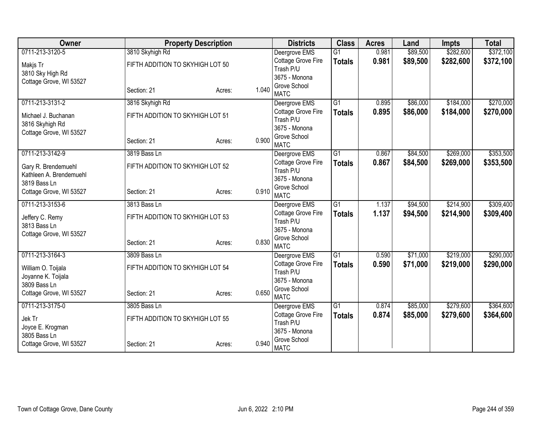| Owner                   |                                  | <b>Property Description</b> |       | <b>Districts</b>              | <b>Class</b>    | <b>Acres</b> | Land     | <b>Impts</b> | <b>Total</b> |
|-------------------------|----------------------------------|-----------------------------|-------|-------------------------------|-----------------|--------------|----------|--------------|--------------|
| 0711-213-3120-5         | 3810 Skyhigh Rd                  |                             |       | Deergrove EMS                 | $\overline{G1}$ | 0.981        | \$89,500 | \$282,600    | \$372,100    |
| Makjs Tr                | FIFTH ADDITION TO SKYHIGH LOT 50 |                             |       | Cottage Grove Fire            | <b>Totals</b>   | 0.981        | \$89,500 | \$282,600    | \$372,100    |
| 3810 Sky High Rd        |                                  |                             |       | Trash P/U                     |                 |              |          |              |              |
| Cottage Grove, WI 53527 |                                  |                             |       | 3675 - Monona<br>Grove School |                 |              |          |              |              |
|                         | Section: 21                      | Acres:                      | 1.040 | <b>MATC</b>                   |                 |              |          |              |              |
| 0711-213-3131-2         | 3816 Skyhigh Rd                  |                             |       | Deergrove EMS                 | $\overline{G1}$ | 0.895        | \$86,000 | \$184,000    | \$270,000    |
| Michael J. Buchanan     | FIFTH ADDITION TO SKYHIGH LOT 51 |                             |       | Cottage Grove Fire            | <b>Totals</b>   | 0.895        | \$86,000 | \$184,000    | \$270,000    |
| 3816 Skyhigh Rd         |                                  |                             |       | Trash P/U                     |                 |              |          |              |              |
| Cottage Grove, WI 53527 |                                  |                             |       | 3675 - Monona                 |                 |              |          |              |              |
|                         | Section: 21                      | Acres:                      | 0.900 | Grove School<br><b>MATC</b>   |                 |              |          |              |              |
| 0711-213-3142-9         | 3819 Bass Ln                     |                             |       | Deergrove EMS                 | G1              | 0.867        | \$84,500 | \$269,000    | \$353,500    |
|                         |                                  |                             |       | Cottage Grove Fire            |                 | 0.867        | \$84,500 | \$269,000    | \$353,500    |
| Gary R. Brendemuehl     | FIFTH ADDITION TO SKYHIGH LOT 52 |                             |       | Trash P/U                     | <b>Totals</b>   |              |          |              |              |
| Kathleen A. Brendemuehl |                                  |                             |       | 3675 - Monona                 |                 |              |          |              |              |
| 3819 Bass Ln            |                                  |                             |       | Grove School                  |                 |              |          |              |              |
| Cottage Grove, WI 53527 | Section: 21                      | Acres:                      | 0.910 | <b>MATC</b>                   |                 |              |          |              |              |
| 0711-213-3153-6         | 3813 Bass Ln                     |                             |       | Deergrove EMS                 | $\overline{G1}$ | 1.137        | \$94,500 | \$214,900    | \$309,400    |
| Jeffery C. Remy         | FIFTH ADDITION TO SKYHIGH LOT 53 |                             |       | Cottage Grove Fire            | <b>Totals</b>   | 1.137        | \$94,500 | \$214,900    | \$309,400    |
| 3813 Bass Ln            |                                  |                             |       | Trash P/U                     |                 |              |          |              |              |
| Cottage Grove, WI 53527 |                                  |                             |       | 3675 - Monona                 |                 |              |          |              |              |
|                         | Section: 21                      | Acres:                      | 0.830 | Grove School<br><b>MATC</b>   |                 |              |          |              |              |
| 0711-213-3164-3         | 3809 Bass Ln                     |                             |       | Deergrove EMS                 | $\overline{G1}$ | 0.590        | \$71,000 | \$219,000    | \$290,000    |
|                         |                                  |                             |       | Cottage Grove Fire            | <b>Totals</b>   | 0.590        | \$71,000 | \$219,000    | \$290,000    |
| William O. Toijala      | FIFTH ADDITION TO SKYHIGH LOT 54 |                             |       | Trash P/U                     |                 |              |          |              |              |
| Joyanne K. Toijala      |                                  |                             |       | 3675 - Monona                 |                 |              |          |              |              |
| 3809 Bass Ln            |                                  |                             | 0.650 | Grove School                  |                 |              |          |              |              |
| Cottage Grove, WI 53527 | Section: 21                      | Acres:                      |       | <b>MATC</b>                   |                 |              |          |              |              |
| 0711-213-3175-0         | 3805 Bass Ln                     |                             |       | Deergrove EMS                 | $\overline{G1}$ | 0.874        | \$85,000 | \$279,600    | \$364,600    |
| Jek Tr                  | FIFTH ADDITION TO SKYHIGH LOT 55 |                             |       | Cottage Grove Fire            | <b>Totals</b>   | 0.874        | \$85,000 | \$279,600    | \$364,600    |
| Joyce E. Krogman        |                                  |                             |       | Trash P/U                     |                 |              |          |              |              |
| 3805 Bass Ln            |                                  |                             |       | 3675 - Monona                 |                 |              |          |              |              |
| Cottage Grove, WI 53527 | Section: 21                      | Acres:                      | 0.940 | Grove School<br><b>MATC</b>   |                 |              |          |              |              |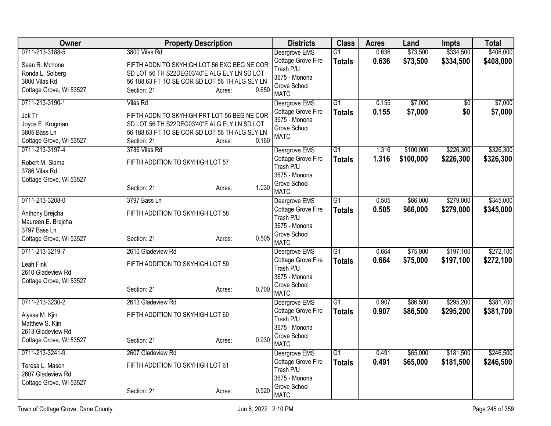| <b>Owner</b>            | <b>Property Description</b>                    |                 | <b>Districts</b>             | <b>Class</b>    | <b>Acres</b> | Land      | <b>Impts</b>    | <b>Total</b> |
|-------------------------|------------------------------------------------|-----------------|------------------------------|-----------------|--------------|-----------|-----------------|--------------|
| 0711-213-3188-5         | 3800 Vilas Rd                                  |                 | Deergrove EMS                | $\overline{G1}$ | 0.636        | \$73,500  | \$334,500       | \$408,000    |
| Sean R. Mchone          | FIFTH ADDN TO SKYHIGH LOT 56 EXC BEG NE COR    |                 | Cottage Grove Fire           | <b>Totals</b>   | 0.636        | \$73,500  | \$334,500       | \$408,000    |
| Ronda L. Solberg        | SD LOT 56 TH S22DEG03'40"E ALG ELY LN SD LOT   |                 | Trash P/U<br>3675 - Monona   |                 |              |           |                 |              |
| 3800 Vilas Rd           | 56 188.63 FT TO SE COR SD LOT 56 TH ALG SLY LN |                 | Grove School                 |                 |              |           |                 |              |
| Cottage Grove, WI 53527 | Section: 21                                    | 0.650<br>Acres: | <b>MATC</b>                  |                 |              |           |                 |              |
| 0711-213-3190-1         | Vilas Rd                                       |                 | Deergrove EMS                | $\overline{G1}$ | 0.155        | \$7,000   | $\overline{50}$ | \$7,000      |
| Jek Tr                  | FIFTH ADDN TO SKYHIGH PRT LOT 56 BEG NE COR    |                 | Cottage Grove Fire           | <b>Totals</b>   | 0.155        | \$7,000   | \$0             | \$7,000      |
| Joyce E. Krogman        | SD LOT 56 TH S22DEG03'40"E ALG ELY LN SD LOT   |                 | 3675 - Monona                |                 |              |           |                 |              |
| 3805 Bass Ln            | 56 188.63 FT TO SE COR SD LOT 56 TH ALG SLY LN |                 | Grove School<br><b>MATC</b>  |                 |              |           |                 |              |
| Cottage Grove, WI 53527 | Section: 21                                    | 0.160<br>Acres: |                              |                 |              |           |                 |              |
| 0711-213-3197-4         | 3786 Vilas Rd                                  |                 | Deergrove EMS                | $\overline{G1}$ | 1.316        | \$100,000 | \$226,300       | \$326,300    |
| Robert M. Slama         | FIFTH ADDITION TO SKYHIGH LOT 57               |                 | Cottage Grove Fire           | <b>Totals</b>   | 1.316        | \$100,000 | \$226,300       | \$326,300    |
| 3786 Vilas Rd           |                                                |                 | Trash P/U                    |                 |              |           |                 |              |
| Cottage Grove, WI 53527 |                                                |                 | 3675 - Monona                |                 |              |           |                 |              |
|                         | Section: 21                                    | 1.030<br>Acres: | Grove School                 |                 |              |           |                 |              |
| 0711-213-3208-0         | 3797 Bass Ln                                   |                 | <b>MATC</b><br>Deergrove EMS | $\overline{G1}$ | 0.505        | \$66,000  | \$279,000       | \$345,000    |
|                         |                                                |                 | Cottage Grove Fire           | <b>Totals</b>   | 0.505        | \$66,000  | \$279,000       | \$345,000    |
| Anthony Brejcha         | FIFTH ADDITION TO SKYHIGH LOT 58               |                 | Trash P/U                    |                 |              |           |                 |              |
| Maureen E. Brejcha      |                                                |                 | 3675 - Monona                |                 |              |           |                 |              |
| 3797 Bass Ln            |                                                |                 | Grove School                 |                 |              |           |                 |              |
| Cottage Grove, WI 53527 | Section: 21                                    | 0.505<br>Acres: | <b>MATC</b>                  |                 |              |           |                 |              |
| 0711-213-3219-7         | 2610 Gladeview Rd                              |                 | Deergrove EMS                | G1              | 0.664        | \$75,000  | \$197,100       | \$272,100    |
| Leah Fink               | FIFTH ADDITION TO SKYHIGH LOT 59               |                 | Cottage Grove Fire           | <b>Totals</b>   | 0.664        | \$75,000  | \$197,100       | \$272,100    |
| 2610 Gladeview Rd       |                                                |                 | Trash P/U                    |                 |              |           |                 |              |
| Cottage Grove, WI 53527 |                                                |                 | 3675 - Monona                |                 |              |           |                 |              |
|                         | Section: 21                                    | 0.700<br>Acres: | Grove School<br><b>MATC</b>  |                 |              |           |                 |              |
| 0711-213-3230-2         | 2613 Gladeview Rd                              |                 | Deergrove EMS                | $\overline{G1}$ | 0.907        | \$86,500  | \$295,200       | \$381,700    |
|                         |                                                |                 | Cottage Grove Fire           | <b>Totals</b>   | 0.907        | \$86,500  | \$295,200       | \$381,700    |
| Alyssa M. Kjin          | FIFTH ADDITION TO SKYHIGH LOT 60               |                 | Trash P/U                    |                 |              |           |                 |              |
| Matthew S. Kjin         |                                                |                 | 3675 - Monona                |                 |              |           |                 |              |
| 2613 Gladeview Rd       |                                                |                 | Grove School                 |                 |              |           |                 |              |
| Cottage Grove, WI 53527 | Section: 21                                    | 0.930<br>Acres: | <b>MATC</b>                  |                 |              |           |                 |              |
| 0711-213-3241-9         | 2607 Gladeview Rd                              |                 | Deergrove EMS                | $\overline{G1}$ | 0.491        | \$65,000  | \$181,500       | \$246,500    |
| Teresa L. Mason         | FIFTH ADDITION TO SKYHIGH LOT 61               |                 | Cottage Grove Fire           | <b>Totals</b>   | 0.491        | \$65,000  | \$181,500       | \$246,500    |
| 2607 Gladeview Rd       |                                                |                 | Trash P/U                    |                 |              |           |                 |              |
| Cottage Grove, WI 53527 |                                                |                 | 3675 - Monona                |                 |              |           |                 |              |
|                         | Section: 21                                    | 0.520<br>Acres: | Grove School<br><b>MATC</b>  |                 |              |           |                 |              |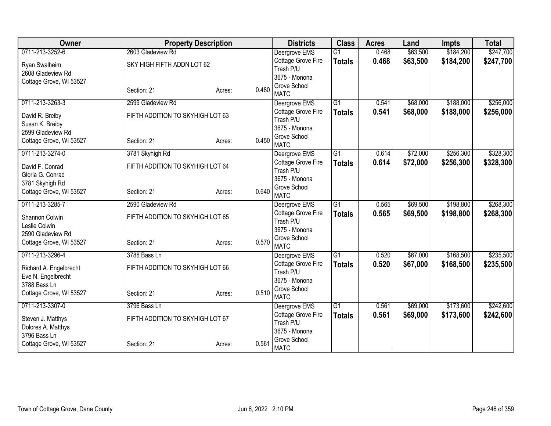| Owner                   | <b>Property Description</b>      |        |       | <b>Districts</b>                | <b>Class</b>    | <b>Acres</b> | Land     | <b>Impts</b> | <b>Total</b> |
|-------------------------|----------------------------------|--------|-------|---------------------------------|-----------------|--------------|----------|--------------|--------------|
| 0711-213-3252-6         | 2603 Gladeview Rd                |        |       | Deergrove EMS                   | $\overline{G1}$ | 0.468        | \$63,500 | \$184,200    | \$247,700    |
| Ryan Swalheim           | SKY HIGH FIFTH ADDN LOT 62       |        |       | Cottage Grove Fire              | <b>Totals</b>   | 0.468        | \$63,500 | \$184,200    | \$247,700    |
| 2608 Gladeview Rd       |                                  |        |       | Trash P/U                       |                 |              |          |              |              |
| Cottage Grove, WI 53527 |                                  |        |       | 3675 - Monona                   |                 |              |          |              |              |
|                         | Section: 21                      | Acres: | 0.480 | Grove School<br><b>MATC</b>     |                 |              |          |              |              |
| 0711-213-3263-3         | 2599 Gladeview Rd                |        |       | Deergrove EMS                   | $\overline{G1}$ | 0.541        | \$68,000 | \$188,000    | \$256,000    |
| David R. Breiby         | FIFTH ADDITION TO SKYHIGH LOT 63 |        |       | Cottage Grove Fire              | <b>Totals</b>   | 0.541        | \$68,000 | \$188,000    | \$256,000    |
| Susan K. Breiby         |                                  |        |       | Trash P/U                       |                 |              |          |              |              |
| 2599 Gladeview Rd       |                                  |        |       | 3675 - Monona                   |                 |              |          |              |              |
| Cottage Grove, WI 53527 | Section: 21                      | Acres: | 0.450 | Grove School<br><b>MATC</b>     |                 |              |          |              |              |
| 0711-213-3274-0         | 3781 Skyhigh Rd                  |        |       | Deergrove EMS                   | $\overline{G1}$ | 0.614        | \$72,000 | \$256,300    | \$328,300    |
|                         |                                  |        |       | Cottage Grove Fire              | <b>Totals</b>   | 0.614        | \$72,000 | \$256,300    | \$328,300    |
| David F. Conrad         | FIFTH ADDITION TO SKYHIGH LOT 64 |        |       | Trash P/U                       |                 |              |          |              |              |
| Gloria G. Conrad        |                                  |        |       | 3675 - Monona                   |                 |              |          |              |              |
| 3781 Skyhigh Rd         |                                  |        |       | Grove School                    |                 |              |          |              |              |
| Cottage Grove, WI 53527 | Section: 21                      | Acres: | 0.640 | <b>MATC</b>                     |                 |              |          |              |              |
| 0711-213-3285-7         | 2590 Gladeview Rd                |        |       | Deergrove EMS                   | $\overline{G1}$ | 0.565        | \$69,500 | \$198,800    | \$268,300    |
| Shannon Colwin          | FIFTH ADDITION TO SKYHIGH LOT 65 |        |       | Cottage Grove Fire              | <b>Totals</b>   | 0.565        | \$69,500 | \$198,800    | \$268,300    |
| Leslie Colwin           |                                  |        |       | Trash P/U                       |                 |              |          |              |              |
| 2590 Gladeview Rd       |                                  |        |       | 3675 - Monona                   |                 |              |          |              |              |
| Cottage Grove, WI 53527 | Section: 21                      | Acres: | 0.570 | Grove School                    |                 |              |          |              |              |
|                         |                                  |        |       | <b>MATC</b>                     |                 |              |          |              |              |
| 0711-213-3296-4         | 3788 Bass Ln                     |        |       | Deergrove EMS                   | $\overline{G1}$ | 0.520        | \$67,000 | \$168,500    | \$235,500    |
| Richard A. Engelbrecht  | FIFTH ADDITION TO SKYHIGH LOT 66 |        |       | Cottage Grove Fire<br>Trash P/U | <b>Totals</b>   | 0.520        | \$67,000 | \$168,500    | \$235,500    |
| Eve N. Engelbrecht      |                                  |        |       | 3675 - Monona                   |                 |              |          |              |              |
| 3788 Bass Ln            |                                  |        |       | Grove School                    |                 |              |          |              |              |
| Cottage Grove, WI 53527 | Section: 21                      | Acres: | 0.510 | <b>MATC</b>                     |                 |              |          |              |              |
| 0711-213-3307-0         | 3796 Bass Ln                     |        |       | Deergrove EMS                   | $\overline{G1}$ | 0.561        | \$69,000 | \$173,600    | \$242,600    |
| Steven J. Matthys       | FIFTH ADDITION TO SKYHIGH LOT 67 |        |       | <b>Cottage Grove Fire</b>       | <b>Totals</b>   | 0.561        | \$69,000 | \$173,600    | \$242,600    |
| Dolores A. Matthys      |                                  |        |       | Trash P/U                       |                 |              |          |              |              |
| 3796 Bass Ln            |                                  |        |       | 3675 - Monona                   |                 |              |          |              |              |
| Cottage Grove, WI 53527 | Section: 21                      | Acres: | 0.561 | Grove School<br><b>MATC</b>     |                 |              |          |              |              |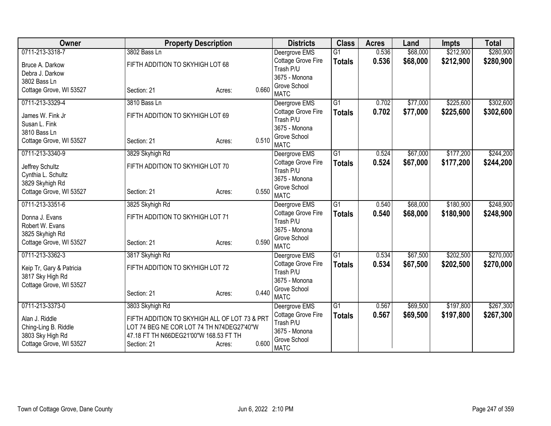| Owner                             | <b>Property Description</b>                   |                 | <b>Districts</b>                | <b>Class</b>    | <b>Acres</b> | Land     | <b>Impts</b> | <b>Total</b> |
|-----------------------------------|-----------------------------------------------|-----------------|---------------------------------|-----------------|--------------|----------|--------------|--------------|
| 0711-213-3318-7                   | 3802 Bass Ln                                  |                 | Deergrove EMS                   | $\overline{G1}$ | 0.536        | \$68,000 | \$212,900    | \$280,900    |
| Bruce A. Darkow                   | FIFTH ADDITION TO SKYHIGH LOT 68              |                 | Cottage Grove Fire              | <b>Totals</b>   | 0.536        | \$68,000 | \$212,900    | \$280,900    |
| Debra J. Darkow                   |                                               |                 | Trash P/U                       |                 |              |          |              |              |
| 3802 Bass Ln                      |                                               |                 | 3675 - Monona                   |                 |              |          |              |              |
| Cottage Grove, WI 53527           | Section: 21                                   | 0.660<br>Acres: | Grove School<br><b>MATC</b>     |                 |              |          |              |              |
| 0711-213-3329-4                   | 3810 Bass Ln                                  |                 | Deergrove EMS                   | $\overline{G1}$ | 0.702        | \$77,000 | \$225,600    | \$302,600    |
| James W. Fink Jr<br>Susan L. Fink | FIFTH ADDITION TO SKYHIGH LOT 69              |                 | Cottage Grove Fire<br>Trash P/U | <b>Totals</b>   | 0.702        | \$77,000 | \$225,600    | \$302,600    |
| 3810 Bass Ln                      |                                               |                 | 3675 - Monona                   |                 |              |          |              |              |
| Cottage Grove, WI 53527           | Section: 21                                   | 0.510<br>Acres: | Grove School<br><b>MATC</b>     |                 |              |          |              |              |
| 0711-213-3340-9                   | 3829 Skyhigh Rd                               |                 | Deergrove EMS                   | $\overline{G1}$ | 0.524        | \$67,000 | \$177,200    | \$244,200    |
| Jeffrey Schultz                   | FIFTH ADDITION TO SKYHIGH LOT 70              |                 | Cottage Grove Fire<br>Trash P/U | <b>Totals</b>   | 0.524        | \$67,000 | \$177,200    | \$244,200    |
| Cynthia L. Schultz                |                                               |                 | 3675 - Monona                   |                 |              |          |              |              |
| 3829 Skyhigh Rd                   |                                               | 0.550           | Grove School                    |                 |              |          |              |              |
| Cottage Grove, WI 53527           | Section: 21                                   | Acres:          | <b>MATC</b>                     |                 |              |          |              |              |
| 0711-213-3351-6                   | 3825 Skyhigh Rd                               |                 | Deergrove EMS                   | $\overline{G1}$ | 0.540        | \$68,000 | \$180,900    | \$248,900    |
| Donna J. Evans                    | FIFTH ADDITION TO SKYHIGH LOT 71              |                 | <b>Cottage Grove Fire</b>       | <b>Totals</b>   | 0.540        | \$68,000 | \$180,900    | \$248,900    |
| Robert W. Evans                   |                                               |                 | Trash P/U                       |                 |              |          |              |              |
| 3825 Skyhigh Rd                   |                                               |                 | 3675 - Monona                   |                 |              |          |              |              |
| Cottage Grove, WI 53527           | Section: 21                                   | 0.590<br>Acres: | Grove School<br><b>MATC</b>     |                 |              |          |              |              |
| 0711-213-3362-3                   | 3817 Skyhigh Rd                               |                 | Deergrove EMS                   | $\overline{G1}$ | 0.534        | \$67,500 | \$202,500    | \$270,000    |
|                                   |                                               |                 | <b>Cottage Grove Fire</b>       | <b>Totals</b>   | 0.534        | \$67,500 | \$202,500    | \$270,000    |
| Keip Tr, Gary & Patricia          | FIFTH ADDITION TO SKYHIGH LOT 72              |                 | Trash P/U                       |                 |              |          |              |              |
| 3817 Sky High Rd                  |                                               |                 | 3675 - Monona                   |                 |              |          |              |              |
| Cottage Grove, WI 53527           | Section: 21                                   | 0.440<br>Acres: | Grove School                    |                 |              |          |              |              |
|                                   |                                               |                 | <b>MATC</b>                     |                 |              |          |              |              |
| 0711-213-3373-0                   | 3803 Skyhigh Rd                               |                 | Deergrove EMS                   | $\overline{G1}$ | 0.567        | \$69,500 | \$197,800    | \$267,300    |
| Alan J. Riddle                    | FIFTH ADDITION TO SKYHIGH ALL OF LOT 73 & PRT |                 | Cottage Grove Fire              | <b>Totals</b>   | 0.567        | \$69,500 | \$197,800    | \$267,300    |
| Ching-Ling B. Riddle              | LOT 74 BEG NE COR LOT 74 TH N74DEG27'40"W     |                 | Trash P/U<br>3675 - Monona      |                 |              |          |              |              |
| 3803 Sky High Rd                  | 47.18 FT TH N66DEG21'00"W 168.53 FT TH        |                 | Grove School                    |                 |              |          |              |              |
| Cottage Grove, WI 53527           | Section: 21                                   | 0.600<br>Acres: | <b>MATC</b>                     |                 |              |          |              |              |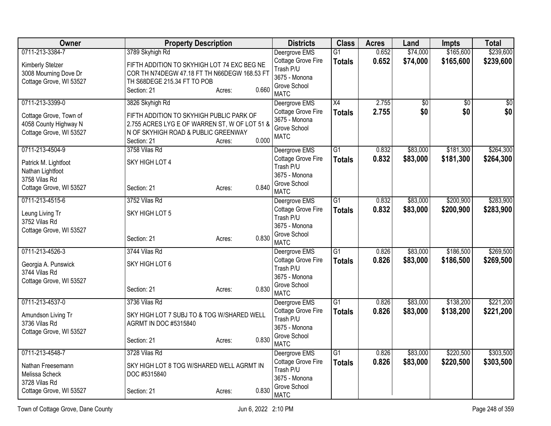| <b>Owner</b>            | <b>Property Description</b>                   |       | <b>Districts</b>              | <b>Class</b>    | <b>Acres</b> | Land            | <b>Impts</b>    | <b>Total</b>    |
|-------------------------|-----------------------------------------------|-------|-------------------------------|-----------------|--------------|-----------------|-----------------|-----------------|
| 0711-213-3384-7         | 3789 Skyhigh Rd                               |       | Deergrove EMS                 | $\overline{G1}$ | 0.652        | \$74,000        | \$165,600       | \$239,600       |
| Kimberly Stelzer        | FIFTH ADDITION TO SKYHIGH LOT 74 EXC BEG NE   |       | Cottage Grove Fire            | <b>Totals</b>   | 0.652        | \$74,000        | \$165,600       | \$239,600       |
| 3008 Mourning Dove Dr   | COR TH N74DEGW 47.18 FT TH N66DEGW 168.53 FT  |       | Trash P/U<br>3675 - Monona    |                 |              |                 |                 |                 |
| Cottage Grove, WI 53527 | TH S68DEGE 215.34 FT TO POB                   |       | Grove School                  |                 |              |                 |                 |                 |
|                         | Section: 21<br>Acres:                         | 0.660 | <b>MATC</b>                   |                 |              |                 |                 |                 |
| 0711-213-3399-0         | 3826 Skyhigh Rd                               |       | Deergrove EMS                 | $\overline{X4}$ | 2.755        | $\overline{30}$ | $\overline{50}$ | $\overline{50}$ |
| Cottage Grove, Town of  | FIFTH ADDITION TO SKYHIGH PUBLIC PARK OF      |       | Cottage Grove Fire            | <b>Totals</b>   | 2.755        | \$0             | \$0             | \$0             |
| 4058 County Highway N   | 2.755 ACRES LYG E OF WARREN ST, W OF LOT 51 & |       | 3675 - Monona<br>Grove School |                 |              |                 |                 |                 |
| Cottage Grove, WI 53527 | N OF SKYHIGH ROAD & PUBLIC GREENWAY           |       | <b>MATC</b>                   |                 |              |                 |                 |                 |
|                         | Section: 21<br>Acres:                         | 0.000 |                               |                 |              |                 |                 |                 |
| 0711-213-4504-9         | 3758 Vilas Rd                                 |       | Deergrove EMS                 | $\overline{G1}$ | 0.832        | \$83,000        | \$181,300       | \$264,300       |
| Patrick M. Lightfoot    | SKY HIGH LOT 4                                |       | Cottage Grove Fire            | <b>Totals</b>   | 0.832        | \$83,000        | \$181,300       | \$264,300       |
| Nathan Lightfoot        |                                               |       | Trash P/U<br>3675 - Monona    |                 |              |                 |                 |                 |
| 3758 Vilas Rd           |                                               |       | Grove School                  |                 |              |                 |                 |                 |
| Cottage Grove, WI 53527 | Section: 21<br>Acres:                         | 0.840 | <b>MATC</b>                   |                 |              |                 |                 |                 |
| 0711-213-4515-6         | 3752 Vilas Rd                                 |       | Deergrove EMS                 | $\overline{G1}$ | 0.832        | \$83,000        | \$200,900       | \$283,900       |
| Leung Living Tr         | SKY HIGH LOT 5                                |       | Cottage Grove Fire            | <b>Totals</b>   | 0.832        | \$83,000        | \$200,900       | \$283,900       |
| 3752 Vilas Rd           |                                               |       | Trash P/U                     |                 |              |                 |                 |                 |
| Cottage Grove, WI 53527 |                                               |       | 3675 - Monona<br>Grove School |                 |              |                 |                 |                 |
|                         | Section: 21<br>Acres:                         | 0.830 | <b>MATC</b>                   |                 |              |                 |                 |                 |
| 0711-213-4526-3         | 3744 Vilas Rd                                 |       | Deergrove EMS                 | $\overline{G1}$ | 0.826        | \$83,000        | \$186,500       | \$269,500       |
| Georgia A. Punswick     | SKY HIGH LOT 6                                |       | Cottage Grove Fire            | <b>Totals</b>   | 0.826        | \$83,000        | \$186,500       | \$269,500       |
| 3744 Vilas Rd           |                                               |       | Trash P/U                     |                 |              |                 |                 |                 |
| Cottage Grove, WI 53527 |                                               |       | 3675 - Monona<br>Grove School |                 |              |                 |                 |                 |
|                         | Section: 21<br>Acres:                         | 0.830 | <b>MATC</b>                   |                 |              |                 |                 |                 |
| 0711-213-4537-0         | 3736 Vilas Rd                                 |       | Deergrove EMS                 | $\overline{G1}$ | 0.826        | \$83,000        | \$138,200       | \$221,200       |
| Amundson Living Tr      | SKY HIGH LOT 7 SUBJ TO & TOG W/SHARED WELL    |       | Cottage Grove Fire            | <b>Totals</b>   | 0.826        | \$83,000        | \$138,200       | \$221,200       |
| 3736 Vilas Rd           | AGRMT IN DOC #5315840                         |       | Trash P/U                     |                 |              |                 |                 |                 |
| Cottage Grove, WI 53527 |                                               |       | 3675 - Monona                 |                 |              |                 |                 |                 |
|                         | Section: 21<br>Acres:                         | 0.830 | Grove School<br><b>MATC</b>   |                 |              |                 |                 |                 |
| 0711-213-4548-7         | 3728 Vilas Rd                                 |       | Deergrove EMS                 | $\overline{G1}$ | 0.826        | \$83,000        | \$220,500       | \$303,500       |
| Nathan Freesemann       | SKY HIGH LOT 8 TOG W/SHARED WELL AGRMT IN     |       | Cottage Grove Fire            | <b>Totals</b>   | 0.826        | \$83,000        | \$220,500       | \$303,500       |
| Melissa Scheck          | DOC #5315840                                  |       | Trash P/U                     |                 |              |                 |                 |                 |
| 3728 Vilas Rd           |                                               |       | 3675 - Monona                 |                 |              |                 |                 |                 |
| Cottage Grove, WI 53527 | Section: 21<br>Acres:                         | 0.830 | Grove School<br><b>MATC</b>   |                 |              |                 |                 |                 |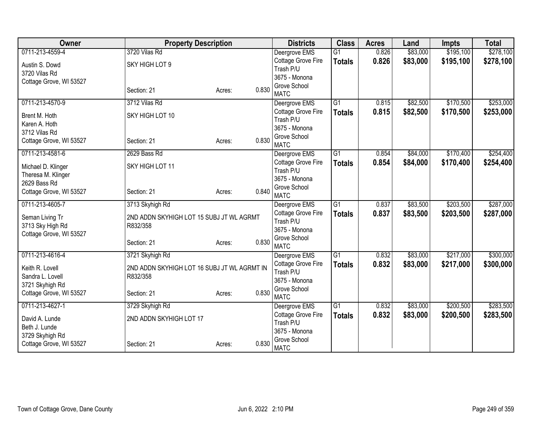| Owner                   | <b>Property Description</b>                 |                 | <b>Districts</b>                    | <b>Class</b>    | <b>Acres</b> | Land     | <b>Impts</b> | <b>Total</b> |
|-------------------------|---------------------------------------------|-----------------|-------------------------------------|-----------------|--------------|----------|--------------|--------------|
| 0711-213-4559-4         | 3720 Vilas Rd                               |                 | Deergrove EMS                       | $\overline{G1}$ | 0.826        | \$83,000 | \$195,100    | \$278,100    |
| Austin S. Dowd          | SKY HIGH LOT 9                              |                 | Cottage Grove Fire                  | <b>Totals</b>   | 0.826        | \$83,000 | \$195,100    | \$278,100    |
| 3720 Vilas Rd           |                                             |                 | Trash P/U                           |                 |              |          |              |              |
| Cottage Grove, WI 53527 |                                             |                 | 3675 - Monona                       |                 |              |          |              |              |
|                         | Section: 21                                 | 0.830<br>Acres: | Grove School<br><b>MATC</b>         |                 |              |          |              |              |
| 0711-213-4570-9         | 3712 Vilas Rd                               |                 | Deergrove EMS                       | $\overline{G1}$ | 0.815        | \$82,500 | \$170,500    | \$253,000    |
| Brent M. Hoth           | SKY HIGH LOT 10                             |                 | Cottage Grove Fire<br>Trash P/U     | <b>Totals</b>   | 0.815        | \$82,500 | \$170,500    | \$253,000    |
| Karen A. Hoth           |                                             |                 | 3675 - Monona                       |                 |              |          |              |              |
| 3712 Vilas Rd           |                                             |                 | Grove School                        |                 |              |          |              |              |
| Cottage Grove, WI 53527 | Section: 21                                 | 0.830<br>Acres: | <b>MATC</b>                         |                 |              |          |              |              |
| 0711-213-4581-6         | 2629 Bass Rd                                |                 | Deergrove EMS                       | $\overline{G1}$ | 0.854        | \$84,000 | \$170,400    | \$254,400    |
| Michael D. Klinger      | SKY HIGH LOT 11                             |                 | Cottage Grove Fire                  | <b>Totals</b>   | 0.854        | \$84,000 | \$170,400    | \$254,400    |
| Theresa M. Klinger      |                                             |                 | Trash P/U                           |                 |              |          |              |              |
| 2629 Bass Rd            |                                             |                 | 3675 - Monona                       |                 |              |          |              |              |
| Cottage Grove, WI 53527 | Section: 21                                 | 0.840<br>Acres: | Grove School                        |                 |              |          |              |              |
| 0711-213-4605-7         | 3713 Skyhigh Rd                             |                 | <b>MATC</b>                         | G1              | 0.837        | \$83,500 | \$203,500    | \$287,000    |
|                         |                                             |                 | Deergrove EMS<br>Cottage Grove Fire |                 | 0.837        | \$83,500 | \$203,500    | \$287,000    |
| Seman Living Tr         | 2ND ADDN SKYHIGH LOT 15 SUBJ JT WL AGRMT    |                 | Trash P/U                           | <b>Totals</b>   |              |          |              |              |
| 3713 Sky High Rd        | R832/358                                    |                 | 3675 - Monona                       |                 |              |          |              |              |
| Cottage Grove, WI 53527 |                                             |                 | Grove School                        |                 |              |          |              |              |
|                         | Section: 21                                 | 0.830<br>Acres: | <b>MATC</b>                         |                 |              |          |              |              |
| 0711-213-4616-4         | 3721 Skyhigh Rd                             |                 | Deergrove EMS                       | G1              | 0.832        | \$83,000 | \$217,000    | \$300,000    |
| Keith R. Lovell         | 2ND ADDN SKYHIGH LOT 16 SUBJ JT WL AGRMT IN |                 | Cottage Grove Fire                  | <b>Totals</b>   | 0.832        | \$83,000 | \$217,000    | \$300,000    |
| Sandra L. Lovell        | R832/358                                    |                 | Trash P/U                           |                 |              |          |              |              |
| 3721 Skyhigh Rd         |                                             |                 | 3675 - Monona                       |                 |              |          |              |              |
| Cottage Grove, WI 53527 | Section: 21                                 | 0.830<br>Acres: | Grove School                        |                 |              |          |              |              |
| 0711-213-4627-1         |                                             |                 | <b>MATC</b>                         | $\overline{G1}$ | 0.832        | \$83,000 | \$200,500    | \$283,500    |
|                         | 3729 Skyhigh Rd                             |                 | Deergrove EMS<br>Cottage Grove Fire |                 |              |          |              |              |
| David A. Lunde          | 2ND ADDN SKYHIGH LOT 17                     |                 | Trash P/U                           | <b>Totals</b>   | 0.832        | \$83,000 | \$200,500    | \$283,500    |
| Beth J. Lunde           |                                             |                 | 3675 - Monona                       |                 |              |          |              |              |
| 3729 Skyhigh Rd         |                                             |                 | Grove School                        |                 |              |          |              |              |
| Cottage Grove, WI 53527 | Section: 21                                 | 0.830<br>Acres: | <b>MATC</b>                         |                 |              |          |              |              |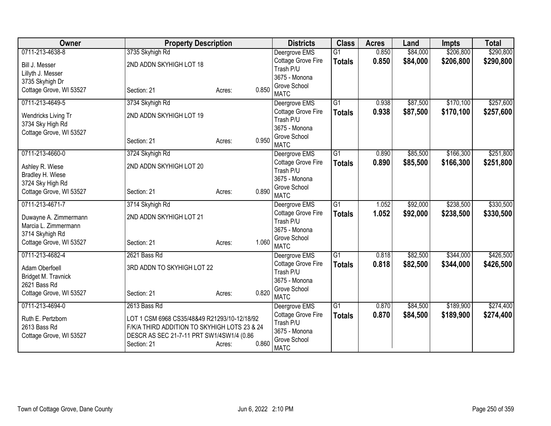| Owner                   | <b>Property Description</b>                  |                 | <b>Districts</b>                    | <b>Class</b>    | <b>Acres</b> | Land     | <b>Impts</b> | <b>Total</b> |
|-------------------------|----------------------------------------------|-----------------|-------------------------------------|-----------------|--------------|----------|--------------|--------------|
| 0711-213-4638-8         | 3735 Skyhigh Rd                              |                 | Deergrove EMS                       | $\overline{G1}$ | 0.850        | \$84,000 | \$206,800    | \$290,800    |
| Bill J. Messer          | 2ND ADDN SKYHIGH LOT 18                      |                 | Cottage Grove Fire                  | <b>Totals</b>   | 0.850        | \$84,000 | \$206,800    | \$290,800    |
| Lillyth J. Messer       |                                              |                 | Trash P/U                           |                 |              |          |              |              |
| 3735 Skyhigh Dr         |                                              |                 | 3675 - Monona                       |                 |              |          |              |              |
| Cottage Grove, WI 53527 | Section: 21                                  | 0.850<br>Acres: | Grove School<br><b>MATC</b>         |                 |              |          |              |              |
| 0711-213-4649-5         | 3734 Skyhigh Rd                              |                 | Deergrove EMS                       | $\overline{G1}$ | 0.938        | \$87,500 | \$170,100    | \$257,600    |
|                         |                                              |                 | Cottage Grove Fire                  | <b>Totals</b>   | 0.938        | \$87,500 | \$170,100    | \$257,600    |
| Wendricks Living Tr     | 2ND ADDN SKYHIGH LOT 19                      |                 | Trash P/U                           |                 |              |          |              |              |
| 3734 Sky High Rd        |                                              |                 | 3675 - Monona                       |                 |              |          |              |              |
| Cottage Grove, WI 53527 |                                              |                 | Grove School                        |                 |              |          |              |              |
|                         | Section: 21                                  | 0.950<br>Acres: | <b>MATC</b>                         |                 |              |          |              |              |
| 0711-213-4660-0         | 3724 Skyhigh Rd                              |                 | Deergrove EMS                       | $\overline{G1}$ | 0.890        | \$85,500 | \$166,300    | \$251,800    |
| Ashley R. Wiese         | 2ND ADDN SKYHIGH LOT 20                      |                 | Cottage Grove Fire                  | <b>Totals</b>   | 0.890        | \$85,500 | \$166,300    | \$251,800    |
| Bradley H. Wiese        |                                              |                 | Trash P/U                           |                 |              |          |              |              |
| 3724 Sky High Rd        |                                              |                 | 3675 - Monona                       |                 |              |          |              |              |
| Cottage Grove, WI 53527 | Section: 21                                  | 0.890<br>Acres: | Grove School                        |                 |              |          |              |              |
|                         |                                              |                 | <b>MATC</b>                         |                 |              |          |              |              |
| 0711-213-4671-7         | 3714 Skyhigh Rd                              |                 | Deergrove EMS<br>Cottage Grove Fire | $\overline{G1}$ | 1.052        | \$92,000 | \$238,500    | \$330,500    |
| Duwayne A. Zimmermann   | 2ND ADDN SKYHIGH LOT 21                      |                 | Trash P/U                           | <b>Totals</b>   | 1.052        | \$92,000 | \$238,500    | \$330,500    |
| Marcia L. Zimmermann    |                                              |                 | 3675 - Monona                       |                 |              |          |              |              |
| 3714 Skyhigh Rd         |                                              |                 | Grove School                        |                 |              |          |              |              |
| Cottage Grove, WI 53527 | Section: 21                                  | 1.060<br>Acres: | <b>MATC</b>                         |                 |              |          |              |              |
| 0711-213-4682-4         | 2621 Bass Rd                                 |                 | Deergrove EMS                       | $\overline{G1}$ | 0.818        | \$82,500 | \$344,000    | \$426,500    |
| Adam Oberfoell          | 3RD ADDN TO SKYHIGH LOT 22                   |                 | Cottage Grove Fire                  | <b>Totals</b>   | 0.818        | \$82,500 | \$344,000    | \$426,500    |
| Bridget M. Travnick     |                                              |                 | Trash P/U                           |                 |              |          |              |              |
| 2621 Bass Rd            |                                              |                 | 3675 - Monona                       |                 |              |          |              |              |
| Cottage Grove, WI 53527 | Section: 21                                  | 0.820<br>Acres: | Grove School                        |                 |              |          |              |              |
|                         |                                              |                 | <b>MATC</b>                         |                 |              |          |              |              |
| 0711-213-4694-0         | 2613 Bass Rd                                 |                 | Deergrove EMS                       | G1              | 0.870        | \$84,500 | \$189,900    | \$274,400    |
| Ruth E. Pertzborn       | LOT 1 CSM 6968 CS35/48&49 R21293/10-12/18/92 |                 | Cottage Grove Fire<br>Trash P/U     | <b>Totals</b>   | 0.870        | \$84,500 | \$189,900    | \$274,400    |
| 2613 Bass Rd            | F/K/A THIRD ADDITION TO SKYHIGH LOTS 23 & 24 |                 | 3675 - Monona                       |                 |              |          |              |              |
| Cottage Grove, WI 53527 | DESCR AS SEC 21-7-11 PRT SW1/4SW1/4 (0.86    |                 | Grove School                        |                 |              |          |              |              |
|                         | Section: 21                                  | 0.860<br>Acres: | <b>MATC</b>                         |                 |              |          |              |              |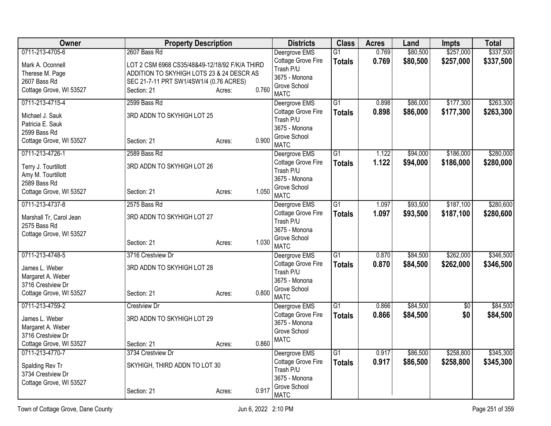| Owner                                      |                                                | <b>Property Description</b> |                                     |                 | <b>Acres</b> | Land     | <b>Impts</b>    | <b>Total</b> |
|--------------------------------------------|------------------------------------------------|-----------------------------|-------------------------------------|-----------------|--------------|----------|-----------------|--------------|
| 0711-213-4705-6                            | 2607 Bass Rd                                   |                             | Deergrove EMS                       | $\overline{G1}$ | 0.769        | \$80,500 | \$257,000       | \$337,500    |
| Mark A. Oconnell                           | LOT 2 CSM 6968 CS35/48&49-12/18/92 F/K/A THIRD |                             | Cottage Grove Fire                  | <b>Totals</b>   | 0.769        | \$80,500 | \$257,000       | \$337,500    |
| Therese M. Page                            | ADDITION TO SKYHIGH LOTS 23 & 24 DESCR AS      |                             | Trash P/U                           |                 |              |          |                 |              |
| 2607 Bass Rd                               | SEC 21-7-11 PRT SW1/4SW1/4 (0.76 ACRES)        |                             | 3675 - Monona<br>Grove School       |                 |              |          |                 |              |
| Cottage Grove, WI 53527                    | Section: 21                                    | 0.760<br>Acres:             | <b>MATC</b>                         |                 |              |          |                 |              |
| 0711-213-4715-4                            | 2599 Bass Rd                                   |                             | Deergrove EMS                       | $\overline{G1}$ | 0.898        | \$86,000 | \$177,300       | \$263,300    |
| Michael J. Sauk                            | 3RD ADDN TO SKYHIGH LOT 25                     |                             | Cottage Grove Fire                  | <b>Totals</b>   | 0.898        | \$86,000 | \$177,300       | \$263,300    |
| Patricia E. Sauk                           |                                                |                             | Trash P/U<br>3675 - Monona          |                 |              |          |                 |              |
| 2599 Bass Rd                               |                                                |                             | Grove School                        |                 |              |          |                 |              |
| Cottage Grove, WI 53527                    | Section: 21                                    | 0.900<br>Acres:             | <b>MATC</b>                         |                 |              |          |                 |              |
| 0711-213-4726-1                            | 2589 Bass Rd                                   |                             | Deergrove EMS                       | $\overline{G1}$ | 1.122        | \$94,000 | \$186,000       | \$280,000    |
| Terry J. Tourtillott                       | 3RD ADDN TO SKYHIGH LOT 26                     |                             | Cottage Grove Fire                  | <b>Totals</b>   | 1.122        | \$94,000 | \$186,000       | \$280,000    |
| Amy M. Tourtillott                         |                                                |                             | Trash P/U                           |                 |              |          |                 |              |
| 2589 Bass Rd                               |                                                |                             | 3675 - Monona                       |                 |              |          |                 |              |
| Cottage Grove, WI 53527                    | Section: 21                                    | 1.050<br>Acres:             | Grove School<br><b>MATC</b>         |                 |              |          |                 |              |
| 0711-213-4737-8                            | 2575 Bass Rd                                   |                             | Deergrove EMS                       | $\overline{G1}$ | 1.097        | \$93,500 | \$187,100       | \$280,600    |
| Marshall Tr, Carol Jean                    | 3RD ADDN TO SKYHIGH LOT 27                     |                             | Cottage Grove Fire                  | <b>Totals</b>   | 1.097        | \$93,500 | \$187,100       | \$280,600    |
| 2575 Bass Rd                               |                                                |                             | Trash P/U                           |                 |              |          |                 |              |
| Cottage Grove, WI 53527                    |                                                |                             | 3675 - Monona                       |                 |              |          |                 |              |
|                                            | Section: 21                                    | 1.030<br>Acres:             | Grove School<br><b>MATC</b>         |                 |              |          |                 |              |
| 0711-213-4748-5                            | 3716 Crestview Dr                              |                             | Deergrove EMS                       | $\overline{G1}$ | 0.870        | \$84,500 | \$262,000       | \$346,500    |
| James L. Weber                             | 3RD ADDN TO SKYHIGH LOT 28                     |                             | Cottage Grove Fire                  | <b>Totals</b>   | 0.870        | \$84,500 | \$262,000       | \$346,500    |
| Margaret A. Weber                          |                                                |                             | Trash P/U                           |                 |              |          |                 |              |
| 3716 Crestview Dr                          |                                                |                             | 3675 - Monona                       |                 |              |          |                 |              |
| Cottage Grove, WI 53527                    | Section: 21                                    | 0.800<br>Acres:             | Grove School                        |                 |              |          |                 |              |
| 0711-213-4759-2                            | <b>Crestview Dr</b>                            |                             | <b>MATC</b><br>Deergrove EMS        | G1              | 0.866        | \$84,500 | $\overline{50}$ | \$84,500     |
|                                            |                                                |                             | Cottage Grove Fire                  | <b>Totals</b>   | 0.866        | \$84,500 | \$0             | \$84,500     |
| James L. Weber                             | 3RD ADDN TO SKYHIGH LOT 29                     |                             | 3675 - Monona                       |                 |              |          |                 |              |
| Margaret A. Weber                          |                                                |                             | Grove School                        |                 |              |          |                 |              |
| 3716 Crestview Dr                          |                                                |                             | <b>MATC</b>                         |                 |              |          |                 |              |
| Cottage Grove, WI 53527<br>0711-213-4770-7 | Section: 21<br>3734 Crestview Dr               | 0.860<br>Acres:             |                                     | $\overline{G1}$ | 0.917        | \$86,500 | \$258,800       | \$345,300    |
|                                            |                                                |                             | Deergrove EMS<br>Cottage Grove Fire |                 |              |          |                 |              |
| Spalding Rev Tr                            | SKYHIGH, THIRD ADDN TO LOT 30                  |                             | Trash P/U                           | <b>Totals</b>   | 0.917        | \$86,500 | \$258,800       | \$345,300    |
| 3734 Crestview Dr                          |                                                |                             | 3675 - Monona                       |                 |              |          |                 |              |
| Cottage Grove, WI 53527                    |                                                |                             | Grove School                        |                 |              |          |                 |              |
|                                            | Section: 21                                    | 0.917<br>Acres:             | <b>MATC</b>                         |                 |              |          |                 |              |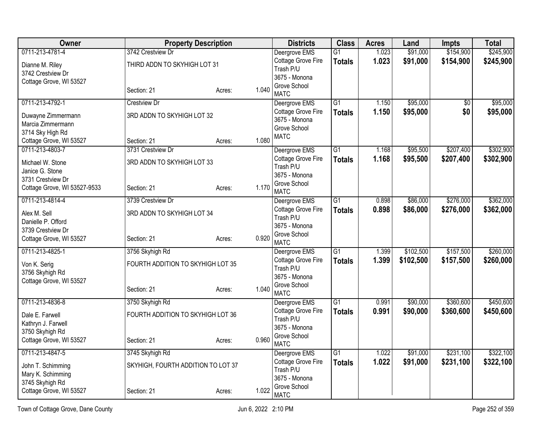| <b>Owner</b>                               |                                    | <b>Property Description</b> |       | <b>Districts</b>                    | <b>Class</b>    | <b>Acres</b>   | Land                 | Impts                  | <b>Total</b> |
|--------------------------------------------|------------------------------------|-----------------------------|-------|-------------------------------------|-----------------|----------------|----------------------|------------------------|--------------|
| 0711-213-4781-4                            | 3742 Crestview Dr                  |                             |       | Deergrove EMS                       | $\overline{G1}$ | 1.023          | \$91,000             | \$154,900              | \$245,900    |
| Dianne M. Riley                            | THIRD ADDN TO SKYHIGH LOT 31       |                             |       | Cottage Grove Fire                  | <b>Totals</b>   | 1.023          | \$91,000             | \$154,900              | \$245,900    |
| 3742 Crestview Dr                          |                                    |                             |       | Trash P/U<br>3675 - Monona          |                 |                |                      |                        |              |
| Cottage Grove, WI 53527                    |                                    |                             |       | Grove School                        |                 |                |                      |                        |              |
|                                            | Section: 21                        | Acres:                      | 1.040 | <b>MATC</b>                         |                 |                |                      |                        |              |
| 0711-213-4792-1                            | <b>Crestview Dr</b>                |                             |       | Deergrove EMS                       | $\overline{G1}$ | 1.150          | \$95,000             | $\overline{30}$        | \$95,000     |
| Duwayne Zimmermann                         | 3RD ADDN TO SKYHIGH LOT 32         |                             |       | Cottage Grove Fire<br>3675 - Monona | <b>Totals</b>   | 1.150          | \$95,000             | \$0                    | \$95,000     |
| Marcia Zimmermann                          |                                    |                             |       | Grove School                        |                 |                |                      |                        |              |
| 3714 Sky High Rd                           |                                    |                             |       | <b>MATC</b>                         |                 |                |                      |                        |              |
| Cottage Grove, WI 53527<br>0711-213-4803-7 | Section: 21<br>3731 Crestview Dr   | Acres:                      | 1.080 |                                     | $\overline{G1}$ |                |                      |                        | \$302,900    |
|                                            |                                    |                             |       | Deergrove EMS<br>Cottage Grove Fire | <b>Totals</b>   | 1.168<br>1.168 | \$95,500<br>\$95,500 | \$207,400<br>\$207,400 | \$302,900    |
| Michael W. Stone                           | 3RD ADDN TO SKYHIGH LOT 33         |                             |       | Trash P/U                           |                 |                |                      |                        |              |
| Janice G. Stone<br>3731 Crestview Dr       |                                    |                             |       | 3675 - Monona                       |                 |                |                      |                        |              |
| Cottage Grove, WI 53527-9533               | Section: 21                        | Acres:                      | 1.170 | Grove School                        |                 |                |                      |                        |              |
|                                            |                                    |                             |       | <b>MATC</b>                         |                 |                |                      |                        |              |
| 0711-213-4814-4                            | 3739 Crestview Dr                  |                             |       | Deergrove EMS                       | $\overline{G1}$ | 0.898          | \$86,000             | \$276,000              | \$362,000    |
| Alex M. Sell                               | 3RD ADDN TO SKYHIGH LOT 34         |                             |       | Cottage Grove Fire<br>Trash P/U     | <b>Totals</b>   | 0.898          | \$86,000             | \$276,000              | \$362,000    |
| Danielle P. Offord                         |                                    |                             |       | 3675 - Monona                       |                 |                |                      |                        |              |
| 3739 Crestview Dr                          | Section: 21                        |                             | 0.920 | Grove School                        |                 |                |                      |                        |              |
| Cottage Grove, WI 53527                    |                                    | Acres:                      |       | <b>MATC</b>                         |                 |                |                      |                        |              |
| 0711-213-4825-1                            | 3756 Skyhigh Rd                    |                             |       | Deergrove EMS                       | G1              | 1.399          | \$102,500            | \$157,500              | \$260,000    |
| Von K. Serig                               | FOURTH ADDITION TO SKYHIGH LOT 35  |                             |       | Cottage Grove Fire<br>Trash P/U     | <b>Totals</b>   | 1.399          | \$102,500            | \$157,500              | \$260,000    |
| 3756 Skyhigh Rd                            |                                    |                             |       | 3675 - Monona                       |                 |                |                      |                        |              |
| Cottage Grove, WI 53527                    |                                    |                             |       | Grove School                        |                 |                |                      |                        |              |
|                                            | Section: 21                        | Acres:                      | 1.040 | <b>MATC</b>                         |                 |                |                      |                        |              |
| 0711-213-4836-8                            | 3750 Skyhigh Rd                    |                             |       | Deergrove EMS                       | $\overline{G1}$ | 0.991          | \$90,000             | \$360,600              | \$450,600    |
| Dale E. Farwell                            | FOURTH ADDITION TO SKYHIGH LOT 36  |                             |       | Cottage Grove Fire<br>Trash P/U     | <b>Totals</b>   | 0.991          | \$90,000             | \$360,600              | \$450,600    |
| Kathryn J. Farwell                         |                                    |                             |       | 3675 - Monona                       |                 |                |                      |                        |              |
| 3750 Skyhigh Rd                            |                                    |                             |       | Grove School                        |                 |                |                      |                        |              |
| Cottage Grove, WI 53527                    | Section: 21                        | Acres:                      | 0.960 | <b>MATC</b>                         |                 |                |                      |                        |              |
| 0711-213-4847-5                            | 3745 Skyhigh Rd                    |                             |       | Deergrove EMS                       | $\overline{G1}$ | 1.022          | \$91,000             | \$231,100              | \$322,100    |
| John T. Schimming                          | SKYHIGH, FOURTH ADDITION TO LOT 37 |                             |       | Cottage Grove Fire                  | <b>Totals</b>   | 1.022          | \$91,000             | \$231,100              | \$322,100    |
| Mary K. Schimming                          |                                    |                             |       | Trash P/U<br>3675 - Monona          |                 |                |                      |                        |              |
| 3745 Skyhigh Rd                            |                                    |                             |       | Grove School                        |                 |                |                      |                        |              |
| Cottage Grove, WI 53527                    | Section: 21                        | Acres:                      | 1.022 | <b>MATC</b>                         |                 |                |                      |                        |              |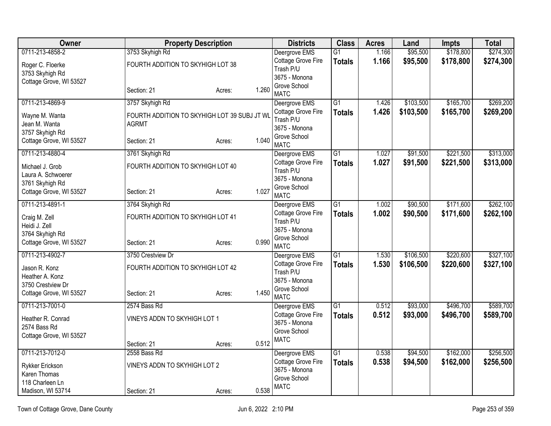| Owner                   |                                   | <b>Property Description</b>                  |       | <b>Districts</b>                    | <b>Class</b>    | <b>Acres</b> | Land      | <b>Impts</b> | <b>Total</b> |
|-------------------------|-----------------------------------|----------------------------------------------|-------|-------------------------------------|-----------------|--------------|-----------|--------------|--------------|
| 0711-213-4858-2         | 3753 Skyhigh Rd                   |                                              |       | Deergrove EMS                       | $\overline{G1}$ | 1.166        | \$95,500  | \$178,800    | \$274,300    |
| Roger C. Floerke        | FOURTH ADDITION TO SKYHIGH LOT 38 |                                              |       | Cottage Grove Fire                  | <b>Totals</b>   | 1.166        | \$95,500  | \$178,800    | \$274,300    |
| 3753 Skyhigh Rd         |                                   |                                              |       | Trash P/U<br>3675 - Monona          |                 |              |           |              |              |
| Cottage Grove, WI 53527 |                                   |                                              |       | Grove School                        |                 |              |           |              |              |
|                         | Section: 21                       | Acres:                                       | 1.260 | <b>MATC</b>                         |                 |              |           |              |              |
| 0711-213-4869-9         | 3757 Skyhigh Rd                   |                                              |       | Deergrove EMS                       | $\overline{G1}$ | 1.426        | \$103,500 | \$165,700    | \$269,200    |
| Wayne M. Wanta          |                                   | FOURTH ADDITION TO SKYHIGH LOT 39 SUBJ JT WL |       | Cottage Grove Fire                  | <b>Totals</b>   | 1.426        | \$103,500 | \$165,700    | \$269,200    |
| Jean M. Wanta           | <b>AGRMT</b>                      |                                              |       | Trash P/U<br>3675 - Monona          |                 |              |           |              |              |
| 3757 Skyhigh Rd         |                                   |                                              |       | Grove School                        |                 |              |           |              |              |
| Cottage Grove, WI 53527 | Section: 21                       | Acres:                                       | 1.040 | <b>MATC</b>                         |                 |              |           |              |              |
| 0711-213-4880-4         | 3761 Skyhigh Rd                   |                                              |       | Deergrove EMS                       | $\overline{G1}$ | 1.027        | \$91,500  | \$221,500    | \$313,000    |
| Michael J. Grob         | FOURTH ADDITION TO SKYHIGH LOT 40 |                                              |       | Cottage Grove Fire                  | <b>Totals</b>   | 1.027        | \$91,500  | \$221,500    | \$313,000    |
| Laura A. Schwoerer      |                                   |                                              |       | Trash P/U                           |                 |              |           |              |              |
| 3761 Skyhigh Rd         |                                   |                                              |       | 3675 - Monona<br>Grove School       |                 |              |           |              |              |
| Cottage Grove, WI 53527 | Section: 21                       | Acres:                                       | 1.027 | <b>MATC</b>                         |                 |              |           |              |              |
| 0711-213-4891-1         | 3764 Skyhigh Rd                   |                                              |       | Deergrove EMS                       | G1              | 1.002        | \$90,500  | \$171,600    | \$262,100    |
| Craig M. Zell           | FOURTH ADDITION TO SKYHIGH LOT 41 |                                              |       | Cottage Grove Fire                  | <b>Totals</b>   | 1.002        | \$90,500  | \$171,600    | \$262,100    |
| Heidi J. Zell           |                                   |                                              |       | Trash P/U<br>3675 - Monona          |                 |              |           |              |              |
| 3764 Skyhigh Rd         |                                   |                                              |       | Grove School                        |                 |              |           |              |              |
| Cottage Grove, WI 53527 | Section: 21                       | Acres:                                       | 0.990 | <b>MATC</b>                         |                 |              |           |              |              |
| 0711-213-4902-7         | 3750 Crestview Dr                 |                                              |       | Deergrove EMS                       | $\overline{G1}$ | 1.530        | \$106,500 | \$220,600    | \$327,100    |
| Jason R. Konz           | FOURTH ADDITION TO SKYHIGH LOT 42 |                                              |       | Cottage Grove Fire                  | <b>Totals</b>   | 1.530        | \$106,500 | \$220,600    | \$327,100    |
| Heather A. Konz         |                                   |                                              |       | Trash P/U<br>3675 - Monona          |                 |              |           |              |              |
| 3750 Crestview Dr       |                                   |                                              |       | Grove School                        |                 |              |           |              |              |
| Cottage Grove, WI 53527 | Section: 21                       | Acres:                                       | 1.450 | <b>MATC</b>                         |                 |              |           |              |              |
| 0711-213-7001-0         | 2574 Bass Rd                      |                                              |       | Deergrove EMS                       | $\overline{G1}$ | 0.512        | \$93,000  | \$496,700    | \$589,700    |
| Heather R. Conrad       | VINEYS ADDN TO SKYHIGH LOT 1      |                                              |       | Cottage Grove Fire                  | <b>Totals</b>   | 0.512        | \$93,000  | \$496,700    | \$589,700    |
| 2574 Bass Rd            |                                   |                                              |       | 3675 - Monona<br>Grove School       |                 |              |           |              |              |
| Cottage Grove, WI 53527 |                                   |                                              |       | <b>MATC</b>                         |                 |              |           |              |              |
|                         | Section: 21                       | Acres:                                       | 0.512 |                                     |                 |              |           |              |              |
| 0711-213-7012-0         | 2558 Bass Rd                      |                                              |       | Deergrove EMS                       | $\overline{G1}$ | 0.538        | \$94,500  | \$162,000    | \$256,500    |
| Rykker Erickson         | VINEYS ADDN TO SKYHIGH LOT 2      |                                              |       | Cottage Grove Fire<br>3675 - Monona | <b>Totals</b>   | 0.538        | \$94,500  | \$162,000    | \$256,500    |
| Karen Thomas            |                                   |                                              |       | Grove School                        |                 |              |           |              |              |
| 118 Charleen Ln         |                                   |                                              |       | <b>MATC</b>                         |                 |              |           |              |              |
| Madison, WI 53714       | Section: 21                       | Acres:                                       | 0.538 |                                     |                 |              |           |              |              |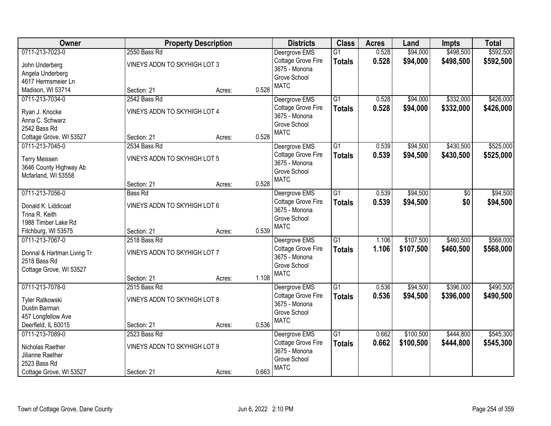| Owner                                      |                              | <b>Property Description</b> |       | <b>Districts</b>   | <b>Class</b>    | <b>Acres</b> | Land      | <b>Impts</b> | <b>Total</b> |
|--------------------------------------------|------------------------------|-----------------------------|-------|--------------------|-----------------|--------------|-----------|--------------|--------------|
| 0711-213-7023-0                            | 2550 Bass Rd                 |                             |       | Deergrove EMS      | $\overline{G1}$ | 0.528        | \$94,000  | \$498,500    | \$592,500    |
| John Underberg                             | VINEYS ADDN TO SKYHIGH LOT 3 |                             |       | Cottage Grove Fire | <b>Totals</b>   | 0.528        | \$94,000  | \$498,500    | \$592,500    |
| Angela Underberg                           |                              |                             |       | 3675 - Monona      |                 |              |           |              |              |
| 4617 Hermsmeier Ln                         |                              |                             |       | Grove School       |                 |              |           |              |              |
| Madison, WI 53714                          | Section: 21                  | Acres:                      | 0.528 | <b>MATC</b>        |                 |              |           |              |              |
| 0711-213-7034-0                            | 2542 Bass Rd                 |                             |       | Deergrove EMS      | $\overline{G1}$ | 0.528        | \$94,000  | \$332,000    | \$426,000    |
| Ryan J. Knocke                             | VINEYS ADDN TO SKYHIGH LOT 4 |                             |       | Cottage Grove Fire | <b>Totals</b>   | 0.528        | \$94,000  | \$332,000    | \$426,000    |
| Anna C. Schwarz                            |                              |                             |       | 3675 - Monona      |                 |              |           |              |              |
| 2542 Bass Rd                               |                              |                             |       | Grove School       |                 |              |           |              |              |
| Cottage Grove, WI 53527                    | Section: 21                  | Acres:                      | 0.528 | <b>MATC</b>        |                 |              |           |              |              |
| 0711-213-7045-0                            | 2534 Bass Rd                 |                             |       | Deergrove EMS      | $\overline{G1}$ | 0.539        | \$94,500  | \$430,500    | \$525,000    |
| <b>Terry Meissen</b>                       | VINEYS ADDN TO SKYHIGH LOT 5 |                             |       | Cottage Grove Fire | <b>Totals</b>   | 0.539        | \$94,500  | \$430,500    | \$525,000    |
| 3646 County Highway Ab                     |                              |                             |       | 3675 - Monona      |                 |              |           |              |              |
| Mcfarland, WI 53558                        |                              |                             |       | Grove School       |                 |              |           |              |              |
|                                            | Section: 21                  | Acres:                      | 0.528 | <b>MATC</b>        |                 |              |           |              |              |
| 0711-213-7056-0                            | <b>Bass Rd</b>               |                             |       | Deergrove EMS      | $\overline{G1}$ | 0.539        | \$94,500  | \$0          | \$94,500     |
| Donald K. Liddicoat                        | VINEYS ADDN TO SKYHIGH LOT 6 |                             |       | Cottage Grove Fire | <b>Totals</b>   | 0.539        | \$94,500  | \$0          | \$94,500     |
| Trina R. Keith                             |                              |                             |       | 3675 - Monona      |                 |              |           |              |              |
| 1988 Timber Lake Rd                        |                              |                             |       | Grove School       |                 |              |           |              |              |
| Fitchburg, WI 53575                        | Section: 21                  | Acres:                      | 0.539 | <b>MATC</b>        |                 |              |           |              |              |
| 0711-213-7067-0                            | 2518 Bass Rd                 |                             |       | Deergrove EMS      | $\overline{G1}$ | 1.106        | \$107,500 | \$460,500    | \$568,000    |
|                                            |                              |                             |       | Cottage Grove Fire | <b>Totals</b>   | 1.106        | \$107,500 | \$460,500    | \$568,000    |
| Donnal & Hartman Living Tr<br>2518 Bass Rd | VINEYS ADDN TO SKYHIGH LOT 7 |                             |       | 3675 - Monona      |                 |              |           |              |              |
| Cottage Grove, WI 53527                    |                              |                             |       | Grove School       |                 |              |           |              |              |
|                                            | Section: 21                  | Acres:                      | 1.108 | <b>MATC</b>        |                 |              |           |              |              |
| 0711-213-7078-0                            | 2515 Bass Rd                 |                             |       | Deergrove EMS      | $\overline{G1}$ | 0.536        | \$94,500  | \$396,000    | \$490,500    |
|                                            |                              |                             |       | Cottage Grove Fire | <b>Totals</b>   | 0.536        | \$94,500  | \$396,000    | \$490,500    |
| Tyler Ratkowski                            | VINEYS ADDN TO SKYHIGH LOT 8 |                             |       | 3675 - Monona      |                 |              |           |              |              |
| Dustin Barman                              |                              |                             |       | Grove School       |                 |              |           |              |              |
| 457 Longfellow Ave<br>Deerfield, IL 60015  | Section: 21                  | Acres:                      | 0.536 | <b>MATC</b>        |                 |              |           |              |              |
| 0711-213-7089-0                            | 2523 Bass Rd                 |                             |       | Deergrove EMS      | $\overline{G1}$ | 0.662        | \$100,500 | \$444,800    | \$545,300    |
|                                            |                              |                             |       | Cottage Grove Fire | <b>Totals</b>   | 0.662        | \$100,500 | \$444,800    | \$545,300    |
| Nicholas Raether                           | VINEYS ADDN TO SKYHIGH LOT 9 |                             |       | 3675 - Monona      |                 |              |           |              |              |
| Jilianne Raether                           |                              |                             |       | Grove School       |                 |              |           |              |              |
| 2523 Bass Rd                               |                              |                             |       | <b>MATC</b>        |                 |              |           |              |              |
| Cottage Grove, WI 53527                    | Section: 21                  | Acres:                      | 0.663 |                    |                 |              |           |              |              |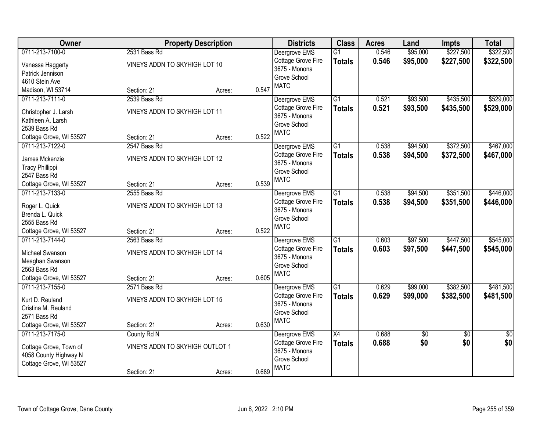| Owner                           |                                 | <b>Property Description</b> |       | <b>Districts</b>                    | <b>Class</b>    | <b>Acres</b> | Land            | <b>Impts</b>    | <b>Total</b>    |
|---------------------------------|---------------------------------|-----------------------------|-------|-------------------------------------|-----------------|--------------|-----------------|-----------------|-----------------|
| 0711-213-7100-0                 | 2531 Bass Rd                    |                             |       | Deergrove EMS                       | $\overline{G1}$ | 0.546        | \$95,000        | \$227,500       | \$322,500       |
| Vanessa Haggerty                | VINEYS ADDN TO SKYHIGH LOT 10   |                             |       | Cottage Grove Fire                  | <b>Totals</b>   | 0.546        | \$95,000        | \$227,500       | \$322,500       |
| Patrick Jennison                |                                 |                             |       | 3675 - Monona                       |                 |              |                 |                 |                 |
| 4610 Stein Ave                  |                                 |                             |       | Grove School                        |                 |              |                 |                 |                 |
| Madison, WI 53714               | Section: 21                     | Acres:                      | 0.547 | <b>MATC</b>                         |                 |              |                 |                 |                 |
| 0711-213-7111-0                 | 2539 Bass Rd                    |                             |       | Deergrove EMS                       | $\overline{G1}$ | 0.521        | \$93,500        | \$435,500       | \$529,000       |
| Christopher J. Larsh            | VINEYS ADDN TO SKYHIGH LOT 11   |                             |       | Cottage Grove Fire                  | <b>Totals</b>   | 0.521        | \$93,500        | \$435,500       | \$529,000       |
| Kathleen A. Larsh               |                                 |                             |       | 3675 - Monona                       |                 |              |                 |                 |                 |
| 2539 Bass Rd                    |                                 |                             |       | Grove School                        |                 |              |                 |                 |                 |
| Cottage Grove, WI 53527         | Section: 21                     | Acres:                      | 0.522 | <b>MATC</b>                         |                 |              |                 |                 |                 |
| 0711-213-7122-0                 | 2547 Bass Rd                    |                             |       | Deergrove EMS                       | G1              | 0.538        | \$94,500        | \$372,500       | \$467,000       |
| James Mckenzie                  | VINEYS ADDN TO SKYHIGH LOT 12   |                             |       | Cottage Grove Fire                  | <b>Totals</b>   | 0.538        | \$94,500        | \$372,500       | \$467,000       |
| <b>Tracy Phillippi</b>          |                                 |                             |       | 3675 - Monona                       |                 |              |                 |                 |                 |
| 2547 Bass Rd                    |                                 |                             |       | Grove School                        |                 |              |                 |                 |                 |
| Cottage Grove, WI 53527         | Section: 21                     | Acres:                      | 0.539 | <b>MATC</b>                         |                 |              |                 |                 |                 |
| 0711-213-7133-0                 | 2555 Bass Rd                    |                             |       | Deergrove EMS                       | $\overline{G1}$ | 0.538        | \$94,500        | \$351,500       | \$446,000       |
|                                 |                                 |                             |       | Cottage Grove Fire                  | <b>Totals</b>   | 0.538        | \$94,500        | \$351,500       | \$446,000       |
| Roger L. Quick                  | VINEYS ADDN TO SKYHIGH LOT 13   |                             |       | 3675 - Monona                       |                 |              |                 |                 |                 |
| Brenda L. Quick<br>2555 Bass Rd |                                 |                             |       | Grove School                        |                 |              |                 |                 |                 |
| Cottage Grove, WI 53527         | Section: 21                     | Acres:                      | 0.522 | <b>MATC</b>                         |                 |              |                 |                 |                 |
| 0711-213-7144-0                 | 2563 Bass Rd                    |                             |       | Deergrove EMS                       | $\overline{G1}$ | 0.603        | \$97,500        | \$447,500       | \$545,000       |
|                                 |                                 |                             |       | Cottage Grove Fire                  | <b>Totals</b>   | 0.603        | \$97,500        | \$447,500       | \$545,000       |
| Michael Swanson                 | VINEYS ADDN TO SKYHIGH LOT 14   |                             |       | 3675 - Monona                       |                 |              |                 |                 |                 |
| Meaghan Swanson                 |                                 |                             |       | Grove School                        |                 |              |                 |                 |                 |
| 2563 Bass Rd                    |                                 |                             |       | <b>MATC</b>                         |                 |              |                 |                 |                 |
| Cottage Grove, WI 53527         | Section: 21                     | Acres:                      | 0.605 |                                     |                 |              |                 |                 |                 |
| 0711-213-7155-0                 | 2571 Bass Rd                    |                             |       | Deergrove EMS                       | $\overline{G1}$ | 0.629        | \$99,000        | \$382,500       | \$481,500       |
| Kurt D. Reuland                 | VINEYS ADDN TO SKYHIGH LOT 15   |                             |       | Cottage Grove Fire<br>3675 - Monona | <b>Totals</b>   | 0.629        | \$99,000        | \$382,500       | \$481,500       |
| Cristina M. Reuland             |                                 |                             |       | Grove School                        |                 |              |                 |                 |                 |
| 2571 Bass Rd                    |                                 |                             |       | <b>MATC</b>                         |                 |              |                 |                 |                 |
| Cottage Grove, WI 53527         | Section: 21                     | Acres:                      | 0.630 |                                     |                 |              |                 |                 |                 |
| 0711-213-7175-0                 | County Rd N                     |                             |       | Deergrove EMS                       | X4              | 0.688        | $\overline{60}$ | $\overline{30}$ | $\overline{50}$ |
| Cottage Grove, Town of          | VINEYS ADDN TO SKYHIGH OUTLOT 1 |                             |       | Cottage Grove Fire                  | <b>Totals</b>   | 0.688        | \$0             | \$0             | \$0             |
| 4058 County Highway N           |                                 |                             |       | 3675 - Monona                       |                 |              |                 |                 |                 |
| Cottage Grove, WI 53527         |                                 |                             |       | Grove School                        |                 |              |                 |                 |                 |
|                                 | Section: 21                     | Acres:                      | 0.689 | <b>MATC</b>                         |                 |              |                 |                 |                 |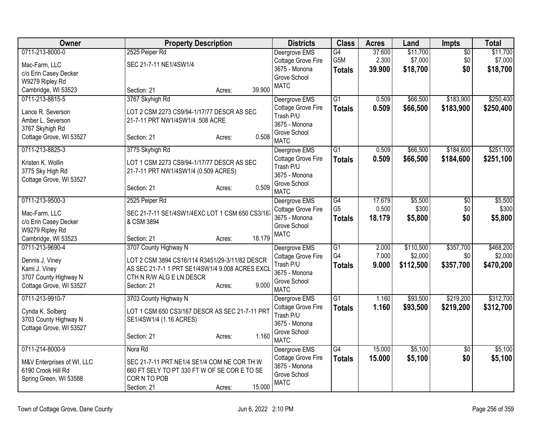| <b>Owner</b>               | <b>Property Description</b>                     | <b>Districts</b>                     | <b>Class</b>    | <b>Acres</b> | Land      | Impts           | <b>Total</b> |
|----------------------------|-------------------------------------------------|--------------------------------------|-----------------|--------------|-----------|-----------------|--------------|
| 0711-213-8000-0            | 2525 Peiper Rd                                  | Deergrove EMS                        | G4              | 37.600       | \$11,700  | $\overline{50}$ | \$11,700     |
| Mac-Farm, LLC              | SEC 21-7-11 NE1/4SW1/4                          | Cottage Grove Fire                   | G5M             | 2.300        | \$7,000   | \$0             | \$7,000      |
| c/o Erin Casey Decker      |                                                 | 3675 - Monona                        | <b>Totals</b>   | 39.900       | \$18,700  | \$0             | \$18,700     |
| W9279 Ripley Rd            |                                                 | Grove School<br><b>MATC</b>          |                 |              |           |                 |              |
| Cambridge, WI 53523        | Section: 21<br>Acres:                           | 39.900                               |                 |              |           |                 |              |
| 0711-213-8815-5            | 3767 Skyhigh Rd                                 | Deergrove EMS                        | $\overline{G1}$ | 0.509        | \$66,500  | \$183,900       | \$250,400    |
| Lance R. Severson          | LOT 2 CSM 2273 CS9/94-1/17/77 DESCR AS SEC      | Cottage Grove Fire                   | <b>Totals</b>   | 0.509        | \$66,500  | \$183,900       | \$250,400    |
| Amber L. Severson          | 21-7-11 PRT NW1/4SW1/4 .508 ACRE                | Trash P/U                            |                 |              |           |                 |              |
| 3767 Skyhigh Rd            |                                                 | 3675 - Monona<br>Grove School        |                 |              |           |                 |              |
| Cottage Grove, WI 53527    | Section: 21<br>Acres:                           | 0.508<br><b>MATC</b>                 |                 |              |           |                 |              |
| 0711-213-8825-3            | 3775 Skyhigh Rd                                 | Deergrove EMS                        | $\overline{G1}$ | 0.509        | \$66,500  | \$184,600       | \$251,100    |
| Kristen K. Wollin          | LOT 1 CSM 2273 CS9/94-1/17/77 DESCR AS SEC      | Cottage Grove Fire                   | <b>Totals</b>   | 0.509        | \$66,500  | \$184,600       | \$251,100    |
| 3775 Sky High Rd           | 21-7-11 PRT NW1/4SW1/4 (0.509 ACRES)            | Trash P/U                            |                 |              |           |                 |              |
| Cottage Grove, WI 53527    |                                                 | 3675 - Monona                        |                 |              |           |                 |              |
|                            | Section: 21<br>Acres:                           | Grove School<br>0.509<br><b>MATC</b> |                 |              |           |                 |              |
| 0711-213-9500-3            | 2525 Peiper Rd                                  | Deergrove EMS                        | $\overline{G4}$ | 17.679       | \$5,500   | $\overline{50}$ | \$5,500      |
| Mac-Farm, LLC              | SEC 21-7-11 SE1/4SW1/4EXC LOT 1 CSM 650 CS3/167 | Cottage Grove Fire                   | G <sub>5</sub>  | 0.500        | \$300     | \$0             | \$300        |
| c/o Erin Casey Decker      | & CSM 3894                                      | 3675 - Monona                        | <b>Totals</b>   | 18.179       | \$5,800   | \$0             | \$5,800      |
| W9279 Ripley Rd            |                                                 | Grove School                         |                 |              |           |                 |              |
| Cambridge, WI 53523        | Section: 21<br>Acres:                           | <b>MATC</b><br>18.179                |                 |              |           |                 |              |
| 0711-213-9690-4            | 3707 County Highway N                           | Deergrove EMS                        | $\overline{G1}$ | 2.000        | \$110,500 | \$357,700       | \$468,200    |
| Dennis J. Viney            | LOT 2 CSM 3894 CS16/114 R3451/29-3/11/82 DESCR  | Cottage Grove Fire                   | G4              | 7.000        | \$2,000   | \$0             | \$2,000      |
| Kami J. Viney              | AS SEC 21-7-1 1 PRT SE1/4SW1/4 9.008 ACRES EXCL | Trash P/U                            | <b>Totals</b>   | 9.000        | \$112,500 | \$357,700       | \$470,200    |
| 3707 County Highway N      | CTH N R/W ALG E LN DESCR                        | 3675 - Monona                        |                 |              |           |                 |              |
| Cottage Grove, WI 53527    | Section: 21<br>Acres:                           | Grove School<br>9.000<br><b>MATC</b> |                 |              |           |                 |              |
| 0711-213-9910-7            | 3703 County Highway N                           | Deergrove EMS                        | G1              | 1.160        | \$93,500  | \$219,200       | \$312,700    |
|                            |                                                 | Cottage Grove Fire                   | <b>Totals</b>   | 1.160        | \$93,500  | \$219,200       | \$312,700    |
| Cynda K. Solberg           | LOT 1 CSM 650 CS3/167 DESCR AS SEC 21-7-11 PRT  | Trash P/U                            |                 |              |           |                 |              |
| 3703 County Highway N      | SE1/4SW1/4 (1.16 ACRES)                         | 3675 - Monona                        |                 |              |           |                 |              |
| Cottage Grove, WI 53527    | Section: 21<br>Acres:                           | Grove School<br>1.160                |                 |              |           |                 |              |
|                            |                                                 | <b>MATC</b>                          |                 |              |           |                 |              |
| 0711-214-8000-9            | Nora Rd                                         | Deergrove EMS                        | G4              | 15.000       | \$5,100   | $\overline{50}$ | \$5,100      |
| M&V Enterprises of WI, LLC | SEC 21-7-11 PRT NE1/4 SE1/4 COM NE COR TH W     | Cottage Grove Fire                   | <b>Totals</b>   | 15.000       | \$5,100   | \$0             | \$5,100      |
| 6190 Crook Hill Rd         | 660 FT SELY TO PT 330 FT W OF SE COR E TO SE    | 3675 - Monona                        |                 |              |           |                 |              |
| Spring Green, WI 53588     | CORN TO POB                                     | Grove School<br><b>MATC</b>          |                 |              |           |                 |              |
|                            | Section: 21<br>Acres:                           | 15.000                               |                 |              |           |                 |              |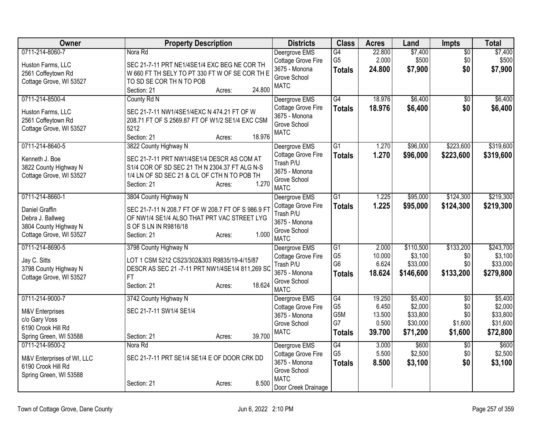| <b>Owner</b>                                                                                              | <b>Property Description</b>                                                                                                                                                                            | <b>Districts</b>                                                                                           | <b>Class</b>                                            | <b>Acres</b>                                 | Land                                                   | Impts                                               | <b>Total</b>                                           |
|-----------------------------------------------------------------------------------------------------------|--------------------------------------------------------------------------------------------------------------------------------------------------------------------------------------------------------|------------------------------------------------------------------------------------------------------------|---------------------------------------------------------|----------------------------------------------|--------------------------------------------------------|-----------------------------------------------------|--------------------------------------------------------|
| 0711-214-8060-7<br>Huston Farms, LLC<br>2561 Coffeytown Rd                                                | Nora Rd<br>SEC 21-7-11 PRT NE1/4SE1/4 EXC BEG NE COR TH<br>W 660 FT TH SELY TO PT 330 FT W OF SE COR TH E                                                                                              | Deergrove EMS<br>Cottage Grove Fire<br>3675 - Monona<br>Grove School                                       | G4<br>G <sub>5</sub><br><b>Totals</b>                   | 22.800<br>2.000<br>24.800                    | \$7,400<br>\$500<br>\$7,900                            | $\overline{50}$<br>\$0<br>\$0                       | \$7,400<br>\$500<br>\$7,900                            |
| Cottage Grove, WI 53527                                                                                   | TO SD SE COR TH N TO POB<br>24.800<br>Section: 21<br>Acres:                                                                                                                                            | <b>MATC</b>                                                                                                |                                                         |                                              |                                                        |                                                     |                                                        |
| 0711-214-8500-4<br>Huston Farms, LLC<br>2561 Coffeytown Rd<br>Cottage Grove, WI 53527                     | County Rd N<br>SEC 21-7-11 NW1/4SE1/4EXC N 474.21 FT OF W<br>208.71 FT OF S 2569.87 FT OF W1/2 SE1/4 EXC CSM<br>5212<br>18.976<br>Section: 21<br>Acres:                                                | Deergrove EMS<br>Cottage Grove Fire<br>3675 - Monona<br>Grove School<br><b>MATC</b>                        | G4<br><b>Totals</b>                                     | 18.976<br>18.976                             | \$6,400<br>\$6,400                                     | $\overline{50}$<br>\$0                              | \$6,400<br>\$6,400                                     |
| 0711-214-8640-5<br>Kenneth J. Boe<br>3822 County Highway N<br>Cottage Grove, WI 53527                     | 3822 County Highway N<br>SEC 21-7-11 PRT NW1/4SE1/4 DESCR AS COM AT<br>S1/4 COR OF SD SEC 21 TH N 2304.37 FT ALG N-S<br>1/4 LN OF SD SEC 21 & C/L OF CTH N TO POB TH<br>1.270<br>Section: 21<br>Acres: | Deergrove EMS<br>Cottage Grove Fire<br>Trash P/U<br>3675 - Monona<br>Grove School<br><b>MATC</b>           | G1<br><b>Totals</b>                                     | 1.270<br>1.270                               | \$96,000<br>\$96,000                                   | \$223,600<br>\$223,600                              | \$319,600<br>\$319,600                                 |
| 0711-214-8660-1<br>Daniel Graffin<br>Debra J. Ballweg<br>3804 County Highway N<br>Cottage Grove, WI 53527 | 3804 County Highway N<br>SEC 21-7-11 N 208.7 FT OF W 208.7 FT OF S 986.9 FT<br>OF NW1/4 SE1/4 ALSO THAT PRT VAC STREET LYG<br>S OF S LN IN R9816/18<br>1.000<br>Section: 21<br>Acres:                  | Deergrove EMS<br>Cottage Grove Fire<br>Trash P/U<br>3675 - Monona<br>Grove School<br><b>MATC</b>           | $\overline{G1}$<br><b>Totals</b>                        | 1.225<br>1.225                               | \$95,000<br>\$95,000                                   | \$124,300<br>\$124,300                              | \$219,300<br>\$219,300                                 |
| 0711-214-8690-5<br>Jay C. Sitts<br>3798 County Highway N<br>Cottage Grove, WI 53527                       | 3798 County Highway N<br>LOT 1 CSM 5212 CS23/302&303 R9835/19-4/15/87<br>DESCR AS SEC 21 -7-11 PRT NW1/4SE1/4 811,269 SC<br><b>FT</b><br>18.624<br>Section: 21<br>Acres:                               | Deergrove EMS<br>Cottage Grove Fire<br>Trash P/U<br>3675 - Monona<br>Grove School<br><b>MATC</b>           | G1<br>G <sub>5</sub><br>G <sub>6</sub><br><b>Totals</b> | 2.000<br>10.000<br>6.624<br>18.624           | \$110,500<br>\$3,100<br>\$33,000<br>\$146,600          | \$133,200<br>\$0<br>\$0<br>\$133,200                | \$243,700<br>\$3,100<br>\$33,000<br>\$279,800          |
| 0711-214-9000-7<br>M&V Enterprises<br>c/o Gary Voss<br>6190 Crook Hill Rd<br>Spring Green, WI 53588       | 3742 County Highway N<br>SEC 21-7-11 SW1/4 SE1/4<br>39.700<br>Section: 21<br>Acres:                                                                                                                    | Deergrove EMS<br>Cottage Grove Fire<br>3675 - Monona<br>Grove School<br><b>MATC</b>                        | G4<br>G <sub>5</sub><br>G5M<br>G7<br><b>Totals</b>      | 19.250<br>6.450<br>13.500<br>0.500<br>39.700 | \$5,400<br>\$2,000<br>\$33,800<br>\$30,000<br>\$71,200 | $\overline{50}$<br>\$0<br>\$0<br>\$1,600<br>\$1,600 | \$5,400<br>\$2,000<br>\$33,800<br>\$31,600<br>\$72,800 |
| 0711-214-9500-2<br>M&V Enterprises of WI, LLC<br>6190 Crook Hill Rd<br>Spring Green, WI 53588             | Nora Rd<br>SEC 21-7-11 PRT SE1/4 SE1/4 E OF DOOR CRK DD<br>8.500<br>Section: 21<br>Acres:                                                                                                              | Deergrove EMS<br>Cottage Grove Fire<br>3675 - Monona<br>Grove School<br><b>MATC</b><br>Door Creek Drainage | $\overline{G4}$<br>G <sub>5</sub><br><b>Totals</b>      | 3.000<br>5.500<br>8.500                      | \$600<br>\$2,500<br>\$3,100                            | \$0<br>\$0<br>\$0                                   | \$600<br>\$2,500<br>\$3,100                            |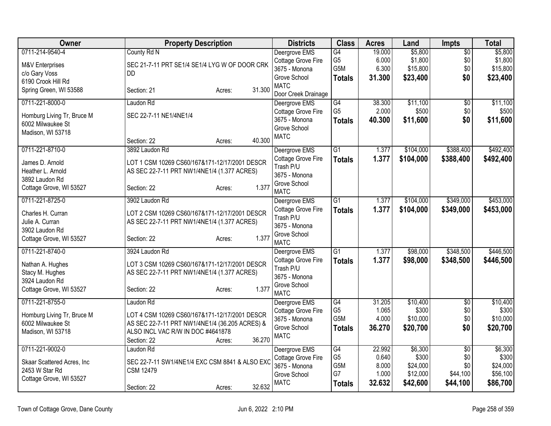| Owner                      | <b>Property Description</b>                    | <b>Districts</b>                | <b>Class</b>                       | <b>Acres</b>   | Land                 | Impts           | <b>Total</b>         |
|----------------------------|------------------------------------------------|---------------------------------|------------------------------------|----------------|----------------------|-----------------|----------------------|
| 0711-214-9540-4            | County Rd N                                    | Deergrove EMS                   | $\overline{G4}$                    | 19.000         | \$5,800              | $\overline{50}$ | \$5,800              |
| M&V Enterprises            | SEC 21-7-11 PRT SE1/4 SE1/4 LYG W OF DOOR CRK  | Cottage Grove Fire              | G <sub>5</sub>                     | 6.000          | \$1,800              | \$0             | \$1,800              |
| c/o Gary Voss              | DD.                                            | 3675 - Monona                   | G <sub>5</sub> M                   | 6.300          | \$15,800             | \$0             | \$15,800             |
| 6190 Crook Hill Rd         |                                                | Grove School                    | <b>Totals</b>                      | 31.300         | \$23,400             | \$0             | \$23,400             |
| Spring Green, WI 53588     | 31.300<br>Section: 21<br>Acres:                | <b>MATC</b>                     |                                    |                |                      |                 |                      |
|                            |                                                | Door Creek Drainage             |                                    |                |                      |                 |                      |
| 0711-221-8000-0            | Laudon Rd                                      | Deergrove EMS                   | $\overline{G4}$<br>G <sub>5</sub>  | 38.300         | \$11,100             | $\overline{50}$ | \$11,100             |
| Homburg Living Tr, Bruce M | SEC 22-7-11 NE1/4NE1/4                         | Cottage Grove Fire              |                                    | 2.000          | \$500                | \$0             | \$500                |
| 6002 Milwaukee St          |                                                | 3675 - Monona<br>Grove School   | <b>Totals</b>                      | 40.300         | \$11,600             | \$0             | \$11,600             |
| Madison, WI 53718          |                                                | <b>MATC</b>                     |                                    |                |                      |                 |                      |
|                            | 40.300<br>Section: 22<br>Acres:                |                                 |                                    |                |                      |                 |                      |
| 0711-221-8710-0            | 3892 Laudon Rd                                 | Deergrove EMS                   | $\overline{G1}$                    | 1.377          | \$104,000            | \$388,400       | \$492,400            |
| James D. Arnold            | LOT 1 CSM 10269 CS60/167&171-12/17/2001 DESCR  | Cottage Grove Fire              | <b>Totals</b>                      | 1.377          | \$104,000            | \$388,400       | \$492,400            |
| Heather L. Arnold          | AS SEC 22-7-11 PRT NW1/4NE1/4 (1.377 ACRES)    | Trash P/U                       |                                    |                |                      |                 |                      |
| 3892 Laudon Rd             |                                                | 3675 - Monona                   |                                    |                |                      |                 |                      |
| Cottage Grove, WI 53527    | 1.377<br>Section: 22<br>Acres:                 | Grove School                    |                                    |                |                      |                 |                      |
|                            |                                                | <b>MATC</b>                     |                                    |                |                      |                 |                      |
| 0711-221-8725-0            | 3902 Laudon Rd                                 | Deergrove EMS                   | G1                                 | 1.377          | \$104,000            | \$349,000       | \$453,000            |
| Charles H. Curran          | LOT 2 CSM 10269 CS60/167&171-12/17/2001 DESCR  | Cottage Grove Fire              | <b>Totals</b>                      | 1.377          | \$104,000            | \$349,000       | \$453,000            |
| Julie A. Curran            | AS SEC 22-7-11 PRT NW1/4NE1/4 (1.377 ACRES)    | Trash P/U                       |                                    |                |                      |                 |                      |
| 3902 Laudon Rd             |                                                | 3675 - Monona                   |                                    |                |                      |                 |                      |
| Cottage Grove, WI 53527    | 1.377<br>Section: 22<br>Acres:                 | Grove School<br><b>MATC</b>     |                                    |                |                      |                 |                      |
| 0711-221-8740-0            | 3924 Laudon Rd                                 |                                 | $\overline{G1}$                    | 1.377          | \$98,000             | \$348,500       | \$446,500            |
|                            |                                                | Deergrove EMS                   |                                    |                |                      |                 |                      |
| Nathan A. Hughes           | LOT 3 CSM 10269 CS60/167&171-12/17/2001 DESCR  | Cottage Grove Fire<br>Trash P/U | <b>Totals</b>                      | 1.377          | \$98,000             | \$348,500       | \$446,500            |
| Stacy M. Hughes            | AS SEC 22-7-11 PRT NW1/4NE1/4 (1.377 ACRES)    | 3675 - Monona                   |                                    |                |                      |                 |                      |
| 3924 Laudon Rd             |                                                | Grove School                    |                                    |                |                      |                 |                      |
| Cottage Grove, WI 53527    | 1.377<br>Section: 22<br>Acres:                 | <b>MATC</b>                     |                                    |                |                      |                 |                      |
| 0711-221-8755-0            | Laudon Rd                                      | Deergrove EMS                   | G4                                 | 31.205         | \$10,400             | $\overline{50}$ | \$10,400             |
|                            |                                                | Cottage Grove Fire              | G <sub>5</sub>                     | 1.065          | \$300                | \$0             | \$300                |
| Homburg Living Tr, Bruce M | LOT 4 CSM 10269 CS60/167&171-12/17/2001 DESCR  | 3675 - Monona                   | G <sub>5</sub> M                   | 4.000          | \$10,000             | \$0             | \$10,000             |
| 6002 Milwaukee St          | AS SEC 22-7-11 PRT NW1/4NE1/4 (36.205 ACRES) & | Grove School                    | <b>Totals</b>                      | 36.270         | \$20,700             | \$0             | \$20,700             |
| Madison, WI 53718          | ALSO INCL VAC R/W IN DOC #4641878              | <b>MATC</b>                     |                                    |                |                      |                 |                      |
|                            | 36.270<br>Section: 22<br>Acres:                |                                 |                                    |                |                      |                 |                      |
| 0711-221-9002-0            | Laudon Rd                                      | Deergrove EMS                   | G4                                 | 22.992         | \$6,300              | $\overline{50}$ | \$6,300              |
| Skaar Scattered Acres, Inc | SEC 22-7-11 SW1/4NE1/4 EXC CSM 8841 & ALSO EXC | Cottage Grove Fire              | G <sub>5</sub><br>G <sub>5</sub> M | 0.640          | \$300                | \$0             | \$300                |
| 2453 W Star Rd             | <b>CSM 12479</b>                               | 3675 - Monona                   | G7                                 | 8.000<br>1.000 | \$24,000<br>\$12,000 | \$0<br>\$44,100 | \$24,000<br>\$56,100 |
| Cottage Grove, WI 53527    |                                                | Grove School<br><b>MATC</b>     |                                    |                |                      |                 |                      |
|                            | 32.632<br>Section: 22<br>Acres:                |                                 | <b>Totals</b>                      | 32.632         | \$42,600             | \$44,100        | \$86,700             |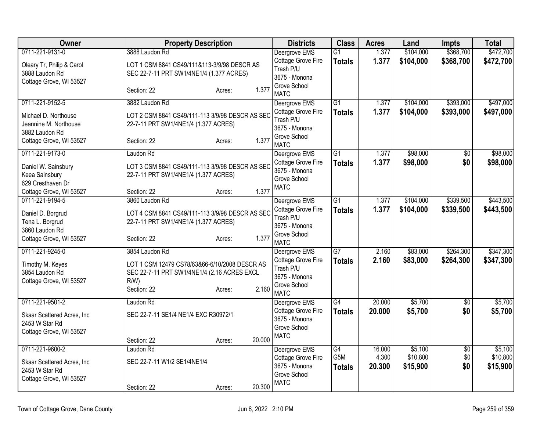| Owner                                                                   |                                                                                                                        | <b>Property Description</b> |        | <b>Districts</b>                                                                | <b>Class</b>                      | <b>Acres</b>    | Land                 | <b>Impts</b>    | <b>Total</b>         |
|-------------------------------------------------------------------------|------------------------------------------------------------------------------------------------------------------------|-----------------------------|--------|---------------------------------------------------------------------------------|-----------------------------------|-----------------|----------------------|-----------------|----------------------|
| 0711-221-9131-0                                                         | 3888 Laudon Rd                                                                                                         |                             |        | Deergrove EMS                                                                   | $\overline{G1}$                   | 1.377           | \$104,000            | \$368,700       | \$472,700            |
| Oleary Tr, Philip & Carol<br>3888 Laudon Rd<br>Cottage Grove, WI 53527  | LOT 1 CSM 8841 CS49/111&113-3/9/98 DESCR AS<br>SEC 22-7-11 PRT SW1/4NE1/4 (1.377 ACRES)                                |                             |        | Cottage Grove Fire<br>Trash P/U<br>3675 - Monona                                | <b>Totals</b>                     | 1.377           | \$104,000            | \$368,700       | \$472,700            |
|                                                                         | Section: 22                                                                                                            | Acres:                      | 1.377  | Grove School<br><b>MATC</b>                                                     |                                   |                 |                      |                 |                      |
| 0711-221-9152-5                                                         | 3882 Laudon Rd                                                                                                         |                             |        | Deergrove EMS                                                                   | $\overline{G1}$                   | 1.377           | \$104,000            | \$393,000       | \$497,000            |
| Michael D. Northouse<br>Jeannine M. Northouse<br>3882 Laudon Rd         | LOT 2 CSM 8841 CS49/111-113 3/9/98 DESCR AS SEC<br>22-7-11 PRT SW1/4NE1/4 (1.377 ACRES)                                |                             |        | Cottage Grove Fire<br>Trash P/U<br>3675 - Monona                                | <b>Totals</b>                     | 1.377           | \$104,000            | \$393,000       | \$497,000            |
| Cottage Grove, WI 53527                                                 | Section: 22                                                                                                            | Acres:                      | 1.377  | Grove School<br><b>MATC</b>                                                     |                                   |                 |                      |                 |                      |
| 0711-221-9173-0                                                         | Laudon Rd                                                                                                              |                             |        | Deergrove EMS                                                                   | $\overline{G1}$                   | 1.377           | \$98,000             | $\overline{50}$ | \$98,000             |
| Daniel W. Sainsbury<br>Keea Sainsbury                                   | LOT 3 CSM 8841 CS49/111-113 3/9/98 DESCR AS SEC<br>22-7-11 PRT SW1/4NE1/4 (1.377 ACRES)                                |                             |        | Cottage Grove Fire<br>3675 - Monona                                             | <b>Totals</b>                     | 1.377           | \$98,000             | \$0             | \$98,000             |
| 629 Cresthaven Dr                                                       |                                                                                                                        |                             |        | Grove School<br><b>MATC</b>                                                     |                                   |                 |                      |                 |                      |
| Cottage Grove, WI 53527                                                 | Section: 22                                                                                                            | Acres:                      | 1.377  |                                                                                 |                                   |                 |                      |                 |                      |
| 0711-221-9194-5                                                         | 3860 Laudon Rd                                                                                                         |                             |        | Deergrove EMS                                                                   | $\overline{G1}$                   | 1.377           | \$104,000            | \$339,500       | \$443,500            |
| Daniel D. Borgrud<br>Tena L. Borgrud                                    | LOT 4 CSM 8841 CS49/111-113 3/9/98 DESCR AS SEC<br>22-7-11 PRT SW1/4NE1/4 (1.377 ACRES)                                |                             |        | Cottage Grove Fire<br>Trash P/U<br>3675 - Monona                                | <b>Totals</b>                     | 1.377           | \$104,000            | \$339,500       | \$443,500            |
| 3860 Laudon Rd<br>Cottage Grove, WI 53527                               | Section: 22                                                                                                            | Acres:                      | 1.377  | Grove School<br><b>MATC</b>                                                     |                                   |                 |                      |                 |                      |
| 0711-221-9245-0                                                         | 3854 Laudon Rd                                                                                                         |                             |        | Deergrove EMS                                                                   | $\overline{G7}$                   | 2.160           | \$83,000             | \$264,300       | \$347,300            |
| Timothy M. Keyes<br>3854 Laudon Rd<br>Cottage Grove, WI 53527           | LOT 1 CSM 12479 CS78/63&66-6/10/2008 DESCR AS<br>SEC 22-7-11 PRT SW1/4NE1/4 (2.16 ACRES EXCL<br>$R/W$ )<br>Section: 22 | Acres:                      | 2.160  | Cottage Grove Fire<br>Trash P/U<br>3675 - Monona<br>Grove School<br><b>MATC</b> | <b>Totals</b>                     | 2.160           | \$83,000             | \$264,300       | \$347,300            |
| 0711-221-9501-2                                                         | Laudon Rd                                                                                                              |                             |        | Deergrove EMS                                                                   | $\overline{G4}$                   | 20.000          | \$5,700              | $\overline{50}$ | \$5,700              |
| Skaar Scattered Acres, Inc<br>2453 W Star Rd<br>Cottage Grove, WI 53527 | SEC 22-7-11 SE1/4 NE1/4 EXC R30972/1                                                                                   |                             |        | Cottage Grove Fire<br>3675 - Monona<br>Grove School                             | <b>Totals</b>                     | 20,000          | \$5,700              | \$0             | \$5,700              |
|                                                                         | Section: 22                                                                                                            | Acres:                      | 20.000 | <b>MATC</b>                                                                     |                                   |                 |                      |                 |                      |
| 0711-221-9600-2                                                         | Laudon Rd                                                                                                              |                             |        | Deergrove EMS                                                                   | G4                                | 16.000          | \$5,100              | $\overline{50}$ | \$5,100              |
| Skaar Scattered Acres, Inc<br>2453 W Star Rd<br>Cottage Grove, WI 53527 | SEC 22-7-11 W1/2 SE1/4NE1/4                                                                                            |                             |        | Cottage Grove Fire<br>3675 - Monona<br>Grove School                             | G <sub>5</sub> M<br><b>Totals</b> | 4.300<br>20.300 | \$10,800<br>\$15,900 | \$0<br>\$0      | \$10,800<br>\$15,900 |
|                                                                         | Section: 22                                                                                                            | Acres:                      | 20.300 | <b>MATC</b>                                                                     |                                   |                 |                      |                 |                      |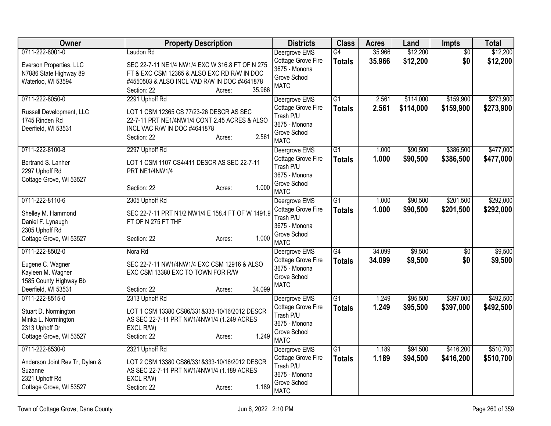| <b>Owner</b>                                | <b>Property Description</b>                                                                 | <b>Districts</b>                | <b>Class</b>    | <b>Acres</b> | Land      | Impts           | <b>Total</b> |
|---------------------------------------------|---------------------------------------------------------------------------------------------|---------------------------------|-----------------|--------------|-----------|-----------------|--------------|
| 0711-222-8001-0                             | Laudon Rd                                                                                   | Deergrove EMS                   | G4              | 35.966       | \$12,200  | $\overline{50}$ | \$12,200     |
| Everson Properties, LLC                     | SEC 22-7-11 NE1/4 NW1/4 EXC W 316.8 FT OF N 275                                             | Cottage Grove Fire              | <b>Totals</b>   | 35.966       | \$12,200  | \$0             | \$12,200     |
| N7886 State Highway 89                      | FT & EXC CSM 12365 & ALSO EXC RD R/W IN DOC                                                 | 3675 - Monona                   |                 |              |           |                 |              |
| Waterloo, WI 53594                          | #4550503 & ALSO INCL VAD R/W IN DOC #4641878                                                | Grove School<br><b>MATC</b>     |                 |              |           |                 |              |
|                                             | 35.966<br>Section: 22<br>Acres:                                                             |                                 |                 |              |           |                 |              |
| 0711-222-8050-0                             | 2291 Uphoff Rd                                                                              | Deergrove EMS                   | G1              | 2.561        | \$114,000 | \$159,900       | \$273,900    |
| Russell Development, LLC                    | LOT 1 CSM 12365 CS 77/23-26 DESCR AS SEC                                                    | Cottage Grove Fire              | <b>Totals</b>   | 2.561        | \$114,000 | \$159,900       | \$273,900    |
| 1745 Rinden Rd                              | 22-7-11 PRT NE1/4NW1/4 CONT 2.45 ACRES & ALSO                                               | Trash P/U                       |                 |              |           |                 |              |
| Deerfield, WI 53531                         | INCL VAC R/W IN DOC #4641878                                                                | 3675 - Monona<br>Grove School   |                 |              |           |                 |              |
|                                             | 2.561<br>Section: 22<br>Acres:                                                              | <b>MATC</b>                     |                 |              |           |                 |              |
| 0711-222-8100-8                             | 2297 Uphoff Rd                                                                              | Deergrove EMS                   | $\overline{G1}$ | 1.000        | \$90,500  | \$386,500       | \$477,000    |
|                                             |                                                                                             | Cottage Grove Fire              | <b>Totals</b>   | 1.000        | \$90,500  | \$386,500       | \$477,000    |
| Bertrand S. Lanher                          | LOT 1 CSM 1107 CS4/411 DESCR AS SEC 22-7-11                                                 | Trash P/U                       |                 |              |           |                 |              |
| 2297 Uphoff Rd<br>Cottage Grove, WI 53527   | PRT NE1/4NW1/4                                                                              | 3675 - Monona                   |                 |              |           |                 |              |
|                                             | 1.000<br>Section: 22<br>Acres:                                                              | Grove School                    |                 |              |           |                 |              |
|                                             |                                                                                             | <b>MATC</b>                     |                 |              |           |                 |              |
| 0711-222-8110-6                             | 2305 Uphoff Rd                                                                              | Deergrove EMS                   | $\overline{G1}$ | 1.000        | \$90,500  | \$201,500       | \$292,000    |
| Shelley M. Hammond                          | SEC 22-7-11 PRT N1/2 NW1/4 E 158.4 FT OF W 1491.9                                           | Cottage Grove Fire              | <b>Totals</b>   | 1.000        | \$90,500  | \$201,500       | \$292,000    |
| Daniel F. Lynaugh                           | FT OF N 275 FT THF                                                                          | Trash P/U<br>3675 - Monona      |                 |              |           |                 |              |
| 2305 Uphoff Rd                              |                                                                                             | Grove School                    |                 |              |           |                 |              |
| Cottage Grove, WI 53527                     | 1.000<br>Section: 22<br>Acres:                                                              | <b>MATC</b>                     |                 |              |           |                 |              |
| 0711-222-8502-0                             | Nora Rd                                                                                     | Deergrove EMS                   | $\overline{G4}$ | 34.099       | \$9,500   | $\overline{50}$ | \$9,500      |
|                                             |                                                                                             | Cottage Grove Fire              | <b>Totals</b>   | 34.099       | \$9,500   | \$0             | \$9,500      |
| Eugene C. Wagner<br>Kayleen M. Wagner       | SEC 22-7-11 NW1/4NW1/4 EXC CSM 12916 & ALSO<br>EXC CSM 13380 EXC TO TOWN FOR R/W            | 3675 - Monona                   |                 |              |           |                 |              |
| 1585 County Highway Bb                      |                                                                                             | Grove School                    |                 |              |           |                 |              |
| Deerfield, WI 53531                         | 34.099<br>Section: 22<br>Acres:                                                             | <b>MATC</b>                     |                 |              |           |                 |              |
| 0711-222-8515-0                             | 2313 Uphoff Rd                                                                              | Deergrove EMS                   | $\overline{G1}$ | 1.249        | \$95,500  | \$397,000       | \$492,500    |
|                                             |                                                                                             | Cottage Grove Fire              | <b>Totals</b>   | 1.249        | \$95,500  | \$397,000       | \$492,500    |
| Stuart D. Normington<br>Minka L. Normington | LOT 1 CSM 13380 CS86/331&333-10/16/2012 DESCR<br>AS SEC 22-7-11 PRT NW1/4NW1/4 (1.249 ACRES | Trash P/U                       |                 |              |           |                 |              |
| 2313 Uphoff Dr                              | EXCL R/W)                                                                                   | 3675 - Monona                   |                 |              |           |                 |              |
| Cottage Grove, WI 53527                     | 1.249<br>Section: 22<br>Acres:                                                              | Grove School                    |                 |              |           |                 |              |
|                                             |                                                                                             | <b>MATC</b>                     |                 |              |           |                 |              |
| 0711-222-8530-0                             | 2321 Uphoff Rd                                                                              | Deergrove EMS                   | G1              | 1.189        | \$94,500  | \$416,200       | \$510,700    |
| Anderson Joint Rev Tr, Dylan &              | LOT 2 CSM 13380 CS86/331&333-10/16/2012 DESCR                                               | Cottage Grove Fire<br>Trash P/U | <b>Totals</b>   | 1.189        | \$94,500  | \$416,200       | \$510,700    |
| Suzanne                                     | AS SEC 22-7-11 PRT NW1/4NW1/4 (1.189 ACRES                                                  | 3675 - Monona                   |                 |              |           |                 |              |
| 2321 Uphoff Rd                              | EXCL R/W)                                                                                   | Grove School                    |                 |              |           |                 |              |
| Cottage Grove, WI 53527                     | 1.189<br>Section: 22<br>Acres:                                                              | <b>MATC</b>                     |                 |              |           |                 |              |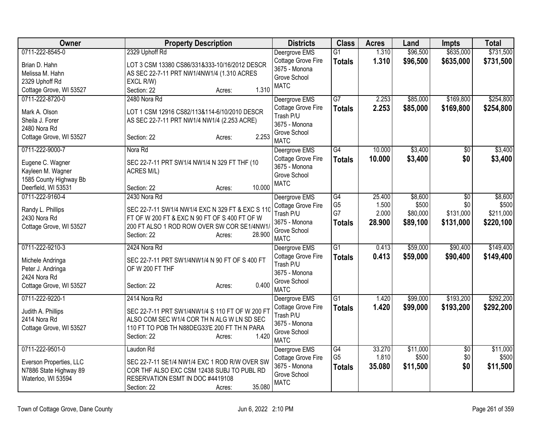| <b>Owner</b>                      | <b>Property Description</b>                             | <b>Districts</b>                    | <b>Class</b>                      | <b>Acres</b>    | Land                 | <b>Impts</b>           | <b>Total</b>           |
|-----------------------------------|---------------------------------------------------------|-------------------------------------|-----------------------------------|-----------------|----------------------|------------------------|------------------------|
| 0711-222-8545-0                   | 2329 Uphoff Rd                                          | Deergrove EMS<br>Cottage Grove Fire | $\overline{G1}$<br><b>Totals</b>  | 1.310<br>1.310  | \$96,500<br>\$96,500 | \$635,000<br>\$635,000 | \$731,500<br>\$731,500 |
| Brian D. Hahn                     | LOT 3 CSM 13380 CS86/331&333-10/16/2012 DESCR           | 3675 - Monona                       |                                   |                 |                      |                        |                        |
| Melissa M. Hahn<br>2329 Uphoff Rd | AS SEC 22-7-11 PRT NW1/4NW1/4 (1.310 ACRES<br>EXCL R/W) | Grove School                        |                                   |                 |                      |                        |                        |
| Cottage Grove, WI 53527           | 1.310<br>Section: 22<br>Acres:                          | <b>MATC</b>                         |                                   |                 |                      |                        |                        |
| 0711-222-8720-0                   | 2480 Nora Rd                                            | Deergrove EMS                       | G7                                | 2.253           | \$85,000             | \$169,800              | \$254,800              |
| Mark A. Olson                     | LOT 1 CSM 12916 CS82/113&114-6/10/2010 DESCR            | Cottage Grove Fire                  | <b>Totals</b>                     | 2.253           | \$85,000             | \$169,800              | \$254,800              |
| Sheila J. Forer                   | AS SEC 22-7-11 PRT NW1/4 NW1/4 (2.253 ACRE)             | Trash P/U                           |                                   |                 |                      |                        |                        |
| 2480 Nora Rd                      |                                                         | 3675 - Monona                       |                                   |                 |                      |                        |                        |
| Cottage Grove, WI 53527           | 2.253<br>Section: 22<br>Acres:                          | Grove School<br><b>MATC</b>         |                                   |                 |                      |                        |                        |
| 0711-222-9000-7                   | Nora Rd                                                 | Deergrove EMS                       | $\overline{G4}$                   | 10.000          | \$3,400              | $\overline{50}$        | \$3,400                |
| Eugene C. Wagner                  | SEC 22-7-11 PRT SW1/4 NW1/4 N 329 FT THF (10            | Cottage Grove Fire                  | <b>Totals</b>                     | 10.000          | \$3,400              | \$0                    | \$3,400                |
| Kayleen M. Wagner                 | ACRES M/L)                                              | 3675 - Monona<br>Grove School       |                                   |                 |                      |                        |                        |
| 1585 County Highway Bb            |                                                         | <b>MATC</b>                         |                                   |                 |                      |                        |                        |
| Deerfield, WI 53531               | 10.000<br>Section: 22<br>Acres:                         |                                     |                                   |                 |                      |                        |                        |
| 0711-222-9160-4                   | 2430 Nora Rd                                            | Deergrove EMS                       | $\overline{G4}$<br>G <sub>5</sub> | 25.400<br>1.500 | \$8,600<br>\$500     | $\overline{50}$<br>\$0 | \$8,600<br>\$500       |
| Randy L. Phillips                 | SEC 22-7-11 SW1/4 NW1/4 EXC N 329 FT & EXC S 110        | Cottage Grove Fire<br>Trash P/U     | G7                                | 2.000           | \$80,000             | \$131,000              | \$211,000              |
| 2430 Nora Rd                      | FT OF W 200 FT & EXC N 90 FT OF S 400 FT OF W           | 3675 - Monona                       | <b>Totals</b>                     | 28.900          | \$89,100             | \$131,000              | \$220,100              |
| Cottage Grove, WI 53527           | 200 FT ALSO 1 ROD ROW OVER SW COR SE1/4NW1/<br>28.900   | Grove School                        |                                   |                 |                      |                        |                        |
|                                   | Section: 22<br>Acres:                                   | <b>MATC</b>                         |                                   |                 |                      |                        |                        |
| 0711-222-9210-3                   | 2424 Nora Rd                                            | Deergrove EMS                       | $\overline{G1}$                   | 0.413           | \$59,000             | \$90,400               | \$149,400              |
| Michele Andringa                  | SEC 22-7-11 PRT SW1/4NW1/4 N 90 FT OF S 400 FT          | Cottage Grove Fire                  | <b>Totals</b>                     | 0.413           | \$59,000             | \$90,400               | \$149,400              |
| Peter J. Andringa                 | OF W 200 FT THF                                         | Trash P/U<br>3675 - Monona          |                                   |                 |                      |                        |                        |
| 2424 Nora Rd                      |                                                         | Grove School                        |                                   |                 |                      |                        |                        |
| Cottage Grove, WI 53527           | 0.400<br>Section: 22<br>Acres:                          | <b>MATC</b>                         |                                   |                 |                      |                        |                        |
| 0711-222-9220-1                   | 2414 Nora Rd                                            | Deergrove EMS                       | G1                                | 1.420           | \$99,000             | \$193,200              | \$292,200              |
| Judith A. Phillips                | SEC 22-7-11 PRT SW1/4NW1/4 S 110 FT OF W 200 FT         | Cottage Grove Fire                  | <b>Totals</b>                     | 1.420           | \$99,000             | \$193,200              | \$292,200              |
| 2414 Nora Rd                      | ALSO COM SEC W1/4 COR TH N ALG W LN SD SEC              | Trash P/U<br>3675 - Monona          |                                   |                 |                      |                        |                        |
| Cottage Grove, WI 53527           | 110 FT TO POB TH N88DEG33'E 200 FT TH N PARA            | Grove School                        |                                   |                 |                      |                        |                        |
|                                   | 1.420<br>Section: 22<br>Acres:                          | <b>MATC</b>                         |                                   |                 |                      |                        |                        |
| 0711-222-9501-0                   | Laudon Rd                                               | Deergrove EMS                       | G4                                | 33.270          | \$11,000             | $\overline{50}$        | \$11,000               |
| Everson Properties, LLC           | SEC 22-7-11 SE1/4 NW1/4 EXC 1 ROD R/W OVER SW           | Cottage Grove Fire                  | G <sub>5</sub>                    | 1.810           | \$500                | \$0                    | \$500                  |
| N7886 State Highway 89            | COR THE ALSO EXC CSM 12438 SUBJ TO PUBL RD              | 3675 - Monona                       | <b>Totals</b>                     | 35.080          | \$11,500             | \$0                    | \$11,500               |
| Waterloo, WI 53594                | RESERVATION ESMT IN DOC #4419108                        | Grove School<br><b>MATC</b>         |                                   |                 |                      |                        |                        |
|                                   | 35.080<br>Section: 22<br>Acres:                         |                                     |                                   |                 |                      |                        |                        |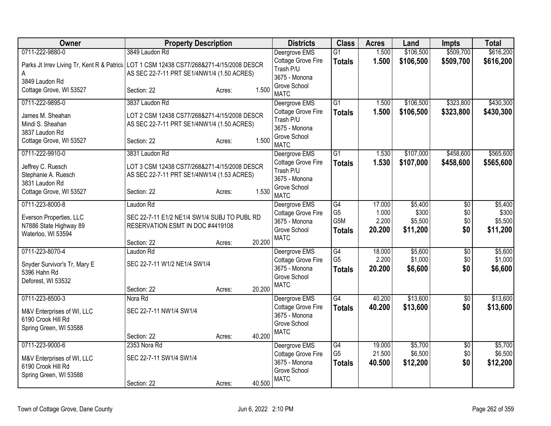| Owner                                                                                                           | <b>Property Description</b>                                                                                  |        |        | <b>Districts</b>                                                                    | <b>Class</b>                                 | <b>Acres</b>                       | Land                                    | <b>Impts</b>                         | <b>Total</b>                            |
|-----------------------------------------------------------------------------------------------------------------|--------------------------------------------------------------------------------------------------------------|--------|--------|-------------------------------------------------------------------------------------|----------------------------------------------|------------------------------------|-----------------------------------------|--------------------------------------|-----------------------------------------|
| 0711-222-9880-0                                                                                                 | 3849 Laudon Rd                                                                                               |        |        | Deergrove EMS                                                                       | $\overline{G1}$                              | 1.500                              | \$106,500                               | \$509,700                            | \$616,200                               |
| Parks Jt Irrev Living Tr, Kent R & Patrici: LOT 1 CSM 12438 CS77/268&271-4/15/2008 DESCR<br>Α<br>3849 Laudon Rd | AS SEC 22-7-11 PRT SE1/4NW1/4 (1.50 ACRES)                                                                   |        |        | Cottage Grove Fire<br>Trash P/U<br>3675 - Monona                                    | <b>Totals</b>                                | 1.500                              | \$106,500                               | \$509,700                            | \$616,200                               |
| Cottage Grove, WI 53527                                                                                         | Section: 22                                                                                                  | Acres: | 1.500  | Grove School<br><b>MATC</b>                                                         |                                              |                                    |                                         |                                      |                                         |
| 0711-222-9895-0                                                                                                 | 3837 Laudon Rd                                                                                               |        |        | Deergrove EMS                                                                       | $\overline{G1}$                              | 1.500                              | \$106,500                               | \$323,800                            | \$430,300                               |
| James M. Sheahan<br>Mindi S. Sheahan<br>3837 Laudon Rd                                                          | LOT 2 CSM 12438 CS77/268&271-4/15/2008 DESCR<br>AS SEC 22-7-11 PRT SE1/4NW1/4 (1.50 ACRES)                   |        |        | Cottage Grove Fire<br>Trash P/U<br>3675 - Monona                                    | <b>Totals</b>                                | 1.500                              | \$106,500                               | \$323,800                            | \$430,300                               |
| Cottage Grove, WI 53527                                                                                         | Section: 22                                                                                                  | Acres: | 1.500  | Grove School<br><b>MATC</b>                                                         |                                              |                                    |                                         |                                      |                                         |
| 0711-222-9910-0                                                                                                 | 3831 Laudon Rd                                                                                               |        |        | Deergrove EMS                                                                       | $\overline{G1}$                              | 1.530                              | \$107,000                               | \$458,600                            | \$565,600                               |
| Jeffrey C. Ruesch<br>Stephanie A. Ruesch<br>3831 Laudon Rd                                                      | LOT 3 CSM 12438 CS77/268&271-4/15/2008 DESCR<br>AS SEC 22-7-11 PRT SE1/4NW1/4 (1.53 ACRES)                   |        |        | Cottage Grove Fire<br>Trash P/U<br>3675 - Monona<br>Grove School                    | <b>Totals</b>                                | 1.530                              | \$107,000                               | \$458,600                            | \$565,600                               |
| Cottage Grove, WI 53527                                                                                         | Section: 22                                                                                                  | Acres: | 1.530  | <b>MATC</b>                                                                         |                                              |                                    |                                         |                                      |                                         |
| 0711-223-8000-8<br>Everson Properties, LLC<br>N7886 State Highway 89<br>Waterloo, WI 53594                      | Laudon Rd<br>SEC 22-7-11 E1/2 NE1/4 SW1/4 SUBJ TO PUBL RD<br>RESERVATION ESMT IN DOC #4419108<br>Section: 22 | Acres: | 20.200 | Deergrove EMS<br>Cottage Grove Fire<br>3675 - Monona<br>Grove School<br><b>MATC</b> | G4<br>G <sub>5</sub><br>G5M<br><b>Totals</b> | 17.000<br>1.000<br>2.200<br>20.200 | \$5,400<br>\$300<br>\$5,500<br>\$11,200 | $\overline{50}$<br>\$0<br>\$0<br>\$0 | \$5,400<br>\$300<br>\$5,500<br>\$11,200 |
| 0711-223-8070-4                                                                                                 | Laudon Rd                                                                                                    |        |        | Deergrove EMS                                                                       | G4                                           | 18.000                             | \$5,600                                 | $\overline{30}$                      | \$5,600                                 |
| Snyder Survivor's Tr, Mary E<br>5396 Hahn Rd<br>Deforest, WI 53532                                              | SEC 22-7-11 W1/2 NE1/4 SW1/4<br>Section: 22                                                                  | Acres: | 20.200 | <b>Cottage Grove Fire</b><br>3675 - Monona<br>Grove School<br><b>MATC</b>           | G <sub>5</sub><br><b>Totals</b>              | 2.200<br>20.200                    | \$1,000<br>\$6,600                      | \$0<br>\$0                           | \$1,000<br>\$6,600                      |
| 0711-223-8500-3                                                                                                 | Nora Rd                                                                                                      |        |        | Deergrove EMS                                                                       | G4                                           | 40.200                             | \$13,600                                | $\overline{50}$                      | \$13,600                                |
| M&V Enterprises of WI, LLC<br>6190 Crook Hill Rd<br>Spring Green, WI 53588                                      | SEC 22-7-11 NW1/4 SW1/4<br>Section: 22                                                                       |        | 40.200 | Cottage Grove Fire<br>3675 - Monona<br>Grove School<br><b>MATC</b>                  | <b>Totals</b>                                | 40.200                             | \$13,600                                | \$0                                  | \$13,600                                |
| 0711-223-9000-6                                                                                                 | 2353 Nora Rd                                                                                                 | Acres: |        | Deergrove EMS                                                                       | $\overline{G4}$                              | 19.000                             | \$5,700                                 | $\overline{50}$                      | \$5,700                                 |
| M&V Enterprises of WI, LLC<br>6190 Crook Hill Rd<br>Spring Green, WI 53588                                      | SEC 22-7-11 SW1/4 SW1/4<br>Section: 22                                                                       | Acres: | 40.500 | Cottage Grove Fire<br>3675 - Monona<br>Grove School<br><b>MATC</b>                  | G <sub>5</sub><br><b>Totals</b>              | 21.500<br>40.500                   | \$6,500<br>\$12,200                     | \$0<br>\$0                           | \$6,500<br>\$12,200                     |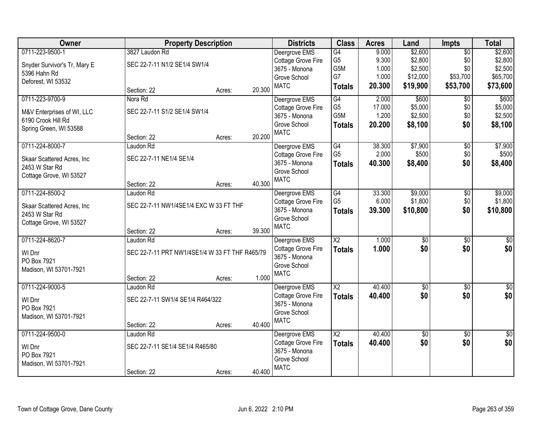| Owner                        | <b>Property Description</b>                    |        |        | <b>Districts</b>            | <b>Class</b>           | <b>Acres</b>    | Land                 | <b>Impts</b>         | <b>Total</b>         |
|------------------------------|------------------------------------------------|--------|--------|-----------------------------|------------------------|-----------------|----------------------|----------------------|----------------------|
| 0711-223-9500-1              | 3827 Laudon Rd                                 |        |        | Deergrove EMS               | G4                     | 9.000           | \$2,600              | $\overline{50}$      | \$2,600              |
| Snyder Survivor's Tr, Mary E | SEC 22-7-11 N1/2 SE1/4 SW1/4                   |        |        | Cottage Grove Fire          | G <sub>5</sub>         | 9.300           | \$2,800              | \$0                  | \$2,800              |
| 5396 Hahn Rd                 |                                                |        |        | 3675 - Monona               | G5M<br>G7              | 1.000           | \$2,500              | \$0                  | \$2,500              |
| Deforest, WI 53532           |                                                |        |        | Grove School<br><b>MATC</b> |                        | 1.000<br>20.300 | \$12,000<br>\$19,900 | \$53,700<br>\$53,700 | \$65,700<br>\$73,600 |
|                              | Section: 22                                    | Acres: | 20.300 |                             | <b>Totals</b>          |                 |                      |                      |                      |
| 0711-223-9700-9              | Nora Rd                                        |        |        | Deergrove EMS               | G4                     | 2.000           | \$600                | \$0                  | \$600                |
| M&V Enterprises of WI, LLC   | SEC 22-7-11 S1/2 SE1/4 SW1/4                   |        |        | Cottage Grove Fire          | G <sub>5</sub>         | 17.000          | \$5,000              | \$0                  | \$5,000              |
| 6190 Crook Hill Rd           |                                                |        |        | 3675 - Monona               | G <sub>5</sub> M       | 1.200           | \$2,500              | \$0                  | \$2,500              |
| Spring Green, WI 53588       |                                                |        |        | Grove School<br><b>MATC</b> | <b>Totals</b>          | 20.200          | \$8,100              | \$0                  | \$8,100              |
|                              | Section: 22                                    | Acres: | 20.200 |                             |                        |                 |                      |                      |                      |
| 0711-224-8000-7              | Laudon Rd                                      |        |        | Deergrove EMS               | G4                     | 38.300          | \$7,900              | \$0                  | \$7,900              |
| Skaar Scattered Acres, Inc   | SEC 22-7-11 NE1/4 SE1/4                        |        |        | Cottage Grove Fire          | G <sub>5</sub>         | 2.000           | \$500                | \$0                  | \$500                |
| 2453 W Star Rd               |                                                |        |        | 3675 - Monona               | <b>Totals</b>          | 40.300          | \$8,400              | \$0                  | \$8,400              |
| Cottage Grove, WI 53527      |                                                |        |        | Grove School<br><b>MATC</b> |                        |                 |                      |                      |                      |
|                              | Section: 22                                    | Acres: | 40.300 |                             |                        |                 |                      |                      |                      |
| 0711-224-8500-2              | Laudon Rd                                      |        |        | Deergrove EMS               | $\overline{G4}$        | 33.300          | \$9,000              | \$0                  | \$9,000              |
| Skaar Scattered Acres, Inc   | SEC 22-7-11 NW1/4SE1/4 EXC W 33 FT THF         |        |        | Cottage Grove Fire          | G <sub>5</sub>         | 6.000           | \$1,800              | \$0                  | \$1,800              |
| 2453 W Star Rd               |                                                |        |        | 3675 - Monona               | <b>Totals</b>          | 39.300          | \$10,800             | \$0                  | \$10,800             |
| Cottage Grove, WI 53527      |                                                |        |        | Grove School<br><b>MATC</b> |                        |                 |                      |                      |                      |
|                              | Section: 22                                    | Acres: | 39.300 |                             |                        |                 |                      |                      |                      |
| 0711-224-8620-7              | Laudon Rd                                      |        |        | Deergrove EMS               | $\overline{\text{X2}}$ | 1.000           | $\overline{50}$      | $\overline{50}$      | $\overline{50}$      |
| WI Dnr                       | SEC 22-7-11 PRT NW1/4SE1/4 W 33 FT THF R465/79 |        |        | <b>Cottage Grove Fire</b>   | <b>Totals</b>          | 1.000           | \$0                  | \$0                  | \$0                  |
| PO Box 7921                  |                                                |        |        | 3675 - Monona               |                        |                 |                      |                      |                      |
| Madison, WI 53701-7921       |                                                |        |        | Grove School                |                        |                 |                      |                      |                      |
|                              | Section: 22                                    | Acres: | 1.000  | <b>MATC</b>                 |                        |                 |                      |                      |                      |
| 0711-224-9000-5              | Laudon Rd                                      |        |        | Deergrove EMS               | $\overline{X2}$        | 40.400          | $\overline{60}$      | $\overline{50}$      | $\overline{30}$      |
| WI Dnr                       | SEC 22-7-11 SW1/4 SE1/4 R464/322               |        |        | Cottage Grove Fire          | <b>Totals</b>          | 40.400          | \$0                  | \$0                  | \$0                  |
| PO Box 7921                  |                                                |        |        | 3675 - Monona               |                        |                 |                      |                      |                      |
| Madison, WI 53701-7921       |                                                |        |        | Grove School<br><b>MATC</b> |                        |                 |                      |                      |                      |
|                              | Section: 22                                    | Acres: | 40.400 |                             |                        |                 |                      |                      |                      |
| 0711-224-9500-0              | Laudon Rd                                      |        |        | Deergrove EMS               | $\overline{\text{X2}}$ | 40.400          | $\sqrt{6}$           | $\overline{30}$      | \$0                  |
| WI Dnr                       | SEC 22-7-11 SE1/4 SE1/4 R465/80                |        |        | Cottage Grove Fire          | <b>Totals</b>          | 40.400          | \$0                  | \$0                  | \$0                  |
| PO Box 7921                  |                                                |        |        | 3675 - Monona               |                        |                 |                      |                      |                      |
| Madison, WI 53701-7921       |                                                |        |        | Grove School<br><b>MATC</b> |                        |                 |                      |                      |                      |
|                              | Section: 22                                    | Acres: | 40.400 |                             |                        |                 |                      |                      |                      |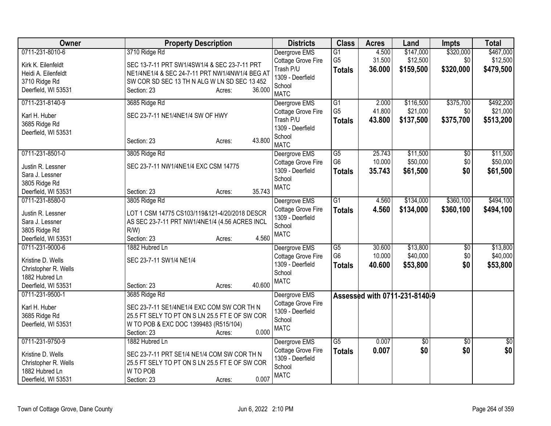| Owner                                | <b>Property Description</b>                    | <b>Districts</b>                       | <b>Class</b>    | <b>Acres</b> | Land                          | Impts           | <b>Total</b> |
|--------------------------------------|------------------------------------------------|----------------------------------------|-----------------|--------------|-------------------------------|-----------------|--------------|
| 0711-231-8010-6                      | 3710 Ridge Rd                                  | Deergrove EMS                          | G1              | 4.500        | \$147,000                     | \$320,000       | \$467,000    |
| Kirk K. Eilenfeldt                   | SEC 13-7-11 PRT SW1/4SW1/4 & SEC 23-7-11 PRT   | Cottage Grove Fire                     | G <sub>5</sub>  | 31.500       | \$12,500                      | \$0             | \$12,500     |
| Heidi A. Eilenfeldt                  | NE1/4NE1/4 & SEC 24-7-11 PRT NW1/4NW1/4 BEG AT | Trash P/U<br>1309 - Deerfield          | <b>Totals</b>   | 36.000       | \$159,500                     | \$320,000       | \$479,500    |
| 3710 Ridge Rd                        | SW COR SD SEC 13 TH N ALG W LN SD SEC 13 452   | School                                 |                 |              |                               |                 |              |
| Deerfield, WI 53531                  | 36.000<br>Section: 23<br>Acres:                | <b>MATC</b>                            |                 |              |                               |                 |              |
| 0711-231-8140-9                      | 3685 Ridge Rd                                  | Deergrove EMS                          | G1              | 2.000        | \$116,500                     | \$375,700       | \$492,200    |
| Karl H. Huber                        | SEC 23-7-11 NE1/4NE1/4 SW OF HWY               | Cottage Grove Fire                     | G <sub>5</sub>  | 41.800       | \$21,000                      | \$0             | \$21,000     |
| 3685 Ridge Rd                        |                                                | Trash P/U                              | <b>Totals</b>   | 43.800       | \$137,500                     | \$375,700       | \$513,200    |
| Deerfield, WI 53531                  |                                                | 1309 - Deerfield                       |                 |              |                               |                 |              |
|                                      | 43.800<br>Section: 23<br>Acres:                | School<br><b>MATC</b>                  |                 |              |                               |                 |              |
| 0711-231-8501-0                      | 3805 Ridge Rd                                  | Deergrove EMS                          | $\overline{G5}$ | 25.743       | \$11,500                      | \$0             | \$11,500     |
| Justin R. Lessner                    | SEC 23-7-11 NW1/4NE1/4 EXC CSM 14775           | Cottage Grove Fire                     | G <sub>6</sub>  | 10.000       | \$50,000                      | \$0             | \$50,000     |
| Sara J. Lessner                      |                                                | 1309 - Deerfield                       | <b>Totals</b>   | 35.743       | \$61,500                      | \$0             | \$61,500     |
| 3805 Ridge Rd                        |                                                | School                                 |                 |              |                               |                 |              |
| Deerfield, WI 53531                  | 35.743<br>Section: 23<br>Acres:                | <b>MATC</b>                            |                 |              |                               |                 |              |
| 0711-231-8580-0                      | 3805 Ridge Rd                                  | Deergrove EMS                          | $\overline{G1}$ | 4.560        | \$134,000                     | \$360,100       | \$494,100    |
|                                      |                                                | Cottage Grove Fire                     | <b>Totals</b>   | 4.560        | \$134,000                     | \$360,100       | \$494,100    |
| Justin R. Lessner                    | LOT 1 CSM 14775 CS103/119&121-4/20/2018 DESCR  | 1309 - Deerfield                       |                 |              |                               |                 |              |
| Sara J. Lessner                      | AS SEC 23-7-11 PRT NW1/4NE1/4 (4.56 ACRES INCL | School                                 |                 |              |                               |                 |              |
| 3805 Ridge Rd<br>Deerfield, WI 53531 | $R/W$ )<br>4.560<br>Section: 23<br>Acres:      | <b>MATC</b>                            |                 |              |                               |                 |              |
| 0711-231-9000-6                      | 1882 Hubred Ln                                 |                                        | $\overline{G5}$ | 30.600       | \$13,800                      |                 | \$13,800     |
|                                      |                                                | Deergrove EMS<br>Cottage Grove Fire    | G <sub>6</sub>  | 10.000       | \$40,000                      | \$0<br>\$0      | \$40,000     |
| Kristine D. Wells                    | SEC 23-7-11 SW1/4 NE1/4                        | 1309 - Deerfield                       | <b>Totals</b>   | 40.600       | \$53,800                      | \$0             | \$53,800     |
| Christopher R. Wells                 |                                                | School                                 |                 |              |                               |                 |              |
| 1882 Hubred Ln                       |                                                | <b>MATC</b>                            |                 |              |                               |                 |              |
| Deerfield, WI 53531                  | 40.600<br>Section: 23<br>Acres:                |                                        |                 |              |                               |                 |              |
| 0711-231-9500-1                      | 3685 Ridge Rd                                  | Deergrove EMS                          |                 |              | Assessed with 0711-231-8140-9 |                 |              |
| Karl H. Huber                        | SEC 23-7-11 SE1/4NE1/4 EXC COM SW COR TH N     | Cottage Grove Fire<br>1309 - Deerfield |                 |              |                               |                 |              |
| 3685 Ridge Rd                        | 25.5 FT SELY TO PT ON S LN 25.5 FT E OF SW COR | School                                 |                 |              |                               |                 |              |
| Deerfield, WI 53531                  | W TO POB & EXC DOC 1399483 (R515/104)          | <b>MATC</b>                            |                 |              |                               |                 |              |
|                                      | 0.000<br>Section: 23<br>Acres:                 |                                        |                 |              |                               |                 |              |
| 0711-231-9750-9                      | 1882 Hubred Ln                                 | Deergrove EMS                          | $\overline{G5}$ | 0.007        | $\overline{50}$               | $\overline{50}$ | $\sqrt{30}$  |
| Kristine D. Wells                    | SEC 23-7-11 PRT SE1/4 NE1/4 COM SW COR TH N    | Cottage Grove Fire                     | <b>Totals</b>   | 0.007        | \$0                           | \$0             | \$0          |
| Christopher R. Wells                 | 25.5 FT SELY TO PT ON S LN 25.5 FT E OF SW COR | 1309 - Deerfield                       |                 |              |                               |                 |              |
| 1882 Hubred Ln                       | W TO POB                                       | School<br><b>MATC</b>                  |                 |              |                               |                 |              |
| Deerfield, WI 53531                  | 0.007<br>Section: 23<br>Acres:                 |                                        |                 |              |                               |                 |              |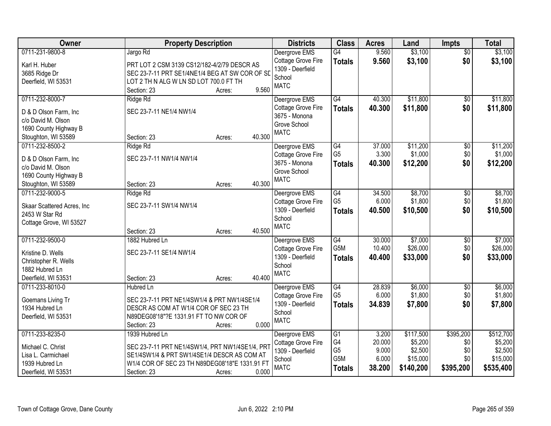| \$3,100<br>Deergrove EMS<br>$\overline{50}$<br>Jargo Rd<br>\$3,100<br>\$0<br>Cottage Grove Fire<br>9.560<br>\$3,100<br><b>Totals</b><br>Karl H. Huber<br>PRT LOT 2 CSM 3139 CS12/182-4/2/79 DESCR AS<br>1309 - Deerfield<br>SEC 23-7-11 PRT SE1/4NE1/4 BEG AT SW COR OF SD<br>3685 Ridge Dr<br>School<br>LOT 2 TH N ALG W LN SD LOT 700.0 FT TH<br>Deerfield, WI 53531<br><b>MATC</b><br>9.560<br>Section: 23<br>Acres:<br>\$11,800<br>\$11,800<br>0711-232-8000-7<br>G4<br>40.300<br>Ridge Rd<br>Deergrove EMS<br>\$0<br>Cottage Grove Fire<br>40.300<br>\$11,800<br>\$0<br>\$11,800<br><b>Totals</b><br>SEC 23-7-11 NE1/4 NW1/4<br>D & D Olson Farm, Inc.<br>3675 - Monona<br>c/o David M. Olson<br>Grove School<br>1690 County Highway B<br><b>MATC</b><br>40.300<br>Section: 23<br>Stoughton, WI 53589<br>Acres:<br>0711-232-8500-2<br>\$11,200<br>\$11,200<br>Ridge Rd<br>Deergrove EMS<br>G4<br>37.000<br>\$0<br>G <sub>5</sub><br>3.300<br>\$1,000<br>\$0<br>\$1,000<br>Cottage Grove Fire<br>SEC 23-7-11 NW1/4 NW1/4<br>D & D Olson Farm, Inc.<br>3675 - Monona<br>\$12,200<br>\$0<br>40.300<br>\$12,200<br>Totals<br>c/o David M. Olson<br>Grove School<br>1690 County Highway B<br><b>MATC</b><br>40.300<br>Stoughton, WI 53589<br>Section: 23<br>Acres:<br>0711-232-9000-5<br>\$8,700<br>\$8,700<br>$\overline{G4}$<br>34.500<br>Ridge Rd<br>Deergrove EMS<br>\$0<br>G <sub>5</sub><br>\$1,800<br>\$1,800<br>6.000<br>\$0<br>Cottage Grove Fire<br>SEC 23-7-11 SW1/4 NW1/4<br>Skaar Scattered Acres, Inc<br>1309 - Deerfield<br>\$0<br>40.500<br>\$10,500<br>\$10,500<br><b>Totals</b><br>2453 W Star Rd<br>School<br>Cottage Grove, WI 53527<br><b>MATC</b><br>40.500<br>Section: 23<br>Acres:<br>G4<br>30.000<br>\$7,000<br>\$7,000<br>0711-232-9500-0<br>1882 Hubred Ln<br>$\overline{50}$<br>Deergrove EMS<br>G5M<br>\$26,000<br>\$26,000<br>10.400<br>\$0<br>Cottage Grove Fire<br>SEC 23-7-11 SE1/4 NW1/4<br>Kristine D. Wells<br>\$0<br>1309 - Deerfield<br>40.400<br>\$33,000<br>\$33,000<br><b>Totals</b><br>Christopher R. Wells<br>School<br>1882 Hubred Ln<br><b>MATC</b><br>40.400<br>Deerfield, WI 53531<br>Section: 23<br>Acres:<br>\$6,000<br>0711-233-8010-0<br>G4<br>28.839<br>\$6,000<br><b>Hubred Ln</b><br>Deergrove EMS<br>$\sqrt{6}$<br>G <sub>5</sub><br>\$1,800<br>6.000<br>\$1,800<br>\$0<br>Cottage Grove Fire<br>Goemans Living Tr<br>SEC 23-7-11 PRT NE1/4SW1/4 & PRT NW1/4SE1/4<br>1309 - Deerfield<br>34.839<br>\$7,800<br>\$0<br>\$7,800<br><b>Totals</b><br>1934 Hubred Ln<br>DESCR AS COM AT W1/4 COR OF SEC 23 TH<br>School<br>N89DEG08'18"?E 1331.91 FT TO NW COR OF<br>Deerfield, WI 53531<br><b>MATC</b><br>0.000<br>Section: 23<br>Acres:<br>0711-233-8235-0<br>\$117,500<br>\$395,200<br>\$512,700<br>Deergrove EMS<br>G1<br>3.200<br>1939 Hubred Ln<br>G4<br>20.000<br>\$5,200<br>\$5,200<br>Cottage Grove Fire<br>\$0<br>SEC 23-7-11 PRT NE1/4SW1/4, PRT NW1/4SE1/4, PRT<br>Michael C. Christ<br>G <sub>5</sub><br>\$2,500<br>9.000<br>\$0<br>\$2,500<br>1309 - Deerfield<br>SE1/4SW1/4 & PRT SW1/4SE1/4 DESCR AS COM AT<br>Lisa L. Carmichael<br>G <sub>5</sub> M<br>6.000<br>\$15,000<br>\$15,000<br>\$0<br>School<br>1939 Hubred Ln<br>W1/4 COR OF SEC 23 TH N89DEG08'18"E 1331.91 FT<br><b>MATC</b><br>38.200<br>\$140,200<br>\$395,200<br>\$535,400<br><b>Totals</b><br>0.000 | Owner               | <b>Property Description</b> | <b>Districts</b> | <b>Class</b> | <b>Acres</b> | Land    | <b>Impts</b> | <b>Total</b> |
|-----------------------------------------------------------------------------------------------------------------------------------------------------------------------------------------------------------------------------------------------------------------------------------------------------------------------------------------------------------------------------------------------------------------------------------------------------------------------------------------------------------------------------------------------------------------------------------------------------------------------------------------------------------------------------------------------------------------------------------------------------------------------------------------------------------------------------------------------------------------------------------------------------------------------------------------------------------------------------------------------------------------------------------------------------------------------------------------------------------------------------------------------------------------------------------------------------------------------------------------------------------------------------------------------------------------------------------------------------------------------------------------------------------------------------------------------------------------------------------------------------------------------------------------------------------------------------------------------------------------------------------------------------------------------------------------------------------------------------------------------------------------------------------------------------------------------------------------------------------------------------------------------------------------------------------------------------------------------------------------------------------------------------------------------------------------------------------------------------------------------------------------------------------------------------------------------------------------------------------------------------------------------------------------------------------------------------------------------------------------------------------------------------------------------------------------------------------------------------------------------------------------------------------------------------------------------------------------------------------------------------------------------------------------------------------------------------------------------------------------------------------------------------------------------------------------------------------------------------------------------------------------------------------------------------------------------------------------------------------------------------------------------------------------------------------------------------------------------------------------------------------------------------------------------------------------------------------------------------------------------------------------------------------------------------------------------------------------|---------------------|-----------------------------|------------------|--------------|--------------|---------|--------------|--------------|
|                                                                                                                                                                                                                                                                                                                                                                                                                                                                                                                                                                                                                                                                                                                                                                                                                                                                                                                                                                                                                                                                                                                                                                                                                                                                                                                                                                                                                                                                                                                                                                                                                                                                                                                                                                                                                                                                                                                                                                                                                                                                                                                                                                                                                                                                                                                                                                                                                                                                                                                                                                                                                                                                                                                                                                                                                                                                                                                                                                                                                                                                                                                                                                                                                                                                                                                                         | 0711-231-9800-8     |                             |                  | G4           | 9.560        | \$3,100 |              |              |
|                                                                                                                                                                                                                                                                                                                                                                                                                                                                                                                                                                                                                                                                                                                                                                                                                                                                                                                                                                                                                                                                                                                                                                                                                                                                                                                                                                                                                                                                                                                                                                                                                                                                                                                                                                                                                                                                                                                                                                                                                                                                                                                                                                                                                                                                                                                                                                                                                                                                                                                                                                                                                                                                                                                                                                                                                                                                                                                                                                                                                                                                                                                                                                                                                                                                                                                                         |                     |                             |                  |              |              |         |              |              |
|                                                                                                                                                                                                                                                                                                                                                                                                                                                                                                                                                                                                                                                                                                                                                                                                                                                                                                                                                                                                                                                                                                                                                                                                                                                                                                                                                                                                                                                                                                                                                                                                                                                                                                                                                                                                                                                                                                                                                                                                                                                                                                                                                                                                                                                                                                                                                                                                                                                                                                                                                                                                                                                                                                                                                                                                                                                                                                                                                                                                                                                                                                                                                                                                                                                                                                                                         |                     |                             |                  |              |              |         |              |              |
|                                                                                                                                                                                                                                                                                                                                                                                                                                                                                                                                                                                                                                                                                                                                                                                                                                                                                                                                                                                                                                                                                                                                                                                                                                                                                                                                                                                                                                                                                                                                                                                                                                                                                                                                                                                                                                                                                                                                                                                                                                                                                                                                                                                                                                                                                                                                                                                                                                                                                                                                                                                                                                                                                                                                                                                                                                                                                                                                                                                                                                                                                                                                                                                                                                                                                                                                         |                     |                             |                  |              |              |         |              |              |
|                                                                                                                                                                                                                                                                                                                                                                                                                                                                                                                                                                                                                                                                                                                                                                                                                                                                                                                                                                                                                                                                                                                                                                                                                                                                                                                                                                                                                                                                                                                                                                                                                                                                                                                                                                                                                                                                                                                                                                                                                                                                                                                                                                                                                                                                                                                                                                                                                                                                                                                                                                                                                                                                                                                                                                                                                                                                                                                                                                                                                                                                                                                                                                                                                                                                                                                                         |                     |                             |                  |              |              |         |              |              |
|                                                                                                                                                                                                                                                                                                                                                                                                                                                                                                                                                                                                                                                                                                                                                                                                                                                                                                                                                                                                                                                                                                                                                                                                                                                                                                                                                                                                                                                                                                                                                                                                                                                                                                                                                                                                                                                                                                                                                                                                                                                                                                                                                                                                                                                                                                                                                                                                                                                                                                                                                                                                                                                                                                                                                                                                                                                                                                                                                                                                                                                                                                                                                                                                                                                                                                                                         |                     |                             |                  |              |              |         |              |              |
|                                                                                                                                                                                                                                                                                                                                                                                                                                                                                                                                                                                                                                                                                                                                                                                                                                                                                                                                                                                                                                                                                                                                                                                                                                                                                                                                                                                                                                                                                                                                                                                                                                                                                                                                                                                                                                                                                                                                                                                                                                                                                                                                                                                                                                                                                                                                                                                                                                                                                                                                                                                                                                                                                                                                                                                                                                                                                                                                                                                                                                                                                                                                                                                                                                                                                                                                         |                     |                             |                  |              |              |         |              |              |
|                                                                                                                                                                                                                                                                                                                                                                                                                                                                                                                                                                                                                                                                                                                                                                                                                                                                                                                                                                                                                                                                                                                                                                                                                                                                                                                                                                                                                                                                                                                                                                                                                                                                                                                                                                                                                                                                                                                                                                                                                                                                                                                                                                                                                                                                                                                                                                                                                                                                                                                                                                                                                                                                                                                                                                                                                                                                                                                                                                                                                                                                                                                                                                                                                                                                                                                                         |                     |                             |                  |              |              |         |              |              |
|                                                                                                                                                                                                                                                                                                                                                                                                                                                                                                                                                                                                                                                                                                                                                                                                                                                                                                                                                                                                                                                                                                                                                                                                                                                                                                                                                                                                                                                                                                                                                                                                                                                                                                                                                                                                                                                                                                                                                                                                                                                                                                                                                                                                                                                                                                                                                                                                                                                                                                                                                                                                                                                                                                                                                                                                                                                                                                                                                                                                                                                                                                                                                                                                                                                                                                                                         |                     |                             |                  |              |              |         |              |              |
|                                                                                                                                                                                                                                                                                                                                                                                                                                                                                                                                                                                                                                                                                                                                                                                                                                                                                                                                                                                                                                                                                                                                                                                                                                                                                                                                                                                                                                                                                                                                                                                                                                                                                                                                                                                                                                                                                                                                                                                                                                                                                                                                                                                                                                                                                                                                                                                                                                                                                                                                                                                                                                                                                                                                                                                                                                                                                                                                                                                                                                                                                                                                                                                                                                                                                                                                         |                     |                             |                  |              |              |         |              |              |
|                                                                                                                                                                                                                                                                                                                                                                                                                                                                                                                                                                                                                                                                                                                                                                                                                                                                                                                                                                                                                                                                                                                                                                                                                                                                                                                                                                                                                                                                                                                                                                                                                                                                                                                                                                                                                                                                                                                                                                                                                                                                                                                                                                                                                                                                                                                                                                                                                                                                                                                                                                                                                                                                                                                                                                                                                                                                                                                                                                                                                                                                                                                                                                                                                                                                                                                                         |                     |                             |                  |              |              |         |              |              |
|                                                                                                                                                                                                                                                                                                                                                                                                                                                                                                                                                                                                                                                                                                                                                                                                                                                                                                                                                                                                                                                                                                                                                                                                                                                                                                                                                                                                                                                                                                                                                                                                                                                                                                                                                                                                                                                                                                                                                                                                                                                                                                                                                                                                                                                                                                                                                                                                                                                                                                                                                                                                                                                                                                                                                                                                                                                                                                                                                                                                                                                                                                                                                                                                                                                                                                                                         |                     |                             |                  |              |              |         |              |              |
|                                                                                                                                                                                                                                                                                                                                                                                                                                                                                                                                                                                                                                                                                                                                                                                                                                                                                                                                                                                                                                                                                                                                                                                                                                                                                                                                                                                                                                                                                                                                                                                                                                                                                                                                                                                                                                                                                                                                                                                                                                                                                                                                                                                                                                                                                                                                                                                                                                                                                                                                                                                                                                                                                                                                                                                                                                                                                                                                                                                                                                                                                                                                                                                                                                                                                                                                         |                     |                             |                  |              |              |         |              |              |
|                                                                                                                                                                                                                                                                                                                                                                                                                                                                                                                                                                                                                                                                                                                                                                                                                                                                                                                                                                                                                                                                                                                                                                                                                                                                                                                                                                                                                                                                                                                                                                                                                                                                                                                                                                                                                                                                                                                                                                                                                                                                                                                                                                                                                                                                                                                                                                                                                                                                                                                                                                                                                                                                                                                                                                                                                                                                                                                                                                                                                                                                                                                                                                                                                                                                                                                                         |                     |                             |                  |              |              |         |              |              |
|                                                                                                                                                                                                                                                                                                                                                                                                                                                                                                                                                                                                                                                                                                                                                                                                                                                                                                                                                                                                                                                                                                                                                                                                                                                                                                                                                                                                                                                                                                                                                                                                                                                                                                                                                                                                                                                                                                                                                                                                                                                                                                                                                                                                                                                                                                                                                                                                                                                                                                                                                                                                                                                                                                                                                                                                                                                                                                                                                                                                                                                                                                                                                                                                                                                                                                                                         |                     |                             |                  |              |              |         |              |              |
|                                                                                                                                                                                                                                                                                                                                                                                                                                                                                                                                                                                                                                                                                                                                                                                                                                                                                                                                                                                                                                                                                                                                                                                                                                                                                                                                                                                                                                                                                                                                                                                                                                                                                                                                                                                                                                                                                                                                                                                                                                                                                                                                                                                                                                                                                                                                                                                                                                                                                                                                                                                                                                                                                                                                                                                                                                                                                                                                                                                                                                                                                                                                                                                                                                                                                                                                         |                     |                             |                  |              |              |         |              |              |
|                                                                                                                                                                                                                                                                                                                                                                                                                                                                                                                                                                                                                                                                                                                                                                                                                                                                                                                                                                                                                                                                                                                                                                                                                                                                                                                                                                                                                                                                                                                                                                                                                                                                                                                                                                                                                                                                                                                                                                                                                                                                                                                                                                                                                                                                                                                                                                                                                                                                                                                                                                                                                                                                                                                                                                                                                                                                                                                                                                                                                                                                                                                                                                                                                                                                                                                                         |                     |                             |                  |              |              |         |              |              |
|                                                                                                                                                                                                                                                                                                                                                                                                                                                                                                                                                                                                                                                                                                                                                                                                                                                                                                                                                                                                                                                                                                                                                                                                                                                                                                                                                                                                                                                                                                                                                                                                                                                                                                                                                                                                                                                                                                                                                                                                                                                                                                                                                                                                                                                                                                                                                                                                                                                                                                                                                                                                                                                                                                                                                                                                                                                                                                                                                                                                                                                                                                                                                                                                                                                                                                                                         |                     |                             |                  |              |              |         |              |              |
|                                                                                                                                                                                                                                                                                                                                                                                                                                                                                                                                                                                                                                                                                                                                                                                                                                                                                                                                                                                                                                                                                                                                                                                                                                                                                                                                                                                                                                                                                                                                                                                                                                                                                                                                                                                                                                                                                                                                                                                                                                                                                                                                                                                                                                                                                                                                                                                                                                                                                                                                                                                                                                                                                                                                                                                                                                                                                                                                                                                                                                                                                                                                                                                                                                                                                                                                         |                     |                             |                  |              |              |         |              |              |
|                                                                                                                                                                                                                                                                                                                                                                                                                                                                                                                                                                                                                                                                                                                                                                                                                                                                                                                                                                                                                                                                                                                                                                                                                                                                                                                                                                                                                                                                                                                                                                                                                                                                                                                                                                                                                                                                                                                                                                                                                                                                                                                                                                                                                                                                                                                                                                                                                                                                                                                                                                                                                                                                                                                                                                                                                                                                                                                                                                                                                                                                                                                                                                                                                                                                                                                                         |                     |                             |                  |              |              |         |              |              |
|                                                                                                                                                                                                                                                                                                                                                                                                                                                                                                                                                                                                                                                                                                                                                                                                                                                                                                                                                                                                                                                                                                                                                                                                                                                                                                                                                                                                                                                                                                                                                                                                                                                                                                                                                                                                                                                                                                                                                                                                                                                                                                                                                                                                                                                                                                                                                                                                                                                                                                                                                                                                                                                                                                                                                                                                                                                                                                                                                                                                                                                                                                                                                                                                                                                                                                                                         |                     |                             |                  |              |              |         |              |              |
|                                                                                                                                                                                                                                                                                                                                                                                                                                                                                                                                                                                                                                                                                                                                                                                                                                                                                                                                                                                                                                                                                                                                                                                                                                                                                                                                                                                                                                                                                                                                                                                                                                                                                                                                                                                                                                                                                                                                                                                                                                                                                                                                                                                                                                                                                                                                                                                                                                                                                                                                                                                                                                                                                                                                                                                                                                                                                                                                                                                                                                                                                                                                                                                                                                                                                                                                         |                     |                             |                  |              |              |         |              |              |
|                                                                                                                                                                                                                                                                                                                                                                                                                                                                                                                                                                                                                                                                                                                                                                                                                                                                                                                                                                                                                                                                                                                                                                                                                                                                                                                                                                                                                                                                                                                                                                                                                                                                                                                                                                                                                                                                                                                                                                                                                                                                                                                                                                                                                                                                                                                                                                                                                                                                                                                                                                                                                                                                                                                                                                                                                                                                                                                                                                                                                                                                                                                                                                                                                                                                                                                                         |                     |                             |                  |              |              |         |              |              |
|                                                                                                                                                                                                                                                                                                                                                                                                                                                                                                                                                                                                                                                                                                                                                                                                                                                                                                                                                                                                                                                                                                                                                                                                                                                                                                                                                                                                                                                                                                                                                                                                                                                                                                                                                                                                                                                                                                                                                                                                                                                                                                                                                                                                                                                                                                                                                                                                                                                                                                                                                                                                                                                                                                                                                                                                                                                                                                                                                                                                                                                                                                                                                                                                                                                                                                                                         |                     |                             |                  |              |              |         |              |              |
|                                                                                                                                                                                                                                                                                                                                                                                                                                                                                                                                                                                                                                                                                                                                                                                                                                                                                                                                                                                                                                                                                                                                                                                                                                                                                                                                                                                                                                                                                                                                                                                                                                                                                                                                                                                                                                                                                                                                                                                                                                                                                                                                                                                                                                                                                                                                                                                                                                                                                                                                                                                                                                                                                                                                                                                                                                                                                                                                                                                                                                                                                                                                                                                                                                                                                                                                         |                     |                             |                  |              |              |         |              |              |
|                                                                                                                                                                                                                                                                                                                                                                                                                                                                                                                                                                                                                                                                                                                                                                                                                                                                                                                                                                                                                                                                                                                                                                                                                                                                                                                                                                                                                                                                                                                                                                                                                                                                                                                                                                                                                                                                                                                                                                                                                                                                                                                                                                                                                                                                                                                                                                                                                                                                                                                                                                                                                                                                                                                                                                                                                                                                                                                                                                                                                                                                                                                                                                                                                                                                                                                                         |                     |                             |                  |              |              |         |              |              |
|                                                                                                                                                                                                                                                                                                                                                                                                                                                                                                                                                                                                                                                                                                                                                                                                                                                                                                                                                                                                                                                                                                                                                                                                                                                                                                                                                                                                                                                                                                                                                                                                                                                                                                                                                                                                                                                                                                                                                                                                                                                                                                                                                                                                                                                                                                                                                                                                                                                                                                                                                                                                                                                                                                                                                                                                                                                                                                                                                                                                                                                                                                                                                                                                                                                                                                                                         |                     |                             |                  |              |              |         |              |              |
|                                                                                                                                                                                                                                                                                                                                                                                                                                                                                                                                                                                                                                                                                                                                                                                                                                                                                                                                                                                                                                                                                                                                                                                                                                                                                                                                                                                                                                                                                                                                                                                                                                                                                                                                                                                                                                                                                                                                                                                                                                                                                                                                                                                                                                                                                                                                                                                                                                                                                                                                                                                                                                                                                                                                                                                                                                                                                                                                                                                                                                                                                                                                                                                                                                                                                                                                         |                     |                             |                  |              |              |         |              |              |
|                                                                                                                                                                                                                                                                                                                                                                                                                                                                                                                                                                                                                                                                                                                                                                                                                                                                                                                                                                                                                                                                                                                                                                                                                                                                                                                                                                                                                                                                                                                                                                                                                                                                                                                                                                                                                                                                                                                                                                                                                                                                                                                                                                                                                                                                                                                                                                                                                                                                                                                                                                                                                                                                                                                                                                                                                                                                                                                                                                                                                                                                                                                                                                                                                                                                                                                                         |                     |                             |                  |              |              |         |              |              |
|                                                                                                                                                                                                                                                                                                                                                                                                                                                                                                                                                                                                                                                                                                                                                                                                                                                                                                                                                                                                                                                                                                                                                                                                                                                                                                                                                                                                                                                                                                                                                                                                                                                                                                                                                                                                                                                                                                                                                                                                                                                                                                                                                                                                                                                                                                                                                                                                                                                                                                                                                                                                                                                                                                                                                                                                                                                                                                                                                                                                                                                                                                                                                                                                                                                                                                                                         |                     |                             |                  |              |              |         |              |              |
|                                                                                                                                                                                                                                                                                                                                                                                                                                                                                                                                                                                                                                                                                                                                                                                                                                                                                                                                                                                                                                                                                                                                                                                                                                                                                                                                                                                                                                                                                                                                                                                                                                                                                                                                                                                                                                                                                                                                                                                                                                                                                                                                                                                                                                                                                                                                                                                                                                                                                                                                                                                                                                                                                                                                                                                                                                                                                                                                                                                                                                                                                                                                                                                                                                                                                                                                         |                     |                             |                  |              |              |         |              |              |
|                                                                                                                                                                                                                                                                                                                                                                                                                                                                                                                                                                                                                                                                                                                                                                                                                                                                                                                                                                                                                                                                                                                                                                                                                                                                                                                                                                                                                                                                                                                                                                                                                                                                                                                                                                                                                                                                                                                                                                                                                                                                                                                                                                                                                                                                                                                                                                                                                                                                                                                                                                                                                                                                                                                                                                                                                                                                                                                                                                                                                                                                                                                                                                                                                                                                                                                                         |                     |                             |                  |              |              |         |              |              |
|                                                                                                                                                                                                                                                                                                                                                                                                                                                                                                                                                                                                                                                                                                                                                                                                                                                                                                                                                                                                                                                                                                                                                                                                                                                                                                                                                                                                                                                                                                                                                                                                                                                                                                                                                                                                                                                                                                                                                                                                                                                                                                                                                                                                                                                                                                                                                                                                                                                                                                                                                                                                                                                                                                                                                                                                                                                                                                                                                                                                                                                                                                                                                                                                                                                                                                                                         |                     |                             |                  |              |              |         |              |              |
|                                                                                                                                                                                                                                                                                                                                                                                                                                                                                                                                                                                                                                                                                                                                                                                                                                                                                                                                                                                                                                                                                                                                                                                                                                                                                                                                                                                                                                                                                                                                                                                                                                                                                                                                                                                                                                                                                                                                                                                                                                                                                                                                                                                                                                                                                                                                                                                                                                                                                                                                                                                                                                                                                                                                                                                                                                                                                                                                                                                                                                                                                                                                                                                                                                                                                                                                         |                     |                             |                  |              |              |         |              |              |
|                                                                                                                                                                                                                                                                                                                                                                                                                                                                                                                                                                                                                                                                                                                                                                                                                                                                                                                                                                                                                                                                                                                                                                                                                                                                                                                                                                                                                                                                                                                                                                                                                                                                                                                                                                                                                                                                                                                                                                                                                                                                                                                                                                                                                                                                                                                                                                                                                                                                                                                                                                                                                                                                                                                                                                                                                                                                                                                                                                                                                                                                                                                                                                                                                                                                                                                                         |                     |                             |                  |              |              |         |              |              |
|                                                                                                                                                                                                                                                                                                                                                                                                                                                                                                                                                                                                                                                                                                                                                                                                                                                                                                                                                                                                                                                                                                                                                                                                                                                                                                                                                                                                                                                                                                                                                                                                                                                                                                                                                                                                                                                                                                                                                                                                                                                                                                                                                                                                                                                                                                                                                                                                                                                                                                                                                                                                                                                                                                                                                                                                                                                                                                                                                                                                                                                                                                                                                                                                                                                                                                                                         | Deerfield, WI 53531 | Section: 23<br>Acres:       |                  |              |              |         |              |              |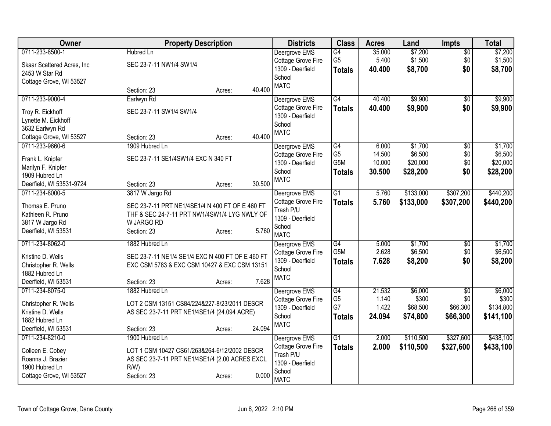| <b>Hubred Ln</b><br>Deergrove EMS<br>G4<br>$\overline{50}$<br>\$1,500<br>G <sub>5</sub><br>5.400<br>\$1,500<br>Cottage Grove Fire<br>\$0<br>SEC 23-7-11 NW1/4 SW1/4<br>Skaar Scattered Acres, Inc<br>1309 - Deerfield<br>\$0<br>\$8,700<br>\$8,700<br>40.400<br><b>Totals</b><br>2453 W Star Rd<br>School<br>Cottage Grove, WI 53527<br><b>MATC</b><br>40.400<br>Section: 23<br>Acres:<br>0711-233-9000-4<br>\$9,900<br>Earlwyn Rd<br>$\overline{G4}$<br>40.400<br>Deergrove EMS<br>$\sqrt{6}$<br>\$0<br>Cottage Grove Fire<br>40.400<br>\$9,900<br>\$9,900<br><b>Totals</b><br>SEC 23-7-11 SW1/4 SW1/4<br>Troy R. Eickhoff<br>1309 - Deerfield<br>Lynette M. Eickhoff<br>School<br>3632 Earlwyn Rd<br><b>MATC</b><br>40.400<br>Cottage Grove, WI 53527<br>Section: 23<br>Acres:<br>\$1,700<br>0711-233-9660-6<br>1909 Hubred Ln<br>G4<br>6.000<br>$\overline{50}$<br>Deergrove EMS<br>G <sub>5</sub><br>14.500<br>\$6,500<br>\$0<br>Cottage Grove Fire<br>SEC 23-7-11 SE1/4SW1/4 EXC N 340 FT<br>Frank L. Knipfer<br>G5M<br>10.000<br>\$20,000<br>\$0<br>1309 - Deerfield<br>Marilyn F. Knipfer<br>School<br>\$0<br>\$28,200<br>30.500<br><b>Totals</b><br>1909 Hubred Ln<br><b>MATC</b><br>30.500<br>Deerfield, WI 53531-9724<br>Section: 23<br>Acres:<br>$\overline{G1}$<br>\$133,000<br>\$307,200<br>0711-234-8000-5<br>3817 W Jargo Rd<br>5.760<br>Deergrove EMS<br>Cottage Grove Fire<br>5.760<br>\$133,000<br>\$307,200<br><b>Totals</b><br>SEC 23-7-11 PRT NE1/4SE1/4 N 400 FT OF E 460 FT<br>Thomas E. Pruno<br>Trash P/U<br>THF & SEC 24-7-11 PRT NW1/4SW1/4 LYG NWLY OF<br>Kathleen R. Pruno<br>1309 - Deerfield<br>3817 W Jargo Rd<br>W JARGO RD<br>School<br>5.760<br>Deerfield, WI 53531<br>Section: 23<br>Acres:<br><b>MATC</b><br>0711-234-8062-0<br>G4<br>5.000<br>\$1,700<br>1882 Hubred Ln<br>Deergrove EMS<br>$\overline{50}$<br>G5M<br>2.628<br>\$6,500<br>\$0<br>Cottage Grove Fire<br>SEC 23-7-11 NE1/4 SE1/4 EXC N 400 FT OF E 460 FT<br>Kristine D. Wells<br>1309 - Deerfield<br>\$0<br>7.628<br>\$8,200<br>\$8,200<br><b>Totals</b><br>EXC CSM 5783 & EXC CSM 10427 & EXC CSM 13151<br>Christopher R. Wells<br>School<br>1882 Hubred Ln<br><b>MATC</b><br>7.628<br>Deerfield, WI 53531<br>Section: 23<br>Acres:<br>G4<br>21.532<br>\$6,000<br>0711-234-8075-0<br>1882 Hubred Ln<br>Deergrove EMS<br>$\overline{50}$<br>G <sub>5</sub><br>1.140<br>\$300<br>\$0<br>Cottage Grove Fire<br>LOT 2 CSM 13151 CS84/224&227-8/23/2011 DESCR<br>Christopher R. Wells<br>G7<br>\$66,300<br>1.422<br>\$68,500<br>1309 - Deerfield<br>Kristine D. Wells<br>AS SEC 23-7-11 PRT NE1/4SE1/4 (24.094 ACRE)<br>School<br>24.094<br>\$74,800<br>\$66,300<br>\$141,100<br><b>Totals</b><br>1882 Hubred Ln<br><b>MATC</b><br>24.094<br>Section: 23<br>Deerfield, WI 53531<br>Acres:<br>$\overline{G1}$<br>\$110,500<br>\$327,600<br>0711-234-8210-0<br>1900 Hubred Ln<br>Deergrove EMS<br>2.000<br>Cottage Grove Fire<br>2.000<br>\$110,500<br>\$327,600<br><b>Totals</b><br>Colleen E. Cobey<br>LOT 1 CSM 10427 CS61/263&264-6/12/2002 DESCR<br>Trash P/U<br>Roanna J. Brazier<br>AS SEC 23-7-11 PRT NE1/4SE1/4 (2.00 ACRES EXCL<br>1309 - Deerfield<br>1900 Hubred Ln<br>R/W<br>School<br>0.000<br>Cottage Grove, WI 53527<br>Section: 23<br>Acres: | Owner           | <b>Property Description</b> | <b>Districts</b> | <b>Class</b> | <b>Acres</b> | Land    | <b>Impts</b> | <b>Total</b> |
|--------------------------------------------------------------------------------------------------------------------------------------------------------------------------------------------------------------------------------------------------------------------------------------------------------------------------------------------------------------------------------------------------------------------------------------------------------------------------------------------------------------------------------------------------------------------------------------------------------------------------------------------------------------------------------------------------------------------------------------------------------------------------------------------------------------------------------------------------------------------------------------------------------------------------------------------------------------------------------------------------------------------------------------------------------------------------------------------------------------------------------------------------------------------------------------------------------------------------------------------------------------------------------------------------------------------------------------------------------------------------------------------------------------------------------------------------------------------------------------------------------------------------------------------------------------------------------------------------------------------------------------------------------------------------------------------------------------------------------------------------------------------------------------------------------------------------------------------------------------------------------------------------------------------------------------------------------------------------------------------------------------------------------------------------------------------------------------------------------------------------------------------------------------------------------------------------------------------------------------------------------------------------------------------------------------------------------------------------------------------------------------------------------------------------------------------------------------------------------------------------------------------------------------------------------------------------------------------------------------------------------------------------------------------------------------------------------------------------------------------------------------------------------------------------------------------------------------------------------------------------------------------------------------------------------------------------------------------------------------------------------------------------------------------------------------------------------------------------------------------------------------------------------------------------------------------------------------------------------------------------------------|-----------------|-----------------------------|------------------|--------------|--------------|---------|--------------|--------------|
|                                                                                                                                                                                                                                                                                                                                                                                                                                                                                                                                                                                                                                                                                                                                                                                                                                                                                                                                                                                                                                                                                                                                                                                                                                                                                                                                                                                                                                                                                                                                                                                                                                                                                                                                                                                                                                                                                                                                                                                                                                                                                                                                                                                                                                                                                                                                                                                                                                                                                                                                                                                                                                                                                                                                                                                                                                                                                                                                                                                                                                                                                                                                                                                                                                                              | 0711-233-8500-1 |                             |                  |              | 35.000       | \$7,200 |              | \$7,200      |
|                                                                                                                                                                                                                                                                                                                                                                                                                                                                                                                                                                                                                                                                                                                                                                                                                                                                                                                                                                                                                                                                                                                                                                                                                                                                                                                                                                                                                                                                                                                                                                                                                                                                                                                                                                                                                                                                                                                                                                                                                                                                                                                                                                                                                                                                                                                                                                                                                                                                                                                                                                                                                                                                                                                                                                                                                                                                                                                                                                                                                                                                                                                                                                                                                                                              |                 |                             |                  |              |              |         |              |              |
| \$9,900<br>\$1,700<br>\$6,500<br>\$20,000<br>\$28,200<br>\$440,200<br>\$440,200<br>\$1,700<br>\$6,500<br>\$6,000<br>\$300<br>\$134,800<br>\$438,100<br>\$438,100                                                                                                                                                                                                                                                                                                                                                                                                                                                                                                                                                                                                                                                                                                                                                                                                                                                                                                                                                                                                                                                                                                                                                                                                                                                                                                                                                                                                                                                                                                                                                                                                                                                                                                                                                                                                                                                                                                                                                                                                                                                                                                                                                                                                                                                                                                                                                                                                                                                                                                                                                                                                                                                                                                                                                                                                                                                                                                                                                                                                                                                                                             |                 |                             |                  |              |              |         |              |              |
|                                                                                                                                                                                                                                                                                                                                                                                                                                                                                                                                                                                                                                                                                                                                                                                                                                                                                                                                                                                                                                                                                                                                                                                                                                                                                                                                                                                                                                                                                                                                                                                                                                                                                                                                                                                                                                                                                                                                                                                                                                                                                                                                                                                                                                                                                                                                                                                                                                                                                                                                                                                                                                                                                                                                                                                                                                                                                                                                                                                                                                                                                                                                                                                                                                                              |                 |                             |                  |              |              |         |              |              |
|                                                                                                                                                                                                                                                                                                                                                                                                                                                                                                                                                                                                                                                                                                                                                                                                                                                                                                                                                                                                                                                                                                                                                                                                                                                                                                                                                                                                                                                                                                                                                                                                                                                                                                                                                                                                                                                                                                                                                                                                                                                                                                                                                                                                                                                                                                                                                                                                                                                                                                                                                                                                                                                                                                                                                                                                                                                                                                                                                                                                                                                                                                                                                                                                                                                              |                 |                             |                  |              |              |         |              |              |
|                                                                                                                                                                                                                                                                                                                                                                                                                                                                                                                                                                                                                                                                                                                                                                                                                                                                                                                                                                                                                                                                                                                                                                                                                                                                                                                                                                                                                                                                                                                                                                                                                                                                                                                                                                                                                                                                                                                                                                                                                                                                                                                                                                                                                                                                                                                                                                                                                                                                                                                                                                                                                                                                                                                                                                                                                                                                                                                                                                                                                                                                                                                                                                                                                                                              |                 |                             |                  |              |              |         |              |              |
|                                                                                                                                                                                                                                                                                                                                                                                                                                                                                                                                                                                                                                                                                                                                                                                                                                                                                                                                                                                                                                                                                                                                                                                                                                                                                                                                                                                                                                                                                                                                                                                                                                                                                                                                                                                                                                                                                                                                                                                                                                                                                                                                                                                                                                                                                                                                                                                                                                                                                                                                                                                                                                                                                                                                                                                                                                                                                                                                                                                                                                                                                                                                                                                                                                                              |                 |                             |                  |              |              |         |              |              |
|                                                                                                                                                                                                                                                                                                                                                                                                                                                                                                                                                                                                                                                                                                                                                                                                                                                                                                                                                                                                                                                                                                                                                                                                                                                                                                                                                                                                                                                                                                                                                                                                                                                                                                                                                                                                                                                                                                                                                                                                                                                                                                                                                                                                                                                                                                                                                                                                                                                                                                                                                                                                                                                                                                                                                                                                                                                                                                                                                                                                                                                                                                                                                                                                                                                              |                 |                             |                  |              |              |         |              |              |
|                                                                                                                                                                                                                                                                                                                                                                                                                                                                                                                                                                                                                                                                                                                                                                                                                                                                                                                                                                                                                                                                                                                                                                                                                                                                                                                                                                                                                                                                                                                                                                                                                                                                                                                                                                                                                                                                                                                                                                                                                                                                                                                                                                                                                                                                                                                                                                                                                                                                                                                                                                                                                                                                                                                                                                                                                                                                                                                                                                                                                                                                                                                                                                                                                                                              |                 |                             |                  |              |              |         |              |              |
|                                                                                                                                                                                                                                                                                                                                                                                                                                                                                                                                                                                                                                                                                                                                                                                                                                                                                                                                                                                                                                                                                                                                                                                                                                                                                                                                                                                                                                                                                                                                                                                                                                                                                                                                                                                                                                                                                                                                                                                                                                                                                                                                                                                                                                                                                                                                                                                                                                                                                                                                                                                                                                                                                                                                                                                                                                                                                                                                                                                                                                                                                                                                                                                                                                                              |                 |                             |                  |              |              |         |              |              |
|                                                                                                                                                                                                                                                                                                                                                                                                                                                                                                                                                                                                                                                                                                                                                                                                                                                                                                                                                                                                                                                                                                                                                                                                                                                                                                                                                                                                                                                                                                                                                                                                                                                                                                                                                                                                                                                                                                                                                                                                                                                                                                                                                                                                                                                                                                                                                                                                                                                                                                                                                                                                                                                                                                                                                                                                                                                                                                                                                                                                                                                                                                                                                                                                                                                              |                 |                             |                  |              |              |         |              |              |
|                                                                                                                                                                                                                                                                                                                                                                                                                                                                                                                                                                                                                                                                                                                                                                                                                                                                                                                                                                                                                                                                                                                                                                                                                                                                                                                                                                                                                                                                                                                                                                                                                                                                                                                                                                                                                                                                                                                                                                                                                                                                                                                                                                                                                                                                                                                                                                                                                                                                                                                                                                                                                                                                                                                                                                                                                                                                                                                                                                                                                                                                                                                                                                                                                                                              |                 |                             |                  |              |              |         |              |              |
|                                                                                                                                                                                                                                                                                                                                                                                                                                                                                                                                                                                                                                                                                                                                                                                                                                                                                                                                                                                                                                                                                                                                                                                                                                                                                                                                                                                                                                                                                                                                                                                                                                                                                                                                                                                                                                                                                                                                                                                                                                                                                                                                                                                                                                                                                                                                                                                                                                                                                                                                                                                                                                                                                                                                                                                                                                                                                                                                                                                                                                                                                                                                                                                                                                                              |                 |                             |                  |              |              |         |              |              |
|                                                                                                                                                                                                                                                                                                                                                                                                                                                                                                                                                                                                                                                                                                                                                                                                                                                                                                                                                                                                                                                                                                                                                                                                                                                                                                                                                                                                                                                                                                                                                                                                                                                                                                                                                                                                                                                                                                                                                                                                                                                                                                                                                                                                                                                                                                                                                                                                                                                                                                                                                                                                                                                                                                                                                                                                                                                                                                                                                                                                                                                                                                                                                                                                                                                              |                 |                             |                  |              |              |         |              |              |
|                                                                                                                                                                                                                                                                                                                                                                                                                                                                                                                                                                                                                                                                                                                                                                                                                                                                                                                                                                                                                                                                                                                                                                                                                                                                                                                                                                                                                                                                                                                                                                                                                                                                                                                                                                                                                                                                                                                                                                                                                                                                                                                                                                                                                                                                                                                                                                                                                                                                                                                                                                                                                                                                                                                                                                                                                                                                                                                                                                                                                                                                                                                                                                                                                                                              |                 |                             |                  |              |              |         |              |              |
|                                                                                                                                                                                                                                                                                                                                                                                                                                                                                                                                                                                                                                                                                                                                                                                                                                                                                                                                                                                                                                                                                                                                                                                                                                                                                                                                                                                                                                                                                                                                                                                                                                                                                                                                                                                                                                                                                                                                                                                                                                                                                                                                                                                                                                                                                                                                                                                                                                                                                                                                                                                                                                                                                                                                                                                                                                                                                                                                                                                                                                                                                                                                                                                                                                                              |                 |                             |                  |              |              |         |              |              |
|                                                                                                                                                                                                                                                                                                                                                                                                                                                                                                                                                                                                                                                                                                                                                                                                                                                                                                                                                                                                                                                                                                                                                                                                                                                                                                                                                                                                                                                                                                                                                                                                                                                                                                                                                                                                                                                                                                                                                                                                                                                                                                                                                                                                                                                                                                                                                                                                                                                                                                                                                                                                                                                                                                                                                                                                                                                                                                                                                                                                                                                                                                                                                                                                                                                              |                 |                             |                  |              |              |         |              |              |
|                                                                                                                                                                                                                                                                                                                                                                                                                                                                                                                                                                                                                                                                                                                                                                                                                                                                                                                                                                                                                                                                                                                                                                                                                                                                                                                                                                                                                                                                                                                                                                                                                                                                                                                                                                                                                                                                                                                                                                                                                                                                                                                                                                                                                                                                                                                                                                                                                                                                                                                                                                                                                                                                                                                                                                                                                                                                                                                                                                                                                                                                                                                                                                                                                                                              |                 |                             |                  |              |              |         |              |              |
|                                                                                                                                                                                                                                                                                                                                                                                                                                                                                                                                                                                                                                                                                                                                                                                                                                                                                                                                                                                                                                                                                                                                                                                                                                                                                                                                                                                                                                                                                                                                                                                                                                                                                                                                                                                                                                                                                                                                                                                                                                                                                                                                                                                                                                                                                                                                                                                                                                                                                                                                                                                                                                                                                                                                                                                                                                                                                                                                                                                                                                                                                                                                                                                                                                                              |                 |                             |                  |              |              |         |              |              |
|                                                                                                                                                                                                                                                                                                                                                                                                                                                                                                                                                                                                                                                                                                                                                                                                                                                                                                                                                                                                                                                                                                                                                                                                                                                                                                                                                                                                                                                                                                                                                                                                                                                                                                                                                                                                                                                                                                                                                                                                                                                                                                                                                                                                                                                                                                                                                                                                                                                                                                                                                                                                                                                                                                                                                                                                                                                                                                                                                                                                                                                                                                                                                                                                                                                              |                 |                             |                  |              |              |         |              |              |
|                                                                                                                                                                                                                                                                                                                                                                                                                                                                                                                                                                                                                                                                                                                                                                                                                                                                                                                                                                                                                                                                                                                                                                                                                                                                                                                                                                                                                                                                                                                                                                                                                                                                                                                                                                                                                                                                                                                                                                                                                                                                                                                                                                                                                                                                                                                                                                                                                                                                                                                                                                                                                                                                                                                                                                                                                                                                                                                                                                                                                                                                                                                                                                                                                                                              |                 |                             |                  |              |              |         |              |              |
|                                                                                                                                                                                                                                                                                                                                                                                                                                                                                                                                                                                                                                                                                                                                                                                                                                                                                                                                                                                                                                                                                                                                                                                                                                                                                                                                                                                                                                                                                                                                                                                                                                                                                                                                                                                                                                                                                                                                                                                                                                                                                                                                                                                                                                                                                                                                                                                                                                                                                                                                                                                                                                                                                                                                                                                                                                                                                                                                                                                                                                                                                                                                                                                                                                                              |                 |                             |                  |              |              |         |              |              |
|                                                                                                                                                                                                                                                                                                                                                                                                                                                                                                                                                                                                                                                                                                                                                                                                                                                                                                                                                                                                                                                                                                                                                                                                                                                                                                                                                                                                                                                                                                                                                                                                                                                                                                                                                                                                                                                                                                                                                                                                                                                                                                                                                                                                                                                                                                                                                                                                                                                                                                                                                                                                                                                                                                                                                                                                                                                                                                                                                                                                                                                                                                                                                                                                                                                              |                 |                             |                  |              |              |         |              |              |
|                                                                                                                                                                                                                                                                                                                                                                                                                                                                                                                                                                                                                                                                                                                                                                                                                                                                                                                                                                                                                                                                                                                                                                                                                                                                                                                                                                                                                                                                                                                                                                                                                                                                                                                                                                                                                                                                                                                                                                                                                                                                                                                                                                                                                                                                                                                                                                                                                                                                                                                                                                                                                                                                                                                                                                                                                                                                                                                                                                                                                                                                                                                                                                                                                                                              |                 |                             |                  |              |              |         |              |              |
|                                                                                                                                                                                                                                                                                                                                                                                                                                                                                                                                                                                                                                                                                                                                                                                                                                                                                                                                                                                                                                                                                                                                                                                                                                                                                                                                                                                                                                                                                                                                                                                                                                                                                                                                                                                                                                                                                                                                                                                                                                                                                                                                                                                                                                                                                                                                                                                                                                                                                                                                                                                                                                                                                                                                                                                                                                                                                                                                                                                                                                                                                                                                                                                                                                                              |                 |                             |                  |              |              |         |              |              |
|                                                                                                                                                                                                                                                                                                                                                                                                                                                                                                                                                                                                                                                                                                                                                                                                                                                                                                                                                                                                                                                                                                                                                                                                                                                                                                                                                                                                                                                                                                                                                                                                                                                                                                                                                                                                                                                                                                                                                                                                                                                                                                                                                                                                                                                                                                                                                                                                                                                                                                                                                                                                                                                                                                                                                                                                                                                                                                                                                                                                                                                                                                                                                                                                                                                              |                 |                             |                  |              |              |         |              |              |
|                                                                                                                                                                                                                                                                                                                                                                                                                                                                                                                                                                                                                                                                                                                                                                                                                                                                                                                                                                                                                                                                                                                                                                                                                                                                                                                                                                                                                                                                                                                                                                                                                                                                                                                                                                                                                                                                                                                                                                                                                                                                                                                                                                                                                                                                                                                                                                                                                                                                                                                                                                                                                                                                                                                                                                                                                                                                                                                                                                                                                                                                                                                                                                                                                                                              |                 |                             |                  |              |              |         |              |              |
|                                                                                                                                                                                                                                                                                                                                                                                                                                                                                                                                                                                                                                                                                                                                                                                                                                                                                                                                                                                                                                                                                                                                                                                                                                                                                                                                                                                                                                                                                                                                                                                                                                                                                                                                                                                                                                                                                                                                                                                                                                                                                                                                                                                                                                                                                                                                                                                                                                                                                                                                                                                                                                                                                                                                                                                                                                                                                                                                                                                                                                                                                                                                                                                                                                                              |                 |                             |                  |              |              |         |              |              |
|                                                                                                                                                                                                                                                                                                                                                                                                                                                                                                                                                                                                                                                                                                                                                                                                                                                                                                                                                                                                                                                                                                                                                                                                                                                                                                                                                                                                                                                                                                                                                                                                                                                                                                                                                                                                                                                                                                                                                                                                                                                                                                                                                                                                                                                                                                                                                                                                                                                                                                                                                                                                                                                                                                                                                                                                                                                                                                                                                                                                                                                                                                                                                                                                                                                              |                 |                             |                  |              |              |         |              |              |
|                                                                                                                                                                                                                                                                                                                                                                                                                                                                                                                                                                                                                                                                                                                                                                                                                                                                                                                                                                                                                                                                                                                                                                                                                                                                                                                                                                                                                                                                                                                                                                                                                                                                                                                                                                                                                                                                                                                                                                                                                                                                                                                                                                                                                                                                                                                                                                                                                                                                                                                                                                                                                                                                                                                                                                                                                                                                                                                                                                                                                                                                                                                                                                                                                                                              |                 |                             |                  |              |              |         |              |              |
|                                                                                                                                                                                                                                                                                                                                                                                                                                                                                                                                                                                                                                                                                                                                                                                                                                                                                                                                                                                                                                                                                                                                                                                                                                                                                                                                                                                                                                                                                                                                                                                                                                                                                                                                                                                                                                                                                                                                                                                                                                                                                                                                                                                                                                                                                                                                                                                                                                                                                                                                                                                                                                                                                                                                                                                                                                                                                                                                                                                                                                                                                                                                                                                                                                                              |                 |                             |                  |              |              |         |              |              |
|                                                                                                                                                                                                                                                                                                                                                                                                                                                                                                                                                                                                                                                                                                                                                                                                                                                                                                                                                                                                                                                                                                                                                                                                                                                                                                                                                                                                                                                                                                                                                                                                                                                                                                                                                                                                                                                                                                                                                                                                                                                                                                                                                                                                                                                                                                                                                                                                                                                                                                                                                                                                                                                                                                                                                                                                                                                                                                                                                                                                                                                                                                                                                                                                                                                              |                 |                             |                  |              |              |         |              |              |
|                                                                                                                                                                                                                                                                                                                                                                                                                                                                                                                                                                                                                                                                                                                                                                                                                                                                                                                                                                                                                                                                                                                                                                                                                                                                                                                                                                                                                                                                                                                                                                                                                                                                                                                                                                                                                                                                                                                                                                                                                                                                                                                                                                                                                                                                                                                                                                                                                                                                                                                                                                                                                                                                                                                                                                                                                                                                                                                                                                                                                                                                                                                                                                                                                                                              |                 |                             |                  |              |              |         |              |              |
|                                                                                                                                                                                                                                                                                                                                                                                                                                                                                                                                                                                                                                                                                                                                                                                                                                                                                                                                                                                                                                                                                                                                                                                                                                                                                                                                                                                                                                                                                                                                                                                                                                                                                                                                                                                                                                                                                                                                                                                                                                                                                                                                                                                                                                                                                                                                                                                                                                                                                                                                                                                                                                                                                                                                                                                                                                                                                                                                                                                                                                                                                                                                                                                                                                                              |                 |                             |                  |              |              |         |              |              |
|                                                                                                                                                                                                                                                                                                                                                                                                                                                                                                                                                                                                                                                                                                                                                                                                                                                                                                                                                                                                                                                                                                                                                                                                                                                                                                                                                                                                                                                                                                                                                                                                                                                                                                                                                                                                                                                                                                                                                                                                                                                                                                                                                                                                                                                                                                                                                                                                                                                                                                                                                                                                                                                                                                                                                                                                                                                                                                                                                                                                                                                                                                                                                                                                                                                              |                 |                             |                  |              |              |         |              |              |
|                                                                                                                                                                                                                                                                                                                                                                                                                                                                                                                                                                                                                                                                                                                                                                                                                                                                                                                                                                                                                                                                                                                                                                                                                                                                                                                                                                                                                                                                                                                                                                                                                                                                                                                                                                                                                                                                                                                                                                                                                                                                                                                                                                                                                                                                                                                                                                                                                                                                                                                                                                                                                                                                                                                                                                                                                                                                                                                                                                                                                                                                                                                                                                                                                                                              |                 |                             | <b>MATC</b>      |              |              |         |              |              |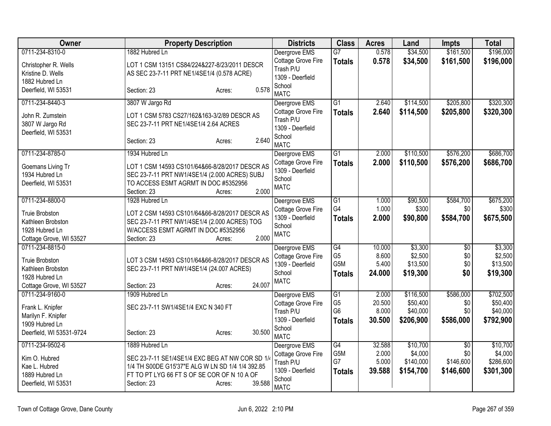| Owner                                                                                                   | <b>Property Description</b>                                                                                                                                                                 | <b>Districts</b>                                                                              | <b>Class</b>                                              | <b>Acres</b>                       | Land                                           | <b>Impts</b>                         | <b>Total</b>                                   |
|---------------------------------------------------------------------------------------------------------|---------------------------------------------------------------------------------------------------------------------------------------------------------------------------------------------|-----------------------------------------------------------------------------------------------|-----------------------------------------------------------|------------------------------------|------------------------------------------------|--------------------------------------|------------------------------------------------|
| 0711-234-8310-0                                                                                         | 1882 Hubred Ln                                                                                                                                                                              | Deergrove EMS                                                                                 | $\overline{G7}$                                           | 0.578                              | \$34,500                                       | \$161,500                            | \$196,000                                      |
| Christopher R. Wells<br>Kristine D. Wells<br>1882 Hubred Ln                                             | LOT 1 CSM 13151 CS84/224&227-8/23/2011 DESCR<br>AS SEC 23-7-11 PRT NE1/4SE1/4 (0.578 ACRE)                                                                                                  | Cottage Grove Fire<br>Trash P/U<br>1309 - Deerfield                                           | <b>Totals</b>                                             | 0.578                              | \$34,500                                       | \$161,500                            | \$196,000                                      |
| Deerfield, WI 53531                                                                                     | 0.578<br>Section: 23<br>Acres:                                                                                                                                                              | School<br><b>MATC</b>                                                                         |                                                           |                                    |                                                |                                      |                                                |
| 0711-234-8440-3                                                                                         | 3807 W Jargo Rd                                                                                                                                                                             | Deergrove EMS                                                                                 | $\overline{G1}$                                           | 2.640                              | \$114,500                                      | \$205,800                            | \$320,300                                      |
| John R. Zumstein<br>3807 W Jargo Rd<br>Deerfield, WI 53531                                              | LOT 1 CSM 5783 CS27/162&163-3/2/89 DESCR AS<br>SEC 23-7-11 PRT NE1/4SE1/4 2.64 ACRES<br>2.640<br>Section: 23<br>Acres:                                                                      | Cottage Grove Fire<br>Trash P/U<br>1309 - Deerfield<br>School                                 | <b>Totals</b>                                             | 2.640                              | \$114,500                                      | \$205,800                            | \$320,300                                      |
|                                                                                                         |                                                                                                                                                                                             | <b>MATC</b>                                                                                   |                                                           |                                    |                                                |                                      |                                                |
| 0711-234-8785-0<br>Goemans Living Tr<br>1934 Hubred Ln<br>Deerfield, WI 53531                           | 1934 Hubred Ln<br>LOT 1 CSM 14593 CS101/64&66-8/28/2017 DESCR AS<br>SEC 23-7-11 PRT NW1/4SE1/4 (2.000 ACRES) SUBJ<br>TO ACCESS ESMT AGRMT IN DOC #5352956<br>2.000<br>Section: 23<br>Acres: | Deergrove EMS<br>Cottage Grove Fire<br>1309 - Deerfield<br>School<br><b>MATC</b>              | $\overline{G1}$<br><b>Totals</b>                          | 2.000<br>2.000                     | \$110,500<br>\$110,500                         | \$576,200<br>\$576,200               | \$686,700<br>\$686,700                         |
| 0711-234-8800-0                                                                                         | 1928 Hubred Ln                                                                                                                                                                              | Deergrove EMS                                                                                 | $\overline{G1}$                                           | 1.000                              | \$90,500                                       | \$584,700                            | \$675,200                                      |
| <b>Truie Brobston</b><br>Kathleen Brobston<br>1928 Hubred Ln<br>Cottage Grove, WI 53527                 | LOT 2 CSM 14593 CS101/64&66-8/28/2017 DESCR AS<br>SEC 23-7-11 PRT NW1/4SE1/4 (2.000 ACRES) TOG<br>W/ACCESS ESMT AGRMT IN DOC #5352956<br>2.000<br>Section: 23<br>Acres:                     | Cottage Grove Fire<br>1309 - Deerfield<br>School<br><b>MATC</b>                               | G4<br><b>Totals</b>                                       | 1.000<br>2.000                     | \$300<br>\$90,800                              | \$0<br>\$584,700                     | \$300<br>\$675,500                             |
| 0711-234-8815-0<br>Truie Brobston<br>Kathleen Brobston<br>1928 Hubred Ln<br>Cottage Grove, WI 53527     | LOT 3 CSM 14593 CS101/64&66-8/28/2017 DESCR AS<br>SEC 23-7-11 PRT NW1/4SE1/4 (24.007 ACRES)<br>24.007<br>Section: 23<br>Acres:                                                              | Deergrove EMS<br>Cottage Grove Fire<br>1309 - Deerfield<br>School<br><b>MATC</b>              | $\overline{G4}$<br>G <sub>5</sub><br>G5M<br><b>Totals</b> | 10.000<br>8.600<br>5.400<br>24.000 | \$3,300<br>\$2,500<br>\$13,500<br>\$19,300     | $\overline{50}$<br>\$0<br>\$0<br>\$0 | \$3,300<br>\$2,500<br>\$13,500<br>\$19,300     |
| 0711-234-9160-0<br>Frank L. Knipfer<br>Marilyn F. Knipfer<br>1909 Hubred Ln<br>Deerfield, WI 53531-9724 | 1909 Hubred Ln<br>SEC 23-7-11 SW1/4SE1/4 EXC N 340 FT<br>30.500<br>Section: 23<br>Acres:                                                                                                    | Deergrove EMS<br>Cottage Grove Fire<br>Trash P/U<br>1309 - Deerfield<br>School<br><b>MATC</b> | G1<br>G <sub>5</sub><br>G <sub>6</sub><br><b>Totals</b>   | 2.000<br>20.500<br>8.000<br>30.500 | \$116,500<br>\$50,400<br>\$40,000<br>\$206,900 | \$586,000<br>\$0<br>\$0<br>\$586,000 | \$702,500<br>\$50,400<br>\$40,000<br>\$792,900 |
| 0711-234-9502-6                                                                                         | 1889 Hubred Ln                                                                                                                                                                              | Deergrove EMS                                                                                 | $\overline{G4}$                                           | 32.588                             | \$10,700                                       | $\overline{30}$                      | \$10,700                                       |
| Kim O. Hubred<br>Kae L. Hubred<br>1889 Hubred Ln<br>Deerfield, WI 53531                                 | SEC 23-7-11 SE1/4SE1/4 EXC BEG AT NW COR SD 1/4<br>1/4 TH S00DE G15'37"E ALG W LN SD 1/4 1/4 392.85<br>FT TO PT LYG 66 FT S OF SE COR OF N 10 A OF<br>39.588<br>Section: 23<br>Acres:       | Cottage Grove Fire<br>Trash P/U<br>1309 - Deerfield<br>School<br><b>MATC</b>                  | G5M<br>G7<br><b>Totals</b>                                | 2.000<br>5.000<br>39.588           | \$4,000<br>\$140,000<br>\$154,700              | \$0<br>\$146,600<br>\$146,600        | \$4,000<br>\$286,600<br>\$301,300              |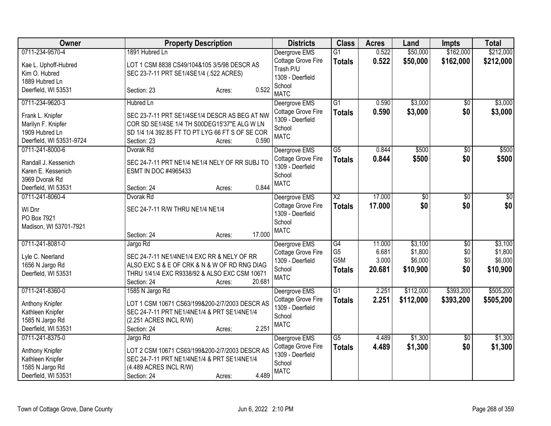| <b>Owner</b>                                                                                           | <b>Property Description</b>                                                                                                                                                                | <b>Districts</b>                                                                 | <b>Class</b>                                              | <b>Acres</b>                       | Land                                      | <b>Impts</b>             | <b>Total</b>                              |
|--------------------------------------------------------------------------------------------------------|--------------------------------------------------------------------------------------------------------------------------------------------------------------------------------------------|----------------------------------------------------------------------------------|-----------------------------------------------------------|------------------------------------|-------------------------------------------|--------------------------|-------------------------------------------|
| 0711-234-9570-4                                                                                        | 1891 Hubred Ln                                                                                                                                                                             | Deergrove EMS                                                                    | $\overline{G1}$                                           | 0.522                              | \$50,000                                  | \$162,000                | \$212,000                                 |
| Kae L. Uphoff-Hubred<br>Kim O. Hubred<br>1889 Hubred Ln                                                | LOT 1 CSM 8838 CS49/104&105 3/5/98 DESCR AS<br>SEC 23-7-11 PRT SE1/4SE1/4 (.522 ACRES)                                                                                                     | Cottage Grove Fire<br>Trash P/U<br>1309 - Deerfield                              | <b>Totals</b>                                             | 0.522                              | \$50,000                                  | \$162,000                | \$212,000                                 |
| Deerfield, WI 53531                                                                                    | 0.522<br>Section: 23<br>Acres:                                                                                                                                                             | School<br><b>MATC</b>                                                            |                                                           |                                    |                                           |                          |                                           |
| 0711-234-9620-3                                                                                        | <b>Hubred Ln</b>                                                                                                                                                                           | Deergrove EMS                                                                    | $\overline{G1}$                                           | 0.590                              | \$3,000                                   | \$0                      | \$3,000                                   |
| Frank L. Knipfer<br>Marilyn F. Knipfer<br>1909 Hubred Ln<br>Deerfield, WI 53531-9724                   | SEC 23-7-11 PRT SE1/4SE1/4 DESCR AS BEG AT NW<br>COR SD SE1/4SE 1/4 TH S00DEG15'37"E ALG W LN<br>SD 1/4 1/4 392.85 FT TO PT LYG 66 FT S OF SE COR<br>0.590<br>Section: 23<br>Acres:        | Cottage Grove Fire<br>1309 - Deerfield<br>School<br><b>MATC</b>                  | <b>Totals</b>                                             | 0.590                              | \$3,000                                   | \$0                      | \$3,000                                   |
| 0711-241-8000-6<br>Randall J. Kessenich<br>Karen E. Kessenich<br>3969 Dvorak Rd<br>Deerfield, WI 53531 | Dvorak Rd<br>SEC 24-7-11 PRT NE1/4 NE1/4 NELY OF RR SUBJ TO<br>ESMT IN DOC #4965433<br>0.844<br>Section: 24<br>Acres:                                                                      | Deergrove EMS<br>Cottage Grove Fire<br>1309 - Deerfield<br>School<br><b>MATC</b> | $\overline{G5}$<br><b>Totals</b>                          | 0.844<br>0.844                     | \$500<br>\$500                            | $\overline{50}$<br>\$0   | \$500<br>\$500                            |
| 0711-241-8060-4                                                                                        | Dvorak Rd                                                                                                                                                                                  | Deergrove EMS                                                                    | $\overline{X2}$                                           | 17.000                             | $\overline{50}$                           | $\overline{50}$          | \$0                                       |
| WI Dnr<br>PO Box 7921<br>Madison, WI 53701-7921                                                        | SEC 24-7-11 R/W THRU NE1/4 NE1/4<br>17.000<br>Section: 24<br>Acres:                                                                                                                        | Cottage Grove Fire<br>1309 - Deerfield<br>School<br><b>MATC</b>                  | <b>Totals</b>                                             | 17,000                             | \$0                                       | \$0                      | \$0                                       |
| 0711-241-8081-0<br>Lyle C. Neerland<br>1656 N Jargo Rd<br>Deerfield, WI 53531                          | Jargo Rd<br>SEC 24-7-11 NE1/4NE1/4 EXC RR & NELY OF RR<br>ALSO EXC S & E OF CRK & N & W OF RD RNG DIAG<br>THRU 1/41/4 EXC R9338/92 & ALSO EXC CSM 10671<br>20.681<br>Section: 24<br>Acres: | Deergrove EMS<br>Cottage Grove Fire<br>1309 - Deerfield<br>School<br><b>MATC</b> | G4<br>G <sub>5</sub><br>G <sub>5</sub> M<br><b>Totals</b> | 11.000<br>6.681<br>3.000<br>20.681 | \$3,100<br>\$1,800<br>\$6,000<br>\$10,900 | \$0<br>\$0<br>\$0<br>\$0 | \$3,100<br>\$1,800<br>\$6,000<br>\$10,900 |
| 0711-241-8360-0<br>Anthony Knipfer<br>Kathleen Knipfer<br>1585 N Jargo Rd<br>Deerfield, WI 53531       | 1585 N Jargo Rd<br>LOT 1 CSM 10671 CS63/199&200-2/7/2003 DESCR AS<br>SEC 24-7-11 PRT NE1/4NE1/4 & PRT SE1/4NE1/4<br>(2.251 ACRES INCL R/W)<br>2.251<br>Section: 24<br>Acres:               | Deergrove EMS<br>Cottage Grove Fire<br>1309 - Deerfield<br>School<br><b>MATC</b> | $\overline{G1}$<br><b>Totals</b>                          | 2.251<br>2.251                     | \$112,000<br>\$112,000                    | \$393,200<br>\$393,200   | \$505,200<br>\$505,200                    |
| 0711-241-8375-0<br>Anthony Knipfer<br>Kathleen Knipfer<br>1585 N Jargo Rd<br>Deerfield, WI 53531       | Jargo Rd<br>LOT 2 CSM 10671 CS63/199&200-2/7/2003 DESCR AS<br>SEC 24-7-11 PRT NE1/4NE1/4 & PRT SE1/4NE1/4<br>(4.489 ACRES INCL R/W)<br>4.489<br>Section: 24<br>Acres:                      | Deergrove EMS<br>Cottage Grove Fire<br>1309 - Deerfield<br>School<br><b>MATC</b> | $\overline{G5}$<br><b>Totals</b>                          | 4.489<br>4.489                     | \$1,300<br>\$1,300                        | \$0<br>\$0               | \$1,300<br>\$1,300                        |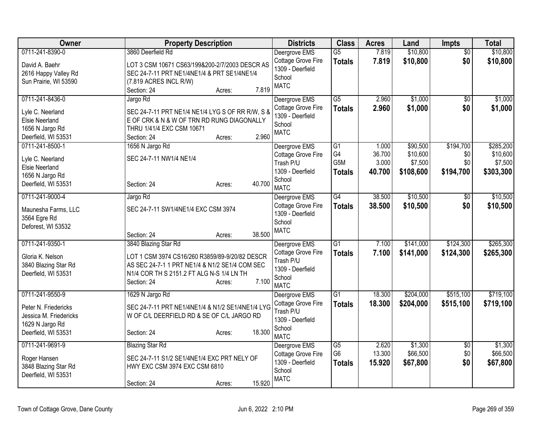| Owner                                    | <b>Property Description</b>                                                                      | <b>Districts</b>                    | <b>Class</b>     | <b>Acres</b> | Land      | Impts           | <b>Total</b> |
|------------------------------------------|--------------------------------------------------------------------------------------------------|-------------------------------------|------------------|--------------|-----------|-----------------|--------------|
| 0711-241-8390-0                          | 3860 Deerfield Rd                                                                                | Deergrove EMS                       | $\overline{G5}$  | 7.819        | \$10,800  | $\overline{50}$ | \$10,800     |
| David A. Baehr                           | LOT 3 CSM 10671 CS63/199&200-2/7/2003 DESCR AS                                                   | Cottage Grove Fire                  | <b>Totals</b>    | 7.819        | \$10,800  | \$0             | \$10,800     |
| 2616 Happy Valley Rd                     | SEC 24-7-11 PRT NE1/4NE1/4 & PRT SE1/4NE1/4                                                      | 1309 - Deerfield                    |                  |              |           |                 |              |
| Sun Prairie, WI 53590                    | (7.819 ACRES INCL R/W)                                                                           | School                              |                  |              |           |                 |              |
|                                          | 7.819<br>Section: 24<br>Acres:                                                                   | <b>MATC</b>                         |                  |              |           |                 |              |
| 0711-241-8436-0                          | Jargo Rd                                                                                         | Deergrove EMS                       | $\overline{G5}$  | 2.960        | \$1,000   | \$0             | \$1,000      |
| Lyle C. Neerland                         | SEC 24-7-11 PRT NE1/4 NE1/4 LYG S OF RR R/W, S &                                                 | Cottage Grove Fire                  | <b>Totals</b>    | 2.960        | \$1,000   | \$0             | \$1,000      |
| <b>Elsie Neerland</b>                    | E OF CRK & N & W OF TRN RD RUNG DIAGONALLY                                                       | 1309 - Deerfield                    |                  |              |           |                 |              |
| 1656 N Jargo Rd                          | THRU 1/41/4 EXC CSM 10671                                                                        | School                              |                  |              |           |                 |              |
| Deerfield, WI 53531                      | 2.960<br>Section: 24<br>Acres:                                                                   | <b>MATC</b>                         |                  |              |           |                 |              |
| 0711-241-8500-1                          | 1656 N Jargo Rd                                                                                  | Deergrove EMS                       | G1               | 1.000        | \$90,500  | \$194,700       | \$285,200    |
|                                          |                                                                                                  | Cottage Grove Fire                  | G4               | 36.700       | \$10,600  | \$0             | \$10,600     |
| Lyle C. Neerland                         | SEC 24-7-11 NW1/4 NE1/4                                                                          | Trash P/U                           | G <sub>5</sub> M | 3.000        | \$7,500   | \$0             | \$7,500      |
| <b>Elsie Neerland</b>                    |                                                                                                  | 1309 - Deerfield                    | <b>Totals</b>    | 40.700       | \$108,600 | \$194,700       | \$303,300    |
| 1656 N Jargo Rd                          | 40.700<br>Section: 24                                                                            | School                              |                  |              |           |                 |              |
| Deerfield, WI 53531                      | Acres:                                                                                           | <b>MATC</b>                         |                  |              |           |                 |              |
| 0711-241-9000-4                          | Jargo Rd                                                                                         | Deergrove EMS                       | G4               | 38.500       | \$10,500  | $\overline{30}$ | \$10,500     |
| Maunesha Farms, LLC                      | SEC 24-7-11 SW1/4NE1/4 EXC CSM 3974                                                              | Cottage Grove Fire                  | <b>Totals</b>    | 38.500       | \$10,500  | \$0             | \$10,500     |
| 3564 Egre Rd                             |                                                                                                  | 1309 - Deerfield                    |                  |              |           |                 |              |
| Deforest, WI 53532                       |                                                                                                  | School                              |                  |              |           |                 |              |
|                                          | 38.500<br>Section: 24<br>Acres:                                                                  | <b>MATC</b>                         |                  |              |           |                 |              |
| 0711-241-9350-1                          | 3840 Blazing Star Rd                                                                             | Deergrove EMS                       | $\overline{G1}$  | 7.100        | \$141,000 | \$124,300       | \$265,300    |
|                                          |                                                                                                  | Cottage Grove Fire                  | <b>Totals</b>    | 7.100        | \$141,000 | \$124,300       | \$265,300    |
| Gloria K. Nelson<br>3840 Blazing Star Rd | LOT 1 CSM 3974 CS16/260 R3859/89-9/20/82 DESCR<br>AS SEC 24-7-1 1 PRT NE1/4 & N1/2 SE1/4 COM SEC | Trash P/U                           |                  |              |           |                 |              |
| Deerfield, WI 53531                      | N1/4 COR TH S 2151.2 FT ALG N-S 1/4 LN TH                                                        | 1309 - Deerfield                    |                  |              |           |                 |              |
|                                          | 7.100<br>Section: 24<br>Acres:                                                                   | School                              |                  |              |           |                 |              |
|                                          |                                                                                                  | <b>MATC</b>                         |                  |              |           |                 |              |
| 0711-241-9550-9                          | 1629 N Jargo Rd                                                                                  | Deergrove EMS                       | $\overline{G1}$  | 18.300       | \$204,000 | \$515,100       | \$719,100    |
| Peter N. Friedericks                     | SEC 24-7-11 PRT NE1/4NE1/4 & N1/2 SE1/4NE1/4 LYG                                                 | Cottage Grove Fire                  | <b>Totals</b>    | 18.300       | \$204,000 | \$515,100       | \$719,100    |
| Jessica M. Friedericks                   | W OF C/L DEERFIELD RD & SE OF C/L JARGO RD                                                       | Trash P/U                           |                  |              |           |                 |              |
| 1629 N Jargo Rd                          |                                                                                                  | 1309 - Deerfield                    |                  |              |           |                 |              |
| Deerfield, WI 53531                      | 18.300<br>Section: 24<br>Acres:                                                                  | School                              |                  |              |           |                 |              |
| 0711-241-9691-9                          |                                                                                                  | <b>MATC</b>                         | $\overline{G5}$  | 2.620        | \$1,300   |                 | \$1,300      |
|                                          | <b>Blazing Star Rd</b>                                                                           | Deergrove EMS<br>Cottage Grove Fire | G <sub>6</sub>   | 13.300       | \$66,500  | \$0<br>\$0      | \$66,500     |
| Roger Hansen                             | SEC 24-7-11 S1/2 SE1/4NE1/4 EXC PRT NELY OF                                                      | 1309 - Deerfield                    |                  | 15.920       | \$67,800  | \$0             |              |
| 3848 Blazing Star Rd                     | HWY EXC CSM 3974 EXC CSM 6810                                                                    | School                              | <b>Totals</b>    |              |           |                 | \$67,800     |
| Deerfield, WI 53531                      |                                                                                                  | <b>MATC</b>                         |                  |              |           |                 |              |
|                                          | 15.920<br>Section: 24<br>Acres:                                                                  |                                     |                  |              |           |                 |              |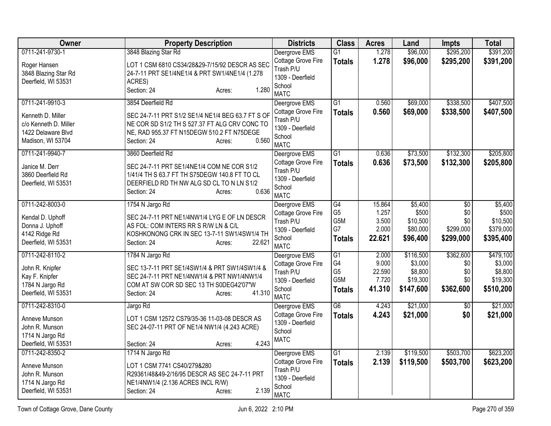| <b>Owner</b>          | <b>Property Description</b>                       | <b>Districts</b>           | <b>Class</b>    | <b>Acres</b> | Land      | Impts           | <b>Total</b> |
|-----------------------|---------------------------------------------------|----------------------------|-----------------|--------------|-----------|-----------------|--------------|
| 0711-241-9730-1       | 3848 Blazing Star Rd                              | Deergrove EMS              | $\overline{G1}$ | 1.278        | \$96,000  | \$295,200       | \$391,200    |
| Roger Hansen          | LOT 1 CSM 6810 CS34/28&29-7/15/92 DESCR AS SEC    | Cottage Grove Fire         | <b>Totals</b>   | 1.278        | \$96,000  | \$295,200       | \$391,200    |
| 3848 Blazing Star Rd  | 24-7-11 PRT SE1/4NE1/4 & PRT SW1/4NE1/4 (1.278    | Trash P/U                  |                 |              |           |                 |              |
| Deerfield, WI 53531   | ACRES)                                            | 1309 - Deerfield<br>School |                 |              |           |                 |              |
|                       | 1.280<br>Section: 24<br>Acres:                    | <b>MATC</b>                |                 |              |           |                 |              |
| 0711-241-9910-3       | 3854 Deerfield Rd                                 | Deergrove EMS              | $\overline{G1}$ | 0.560        | \$69,000  | \$338,500       | \$407,500    |
| Kenneth D. Miller     | SEC 24-7-11 PRT S1/2 SE1/4 NE1/4 BEG 63.7 FT S OF | Cottage Grove Fire         | <b>Totals</b>   | 0.560        | \$69,000  | \$338,500       | \$407,500    |
| c/o Kenneth D. Miller | NE COR SD S1/2 TH S 527.37 FT ALG CRV CONC TO     | Trash P/U                  |                 |              |           |                 |              |
| 1422 Delaware Blvd    | NE, RAD 955.37 FT N15DEGW 510.2 FT N75DEGE        | 1309 - Deerfield<br>School |                 |              |           |                 |              |
| Madison, WI 53704     | 0.560<br>Section: 24<br>Acres:                    | <b>MATC</b>                |                 |              |           |                 |              |
| 0711-241-9940-7       | 3860 Deerfield Rd                                 | Deergrove EMS              | $\overline{G1}$ | 0.636        | \$73,500  | \$132,300       | \$205,800    |
| Janice M. Derr        | SEC 24-7-11 PRT SE1/4NE1/4 COM NE COR S1/2        | Cottage Grove Fire         | <b>Totals</b>   | 0.636        | \$73,500  | \$132,300       | \$205,800    |
| 3860 Deerfield Rd     | 1/41/4 TH S 63.7 FT TH S75DEGW 140.8 FT TO CL     | Trash P/U                  |                 |              |           |                 |              |
| Deerfield, WI 53531   | DEERFIELD RD TH NW ALG SD CL TO N LN S1/2         | 1309 - Deerfield           |                 |              |           |                 |              |
|                       | 0.636<br>Section: 24<br>Acres:                    | School<br><b>MATC</b>      |                 |              |           |                 |              |
| 0711-242-8003-0       | 1754 N Jargo Rd                                   | Deergrove EMS              | G4              | 15.864       | \$5,400   | $\overline{50}$ | \$5,400      |
| Kendal D. Uphoff      | SEC 24-7-11 PRT NE1/4NW1/4 LYG E OF LN DESCR      | Cottage Grove Fire         | G <sub>5</sub>  | 1.257        | \$500     | \$0             | \$500        |
| Donna J. Uphoff       | AS FOL: COM INTERS RR S R/W LN & C/L              | Trash P/U                  | G5M             | 3.500        | \$10,500  | \$0             | \$10,500     |
| 4142 Ridge Rd         | KOSHKONONG CRK IN SEC 13-7-11 SW1/4SW1/4 TH       | 1309 - Deerfield           | G7              | 2.000        | \$80,000  | \$299,000       | \$379,000    |
| Deerfield, WI 53531   | Section: 24<br>22.621<br>Acres:                   | School<br><b>MATC</b>      | <b>Totals</b>   | 22.621       | \$96,400  | \$299,000       | \$395,400    |
| 0711-242-8110-2       | 1784 N Jargo Rd                                   | Deergrove EMS              | $\overline{G1}$ | 2.000        | \$116,500 | \$362,600       | \$479,100    |
| John R. Knipfer       | SEC 13-7-11 PRT SE1/4SW1/4 & PRT SW1/4SW1/4 &     | Cottage Grove Fire         | G4              | 9.000        | \$3,000   | \$0             | \$3,000      |
| Kay F. Knipfer        | SEC 24-7-11 PRT NE1/4NW1/4 & PRT NW1/4NW1/4       | Trash P/U                  | G <sub>5</sub>  | 22.590       | \$8,800   | \$0             | \$8,800      |
| 1784 N Jargo Rd       | COM AT SW COR SD SEC 13 TH S0DEG42'07"W           | 1309 - Deerfield           | G5M             | 7.720        | \$19,300  | \$0             | \$19,300     |
| Deerfield, WI 53531   | 41.310<br>Section: 24<br>Acres:                   | School<br><b>MATC</b>      | <b>Totals</b>   | 41.310       | \$147,600 | \$362,600       | \$510,200    |
| 0711-242-8310-0       | Jargo Rd                                          | Deergrove EMS              | $\overline{G6}$ | 4.243        | \$21,000  | $\overline{50}$ | \$21,000     |
| Anneve Munson         | LOT 1 CSM 12572 CS79/35-36 11-03-08 DESCR AS      | Cottage Grove Fire         | <b>Totals</b>   | 4.243        | \$21,000  | \$0             | \$21,000     |
| John R. Munson        | SEC 24-07-11 PRT OF NE1/4 NW1/4 (4.243 ACRE)      | 1309 - Deerfield           |                 |              |           |                 |              |
| 1714 N Jargo Rd       |                                                   | School<br><b>MATC</b>      |                 |              |           |                 |              |
| Deerfield, WI 53531   | 4.243<br>Section: 24<br>Acres:                    |                            |                 |              |           |                 |              |
| 0711-242-8350-2       | 1714 N Jargo Rd                                   | Deergrove EMS              | $\overline{G1}$ | 2.139        | \$119,500 | \$503,700       | \$623,200    |
| Anneve Munson         | LOT 1 CSM 7741 CS40/279&280                       | Cottage Grove Fire         | <b>Totals</b>   | 2.139        | \$119,500 | \$503,700       | \$623,200    |
| John R. Munson        | R29361/48&49-2/16/95 DESCR AS SEC 24-7-11 PRT     | Trash P/U                  |                 |              |           |                 |              |
| 1714 N Jargo Rd       | NE1/4NW1/4 (2.136 ACRES INCL R/W)                 | 1309 - Deerfield<br>School |                 |              |           |                 |              |
| Deerfield, WI 53531   | 2.139<br>Section: 24<br>Acres:                    | <b>MATC</b>                |                 |              |           |                 |              |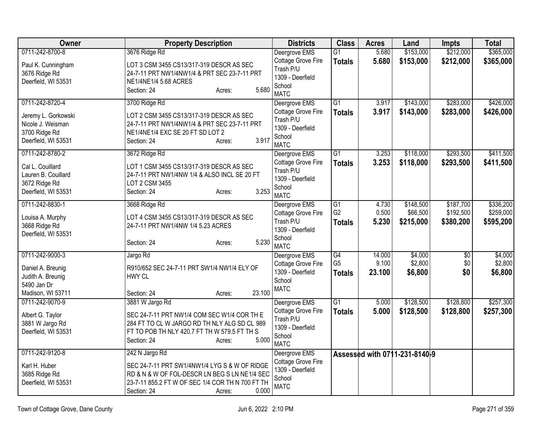| Owner               | <b>Property Description</b>                      | <b>Districts</b>           | <b>Class</b>    | <b>Acres</b> | Land                          | <b>Impts</b>    | <b>Total</b> |
|---------------------|--------------------------------------------------|----------------------------|-----------------|--------------|-------------------------------|-----------------|--------------|
| 0711-242-8700-8     | 3676 Ridge Rd                                    | Deergrove EMS              | $\overline{G1}$ | 5.680        | \$153,000                     | \$212,000       | \$365,000    |
| Paul K. Cunningham  | LOT 3 CSM 3455 CS13/317-319 DESCR AS SEC         | Cottage Grove Fire         | <b>Totals</b>   | 5.680        | \$153,000                     | \$212,000       | \$365,000    |
| 3676 Ridge Rd       | 24-7-11 PRT NW1/4NW1/4 & PRT SEC 23-7-11 PRT     | Trash P/U                  |                 |              |                               |                 |              |
| Deerfield, WI 53531 | NE1/4NE1/4 5.68 ACRES                            | 1309 - Deerfield<br>School |                 |              |                               |                 |              |
|                     | 5.680<br>Section: 24<br>Acres:                   | <b>MATC</b>                |                 |              |                               |                 |              |
| 0711-242-8720-4     | 3700 Ridge Rd                                    | Deergrove EMS              | $\overline{G1}$ | 3.917        | \$143,000                     | \$283,000       | \$426,000    |
| Jeremy L. Gorkowski | LOT 2 CSM 3455 CS13/317-319 DESCR AS SEC         | Cottage Grove Fire         | <b>Totals</b>   | 3.917        | \$143,000                     | \$283,000       | \$426,000    |
| Nicole J. Weisman   | 24-7-11 PRT NW1/4NW1/4 & PRT SEC 23-7-11 PRT     | Trash P/U                  |                 |              |                               |                 |              |
| 3700 Ridge Rd       | NE1/4NE1/4 EXC SE 20 FT SD LOT 2                 | 1309 - Deerfield<br>School |                 |              |                               |                 |              |
| Deerfield, WI 53531 | 3.917<br>Section: 24<br>Acres:                   | <b>MATC</b>                |                 |              |                               |                 |              |
| 0711-242-8780-2     | 3672 Ridge Rd                                    | Deergrove EMS              | $\overline{G1}$ | 3.253        | \$118,000                     | \$293,500       | \$411,500    |
| Cal L. Couillard    | LOT 1 CSM 3455 CS13/317-319 DESCR AS SEC         | Cottage Grove Fire         | <b>Totals</b>   | 3.253        | \$118,000                     | \$293,500       | \$411,500    |
| Lauren B. Couillard | 24-7-11 PRT NW1/4NW 1/4 & ALSO INCL SE 20 FT     | Trash P/U                  |                 |              |                               |                 |              |
| 3672 Ridge Rd       | LOT 2 CSM 3455                                   | 1309 - Deerfield           |                 |              |                               |                 |              |
| Deerfield, WI 53531 | 3.253<br>Section: 24<br>Acres:                   | School<br><b>MATC</b>      |                 |              |                               |                 |              |
| 0711-242-8830-1     | 3668 Ridge Rd                                    | Deergrove EMS              | $\overline{G1}$ | 4.730        | \$148,500                     | \$187,700       | \$336,200    |
| Louisa A. Murphy    | LOT 4 CSM 3455 CS13/317-319 DESCR AS SEC         | Cottage Grove Fire         | G <sub>2</sub>  | 0.500        | \$66,500                      | \$192,500       | \$259,000    |
| 3668 Ridge Rd       | 24-7-11 PRT NW1/4NW 1/4 5.23 ACRES               | Trash P/U                  | <b>Totals</b>   | 5.230        | \$215,000                     | \$380,200       | \$595,200    |
| Deerfield, WI 53531 |                                                  | 1309 - Deerfield           |                 |              |                               |                 |              |
|                     | 5.230<br>Section: 24<br>Acres:                   | School<br><b>MATC</b>      |                 |              |                               |                 |              |
| 0711-242-9000-3     | Jargo Rd                                         | Deergrove EMS              | $\overline{G4}$ | 14.000       | \$4,000                       | $\overline{50}$ | \$4,000      |
| Daniel A. Breunig   | R910/652 SEC 24-7-11 PRT SW1/4 NW1/4 ELY OF      | Cottage Grove Fire         | G <sub>5</sub>  | 9.100        | \$2,800                       | \$0             | \$2,800      |
| Judith A. Breunig   | HWY CL                                           | 1309 - Deerfield           | <b>Totals</b>   | 23.100       | \$6,800                       | \$0             | \$6,800      |
| 5490 Jan Dr         |                                                  | School                     |                 |              |                               |                 |              |
| Madison, WI 53711   | 23.100<br>Section: 24<br>Acres:                  | <b>MATC</b>                |                 |              |                               |                 |              |
| 0711-242-9070-9     | 3881 W Jargo Rd                                  | Deergrove EMS              | $\overline{G1}$ | 5.000        | \$128,500                     | \$128,800       | \$257,300    |
| Albert G. Taylor    | SEC 24-7-11 PRT NW1/4 COM SEC W1/4 COR TH E      | Cottage Grove Fire         | <b>Totals</b>   | 5.000        | \$128,500                     | \$128,800       | \$257,300    |
| 3881 W Jargo Rd     | 284 FT TO CL W JARGO RD TH NLY ALG SD CL 989     | Trash P/U                  |                 |              |                               |                 |              |
| Deerfield, WI 53531 | FT TO POB TH NLY 420.7 FT TH W 579.5 FT TH S     | 1309 - Deerfield           |                 |              |                               |                 |              |
|                     | 5.000<br>Section: 24<br>Acres:                   | School<br><b>MATC</b>      |                 |              |                               |                 |              |
| 0711-242-9120-8     | 242 N Jargo Rd                                   | Deergrove EMS              |                 |              | Assessed with 0711-231-8140-9 |                 |              |
| Karl H. Huber       | SEC 24-7-11 PRT SW1/4NW1/4 LYG S & W OF RIDGE    | Cottage Grove Fire         |                 |              |                               |                 |              |
| 3685 Ridge Rd       | RD & N & W OF FOL-DESCR LN BEG S LN NE1/4 SEC    | 1309 - Deerfield           |                 |              |                               |                 |              |
| Deerfield, WI 53531 | 23-7-11 855.2 FT W OF SEC 1/4 COR TH N 700 FT TH | School                     |                 |              |                               |                 |              |
|                     | 0.000<br>Section: 24<br>Acres:                   | <b>MATC</b>                |                 |              |                               |                 |              |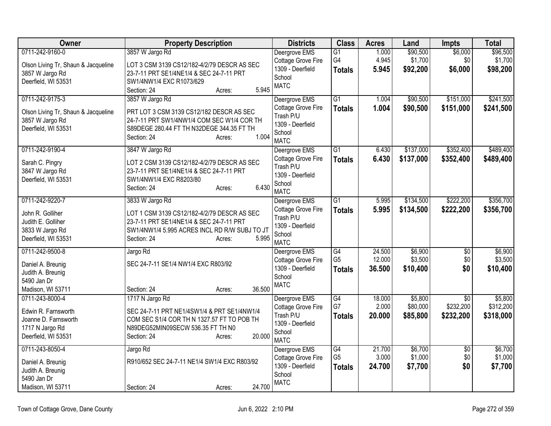| Owner                               | <b>Property Description</b>                   | <b>Districts</b>                    | <b>Class</b>          | <b>Acres</b>     | Land               | Impts                  | <b>Total</b>       |
|-------------------------------------|-----------------------------------------------|-------------------------------------|-----------------------|------------------|--------------------|------------------------|--------------------|
| 0711-242-9160-0                     | 3857 W Jargo Rd                               | Deergrove EMS                       | $\overline{G1}$       | 1.000            | \$90,500           | \$6,000                | \$96,500           |
| Olson Living Tr, Shaun & Jacqueline | LOT 3 CSM 3139 CS12/182-4/2/79 DESCR AS SEC   | Cottage Grove Fire                  | G4                    | 4.945            | \$1,700            | \$0                    | \$1,700            |
| 3857 W Jargo Rd                     | 23-7-11 PRT SE1/4NE1/4 & SEC 24-7-11 PRT      | 1309 - Deerfield                    | <b>Totals</b>         | 5.945            | \$92,200           | \$6,000                | \$98,200           |
| Deerfield, WI 53531                 | SW1/4NW1/4 EXC R1073/629                      | School                              |                       |                  |                    |                        |                    |
|                                     | 5.945<br>Section: 24<br>Acres:                | <b>MATC</b>                         |                       |                  |                    |                        |                    |
| 0711-242-9175-3                     | 3857 W Jargo Rd                               | Deergrove EMS                       | $\overline{G1}$       | 1.004            | \$90,500           | \$151,000              | \$241,500          |
| Olson Living Tr, Shaun & Jacqueline | PRT LOT 3 CSM 3139 CS12/182 DESCR AS SEC      | Cottage Grove Fire                  | <b>Totals</b>         | 1.004            | \$90,500           | \$151,000              | \$241,500          |
| 3857 W Jargo Rd                     | 24-7-11 PRT SW1/4NW1/4 COM SEC W1/4 COR TH    | Trash P/U                           |                       |                  |                    |                        |                    |
| Deerfield, WI 53531                 | S89DEGE 280.44 FT TH N32DEGE 344.35 FT TH     | 1309 - Deerfield                    |                       |                  |                    |                        |                    |
|                                     | 1.004<br>Section: 24<br>Acres:                | School                              |                       |                  |                    |                        |                    |
| 0711-242-9190-4                     | 3847 W Jargo Rd                               | <b>MATC</b><br>Deergrove EMS        | $\overline{G1}$       | 6.430            | \$137,000          | \$352,400              | \$489,400          |
|                                     |                                               | Cottage Grove Fire                  | <b>Totals</b>         | 6.430            | \$137,000          | \$352,400              | \$489,400          |
| Sarah C. Pingry                     | LOT 2 CSM 3139 CS12/182-4/2/79 DESCR AS SEC   | Trash P/U                           |                       |                  |                    |                        |                    |
| 3847 W Jargo Rd                     | 23-7-11 PRT SE1/4NE1/4 & SEC 24-7-11 PRT      | 1309 - Deerfield                    |                       |                  |                    |                        |                    |
| Deerfield, WI 53531                 | SW1/4NW1/4 EXC R8203/80                       | School                              |                       |                  |                    |                        |                    |
|                                     | 6.430<br>Section: 24<br>Acres:                | <b>MATC</b>                         |                       |                  |                    |                        |                    |
| 0711-242-9220-7                     | 3833 W Jargo Rd                               | Deergrove EMS                       | $\overline{G1}$       | 5.995            | \$134,500          | \$222,200              | \$356,700          |
| John R. Golliher                    | LOT 1 CSM 3139 CS12/182-4/2/79 DESCR AS SEC   | Cottage Grove Fire                  | <b>Totals</b>         | 5.995            | \$134,500          | \$222,200              | \$356,700          |
| Judith E. Golliher                  | 23-7-11 PRT SE1/4NE1/4 & SEC 24-7-11 PRT      | Trash P/U                           |                       |                  |                    |                        |                    |
| 3833 W Jargo Rd                     | SW1/4NW1/4 5.995 ACRES INCL RD R/W SUBJ TO JT | 1309 - Deerfield                    |                       |                  |                    |                        |                    |
| Deerfield, WI 53531                 | Section: 24<br>5.995<br>Acres:                | School                              |                       |                  |                    |                        |                    |
|                                     |                                               | <b>MATC</b>                         |                       |                  |                    |                        |                    |
| 0711-242-9500-8                     | Jargo Rd                                      | Deergrove EMS<br>Cottage Grove Fire | G4<br>G <sub>5</sub>  | 24.500<br>12.000 | \$6,900<br>\$3,500 | $\overline{50}$<br>\$0 | \$6,900<br>\$3,500 |
| Daniel A. Breunig                   | SEC 24-7-11 SE1/4 NW1/4 EXC R803/92           | 1309 - Deerfield                    | <b>Totals</b>         | 36.500           | \$10,400           | \$0                    | \$10,400           |
| Judith A. Breunig                   |                                               | School                              |                       |                  |                    |                        |                    |
| 5490 Jan Dr                         |                                               | <b>MATC</b>                         |                       |                  |                    |                        |                    |
| Madison, WI 53711                   | 36.500<br>Section: 24<br>Acres:               |                                     |                       |                  |                    |                        |                    |
| 0711-243-8000-4                     | 1717 N Jargo Rd                               | Deergrove EMS                       | $\overline{G4}$<br>G7 | 18.000           | \$5,800            | $\overline{50}$        | \$5,800            |
| Edwin R. Farnsworth                 | SEC 24-7-11 PRT NE1/4SW1/4 & PRT SE1/4NW1/4   | Cottage Grove Fire<br>Trash P/U     |                       | 2.000            | \$80,000           | \$232,200              | \$312,200          |
| Joanne D. Farnsworth                | COM SEC S1/4 COR TH N 1327.57 FT TO POB TH    | 1309 - Deerfield                    | <b>Totals</b>         | 20.000           | \$85,800           | \$232,200              | \$318,000          |
| 1717 N Jargo Rd                     | N89DEG52MIN09SECW 536.35 FT TH N0             | School                              |                       |                  |                    |                        |                    |
| Deerfield, WI 53531                 | 20.000<br>Section: 24<br>Acres:               | <b>MATC</b>                         |                       |                  |                    |                        |                    |
| 0711-243-8050-4                     | Jargo Rd                                      | Deergrove EMS                       | $\overline{G4}$       | 21.700           | \$6,700            | $\overline{50}$        | \$6,700            |
| Daniel A. Breunig                   | R910/652 SEC 24-7-11 NE1/4 SW1/4 EXC R803/92  | Cottage Grove Fire                  | G <sub>5</sub>        | 3.000            | \$1,000            | \$0                    | \$1,000            |
| Judith A. Breunig                   |                                               | 1309 - Deerfield                    | <b>Totals</b>         | 24.700           | \$7,700            | \$0                    | \$7,700            |
| 5490 Jan Dr                         |                                               | School                              |                       |                  |                    |                        |                    |
| Madison, WI 53711                   | 24.700<br>Section: 24<br>Acres:               | <b>MATC</b>                         |                       |                  |                    |                        |                    |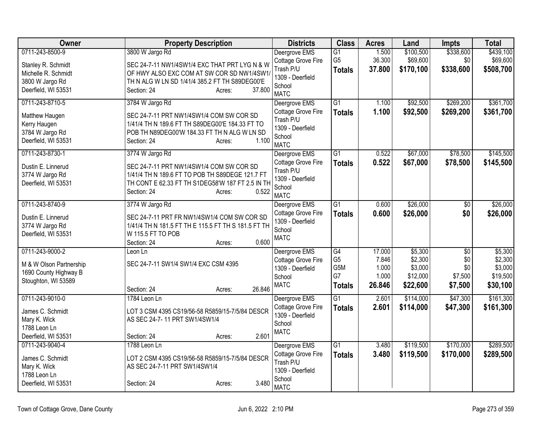| Owner                   | <b>Property Description</b>                         | <b>Districts</b>                    | <b>Class</b>     | <b>Acres</b>   | Land                   | Impts                  | <b>Total</b>           |
|-------------------------|-----------------------------------------------------|-------------------------------------|------------------|----------------|------------------------|------------------------|------------------------|
| 0711-243-8500-9         | 3800 W Jargo Rd                                     | Deergrove EMS                       | $\overline{G1}$  | 1.500          | \$100,500              | \$338,600              | \$439,100              |
| Stanley R. Schmidt      | SEC 24-7-11 NW1/4SW1/4 EXC THAT PRT LYG N & W       | Cottage Grove Fire                  | G <sub>5</sub>   | 36.300         | \$69,600               | \$0                    | \$69,600               |
| Michelle R. Schmidt     | OF HWY ALSO EXC COM AT SW COR SD NW1/4SW1           | Trash P/U                           | <b>Totals</b>    | 37.800         | \$170,100              | \$338,600              | \$508,700              |
| 3800 W Jargo Rd         | TH N ALG W LN SD 1/41/4 385.2 FT TH S89DEG00'E      | 1309 - Deerfield                    |                  |                |                        |                        |                        |
| Deerfield, WI 53531     | 37,800<br>Section: 24<br>Acres:                     | School<br><b>MATC</b>               |                  |                |                        |                        |                        |
| 0711-243-8710-5         | 3784 W Jargo Rd                                     | Deergrove EMS                       | $\overline{G1}$  | 1.100          | \$92,500               | \$269,200              | \$361,700              |
| Matthew Haugen          | SEC 24-7-11 PRT NW1/4SW1/4 COM SW COR SD            | Cottage Grove Fire                  | <b>Totals</b>    | 1.100          | \$92,500               | \$269,200              | \$361,700              |
| Kerry Haugen            | 1/41/4 TH N 189.6 FT TH S89DEG00'E 184.33 FT TO     | Trash P/U                           |                  |                |                        |                        |                        |
| 3784 W Jargo Rd         | POB TH N89DEG00'W 184.33 FT TH N ALG W LN SD        | 1309 - Deerfield<br>School          |                  |                |                        |                        |                        |
| Deerfield, WI 53531     | 1.100<br>Section: 24<br>Acres:                      | <b>MATC</b>                         |                  |                |                        |                        |                        |
| 0711-243-8730-1         | 3774 W Jargo Rd                                     | Deergrove EMS                       | $\overline{G1}$  | 0.522          | \$67,000               | \$78,500               | \$145,500              |
| Dustin E. Linnerud      | SEC 24-7-11 PRT NW1/4SW1/4 COM SW COR SD            | Cottage Grove Fire                  | <b>Totals</b>    | 0.522          | \$67,000               | \$78,500               | \$145,500              |
| 3774 W Jargo Rd         | 1/41/4 TH N 189.6 FT TO POB TH S89DEGE 121.7 FT     | Trash P/U                           |                  |                |                        |                        |                        |
| Deerfield, WI 53531     | TH CONT E 62.33 FT TH S1DEG58'W 187 FT 2.5 IN TH    | 1309 - Deerfield                    |                  |                |                        |                        |                        |
|                         | 0.522<br>Section: 24<br>Acres:                      | School<br><b>MATC</b>               |                  |                |                        |                        |                        |
| 0711-243-8740-9         | 3774 W Jargo Rd                                     | Deergrove EMS                       | $\overline{G1}$  | 0.600          | \$26,000               | $\overline{50}$        | \$26,000               |
|                         |                                                     | Cottage Grove Fire                  | <b>Totals</b>    | 0.600          | \$26,000               | \$0                    | \$26,000               |
| Dustin E. Linnerud      | SEC 24-7-11 PRT FR NW1/4SW1/4 COM SW COR SD         | 1309 - Deerfield                    |                  |                |                        |                        |                        |
| 3774 W Jargo Rd         | 1/41/4 TH N 181.5 FT TH E 115.5 FT TH S 181.5 FT TH | School                              |                  |                |                        |                        |                        |
| Deerfield, WI 53531     | W 115.5 FT TO POB<br>0.600                          | <b>MATC</b>                         |                  |                |                        |                        |                        |
| 0711-243-9000-2         | Section: 24<br>Acres:<br>Leon Ln                    | Deergrove EMS                       | G4               | 17.000         | \$5,300                | $\overline{50}$        | \$5,300                |
|                         |                                                     | Cottage Grove Fire                  | G <sub>5</sub>   | 7.846          | \$2,300                | \$0                    | \$2,300                |
| M & W Olson Partnership | SEC 24-7-11 SW1/4 SW1/4 EXC CSM 4395                | 1309 - Deerfield                    | G <sub>5</sub> M | 1.000          | \$3,000                | \$0                    | \$3,000                |
| 1690 County Highway B   |                                                     | School                              | G7               | 1.000          | \$12,000               | \$7,500                | \$19,500               |
| Stoughton, WI 53589     |                                                     | <b>MATC</b>                         | <b>Totals</b>    | 26.846         | \$22,600               | \$7,500                | \$30,100               |
| 0711-243-9010-0         | 26.846<br>Section: 24<br>Acres:<br>1784 Leon Ln     |                                     | G1               | 2.601          | \$114,000              | \$47,300               | \$161,300              |
|                         |                                                     | Deergrove EMS<br>Cottage Grove Fire | <b>Totals</b>    | 2.601          | \$114,000              | \$47,300               | \$161,300              |
| James C. Schmidt        | LOT 3 CSM 4395 CS19/56-58 R5859/15-7/5/84 DESCR     | 1309 - Deerfield                    |                  |                |                        |                        |                        |
| Mary K. Wick            | AS SEC 24-7-11 PRT SW1/4SW1/4                       | School                              |                  |                |                        |                        |                        |
| 1788 Leon Ln            |                                                     | <b>MATC</b>                         |                  |                |                        |                        |                        |
| Deerfield, WI 53531     | 2.601<br>Section: 24<br>Acres:                      |                                     | $\overline{G1}$  |                |                        |                        |                        |
| 0711-243-9040-4         | 1788 Leon Ln                                        | Deergrove EMS<br>Cottage Grove Fire |                  | 3.480<br>3.480 | \$119,500<br>\$119,500 | \$170,000<br>\$170,000 | \$289,500<br>\$289,500 |
| James C. Schmidt        | LOT 2 CSM 4395 CS19/56-58 R5859/15-7/5/84 DESCR     | Trash P/U                           | <b>Totals</b>    |                |                        |                        |                        |
| Mary K. Wick            | AS SEC 24-7-11 PRT SW1/4SW1/4                       | 1309 - Deerfield                    |                  |                |                        |                        |                        |
| 1788 Leon Ln            |                                                     | School                              |                  |                |                        |                        |                        |
| Deerfield, WI 53531     | 3.480<br>Section: 24<br>Acres:                      | <b>MATC</b>                         |                  |                |                        |                        |                        |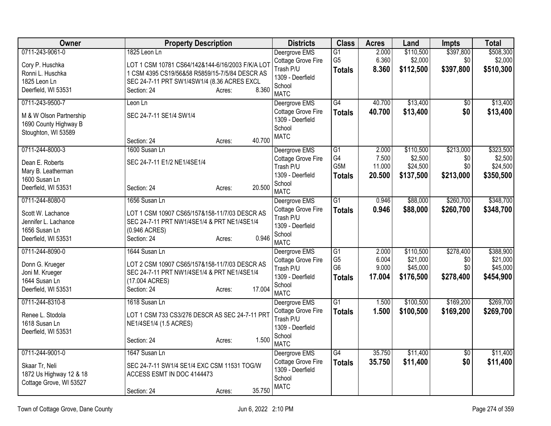| Owner                                                                                                | <b>Property Description</b>                                                                                                                                        | <b>Districts</b>                                                                              | <b>Class</b>                                                         | <b>Acres</b>                       | Land                                           | <b>Impts</b>                         | <b>Total</b>                                   |
|------------------------------------------------------------------------------------------------------|--------------------------------------------------------------------------------------------------------------------------------------------------------------------|-----------------------------------------------------------------------------------------------|----------------------------------------------------------------------|------------------------------------|------------------------------------------------|--------------------------------------|------------------------------------------------|
| 0711-243-9061-0<br>Cory P. Huschka<br>Ronni L. Huschka<br>1825 Leon Ln                               | 1825 Leon Ln<br>LOT 1 CSM 10781 CS64/142&144-6/16/2003 F/K/A LOT<br>1 CSM 4395 CS19/56&58 R5859/15-7/5/84 DESCR AS<br>SEC 24-7-11 PRT SW1/4SW1/4 (8.36 ACRES EXCL  | Deergrove EMS<br>Cottage Grove Fire<br>Trash P/U<br>1309 - Deerfield<br>School                | $\overline{G1}$<br>G <sub>5</sub><br><b>Totals</b>                   | 2.000<br>6.360<br>8.360            | \$110,500<br>\$2,000<br>\$112,500              | \$397,800<br>\$0<br>\$397,800        | \$508,300<br>\$2,000<br>\$510,300              |
| Deerfield, WI 53531                                                                                  | 8.360<br>Section: 24<br>Acres:                                                                                                                                     | <b>MATC</b>                                                                                   |                                                                      |                                    |                                                |                                      |                                                |
| 0711-243-9500-7<br>M & W Olson Partnership<br>1690 County Highway B<br>Stoughton, WI 53589           | Leon Ln<br>SEC 24-7-11 SE1/4 SW1/4<br>40.700<br>Section: 24<br>Acres:                                                                                              | Deergrove EMS<br>Cottage Grove Fire<br>1309 - Deerfield<br>School<br><b>MATC</b>              | $\overline{G4}$<br><b>Totals</b>                                     | 40.700<br>40.700                   | \$13,400<br>\$13,400                           | $\overline{50}$<br>\$0               | \$13,400<br>\$13,400                           |
| 0711-244-8000-3<br>Dean E. Roberts<br>Mary B. Leatherman<br>1600 Susan Ln<br>Deerfield, WI 53531     | 1600 Susan Ln<br>SEC 24-7-11 E1/2 NE1/4SE1/4<br>20.500<br>Section: 24<br>Acres:                                                                                    | Deergrove EMS<br>Cottage Grove Fire<br>Trash P/U<br>1309 - Deerfield<br>School<br><b>MATC</b> | $\overline{G1}$<br>G4<br>G5M<br><b>Totals</b>                        | 2.000<br>7.500<br>11.000<br>20.500 | \$110,500<br>\$2,500<br>\$24,500<br>\$137,500  | \$213,000<br>\$0<br>\$0<br>\$213,000 | \$323,500<br>\$2,500<br>\$24,500<br>\$350,500  |
| 0711-244-8080-0<br>Scott W. Lachance<br>Jennifer L. Lachance<br>1656 Susan Ln<br>Deerfield, WI 53531 | 1656 Susan Ln<br>LOT 1 CSM 10907 CS65/157&158-11/7/03 DESCR AS<br>SEC 24-7-11 PRT NW1/4SE1/4 & PRT NE1/4SE1/4<br>(0.946 ACRES)<br>0.946<br>Section: 24<br>Acres:   | Deergrove EMS<br>Cottage Grove Fire<br>Trash P/U<br>1309 - Deerfield<br>School<br><b>MATC</b> | $\overline{G1}$<br><b>Totals</b>                                     | 0.946<br>0.946                     | \$88,000<br>\$88,000                           | \$260,700<br>\$260,700               | \$348,700<br>\$348,700                         |
| 0711-244-8090-0<br>Donn G. Krueger<br>Joni M. Krueger<br>1644 Susan Ln<br>Deerfield, WI 53531        | 1644 Susan Ln<br>LOT 2 CSM 10907 CS65/157&158-11/7/03 DESCR AS<br>SEC 24-7-11 PRT NW1/4SE1/4 & PRT NE1/4SE1/4<br>(17.004 ACRES)<br>17.004<br>Section: 24<br>Acres: | Deergrove EMS<br>Cottage Grove Fire<br>Trash P/U<br>1309 - Deerfield<br>School<br><b>MATC</b> | $\overline{G1}$<br>G <sub>5</sub><br>G <sub>6</sub><br><b>Totals</b> | 2.000<br>6.004<br>9.000<br>17.004  | \$110,500<br>\$21,000<br>\$45,000<br>\$176,500 | \$278,400<br>\$0<br>\$0<br>\$278,400 | \$388,900<br>\$21,000<br>\$45,000<br>\$454,900 |
| 0711-244-8310-8<br>Renee L. Stodola<br>1618 Susan Ln<br>Deerfield, WI 53531                          | 1618 Susan Ln<br>LOT 1 CSM 733 CS3/276 DESCR AS SEC 24-7-11 PRT<br>NE1/4SE1/4 (1.5 ACRES)<br>1.500<br>Section: 24<br>Acres:                                        | Deergrove EMS<br>Cottage Grove Fire<br>Trash P/U<br>1309 - Deerfield<br>School<br><b>MATC</b> | $\overline{G1}$<br><b>Totals</b>                                     | 1.500<br>1.500                     | \$100,500<br>\$100,500                         | \$169,200<br>\$169,200               | \$269,700<br>\$269,700                         |
| 0711-244-9001-0<br>Skaar Tr, Neli<br>1872 Us Highway 12 & 18<br>Cottage Grove, WI 53527              | 1647 Susan Ln<br>SEC 24-7-11 SW1/4 SE1/4 EXC CSM 11531 TOG/W<br>ACCESS ESMT IN DOC 4144473<br>35.750<br>Section: 24<br>Acres:                                      | Deergrove EMS<br>Cottage Grove Fire<br>1309 - Deerfield<br>School<br><b>MATC</b>              | $\overline{G4}$<br><b>Totals</b>                                     | 35.750<br>35.750                   | \$11,400<br>\$11,400                           | \$0<br>\$0                           | \$11,400<br>\$11,400                           |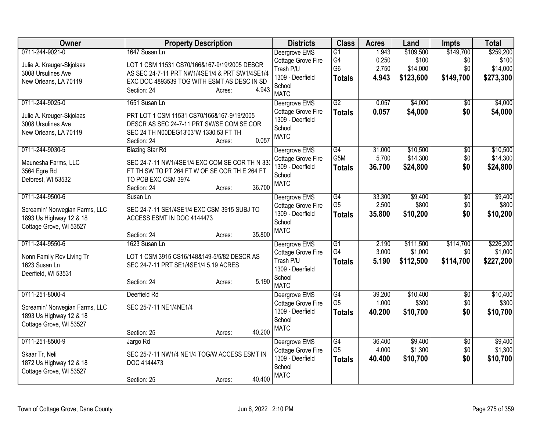| Owner                                                                                                   | <b>Property Description</b>                                                                                                                                                                      | <b>Districts</b>                                                                              | <b>Class</b>                                                         | <b>Acres</b>                     | Land                                        | Impts                                | <b>Total</b>                                |
|---------------------------------------------------------------------------------------------------------|--------------------------------------------------------------------------------------------------------------------------------------------------------------------------------------------------|-----------------------------------------------------------------------------------------------|----------------------------------------------------------------------|----------------------------------|---------------------------------------------|--------------------------------------|---------------------------------------------|
| 0711-244-9021-0<br>Julie A. Kreuger-Skjolaas<br>3008 Ursulines Ave<br>New Orleans, LA 70119             | 1647 Susan Ln<br>LOT 1 CSM 11531 CS70/166&167-9/19/2005 DESCR<br>AS SEC 24-7-11 PRT NW1/4SE1/4 & PRT SW1/4SE1/4<br>EXC DOC 4893539 TOG WITH ESMT AS DESC IN SD<br>4.943<br>Section: 24<br>Acres: | Deergrove EMS<br>Cottage Grove Fire<br>Trash P/U<br>1309 - Deerfield<br>School<br><b>MATC</b> | $\overline{G1}$<br>G <sub>4</sub><br>G <sub>6</sub><br><b>Totals</b> | 1.943<br>0.250<br>2.750<br>4.943 | \$109,500<br>\$100<br>\$14,000<br>\$123,600 | \$149,700<br>\$0<br>\$0<br>\$149,700 | \$259,200<br>\$100<br>\$14,000<br>\$273,300 |
| 0711-244-9025-0<br>Julie A. Kreuger-Skjolaas<br>3008 Ursulines Ave<br>New Orleans, LA 70119             | 1651 Susan Ln<br>PRT LOT 1 CSM 11531 CS70/166&167-9/19/2005<br>DESCR AS SEC 24-7-11 PRT SW/SE COM SE COR<br>SEC 24 TH N00DEG13'03"W 1330.53 FT TH<br>0.057<br>Section: 24<br>Acres:              | Deergrove EMS<br>Cottage Grove Fire<br>1309 - Deerfield<br>School<br><b>MATC</b>              | G2<br><b>Totals</b>                                                  | 0.057<br>0.057                   | \$4,000<br>\$4,000                          | $\overline{50}$<br>\$0               | \$4,000<br>\$4,000                          |
| 0711-244-9030-5<br>Maunesha Farms, LLC<br>3564 Egre Rd<br>Deforest, WI 53532                            | <b>Blazing Star Rd</b><br>SEC 24-7-11 NW1/4SE1/4 EXC COM SE COR TH N 330<br>FT TH SW TO PT 264 FT W OF SE COR TH E 264 FT<br>TO POB EXC CSM 3974<br>36.700<br>Section: 24<br>Acres:              | Deergrove EMS<br>Cottage Grove Fire<br>1309 - Deerfield<br>School<br><b>MATC</b>              | G4<br>G5M<br><b>Totals</b>                                           | 31.000<br>5.700<br>36.700        | \$10,500<br>\$14,300<br>\$24,800            | $\overline{50}$<br>\$0<br>\$0        | \$10,500<br>\$14,300<br>\$24,800            |
| 0711-244-9500-6<br>Screamin' Norwegian Farms, LLC<br>1893 Us Highway 12 & 18<br>Cottage Grove, WI 53527 | Susan Ln<br>SEC 24-7-11 SE1/4SE1/4 EXC CSM 3915 SUBJ TO<br>ACCESS ESMT IN DOC 4144473<br>35.800<br>Section: 24<br>Acres:                                                                         | Deergrove EMS<br>Cottage Grove Fire<br>1309 - Deerfield<br>School<br><b>MATC</b>              | G4<br>G <sub>5</sub><br><b>Totals</b>                                | 33.300<br>2.500<br>35.800        | \$9,400<br>\$800<br>\$10,200                | $\overline{50}$<br>\$0<br>\$0        | \$9,400<br>\$800<br>\$10,200                |
| 0711-244-9550-6<br>Nonn Family Rev Living Tr<br>1623 Susan Ln<br>Deerfield, WI 53531                    | 1623 Susan Ln<br>LOT 1 CSM 3915 CS16/148&149-5/5/82 DESCR AS<br>SEC 24-7-11 PRT SE1/4SE1/4 5.19 ACRES<br>5.190<br>Section: 24<br>Acres:                                                          | Deergrove EMS<br>Cottage Grove Fire<br>Trash P/U<br>1309 - Deerfield<br>School<br><b>MATC</b> | $\overline{G1}$<br>G4<br><b>Totals</b>                               | 2.190<br>3.000<br>5.190          | \$111,500<br>\$1,000<br>\$112,500           | \$114,700<br>\$0<br>\$114,700        | \$226,200<br>\$1,000<br>\$227,200           |
| 0711-251-8000-4<br>Screamin' Norwegian Farms, LLC<br>1893 Us Highway 12 & 18<br>Cottage Grove, WI 53527 | Deerfield Rd<br>SEC 25-7-11 NE1/4NE1/4<br>40.200<br>Section: 25<br>Acres:                                                                                                                        | Deergrove EMS<br>Cottage Grove Fire<br>1309 - Deerfield<br>School<br><b>MATC</b>              | G4<br>G <sub>5</sub><br><b>Totals</b>                                | 39.200<br>1.000<br>40.200        | \$10,400<br>\$300<br>\$10,700               | $\overline{50}$<br>\$0<br>\$0        | \$10,400<br>\$300<br>\$10,700               |
| 0711-251-8500-9<br>Skaar Tr, Neli<br>1872 Us Highway 12 & 18<br>Cottage Grove, WI 53527                 | Jargo Rd<br>SEC 25-7-11 NW1/4 NE1/4 TOG/W ACCESS ESMT IN<br>DOC 4144473<br>40.400<br>Section: 25<br>Acres:                                                                                       | Deergrove EMS<br>Cottage Grove Fire<br>1309 - Deerfield<br>School<br><b>MATC</b>              | G4<br>G <sub>5</sub><br><b>Totals</b>                                | 36.400<br>4.000<br>40.400        | \$9,400<br>\$1,300<br>\$10,700              | $\overline{50}$<br>\$0<br>\$0        | \$9,400<br>\$1,300<br>\$10,700              |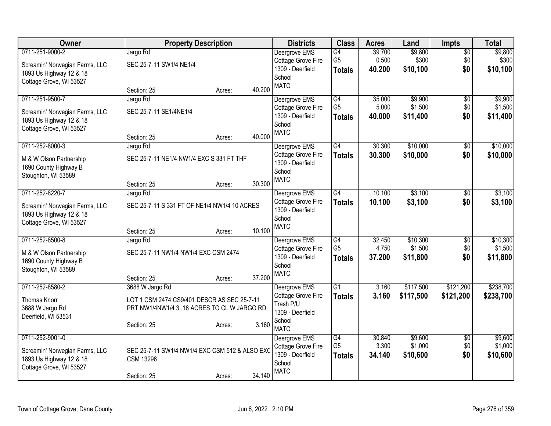| Owner                                  | <b>Property Description</b>                    |        |        | <b>Districts</b>                       | <b>Class</b>                      | <b>Acres</b>     | Land               | <b>Impts</b>    | <b>Total</b>       |
|----------------------------------------|------------------------------------------------|--------|--------|----------------------------------------|-----------------------------------|------------------|--------------------|-----------------|--------------------|
| 0711-251-9000-2                        | Jargo Rd                                       |        |        | Deergrove EMS                          | G4                                | 39.700           | \$9,800            | $\overline{50}$ | \$9,800            |
| Screamin' Norwegian Farms, LLC         | SEC 25-7-11 SW1/4 NE1/4                        |        |        | Cottage Grove Fire                     | G <sub>5</sub>                    | 0.500            | \$300              | \$0             | \$300              |
| 1893 Us Highway 12 & 18                |                                                |        |        | 1309 - Deerfield<br>School             | <b>Totals</b>                     | 40.200           | \$10,100           | \$0             | \$10,100           |
| Cottage Grove, WI 53527                |                                                |        |        | <b>MATC</b>                            |                                   |                  |                    |                 |                    |
|                                        | Section: 25                                    | Acres: | 40.200 |                                        |                                   |                  |                    |                 |                    |
| 0711-251-9500-7                        | Jargo Rd                                       |        |        | Deergrove EMS                          | G4                                | 35.000           | \$9,900            | $\overline{50}$ | \$9,900            |
| Screamin' Norwegian Farms, LLC         | SEC 25-7-11 SE1/4NE1/4                         |        |        | Cottage Grove Fire<br>1309 - Deerfield | G <sub>5</sub>                    | 5.000<br>40.000  | \$1,500            | \$0<br>\$0      | \$1,500            |
| 1893 Us Highway 12 & 18                |                                                |        |        | School                                 | <b>Totals</b>                     |                  | \$11,400           |                 | \$11,400           |
| Cottage Grove, WI 53527                |                                                |        |        | <b>MATC</b>                            |                                   |                  |                    |                 |                    |
|                                        | Section: 25                                    | Acres: | 40.000 |                                        |                                   |                  |                    |                 |                    |
| 0711-252-8000-3                        | Jargo Rd                                       |        |        | Deergrove EMS                          | G4                                | 30.300           | \$10,000           | \$0             | \$10,000           |
| M & W Olson Partnership                | SEC 25-7-11 NE1/4 NW1/4 EXC S 331 FT THF       |        |        | Cottage Grove Fire<br>1309 - Deerfield | <b>Totals</b>                     | 30.300           | \$10,000           | \$0             | \$10,000           |
| 1690 County Highway B                  |                                                |        |        | School                                 |                                   |                  |                    |                 |                    |
| Stoughton, WI 53589                    |                                                |        |        | <b>MATC</b>                            |                                   |                  |                    |                 |                    |
|                                        | Section: 25                                    | Acres: | 30.300 |                                        |                                   |                  |                    |                 |                    |
| 0711-252-8220-7                        | Jargo Rd                                       |        |        | Deergrove EMS<br>Cottage Grove Fire    | G4                                | 10.100<br>10.100 | \$3,100<br>\$3,100 | \$0<br>\$0      | \$3,100            |
| Screamin' Norwegian Farms, LLC         | SEC 25-7-11 S 331 FT OF NE1/4 NW1/4 10 ACRES   |        |        | 1309 - Deerfield                       | <b>Totals</b>                     |                  |                    |                 | \$3,100            |
| 1893 Us Highway 12 & 18                |                                                |        |        | School                                 |                                   |                  |                    |                 |                    |
| Cottage Grove, WI 53527                |                                                |        | 10.100 | <b>MATC</b>                            |                                   |                  |                    |                 |                    |
| 0711-252-8500-8                        | Section: 25<br>Jargo Rd                        | Acres: |        | Deergrove EMS                          | G4                                | 32.450           | \$10,300           | \$0             | \$10,300           |
|                                        |                                                |        |        | Cottage Grove Fire                     | G <sub>5</sub>                    | 4.750            | \$1,500            | \$0             | \$1,500            |
| M & W Olson Partnership                | SEC 25-7-11 NW1/4 NW1/4 EXC CSM 2474           |        |        | 1309 - Deerfield                       | <b>Totals</b>                     | 37.200           | \$11,800           | \$0             | \$11,800           |
| 1690 County Highway B                  |                                                |        |        | School                                 |                                   |                  |                    |                 |                    |
| Stoughton, WI 53589                    | Section: 25                                    | Acres: | 37.200 | <b>MATC</b>                            |                                   |                  |                    |                 |                    |
| 0711-252-8580-2                        | 3688 W Jargo Rd                                |        |        | Deergrove EMS                          | $\overline{G1}$                   | 3.160            | \$117,500          | \$121,200       | \$238,700          |
|                                        |                                                |        |        | <b>Cottage Grove Fire</b>              | <b>Totals</b>                     | 3.160            | \$117,500          | \$121,200       | \$238,700          |
| Thomas Knorr                           | LOT 1 CSM 2474 CS9/401 DESCR AS SEC 25-7-11    |        |        | Trash P/U                              |                                   |                  |                    |                 |                    |
| 3688 W Jargo Rd<br>Deerfield, WI 53531 | PRT NW1/4NW1/4 3 .16 ACRES TO CL W JARGO RD    |        |        | 1309 - Deerfield                       |                                   |                  |                    |                 |                    |
|                                        | Section: 25                                    | Acres: | 3.160  | School                                 |                                   |                  |                    |                 |                    |
|                                        |                                                |        |        | <b>MATC</b>                            |                                   |                  |                    |                 |                    |
| 0711-252-9001-0                        |                                                |        |        | Deergrove EMS                          | $\overline{G4}$<br>G <sub>5</sub> | 30.840<br>3.300  | \$9,600<br>\$1,000 | \$0<br>\$0      | \$9,600<br>\$1,000 |
| Screamin' Norwegian Farms, LLC         | SEC 25-7-11 SW1/4 NW1/4 EXC CSM 512 & ALSO EXC |        |        | Cottage Grove Fire<br>1309 - Deerfield |                                   | 34.140           | \$10,600           | \$0             | \$10,600           |
| 1893 Us Highway 12 & 18                | <b>CSM 13296</b>                               |        |        | School                                 | <b>Totals</b>                     |                  |                    |                 |                    |
| Cottage Grove, WI 53527                |                                                |        |        | <b>MATC</b>                            |                                   |                  |                    |                 |                    |
|                                        | Section: 25                                    | Acres: | 34.140 |                                        |                                   |                  |                    |                 |                    |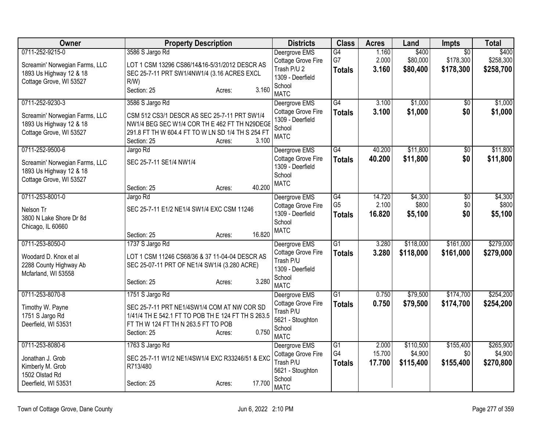| Owner                                                                                                   | <b>Property Description</b>                                                                                                                                                                             | <b>Districts</b>                                                                                | <b>Class</b>                           | <b>Acres</b>              | Land                              | <b>Impts</b>                              | <b>Total</b>                      |
|---------------------------------------------------------------------------------------------------------|---------------------------------------------------------------------------------------------------------------------------------------------------------------------------------------------------------|-------------------------------------------------------------------------------------------------|----------------------------------------|---------------------------|-----------------------------------|-------------------------------------------|-----------------------------------|
| 0711-252-9215-0<br>Screamin' Norwegian Farms, LLC<br>1893 Us Highway 12 & 18<br>Cottage Grove, WI 53527 | 3586 S Jargo Rd<br>LOT 1 CSM 13296 CS86/14&16-5/31/2012 DESCR AS<br>SEC 25-7-11 PRT SW1/4NW1/4 (3.16 ACRES EXCL<br>R/W<br>3.160<br>Section: 25<br>Acres:                                                | Deergrove EMS<br>Cottage Grove Fire<br>Trash P/U 2<br>1309 - Deerfield<br>School<br><b>MATC</b> | G4<br>G7<br><b>Totals</b>              | 1.160<br>2.000<br>3.160   | \$400<br>\$80,000<br>\$80,400     | $\overline{50}$<br>\$178,300<br>\$178,300 | \$400<br>\$258,300<br>\$258,700   |
| 0711-252-9230-3<br>Screamin' Norwegian Farms, LLC<br>1893 Us Highway 12 & 18<br>Cottage Grove, WI 53527 | 3586 S Jargo Rd<br>CSM 512 CS3/1 DESCR AS SEC 25-7-11 PRT SW1/4<br>NW1/4 BEG SEC W1/4 COR TH E 462 FT TH N29DEGE<br>291.8 FT TH W 604.4 FT TO W LN SD 1/4 TH S 254 FT<br>3.100<br>Section: 25<br>Acres: | Deergrove EMS<br>Cottage Grove Fire<br>1309 - Deerfield<br>School<br><b>MATC</b>                | $\overline{G4}$<br><b>Totals</b>       | 3.100<br>3.100            | \$1,000<br>\$1,000                | \$0<br>\$0                                | \$1,000<br>\$1,000                |
| 0711-252-9500-6<br>Screamin' Norwegian Farms, LLC<br>1893 Us Highway 12 & 18<br>Cottage Grove, WI 53527 | Jargo Rd<br>SEC 25-7-11 SE1/4 NW1/4<br>40.200<br>Section: 25<br>Acres:                                                                                                                                  | Deergrove EMS<br>Cottage Grove Fire<br>1309 - Deerfield<br>School<br><b>MATC</b>                | $\overline{G4}$<br><b>Totals</b>       | 40.200<br>40.200          | \$11,800<br>\$11,800              | $\overline{50}$<br>\$0                    | \$11,800<br>\$11,800              |
| 0711-253-8001-0<br>Nelson Tr<br>3800 N Lake Shore Dr 8d<br>Chicago, IL 60660                            | Jargo Rd<br>SEC 25-7-11 E1/2 NE1/4 SW1/4 EXC CSM 11246<br>16.820<br>Section: 25<br>Acres:                                                                                                               | Deergrove EMS<br>Cottage Grove Fire<br>1309 - Deerfield<br>School<br><b>MATC</b>                | G4<br>G <sub>5</sub><br><b>Totals</b>  | 14.720<br>2.100<br>16.820 | \$4,300<br>\$800<br>\$5,100       | $\sqrt{$0}$<br>\$0<br>\$0                 | \$4,300<br>\$800<br>\$5,100       |
| 0711-253-8050-0<br>Woodard D. Knox et al<br>2288 County Highway Ab<br>Mcfarland, WI 53558               | 1737 S Jargo Rd<br>LOT 1 CSM 11246 CS68/36 & 37 11-04-04 DESCR AS<br>SEC 25-07-11 PRT OF NE1/4 SW1/4 (3.280 ACRE)<br>3.280<br>Section: 25<br>Acres:                                                     | Deergrove EMS<br>Cottage Grove Fire<br>Trash P/U<br>1309 - Deerfield<br>School<br><b>MATC</b>   | $\overline{G1}$<br><b>Totals</b>       | 3.280<br>3.280            | \$118,000<br>\$118,000            | \$161,000<br>\$161,000                    | \$279,000<br>\$279,000            |
| 0711-253-8070-8<br>Timothy W. Payne<br>1751 S Jargo Rd<br>Deerfield, WI 53531                           | 1751 S Jargo Rd<br>SEC 25-7-11 PRT NE1/4SW1/4 COM AT NW COR SD<br>1/41/4 TH E 542.1 FT TO POB TH E 124 FT TH S 263.5<br>FT TH W 124 FT TH N 263.5 FT TO POB<br>0.750<br>Section: 25<br>Acres:           | Deergrove EMS<br>Cottage Grove Fire<br>Trash P/U<br>5621 - Stoughton<br>School<br><b>MATC</b>   | $\overline{G1}$<br><b>Totals</b>       | 0.750<br>0.750            | \$79,500<br>\$79,500              | \$174,700<br>\$174,700                    | \$254,200<br>\$254,200            |
| 0711-253-8080-6<br>Jonathan J. Grob<br>Kimberly M. Grob<br>1502 Olstad Rd<br>Deerfield, WI 53531        | 1763 S Jargo Rd<br>SEC 25-7-11 W1/2 NE1/4SW1/4 EXC R33246/51 & EXC<br>R713/480<br>17.700<br>Section: 25<br>Acres:                                                                                       | Deergrove EMS<br>Cottage Grove Fire<br>Trash P/U<br>5621 - Stoughton<br>School<br><b>MATC</b>   | $\overline{G1}$<br>G4<br><b>Totals</b> | 2.000<br>15.700<br>17.700 | \$110,500<br>\$4,900<br>\$115,400 | \$155,400<br>\$0<br>\$155,400             | \$265,900<br>\$4,900<br>\$270,800 |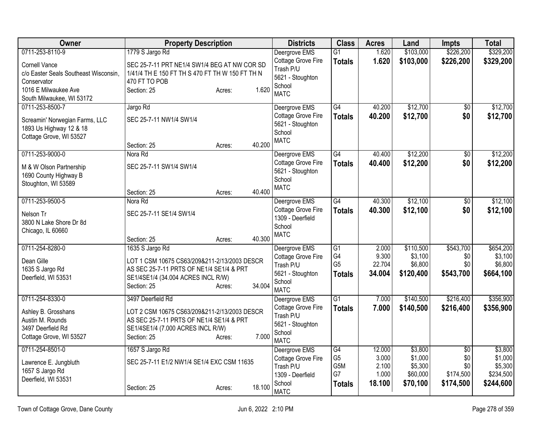| <b>Owner</b>                          | <b>Property Description</b>                     |        |        | <b>Districts</b>              | <b>Class</b>     | <b>Acres</b> | Land      | <b>Impts</b>    | <b>Total</b> |
|---------------------------------------|-------------------------------------------------|--------|--------|-------------------------------|------------------|--------------|-----------|-----------------|--------------|
| 0711-253-8110-9                       | 1779 S Jargo Rd                                 |        |        | Deergrove EMS                 | $\overline{G1}$  | 1.620        | \$103,000 | \$226,200       | \$329,200    |
| <b>Cornell Vance</b>                  | SEC 25-7-11 PRT NE1/4 SW1/4 BEG AT NW COR SD    |        |        | Cottage Grove Fire            | <b>Totals</b>    | 1.620        | \$103,000 | \$226,200       | \$329,200    |
| c/o Easter Seals Southeast Wisconsin, | 1/41/4 TH E 150 FT TH S 470 FT TH W 150 FT TH N |        |        | Trash P/U<br>5621 - Stoughton |                  |              |           |                 |              |
| Conservator                           | 470 FT TO POB                                   |        |        | School                        |                  |              |           |                 |              |
| 1016 E Milwaukee Ave                  | Section: 25                                     | Acres: | 1.620  | <b>MATC</b>                   |                  |              |           |                 |              |
| South Milwaukee, WI 53172             |                                                 |        |        |                               |                  |              |           |                 |              |
| 0711-253-8500-7                       | Jargo Rd                                        |        |        | Deergrove EMS                 | G4               | 40.200       | \$12,700  | $\overline{50}$ | \$12,700     |
| Screamin' Norwegian Farms, LLC        | SEC 25-7-11 NW1/4 SW1/4                         |        |        | Cottage Grove Fire            | <b>Totals</b>    | 40.200       | \$12,700  | \$0             | \$12,700     |
| 1893 Us Highway 12 & 18               |                                                 |        |        | 5621 - Stoughton<br>School    |                  |              |           |                 |              |
| Cottage Grove, WI 53527               |                                                 |        |        | <b>MATC</b>                   |                  |              |           |                 |              |
|                                       | Section: 25                                     | Acres: | 40.200 |                               |                  |              |           |                 |              |
| 0711-253-9000-0                       | Nora Rd                                         |        |        | Deergrove EMS                 | $\overline{G4}$  | 40.400       | \$12,200  | \$0             | \$12,200     |
| M & W Olson Partnership               | SEC 25-7-11 SW1/4 SW1/4                         |        |        | Cottage Grove Fire            | <b>Totals</b>    | 40.400       | \$12,200  | \$0             | \$12,200     |
| 1690 County Highway B                 |                                                 |        |        | 5621 - Stoughton              |                  |              |           |                 |              |
| Stoughton, WI 53589                   |                                                 |        |        | School<br><b>MATC</b>         |                  |              |           |                 |              |
|                                       | Section: 25                                     | Acres: | 40.400 |                               |                  |              |           |                 |              |
| 0711-253-9500-5                       | Nora Rd                                         |        |        | Deergrove EMS                 | G4               | 40.300       | \$12,100  | \$0             | \$12,100     |
| Nelson Tr                             | SEC 25-7-11 SE1/4 SW1/4                         |        |        | Cottage Grove Fire            | <b>Totals</b>    | 40.300       | \$12,100  | \$0             | \$12,100     |
| 3800 N Lake Shore Dr 8d               |                                                 |        |        | 1309 - Deerfield              |                  |              |           |                 |              |
| Chicago, IL 60660                     |                                                 |        |        | School                        |                  |              |           |                 |              |
|                                       | Section: 25                                     | Acres: | 40.300 | <b>MATC</b>                   |                  |              |           |                 |              |
| 0711-254-8280-0                       | 1635 S Jargo Rd                                 |        |        | Deergrove EMS                 | $\overline{G1}$  | 2.000        | \$110,500 | \$543,700       | \$654,200    |
| Dean Gille                            | LOT 1 CSM 10675 CS63/209&211-2/13/2003 DESCR    |        |        | Cottage Grove Fire            | G4               | 9.300        | \$3,100   | \$0             | \$3,100      |
| 1635 S Jargo Rd                       | AS SEC 25-7-11 PRTS OF NE1/4 SE1/4 & PRT        |        |        | Trash P/U                     | G <sub>5</sub>   | 22.704       | \$6,800   | \$0             | \$6,800      |
| Deerfield, WI 53531                   | SE1/4SE1/4 (34.004 ACRES INCL R/W)              |        |        | 5621 - Stoughton              | <b>Totals</b>    | 34.004       | \$120,400 | \$543,700       | \$664,100    |
|                                       | Section: 25                                     | Acres: | 34.004 | School<br><b>MATC</b>         |                  |              |           |                 |              |
| 0711-254-8330-0                       | 3497 Deerfield Rd                               |        |        | Deergrove EMS                 | $\overline{G1}$  | 7.000        | \$140,500 | \$216,400       | \$356,900    |
|                                       |                                                 |        |        | Cottage Grove Fire            | <b>Totals</b>    | 7.000        | \$140,500 | \$216,400       | \$356,900    |
| Ashley B. Grosshans                   | LOT 2 CSM 10675 CS63/209&211-2/13/2003 DESCR    |        |        | Trash P/U                     |                  |              |           |                 |              |
| Austin M. Rounds                      | AS SEC 25-7-11 PRTS OF NE1/4 SE1/4 & PRT        |        |        | 5621 - Stoughton              |                  |              |           |                 |              |
| 3497 Deerfield Rd                     | SE1/4SE1/4 (7.000 ACRES INCL R/W)               |        |        | School                        |                  |              |           |                 |              |
| Cottage Grove, WI 53527               | Section: 25                                     | Acres: | 7.000  | <b>MATC</b>                   |                  |              |           |                 |              |
| 0711-254-8501-0                       | 1657 S Jargo Rd                                 |        |        | Deergrove EMS                 | G4               | 12.000       | \$3,800   | $\overline{50}$ | \$3,800      |
| Lawrence E. Jungbluth                 | SEC 25-7-11 E1/2 NW1/4 SE1/4 EXC CSM 11635      |        |        | Cottage Grove Fire            | G <sub>5</sub>   | 3.000        | \$1,000   | \$0             | \$1,000      |
| 1657 S Jargo Rd                       |                                                 |        |        | Trash P/U                     | G <sub>5</sub> M | 2.100        | \$5,300   | \$0             | \$5,300      |
| Deerfield, WI 53531                   |                                                 |        |        | 1309 - Deerfield              | G7               | 1.000        | \$60,000  | \$174,500       | \$234,500    |
|                                       | Section: 25                                     | Acres: | 18.100 | School<br><b>MATC</b>         | <b>Totals</b>    | 18.100       | \$70,100  | \$174,500       | \$244,600    |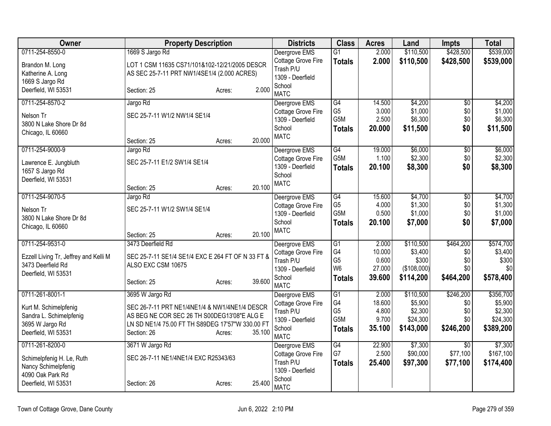| <b>Owner</b>                                            | <b>Property Description</b>                                                                  |        |        | <b>Districts</b>                                    | <b>Class</b>                           | <b>Acres</b>             | Land                           | <b>Impts</b>      | <b>Total</b>                   |
|---------------------------------------------------------|----------------------------------------------------------------------------------------------|--------|--------|-----------------------------------------------------|----------------------------------------|--------------------------|--------------------------------|-------------------|--------------------------------|
| 0711-254-8550-0                                         | 1669 S Jargo Rd                                                                              |        |        | Deergrove EMS                                       | $\overline{G1}$                        | 2.000                    | \$110,500                      | \$428,500         | \$539,000                      |
| Brandon M. Long<br>Katherine A. Long<br>1669 S Jargo Rd | LOT 1 CSM 11635 CS71/101&102-12/21/2005 DESCR<br>AS SEC 25-7-11 PRT NW1/4SE1/4 (2.000 ACRES) |        |        | Cottage Grove Fire<br>Trash P/U<br>1309 - Deerfield | <b>Totals</b>                          | 2.000                    | \$110,500                      | \$428,500         | \$539,000                      |
| Deerfield, WI 53531                                     | Section: 25                                                                                  | Acres: | 2.000  | School<br><b>MATC</b>                               |                                        |                          |                                |                   |                                |
| 0711-254-8570-2                                         | Jargo Rd                                                                                     |        |        | Deergrove EMS                                       | G4                                     | 14.500                   | \$4,200                        | $\overline{50}$   | \$4,200                        |
| Nelson Tr<br>3800 N Lake Shore Dr 8d                    | SEC 25-7-11 W1/2 NW1/4 SE1/4                                                                 |        |        | Cottage Grove Fire<br>1309 - Deerfield<br>School    | G <sub>5</sub><br>G5M<br><b>Totals</b> | 3.000<br>2.500<br>20.000 | \$1,000<br>\$6,300<br>\$11,500 | \$0<br>\$0<br>\$0 | \$1,000<br>\$6,300<br>\$11,500 |
| Chicago, IL 60660                                       | Section: 25                                                                                  | Acres: | 20.000 | <b>MATC</b>                                         |                                        |                          |                                |                   |                                |
| 0711-254-9000-9                                         | Jargo Rd                                                                                     |        |        | Deergrove EMS                                       | G4                                     | 19.000                   | \$6,000                        | $\overline{50}$   | \$6,000                        |
| Lawrence E. Jungbluth<br>1657 S Jargo Rd                | SEC 25-7-11 E1/2 SW1/4 SE1/4                                                                 |        |        | Cottage Grove Fire<br>1309 - Deerfield              | G5M<br><b>Totals</b>                   | 1.100<br>20.100          | \$2,300<br>\$8,300             | \$0<br>\$0        | \$2,300<br>\$8,300             |
| Deerfield, WI 53531                                     |                                                                                              |        |        | School<br><b>MATC</b>                               |                                        |                          |                                |                   |                                |
|                                                         | Section: 25                                                                                  | Acres: | 20.100 |                                                     |                                        |                          |                                |                   |                                |
| 0711-254-9070-5                                         | Jargo Rd                                                                                     |        |        | Deergrove EMS                                       | G4                                     | 15.600                   | \$4,700                        | $\overline{50}$   | \$4,700                        |
| Nelson Tr                                               | SEC 25-7-11 W1/2 SW1/4 SE1/4                                                                 |        |        | Cottage Grove Fire<br>1309 - Deerfield              | G <sub>5</sub><br>G5M                  | 4.000<br>0.500           | \$1,300<br>\$1,000             | \$0<br>\$0        | \$1,300<br>\$1,000             |
| 3800 N Lake Shore Dr 8d                                 |                                                                                              |        |        | School                                              | <b>Totals</b>                          | 20.100                   | \$7,000                        | \$0               | \$7,000                        |
| Chicago, IL 60660                                       |                                                                                              |        |        | <b>MATC</b>                                         |                                        |                          |                                |                   |                                |
| 0711-254-9531-0                                         | Section: 25<br>3473 Deerfield Rd                                                             | Acres: | 20.100 |                                                     | G1                                     | 2.000                    | \$110,500                      | \$464,200         | \$574,700                      |
|                                                         |                                                                                              |        |        | Deergrove EMS<br>Cottage Grove Fire                 | G4                                     | 10.000                   | \$3,400                        | \$0               | \$3,400                        |
| Ezzell Living Tr, Jeffrey and Kelli M                   | SEC 25-7-11 SE1/4 SE1/4 EXC E 264 FT OF N 33 FT &                                            |        |        | Trash P/U                                           | G <sub>5</sub>                         | 0.600                    | \$300                          | \$0               | \$300                          |
| 3473 Deerfield Rd<br>Deerfield, WI 53531                | ALSO EXC CSM 10675                                                                           |        |        | 1309 - Deerfield                                    | W <sub>6</sub>                         | 27.000                   | (\$108,000)                    | \$0               | \$0                            |
|                                                         | Section: 25                                                                                  | Acres: | 39.600 | School<br><b>MATC</b>                               | <b>Totals</b>                          | 39.600                   | \$114,200                      | \$464,200         | \$578,400                      |
| 0711-261-8001-1                                         | 3695 W Jargo Rd                                                                              |        |        | Deergrove EMS                                       | $\overline{G1}$                        | 2.000                    | \$110,500                      | \$246,200         | \$356,700                      |
| Kurt M. Schimelpfenig                                   | SEC 26-7-11 PRT NE1/4NE1/4 & NW1/4NE1/4 DESCR                                                |        |        | Cottage Grove Fire                                  | G4<br>G <sub>5</sub>                   | 18.600                   | \$5,900                        | \$0               | \$5,900<br>\$2,300             |
| Sandra L. Schimelpfenig                                 | AS BEG NE COR SEC 26 TH S00DEG13'08"E ALG E                                                  |        |        | Trash P/U<br>1309 - Deerfield                       | G5M                                    | 4.800<br>9.700           | \$2,300<br>\$24,300            | \$0<br>\$0        | \$24,300                       |
| 3695 W Jargo Rd                                         | LN SD NE1/4 75.00 FT TH S89DEG 17'57"W 330.00 FT                                             |        |        | School                                              | <b>Totals</b>                          | 35.100                   | \$143,000                      | \$246,200         | \$389,200                      |
| Deerfield, WI 53531                                     | Section: 26                                                                                  | Acres: | 35.100 | <b>MATC</b>                                         |                                        |                          |                                |                   |                                |
| 0711-261-8200-0                                         | 3671 W Jargo Rd                                                                              |        |        | Deergrove EMS                                       | G4                                     | 22.900                   | \$7,300                        | $\overline{50}$   | \$7,300                        |
| Schimelpfenig H. Le, Ruth                               | SEC 26-7-11 NE1/4NE1/4 EXC R25343/63                                                         |        |        | Cottage Grove Fire                                  | G7                                     | 2.500                    | \$90,000                       | \$77,100          | \$167,100                      |
| Nancy Schimelpfenig<br>4090 Oak Park Rd                 |                                                                                              |        |        | Trash P/U<br>1309 - Deerfield                       | Totals                                 | 25.400                   | \$97,300                       | \$77,100          | \$174,400                      |
| Deerfield, WI 53531                                     | Section: 26                                                                                  | Acres: | 25.400 | School<br><b>MATC</b>                               |                                        |                          |                                |                   |                                |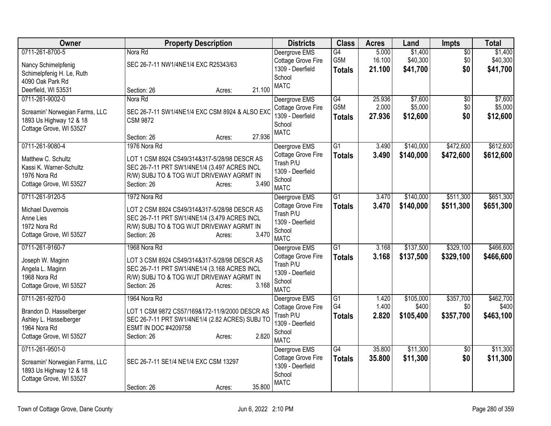| Owner                                                                                                           | <b>Property Description</b>                                                                                                                                                                 | <b>Districts</b>                                                                              | <b>Class</b>                            | <b>Acres</b>              | Land                            | Impts                         | <b>Total</b>                    |
|-----------------------------------------------------------------------------------------------------------------|---------------------------------------------------------------------------------------------------------------------------------------------------------------------------------------------|-----------------------------------------------------------------------------------------------|-----------------------------------------|---------------------------|---------------------------------|-------------------------------|---------------------------------|
| 0711-261-8700-5<br>Nancy Schimelpfenig<br>Schimelpfenig H. Le, Ruth<br>4090 Oak Park Rd<br>Deerfield, WI 53531  | Nora Rd<br>SEC 26-7-11 NW1/4NE1/4 EXC R25343/63<br>21.100<br>Section: 26<br>Acres:                                                                                                          | Deergrove EMS<br>Cottage Grove Fire<br>1309 - Deerfield<br>School<br><b>MATC</b>              | $\overline{G4}$<br>G5M<br><b>Totals</b> | 5.000<br>16.100<br>21.100 | \$1,400<br>\$40,300<br>\$41,700 | $\overline{50}$<br>\$0<br>\$0 | \$1,400<br>\$40,300<br>\$41,700 |
| 0711-261-9002-0<br>Screamin' Norwegian Farms, LLC<br>1893 Us Highway 12 & 18<br>Cottage Grove, WI 53527         | Nora Rd<br>SEC 26-7-11 SW1/4NE1/4 EXC CSM 8924 & ALSO EXC<br><b>CSM 9872</b><br>27.936<br>Section: 26<br>Acres:                                                                             | Deergrove EMS<br>Cottage Grove Fire<br>1309 - Deerfield<br>School<br><b>MATC</b>              | G4<br>G <sub>5</sub> M<br><b>Totals</b> | 25.936<br>2.000<br>27,936 | \$7,600<br>\$5,000<br>\$12,600  | \$0<br>\$0<br>\$0             | \$7,600<br>\$5,000<br>\$12,600  |
| 0711-261-9080-4<br>Matthew C. Schultz<br>Kassi K. Warner-Schultz<br>1976 Nora Rd<br>Cottage Grove, WI 53527     | 1976 Nora Rd<br>LOT 1 CSM 8924 CS49/314&317-5/28/98 DESCR AS<br>SEC 26-7-11 PRT SW1/4NE1/4 (3.497 ACRES INCL<br>R/W) SUBJ TO & TOG W/JT DRIVEWAY AGRMT IN<br>3.490<br>Section: 26<br>Acres: | Deergrove EMS<br>Cottage Grove Fire<br>Trash P/U<br>1309 - Deerfield<br>School<br><b>MATC</b> | $\overline{G1}$<br><b>Totals</b>        | 3.490<br>3.490            | \$140,000<br>\$140,000          | \$472,600<br>\$472,600        | \$612,600<br>\$612,600          |
| 0711-261-9120-5<br>Michael Duvernois<br>Anne Lies<br>1972 Nora Rd<br>Cottage Grove, WI 53527                    | 1972 Nora Rd<br>LOT 2 CSM 8924 CS49/314&317-5/28/98 DESCR AS<br>SEC 26-7-11 PRT SW1/4NE1/4 (3.479 ACRES INCL<br>R/W) SUBJ TO & TOG W/JT DRIVEWAY AGRMT IN<br>3.470<br>Section: 26<br>Acres: | Deergrove EMS<br>Cottage Grove Fire<br>Trash P/U<br>1309 - Deerfield<br>School<br><b>MATC</b> | $\overline{G1}$<br><b>Totals</b>        | 3.470<br>3.470            | \$140,000<br>\$140,000          | \$511,300<br>\$511,300        | \$651,300<br>\$651,300          |
| 0711-261-9160-7<br>Joseph W. Maginn<br>Angela L. Maginn<br>1968 Nora Rd<br>Cottage Grove, WI 53527              | 1968 Nora Rd<br>LOT 3 CSM 8924 CS49/314&317-5/28/98 DESCR AS<br>SEC 26-7-11 PRT SW1/4NE1/4 (3.168 ACRES INCL<br>R/W) SUBJ TO & TOG W/JT DRIVEWAY AGRMT IN<br>3.168<br>Section: 26<br>Acres: | Deergrove EMS<br>Cottage Grove Fire<br>Trash P/U<br>1309 - Deerfield<br>School<br><b>MATC</b> | $\overline{G1}$<br><b>Totals</b>        | 3.168<br>3.168            | \$137,500<br>\$137,500          | \$329,100<br>\$329,100        | \$466,600<br>\$466,600          |
| 0711-261-9270-0<br>Brandon D. Hasselberger<br>Ashley L. Hasselberger<br>1964 Nora Rd<br>Cottage Grove, WI 53527 | 1964 Nora Rd<br>LOT 1 CSM 9872 CS57/169&172-11/9/2000 DESCR AS<br>SEC 26-7-11 PRT SW1/4NE1/4 (2.82 ACRES) SUBJ TO<br>ESMT IN DOC #4209758<br>2.820<br>Section: 26<br>Acres:                 | Deergrove EMS<br>Cottage Grove Fire<br>Trash P/U<br>1309 - Deerfield<br>School<br><b>MATC</b> | G1<br>G4<br><b>Totals</b>               | 1.420<br>1.400<br>2.820   | \$105,000<br>\$400<br>\$105,400 | \$357,700<br>\$0<br>\$357,700 | \$462,700<br>\$400<br>\$463,100 |
| 0711-261-9501-0<br>Screamin' Norwegian Farms, LLC<br>1893 Us Highway 12 & 18<br>Cottage Grove, WI 53527         | SEC 26-7-11 SE1/4 NE1/4 EXC CSM 13297<br>35.800<br>Section: 26<br>Acres:                                                                                                                    | Deergrove EMS<br>Cottage Grove Fire<br>1309 - Deerfield<br>School<br><b>MATC</b>              | G4<br><b>Totals</b>                     | 35.800<br>35.800          | \$11,300<br>\$11,300            | $\overline{50}$<br>\$0        | \$11,300<br>\$11,300            |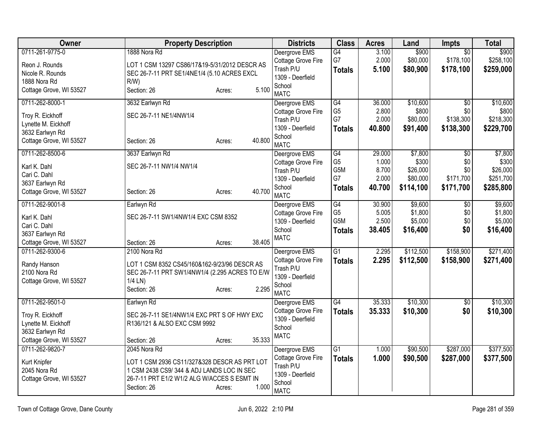| <b>Owner</b>            | <b>Property Description</b>                    | <b>Districts</b>                       | <b>Class</b>                       | <b>Acres</b>   | Land               | Impts           | <b>Total</b>       |
|-------------------------|------------------------------------------------|----------------------------------------|------------------------------------|----------------|--------------------|-----------------|--------------------|
| 0711-261-9775-0         | 1888 Nora Rd                                   | Deergrove EMS                          | G4                                 | 3.100          | \$900              | $\overline{30}$ | \$900              |
| Reon J. Rounds          | LOT 1 CSM 13297 CS86/17&19-5/31/2012 DESCR AS  | Cottage Grove Fire                     | G7                                 | 2.000          | \$80,000           | \$178,100       | \$258,100          |
| Nicole R. Rounds        | SEC 26-7-11 PRT SE1/4NE1/4 (5.10 ACRES EXCL    | Trash P/U                              | <b>Totals</b>                      | 5.100          | \$80,900           | \$178,100       | \$259,000          |
| 1888 Nora Rd            | R/W                                            | 1309 - Deerfield                       |                                    |                |                    |                 |                    |
| Cottage Grove, WI 53527 | 5.100<br>Section: 26<br>Acres:                 | School<br><b>MATC</b>                  |                                    |                |                    |                 |                    |
| 0711-262-8000-1         | 3632 Earlwyn Rd                                | Deergrove EMS                          | $\overline{G4}$                    | 36.000         | \$10,600           | $\overline{50}$ | \$10,600           |
|                         |                                                | Cottage Grove Fire                     | G <sub>5</sub>                     | 2.800          | \$800              | \$0             | \$800              |
| Troy R. Eickhoff        | SEC 26-7-11 NE1/4NW1/4                         | Trash P/U                              | G7                                 | 2.000          | \$80,000           | \$138,300       | \$218,300          |
| Lynette M. Eickhoff     |                                                | 1309 - Deerfield                       | <b>Totals</b>                      | 40.800         | \$91,400           | \$138,300       | \$229,700          |
| 3632 Earlwyn Rd         |                                                | School                                 |                                    |                |                    |                 |                    |
| Cottage Grove, WI 53527 | 40.800<br>Section: 26<br>Acres:                | <b>MATC</b>                            |                                    |                |                    |                 |                    |
| 0711-262-8500-6         | 3637 Earlwyn Rd                                | Deergrove EMS                          | $\overline{G4}$                    | 29.000         | \$7,800            | \$0             | \$7,800            |
| Karl K. Dahl            | SEC 26-7-11 NW1/4 NW1/4                        | Cottage Grove Fire                     | G <sub>5</sub>                     | 1.000          | \$300              | \$0             | \$300              |
| Cari C. Dahl            |                                                | Trash P/U                              | G <sub>5</sub> M                   | 8.700          | \$26,000           | \$0             | \$26,000           |
| 3637 Earlwyn Rd         |                                                | 1309 - Deerfield                       | G7                                 | 2.000          | \$80,000           | \$171,700       | \$251,700          |
| Cottage Grove, WI 53527 | 40.700<br>Section: 26<br>Acres:                | School                                 | <b>Totals</b>                      | 40.700         | \$114,100          | \$171,700       | \$285,800          |
|                         |                                                | <b>MATC</b>                            |                                    |                |                    |                 |                    |
| 0711-262-9001-8         | Earlwyn Rd                                     | Deergrove EMS                          | G4                                 | 30.900         | \$9,600            | $\overline{50}$ | \$9,600            |
| Karl K. Dahl            | SEC 26-7-11 SW1/4NW1/4 EXC CSM 8352            | Cottage Grove Fire<br>1309 - Deerfield | G <sub>5</sub><br>G <sub>5</sub> M | 5.005<br>2.500 | \$1,800<br>\$5,000 | \$0<br>\$0      | \$1,800<br>\$5,000 |
| Cari C. Dahl            |                                                | School                                 |                                    | 38.405         |                    | \$0             |                    |
| 3637 Earlwyn Rd         |                                                | <b>MATC</b>                            | <b>Totals</b>                      |                | \$16,400           |                 | \$16,400           |
| Cottage Grove, WI 53527 | 38.405<br>Section: 26<br>Acres:                |                                        |                                    |                |                    |                 |                    |
| 0711-262-9300-6         | 2100 Nora Rd                                   | Deergrove EMS                          | $\overline{G1}$                    | 2.295          | \$112,500          | \$158,900       | \$271,400          |
| Randy Hanson            | LOT 1 CSM 8352 CS45/160&162-9/23/96 DESCR AS   | Cottage Grove Fire                     | <b>Totals</b>                      | 2.295          | \$112,500          | \$158,900       | \$271,400          |
| 2100 Nora Rd            | SEC 26-7-11 PRT SW1/4NW1/4 (2.295 ACRES TO E/W | Trash P/U                              |                                    |                |                    |                 |                    |
| Cottage Grove, WI 53527 | 1/4 LN)                                        | 1309 - Deerfield                       |                                    |                |                    |                 |                    |
|                         | 2.295<br>Section: 26<br>Acres:                 | School<br><b>MATC</b>                  |                                    |                |                    |                 |                    |
| 0711-262-9501-0         | Earlwyn Rd                                     | Deergrove EMS                          | $\overline{G4}$                    | 35.333         | \$10,300           | $\overline{50}$ | \$10,300           |
|                         |                                                | Cottage Grove Fire                     | <b>Totals</b>                      | 35.333         | \$10,300           | \$0             | \$10,300           |
| Troy R. Eickhoff        | SEC 26-7-11 SE1/4NW1/4 EXC PRT S OF HWY EXC    | 1309 - Deerfield                       |                                    |                |                    |                 |                    |
| Lynette M. Eickhoff     | R136/121 & ALSO EXC CSM 9992                   | School                                 |                                    |                |                    |                 |                    |
| 3632 Earlwyn Rd         |                                                | <b>MATC</b>                            |                                    |                |                    |                 |                    |
| Cottage Grove, WI 53527 | 35.333<br>Section: 26<br>Acres:                |                                        |                                    |                |                    |                 |                    |
| 0711-262-9820-7         | 2045 Nora Rd                                   | Deergrove EMS                          | $\overline{G1}$                    | 1.000          | \$90,500           | \$287,000       | \$377,500          |
| Kurt Knipfer            | LOT 1 CSM 2936 CS11/327&328 DESCR AS PRT LOT   | Cottage Grove Fire<br>Trash P/U        | <b>Totals</b>                      | 1.000          | \$90,500           | \$287,000       | \$377,500          |
| 2045 Nora Rd            | 1 CSM 2438 CS9/344 & ADJ LANDS LOC IN SEC      | 1309 - Deerfield                       |                                    |                |                    |                 |                    |
| Cottage Grove, WI 53527 | 26-7-11 PRT E1/2 W1/2 ALG W/ACCES S ESMT IN    | School                                 |                                    |                |                    |                 |                    |
|                         | 1.000<br>Section: 26<br>Acres:                 | <b>MATC</b>                            |                                    |                |                    |                 |                    |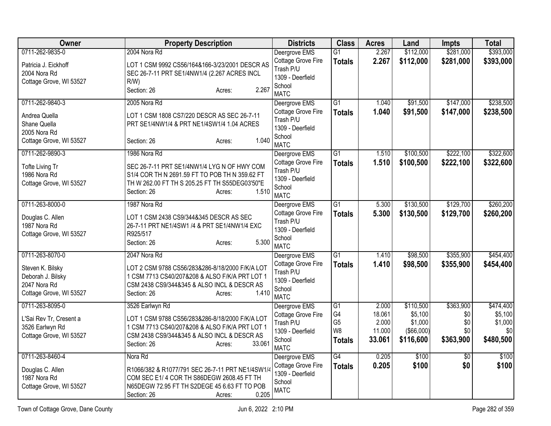| Owner                                | <b>Property Description</b>                                                                    | <b>Districts</b>                | <b>Class</b>          | <b>Acres</b>    | Land               | <b>Impts</b>    | <b>Total</b>       |
|--------------------------------------|------------------------------------------------------------------------------------------------|---------------------------------|-----------------------|-----------------|--------------------|-----------------|--------------------|
| 0711-262-9835-0                      | 2004 Nora Rd                                                                                   | Deergrove EMS                   | G1                    | 2.267           | \$112,000          | \$281,000       | \$393,000          |
| Patricia J. Eickhoff<br>2004 Nora Rd | LOT 1 CSM 9992 CS56/164&166-3/23/2001 DESCR AS<br>SEC 26-7-11 PRT SE1/4NW1/4 (2.267 ACRES INCL | Cottage Grove Fire<br>Trash P/U | <b>Totals</b>         | 2.267           | \$112,000          | \$281,000       | \$393,000          |
| Cottage Grove, WI 53527              | R/W                                                                                            | 1309 - Deerfield                |                       |                 |                    |                 |                    |
|                                      | 2.267<br>Section: 26<br>Acres:                                                                 | School<br><b>MATC</b>           |                       |                 |                    |                 |                    |
| 0711-262-9840-3                      | 2005 Nora Rd                                                                                   | Deergrove EMS                   | $\overline{G1}$       | 1.040           | \$91,500           | \$147,000       | \$238,500          |
| Andrea Quella                        | LOT 1 CSM 1808 CS7/220 DESCR AS SEC 26-7-11                                                    | Cottage Grove Fire              | <b>Totals</b>         | 1.040           | \$91,500           | \$147,000       | \$238,500          |
| Shane Quella                         | PRT SE1/4NW1/4 & PRT NE1/4SW1/4 1.04 ACRES                                                     | Trash P/U                       |                       |                 |                    |                 |                    |
| 2005 Nora Rd                         |                                                                                                | 1309 - Deerfield<br>School      |                       |                 |                    |                 |                    |
| Cottage Grove, WI 53527              | 1.040<br>Section: 26<br>Acres:                                                                 | <b>MATC</b>                     |                       |                 |                    |                 |                    |
| 0711-262-9890-3                      | 1986 Nora Rd                                                                                   | Deergrove EMS                   | G1                    | 1.510           | \$100,500          | \$222,100       | \$322,600          |
| Tofte Living Tr                      | SEC 26-7-11 PRT SE1/4NW1/4 LYG N OF HWY COM                                                    | Cottage Grove Fire              | <b>Totals</b>         | 1.510           | \$100,500          | \$222,100       | \$322,600          |
| 1986 Nora Rd                         | S1/4 COR TH N 2691.59 FT TO POB TH N 359.62 FT                                                 | Trash P/U<br>1309 - Deerfield   |                       |                 |                    |                 |                    |
| Cottage Grove, WI 53527              | TH W 262.00 FT TH S 205.25 FT TH S55DEG03'50"E                                                 | School                          |                       |                 |                    |                 |                    |
|                                      | 1.510<br>Section: 26<br>Acres:                                                                 | <b>MATC</b>                     |                       |                 |                    |                 |                    |
| 0711-263-8000-0                      | 1987 Nora Rd                                                                                   | Deergrove EMS                   | G1                    | 5.300           | \$130,500          | \$129,700       | \$260,200          |
| Douglas C. Allen                     | LOT 1 CSM 2438 CS9/344&345 DESCR AS SEC                                                        | Cottage Grove Fire              | <b>Totals</b>         | 5.300           | \$130,500          | \$129,700       | \$260,200          |
| 1987 Nora Rd                         | 26-7-11 PRT NE1/4SW1 /4 & PRT SE1/4NW1/4 EXC                                                   | Trash P/U                       |                       |                 |                    |                 |                    |
| Cottage Grove, WI 53527              | R925/517                                                                                       | 1309 - Deerfield                |                       |                 |                    |                 |                    |
|                                      | 5.300<br>Section: 26<br>Acres:                                                                 | School<br><b>MATC</b>           |                       |                 |                    |                 |                    |
| 0711-263-8070-0                      | 2047 Nora Rd                                                                                   | Deergrove EMS                   | G <sub>1</sub>        | 1.410           | \$98,500           | \$355,900       | \$454,400          |
|                                      |                                                                                                | Cottage Grove Fire              | <b>Totals</b>         | 1.410           | \$98,500           | \$355,900       | \$454,400          |
| Steven K. Bilsky                     | LOT 2 CSM 9788 CS56/283&286-8/18/2000 F/K/A LOT                                                | Trash P/U                       |                       |                 |                    |                 |                    |
| Deborah J. Bilsky<br>2047 Nora Rd    | 1 CSM 7713 CS40/207&208 & ALSO F/K/A PRT LOT 1<br>CSM 2438 CS9/344&345 & ALSO INCL & DESCR AS  | 1309 - Deerfield                |                       |                 |                    |                 |                    |
| Cottage Grove, WI 53527              | 1.410<br>Section: 26<br>Acres:                                                                 | School                          |                       |                 |                    |                 |                    |
|                                      |                                                                                                | <b>MATC</b>                     |                       |                 |                    |                 |                    |
| 0711-263-8095-0                      | 3526 Earlwyn Rd                                                                                | Deergrove EMS                   | $\overline{G1}$<br>G4 | 2.000           | \$110,500          | \$363,900       | \$474,400          |
| L'Sai Rev Tr, Cresent a              | LOT 1 CSM 9788 CS56/283&286-8/18/2000 F/K/A LOT                                                | Cottage Grove Fire<br>Trash P/U | G <sub>5</sub>        | 18.061<br>2.000 | \$5,100<br>\$1,000 | \$0<br>\$0      | \$5,100<br>\$1,000 |
| 3526 Earlwyn Rd                      | 1 CSM 7713 CS40/207&208 & ALSO F/K/A PRT LOT 1                                                 | 1309 - Deerfield                | W <sub>8</sub>        | 11.000          | $($ \$66,000) $ $  | \$0             | \$0                |
| Cottage Grove, WI 53527              | CSM 2438 CS9/344&345 & ALSO INCL & DESCR AS                                                    | School                          | <b>Totals</b>         | 33.061          | \$116,600          | \$363,900       | \$480,500          |
|                                      | 33.061<br>Section: 26<br>Acres:                                                                | <b>MATC</b>                     |                       |                 |                    |                 |                    |
| 0711-263-8460-4                      | Nora Rd                                                                                        | Deergrove EMS                   | G4                    | 0.205           | \$100              | $\overline{50}$ | \$100              |
| Douglas C. Allen                     | R1066/382 & R1077/791 SEC 26-7-11 PRT NE1/4SW1/4                                               | Cottage Grove Fire              | <b>Totals</b>         | 0.205           | \$100              | \$0             | \$100              |
| 1987 Nora Rd                         | COM SEC E1/4 COR TH S86DEGW 2608.45 FT TH                                                      | 1309 - Deerfield                |                       |                 |                    |                 |                    |
| Cottage Grove, WI 53527              | N65DEGW 72.95 FT TH S2DEGE 45 6.63 FT TO POB                                                   | School<br><b>MATC</b>           |                       |                 |                    |                 |                    |
|                                      | 0.205<br>Section: 26<br>Acres:                                                                 |                                 |                       |                 |                    |                 |                    |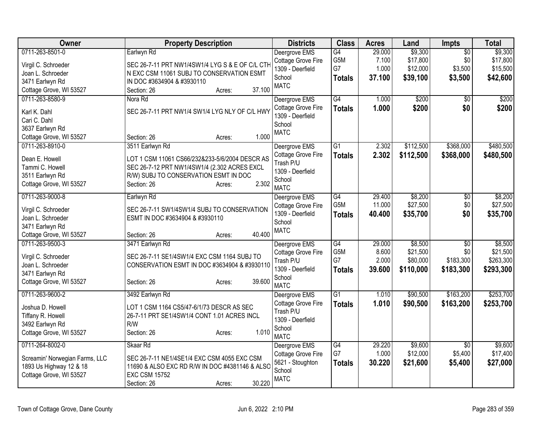| Owner                                                                                                     | <b>Property Description</b>                                                                                                                                                                  | <b>Districts</b>                                                                              | <b>Class</b>                                  | <b>Acres</b>                       | Land                                         | Impts                                            | <b>Total</b>                                  |
|-----------------------------------------------------------------------------------------------------------|----------------------------------------------------------------------------------------------------------------------------------------------------------------------------------------------|-----------------------------------------------------------------------------------------------|-----------------------------------------------|------------------------------------|----------------------------------------------|--------------------------------------------------|-----------------------------------------------|
| 0711-263-8501-0<br>Virgil C. Schroeder<br>Joan L. Schroeder<br>3471 Earlwyn Rd<br>Cottage Grove, WI 53527 | Earlwyn Rd<br>SEC 26-7-11 PRT NW1/4SW1/4 LYG S & E OF C/L CTH<br>N EXC CSM 11061 SUBJ TO CONSERVATION ESMT<br>IN DOC #3634904 & #3930110<br>37.100<br>Section: 26<br>Acres:                  | Deergrove EMS<br>Cottage Grove Fire<br>1309 - Deerfield<br>School<br><b>MATC</b>              | G4<br>G5M<br>G7<br><b>Totals</b>              | 29.000<br>7.100<br>1.000<br>37.100 | \$9,300<br>\$17,800<br>\$12,000<br>\$39,100  | $\overline{50}$<br>\$0<br>\$3,500<br>\$3,500     | \$9,300<br>\$17,800<br>\$15,500<br>\$42,600   |
| 0711-263-8580-9<br>Karl K. Dahl<br>Cari C. Dahl<br>3637 Earlwyn Rd<br>Cottage Grove, WI 53527             | Nora Rd<br>SEC 26-7-11 PRT NW1/4 SW1/4 LYG NLY OF C/L HWY<br>1.000<br>Section: 26<br>Acres:                                                                                                  | Deergrove EMS<br>Cottage Grove Fire<br>1309 - Deerfield<br>School<br><b>MATC</b>              | G4<br><b>Totals</b>                           | 1.000<br>1.000                     | \$200<br>\$200                               | \$0<br>\$0                                       | \$200<br>\$200                                |
| 0711-263-8910-0<br>Dean E. Howell<br>Tammi C. Howell<br>3511 Earlwyn Rd<br>Cottage Grove, WI 53527        | 3511 Earlwyn Rd<br>LOT 1 CSM 11061 CS66/232&233-5/6/2004 DESCR AS<br>SEC 26-7-12 PRT NW1/4SW1/4 (2.302 ACRES EXCL<br>R/W) SUBJ TO CONSERVATION ESMT IN DOC<br>2.302<br>Section: 26<br>Acres: | Deergrove EMS<br>Cottage Grove Fire<br>Trash P/U<br>1309 - Deerfield<br>School<br><b>MATC</b> | $\overline{G1}$<br><b>Totals</b>              | 2.302<br>2.302                     | \$112,500<br>\$112,500                       | \$368,000<br>\$368,000                           | \$480,500<br>\$480,500                        |
| 0711-263-9000-8<br>Virgil C. Schroeder<br>Joan L. Schroeder<br>3471 Earlwyn Rd<br>Cottage Grove, WI 53527 | Earlwyn Rd<br>SEC 26-7-11 SW1/4SW1/4 SUBJ TO CONSERVATION<br>ESMT IN DOC #3634904 & #3930110<br>40.400<br>Section: 26<br>Acres:                                                              | Deergrove EMS<br>Cottage Grove Fire<br>1309 - Deerfield<br>School<br><b>MATC</b>              | G4<br>G5M<br><b>Totals</b>                    | 29.400<br>11.000<br>40.400         | \$8,200<br>\$27,500<br>\$35,700              | $\overline{50}$<br>\$0<br>\$0                    | \$8,200<br>\$27,500<br>\$35,700               |
| 0711-263-9500-3<br>Virgil C. Schroeder<br>Joan L. Schroeder<br>3471 Earlwyn Rd<br>Cottage Grove, WI 53527 | 3471 Earlwyn Rd<br>SEC 26-7-11 SE1/4SW1/4 EXC CSM 1164 SUBJ TO<br>CONSERVATION ESMT IN DOC #3634904 & #3930110<br>39.600<br>Section: 26<br>Acres:                                            | Deergrove EMS<br>Cottage Grove Fire<br>Trash P/U<br>1309 - Deerfield<br>School<br><b>MATC</b> | G4<br>G <sub>5</sub> M<br>G7<br><b>Totals</b> | 29.000<br>8.600<br>2.000<br>39.600 | \$8,500<br>\$21,500<br>\$80,000<br>\$110,000 | $\overline{50}$<br>\$0<br>\$183,300<br>\$183,300 | \$8,500<br>\$21,500<br>\$263,300<br>\$293,300 |
| 0711-263-9600-2<br>Joshua D. Howell<br>Tiffany R. Howell<br>3492 Earlwyn Rd<br>Cottage Grove, WI 53527    | 3492 Earlwyn Rd<br>LOT 1 CSM 1164 CS5/47-6/1/73 DESCR AS SEC<br>26-7-11 PRT SE1/4SW1/4 CONT 1.01 ACRES INCL<br>R/W<br>1.010<br>Section: 26<br>Acres:                                         | Deergrove EMS<br>Cottage Grove Fire<br>Trash P/U<br>1309 - Deerfield<br>School<br><b>MATC</b> | $\overline{G1}$<br><b>Totals</b>              | 1.010<br>1.010                     | \$90,500<br>\$90,500                         | \$163,200<br>\$163,200                           | \$253,700<br>\$253,700                        |
| 0711-264-8002-0<br>Screamin' Norwegian Farms, LLC<br>1893 Us Highway 12 & 18<br>Cottage Grove, WI 53527   | Skaar Rd<br>SEC 26-7-11 NE1/4SE1/4 EXC CSM 4055 EXC CSM<br>11690 & ALSO EXC RD R/W IN DOC #4381146 & ALSO<br><b>EXC CSM 15752</b><br>30.220<br>Section: 26<br>Acres:                         | Deergrove EMS<br>Cottage Grove Fire<br>5621 - Stoughton<br>School<br><b>MATC</b>              | $\overline{G4}$<br>G7<br><b>Totals</b>        | 29.220<br>1.000<br>30.220          | \$9,600<br>\$12,000<br>\$21,600              | \$0<br>\$5,400<br>\$5,400                        | \$9,600<br>\$17,400<br>\$27,000               |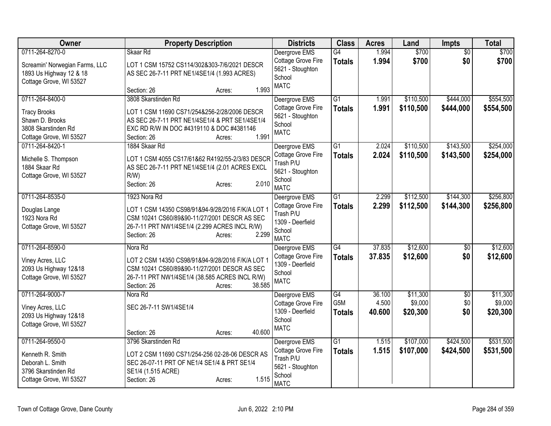| Owner                                                                                                       | <b>Property Description</b>                                                                                                                                                                                                            | <b>Districts</b>                                                                                     | <b>Class</b>                                         | <b>Acres</b>              | Land                            | <b>Impts</b>                  | <b>Total</b>                    |
|-------------------------------------------------------------------------------------------------------------|----------------------------------------------------------------------------------------------------------------------------------------------------------------------------------------------------------------------------------------|------------------------------------------------------------------------------------------------------|------------------------------------------------------|---------------------------|---------------------------------|-------------------------------|---------------------------------|
| 0711-264-8270-0<br>Screamin' Norwegian Farms, LLC<br>1893 Us Highway 12 & 18<br>Cottage Grove, WI 53527     | Skaar Rd<br>LOT 1 CSM 15752 CS114/302&303-7/6/2021 DESCR<br>AS SEC 26-7-11 PRT NE1/4SE1/4 (1.993 ACRES)                                                                                                                                | Deergrove EMS<br>Cottage Grove Fire<br>5621 - Stoughton<br>School<br><b>MATC</b>                     | G4<br><b>Totals</b>                                  | 1.994<br>1.994            | \$700<br>\$700                  | $\overline{50}$<br>\$0        | \$700<br>\$700                  |
| 0711-264-8400-0<br><b>Tracy Brooks</b><br>Shawn D. Brooks<br>3808 Skarstinden Rd<br>Cottage Grove, WI 53527 | 1.993<br>Section: 26<br>Acres:<br>3808 Skarstinden Rd<br>LOT 1 CSM 11690 CS71/254&256-2/28/2006 DESCR<br>AS SEC 26-7-11 PRT NE1/4SE1/4 & PRT SE1/4SE1/4<br>EXC RD R/W IN DOC #4319110 & DOC #4381146<br>1.991<br>Section: 26<br>Acres: | Deergrove EMS<br>Cottage Grove Fire<br>5621 - Stoughton<br>School<br><b>MATC</b>                     | G1<br><b>Totals</b>                                  | 1.991<br>1.991            | \$110,500<br>\$110,500          | \$444,000<br>\$444,000        | \$554,500<br>\$554,500          |
| 0711-264-8420-1<br>Michelle S. Thompson<br>1884 Skaar Rd<br>Cottage Grove, WI 53527                         | 1884 Skaar Rd<br>LOT 1 CSM 4055 CS17/61&62 R4192/55-2/3/83 DESCR<br>AS SEC 26-7-11 PRT NE1/4SE1/4 (2.01 ACRES EXCL<br>$R/W$ )<br>2.010<br>Section: 26<br>Acres:                                                                        | Deergrove EMS<br>Cottage Grove Fire<br>Trash P/U<br>5621 - Stoughton<br>School<br><b>MATC</b>        | G1<br><b>Totals</b>                                  | 2.024<br>2.024            | \$110,500<br>\$110,500          | \$143,500<br>\$143,500        | \$254,000<br>\$254,000          |
| 0711-264-8535-0<br>Douglas Lange<br>1923 Nora Rd<br>Cottage Grove, WI 53527                                 | 1923 Nora Rd<br>LOT 1 CSM 14350 CS98/91&94-9/28/2016 F/K/A LOT 1<br>CSM 10241 CS60/89&90-11/27/2001 DESCR AS SEC<br>26-7-11 PRT NW1/4SE1/4 (2.299 ACRES INCL R/W)<br>2.299<br>Section: 26<br>Acres:                                    | Deergrove EMS<br>Cottage Grove Fire<br>Trash P/U<br>1309 - Deerfield<br>School<br><b>MATC</b>        | $\overline{G1}$<br><b>Totals</b>                     | 2.299<br>2.299            | \$112,500<br>\$112,500          | \$144,300<br>\$144,300        | \$256,800<br>\$256,800          |
| 0711-264-8590-0<br>Viney Acres, LLC<br>2093 Us Highway 12&18<br>Cottage Grove, WI 53527                     | Nora Rd<br>LOT 2 CSM 14350 CS98/91&94-9/28/2016 F/K/A LOT 1<br>CSM 10241 CS60/89&90-11/27/2001 DESCR AS SEC<br>26-7-11 PRT NW1/4SE1/4 (38.585 ACRES INCL R/W)<br>38.585<br>Section: 26<br>Acres:                                       | Deergrove EMS<br>Cottage Grove Fire<br>1309 - Deerfield<br>School<br><b>MATC</b>                     | $\overline{G4}$<br><b>Totals</b>                     | 37.835<br>37,835          | \$12,600<br>\$12,600            | $\overline{60}$<br>\$0        | \$12,600<br>\$12,600            |
| 0711-264-9000-7<br>Viney Acres, LLC<br>2093 Us Highway 12&18<br>Cottage Grove, WI 53527                     | Nora Rd<br>SEC 26-7-11 SW1/4SE1/4<br>40.600<br>Section: 26<br>Acres:                                                                                                                                                                   | Deergrove EMS<br>Cottage Grove Fire<br>1309 - Deerfield<br>School<br><b>MATC</b>                     | $\overline{G4}$<br>G <sub>5</sub> M<br><b>Totals</b> | 36.100<br>4.500<br>40.600 | \$11,300<br>\$9,000<br>\$20,300 | $\overline{60}$<br>\$0<br>\$0 | \$11,300<br>\$9,000<br>\$20,300 |
| 0711-264-9550-0<br>Kenneth R. Smith<br>Deborah L. Smith<br>3796 Skarstinden Rd<br>Cottage Grove, WI 53527   | 3796 Skarstinden Rd<br>LOT 2 CSM 11690 CS71/254-256 02-28-06 DESCR AS<br>SEC 26-07-11 PRT OF NE1/4 SE1/4 & PRT SE1/4<br>SE1/4 (1.515 ACRE)<br>1.515<br>Section: 26<br>Acres:                                                           | Deergrove EMS<br><b>Cottage Grove Fire</b><br>Trash P/U<br>5621 - Stoughton<br>School<br><b>MATC</b> | $\overline{G1}$<br><b>Totals</b>                     | 1.515<br>1.515            | \$107,000<br>\$107,000          | \$424,500<br>\$424,500        | \$531,500<br>\$531,500          |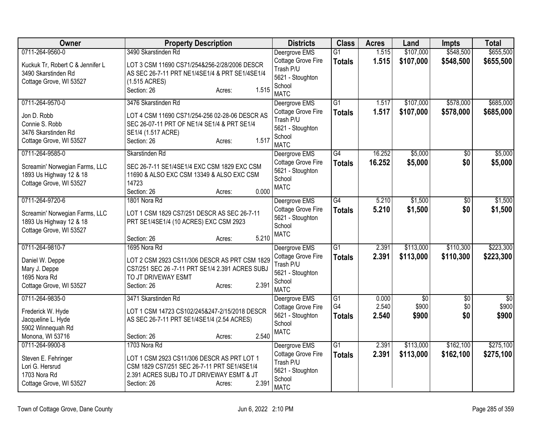| Owner                                                                                                   | <b>Property Description</b>                                                                                                                                                              | <b>Districts</b>                                                                              | <b>Class</b>                     | <b>Acres</b>     | Land                   | Impts                  | <b>Total</b>           |
|---------------------------------------------------------------------------------------------------------|------------------------------------------------------------------------------------------------------------------------------------------------------------------------------------------|-----------------------------------------------------------------------------------------------|----------------------------------|------------------|------------------------|------------------------|------------------------|
| 0711-264-9560-0                                                                                         | 3490 Skarstinden Rd                                                                                                                                                                      | Deergrove EMS                                                                                 | G1                               | 1.515            | \$107,000              | \$548,500              | \$655,500              |
| Kuckuk Tr, Robert C & Jennifer L<br>3490 Skarstinden Rd<br>Cottage Grove, WI 53527                      | LOT 3 CSM 11690 CS71/254&256-2/28/2006 DESCR<br>AS SEC 26-7-11 PRT NE1/4SE1/4 & PRT SE1/4SE1/4<br>(1.515 ACRES)<br>Section: 26<br>1.515<br>Acres:                                        | Cottage Grove Fire<br>Trash P/U<br>5621 - Stoughton<br>School<br><b>MATC</b>                  | <b>Totals</b>                    | 1.515            | \$107,000              | \$548,500              | \$655,500              |
| 0711-264-9570-0                                                                                         | 3476 Skarstinden Rd                                                                                                                                                                      | Deergrove EMS                                                                                 | $\overline{G1}$                  | 1.517            | \$107,000              | \$578,000              | \$685,000              |
| Jon D. Robb<br>Connie S. Robb<br>3476 Skarstinden Rd<br>Cottage Grove, WI 53527                         | LOT 4 CSM 11690 CS71/254-256 02-28-06 DESCR AS<br>SEC 26-07-11 PRT OF NE1/4 SE1/4 & PRT SE1/4<br>SE1/4 (1.517 ACRE)<br>1.517<br>Section: 26<br>Acres:                                    | Cottage Grove Fire<br>Trash P/U<br>5621 - Stoughton<br>School<br><b>MATC</b>                  | <b>Totals</b>                    | 1.517            | \$107,000              | \$578,000              | \$685,000              |
| 0711-264-9585-0<br>Screamin' Norwegian Farms, LLC<br>1893 Us Highway 12 & 18<br>Cottage Grove, WI 53527 | Skarstinden Rd<br>SEC 26-7-11 SE1/4SE1/4 EXC CSM 1829 EXC CSM<br>11690 & ALSO EXC CSM 13349 & ALSO EXC CSM<br>14723<br>0.000<br>Section: 26<br>Acres:                                    | Deergrove EMS<br>Cottage Grove Fire<br>5621 - Stoughton<br>School<br><b>MATC</b>              | $\overline{G4}$<br><b>Totals</b> | 16.252<br>16.252 | \$5,000<br>\$5,000     | \$0<br>\$0             | \$5,000<br>\$5,000     |
| 0711-264-9720-6                                                                                         | 1801 Nora Rd                                                                                                                                                                             | Deergrove EMS                                                                                 | $\overline{G4}$                  | 5.210            | \$1,500                | \$0                    | \$1,500                |
| Screamin' Norwegian Farms, LLC<br>1893 Us Highway 12 & 18<br>Cottage Grove, WI 53527                    | LOT 1 CSM 1829 CS7/251 DESCR AS SEC 26-7-11<br>PRT SE1/4SE1/4 (10 ACRES) EXC CSM 2923                                                                                                    | Cottage Grove Fire<br>5621 - Stoughton<br>School<br><b>MATC</b>                               | <b>Totals</b>                    | 5.210            | \$1,500                | \$0                    | \$1,500                |
| 0711-264-9810-7                                                                                         | 5.210<br>Section: 26<br>Acres:                                                                                                                                                           |                                                                                               |                                  |                  |                        | \$110,300              | \$223,300              |
| Daniel W. Deppe<br>Mary J. Deppe<br>1695 Nora Rd<br>Cottage Grove, WI 53527                             | 1695 Nora Rd<br>LOT 2 CSM 2923 CS11/306 DESCR AS PRT CSM 1829<br>CS7/251 SEC 26 -7-11 PRT SE1/4 2.391 ACRES SUBJ<br>TO JT DRIVEWAY ESMT<br>2.391<br>Section: 26<br>Acres:                | Deergrove EMS<br>Cottage Grove Fire<br>Trash P/U<br>5621 - Stoughton<br>School<br><b>MATC</b> | $\overline{G1}$<br><b>Totals</b> | 2.391<br>2.391   | \$113,000<br>\$113,000 | \$110,300              | \$223,300              |
| 0711-264-9835-0                                                                                         | 3471 Skarstinden Rd                                                                                                                                                                      | Deergrove EMS                                                                                 | $\overline{G1}$                  | 0.000            | $\overline{50}$        | $\overline{50}$        | $\sqrt{50}$            |
| Frederick W. Hyde<br>Jacqueline L. Hyde<br>5902 Winnequah Rd<br>Monona, WI 53716                        | LOT 1 CSM 14723 CS102/245&247-2/15/2018 DESCR<br>AS SEC 26-7-11 PRT SE1/4SE1/4 (2.54 ACRES)<br>2.540<br>Section: 26<br>Acres:                                                            | Cottage Grove Fire<br>5621 - Stoughton<br>School<br><b>MATC</b>                               | G4<br><b>Totals</b>              | 2.540<br>2.540   | \$900<br>\$900         | \$0<br>\$0             | \$900<br>\$900         |
| 0711-264-9900-8<br>Steven E. Fehringer<br>Lori G. Hersrud<br>1703 Nora Rd<br>Cottage Grove, WI 53527    | 1703 Nora Rd<br>LOT 1 CSM 2923 CS11/306 DESCR AS PRT LOT 1<br>CSM 1829 CS7/251 SEC 26-7-11 PRT SE1/4SE1/4<br>2.391 ACRES SUBJ TO JT DRIVEWAY ESMT & JT<br>2.391<br>Section: 26<br>Acres: | Deergrove EMS<br>Cottage Grove Fire<br>Trash P/U<br>5621 - Stoughton<br>School<br><b>MATC</b> | G1<br><b>Totals</b>              | 2.391<br>2.391   | \$113,000<br>\$113,000 | \$162,100<br>\$162,100 | \$275,100<br>\$275,100 |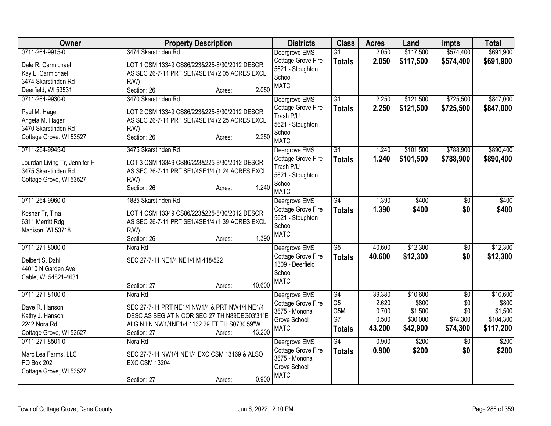| <b>Owner</b>                          | <b>Property Description</b>                               | <b>Districts</b>                    | <b>Class</b>         | <b>Acres</b>    | Land              | <b>Impts</b>           | <b>Total</b>      |
|---------------------------------------|-----------------------------------------------------------|-------------------------------------|----------------------|-----------------|-------------------|------------------------|-------------------|
| 0711-264-9915-0                       | 3474 Skarstinden Rd                                       | Deergrove EMS                       | $\overline{G1}$      | 2.050           | \$117,500         | \$574,400              | \$691,900         |
| Dale R. Carmichael                    | LOT 1 CSM 13349 CS86/223&225-8/30/2012 DESCR              | Cottage Grove Fire                  | <b>Totals</b>        | 2.050           | \$117,500         | \$574,400              | \$691,900         |
| Kay L. Carmichael                     | AS SEC 26-7-11 PRT SE1/4SE1/4 (2.05 ACRES EXCL            | 5621 - Stoughton                    |                      |                 |                   |                        |                   |
| 3474 Skarstinden Rd                   | $R/W$ )                                                   | School                              |                      |                 |                   |                        |                   |
| Deerfield, WI 53531                   | 2.050<br>Section: 26<br>Acres:                            | <b>MATC</b>                         |                      |                 |                   |                        |                   |
| 0711-264-9930-0                       | 3470 Skarstinden Rd                                       | Deergrove EMS                       | $\overline{G1}$      | 2.250           | \$121,500         | \$725,500              | \$847,000         |
| Paul M. Hager                         | LOT 2 CSM 13349 CS86/223&225-8/30/2012 DESCR              | Cottage Grove Fire                  | <b>Totals</b>        | 2.250           | \$121,500         | \$725,500              | \$847,000         |
| Angela M. Hager                       | AS SEC 26-7-11 PRT SE1/4SE1/4 (2.25 ACRES EXCL            | Trash P/U                           |                      |                 |                   |                        |                   |
| 3470 Skarstinden Rd                   | $R/W$ )                                                   | 5621 - Stoughton                    |                      |                 |                   |                        |                   |
| Cottage Grove, WI 53527               | 2.250<br>Section: 26<br>Acres:                            | School                              |                      |                 |                   |                        |                   |
|                                       |                                                           | <b>MATC</b>                         |                      |                 |                   |                        |                   |
| 0711-264-9945-0                       | 3475 Skarstinden Rd                                       | Deergrove EMS                       | $\overline{G1}$      | 1.240           | \$101,500         | \$788,900              | \$890,400         |
| Jourdan Living Tr, Jennifer H         | LOT 3 CSM 13349 CS86/223&225-8/30/2012 DESCR              | Cottage Grove Fire<br>Trash P/U     | <b>Totals</b>        | 1.240           | \$101,500         | \$788,900              | \$890,400         |
| 3475 Skarstinden Rd                   | AS SEC 26-7-11 PRT SE1/4SE1/4 (1.24 ACRES EXCL            | 5621 - Stoughton                    |                      |                 |                   |                        |                   |
| Cottage Grove, WI 53527               | R/W                                                       | School                              |                      |                 |                   |                        |                   |
|                                       | 1.240<br>Section: 26<br>Acres:                            | <b>MATC</b>                         |                      |                 |                   |                        |                   |
| 0711-264-9960-0                       | 1885 Skarstinden Rd                                       | Deergrove EMS                       | G4                   | 1.390           | \$400             | \$0                    | \$400             |
|                                       |                                                           | Cottage Grove Fire                  | <b>Totals</b>        | 1.390           | \$400             | \$0                    | \$400             |
| Kosnar Tr, Tina                       | LOT 4 CSM 13349 CS86/223&225-8/30/2012 DESCR              | 5621 - Stoughton                    |                      |                 |                   |                        |                   |
| 6311 Merritt Rdg<br>Madison, WI 53718 | AS SEC 26-7-11 PRT SE1/4SE1/4 (1.39 ACRES EXCL<br>$R/W$ ) | School                              |                      |                 |                   |                        |                   |
|                                       | 1.390<br>Section: 26<br>Acres:                            | <b>MATC</b>                         |                      |                 |                   |                        |                   |
| 0711-271-8000-0                       | Nora Rd                                                   | Deergrove EMS                       | $\overline{G5}$      | 40.600          | \$12,300          | $\overline{30}$        | \$12,300          |
|                                       |                                                           | Cottage Grove Fire                  | <b>Totals</b>        | 40.600          | \$12,300          | \$0                    | \$12,300          |
| Delbert S. Dahl                       | SEC 27-7-11 NE1/4 NE1/4 M 418/522                         | 1309 - Deerfield                    |                      |                 |                   |                        |                   |
| 44010 N Garden Ave                    |                                                           | School                              |                      |                 |                   |                        |                   |
| Cable, WI 54821-4631                  |                                                           | <b>MATC</b>                         |                      |                 |                   |                        |                   |
|                                       | 40.600<br>Section: 27<br>Acres:                           |                                     |                      |                 |                   |                        |                   |
| 0711-271-8100-0                       | Nora Rd                                                   | Deergrove EMS<br>Cottage Grove Fire | G4<br>G <sub>5</sub> | 39.380<br>2.620 | \$10,600<br>\$800 | $\overline{50}$<br>\$0 | \$10,600<br>\$800 |
| Dave R. Hanson                        | SEC 27-7-11 PRT NE1/4 NW1/4 & PRT NW1/4 NE1/4             | 3675 - Monona                       | G5M                  | 0.700           | \$1,500           | \$0                    | \$1,500           |
| Kathy J. Hanson                       | DESC AS BEG AT N COR SEC 27 TH N89DEG03'31"E              | Grove School                        | G7                   | 0.500           | \$30,000          | \$74,300               | \$104,300         |
| 2242 Nora Rd                          | ALG N LN NW1/4NE1/4 1132.29 FT TH S0730'59"W              | <b>MATC</b>                         | <b>Totals</b>        | 43.200          | \$42,900          | \$74,300               | \$117,200         |
| Cottage Grove, WI 53527               | 43.200<br>Section: 27<br>Acres:                           |                                     |                      |                 |                   |                        |                   |
| 0711-271-8501-0                       | Nora Rd                                                   | Deergrove EMS                       | G4                   | 0.900           | \$200             | $\overline{50}$        | \$200             |
| Marc Lea Farms, LLC                   | SEC 27-7-11 NW1/4 NE1/4 EXC CSM 13169 & ALSO              | Cottage Grove Fire                  | <b>Totals</b>        | 0.900           | \$200             | \$0                    | \$200             |
| PO Box 202                            | <b>EXC CSM 13204</b>                                      | 3675 - Monona                       |                      |                 |                   |                        |                   |
| Cottage Grove, WI 53527               |                                                           | Grove School<br><b>MATC</b>         |                      |                 |                   |                        |                   |
|                                       | 0.900<br>Section: 27<br>Acres:                            |                                     |                      |                 |                   |                        |                   |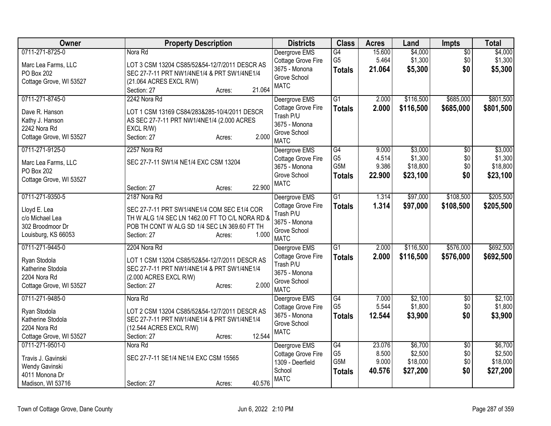| Owner                                                                                           | <b>Property Description</b>                                                                                                                                                                      | <b>Districts</b>                                                                                 | <b>Class</b>                                              | <b>Acres</b>                       | Land                                       | <b>Impts</b>                         | <b>Total</b>                               |
|-------------------------------------------------------------------------------------------------|--------------------------------------------------------------------------------------------------------------------------------------------------------------------------------------------------|--------------------------------------------------------------------------------------------------|-----------------------------------------------------------|------------------------------------|--------------------------------------------|--------------------------------------|--------------------------------------------|
| 0711-271-8725-0<br>Marc Lea Farms, LLC<br>PO Box 202<br>Cottage Grove, WI 53527                 | Nora Rd<br>LOT 3 CSM 13204 CS85/52&54-12/7/2011 DESCR AS<br>SEC 27-7-11 PRT NW1/4NE1/4 & PRT SW1/4NE1/4<br>(21.064 ACRES EXCL R/W)<br>21.064<br>Section: 27<br>Acres:                            | Deergrove EMS<br>Cottage Grove Fire<br>3675 - Monona<br>Grove School<br><b>MATC</b>              | G4<br>G <sub>5</sub><br><b>Totals</b>                     | 15.600<br>5.464<br>21.064          | \$4,000<br>\$1,300<br>\$5,300              | $\sqrt{$0}$<br>\$0<br>\$0            | \$4,000<br>\$1,300<br>\$5,300              |
| 0711-271-8745-0<br>Dave R. Hanson<br>Kathy J. Hanson<br>2242 Nora Rd<br>Cottage Grove, WI 53527 | 2242 Nora Rd<br>LOT 1 CSM 13169 CS84/283&285-10/4/2011 DESCR<br>AS SEC 27-7-11 PRT NW1/4NE1/4 (2.000 ACRES<br>EXCL R/W)<br>2.000<br>Section: 27<br>Acres:                                        | Deergrove EMS<br>Cottage Grove Fire<br>Trash P/U<br>3675 - Monona<br>Grove School<br><b>MATC</b> | $\overline{G1}$<br><b>Totals</b>                          | 2.000<br>2.000                     | \$116,500<br>\$116,500                     | \$685,000<br>\$685,000               | \$801,500<br>\$801,500                     |
| 0711-271-9125-0<br>Marc Lea Farms, LLC<br>PO Box 202<br>Cottage Grove, WI 53527                 | 2257 Nora Rd<br>SEC 27-7-11 SW1/4 NE1/4 EXC CSM 13204<br>22.900<br>Section: 27<br>Acres:                                                                                                         | Deergrove EMS<br>Cottage Grove Fire<br>3675 - Monona<br>Grove School<br><b>MATC</b>              | G4<br>G <sub>5</sub><br>G <sub>5</sub> M<br><b>Totals</b> | 9.000<br>4.514<br>9.386<br>22.900  | \$3,000<br>\$1,300<br>\$18,800<br>\$23,100 | $\overline{60}$<br>\$0<br>\$0<br>\$0 | \$3,000<br>\$1,300<br>\$18,800<br>\$23,100 |
| 0711-271-9350-5<br>Lloyd E. Lea<br>c/o Michael Lea<br>302 Broodmoor Dr<br>Louisburg, KS 66053   | 2187 Nora Rd<br>SEC 27-7-11 PRT SW1/4NE1/4 COM SEC E1/4 COR<br>TH W ALG 1/4 SEC LN 1462.00 FT TO C/L NORA RD &<br>POB TH CONT W ALG SD 1/4 SEC LN 369.60 FT TH<br>1.000<br>Section: 27<br>Acres: | Deergrove EMS<br>Cottage Grove Fire<br>Trash P/U<br>3675 - Monona<br>Grove School<br><b>MATC</b> | $\overline{G1}$<br><b>Totals</b>                          | 1.314<br>1.314                     | \$97,000<br>\$97,000                       | \$108,500<br>\$108,500               | \$205,500<br>\$205,500                     |
| 0711-271-9445-0<br>Ryan Stodola<br>Katherine Stodola<br>2204 Nora Rd<br>Cottage Grove, WI 53527 | 2204 Nora Rd<br>LOT 1 CSM 13204 CS85/52&54-12/7/2011 DESCR AS<br>SEC 27-7-11 PRT NW1/4NE1/4 & PRT SW1/4NE1/4<br>(2.000 ACRES EXCL R/W)<br>2.000<br>Section: 27<br>Acres:                         | Deergrove EMS<br>Cottage Grove Fire<br>Trash P/U<br>3675 - Monona<br>Grove School<br><b>MATC</b> | $\overline{G1}$<br><b>Totals</b>                          | 2.000<br>2.000                     | \$116,500<br>\$116,500                     | \$576,000<br>\$576,000               | \$692,500<br>\$692,500                     |
| 0711-271-9485-0<br>Ryan Stodola<br>Katherine Stodola<br>2204 Nora Rd<br>Cottage Grove, WI 53527 | Nora Rd<br>LOT 2 CSM 13204 CS85/52&54-12/7/2011 DESCR AS<br>SEC 27-7-11 PRT NW1/4NE1/4 & PRT SW1/4NE1/4<br>(12.544 ACRES EXCL R/W)<br>12.544<br>Acres:<br>Section: 27                            | Deergrove EMS<br>Cottage Grove Fire<br>3675 - Monona<br>Grove School<br><b>MATC</b>              | G4<br>G <sub>5</sub><br><b>Totals</b>                     | 7.000<br>5.544<br>12.544           | \$2,100<br>\$1,800<br>\$3,900              | $\overline{50}$<br>\$0<br>\$0        | \$2,100<br>\$1,800<br>\$3,900              |
| 0711-271-9501-0<br>Travis J. Gavinski<br>Wendy Gavinski<br>4011 Monona Dr<br>Madison, WI 53716  | Nora Rd<br>SEC 27-7-11 SE1/4 NE1/4 EXC CSM 15565<br>40.576<br>Section: 27<br>Acres:                                                                                                              | Deergrove EMS<br>Cottage Grove Fire<br>1309 - Deerfield<br>School<br><b>MATC</b>                 | G4<br>G <sub>5</sub><br>G5M<br><b>Totals</b>              | 23.076<br>8.500<br>9.000<br>40.576 | \$6,700<br>\$2,500<br>\$18,000<br>\$27,200 | $\overline{50}$<br>\$0<br>\$0<br>\$0 | \$6,700<br>\$2,500<br>\$18,000<br>\$27,200 |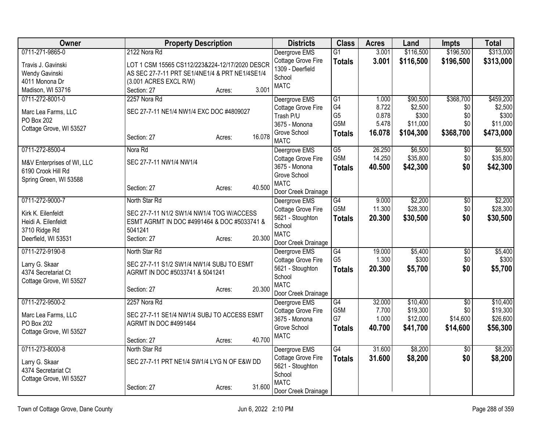| Owner                                 | <b>Property Description</b>                                                 |                  | <b>Districts</b>                       | <b>Class</b>         | <b>Acres</b>    | Land             | <b>Impts</b>           | <b>Total</b>     |
|---------------------------------------|-----------------------------------------------------------------------------|------------------|----------------------------------------|----------------------|-----------------|------------------|------------------------|------------------|
| 0711-271-9865-0                       | 2122 Nora Rd                                                                |                  | Deergrove EMS                          | $\overline{G1}$      | 3.001           | \$116,500        | \$196,500              | \$313,000        |
| Travis J. Gavinski                    | LOT 1 CSM 15565 CS112/223&224-12/17/2020 DESCR                              |                  | Cottage Grove Fire                     | <b>Totals</b>        | 3.001           | \$116,500        | \$196,500              | \$313,000        |
| Wendy Gavinski                        | AS SEC 27-7-11 PRT SE1/4NE1/4 & PRT NE1/4SE1/4                              |                  | 1309 - Deerfield                       |                      |                 |                  |                        |                  |
| 4011 Monona Dr                        | (3.001 ACRES EXCL R/W)                                                      |                  | School<br><b>MATC</b>                  |                      |                 |                  |                        |                  |
| Madison, WI 53716                     | Section: 27                                                                 | 3.001<br>Acres:  |                                        |                      |                 |                  |                        |                  |
| 0711-272-8001-0                       | 2257 Nora Rd                                                                |                  | Deergrove EMS                          | $\overline{G1}$      | 1.000           | \$90,500         | \$368,700              | \$459,200        |
| Marc Lea Farms, LLC                   | SEC 27-7-11 NE1/4 NW1/4 EXC DOC #4809027                                    |                  | Cottage Grove Fire                     | G4                   | 8.722           | \$2,500          | \$0                    | \$2,500          |
| PO Box 202                            |                                                                             |                  | Trash P/U                              | G <sub>5</sub>       | 0.878           | \$300            | \$0                    | \$300            |
| Cottage Grove, WI 53527               |                                                                             |                  | 3675 - Monona                          | G5M                  | 5.478           | \$11,000         | \$0                    | \$11,000         |
|                                       | Section: 27                                                                 | 16.078<br>Acres: | Grove School<br><b>MATC</b>            | <b>Totals</b>        | 16.078          | \$104,300        | \$368,700              | \$473,000        |
| 0711-272-8500-4                       | Nora Rd                                                                     |                  |                                        | $\overline{G5}$      | 26.250          | \$6,500          | $\overline{50}$        | \$6,500          |
|                                       |                                                                             |                  | Deergrove EMS<br>Cottage Grove Fire    | G <sub>5</sub> M     | 14.250          | \$35,800         | \$0                    | \$35,800         |
| M&V Enterprises of WI, LLC            | SEC 27-7-11 NW1/4 NW1/4                                                     |                  | 3675 - Monona                          | <b>Totals</b>        | 40.500          | \$42,300         | \$0                    | \$42,300         |
| 6190 Crook Hill Rd                    |                                                                             |                  | Grove School                           |                      |                 |                  |                        |                  |
| Spring Green, WI 53588                |                                                                             |                  | <b>MATC</b>                            |                      |                 |                  |                        |                  |
|                                       | Section: 27                                                                 | 40.500<br>Acres: | Door Creek Drainage                    |                      |                 |                  |                        |                  |
| 0711-272-9000-7                       | North Star Rd                                                               |                  | Deergrove EMS                          | G4                   | 9.000           | \$2,200          | $\frac{1}{20}$         | \$2,200          |
| Kirk K. Eilenfeldt                    | SEC 27-7-11 N1/2 SW1/4 NW1/4 TOG W/ACCESS                                   |                  | Cottage Grove Fire                     | G5M                  | 11.300          | \$28,300         | \$0                    | \$28,300         |
| Heidi A. Eilenfeldt                   | ESMT AGRMT IN DOC #4991464 & DOC #5033741 &                                 |                  | 5621 - Stoughton                       | <b>Totals</b>        | 20.300          | \$30,500         | \$0                    | \$30,500         |
| 3710 Ridge Rd                         | 5041241                                                                     |                  | School                                 |                      |                 |                  |                        |                  |
| Deerfield, WI 53531                   | Section: 27                                                                 | 20.300<br>Acres: | <b>MATC</b>                            |                      |                 |                  |                        |                  |
|                                       |                                                                             |                  | Door Creek Drainage                    |                      |                 |                  |                        |                  |
| 0711-272-9190-8                       | North Star Rd                                                               |                  | Deergrove EMS                          | G4<br>G <sub>5</sub> | 19.000<br>1.300 | \$5,400<br>\$300 | $\overline{50}$<br>\$0 | \$5,400<br>\$300 |
| Larry G. Skaar                        | SEC 27-7-11 S1/2 SW1/4 NW1/4 SUBJ TO ESMT                                   |                  | Cottage Grove Fire<br>5621 - Stoughton |                      | 20.300          | \$5,700          | \$0                    | \$5,700          |
| 4374 Secretariat Ct                   | AGRMT IN DOC #5033741 & 5041241                                             |                  | School                                 | <b>Totals</b>        |                 |                  |                        |                  |
| Cottage Grove, WI 53527               |                                                                             |                  | <b>MATC</b>                            |                      |                 |                  |                        |                  |
|                                       | Section: 27                                                                 | 20.300<br>Acres: | Door Creek Drainage                    |                      |                 |                  |                        |                  |
| 0711-272-9500-2                       | 2257 Nora Rd                                                                |                  | Deergrove EMS                          | G4                   | 32.000          | \$10,400         | $\overline{50}$        | \$10,400         |
|                                       |                                                                             |                  | Cottage Grove Fire                     | G5M                  | 7.700           | \$19,300         | \$0                    | \$19,300         |
| Marc Lea Farms, LLC<br>PO Box 202     | SEC 27-7-11 SE1/4 NW1/4 SUBJ TO ACCESS ESMT<br><b>AGRMT IN DOC #4991464</b> |                  | 3675 - Monona                          | G7                   | 1.000           | \$12,000         | \$14,600               | \$26,600         |
| Cottage Grove, WI 53527               |                                                                             |                  | Grove School                           | <b>Totals</b>        | 40.700          | \$41,700         | \$14,600               | \$56,300         |
|                                       | Section: 27                                                                 | 40.700<br>Acres: | <b>MATC</b>                            |                      |                 |                  |                        |                  |
| 0711-273-8000-8                       | North Star Rd                                                               |                  | Deergrove EMS                          | G4                   | 31.600          | \$8,200          | $\overline{50}$        | \$8,200          |
|                                       |                                                                             |                  | Cottage Grove Fire                     | <b>Totals</b>        | 31.600          | \$8,200          | \$0                    | \$8,200          |
| Larry G. Skaar<br>4374 Secretariat Ct | SEC 27-7-11 PRT NE1/4 SW1/4 LYG N OF E&W DD                                 |                  | 5621 - Stoughton                       |                      |                 |                  |                        |                  |
| Cottage Grove, WI 53527               |                                                                             |                  | School                                 |                      |                 |                  |                        |                  |
|                                       | Section: 27                                                                 | 31.600<br>Acres: | <b>MATC</b>                            |                      |                 |                  |                        |                  |
|                                       |                                                                             |                  | Door Creek Drainage                    |                      |                 |                  |                        |                  |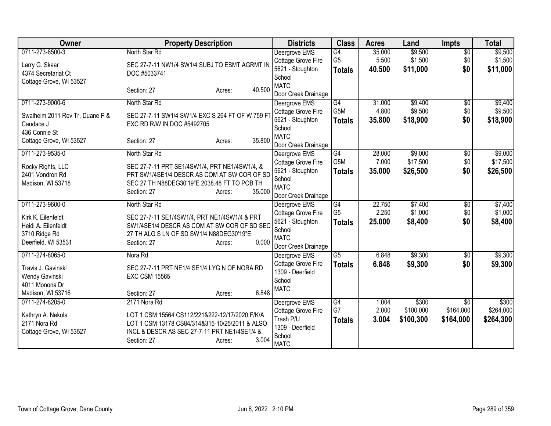| Owner                                                                                                | <b>Property Description</b>                                                                                                                                                                        | <b>Districts</b>                                                                                        | <b>Class</b>                                       | <b>Acres</b>              | Land                            | Impts                                     | <b>Total</b>                    |
|------------------------------------------------------------------------------------------------------|----------------------------------------------------------------------------------------------------------------------------------------------------------------------------------------------------|---------------------------------------------------------------------------------------------------------|----------------------------------------------------|---------------------------|---------------------------------|-------------------------------------------|---------------------------------|
| 0711-273-8500-3<br>Larry G. Skaar<br>4374 Secretariat Ct<br>Cottage Grove, WI 53527                  | North Star Rd<br>SEC 27-7-11 NW1/4 SW1/4 SUBJ TO ESMT AGRMT IN<br>DOC #5033741                                                                                                                     | Deergrove EMS<br>Cottage Grove Fire<br>5621 - Stoughton<br>School                                       | $\overline{G4}$<br>G <sub>5</sub><br><b>Totals</b> | 35.000<br>5.500<br>40.500 | \$9,500<br>\$1,500<br>\$11,000  | $\overline{50}$<br>\$0<br>\$0             | \$9,500<br>\$1,500<br>\$11,000  |
|                                                                                                      | 40.500<br>Section: 27<br>Acres:                                                                                                                                                                    | <b>MATC</b><br>Door Creek Drainage                                                                      |                                                    |                           |                                 |                                           |                                 |
| 0711-273-9000-6                                                                                      | North Star Rd                                                                                                                                                                                      | Deergrove EMS                                                                                           | G4                                                 | 31.000                    | \$9,400                         | $\sqrt{6}$                                | \$9,400                         |
| Swalheim 2011 Rev Tr, Duane P &<br>Candace J<br>436 Connie St                                        | SEC 27-7-11 SW1/4 SW1/4 EXC S 264 FT OF W 759 F<br>EXC RD R/W IN DOC #5492705                                                                                                                      | Cottage Grove Fire<br>5621 - Stoughton<br>School                                                        | G5M<br><b>Totals</b>                               | 4.800<br>35.800           | \$9,500<br>\$18,900             | \$0<br>\$0                                | \$9,500<br>\$18,900             |
| Cottage Grove, WI 53527                                                                              | 35.800<br>Section: 27<br>Acres:                                                                                                                                                                    | <b>MATC</b><br>Door Creek Drainage                                                                      |                                                    |                           |                                 |                                           |                                 |
| 0711-273-9535-0<br>Rocky Rights, LLC<br>2401 Vondron Rd<br>Madison, WI 53718                         | North Star Rd<br>SEC 27-7-11 PRT SE1/4SW1/4, PRT NE1/4SW1/4, &<br>PRT SW1/4SE1/4 DESCR AS COM AT SW COR OF SD<br>SEC 27 TH N88DEG30'19"E 2038.48 FT TO POB TH<br>35.000<br>Section: 27<br>Acres:   | Deergrove EMS<br>Cottage Grove Fire<br>5621 - Stoughton<br>School<br><b>MATC</b><br>Door Creek Drainage | G4<br>G5M<br><b>Totals</b>                         | 28.000<br>7.000<br>35.000 | \$9,000<br>\$17,500<br>\$26,500 | \$0<br>\$0<br>\$0                         | \$9,000<br>\$17,500<br>\$26,500 |
| 0711-273-9600-0<br>Kirk K. Eilenfeldt<br>Heidi A. Eilenfeldt<br>3710 Ridge Rd<br>Deerfield, WI 53531 | North Star Rd<br>SEC 27-7-11 SE1/4SW1/4, PRT NE1/4SW1/4 & PRT<br>SW1/4SE1/4 DESCR AS COM AT SW COR OF SD SEC<br>27 TH ALG S LN OF SD SW1/4 N88DEG30'19"E<br>0.000<br>Section: 27<br>Acres:         | Deergrove EMS<br>Cottage Grove Fire<br>5621 - Stoughton<br>School<br><b>MATC</b><br>Door Creek Drainage | G4<br>G <sub>5</sub><br><b>Totals</b>              | 22.750<br>2.250<br>25.000 | \$7,400<br>\$1,000<br>\$8,400   | $\overline{50}$<br>\$0<br>\$0             | \$7,400<br>\$1,000<br>\$8,400   |
| 0711-274-8065-0<br>Travis J. Gavinski<br>Wendy Gavinski<br>4011 Monona Dr<br>Madison, WI 53716       | Nora Rd<br>SEC 27-7-11 PRT NE1/4 SE1/4 LYG N OF NORA RD<br><b>EXC CSM 15565</b><br>6.848<br>Section: 27<br>Acres:                                                                                  | Deergrove EMS<br>Cottage Grove Fire<br>1309 - Deerfield<br>School<br><b>MATC</b>                        | $\overline{G5}$<br><b>Totals</b>                   | 6.848<br>6.848            | \$9,300<br>\$9,300              | \$0<br>\$0                                | \$9,300<br>\$9,300              |
| 0711-274-8205-0<br>Kathryn A. Nekola<br>2171 Nora Rd<br>Cottage Grove, WI 53527                      | 2171 Nora Rd<br>LOT 1 CSM 15564 CS112/221&222-12/17/2020 F/K/A<br>LOT 1 CSM 13178 CS84/314&315-10/25/2011 & ALSO<br>INCL & DESCR AS SEC 27-7-11 PRT NE1/4SE1/4 &<br>3.004<br>Section: 27<br>Acres: | Deergrove EMS<br>Cottage Grove Fire<br>Trash P/U<br>1309 - Deerfield<br>School<br><b>MATC</b>           | G4<br>G7<br><b>Totals</b>                          | 1.004<br>2.000<br>3.004   | \$300<br>\$100,000<br>\$100,300 | $\overline{50}$<br>\$164,000<br>\$164,000 | \$300<br>\$264,000<br>\$264,300 |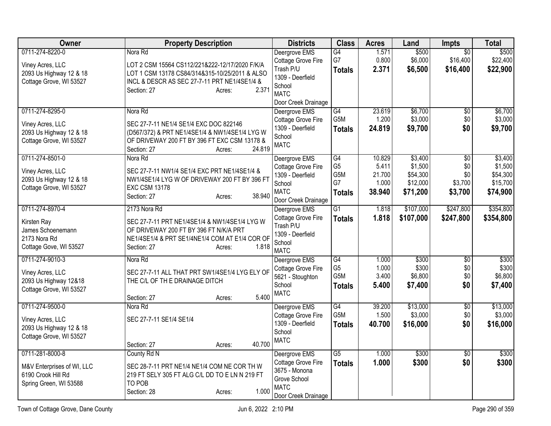| Owner                                       | <b>Property Description</b>                                                                   | <b>Districts</b>           | <b>Class</b>          | <b>Acres</b>   | Land             | Impts           | <b>Total</b>     |
|---------------------------------------------|-----------------------------------------------------------------------------------------------|----------------------------|-----------------------|----------------|------------------|-----------------|------------------|
| 0711-274-8220-0                             | Nora Rd                                                                                       | Deergrove EMS              | G4                    | 1.571          | \$500            | $\overline{50}$ | \$500            |
| Viney Acres, LLC                            | LOT 2 CSM 15564 CS112/221&222-12/17/2020 F/K/A                                                | Cottage Grove Fire         | G7                    | 0.800          | \$6,000          | \$16,400        | \$22,400         |
| 2093 Us Highway 12 & 18                     | LOT 1 CSM 13178 CS84/314&315-10/25/2011 & ALSO                                                | Trash P/U                  | <b>Totals</b>         | 2.371          | \$6,500          | \$16,400        | \$22,900         |
| Cottage Grove, WI 53527                     | INCL & DESCR AS SEC 27-7-11 PRT NE1/4SE1/4 &                                                  | 1309 - Deerfield           |                       |                |                  |                 |                  |
|                                             | 2.371<br>Section: 27<br>Acres:                                                                | School                     |                       |                |                  |                 |                  |
|                                             |                                                                                               | <b>MATC</b>                |                       |                |                  |                 |                  |
|                                             |                                                                                               | Door Creek Drainage        |                       |                |                  |                 |                  |
| 0711-274-8295-0                             | Nora Rd                                                                                       | Deergrove EMS              | G4                    | 23.619         | \$6,700          | $\overline{50}$ | \$6,700          |
| Viney Acres, LLC                            | SEC 27-7-11 NE1/4 SE1/4 EXC DOC 822146                                                        | Cottage Grove Fire         | G5M                   | 1.200          | \$3,000          | \$0             | \$3,000          |
| 2093 Us Highway 12 & 18                     | (D567/372) & PRT NE1/4SE1/4 & NW1/4SE1/4 LYG W                                                | 1309 - Deerfield           | <b>Totals</b>         | 24.819         | \$9,700          | \$0             | \$9,700          |
| Cottage Grove, WI 53527                     | OF DRIVEWAY 200 FT BY 396 FT EXC CSM 13178 &                                                  | School                     |                       |                |                  |                 |                  |
|                                             | 24.819<br>Section: 27<br>Acres:                                                               | <b>MATC</b>                |                       |                |                  |                 |                  |
| 0711-274-8501-0                             | Nora Rd                                                                                       | Deergrove EMS              | G4                    | 10.829         | \$3,400          | $\overline{50}$ | \$3,400          |
|                                             |                                                                                               | Cottage Grove Fire         | G <sub>5</sub>        | 5.411          | \$1,500          | \$0             | \$1,500          |
| Viney Acres, LLC<br>2093 Us Highway 12 & 18 | SEC 27-7-11 NW1/4 SE1/4 EXC PRT NE1/4SE1/4 &<br>NW1/4SE1/4 LYG W OF DRIVEWAY 200 FT BY 396 FT | 1309 - Deerfield           | G5M                   | 21.700         | \$54,300         | \$0             | \$54,300         |
| Cottage Grove, WI 53527                     | <b>EXC CSM 13178</b>                                                                          | School                     | G7                    | 1.000          | \$12,000         | \$3,700         | \$15,700         |
|                                             | 38.940<br>Section: 27<br>Acres:                                                               | <b>MATC</b>                | <b>Totals</b>         | 38.940         | \$71,200         | \$3,700         | \$74,900         |
|                                             |                                                                                               | Door Creek Drainage        |                       |                |                  |                 |                  |
| 0711-274-8970-4                             | 2173 Nora Rd                                                                                  | Deergrove EMS              | $\overline{G1}$       | 1.818          | \$107,000        | \$247,800       | \$354,800        |
| Kirsten Ray                                 | SEC 27-7-11 PRT NE1/4SE1/4 & NW1/4SE1/4 LYG W                                                 | Cottage Grove Fire         | <b>Totals</b>         | 1.818          | \$107,000        | \$247,800       | \$354,800        |
| James Schoenemann                           | OF DRIVEWAY 200 FT BY 396 FT N/K/A PRT                                                        | Trash P/U                  |                       |                |                  |                 |                  |
| 2173 Nora Rd                                | NE1/4SE1/4 & PRT SE1/4NE1/4 COM AT E1/4 COR OF                                                | 1309 - Deerfield           |                       |                |                  |                 |                  |
| Cottage Gove, WI 53527                      | 1.818<br>Section: 27<br>Acres:                                                                | School                     |                       |                |                  |                 |                  |
|                                             |                                                                                               | <b>MATC</b>                |                       |                |                  |                 |                  |
| 0711-274-9010-3                             | Nora Rd                                                                                       | Deergrove EMS              | G4                    | 1.000          | \$300            | $\overline{60}$ | \$300            |
| Viney Acres, LLC                            | SEC 27-7-11 ALL THAT PRT SW1/4SE1/4 LYG ELY OF                                                | Cottage Grove Fire         | G <sub>5</sub><br>G5M | 1.000<br>3.400 | \$300<br>\$6,800 | \$0<br>\$0      | \$300<br>\$6,800 |
| 2093 Us Highway 12&18                       | THE C/L OF TH E DRAINAGE DITCH                                                                | 5621 - Stoughton<br>School |                       |                |                  | \$0             |                  |
| Cottage Grove, WI 53527                     |                                                                                               | <b>MATC</b>                | <b>Totals</b>         | 5.400          | \$7,400          |                 | \$7,400          |
|                                             | 5.400<br>Section: 27<br>Acres:                                                                |                            |                       |                |                  |                 |                  |
| 0711-274-9500-0                             | Nora Rd                                                                                       | Deergrove EMS              | G4                    | 39.200         | \$13,000         | $\overline{50}$ | \$13,000         |
| Viney Acres, LLC                            | SEC 27-7-11 SE1/4 SE1/4                                                                       | Cottage Grove Fire         | G5M                   | 1.500          | \$3,000          | \$0             | \$3,000          |
| 2093 Us Highway 12 & 18                     |                                                                                               | 1309 - Deerfield           | <b>Totals</b>         | 40.700         | \$16,000         | \$0             | \$16,000         |
| Cottage Grove, WI 53527                     |                                                                                               | School                     |                       |                |                  |                 |                  |
|                                             | 40.700<br>Section: 27<br>Acres:                                                               | <b>MATC</b>                |                       |                |                  |                 |                  |
| 0711-281-8000-8                             | County Rd N                                                                                   | Deergrove EMS              | G <sub>5</sub>        | 1.000          | \$300            | \$0             | \$300            |
|                                             |                                                                                               | Cottage Grove Fire         | <b>Totals</b>         | 1.000          | \$300            | \$0             | \$300            |
| M&V Enterprises of WI, LLC                  | SEC 28-7-11 PRT NE1/4 NE1/4 COM NE COR TH W                                                   | 3675 - Monona              |                       |                |                  |                 |                  |
| 6190 Crook Hill Rd                          | 219 FT SELY 305 FT ALG C/L DD TO E LN N 219 FT                                                | Grove School               |                       |                |                  |                 |                  |
| Spring Green, WI 53588                      | TO POB                                                                                        | <b>MATC</b>                |                       |                |                  |                 |                  |
|                                             | 1.000<br>Section: 28<br>Acres:                                                                | Door Creek Drainage        |                       |                |                  |                 |                  |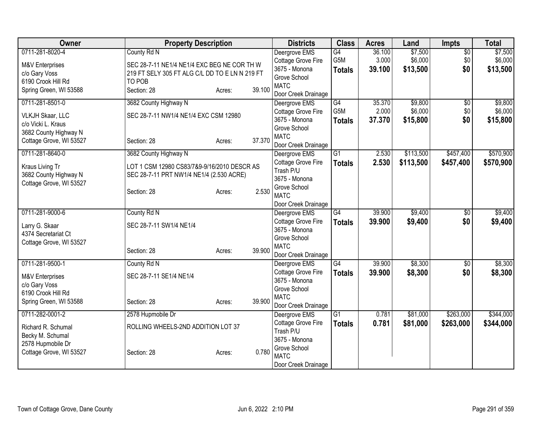| G4<br>$\overline{50}$<br>Deergrove EMS<br>36.100<br>G5M<br>3.000<br>\$6,000<br>\$6,000<br>\$0<br>Cottage Grove Fire<br>SEC 28-7-11 NE1/4 NE1/4 EXC BEG NE COR TH W<br>M&V Enterprises<br>\$0<br>3675 - Monona<br>\$13,500<br>39.100<br><b>Totals</b><br>219 FT SELY 305 FT ALG C/L DD TO E LN N 219 FT<br>c/o Gary Voss<br>Grove School<br>6190 Crook Hill Rd<br>TO POB<br><b>MATC</b><br>39.100<br>Spring Green, WI 53588<br>Section: 28<br>Acres:<br>Door Creek Drainage<br>\$9,800<br>\$9,800<br>0711-281-8501-0<br>3682 County Highway N<br>$\overline{G4}$<br>35.370<br>$\overline{60}$<br>Deergrove EMS<br>G <sub>5</sub> M<br>2.000<br>\$6,000<br>\$0<br>Cottage Grove Fire<br>SEC 28-7-11 NW1/4 NE1/4 EXC CSM 12980<br><b>VLKJH Skaar, LLC</b><br>3675 - Monona<br>37,370<br>\$15,800<br>\$0<br><b>Totals</b><br>c/o Vicki L. Kraus<br>Grove School<br>3682 County Highway N<br><b>MATC</b><br>37.370<br>Cottage Grove, WI 53527<br>Section: 28<br>Acres:<br>Door Creek Drainage<br>0711-281-8640-0<br>G1<br>\$113,500<br>\$457,400<br>3682 County Highway N<br>Deergrove EMS<br>2.530<br>Cottage Grove Fire<br>2.530<br>\$113,500<br>\$457,400<br><b>Totals</b><br>LOT 1 CSM 12980 CS83/7&9-9/16/2010 DESCR AS<br>Kraus Living Tr<br>Trash P/U<br>3682 County Highway N<br>SEC 28-7-11 PRT NW1/4 NE1/4 (2.530 ACRE)<br>3675 - Monona<br>Cottage Grove, WI 53527<br>Grove School<br>2.530<br>Section: 28<br>Acres:<br><b>MATC</b><br>Door Creek Drainage<br>G4<br>39.900<br>\$9,400<br>0711-281-9000-6<br>County Rd N<br>$\overline{30}$<br>Deergrove EMS<br>Cottage Grove Fire<br>39.900<br>\$0<br>\$9,400<br><b>Totals</b><br>SEC 28-7-11 SW1/4 NE1/4<br>Larry G. Skaar<br>3675 - Monona<br>4374 Secretariat Ct<br>Grove School<br>Cottage Grove, WI 53527<br><b>MATC</b><br>39.900<br>Section: 28<br>Acres:<br>Door Creek Drainage<br>$\overline{G4}$<br>39.900<br>\$8,300<br>0711-281-9500-1<br>$\overline{60}$<br>County Rd N<br>Deergrove EMS<br>Cottage Grove Fire<br>39.900<br>\$8,300<br>\$0<br><b>Totals</b><br>SEC 28-7-11 SE1/4 NE1/4<br>M&V Enterprises<br>3675 - Monona<br>c/o Gary Voss<br>Grove School<br>6190 Crook Hill Rd<br><b>MATC</b><br>39.900<br>Spring Green, WI 53588<br>Section: 28<br>Acres:<br>Door Creek Drainage<br>0711-282-0001-2<br>$\overline{G1}$<br>0.781<br>\$81,000<br>\$263,000<br>\$344,000<br>2578 Hupmobile Dr<br>Deergrove EMS<br>Cottage Grove Fire<br>0.781<br>\$81,000<br>\$263,000<br><b>Totals</b><br>ROLLING WHEELS-2ND ADDITION LOT 37<br>Richard R. Schumal<br>Trash P/U<br>Becky M. Schumal<br>3675 - Monona<br>2578 Hupmobile Dr<br>Grove School<br>0.780<br>Section: 28<br>Acres: | Owner                   | <b>Property Description</b> |  | <b>Districts</b> | <b>Class</b> | <b>Acres</b> | Land    | Impts | <b>Total</b> |
|--------------------------------------------------------------------------------------------------------------------------------------------------------------------------------------------------------------------------------------------------------------------------------------------------------------------------------------------------------------------------------------------------------------------------------------------------------------------------------------------------------------------------------------------------------------------------------------------------------------------------------------------------------------------------------------------------------------------------------------------------------------------------------------------------------------------------------------------------------------------------------------------------------------------------------------------------------------------------------------------------------------------------------------------------------------------------------------------------------------------------------------------------------------------------------------------------------------------------------------------------------------------------------------------------------------------------------------------------------------------------------------------------------------------------------------------------------------------------------------------------------------------------------------------------------------------------------------------------------------------------------------------------------------------------------------------------------------------------------------------------------------------------------------------------------------------------------------------------------------------------------------------------------------------------------------------------------------------------------------------------------------------------------------------------------------------------------------------------------------------------------------------------------------------------------------------------------------------------------------------------------------------------------------------------------------------------------------------------------------------------------------------------------------------------------------------------------------------------------------------------------------------------------------------------------------------------------------------------------------------------------------------------|-------------------------|-----------------------------|--|------------------|--------------|--------------|---------|-------|--------------|
| \$13,500                                                                                                                                                                                                                                                                                                                                                                                                                                                                                                                                                                                                                                                                                                                                                                                                                                                                                                                                                                                                                                                                                                                                                                                                                                                                                                                                                                                                                                                                                                                                                                                                                                                                                                                                                                                                                                                                                                                                                                                                                                                                                                                                                                                                                                                                                                                                                                                                                                                                                                                                                                                                                                         | 0711-281-8020-4         | County Rd N                 |  |                  |              |              | \$7,500 |       | \$7,500      |
|                                                                                                                                                                                                                                                                                                                                                                                                                                                                                                                                                                                                                                                                                                                                                                                                                                                                                                                                                                                                                                                                                                                                                                                                                                                                                                                                                                                                                                                                                                                                                                                                                                                                                                                                                                                                                                                                                                                                                                                                                                                                                                                                                                                                                                                                                                                                                                                                                                                                                                                                                                                                                                                  |                         |                             |  |                  |              |              |         |       |              |
|                                                                                                                                                                                                                                                                                                                                                                                                                                                                                                                                                                                                                                                                                                                                                                                                                                                                                                                                                                                                                                                                                                                                                                                                                                                                                                                                                                                                                                                                                                                                                                                                                                                                                                                                                                                                                                                                                                                                                                                                                                                                                                                                                                                                                                                                                                                                                                                                                                                                                                                                                                                                                                                  |                         |                             |  |                  |              |              |         |       |              |
|                                                                                                                                                                                                                                                                                                                                                                                                                                                                                                                                                                                                                                                                                                                                                                                                                                                                                                                                                                                                                                                                                                                                                                                                                                                                                                                                                                                                                                                                                                                                                                                                                                                                                                                                                                                                                                                                                                                                                                                                                                                                                                                                                                                                                                                                                                                                                                                                                                                                                                                                                                                                                                                  |                         |                             |  |                  |              |              |         |       |              |
|                                                                                                                                                                                                                                                                                                                                                                                                                                                                                                                                                                                                                                                                                                                                                                                                                                                                                                                                                                                                                                                                                                                                                                                                                                                                                                                                                                                                                                                                                                                                                                                                                                                                                                                                                                                                                                                                                                                                                                                                                                                                                                                                                                                                                                                                                                                                                                                                                                                                                                                                                                                                                                                  |                         |                             |  |                  |              |              |         |       |              |
| \$6,000<br>\$15,800<br>\$570,900<br>\$570,900<br>\$9,400<br>\$9,400<br>\$8,300<br>\$8,300<br>\$344,000                                                                                                                                                                                                                                                                                                                                                                                                                                                                                                                                                                                                                                                                                                                                                                                                                                                                                                                                                                                                                                                                                                                                                                                                                                                                                                                                                                                                                                                                                                                                                                                                                                                                                                                                                                                                                                                                                                                                                                                                                                                                                                                                                                                                                                                                                                                                                                                                                                                                                                                                           |                         |                             |  |                  |              |              |         |       |              |
|                                                                                                                                                                                                                                                                                                                                                                                                                                                                                                                                                                                                                                                                                                                                                                                                                                                                                                                                                                                                                                                                                                                                                                                                                                                                                                                                                                                                                                                                                                                                                                                                                                                                                                                                                                                                                                                                                                                                                                                                                                                                                                                                                                                                                                                                                                                                                                                                                                                                                                                                                                                                                                                  |                         |                             |  |                  |              |              |         |       |              |
|                                                                                                                                                                                                                                                                                                                                                                                                                                                                                                                                                                                                                                                                                                                                                                                                                                                                                                                                                                                                                                                                                                                                                                                                                                                                                                                                                                                                                                                                                                                                                                                                                                                                                                                                                                                                                                                                                                                                                                                                                                                                                                                                                                                                                                                                                                                                                                                                                                                                                                                                                                                                                                                  |                         |                             |  |                  |              |              |         |       |              |
|                                                                                                                                                                                                                                                                                                                                                                                                                                                                                                                                                                                                                                                                                                                                                                                                                                                                                                                                                                                                                                                                                                                                                                                                                                                                                                                                                                                                                                                                                                                                                                                                                                                                                                                                                                                                                                                                                                                                                                                                                                                                                                                                                                                                                                                                                                                                                                                                                                                                                                                                                                                                                                                  |                         |                             |  |                  |              |              |         |       |              |
|                                                                                                                                                                                                                                                                                                                                                                                                                                                                                                                                                                                                                                                                                                                                                                                                                                                                                                                                                                                                                                                                                                                                                                                                                                                                                                                                                                                                                                                                                                                                                                                                                                                                                                                                                                                                                                                                                                                                                                                                                                                                                                                                                                                                                                                                                                                                                                                                                                                                                                                                                                                                                                                  |                         |                             |  |                  |              |              |         |       |              |
|                                                                                                                                                                                                                                                                                                                                                                                                                                                                                                                                                                                                                                                                                                                                                                                                                                                                                                                                                                                                                                                                                                                                                                                                                                                                                                                                                                                                                                                                                                                                                                                                                                                                                                                                                                                                                                                                                                                                                                                                                                                                                                                                                                                                                                                                                                                                                                                                                                                                                                                                                                                                                                                  |                         |                             |  |                  |              |              |         |       |              |
|                                                                                                                                                                                                                                                                                                                                                                                                                                                                                                                                                                                                                                                                                                                                                                                                                                                                                                                                                                                                                                                                                                                                                                                                                                                                                                                                                                                                                                                                                                                                                                                                                                                                                                                                                                                                                                                                                                                                                                                                                                                                                                                                                                                                                                                                                                                                                                                                                                                                                                                                                                                                                                                  |                         |                             |  |                  |              |              |         |       |              |
|                                                                                                                                                                                                                                                                                                                                                                                                                                                                                                                                                                                                                                                                                                                                                                                                                                                                                                                                                                                                                                                                                                                                                                                                                                                                                                                                                                                                                                                                                                                                                                                                                                                                                                                                                                                                                                                                                                                                                                                                                                                                                                                                                                                                                                                                                                                                                                                                                                                                                                                                                                                                                                                  |                         |                             |  |                  |              |              |         |       |              |
|                                                                                                                                                                                                                                                                                                                                                                                                                                                                                                                                                                                                                                                                                                                                                                                                                                                                                                                                                                                                                                                                                                                                                                                                                                                                                                                                                                                                                                                                                                                                                                                                                                                                                                                                                                                                                                                                                                                                                                                                                                                                                                                                                                                                                                                                                                                                                                                                                                                                                                                                                                                                                                                  |                         |                             |  |                  |              |              |         |       |              |
|                                                                                                                                                                                                                                                                                                                                                                                                                                                                                                                                                                                                                                                                                                                                                                                                                                                                                                                                                                                                                                                                                                                                                                                                                                                                                                                                                                                                                                                                                                                                                                                                                                                                                                                                                                                                                                                                                                                                                                                                                                                                                                                                                                                                                                                                                                                                                                                                                                                                                                                                                                                                                                                  |                         |                             |  |                  |              |              |         |       |              |
|                                                                                                                                                                                                                                                                                                                                                                                                                                                                                                                                                                                                                                                                                                                                                                                                                                                                                                                                                                                                                                                                                                                                                                                                                                                                                                                                                                                                                                                                                                                                                                                                                                                                                                                                                                                                                                                                                                                                                                                                                                                                                                                                                                                                                                                                                                                                                                                                                                                                                                                                                                                                                                                  |                         |                             |  |                  |              |              |         |       |              |
|                                                                                                                                                                                                                                                                                                                                                                                                                                                                                                                                                                                                                                                                                                                                                                                                                                                                                                                                                                                                                                                                                                                                                                                                                                                                                                                                                                                                                                                                                                                                                                                                                                                                                                                                                                                                                                                                                                                                                                                                                                                                                                                                                                                                                                                                                                                                                                                                                                                                                                                                                                                                                                                  |                         |                             |  |                  |              |              |         |       |              |
|                                                                                                                                                                                                                                                                                                                                                                                                                                                                                                                                                                                                                                                                                                                                                                                                                                                                                                                                                                                                                                                                                                                                                                                                                                                                                                                                                                                                                                                                                                                                                                                                                                                                                                                                                                                                                                                                                                                                                                                                                                                                                                                                                                                                                                                                                                                                                                                                                                                                                                                                                                                                                                                  |                         |                             |  |                  |              |              |         |       |              |
|                                                                                                                                                                                                                                                                                                                                                                                                                                                                                                                                                                                                                                                                                                                                                                                                                                                                                                                                                                                                                                                                                                                                                                                                                                                                                                                                                                                                                                                                                                                                                                                                                                                                                                                                                                                                                                                                                                                                                                                                                                                                                                                                                                                                                                                                                                                                                                                                                                                                                                                                                                                                                                                  |                         |                             |  |                  |              |              |         |       |              |
|                                                                                                                                                                                                                                                                                                                                                                                                                                                                                                                                                                                                                                                                                                                                                                                                                                                                                                                                                                                                                                                                                                                                                                                                                                                                                                                                                                                                                                                                                                                                                                                                                                                                                                                                                                                                                                                                                                                                                                                                                                                                                                                                                                                                                                                                                                                                                                                                                                                                                                                                                                                                                                                  |                         |                             |  |                  |              |              |         |       |              |
|                                                                                                                                                                                                                                                                                                                                                                                                                                                                                                                                                                                                                                                                                                                                                                                                                                                                                                                                                                                                                                                                                                                                                                                                                                                                                                                                                                                                                                                                                                                                                                                                                                                                                                                                                                                                                                                                                                                                                                                                                                                                                                                                                                                                                                                                                                                                                                                                                                                                                                                                                                                                                                                  |                         |                             |  |                  |              |              |         |       |              |
|                                                                                                                                                                                                                                                                                                                                                                                                                                                                                                                                                                                                                                                                                                                                                                                                                                                                                                                                                                                                                                                                                                                                                                                                                                                                                                                                                                                                                                                                                                                                                                                                                                                                                                                                                                                                                                                                                                                                                                                                                                                                                                                                                                                                                                                                                                                                                                                                                                                                                                                                                                                                                                                  |                         |                             |  |                  |              |              |         |       |              |
|                                                                                                                                                                                                                                                                                                                                                                                                                                                                                                                                                                                                                                                                                                                                                                                                                                                                                                                                                                                                                                                                                                                                                                                                                                                                                                                                                                                                                                                                                                                                                                                                                                                                                                                                                                                                                                                                                                                                                                                                                                                                                                                                                                                                                                                                                                                                                                                                                                                                                                                                                                                                                                                  |                         |                             |  |                  |              |              |         |       |              |
|                                                                                                                                                                                                                                                                                                                                                                                                                                                                                                                                                                                                                                                                                                                                                                                                                                                                                                                                                                                                                                                                                                                                                                                                                                                                                                                                                                                                                                                                                                                                                                                                                                                                                                                                                                                                                                                                                                                                                                                                                                                                                                                                                                                                                                                                                                                                                                                                                                                                                                                                                                                                                                                  |                         |                             |  |                  |              |              |         |       |              |
|                                                                                                                                                                                                                                                                                                                                                                                                                                                                                                                                                                                                                                                                                                                                                                                                                                                                                                                                                                                                                                                                                                                                                                                                                                                                                                                                                                                                                                                                                                                                                                                                                                                                                                                                                                                                                                                                                                                                                                                                                                                                                                                                                                                                                                                                                                                                                                                                                                                                                                                                                                                                                                                  |                         |                             |  |                  |              |              |         |       |              |
|                                                                                                                                                                                                                                                                                                                                                                                                                                                                                                                                                                                                                                                                                                                                                                                                                                                                                                                                                                                                                                                                                                                                                                                                                                                                                                                                                                                                                                                                                                                                                                                                                                                                                                                                                                                                                                                                                                                                                                                                                                                                                                                                                                                                                                                                                                                                                                                                                                                                                                                                                                                                                                                  |                         |                             |  |                  |              |              |         |       |              |
|                                                                                                                                                                                                                                                                                                                                                                                                                                                                                                                                                                                                                                                                                                                                                                                                                                                                                                                                                                                                                                                                                                                                                                                                                                                                                                                                                                                                                                                                                                                                                                                                                                                                                                                                                                                                                                                                                                                                                                                                                                                                                                                                                                                                                                                                                                                                                                                                                                                                                                                                                                                                                                                  |                         |                             |  |                  |              |              |         |       |              |
|                                                                                                                                                                                                                                                                                                                                                                                                                                                                                                                                                                                                                                                                                                                                                                                                                                                                                                                                                                                                                                                                                                                                                                                                                                                                                                                                                                                                                                                                                                                                                                                                                                                                                                                                                                                                                                                                                                                                                                                                                                                                                                                                                                                                                                                                                                                                                                                                                                                                                                                                                                                                                                                  |                         |                             |  |                  |              |              |         |       |              |
|                                                                                                                                                                                                                                                                                                                                                                                                                                                                                                                                                                                                                                                                                                                                                                                                                                                                                                                                                                                                                                                                                                                                                                                                                                                                                                                                                                                                                                                                                                                                                                                                                                                                                                                                                                                                                                                                                                                                                                                                                                                                                                                                                                                                                                                                                                                                                                                                                                                                                                                                                                                                                                                  |                         |                             |  |                  |              |              |         |       |              |
|                                                                                                                                                                                                                                                                                                                                                                                                                                                                                                                                                                                                                                                                                                                                                                                                                                                                                                                                                                                                                                                                                                                                                                                                                                                                                                                                                                                                                                                                                                                                                                                                                                                                                                                                                                                                                                                                                                                                                                                                                                                                                                                                                                                                                                                                                                                                                                                                                                                                                                                                                                                                                                                  |                         |                             |  |                  |              |              |         |       |              |
|                                                                                                                                                                                                                                                                                                                                                                                                                                                                                                                                                                                                                                                                                                                                                                                                                                                                                                                                                                                                                                                                                                                                                                                                                                                                                                                                                                                                                                                                                                                                                                                                                                                                                                                                                                                                                                                                                                                                                                                                                                                                                                                                                                                                                                                                                                                                                                                                                                                                                                                                                                                                                                                  |                         |                             |  |                  |              |              |         |       |              |
|                                                                                                                                                                                                                                                                                                                                                                                                                                                                                                                                                                                                                                                                                                                                                                                                                                                                                                                                                                                                                                                                                                                                                                                                                                                                                                                                                                                                                                                                                                                                                                                                                                                                                                                                                                                                                                                                                                                                                                                                                                                                                                                                                                                                                                                                                                                                                                                                                                                                                                                                                                                                                                                  |                         |                             |  |                  |              |              |         |       |              |
|                                                                                                                                                                                                                                                                                                                                                                                                                                                                                                                                                                                                                                                                                                                                                                                                                                                                                                                                                                                                                                                                                                                                                                                                                                                                                                                                                                                                                                                                                                                                                                                                                                                                                                                                                                                                                                                                                                                                                                                                                                                                                                                                                                                                                                                                                                                                                                                                                                                                                                                                                                                                                                                  |                         |                             |  |                  |              |              |         |       |              |
|                                                                                                                                                                                                                                                                                                                                                                                                                                                                                                                                                                                                                                                                                                                                                                                                                                                                                                                                                                                                                                                                                                                                                                                                                                                                                                                                                                                                                                                                                                                                                                                                                                                                                                                                                                                                                                                                                                                                                                                                                                                                                                                                                                                                                                                                                                                                                                                                                                                                                                                                                                                                                                                  |                         |                             |  |                  |              |              |         |       |              |
|                                                                                                                                                                                                                                                                                                                                                                                                                                                                                                                                                                                                                                                                                                                                                                                                                                                                                                                                                                                                                                                                                                                                                                                                                                                                                                                                                                                                                                                                                                                                                                                                                                                                                                                                                                                                                                                                                                                                                                                                                                                                                                                                                                                                                                                                                                                                                                                                                                                                                                                                                                                                                                                  | Cottage Grove, WI 53527 |                             |  | <b>MATC</b>      |              |              |         |       |              |
| Door Creek Drainage                                                                                                                                                                                                                                                                                                                                                                                                                                                                                                                                                                                                                                                                                                                                                                                                                                                                                                                                                                                                                                                                                                                                                                                                                                                                                                                                                                                                                                                                                                                                                                                                                                                                                                                                                                                                                                                                                                                                                                                                                                                                                                                                                                                                                                                                                                                                                                                                                                                                                                                                                                                                                              |                         |                             |  |                  |              |              |         |       |              |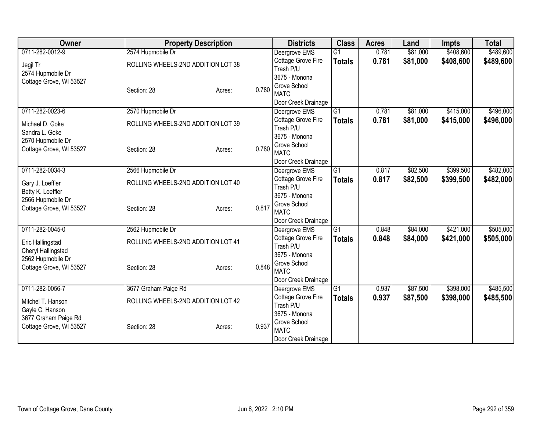| Owner                   | <b>Property Description</b>        |        |       | <b>Districts</b>                    | <b>Class</b>    | <b>Acres</b> | Land     | <b>Impts</b> | <b>Total</b> |
|-------------------------|------------------------------------|--------|-------|-------------------------------------|-----------------|--------------|----------|--------------|--------------|
| 0711-282-0012-9         | 2574 Hupmobile Dr                  |        |       | Deergrove EMS                       | $\overline{G1}$ | 0.781        | \$81,000 | \$408,600    | \$489,600    |
| Jegjl Tr                | ROLLING WHEELS-2ND ADDITION LOT 38 |        |       | Cottage Grove Fire                  | <b>Totals</b>   | 0.781        | \$81,000 | \$408,600    | \$489,600    |
| 2574 Hupmobile Dr       |                                    |        |       | Trash P/U                           |                 |              |          |              |              |
| Cottage Grove, WI 53527 |                                    |        |       | 3675 - Monona                       |                 |              |          |              |              |
|                         | Section: 28                        | Acres: | 0.780 | Grove School                        |                 |              |          |              |              |
|                         |                                    |        |       | <b>MATC</b><br>Door Creek Drainage  |                 |              |          |              |              |
| 0711-282-0023-6         | 2570 Hupmobile Dr                  |        |       | Deergrove EMS                       | G1              | 0.781        | \$81,000 | \$415,000    | \$496,000    |
|                         |                                    |        |       | Cottage Grove Fire                  | <b>Totals</b>   | 0.781        | \$81,000 | \$415,000    | \$496,000    |
| Michael D. Goke         | ROLLING WHEELS-2ND ADDITION LOT 39 |        |       | Trash P/U                           |                 |              |          |              |              |
| Sandra L. Goke          |                                    |        |       | 3675 - Monona                       |                 |              |          |              |              |
| 2570 Hupmobile Dr       |                                    |        |       | Grove School                        |                 |              |          |              |              |
| Cottage Grove, WI 53527 | Section: 28                        | Acres: | 0.780 | <b>MATC</b>                         |                 |              |          |              |              |
|                         |                                    |        |       | Door Creek Drainage                 |                 |              |          |              |              |
| 0711-282-0034-3         | 2566 Hupmobile Dr                  |        |       | Deergrove EMS                       | G1              | 0.817        | \$82,500 | \$399,500    | \$482,000    |
| Gary J. Loeffler        | ROLLING WHEELS-2ND ADDITION LOT 40 |        |       | Cottage Grove Fire                  | <b>Totals</b>   | 0.817        | \$82,500 | \$399,500    | \$482,000    |
| Betty K. Loeffler       |                                    |        |       | Trash P/U                           |                 |              |          |              |              |
| 2566 Hupmobile Dr       |                                    |        |       | 3675 - Monona                       |                 |              |          |              |              |
| Cottage Grove, WI 53527 | Section: 28                        | Acres: | 0.817 | Grove School                        |                 |              |          |              |              |
|                         |                                    |        |       | <b>MATC</b>                         |                 |              |          |              |              |
| 0711-282-0045-0         |                                    |        |       | Door Creek Drainage                 |                 |              | \$84,000 |              | \$505,000    |
|                         | 2562 Hupmobile Dr                  |        |       | Deergrove EMS<br>Cottage Grove Fire | G1              | 0.848        |          | \$421,000    |              |
| Eric Hallingstad        | ROLLING WHEELS-2ND ADDITION LOT 41 |        |       | Trash P/U                           | <b>Totals</b>   | 0.848        | \$84,000 | \$421,000    | \$505,000    |
| Cheryl Hallingstad      |                                    |        |       | 3675 - Monona                       |                 |              |          |              |              |
| 2562 Hupmobile Dr       |                                    |        |       | Grove School                        |                 |              |          |              |              |
| Cottage Grove, WI 53527 | Section: 28                        | Acres: | 0.848 | <b>MATC</b>                         |                 |              |          |              |              |
|                         |                                    |        |       | Door Creek Drainage                 |                 |              |          |              |              |
| 0711-282-0056-7         | 3677 Graham Paige Rd               |        |       | Deergrove EMS                       | $\overline{G1}$ | 0.937        | \$87,500 | \$398,000    | \$485,500    |
| Mitchel T. Hanson       | ROLLING WHEELS-2ND ADDITION LOT 42 |        |       | Cottage Grove Fire                  | <b>Totals</b>   | 0.937        | \$87,500 | \$398,000    | \$485,500    |
| Gayle C. Hanson         |                                    |        |       | Trash P/U                           |                 |              |          |              |              |
| 3677 Graham Paige Rd    |                                    |        |       | 3675 - Monona                       |                 |              |          |              |              |
| Cottage Grove, WI 53527 | Section: 28                        | Acres: | 0.937 | Grove School                        |                 |              |          |              |              |
|                         |                                    |        |       | <b>MATC</b>                         |                 |              |          |              |              |
|                         |                                    |        |       | Door Creek Drainage                 |                 |              |          |              |              |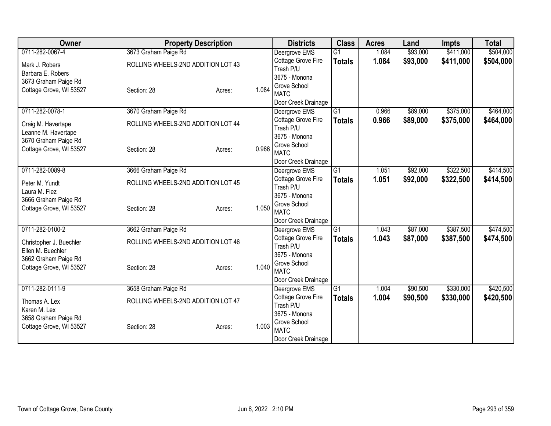| Owner                   | <b>Property Description</b>        |        |       | <b>Districts</b>                   | <b>Class</b>    | <b>Acres</b> | Land     | <b>Impts</b> | <b>Total</b> |
|-------------------------|------------------------------------|--------|-------|------------------------------------|-----------------|--------------|----------|--------------|--------------|
| 0711-282-0067-4         | 3673 Graham Paige Rd               |        |       | Deergrove EMS                      | $\overline{G1}$ | 1.084        | \$93,000 | \$411,000    | \$504,000    |
| Mark J. Robers          | ROLLING WHEELS-2ND ADDITION LOT 43 |        |       | Cottage Grove Fire                 | <b>Totals</b>   | 1.084        | \$93,000 | \$411,000    | \$504,000    |
| Barbara E. Robers       |                                    |        |       | Trash P/U                          |                 |              |          |              |              |
| 3673 Graham Paige Rd    |                                    |        |       | 3675 - Monona                      |                 |              |          |              |              |
| Cottage Grove, WI 53527 | Section: 28                        | Acres: | 1.084 | Grove School                       |                 |              |          |              |              |
|                         |                                    |        |       | <b>MATC</b><br>Door Creek Drainage |                 |              |          |              |              |
| 0711-282-0078-1         | 3670 Graham Paige Rd               |        |       | Deergrove EMS                      | $\overline{G1}$ | 0.966        | \$89,000 | \$375,000    | \$464,000    |
|                         |                                    |        |       | Cottage Grove Fire                 | <b>Totals</b>   | 0.966        | \$89,000 | \$375,000    | \$464,000    |
| Craig M. Havertape      | ROLLING WHEELS-2ND ADDITION LOT 44 |        |       | Trash P/U                          |                 |              |          |              |              |
| Leanne M. Havertape     |                                    |        |       | 3675 - Monona                      |                 |              |          |              |              |
| 3670 Graham Paige Rd    |                                    |        |       | Grove School                       |                 |              |          |              |              |
| Cottage Grove, WI 53527 | Section: 28                        | Acres: | 0.966 | <b>MATC</b>                        |                 |              |          |              |              |
|                         |                                    |        |       | Door Creek Drainage                |                 |              |          |              |              |
| 0711-282-0089-8         | 3666 Graham Paige Rd               |        |       | Deergrove EMS                      | $\overline{G1}$ | 1.051        | \$92,000 | \$322,500    | \$414,500    |
| Peter M. Yundt          | ROLLING WHEELS-2ND ADDITION LOT 45 |        |       | Cottage Grove Fire                 | <b>Totals</b>   | 1.051        | \$92,000 | \$322,500    | \$414,500    |
| Laura M. Fiez           |                                    |        |       | Trash P/U                          |                 |              |          |              |              |
| 3666 Graham Paige Rd    |                                    |        |       | 3675 - Monona                      |                 |              |          |              |              |
| Cottage Grove, WI 53527 | Section: 28                        | Acres: | 1.050 | Grove School                       |                 |              |          |              |              |
|                         |                                    |        |       | <b>MATC</b>                        |                 |              |          |              |              |
| 0711-282-0100-2         |                                    |        |       | Door Creek Drainage                |                 |              |          |              | \$474,500    |
|                         | 3662 Graham Paige Rd               |        |       | Deergrove EMS                      | G1              | 1.043        | \$87,000 | \$387,500    |              |
| Christopher J. Buechler | ROLLING WHEELS-2ND ADDITION LOT 46 |        |       | Cottage Grove Fire<br>Trash P/U    | <b>Totals</b>   | 1.043        | \$87,000 | \$387,500    | \$474,500    |
| Ellen M. Buechler       |                                    |        |       | 3675 - Monona                      |                 |              |          |              |              |
| 3662 Graham Paige Rd    |                                    |        |       | Grove School                       |                 |              |          |              |              |
| Cottage Grove, WI 53527 | Section: 28                        | Acres: | 1.040 | <b>MATC</b>                        |                 |              |          |              |              |
|                         |                                    |        |       | Door Creek Drainage                |                 |              |          |              |              |
| 0711-282-0111-9         | 3658 Graham Paige Rd               |        |       | Deergrove EMS                      | $\overline{G1}$ | 1.004        | \$90,500 | \$330,000    | \$420,500    |
| Thomas A. Lex           | ROLLING WHEELS-2ND ADDITION LOT 47 |        |       | Cottage Grove Fire                 | <b>Totals</b>   | 1.004        | \$90,500 | \$330,000    | \$420,500    |
| Karen M. Lex            |                                    |        |       | Trash P/U                          |                 |              |          |              |              |
| 3658 Graham Paige Rd    |                                    |        |       | 3675 - Monona                      |                 |              |          |              |              |
| Cottage Grove, WI 53527 | Section: 28                        | Acres: | 1.003 | Grove School                       |                 |              |          |              |              |
|                         |                                    |        |       | <b>MATC</b>                        |                 |              |          |              |              |
|                         |                                    |        |       | Door Creek Drainage                |                 |              |          |              |              |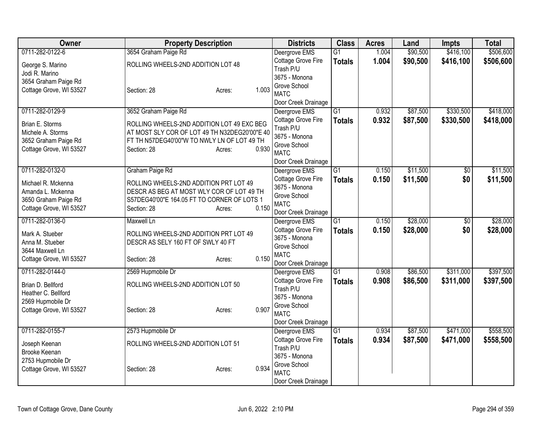| 3654 Graham Paige Rd<br>Deergrove EMS<br>$\overline{G1}$<br>1.004<br>Cottage Grove Fire<br>1.004<br>\$90,500<br>\$416,100<br>\$506,600<br><b>Totals</b><br>ROLLING WHEELS-2ND ADDITION LOT 48<br>George S. Marino<br>Trash P/U<br>Jodi R. Marino<br>3675 - Monona<br>3654 Graham Paige Rd<br>Grove School<br>1.003<br>Cottage Grove, WI 53527<br>Section: 28<br>Acres:<br><b>MATC</b><br>Door Creek Drainage<br>$\overline{G1}$<br>\$87,500<br>\$330,500<br>\$418,000<br>0711-282-0129-9<br>3652 Graham Paige Rd<br>0.932<br>Deergrove EMS<br>0.932<br>\$87,500<br>\$330,500<br>Cottage Grove Fire<br><b>Totals</b><br>Brian E. Storms<br>ROLLING WHEELS-2ND ADDITION LOT 49 EXC BEG<br>Trash P/U<br>Michele A. Storms<br>AT MOST SLY COR OF LOT 49 TH N32DEG20'00"E 40<br>3675 - Monona<br>FT TH N57DEG40'00"W TO NWLY LN OF LOT 49 TH<br>3652 Graham Paige Rd<br>Grove School<br>0.930<br>Cottage Grove, WI 53527<br>Section: 28<br>Acres:<br><b>MATC</b><br>Door Creek Drainage<br>0711-282-0132-0<br>Graham Paige Rd<br>G1<br>0.150<br>\$11,500<br>$\overline{50}$<br>Deergrove EMS<br>Cottage Grove Fire<br>0.150<br>\$11,500<br>\$0<br><b>Totals</b><br>Michael R. Mckenna<br>ROLLING WHEELS-2ND ADDITION PRT LOT 49<br>3675 - Monona<br>Amanda L. Mckenna<br>DESCR AS BEG AT MOST WLY COR OF LOT 49 TH<br>Grove School<br>3650 Graham Paige Rd<br>S57DEG40'00"E 164.05 FT TO CORNER OF LOTS 1<br><b>MATC</b><br>0.150<br>Cottage Grove, WI 53527<br>Section: 28<br>Acres:<br>Door Creek Drainage<br>0711-282-0136-0<br>G1<br>\$28,000<br>\$28,000<br>Maxwell Ln<br>0.150<br>$\overline{50}$<br>Deergrove EMS<br>0.150<br>\$28,000<br>\$0<br>Cottage Grove Fire<br><b>Totals</b><br>Mark A. Stueber<br>ROLLING WHEELS-2ND ADDITION PRT LOT 49<br>3675 - Monona<br>Anna M. Stueber<br>DESCR AS SELY 160 FT OF SWLY 40 FT<br>Grove School<br>3644 Maxwell Ln<br><b>MATC</b><br>0.150<br>Cottage Grove, WI 53527<br>Section: 28<br>Acres:<br>Door Creek Drainage<br>0711-282-0144-0<br>$\overline{G1}$<br>\$86,500<br>\$311,000<br>2569 Hupmobile Dr<br>0.908<br>Deergrove EMS<br>Cottage Grove Fire<br>0.908<br>\$86,500<br>\$311,000<br><b>Totals</b><br>ROLLING WHEELS-2ND ADDITION LOT 50<br>Brian D. Bellford<br>Trash P/U<br>Heather C. Bellford<br>3675 - Monona<br>2569 Hupmobile Dr<br>Grove School<br>0.907<br>Cottage Grove, WI 53527<br>Section: 28<br>Acres:<br><b>MATC</b><br>Door Creek Drainage<br>0711-282-0155-7<br>G1<br>0.934<br>\$87,500<br>\$471,000<br>2573 Hupmobile Dr<br>Deergrove EMS<br>Cottage Grove Fire<br>\$87,500<br>\$471,000<br>0.934<br><b>Totals</b><br>ROLLING WHEELS-2ND ADDITION LOT 51<br>Joseph Keenan<br>Trash P/U<br>Brooke Keenan<br>3675 - Monona<br>2753 Hupmobile Dr<br>Grove School<br>0.934<br>Cottage Grove, WI 53527<br>Section: 28<br>Acres: | Owner           | <b>Property Description</b> | <b>Districts</b> | <b>Class</b> | <b>Acres</b> | Land     | <b>Impts</b> | <b>Total</b> |
|------------------------------------------------------------------------------------------------------------------------------------------------------------------------------------------------------------------------------------------------------------------------------------------------------------------------------------------------------------------------------------------------------------------------------------------------------------------------------------------------------------------------------------------------------------------------------------------------------------------------------------------------------------------------------------------------------------------------------------------------------------------------------------------------------------------------------------------------------------------------------------------------------------------------------------------------------------------------------------------------------------------------------------------------------------------------------------------------------------------------------------------------------------------------------------------------------------------------------------------------------------------------------------------------------------------------------------------------------------------------------------------------------------------------------------------------------------------------------------------------------------------------------------------------------------------------------------------------------------------------------------------------------------------------------------------------------------------------------------------------------------------------------------------------------------------------------------------------------------------------------------------------------------------------------------------------------------------------------------------------------------------------------------------------------------------------------------------------------------------------------------------------------------------------------------------------------------------------------------------------------------------------------------------------------------------------------------------------------------------------------------------------------------------------------------------------------------------------------------------------------------------------------------------------------------------------------------------------------------------------------------------------------------------------------------------------------------------------------------------------------------------------------------------------------|-----------------|-----------------------------|------------------|--------------|--------------|----------|--------------|--------------|
|                                                                                                                                                                                                                                                                                                                                                                                                                                                                                                                                                                                                                                                                                                                                                                                                                                                                                                                                                                                                                                                                                                                                                                                                                                                                                                                                                                                                                                                                                                                                                                                                                                                                                                                                                                                                                                                                                                                                                                                                                                                                                                                                                                                                                                                                                                                                                                                                                                                                                                                                                                                                                                                                                                                                                                                                      | 0711-282-0122-6 |                             |                  |              |              | \$90,500 | \$416,100    | \$506,600    |
| \$418,000<br>\$28,000<br>\$397,500                                                                                                                                                                                                                                                                                                                                                                                                                                                                                                                                                                                                                                                                                                                                                                                                                                                                                                                                                                                                                                                                                                                                                                                                                                                                                                                                                                                                                                                                                                                                                                                                                                                                                                                                                                                                                                                                                                                                                                                                                                                                                                                                                                                                                                                                                                                                                                                                                                                                                                                                                                                                                                                                                                                                                                   |                 |                             |                  |              |              |          |              |              |
| \$11,500<br>\$11,500<br>\$397,500<br>\$558,500<br>\$558,500                                                                                                                                                                                                                                                                                                                                                                                                                                                                                                                                                                                                                                                                                                                                                                                                                                                                                                                                                                                                                                                                                                                                                                                                                                                                                                                                                                                                                                                                                                                                                                                                                                                                                                                                                                                                                                                                                                                                                                                                                                                                                                                                                                                                                                                                                                                                                                                                                                                                                                                                                                                                                                                                                                                                          |                 |                             |                  |              |              |          |              |              |
|                                                                                                                                                                                                                                                                                                                                                                                                                                                                                                                                                                                                                                                                                                                                                                                                                                                                                                                                                                                                                                                                                                                                                                                                                                                                                                                                                                                                                                                                                                                                                                                                                                                                                                                                                                                                                                                                                                                                                                                                                                                                                                                                                                                                                                                                                                                                                                                                                                                                                                                                                                                                                                                                                                                                                                                                      |                 |                             |                  |              |              |          |              |              |
|                                                                                                                                                                                                                                                                                                                                                                                                                                                                                                                                                                                                                                                                                                                                                                                                                                                                                                                                                                                                                                                                                                                                                                                                                                                                                                                                                                                                                                                                                                                                                                                                                                                                                                                                                                                                                                                                                                                                                                                                                                                                                                                                                                                                                                                                                                                                                                                                                                                                                                                                                                                                                                                                                                                                                                                                      |                 |                             |                  |              |              |          |              |              |
|                                                                                                                                                                                                                                                                                                                                                                                                                                                                                                                                                                                                                                                                                                                                                                                                                                                                                                                                                                                                                                                                                                                                                                                                                                                                                                                                                                                                                                                                                                                                                                                                                                                                                                                                                                                                                                                                                                                                                                                                                                                                                                                                                                                                                                                                                                                                                                                                                                                                                                                                                                                                                                                                                                                                                                                                      |                 |                             |                  |              |              |          |              |              |
|                                                                                                                                                                                                                                                                                                                                                                                                                                                                                                                                                                                                                                                                                                                                                                                                                                                                                                                                                                                                                                                                                                                                                                                                                                                                                                                                                                                                                                                                                                                                                                                                                                                                                                                                                                                                                                                                                                                                                                                                                                                                                                                                                                                                                                                                                                                                                                                                                                                                                                                                                                                                                                                                                                                                                                                                      |                 |                             |                  |              |              |          |              |              |
|                                                                                                                                                                                                                                                                                                                                                                                                                                                                                                                                                                                                                                                                                                                                                                                                                                                                                                                                                                                                                                                                                                                                                                                                                                                                                                                                                                                                                                                                                                                                                                                                                                                                                                                                                                                                                                                                                                                                                                                                                                                                                                                                                                                                                                                                                                                                                                                                                                                                                                                                                                                                                                                                                                                                                                                                      |                 |                             |                  |              |              |          |              |              |
|                                                                                                                                                                                                                                                                                                                                                                                                                                                                                                                                                                                                                                                                                                                                                                                                                                                                                                                                                                                                                                                                                                                                                                                                                                                                                                                                                                                                                                                                                                                                                                                                                                                                                                                                                                                                                                                                                                                                                                                                                                                                                                                                                                                                                                                                                                                                                                                                                                                                                                                                                                                                                                                                                                                                                                                                      |                 |                             |                  |              |              |          |              |              |
|                                                                                                                                                                                                                                                                                                                                                                                                                                                                                                                                                                                                                                                                                                                                                                                                                                                                                                                                                                                                                                                                                                                                                                                                                                                                                                                                                                                                                                                                                                                                                                                                                                                                                                                                                                                                                                                                                                                                                                                                                                                                                                                                                                                                                                                                                                                                                                                                                                                                                                                                                                                                                                                                                                                                                                                                      |                 |                             |                  |              |              |          |              |              |
|                                                                                                                                                                                                                                                                                                                                                                                                                                                                                                                                                                                                                                                                                                                                                                                                                                                                                                                                                                                                                                                                                                                                                                                                                                                                                                                                                                                                                                                                                                                                                                                                                                                                                                                                                                                                                                                                                                                                                                                                                                                                                                                                                                                                                                                                                                                                                                                                                                                                                                                                                                                                                                                                                                                                                                                                      |                 |                             |                  |              |              |          |              |              |
|                                                                                                                                                                                                                                                                                                                                                                                                                                                                                                                                                                                                                                                                                                                                                                                                                                                                                                                                                                                                                                                                                                                                                                                                                                                                                                                                                                                                                                                                                                                                                                                                                                                                                                                                                                                                                                                                                                                                                                                                                                                                                                                                                                                                                                                                                                                                                                                                                                                                                                                                                                                                                                                                                                                                                                                                      |                 |                             |                  |              |              |          |              |              |
|                                                                                                                                                                                                                                                                                                                                                                                                                                                                                                                                                                                                                                                                                                                                                                                                                                                                                                                                                                                                                                                                                                                                                                                                                                                                                                                                                                                                                                                                                                                                                                                                                                                                                                                                                                                                                                                                                                                                                                                                                                                                                                                                                                                                                                                                                                                                                                                                                                                                                                                                                                                                                                                                                                                                                                                                      |                 |                             |                  |              |              |          |              |              |
|                                                                                                                                                                                                                                                                                                                                                                                                                                                                                                                                                                                                                                                                                                                                                                                                                                                                                                                                                                                                                                                                                                                                                                                                                                                                                                                                                                                                                                                                                                                                                                                                                                                                                                                                                                                                                                                                                                                                                                                                                                                                                                                                                                                                                                                                                                                                                                                                                                                                                                                                                                                                                                                                                                                                                                                                      |                 |                             |                  |              |              |          |              |              |
|                                                                                                                                                                                                                                                                                                                                                                                                                                                                                                                                                                                                                                                                                                                                                                                                                                                                                                                                                                                                                                                                                                                                                                                                                                                                                                                                                                                                                                                                                                                                                                                                                                                                                                                                                                                                                                                                                                                                                                                                                                                                                                                                                                                                                                                                                                                                                                                                                                                                                                                                                                                                                                                                                                                                                                                                      |                 |                             |                  |              |              |          |              |              |
|                                                                                                                                                                                                                                                                                                                                                                                                                                                                                                                                                                                                                                                                                                                                                                                                                                                                                                                                                                                                                                                                                                                                                                                                                                                                                                                                                                                                                                                                                                                                                                                                                                                                                                                                                                                                                                                                                                                                                                                                                                                                                                                                                                                                                                                                                                                                                                                                                                                                                                                                                                                                                                                                                                                                                                                                      |                 |                             |                  |              |              |          |              |              |
|                                                                                                                                                                                                                                                                                                                                                                                                                                                                                                                                                                                                                                                                                                                                                                                                                                                                                                                                                                                                                                                                                                                                                                                                                                                                                                                                                                                                                                                                                                                                                                                                                                                                                                                                                                                                                                                                                                                                                                                                                                                                                                                                                                                                                                                                                                                                                                                                                                                                                                                                                                                                                                                                                                                                                                                                      |                 |                             |                  |              |              |          |              |              |
|                                                                                                                                                                                                                                                                                                                                                                                                                                                                                                                                                                                                                                                                                                                                                                                                                                                                                                                                                                                                                                                                                                                                                                                                                                                                                                                                                                                                                                                                                                                                                                                                                                                                                                                                                                                                                                                                                                                                                                                                                                                                                                                                                                                                                                                                                                                                                                                                                                                                                                                                                                                                                                                                                                                                                                                                      |                 |                             |                  |              |              |          |              |              |
|                                                                                                                                                                                                                                                                                                                                                                                                                                                                                                                                                                                                                                                                                                                                                                                                                                                                                                                                                                                                                                                                                                                                                                                                                                                                                                                                                                                                                                                                                                                                                                                                                                                                                                                                                                                                                                                                                                                                                                                                                                                                                                                                                                                                                                                                                                                                                                                                                                                                                                                                                                                                                                                                                                                                                                                                      |                 |                             |                  |              |              |          |              |              |
|                                                                                                                                                                                                                                                                                                                                                                                                                                                                                                                                                                                                                                                                                                                                                                                                                                                                                                                                                                                                                                                                                                                                                                                                                                                                                                                                                                                                                                                                                                                                                                                                                                                                                                                                                                                                                                                                                                                                                                                                                                                                                                                                                                                                                                                                                                                                                                                                                                                                                                                                                                                                                                                                                                                                                                                                      |                 |                             |                  |              |              |          |              |              |
|                                                                                                                                                                                                                                                                                                                                                                                                                                                                                                                                                                                                                                                                                                                                                                                                                                                                                                                                                                                                                                                                                                                                                                                                                                                                                                                                                                                                                                                                                                                                                                                                                                                                                                                                                                                                                                                                                                                                                                                                                                                                                                                                                                                                                                                                                                                                                                                                                                                                                                                                                                                                                                                                                                                                                                                                      |                 |                             |                  |              |              |          |              |              |
|                                                                                                                                                                                                                                                                                                                                                                                                                                                                                                                                                                                                                                                                                                                                                                                                                                                                                                                                                                                                                                                                                                                                                                                                                                                                                                                                                                                                                                                                                                                                                                                                                                                                                                                                                                                                                                                                                                                                                                                                                                                                                                                                                                                                                                                                                                                                                                                                                                                                                                                                                                                                                                                                                                                                                                                                      |                 |                             |                  |              |              |          |              |              |
|                                                                                                                                                                                                                                                                                                                                                                                                                                                                                                                                                                                                                                                                                                                                                                                                                                                                                                                                                                                                                                                                                                                                                                                                                                                                                                                                                                                                                                                                                                                                                                                                                                                                                                                                                                                                                                                                                                                                                                                                                                                                                                                                                                                                                                                                                                                                                                                                                                                                                                                                                                                                                                                                                                                                                                                                      |                 |                             |                  |              |              |          |              |              |
|                                                                                                                                                                                                                                                                                                                                                                                                                                                                                                                                                                                                                                                                                                                                                                                                                                                                                                                                                                                                                                                                                                                                                                                                                                                                                                                                                                                                                                                                                                                                                                                                                                                                                                                                                                                                                                                                                                                                                                                                                                                                                                                                                                                                                                                                                                                                                                                                                                                                                                                                                                                                                                                                                                                                                                                                      |                 |                             |                  |              |              |          |              |              |
|                                                                                                                                                                                                                                                                                                                                                                                                                                                                                                                                                                                                                                                                                                                                                                                                                                                                                                                                                                                                                                                                                                                                                                                                                                                                                                                                                                                                                                                                                                                                                                                                                                                                                                                                                                                                                                                                                                                                                                                                                                                                                                                                                                                                                                                                                                                                                                                                                                                                                                                                                                                                                                                                                                                                                                                                      |                 |                             |                  |              |              |          |              |              |
|                                                                                                                                                                                                                                                                                                                                                                                                                                                                                                                                                                                                                                                                                                                                                                                                                                                                                                                                                                                                                                                                                                                                                                                                                                                                                                                                                                                                                                                                                                                                                                                                                                                                                                                                                                                                                                                                                                                                                                                                                                                                                                                                                                                                                                                                                                                                                                                                                                                                                                                                                                                                                                                                                                                                                                                                      |                 |                             |                  |              |              |          |              |              |
|                                                                                                                                                                                                                                                                                                                                                                                                                                                                                                                                                                                                                                                                                                                                                                                                                                                                                                                                                                                                                                                                                                                                                                                                                                                                                                                                                                                                                                                                                                                                                                                                                                                                                                                                                                                                                                                                                                                                                                                                                                                                                                                                                                                                                                                                                                                                                                                                                                                                                                                                                                                                                                                                                                                                                                                                      |                 |                             |                  |              |              |          |              |              |
|                                                                                                                                                                                                                                                                                                                                                                                                                                                                                                                                                                                                                                                                                                                                                                                                                                                                                                                                                                                                                                                                                                                                                                                                                                                                                                                                                                                                                                                                                                                                                                                                                                                                                                                                                                                                                                                                                                                                                                                                                                                                                                                                                                                                                                                                                                                                                                                                                                                                                                                                                                                                                                                                                                                                                                                                      |                 |                             |                  |              |              |          |              |              |
|                                                                                                                                                                                                                                                                                                                                                                                                                                                                                                                                                                                                                                                                                                                                                                                                                                                                                                                                                                                                                                                                                                                                                                                                                                                                                                                                                                                                                                                                                                                                                                                                                                                                                                                                                                                                                                                                                                                                                                                                                                                                                                                                                                                                                                                                                                                                                                                                                                                                                                                                                                                                                                                                                                                                                                                                      |                 |                             |                  |              |              |          |              |              |
|                                                                                                                                                                                                                                                                                                                                                                                                                                                                                                                                                                                                                                                                                                                                                                                                                                                                                                                                                                                                                                                                                                                                                                                                                                                                                                                                                                                                                                                                                                                                                                                                                                                                                                                                                                                                                                                                                                                                                                                                                                                                                                                                                                                                                                                                                                                                                                                                                                                                                                                                                                                                                                                                                                                                                                                                      |                 |                             |                  |              |              |          |              |              |
|                                                                                                                                                                                                                                                                                                                                                                                                                                                                                                                                                                                                                                                                                                                                                                                                                                                                                                                                                                                                                                                                                                                                                                                                                                                                                                                                                                                                                                                                                                                                                                                                                                                                                                                                                                                                                                                                                                                                                                                                                                                                                                                                                                                                                                                                                                                                                                                                                                                                                                                                                                                                                                                                                                                                                                                                      |                 |                             |                  |              |              |          |              |              |
|                                                                                                                                                                                                                                                                                                                                                                                                                                                                                                                                                                                                                                                                                                                                                                                                                                                                                                                                                                                                                                                                                                                                                                                                                                                                                                                                                                                                                                                                                                                                                                                                                                                                                                                                                                                                                                                                                                                                                                                                                                                                                                                                                                                                                                                                                                                                                                                                                                                                                                                                                                                                                                                                                                                                                                                                      |                 |                             |                  |              |              |          |              |              |
|                                                                                                                                                                                                                                                                                                                                                                                                                                                                                                                                                                                                                                                                                                                                                                                                                                                                                                                                                                                                                                                                                                                                                                                                                                                                                                                                                                                                                                                                                                                                                                                                                                                                                                                                                                                                                                                                                                                                                                                                                                                                                                                                                                                                                                                                                                                                                                                                                                                                                                                                                                                                                                                                                                                                                                                                      |                 |                             |                  |              |              |          |              |              |
|                                                                                                                                                                                                                                                                                                                                                                                                                                                                                                                                                                                                                                                                                                                                                                                                                                                                                                                                                                                                                                                                                                                                                                                                                                                                                                                                                                                                                                                                                                                                                                                                                                                                                                                                                                                                                                                                                                                                                                                                                                                                                                                                                                                                                                                                                                                                                                                                                                                                                                                                                                                                                                                                                                                                                                                                      |                 |                             |                  |              |              |          |              |              |
|                                                                                                                                                                                                                                                                                                                                                                                                                                                                                                                                                                                                                                                                                                                                                                                                                                                                                                                                                                                                                                                                                                                                                                                                                                                                                                                                                                                                                                                                                                                                                                                                                                                                                                                                                                                                                                                                                                                                                                                                                                                                                                                                                                                                                                                                                                                                                                                                                                                                                                                                                                                                                                                                                                                                                                                                      |                 |                             | <b>MATC</b>      |              |              |          |              |              |
| Door Creek Drainage                                                                                                                                                                                                                                                                                                                                                                                                                                                                                                                                                                                                                                                                                                                                                                                                                                                                                                                                                                                                                                                                                                                                                                                                                                                                                                                                                                                                                                                                                                                                                                                                                                                                                                                                                                                                                                                                                                                                                                                                                                                                                                                                                                                                                                                                                                                                                                                                                                                                                                                                                                                                                                                                                                                                                                                  |                 |                             |                  |              |              |          |              |              |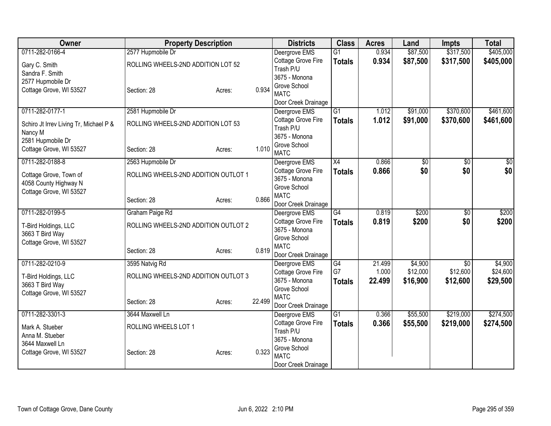| Owner                                      | <b>Property Description</b>          |        |        | <b>Districts</b>                    | <b>Class</b>    | <b>Acres</b> | Land     | <b>Impts</b>    | <b>Total</b> |
|--------------------------------------------|--------------------------------------|--------|--------|-------------------------------------|-----------------|--------------|----------|-----------------|--------------|
| 0711-282-0166-4                            | 2577 Hupmobile Dr                    |        |        | Deergrove EMS                       | $\overline{G1}$ | 0.934        | \$87,500 | \$317,500       | \$405,000    |
| Gary C. Smith                              | ROLLING WHEELS-2ND ADDITION LOT 52   |        |        | Cottage Grove Fire                  | <b>Totals</b>   | 0.934        | \$87,500 | \$317,500       | \$405,000    |
| Sandra F. Smith                            |                                      |        |        | Trash P/U                           |                 |              |          |                 |              |
| 2577 Hupmobile Dr                          |                                      |        |        | 3675 - Monona                       |                 |              |          |                 |              |
| Cottage Grove, WI 53527                    | Section: 28                          | Acres: | 0.934  | Grove School<br><b>MATC</b>         |                 |              |          |                 |              |
|                                            |                                      |        |        | Door Creek Drainage                 |                 |              |          |                 |              |
| 0711-282-0177-1                            | 2581 Hupmobile Dr                    |        |        | Deergrove EMS                       | $\overline{G1}$ | 1.012        | \$91,000 | \$370,600       | \$461,600    |
|                                            |                                      |        |        | Cottage Grove Fire                  | <b>Totals</b>   | 1.012        | \$91,000 | \$370,600       | \$461,600    |
| Schiro Jt Irrev Living Tr, Michael P &     | ROLLING WHEELS-2ND ADDITION LOT 53   |        |        | Trash P/U                           |                 |              |          |                 |              |
| Nancy M                                    |                                      |        |        | 3675 - Monona                       |                 |              |          |                 |              |
| 2581 Hupmobile Dr                          |                                      |        |        | Grove School                        |                 |              |          |                 |              |
| Cottage Grove, WI 53527                    | Section: 28                          | Acres: | 1.010  | <b>MATC</b>                         |                 |              |          |                 |              |
| 0711-282-0188-8                            | 2563 Hupmobile Dr                    |        |        | Deergrove EMS                       | X4              | 0.866        | \$0      | $\overline{50}$ | \$0          |
| Cottage Grove, Town of                     | ROLLING WHEELS-2ND ADDITION OUTLOT 1 |        |        | Cottage Grove Fire                  | <b>Totals</b>   | 0.866        | \$0      | \$0             | \$0          |
| 4058 County Highway N                      |                                      |        |        | 3675 - Monona                       |                 |              |          |                 |              |
| Cottage Grove, WI 53527                    |                                      |        |        | Grove School                        |                 |              |          |                 |              |
|                                            | Section: 28                          | Acres: | 0.866  | <b>MATC</b>                         |                 |              |          |                 |              |
|                                            |                                      |        |        | Door Creek Drainage                 |                 |              |          |                 |              |
| 0711-282-0199-5                            | Graham Paige Rd                      |        |        | Deergrove EMS                       | G4              | 0.819        | \$200    | $\overline{30}$ | \$200        |
| T-Bird Holdings, LLC                       | ROLLING WHEELS-2ND ADDITION OUTLOT 2 |        |        | Cottage Grove Fire<br>3675 - Monona | <b>Totals</b>   | 0.819        | \$200    | \$0             | \$200        |
| 3663 T Bird Way                            |                                      |        |        | Grove School                        |                 |              |          |                 |              |
| Cottage Grove, WI 53527                    |                                      |        |        | <b>MATC</b>                         |                 |              |          |                 |              |
|                                            | Section: 28                          | Acres: | 0.819  | Door Creek Drainage                 |                 |              |          |                 |              |
| 0711-282-0210-9                            | 3595 Natvig Rd                       |        |        | Deergrove EMS                       | G4              | 21.499       | \$4,900  | $\overline{50}$ | \$4,900      |
|                                            |                                      |        |        | <b>Cottage Grove Fire</b>           | G7              | 1.000        | \$12,000 | \$12,600        | \$24,600     |
| T-Bird Holdings, LLC                       | ROLLING WHEELS-2ND ADDITION OUTLOT 3 |        |        | 3675 - Monona                       | <b>Totals</b>   | 22.499       | \$16,900 | \$12,600        | \$29,500     |
| 3663 T Bird Way<br>Cottage Grove, WI 53527 |                                      |        |        | Grove School                        |                 |              |          |                 |              |
|                                            | Section: 28                          | Acres: | 22.499 | <b>MATC</b>                         |                 |              |          |                 |              |
|                                            |                                      |        |        | Door Creek Drainage                 |                 |              |          |                 |              |
| 0711-282-3301-3                            | 3644 Maxwell Ln                      |        |        | Deergrove EMS                       | $\overline{G1}$ | 0.366        | \$55,500 | \$219,000       | \$274,500    |
| Mark A. Stueber                            | ROLLING WHEELS LOT 1                 |        |        | Cottage Grove Fire                  | <b>Totals</b>   | 0.366        | \$55,500 | \$219,000       | \$274,500    |
| Anna M. Stueber                            |                                      |        |        | Trash P/U                           |                 |              |          |                 |              |
| 3644 Maxwell Ln                            |                                      |        |        | 3675 - Monona                       |                 |              |          |                 |              |
| Cottage Grove, WI 53527                    | Section: 28                          | Acres: | 0.323  | Grove School<br><b>MATC</b>         |                 |              |          |                 |              |
|                                            |                                      |        |        | Door Creek Drainage                 |                 |              |          |                 |              |
|                                            |                                      |        |        |                                     |                 |              |          |                 |              |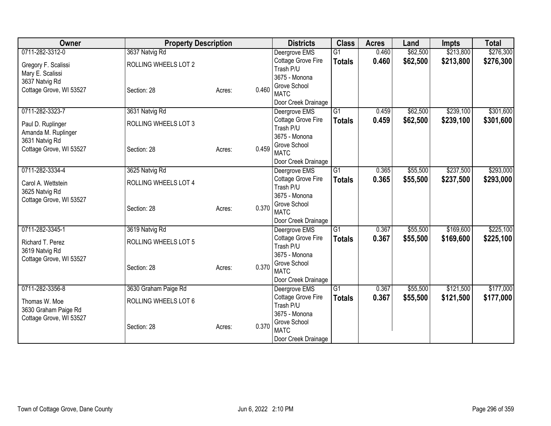| Owner                   | <b>Property Description</b> |        |       | <b>Districts</b>                     | <b>Class</b>    | <b>Acres</b> | Land     | <b>Impts</b> | <b>Total</b> |
|-------------------------|-----------------------------|--------|-------|--------------------------------------|-----------------|--------------|----------|--------------|--------------|
| 0711-282-3312-0         | 3637 Natvig Rd              |        |       | Deergrove EMS                        | $\overline{G1}$ | 0.460        | \$62,500 | \$213,800    | \$276,300    |
| Gregory F. Scalissi     | ROLLING WHEELS LOT 2        |        |       | Cottage Grove Fire                   | <b>Totals</b>   | 0.460        | \$62,500 | \$213,800    | \$276,300    |
| Mary E. Scalissi        |                             |        |       | Trash P/U                            |                 |              |          |              |              |
| 3637 Natvig Rd          |                             |        |       | 3675 - Monona                        |                 |              |          |              |              |
| Cottage Grove, WI 53527 | Section: 28                 | Acres: | 0.460 | Grove School                         |                 |              |          |              |              |
|                         |                             |        |       | <b>MATC</b>                          |                 |              |          |              |              |
|                         |                             |        |       | Door Creek Drainage                  |                 |              |          |              |              |
| 0711-282-3323-7         | 3631 Natvig Rd              |        |       | Deergrove EMS                        | G1              | 0.459        | \$62,500 | \$239,100    | \$301,600    |
| Paul D. Ruplinger       | ROLLING WHEELS LOT 3        |        |       | Cottage Grove Fire<br>Trash P/U      | <b>Totals</b>   | 0.459        | \$62,500 | \$239,100    | \$301,600    |
| Amanda M. Ruplinger     |                             |        |       | 3675 - Monona                        |                 |              |          |              |              |
| 3631 Natvig Rd          |                             |        |       | Grove School                         |                 |              |          |              |              |
| Cottage Grove, WI 53527 | Section: 28                 | Acres: | 0.459 | <b>MATC</b>                          |                 |              |          |              |              |
|                         |                             |        |       | Door Creek Drainage                  |                 |              |          |              |              |
| 0711-282-3334-4         | 3625 Natvig Rd              |        |       | Deergrove EMS                        | G1              | 0.365        | \$55,500 | \$237,500    | \$293,000    |
|                         |                             |        |       | Cottage Grove Fire                   | <b>Totals</b>   | 0.365        | \$55,500 | \$237,500    | \$293,000    |
| Carol A. Wettstein      | ROLLING WHEELS LOT 4        |        |       | Trash P/U                            |                 |              |          |              |              |
| 3625 Natvig Rd          |                             |        |       | 3675 - Monona                        |                 |              |          |              |              |
| Cottage Grove, WI 53527 |                             |        | 0.370 | Grove School                         |                 |              |          |              |              |
|                         | Section: 28                 | Acres: |       | <b>MATC</b>                          |                 |              |          |              |              |
|                         |                             |        |       | Door Creek Drainage                  |                 |              |          |              |              |
| 0711-282-3345-1         | 3619 Natvig Rd              |        |       | Deergrove EMS                        | G1              | 0.367        | \$55,500 | \$169,600    | \$225,100    |
| Richard T. Perez        | ROLLING WHEELS LOT 5        |        |       | Cottage Grove Fire                   | <b>Totals</b>   | 0.367        | \$55,500 | \$169,600    | \$225,100    |
| 3619 Natvig Rd          |                             |        |       | Trash P/U                            |                 |              |          |              |              |
| Cottage Grove, WI 53527 |                             |        |       | 3675 - Monona                        |                 |              |          |              |              |
|                         | Section: 28                 | Acres: | 0.370 | Grove School                         |                 |              |          |              |              |
|                         |                             |        |       | <b>MATC</b>                          |                 |              |          |              |              |
| 0711-282-3356-8         | 3630 Graham Paige Rd        |        |       | Door Creek Drainage<br>Deergrove EMS | G1              | 0.367        | \$55,500 | \$121,500    | \$177,000    |
|                         |                             |        |       | Cottage Grove Fire                   |                 | 0.367        | \$55,500 | \$121,500    | \$177,000    |
| Thomas W. Moe           | ROLLING WHEELS LOT 6        |        |       | Trash P/U                            | <b>Totals</b>   |              |          |              |              |
| 3630 Graham Paige Rd    |                             |        |       | 3675 - Monona                        |                 |              |          |              |              |
| Cottage Grove, WI 53527 |                             |        |       | Grove School                         |                 |              |          |              |              |
|                         | Section: 28                 | Acres: | 0.370 | <b>MATC</b>                          |                 |              |          |              |              |
|                         |                             |        |       | Door Creek Drainage                  |                 |              |          |              |              |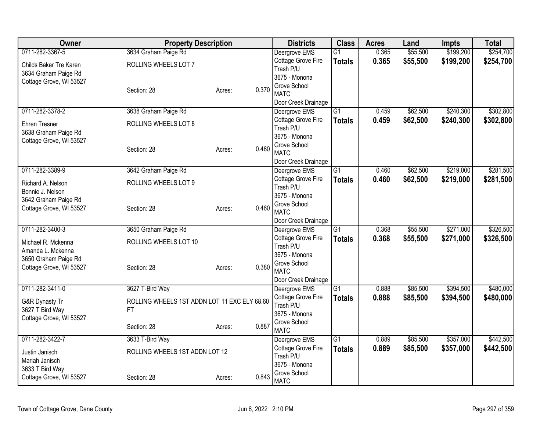| 0711-282-3367-5<br>0.365<br>\$55,500<br>\$199,200<br>3634 Graham Paige Rd<br>$\overline{G1}$<br>Deergrove EMS<br>0.365<br>\$199,200<br>Cottage Grove Fire<br>\$55,500<br><b>Totals</b><br>ROLLING WHEELS LOT 7<br>Childs Baker Tre Karen<br>Trash P/U<br>3634 Graham Paige Rd<br>3675 - Monona<br>Cottage Grove, WI 53527<br>Grove School<br>0.370<br>Section: 28<br>Acres:<br><b>MATC</b><br>Door Creek Drainage<br>\$240,300<br>0711-282-3378-2<br>3638 Graham Paige Rd<br>$\overline{G1}$<br>\$62,500<br>0.459<br>Deergrove EMS<br>0.459<br>\$62,500<br>\$240,300<br>Cottage Grove Fire<br><b>Totals</b><br>ROLLING WHEELS LOT 8<br>Ehren Tresner<br>Trash P/U | \$254,700<br>\$254,700<br>\$302,800<br>\$302,800 |
|-------------------------------------------------------------------------------------------------------------------------------------------------------------------------------------------------------------------------------------------------------------------------------------------------------------------------------------------------------------------------------------------------------------------------------------------------------------------------------------------------------------------------------------------------------------------------------------------------------------------------------------------------------------------|--------------------------------------------------|
|                                                                                                                                                                                                                                                                                                                                                                                                                                                                                                                                                                                                                                                                   |                                                  |
|                                                                                                                                                                                                                                                                                                                                                                                                                                                                                                                                                                                                                                                                   |                                                  |
|                                                                                                                                                                                                                                                                                                                                                                                                                                                                                                                                                                                                                                                                   |                                                  |
|                                                                                                                                                                                                                                                                                                                                                                                                                                                                                                                                                                                                                                                                   |                                                  |
|                                                                                                                                                                                                                                                                                                                                                                                                                                                                                                                                                                                                                                                                   |                                                  |
|                                                                                                                                                                                                                                                                                                                                                                                                                                                                                                                                                                                                                                                                   |                                                  |
|                                                                                                                                                                                                                                                                                                                                                                                                                                                                                                                                                                                                                                                                   |                                                  |
|                                                                                                                                                                                                                                                                                                                                                                                                                                                                                                                                                                                                                                                                   |                                                  |
| 3638 Graham Paige Rd                                                                                                                                                                                                                                                                                                                                                                                                                                                                                                                                                                                                                                              |                                                  |
| 3675 - Monona<br>Cottage Grove, WI 53527                                                                                                                                                                                                                                                                                                                                                                                                                                                                                                                                                                                                                          |                                                  |
| Grove School<br>0.460<br>Section: 28<br>Acres:<br><b>MATC</b>                                                                                                                                                                                                                                                                                                                                                                                                                                                                                                                                                                                                     |                                                  |
| Door Creek Drainage                                                                                                                                                                                                                                                                                                                                                                                                                                                                                                                                                                                                                                               |                                                  |
| 0711-282-3389-9<br>$\overline{G1}$<br>\$62,500<br>\$219,000<br>3642 Graham Paige Rd<br>0.460<br>Deergrove EMS                                                                                                                                                                                                                                                                                                                                                                                                                                                                                                                                                     | \$281,500                                        |
| Cottage Grove Fire<br>0.460<br>\$62,500<br>\$219,000<br><b>Totals</b><br>ROLLING WHEELS LOT 9                                                                                                                                                                                                                                                                                                                                                                                                                                                                                                                                                                     | \$281,500                                        |
| Richard A. Nelson<br>Trash P/U<br>Bonnie J. Nelson                                                                                                                                                                                                                                                                                                                                                                                                                                                                                                                                                                                                                |                                                  |
| 3675 - Monona<br>3642 Graham Paige Rd                                                                                                                                                                                                                                                                                                                                                                                                                                                                                                                                                                                                                             |                                                  |
| Grove School<br>0.460<br>Cottage Grove, WI 53527<br>Section: 28<br>Acres:                                                                                                                                                                                                                                                                                                                                                                                                                                                                                                                                                                                         |                                                  |
| <b>MATC</b><br>Door Creek Drainage                                                                                                                                                                                                                                                                                                                                                                                                                                                                                                                                                                                                                                |                                                  |
| 0711-282-3400-3<br>\$55,500<br>\$271,000<br>3650 Graham Paige Rd<br>G1<br>0.368<br>Deergrove EMS                                                                                                                                                                                                                                                                                                                                                                                                                                                                                                                                                                  | \$326,500                                        |
| Cottage Grove Fire<br>0.368<br>\$55,500<br>\$271,000<br><b>Totals</b>                                                                                                                                                                                                                                                                                                                                                                                                                                                                                                                                                                                             | \$326,500                                        |
| ROLLING WHEELS LOT 10<br>Michael R. Mckenna<br>Trash P/U                                                                                                                                                                                                                                                                                                                                                                                                                                                                                                                                                                                                          |                                                  |
| Amanda L. Mckenna<br>3675 - Monona                                                                                                                                                                                                                                                                                                                                                                                                                                                                                                                                                                                                                                |                                                  |
| 3650 Graham Paige Rd<br>Grove School<br>0.380<br>Cottage Grove, WI 53527<br>Section: 28<br>Acres:                                                                                                                                                                                                                                                                                                                                                                                                                                                                                                                                                                 |                                                  |
| <b>MATC</b>                                                                                                                                                                                                                                                                                                                                                                                                                                                                                                                                                                                                                                                       |                                                  |
| Door Creek Drainage                                                                                                                                                                                                                                                                                                                                                                                                                                                                                                                                                                                                                                               |                                                  |
| 0711-282-3411-0<br>3627 T-Bird Way<br>$\overline{G1}$<br>\$85,500<br>\$394,500<br>0.888<br>Deergrove EMS                                                                                                                                                                                                                                                                                                                                                                                                                                                                                                                                                          | \$480,000                                        |
| 0.888<br>Cottage Grove Fire<br>\$85,500<br>\$394,500<br><b>Totals</b><br>G&R Dynasty Tr<br>ROLLING WHEELS 1ST ADDN LOT 11 EXC ELY 68.60<br>Trash P/U                                                                                                                                                                                                                                                                                                                                                                                                                                                                                                              | \$480,000                                        |
| 3627 T Bird Way<br><b>FT</b><br>3675 - Monona                                                                                                                                                                                                                                                                                                                                                                                                                                                                                                                                                                                                                     |                                                  |
| Cottage Grove, WI 53527<br>Grove School                                                                                                                                                                                                                                                                                                                                                                                                                                                                                                                                                                                                                           |                                                  |
| 0.887<br>Section: 28<br>Acres:<br><b>MATC</b>                                                                                                                                                                                                                                                                                                                                                                                                                                                                                                                                                                                                                     |                                                  |
| G1<br>0711-282-3422-7<br>3633 T-Bird Way<br>0.889<br>\$85,500<br>\$357,000<br>Deergrove EMS                                                                                                                                                                                                                                                                                                                                                                                                                                                                                                                                                                       | \$442,500                                        |
| Cottage Grove Fire<br>0.889<br>\$85,500<br>\$357,000<br><b>Totals</b><br>ROLLING WHEELS 1ST ADDN LOT 12<br>Justin Janisch                                                                                                                                                                                                                                                                                                                                                                                                                                                                                                                                         | \$442,500                                        |
| Trash P/U<br>Mariah Janisch                                                                                                                                                                                                                                                                                                                                                                                                                                                                                                                                                                                                                                       |                                                  |
| 3675 - Monona<br>3633 T Bird Way<br>Grove School                                                                                                                                                                                                                                                                                                                                                                                                                                                                                                                                                                                                                  |                                                  |
| 0.843<br>Cottage Grove, WI 53527<br>Section: 28<br>Acres:<br><b>MATC</b>                                                                                                                                                                                                                                                                                                                                                                                                                                                                                                                                                                                          |                                                  |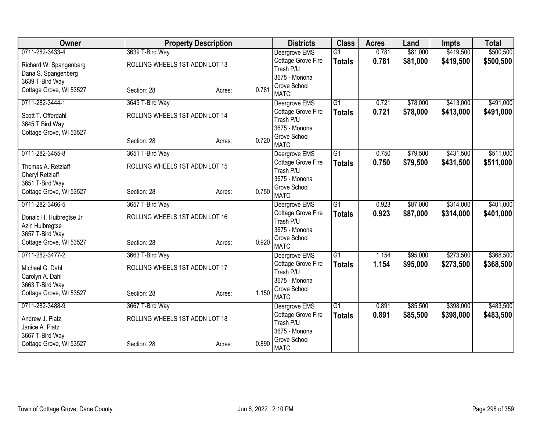| Owner                   |                                | <b>Property Description</b> |       | <b>Districts</b>                | <b>Class</b>    | <b>Acres</b> | Land     | <b>Impts</b> | <b>Total</b> |
|-------------------------|--------------------------------|-----------------------------|-------|---------------------------------|-----------------|--------------|----------|--------------|--------------|
| 0711-282-3433-4         | 3639 T-Bird Way                |                             |       | Deergrove EMS                   | $\overline{G1}$ | 0.781        | \$81,000 | \$419,500    | \$500,500    |
| Richard W. Spangenberg  | ROLLING WHEELS 1ST ADDN LOT 13 |                             |       | Cottage Grove Fire              | <b>Totals</b>   | 0.781        | \$81,000 | \$419,500    | \$500,500    |
| Dana S. Spangenberg     |                                |                             |       | Trash P/U                       |                 |              |          |              |              |
| 3639 T-Bird Way         |                                |                             |       | 3675 - Monona                   |                 |              |          |              |              |
| Cottage Grove, WI 53527 | Section: 28                    | Acres:                      | 0.781 | Grove School<br><b>MATC</b>     |                 |              |          |              |              |
| 0711-282-3444-1         | 3645 T-Bird Way                |                             |       | Deergrove EMS                   | $\overline{G1}$ | 0.721        | \$78,000 | \$413,000    | \$491,000    |
| Scott T. Offerdahl      | ROLLING WHEELS 1ST ADDN LOT 14 |                             |       | Cottage Grove Fire              | <b>Totals</b>   | 0.721        | \$78,000 | \$413,000    | \$491,000    |
| 3645 T Bird Way         |                                |                             |       | Trash P/U                       |                 |              |          |              |              |
| Cottage Grove, WI 53527 |                                |                             |       | 3675 - Monona                   |                 |              |          |              |              |
|                         | Section: 28                    | Acres:                      | 0.720 | Grove School                    |                 |              |          |              |              |
| 0711-282-3455-8         |                                |                             |       | <b>MATC</b>                     | $\overline{G1}$ | 0.750        |          | \$431,500    |              |
|                         | 3651 T-Bird Way                |                             |       | Deergrove EMS                   |                 |              | \$79,500 |              | \$511,000    |
| Thomas A. Retzlaff      | ROLLING WHEELS 1ST ADDN LOT 15 |                             |       | Cottage Grove Fire<br>Trash P/U | <b>Totals</b>   | 0.750        | \$79,500 | \$431,500    | \$511,000    |
| Cheryl Retzlaff         |                                |                             |       | 3675 - Monona                   |                 |              |          |              |              |
| 3651 T-Bird Way         |                                |                             |       | Grove School                    |                 |              |          |              |              |
| Cottage Grove, WI 53527 | Section: 28                    | Acres:                      | 0.750 | <b>MATC</b>                     |                 |              |          |              |              |
| 0711-282-3466-5         | 3657 T-Bird Way                |                             |       | Deergrove EMS                   | $\overline{G1}$ | 0.923        | \$87,000 | \$314,000    | \$401,000    |
| Donald H. Huibregtse Jr | ROLLING WHEELS 1ST ADDN LOT 16 |                             |       | Cottage Grove Fire              | <b>Totals</b>   | 0.923        | \$87,000 | \$314,000    | \$401,000    |
| Azin Huibregtse         |                                |                             |       | Trash P/U                       |                 |              |          |              |              |
| 3657 T-Bird Way         |                                |                             |       | 3675 - Monona                   |                 |              |          |              |              |
| Cottage Grove, WI 53527 | Section: 28                    | Acres:                      | 0.920 | Grove School                    |                 |              |          |              |              |
|                         |                                |                             |       | <b>MATC</b>                     |                 |              |          |              |              |
| 0711-282-3477-2         | 3663 T-Bird Way                |                             |       | Deergrove EMS                   | $\overline{G1}$ | 1.154        | \$95,000 | \$273,500    | \$368,500    |
| Michael G. Dahl         | ROLLING WHEELS 1ST ADDN LOT 17 |                             |       | Cottage Grove Fire<br>Trash P/U | <b>Totals</b>   | 1.154        | \$95,000 | \$273,500    | \$368,500    |
| Carolyn A. Dahl         |                                |                             |       | 3675 - Monona                   |                 |              |          |              |              |
| 3663 T-Bird Way         |                                |                             |       | Grove School                    |                 |              |          |              |              |
| Cottage Grove, WI 53527 | Section: 28                    | Acres:                      | 1.150 | <b>MATC</b>                     |                 |              |          |              |              |
| 0711-282-3488-9         | 3667 T-Bird Way                |                             |       | Deergrove EMS                   | G1              | 0.891        | \$85,500 | \$398,000    | \$483,500    |
| Andrew J. Platz         | ROLLING WHEELS 1ST ADDN LOT 18 |                             |       | Cottage Grove Fire              | <b>Totals</b>   | 0.891        | \$85,500 | \$398,000    | \$483,500    |
| Janice A. Platz         |                                |                             |       | Trash P/U                       |                 |              |          |              |              |
| 3667 T-Bird Way         |                                |                             |       | 3675 - Monona                   |                 |              |          |              |              |
| Cottage Grove, WI 53527 | Section: 28                    | Acres:                      | 0.890 | Grove School<br><b>MATC</b>     |                 |              |          |              |              |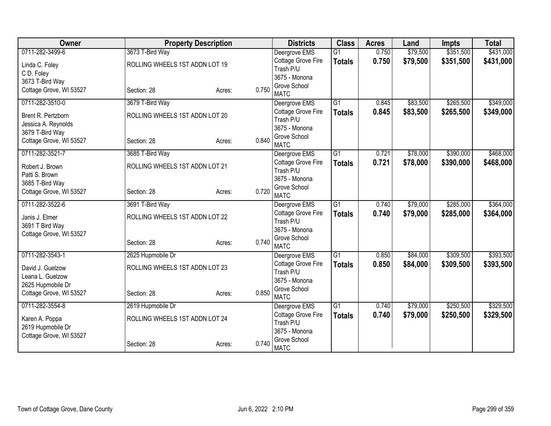| Owner                   | <b>Property Description</b>    |        |       | <b>Districts</b>                | <b>Class</b>    | <b>Acres</b> | Land     | <b>Impts</b> | <b>Total</b> |
|-------------------------|--------------------------------|--------|-------|---------------------------------|-----------------|--------------|----------|--------------|--------------|
| 0711-282-3499-6         | 3673 T-Bird Way                |        |       | Deergrove EMS                   | $\overline{G1}$ | 0.750        | \$79,500 | \$351,500    | \$431,000    |
| Linda C. Foley          | ROLLING WHEELS 1ST ADDN LOT 19 |        |       | Cottage Grove Fire              | <b>Totals</b>   | 0.750        | \$79,500 | \$351,500    | \$431,000    |
| C D. Foley              |                                |        |       | Trash P/U                       |                 |              |          |              |              |
| 3673 T-Bird Way         |                                |        |       | 3675 - Monona                   |                 |              |          |              |              |
| Cottage Grove, WI 53527 | Section: 28                    | Acres: | 0.750 | Grove School                    |                 |              |          |              |              |
|                         |                                |        |       | <b>MATC</b>                     |                 |              |          |              |              |
| 0711-282-3510-0         | 3679 T-Bird Way                |        |       | Deergrove EMS                   | $\overline{G1}$ | 0.845        | \$83,500 | \$265,500    | \$349,000    |
| Brent R. Pertzborn      | ROLLING WHEELS 1ST ADDN LOT 20 |        |       | Cottage Grove Fire              | <b>Totals</b>   | 0.845        | \$83,500 | \$265,500    | \$349,000    |
| Jessica A. Reynolds     |                                |        |       | Trash P/U                       |                 |              |          |              |              |
| 3679 T-Bird Way         |                                |        |       | 3675 - Monona<br>Grove School   |                 |              |          |              |              |
| Cottage Grove, WI 53527 | Section: 28                    | Acres: | 0.840 | <b>MATC</b>                     |                 |              |          |              |              |
| 0711-282-3521-7         | 3685 T-Bird Way                |        |       | Deergrove EMS                   | $\overline{G1}$ | 0.721        | \$78,000 | \$390,000    | \$468,000    |
|                         |                                |        |       | Cottage Grove Fire              |                 | 0.721        | \$78,000 | \$390,000    | \$468,000    |
| Robert J. Brown         | ROLLING WHEELS 1ST ADDN LOT 21 |        |       | Trash P/U                       | <b>Totals</b>   |              |          |              |              |
| Patti S. Brown          |                                |        |       | 3675 - Monona                   |                 |              |          |              |              |
| 3685 T-Bird Way         |                                |        |       | Grove School                    |                 |              |          |              |              |
| Cottage Grove, WI 53527 | Section: 28                    | Acres: | 0.720 | <b>MATC</b>                     |                 |              |          |              |              |
| 0711-282-3522-6         | 3691 T-Bird Way                |        |       | Deergrove EMS                   | $\overline{G1}$ | 0.740        | \$79,000 | \$285,000    | \$364,000    |
| Janis J. Elmer          | ROLLING WHEELS 1ST ADDN LOT 22 |        |       | Cottage Grove Fire              | <b>Totals</b>   | 0.740        | \$79,000 | \$285,000    | \$364,000    |
| 3691 T Bird Way         |                                |        |       | Trash P/U                       |                 |              |          |              |              |
| Cottage Grove, WI 53527 |                                |        |       | 3675 - Monona                   |                 |              |          |              |              |
|                         | Section: 28                    | Acres: | 0.740 | Grove School                    |                 |              |          |              |              |
|                         |                                |        |       | <b>MATC</b>                     |                 |              |          |              |              |
| 0711-282-3543-1         | 2625 Hupmobile Dr              |        |       | Deergrove EMS                   | G1              | 0.850        | \$84,000 | \$309,500    | \$393,500    |
| David J. Guelzow        | ROLLING WHEELS 1ST ADDN LOT 23 |        |       | Cottage Grove Fire              | <b>Totals</b>   | 0.850        | \$84,000 | \$309,500    | \$393,500    |
| Leana L. Guelzow        |                                |        |       | Trash P/U                       |                 |              |          |              |              |
| 2625 Hupmobile Dr       |                                |        |       | 3675 - Monona                   |                 |              |          |              |              |
| Cottage Grove, WI 53527 | Section: 28                    | Acres: | 0.850 | Grove School                    |                 |              |          |              |              |
|                         |                                |        |       | <b>MATC</b>                     |                 |              |          |              |              |
| 0711-282-3554-8         | 2619 Hupmobile Dr              |        |       | Deergrove EMS                   | $\overline{G1}$ | 0.740        | \$79,000 | \$250,500    | \$329,500    |
| Karen A. Poppa          | ROLLING WHEELS 1ST ADDN LOT 24 |        |       | Cottage Grove Fire<br>Trash P/U | <b>Totals</b>   | 0.740        | \$79,000 | \$250,500    | \$329,500    |
| 2619 Hupmobile Dr       |                                |        |       | 3675 - Monona                   |                 |              |          |              |              |
| Cottage Grove, WI 53527 |                                |        |       | Grove School                    |                 |              |          |              |              |
|                         | Section: 28                    | Acres: | 0.740 | <b>MATC</b>                     |                 |              |          |              |              |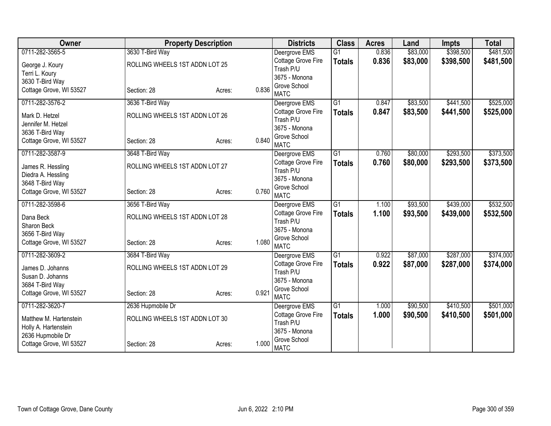| Owner                   | <b>Property Description</b>    |        |       | <b>Districts</b>                | <b>Class</b>    | <b>Acres</b> | Land     | <b>Impts</b> | <b>Total</b> |
|-------------------------|--------------------------------|--------|-------|---------------------------------|-----------------|--------------|----------|--------------|--------------|
| 0711-282-3565-5         | 3630 T-Bird Way                |        |       | Deergrove EMS                   | $\overline{G1}$ | 0.836        | \$83,000 | \$398,500    | \$481,500    |
| George J. Koury         | ROLLING WHEELS 1ST ADDN LOT 25 |        |       | Cottage Grove Fire              | <b>Totals</b>   | 0.836        | \$83,000 | \$398,500    | \$481,500    |
| Terri L. Koury          |                                |        |       | Trash P/U                       |                 |              |          |              |              |
| 3630 T-Bird Way         |                                |        |       | 3675 - Monona                   |                 |              |          |              |              |
| Cottage Grove, WI 53527 | Section: 28                    | Acres: | 0.836 | Grove School                    |                 |              |          |              |              |
|                         |                                |        |       | <b>MATC</b>                     |                 |              |          |              |              |
| 0711-282-3576-2         | 3636 T-Bird Way                |        |       | Deergrove EMS                   | $\overline{G1}$ | 0.847        | \$83,500 | \$441,500    | \$525,000    |
| Mark D. Hetzel          | ROLLING WHEELS 1ST ADDN LOT 26 |        |       | Cottage Grove Fire              | <b>Totals</b>   | 0.847        | \$83,500 | \$441,500    | \$525,000    |
| Jennifer M. Hetzel      |                                |        |       | Trash P/U<br>3675 - Monona      |                 |              |          |              |              |
| 3636 T-Bird Way         |                                |        |       | Grove School                    |                 |              |          |              |              |
| Cottage Grove, WI 53527 | Section: 28                    | Acres: | 0.840 | <b>MATC</b>                     |                 |              |          |              |              |
| 0711-282-3587-9         | 3648 T-Bird Way                |        |       | Deergrove EMS                   | $\overline{G1}$ | 0.760        | \$80,000 | \$293,500    | \$373,500    |
|                         |                                |        |       | Cottage Grove Fire              |                 | 0.760        | \$80,000 | \$293,500    | \$373,500    |
| James R. Hessling       | ROLLING WHEELS 1ST ADDN LOT 27 |        |       | Trash P/U                       | <b>Totals</b>   |              |          |              |              |
| Diedra A. Hessling      |                                |        |       | 3675 - Monona                   |                 |              |          |              |              |
| 3648 T-Bird Way         |                                |        |       | Grove School                    |                 |              |          |              |              |
| Cottage Grove, WI 53527 | Section: 28                    | Acres: | 0.760 | <b>MATC</b>                     |                 |              |          |              |              |
| 0711-282-3598-6         | 3656 T-Bird Way                |        |       | Deergrove EMS                   | G1              | 1.100        | \$93,500 | \$439,000    | \$532,500    |
| Dana Beck               | ROLLING WHEELS 1ST ADDN LOT 28 |        |       | Cottage Grove Fire              | <b>Totals</b>   | 1.100        | \$93,500 | \$439,000    | \$532,500    |
| Sharon Beck             |                                |        |       | Trash P/U                       |                 |              |          |              |              |
| 3656 T-Bird Way         |                                |        |       | 3675 - Monona                   |                 |              |          |              |              |
| Cottage Grove, WI 53527 | Section: 28                    | Acres: | 1.080 | Grove School                    |                 |              |          |              |              |
|                         |                                |        |       | <b>MATC</b>                     |                 |              |          |              |              |
| 0711-282-3609-2         | 3684 T-Bird Way                |        |       | Deergrove EMS                   | $\overline{G1}$ | 0.922        | \$87,000 | \$287,000    | \$374,000    |
| James D. Johanns        | ROLLING WHEELS 1ST ADDN LOT 29 |        |       | Cottage Grove Fire              | <b>Totals</b>   | 0.922        | \$87,000 | \$287,000    | \$374,000    |
| Susan D. Johanns        |                                |        |       | Trash P/U                       |                 |              |          |              |              |
| 3684 T-Bird Way         |                                |        |       | 3675 - Monona                   |                 |              |          |              |              |
| Cottage Grove, WI 53527 | Section: 28                    | Acres: | 0.921 | Grove School                    |                 |              |          |              |              |
| 0711-282-3620-7         |                                |        |       | <b>MATC</b>                     | $\overline{G1}$ |              |          | \$410,500    |              |
|                         | 2636 Hupmobile Dr              |        |       | Deergrove EMS                   |                 | 1.000        | \$90,500 |              | \$501,000    |
| Matthew M. Hartenstein  | ROLLING WHEELS 1ST ADDN LOT 30 |        |       | Cottage Grove Fire<br>Trash P/U | <b>Totals</b>   | 1.000        | \$90,500 | \$410,500    | \$501,000    |
| Holly A. Hartenstein    |                                |        |       | 3675 - Monona                   |                 |              |          |              |              |
| 2636 Hupmobile Dr       |                                |        |       | Grove School                    |                 |              |          |              |              |
| Cottage Grove, WI 53527 | Section: 28                    | Acres: | 1.000 | <b>MATC</b>                     |                 |              |          |              |              |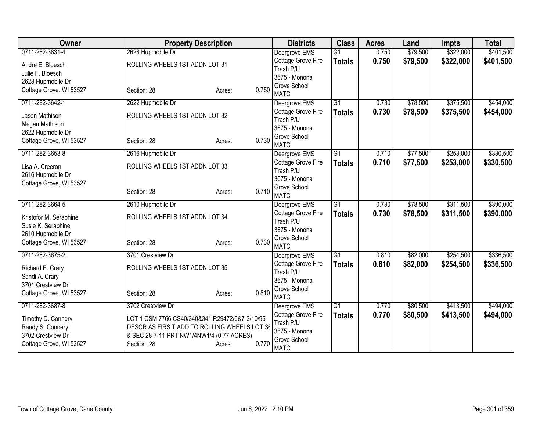| Owner                   | <b>Property Description</b>                    |                 | <b>Districts</b>           | <b>Class</b>    | <b>Acres</b> | Land     | <b>Impts</b> | <b>Total</b> |
|-------------------------|------------------------------------------------|-----------------|----------------------------|-----------------|--------------|----------|--------------|--------------|
| 0711-282-3631-4         | 2628 Hupmobile Dr                              |                 | Deergrove EMS              | $\overline{G1}$ | 0.750        | \$79,500 | \$322,000    | \$401,500    |
| Andre E. Bloesch        | ROLLING WHEELS 1ST ADDN LOT 31                 |                 | Cottage Grove Fire         | <b>Totals</b>   | 0.750        | \$79,500 | \$322,000    | \$401,500    |
| Julie F. Bloesch        |                                                |                 | Trash P/U                  |                 |              |          |              |              |
| 2628 Hupmobile Dr       |                                                |                 | 3675 - Monona              |                 |              |          |              |              |
| Cottage Grove, WI 53527 | Section: 28                                    | 0.750<br>Acres: | Grove School               |                 |              |          |              |              |
|                         |                                                |                 | <b>MATC</b>                |                 |              |          |              |              |
| 0711-282-3642-1         | 2622 Hupmobile Dr                              |                 | Deergrove EMS              | $\overline{G1}$ | 0.730        | \$78,500 | \$375,500    | \$454,000    |
| Jason Mathison          | ROLLING WHEELS 1ST ADDN LOT 32                 |                 | Cottage Grove Fire         | <b>Totals</b>   | 0.730        | \$78,500 | \$375,500    | \$454,000    |
| Megan Mathison          |                                                |                 | Trash P/U<br>3675 - Monona |                 |              |          |              |              |
| 2622 Hupmobile Dr       |                                                |                 | Grove School               |                 |              |          |              |              |
| Cottage Grove, WI 53527 | Section: 28                                    | 0.730<br>Acres: | <b>MATC</b>                |                 |              |          |              |              |
| 0711-282-3653-8         | 2616 Hupmobile Dr                              |                 | Deergrove EMS              | $\overline{G1}$ | 0.710        | \$77,500 | \$253,000    | \$330,500    |
|                         |                                                |                 | Cottage Grove Fire         | <b>Totals</b>   | 0.710        | \$77,500 | \$253,000    | \$330,500    |
| Lisa A. Creeron         | ROLLING WHEELS 1ST ADDN LOT 33                 |                 | Trash P/U                  |                 |              |          |              |              |
| 2616 Hupmobile Dr       |                                                |                 | 3675 - Monona              |                 |              |          |              |              |
| Cottage Grove, WI 53527 |                                                | 0.710           | Grove School               |                 |              |          |              |              |
|                         | Section: 28                                    | Acres:          | <b>MATC</b>                |                 |              |          |              |              |
| 0711-282-3664-5         | 2610 Hupmobile Dr                              |                 | Deergrove EMS              | $\overline{G1}$ | 0.730        | \$78,500 | \$311,500    | \$390,000    |
| Kristofor M. Seraphine  | ROLLING WHEELS 1ST ADDN LOT 34                 |                 | Cottage Grove Fire         | <b>Totals</b>   | 0.730        | \$78,500 | \$311,500    | \$390,000    |
| Susie K. Seraphine      |                                                |                 | Trash P/U                  |                 |              |          |              |              |
| 2610 Hupmobile Dr       |                                                |                 | 3675 - Monona              |                 |              |          |              |              |
| Cottage Grove, WI 53527 | Section: 28                                    | 0.730<br>Acres: | Grove School               |                 |              |          |              |              |
|                         |                                                |                 | <b>MATC</b>                |                 |              |          |              |              |
| 0711-282-3675-2         | 3701 Crestview Dr                              |                 | Deergrove EMS              | $\overline{G1}$ | 0.810        | \$82,000 | \$254,500    | \$336,500    |
| Richard E. Crary        | ROLLING WHEELS 1ST ADDN LOT 35                 |                 | Cottage Grove Fire         | <b>Totals</b>   | 0.810        | \$82,000 | \$254,500    | \$336,500    |
| Sandi A. Crary          |                                                |                 | Trash P/U<br>3675 - Monona |                 |              |          |              |              |
| 3701 Crestview Dr       |                                                |                 | Grove School               |                 |              |          |              |              |
| Cottage Grove, WI 53527 | Section: 28                                    | 0.810<br>Acres: | <b>MATC</b>                |                 |              |          |              |              |
| 0711-282-3687-8         | 3702 Crestview Dr                              |                 | Deergrove EMS              | $\overline{G1}$ | 0.770        | \$80,500 | \$413,500    | \$494,000    |
|                         |                                                |                 | Cottage Grove Fire         | <b>Totals</b>   | 0.770        | \$80,500 | \$413,500    | \$494,000    |
| Timothy D. Connery      | LOT 1 CSM 7766 CS40/340&341 R29472/6&7-3/10/95 |                 | Trash P/U                  |                 |              |          |              |              |
| Randy S. Connery        | DESCR AS FIRS T ADD TO ROLLING WHEELS LOT 36   |                 | 3675 - Monona              |                 |              |          |              |              |
| 3702 Crestview Dr       | & SEC 28-7-11 PRT NW1/4NW1/4 (0.77 ACRES)      |                 | Grove School               |                 |              |          |              |              |
| Cottage Grove, WI 53527 | Section: 28                                    | 0.770<br>Acres: | <b>MATC</b>                |                 |              |          |              |              |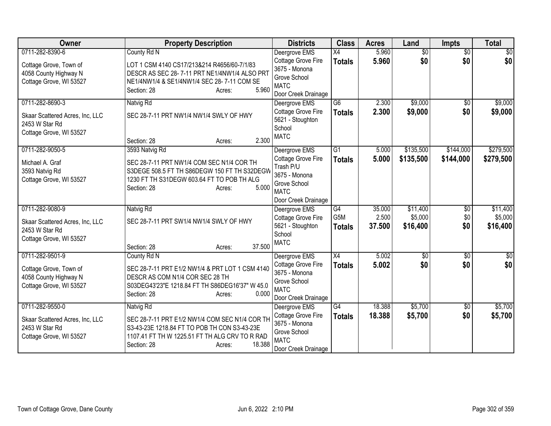| Owner                                             | <b>Property Description</b>                                                                 | <b>Districts</b>                       | <b>Class</b>                     | <b>Acres</b>   | Land                   | <b>Impts</b>           | <b>Total</b>           |
|---------------------------------------------------|---------------------------------------------------------------------------------------------|----------------------------------------|----------------------------------|----------------|------------------------|------------------------|------------------------|
| 0711-282-8390-6                                   | County Rd N                                                                                 | Deergrove EMS<br>Cottage Grove Fire    | $\overline{X4}$<br><b>Totals</b> | 5.960<br>5.960 | $\overline{50}$<br>\$0 | $\overline{50}$<br>\$0 | $\overline{30}$<br>\$0 |
| Cottage Grove, Town of<br>4058 County Highway N   | LOT 1 CSM 4140 CS17/213&214 R4656/60-7/1/83<br>DESCR AS SEC 28-7-11 PRT NE1/4NW1/4 ALSO PRT | 3675 - Monona                          |                                  |                |                        |                        |                        |
| Cottage Grove, WI 53527                           | NE1/4NW1/4 & SE1/4NW1/4 SEC 28-7-11 COM SE<br>5.960<br>Section: 28<br>Acres:                | Grove School<br><b>MATC</b>            |                                  |                |                        |                        |                        |
|                                                   |                                                                                             | Door Creek Drainage                    |                                  |                |                        |                        |                        |
| 0711-282-8690-3                                   | Natvig Rd                                                                                   | Deergrove EMS                          | $\overline{G6}$                  | 2.300          | \$9,000                | $\overline{30}$        | \$9,000                |
| Skaar Scattered Acres, Inc, LLC<br>2453 W Star Rd | SEC 28-7-11 PRT NW1/4 NW1/4 SWLY OF HWY                                                     | Cottage Grove Fire<br>5621 - Stoughton | <b>Totals</b>                    | 2.300          | \$9,000                | \$0                    | \$9,000                |
| Cottage Grove, WI 53527                           |                                                                                             | School                                 |                                  |                |                        |                        |                        |
|                                                   | 2.300<br>Section: 28<br>Acres:                                                              | <b>MATC</b>                            |                                  |                |                        |                        |                        |
| 0711-282-9050-5                                   | 3593 Natvig Rd                                                                              | Deergrove EMS                          | $\overline{G1}$                  | 5.000          | \$135,500              | \$144,000              | \$279,500              |
| Michael A. Graf                                   | SEC 28-7-11 PRT NW1/4 COM SEC N1/4 COR TH                                                   | Cottage Grove Fire                     | <b>Totals</b>                    | 5.000          | \$135,500              | \$144,000              | \$279,500              |
| 3593 Natvig Rd                                    | S3DEGE 508.5 FT TH S86DEGW 150 FT TH S32DEGW                                                | Trash P/U                              |                                  |                |                        |                        |                        |
| Cottage Grove, WI 53527                           | 1230 FT TH S31DEGW 603.64 FT TO POB TH ALG                                                  | 3675 - Monona<br>Grove School          |                                  |                |                        |                        |                        |
|                                                   | 5.000<br>Section: 28<br>Acres:                                                              | <b>MATC</b>                            |                                  |                |                        |                        |                        |
|                                                   |                                                                                             | Door Creek Drainage                    |                                  |                |                        |                        |                        |
| 0711-282-9080-9                                   | Natvig Rd                                                                                   | Deergrove EMS                          | $\overline{G4}$                  | 35.000         | \$11,400               | $\overline{50}$        | \$11,400               |
| Skaar Scattered Acres, Inc, LLC                   | SEC 28-7-11 PRT SW1/4 NW1/4 SWLY OF HWY                                                     | Cottage Grove Fire                     | G <sub>5</sub> M                 | 2.500          | \$5,000                | \$0                    | \$5,000                |
| 2453 W Star Rd                                    |                                                                                             | 5621 - Stoughton                       | <b>Totals</b>                    | 37,500         | \$16,400               | \$0                    | \$16,400               |
| Cottage Grove, WI 53527                           |                                                                                             | School<br><b>MATC</b>                  |                                  |                |                        |                        |                        |
|                                                   | 37.500<br>Section: 28<br>Acres:                                                             |                                        |                                  |                |                        |                        |                        |
| 0711-282-9501-9                                   | County Rd N                                                                                 | Deergrove EMS                          | X4                               | 5.002          | $\overline{50}$        | $\sqrt{6}$             | $\sqrt{50}$            |
| Cottage Grove, Town of                            | SEC 28-7-11 PRT E1/2 NW1/4 & PRT LOT 1 CSM 4140                                             | Cottage Grove Fire                     | <b>Totals</b>                    | 5.002          | \$0                    | \$0                    | \$0                    |
| 4058 County Highway N                             | DESCR AS COM N1/4 COR SEC 28 TH                                                             | 3675 - Monona<br>Grove School          |                                  |                |                        |                        |                        |
| Cottage Grove, WI 53527                           | S03DEG43'23"E 1218.84 FT TH S86DEG16'37" W 45.0                                             | <b>MATC</b>                            |                                  |                |                        |                        |                        |
|                                                   | 0.000<br>Section: 28<br>Acres:                                                              | Door Creek Drainage                    |                                  |                |                        |                        |                        |
| 0711-282-9550-0                                   | Natvig Rd                                                                                   | Deergrove EMS                          | G4                               | 18.388         | \$5,700                | \$0                    | \$5,700                |
| Skaar Scattered Acres, Inc, LLC                   | SEC 28-7-11 PRT E1/2 NW1/4 COM SEC N1/4 COR TH                                              | Cottage Grove Fire                     | <b>Totals</b>                    | 18.388         | \$5,700                | \$0                    | \$5,700                |
| 2453 W Star Rd                                    | S3-43-23E 1218.84 FT TO POB TH CON S3-43-23E                                                | 3675 - Monona                          |                                  |                |                        |                        |                        |
| Cottage Grove, WI 53527                           | 1107.41 FT TH W 1225.51 FT TH ALG CRV TO R RAD                                              | Grove School<br><b>MATC</b>            |                                  |                |                        |                        |                        |
|                                                   | 18.388<br>Section: 28<br>Acres:                                                             | Door Creek Drainage                    |                                  |                |                        |                        |                        |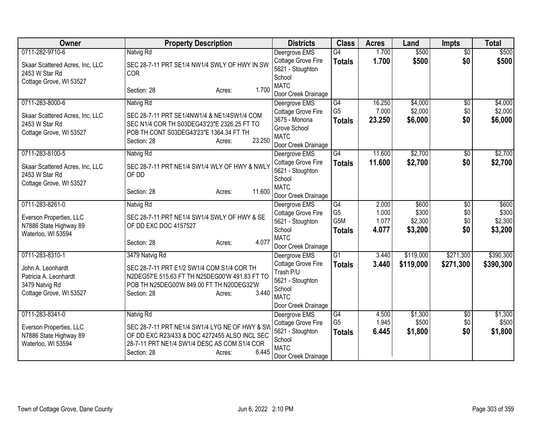| Owner                                     | <b>Property Description</b>                    | <b>Districts</b>                       | <b>Class</b>         | <b>Acres</b>   | Land             | <b>Impts</b>    | <b>Total</b>     |
|-------------------------------------------|------------------------------------------------|----------------------------------------|----------------------|----------------|------------------|-----------------|------------------|
| 0711-282-9710-6                           | Natvig Rd                                      | Deergrove EMS                          | $\overline{G4}$      | 1.700          | \$500            | $\overline{50}$ | \$500            |
| Skaar Scattered Acres, Inc, LLC           | SEC 28-7-11 PRT SE1/4 NW1/4 SWLY OF HWY IN SW  | Cottage Grove Fire                     | <b>Totals</b>        | 1.700          | \$500            | \$0             | \$500            |
| 2453 W Star Rd                            | <b>COR</b>                                     | 5621 - Stoughton<br>School             |                      |                |                  |                 |                  |
| Cottage Grove, WI 53527                   |                                                | <b>MATC</b>                            |                      |                |                  |                 |                  |
|                                           | 1.700<br>Section: 28<br>Acres:                 | Door Creek Drainage                    |                      |                |                  |                 |                  |
| 0711-283-8000-6                           | Natvig Rd                                      | Deergrove EMS                          | G4                   | 16.250         | \$4,000          | $\overline{50}$ | \$4,000          |
| Skaar Scattered Acres, Inc, LLC           | SEC 28-7-11 PRT SE1/4NW1/4 & NE1/4SW1/4 COM    | Cottage Grove Fire                     | G <sub>5</sub>       | 7.000          | \$2,000          | \$0             | \$2,000          |
| 2453 W Star Rd                            | SEC N1/4 COR TH S03DEG43'23"E 2326.25 FT TO    | 3675 - Monona                          | <b>Totals</b>        | 23.250         | \$6,000          | \$0             | \$6,000          |
| Cottage Grove, WI 53527                   | POB TH CONT S03DEG43'23"E 1364.34 FT TH        | Grove School                           |                      |                |                  |                 |                  |
|                                           | 23.250<br>Section: 28<br>Acres:                | <b>MATC</b><br>Door Creek Drainage     |                      |                |                  |                 |                  |
| 0711-283-8100-5                           | Natvig Rd                                      | Deergrove EMS                          | G4                   | 11.600         | \$2,700          | \$0             | \$2,700          |
|                                           |                                                | Cottage Grove Fire                     | <b>Totals</b>        | 11.600         | \$2,700          | \$0             | \$2,700          |
| Skaar Scattered Acres, Inc, LLC           | SEC 28-7-11 PRT NE1/4 SW1/4 WLY OF HWY & NWLY  | 5621 - Stoughton                       |                      |                |                  |                 |                  |
| 2453 W Star Rd<br>Cottage Grove, WI 53527 | OF DD                                          | School                                 |                      |                |                  |                 |                  |
|                                           | 11.600<br>Section: 28<br>Acres:                | <b>MATC</b>                            |                      |                |                  |                 |                  |
|                                           |                                                | Door Creek Drainage                    |                      |                |                  |                 |                  |
| 0711-283-8261-0                           | Natvig Rd                                      | Deergrove EMS                          | G4<br>G <sub>5</sub> | 2.000          | \$600            | $\overline{50}$ | \$600            |
| Everson Properties, LLC                   | SEC 28-7-11 PRT NE1/4 SW1/4 SWLY OF HWY & SE   | Cottage Grove Fire<br>5621 - Stoughton | G <sub>5</sub> M     | 1.000<br>1.077 | \$300<br>\$2,300 | \$0<br>\$0      | \$300<br>\$2,300 |
| N7886 State Highway 89                    | OF DD EXC DOC 4157527                          | School                                 | <b>Totals</b>        | 4.077          | \$3,200          | \$0             | \$3,200          |
| Waterloo, WI 53594                        |                                                | <b>MATC</b>                            |                      |                |                  |                 |                  |
|                                           | 4.077<br>Section: 28<br>Acres:                 | Door Creek Drainage                    |                      |                |                  |                 |                  |
| 0711-283-8310-1                           | 3479 Natvig Rd                                 | Deergrove EMS                          | $\overline{G1}$      | 3.440          | \$119,000        | \$271,300       | \$390,300        |
| John A. Leonhardt                         | SEC 28-7-11 PRT E1/2 SW1/4 COM S1/4 COR TH     | Cottage Grove Fire                     | <b>Totals</b>        | 3.440          | \$119,000        | \$271,300       | \$390,300        |
| Patricia A. Leonhardt                     | N2DEG57'E 515.63 FT TH N25DEG00'W 491.83 FT TO | Trash P/U                              |                      |                |                  |                 |                  |
| 3479 Natvig Rd                            | POB TH N25DEG00'W 849.00 FT TH N20DEG32'W      | 5621 - Stoughton<br>School             |                      |                |                  |                 |                  |
| Cottage Grove, WI 53527                   | 3.440<br>Section: 28<br>Acres:                 | <b>MATC</b>                            |                      |                |                  |                 |                  |
|                                           |                                                | Door Creek Drainage                    |                      |                |                  |                 |                  |
| 0711-283-8341-0                           | Natvig Rd                                      | Deergrove EMS                          | G4                   | 4.500          | \$1,300          | \$0             | \$1,300          |
| Everson Properties, LLC                   | SEC 28-7-11 PRT NE1/4 SW1/4 LYG NE OF HWY & SW | Cottage Grove Fire                     | G <sub>5</sub>       | 1.945          | \$500            | \$0             | \$500            |
| N7886 State Highway 89                    | OF DD EXC R23/433 & DOC 4272455 ALSO INCL SEC  | 5621 - Stoughton                       | <b>Totals</b>        | 6.445          | \$1,800          | \$0             | \$1,800          |
| Waterloo, WI 53594                        | 28-7-11 PRT NE1/4 SW1/4 DESC AS COM S1/4 COR   | School                                 |                      |                |                  |                 |                  |
|                                           | 6.445<br>Section: 28<br>Acres:                 | <b>MATC</b><br>Door Creek Drainage     |                      |                |                  |                 |                  |
|                                           |                                                |                                        |                      |                |                  |                 |                  |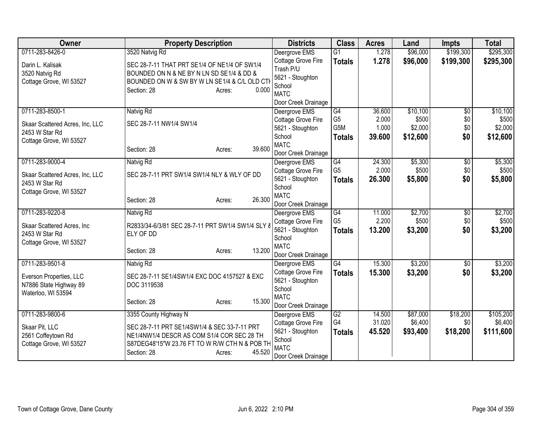| Owner                                        | <b>Property Description</b>                       |                  | <b>Districts</b>                       | <b>Class</b>         | <b>Acres</b>     | Land                | <b>Impts</b>    | <b>Total</b>         |
|----------------------------------------------|---------------------------------------------------|------------------|----------------------------------------|----------------------|------------------|---------------------|-----------------|----------------------|
| 0711-283-8426-0                              | 3520 Natvig Rd                                    |                  | Deergrove EMS                          | $\overline{G1}$      | 1.278            | \$96,000            | \$199,300       | \$295,300            |
| Darin L. Kalisak                             | SEC 28-7-11 THAT PRT SE1/4 OF NE1/4 OF SW1/4      |                  | Cottage Grove Fire                     | <b>Totals</b>        | 1.278            | \$96,000            | \$199,300       | \$295,300            |
| 3520 Natvig Rd                               | BOUNDED ON N & NE BY N LN SD SE1/4 & DD &         |                  | Trash P/U                              |                      |                  |                     |                 |                      |
| Cottage Grove, WI 53527                      | BOUNDED ON W & SW BY W LN SE1/4 & C/L OLD CTI     |                  | 5621 - Stoughton                       |                      |                  |                     |                 |                      |
|                                              | Section: 28                                       | 0.000<br>Acres:  | School                                 |                      |                  |                     |                 |                      |
|                                              |                                                   |                  | <b>MATC</b>                            |                      |                  |                     |                 |                      |
|                                              |                                                   |                  | Door Creek Drainage                    |                      |                  |                     |                 |                      |
| 0711-283-8500-1                              | Natvig Rd                                         |                  | Deergrove EMS                          | G4<br>G <sub>5</sub> | 36.600<br>2.000  | \$10,100<br>\$500   | $\overline{50}$ | \$10,100<br>\$500    |
| Skaar Scattered Acres, Inc, LLC              | SEC 28-7-11 NW1/4 SW1/4                           |                  | Cottage Grove Fire                     | G5M                  | 1.000            | \$2,000             | \$0<br>\$0      | \$2,000              |
| 2453 W Star Rd                               |                                                   |                  | 5621 - Stoughton<br>School             |                      |                  |                     | \$0             |                      |
| Cottage Grove, WI 53527                      |                                                   |                  | <b>MATC</b>                            | <b>Totals</b>        | 39.600           | \$12,600            |                 | \$12,600             |
|                                              | Section: 28                                       | 39.600<br>Acres: | Door Creek Drainage                    |                      |                  |                     |                 |                      |
| 0711-283-9000-4                              | Natvig Rd                                         |                  | Deergrove EMS                          | G4                   | 24.300           | \$5,300             | \$0             | \$5,300              |
|                                              |                                                   |                  | Cottage Grove Fire                     | G <sub>5</sub>       | 2.000            | \$500               | \$0             | \$500                |
| Skaar Scattered Acres, Inc, LLC              | SEC 28-7-11 PRT SW1/4 SW1/4 NLY & WLY OF DD       |                  | 5621 - Stoughton                       | <b>Totals</b>        | 26.300           | \$5,800             | \$0             | \$5,800              |
| 2453 W Star Rd                               |                                                   |                  | School                                 |                      |                  |                     |                 |                      |
| Cottage Grove, WI 53527                      |                                                   |                  | <b>MATC</b>                            |                      |                  |                     |                 |                      |
|                                              | Section: 28                                       | 26.300<br>Acres: | Door Creek Drainage                    |                      |                  |                     |                 |                      |
| 0711-283-9220-8                              | Natvig Rd                                         |                  | Deergrove EMS                          | G4                   | 11.000           | \$2,700             | $\overline{50}$ | \$2,700              |
|                                              | R2833/34-6/3/81 SEC 28-7-11 PRT SW1/4 SW1/4 SLY & |                  | Cottage Grove Fire                     | G <sub>5</sub>       | 2.200            | \$500               | \$0             | \$500                |
| Skaar Scattered Acres, Inc<br>2453 W Star Rd | ELY OF DD                                         |                  | 5621 - Stoughton                       | <b>Totals</b>        | 13.200           | \$3,200             | \$0             | \$3,200              |
| Cottage Grove, WI 53527                      |                                                   |                  | School                                 |                      |                  |                     |                 |                      |
|                                              | Section: 28                                       | 13.200<br>Acres: | <b>MATC</b>                            |                      |                  |                     |                 |                      |
|                                              |                                                   |                  | Door Creek Drainage                    |                      |                  |                     |                 |                      |
| 0711-283-9501-8                              | Natvig Rd                                         |                  | Deergrove EMS                          | $\overline{G4}$      | 15.300           | \$3,200             | \$0             | \$3,200              |
| Everson Properties, LLC                      | SEC 28-7-11 SE1/4SW1/4 EXC DOC 4157527 & EXC      |                  | Cottage Grove Fire                     | <b>Totals</b>        | 15.300           | \$3,200             | \$0             | \$3,200              |
| N7886 State Highway 89                       | DOC 3119538                                       |                  | 5621 - Stoughton                       |                      |                  |                     |                 |                      |
| Waterloo, WI 53594                           |                                                   |                  | School                                 |                      |                  |                     |                 |                      |
|                                              | Section: 28                                       | 15.300<br>Acres: | <b>MATC</b>                            |                      |                  |                     |                 |                      |
|                                              |                                                   |                  | Door Creek Drainage                    |                      |                  |                     |                 |                      |
| 0711-283-9800-6                              | 3355 County Highway N                             |                  | Deergrove EMS                          | G2<br>G4             | 14.500<br>31.020 | \$87,000<br>\$6,400 | \$18,200<br>\$0 | \$105,200<br>\$6,400 |
| Skaar Pit, LLC                               | SEC 28-7-11 PRT SE1/4SW1/4 & SEC 33-7-11 PRT      |                  | Cottage Grove Fire<br>5621 - Stoughton |                      |                  |                     |                 |                      |
| 2561 Coffeytown Rd                           | NE1/4NW1/4 DESCR AS COM S1/4 COR SEC 28 TH        |                  | School                                 | <b>Totals</b>        | 45.520           | \$93,400            | \$18,200        | \$111,600            |
| Cottage Grove, WI 53527                      | S87DEG48'15"W 23.76 FT TO W R/W CTH N & POB TH    |                  | <b>MATC</b>                            |                      |                  |                     |                 |                      |
|                                              | Section: 28                                       | 45.520<br>Acres: | Door Creek Drainage                    |                      |                  |                     |                 |                      |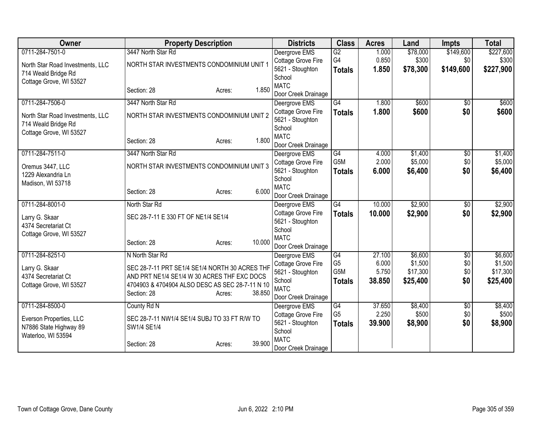| Owner                                                   | <b>Property Description</b>                     |                  | <b>Districts</b>                       | <b>Class</b>     | <b>Acres</b> | Land     | <b>Impts</b>    | <b>Total</b> |
|---------------------------------------------------------|-------------------------------------------------|------------------|----------------------------------------|------------------|--------------|----------|-----------------|--------------|
| 0711-284-7501-0                                         | 3447 North Star Rd                              |                  | Deergrove EMS                          | $\overline{G2}$  | 1.000        | \$78,000 | \$149,600       | \$227,600    |
| North Star Road Investments, LLC                        | NORTH STAR INVESTMENTS CONDOMINIUM UNIT *       |                  | Cottage Grove Fire                     | G4               | 0.850        | \$300    | \$0             | \$300        |
| 714 Weald Bridge Rd                                     |                                                 |                  | 5621 - Stoughton                       | <b>Totals</b>    | 1.850        | \$78,300 | \$149,600       | \$227,900    |
| Cottage Grove, WI 53527                                 |                                                 |                  | School                                 |                  |              |          |                 |              |
|                                                         | Section: 28                                     | 1.850<br>Acres:  | <b>MATC</b>                            |                  |              |          |                 |              |
| 0711-284-7506-0                                         | 3447 North Star Rd                              |                  | Door Creek Drainage                    | $\overline{G4}$  | 1.800        | \$600    |                 | \$600        |
|                                                         |                                                 |                  | Deergrove EMS                          |                  |              |          | $\overline{50}$ |              |
| North Star Road Investments, LLC<br>714 Weald Bridge Rd | NORTH STAR INVESTMENTS CONDOMINIUM UNIT 2       |                  | Cottage Grove Fire<br>5621 - Stoughton | <b>Totals</b>    | 1.800        | \$600    | \$0             | \$600        |
| Cottage Grove, WI 53527                                 |                                                 |                  | School                                 |                  |              |          |                 |              |
|                                                         | Section: 28                                     | 1.800<br>Acres:  | <b>MATC</b>                            |                  |              |          |                 |              |
|                                                         |                                                 |                  | Door Creek Drainage                    |                  |              |          |                 |              |
| 0711-284-7511-0                                         | 3447 North Star Rd                              |                  | Deergrove EMS                          | G4               | 4.000        | \$1,400  | \$0             | \$1,400      |
| Oremus 3447, LLC                                        | NORTH STAR INVESTMENTS CONDOMINIUM UNIT 3       |                  | Cottage Grove Fire                     | G <sub>5</sub> M | 2.000        | \$5,000  | \$0             | \$5,000      |
| 1229 Alexandria Ln                                      |                                                 |                  | 5621 - Stoughton<br>School             | <b>Totals</b>    | 6.000        | \$6,400  | \$0             | \$6,400      |
| Madison, WI 53718                                       |                                                 |                  | <b>MATC</b>                            |                  |              |          |                 |              |
|                                                         | Section: 28                                     | 6.000<br>Acres:  | Door Creek Drainage                    |                  |              |          |                 |              |
| 0711-284-8001-0                                         | North Star Rd                                   |                  | Deergrove EMS                          | G4               | 10.000       | \$2,900  | $\overline{60}$ | \$2,900      |
| Larry G. Skaar                                          | SEC 28-7-11 E 330 FT OF NE1/4 SE1/4             |                  | Cottage Grove Fire                     | <b>Totals</b>    | 10.000       | \$2,900  | \$0             | \$2,900      |
| 4374 Secretariat Ct                                     |                                                 |                  | 5621 - Stoughton                       |                  |              |          |                 |              |
| Cottage Grove, WI 53527                                 |                                                 |                  | School                                 |                  |              |          |                 |              |
|                                                         | Section: 28                                     | 10.000<br>Acres: | <b>MATC</b>                            |                  |              |          |                 |              |
|                                                         |                                                 |                  | Door Creek Drainage                    |                  |              |          |                 |              |
| 0711-284-8251-0                                         | N North Star Rd                                 |                  | Deergrove EMS                          | G4               | 27.100       | \$6,600  | $\overline{50}$ | \$6,600      |
| Larry G. Skaar                                          | SEC 28-7-11 PRT SE1/4 SE1/4 NORTH 30 ACRES THF  |                  | Cottage Grove Fire                     | G <sub>5</sub>   | 6.000        | \$1,500  | \$0             | \$1,500      |
| 4374 Secretariat Ct                                     | AND PRT NE1/4 SE1/4 W 30 ACRES THF EXC DOCS     |                  | 5621 - Stoughton                       | G5M              | 5.750        | \$17,300 | \$0             | \$17,300     |
| Cottage Grove, WI 53527                                 | 4704903 & 4704904 ALSO DESC AS SEC 28-7-11 N 10 |                  | School<br><b>MATC</b>                  | <b>Totals</b>    | 38.850       | \$25,400 | \$0             | \$25,400     |
|                                                         | Section: 28                                     | 38.850<br>Acres: |                                        |                  |              |          |                 |              |
| 0711-284-8500-0                                         | County Rd N                                     |                  | Door Creek Drainage<br>Deergrove EMS   | G4               | 37.650       | \$8,400  | \$0             | \$8,400      |
|                                                         |                                                 |                  | Cottage Grove Fire                     | G <sub>5</sub>   | 2.250        | \$500    | \$0             | \$500        |
| Everson Properties, LLC                                 | SEC 28-7-11 NW1/4 SE1/4 SUBJ TO 33 FT R/W TO    |                  | 5621 - Stoughton                       |                  | 39.900       | \$8,900  | \$0             | \$8,900      |
| N7886 State Highway 89                                  | SW1/4 SE1/4                                     |                  | School                                 | <b>Totals</b>    |              |          |                 |              |
| Waterloo, WI 53594                                      |                                                 |                  | <b>MATC</b>                            |                  |              |          |                 |              |
|                                                         | Section: 28                                     | 39.900<br>Acres: | Door Creek Drainage                    |                  |              |          |                 |              |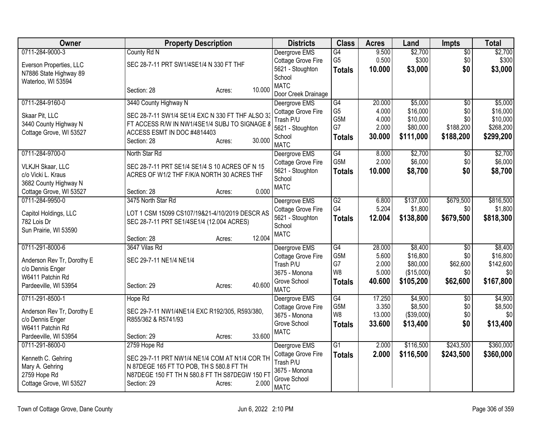| Owner                                    | <b>Property Description</b>                      |                  | <b>Districts</b>                    | <b>Class</b>     | <b>Acres</b>    | Land                  | <b>Impts</b>           | <b>Total</b>          |
|------------------------------------------|--------------------------------------------------|------------------|-------------------------------------|------------------|-----------------|-----------------------|------------------------|-----------------------|
| 0711-284-9000-3                          | County Rd N                                      |                  | Deergrove EMS                       | G4               | 9.500           | \$2,700               | $\overline{50}$        | \$2,700               |
| Everson Properties, LLC                  | SEC 28-7-11 PRT SW1/4SE1/4 N 330 FT THF          |                  | Cottage Grove Fire                  | G <sub>5</sub>   | 0.500           | \$300                 | \$0                    | \$300                 |
| N7886 State Highway 89                   |                                                  |                  | 5621 - Stoughton<br>School          | Totals           | 10.000          | \$3,000               | \$0                    | \$3,000               |
| Waterloo, WI 53594                       |                                                  |                  | <b>MATC</b>                         |                  |                 |                       |                        |                       |
|                                          | Section: 28                                      | 10.000<br>Acres: | Door Creek Drainage                 |                  |                 |                       |                        |                       |
| 0711-284-9160-0                          | 3440 County Highway N                            |                  | Deergrove EMS                       | $\overline{G4}$  | 20.000          | \$5,000               | $\overline{50}$        | \$5,000               |
| Skaar Pit, LLC                           | SEC 28-7-11 SW1/4 SE1/4 EXC N 330 FT THF ALSO 33 |                  | Cottage Grove Fire                  | G <sub>5</sub>   | 4.000           | \$16,000              | \$0                    | \$16,000              |
| 3440 County Highway N                    | FT ACCESS R/W IN NW1/4SE1/4 SUBJ TO SIGNAGE 8    |                  | Trash P/U                           | G5M<br>G7        | 4.000<br>2.000  | \$10,000<br>\$80,000  | \$0<br>\$188,200       | \$10,000<br>\$268,200 |
| Cottage Grove, WI 53527                  | ACCESS ESMT IN DOC #4814403                      |                  | 5621 - Stoughton<br>School          | <b>Totals</b>    | 30.000          | \$111,000             | \$188,200              | \$299,200             |
|                                          | Section: 28                                      | 30.000<br>Acres: | <b>MATC</b>                         |                  |                 |                       |                        |                       |
| 0711-284-9700-0                          | North Star Rd                                    |                  | Deergrove EMS                       | G4               | 8.000           | \$2,700               | \$0                    | \$2,700               |
| <b>VLKJH Skaar, LLC</b>                  | SEC 28-7-11 PRT SE1/4 SE1/4 S 10 ACRES OF N 15   |                  | Cottage Grove Fire                  | G <sub>5</sub> M | 2.000           | \$6,000               | \$0                    | \$6,000               |
| c/o Vicki L. Kraus                       | ACRES OF W1/2 THF F/K/A NORTH 30 ACRES THF       |                  | 5621 - Stoughton                    | <b>Totals</b>    | 10.000          | \$8,700               | \$0                    | \$8,700               |
| 3682 County Highway N                    |                                                  |                  | School<br><b>MATC</b>               |                  |                 |                       |                        |                       |
| Cottage Grove, WI 53527                  | Section: 28                                      | 0.000<br>Acres:  |                                     |                  |                 |                       |                        |                       |
| 0711-284-9950-0                          | 3475 North Star Rd                               |                  | Deergrove EMS                       | $\overline{G2}$  | 6.800           | \$137,000             | \$679,500              | \$816,500             |
| Capitol Holdings, LLC                    | LOT 1 CSM 15099 CS107/19&21-4/10/2019 DESCR AS   |                  | Cottage Grove Fire                  | G4               | 5.204           | \$1,800               | \$0                    | \$1,800               |
| 782 Lois Dr                              | SEC 28-7-11 PRT SE1/4SE1/4 (12.004 ACRES)        |                  | 5621 - Stoughton<br>School          | <b>Totals</b>    | 12.004          | \$138,800             | \$679,500              | \$818,300             |
| Sun Prairie, WI 53590                    |                                                  |                  | <b>MATC</b>                         |                  |                 |                       |                        |                       |
|                                          | Section: 28                                      | 12.004<br>Acres: |                                     |                  |                 |                       |                        |                       |
| 0711-291-8000-6                          | 3647 Vilas Rd                                    |                  | Deergrove EMS                       | G4<br>G5M        | 28.000<br>5.600 | \$8,400<br>\$16,800   | $\overline{30}$<br>\$0 | \$8,400<br>\$16,800   |
| Anderson Rev Tr, Dorothy E               | SEC 29-7-11 NE1/4 NE1/4                          |                  | Cottage Grove Fire<br>Trash P/U     | G7               | 2.000           | \$80,000              | \$62,600               | \$142,600             |
| c/o Dennis Enger                         |                                                  |                  | 3675 - Monona                       | W8               | 5.000           | (\$15,000)            | \$0                    | \$0                   |
| W6411 Patchin Rd                         |                                                  |                  | Grove School                        | Totals           | 40.600          | \$105,200             | \$62,600               | \$167,800             |
| Pardeeville, WI 53954                    | Section: 29                                      | 40.600<br>Acres: | <b>MATC</b>                         |                  |                 |                       |                        |                       |
| 0711-291-8500-1                          | Hope Rd                                          |                  | Deergrove EMS                       | G4               | 17.250          | \$4,900               | $\overline{50}$        | \$4,900               |
| Anderson Rev Tr, Dorothy E               | SEC 29-7-11 NW1/4NE1/4 EXC R192/305, R593/380,   |                  | Cottage Grove Fire<br>3675 - Monona | G5M<br>W8        | 3.350<br>13.000 | \$8,500<br>(\$39,000) | \$0<br>\$0             | \$8,500<br>\$0        |
| c/o Dennis Enger                         | R855/362 & R5741/93                              |                  | Grove School                        | <b>Totals</b>    | 33.600          | \$13,400              | \$0                    | \$13,400              |
| W6411 Patchin Rd                         |                                                  |                  | <b>MATC</b>                         |                  |                 |                       |                        |                       |
| Pardeeville, WI 53954<br>0711-291-8600-0 | Section: 29                                      | 33.600<br>Acres: |                                     | G1               | 2.000           | \$116,500             | \$243,500              | \$360,000             |
|                                          | 2759 Hope Rd                                     |                  | Deergrove EMS<br>Cottage Grove Fire |                  | 2.000           | \$116,500             | \$243,500              | \$360,000             |
| Kenneth C. Gehring                       | SEC 29-7-11 PRT NW1/4 NE1/4 COM AT N1/4 COR TH   |                  | Trash P/U                           | <b>Totals</b>    |                 |                       |                        |                       |
| Mary A. Gehring                          | N 87DEGE 165 FT TO POB, TH S 580.8 FT TH         |                  | 3675 - Monona                       |                  |                 |                       |                        |                       |
| 2759 Hope Rd                             | N87DEGE 150 FT TH N 580.8 FT TH S87DEGW 150 FT   | 2.000            | Grove School                        |                  |                 |                       |                        |                       |
| Cottage Grove, WI 53527                  | Section: 29                                      | Acres:           | <b>MATC</b>                         |                  |                 |                       |                        |                       |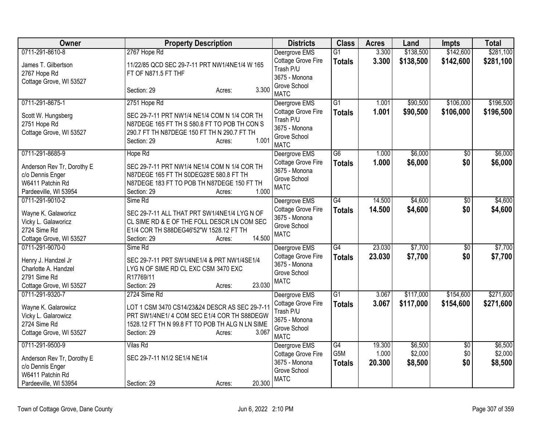| <b>Owner</b>                                                                                | <b>Property Description</b>                                                                                                                                                        | <b>Districts</b>                                                                | <b>Class</b>               | <b>Acres</b>              | Land                          | <b>Impts</b>      | <b>Total</b>                  |
|---------------------------------------------------------------------------------------------|------------------------------------------------------------------------------------------------------------------------------------------------------------------------------------|---------------------------------------------------------------------------------|----------------------------|---------------------------|-------------------------------|-------------------|-------------------------------|
| 0711-291-8610-8                                                                             | 2767 Hope Rd                                                                                                                                                                       | Deergrove EMS                                                                   | $\overline{G1}$            | 3.300                     | \$138,500                     | \$142,600         | \$281,100                     |
| James T. Gilbertson<br>2767 Hope Rd<br>Cottage Grove, WI 53527                              | 11/22/85 QCD SEC 29-7-11 PRT NW1/4NE1/4 W 165<br>FT OF N871.5 FT THF                                                                                                               | Cottage Grove Fire<br>Trash P/U<br>3675 - Monona                                | <b>Totals</b>              | 3.300                     | \$138,500                     | \$142,600         | \$281,100                     |
|                                                                                             | 3.300<br>Section: 29<br>Acres:                                                                                                                                                     | Grove School<br><b>MATC</b>                                                     |                            |                           |                               |                   |                               |
| 0711-291-8675-1                                                                             | 2751 Hope Rd                                                                                                                                                                       | Deergrove EMS                                                                   | G1                         | 1.001                     | \$90,500                      | \$106,000         | \$196,500                     |
| Scott W. Hungsberg<br>2751 Hope Rd<br>Cottage Grove, WI 53527                               | SEC 29-7-11 PRT NW1/4 NE1/4 COM N 1/4 COR TH<br>N87DEGE 165 FT TH S 580.8 FT TO POB TH CON S<br>290.7 FT TH N87DEGE 150 FT TH N 290.7 FT TH<br>1.001<br>Section: 29<br>Acres:      | Cottage Grove Fire<br>Trash P/U<br>3675 - Monona<br>Grove School<br><b>MATC</b> | <b>Totals</b>              | 1.001                     | \$90,500                      | \$106,000         | \$196,500                     |
| 0711-291-8685-9                                                                             | Hope Rd                                                                                                                                                                            | Deergrove EMS                                                                   | $\overline{G6}$            | 1.000                     | \$6,000                       | \$0               | \$6,000                       |
| Anderson Rev Tr, Dorothy E<br>c/o Dennis Enger<br>W6411 Patchin Rd<br>Pardeeville, WI 53954 | SEC 29-7-11 PRT NW1/4 NE1/4 COM N 1/4 COR TH<br>N87DEGE 165 FT TH S0DEG28'E 580.8 FT TH<br>N87DEGE 183 FT TO POB TH N87DEGE 150 FT TH<br>1.000<br>Section: 29<br>Acres:            | Cottage Grove Fire<br>3675 - Monona<br>Grove School<br><b>MATC</b>              | <b>Totals</b>              | 1.000                     | \$6,000                       | \$0               | \$6,000                       |
| 0711-291-9010-2                                                                             | Sime Rd                                                                                                                                                                            | Deergrove EMS                                                                   | G4                         | 14.500                    | \$4,600                       | $\overline{50}$   | \$4,600                       |
| Wayne K. Galaworicz<br>Vicky L. Galaworicz<br>2724 Sime Rd<br>Cottage Grove, WI 53527       | SEC 29-7-11 ALL THAT PRT SW1/4NE1/4 LYG N OF<br>CL SIME RD & E OF THE FOLL DESCR LN COM SEC<br>E1/4 COR TH S88DEG46'52"W 1528.12 FT TH<br>14.500<br>Section: 29<br>Acres:          | Cottage Grove Fire<br>3675 - Monona<br>Grove School<br><b>MATC</b>              | <b>Totals</b>              | 14.500                    | \$4,600                       | \$0               | \$4,600                       |
| 0711-291-9070-0                                                                             | Sime Rd                                                                                                                                                                            | Deergrove EMS                                                                   | $\overline{G4}$            | 23.030                    | \$7,700                       | $\overline{50}$   | \$7,700                       |
| Henry J. Handzel Jr<br>Charlotte A. Handzel<br>2791 Sime Rd<br>Cottage Grove, WI 53527      | SEC 29-7-11 PRT SW1/4NE1/4 & PRT NW1/4SE1/4<br>LYG N OF SIME RD CL EXC CSM 3470 EXC<br>R17769/11<br>23.030<br>Section: 29<br>Acres:                                                | Cottage Grove Fire<br>3675 - Monona<br>Grove School<br><b>MATC</b>              | <b>Totals</b>              | 23.030                    | \$7,700                       | \$0               | \$7,700                       |
| 0711-291-9320-7                                                                             | 2724 Sime Rd                                                                                                                                                                       | Deergrove EMS                                                                   | $\overline{G1}$            | 3.067                     | \$117,000                     | \$154,600         | \$271,600                     |
| Wayne K. Galarowicz<br>Vicky L. Galarowicz<br>2724 Sime Rd<br>Cottage Grove, WI 53527       | LOT 1 CSM 3470 CS14/23&24 DESCR AS SEC 29-7-11<br>PRT SW1/4NE1/ 4 COM SEC E1/4 COR TH S88DEGW<br>1528.12 FT TH N 99.8 FT TO POB TH ALG N LN SIME<br>3.067<br>Section: 29<br>Acres: | Cottage Grove Fire<br>Trash P/U<br>3675 - Monona<br>Grove School<br><b>MATC</b> | <b>Totals</b>              | 3.067                     | \$117,000                     | \$154,600         | \$271,600                     |
| 0711-291-9500-9<br>Anderson Rev Tr, Dorothy E<br>c/o Dennis Enger                           | Vilas Rd<br>SEC 29-7-11 N1/2 SE1/4 NE1/4                                                                                                                                           | Deergrove EMS<br>Cottage Grove Fire<br>3675 - Monona                            | G4<br>G5M<br><b>Totals</b> | 19.300<br>1.000<br>20.300 | \$6,500<br>\$2,000<br>\$8,500 | \$0<br>\$0<br>\$0 | \$6,500<br>\$2,000<br>\$8,500 |
| W6411 Patchin Rd                                                                            |                                                                                                                                                                                    | Grove School<br><b>MATC</b>                                                     |                            |                           |                               |                   |                               |
| Pardeeville, WI 53954                                                                       | 20.300<br>Section: 29<br>Acres:                                                                                                                                                    |                                                                                 |                            |                           |                               |                   |                               |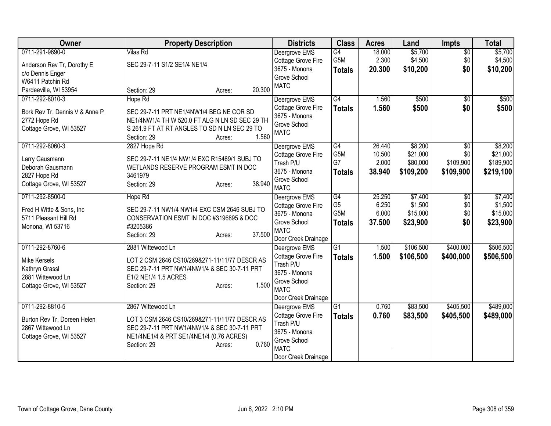| Owner                                             | <b>Property Description</b>                    |                  | <b>Districts</b>                    | <b>Class</b>     | <b>Acres</b> | Land      | <b>Impts</b>    | <b>Total</b> |
|---------------------------------------------------|------------------------------------------------|------------------|-------------------------------------|------------------|--------------|-----------|-----------------|--------------|
| 0711-291-9690-0                                   | <b>Vilas Rd</b>                                |                  | Deergrove EMS                       | G4               | 18.000       | \$5,700   | $\overline{50}$ | \$5,700      |
| Anderson Rev Tr, Dorothy E                        | SEC 29-7-11 S1/2 SE1/4 NE1/4                   |                  | Cottage Grove Fire                  | G5M              | 2.300        | \$4,500   | \$0             | \$4,500      |
| c/o Dennis Enger                                  |                                                |                  | 3675 - Monona<br>Grove School       | <b>Totals</b>    | 20.300       | \$10,200  | \$0             | \$10,200     |
| W6411 Patchin Rd                                  |                                                |                  | <b>MATC</b>                         |                  |              |           |                 |              |
| Pardeeville, WI 53954                             | Section: 29                                    | 20.300<br>Acres: |                                     |                  |              |           |                 |              |
| 0711-292-8010-3                                   | Hope Rd                                        |                  | Deergrove EMS                       | G4               | 1.560        | \$500     | $\sqrt{6}$      | \$500        |
| Bork Rev Tr, Dennis V & Anne P                    | SEC 29-7-11 PRT NE1/4NW1/4 BEG NE COR SD       |                  | Cottage Grove Fire                  | <b>Totals</b>    | 1.560        | \$500     | \$0             | \$500        |
| 2772 Hope Rd                                      | NE1/4NW1/4 TH W 520.0 FT ALG N LN SD SEC 29 TH |                  | 3675 - Monona<br>Grove School       |                  |              |           |                 |              |
| Cottage Grove, WI 53527                           | S 261.9 FT AT RT ANGLES TO SD N LN SEC 29 TO   |                  | <b>MATC</b>                         |                  |              |           |                 |              |
|                                                   | Section: 29                                    | 1.560<br>Acres:  |                                     |                  |              |           |                 |              |
| 0711-292-8060-3                                   | 2827 Hope Rd                                   |                  | Deergrove EMS                       | G4               | 26.440       | \$8,200   | \$0             | \$8,200      |
| Larry Gausmann                                    | SEC 29-7-11 NE1/4 NW1/4 EXC R15469/1 SUBJ TO   |                  | Cottage Grove Fire                  | G5M              | 10.500       | \$21,000  | \$0             | \$21,000     |
| Deborah Gausmann                                  | WETLANDS RESERVE PROGRAM ESMT IN DOC           |                  | Trash P/U                           | G7               | 2.000        | \$80,000  | \$109,900       | \$189,900    |
| 2827 Hope Rd                                      | 3461979                                        |                  | 3675 - Monona<br>Grove School       | <b>Totals</b>    | 38.940       | \$109,200 | \$109,900       | \$219,100    |
| Cottage Grove, WI 53527                           | Section: 29                                    | 38.940<br>Acres: | <b>MATC</b>                         |                  |              |           |                 |              |
| 0711-292-8500-0                                   | Hope Rd                                        |                  | Deergrove EMS                       | G4               | 25.250       | \$7,400   | $\overline{50}$ | \$7,400      |
|                                                   | SEC 29-7-11 NW1/4 NW1/4 EXC CSM 2646 SUBJ TO   |                  | Cottage Grove Fire                  | G <sub>5</sub>   | 6.250        | \$1,500   | \$0             | \$1,500      |
| Fred H Witte & Sons, Inc<br>5711 Pleasant Hill Rd | CONSERVATION ESMT IN DOC #3196895 & DOC        |                  | 3675 - Monona                       | G <sub>5</sub> M | 6.000        | \$15,000  | \$0             | \$15,000     |
| Monona, WI 53716                                  | #3205386                                       |                  | Grove School                        | <b>Totals</b>    | 37.500       | \$23,900  | \$0             | \$23,900     |
|                                                   | Section: 29                                    | 37.500<br>Acres: | <b>MATC</b>                         |                  |              |           |                 |              |
|                                                   |                                                |                  | Door Creek Drainage                 |                  |              |           |                 |              |
| 0711-292-8760-6                                   | 2881 Wittewood Ln                              |                  | Deergrove EMS<br>Cottage Grove Fire | $\overline{G1}$  | 1.500        | \$106,500 | \$400,000       | \$506,500    |
| Mike Kersels                                      | LOT 2 CSM 2646 CS10/269&271-11/11/77 DESCR AS  |                  | Trash P/U                           | <b>Totals</b>    | 1.500        | \$106,500 | \$400,000       | \$506,500    |
| Kathryn Grassl                                    | SEC 29-7-11 PRT NW1/4NW1/4 & SEC 30-7-11 PRT   |                  | 3675 - Monona                       |                  |              |           |                 |              |
| 2881 Wittewood Ln                                 | E1/2 NE1/4 1.5 ACRES                           |                  | Grove School                        |                  |              |           |                 |              |
| Cottage Grove, WI 53527                           | Section: 29                                    | 1.500<br>Acres:  | <b>MATC</b>                         |                  |              |           |                 |              |
|                                                   |                                                |                  | Door Creek Drainage                 |                  |              |           |                 |              |
| 0711-292-8810-5                                   | 2867 Wittewood Ln                              |                  | Deergrove EMS                       | G1               | 0.760        | \$83,500  | \$405,500       | \$489,000    |
| Burton Rev Tr, Doreen Helen                       | LOT 3 CSM 2646 CS10/269&271-11/11/77 DESCR AS  |                  | Cottage Grove Fire                  | <b>Totals</b>    | 0.760        | \$83,500  | \$405,500       | \$489,000    |
| 2867 Wittewood Ln                                 | SEC 29-7-11 PRT NW1/4NW1/4 & SEC 30-7-11 PRT   |                  | Trash P/U                           |                  |              |           |                 |              |
| Cottage Grove, WI 53527                           | NE1/4NE1/4 & PRT SE1/4NE1/4 (0.76 ACRES)       |                  | 3675 - Monona                       |                  |              |           |                 |              |
|                                                   | Section: 29                                    | 0.760<br>Acres:  | Grove School<br><b>MATC</b>         |                  |              |           |                 |              |
|                                                   |                                                |                  | Door Creek Drainage                 |                  |              |           |                 |              |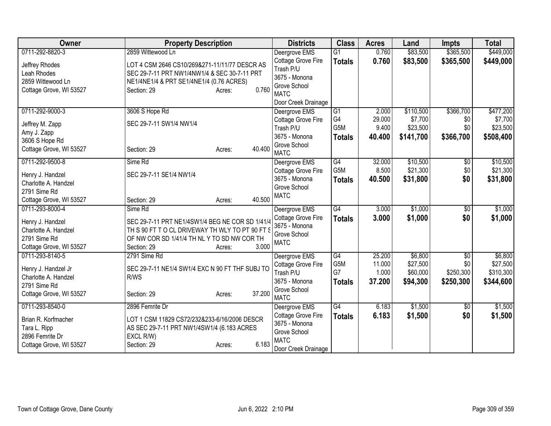| Owner                           | <b>Property Description</b>                     | <b>Districts</b>    | <b>Class</b>     | <b>Acres</b> | Land      | <b>Impts</b> | <b>Total</b> |
|---------------------------------|-------------------------------------------------|---------------------|------------------|--------------|-----------|--------------|--------------|
| 0711-292-8820-3                 | 2859 Wittewood Ln                               | Deergrove EMS       | $\overline{G1}$  | 0.760        | \$83,500  | \$365,500    | \$449,000    |
| Jeffrey Rhodes                  | LOT 4 CSM 2646 CS10/269&271-11/11/77 DESCR AS   | Cottage Grove Fire  | <b>Totals</b>    | 0.760        | \$83,500  | \$365,500    | \$449,000    |
| Leah Rhodes                     | SEC 29-7-11 PRT NW1/4NW1/4 & SEC 30-7-11 PRT    | Trash P/U           |                  |              |           |              |              |
| 2859 Wittewood Ln               | NE1/4NE1/4 & PRT SE1/4NE1/4 (0.76 ACRES)        | 3675 - Monona       |                  |              |           |              |              |
| Cottage Grove, WI 53527         | 0.760<br>Section: 29<br>Acres:                  | Grove School        |                  |              |           |              |              |
|                                 |                                                 | <b>MATC</b>         |                  |              |           |              |              |
|                                 |                                                 | Door Creek Drainage |                  |              |           |              |              |
| 0711-292-9000-3                 | 3606 S Hope Rd                                  | Deergrove EMS       | G1               | 2.000        | \$110,500 | \$366,700    | \$477,200    |
| Jeffrey M. Zapp                 | SEC 29-7-11 SW1/4 NW1/4                         | Cottage Grove Fire  | G4               | 29.000       | \$7,700   | \$0          | \$7,700      |
| Amy J. Zapp                     |                                                 | Trash P/U           | G <sub>5</sub> M | 9.400        | \$23,500  | \$0          | \$23,500     |
| 3606 S Hope Rd                  |                                                 | 3675 - Monona       | <b>Totals</b>    | 40.400       | \$141,700 | \$366,700    | \$508,400    |
| Cottage Grove, WI 53527         | 40.400<br>Section: 29<br>Acres:                 | Grove School        |                  |              |           |              |              |
|                                 |                                                 | <b>MATC</b>         |                  |              |           |              |              |
| 0711-292-9500-8                 | Sime Rd                                         | Deergrove EMS       | G4               | 32.000       | \$10,500  | \$0          | \$10,500     |
| Henry J. Handzel                | SEC 29-7-11 SE1/4 NW1/4                         | Cottage Grove Fire  | G5M              | 8.500        | \$21,300  | \$0          | \$21,300     |
| Charlotte A. Handzel            |                                                 | 3675 - Monona       | <b>Totals</b>    | 40.500       | \$31,800  | \$0          | \$31,800     |
| 2791 Sime Rd                    |                                                 | Grove School        |                  |              |           |              |              |
| Cottage Grove, WI 53527         | 40.500<br>Section: 29<br>Acres:                 | <b>MATC</b>         |                  |              |           |              |              |
| 0711-293-8000-4                 | Sime Rd                                         | Deergrove EMS       | G4               | 3.000        | \$1,000   | \$0          | \$1,000      |
| Henry J. Handzel                | SEC 29-7-11 PRT NE1/4SW1/4 BEG NE COR SD 1/41/4 | Cottage Grove Fire  | <b>Totals</b>    | 3.000        | \$1,000   | \$0          | \$1,000      |
| Charlotte A. Handzel            | TH S 90 FT T O CL DRIVEWAY TH WLY TO PT 90 FT S | 3675 - Monona       |                  |              |           |              |              |
| 2791 Sime Rd                    | OF NW COR SD 1/41/4 TH NL Y TO SD NW COR TH     | Grove School        |                  |              |           |              |              |
| Cottage Grove, WI 53527         | 3.000<br>Section: 29<br>Acres:                  | <b>MATC</b>         |                  |              |           |              |              |
| 0711-293-8140-5                 | 2791 Sime Rd                                    | Deergrove EMS       | G4               | 25.200       | \$6,800   | $\sqrt{$0}$  | \$6,800      |
|                                 |                                                 | Cottage Grove Fire  | G5M              | 11.000       | \$27,500  | \$0          | \$27,500     |
| Henry J. Handzel Jr             | SEC 29-7-11 NE1/4 SW1/4 EXC N 90 FT THF SUBJ TO | Trash P/U           | G7               | 1.000        | \$60,000  | \$250,300    | \$310,300    |
| Charlotte A. Handzel            | R/WS                                            | 3675 - Monona       | <b>Totals</b>    | 37.200       | \$94,300  | \$250,300    | \$344,600    |
| 2791 Sime Rd                    |                                                 | Grove School        |                  |              |           |              |              |
| Cottage Grove, WI 53527         | 37.200<br>Section: 29<br>Acres:                 | <b>MATC</b>         |                  |              |           |              |              |
| 0711-293-8540-0                 | 2896 Femrite Dr                                 | Deergrove EMS       | G4               | 6.183        | \$1,500   | \$0          | \$1,500      |
|                                 |                                                 | Cottage Grove Fire  | <b>Totals</b>    | 6.183        | \$1,500   | \$0          | \$1,500      |
| Brian R. Korfmacher             | LOT 1 CSM 11829 CS72/232&233-6/16/2006 DESCR    | 3675 - Monona       |                  |              |           |              |              |
| Tara L. Ripp<br>2896 Femrite Dr | AS SEC 29-7-11 PRT NW1/4SW1/4 (6.183 ACRES      | Grove School        |                  |              |           |              |              |
| Cottage Grove, WI 53527         | EXCL R/W)<br>6.183<br>Section: 29<br>Acres:     | <b>MATC</b>         |                  |              |           |              |              |
|                                 |                                                 | Door Creek Drainage |                  |              |           |              |              |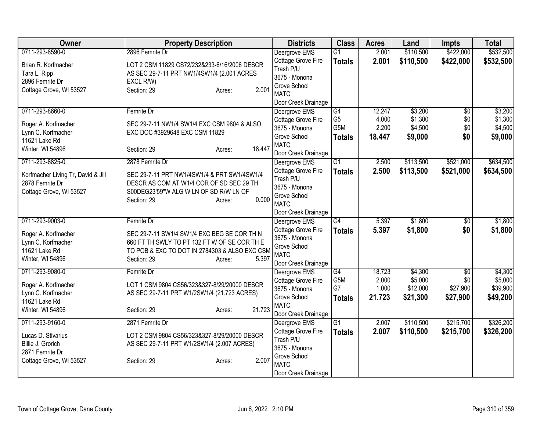| Owner                                                 | <b>Property Description</b>                   | <b>Districts</b>                     | <b>Class</b>    | <b>Acres</b> | Land      | <b>Impts</b>    | <b>Total</b> |
|-------------------------------------------------------|-----------------------------------------------|--------------------------------------|-----------------|--------------|-----------|-----------------|--------------|
| 0711-293-8590-0                                       | 2896 Femrite Dr                               | Deergrove EMS                        | $\overline{G1}$ | 2.001        | \$110,500 | \$422,000       | \$532,500    |
| Brian R. Korfmacher                                   | LOT 2 CSM 11829 CS72/232&233-6/16/2006 DESCR  | Cottage Grove Fire                   | <b>Totals</b>   | 2.001        | \$110,500 | \$422,000       | \$532,500    |
| Tara L. Ripp                                          | AS SEC 29-7-11 PRT NW1/4SW1/4 (2.001 ACRES    | Trash P/U                            |                 |              |           |                 |              |
| 2896 Femrite Dr                                       | EXCL R/W)                                     | 3675 - Monona                        |                 |              |           |                 |              |
| Cottage Grove, WI 53527                               | 2.001<br>Section: 29<br>Acres:                | Grove School                         |                 |              |           |                 |              |
|                                                       |                                               | <b>MATC</b>                          |                 |              |           |                 |              |
| 0711-293-8660-0                                       | Femrite Dr                                    | Door Creek Drainage<br>Deergrove EMS | G4              | 12.247       | \$3,200   | \$0             | \$3,200      |
|                                                       |                                               | Cottage Grove Fire                   | G <sub>5</sub>  | 4.000        | \$1,300   | \$0             | \$1,300      |
| Roger A. Korfmacher                                   | SEC 29-7-11 NW1/4 SW1/4 EXC CSM 9804 & ALSO   | 3675 - Monona                        | G5M             | 2.200        | \$4,500   | \$0             | \$4,500      |
| Lynn C. Korfmacher                                    | EXC DOC #3929648 EXC CSM 11829                | Grove School                         | <b>Totals</b>   | 18.447       | \$9,000   | \$0             | \$9,000      |
| 11621 Lake Rd                                         |                                               | <b>MATC</b>                          |                 |              |           |                 |              |
| Winter, WI 54896                                      | 18.447<br>Section: 29<br>Acres:               | Door Creek Drainage                  |                 |              |           |                 |              |
| 0711-293-8825-0                                       | 2878 Femrite Dr                               | Deergrove EMS                        | $\overline{G1}$ | 2.500        | \$113,500 | \$521,000       | \$634,500    |
|                                                       | SEC 29-7-11 PRT NW1/4SW1/4 & PRT SW1/4SW1/4   | Cottage Grove Fire                   | <b>Totals</b>   | 2.500        | \$113,500 | \$521,000       | \$634,500    |
| Korfmacher Living Tr, David & Jill<br>2878 Femrite Dr | DESCR AS COM AT W1/4 COR OF SD SEC 29 TH      | Trash P/U                            |                 |              |           |                 |              |
| Cottage Grove, WI 53527                               | S00DEG23'59"W ALG W LN OF SD R/W LN OF        | 3675 - Monona                        |                 |              |           |                 |              |
|                                                       | 0.000<br>Section: 29<br>Acres:                | Grove School                         |                 |              |           |                 |              |
|                                                       |                                               | <b>MATC</b>                          |                 |              |           |                 |              |
|                                                       |                                               | Door Creek Drainage                  |                 |              |           |                 |              |
| 0711-293-9003-0                                       | Femrite Dr                                    | Deergrove EMS                        | $\overline{G4}$ | 5.397        | \$1,800   | $\overline{50}$ | \$1,800      |
| Roger A. Korfmacher                                   | SEC 29-7-11 SW1/4 SW1/4 EXC BEG SE COR TH N   | Cottage Grove Fire                   | <b>Totals</b>   | 5.397        | \$1,800   | \$0             | \$1,800      |
| Lynn C. Korfmacher                                    | 660 FT TH SWLY TO PT 132 FT W OF SE COR TH E  | 3675 - Monona<br>Grove School        |                 |              |           |                 |              |
| 11621 Lake Rd                                         | TO POB & EXC TO DOT IN 2784303 & ALSO EXC CSM | <b>MATC</b>                          |                 |              |           |                 |              |
| Winter, WI 54896                                      | 5.397<br>Section: 29<br>Acres:                | Door Creek Drainage                  |                 |              |           |                 |              |
| 0711-293-9080-0                                       | Femrite Dr                                    | Deergrove EMS                        | $\overline{G4}$ | 18.723       | \$4,300   | $\overline{50}$ | \$4,300      |
|                                                       |                                               | Cottage Grove Fire                   | G5M             | 2.000        | \$5,000   | \$0             | \$5,000      |
| Roger A. Korfmacher                                   | LOT 1 CSM 9804 CS56/323&327-8/29/20000 DESCR  | 3675 - Monona                        | G7              | 1.000        | \$12,000  | \$27,900        | \$39,900     |
| Lynn C. Korfmacher                                    | AS SEC 29-7-11 PRT W1/2SW1/4 (21.723 ACRES)   | Grove School                         | <b>Totals</b>   | 21.723       | \$21,300  | \$27,900        | \$49,200     |
| 11621 Lake Rd                                         |                                               | <b>MATC</b>                          |                 |              |           |                 |              |
| Winter, WI 54896                                      | 21.723<br>Section: 29<br>Acres:               | Door Creek Drainage                  |                 |              |           |                 |              |
| 0711-293-9160-0                                       | 2871 Femrite Dr                               | Deergrove EMS                        | $\overline{G1}$ | 2.007        | \$110,500 | \$215,700       | \$326,200    |
| Lucas D. Stivarius                                    | LOT 2 CSM 9804 CS56/323&327-8/29/20000 DESCR  | Cottage Grove Fire                   | <b>Totals</b>   | 2.007        | \$110,500 | \$215,700       | \$326,200    |
| Billie J. Grorich                                     | AS SEC 29-7-11 PRT W1/2SW1/4 (2.007 ACRES)    | Trash P/U                            |                 |              |           |                 |              |
| 2871 Femrite Dr                                       |                                               | 3675 - Monona                        |                 |              |           |                 |              |
| Cottage Grove, WI 53527                               | 2.007<br>Section: 29<br>Acres:                | Grove School                         |                 |              |           |                 |              |
|                                                       |                                               | <b>MATC</b>                          |                 |              |           |                 |              |
|                                                       |                                               | Door Creek Drainage                  |                 |              |           |                 |              |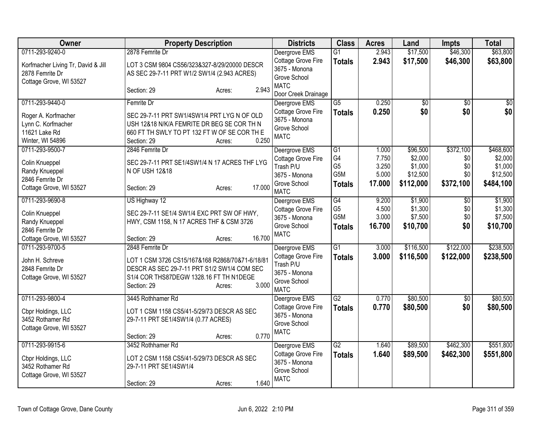| Owner                                                                            | <b>Property Description</b>                                                                                                                                                 | <b>Districts</b>                                                          | <b>Class</b>           | <b>Acres</b>   | Land               | <b>Impts</b>    | <b>Total</b>       |
|----------------------------------------------------------------------------------|-----------------------------------------------------------------------------------------------------------------------------------------------------------------------------|---------------------------------------------------------------------------|------------------------|----------------|--------------------|-----------------|--------------------|
| 0711-293-9240-0                                                                  | 2878 Femrite Dr                                                                                                                                                             | Deergrove EMS                                                             | G1                     | 2.943          | \$17,500           | \$46,300        | \$63,800           |
| Korfmacher Living Tr, David & Jill<br>2878 Femrite Dr<br>Cottage Grove, WI 53527 | LOT 3 CSM 9804 CS56/323&327-8/29/20000 DESCR<br>AS SEC 29-7-11 PRT W1/2 SW1/4 (2.943 ACRES)                                                                                 | Cottage Grove Fire<br>3675 - Monona<br>Grove School                       | <b>Totals</b>          | 2.943          | \$17,500           | \$46,300        | \$63,800           |
|                                                                                  | 2.943<br>Section: 29<br>Acres:                                                                                                                                              | <b>MATC</b><br>Door Creek Drainage                                        |                        |                |                    |                 |                    |
| 0711-293-9440-0                                                                  | Femrite Dr                                                                                                                                                                  | Deergrove EMS                                                             | $\overline{\text{G5}}$ | 0.250          | $\overline{50}$    | $\overline{50}$ | $\overline{\$0}$   |
| Roger A. Korfmacher<br>Lynn C. Korfmacher<br>11621 Lake Rd<br>Winter, WI 54896   | SEC 29-7-11 PRT SW1/4SW1/4 PRT LYG N OF OLD<br>USH 12&18 N/K/A FEMRITE DR BEG SE COR TH N<br>660 FT TH SWLY TO PT 132 FT W OF SE COR TH E<br>0.250<br>Section: 29<br>Acres: | <b>Cottage Grove Fire</b><br>3675 - Monona<br>Grove School<br><b>MATC</b> | <b>Totals</b>          | 0.250          | \$0                | \$0             | \$0                |
| 0711-293-9500-7                                                                  | 2846 Femrite Dr                                                                                                                                                             | Deergrove EMS                                                             | G1                     | 1.000          | \$96,500           | \$372,100       | \$468,600          |
| Colin Knueppel                                                                   | SEC 29-7-11 PRT SE1/4SW1/4 N 17 ACRES THF LYG                                                                                                                               | <b>Cottage Grove Fire</b><br>Trash P/U                                    | G4<br>G <sub>5</sub>   | 7.750<br>3.250 | \$2,000<br>\$1,000 | \$0<br>\$0      | \$2,000<br>\$1,000 |
| Randy Knueppel                                                                   | N OF USH 12&18                                                                                                                                                              | 3675 - Monona                                                             | G <sub>5</sub> M       | 5.000          | \$12,500           | \$0             | \$12,500           |
| 2846 Femrite Dr                                                                  |                                                                                                                                                                             | Grove School                                                              | <b>Totals</b>          | 17.000         | \$112,000          | \$372,100       | \$484,100          |
| Cottage Grove, WI 53527                                                          | 17.000<br>Section: 29<br>Acres:                                                                                                                                             | <b>MATC</b>                                                               |                        |                |                    |                 |                    |
| 0711-293-9690-8                                                                  | US Highway 12                                                                                                                                                               | Deergrove EMS                                                             | $\overline{G4}$        | 9.200          | \$1,900            | $\overline{50}$ | \$1,900            |
| Colin Knueppel                                                                   | SEC 29-7-11 SE1/4 SW1/4 EXC PRT SW OF HWY,                                                                                                                                  | Cottage Grove Fire                                                        | G <sub>5</sub>         | 4.500          | \$1,300            | \$0             | \$1,300            |
| Randy Knueppel                                                                   | HWY, CSM 1158, N 17 ACRES THF & CSM 3726                                                                                                                                    | 3675 - Monona                                                             | G5M                    | 3.000          | \$7,500            | \$0             | \$7,500            |
| 2846 Femrite Dr                                                                  |                                                                                                                                                                             | Grove School                                                              | <b>Totals</b>          | 16.700         | \$10,700           | \$0             | \$10,700           |
| Cottage Grove, WI 53527                                                          | 16.700<br>Section: 29<br>Acres:                                                                                                                                             | <b>MATC</b>                                                               |                        |                |                    |                 |                    |
| 0711-293-9700-5                                                                  | 2848 Femrite Dr                                                                                                                                                             | Deergrove EMS                                                             | $\overline{G1}$        | 3.000          | \$116,500          | \$122,000       | \$238,500          |
| John H. Schreve                                                                  | LOT 1 CSM 3726 CS15/167&168 R2868/70&71-6/18/81                                                                                                                             | Cottage Grove Fire                                                        | <b>Totals</b>          | 3.000          | \$116,500          | \$122,000       | \$238,500          |
| 2848 Femrite Dr                                                                  | DESCR AS SEC 29-7-11 PRT S1/2 SW1/4 COM SEC                                                                                                                                 | Trash P/U                                                                 |                        |                |                    |                 |                    |
| Cottage Grove, WI 53527                                                          | S1/4 COR THS87DEGW 1328.16 FT TH N1DEGE                                                                                                                                     | 3675 - Monona                                                             |                        |                |                    |                 |                    |
|                                                                                  | 3.000<br>Section: 29<br>Acres:                                                                                                                                              | Grove School<br><b>MATC</b>                                               |                        |                |                    |                 |                    |
| 0711-293-9800-4                                                                  | 3445 Rothhamer Rd                                                                                                                                                           | Deergrove EMS                                                             | $\overline{G2}$        | 0.770          | \$80,500           | \$0             | \$80,500           |
| Cbpr Holdings, LLC                                                               | LOT 1 CSM 1158 CS5/41-5/29/73 DESCR AS SEC                                                                                                                                  | Cottage Grove Fire                                                        | <b>Totals</b>          | 0.770          | \$80,500           | \$0             | \$80,500           |
| 3452 Rothamer Rd                                                                 | 29-7-11 PRT SE1/4SW1/4 (0.77 ACRES)                                                                                                                                         | 3675 - Monona                                                             |                        |                |                    |                 |                    |
| Cottage Grove, WI 53527                                                          |                                                                                                                                                                             | Grove School                                                              |                        |                |                    |                 |                    |
|                                                                                  | 0.770<br>Section: 29<br>Acres:                                                                                                                                              | <b>MATC</b>                                                               |                        |                |                    |                 |                    |
| 0711-293-9915-6                                                                  | 3452 Rothhamer Rd                                                                                                                                                           | Deergrove EMS                                                             | $\overline{G2}$        | 1.640          | \$89,500           | \$462,300       | \$551,800          |
| Cbpr Holdings, LLC                                                               | LOT 2 CSM 1158 CS5/41-5/29/73 DESCR AS SEC                                                                                                                                  | Cottage Grove Fire                                                        | <b>Totals</b>          | 1.640          | \$89,500           | \$462,300       | \$551,800          |
| 3452 Rothamer Rd                                                                 | 29-7-11 PRT SE1/4SW1/4                                                                                                                                                      | 3675 - Monona                                                             |                        |                |                    |                 |                    |
| Cottage Grove, WI 53527                                                          |                                                                                                                                                                             | Grove School<br><b>MATC</b>                                               |                        |                |                    |                 |                    |
|                                                                                  | 1.640<br>Section: 29<br>Acres:                                                                                                                                              |                                                                           |                        |                |                    |                 |                    |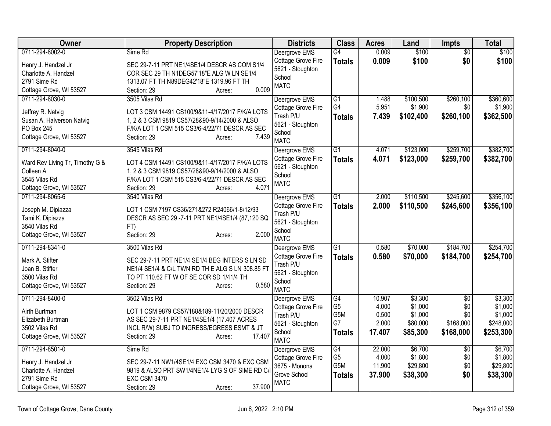| Owner                                                                                                       | <b>Property Description</b>                                                                                                                                                                           | <b>Districts</b>                                                                              | <b>Class</b>                                                    | <b>Acres</b>                                | Land                                                  | Impts                                       | <b>Total</b>                                            |
|-------------------------------------------------------------------------------------------------------------|-------------------------------------------------------------------------------------------------------------------------------------------------------------------------------------------------------|-----------------------------------------------------------------------------------------------|-----------------------------------------------------------------|---------------------------------------------|-------------------------------------------------------|---------------------------------------------|---------------------------------------------------------|
| 0711-294-8002-0                                                                                             | Sime Rd                                                                                                                                                                                               | Deergrove EMS                                                                                 | G4                                                              | 0.009                                       | \$100                                                 | $\overline{50}$                             | \$100                                                   |
| Henry J. Handzel Jr<br>Charlotte A. Handzel<br>2791 Sime Rd<br>Cottage Grove, WI 53527                      | SEC 29-7-11 PRT NE1/4SE1/4 DESCR AS COM S1/4<br>COR SEC 29 TH N1DEG57'18"E ALG W LN SE1/4<br>1313.07 FT TH N89DEG42'18"E 1319.96 FT TH<br>0.009<br>Section: 29<br>Acres:                              | Cottage Grove Fire<br>5621 - Stoughton<br>School<br><b>MATC</b>                               | <b>Totals</b>                                                   | 0.009                                       | \$100                                                 | \$0                                         | \$100                                                   |
| 0711-294-8030-0<br>Jeffrey R. Natvig<br>Susan A. Halverson Natvig<br>PO Box 245<br>Cottage Grove, WI 53527  | 3505 Vilas Rd<br>LOT 3 CSM 14491 CS100/9&11-4/17/2017 F/K/A LOTS<br>1, 2 & 3 CSM 9819 CS57/28&90-9/14/2000 & ALSO<br>F/K/A LOT 1 CSM 515 CS3/6-4/22/71 DESCR AS SEC<br>7.439<br>Section: 29<br>Acres: | Deergrove EMS<br>Cottage Grove Fire<br>Trash P/U<br>5621 - Stoughton<br>School<br><b>MATC</b> | G1<br>G4<br>Totals                                              | 1.488<br>5.951<br>7.439                     | \$100,500<br>\$1,900<br>\$102,400                     | \$260,100<br>\$0<br>\$260,100               | \$360,600<br>\$1,900<br>\$362,500                       |
| 0711-294-8040-0<br>Ward Rev Living Tr, Timothy G &<br>Colleen A<br>3545 Vilas Rd<br>Cottage Grove, WI 53527 | 3545 Vilas Rd<br>LOT 4 CSM 14491 CS100/9&11-4/17/2017 F/K/A LOTS<br>1, 2 & 3 CSM 9819 CS57/28&90-9/14/2000 & ALSO<br>F/K/A LOT 1 CSM 515 CS3/6-4/22/71 DESCR AS SEC<br>4.071<br>Section: 29<br>Acres: | Deergrove EMS<br>Cottage Grove Fire<br>5621 - Stoughton<br>School<br><b>MATC</b>              | $\overline{G1}$<br><b>Totals</b>                                | 4.071<br>4.071                              | \$123,000<br>\$123,000                                | \$259,700<br>\$259,700                      | \$382,700<br>\$382,700                                  |
| 0711-294-8065-6<br>Joseph M. Dipiazza<br>Tami K. Dipiazza<br>3540 Vilas Rd<br>Cottage Grove, WI 53527       | 3540 Vilas Rd<br>LOT 1 CSM 7197 CS36/271&272 R24066/1-8/12/93<br>DESCR AS SEC 29 -7-11 PRT NE1/4SE1/4 (87,120 SQ<br>FT)<br>2.000<br>Section: 29<br>Acres:                                             | Deergrove EMS<br>Cottage Grove Fire<br>Trash P/U<br>5621 - Stoughton<br>School<br><b>MATC</b> | $\overline{G1}$<br><b>Totals</b>                                | 2.000<br>2.000                              | \$110,500<br>\$110,500                                | \$245,600<br>\$245,600                      | \$356,100<br>\$356,100                                  |
| 0711-294-8341-0<br>Mark A. Stifter<br>Joan B. Stifter<br>3500 Vilas Rd<br>Cottage Grove, WI 53527           | 3500 Vilas Rd<br>SEC 29-7-11 PRT NE1/4 SE1/4 BEG INTERS S LN SD<br>NE1/4 SE1/4 & C/L TWN RD TH E ALG S LN 308.85 FT<br>TO PT 110.62 FT W OF SE COR SD 1/41/4 TH<br>0.580<br>Section: 29<br>Acres:     | Deergrove EMS<br>Cottage Grove Fire<br>Trash P/U<br>5621 - Stoughton<br>School<br><b>MATC</b> | G1<br><b>Totals</b>                                             | 0.580<br>0.580                              | \$70,000<br>\$70,000                                  | \$184,700<br>\$184,700                      | \$254,700<br>\$254,700                                  |
| 0711-294-8400-0<br>Airth Burtman<br>Elizabeth Burtman<br>3502 Vilas Rd<br>Cottage Grove, WI 53527           | 3502 Vilas Rd<br>LOT 1 CSM 9879 CS57/188&189-11/20/2000 DESCR<br>AS SEC 29-7-11 PRT NE1/4SE1/4 (17.407 ACRES<br>INCL R/W) SUBJ TO INGRESS/EGRESS ESMT & JT<br>Section: 29<br>17.407<br>Acres:         | Deergrove EMS<br>Cottage Grove Fire<br>Trash P/U<br>5621 - Stoughton<br>School<br><b>MATC</b> | $\overline{G4}$<br>G <sub>5</sub><br>G5M<br>G7<br><b>Totals</b> | 10.907<br>4.000<br>0.500<br>2.000<br>17.407 | \$3,300<br>\$1,000<br>\$1,000<br>\$80,000<br>\$85,300 | \$0<br>\$0<br>\$0<br>\$168,000<br>\$168,000 | \$3,300<br>\$1,000<br>\$1,000<br>\$248,000<br>\$253,300 |
| 0711-294-8501-0<br>Henry J. Handzel Jr<br>Charlotte A. Handzel<br>2791 Sime Rd<br>Cottage Grove, WI 53527   | Sime Rd<br>SEC 29-7-11 NW1/4SE1/4 EXC CSM 3470 & EXC CSM<br>9819 & ALSO PRT SW1/4NE1/4 LYG S OF SIME RD C/I<br><b>EXC CSM 3470</b><br>37.900<br>Section: 29<br>Acres:                                 | Deergrove EMS<br>Cottage Grove Fire<br>3675 - Monona<br>Grove School<br><b>MATC</b>           | G4<br>G <sub>5</sub><br>G5M<br><b>Totals</b>                    | 22.000<br>4.000<br>11.900<br>37.900         | \$6,700<br>\$1,800<br>\$29,800<br>\$38,300            | $\overline{30}$<br>\$0<br>\$0<br>\$0        | \$6,700<br>\$1,800<br>\$29,800<br>\$38,300              |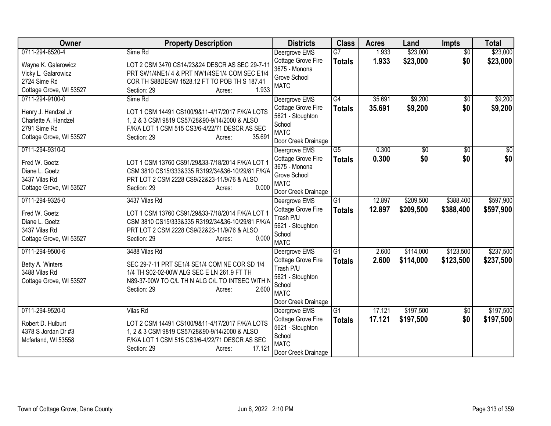| Owner                   | <b>Property Description</b>                      | <b>Districts</b>    | <b>Class</b>    | <b>Acres</b> | Land            | <b>Impts</b>    | <b>Total</b>    |
|-------------------------|--------------------------------------------------|---------------------|-----------------|--------------|-----------------|-----------------|-----------------|
| 0711-294-8520-4         | Sime Rd                                          | Deergrove EMS       | $\overline{G}$  | 1.933        | \$23,000        | $\overline{50}$ | \$23,000        |
| Wayne K. Galarowicz     | LOT 2 CSM 3470 CS14/23&24 DESCR AS SEC 29-7-11   | Cottage Grove Fire  | <b>Totals</b>   | 1.933        | \$23,000        | \$0             | \$23,000        |
| Vicky L. Galarowicz     | PRT SW1/4NE1/ 4 & PRT NW1/4SE1/4 COM SEC E1/4    | 3675 - Monona       |                 |              |                 |                 |                 |
| 2724 Sime Rd            | COR TH S88DEGW 1528.12 FT TO POB TH S 187.41     | Grove School        |                 |              |                 |                 |                 |
| Cottage Grove, WI 53527 | 1.933<br>Section: 29<br>Acres:                   | <b>MATC</b>         |                 |              |                 |                 |                 |
| 0711-294-9100-0         | Sime Rd                                          | Deergrove EMS       | G4              | 35.691       | \$9,200         | \$0             | \$9,200         |
| Henry J. Handzel Jr     | LOT 1 CSM 14491 CS100/9&11-4/17/2017 F/K/A LOTS  | Cottage Grove Fire  | <b>Totals</b>   | 35.691       | \$9,200         | \$0             | \$9,200         |
| Charlette A. Handzel    | 1, 2 & 3 CSM 9819 CS57/28&90-9/14/2000 & ALSO    | 5621 - Stoughton    |                 |              |                 |                 |                 |
| 2791 Sime Rd            | F/K/A LOT 1 CSM 515 CS3/6-4/22/71 DESCR AS SEC   | School              |                 |              |                 |                 |                 |
| Cottage Grove, WI 53527 | 35.691<br>Section: 29<br>Acres:                  | <b>MATC</b>         |                 |              |                 |                 |                 |
|                         |                                                  | Door Creek Drainage |                 |              |                 |                 |                 |
| 0711-294-9310-0         |                                                  | Deergrove EMS       | $\overline{G5}$ | 0.300        | $\overline{50}$ | $\overline{50}$ | $\overline{50}$ |
| Fred W. Goetz           | LOT 1 CSM 13760 CS91/29&33-7/18/2014 F/K/A LOT 1 | Cottage Grove Fire  | <b>Totals</b>   | 0.300        | \$0             | \$0             | \$0             |
| Diane L. Goetz          | CSM 3810 CS15/333&335 R3192/34&36-10/29/81 F/K/A | 3675 - Monona       |                 |              |                 |                 |                 |
| 3437 Vilas Rd           | PRT LOT 2 CSM 2228 CS9/22&23-11/9/76 & ALSO      | Grove School        |                 |              |                 |                 |                 |
| Cottage Grove, WI 53527 | 0.000<br>Section: 29<br>Acres:                   | <b>MATC</b>         |                 |              |                 |                 |                 |
|                         |                                                  | Door Creek Drainage |                 |              |                 |                 |                 |
| 0711-294-9325-0         | 3437 Vilas Rd                                    | Deergrove EMS       | G1              | 12.897       | \$209,500       | \$388,400       | \$597,900       |
| Fred W. Goetz           | LOT 1 CSM 13760 CS91/29&33-7/18/2014 F/K/A LOT 1 | Cottage Grove Fire  | <b>Totals</b>   | 12.897       | \$209,500       | \$388,400       | \$597,900       |
| Diane L. Goetz          | CSM 3810 CS15/333&335 R3192/34&36-10/29/81 F/K/A | Trash P/U           |                 |              |                 |                 |                 |
| 3437 Vilas Rd           | PRT LOT 2 CSM 2228 CS9/22&23-11/9/76 & ALSO      | 5621 - Stoughton    |                 |              |                 |                 |                 |
| Cottage Grove, WI 53527 | 0.000<br>Section: 29<br>Acres:                   | School              |                 |              |                 |                 |                 |
|                         |                                                  | <b>MATC</b>         |                 |              |                 |                 |                 |
| 0711-294-9500-6         | 3488 Vilas Rd                                    | Deergrove EMS       | G1              | 2.600        | \$114,000       | \$123,500       | \$237,500       |
| Betty A. Winters        | SEC 29-7-11 PRT SE1/4 SE1/4 COM NE COR SD 1/4    | Cottage Grove Fire  | <b>Totals</b>   | 2.600        | \$114,000       | \$123,500       | \$237,500       |
| 3488 Vilas Rd           | 1/4 TH S02-02-00W ALG SEC E LN 261.9 FT TH       | Trash P/U           |                 |              |                 |                 |                 |
| Cottage Grove, WI 53527 | N89-37-00W TO C/L TH N ALG C/L TO INTSEC WITH N  | 5621 - Stoughton    |                 |              |                 |                 |                 |
|                         | 2.600<br>Section: 29<br>Acres:                   | School              |                 |              |                 |                 |                 |
|                         |                                                  | <b>MATC</b>         |                 |              |                 |                 |                 |
|                         |                                                  | Door Creek Drainage |                 |              |                 |                 |                 |
| 0711-294-9520-0         | Vilas Rd                                         | Deergrove EMS       | G1              | 17.121       | \$197,500       | $\overline{50}$ | \$197,500       |
| Robert D. Hulburt       | LOT 2 CSM 14491 CS100/9&11-4/17/2017 F/K/A LOTS  | Cottage Grove Fire  | <b>Totals</b>   | 17.121       | \$197,500       | \$0             | \$197,500       |
| 4378 S Jordan Dr #3     | 1, 2 & 3 CSM 9819 CS57/28&90-9/14/2000 & ALSO    | 5621 - Stoughton    |                 |              |                 |                 |                 |
| Mcfarland, WI 53558     | F/K/A LOT 1 CSM 515 CS3/6-4/22/71 DESCR AS SEC   | School              |                 |              |                 |                 |                 |
|                         | 17.121<br>Section: 29<br>Acres:                  | <b>MATC</b>         |                 |              |                 |                 |                 |
|                         |                                                  | Door Creek Drainage |                 |              |                 |                 |                 |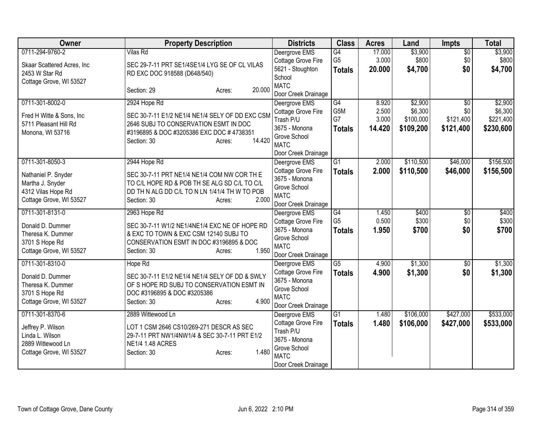| Owner                       | <b>Property Description</b>                     | <b>Districts</b>                    | <b>Class</b>    | <b>Acres</b> | Land      | <b>Impts</b>    | <b>Total</b> |
|-----------------------------|-------------------------------------------------|-------------------------------------|-----------------|--------------|-----------|-----------------|--------------|
| 0711-294-9760-2             | <b>Vilas Rd</b>                                 | Deergrove EMS                       | $\overline{G4}$ | 17.000       | \$3,900   | $\overline{30}$ | \$3,900      |
| Skaar Scattered Acres, Inc. | SEC 29-7-11 PRT SE1/4SE1/4 LYG SE OF CL VILAS   | Cottage Grove Fire                  | G <sub>5</sub>  | 3.000        | \$800     | \$0             | \$800        |
| 2453 W Star Rd              | RD EXC DOC 918588 (D648/540)                    | 5621 - Stoughton                    | <b>Totals</b>   | 20.000       | \$4,700   | \$0             | \$4,700      |
| Cottage Grove, WI 53527     |                                                 | School                              |                 |              |           |                 |              |
|                             | 20.000<br>Section: 29<br>Acres:                 | <b>MATC</b>                         |                 |              |           |                 |              |
| 0711-301-8002-0             | 2924 Hope Rd                                    | Door Creek Drainage                 | $\overline{G4}$ | 8.920        | \$2,900   | $\overline{50}$ | \$2,900      |
|                             |                                                 | Deergrove EMS<br>Cottage Grove Fire | G5M             | 2.500        | \$6,300   | \$0             | \$6,300      |
| Fred H Witte & Sons, Inc    | SEC 30-7-11 E1/2 NE1/4 NE1/4 SELY OF DD EXC CSM | Trash P/U                           | G7              | 3.000        | \$100,000 | \$121,400       | \$221,400    |
| 5711 Pleasant Hill Rd       | 2646 SUBJ TO CONSERVATION ESMT IN DOC           | 3675 - Monona                       | <b>Totals</b>   | 14.420       | \$109,200 | \$121,400       | \$230,600    |
| Monona, WI 53716            | #3196895 & DOC #3205386 EXC DOC #4738351        | Grove School                        |                 |              |           |                 |              |
|                             | 14.420<br>Section: 30<br>Acres:                 | <b>MATC</b>                         |                 |              |           |                 |              |
|                             |                                                 | Door Creek Drainage                 |                 |              |           |                 |              |
| 0711-301-8050-3             | 2944 Hope Rd                                    | Deergrove EMS                       | G1              | 2.000        | \$110,500 | \$46,000        | \$156,500    |
| Nathaniel P. Snyder         | SEC 30-7-11 PRT NE1/4 NE1/4 COM NW COR TH E     | Cottage Grove Fire                  | <b>Totals</b>   | 2.000        | \$110,500 | \$46,000        | \$156,500    |
| Martha J. Snyder            | TO C/L HOPE RD & POB TH SE ALG SD C/L TO C/L    | 3675 - Monona                       |                 |              |           |                 |              |
| 4312 Vilas Hope Rd          | DD TH N ALG DD C/L TO N LN 1/41/4 TH W TO POB   | Grove School                        |                 |              |           |                 |              |
| Cottage Grove, WI 53527     | 2.000<br>Section: 30<br>Acres:                  | <b>MATC</b>                         |                 |              |           |                 |              |
|                             |                                                 | Door Creek Drainage                 |                 |              |           |                 |              |
| 0711-301-8131-0             | 2963 Hope Rd                                    | Deergrove EMS                       | G4              | 1.450        | \$400     | $\overline{50}$ | \$400        |
| Donald D. Dummer            | SEC 30-7-11 W1/2 NE1/4NE1/4 EXC NE OF HOPE RD   | Cottage Grove Fire                  | G <sub>5</sub>  | 0.500        | \$300     | \$0             | \$300        |
| Theresa K. Dummer           | & EXC TO TOWN & EXC CSM 12140 SUBJ TO           | 3675 - Monona<br>Grove School       | <b>Totals</b>   | 1.950        | \$700     | \$0             | \$700        |
| 3701 S Hope Rd              | CONSERVATION ESMT IN DOC #3196895 & DOC         | <b>MATC</b>                         |                 |              |           |                 |              |
| Cottage Grove, WI 53527     | 1.950<br>Section: 30<br>Acres:                  | Door Creek Drainage                 |                 |              |           |                 |              |
| 0711-301-8310-0             | Hope Rd                                         | Deergrove EMS                       | $\overline{G5}$ | 4.900        | \$1,300   | $\sqrt{6}$      | \$1,300      |
|                             |                                                 | Cottage Grove Fire                  | <b>Totals</b>   | 4.900        | \$1,300   | \$0             | \$1,300      |
| Donald D. Dummer            | SEC 30-7-11 E1/2 NE1/4 NE1/4 SELY OF DD & SWLY  | 3675 - Monona                       |                 |              |           |                 |              |
| Theresa K. Dummer           | OF S HOPE RD SUBJ TO CONSERVATION ESMT IN       | Grove School                        |                 |              |           |                 |              |
| 3701 S Hope Rd              | DOC #3196895 & DOC #3205386<br>4.900            | <b>MATC</b>                         |                 |              |           |                 |              |
| Cottage Grove, WI 53527     | Section: 30<br>Acres:                           | Door Creek Drainage                 |                 |              |           |                 |              |
| 0711-301-8370-6             | 2889 Wittewood Ln                               | Deergrove EMS                       | G1              | 1.480        | \$106,000 | \$427,000       | \$533,000    |
| Jeffrey P. Wilson           | LOT 1 CSM 2646 CS10/269-271 DESCR AS SEC        | Cottage Grove Fire                  | <b>Totals</b>   | 1.480        | \$106,000 | \$427,000       | \$533,000    |
| Linda L. Wilson             | 29-7-11 PRT NW1/4NW1/4 & SEC 30-7-11 PRT E1/2   | Trash P/U                           |                 |              |           |                 |              |
| 2889 Wittewood Ln           | <b>NE1/4 1.48 ACRES</b>                         | 3675 - Monona                       |                 |              |           |                 |              |
| Cottage Grove, WI 53527     | 1.480<br>Section: 30<br>Acres:                  | Grove School                        |                 |              |           |                 |              |
|                             |                                                 | <b>MATC</b>                         |                 |              |           |                 |              |
|                             |                                                 | Door Creek Drainage                 |                 |              |           |                 |              |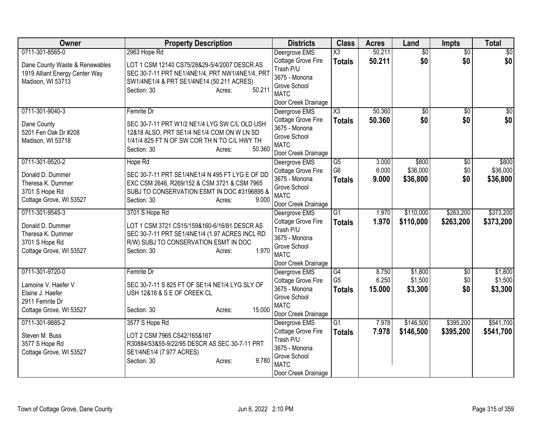| Owner                          | <b>Property Description</b>                     | <b>Districts</b>                     | <b>Class</b>    | <b>Acres</b> | Land            | Impts           | <b>Total</b>    |
|--------------------------------|-------------------------------------------------|--------------------------------------|-----------------|--------------|-----------------|-----------------|-----------------|
| 0711-301-8565-0                | 2963 Hope Rd                                    | Deergrove EMS                        | X3              | 50.211       | $\overline{50}$ | $\overline{50}$ | \$0             |
| Dane County Waste & Renewables | LOT 1 CSM 12140 CS75/28&29-5/4/2007 DESCR AS    | Cottage Grove Fire                   | <b>Totals</b>   | 50.211       | \$0             | \$0             | \$0             |
| 1919 Alliant Energy Center Way | SEC 30-7-11 PRT NE1/4NE1/4, PRT NW1/4NE1/4, PRT | Trash P/U<br>3675 - Monona           |                 |              |                 |                 |                 |
| Madison, WI 53713              | SW1/4NE1/4 & PRT SE1/4NE14 (50.211 ACRES)       | Grove School                         |                 |              |                 |                 |                 |
|                                | 50.211<br>Section: 30<br>Acres:                 | <b>MATC</b>                          |                 |              |                 |                 |                 |
|                                |                                                 | Door Creek Drainage                  |                 |              |                 |                 |                 |
| 0711-301-9040-3                | Femrite Dr                                      | Deergrove EMS                        | X3              | 50.360       | $\sqrt{$0}$     | $\overline{50}$ | $\overline{50}$ |
| Dane County                    | SEC 30-7-11 PRT W1/2 NE1/4 LYG SW C/L OLD USH   | Cottage Grove Fire                   | <b>Totals</b>   | 50.360       | \$0             | \$0             | \$0             |
| 5201 Fen Oak Dr #208           | 12&18 ALSO, PRT SE1/4 NE1/4 COM ON W LN SD      | 3675 - Monona                        |                 |              |                 |                 |                 |
| Madison, WI 53718              | 1/41/4 825 FT N OF SW COR TH N TO C/L HWY TH    | Grove School                         |                 |              |                 |                 |                 |
|                                | 50.360<br>Section: 30<br>Acres:                 | <b>MATC</b>                          |                 |              |                 |                 |                 |
|                                |                                                 | Door Creek Drainage                  |                 |              |                 |                 |                 |
| 0711-301-9520-2                | Hope Rd                                         | Deergrove EMS                        | G5              | 3.000        | \$800           | \$0             | \$800           |
| Donald D. Dummer               | SEC 30-7-11 PRT SE1/4NE1/4 N 495 FT LYG E OF DD | Cottage Grove Fire                   | G <sub>6</sub>  | 6.000        | \$36,000        | \$0             | \$36,000        |
| Theresa K. Dummer              | EXC CSM 2646, R269/152 & CSM 3721 & CSM 7965    | 3675 - Monona                        | <b>Totals</b>   | 9.000        | \$36,800        | \$0             | \$36,800        |
| 3701 S Hope Rd                 | SUBJ TO CONSERVATION ESMT IN DOC #3196895 &     | Grove School<br><b>MATC</b>          |                 |              |                 |                 |                 |
| Cottage Grove, WI 53527        | 9.000<br>Section: 30<br>Acres:                  | Door Creek Drainage                  |                 |              |                 |                 |                 |
| 0711-301-9545-3                | 3701 S Hope Rd                                  | Deergrove EMS                        | $\overline{G1}$ | 1.970        | \$110,000       | \$263,200       | \$373,200       |
|                                |                                                 | Cottage Grove Fire                   | <b>Totals</b>   | 1.970        | \$110,000       | \$263,200       | \$373,200       |
| Donald D. Dummer               | LOT 1 CSM 3721 CS15/159&160-6/16/81 DESCR AS    | Trash P/U                            |                 |              |                 |                 |                 |
| Theresa K. Dummer              | SEC 30-7-11 PRT SE1/4NE1/4 (1.97 ACRES INCL RD  | 3675 - Monona                        |                 |              |                 |                 |                 |
| 3701 S Hope Rd                 | R/W) SUBJ TO CONSERVATION ESMT IN DOC           | Grove School                         |                 |              |                 |                 |                 |
| Cottage Grove, WI 53527        | 1.970<br>Section: 30<br>Acres:                  | <b>MATC</b>                          |                 |              |                 |                 |                 |
|                                |                                                 | Door Creek Drainage                  |                 |              |                 |                 |                 |
| 0711-301-9720-0                | Femrite Dr                                      | Deergrove EMS                        | G4              | 8.750        | \$1,800         | $\overline{30}$ | \$1,800         |
| Lamoine V. Haefer V            | SEC 30-7-11 S 825 FT OF SE1/4 NE1/4 LYG SLY OF  | Cottage Grove Fire                   | G <sub>5</sub>  | 6.250        | \$1,500         | \$0             | \$1,500         |
| Elaine J. Haefer               | USH 12&18 & S E OF CREEK CL                     | 3675 - Monona                        | <b>Totals</b>   | 15.000       | \$3,300         | \$0             | \$3,300         |
| 2911 Femrite Dr                |                                                 | Grove School                         |                 |              |                 |                 |                 |
| Cottage Grove, WI 53527        | 15.000<br>Section: 30<br>Acres:                 | <b>MATC</b>                          |                 |              |                 |                 |                 |
| 0711-301-9885-2                | 3577 S Hope Rd                                  | Door Creek Drainage<br>Deergrove EMS | $\overline{G1}$ | 7.978        | \$146,500       | \$395,200       | \$541,700       |
|                                |                                                 | Cottage Grove Fire                   | <b>Totals</b>   | 7.978        | \$146,500       | \$395,200       | \$541,700       |
| Steven M. Buss                 | LOT 2 CSM 7965 CS42/165&167                     | Trash P/U                            |                 |              |                 |                 |                 |
| 3577 S Hope Rd                 | R30884/53&55-9/22/95 DESCR AS SEC 30-7-11 PRT   | 3675 - Monona                        |                 |              |                 |                 |                 |
| Cottage Grove, WI 53527        | SE1/4NE1/4 (7.977 ACRES)                        | Grove School                         |                 |              |                 |                 |                 |
|                                | 9.780<br>Section: 30<br>Acres:                  | <b>MATC</b>                          |                 |              |                 |                 |                 |
|                                |                                                 | Door Creek Drainage                  |                 |              |                 |                 |                 |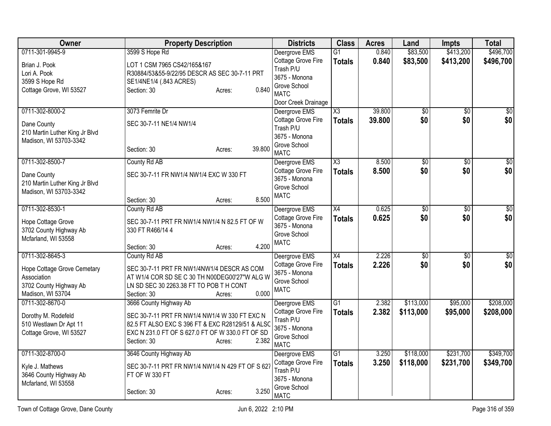| <b>Owner</b>                   | <b>Property Description</b>                      | <b>Districts</b>             | <b>Class</b>    | <b>Acres</b> | Land            | Impts           | <b>Total</b>    |
|--------------------------------|--------------------------------------------------|------------------------------|-----------------|--------------|-----------------|-----------------|-----------------|
| 0711-301-9945-9                | 3599 S Hope Rd                                   | Deergrove EMS                | $\overline{G1}$ | 0.840        | \$83,500        | \$413,200       | \$496,700       |
| Brian J. Pook                  | LOT 1 CSM 7965 CS42/165&167                      | Cottage Grove Fire           | <b>Totals</b>   | 0.840        | \$83,500        | \$413,200       | \$496,700       |
| Lori A. Pook                   | R30884/53&55-9/22/95 DESCR AS SEC 30-7-11 PRT    | Trash P/U                    |                 |              |                 |                 |                 |
| 3599 S Hope Rd                 | SE1/4NE1/4 (.843 ACRES)                          | 3675 - Monona                |                 |              |                 |                 |                 |
| Cottage Grove, WI 53527        | 0.840<br>Section: 30<br>Acres:                   | Grove School<br><b>MATC</b>  |                 |              |                 |                 |                 |
|                                |                                                  | Door Creek Drainage          |                 |              |                 |                 |                 |
| 0711-302-8000-2                | 3073 Femrite Dr                                  | Deergrove EMS                | X3              | 39.800       | $\overline{60}$ | $\overline{50}$ | \$0             |
| Dane County                    | SEC 30-7-11 NE1/4 NW1/4                          | Cottage Grove Fire           | <b>Totals</b>   | 39.800       | \$0             | \$0             | \$0             |
| 210 Martin Luther King Jr Blvd |                                                  | Trash P/U<br>3675 - Monona   |                 |              |                 |                 |                 |
| Madison, WI 53703-3342         |                                                  | Grove School                 |                 |              |                 |                 |                 |
|                                | 39.800<br>Section: 30<br>Acres:                  | <b>MATC</b>                  |                 |              |                 |                 |                 |
| 0711-302-8500-7                | County Rd AB                                     | Deergrove EMS                | X3              | 8.500        | $\overline{50}$ | $\overline{50}$ | $\overline{50}$ |
| Dane County                    | SEC 30-7-11 FR NW1/4 NW1/4 EXC W 330 FT          | <b>Cottage Grove Fire</b>    | <b>Totals</b>   | 8.500        | \$0             | \$0             | \$0             |
| 210 Martin Luther King Jr Blvd |                                                  | 3675 - Monona                |                 |              |                 |                 |                 |
| Madison, WI 53703-3342         |                                                  | Grove School<br><b>MATC</b>  |                 |              |                 |                 |                 |
|                                | 8.500<br>Section: 30<br>Acres:                   |                              |                 |              |                 |                 |                 |
| 0711-302-8530-1                | County Rd AB                                     | Deergrove EMS                | X4              | 0.625        | \$0             | \$0             | \$0             |
| Hope Cottage Grove             | SEC 30-7-11 PRT FR NW1/4 NW1/4 N 82.5 FT OF W    | Cottage Grove Fire           | <b>Totals</b>   | 0.625        | \$0             | \$0             | \$0             |
| 3702 County Highway Ab         | 330 FT R466/14 4                                 | 3675 - Monona                |                 |              |                 |                 |                 |
| Mcfarland, WI 53558            |                                                  | Grove School                 |                 |              |                 |                 |                 |
|                                | 4.200<br>Section: 30<br>Acres:                   | <b>MATC</b>                  |                 |              |                 |                 |                 |
| 0711-302-8645-3                | County Rd AB                                     | Deergrove EMS                | X4              | 2.226        | $\sqrt{50}$     | $\sqrt{6}$      | \$0             |
| Hope Cottage Grove Cemetary    | SEC 30-7-11 PRT FR NW1/4NW1/4 DESCR AS COM       | Cottage Grove Fire           | <b>Totals</b>   | 2.226        | \$0             | \$0             | \$0             |
| Association                    | AT W1/4 COR SD SE C 30 TH N00DEG00'27"W ALG W    | 3675 - Monona                |                 |              |                 |                 |                 |
| 3702 County Highway Ab         | LN SD SEC 30 2263.38 FT TO POB T H CONT          | Grove School                 |                 |              |                 |                 |                 |
| Madison, WI 53704              | 0.000<br>Section: 30<br>Acres:                   | <b>MATC</b>                  |                 |              |                 |                 |                 |
| 0711-302-8670-0                | 3666 County Highway Ab                           | Deergrove EMS                | $\overline{G1}$ | 2.382        | \$113,000       | \$95,000        | \$208,000       |
| Dorothy M. Rodefeld            | SEC 30-7-11 PRT FR NW1/4 NW1/4 W 330 FT EXC N    | Cottage Grove Fire           | <b>Totals</b>   | 2.382        | \$113,000       | \$95,000        | \$208,000       |
| 510 Westlawn Dr Apt 11         | 82.5 FT ALSO EXC S 396 FT & EXC R28129/51 & ALSC | Trash P/U                    |                 |              |                 |                 |                 |
| Cottage Grove, WI 53527        | EXC N 231.0 FT OF S 627.0 FT OF W 330.0 FT OF SD | 3675 - Monona                |                 |              |                 |                 |                 |
|                                | 2.382<br>Section: 30<br>Acres:                   | Grove School                 |                 |              |                 |                 |                 |
| 0711-302-8700-0                | 3646 County Highway Ab                           | <b>MATC</b><br>Deergrove EMS | $\overline{G1}$ | 3.250        | \$118,000       | \$231,700       | \$349,700       |
|                                |                                                  | Cottage Grove Fire           | <b>Totals</b>   | 3.250        | \$118,000       | \$231,700       | \$349,700       |
| Kyle J. Mathews                | SEC 30-7-11 PRT FR NW1/4 NW1/4 N 429 FT OF S 627 | Trash P/U                    |                 |              |                 |                 |                 |
| 3646 County Highway Ab         | FT OF W 330 FT                                   | 3675 - Monona                |                 |              |                 |                 |                 |
| Mcfarland, WI 53558            |                                                  | Grove School                 |                 |              |                 |                 |                 |
|                                | 3.250<br>Section: 30<br>Acres:                   | <b>MATC</b>                  |                 |              |                 |                 |                 |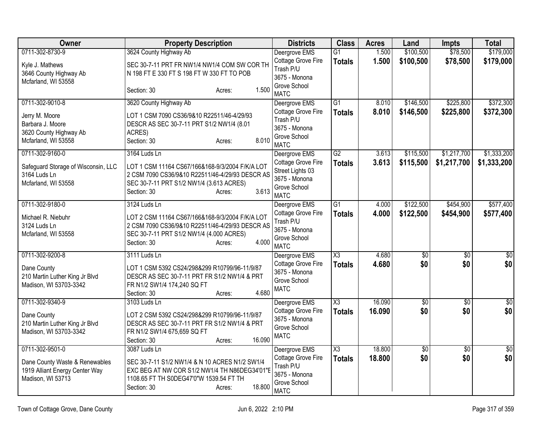| Owner                                                            | <b>Property Description</b>                                                                 | <b>Districts</b>                       | <b>Class</b>                     | <b>Acres</b>     | Land                   | <b>Impts</b>           | <b>Total</b>           |
|------------------------------------------------------------------|---------------------------------------------------------------------------------------------|----------------------------------------|----------------------------------|------------------|------------------------|------------------------|------------------------|
| 0711-302-8730-9                                                  | 3624 County Highway Ab                                                                      | Deergrove EMS<br>Cottage Grove Fire    | $\overline{G1}$<br><b>Totals</b> | 1.500<br>1.500   | \$100,500<br>\$100,500 | \$78,500<br>\$78,500   | \$179,000<br>\$179,000 |
| Kyle J. Mathews<br>3646 County Highway Ab<br>Mcfarland, WI 53558 | SEC 30-7-11 PRT FR NW1/4 NW1/4 COM SW COR TH<br>N 198 FT E 330 FT S 198 FT W 330 FT TO POB  | Trash P/U<br>3675 - Monona             |                                  |                  |                        |                        |                        |
|                                                                  | 1.500<br>Section: 30<br>Acres:                                                              | Grove School<br><b>MATC</b>            |                                  |                  |                        |                        |                        |
| 0711-302-9010-8                                                  | 3620 County Highway Ab                                                                      | Deergrove EMS                          | $\overline{G1}$                  | 8.010            | \$146,500              | \$225,800              | \$372,300              |
| Jerry M. Moore                                                   | LOT 1 CSM 7090 CS36/9&10 R22511/46-4/29/93                                                  | Cottage Grove Fire<br>Trash P/U        | <b>Totals</b>                    | 8.010            | \$146,500              | \$225,800              | \$372,300              |
| Barbara J. Moore<br>3620 County Highway Ab                       | DESCR AS SEC 30-7-11 PRT S1/2 NW1/4 (8.01                                                   | 3675 - Monona                          |                                  |                  |                        |                        |                        |
| Mcfarland, WI 53558                                              | ACRES)<br>8.010<br>Section: 30<br>Acres:                                                    | Grove School<br><b>MATC</b>            |                                  |                  |                        |                        |                        |
| 0711-302-9160-0                                                  | 3164 Luds Ln                                                                                | Deergrove EMS                          | $\overline{G2}$                  | 3.613            | \$115,500              | \$1,217,700            | \$1,333,200            |
| Safeguard Storage of Wisconsin, LLC                              | LOT 1 CSM 11164 CS67/166&168-9/3/2004 F/K/A LOT                                             | Cottage Grove Fire<br>Street Lights 03 | <b>Totals</b>                    | 3.613            | \$115,500              | \$1,217,700            | \$1,333,200            |
| 3164 Luds Ln                                                     | 2 CSM 7090 CS36/9&10 R22511/46-4/29/93 DESCR AS                                             | 3675 - Monona                          |                                  |                  |                        |                        |                        |
| Mcfarland, WI 53558                                              | SEC 30-7-11 PRT S1/2 NW1/4 (3.613 ACRES)<br>3.613<br>Section: 30<br>Acres:                  | Grove School                           |                                  |                  |                        |                        |                        |
|                                                                  |                                                                                             | <b>MATC</b>                            |                                  |                  |                        |                        |                        |
| 0711-302-9180-0                                                  | 3124 Luds Ln                                                                                | Deergrove EMS<br>Cottage Grove Fire    | G1<br><b>Totals</b>              | 4.000<br>4.000   | \$122,500<br>\$122,500 | \$454,900<br>\$454,900 | \$577,400<br>\$577,400 |
| Michael R. Niebuhr                                               | LOT 2 CSM 11164 CS67/166&168-9/3/2004 F/K/A LOT                                             | Trash P/U                              |                                  |                  |                        |                        |                        |
| 3124 Luds Ln<br>Mcfarland, WI 53558                              | 2 CSM 7090 CS36/9&10 R22511/46-4/29/93 DESCR AS<br>SEC 30-7-11 PRT S1/2 NW1/4 (4.000 ACRES) | 3675 - Monona                          |                                  |                  |                        |                        |                        |
|                                                                  | 4.000<br>Section: 30<br>Acres:                                                              | Grove School<br><b>MATC</b>            |                                  |                  |                        |                        |                        |
| 0711-302-9200-8                                                  | 3111 Luds Ln                                                                                | Deergrove EMS                          | $\overline{\text{X3}}$           | 4.680            | \$0                    | $\overline{30}$        | $\overline{50}$        |
| Dane County                                                      | LOT 1 CSM 5392 CS24/298&299 R10799/96-11/9/87                                               | Cottage Grove Fire<br>3675 - Monona    | <b>Totals</b>                    | 4.680            | \$0                    | \$0                    | \$0                    |
| 210 Martin Luther King Jr Blvd                                   | DESCR AS SEC 30-7-11 PRT FR S1/2 NW1/4 & PRT                                                | Grove School                           |                                  |                  |                        |                        |                        |
| Madison, WI 53703-3342                                           | FR N1/2 SW1/4 174,240 SQ FT<br>4.680<br>Section: 30<br>Acres:                               | <b>MATC</b>                            |                                  |                  |                        |                        |                        |
| 0711-302-9340-9                                                  | 3103 Luds Ln                                                                                | Deergrove EMS                          | X3                               | 16.090           | \$0                    | $\overline{50}$        | $\sqrt{50}$            |
| Dane County                                                      | LOT 2 CSM 5392 CS24/298&299 R10799/96-11/9/87                                               | <b>Cottage Grove Fire</b>              | <b>Totals</b>                    | 16.090           | \$0                    | \$0                    | \$0                    |
| 210 Martin Luther King Jr Blvd                                   | DESCR AS SEC 30-7-11 PRT FR S1/2 NW1/4 & PRT                                                | 3675 - Monona                          |                                  |                  |                        |                        |                        |
| Madison, WI 53703-3342                                           | FR N1/2 SW1/4 675,659 SQ FT                                                                 | Grove School<br><b>MATC</b>            |                                  |                  |                        |                        |                        |
|                                                                  | 16.090<br>Section: 30<br>Acres:                                                             |                                        |                                  |                  |                        |                        |                        |
| 0711-302-9501-0                                                  | 3087 Luds Ln                                                                                | Deergrove EMS<br>Cottage Grove Fire    | X3                               | 18.800<br>18.800 | \$0<br>\$0             | $\overline{50}$<br>\$0 | \$0<br>\$0             |
| Dane County Waste & Renewables                                   | SEC 30-7-11 S1/2 NW1/4 & N 10 ACRES N1/2 SW1/4                                              | Trash P/U                              | <b>Totals</b>                    |                  |                        |                        |                        |
| 1919 Alliant Energy Center Way<br>Madison, WI 53713              | EXC BEG AT NW COR S1/2 NW1/4 TH N86DEG34'01"E<br>1108.65 FT TH S0DEG47'0"W 1539.54 FT TH    | 3675 - Monona                          |                                  |                  |                        |                        |                        |
|                                                                  | 18.800<br>Section: 30<br>Acres:                                                             | Grove School<br><b>MATC</b>            |                                  |                  |                        |                        |                        |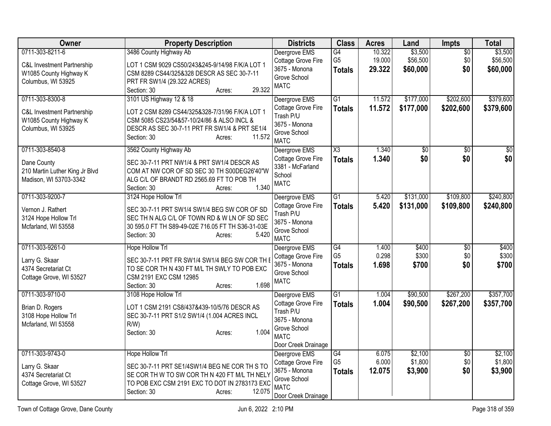| Owner                                         | <b>Property Description</b>                                                               | <b>Districts</b>                    | <b>Class</b>         | <b>Acres</b>   | Land               | Impts                  | <b>Total</b>       |
|-----------------------------------------------|-------------------------------------------------------------------------------------------|-------------------------------------|----------------------|----------------|--------------------|------------------------|--------------------|
| 0711-303-8211-6                               | 3486 County Highway Ab                                                                    | Deergrove EMS                       | G4                   | 10.322         | \$3,500            | $\overline{50}$        | \$3,500            |
| <b>C&amp;L Investment Partnership</b>         | LOT 1 CSM 9029 CS50/243&245-9/14/98 F/K/A LOT 1                                           | Cottage Grove Fire                  | G <sub>5</sub>       | 19.000         | \$56,500           | \$0                    | \$56,500           |
| W1085 County Highway K                        | CSM 8289 CS44/325&328 DESCR AS SEC 30-7-11                                                | 3675 - Monona                       | <b>Totals</b>        | 29.322         | \$60,000           | \$0                    | \$60,000           |
| Columbus, WI 53925                            | PRT FR SW1/4 (29.322 ACRES)                                                               | Grove School<br><b>MATC</b>         |                      |                |                    |                        |                    |
|                                               | 29.322<br>Section: 30<br>Acres:                                                           |                                     |                      |                |                    |                        |                    |
| 0711-303-8300-8                               | 3101 US Highway 12 & 18                                                                   | Deergrove EMS                       | $\overline{G1}$      | 11.572         | \$177,000          | \$202,600              | \$379,600          |
| <b>C&amp;L Investment Partnership</b>         | LOT 2 CSM 8289 CS44/325&328-7/31/96 F/K/A LOT 1                                           | Cottage Grove Fire                  | <b>Totals</b>        | 11.572         | \$177,000          | \$202,600              | \$379,600          |
| W1085 County Highway K                        | CSM 5085 CS23/54&57-10/24/86 & ALSO INCL &                                                | Trash P/U                           |                      |                |                    |                        |                    |
| Columbus, WI 53925                            | DESCR AS SEC 30-7-11 PRT FR SW1/4 & PRT SE1/4                                             | 3675 - Monona<br>Grove School       |                      |                |                    |                        |                    |
|                                               | 11.572<br>Section: 30<br>Acres:                                                           | <b>MATC</b>                         |                      |                |                    |                        |                    |
| 0711-303-8540-8                               | 3562 County Highway Ab                                                                    | Deergrove EMS                       | X <sub>3</sub>       | 1.340          | $\sqrt{$0}$        | $\overline{50}$        | $\overline{50}$    |
|                                               |                                                                                           | Cottage Grove Fire                  | <b>Totals</b>        | 1.340          | \$0                | \$0                    | \$0                |
| Dane County<br>210 Martin Luther King Jr Blvd | SEC 30-7-11 PRT NW1/4 & PRT SW1/4 DESCR AS<br>COM AT NW COR OF SD SEC 30 TH S00DEG26'40"W | 3381 - McFarland                    |                      |                |                    |                        |                    |
| Madison, WI 53703-3342                        | ALG C/L OF BRANDT RD 2565.69 FT TO POB TH                                                 | School                              |                      |                |                    |                        |                    |
|                                               | Section: 30<br>1.340<br>Acres:                                                            | <b>MATC</b>                         |                      |                |                    |                        |                    |
| 0711-303-9200-7                               | 3124 Hope Hollow Trl                                                                      | Deergrove EMS                       | $\overline{G1}$      | 5.420          | \$131,000          | \$109,800              | \$240,800          |
| Vernon J. Rathert                             | SEC 30-7-11 PRT SW1/4 SW1/4 BEG SW COR OF SD                                              | Cottage Grove Fire                  | <b>Totals</b>        | 5.420          | \$131,000          | \$109,800              | \$240,800          |
| 3124 Hope Hollow Trl                          | SEC TH N ALG C/L OF TOWN RD & W LN OF SD SEC                                              | Trash P/U                           |                      |                |                    |                        |                    |
| Mcfarland, WI 53558                           | 30 595.0 FT TH S89-49-02E 716.05 FT TH S36-31-03E                                         | 3675 - Monona                       |                      |                |                    |                        |                    |
|                                               | 5.420<br>Section: 30<br>Acres:                                                            | Grove School<br><b>MATC</b>         |                      |                |                    |                        |                    |
| 0711-303-9261-0                               | <b>Hope Hollow Trl</b>                                                                    | Deergrove EMS                       | G4                   | 1.400          | \$400              | $\sqrt{6}$             | \$400              |
|                                               |                                                                                           | Cottage Grove Fire                  | G <sub>5</sub>       | 0.298          | \$300              | \$0                    | \$300              |
| Larry G. Skaar                                | SEC 30-7-11 PRT FR SW1/4 SW1/4 BEG SW COR TH E                                            | 3675 - Monona                       | <b>Totals</b>        | 1.698          | \$700              | \$0                    | \$700              |
| 4374 Secretariat Ct                           | TO SE COR TH N 430 FT M/L TH SWLY TO POB EXC                                              | Grove School                        |                      |                |                    |                        |                    |
| Cottage Grove, WI 53527                       | CSM 2191 EXC CSM 12985<br>1.698<br>Section: 30<br>Acres:                                  | <b>MATC</b>                         |                      |                |                    |                        |                    |
| 0711-303-9710-0                               | 3108 Hope Hollow Trl                                                                      | Deergrove EMS                       | $\overline{G1}$      | 1.004          | \$90,500           | \$267,200              | \$357,700          |
|                                               |                                                                                           | Cottage Grove Fire                  | <b>Totals</b>        | 1.004          | \$90,500           | \$267,200              | \$357,700          |
| Brian D. Rogers                               | LOT 1 CSM 2191 CS8/437&439-10/5/76 DESCR AS                                               | Trash P/U                           |                      |                |                    |                        |                    |
| 3108 Hope Hollow Trl<br>Mcfarland, WI 53558   | SEC 30-7-11 PRT S1/2 SW1/4 (1.004 ACRES INCL<br>$R/W$ )                                   | 3675 - Monona                       |                      |                |                    |                        |                    |
|                                               | 1.004<br>Section: 30<br>Acres:                                                            | Grove School                        |                      |                |                    |                        |                    |
|                                               |                                                                                           | <b>MATC</b>                         |                      |                |                    |                        |                    |
|                                               |                                                                                           | Door Creek Drainage                 |                      |                |                    |                        |                    |
| 0711-303-9743-0                               | <b>Hope Hollow Trl</b>                                                                    | Deergrove EMS<br>Cottage Grove Fire | G4<br>G <sub>5</sub> | 6.075<br>6.000 | \$2,100<br>\$1,800 | $\overline{30}$<br>\$0 | \$2,100<br>\$1,800 |
| Larry G. Skaar                                | SEC 30-7-11 PRT SE1/4SW1/4 BEG NE COR TH S TO                                             | 3675 - Monona                       | <b>Totals</b>        | 12.075         | \$3,900            | \$0                    | \$3,900            |
| 4374 Secretariat Ct                           | SE COR TH W TO SW COR TH N 420 FT M/L TH NELY                                             | Grove School                        |                      |                |                    |                        |                    |
| Cottage Grove, WI 53527                       | TO POB EXC CSM 2191 EXC TO DOT IN 2783173 EXC                                             | <b>MATC</b>                         |                      |                |                    |                        |                    |
|                                               | Section: 30<br>12.075<br>Acres:                                                           | Door Creek Drainage                 |                      |                |                    |                        |                    |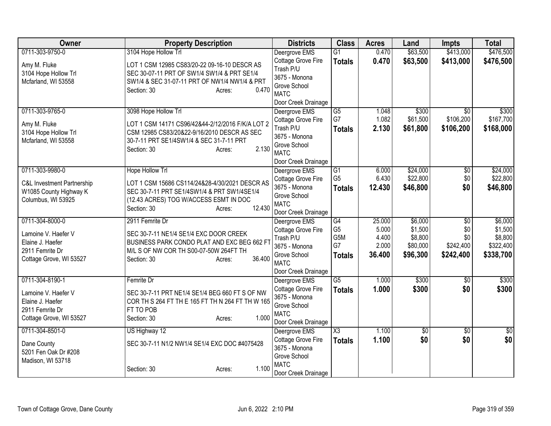| Owner                                 | <b>Property Description</b>                                                           | <b>Districts</b>                    | <b>Class</b>        | <b>Acres</b> | Land            | <b>Impts</b>    | <b>Total</b> |
|---------------------------------------|---------------------------------------------------------------------------------------|-------------------------------------|---------------------|--------------|-----------------|-----------------|--------------|
| 0711-303-9750-0                       | 3104 Hope Hollow Trl                                                                  | Deergrove EMS                       | $\overline{G1}$     | 0.470        | \$63,500        | \$413,000       | \$476,500    |
| Amy M. Fluke                          | LOT 1 CSM 12985 CS83/20-22 09-16-10 DESCR AS                                          | Cottage Grove Fire                  | <b>Totals</b>       | 0.470        | \$63,500        | \$413,000       | \$476,500    |
| 3104 Hope Hollow Trl                  | SEC 30-07-11 PRT OF SW1/4 SW1/4 & PRT SE1/4                                           | Trash P/U                           |                     |              |                 |                 |              |
| Mcfarland, WI 53558                   | SW1/4 & SEC 31-07-11 PRT OF NW1/4 NW1/4 & PRT                                         | 3675 - Monona                       |                     |              |                 |                 |              |
|                                       | 0.470<br>Section: 30<br>Acres:                                                        | Grove School<br><b>MATC</b>         |                     |              |                 |                 |              |
|                                       |                                                                                       | Door Creek Drainage                 |                     |              |                 |                 |              |
| 0711-303-9765-0                       | 3098 Hope Hollow Trl                                                                  | Deergrove EMS                       | G5                  | 1.048        | \$300           | \$0             | \$300        |
|                                       |                                                                                       | Cottage Grove Fire                  | G7                  | 1.082        | \$61,500        | \$106,200       | \$167,700    |
| Amy M. Fluke                          | LOT 1 CSM 14171 CS96/42&44-2/12/2016 F/K/A LOT 2                                      | Trash P/U                           | <b>Totals</b>       | 2.130        | \$61,800        | \$106,200       | \$168,000    |
| 3104 Hope Hollow Trl                  | CSM 12985 CS83/20&22-9/16/2010 DESCR AS SEC                                           | 3675 - Monona                       |                     |              |                 |                 |              |
| Mcfarland, WI 53558                   | 30-7-11 PRT SE1/4SW1/4 & SEC 31-7-11 PRT<br>2.130<br>Section: 30<br>Acres:            | Grove School                        |                     |              |                 |                 |              |
|                                       |                                                                                       | <b>MATC</b>                         |                     |              |                 |                 |              |
|                                       |                                                                                       | Door Creek Drainage                 |                     |              |                 |                 |              |
| 0711-303-9980-0                       | Hope Hollow Trl                                                                       | Deergrove EMS                       | G1                  | 6.000        | \$24,000        | \$0             | \$24,000     |
| <b>C&amp;L Investment Partnership</b> | LOT 1 CSM 15686 CS114/24&28-4/30/2021 DESCR AS                                        | Cottage Grove Fire                  | G <sub>5</sub>      | 6.430        | \$22,800        | \$0             | \$22,800     |
| W1085 County Highway K                | SEC 30-7-11 PRT SE1/4SW1/4 & PRT SW1/4SE1/4                                           | 3675 - Monona                       | <b>Totals</b>       | 12.430       | \$46,800        | \$0             | \$46,800     |
| Columbus, WI 53925                    | (12.43 ACRES) TOG W/ACCESS ESMT IN DOC                                                | Grove School<br><b>MATC</b>         |                     |              |                 |                 |              |
|                                       | 12.430<br>Section: 30<br>Acres:                                                       | Door Creek Drainage                 |                     |              |                 |                 |              |
| 0711-304-8000-0                       | 2911 Femrite Dr                                                                       | Deergrove EMS                       | $\overline{G4}$     | 25.000       | \$6,000         | $\overline{50}$ | \$6,000      |
|                                       |                                                                                       | Cottage Grove Fire                  | G <sub>5</sub>      | 5.000        | \$1,500         | \$0             | \$1,500      |
| Lamoine V. Haefer V                   | SEC 30-7-11 NE1/4 SE1/4 EXC DOOR CREEK                                                | Trash P/U                           | G <sub>5</sub> M    | 4.400        | \$8,800         | \$0             | \$8,800      |
| Elaine J. Haefer<br>2911 Femrite Dr   | BUSINESS PARK CONDO PLAT AND EXC BEG 662 FT<br>M/L S OF NW COR TH S00-07-50W 264FT TH | 3675 - Monona                       | G7                  | 2.000        | \$80,000        | \$242,400       | \$322,400    |
| Cottage Grove, WI 53527               | 36.400<br>Section: 30<br>Acres:                                                       | Grove School                        | <b>Totals</b>       | 36.400       | \$96,300        | \$242,400       | \$338,700    |
|                                       |                                                                                       | <b>MATC</b>                         |                     |              |                 |                 |              |
|                                       |                                                                                       | Door Creek Drainage                 |                     |              |                 |                 |              |
| 0711-304-8190-1                       | Femrite Dr                                                                            | Deergrove EMS                       | $\overline{G5}$     | 1.000        | \$300           | \$0             | \$300        |
| Lamoine V. Haefer V                   | SEC 30-7-11 PRT NE1/4 SE1/4 BEG 660 FT S OF NW                                        | Cottage Grove Fire<br>3675 - Monona | <b>Totals</b>       | 1.000        | \$300           | \$0             | \$300        |
| Elaine J. Haefer                      | COR TH S 264 FT TH E 165 FT TH N 264 FT TH W 165                                      | Grove School                        |                     |              |                 |                 |              |
| 2911 Femrite Dr                       | FT TO POB                                                                             | <b>MATC</b>                         |                     |              |                 |                 |              |
| Cottage Grove, WI 53527               | 1.000<br>Section: 30<br>Acres:                                                        | Door Creek Drainage                 |                     |              |                 |                 |              |
| 0711-304-8501-0                       | US Highway 12                                                                         | Deergrove EMS                       | $\overline{\chi_3}$ | 1.100        | $\overline{50}$ | $\overline{50}$ | \$0          |
|                                       |                                                                                       | Cottage Grove Fire                  | <b>Totals</b>       | 1.100        | \$0             | \$0             | \$0          |
| Dane County<br>5201 Fen Oak Dr #208   | SEC 30-7-11 N1/2 NW1/4 SE1/4 EXC DOC #4075428                                         | 3675 - Monona                       |                     |              |                 |                 |              |
| Madison, WI 53718                     |                                                                                       | Grove School                        |                     |              |                 |                 |              |
|                                       | 1.100<br>Section: 30<br>Acres:                                                        | <b>MATC</b>                         |                     |              |                 |                 |              |
|                                       |                                                                                       | Door Creek Drainage                 |                     |              |                 |                 |              |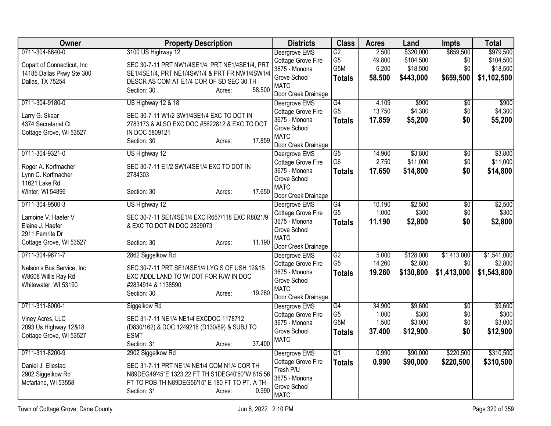| Owner                      | <b>Property Description</b>                     | <b>Districts</b>                    | <b>Class</b>                      | <b>Acres</b>    | Land      | <b>Impts</b>           | <b>Total</b>     |
|----------------------------|-------------------------------------------------|-------------------------------------|-----------------------------------|-----------------|-----------|------------------------|------------------|
| 0711-304-8640-0            | 3100 US Highway 12                              | Deergrove EMS                       | G2                                | 2.500           | \$320,000 | \$659,500              | \$979,500        |
| Copart of Connecticut, Inc | SEC 30-7-11 PRT NW1/4SE1/4, PRT NE1/4SE1/4, PRT | Cottage Grove Fire                  | G <sub>5</sub>                    | 49.800          | \$104,500 | \$0                    | \$104,500        |
| 14185 Dallas Pkwy Ste 300  | SE1/4SE1/4, PRT NE1/4SW1/4 & PRT FR NW1/4SW1/4  | 3675 - Monona                       | G <sub>5</sub> M                  | 6.200           | \$18,500  | \$0                    | \$18,500         |
| Dallas, TX 75254           | DESCR AS COM AT E1/4 COR OF SD SEC 30 TH        | Grove School                        | <b>Totals</b>                     | 58.500          | \$443,000 | \$659,500              | \$1,102,500      |
|                            | 58.500<br>Section: 30<br>Acres:                 | <b>MATC</b>                         |                                   |                 |           |                        |                  |
|                            |                                                 | Door Creek Drainage                 |                                   |                 |           |                        |                  |
| 0711-304-9180-0            | US Highway 12 & 18                              | Deergrove EMS                       | $\overline{G4}$<br>G <sub>5</sub> | 4.109<br>13.750 | \$900     | $\overline{50}$<br>\$0 | \$900<br>\$4,300 |
| Larry G. Skaar             | SEC 30-7-11 W1/2 SW1/4SE1/4 EXC TO DOT IN       | Cottage Grove Fire<br>3675 - Monona |                                   |                 | \$4,300   |                        |                  |
| 4374 Secretariat Ct        | 2783173 & ALSO EXC DOC #5622812 & EXC TO DOT    | Grove School                        | <b>Totals</b>                     | 17.859          | \$5,200   | \$0                    | \$5,200          |
| Cottage Grove, WI 53527    | IN DOC 5809121                                  | <b>MATC</b>                         |                                   |                 |           |                        |                  |
|                            | 17.859<br>Section: 30<br>Acres:                 | Door Creek Drainage                 |                                   |                 |           |                        |                  |
| 0711-304-9321-0            | US Highway 12                                   | Deergrove EMS                       | $\overline{G5}$                   | 14.900          | \$3,800   | \$0                    | \$3,800          |
|                            |                                                 | Cottage Grove Fire                  | G <sub>6</sub>                    | 2.750           | \$11,000  | \$0                    | \$11,000         |
| Roger A. Korfmacher        | SEC 30-7-11 E1/2 SW1/4SE1/4 EXC TO DOT IN       | 3675 - Monona                       | <b>Totals</b>                     | 17.650          | \$14,800  | \$0                    | \$14,800         |
| Lynn C. Korfmacher         | 2784303                                         | Grove School                        |                                   |                 |           |                        |                  |
| 11621 Lake Rd              |                                                 | <b>MATC</b>                         |                                   |                 |           |                        |                  |
| Winter, WI 54896           | 17.650<br>Section: 30<br>Acres:                 | Door Creek Drainage                 |                                   |                 |           |                        |                  |
| 0711-304-9500-3            | US Highway 12                                   | Deergrove EMS                       | G4                                | 10.190          | \$2,500   | $\overline{50}$        | \$2,500          |
| Lamoine V. Haefer V        | SEC 30-7-11 SE1/4SE1/4 EXC R657/118 EXC R8021/9 | Cottage Grove Fire                  | G <sub>5</sub>                    | 1.000           | \$300     | \$0                    | \$300            |
| Elaine J. Haefer           | & EXC TO DOT IN DOC 2829073                     | 3675 - Monona                       | <b>Totals</b>                     | 11.190          | \$2,800   | \$0                    | \$2,800          |
| 2911 Femrite Dr            |                                                 | Grove School                        |                                   |                 |           |                        |                  |
| Cottage Grove, WI 53527    | 11.190<br>Section: 30<br>Acres:                 | <b>MATC</b>                         |                                   |                 |           |                        |                  |
|                            |                                                 | Door Creek Drainage                 |                                   |                 |           |                        |                  |
| 0711-304-9671-7            | 2862 Siggelkow Rd                               | Deergrove EMS                       | G2                                | 5.000           | \$128,000 | \$1,413,000            | \$1,541,000      |
| Nelson's Bus Service, Inc  | SEC 30-7-11 PRT SE1/4SE1/4 LYG S OF USH 12&18   | Cottage Grove Fire                  | G <sub>5</sub>                    | 14.260          | \$2,800   | \$0                    | \$2,800          |
| W8608 Willis Ray Rd        | EXC ADDL LAND TO WI DOT FOR R/W IN DOC          | 3675 - Monona                       | <b>Totals</b>                     | 19.260          | \$130,800 | \$1,413,000            | \$1,543,800      |
| Whitewater, WI 53190       | #2834914 & 1138590                              | Grove School<br><b>MATC</b>         |                                   |                 |           |                        |                  |
|                            | 19.260<br>Section: 30<br>Acres:                 | Door Creek Drainage                 |                                   |                 |           |                        |                  |
| 0711-311-8000-1            | Siggelkow Rd                                    | Deergrove EMS                       | G4                                | 34,900          | \$9,600   | $\overline{50}$        | \$9,600          |
|                            |                                                 | Cottage Grove Fire                  | G <sub>5</sub>                    | 1.000           | \$300     | \$0                    | \$300            |
| Viney Acres, LLC           | SEC 31-7-11 NE1/4 NE1/4 EXCDOC 1178712          | 3675 - Monona                       | G5M                               | 1.500           | \$3,000   | \$0                    | \$3,000          |
| 2093 Us Highway 12&18      | (D830/162) & DOC 1249216 (D130/89) & SUBJ TO    | Grove School                        | <b>Totals</b>                     | 37.400          | \$12,900  | \$0                    | \$12,900         |
| Cottage Grove, WI 53527    | <b>ESMT</b>                                     | <b>MATC</b>                         |                                   |                 |           |                        |                  |
|                            | 37.400<br>Section: 31<br>Acres:                 |                                     |                                   |                 |           |                        |                  |
| 0711-311-8200-9            | 2902 Siggelkow Rd                               | Deergrove EMS                       | $\overline{G1}$                   | 0.990           | \$90,000  | \$220,500              | \$310,500        |
| Daniel J. Ellestad         | SEC 31-7-11 PRT NE1/4 NE1/4 COM N1/4 COR TH     | Cottage Grove Fire                  | <b>Totals</b>                     | 0.990           | \$90,000  | \$220,500              | \$310,500        |
| 2902 Siggelkow Rd          | N89DEG49'45"E 1323.22 FT TH S1DEG40'50"W 815.56 | Trash P/U<br>3675 - Monona          |                                   |                 |           |                        |                  |
| Mcfarland, WI 53558        | FT TO POB TH N89DEG56'15" E 180 FT TO PT. A TH  | Grove School                        |                                   |                 |           |                        |                  |
|                            | 0.990<br>Section: 31<br>Acres:                  | <b>MATC</b>                         |                                   |                 |           |                        |                  |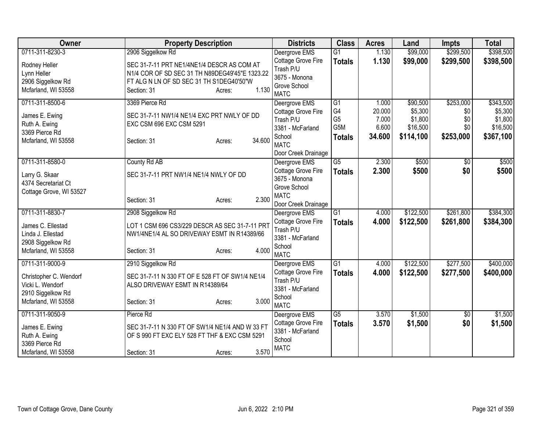| Owner                   | <b>Property Description</b>                     | <b>Districts</b>              | <b>Class</b>    | <b>Acres</b> | Land      | <b>Impts</b> | <b>Total</b> |
|-------------------------|-------------------------------------------------|-------------------------------|-----------------|--------------|-----------|--------------|--------------|
| 0711-311-8230-3         | 2906 Siggelkow Rd                               | Deergrove EMS                 | $\overline{G1}$ | 1.130        | \$99,000  | \$299,500    | \$398,500    |
| Rodney Heller           | SEC 31-7-11 PRT NE1/4NE1/4 DESCR AS COM AT      | Cottage Grove Fire            | <b>Totals</b>   | 1.130        | \$99,000  | \$299,500    | \$398,500    |
| Lynn Heller             | N1/4 COR OF SD SEC 31 TH N89DEG49'45"E 1323.22  | Trash P/U                     |                 |              |           |              |              |
| 2906 Siggelkow Rd       | FT ALG N LN OF SD SEC 31 TH S1DEG40'50"W        | 3675 - Monona                 |                 |              |           |              |              |
| Mcfarland, WI 53558     | 1.130<br>Section: 31<br>Acres:                  | Grove School                  |                 |              |           |              |              |
|                         |                                                 | <b>MATC</b>                   |                 |              |           |              |              |
| 0711-311-8500-6         | 3369 Pierce Rd                                  | Deergrove EMS                 | G1              | 1.000        | \$90,500  | \$253,000    | \$343,500    |
| James E. Ewing          | SEC 31-7-11 NW1/4 NE1/4 EXC PRT NWLY OF DD      | Cottage Grove Fire            | G4              | 20.000       | \$5,300   | \$0          | \$5,300      |
| Ruth A. Ewing           | EXC CSM 696 EXC CSM 5291                        | Trash P/U                     | G <sub>5</sub>  | 7.000        | \$1,800   | \$0          | \$1,800      |
| 3369 Pierce Rd          |                                                 | 3381 - McFarland              | G5M             | 6.600        | \$16,500  | \$0          | \$16,500     |
| Mcfarland, WI 53558     | 34.600<br>Section: 31<br>Acres:                 | School                        | <b>Totals</b>   | 34.600       | \$114,100 | \$253,000    | \$367,100    |
|                         |                                                 | <b>MATC</b>                   |                 |              |           |              |              |
|                         |                                                 | Door Creek Drainage           |                 |              |           |              |              |
| 0711-311-8580-0         | County Rd AB                                    | Deergrove EMS                 | $\overline{G5}$ | 2.300        | \$500     | \$0          | \$500        |
| Larry G. Skaar          | SEC 31-7-11 PRT NW1/4 NE1/4 NWLY OF DD          | Cottage Grove Fire            | <b>Totals</b>   | 2.300        | \$500     | \$0          | \$500        |
| 4374 Secretariat Ct     |                                                 | 3675 - Monona                 |                 |              |           |              |              |
| Cottage Grove, WI 53527 |                                                 | Grove School                  |                 |              |           |              |              |
|                         | 2.300<br>Section: 31<br>Acres:                  | <b>MATC</b>                   |                 |              |           |              |              |
|                         |                                                 | Door Creek Drainage           |                 |              |           |              |              |
| 0711-311-8830-7         | 2908 Siggelkow Rd                               | Deergrove EMS                 | G1              | 4.000        | \$122,500 | \$261,800    | \$384,300    |
| James C. Ellestad       | LOT 1 CSM 696 CS3/229 DESCR AS SEC 31-7-11 PRT  | Cottage Grove Fire            | <b>Totals</b>   | 4.000        | \$122,500 | \$261,800    | \$384,300    |
| Linda J. Ellestad       | NW1/4NE1/4 AL SO DRIVEWAY ESMT IN R14389/66     | Trash P/U<br>3381 - McFarland |                 |              |           |              |              |
| 2908 Siggelkow Rd       |                                                 |                               |                 |              |           |              |              |
| Mcfarland, WI 53558     | 4.000<br>Section: 31<br>Acres:                  | School<br><b>MATC</b>         |                 |              |           |              |              |
| 0711-311-9000-9         | 2910 Siggelkow Rd                               | Deergrove EMS                 | $\overline{G1}$ | 4.000        | \$122,500 | \$277,500    | \$400,000    |
|                         |                                                 | Cottage Grove Fire            |                 | 4.000        |           |              |              |
| Christopher C. Wendorf  | SEC 31-7-11 N 330 FT OF E 528 FT OF SW1/4 NE1/4 | Trash P/U                     | <b>Totals</b>   |              | \$122,500 | \$277,500    | \$400,000    |
| Vicki L. Wendorf        | ALSO DRIVEWAY ESMT IN R14389/64                 | 3381 - McFarland              |                 |              |           |              |              |
| 2910 Siggelkow Rd       |                                                 | School                        |                 |              |           |              |              |
| Mcfarland, WI 53558     | 3.000<br>Section: 31<br>Acres:                  | <b>MATC</b>                   |                 |              |           |              |              |
| 0711-311-9050-9         | Pierce Rd                                       | Deergrove EMS                 | G5              | 3.570        | \$1,500   | \$0          | \$1,500      |
|                         |                                                 | Cottage Grove Fire            | <b>Totals</b>   | 3.570        | \$1,500   | \$0          | \$1,500      |
| James E. Ewing          | SEC 31-7-11 N 330 FT OF SW1/4 NE1/4 AND W 33 FT | 3381 - McFarland              |                 |              |           |              |              |
| Ruth A. Ewing           | OF S 990 FT EXC ELY 528 FT THF & EXC CSM 5291   | School                        |                 |              |           |              |              |
| 3369 Pierce Rd          |                                                 | <b>MATC</b>                   |                 |              |           |              |              |
| Mcfarland, WI 53558     | 3.570<br>Section: 31<br>Acres:                  |                               |                 |              |           |              |              |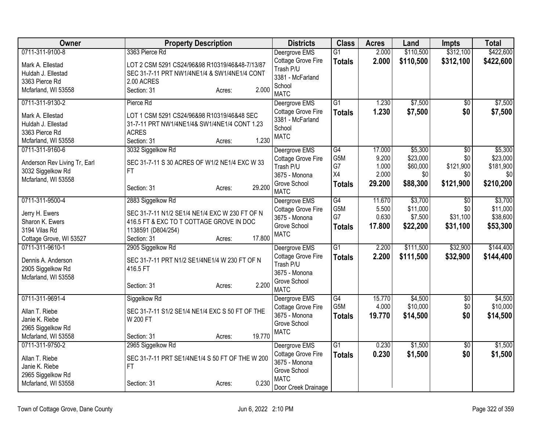| Owner                            | <b>Property Description</b>                                  | <b>Districts</b>                       | <b>Class</b>     | <b>Acres</b> | Land      | <b>Impts</b>    | <b>Total</b> |
|----------------------------------|--------------------------------------------------------------|----------------------------------------|------------------|--------------|-----------|-----------------|--------------|
| 0711-311-9100-8                  | 3363 Pierce Rd                                               | Deergrove EMS                          | G1               | 2.000        | \$110,500 | \$312,100       | \$422,600    |
| Mark A. Ellestad                 | LOT 2 CSM 5291 CS24/96&98 R10319/46&48-7/13/87               | Cottage Grove Fire                     | <b>Totals</b>    | 2.000        | \$110,500 | \$312,100       | \$422,600    |
| Huldah J. Ellestad               | SEC 31-7-11 PRT NW1/4NE1/4 & SW1/4NE1/4 CONT                 | Trash P/U                              |                  |              |           |                 |              |
| 3363 Pierce Rd                   | 2.00 ACRES                                                   | 3381 - McFarland                       |                  |              |           |                 |              |
| Mcfarland, WI 53558              | 2.000<br>Section: 31<br>Acres:                               | School<br><b>MATC</b>                  |                  |              |           |                 |              |
| 0711-311-9130-2                  | Pierce Rd                                                    | Deergrove EMS                          | $\overline{G1}$  | 1.230        | \$7,500   | $\overline{30}$ | \$7,500      |
| Mark A. Ellestad                 | LOT 1 CSM 5291 CS24/96&98 R10319/46&48 SEC                   | Cottage Grove Fire<br>3381 - McFarland | <b>Totals</b>    | 1.230        | \$7,500   | \$0             | \$7,500      |
| Huldah J. Ellestad               | 31-7-11 PRT NW1/4NE1/4& SW1/4NE1/4 CONT 1.23                 | School                                 |                  |              |           |                 |              |
| 3363 Pierce Rd                   | <b>ACRES</b>                                                 | <b>MATC</b>                            |                  |              |           |                 |              |
| Mcfarland, WI 53558              | 1.230<br>Section: 31<br>Acres:                               |                                        |                  |              |           |                 |              |
| 0711-311-9160-6                  | 3032 Siggelkow Rd                                            | Deergrove EMS                          | $\overline{G4}$  | 17.000       | \$5,300   | $\overline{50}$ | \$5,300      |
| Anderson Rev Living Tr, Earl     | SEC 31-7-11 S 30 ACRES OF W1/2 NE1/4 EXC W 33                | Cottage Grove Fire                     | G <sub>5</sub> M | 9.200        | \$23,000  | \$0             | \$23,000     |
| 3032 Siggelkow Rd                | FT.                                                          | Trash P/U                              | G7               | 1.000        | \$60,000  | \$121,900       | \$181,900    |
| Mcfarland, WI 53558              |                                                              | 3675 - Monona                          | X4               | 2.000        | \$0       | \$0             | \$0          |
|                                  | 29.200<br>Section: 31<br>Acres:                              | Grove School<br><b>MATC</b>            | <b>Totals</b>    | 29.200       | \$88,300  | \$121,900       | \$210,200    |
| 0711-311-9500-4                  | 2883 Siggelkow Rd                                            | Deergrove EMS                          | $\overline{G4}$  | 11.670       | \$3,700   | \$0             | \$3,700      |
|                                  |                                                              | Cottage Grove Fire                     | G5M              | 5.500        | \$11,000  | \$0             | \$11,000     |
| Jerry H. Ewers                   | SEC 31-7-11 N1/2 SE1/4 NE1/4 EXC W 230 FT OF N               | 3675 - Monona                          | G7               | 0.630        | \$7,500   | \$31,100        | \$38,600     |
| Sharon K. Ewers<br>3194 Vilas Rd | 416.5 FT & EXC TO T COTTAGE GROVE IN DOC                     | Grove School                           | <b>Totals</b>    | 17.800       | \$22,200  | \$31,100        | \$53,300     |
| Cottage Grove, WI 53527          | 1138591 (D804/254)<br>17.800<br>Section: 31<br>Acres:        | <b>MATC</b>                            |                  |              |           |                 |              |
| 0711-311-9610-1                  | 2905 Siggelkow Rd                                            | Deergrove EMS                          | G <sub>1</sub>   | 2.200        | \$111,500 | \$32,900        | \$144,400    |
|                                  |                                                              | Cottage Grove Fire                     |                  | 2.200        | \$111,500 | \$32,900        | \$144,400    |
| Dennis A. Anderson               | SEC 31-7-11 PRT N1/2 SE1/4NE1/4 W 230 FT OF N                | Trash P/U                              | <b>Totals</b>    |              |           |                 |              |
| 2905 Siggelkow Rd                | 416.5 FT                                                     | 3675 - Monona                          |                  |              |           |                 |              |
| Mcfarland, WI 53558              |                                                              | Grove School                           |                  |              |           |                 |              |
|                                  | 2.200<br>Section: 31<br>Acres:                               | <b>MATC</b>                            |                  |              |           |                 |              |
| 0711-311-9691-4                  | Siggelkow Rd                                                 | Deergrove EMS                          | G4               | 15.770       | \$4,500   | \$0             | \$4,500      |
| Allan T. Riebe                   | SEC 31-7-11 S1/2 SE1/4 NE1/4 EXC S 50 FT OF THE              | Cottage Grove Fire                     | G5M              | 4.000        | \$10,000  | \$0             | \$10,000     |
| Janie K. Riebe                   | W 200 FT                                                     | 3675 - Monona                          | <b>Totals</b>    | 19.770       | \$14,500  | \$0             | \$14,500     |
| 2965 Siggelkow Rd                |                                                              | Grove School                           |                  |              |           |                 |              |
| Mcfarland, WI 53558              | 19.770<br>Section: 31<br>Acres:                              | <b>MATC</b>                            |                  |              |           |                 |              |
| 0711-311-9750-2                  | 2965 Siggelkow Rd                                            | Deergrove EMS                          | $\overline{G1}$  | 0.230        | \$1,500   | \$0             | \$1,500      |
|                                  |                                                              | Cottage Grove Fire                     | <b>Totals</b>    | 0.230        | \$1,500   | \$0             | \$1,500      |
| Allan T. Riebe<br>Janie K. Riebe | SEC 31-7-11 PRT SE1/4NE1/4 S 50 FT OF THE W 200<br><b>FT</b> | 3675 - Monona                          |                  |              |           |                 |              |
| 2965 Siggelkow Rd                |                                                              | Grove School                           |                  |              |           |                 |              |
| Mcfarland, WI 53558              | 0.230<br>Section: 31<br>Acres:                               | <b>MATC</b>                            |                  |              |           |                 |              |
|                                  |                                                              | Door Creek Drainage                    |                  |              |           |                 |              |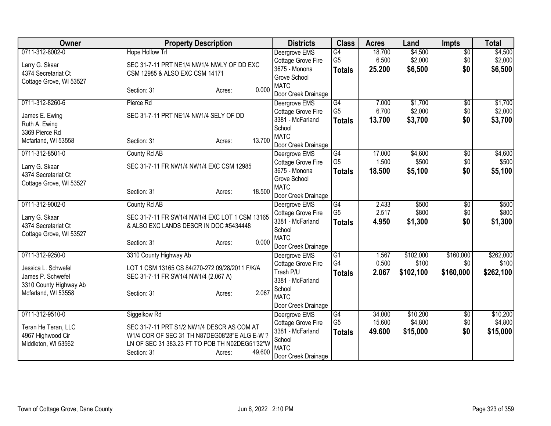| 0711-312-8002-0<br><b>Hope Hollow Trl</b><br>$\overline{G4}$<br>\$4,500<br>$\overline{50}$<br>Deergrove EMS<br>18.700<br>G <sub>5</sub><br>6.500<br>\$2,000<br>Cottage Grove Fire<br>\$0<br>SEC 31-7-11 PRT NE1/4 NW1/4 NWLY OF DD EXC<br>Larry G. Skaar<br>3675 - Monona<br>25.200<br>\$6,500<br>\$0<br><b>Totals</b><br>4374 Secretariat Ct<br>CSM 12985 & ALSO EXC CSM 14171<br>Grove School<br>Cottage Grove, WI 53527<br><b>MATC</b><br>0.000<br>Section: 31<br>Acres:<br>Door Creek Drainage<br>0711-312-8260-6<br>\$1,700<br>G4<br>7.000<br>$\sqrt{6}$<br>Pierce Rd<br>Deergrove EMS<br>G <sub>5</sub><br>\$2,000<br>6.700<br>\$0<br>Cottage Grove Fire<br>SEC 31-7-11 PRT NE1/4 NW1/4 SELY OF DD<br>James E. Ewing<br>3381 - McFarland<br>\$0<br>13.700<br>\$3,700<br><b>Totals</b><br>Ruth A. Ewing<br>School | Owner | <b>Property Description</b> | <b>Districts</b> | <b>Class</b> | <b>Acres</b> | Land | <b>Impts</b> | <b>Total</b> |
|------------------------------------------------------------------------------------------------------------------------------------------------------------------------------------------------------------------------------------------------------------------------------------------------------------------------------------------------------------------------------------------------------------------------------------------------------------------------------------------------------------------------------------------------------------------------------------------------------------------------------------------------------------------------------------------------------------------------------------------------------------------------------------------------------------------------|-------|-----------------------------|------------------|--------------|--------------|------|--------------|--------------|
|                                                                                                                                                                                                                                                                                                                                                                                                                                                                                                                                                                                                                                                                                                                                                                                                                        |       |                             |                  |              |              |      |              | \$4,500      |
|                                                                                                                                                                                                                                                                                                                                                                                                                                                                                                                                                                                                                                                                                                                                                                                                                        |       |                             |                  |              |              |      |              | \$2,000      |
|                                                                                                                                                                                                                                                                                                                                                                                                                                                                                                                                                                                                                                                                                                                                                                                                                        |       |                             |                  |              |              |      |              | \$6,500      |
|                                                                                                                                                                                                                                                                                                                                                                                                                                                                                                                                                                                                                                                                                                                                                                                                                        |       |                             |                  |              |              |      |              |              |
|                                                                                                                                                                                                                                                                                                                                                                                                                                                                                                                                                                                                                                                                                                                                                                                                                        |       |                             |                  |              |              |      |              |              |
|                                                                                                                                                                                                                                                                                                                                                                                                                                                                                                                                                                                                                                                                                                                                                                                                                        |       |                             |                  |              |              |      |              |              |
|                                                                                                                                                                                                                                                                                                                                                                                                                                                                                                                                                                                                                                                                                                                                                                                                                        |       |                             |                  |              |              |      |              | \$1,700      |
|                                                                                                                                                                                                                                                                                                                                                                                                                                                                                                                                                                                                                                                                                                                                                                                                                        |       |                             |                  |              |              |      |              | \$2,000      |
|                                                                                                                                                                                                                                                                                                                                                                                                                                                                                                                                                                                                                                                                                                                                                                                                                        |       |                             |                  |              |              |      |              | \$3,700      |
| 3369 Pierce Rd                                                                                                                                                                                                                                                                                                                                                                                                                                                                                                                                                                                                                                                                                                                                                                                                         |       |                             |                  |              |              |      |              |              |
| <b>MATC</b><br>13.700<br>Mcfarland, WI 53558<br>Section: 31<br>Acres:                                                                                                                                                                                                                                                                                                                                                                                                                                                                                                                                                                                                                                                                                                                                                  |       |                             |                  |              |              |      |              |              |
| Door Creek Drainage                                                                                                                                                                                                                                                                                                                                                                                                                                                                                                                                                                                                                                                                                                                                                                                                    |       |                             |                  |              |              |      |              |              |
| 0711-312-8501-0<br>County Rd AB<br>17.000<br>\$4,600<br>G4<br>\$0<br>Deergrove EMS                                                                                                                                                                                                                                                                                                                                                                                                                                                                                                                                                                                                                                                                                                                                     |       |                             |                  |              |              |      |              | \$4,600      |
| G <sub>5</sub><br>1.500<br>\$500<br>Cottage Grove Fire<br>\$0<br>SEC 31-7-11 FR NW1/4 NW1/4 EXC CSM 12985<br>Larry G. Skaar                                                                                                                                                                                                                                                                                                                                                                                                                                                                                                                                                                                                                                                                                            |       |                             |                  |              |              |      |              | \$500        |
| 3675 - Monona<br>18.500<br>\$5,100<br>\$0<br><b>Totals</b><br>4374 Secretariat Ct                                                                                                                                                                                                                                                                                                                                                                                                                                                                                                                                                                                                                                                                                                                                      |       |                             |                  |              |              |      |              | \$5,100      |
| Grove School<br>Cottage Grove, WI 53527                                                                                                                                                                                                                                                                                                                                                                                                                                                                                                                                                                                                                                                                                                                                                                                |       |                             |                  |              |              |      |              |              |
| <b>MATC</b><br>18.500<br>Section: 31<br>Acres:                                                                                                                                                                                                                                                                                                                                                                                                                                                                                                                                                                                                                                                                                                                                                                         |       |                             |                  |              |              |      |              |              |
| Door Creek Drainage                                                                                                                                                                                                                                                                                                                                                                                                                                                                                                                                                                                                                                                                                                                                                                                                    |       |                             |                  |              |              |      |              |              |
| G4<br>\$500<br>0711-312-9002-0<br>County Rd AB<br>2.433<br>$\overline{50}$<br>Deergrove EMS<br>G <sub>5</sub>                                                                                                                                                                                                                                                                                                                                                                                                                                                                                                                                                                                                                                                                                                          |       |                             |                  |              |              |      |              | \$500        |
| 2.517<br>\$800<br>Cottage Grove Fire<br>\$0<br>SEC 31-7-11 FR SW1/4 NW1/4 EXC LOT 1 CSM 13165<br>Larry G. Skaar                                                                                                                                                                                                                                                                                                                                                                                                                                                                                                                                                                                                                                                                                                        |       |                             |                  |              |              |      |              | \$800        |
| 3381 - McFarland<br>4.950<br>\$1,300<br><b>Totals</b><br>\$0<br>& ALSO EXC LANDS DESCR IN DOC #5434448<br>4374 Secretariat Ct                                                                                                                                                                                                                                                                                                                                                                                                                                                                                                                                                                                                                                                                                          |       |                             |                  |              |              |      |              | \$1,300      |
| School<br>Cottage Grove, WI 53527<br><b>MATC</b>                                                                                                                                                                                                                                                                                                                                                                                                                                                                                                                                                                                                                                                                                                                                                                       |       |                             |                  |              |              |      |              |              |
| 0.000<br>Section: 31<br>Acres:<br>Door Creek Drainage                                                                                                                                                                                                                                                                                                                                                                                                                                                                                                                                                                                                                                                                                                                                                                  |       |                             |                  |              |              |      |              |              |
| 0711-312-9250-0<br>G1<br>\$102,000<br>\$160,000<br>3310 County Highway Ab<br>1.567                                                                                                                                                                                                                                                                                                                                                                                                                                                                                                                                                                                                                                                                                                                                     |       |                             |                  |              |              |      |              | \$262,000    |
| Deergrove EMS<br>G4<br>0.500<br>\$100<br>\$0<br>Cottage Grove Fire                                                                                                                                                                                                                                                                                                                                                                                                                                                                                                                                                                                                                                                                                                                                                     |       |                             |                  |              |              |      |              | \$100        |
| LOT 1 CSM 13165 CS 84/270-272 09/28/2011 F/K/A<br>Jessica L. Schwefel<br>2.067<br>Trash P/U<br>\$160,000                                                                                                                                                                                                                                                                                                                                                                                                                                                                                                                                                                                                                                                                                                               |       |                             |                  |              |              |      |              | \$262,100    |
| \$102,100<br><b>Totals</b><br>James P. Schwefel<br>SEC 31-7-11 FR SW1/4 NW1/4 (2.067 A)<br>3381 - McFarland                                                                                                                                                                                                                                                                                                                                                                                                                                                                                                                                                                                                                                                                                                            |       |                             |                  |              |              |      |              |              |
| 3310 County Highway Ab<br>School                                                                                                                                                                                                                                                                                                                                                                                                                                                                                                                                                                                                                                                                                                                                                                                       |       |                             |                  |              |              |      |              |              |
| 2.067<br>Mcfarland, WI 53558<br>Section: 31<br>Acres:<br><b>MATC</b>                                                                                                                                                                                                                                                                                                                                                                                                                                                                                                                                                                                                                                                                                                                                                   |       |                             |                  |              |              |      |              |              |
| Door Creek Drainage                                                                                                                                                                                                                                                                                                                                                                                                                                                                                                                                                                                                                                                                                                                                                                                                    |       |                             |                  |              |              |      |              |              |
| \$10,200<br>0711-312-9510-0<br>G4<br>34.000<br>Siggelkow Rd<br>\$0<br>Deergrove EMS                                                                                                                                                                                                                                                                                                                                                                                                                                                                                                                                                                                                                                                                                                                                    |       |                             |                  |              |              |      |              | \$10,200     |
| G <sub>5</sub><br>\$4,800<br>Cottage Grove Fire<br>15.600<br>\$0                                                                                                                                                                                                                                                                                                                                                                                                                                                                                                                                                                                                                                                                                                                                                       |       |                             |                  |              |              |      |              | \$4,800      |
| Teran He Teran, LLC<br>SEC 31-7-11 PRT S1/2 NW1/4 DESCR AS COM AT<br>3381 - McFarland<br>\$0<br>49.600<br>\$15,000<br><b>Totals</b>                                                                                                                                                                                                                                                                                                                                                                                                                                                                                                                                                                                                                                                                                    |       |                             |                  |              |              |      |              | \$15,000     |
| W1/4 COR OF SEC 31 TH N87DEG08'28"E ALG E-W ?<br>4967 Highwood Cir<br>School                                                                                                                                                                                                                                                                                                                                                                                                                                                                                                                                                                                                                                                                                                                                           |       |                             |                  |              |              |      |              |              |
| LN OF SEC 31 383.23 FT TO POB TH N02DEG51'32"W<br>Middleton, WI 53562<br><b>MATC</b>                                                                                                                                                                                                                                                                                                                                                                                                                                                                                                                                                                                                                                                                                                                                   |       |                             |                  |              |              |      |              |              |
| 49.600<br>Section: 31<br>Acres:<br>Door Creek Drainage                                                                                                                                                                                                                                                                                                                                                                                                                                                                                                                                                                                                                                                                                                                                                                 |       |                             |                  |              |              |      |              |              |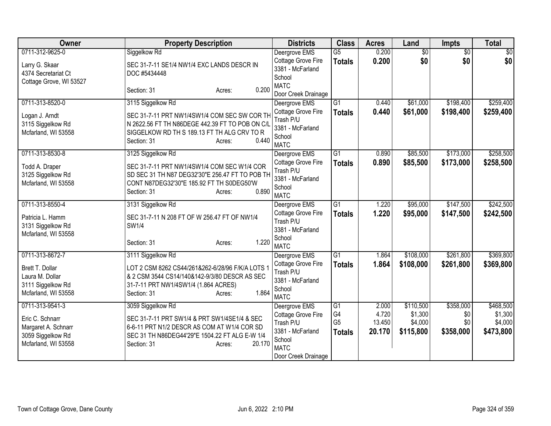| Owner                                                                                                 | <b>Property Description</b>                                                                                                                                                                           | <b>Districts</b>                                                                                                     | <b>Class</b>                                | <b>Acres</b>                       | Land                                         | <b>Impts</b>                         | <b>Total</b>                                 |
|-------------------------------------------------------------------------------------------------------|-------------------------------------------------------------------------------------------------------------------------------------------------------------------------------------------------------|----------------------------------------------------------------------------------------------------------------------|---------------------------------------------|------------------------------------|----------------------------------------------|--------------------------------------|----------------------------------------------|
| 0711-312-9625-0<br>Larry G. Skaar<br>4374 Secretariat Ct                                              | Siggelkow Rd<br>SEC 31-7-11 SE1/4 NW1/4 EXC LANDS DESCR IN<br>DOC #5434448                                                                                                                            | Deergrove EMS<br>Cottage Grove Fire<br>3381 - McFarland<br>School                                                    | $\overline{G5}$<br><b>Totals</b>            | 0.200<br>0.200                     | $\overline{50}$<br>\$0                       | $\overline{50}$<br>\$0               | $\sqrt{30}$<br>\$0                           |
| Cottage Grove, WI 53527                                                                               | 0.200<br>Section: 31<br>Acres:                                                                                                                                                                        | <b>MATC</b><br>Door Creek Drainage                                                                                   |                                             |                                    |                                              |                                      |                                              |
| 0711-313-8520-0<br>Logan J. Arndt<br>3115 Siggelkow Rd<br>Mcfarland, WI 53558                         | 3115 Siggelkow Rd<br>SEC 31-7-11 PRT NW1/4SW1/4 COM SEC SW COR TH<br>N 2622.56 FT TH N86DEGE 442.39 FT TO POB ON C/L<br>SIGGELKOW RD TH S 189.13 FT TH ALG CRV TO R<br>0.440<br>Section: 31<br>Acres: | Deergrove EMS<br>Cottage Grove Fire<br>Trash P/U<br>3381 - McFarland<br>School<br><b>MATC</b>                        | $\overline{G1}$<br><b>Totals</b>            | 0.440<br>0.440                     | \$61,000<br>\$61,000                         | \$198,400<br>\$198,400               | \$259,400<br>\$259,400                       |
| 0711-313-8530-8<br>Todd A. Draper<br>3125 Siggelkow Rd<br>Mcfarland, WI 53558                         | 3125 Siggelkow Rd<br>SEC 31-7-11 PRT NW1/4SW1/4 COM SEC W1/4 COR<br>SD SEC 31 TH N87 DEG32'30"E 256.47 FT TO POB TH<br>CONT N87DEG32'30"E 185.92 FT TH S0DEG50'W<br>0.890<br>Section: 31<br>Acres:    | Deergrove EMS<br>Cottage Grove Fire<br>Trash P/U<br>3381 - McFarland<br>School<br><b>MATC</b>                        | $\overline{G1}$<br><b>Totals</b>            | 0.890<br>0.890                     | \$85,500<br>\$85,500                         | \$173,000<br>\$173,000               | \$258,500<br>\$258,500                       |
| 0711-313-8550-4<br>Patricia L. Hamm<br>3131 Siggelkow Rd<br>Mcfarland, WI 53558                       | 3131 Siggelkow Rd<br>SEC 31-7-11 N 208 FT OF W 256.47 FT OF NW1/4<br>SW1/4<br>1.220<br>Section: 31<br>Acres:                                                                                          | Deergrove EMS<br>Cottage Grove Fire<br>Trash P/U<br>3381 - McFarland<br>School<br><b>MATC</b>                        | $\overline{G1}$<br><b>Totals</b>            | 1.220<br>1.220                     | \$95,000<br>\$95,000                         | \$147,500<br>\$147,500               | \$242,500<br>\$242,500                       |
| 0711-313-8672-7<br>Brett T. Dollar<br>Laura M. Dollar<br>3111 Siggelkow Rd<br>Mcfarland, WI 53558     | 3111 Siggelkow Rd<br>LOT 2 CSM 8262 CS44/261&262-6/28/96 F/K/A LOTS 1<br>& 2 CSM 3544 CS14/140&142-9/3/80 DESCR AS SEC<br>31-7-11 PRT NW1/4SW1/4 (1.864 ACRES)<br>1.864<br>Section: 31<br>Acres:      | Deergrove EMS<br>Cottage Grove Fire<br>Trash P/U<br>3381 - McFarland<br>School<br><b>MATC</b>                        | $\overline{G1}$<br><b>Totals</b>            | 1.864<br>1.864                     | \$108,000<br>\$108,000                       | \$261,800<br>\$261,800               | \$369,800<br>\$369,800                       |
| 0711-313-9541-3<br>Eric C. Schnarr<br>Margaret A. Schnarr<br>3059 Siggelkow Rd<br>Mcfarland, WI 53558 | 3059 Siggelkow Rd<br>SEC 31-7-11 PRT SW1/4 & PRT SW1/4SE1/4 & SEC<br>6-6-11 PRT N1/2 DESCR AS COM AT W1/4 COR SD<br>SEC 31 TH N86DEG44'29"E 1504.22 FT ALG E-W 1/4<br>20.170<br>Section: 31<br>Acres: | Deergrove EMS<br>Cottage Grove Fire<br>Trash P/U<br>3381 - McFarland<br>School<br><b>MATC</b><br>Door Creek Drainage | G1<br>G4<br>G <sub>5</sub><br><b>Totals</b> | 2.000<br>4.720<br>13.450<br>20.170 | \$110,500<br>\$1,300<br>\$4,000<br>\$115,800 | \$358,000<br>\$0<br>\$0<br>\$358,000 | \$468,500<br>\$1,300<br>\$4,000<br>\$473,800 |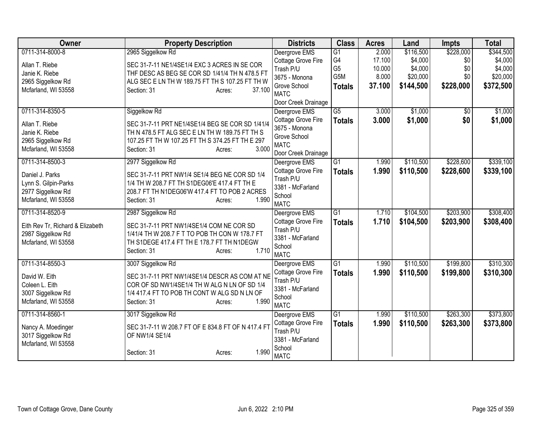| Owner                            | <b>Property Description</b>                                                                       | <b>Districts</b>                    | <b>Class</b>    | <b>Acres</b> | Land      | <b>Impts</b> | <b>Total</b> |
|----------------------------------|---------------------------------------------------------------------------------------------------|-------------------------------------|-----------------|--------------|-----------|--------------|--------------|
| 0711-314-8000-8                  | 2965 Siggelkow Rd                                                                                 | Deergrove EMS                       | $\overline{G1}$ | 2.000        | \$116,500 | \$228,000    | \$344,500    |
| Allan T. Riebe                   | SEC 31-7-11 NE1/4SE1/4 EXC 3 ACRES IN SE COR                                                      | Cottage Grove Fire                  | G4              | 17.100       | \$4,000   | \$0          | \$4,000      |
| Janie K. Riebe                   | THF DESC AS BEG SE COR SD 1/41/4 TH N 478.5 FT                                                    | Trash P/U                           | G <sub>5</sub>  | 10.000       | \$4,000   | \$0          | \$4,000      |
| 2965 Siggelkow Rd                | ALG SEC E LN TH W 189.75 FT TH S 107.25 FT TH W                                                   | 3675 - Monona                       | G5M             | 8.000        | \$20,000  | \$0          | \$20,000     |
| Mcfarland, WI 53558              | 37.100<br>Section: 31<br>Acres:                                                                   | Grove School<br><b>MATC</b>         | <b>Totals</b>   | 37.100       | \$144,500 | \$228,000    | \$372,500    |
|                                  |                                                                                                   | Door Creek Drainage                 |                 |              |           |              |              |
| 0711-314-8350-5                  | Siggelkow Rd                                                                                      | Deergrove EMS                       | $\overline{G5}$ | 3.000        | \$1,000   | \$0          | \$1,000      |
| Allan T. Riebe<br>Janie K. Riebe | SEC 31-7-11 PRT NE1/4SE1/4 BEG SE COR SD 1/41/4<br>TH N 478.5 FT ALG SEC E LN TH W 189.75 FT TH S | Cottage Grove Fire<br>3675 - Monona | <b>Totals</b>   | 3.000        | \$1,000   | \$0          | \$1,000      |
| 2965 Siggelkow Rd                | 107.25 FT TH W 107.25 FT TH S 374.25 FT TH E 297                                                  | Grove School                        |                 |              |           |              |              |
| Mcfarland, WI 53558              | 3.000<br>Section: 31<br>Acres:                                                                    | <b>MATC</b><br>Door Creek Drainage  |                 |              |           |              |              |
| 0711-314-8500-3                  | 2977 Siggelkow Rd                                                                                 | Deergrove EMS                       | $\overline{G1}$ | 1.990        | \$110,500 | \$228,600    | \$339,100    |
| Daniel J. Parks                  | SEC 31-7-11 PRT NW1/4 SE1/4 BEG NE COR SD 1/4                                                     | Cottage Grove Fire                  | <b>Totals</b>   | 1.990        | \$110,500 | \$228,600    | \$339,100    |
| Lynn S. Gilpin-Parks             | 1/4 TH W 208.7 FT TH S1DEG06'E 417.4 FT TH E                                                      | Trash P/U                           |                 |              |           |              |              |
| 2977 Siggelkow Rd                | 208.7 FT TH N1DEG06'W 417.4 FT TO POB 2 ACRES                                                     | 3381 - McFarland                    |                 |              |           |              |              |
| Mcfarland, WI 53558              | 1.990<br>Section: 31<br>Acres:                                                                    | School                              |                 |              |           |              |              |
|                                  |                                                                                                   | <b>MATC</b>                         |                 |              |           |              |              |
| 0711-314-8520-9                  | 2987 Siggelkow Rd                                                                                 | Deergrove EMS                       | $\overline{G1}$ | 1.710        | \$104,500 | \$203,900    | \$308,400    |
| Eith Rev Tr, Richard & Elizabeth | SEC 31-7-11 PRT NW1/4SE1/4 COM NE COR SD                                                          | Cottage Grove Fire<br>Trash P/U     | <b>Totals</b>   | 1.710        | \$104,500 | \$203,900    | \$308,400    |
| 2987 Siggelkow Rd                | 1/41/4 TH W 208.7 F T TO POB TH CON W 178.7 FT                                                    | 3381 - McFarland                    |                 |              |           |              |              |
| Mcfarland, WI 53558              | TH S1DEGE 417.4 FT TH E 178.7 FT TH N1DEGW                                                        | School                              |                 |              |           |              |              |
|                                  | 1.710<br>Section: 31<br>Acres:                                                                    | <b>MATC</b>                         |                 |              |           |              |              |
| 0711-314-8550-3                  | 3007 Siggelkow Rd                                                                                 | Deergrove EMS                       | $\overline{G1}$ | 1.990        | \$110,500 | \$199,800    | \$310,300    |
|                                  |                                                                                                   | Cottage Grove Fire                  | <b>Totals</b>   | 1.990        | \$110,500 | \$199,800    | \$310,300    |
| David W. Eith                    | SEC 31-7-11 PRT NW1/4SE1/4 DESCR AS COM AT NE                                                     | Trash P/U                           |                 |              |           |              |              |
| Coleen L. Eith                   | COR OF SD NW1/4SE1/4 TH W ALG N LN OF SD 1/4                                                      | 3381 - McFarland                    |                 |              |           |              |              |
| 3007 Siggelkow Rd                | 1/4 417.4 FT TO POB TH CONT W ALG SD N LN OF<br>1.990                                             | School                              |                 |              |           |              |              |
| Mcfarland, WI 53558              | Section: 31<br>Acres:                                                                             | <b>MATC</b>                         |                 |              |           |              |              |
| 0711-314-8560-1                  | 3017 Siggelkow Rd                                                                                 | Deergrove EMS                       | $\overline{G1}$ | 1.990        | \$110,500 | \$263,300    | \$373,800    |
| Nancy A. Moedinger               | SEC 31-7-11 W 208.7 FT OF E 834.8 FT OF N 417.4 FT                                                | <b>Cottage Grove Fire</b>           | <b>Totals</b>   | 1.990        | \$110,500 | \$263,300    | \$373,800    |
| 3017 Siggelkow Rd                | OF NW1/4 SE1/4                                                                                    | Trash P/U                           |                 |              |           |              |              |
| Mcfarland, WI 53558              |                                                                                                   | 3381 - McFarland                    |                 |              |           |              |              |
|                                  | 1.990<br>Section: 31<br>Acres:                                                                    | School<br><b>MATC</b>               |                 |              |           |              |              |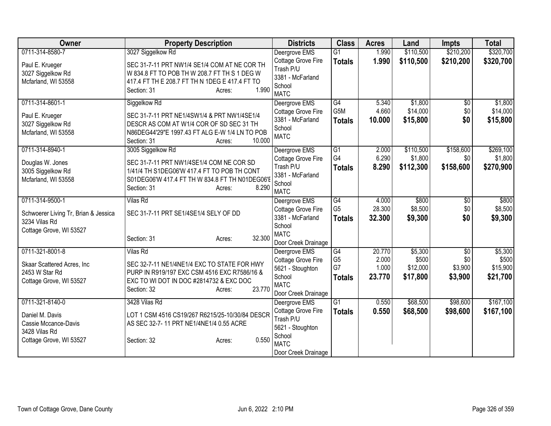| Owner                                                                                                  | <b>Property Description</b>                                                                                                                                                                           | <b>Districts</b>                                                                                                     | <b>Class</b>                                | <b>Acres</b>                       | Land                                     | <b>Impts</b>                     | <b>Total</b>                             |
|--------------------------------------------------------------------------------------------------------|-------------------------------------------------------------------------------------------------------------------------------------------------------------------------------------------------------|----------------------------------------------------------------------------------------------------------------------|---------------------------------------------|------------------------------------|------------------------------------------|----------------------------------|------------------------------------------|
| 0711-314-8580-7<br>Paul E. Krueger<br>3027 Siggelkow Rd<br>Mcfarland, WI 53558                         | 3027 Siggelkow Rd<br>SEC 31-7-11 PRT NW1/4 SE1/4 COM AT NE COR TH<br>W 834.8 FT TO POB TH W 208.7 FT TH S 1 DEG W<br>417.4 FT TH E 208.7 FT TH N 1DEG E 417.4 FT TO<br>1.990<br>Section: 31<br>Acres: | Deergrove EMS<br>Cottage Grove Fire<br>Trash P/U<br>3381 - McFarland<br>School<br><b>MATC</b>                        | G1<br><b>Totals</b>                         | 1.990<br>1.990                     | \$110,500<br>\$110,500                   | \$210,200<br>\$210,200           | \$320,700<br>\$320,700                   |
| 0711-314-8601-1<br>Paul E. Krueger<br>3027 Siggelkow Rd<br>Mcfarland, WI 53558                         | Siggelkow Rd<br>SEC 31-7-11 PRT NE1/4SW1/4 & PRT NW1/4SE1/4<br>DESCR AS COM AT W1/4 COR OF SD SEC 31 TH<br>N86DEG44'29"E 1997.43 FT ALG E-W 1/4 LN TO POB<br>10.000<br>Section: 31<br>Acres:          | Deergrove EMS<br>Cottage Grove Fire<br>3381 - McFarland<br>School<br><b>MATC</b>                                     | G4<br>G5M<br><b>Totals</b>                  | 5.340<br>4.660<br>10.000           | \$1,800<br>\$14,000<br>\$15,800          | $\sqrt{6}$<br>\$0<br>\$0         | \$1,800<br>\$14,000<br>\$15,800          |
| 0711-314-8940-1<br>Douglas W. Jones<br>3005 Siggelkow Rd<br>Mcfarland, WI 53558                        | 3005 Siggelkow Rd<br>SEC 31-7-11 PRT NW1/4SE1/4 COM NE COR SD<br>1/41/4 TH S1DEG06'W 417.4 FT TO POB TH CONT<br>S01DEG06'W 417.4 FT TH W 834.8 FT TH N01DEG06'E<br>8.290<br>Section: 31<br>Acres:     | Deergrove EMS<br>Cottage Grove Fire<br>Trash P/U<br>3381 - McFarland<br>School<br><b>MATC</b>                        | G1<br>G4<br><b>Totals</b>                   | 2.000<br>6.290<br>8.290            | \$110,500<br>\$1,800<br>\$112,300        | \$158,600<br>\$0<br>\$158,600    | \$269,100<br>\$1,800<br>\$270,900        |
| 0711-314-9500-1<br>Schwoerer Living Tr, Brian & Jessica<br>3234 Vilas Rd<br>Cottage Grove, WI 53527    | <b>Vilas Rd</b><br>SEC 31-7-11 PRT SE1/4SE1/4 SELY OF DD<br>32.300<br>Section: 31<br>Acres:                                                                                                           | Deergrove EMS<br>Cottage Grove Fire<br>3381 - McFarland<br>School<br><b>MATC</b><br>Door Creek Drainage              | G4<br>G <sub>5</sub><br><b>Totals</b>       | 4.000<br>28.300<br>32.300          | \$800<br>\$8,500<br>\$9,300              | $\sqrt[6]{3}$<br>\$0<br>\$0      | \$800<br>\$8,500<br>\$9,300              |
| 0711-321-8001-8<br>Skaar Scattered Acres, Inc.<br>2453 W Star Rd<br>Cottage Grove, WI 53527            | <b>Vilas Rd</b><br>SEC 32-7-11 NE1/4NE1/4 EXC TO STATE FOR HWY<br>PURP IN R919/197 EXC CSM 4516 EXC R7586/16 &<br>EXC TO WI DOT IN DOC #2814732 & EXC DOC<br>23.770<br>Section: 32<br>Acres:          | Deergrove EMS<br>Cottage Grove Fire<br>5621 - Stoughton<br>School<br><b>MATC</b><br>Door Creek Drainage              | G4<br>G <sub>5</sub><br>G7<br><b>Totals</b> | 20.770<br>2.000<br>1.000<br>23.770 | \$5,300<br>\$500<br>\$12,000<br>\$17,800 | \$0<br>\$0<br>\$3,900<br>\$3,900 | \$5,300<br>\$500<br>\$15,900<br>\$21,700 |
| 0711-321-8140-0<br>Daniel M. Davis<br>Cassie Mccance-Davis<br>3428 Vilas Rd<br>Cottage Grove, WI 53527 | 3428 Vilas Rd<br>LOT 1 CSM 4516 CS19/267 R6215/25-10/30/84 DESCR<br>AS SEC 32-7-11 PRT NE1/4NE1/4 0.55 ACRE<br>0.550<br>Section: 32<br>Acres:                                                         | Deergrove EMS<br>Cottage Grove Fire<br>Trash P/U<br>5621 - Stoughton<br>School<br><b>MATC</b><br>Door Creek Drainage | G <sub>1</sub><br><b>Totals</b>             | 0.550<br>0.550                     | \$68,500<br>\$68,500                     | \$98,600<br>\$98,600             | \$167,100<br>\$167,100                   |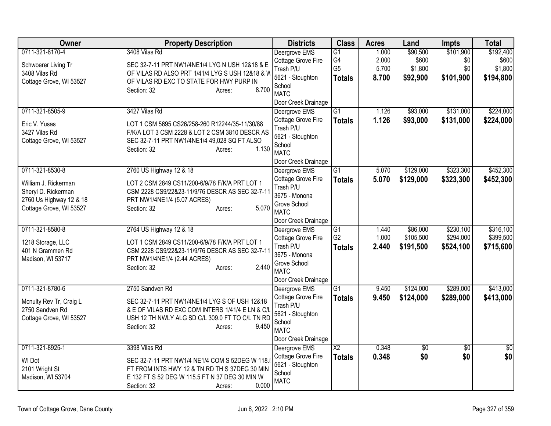| Owner                                                                                             | <b>Property Description</b>                                                                                                                                                            | <b>Districts</b>                                                                                       | <b>Class</b>                           | <b>Acres</b>            | Land                         | <b>Impts</b>            | <b>Total</b>                  |
|---------------------------------------------------------------------------------------------------|----------------------------------------------------------------------------------------------------------------------------------------------------------------------------------------|--------------------------------------------------------------------------------------------------------|----------------------------------------|-------------------------|------------------------------|-------------------------|-------------------------------|
| 0711-321-8170-4<br>Schwoerer Living Tr<br>3408 Vilas Rd                                           | 3408 Vilas Rd<br>SEC 32-7-11 PRT NW1/4NE1/4 LYG N USH 12&18 & E<br>OF VILAS RD ALSO PRT 1/41/4 LYG S USH 12&18 & W                                                                     | Deergrove EMS<br>Cottage Grove Fire<br>Trash P/U                                                       | G1<br>G <sub>4</sub><br>G <sub>5</sub> | 1.000<br>2.000<br>5.700 | \$90,500<br>\$600<br>\$1,800 | \$101,900<br>\$0<br>\$0 | \$192,400<br>\$600<br>\$1,800 |
| Cottage Grove, WI 53527                                                                           | OF VILAS RD EXC TO STATE FOR HWY PURP IN<br>8.700<br>Section: 32<br>Acres:                                                                                                             | 5621 - Stoughton<br>School<br><b>MATC</b><br>Door Creek Drainage                                       | <b>Totals</b>                          | 8.700                   | \$92,900                     | \$101,900               | \$194,800                     |
| 0711-321-8505-9                                                                                   | 3427 Vilas Rd                                                                                                                                                                          | Deergrove EMS                                                                                          | $\overline{G1}$                        | 1.126                   | \$93,000                     | \$131,000               | \$224,000                     |
| Eric V. Yusas<br>3427 Vilas Rd<br>Cottage Grove, WI 53527                                         | LOT 1 CSM 5695 CS26/258-260 R12244/35-11/30/88<br>F/K/A LOT 3 CSM 2228 & LOT 2 CSM 3810 DESCR AS<br>SEC 32-7-11 PRT NW1/4NE1/4 49,028 SQ FT ALSO<br>1.130<br>Section: 32<br>Acres:     | Cottage Grove Fire<br>Trash P/U<br>5621 - Stoughton<br>School<br><b>MATC</b><br>Door Creek Drainage    | <b>Totals</b>                          | 1.126                   | \$93,000                     | \$131,000               | \$224,000                     |
| 0711-321-8530-8                                                                                   | 2760 US Highway 12 & 18                                                                                                                                                                | Deergrove EMS                                                                                          | G1                                     | 5.070                   | \$129,000                    | \$323,300               | \$452,300                     |
| William J. Rickerman<br>Sheryl D. Rickerman<br>2760 Us Highway 12 & 18<br>Cottage Grove, WI 53527 | LOT 2 CSM 2849 CS11/200-6/9/78 F/K/A PRT LOT 1<br>CSM 2228 CS9/22&23-11/9/76 DESCR AS SEC 32-7-11<br>PRT NW1/4NE1/4 (5.07 ACRES)<br>5.070<br>Section: 32<br>Acres:                     | Cottage Grove Fire<br>Trash P/U<br>3675 - Monona<br>Grove School<br><b>MATC</b><br>Door Creek Drainage | <b>Totals</b>                          | 5.070                   | \$129,000                    | \$323,300               | \$452,300                     |
| 0711-321-8580-8                                                                                   | 2764 US Highway 12 & 18                                                                                                                                                                | Deergrove EMS                                                                                          | G1                                     | 1.440                   | \$86,000                     | \$230,100               | \$316,100                     |
| 1218 Storage, LLC<br>401 N Grammen Rd<br>Madison, WI 53717                                        | LOT 1 CSM 2849 CS11/200-6/9/78 F/K/A PRT LOT 1<br>CSM 2228 CS9/22&23-11/9/76 DESCR AS SEC 32-7-11<br>PRT NW1/4NE1/4 (2.44 ACRES)<br>2.440<br>Section: 32<br>Acres:                     | Cottage Grove Fire<br>Trash P/U<br>3675 - Monona<br>Grove School<br><b>MATC</b><br>Door Creek Drainage | G <sub>2</sub><br><b>Totals</b>        | 1.000<br>2.440          | \$105,500<br>\$191,500       | \$294,000<br>\$524,100  | \$399,500<br>\$715,600        |
| 0711-321-8780-6                                                                                   | 2750 Sandven Rd                                                                                                                                                                        | Deergrove EMS                                                                                          | G1                                     | 9.450                   | \$124,000                    | \$289,000               | \$413,000                     |
| Mcnulty Rev Tr, Craig L<br>2750 Sandven Rd<br>Cottage Grove, WI 53527                             | SEC 32-7-11 PRT NW1/4NE1/4 LYG S OF USH 12&18<br>& E OF VILAS RD EXC COM INTERS 1/41/4 E LN & C/L<br>USH 12 TH NWLY ALG SD C/L 309.0 FT TO C/L TN RD<br>9.450<br>Section: 32<br>Acres: | Cottage Grove Fire<br>Trash P/U<br>5621 - Stoughton<br>School<br><b>MATC</b><br>Door Creek Drainage    | <b>Totals</b>                          | 9.450                   | \$124,000                    | \$289,000               | \$413,000                     |
| 0711-321-8925-1                                                                                   | 3398 Vilas Rd                                                                                                                                                                          | Deergrove EMS                                                                                          | $\overline{\text{X2}}$                 | 0.348                   | \$0                          | \$0                     | \$0                           |
| WI Dot<br>2101 Wright St<br>Madison, WI 53704                                                     | SEC 32-7-11 PRT NW1/4 NE1/4 COM S 52DEG W 118.<br>FT FROM INTS HWY 12 & TN RD TH S 37DEG 30 MIN<br>E 132 FT S 52 DEG W 115.5 FT N 37 DEG 30 MIN W<br>0.000<br>Section: 32<br>Acres:    | Cottage Grove Fire<br>5621 - Stoughton<br>School<br><b>MATC</b>                                        | <b>Totals</b>                          | 0.348                   | \$0                          | \$0                     | \$0                           |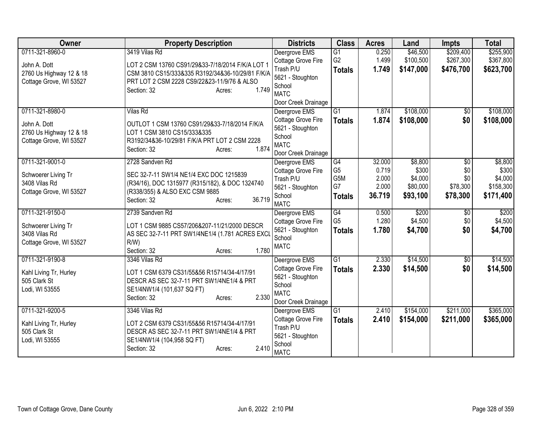| Owner                   | <b>Property Description</b>                      | <b>Districts</b>                     | <b>Class</b>    | <b>Acres</b> | Land      | Impts           | <b>Total</b> |
|-------------------------|--------------------------------------------------|--------------------------------------|-----------------|--------------|-----------|-----------------|--------------|
| 0711-321-8960-0         | 3419 Vilas Rd                                    | Deergrove EMS                        | $\overline{G1}$ | 0.250        | \$46,500  | \$209,400       | \$255,900    |
| John A. Dott            | LOT 2 CSM 13760 CS91/29&33-7/18/2014 F/K/A LOT 1 | Cottage Grove Fire                   | G <sub>2</sub>  | 1.499        | \$100,500 | \$267,300       | \$367,800    |
| 2760 Us Highway 12 & 18 | CSM 3810 CS15/333&335 R3192/34&36-10/29/81 F/K/A | Trash P/U                            | <b>Totals</b>   | 1.749        | \$147,000 | \$476,700       | \$623,700    |
| Cottage Grove, WI 53527 | PRT LOT 2 CSM 2228 CS9/22&23-11/9/76 & ALSO      | 5621 - Stoughton                     |                 |              |           |                 |              |
|                         | 1.749<br>Section: 32<br>Acres:                   | School<br><b>MATC</b>                |                 |              |           |                 |              |
|                         |                                                  | Door Creek Drainage                  |                 |              |           |                 |              |
| 0711-321-8980-0         | <b>Vilas Rd</b>                                  | Deergrove EMS                        | $\overline{G1}$ | 1.874        | \$108,000 | \$0             | \$108,000    |
|                         |                                                  | Cottage Grove Fire                   | <b>Totals</b>   | 1.874        | \$108,000 | \$0             | \$108,000    |
| John A. Dott            | OUTLOT 1 CSM 13760 CS91/29&33-7/18/2014 F/K/A    | 5621 - Stoughton                     |                 |              |           |                 |              |
| 2760 Us Highway 12 & 18 | LOT 1 CSM 3810 CS15/333&335                      | School                               |                 |              |           |                 |              |
| Cottage Grove, WI 53527 | R3192/34&36-10/29/81 F/K/A PRT LOT 2 CSM 2228    | <b>MATC</b>                          |                 |              |           |                 |              |
|                         | 1.874<br>Section: 32<br>Acres:                   | Door Creek Drainage                  |                 |              |           |                 |              |
| 0711-321-9001-0         | 2728 Sandven Rd                                  | Deergrove EMS                        | G4              | 32.000       | \$8,800   | \$0             | \$8,800      |
| Schwoerer Living Tr     | SEC 32-7-11 SW1/4 NE1/4 EXC DOC 1215839          | Cottage Grove Fire                   | G <sub>5</sub>  | 0.719        | \$300     | \$0             | \$300        |
| 3408 Vilas Rd           | (R34/16), DOC 1315977 (R315/182), & DOC 1324740  | Trash P/U                            | G5M             | 2.000        | \$4,000   | \$0             | \$4,000      |
| Cottage Grove, WI 53527 | (R338/355) & ALSO EXC CSM 9885                   | 5621 - Stoughton                     | G7              | 2.000        | \$80,000  | \$78,300        | \$158,300    |
|                         | 36.719<br>Section: 32<br>Acres:                  | School                               | <b>Totals</b>   | 36.719       | \$93,100  | \$78,300        | \$171,400    |
|                         |                                                  | <b>MATC</b>                          |                 |              |           |                 |              |
| 0711-321-9150-0         | 2739 Sandven Rd                                  | Deergrove EMS                        | G4              | 0.500        | \$200     | $\overline{50}$ | \$200        |
| Schwoerer Living Tr     | LOT 1 CSM 9885 CS57/206&207-11/21/2000 DESCR     | Cottage Grove Fire                   | G <sub>5</sub>  | 1.280        | \$4,500   | \$0             | \$4,500      |
| 3408 Vilas Rd           | AS SEC 32-7-11 PRT SW1/4NE1/4 (1.781 ACRES EXCL  | 5621 - Stoughton<br>School           | <b>Totals</b>   | 1.780        | \$4,700   | \$0             | \$4,700      |
| Cottage Grove, WI 53527 | $R/W$ )                                          | <b>MATC</b>                          |                 |              |           |                 |              |
|                         | 1.780<br>Section: 32<br>Acres:                   |                                      |                 |              |           |                 |              |
| 0711-321-9190-8         | 3346 Vilas Rd                                    | Deergrove EMS                        | $\overline{G1}$ | 2.330        | \$14,500  | $\overline{50}$ | \$14,500     |
| Kahl Living Tr, Hurley  | LOT 1 CSM 6379 CS31/55&56 R15714/34-4/17/91      | Cottage Grove Fire                   | <b>Totals</b>   | 2.330        | \$14,500  | \$0             | \$14,500     |
| 505 Clark St            | DESCR AS SEC 32-7-11 PRT SW1/4NE1/4 & PRT        | 5621 - Stoughton                     |                 |              |           |                 |              |
| Lodi, WI 53555          | SE1/4NW1/4 (101,637 SQ FT)                       | School                               |                 |              |           |                 |              |
|                         | 2.330<br>Section: 32<br>Acres:                   | <b>MATC</b>                          |                 |              |           |                 |              |
| 0711-321-9200-5         | 3346 Vilas Rd                                    | Door Creek Drainage<br>Deergrove EMS | $\overline{G1}$ | 2.410        | \$154,000 | \$211,000       | \$365,000    |
|                         |                                                  | Cottage Grove Fire                   | <b>Totals</b>   | 2.410        | \$154,000 | \$211,000       | \$365,000    |
| Kahl Living Tr, Hurley  | LOT 2 CSM 6379 CS31/55&56 R15714/34-4/17/91      | Trash P/U                            |                 |              |           |                 |              |
| 505 Clark St            | DESCR AS SEC 32-7-11 PRT SW1/4NE1/4 & PRT        | 5621 - Stoughton                     |                 |              |           |                 |              |
| Lodi, WI 53555          | SE1/4NW1/4 (104,958 SQ FT)                       | School                               |                 |              |           |                 |              |
|                         | 2.410<br>Section: 32<br>Acres:                   | <b>MATC</b>                          |                 |              |           |                 |              |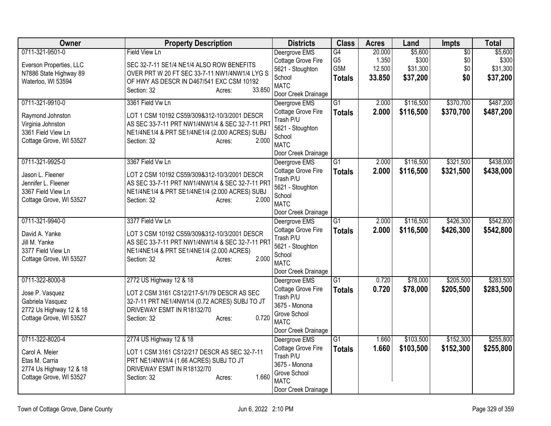| Owner                   | <b>Property Description</b>                     | <b>Districts</b>            | <b>Class</b>    | <b>Acres</b> | Land      | Impts           | <b>Total</b> |
|-------------------------|-------------------------------------------------|-----------------------------|-----------------|--------------|-----------|-----------------|--------------|
| 0711-321-9501-0         | <b>Field View Ln</b>                            | Deergrove EMS               | G4              | 20.000       | \$5,600   | $\overline{50}$ | \$5,600      |
| Everson Properties, LLC | SEC 32-7-11 SE1/4 NE1/4 ALSO ROW BENEFITS       | Cottage Grove Fire          | G <sub>5</sub>  | 1.350        | \$300     | \$0             | \$300        |
| N7886 State Highway 89  | OVER PRT W 20 FT SEC 33-7-11 NW1/4NW1/4 LYG S   | 5621 - Stoughton            | G5M             | 12.500       | \$31,300  | \$0             | \$31,300     |
| Waterloo, WI 53594      | OF HWY AS DESCR IN D467/541 EXC CSM 10192       | School                      | <b>Totals</b>   | 33.850       | \$37,200  | \$0             | \$37,200     |
|                         | 33.850<br>Section: 32<br>Acres:                 | <b>MATC</b>                 |                 |              |           |                 |              |
|                         |                                                 | Door Creek Drainage         |                 |              |           |                 |              |
| 0711-321-9910-0         | 3361 Field Vw Ln                                | Deergrove EMS               | $\overline{G1}$ | 2.000        | \$116,500 | \$370,700       | \$487,200    |
| Raymond Johnston        | LOT 1 CSM 10192 CS59/309&312-10/3/2001 DESCR    | Cottage Grove Fire          | <b>Totals</b>   | 2.000        | \$116,500 | \$370,700       | \$487,200    |
| Virginia Johnston       | AS SEC 33-7-11 PRT NW1/4NW1/4 & SEC 32-7-11 PRT | Trash P/U                   |                 |              |           |                 |              |
| 3361 Field View Ln      | NE1/4NE1/4 & PRT SE1/4NE1/4 (2.000 ACRES) SUBJ  | 5621 - Stoughton            |                 |              |           |                 |              |
| Cottage Grove, WI 53527 | 2.000<br>Section: 32<br>Acres:                  | School                      |                 |              |           |                 |              |
|                         |                                                 | <b>MATC</b>                 |                 |              |           |                 |              |
|                         |                                                 | Door Creek Drainage         |                 |              |           |                 |              |
| 0711-321-9925-0         | 3367 Field Vw Ln                                | Deergrove EMS               | G1              | 2.000        | \$116,500 | \$321,500       | \$438,000    |
| Jason L. Fleener        | LOT 2 CSM 10192 CS59/309&312-10/3/2001 DESCR    | Cottage Grove Fire          | <b>Totals</b>   | 2.000        | \$116,500 | \$321,500       | \$438,000    |
| Jennifer L. Fleener     | AS SEC 33-7-11 PRT NW1/4NW1/4 & SEC 32-7-11 PRT | Trash P/U                   |                 |              |           |                 |              |
| 3367 Field View Ln      | NE1/4NE1/4 & PRT SE1/4NE1/4 (2.000 ACRES) SUBJ  | 5621 - Stoughton            |                 |              |           |                 |              |
| Cottage Grove, WI 53527 | 2.000<br>Section: 32<br>Acres:                  | School                      |                 |              |           |                 |              |
|                         |                                                 | <b>MATC</b>                 |                 |              |           |                 |              |
|                         |                                                 | Door Creek Drainage         |                 |              |           |                 |              |
| 0711-321-9940-0         | 3377 Field Vw Ln                                | Deergrove EMS               | G1              | 2.000        | \$116,500 | \$426,300       | \$542,800    |
| David A. Yanke          | LOT 3 CSM 10192 CS59/309&312-10/3/2001 DESCR    | Cottage Grove Fire          | <b>Totals</b>   | 2.000        | \$116,500 | \$426,300       | \$542,800    |
| Jill M. Yanke           | AS SEC 33-7-11 PRT NW1/4NW1/4 & SEC 32-7-11 PRT | Trash P/U                   |                 |              |           |                 |              |
| 3377 Field View Ln      | NE1/4NE1/4 & PRT SE1/4NE1/4 (2.000 ACRES)       | 5621 - Stoughton            |                 |              |           |                 |              |
| Cottage Grove, WI 53527 | 2.000<br>Section: 32<br>Acres:                  | School                      |                 |              |           |                 |              |
|                         |                                                 | <b>MATC</b>                 |                 |              |           |                 |              |
|                         |                                                 | Door Creek Drainage         |                 |              |           |                 |              |
| 0711-322-8000-8         | 2772 US Highway 12 & 18                         | Deergrove EMS               | G1              | 0.720        | \$78,000  | \$205,500       | \$283,500    |
| Jose P. Vasquez         | LOT 2 CSM 3161 CS12/217-5/1/79 DESCR AS SEC     | Cottage Grove Fire          | <b>Totals</b>   | 0.720        | \$78,000  | \$205,500       | \$283,500    |
| Gabriela Vasquez        | 32-7-11 PRT NE1/4NW1/4 (0.72 ACRES) SUBJ TO JT  | Trash P/U                   |                 |              |           |                 |              |
| 2772 Us Highway 12 & 18 | DRIVEWAY ESMT IN R18132/70                      | 3675 - Monona               |                 |              |           |                 |              |
| Cottage Grove, WI 53527 | 0.720<br>Section: 32<br>Acres:                  | Grove School<br><b>MATC</b> |                 |              |           |                 |              |
|                         |                                                 |                             |                 |              |           |                 |              |
|                         |                                                 | Door Creek Drainage         |                 |              |           |                 |              |
| 0711-322-8020-4         | 2774 US Highway 12 & 18                         | Deergrove EMS               | G1              | 1.660        | \$103,500 | \$152,300       | \$255,800    |
| Carol A. Meier          | LOT 1 CSM 3161 CS12/217 DESCR AS SEC 32-7-11    | Cottage Grove Fire          | <b>Totals</b>   | 1.660        | \$103,500 | \$152,300       | \$255,800    |
| Etas M. Carria          | PRT NE1/4NW1/4 (1.66 ACRES) SUBJ TO JT          | Trash P/U<br>3675 - Monona  |                 |              |           |                 |              |
| 2774 Us Highway 12 & 18 | DRIVEWAY ESMT IN R18132/70                      | Grove School                |                 |              |           |                 |              |
| Cottage Grove, WI 53527 | 1.660<br>Section: 32<br>Acres:                  | <b>MATC</b>                 |                 |              |           |                 |              |
|                         |                                                 |                             |                 |              |           |                 |              |
|                         |                                                 | Door Creek Drainage         |                 |              |           |                 |              |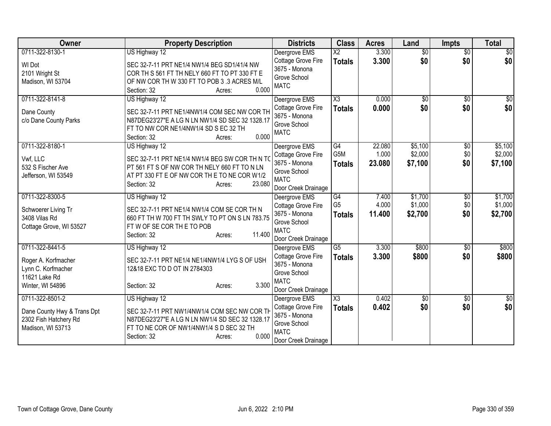| Owner                                      | <b>Property Description</b>                                                                     | <b>Districts</b>                    | <b>Class</b>           | <b>Acres</b> | Land            | <b>Impts</b>    | <b>Total</b>    |
|--------------------------------------------|-------------------------------------------------------------------------------------------------|-------------------------------------|------------------------|--------------|-----------------|-----------------|-----------------|
| 0711-322-8130-1                            | US Highway 12                                                                                   | Deergrove EMS                       | $\overline{\text{X2}}$ | 3.300        | $\overline{50}$ | $\overline{50}$ | \$0             |
| WI Dot                                     | SEC 32-7-11 PRT NE1/4 NW1/4 BEG SD1/41/4 NW                                                     | Cottage Grove Fire                  | <b>Totals</b>          | 3.300        | \$0             | \$0             | \$0             |
| 2101 Wright St                             | COR TH S 561 FT TH NELY 660 FT TO PT 330 FT E                                                   | 3675 - Monona                       |                        |              |                 |                 |                 |
| Madison, WI 53704                          | OF NW COR TH W 330 FT TO POB 3 .3 ACRES M/L                                                     | Grove School                        |                        |              |                 |                 |                 |
|                                            | 0.000<br>Section: 32<br>Acres:                                                                  | <b>MATC</b>                         |                        |              |                 |                 |                 |
| 0711-322-8141-8                            | US Highway 12                                                                                   | Deergrove EMS                       | X3                     | 0.000        | \$0             | $\sqrt{50}$     | \$0             |
| Dane County                                | SEC 32-7-11 PRT NE1/4NW1/4 COM SEC NW COR TH                                                    | Cottage Grove Fire                  | <b>Totals</b>          | 0.000        | \$0             | \$0             | \$0             |
| c/o Dane County Parks                      | N87DEG23'27"E A LG N LN NW1/4 SD SEC 32 1328.17                                                 | 3675 - Monona                       |                        |              |                 |                 |                 |
|                                            | FT TO NW COR NE1/4NW1/4 SD S EC 32 TH                                                           | Grove School                        |                        |              |                 |                 |                 |
|                                            | 0.000<br>Section: 32<br>Acres:                                                                  | <b>MATC</b>                         |                        |              |                 |                 |                 |
| 0711-322-8180-1                            | US Highway 12                                                                                   | Deergrove EMS                       | G4                     | 22.080       | \$5,100         | \$0             | \$5,100         |
|                                            |                                                                                                 | Cottage Grove Fire                  | G <sub>5</sub> M       | 1.000        | \$2,000         | \$0             | \$2,000         |
| Vwf, LLC                                   | SEC 32-7-11 PRT NE1/4 NW1/4 BEG SW COR TH N TO                                                  | 3675 - Monona                       | <b>Totals</b>          | 23.080       | \$7,100         | \$0             | \$7,100         |
| 532 S Fischer Ave                          | PT 561 FT S OF NW COR TH NELY 660 FT TO N LN                                                    | Grove School                        |                        |              |                 |                 |                 |
| Jefferson, WI 53549                        | AT PT 330 FT E OF NW COR TH E TO NE COR W1/2<br>23.080<br>Section: 32                           | <b>MATC</b>                         |                        |              |                 |                 |                 |
|                                            | Acres:                                                                                          | Door Creek Drainage                 |                        |              |                 |                 |                 |
| 0711-322-8300-5                            | US Highway 12                                                                                   | Deergrove EMS                       | G4                     | 7.400        | \$1,700         | \$0             | \$1,700         |
| Schwoerer Living Tr                        | SEC 32-7-11 PRT NE1/4 NW1/4 COM SE COR TH N                                                     | Cottage Grove Fire                  | G <sub>5</sub>         | 4.000        | \$1,000         | \$0             | \$1,000         |
| 3408 Vilas Rd                              | 660 FT TH W 700 FT TH SWLY TO PT ON S LN 783.75                                                 | 3675 - Monona                       | <b>Totals</b>          | 11.400       | \$2,700         | \$0             | \$2,700         |
| Cottage Grove, WI 53527                    | FT W OF SE COR THE TO POB                                                                       | Grove School                        |                        |              |                 |                 |                 |
|                                            | 11.400<br>Section: 32<br>Acres:                                                                 | <b>MATC</b>                         |                        |              |                 |                 |                 |
|                                            |                                                                                                 | Door Creek Drainage                 |                        |              |                 |                 |                 |
| 0711-322-8441-5                            | US Highway 12                                                                                   | Deergrove EMS                       | $\overline{G5}$        | 3.300        | \$800           | \$0             | \$800           |
| Roger A. Korfmacher                        | SEC 32-7-11 PRT NE1/4 NE1/4NW1/4 LYG S OF USH                                                   | Cottage Grove Fire<br>3675 - Monona | <b>Totals</b>          | 3.300        | \$800           | \$0             | \$800           |
| Lynn C. Korfmacher                         | 12&18 EXC TO D OT IN 2784303                                                                    | Grove School                        |                        |              |                 |                 |                 |
| 11621 Lake Rd                              |                                                                                                 | <b>MATC</b>                         |                        |              |                 |                 |                 |
| Winter, WI 54896                           | 3.300<br>Section: 32<br>Acres:                                                                  | Door Creek Drainage                 |                        |              |                 |                 |                 |
| 0711-322-8501-2                            | US Highway 12                                                                                   | Deergrove EMS                       | $\overline{\chi_3}$    | 0.402        | \$0             | \$0             | $\overline{50}$ |
|                                            |                                                                                                 | Cottage Grove Fire                  | <b>Totals</b>          | 0.402        | \$0             | \$0             | \$0             |
| Dane County Hwy & Trans Dpt                | SEC 32-7-11 PRT NW1/4NW1/4 COM SEC NW COR TH<br>N87DEG23'27"E A LG N LN NW1/4 SD SEC 32 1328.17 | 3675 - Monona                       |                        |              |                 |                 |                 |
| 2302 Fish Hatchery Rd<br>Madison, WI 53713 | FT TO NE COR OF NW1/4NW1/4 S D SEC 32 TH                                                        | Grove School                        |                        |              |                 |                 |                 |
|                                            | 0.000<br>Section: 32<br>Acres:                                                                  | <b>MATC</b>                         |                        |              |                 |                 |                 |
|                                            |                                                                                                 | Door Creek Drainage                 |                        |              |                 |                 |                 |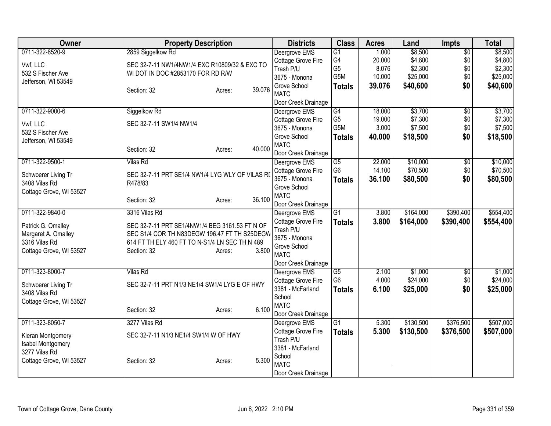| Owner                                | <b>Property Description</b>                     |                  | <b>Districts</b>            | <b>Class</b>    | <b>Acres</b> | Land      | Impts           | <b>Total</b> |
|--------------------------------------|-------------------------------------------------|------------------|-----------------------------|-----------------|--------------|-----------|-----------------|--------------|
| 0711-322-8520-9                      | 2859 Siggelkow Rd                               |                  | Deergrove EMS               | G1              | 1.000        | \$8,500   | $\overline{50}$ | \$8,500      |
| Vwf, LLC                             | SEC 32-7-11 NW1/4NW1/4 EXC R10809/32 & EXC TO   |                  | Cottage Grove Fire          | G4              | 20.000       | \$4,800   | \$0             | \$4,800      |
| 532 S Fischer Ave                    | WI DOT IN DOC #2853170 FOR RD R/W               |                  | Trash P/U                   | G <sub>5</sub>  | 8.076        | \$2,300   | \$0             | \$2,300      |
| Jefferson, WI 53549                  |                                                 |                  | 3675 - Monona               | G5M             | 10.000       | \$25,000  | \$0             | \$25,000     |
|                                      | Section: 32                                     | 39.076<br>Acres: | Grove School<br><b>MATC</b> | <b>Totals</b>   | 39.076       | \$40,600  | \$0             | \$40,600     |
|                                      |                                                 |                  | Door Creek Drainage         |                 |              |           |                 |              |
| 0711-322-9000-6                      | Siggelkow Rd                                    |                  | Deergrove EMS               | G4              | 18.000       | \$3,700   | $\overline{50}$ | \$3,700      |
|                                      |                                                 |                  | Cottage Grove Fire          | G <sub>5</sub>  | 19.000       | \$7,300   | \$0             | \$7,300      |
| Vwf, LLC                             | SEC 32-7-11 SW1/4 NW1/4                         |                  | 3675 - Monona               | G5M             | 3.000        | \$7,500   | \$0             | \$7,500      |
| 532 S Fischer Ave                    |                                                 |                  | Grove School                | <b>Totals</b>   | 40.000       | \$18,500  | \$0             | \$18,500     |
| Jefferson, WI 53549                  |                                                 |                  | <b>MATC</b>                 |                 |              |           |                 |              |
|                                      | Section: 32                                     | 40.000<br>Acres: | Door Creek Drainage         |                 |              |           |                 |              |
| 0711-322-9500-1                      | <b>Vilas Rd</b>                                 |                  | Deergrove EMS               | G5              | 22.000       | \$10,000  | $\overline{50}$ | \$10,000     |
|                                      |                                                 |                  | Cottage Grove Fire          | G <sub>6</sub>  | 14.100       | \$70,500  | \$0             | \$70,500     |
| Schwoerer Living Tr<br>3408 Vilas Rd | SEC 32-7-11 PRT SE1/4 NW1/4 LYG WLY OF VILAS RI |                  | 3675 - Monona               | <b>Totals</b>   | 36.100       | \$80,500  | \$0             | \$80,500     |
| Cottage Grove, WI 53527              | R478/83                                         |                  | Grove School                |                 |              |           |                 |              |
|                                      | Section: 32                                     | 36.100<br>Acres: | <b>MATC</b>                 |                 |              |           |                 |              |
|                                      |                                                 |                  | Door Creek Drainage         |                 |              |           |                 |              |
| 0711-322-9840-0                      | 3316 Vilas Rd                                   |                  | Deergrove EMS               | $\overline{G1}$ | 3.800        | \$164,000 | \$390,400       | \$554,400    |
| Patrick G. Omalley                   | SEC 32-7-11 PRT SE1/4NW1/4 BEG 3161.53 FT N OF  |                  | Cottage Grove Fire          | <b>Totals</b>   | 3.800        | \$164,000 | \$390,400       | \$554,400    |
| Margaret A. Omalley                  | SEC S1/4 COR TH N83DEGW 196.47 FT TH S25DEGW    |                  | Trash P/U                   |                 |              |           |                 |              |
| 3316 Vilas Rd                        | 614 FT TH ELY 460 FT TO N-S1/4 LN SEC TH N 489  |                  | 3675 - Monona               |                 |              |           |                 |              |
| Cottage Grove, WI 53527              | Section: 32                                     | 3.800<br>Acres:  | Grove School<br><b>MATC</b> |                 |              |           |                 |              |
|                                      |                                                 |                  | Door Creek Drainage         |                 |              |           |                 |              |
| 0711-323-8000-7                      | <b>Vilas Rd</b>                                 |                  | Deergrove EMS               | $\overline{G5}$ | 2.100        | \$1,000   | $\overline{50}$ | \$1,000      |
|                                      |                                                 |                  | Cottage Grove Fire          | G <sub>6</sub>  | 4.000        | \$24,000  | \$0             | \$24,000     |
| Schwoerer Living Tr                  | SEC 32-7-11 PRT N1/3 NE1/4 SW1/4 LYG E OF HWY   |                  | 3381 - McFarland            | <b>Totals</b>   | 6.100        | \$25,000  | \$0             | \$25,000     |
| 3408 Vilas Rd                        |                                                 |                  | School                      |                 |              |           |                 |              |
| Cottage Grove, WI 53527              |                                                 |                  | <b>MATC</b>                 |                 |              |           |                 |              |
|                                      | Section: 32                                     | 6.100<br>Acres:  | Door Creek Drainage         |                 |              |           |                 |              |
| 0711-323-8050-7                      | 3277 Vilas Rd                                   |                  | Deergrove EMS               | G1              | 5.300        | \$130,500 | \$376,500       | \$507,000    |
| Kieran Montgomery                    | SEC 32-7-11 N1/3 NE1/4 SW1/4 W OF HWY           |                  | Cottage Grove Fire          | <b>Totals</b>   | 5.300        | \$130,500 | \$376,500       | \$507,000    |
| Isabel Montgomery                    |                                                 |                  | Trash P/U                   |                 |              |           |                 |              |
| 3277 Vilas Rd                        |                                                 |                  | 3381 - McFarland            |                 |              |           |                 |              |
| Cottage Grove, WI 53527              | Section: 32                                     | 5.300<br>Acres:  | School                      |                 |              |           |                 |              |
|                                      |                                                 |                  | <b>MATC</b>                 |                 |              |           |                 |              |
|                                      |                                                 |                  | Door Creek Drainage         |                 |              |           |                 |              |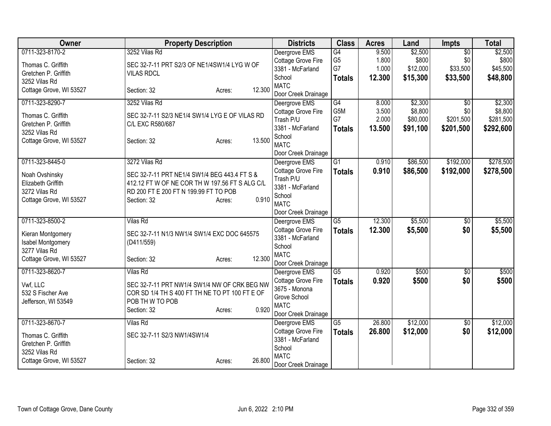| 3252 Vilas Rd<br>G4<br>9.500<br>\$2,500<br>$\overline{50}$<br>\$2,500<br>Deergrove EMS<br>G <sub>5</sub><br>1.800<br>\$800<br>\$0<br>\$800<br>Cottage Grove Fire<br>Thomas C. Griffith<br>SEC 32-7-11 PRT S2/3 OF NE1/4SW1/4 LYG W OF<br>G7<br>1.000<br>\$33,500<br>\$45,500<br>\$12,000<br>3381 - McFarland<br>Gretchen P. Griffith<br><b>VILAS RDCL</b><br>School<br>12.300<br>\$15,300<br>\$33,500<br><b>Totals</b><br>3252 Vilas Rd<br><b>MATC</b><br>12.300<br>Cottage Grove, WI 53527<br>Section: 32<br>Acres:<br>Door Creek Drainage<br>\$2,300<br>0711-323-8290-7<br>3252 Vilas Rd<br>G4<br>\$2,300<br>$\overline{50}$<br>8.000<br>Deergrove EMS<br>G5M<br>\$8,800<br>3.500<br>\$0<br>Cottage Grove Fire<br>Thomas C. Griffith<br>SEC 32-7-11 S2/3 NE1/4 SW1/4 LYG E OF VILAS RD<br>G7<br>2.000<br>\$80,000<br>\$201,500<br>Trash P/U<br>Gretchen P. Griffith<br>C/L EXC R580/687<br>3381 - McFarland<br>13.500<br>\$91,100<br>\$201,500<br><b>Totals</b><br>3252 Vilas Rd<br>School<br>13.500<br>Cottage Grove, WI 53527<br>Section: 32<br>Acres:<br><b>MATC</b><br>Door Creek Drainage<br>0711-323-8445-0<br>G <sub>1</sub><br>\$86,500<br>\$192,000<br>3272 Vilas Rd<br>Deergrove EMS<br>0.910<br>Cottage Grove Fire<br>0.910<br>\$86,500<br>\$192,000<br><b>Totals</b><br>SEC 32-7-11 PRT NE1/4 SW1/4 BEG 443.4 FT S &<br>Noah Ovshinsky<br>Trash P/U<br>412.12 FT W OF NE COR TH W 197.56 FT S ALG C/L<br>Elizabeth Griffith<br>3381 - McFarland<br>3272 Vilas Rd<br>RD 200 FT E 200 FT N 199.99 FT TO POB<br>School<br>0.910<br>Cottage Grove, WI 53527<br>Section: 32<br>Acres:<br><b>MATC</b><br>Door Creek Drainage<br>0711-323-8500-2<br>12.300<br>\$5,500<br>$\overline{G5}$<br><b>Vilas Rd</b><br>Deergrove EMS<br>$\overline{50}$<br>Cottage Grove Fire<br>12.300<br>\$5,500<br>\$0<br><b>Totals</b><br>SEC 32-7-11 N1/3 NW1/4 SW1/4 EXC DOC 645575<br>Kieran Montgomery<br>3381 - McFarland<br>Isabel Montgomery<br>(D411/559)<br>School<br>3277 Vilas Rd<br><b>MATC</b><br>12.300<br>Cottage Grove, WI 53527<br>Section: 32<br>Acres:<br>Door Creek Drainage<br>0711-323-8620-7<br>$\overline{\text{G5}}$<br>\$500<br>\$500<br><b>Vilas Rd</b><br>0.920<br>$\overline{50}$<br>Deergrove EMS<br>Cottage Grove Fire<br>0.920<br>\$500<br>\$0<br><b>Totals</b><br>Vwf, LLC<br>SEC 32-7-11 PRT NW1/4 SW1/4 NW OF CRK BEG NW<br>3675 - Monona<br>532 S Fischer Ave<br>COR SD 1/4 TH S 400 FT TH NE TO PT 100 FT E OF<br>Grove School<br>POB TH W TO POB<br>Jefferson, WI 53549<br><b>MATC</b><br>0.920<br>Section: 32<br>Acres:<br>Door Creek Drainage<br>0711-323-8670-7<br>26.800<br>\$12,000<br>G5<br>\$0<br><b>Vilas Rd</b><br>Deergrove EMS<br>Cottage Grove Fire<br>\$0<br>26.800<br>\$12,000<br><b>Totals</b><br>Thomas C. Griffith<br>SEC 32-7-11 S2/3 NW1/4SW1/4<br>3381 - McFarland<br>Gretchen P. Griffith<br>School<br>3252 Vilas Rd<br><b>MATC</b><br>26,800<br>Cottage Grove, WI 53527<br>Section: 32<br>Acres: | <b>Owner</b>    | <b>Property Description</b> | <b>Districts</b>    | <b>Class</b> | <b>Acres</b> | Land | Impts | <b>Total</b> |
|-------------------------------------------------------------------------------------------------------------------------------------------------------------------------------------------------------------------------------------------------------------------------------------------------------------------------------------------------------------------------------------------------------------------------------------------------------------------------------------------------------------------------------------------------------------------------------------------------------------------------------------------------------------------------------------------------------------------------------------------------------------------------------------------------------------------------------------------------------------------------------------------------------------------------------------------------------------------------------------------------------------------------------------------------------------------------------------------------------------------------------------------------------------------------------------------------------------------------------------------------------------------------------------------------------------------------------------------------------------------------------------------------------------------------------------------------------------------------------------------------------------------------------------------------------------------------------------------------------------------------------------------------------------------------------------------------------------------------------------------------------------------------------------------------------------------------------------------------------------------------------------------------------------------------------------------------------------------------------------------------------------------------------------------------------------------------------------------------------------------------------------------------------------------------------------------------------------------------------------------------------------------------------------------------------------------------------------------------------------------------------------------------------------------------------------------------------------------------------------------------------------------------------------------------------------------------------------------------------------------------------------------------------------------------------------------------------------------------------------------------------------------------------------------------------------------------------------------------------------------------------------------------------------------------------------------------|-----------------|-----------------------------|---------------------|--------------|--------------|------|-------|--------------|
|                                                                                                                                                                                                                                                                                                                                                                                                                                                                                                                                                                                                                                                                                                                                                                                                                                                                                                                                                                                                                                                                                                                                                                                                                                                                                                                                                                                                                                                                                                                                                                                                                                                                                                                                                                                                                                                                                                                                                                                                                                                                                                                                                                                                                                                                                                                                                                                                                                                                                                                                                                                                                                                                                                                                                                                                                                                                                                                                                 | 0711-323-8170-2 |                             |                     |              |              |      |       |              |
| \$48,800                                                                                                                                                                                                                                                                                                                                                                                                                                                                                                                                                                                                                                                                                                                                                                                                                                                                                                                                                                                                                                                                                                                                                                                                                                                                                                                                                                                                                                                                                                                                                                                                                                                                                                                                                                                                                                                                                                                                                                                                                                                                                                                                                                                                                                                                                                                                                                                                                                                                                                                                                                                                                                                                                                                                                                                                                                                                                                                                        |                 |                             |                     |              |              |      |       |              |
|                                                                                                                                                                                                                                                                                                                                                                                                                                                                                                                                                                                                                                                                                                                                                                                                                                                                                                                                                                                                                                                                                                                                                                                                                                                                                                                                                                                                                                                                                                                                                                                                                                                                                                                                                                                                                                                                                                                                                                                                                                                                                                                                                                                                                                                                                                                                                                                                                                                                                                                                                                                                                                                                                                                                                                                                                                                                                                                                                 |                 |                             |                     |              |              |      |       |              |
|                                                                                                                                                                                                                                                                                                                                                                                                                                                                                                                                                                                                                                                                                                                                                                                                                                                                                                                                                                                                                                                                                                                                                                                                                                                                                                                                                                                                                                                                                                                                                                                                                                                                                                                                                                                                                                                                                                                                                                                                                                                                                                                                                                                                                                                                                                                                                                                                                                                                                                                                                                                                                                                                                                                                                                                                                                                                                                                                                 |                 |                             |                     |              |              |      |       |              |
| \$8,800<br>\$281,500<br>\$292,600<br>\$278,500<br>\$5,500<br>\$5,500<br>\$12,000                                                                                                                                                                                                                                                                                                                                                                                                                                                                                                                                                                                                                                                                                                                                                                                                                                                                                                                                                                                                                                                                                                                                                                                                                                                                                                                                                                                                                                                                                                                                                                                                                                                                                                                                                                                                                                                                                                                                                                                                                                                                                                                                                                                                                                                                                                                                                                                                                                                                                                                                                                                                                                                                                                                                                                                                                                                                |                 |                             |                     |              |              |      |       |              |
|                                                                                                                                                                                                                                                                                                                                                                                                                                                                                                                                                                                                                                                                                                                                                                                                                                                                                                                                                                                                                                                                                                                                                                                                                                                                                                                                                                                                                                                                                                                                                                                                                                                                                                                                                                                                                                                                                                                                                                                                                                                                                                                                                                                                                                                                                                                                                                                                                                                                                                                                                                                                                                                                                                                                                                                                                                                                                                                                                 |                 |                             |                     |              |              |      |       |              |
|                                                                                                                                                                                                                                                                                                                                                                                                                                                                                                                                                                                                                                                                                                                                                                                                                                                                                                                                                                                                                                                                                                                                                                                                                                                                                                                                                                                                                                                                                                                                                                                                                                                                                                                                                                                                                                                                                                                                                                                                                                                                                                                                                                                                                                                                                                                                                                                                                                                                                                                                                                                                                                                                                                                                                                                                                                                                                                                                                 |                 |                             |                     |              |              |      |       |              |
|                                                                                                                                                                                                                                                                                                                                                                                                                                                                                                                                                                                                                                                                                                                                                                                                                                                                                                                                                                                                                                                                                                                                                                                                                                                                                                                                                                                                                                                                                                                                                                                                                                                                                                                                                                                                                                                                                                                                                                                                                                                                                                                                                                                                                                                                                                                                                                                                                                                                                                                                                                                                                                                                                                                                                                                                                                                                                                                                                 |                 |                             |                     |              |              |      |       |              |
|                                                                                                                                                                                                                                                                                                                                                                                                                                                                                                                                                                                                                                                                                                                                                                                                                                                                                                                                                                                                                                                                                                                                                                                                                                                                                                                                                                                                                                                                                                                                                                                                                                                                                                                                                                                                                                                                                                                                                                                                                                                                                                                                                                                                                                                                                                                                                                                                                                                                                                                                                                                                                                                                                                                                                                                                                                                                                                                                                 |                 |                             |                     |              |              |      |       |              |
|                                                                                                                                                                                                                                                                                                                                                                                                                                                                                                                                                                                                                                                                                                                                                                                                                                                                                                                                                                                                                                                                                                                                                                                                                                                                                                                                                                                                                                                                                                                                                                                                                                                                                                                                                                                                                                                                                                                                                                                                                                                                                                                                                                                                                                                                                                                                                                                                                                                                                                                                                                                                                                                                                                                                                                                                                                                                                                                                                 |                 |                             |                     |              |              |      |       |              |
|                                                                                                                                                                                                                                                                                                                                                                                                                                                                                                                                                                                                                                                                                                                                                                                                                                                                                                                                                                                                                                                                                                                                                                                                                                                                                                                                                                                                                                                                                                                                                                                                                                                                                                                                                                                                                                                                                                                                                                                                                                                                                                                                                                                                                                                                                                                                                                                                                                                                                                                                                                                                                                                                                                                                                                                                                                                                                                                                                 |                 |                             |                     |              |              |      |       |              |
|                                                                                                                                                                                                                                                                                                                                                                                                                                                                                                                                                                                                                                                                                                                                                                                                                                                                                                                                                                                                                                                                                                                                                                                                                                                                                                                                                                                                                                                                                                                                                                                                                                                                                                                                                                                                                                                                                                                                                                                                                                                                                                                                                                                                                                                                                                                                                                                                                                                                                                                                                                                                                                                                                                                                                                                                                                                                                                                                                 |                 |                             |                     |              |              |      |       |              |
| \$278,500<br>\$500<br>\$12,000                                                                                                                                                                                                                                                                                                                                                                                                                                                                                                                                                                                                                                                                                                                                                                                                                                                                                                                                                                                                                                                                                                                                                                                                                                                                                                                                                                                                                                                                                                                                                                                                                                                                                                                                                                                                                                                                                                                                                                                                                                                                                                                                                                                                                                                                                                                                                                                                                                                                                                                                                                                                                                                                                                                                                                                                                                                                                                                  |                 |                             |                     |              |              |      |       |              |
|                                                                                                                                                                                                                                                                                                                                                                                                                                                                                                                                                                                                                                                                                                                                                                                                                                                                                                                                                                                                                                                                                                                                                                                                                                                                                                                                                                                                                                                                                                                                                                                                                                                                                                                                                                                                                                                                                                                                                                                                                                                                                                                                                                                                                                                                                                                                                                                                                                                                                                                                                                                                                                                                                                                                                                                                                                                                                                                                                 |                 |                             |                     |              |              |      |       |              |
|                                                                                                                                                                                                                                                                                                                                                                                                                                                                                                                                                                                                                                                                                                                                                                                                                                                                                                                                                                                                                                                                                                                                                                                                                                                                                                                                                                                                                                                                                                                                                                                                                                                                                                                                                                                                                                                                                                                                                                                                                                                                                                                                                                                                                                                                                                                                                                                                                                                                                                                                                                                                                                                                                                                                                                                                                                                                                                                                                 |                 |                             |                     |              |              |      |       |              |
|                                                                                                                                                                                                                                                                                                                                                                                                                                                                                                                                                                                                                                                                                                                                                                                                                                                                                                                                                                                                                                                                                                                                                                                                                                                                                                                                                                                                                                                                                                                                                                                                                                                                                                                                                                                                                                                                                                                                                                                                                                                                                                                                                                                                                                                                                                                                                                                                                                                                                                                                                                                                                                                                                                                                                                                                                                                                                                                                                 |                 |                             |                     |              |              |      |       |              |
|                                                                                                                                                                                                                                                                                                                                                                                                                                                                                                                                                                                                                                                                                                                                                                                                                                                                                                                                                                                                                                                                                                                                                                                                                                                                                                                                                                                                                                                                                                                                                                                                                                                                                                                                                                                                                                                                                                                                                                                                                                                                                                                                                                                                                                                                                                                                                                                                                                                                                                                                                                                                                                                                                                                                                                                                                                                                                                                                                 |                 |                             |                     |              |              |      |       |              |
|                                                                                                                                                                                                                                                                                                                                                                                                                                                                                                                                                                                                                                                                                                                                                                                                                                                                                                                                                                                                                                                                                                                                                                                                                                                                                                                                                                                                                                                                                                                                                                                                                                                                                                                                                                                                                                                                                                                                                                                                                                                                                                                                                                                                                                                                                                                                                                                                                                                                                                                                                                                                                                                                                                                                                                                                                                                                                                                                                 |                 |                             |                     |              |              |      |       |              |
|                                                                                                                                                                                                                                                                                                                                                                                                                                                                                                                                                                                                                                                                                                                                                                                                                                                                                                                                                                                                                                                                                                                                                                                                                                                                                                                                                                                                                                                                                                                                                                                                                                                                                                                                                                                                                                                                                                                                                                                                                                                                                                                                                                                                                                                                                                                                                                                                                                                                                                                                                                                                                                                                                                                                                                                                                                                                                                                                                 |                 |                             |                     |              |              |      |       |              |
|                                                                                                                                                                                                                                                                                                                                                                                                                                                                                                                                                                                                                                                                                                                                                                                                                                                                                                                                                                                                                                                                                                                                                                                                                                                                                                                                                                                                                                                                                                                                                                                                                                                                                                                                                                                                                                                                                                                                                                                                                                                                                                                                                                                                                                                                                                                                                                                                                                                                                                                                                                                                                                                                                                                                                                                                                                                                                                                                                 |                 |                             |                     |              |              |      |       |              |
|                                                                                                                                                                                                                                                                                                                                                                                                                                                                                                                                                                                                                                                                                                                                                                                                                                                                                                                                                                                                                                                                                                                                                                                                                                                                                                                                                                                                                                                                                                                                                                                                                                                                                                                                                                                                                                                                                                                                                                                                                                                                                                                                                                                                                                                                                                                                                                                                                                                                                                                                                                                                                                                                                                                                                                                                                                                                                                                                                 |                 |                             |                     |              |              |      |       |              |
|                                                                                                                                                                                                                                                                                                                                                                                                                                                                                                                                                                                                                                                                                                                                                                                                                                                                                                                                                                                                                                                                                                                                                                                                                                                                                                                                                                                                                                                                                                                                                                                                                                                                                                                                                                                                                                                                                                                                                                                                                                                                                                                                                                                                                                                                                                                                                                                                                                                                                                                                                                                                                                                                                                                                                                                                                                                                                                                                                 |                 |                             |                     |              |              |      |       |              |
|                                                                                                                                                                                                                                                                                                                                                                                                                                                                                                                                                                                                                                                                                                                                                                                                                                                                                                                                                                                                                                                                                                                                                                                                                                                                                                                                                                                                                                                                                                                                                                                                                                                                                                                                                                                                                                                                                                                                                                                                                                                                                                                                                                                                                                                                                                                                                                                                                                                                                                                                                                                                                                                                                                                                                                                                                                                                                                                                                 |                 |                             |                     |              |              |      |       |              |
|                                                                                                                                                                                                                                                                                                                                                                                                                                                                                                                                                                                                                                                                                                                                                                                                                                                                                                                                                                                                                                                                                                                                                                                                                                                                                                                                                                                                                                                                                                                                                                                                                                                                                                                                                                                                                                                                                                                                                                                                                                                                                                                                                                                                                                                                                                                                                                                                                                                                                                                                                                                                                                                                                                                                                                                                                                                                                                                                                 |                 |                             |                     |              |              |      |       |              |
|                                                                                                                                                                                                                                                                                                                                                                                                                                                                                                                                                                                                                                                                                                                                                                                                                                                                                                                                                                                                                                                                                                                                                                                                                                                                                                                                                                                                                                                                                                                                                                                                                                                                                                                                                                                                                                                                                                                                                                                                                                                                                                                                                                                                                                                                                                                                                                                                                                                                                                                                                                                                                                                                                                                                                                                                                                                                                                                                                 |                 |                             |                     |              |              |      |       |              |
|                                                                                                                                                                                                                                                                                                                                                                                                                                                                                                                                                                                                                                                                                                                                                                                                                                                                                                                                                                                                                                                                                                                                                                                                                                                                                                                                                                                                                                                                                                                                                                                                                                                                                                                                                                                                                                                                                                                                                                                                                                                                                                                                                                                                                                                                                                                                                                                                                                                                                                                                                                                                                                                                                                                                                                                                                                                                                                                                                 |                 |                             |                     |              |              |      |       |              |
|                                                                                                                                                                                                                                                                                                                                                                                                                                                                                                                                                                                                                                                                                                                                                                                                                                                                                                                                                                                                                                                                                                                                                                                                                                                                                                                                                                                                                                                                                                                                                                                                                                                                                                                                                                                                                                                                                                                                                                                                                                                                                                                                                                                                                                                                                                                                                                                                                                                                                                                                                                                                                                                                                                                                                                                                                                                                                                                                                 |                 |                             |                     |              |              |      |       |              |
|                                                                                                                                                                                                                                                                                                                                                                                                                                                                                                                                                                                                                                                                                                                                                                                                                                                                                                                                                                                                                                                                                                                                                                                                                                                                                                                                                                                                                                                                                                                                                                                                                                                                                                                                                                                                                                                                                                                                                                                                                                                                                                                                                                                                                                                                                                                                                                                                                                                                                                                                                                                                                                                                                                                                                                                                                                                                                                                                                 |                 |                             |                     |              |              |      |       |              |
|                                                                                                                                                                                                                                                                                                                                                                                                                                                                                                                                                                                                                                                                                                                                                                                                                                                                                                                                                                                                                                                                                                                                                                                                                                                                                                                                                                                                                                                                                                                                                                                                                                                                                                                                                                                                                                                                                                                                                                                                                                                                                                                                                                                                                                                                                                                                                                                                                                                                                                                                                                                                                                                                                                                                                                                                                                                                                                                                                 |                 |                             |                     |              |              |      |       |              |
|                                                                                                                                                                                                                                                                                                                                                                                                                                                                                                                                                                                                                                                                                                                                                                                                                                                                                                                                                                                                                                                                                                                                                                                                                                                                                                                                                                                                                                                                                                                                                                                                                                                                                                                                                                                                                                                                                                                                                                                                                                                                                                                                                                                                                                                                                                                                                                                                                                                                                                                                                                                                                                                                                                                                                                                                                                                                                                                                                 |                 |                             |                     |              |              |      |       |              |
|                                                                                                                                                                                                                                                                                                                                                                                                                                                                                                                                                                                                                                                                                                                                                                                                                                                                                                                                                                                                                                                                                                                                                                                                                                                                                                                                                                                                                                                                                                                                                                                                                                                                                                                                                                                                                                                                                                                                                                                                                                                                                                                                                                                                                                                                                                                                                                                                                                                                                                                                                                                                                                                                                                                                                                                                                                                                                                                                                 |                 |                             |                     |              |              |      |       |              |
|                                                                                                                                                                                                                                                                                                                                                                                                                                                                                                                                                                                                                                                                                                                                                                                                                                                                                                                                                                                                                                                                                                                                                                                                                                                                                                                                                                                                                                                                                                                                                                                                                                                                                                                                                                                                                                                                                                                                                                                                                                                                                                                                                                                                                                                                                                                                                                                                                                                                                                                                                                                                                                                                                                                                                                                                                                                                                                                                                 |                 |                             |                     |              |              |      |       |              |
|                                                                                                                                                                                                                                                                                                                                                                                                                                                                                                                                                                                                                                                                                                                                                                                                                                                                                                                                                                                                                                                                                                                                                                                                                                                                                                                                                                                                                                                                                                                                                                                                                                                                                                                                                                                                                                                                                                                                                                                                                                                                                                                                                                                                                                                                                                                                                                                                                                                                                                                                                                                                                                                                                                                                                                                                                                                                                                                                                 |                 |                             |                     |              |              |      |       |              |
|                                                                                                                                                                                                                                                                                                                                                                                                                                                                                                                                                                                                                                                                                                                                                                                                                                                                                                                                                                                                                                                                                                                                                                                                                                                                                                                                                                                                                                                                                                                                                                                                                                                                                                                                                                                                                                                                                                                                                                                                                                                                                                                                                                                                                                                                                                                                                                                                                                                                                                                                                                                                                                                                                                                                                                                                                                                                                                                                                 |                 |                             |                     |              |              |      |       |              |
|                                                                                                                                                                                                                                                                                                                                                                                                                                                                                                                                                                                                                                                                                                                                                                                                                                                                                                                                                                                                                                                                                                                                                                                                                                                                                                                                                                                                                                                                                                                                                                                                                                                                                                                                                                                                                                                                                                                                                                                                                                                                                                                                                                                                                                                                                                                                                                                                                                                                                                                                                                                                                                                                                                                                                                                                                                                                                                                                                 |                 |                             |                     |              |              |      |       |              |
|                                                                                                                                                                                                                                                                                                                                                                                                                                                                                                                                                                                                                                                                                                                                                                                                                                                                                                                                                                                                                                                                                                                                                                                                                                                                                                                                                                                                                                                                                                                                                                                                                                                                                                                                                                                                                                                                                                                                                                                                                                                                                                                                                                                                                                                                                                                                                                                                                                                                                                                                                                                                                                                                                                                                                                                                                                                                                                                                                 |                 |                             | Door Creek Drainage |              |              |      |       |              |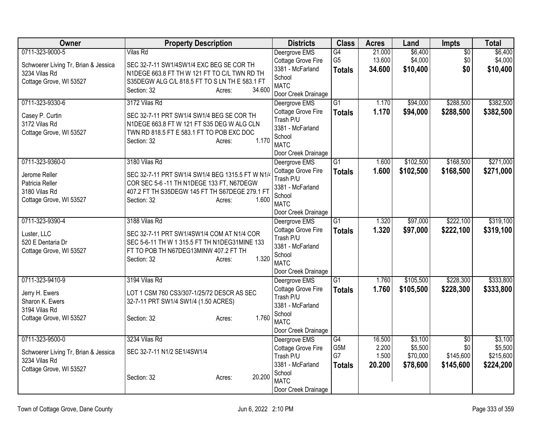| Owner                                | <b>Property Description</b>                                                             |                  | <b>Districts</b>                     | <b>Class</b>    | <b>Acres</b>   | Land      | Impts           | <b>Total</b> |
|--------------------------------------|-----------------------------------------------------------------------------------------|------------------|--------------------------------------|-----------------|----------------|-----------|-----------------|--------------|
| 0711-323-9000-5                      | <b>Vilas Rd</b>                                                                         |                  | Deergrove EMS                        | G4              | 21.000         | \$6,400   | $\overline{50}$ | \$6,400      |
| Schwoerer Living Tr, Brian & Jessica | SEC 32-7-11 SW1/4SW1/4 EXC BEG SE COR TH                                                |                  | Cottage Grove Fire                   | G <sub>5</sub>  | 13.600         | \$4,000   | \$0             | \$4,000      |
| 3234 Vilas Rd                        | N1DEGE 663.8 FT TH W 121 FT TO C/L TWN RD TH                                            |                  | 3381 - McFarland<br>School           | <b>Totals</b>   | 34.600         | \$10,400  | \$0             | \$10,400     |
| Cottage Grove, WI 53527              | S35DEGW ALG C/L 818.5 FT TO S LN TH E 583.1 FT                                          |                  | <b>MATC</b>                          |                 |                |           |                 |              |
|                                      | Section: 32                                                                             | 34.600<br>Acres: | Door Creek Drainage                  |                 |                |           |                 |              |
| 0711-323-9330-6                      | 3172 Vilas Rd                                                                           |                  | Deergrove EMS                        | $\overline{G1}$ | 1.170          | \$94,000  | \$288,500       | \$382,500    |
|                                      |                                                                                         |                  | Cottage Grove Fire                   | <b>Totals</b>   | 1.170          | \$94,000  | \$288,500       | \$382,500    |
| Casey P. Curtin<br>3172 Vilas Rd     | SEC 32-7-11 PRT SW1/4 SW1/4 BEG SE COR TH<br>N1DEGE 663.8 FT W 121 FT S35 DEG W ALG CLN |                  | Trash P/U                            |                 |                |           |                 |              |
| Cottage Grove, WI 53527              | TWN RD 818.5 FT E 583.1 FT TO POB EXC DOC                                               |                  | 3381 - McFarland                     |                 |                |           |                 |              |
|                                      | Section: 32                                                                             | 1.170<br>Acres:  | School                               |                 |                |           |                 |              |
|                                      |                                                                                         |                  | <b>MATC</b>                          |                 |                |           |                 |              |
|                                      |                                                                                         |                  | Door Creek Drainage                  | $\overline{G1}$ |                | \$102,500 | \$168,500       | \$271,000    |
| 0711-323-9360-0                      | 3180 Vilas Rd                                                                           |                  | Deergrove EMS<br>Cottage Grove Fire  |                 | 1.600<br>1.600 | \$102,500 | \$168,500       |              |
| Jerome Reller                        | SEC 32-7-11 PRT SW1/4 SW1/4 BEG 1315.5 FT W N1/4                                        |                  | Trash P/U                            | <b>Totals</b>   |                |           |                 | \$271,000    |
| Patricia Reller                      | COR SEC 5-6-11 TH N1DEGE 133 FT, N67DEGW                                                |                  | 3381 - McFarland                     |                 |                |           |                 |              |
| 3180 Vilas Rd                        | 407.2 FT TH S35DEGW 145 FT TH S67DEGE 279.1 FT                                          |                  | School                               |                 |                |           |                 |              |
| Cottage Grove, WI 53527              | Section: 32                                                                             | 1.600<br>Acres:  | <b>MATC</b>                          |                 |                |           |                 |              |
|                                      |                                                                                         |                  | Door Creek Drainage                  |                 |                |           |                 |              |
| 0711-323-9390-4                      | 3188 Vilas Rd                                                                           |                  | Deergrove EMS                        | $\overline{G1}$ | 1.320          | \$97,000  | \$222,100       | \$319,100    |
| Luster, LLC                          | SEC 32-7-11 PRT SW1/4SW1/4 COM AT N1/4 COR                                              |                  | Cottage Grove Fire                   | <b>Totals</b>   | 1.320          | \$97,000  | \$222,100       | \$319,100    |
| 520 E Dentaria Dr                    | SEC 5-6-11 TH W 1 315.5 FT TH N1DEG31MINE 133                                           |                  | Trash P/U                            |                 |                |           |                 |              |
| Cottage Grove, WI 53527              | FT TO POB TH N67DEG13MINW 407.2 FT TH                                                   |                  | 3381 - McFarland<br>School           |                 |                |           |                 |              |
|                                      | Section: 32                                                                             | 1.320<br>Acres:  | <b>MATC</b>                          |                 |                |           |                 |              |
|                                      |                                                                                         |                  | Door Creek Drainage                  |                 |                |           |                 |              |
| 0711-323-9410-9                      | 3194 Vilas Rd                                                                           |                  | Deergrove EMS                        | $\overline{G1}$ | 1.760          | \$105,500 | \$228,300       | \$333,800    |
|                                      |                                                                                         |                  | Cottage Grove Fire                   | <b>Totals</b>   | 1.760          | \$105,500 | \$228,300       | \$333,800    |
| Jerry H. Ewers<br>Sharon K. Ewers    | LOT 1 CSM 760 CS3/307-1/25/72 DESCR AS SEC<br>32-7-11 PRT SW1/4 SW1/4 (1.50 ACRES)      |                  | Trash P/U                            |                 |                |           |                 |              |
| 3194 Vilas Rd                        |                                                                                         |                  | 3381 - McFarland                     |                 |                |           |                 |              |
| Cottage Grove, WI 53527              | Section: 32                                                                             | 1.760<br>Acres:  | School                               |                 |                |           |                 |              |
|                                      |                                                                                         |                  | <b>MATC</b>                          |                 |                |           |                 |              |
| 0711-323-9500-0                      | 3234 Vilas Rd                                                                           |                  | Door Creek Drainage<br>Deergrove EMS | G4              | 16.500         | \$3,100   | $\overline{50}$ | \$3,100      |
|                                      |                                                                                         |                  | Cottage Grove Fire                   | G5M             | 2.200          | \$5,500   | \$0             | \$5,500      |
| Schwoerer Living Tr, Brian & Jessica | SEC 32-7-11 N1/2 SE1/4SW1/4                                                             |                  | Trash P/U                            | G7              | 1.500          | \$70,000  | \$145,600       | \$215,600    |
| 3234 Vilas Rd                        |                                                                                         |                  | 3381 - McFarland                     | <b>Totals</b>   | 20.200         | \$78,600  | \$145,600       | \$224,200    |
| Cottage Grove, WI 53527              |                                                                                         |                  | School                               |                 |                |           |                 |              |
|                                      | Section: 32                                                                             | 20.200<br>Acres: | <b>MATC</b>                          |                 |                |           |                 |              |
|                                      |                                                                                         |                  | Door Creek Drainage                  |                 |                |           |                 |              |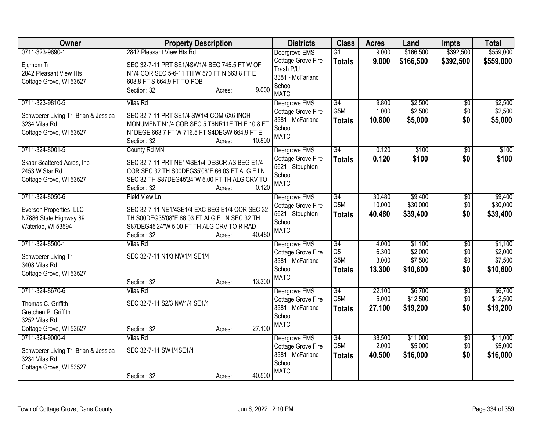| Owner                                                                            | <b>Property Description</b>                                                                                                                                             |        | <b>Districts</b>                                                             | <b>Class</b>                      | <b>Acres</b>     | Land                 | <b>Impts</b>    | <b>Total</b>         |
|----------------------------------------------------------------------------------|-------------------------------------------------------------------------------------------------------------------------------------------------------------------------|--------|------------------------------------------------------------------------------|-----------------------------------|------------------|----------------------|-----------------|----------------------|
| 0711-323-9690-1                                                                  | 2842 Pleasant View Hts Rd                                                                                                                                               |        | Deergrove EMS                                                                | $\overline{G1}$                   | 9.000            | \$166,500            | \$392,500       | \$559,000            |
| Ejcmpm Tr<br>2842 Pleasant View Hts<br>Cottage Grove, WI 53527                   | SEC 32-7-11 PRT SE1/4SW1/4 BEG 745.5 FT W OF<br>N1/4 COR SEC 5-6-11 TH W 570 FT N 663.8 FT E<br>608.8 FT S 664.9 FT TO POB<br>Section: 32<br>Acres:                     | 9.000  | Cottage Grove Fire<br>Trash P/U<br>3381 - McFarland<br>School<br><b>MATC</b> | <b>Totals</b>                     | 9.000            | \$166,500            | \$392,500       | \$559,000            |
| 0711-323-9810-5                                                                  | <b>Vilas Rd</b>                                                                                                                                                         |        | Deergrove EMS                                                                | G4                                | 9.800            | \$2,500              | \$0             | \$2,500              |
| Schwoerer Living Tr, Brian & Jessica<br>3234 Vilas Rd<br>Cottage Grove, WI 53527 | SEC 32-7-11 PRT SE1/4 SW1/4 COM 6X6 INCH<br>MONUMENT N1/4 COR SEC 5 T6NR11E TH E 10.8 FT<br>N1DEGE 663.7 FT W 716.5 FT S4DEGW 664.9 FT E<br>Section: 32<br>Acres:       | 10.800 | Cottage Grove Fire<br>3381 - McFarland<br>School<br><b>MATC</b>              | G5M<br><b>Totals</b>              | 1.000<br>10.800  | \$2,500<br>\$5,000   | \$0<br>\$0      | \$2,500<br>\$5,000   |
| 0711-324-8001-5                                                                  | County Rd MN                                                                                                                                                            |        | Deergrove EMS                                                                | G4                                | 0.120            | \$100                | $\overline{50}$ | \$100                |
| Skaar Scattered Acres, Inc<br>2453 W Star Rd<br>Cottage Grove, WI 53527          | SEC 32-7-11 PRT NE1/4SE1/4 DESCR AS BEG E1/4<br>COR SEC 32 TH S00DEG35'08"E 66.03 FT ALG E LN<br>SEC 32 TH S87DEG45'24"W 5.00 FT TH ALG CRV TO<br>Section: 32<br>Acres: | 0.120  | Cottage Grove Fire<br>5621 - Stoughton<br>School<br><b>MATC</b>              | <b>Totals</b>                     | 0.120            | \$100                | \$0             | \$100                |
| 0711-324-8050-6                                                                  | Field View Ln                                                                                                                                                           |        | Deergrove EMS                                                                | G4                                | 30.480           | \$9,400              | $\overline{50}$ | \$9,400              |
| Everson Properties, LLC<br>N7886 State Highway 89<br>Waterloo, WI 53594          | SEC 32-7-11 NE1/4SE1/4 EXC BEG E1/4 COR SEC 32<br>TH S00DEG35'08"E 66.03 FT ALG E LN SEC 32 TH<br>S87DEG45'24"W 5.00 FT TH ALG CRV TO R RAD<br>Section: 32<br>Acres:    | 40.480 | Cottage Grove Fire<br>5621 - Stoughton<br>School<br><b>MATC</b>              | G5M<br><b>Totals</b>              | 10.000<br>40.480 | \$30,000<br>\$39,400 | \$0<br>\$0      | \$30,000<br>\$39,400 |
| 0711-324-8500-1                                                                  | <b>Vilas Rd</b>                                                                                                                                                         |        | Deergrove EMS                                                                | G4                                | 4.000            | \$1,100              | \$0             | \$1,100              |
| Schwoerer Living Tr                                                              | SEC 32-7-11 N1/3 NW1/4 SE1/4                                                                                                                                            |        | Cottage Grove Fire                                                           | G <sub>5</sub>                    | 6.300            | \$2,000              | \$0             | \$2,000              |
| 3408 Vilas Rd                                                                    |                                                                                                                                                                         |        | 3381 - McFarland<br>School                                                   | G <sub>5</sub> M<br><b>Totals</b> | 3.000<br>13.300  | \$7,500<br>\$10,600  | \$0<br>\$0      | \$7,500<br>\$10,600  |
| Cottage Grove, WI 53527                                                          |                                                                                                                                                                         |        | <b>MATC</b>                                                                  |                                   |                  |                      |                 |                      |
| 0711-324-8670-6                                                                  | Section: 32<br>Acres:<br><b>Vilas Rd</b>                                                                                                                                | 13.300 |                                                                              | G4                                | 22.100           | \$6,700              | \$0             | \$6,700              |
|                                                                                  |                                                                                                                                                                         |        | Deergrove EMS<br>Cottage Grove Fire                                          | G5M                               | 5.000            | \$12,500             | \$0             | \$12,500             |
| Thomas C. Griffith<br>Gretchen P. Griffith                                       | SEC 32-7-11 S2/3 NW1/4 SE1/4                                                                                                                                            |        | 3381 - McFarland                                                             | <b>Totals</b>                     | 27.100           | \$19,200             | \$0             | \$19,200             |
| 3252 Vilas Rd                                                                    |                                                                                                                                                                         |        | School                                                                       |                                   |                  |                      |                 |                      |
| Cottage Grove, WI 53527                                                          | Section: 32<br>Acres:                                                                                                                                                   | 27.100 | <b>MATC</b>                                                                  |                                   |                  |                      |                 |                      |
| 0711-324-9000-4                                                                  | <b>Vilas Rd</b>                                                                                                                                                         |        | Deergrove EMS                                                                | $\overline{G4}$                   | 38.500           | \$11,000             | \$0             | \$11,000             |
| Schwoerer Living Tr, Brian & Jessica<br>3234 Vilas Rd<br>Cottage Grove, WI 53527 | SEC 32-7-11 SW1/4SE1/4                                                                                                                                                  |        | Cottage Grove Fire<br>3381 - McFarland<br>School                             | G5M<br><b>Totals</b>              | 2.000<br>40.500  | \$5,000<br>\$16,000  | \$0<br>\$0      | \$5,000<br>\$16,000  |
|                                                                                  | Section: 32<br>Acres:                                                                                                                                                   | 40.500 | <b>MATC</b>                                                                  |                                   |                  |                      |                 |                      |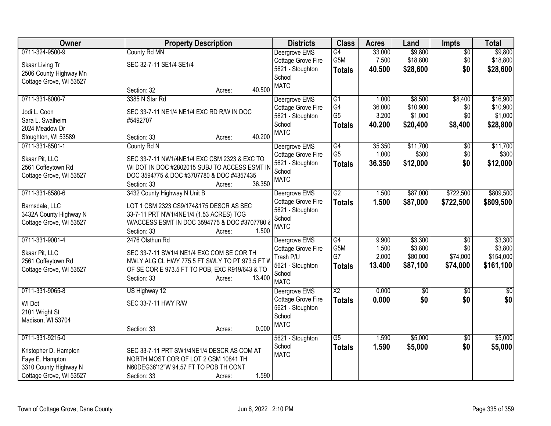| <b>Owner</b>            | <b>Property Description</b>                    | <b>Districts</b>             | <b>Class</b>           | <b>Acres</b> | Land     | <b>Impts</b>    | <b>Total</b> |
|-------------------------|------------------------------------------------|------------------------------|------------------------|--------------|----------|-----------------|--------------|
| 0711-324-9500-9         | County Rd MN                                   | Deergrove EMS                | G4                     | 33.000       | \$9,800  | $\overline{50}$ | \$9,800      |
| Skaar Living Tr         | SEC 32-7-11 SE1/4 SE1/4                        | Cottage Grove Fire           | G5M                    | 7.500        | \$18,800 | \$0             | \$18,800     |
| 2506 County Highway Mn  |                                                | 5621 - Stoughton             | <b>Totals</b>          | 40.500       | \$28,600 | \$0             | \$28,600     |
| Cottage Grove, WI 53527 |                                                | School                       |                        |              |          |                 |              |
|                         | 40.500<br>Section: 32<br>Acres:                | <b>MATC</b>                  |                        |              |          |                 |              |
| 0711-331-8000-7         | 3385 N Star Rd                                 | Deergrove EMS                | G1                     | 1.000        | \$8,500  | \$8,400         | \$16,900     |
| Jodi L. Coon            | SEC 33-7-11 NE1/4 NE1/4 EXC RD R/W IN DOC      | Cottage Grove Fire           | G4                     | 36.000       | \$10,900 | \$0             | \$10,900     |
| Sara L. Swalheim        | #5492707                                       | 5621 - Stoughton             | G <sub>5</sub>         | 3.200        | \$1,000  | \$0             | \$1,000      |
| 2024 Meadow Dr          |                                                | School                       | <b>Totals</b>          | 40.200       | \$20,400 | \$8,400         | \$28,800     |
| Stoughton, WI 53589     | 40.200<br>Section: 33<br>Acres:                | <b>MATC</b>                  |                        |              |          |                 |              |
| 0711-331-8501-1         | County Rd N                                    | Deergrove EMS                | $\overline{G4}$        | 35.350       | \$11,700 | $\overline{50}$ | \$11,700     |
| Skaar Pit, LLC          | SEC 33-7-11 NW1/4NE1/4 EXC CSM 2323 & EXC TO   | Cottage Grove Fire           | G <sub>5</sub>         | 1.000        | \$300    | \$0             | \$300        |
| 2561 Coffeytown Rd      | WI DOT IN DOC #2802015 SUBJ TO ACCESS ESMT IN  | 5621 - Stoughton             | <b>Totals</b>          | 36.350       | \$12,000 | \$0             | \$12,000     |
| Cottage Grove, WI 53527 | DOC 3594775 & DOC #3707780 & DOC #4357435      | School                       |                        |              |          |                 |              |
|                         | 36.350<br>Section: 33<br>Acres:                | <b>MATC</b>                  |                        |              |          |                 |              |
| 0711-331-8580-6         | 3432 County Highway N Unit B                   | Deergrove EMS                | $\overline{G2}$        | 1.500        | \$87,000 | \$722,500       | \$809,500    |
| Barnsdale, LLC          | LOT 1 CSM 2323 CS9/174&175 DESCR AS SEC        | Cottage Grove Fire           | <b>Totals</b>          | 1.500        | \$87,000 | \$722,500       | \$809,500    |
| 3432A County Highway N  | 33-7-11 PRT NW1/4NE1/4 (1.53 ACRES) TOG        | 5621 - Stoughton             |                        |              |          |                 |              |
| Cottage Grove, WI 53527 | W/ACCESS ESMT IN DOC 3594775 & DOC #3707780 8  | School                       |                        |              |          |                 |              |
|                         | Section: 33<br>1.500<br>Acres:                 | <b>MATC</b>                  |                        |              |          |                 |              |
| 0711-331-9001-4         | 2476 Ofsthun Rd                                | Deergrove EMS                | G4                     | 9.900        | \$3,300  | $\sqrt[6]{}$    | \$3,300      |
| Skaar Pit, LLC          | SEC 33-7-11 SW1/4 NE1/4 EXC COM SE COR TH      | Cottage Grove Fire           | G5M                    | 1.500        | \$3,800  | \$0             | \$3,800      |
| 2561 Coffeytown Rd      | NWLY ALG CL HWY 775.5 FT SWLY TO PT 973.5 FT V | Trash P/U                    | G7                     | 2.000        | \$80,000 | \$74,000        | \$154,000    |
| Cottage Grove, WI 53527 | OF SE COR E 973.5 FT TO POB, EXC R919/643 & TO | 5621 - Stoughton             | <b>Totals</b>          | 13.400       | \$87,100 | \$74,000        | \$161,100    |
|                         | Section: 33<br>13.400<br>Acres:                | School                       |                        |              |          |                 |              |
| 0711-331-9065-8         | US Highway 12                                  | <b>MATC</b><br>Deergrove EMS | $\overline{\text{X2}}$ | 0.000        | \$0      | \$0             | \$0          |
|                         |                                                | <b>Cottage Grove Fire</b>    | <b>Totals</b>          | 0.000        | \$0      | \$0             | \$0          |
| WI Dot                  | SEC 33-7-11 HWY R/W                            | 5621 - Stoughton             |                        |              |          |                 |              |
| 2101 Wright St          |                                                | School                       |                        |              |          |                 |              |
| Madison, WI 53704       |                                                | <b>MATC</b>                  |                        |              |          |                 |              |
|                         | 0.000<br>Section: 33<br>Acres:                 |                              |                        |              |          |                 |              |
| 0711-331-9215-0         |                                                | 5621 - Stoughton             | $\overline{G5}$        | 1.590        | \$5,000  | $\overline{50}$ | \$5,000      |
| Kristopher D. Hampton   | SEC 33-7-11 PRT SW1/4NE1/4 DESCR AS COM AT     | School                       | <b>Totals</b>          | 1.590        | \$5,000  | \$0             | \$5,000      |
| Faye E. Hampton         | NORTH MOST COR OF LOT 2 CSM 10841 TH           | <b>MATC</b>                  |                        |              |          |                 |              |
| 3310 County Highway N   | N60DEG36'12"W 94.57 FT TO POB TH CONT          |                              |                        |              |          |                 |              |
| Cottage Grove, WI 53527 | 1.590<br>Section: 33<br>Acres:                 |                              |                        |              |          |                 |              |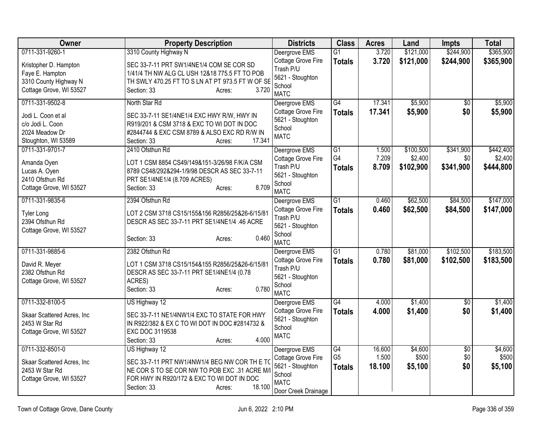| Owner                      | <b>Property Description</b>                      | <b>Districts</b>           | <b>Class</b>    | <b>Acres</b> | Land      | <b>Impts</b>    | <b>Total</b> |
|----------------------------|--------------------------------------------------|----------------------------|-----------------|--------------|-----------|-----------------|--------------|
| 0711-331-9260-1            | 3310 County Highway N                            | Deergrove EMS              | $\overline{G1}$ | 3.720        | \$121,000 | \$244,900       | \$365,900    |
| Kristopher D. Hampton      | SEC 33-7-11 PRT SW1/4NE1/4 COM SE COR SD         | Cottage Grove Fire         | <b>Totals</b>   | 3.720        | \$121,000 | \$244,900       | \$365,900    |
| Faye E. Hampton            | 1/41/4 TH NW ALG CL USH 12&18 775.5 FT TO POB    | Trash P/U                  |                 |              |           |                 |              |
| 3310 County Highway N      | TH SWLY 470.25 FT TO S LN AT PT 973.5 FT W OF SE | 5621 - Stoughton           |                 |              |           |                 |              |
| Cottage Grove, WI 53527    | 3.720<br>Section: 33<br>Acres:                   | School<br><b>MATC</b>      |                 |              |           |                 |              |
| 0711-331-9502-8            | North Star Rd                                    | Deergrove EMS              | $\overline{G4}$ | 17.341       | \$5,900   | $\overline{50}$ | \$5,900      |
|                            |                                                  | Cottage Grove Fire         | <b>Totals</b>   | 17.341       | \$5,900   | \$0             | \$5,900      |
| Jodi L. Coon et al         | SEC 33-7-11 SE1/4NE1/4 EXC HWY R/W, HWY IN       | 5621 - Stoughton           |                 |              |           |                 |              |
| c/o Jodi L. Coon           | R919/201 & CSM 3718 & EXC TO WI DOT IN DOC       | School                     |                 |              |           |                 |              |
| 2024 Meadow Dr             | #2844744 & EXC CSM 8789 & ALSO EXC RD R/W IN     | <b>MATC</b>                |                 |              |           |                 |              |
| Stoughton, WI 53589        | 17.341<br>Section: 33<br>Acres:                  |                            |                 |              |           |                 |              |
| 0711-331-9701-7            | 2410 Ofsthun Rd                                  | Deergrove EMS              | G1              | 1.500        | \$100,500 | \$341,900       | \$442,400    |
| Amanda Oyen                | LOT 1 CSM 8854 CS49/149&151-3/26/98 F/K/A CSM    | Cottage Grove Fire         | G4              | 7.209        | \$2,400   | \$0             | \$2,400      |
| Lucas A. Oyen              | 8789 CS48/292&294-1/9/98 DESCR AS SEC 33-7-11    | Trash P/U                  | <b>Totals</b>   | 8.709        | \$102,900 | \$341,900       | \$444,800    |
| 2410 Ofsthun Rd            | PRT SE1/4NE1/4 (8.709 ACRES)                     | 5621 - Stoughton           |                 |              |           |                 |              |
| Cottage Grove, WI 53527    | 8.709<br>Section: 33<br>Acres:                   | School<br><b>MATC</b>      |                 |              |           |                 |              |
| 0711-331-9835-6            | 2394 Ofsthun Rd                                  | Deergrove EMS              | G1              | 0.460        | \$62,500  | \$84,500        | \$147,000    |
|                            |                                                  | Cottage Grove Fire         |                 | 0.460        | \$62,500  | \$84,500        | \$147,000    |
| <b>Tyler Long</b>          | LOT 2 CSM 3718 CS15/155&156 R2856/25&26-6/15/81  | Trash P/U                  | <b>Totals</b>   |              |           |                 |              |
| 2394 Ofsthun Rd            | DESCR AS SEC 33-7-11 PRT SE1/4NE1/4 .46 ACRE     | 5621 - Stoughton           |                 |              |           |                 |              |
| Cottage Grove, WI 53527    |                                                  | School                     |                 |              |           |                 |              |
|                            | 0.460<br>Section: 33<br>Acres:                   | <b>MATC</b>                |                 |              |           |                 |              |
| 0711-331-9885-6            | 2382 Ofsthun Rd                                  | Deergrove EMS              | $\overline{G1}$ | 0.780        | \$81,000  | \$102,500       | \$183,500    |
| David R. Meyer             | LOT 1 CSM 3718 CS15/154&155 R2856/25&26-6/15/81  | Cottage Grove Fire         | <b>Totals</b>   | 0.780        | \$81,000  | \$102,500       | \$183,500    |
| 2382 Ofsthun Rd            | DESCR AS SEC 33-7-11 PRT SE1/4NE1/4 (0.78        | Trash P/U                  |                 |              |           |                 |              |
| Cottage Grove, WI 53527    | ACRES)                                           | 5621 - Stoughton           |                 |              |           |                 |              |
|                            | 0.780<br>Section: 33<br>Acres:                   | School                     |                 |              |           |                 |              |
|                            |                                                  | <b>MATC</b>                |                 |              |           |                 |              |
| 0711-332-8100-5            | US Highway 12                                    | Deergrove EMS              | $\overline{G4}$ | 4.000        | \$1,400   | $\overline{30}$ | \$1,400      |
| Skaar Scattered Acres, Inc | SEC 33-7-11 NE1/4NW1/4 EXC TO STATE FOR HWY      | Cottage Grove Fire         | <b>Totals</b>   | 4.000        | \$1,400   | \$0             | \$1,400      |
| 2453 W Star Rd             | IN R922/382 & EX C TO WI DOT IN DOC #2814732 &   | 5621 - Stoughton<br>School |                 |              |           |                 |              |
| Cottage Grove, WI 53527    | EXC DOC 3119538                                  | <b>MATC</b>                |                 |              |           |                 |              |
|                            | 4.000<br>Section: 33<br>Acres:                   |                            |                 |              |           |                 |              |
| 0711-332-8501-0            | US Highway 12                                    | Deergrove EMS              | G4              | 16.600       | \$4,600   | $\overline{50}$ | \$4,600      |
| Skaar Scattered Acres, Inc | SEC 33-7-11 PRT NW1/4NW1/4 BEG NW COR TH E TO    | Cottage Grove Fire         | G <sub>5</sub>  | 1.500        | \$500     | \$0             | \$500        |
| 2453 W Star Rd             | NE COR S TO SE COR NW TO POB EXC .31 ACRE M/I    | 5621 - Stoughton           | <b>Totals</b>   | 18.100       | \$5,100   | \$0             | \$5,100      |
| Cottage Grove, WI 53527    | FOR HWY IN R920/172 & EXC TO WI DOT IN DOC       | School                     |                 |              |           |                 |              |
|                            | 18.100<br>Section: 33<br>Acres:                  | <b>MATC</b>                |                 |              |           |                 |              |
|                            |                                                  | Door Creek Drainage        |                 |              |           |                 |              |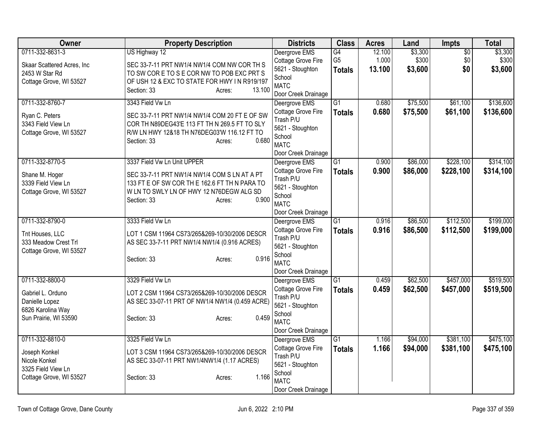| Owner                                      | <b>Property Description</b>                                                   | <b>Districts</b>                | <b>Class</b>    | <b>Acres</b> | Land     | Impts           | <b>Total</b> |
|--------------------------------------------|-------------------------------------------------------------------------------|---------------------------------|-----------------|--------------|----------|-----------------|--------------|
| 0711-332-8631-3                            | US Highway 12                                                                 | Deergrove EMS                   | G4              | 12.100       | \$3,300  | $\overline{50}$ | \$3,300      |
| Skaar Scattered Acres, Inc                 | SEC 33-7-11 PRT NW1/4 NW1/4 COM NW COR TH S                                   | Cottage Grove Fire              | G <sub>5</sub>  | 1.000        | \$300    | \$0             | \$300        |
| 2453 W Star Rd                             | TO SW CORE TO SE COR NW TO POBEXC PRT S                                       | 5621 - Stoughton                | <b>Totals</b>   | 13.100       | \$3,600  | \$0             | \$3,600      |
| Cottage Grove, WI 53527                    | OF USH 12 & EXC TO STATE FOR HWY IN R919/197                                  | School<br><b>MATC</b>           |                 |              |          |                 |              |
|                                            | Section: 33<br>13.100<br>Acres:                                               | Door Creek Drainage             |                 |              |          |                 |              |
| 0711-332-8760-7                            | 3343 Field Vw Ln                                                              | Deergrove EMS                   | $\overline{G1}$ | 0.680        | \$75,500 | \$61,100        | \$136,600    |
|                                            |                                                                               | Cottage Grove Fire              | <b>Totals</b>   | 0.680        | \$75,500 | \$61,100        | \$136,600    |
| Ryan C. Peters                             | SEC 33-7-11 PRT NW1/4 NW1/4 COM 20 FT E OF SW                                 | Trash P/U                       |                 |              |          |                 |              |
| 3343 Field View Ln                         | COR TH N89DEG43'E 113 FT TH N 269.5 FT TO SLY                                 | 5621 - Stoughton                |                 |              |          |                 |              |
| Cottage Grove, WI 53527                    | R/W LN HWY 12&18 TH N76DEG03'W 116.12 FT TO<br>0.680<br>Section: 33<br>Acres: | School                          |                 |              |          |                 |              |
|                                            |                                                                               | <b>MATC</b>                     |                 |              |          |                 |              |
|                                            |                                                                               | Door Creek Drainage             |                 |              |          |                 |              |
| 0711-332-8770-5                            | 3337 Field Vw Ln Unit UPPER                                                   | Deergrove EMS                   | G1              | 0.900        | \$86,000 | \$228,100       | \$314,100    |
| Shane M. Hoger                             | SEC 33-7-11 PRT NW1/4 NW1/4 COM S LN AT A PT                                  | Cottage Grove Fire<br>Trash P/U | <b>Totals</b>   | 0.900        | \$86,000 | \$228,100       | \$314,100    |
| 3339 Field View Ln                         | 133 FT E OF SW COR TH E 162.6 FT TH N PARA TO                                 | 5621 - Stoughton                |                 |              |          |                 |              |
| Cottage Grove, WI 53527                    | W LN TO SWLY LN OF HWY 12 N76DEGW ALG SD                                      | School                          |                 |              |          |                 |              |
|                                            | 0.900<br>Section: 33<br>Acres:                                                | <b>MATC</b>                     |                 |              |          |                 |              |
|                                            |                                                                               | Door Creek Drainage             |                 |              |          |                 |              |
| 0711-332-8790-0                            | 3333 Field Vw Ln                                                              | Deergrove EMS                   | $\overline{G1}$ | 0.916        | \$86,500 | \$112,500       | \$199,000    |
| Tnt Houses, LLC                            | LOT 1 CSM 11964 CS73/265&269-10/30/2006 DESCR                                 | Cottage Grove Fire              | <b>Totals</b>   | 0.916        | \$86,500 | \$112,500       | \$199,000    |
| 333 Meadow Crest Trl                       | AS SEC 33-7-11 PRT NW1/4 NW1/4 (0.916 ACRES)                                  | Trash P/U                       |                 |              |          |                 |              |
| Cottage Grove, WI 53527                    |                                                                               | 5621 - Stoughton                |                 |              |          |                 |              |
|                                            | 0.916<br>Section: 33<br>Acres:                                                | School<br><b>MATC</b>           |                 |              |          |                 |              |
|                                            |                                                                               | Door Creek Drainage             |                 |              |          |                 |              |
| 0711-332-8800-0                            | 3329 Field Vw Ln                                                              | Deergrove EMS                   | $\overline{G1}$ | 0.459        | \$62,500 | \$457,000       | \$519,500    |
|                                            |                                                                               | Cottage Grove Fire              | <b>Totals</b>   | 0.459        | \$62,500 | \$457,000       | \$519,500    |
| Gabriel L. Orduno                          | LOT 2 CSM 11964 CS73/265&269-10/30/2006 DESCR                                 | Trash P/U                       |                 |              |          |                 |              |
| Danielle Lopez                             | AS SEC 33-07-11 PRT OF NW1/4 NW1/4 (0.459 ACRE)                               | 5621 - Stoughton                |                 |              |          |                 |              |
| 6826 Karolina Way<br>Sun Prairie, WI 53590 | 0.459<br>Section: 33                                                          | School                          |                 |              |          |                 |              |
|                                            | Acres:                                                                        | <b>MATC</b>                     |                 |              |          |                 |              |
|                                            |                                                                               | Door Creek Drainage             |                 |              |          |                 |              |
| 0711-332-8810-0                            | 3325 Field Vw Ln                                                              | Deergrove EMS                   | G1              | 1.166        | \$94,000 | \$381,100       | \$475,100    |
| Joseph Konkel                              | LOT 3 CSM 11964 CS73/265&269-10/30/2006 DESCR                                 | Cottage Grove Fire              | <b>Totals</b>   | 1.166        | \$94,000 | \$381,100       | \$475,100    |
| Nicole Konkel                              | AS SEC 33-07-11 PRT NW1/4NW1/4 (1.17 ACRES)                                   | Trash P/U                       |                 |              |          |                 |              |
| 3325 Field View Ln                         |                                                                               | 5621 - Stoughton<br>School      |                 |              |          |                 |              |
| Cottage Grove, WI 53527                    | 1.166<br>Section: 33<br>Acres:                                                | <b>MATC</b>                     |                 |              |          |                 |              |
|                                            |                                                                               | Door Creek Drainage             |                 |              |          |                 |              |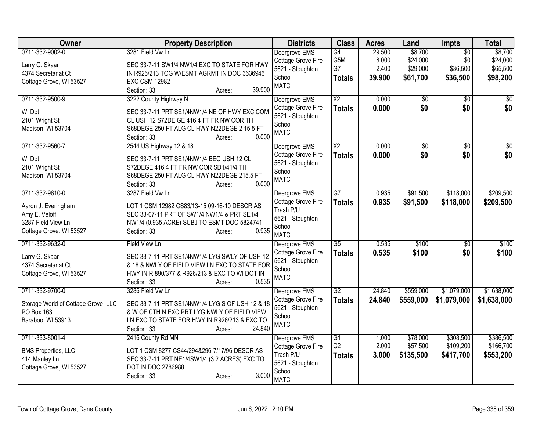| Owner                                                                                                    | <b>Property Description</b>                                                                                                                                                                           | <b>Districts</b>                                                                                     | <b>Class</b>                                       | <b>Acres</b>                       | Land                                        | <b>Impts</b>                                   | <b>Total</b>                                |
|----------------------------------------------------------------------------------------------------------|-------------------------------------------------------------------------------------------------------------------------------------------------------------------------------------------------------|------------------------------------------------------------------------------------------------------|----------------------------------------------------|------------------------------------|---------------------------------------------|------------------------------------------------|---------------------------------------------|
| 0711-332-9002-0<br>Larry G. Skaar<br>4374 Secretariat Ct<br>Cottage Grove, WI 53527                      | 3281 Field Vw Ln<br>SEC 33-7-11 SW1/4 NW1/4 EXC TO STATE FOR HWY<br>IN R926/213 TOG W/ESMT AGRMT IN DOC 3636946<br><b>EXC CSM 12982</b><br>39.900<br>Section: 33<br>Acres:                            | Deergrove EMS<br>Cottage Grove Fire<br>5621 - Stoughton<br>School<br><b>MATC</b>                     | $\overline{G4}$<br>G5M<br>G7<br><b>Totals</b>      | 29.500<br>8.000<br>2.400<br>39.900 | \$8,700<br>\$24,000<br>\$29,000<br>\$61,700 | $\overline{50}$<br>\$0<br>\$36,500<br>\$36,500 | \$8,700<br>\$24,000<br>\$65,500<br>\$98,200 |
| 0711-332-9500-9<br>WI Dot<br>2101 Wright St<br>Madison, WI 53704                                         | 3222 County Highway N<br>SEC 33-7-11 PRT SE1/4NW1/4 NE OF HWY EXC COM<br>CL USH 12 S72DE GE 416.4 FT FR NW COR TH<br>S68DEGE 250 FT ALG CL HWY N22DEGE 2 15.5 FT<br>0.000<br>Section: 33<br>Acres:    | Deergrove EMS<br>Cottage Grove Fire<br>5621 - Stoughton<br>School<br><b>MATC</b>                     | $\overline{X2}$<br><b>Totals</b>                   | 0.000<br>0.000                     | \$0<br>\$0                                  | $\sqrt{50}$<br>\$0                             | $\overline{50}$<br>\$0                      |
| 0711-332-9560-7<br>WI Dot<br>2101 Wright St<br>Madison, WI 53704                                         | 2544 US Highway 12 & 18<br>SEC 33-7-11 PRT SE1/4NW1/4 BEG USH 12 CL<br>S72DEGE 416.4 FT FR NW COR SD1/41/4 TH<br>S68DEGE 250 FT ALG CL HWY N22DEGE 215.5 FT<br>0.000<br>Section: 33<br>Acres:         | Deergrove EMS<br>Cottage Grove Fire<br>5621 - Stoughton<br>School<br><b>MATC</b>                     | $\overline{\text{X2}}$<br><b>Totals</b>            | 0.000<br>0.000                     | \$0<br>\$0                                  | \$0<br>\$0                                     | \$0<br>\$0                                  |
| 0711-332-9610-0<br>Aaron J. Everingham<br>Amy E. Veloff<br>3287 Field View Ln<br>Cottage Grove, WI 53527 | 3287 Field Vw Ln<br>LOT 1 CSM 12982 CS83/13-15 09-16-10 DESCR AS<br>SEC 33-07-11 PRT OF SW1/4 NW1/4 & PRT SE1/4<br>NW1/4 (0.935 ACRE) SUBJ TO ESMT DOC 5824741<br>0.935<br>Section: 33<br>Acres:      | Deergrove EMS<br><b>Cottage Grove Fire</b><br>Trash P/U<br>5621 - Stoughton<br>School<br><b>MATC</b> | $\overline{G}$<br><b>Totals</b>                    | 0.935<br>0.935                     | \$91,500<br>\$91,500                        | \$118,000<br>\$118,000                         | \$209,500<br>\$209,500                      |
| 0711-332-9632-0<br>Larry G. Skaar<br>4374 Secretariat Ct<br>Cottage Grove, WI 53527                      | Field View Ln<br>SEC 33-7-11 PRT SE1/4NW1/4 LYG SWLY OF USH 12<br>& 18 & NWLY OF FIELD VIEW LN EXC TO STATE FOR<br>HWY IN R 890/377 & R926/213 & EXC TO WI DOT IN<br>0.535<br>Section: 33<br>Acres:   | Deergrove EMS<br>Cottage Grove Fire<br>5621 - Stoughton<br>School<br><b>MATC</b>                     | $\overline{G5}$<br><b>Totals</b>                   | 0.535<br>0.535                     | \$100<br>\$100                              | $\overline{30}$<br>\$0                         | \$100<br>\$100                              |
| 0711-332-9700-0<br>Storage World of Cottage Grove, LLC<br>PO Box 163<br>Baraboo, WI 53913                | 3286 Field Vw Ln<br>SEC 33-7-11 PRT SE1/4NW1/4 LYG S OF USH 12 & 18<br>& W OF CTH N EXC PRT LYG NWLY OF FIELD VIEW<br>LN EXC TO STATE FOR HWY IN R926/213 & EXC TO<br>24.840<br>Section: 33<br>Acres: | Deergrove EMS<br>Cottage Grove Fire<br>5621 - Stoughton<br>School<br><b>MATC</b>                     | $\overline{G2}$<br><b>Totals</b>                   | 24.840<br>24.840                   | \$559,000<br>\$559,000                      | \$1,079,000<br>\$1,079,000                     | \$1,638,000<br>\$1,638,000                  |
| 0711-333-8001-4<br><b>BMS Properties, LLC</b><br>414 Manley Ln<br>Cottage Grove, WI 53527                | 2416 County Rd MN<br>LOT 1 CSM 8277 CS44/294&296-7/17/96 DESCR AS<br>SEC 33-7-11 PRT NE1/4SW1/4 (3.2 ACRES) EXC TO<br>DOT IN DOC 2786988<br>3.000<br>Section: 33<br>Acres:                            | Deergrove EMS<br>Cottage Grove Fire<br>Trash P/U<br>5621 - Stoughton<br>School<br><b>MATC</b>        | $\overline{G1}$<br>G <sub>2</sub><br><b>Totals</b> | 1.000<br>2.000<br>3.000            | \$78,000<br>\$57,500<br>\$135,500           | \$308,500<br>\$109,200<br>\$417,700            | \$386,500<br>\$166,700<br>\$553,200         |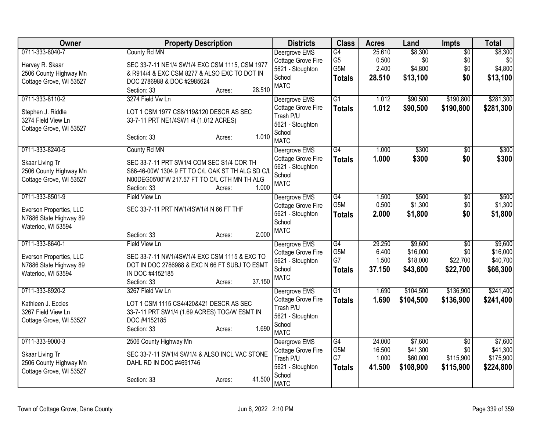| <b>Owner</b>                                                                               | <b>Property Description</b>                                                                                                                                                                     | <b>Districts</b>                                                                              | <b>Class</b>                                  | <b>Acres</b>                        | Land                                         | Impts                                            | <b>Total</b>                                  |
|--------------------------------------------------------------------------------------------|-------------------------------------------------------------------------------------------------------------------------------------------------------------------------------------------------|-----------------------------------------------------------------------------------------------|-----------------------------------------------|-------------------------------------|----------------------------------------------|--------------------------------------------------|-----------------------------------------------|
| 0711-333-8040-7<br>Harvey R. Skaar<br>2506 County Highway Mn<br>Cottage Grove, WI 53527    | County Rd MN<br>SEC 33-7-11 NE1/4 SW1/4 EXC CSM 1115, CSM 1977<br>& R914/4 & EXC CSM 8277 & ALSO EXC TO DOT IN<br>DOC 2786988 & DOC #2985624<br>28.510<br>Section: 33<br>Acres:                 | Deergrove EMS<br>Cottage Grove Fire<br>5621 - Stoughton<br>School<br><b>MATC</b>              | G4<br>G <sub>5</sub><br>G5M<br><b>Totals</b>  | 25.610<br>0.500<br>2.400<br>28.510  | \$8,300<br>\$0<br>\$4,800<br>\$13,100        | $\overline{50}$<br>\$0<br>\$0<br>\$0             | \$8,300<br>\$0<br>\$4,800<br>\$13,100         |
| 0711-333-8110-2<br>Stephen J. Riddle<br>3274 Field View Ln<br>Cottage Grove, WI 53527      | 3274 Field Vw Ln<br>LOT 1 CSM 1977 CS8/119&120 DESCR AS SEC<br>33-7-11 PRT NE1/4SW1 /4 (1.012 ACRES)<br>1.010<br>Section: 33<br>Acres:                                                          | Deergrove EMS<br>Cottage Grove Fire<br>Trash P/U<br>5621 - Stoughton<br>School<br><b>MATC</b> | G1<br><b>Totals</b>                           | 1.012<br>1.012                      | \$90,500<br>\$90,500                         | \$190,800<br>\$190,800                           | \$281,300<br>\$281,300                        |
| 0711-333-8240-5<br>Skaar Living Tr<br>2506 County Highway Mn<br>Cottage Grove, WI 53527    | County Rd MN<br>SEC 33-7-11 PRT SW1/4 COM SEC S1/4 COR TH<br>S86-46-00W 1304.9 FT TO C/L OAK ST TH ALG SD C/L<br>N00DEG05'00"W 217.57 FT TO C/L CTH MN TH ALG<br>1.000<br>Section: 33<br>Acres: | Deergrove EMS<br>Cottage Grove Fire<br>5621 - Stoughton<br>School<br><b>MATC</b>              | $\overline{G4}$<br><b>Totals</b>              | 1.000<br>1.000                      | \$300<br>\$300                               | $\overline{50}$<br>\$0                           | \$300<br>\$300                                |
| 0711-333-8501-9<br>Everson Properties, LLC<br>N7886 State Highway 89<br>Waterloo, WI 53594 | <b>Field View Ln</b><br>SEC 33-7-11 PRT NW1/4SW1/4 N 66 FT THF<br>2.000<br>Section: 33<br>Acres:                                                                                                | Deergrove EMS<br>Cottage Grove Fire<br>5621 - Stoughton<br>School<br><b>MATC</b>              | G4<br>G5M<br><b>Totals</b>                    | 1.500<br>0.500<br>2.000             | \$500<br>\$1,300<br>\$1,800                  | $\overline{50}$<br>\$0<br>\$0                    | \$500<br>\$1,300<br>\$1,800                   |
| 0711-333-8640-1<br>Everson Properties, LLC<br>N7886 State Highway 89<br>Waterloo, WI 53594 | Field View Ln<br>SEC 33-7-11 NW1/4SW1/4 EXC CSM 1115 & EXC TO<br>DOT IN DOC 2786988 & EXC N 66 FT SUBJ TO ESMT<br>IN DOC #4152185<br>37.150<br>Section: 33<br>Acres:                            | Deergrove EMS<br>Cottage Grove Fire<br>5621 - Stoughton<br>School<br><b>MATC</b>              | G4<br>G5M<br>G7<br><b>Totals</b>              | 29.250<br>6.400<br>1.500<br>37.150  | \$9,600<br>\$16,000<br>\$18,000<br>\$43,600  | $\overline{30}$<br>\$0<br>\$22,700<br>\$22,700   | \$9,600<br>\$16,000<br>\$40,700<br>\$66,300   |
| 0711-333-8920-2<br>Kathleen J. Eccles<br>3267 Field View Ln<br>Cottage Grove, WI 53527     | 3267 Field Vw Ln<br>LOT 1 CSM 1115 CS4/420&421 DESCR AS SEC<br>33-7-11 PRT SW1/4 (1.69 ACRES) TOG/W ESMT IN<br>DOC #4152185<br>1.690<br>Section: 33<br>Acres:                                   | Deergrove EMS<br>Cottage Grove Fire<br>Trash P/U<br>5621 - Stoughton<br>School<br><b>MATC</b> | $\overline{G1}$<br><b>Totals</b>              | 1.690<br>1.690                      | \$104,500<br>\$104,500                       | \$136,900<br>\$136,900                           | \$241,400<br>\$241,400                        |
| 0711-333-9000-3<br>Skaar Living Tr<br>2506 County Highway Mn<br>Cottage Grove, WI 53527    | 2506 County Highway Mn<br>SEC 33-7-11 SW1/4 SW1/4 & ALSO INCL VAC STONE<br>DAHL RD IN DOC #4691746<br>41.500<br>Section: 33<br>Acres:                                                           | Deergrove EMS<br>Cottage Grove Fire<br>Trash P/U<br>5621 - Stoughton<br>School<br><b>MATC</b> | $\overline{G4}$<br>G5M<br>G7<br><b>Totals</b> | 24.000<br>16.500<br>1.000<br>41.500 | \$7,600<br>\$41,300<br>\$60,000<br>\$108,900 | $\overline{50}$<br>\$0<br>\$115,900<br>\$115,900 | \$7,600<br>\$41,300<br>\$175,900<br>\$224,800 |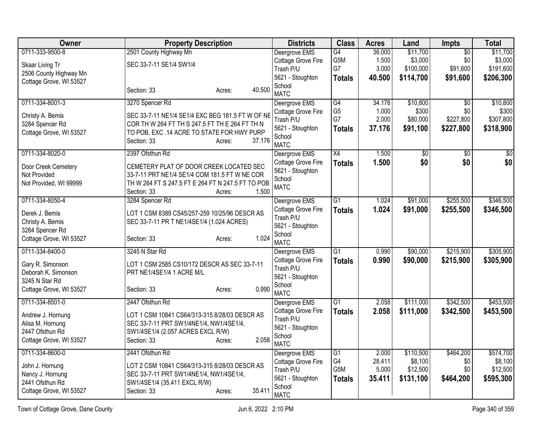| Owner<br><b>Property Description</b><br><b>Districts</b><br><b>Class</b><br><b>Acres</b><br>Land                                                                                  | <b>Impts</b>    | <b>Total</b>    |
|-----------------------------------------------------------------------------------------------------------------------------------------------------------------------------------|-----------------|-----------------|
| 0711-333-9500-8<br>2501 County Highway Mn<br>G4<br>\$11,700<br>Deergrove EMS<br>36.000                                                                                            | $\overline{50}$ | \$11,700        |
| G <sub>5</sub> M<br>\$3,000<br>1.500<br>Cottage Grove Fire<br>SEC 33-7-11 SE1/4 SW1/4<br>Skaar Living Tr                                                                          | \$0             | \$3,000         |
| G7<br>3.000<br>\$100,000<br>Trash P/U<br>2506 County Highway Mn                                                                                                                   | \$91,600        | \$191,600       |
| 5621 - Stoughton<br>40.500<br>\$114,700<br><b>Totals</b><br>Cottage Grove, WI 53527                                                                                               | \$91,600        | \$206,300       |
| School<br>40.500<br>Section: 33<br>Acres:<br><b>MATC</b>                                                                                                                          |                 |                 |
| 0711-334-8001-3<br>3270 Spencer Rd<br>$\overline{G4}$<br>34.176<br>\$10,800<br>Deergrove EMS                                                                                      | $\overline{30}$ | \$10,800        |
| G <sub>5</sub><br>1.000<br>\$300<br>Cottage Grove Fire                                                                                                                            | \$0             | \$300           |
| SEC 33-7-11 NE1/4 SE1/4 EXC BEG 181.5 FT W OF NE<br>Christy A. Bemis<br>G7<br>2.000<br>\$80,000<br>Trash P/U<br>3284 Spencer Rd<br>COR TH W 264 FT TH S 247.5 FT TH E 264 FT TH N | \$227,800       | \$307,800       |
| 37.176<br>\$91,100<br>5621 - Stoughton<br><b>Totals</b><br>TO POB, EXC .14 ACRE TO STATE FOR HWY PURP<br>Cottage Grove, WI 53527                                                  | \$227,800       | \$318,900       |
| School<br>37.176<br>Section: 33<br>Acres:                                                                                                                                         |                 |                 |
| <b>MATC</b>                                                                                                                                                                       |                 |                 |
| X4<br>0711-334-8020-0<br>2397 Ofsthun Rd<br>1.500<br>\$0<br>Deergrove EMS                                                                                                         | $\overline{50}$ | $\overline{50}$ |
| \$0<br>Cottage Grove Fire<br>1.500<br><b>Totals</b><br>CEMETERY PLAT OF DOOR CREEK LOCATED SEC<br>Door Creek Cemetery                                                             | \$0             | \$0             |
| 5621 - Stoughton<br>Not Provided<br>33-7-11 PRT NE1/4 SE1/4 COM 181.5 FT W NE COR                                                                                                 |                 |                 |
| School<br>Not Provided, WI 99999<br>TH W 264 FT S 247.5 FT E 264 FT N 247.5 FT TO POB                                                                                             |                 |                 |
| <b>MATC</b><br>1.500<br>Section: 33<br>Acres:                                                                                                                                     |                 |                 |
| 0711-334-8050-4<br>3284 Spencer Rd<br>Deergrove EMS<br>$\overline{G1}$<br>\$91,000<br>1.024                                                                                       | \$255,500       | \$346,500       |
| Cottage Grove Fire<br>1.024<br>\$91,000<br><b>Totals</b><br>Derek J. Bemis<br>LOT 1 CSM 8389 CS45/257-259 10/25/96 DESCR AS                                                       | \$255,500       | \$346,500       |
| Trash P/U<br>Christy A. Bemis<br>SEC 33-7-11 PR T NE1/4SE1/4 (1.024 ACRES)                                                                                                        |                 |                 |
| 5621 - Stoughton<br>3284 Spencer Rd                                                                                                                                               |                 |                 |
| School<br>1.024<br>Cottage Grove, WI 53527<br>Section: 33<br>Acres:                                                                                                               |                 |                 |
| <b>MATC</b>                                                                                                                                                                       |                 |                 |
| 0711-334-8400-0<br>3245 N Star Rd<br>$\overline{G1}$<br>0.990<br>\$90,000<br>Deergrove EMS                                                                                        | \$215,900       | \$305,900       |
| Cottage Grove Fire<br>0.990<br>\$90,000<br><b>Totals</b><br>LOT 1 CSM 2585 CS10/172 DESCR AS SEC 33-7-11<br>Gary R. Simonson                                                      | \$215,900       | \$305,900       |
| Trash P/U<br>Deborah K. Simonson<br>PRT NE1/4SE1/4 1 ACRE M/L<br>5621 - Stoughton                                                                                                 |                 |                 |
| 3245 N Star Rd<br>School                                                                                                                                                          |                 |                 |
| 0.990<br>Cottage Grove, WI 53527<br>Section: 33<br>Acres:<br><b>MATC</b>                                                                                                          |                 |                 |
| 0711-334-8501-0<br>2447 Ofsthun Rd<br>$\overline{G1}$<br>2.058<br>\$111,000<br>Deergrove EMS                                                                                      | \$342,500       | \$453,500       |
| 2.058<br>Cottage Grove Fire<br>\$111,000<br><b>Totals</b>                                                                                                                         | \$342,500       | \$453,500       |
| Andrew J. Hornung<br>LOT 1 CSM 10841 CS64/313-315 8/28/03 DESCR AS<br>Trash P/U                                                                                                   |                 |                 |
| Alisa M. Hornung<br>SEC 33-7-11 PRT SW1/4NE1/4, NW1/4SE1/4,<br>5621 - Stoughton                                                                                                   |                 |                 |
| 2447 Ofsthun Rd<br>SW1/4SE1/4 (2.057 ACRES EXCL R/W)<br>School<br>2.058                                                                                                           |                 |                 |
| Cottage Grove, WI 53527<br>Section: 33<br>Acres:<br><b>MATC</b>                                                                                                                   |                 |                 |
| 0711-334-8600-0<br>2441 Ofsthun Rd<br>$\overline{G1}$<br>\$110,500<br>Deergrove EMS<br>2.000                                                                                      | \$464,200       | \$574,700       |
| G4<br>28.411<br>\$8,100<br>Cottage Grove Fire<br>John J. Hornung<br>LOT 2 CSM 10841 CS64/313-315 8/28/03 DESCR AS                                                                 | \$0             | \$8,100         |
| G5M<br>\$12,500<br>Trash P/U<br>5.000<br>Nancy J. Hornung<br>SEC 33-7-11 PRT SW1/4NE1/4, NW1/4SE1/4,                                                                              | \$0             | \$12,500        |
| 5621 - Stoughton<br>35.411<br>\$131,100<br><b>Totals</b><br>2441 Ofsthun Rd<br>SW1/4SE1/4 (35.411 EXCL R/W)                                                                       | \$464,200       | \$595,300       |
| School<br>35.411<br>Cottage Grove, WI 53527<br>Section: 33<br>Acres:<br><b>MATC</b>                                                                                               |                 |                 |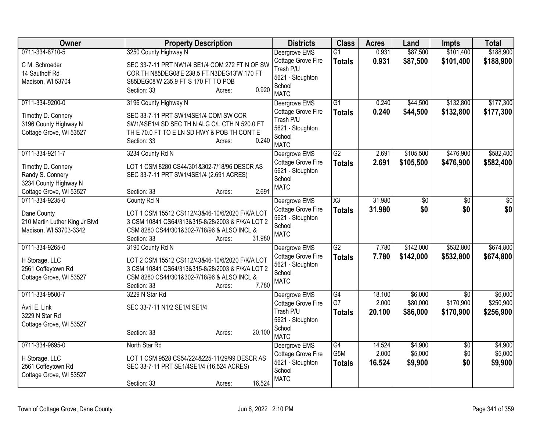| <b>Owner</b>                                                                                                  | <b>Property Description</b>                                                                                                                                                                              | <b>Districts</b>                                                                              | <b>Class</b>                           | <b>Acres</b>              | Land                            | <b>Impts</b>                              | <b>Total</b>                      |
|---------------------------------------------------------------------------------------------------------------|----------------------------------------------------------------------------------------------------------------------------------------------------------------------------------------------------------|-----------------------------------------------------------------------------------------------|----------------------------------------|---------------------------|---------------------------------|-------------------------------------------|-----------------------------------|
| 0711-334-8710-5                                                                                               | 3250 County Highway N                                                                                                                                                                                    | Deergrove EMS                                                                                 | $\overline{G1}$                        | 0.931                     | \$87,500                        | \$101,400                                 | \$188,900                         |
| C M. Schroeder<br>14 Sauthoff Rd<br>Madison, WI 53704                                                         | SEC 33-7-11 PRT NW1/4 SE1/4 COM 272 FT N OF SW<br>COR TH N85DEG08'E 238.5 FT N3DEG13'W 170 FT<br>S85DEG08'W 235.9 FT S 170 FT TO POB<br>0.920<br>Section: 33<br>Acres:                                   | Cottage Grove Fire<br>Trash P/U<br>5621 - Stoughton<br>School<br><b>MATC</b>                  | <b>Totals</b>                          | 0.931                     | \$87,500                        | \$101,400                                 | \$188,900                         |
| 0711-334-9200-0                                                                                               | 3196 County Highway N                                                                                                                                                                                    | Deergrove EMS                                                                                 | G1                                     | 0.240                     | \$44,500                        | \$132,800                                 | \$177,300                         |
| Timothy D. Connery<br>3196 County Highway N<br>Cottage Grove, WI 53527                                        | SEC 33-7-11 PRT SW1/4SE1/4 COM SW COR<br>SW1/4SE1/4 SD SEC TH N ALG C/L CTH N 520.0 FT<br>THE 70.0 FT TO E LN SD HWY & POB TH CONTE<br>0.240<br>Section: 33<br>Acres:                                    | Cottage Grove Fire<br>Trash P/U<br>5621 - Stoughton<br>School<br><b>MATC</b>                  | <b>Totals</b>                          | 0.240                     | \$44,500                        | \$132,800                                 | \$177,300                         |
| 0711-334-9211-7<br>Timothy D. Connery<br>Randy S. Connery<br>3234 County Highway N<br>Cottage Grove, WI 53527 | 3234 County Rd N<br>LOT 1 CSM 8280 CS44/301&302-7/18/96 DESCR AS<br>SEC 33-7-11 PRT SW1/4SE1/4 (2.691 ACRES)<br>2.691<br>Section: 33<br>Acres:                                                           | Deergrove EMS<br>Cottage Grove Fire<br>5621 - Stoughton<br>School<br><b>MATC</b>              | G2<br><b>Totals</b>                    | 2.691<br>2.691            | \$105,500<br>\$105,500          | \$476,900<br>\$476,900                    | \$582,400<br>\$582,400            |
| 0711-334-9235-0                                                                                               | County Rd N                                                                                                                                                                                              | Deergrove EMS                                                                                 | $\overline{\chi_3}$                    | 31.980                    | \$0                             | \$0                                       | \$0                               |
| Dane County<br>210 Martin Luther King Jr Blvd<br>Madison, WI 53703-3342                                       | LOT 1 CSM 15512 CS112/43&46-10/6/2020 F/K/A LOT<br>3 CSM 10841 CS64/313&315-8/28/2003 & F/K/A LOT 2<br>CSM 8280 CS44/301&302-7/18/96 & ALSO INCL &<br>31.980<br>Section: 33<br>Acres:                    | Cottage Grove Fire<br>5621 - Stoughton<br>School<br><b>MATC</b>                               | <b>Totals</b>                          | 31,980                    | \$0                             | \$0                                       | \$0                               |
| 0711-334-9265-0<br>H Storage, LLC<br>2561 Coffeytown Rd<br>Cottage Grove, WI 53527                            | 3190 County Rd N<br>LOT 2 CSM 15512 CS112/43&46-10/6/2020 F/K/A LOT<br>3 CSM 10841 CS64/313&315-8/28/2003 & F/K/A LOT 2<br>CSM 8280 CS44/301&302-7/18/96 & ALSO INCL &<br>7.780<br>Section: 33<br>Acres: | Deergrove EMS<br>Cottage Grove Fire<br>5621 - Stoughton<br>School<br><b>MATC</b>              | $\overline{G2}$<br><b>Totals</b>       | 7.780<br>7.780            | \$142,000<br>\$142,000          | \$532,800<br>\$532,800                    | \$674,800<br>\$674,800            |
| 0711-334-9500-7<br>Avril E. Link<br>3229 N Star Rd<br>Cottage Grove, WI 53527                                 | 3229 N Star Rd<br>SEC 33-7-11 N1/2 SE1/4 SE1/4<br>20.100<br>Section: 33<br>Acres:                                                                                                                        | Deergrove EMS<br>Cottage Grove Fire<br>Trash P/U<br>5621 - Stoughton<br>School<br><b>MATC</b> | $\overline{G4}$<br>G7<br><b>Totals</b> | 18.100<br>2.000<br>20.100 | \$6,000<br>\$80,000<br>\$86,000 | $\overline{30}$<br>\$170,900<br>\$170,900 | \$6,000<br>\$250,900<br>\$256,900 |
| 0711-334-9695-0                                                                                               | North Star Rd                                                                                                                                                                                            | Deergrove EMS                                                                                 | $\overline{G4}$                        | 14.524                    | \$4,900                         | \$0                                       | \$4,900                           |
| H Storage, LLC<br>2561 Coffeytown Rd<br>Cottage Grove, WI 53527                                               | LOT 1 CSM 9528 CS54/224&225-11/29/99 DESCR AS<br>SEC 33-7-11 PRT SE1/4SE1/4 (16.524 ACRES)<br>16.524<br>Section: 33<br>Acres:                                                                            | Cottage Grove Fire<br>5621 - Stoughton<br>School<br><b>MATC</b>                               | G5M<br><b>Totals</b>                   | 2.000<br>16.524           | \$5,000<br>\$9,900              | \$0<br>\$0                                | \$5,000<br>\$9,900                |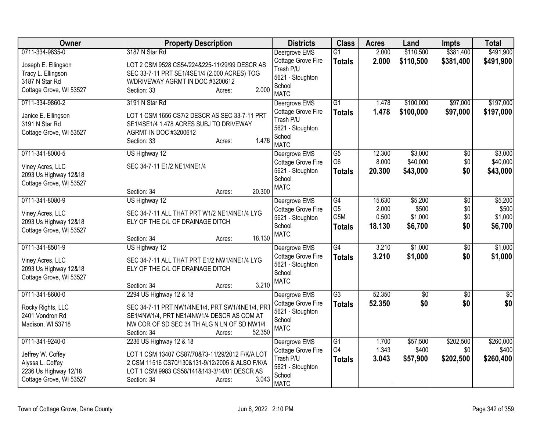| Owner                                                                                     | <b>Property Description</b>                                                                                                                                                          | <b>Districts</b>                                                                 | <b>Class</b>                                 | <b>Acres</b>                       | Land                                   | <b>Impts</b>                         | <b>Total</b>                           |
|-------------------------------------------------------------------------------------------|--------------------------------------------------------------------------------------------------------------------------------------------------------------------------------------|----------------------------------------------------------------------------------|----------------------------------------------|------------------------------------|----------------------------------------|--------------------------------------|----------------------------------------|
| 0711-334-9835-0                                                                           | 3187 N Star Rd                                                                                                                                                                       | Deergrove EMS                                                                    | $\overline{G1}$                              | 2.000                              | \$110,500                              | \$381,400                            | \$491,900                              |
| Joseph E. Ellingson<br>Tracy L. Ellingson<br>3187 N Star Rd<br>Cottage Grove, WI 53527    | LOT 2 CSM 9528 CS54/224&225-11/29/99 DESCR AS<br>SEC 33-7-11 PRT SE1/4SE1/4 (2.000 ACRES) TOG<br>W/DRIVEWAY AGRMT IN DOC #3200612<br>2.000<br>Section: 33<br>Acres:                  | Cottage Grove Fire<br>Trash P/U<br>5621 - Stoughton<br>School<br><b>MATC</b>     | <b>Totals</b>                                | 2.000                              | \$110,500                              | \$381,400                            | \$491,900                              |
| 0711-334-9860-2                                                                           | 3191 N Star Rd                                                                                                                                                                       | Deergrove EMS                                                                    | G1                                           | 1.478                              | \$100,000                              | \$97,000                             | \$197,000                              |
| Janice E. Ellingson<br>3191 N Star Rd<br>Cottage Grove, WI 53527                          | LOT 1 CSM 1656 CS7/2 DESCR AS SEC 33-7-11 PRT<br>SE1/4SE1/4 1.478 ACRES SUBJ TO DRIVEWAY<br>AGRMT IN DOC #3200612<br>1.478<br>Section: 33<br>Acres:                                  | Cottage Grove Fire<br>Trash P/U<br>5621 - Stoughton<br>School<br><b>MATC</b>     | <b>Totals</b>                                | 1.478                              | \$100,000                              | \$97,000                             | \$197,000                              |
| 0711-341-8000-5                                                                           | US Highway 12                                                                                                                                                                        | Deergrove EMS                                                                    | $\overline{G5}$                              | 12.300                             | \$3,000                                | \$0                                  | \$3,000                                |
| Viney Acres, LLC<br>2093 Us Highway 12&18<br>Cottage Grove, WI 53527                      | SEC 34-7-11 E1/2 NE1/4NE1/4                                                                                                                                                          | Cottage Grove Fire<br>5621 - Stoughton<br>School<br><b>MATC</b>                  | G <sub>6</sub><br><b>Totals</b>              | 8.000<br>20.300                    | \$40,000<br>\$43,000                   | \$0<br>\$0                           | \$40,000<br>\$43,000                   |
|                                                                                           | 20.300<br>Section: 34<br>Acres:                                                                                                                                                      |                                                                                  |                                              |                                    |                                        |                                      |                                        |
| 0711-341-8080-9<br>Viney Acres, LLC<br>2093 Us Highway 12&18<br>Cottage Grove, WI 53527   | US Highway 12<br>SEC 34-7-11 ALL THAT PRT W1/2 NE1/4NE1/4 LYG<br>ELY OF THE C/L OF DRAINAGE DITCH<br>18.130<br>Section: 34<br>Acres:                                                 | Deergrove EMS<br>Cottage Grove Fire<br>5621 - Stoughton<br>School<br><b>MATC</b> | G4<br>G <sub>5</sub><br>G5M<br><b>Totals</b> | 15.630<br>2.000<br>0.500<br>18.130 | \$5,200<br>\$500<br>\$1,000<br>\$6,700 | $\overline{50}$<br>\$0<br>\$0<br>\$0 | \$5,200<br>\$500<br>\$1,000<br>\$6,700 |
| 0711-341-8501-9                                                                           | US Highway 12                                                                                                                                                                        | Deergrove EMS                                                                    | $\overline{G4}$                              | 3.210                              | \$1,000                                | $\sqrt{6}$                           | \$1,000                                |
| Viney Acres, LLC<br>2093 Us Highway 12&18<br>Cottage Grove, WI 53527                      | SEC 34-7-11 ALL THAT PRT E1/2 NW1/4NE1/4 LYG<br>ELY OF THE C/L OF DRAINAGE DITCH<br>3.210<br>Section: 34<br>Acres:                                                                   | Cottage Grove Fire<br>5621 - Stoughton<br>School<br><b>MATC</b>                  | <b>Totals</b>                                | 3.210                              | \$1,000                                | \$0                                  | \$1,000                                |
| 0711-341-8600-0                                                                           | 2294 US Highway 12 & 18                                                                                                                                                              | Deergrove EMS                                                                    | $\overline{G3}$                              | 52.350                             | $\overline{50}$                        | $\sqrt{6}$                           | $\overline{50}$                        |
| Rocky Rights, LLC<br>2401 Vondron Rd<br>Madison, WI 53718                                 | SEC 34-7-11 PRT NW1/4NE1/4, PRT SW1/4NE1/4, PRT<br>SE1/4NW1/4, PRT NE1/4NW1/4 DESCR AS COM AT<br>NW COR OF SD SEC 34 TH ALG N LN OF SD NW1/4<br>52.350<br>Section: 34<br>Acres:      | Cottage Grove Fire<br>5621 - Stoughton<br>School<br><b>MATC</b>                  | <b>Totals</b>                                | 52.350                             | \$0                                    | \$0                                  | \$0                                    |
| 0711-341-9240-0                                                                           | 2236 US Highway 12 & 18                                                                                                                                                              | Deergrove EMS                                                                    | $\overline{G1}$<br>G4                        | 1.700<br>1.343                     | \$57,500<br>\$400                      | \$202,500<br>\$0                     | \$260,000<br>\$400                     |
| Jeffrey W. Coffey<br>Alyssa L. Coffey<br>2236 Us Highway 12/18<br>Cottage Grove, WI 53527 | LOT 1 CSM 13407 CS87/70&73-11/29/2012 F/K/A LOT<br>2 CSM 11516 CS70/130&131-9/12/2005 & ALSO F/K/A<br>LOT 1 CSM 9983 CS58/141&143-3/14/01 DESCR AS<br>3.043<br>Section: 34<br>Acres: | Cottage Grove Fire<br>Trash P/U<br>5621 - Stoughton<br>School<br><b>MATC</b>     | Totals                                       | 3.043                              | \$57,900                               | \$202,500                            | \$260,400                              |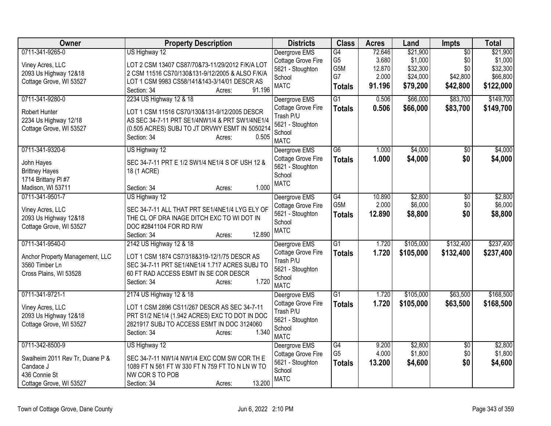| <b>Owner</b>                    | <b>Property Description</b>                     | <b>Districts</b>                | <b>Class</b>          | <b>Acres</b>    | Land                | <b>Impts</b>    | <b>Total</b>        |
|---------------------------------|-------------------------------------------------|---------------------------------|-----------------------|-----------------|---------------------|-----------------|---------------------|
| 0711-341-9265-0                 | US Highway 12                                   | Deergrove EMS                   | G4                    | 72.646          | \$21,900            | $\overline{50}$ | \$21,900            |
| Viney Acres, LLC                | LOT 2 CSM 13407 CS87/70&73-11/29/2012 F/K/A LOT | Cottage Grove Fire              | G <sub>5</sub><br>G5M | 3.680<br>12.870 | \$1,000<br>\$32,300 | \$0<br>\$0      | \$1,000<br>\$32,300 |
| 2093 Us Highway 12&18           | 2 CSM 11516 CS70/130&131-9/12/2005 & ALSO F/K/A | 5621 - Stoughton<br>School      | G7                    | 2.000           | \$24,000            | \$42,800        | \$66,800            |
| Cottage Grove, WI 53527         | LOT 1 CSM 9983 CS58/141&143-3/14/01 DESCR AS    | <b>MATC</b>                     | <b>Totals</b>         | 91.196          | \$79,200            | \$42,800        | \$122,000           |
|                                 | 91.196<br>Section: 34<br>Acres:                 |                                 |                       |                 |                     |                 |                     |
| 0711-341-9280-0                 | 2234 US Highway 12 & 18                         | Deergrove EMS                   | $\overline{G1}$       | 0.506           | \$66,000            | \$83,700        | \$149,700           |
| Robert Hunter                   | LOT 1 CSM 11516 CS70/130&131-9/12/2005 DESCR    | Cottage Grove Fire<br>Trash P/U | <b>Totals</b>         | 0.506           | \$66,000            | \$83,700        | \$149,700           |
| 2234 Us Highway 12/18           | AS SEC 34-7-11 PRT SE1/4NW1/4 & PRT SW1/4NE1/4  | 5621 - Stoughton                |                       |                 |                     |                 |                     |
| Cottage Grove, WI 53527         | (0.505 ACRES) SUBJ TO JT DRVWY ESMT IN 5050214  | School                          |                       |                 |                     |                 |                     |
|                                 | Section: 34<br>0.505<br>Acres:                  | <b>MATC</b>                     |                       |                 |                     |                 |                     |
| 0711-341-9320-6                 | US Highway 12                                   | Deergrove EMS                   | G6                    | 1.000           | \$4,000             | $\overline{50}$ | \$4,000             |
| John Hayes                      | SEC 34-7-11 PRT E 1/2 SW1/4 NE1/4 S OF USH 12 & | Cottage Grove Fire              | <b>Totals</b>         | 1.000           | \$4,000             | \$0             | \$4,000             |
| <b>Brittney Hayes</b>           | 18 (1 ACRE)                                     | 5621 - Stoughton                |                       |                 |                     |                 |                     |
| 1714 Brittany PI #7             |                                                 | School                          |                       |                 |                     |                 |                     |
| Madison, WI 53711               | 1.000<br>Section: 34<br>Acres:                  | <b>MATC</b>                     |                       |                 |                     |                 |                     |
| 0711-341-9501-7                 | US Highway 12                                   | Deergrove EMS                   | $\overline{G4}$       | 10.890          | \$2,800             | $\overline{50}$ | \$2,800             |
| Viney Acres, LLC                | SEC 34-7-11 ALL THAT PRT SE1/4NE1/4 LYG ELY OF  | Cottage Grove Fire              | G5M                   | 2.000           | \$6,000             | \$0             | \$6,000             |
| 2093 Us Highway 12&18           | THE CL OF DRA INAGE DITCH EXC TO WI DOT IN      | 5621 - Stoughton                | <b>Totals</b>         | 12.890          | \$8,800             | \$0             | \$8,800             |
| Cottage Grove, WI 53527         | DOC #2841104 FOR RD R/W                         | School                          |                       |                 |                     |                 |                     |
|                                 | 12.890<br>Section: 34<br>Acres:                 | <b>MATC</b>                     |                       |                 |                     |                 |                     |
| 0711-341-9540-0                 | 2142 US Highway 12 & 18                         | Deergrove EMS                   | $\overline{G1}$       | 1.720           | \$105,000           | \$132,400       | \$237,400           |
| Anchor Property Management, LLC | LOT 1 CSM 1874 CS7/318&319-12/1/75 DESCR AS     | Cottage Grove Fire              | <b>Totals</b>         | 1.720           | \$105,000           | \$132,400       | \$237,400           |
| 3560 Timber Ln                  | SEC 34-7-11 PRT SE1/4NE1/4 1.717 ACRES SUBJ TO  | Trash P/U                       |                       |                 |                     |                 |                     |
| Cross Plains, WI 53528          | 60 FT RAD ACCESS ESMT IN SE COR DESCR           | 5621 - Stoughton<br>School      |                       |                 |                     |                 |                     |
|                                 | 1.720<br>Section: 34<br>Acres:                  | <b>MATC</b>                     |                       |                 |                     |                 |                     |
| 0711-341-9721-1                 | 2174 US Highway 12 & 18                         | Deergrove EMS                   | $\overline{G1}$       | 1.720           | \$105,000           | \$63,500        | \$168,500           |
| Viney Acres, LLC                | LOT 1 CSM 2896 CS11/267 DESCR AS SEC 34-7-11    | Cottage Grove Fire              | <b>Totals</b>         | 1.720           | \$105,000           | \$63,500        | \$168,500           |
| 2093 Us Highway 12&18           | PRT S1/2 NE1/4 (1.942 ACRES) EXC TO DOT IN DOC  | Trash P/U                       |                       |                 |                     |                 |                     |
| Cottage Grove, WI 53527         | 2821917 SUBJ TO ACCESS ESMT IN DOC 3124060      | 5621 - Stoughton                |                       |                 |                     |                 |                     |
|                                 | 1.340<br>Section: 34<br>Acres:                  | School<br><b>MATC</b>           |                       |                 |                     |                 |                     |
| 0711-342-8500-9                 | US Highway 12                                   | Deergrove EMS                   | $\overline{G4}$       | 9.200           | \$2,800             | $\overline{50}$ | \$2,800             |
|                                 |                                                 | Cottage Grove Fire              | G <sub>5</sub>        | 4.000           | \$1,800             | \$0             | \$1,800             |
| Swalheim 2011 Rev Tr, Duane P & | SEC 34-7-11 NW1/4 NW1/4 EXC COM SW COR TH E     | 5621 - Stoughton                | <b>Totals</b>         | 13.200          | \$4,600             | \$0             | \$4,600             |
| Candace J                       | 1089 FT N 561 FT W 330 FT N 759 FT TO N LN W TO | School                          |                       |                 |                     |                 |                     |
| 436 Connie St                   | NW COR S TO POB<br>13.200                       | <b>MATC</b>                     |                       |                 |                     |                 |                     |
| Cottage Grove, WI 53527         | Section: 34<br>Acres:                           |                                 |                       |                 |                     |                 |                     |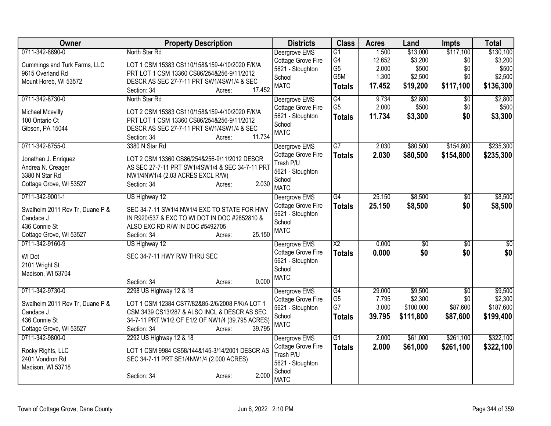| Owner                                        | <b>Property Description</b>                                                                     | <b>Districts</b>   | <b>Class</b>    | <b>Acres</b> | Land            | Impts           | <b>Total</b>    |
|----------------------------------------------|-------------------------------------------------------------------------------------------------|--------------------|-----------------|--------------|-----------------|-----------------|-----------------|
| 0711-342-8690-0                              | North Star Rd                                                                                   | Deergrove EMS      | G1              | 1.500        | \$13,000        | \$117,100       | \$130,100       |
| Cummings and Turk Farms, LLC                 | LOT 1 CSM 15383 CS110/158&159-4/10/2020 F/K/A                                                   | Cottage Grove Fire | G4              | 12.652       | \$3,200         | \$0             | \$3,200         |
| 9615 Overland Rd                             | PRT LOT 1 CSM 13360 CS86/254&256-9/11/2012                                                      | 5621 - Stoughton   | G <sub>5</sub>  | 2.000        | \$500           | \$0             | \$500           |
| Mount Horeb, WI 53572                        | DESCR AS SEC 27-7-11 PRT SW1/4SW1/4 & SEC                                                       | School             | G5M             | 1.300        | \$2,500         | \$0             | \$2,500         |
|                                              | 17.452<br>Section: 34<br>Acres:                                                                 | <b>MATC</b>        | <b>Totals</b>   | 17.452       | \$19,200        | \$117,100       | \$136,300       |
| 0711-342-8730-0                              | North Star Rd                                                                                   | Deergrove EMS      | G4              | 9.734        | \$2,800         | $\overline{50}$ | \$2,800         |
| Michael Mcevilly                             | LOT 2 CSM 15383 CS110/158&159-4/10/2020 F/K/A                                                   | Cottage Grove Fire | G <sub>5</sub>  | 2.000        | \$500           | \$0             | \$500           |
| 100 Ontario Ct                               | PRT LOT 1 CSM 13360 CS86/254&256-9/11/2012                                                      | 5621 - Stoughton   | <b>Totals</b>   | 11.734       | \$3,300         | \$0             | \$3,300         |
| Gibson, PA 15044                             | DESCR AS SEC 27-7-11 PRT SW1/4SW1/4 & SEC                                                       | School             |                 |              |                 |                 |                 |
|                                              | 11.734<br>Section: 34<br>Acres:                                                                 | <b>MATC</b>        |                 |              |                 |                 |                 |
| 0711-342-8755-0                              | 3380 N Star Rd                                                                                  | Deergrove EMS      | $\overline{G7}$ | 2.030        | \$80,500        | \$154,800       | \$235,300       |
|                                              |                                                                                                 | Cottage Grove Fire | <b>Totals</b>   | 2.030        | \$80,500        | \$154,800       | \$235,300       |
| Jonathan J. Enriquez                         | LOT 2 CSM 13360 CS86/254&256-9/11/2012 DESCR                                                    | Trash P/U          |                 |              |                 |                 |                 |
| Andrea N. Creager<br>3380 N Star Rd          | AS SEC 27-7-11 PRT SW1/4SW1/4 & SEC 34-7-11 PRT                                                 | 5621 - Stoughton   |                 |              |                 |                 |                 |
| Cottage Grove, WI 53527                      | NW1/4NW1/4 (2.03 ACRES EXCL R/W)<br>2.030<br>Section: 34<br>Acres:                              | School             |                 |              |                 |                 |                 |
|                                              |                                                                                                 | <b>MATC</b>        |                 |              |                 |                 |                 |
| 0711-342-9001-1                              | US Highway 12                                                                                   | Deergrove EMS      | G4              | 25.150       | \$8,500         | $\overline{30}$ | \$8,500         |
| Swalheim 2011 Rev Tr, Duane P &              | SEC 34-7-11 SW1/4 NW1/4 EXC TO STATE FOR HWY                                                    | Cottage Grove Fire | <b>Totals</b>   | 25.150       | \$8,500         | \$0             | \$8,500         |
| Candace J                                    | IN R920/537 & EXC TO WI DOT IN DOC #2852810 &                                                   | 5621 - Stoughton   |                 |              |                 |                 |                 |
| 436 Connie St                                | ALSO EXC RD R/W IN DOC #5492705                                                                 | School             |                 |              |                 |                 |                 |
| Cottage Grove, WI 53527                      | 25.150<br>Section: 34<br>Acres:                                                                 | <b>MATC</b>        |                 |              |                 |                 |                 |
| 0711-342-9160-9                              | US Highway 12                                                                                   | Deergrove EMS      | $\overline{X2}$ | 0.000        | $\overline{50}$ | $\overline{50}$ | $\overline{50}$ |
| WI Dot                                       | SEC 34-7-11 HWY R/W THRU SEC                                                                    | Cottage Grove Fire | <b>Totals</b>   | 0.000        | \$0             | \$0             | \$0             |
| 2101 Wright St                               |                                                                                                 | 5621 - Stoughton   |                 |              |                 |                 |                 |
| Madison, WI 53704                            |                                                                                                 | School             |                 |              |                 |                 |                 |
|                                              | 0.000<br>Section: 34<br>Acres:                                                                  | <b>MATC</b>        |                 |              |                 |                 |                 |
| 0711-342-9730-0                              | 2298 US Highway 12 & 18                                                                         | Deergrove EMS      | G4              | 29.000       | \$9,500         | $\overline{30}$ | \$9,500         |
|                                              |                                                                                                 | Cottage Grove Fire | G <sub>5</sub>  | 7.795        | \$2,300         | \$0             | \$2,300         |
| Swalheim 2011 Rev Tr, Duane P &<br>Candace J | LOT 1 CSM 12384 CS77/82&85-2/6/2008 F/K/A LOT 1<br>CSM 3439 CS13/287 & ALSO INCL & DESCR AS SEC | 5621 - Stoughton   | G7              | 3.000        | \$100,000       | \$87,600        | \$187,600       |
| 436 Connie St                                | 34-7-11 PRT W1/2 OF E1/2 OF NW1/4 (39.795 ACRES)                                                | School             | <b>Totals</b>   | 39.795       | \$111,800       | \$87,600        | \$199,400       |
| Cottage Grove, WI 53527                      | 39.795<br>Section: 34<br>Acres:                                                                 | <b>MATC</b>        |                 |              |                 |                 |                 |
| 0711-342-9800-0                              | 2292 US Highway 12 & 18                                                                         | Deergrove EMS      | $\overline{G1}$ | 2.000        | \$61,000        | \$261,100       | \$322,100       |
|                                              |                                                                                                 | Cottage Grove Fire | <b>Totals</b>   | 2.000        | \$61,000        | \$261,100       | \$322,100       |
| Rocky Rights, LLC                            | LOT 1 CSM 9984 CS58/144&145-3/14/2001 DESCR AS                                                  | Trash P/U          |                 |              |                 |                 |                 |
| 2401 Vondron Rd                              | SEC 34-7-11 PRT SE1/4NW1/4 (2.000 ACRES)                                                        | 5621 - Stoughton   |                 |              |                 |                 |                 |
| Madison, WI 53718                            | 2.000                                                                                           | School             |                 |              |                 |                 |                 |
|                                              | Section: 34<br>Acres:                                                                           | <b>MATC</b>        |                 |              |                 |                 |                 |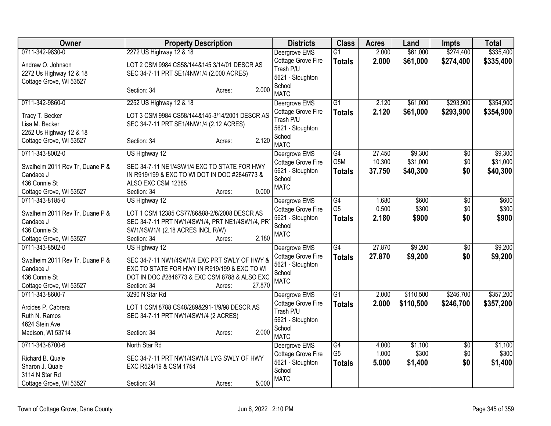| Owner                                                                                                       | <b>Property Description</b>                                                                                                                                                             |        | <b>Districts</b>                                                                              | <b>Class</b>                                       | <b>Acres</b>            | Land                        | <b>Impts</b>                  | <b>Total</b>                |
|-------------------------------------------------------------------------------------------------------------|-----------------------------------------------------------------------------------------------------------------------------------------------------------------------------------------|--------|-----------------------------------------------------------------------------------------------|----------------------------------------------------|-------------------------|-----------------------------|-------------------------------|-----------------------------|
| 0711-342-9830-0                                                                                             | 2272 US Highway 12 & 18                                                                                                                                                                 |        | Deergrove EMS                                                                                 | $\overline{G1}$                                    | 2.000                   | \$61,000                    | \$274,400                     | \$335,400                   |
| Andrew O. Johnson<br>2272 Us Highway 12 & 18<br>Cottage Grove, WI 53527                                     | LOT 2 CSM 9984 CS58/144&145 3/14/01 DESCR AS<br>SEC 34-7-11 PRT SE1/4NW1/4 (2.000 ACRES)                                                                                                |        | Cottage Grove Fire<br>Trash P/U<br>5621 - Stoughton                                           | <b>Totals</b>                                      | 2.000                   | \$61,000                    | \$274,400                     | \$335,400                   |
|                                                                                                             | Section: 34<br>Acres:                                                                                                                                                                   | 2.000  | School<br><b>MATC</b>                                                                         |                                                    |                         |                             |                               |                             |
| 0711-342-9860-0                                                                                             | 2252 US Highway 12 & 18                                                                                                                                                                 |        | Deergrove EMS                                                                                 | $\overline{G1}$                                    | 2.120                   | \$61,000                    | \$293,900                     | \$354,900                   |
| Tracy T. Becker<br>Lisa M. Becker<br>2252 Us Highway 12 & 18<br>Cottage Grove, WI 53527                     | LOT 3 CSM 9984 CS58/144&145-3/14/2001 DESCR AS<br>SEC 34-7-11 PRT SE1/4NW1/4 (2.12 ACRES)<br>Section: 34<br>Acres:                                                                      | 2.120  | Cottage Grove Fire<br>Trash P/U<br>5621 - Stoughton<br>School<br><b>MATC</b>                  | <b>Totals</b>                                      | 2.120                   | \$61,000                    | \$293,900                     | \$354,900                   |
| 0711-343-8002-0                                                                                             | US Highway 12                                                                                                                                                                           |        | Deergrove EMS                                                                                 | $\overline{G4}$                                    | 27.450                  | \$9,300                     | \$0                           | \$9,300                     |
| Swalheim 2011 Rev Tr, Duane P &<br>Candace J                                                                | SEC 34-7-11 NE1/4SW1/4 EXC TO STATE FOR HWY<br>IN R919/199 & EXC TO WI DOT IN DOC #2846773 &                                                                                            |        | Cottage Grove Fire<br>5621 - Stoughton<br>School                                              | G5M<br><b>Totals</b>                               | 10.300<br>37.750        | \$31,000<br>\$40,300        | \$0<br>\$0                    | \$31,000<br>\$40,300        |
| 436 Connie St                                                                                               | ALSO EXC CSM 12385                                                                                                                                                                      |        | <b>MATC</b>                                                                                   |                                                    |                         |                             |                               |                             |
| Cottage Grove, WI 53527                                                                                     | Section: 34<br>Acres:                                                                                                                                                                   | 0.000  |                                                                                               |                                                    |                         |                             |                               |                             |
| 0711-343-8185-0<br>Swalheim 2011 Rev Tr, Duane P &<br>Candace J<br>436 Connie St<br>Cottage Grove, WI 53527 | US Highway 12<br>LOT 1 CSM 12385 CS77/86&88-2/6/2008 DESCR AS<br>SEC 34-7-11 PRT NW1/4SW1/4, PRT NE1/4SW1/4, PR<br>SW1/4SW1/4 (2.18 ACRES INCL R/W)<br>Section: 34<br>Acres:            | 2.180  | Deergrove EMS<br>Cottage Grove Fire<br>5621 - Stoughton<br>School<br><b>MATC</b>              | $\overline{G4}$<br>G <sub>5</sub><br><b>Totals</b> | 1.680<br>0.500<br>2.180 | \$600<br>\$300<br>\$900     | $\overline{50}$<br>\$0<br>\$0 | \$600<br>\$300<br>\$900     |
| 0711-343-8502-0<br>Swalheim 2011 Rev Tr, Duane P &<br>Candace J<br>436 Connie St<br>Cottage Grove, WI 53527 | US Highway 12<br>SEC 34-7-11 NW1/4SW1/4 EXC PRT SWLY OF HWY &<br>EXC TO STATE FOR HWY IN R919/199 & EXC TO WI<br>DOT IN DOC #2846773 & EXC CSM 8788 & ALSO EXC<br>Section: 34<br>Acres: | 27,870 | Deergrove EMS<br>Cottage Grove Fire<br>5621 - Stoughton<br>School<br><b>MATC</b>              | $\overline{G4}$<br><b>Totals</b>                   | 27.870<br>27.870        | \$9,200<br>\$9,200          | $\overline{50}$<br>\$0        | \$9,200<br>\$9,200          |
| 0711-343-8600-7<br>Arcides P. Cabrera<br>Ruth N. Ramos<br>4624 Stein Ave<br>Madison, WI 53714               | 3290 N Star Rd<br>LOT 1 CSM 8788 CS48/289&291-1/9/98 DESCR AS<br>SEC 34-7-11 PRT NW1/4SW1/4 (2 ACRES)<br>Section: 34<br>Acres:                                                          | 2.000  | Deergrove EMS<br>Cottage Grove Fire<br>Trash P/U<br>5621 - Stoughton<br>School<br><b>MATC</b> | $\overline{G1}$<br><b>Totals</b>                   | 2.000<br>2.000          | \$110,500<br>\$110,500      | \$246,700<br>\$246,700        | \$357,200<br>\$357,200      |
| 0711-343-8700-6<br>Richard B. Quale<br>Sharon J. Quale<br>3114 N Star Rd<br>Cottage Grove, WI 53527         | North Star Rd<br>SEC 34-7-11 PRT NW1/4SW1/4 LYG SWLY OF HWY<br>EXC R524/19 & CSM 1754<br>Section: 34<br>Acres:                                                                          | 5.000  | Deergrove EMS<br>Cottage Grove Fire<br>5621 - Stoughton<br>School<br><b>MATC</b>              | G4<br>G <sub>5</sub><br><b>Totals</b>              | 4.000<br>1.000<br>5.000 | \$1,100<br>\$300<br>\$1,400 | \$0<br>\$0<br>\$0             | \$1,100<br>\$300<br>\$1,400 |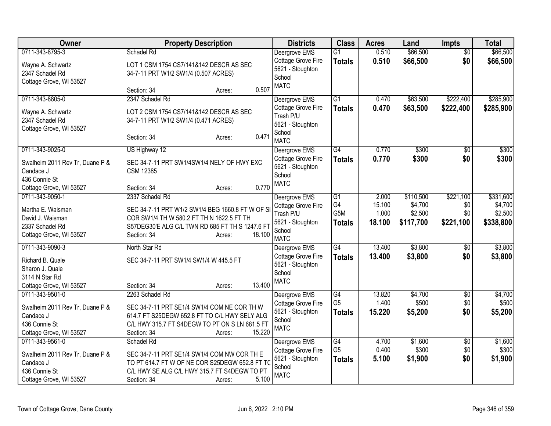| Owner                           | <b>Property Description</b>                      | <b>Districts</b>                       | <b>Class</b>         | <b>Acres</b>    | Land                 | <b>Impts</b>           | <b>Total</b>     |
|---------------------------------|--------------------------------------------------|----------------------------------------|----------------------|-----------------|----------------------|------------------------|------------------|
| 0711-343-8795-3                 | Schadel Rd                                       | Deergrove EMS                          | $\overline{G1}$      | 0.510           | \$66,500             | $\overline{50}$        | \$66,500         |
| Wayne A. Schwartz               | LOT 1 CSM 1754 CS7/141&142 DESCR AS SEC          | Cottage Grove Fire                     | <b>Totals</b>        | 0.510           | \$66,500             | \$0                    | \$66,500         |
| 2347 Schadel Rd                 | 34-7-11 PRT W1/2 SW1/4 (0.507 ACRES)             | 5621 - Stoughton<br>School             |                      |                 |                      |                        |                  |
| Cottage Grove, WI 53527         |                                                  | <b>MATC</b>                            |                      |                 |                      |                        |                  |
|                                 | 0.507<br>Section: 34<br>Acres:                   |                                        |                      |                 |                      |                        |                  |
| 0711-343-8805-0                 | 2347 Schadel Rd                                  | Deergrove EMS                          | G1                   | 0.470           | \$63,500             | \$222,400              | \$285,900        |
| Wayne A. Schwartz               | LOT 2 CSM 1754 CS7/141&142 DESCR AS SEC          | Cottage Grove Fire<br>Trash P/U        | <b>Totals</b>        | 0.470           | \$63,500             | \$222,400              | \$285,900        |
| 2347 Schadel Rd                 | 34-7-11 PRT W1/2 SW1/4 (0.471 ACRES)             | 5621 - Stoughton                       |                      |                 |                      |                        |                  |
| Cottage Grove, WI 53527         |                                                  | School                                 |                      |                 |                      |                        |                  |
|                                 | 0.471<br>Section: 34<br>Acres:                   | <b>MATC</b>                            |                      |                 |                      |                        |                  |
| 0711-343-9025-0                 | US Highway 12                                    | Deergrove EMS                          | G4                   | 0.770           | \$300                | $\overline{30}$        | \$300            |
| Swalheim 2011 Rev Tr, Duane P & | SEC 34-7-11 PRT SW1/4SW1/4 NELY OF HWY EXC       | Cottage Grove Fire                     | <b>Totals</b>        | 0.770           | \$300                | \$0                    | \$300            |
| Candace J                       | <b>CSM 12385</b>                                 | 5621 - Stoughton                       |                      |                 |                      |                        |                  |
| 436 Connie St                   |                                                  | School<br><b>MATC</b>                  |                      |                 |                      |                        |                  |
| Cottage Grove, WI 53527         | 0.770<br>Section: 34<br>Acres:                   |                                        |                      |                 |                      |                        |                  |
| 0711-343-9050-1                 | 2337 Schadel Rd                                  | Deergrove EMS                          | G1                   | 2.000           | \$110,500            | \$221,100              | \$331,600        |
| Martha E. Waisman               | SEC 34-7-11 PRT W1/2 SW1/4 BEG 1660.8 FT W OF SI | Cottage Grove Fire                     | G4                   | 15.100          | \$4,700              | \$0                    | \$4,700          |
| David J. Waisman                | COR SW1/4 TH W 580.2 FT TH N 1622.5 FT TH        | Trash P/U                              | G5M                  | 1.000<br>18.100 | \$2,500<br>\$117,700 | \$0<br>\$221,100       | \$2,500          |
| 2337 Schadel Rd                 | S57DEG30'E ALG C/L TWN RD 685 FT TH S 1247.6 FT  | 5621 - Stoughton<br>School             | <b>Totals</b>        |                 |                      |                        | \$338,800        |
| Cottage Grove, WI 53527         | 18.100<br>Section: 34<br>Acres:                  | <b>MATC</b>                            |                      |                 |                      |                        |                  |
| 0711-343-9090-3                 | North Star Rd                                    | Deergrove EMS                          | $\overline{G4}$      | 13.400          | \$3,800              | \$0                    | \$3,800          |
| Richard B. Quale                | SEC 34-7-11 PRT SW1/4 SW1/4 W 445.5 FT           | Cottage Grove Fire                     | <b>Totals</b>        | 13.400          | \$3,800              | \$0                    | \$3,800          |
| Sharon J. Quale                 |                                                  | 5621 - Stoughton                       |                      |                 |                      |                        |                  |
| 3114 N Star Rd                  |                                                  | School<br><b>MATC</b>                  |                      |                 |                      |                        |                  |
| Cottage Grove, WI 53527         | 13.400<br>Section: 34<br>Acres:                  |                                        |                      |                 |                      |                        |                  |
| 0711-343-9501-0                 | 2263 Schadel Rd                                  | Deergrove EMS                          | G4                   | 13.820          | \$4,700              | $\sqrt{6}$             | \$4,700          |
| Swalheim 2011 Rev Tr, Duane P & | SEC 34-7-11 PRT SE1/4 SW1/4 COM NE COR TH W      | Cottage Grove Fire                     | G <sub>5</sub>       | 1.400           | \$500                | \$0                    | \$500            |
| Candace J                       | 614.7 FT S25DEGW 652.8 FT TO C/L HWY SELY ALG    | 5621 - Stoughton<br>School             | <b>Totals</b>        | 15.220          | \$5,200              | \$0                    | \$5,200          |
| 436 Connie St                   | C/L HWY 315.7 FT S4DEGW TO PT ON S LN 681.5 FT   | <b>MATC</b>                            |                      |                 |                      |                        |                  |
| Cottage Grove, WI 53527         | 15.220<br>Section: 34<br>Acres:                  |                                        |                      |                 |                      |                        |                  |
| 0711-343-9561-0                 | Schadel Rd                                       | Deergrove EMS                          | G4<br>G <sub>5</sub> | 4.700<br>0.400  | \$1,600<br>\$300     | $\overline{60}$<br>\$0 | \$1,600<br>\$300 |
| Swalheim 2011 Rev Tr, Duane P & | SEC 34-7-11 PRT SE1/4 SW1/4 COM NW COR TH E      | Cottage Grove Fire<br>5621 - Stoughton | <b>Totals</b>        | 5.100           | \$1,900              | \$0                    | \$1,900          |
| Candace J                       | TO PT 614.7 FT W OF NE COR S25DEGW 652.8 FT TO   | School                                 |                      |                 |                      |                        |                  |
| 436 Connie St                   | C/L HWY SE ALG C/L HWY 315.7 FT S4DEGW TO PT     | <b>MATC</b>                            |                      |                 |                      |                        |                  |
| Cottage Grove, WI 53527         | 5.100<br>Section: 34<br>Acres:                   |                                        |                      |                 |                      |                        |                  |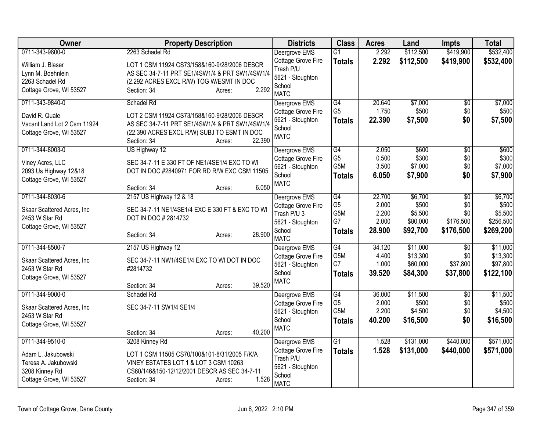| Owner                       | <b>Property Description</b>                     | <b>Districts</b>           | <b>Class</b>     | <b>Acres</b> | Land      | <b>Impts</b>    | <b>Total</b> |
|-----------------------------|-------------------------------------------------|----------------------------|------------------|--------------|-----------|-----------------|--------------|
| 0711-343-9800-0             | 2263 Schadel Rd                                 | Deergrove EMS              | $\overline{G1}$  | 2.292        | \$112,500 | \$419,900       | \$532,400    |
| William J. Blaser           | LOT 1 CSM 11924 CS73/158&160-9/28/2006 DESCR    | Cottage Grove Fire         | <b>Totals</b>    | 2.292        | \$112,500 | \$419,900       | \$532,400    |
| Lynn M. Boehnlein           | AS SEC 34-7-11 PRT SE1/4SW1/4 & PRT SW1/4SW1/4  | Trash P/U                  |                  |              |           |                 |              |
| 2263 Schadel Rd             | (2.292 ACRES EXCL R/W) TOG W/ESMT IN DOC        | 5621 - Stoughton<br>School |                  |              |           |                 |              |
| Cottage Grove, WI 53527     | 2.292<br>Section: 34<br>Acres:                  | <b>MATC</b>                |                  |              |           |                 |              |
| 0711-343-9840-0             | Schadel Rd                                      | Deergrove EMS              | G4               | 20.640       | \$7,000   | $\sqrt{6}$      | \$7,000      |
| David R. Quale              | LOT 2 CSM 11924 CS73/158&160-9/28/2006 DESCR    | Cottage Grove Fire         | G <sub>5</sub>   | 1.750        | \$500     | \$0             | \$500        |
| Vacant Land Lot 2 Csm 11924 | AS SEC 34-7-11 PRT SE1/4SW1/4 & PRT SW1/4SW1/4  | 5621 - Stoughton           | <b>Totals</b>    | 22,390       | \$7,500   | \$0             | \$7,500      |
| Cottage Grove, WI 53527     | (22.390 ACRES EXCL R/W) SUBJ TO ESMT IN DOC     | School<br><b>MATC</b>      |                  |              |           |                 |              |
|                             | 22.390<br>Section: 34<br>Acres:                 |                            |                  |              |           |                 |              |
| 0711-344-8003-0             | US Highway 12                                   | Deergrove EMS              | G4               | 2.050        | \$600     | $\overline{60}$ | \$600        |
| Viney Acres, LLC            | SEC 34-7-11 E 330 FT OF NE1/4SE1/4 EXC TO WI    | Cottage Grove Fire         | G <sub>5</sub>   | 0.500        | \$300     | \$0             | \$300        |
| 2093 Us Highway 12&18       | DOT IN DOC #2840971 FOR RD R/W EXC CSM 11505    | 5621 - Stoughton           | G <sub>5</sub> M | 3.500        | \$7,000   | \$0             | \$7,000      |
| Cottage Grove, WI 53527     |                                                 | School                     | <b>Totals</b>    | 6.050        | \$7,900   | \$0             | \$7,900      |
|                             | 6.050<br>Section: 34<br>Acres:                  | <b>MATC</b>                |                  |              |           |                 |              |
| 0711-344-8030-6             | 2157 US Highway 12 & 18                         | Deergrove EMS              | G4               | 22.700       | \$6,700   | $\overline{50}$ | \$6,700      |
| Skaar Scattered Acres, Inc  | SEC 34-7-11 NE1/4SE1/4 EXC E 330 FT & EXC TO WI | Cottage Grove Fire         | G <sub>5</sub>   | 2.000        | \$500     | \$0             | \$500        |
| 2453 W Star Rd              | DOT IN DOC # 2814732                            | Trash P/U 3                | G5M              | 2.200        | \$5,500   | \$0             | \$5,500      |
| Cottage Grove, WI 53527     |                                                 | 5621 - Stoughton           | G7               | 2.000        | \$80,000  | \$176,500       | \$256,500    |
|                             | 28.900<br>Section: 34<br>Acres:                 | School<br><b>MATC</b>      | <b>Totals</b>    | 28.900       | \$92,700  | \$176,500       | \$269,200    |
| 0711-344-8500-7             | 2157 US Highway 12                              | Deergrove EMS              | $\overline{G4}$  | 34.120       | \$11,000  | $\overline{50}$ | \$11,000     |
| Skaar Scattered Acres, Inc  | SEC 34-7-11 NW1/4SE1/4 EXC TO WI DOT IN DOC     | Cottage Grove Fire         | G <sub>5</sub> M | 4.400        | \$13,300  | \$0             | \$13,300     |
| 2453 W Star Rd              | #2814732                                        | 5621 - Stoughton           | G7               | 1.000        | \$60,000  | \$37,800        | \$97,800     |
| Cottage Grove, WI 53527     |                                                 | School                     | <b>Totals</b>    | 39.520       | \$84,300  | \$37,800        | \$122,100    |
|                             | 39.520<br>Section: 34<br>Acres:                 | <b>MATC</b>                |                  |              |           |                 |              |
| 0711-344-9000-0             | Schadel Rd                                      | Deergrove EMS              | $\overline{G4}$  | 36.000       | \$11,500  | $\overline{50}$ | \$11,500     |
| Skaar Scattered Acres, Inc  | SEC 34-7-11 SW1/4 SE1/4                         | Cottage Grove Fire         | G <sub>5</sub>   | 2.000        | \$500     | \$0             | \$500        |
| 2453 W Star Rd              |                                                 | 5621 - Stoughton           | G5M              | 2.200        | \$4,500   | \$0             | \$4,500      |
| Cottage Grove, WI 53527     |                                                 | School<br><b>MATC</b>      | <b>Totals</b>    | 40.200       | \$16,500  | \$0             | \$16,500     |
|                             | 40.200<br>Section: 34<br>Acres:                 |                            |                  |              |           |                 |              |
| 0711-344-9510-0             | 3208 Kinney Rd                                  | Deergrove EMS              | $\overline{G1}$  | 1.528        | \$131,000 | \$440,000       | \$571,000    |
| Adam L. Jakubowski          | LOT 1 CSM 11505 CS70/100&101-8/31/2005 F/K/A    | Cottage Grove Fire         | <b>Totals</b>    | 1.528        | \$131,000 | \$440,000       | \$571,000    |
| Teresa A. Jakubowski        | VINEY ESTATES LOT 1 & LOT 3 CSM 10263           | Trash P/U                  |                  |              |           |                 |              |
| 3208 Kinney Rd              | CS60/146&150-12/12/2001 DESCR AS SEC 34-7-11    | 5621 - Stoughton           |                  |              |           |                 |              |
| Cottage Grove, WI 53527     | 1.528<br>Section: 34<br>Acres:                  | School<br><b>MATC</b>      |                  |              |           |                 |              |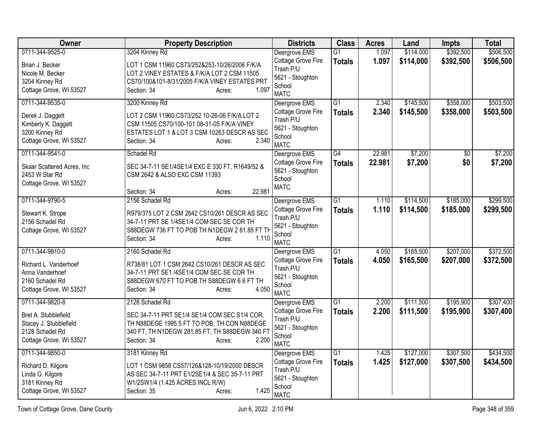| <b>Owner</b>                              | <b>Property Description</b>                                                        | <b>Districts</b>                | <b>Class</b>    | <b>Acres</b> | Land      | Impts           | <b>Total</b> |
|-------------------------------------------|------------------------------------------------------------------------------------|---------------------------------|-----------------|--------------|-----------|-----------------|--------------|
| 0711-344-9525-0                           | 3204 Kinney Rd                                                                     | Deergrove EMS                   | $\overline{G1}$ | 1.097        | \$114,000 | \$392,500       | \$506,500    |
| Brian J. Becker                           | LOT 1 CSM 11960 CS73/252&253-10/26/2006 F/K/A                                      | Cottage Grove Fire<br>Trash P/U | <b>Totals</b>   | 1.097        | \$114,000 | \$392,500       | \$506,500    |
| Nicole M. Becker                          | LOT 2 VINEY ESTATES & F/K/A LOT 2 CSM 11505                                        | 5621 - Stoughton                |                 |              |           |                 |              |
| 3204 Kinney Rd<br>Cottage Grove, WI 53527 | CS70/100&101-8/31/2005 F/K/A VINEY ESTATES PRT<br>1.097<br>Section: 34             | School                          |                 |              |           |                 |              |
|                                           | Acres:                                                                             | <b>MATC</b>                     |                 |              |           |                 |              |
| 0711-344-9535-0                           | 3200 Kinney Rd                                                                     | Deergrove EMS                   | $\overline{G1}$ | 2.340        | \$145,500 | \$358,000       | \$503,500    |
| Derek J. Daggett                          | LOT 2 CSM 11960 CS73/252 10-26-06 F/K/A LOT 2                                      | Cottage Grove Fire<br>Trash P/U | <b>Totals</b>   | 2.340        | \$145,500 | \$358,000       | \$503,500    |
| Kimberly K. Daggett                       | CSM 11505 CS70/100-101 08-31-05 F/K/A VINEY                                        | 5621 - Stoughton                |                 |              |           |                 |              |
| 3200 Kinney Rd                            | ESTATES LOT 1 & LOT 3 CSM 10263 DESCR AS SEC                                       | School                          |                 |              |           |                 |              |
| Cottage Grove, WI 53527                   | 2.340<br>Section: 34<br>Acres:                                                     | <b>MATC</b>                     |                 |              |           |                 |              |
| 0711-344-9541-0                           | Schadel Rd                                                                         | Deergrove EMS                   | G4              | 22.981       | \$7,200   | $\overline{50}$ | \$7,200      |
| Skaar Scattered Acres, Inc                | SEC 34-7-11 SE1/4SE1/4 EXC E 330 FT, R1649/52 &                                    | Cottage Grove Fire              | <b>Totals</b>   | 22.981       | \$7,200   | \$0             | \$7,200      |
| 2453 W Star Rd                            | CSM 2642 & ALSO EXC CSM 11393                                                      | 5621 - Stoughton                |                 |              |           |                 |              |
| Cottage Grove, WI 53527                   |                                                                                    | School<br><b>MATC</b>           |                 |              |           |                 |              |
|                                           | 22.981<br>Section: 34<br>Acres:                                                    |                                 |                 |              |           |                 |              |
| 0711-344-9790-5                           | 2156 Schadel Rd                                                                    | Deergrove EMS                   | $\overline{G1}$ | 1.110        | \$114,500 | \$185,000       | \$299,500    |
| Stewart K. Strope                         | R979/375 LOT 2 CSM 2642 CS10/261 DESCR AS SEC                                      | Cottage Grove Fire              | <b>Totals</b>   | 1.110        | \$114,500 | \$185,000       | \$299,500    |
| 2156 Schadel Rd                           | 34-7-11 PRT SE 1/4SE1/4 COM SEC SE COR TH                                          | Trash P/U<br>5621 - Stoughton   |                 |              |           |                 |              |
| Cottage Grove, WI 53527                   | S88DEGW 736 FT TO POB TH N1DEGW 2 81.85 FT TH                                      | School                          |                 |              |           |                 |              |
|                                           | 1.110<br>Section: 34<br>Acres:                                                     | <b>MATC</b>                     |                 |              |           |                 |              |
| 0711-344-9810-0                           | 2160 Schadel Rd                                                                    | Deergrove EMS                   | G <sub>1</sub>  | 4.050        | \$165,500 | \$207,000       | \$372,500    |
| Richard L. Vanderhoef                     | R738/81 LOT 1 CSM 2642 CS10/261 DESCR AS SEC                                       | Cottage Grove Fire              | <b>Totals</b>   | 4.050        | \$165,500 | \$207,000       | \$372,500    |
| Anna Vanderhoef                           | 34-7-11 PRT SE1/4SE1/4 COM SEC SE COR TH                                           | Trash P/U                       |                 |              |           |                 |              |
| 2160 Schadel Rd                           | S88DEGW 670 FT TO POB TH S88DEGW 6 6 FT TH                                         | 5621 - Stoughton<br>School      |                 |              |           |                 |              |
| Cottage Grove, WI 53527                   | 4.050<br>Section: 34<br>Acres:                                                     | <b>MATC</b>                     |                 |              |           |                 |              |
| 0711-344-9820-8                           | 2128 Schadel Rd                                                                    | Deergrove EMS                   | $\overline{G1}$ | 2.200        | \$111,500 | \$195,900       | \$307,400    |
| Bret A. Stubblefield                      | SEC 34-7-11 PRT SE1/4 SE1/4 COM SEC S1/4 COR,                                      | Cottage Grove Fire              | <b>Totals</b>   | 2.200        | \$111,500 | \$195,900       | \$307,400    |
| Stacey J. Stubblefield                    | TH N88DEGE 1995.5 FT TO POB, TH CON N88DEGE                                        | Trash P/U                       |                 |              |           |                 |              |
| 2128 Schadel Rd                           | 340 FT, TH N1DEGW 281.85 FT, TH S88DEGW 340 FT                                     | 5621 - Stoughton                |                 |              |           |                 |              |
| Cottage Grove, WI 53527                   | Section: 34<br>2.200<br>Acres:                                                     | School<br><b>MATC</b>           |                 |              |           |                 |              |
| 0711-344-9850-0                           | 3181 Kinney Rd                                                                     | Deergrove EMS                   | $\overline{G1}$ | 1.425        | \$127,000 | \$307,500       | \$434,500    |
|                                           |                                                                                    | Cottage Grove Fire              | <b>Totals</b>   | 1.425        | \$127,000 | \$307,500       | \$434,500    |
| Richard D. Kilgore                        | LOT 1 CSM 9858 CS57/126&128-10/19/2000 DESCR                                       | Trash P/U                       |                 |              |           |                 |              |
| Linda G. Kilgore<br>3181 Kinney Rd        | AS SEC 34-7-11 PRT E1/2SE1/4 & SEC 35-7-11 PRT<br>W1/2SW1/4 (1.425 ACRES INCL R/W) | 5621 - Stoughton                |                 |              |           |                 |              |
| Cottage Grove, WI 53527                   | 1.425<br>Section: 35<br>Acres:                                                     | School                          |                 |              |           |                 |              |
|                                           |                                                                                    | <b>MATC</b>                     |                 |              |           |                 |              |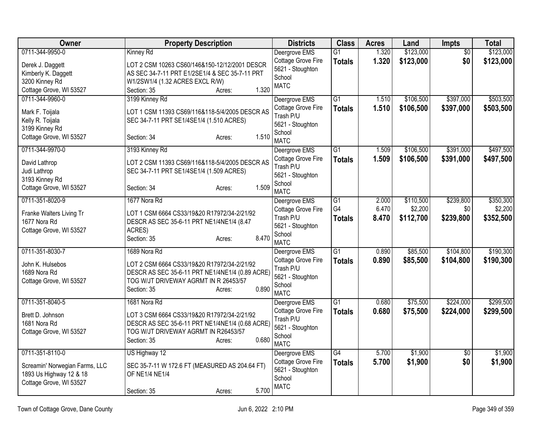| Owner                                                                                                   | <b>Property Description</b>                                                                                                                                                               | <b>Districts</b>                                                                              | <b>Class</b>                           | <b>Acres</b>            | Land                              | Impts                         | <b>Total</b>                      |
|---------------------------------------------------------------------------------------------------------|-------------------------------------------------------------------------------------------------------------------------------------------------------------------------------------------|-----------------------------------------------------------------------------------------------|----------------------------------------|-------------------------|-----------------------------------|-------------------------------|-----------------------------------|
| 0711-344-9950-0<br>Derek J. Daggett<br>Kimberly K. Daggett<br>3200 Kinney Rd<br>Cottage Grove, WI 53527 | Kinney Rd<br>LOT 2 CSM 10263 CS60/146&150-12/12/2001 DESCR<br>AS SEC 34-7-11 PRT E1/2SE1/4 & SEC 35-7-11 PRT<br>W1/2SW1/4 (1.32 ACRES EXCL R/W)<br>1.320<br>Section: 35<br>Acres:         | Deergrove EMS<br>Cottage Grove Fire<br>5621 - Stoughton<br>School<br><b>MATC</b>              | $\overline{G1}$<br><b>Totals</b>       | 1.320<br>1.320          | \$123,000<br>\$123,000            | $\overline{50}$<br>\$0        | \$123,000<br>\$123,000            |
| 0711-344-9960-0<br>Mark F. Toijala<br>Kelly R. Toijala<br>3199 Kinney Rd<br>Cottage Grove, WI 53527     | 3199 Kinney Rd<br>LOT 1 CSM 11393 CS69/116&118-5/4/2005 DESCR AS<br>SEC 34-7-11 PRT SE1/4SE1/4 (1.510 ACRES)<br>1.510<br>Section: 34<br>Acres:                                            | Deergrove EMS<br>Cottage Grove Fire<br>Trash P/U<br>5621 - Stoughton<br>School<br><b>MATC</b> | $\overline{G1}$<br><b>Totals</b>       | 1.510<br>1.510          | \$106,500<br>\$106,500            | \$397,000<br>\$397,000        | \$503,500<br>\$503,500            |
| 0711-344-9970-0<br>David Lathrop<br>Judi Lathrop<br>3193 Kinney Rd<br>Cottage Grove, WI 53527           | 3193 Kinney Rd<br>LOT 2 CSM 11393 CS69/116&118-5/4/2005 DESCR AS<br>SEC 34-7-11 PRT SE1/4SE1/4 (1.509 ACRES)<br>1.509<br>Section: 34<br>Acres:                                            | Deergrove EMS<br>Cottage Grove Fire<br>Trash P/U<br>5621 - Stoughton<br>School<br><b>MATC</b> | $\overline{G1}$<br><b>Totals</b>       | 1.509<br>1.509          | \$106,500<br>\$106,500            | \$391,000<br>\$391,000        | \$497,500<br>\$497,500            |
| 0711-351-8020-9<br>Franke Walters Living Tr<br>1677 Nora Rd<br>Cottage Grove, WI 53527                  | 1677 Nora Rd<br>LOT 1 CSM 6664 CS33/19&20 R17972/34-2/21/92<br>DESCR AS SEC 35-6-11 PRT NE1/4NE1/4 (8.47<br>ACRES)<br>8.470<br>Section: 35<br>Acres:                                      | Deergrove EMS<br>Cottage Grove Fire<br>Trash P/U<br>5621 - Stoughton<br>School<br><b>MATC</b> | $\overline{G1}$<br>G4<br><b>Totals</b> | 2.000<br>6.470<br>8.470 | \$110,500<br>\$2,200<br>\$112,700 | \$239,800<br>\$0<br>\$239,800 | \$350,300<br>\$2,200<br>\$352,500 |
| 0711-351-8030-7<br>John K. Hulsebos<br>1689 Nora Rd<br>Cottage Grove, WI 53527                          | 1689 Nora Rd<br>LOT 2 CSM 6664 CS33/19&20 R17972/34-2/21/92<br>DESCR AS SEC 35-6-11 PRT NE1/4NE1/4 (0.89 ACRE)<br>TOG W/JT DRIVEWAY AGRMT IN R 26453/57<br>0.890<br>Section: 35<br>Acres: | Deergrove EMS<br>Cottage Grove Fire<br>Trash P/U<br>5621 - Stoughton<br>School<br><b>MATC</b> | $\overline{G1}$<br><b>Totals</b>       | 0.890<br>0.890          | \$85,500<br>\$85,500              | \$104,800<br>\$104,800        | \$190,300<br>\$190,300            |
| 0711-351-8040-5<br>Brett D. Johnson<br>1681 Nora Rd<br>Cottage Grove, WI 53527                          | 1681 Nora Rd<br>LOT 3 CSM 6664 CS33/19&20 R17972/34-2/21/92<br>DESCR AS SEC 35-6-11 PRT NE1/4NE1/4 (0.68 ACRE)<br>TOG W/JT DRIVEWAY AGRMT IN R26453/57<br>0.680<br>Section: 35<br>Acres:  | Deergrove EMS<br>Cottage Grove Fire<br>Trash P/U<br>5621 - Stoughton<br>School<br><b>MATC</b> | $\overline{G1}$<br><b>Totals</b>       | 0.680<br>0.680          | \$75,500<br>\$75,500              | \$224,000<br>\$224,000        | \$299,500<br>\$299,500            |
| 0711-351-8110-0<br>Screamin' Norwegian Farms, LLC<br>1893 Us Highway 12 & 18<br>Cottage Grove, WI 53527 | US Highway 12<br>SEC 35-7-11 W 172.6 FT (MEASURED AS 204.64 FT)<br>OF NE1/4 NE1/4<br>5.700<br>Section: 35<br>Acres:                                                                       | Deergrove EMS<br>Cottage Grove Fire<br>5621 - Stoughton<br>School<br><b>MATC</b>              | G4<br><b>Totals</b>                    | 5.700<br>5.700          | \$1,900<br>\$1,900                | \$0<br>\$0                    | \$1,900<br>\$1,900                |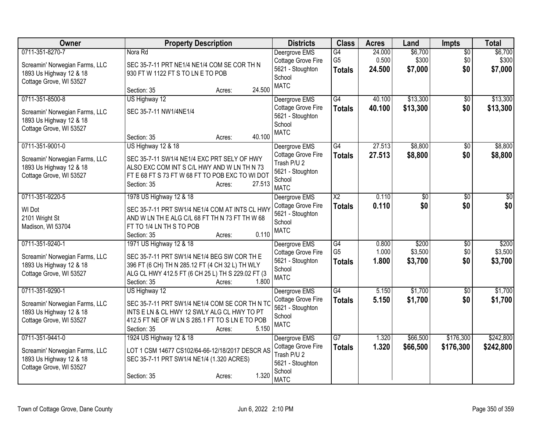| Owner                                                                                                   | <b>Property Description</b>                                                                                                                                                                                      | <b>Districts</b>                                                                                | <b>Class</b>                          | <b>Acres</b>              | Land                        | <b>Impts</b>                  | <b>Total</b>                |
|---------------------------------------------------------------------------------------------------------|------------------------------------------------------------------------------------------------------------------------------------------------------------------------------------------------------------------|-------------------------------------------------------------------------------------------------|---------------------------------------|---------------------------|-----------------------------|-------------------------------|-----------------------------|
| 0711-351-8270-7<br>Screamin' Norwegian Farms, LLC<br>1893 Us Highway 12 & 18<br>Cottage Grove, WI 53527 | Nora Rd<br>SEC 35-7-11 PRT NE1/4 NE1/4 COM SE COR TH N<br>930 FT W 1122 FT S TO LN E TO POB<br>24.500<br>Section: 35<br>Acres:                                                                                   | Deergrove EMS<br>Cottage Grove Fire<br>5621 - Stoughton<br>School<br><b>MATC</b>                | G4<br>G <sub>5</sub><br><b>Totals</b> | 24.000<br>0.500<br>24.500 | \$6,700<br>\$300<br>\$7,000 | $\overline{50}$<br>\$0<br>\$0 | \$6,700<br>\$300<br>\$7,000 |
| 0711-351-8500-8<br>Screamin' Norwegian Farms, LLC<br>1893 Us Highway 12 & 18<br>Cottage Grove, WI 53527 | US Highway 12<br>SEC 35-7-11 NW1/4NE1/4<br>40.100<br>Section: 35<br>Acres:                                                                                                                                       | Deergrove EMS<br>Cottage Grove Fire<br>5621 - Stoughton<br>School<br><b>MATC</b>                | G4<br><b>Totals</b>                   | 40.100<br>40.100          | \$13,300<br>\$13,300        | \$0<br>\$0                    | \$13,300<br>\$13,300        |
| 0711-351-9001-0<br>Screamin' Norwegian Farms, LLC<br>1893 Us Highway 12 & 18<br>Cottage Grove, WI 53527 | US Highway 12 & 18<br>SEC 35-7-11 SW1/4 NE1/4 EXC PRT SELY OF HWY<br>ALSO EXC COM INT S C/L HWY AND W LN TH N 73<br>FT E 68 FT S 73 FT W 68 FT TO POB EXC TO WI DOT<br>27.513<br>Section: 35<br>Acres:           | Deergrove EMS<br>Cottage Grove Fire<br>Trash P/U 2<br>5621 - Stoughton<br>School<br><b>MATC</b> | G4<br><b>Totals</b>                   | 27.513<br>27.513          | \$8,800<br>\$8,800          | $\overline{50}$<br>\$0        | \$8,800<br>\$8,800          |
| 0711-351-9220-5<br>WI Dot<br>2101 Wright St<br>Madison, WI 53704                                        | 1978 US Highway 12 & 18<br>SEC 35-7-11 PRT SW1/4 NE1/4 COM AT INTS CL HWY<br>AND WLN THE ALG C/L 68 FT TH N 73 FT TH W 68<br>FT TO 1/4 LN TH S TO POB<br>0.110<br>Section: 35<br>Acres:                          | Deergrove EMS<br>Cottage Grove Fire<br>5621 - Stoughton<br>School<br><b>MATC</b>                | $\overline{X2}$<br><b>Totals</b>      | 0.110<br>0.110            | $\overline{50}$<br>\$0      | $\overline{50}$<br>\$0        | $\overline{50}$<br>\$0      |
| 0711-351-9240-1<br>Screamin' Norwegian Farms, LLC<br>1893 Us Highway 12 & 18<br>Cottage Grove, WI 53527 | 1971 US Highway 12 & 18<br>SEC 35-7-11 PRT SW1/4 NE1/4 BEG SW COR TH E<br>396 FT (6 CH) TH N 285.12 FT (4 CH 32 L) TH WLY<br>ALG CL HWY 412.5 FT (6 CH 25 L) TH S 229.02 FT (3<br>1.800<br>Section: 35<br>Acres: | Deergrove EMS<br>Cottage Grove Fire<br>5621 - Stoughton<br>School<br><b>MATC</b>                | G4<br>G <sub>5</sub><br><b>Totals</b> | 0.800<br>1.000<br>1.800   | \$200<br>\$3,500<br>\$3,700 | $\overline{50}$<br>\$0<br>\$0 | \$200<br>\$3,500<br>\$3,700 |
| 0711-351-9290-1<br>Screamin' Norwegian Farms, LLC<br>1893 Us Highway 12 & 18<br>Cottage Grove, WI 53527 | US Highway 12<br>SEC 35-7-11 PRT SW1/4 NE1/4 COM SE COR TH N TO<br>INTS E LN & CL HWY 12 SWLY ALG CL HWY TO PT<br>412.5 FT NE OF W LN S 285.1 FT TO S LN E TO POB<br>5.150<br>Section: 35<br>Acres:              | Deergrove EMS<br><b>Cottage Grove Fire</b><br>5621 - Stoughton<br>School<br><b>MATC</b>         | G4<br><b>Totals</b>                   | 5.150<br>5.150            | \$1,700<br>\$1,700          | $\overline{50}$<br>\$0        | \$1,700<br>\$1,700          |
| 0711-351-9441-0<br>Screamin' Norwegian Farms, LLC<br>1893 Us Highway 12 & 18<br>Cottage Grove, WI 53527 | 1924 US Highway 12 & 18<br>LOT 1 CSM 14677 CS102/64-66-12/18/2017 DESCR AS<br>SEC 35-7-11 PRT SW1/4 NE1/4 (1.320 ACRES)<br>1.320<br>Section: 35<br>Acres:                                                        | Deergrove EMS<br>Cottage Grove Fire<br>Trash P/U 2<br>5621 - Stoughton<br>School<br><b>MATC</b> | G7<br><b>Totals</b>                   | 1.320<br>1.320            | \$66,500<br>\$66,500        | \$176,300<br>\$176,300        | \$242,800<br>\$242,800      |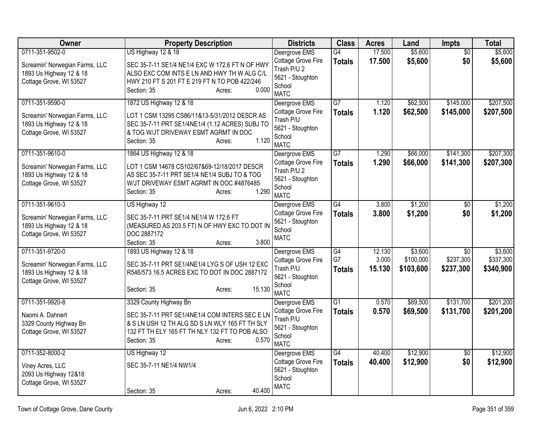| Owner                                                                                                   | <b>Property Description</b>                                                                                                                                                                                    | <b>Districts</b>                                                                                | <b>Class</b>                           | <b>Acres</b>              | Land                              | Impts                         | <b>Total</b>                      |
|---------------------------------------------------------------------------------------------------------|----------------------------------------------------------------------------------------------------------------------------------------------------------------------------------------------------------------|-------------------------------------------------------------------------------------------------|----------------------------------------|---------------------------|-----------------------------------|-------------------------------|-----------------------------------|
| 0711-351-9502-0<br>Screamin' Norwegian Farms, LLC<br>1893 Us Highway 12 & 18<br>Cottage Grove, WI 53527 | US Highway 12 & 18<br>SEC 35-7-11 SE1/4 NE1/4 EXC W 172.6 FT N OF HWY<br>ALSO EXC COM INTS E LN AND HWY TH W ALG C/L<br>HWY 210 FT S 201 FT E 219 FT N TO POB 422/246<br>0.000<br>Section: 35<br>Acres:        | Deergrove EMS<br>Cottage Grove Fire<br>Trash P/U 2<br>5621 - Stoughton<br>School<br><b>MATC</b> | G4<br><b>Totals</b>                    | 17.500<br>17.500          | \$5,600<br>\$5,600                | $\overline{60}$<br>\$0        | \$5,600<br>\$5,600                |
| 0711-351-9590-0<br>Screamin' Norwegian Farms, LLC<br>1893 Us Highway 12 & 18<br>Cottage Grove, WI 53527 | 1872 US Highway 12 & 18<br>LOT 1 CSM 13295 CS86/11&13-5/31/2012 DESCR AS<br>SEC 35-7-11 PRT SE1/4NE1/4 (1.12 ACRES) SUBJ TO<br>& TOG W/JT DRIVEWAY ESMT AGRMT IN DOC<br>1.120<br>Section: 35<br>Acres:         | Deergrove EMS<br>Cottage Grove Fire<br>Trash P/U<br>5621 - Stoughton<br>School<br><b>MATC</b>   | $\overline{G7}$<br><b>Totals</b>       | 1.120<br>1.120            | \$62,500<br>\$62,500              | \$145,000<br>\$145,000        | \$207,500<br>\$207,500            |
| 0711-351-9610-0<br>Screamin' Norwegian Farms, LLC<br>1893 Us Highway 12 & 18<br>Cottage Grove, WI 53527 | 1864 US Highway 12 & 18<br>LOT 1 CSM 14678 CS102/67&69-12/18/2017 DESCR<br>AS SEC 35-7-11 PRT SE1/4 NE1/4 SUBJ TO & TOG<br>W/JT DRIVEWAY ESMT AGRMT IN DOC #4876485<br>1.290<br>Section: 35<br>Acres:          | Deergrove EMS<br>Cottage Grove Fire<br>Trash P/U 2<br>5621 - Stoughton<br>School<br><b>MATC</b> | $\overline{G7}$<br><b>Totals</b>       | 1.290<br>1.290            | \$66,000<br>\$66,000              | \$141,300<br>\$141,300        | \$207,300<br>\$207,300            |
| 0711-351-9610-3<br>Screamin' Norwegian Farms, LLC<br>1893 Us Highway 12 & 18<br>Cottage Grove, WI 53527 | US Highway 12<br>SEC 35-7-11 PRT SE1/4 NE1/4 W 172.6 FT<br>(MEASURED AS 203.5 FT) N OF HWY EXC TO DOT IN<br>DOC 2887172<br>3.800<br>Section: 35<br>Acres:                                                      | Deergrove EMS<br>Cottage Grove Fire<br>5621 - Stoughton<br>School<br><b>MATC</b>                | G4<br><b>Totals</b>                    | 3.800<br>3.800            | \$1,200<br>\$1,200                | $\overline{50}$<br>\$0        | \$1,200<br>\$1,200                |
| 0711-351-9720-0<br>Screamin' Norwegian Farms, LLC<br>1893 Us Highway 12 & 18<br>Cottage Grove, WI 53527 | 1893 US Highway 12 & 18<br>SEC 35-7-11 PRT SE1/4NE1/4 LYG S OF USH 12 EXC<br>R546/573 16.5 ACRES EXC TO DOT IN DOC 2887172<br>15.130<br>Section: 35<br>Acres:                                                  | Deergrove EMS<br>Cottage Grove Fire<br>Trash P/U<br>5621 - Stoughton<br>School<br><b>MATC</b>   | $\overline{G4}$<br>G7<br><b>Totals</b> | 12.130<br>3.000<br>15.130 | \$3,600<br>\$100,000<br>\$103,600 | \$0<br>\$237,300<br>\$237,300 | \$3,600<br>\$337,300<br>\$340,900 |
| 0711-351-9920-8<br>Naomi A. Dahnert<br>3329 County Highway Bn<br>Cottage Grove, WI 53527                | 3329 County Highway Bn<br>SEC 35-7-11 PRT SE1/4NE1/4 COM INTERS SEC E LN<br>& S LN USH 12 TH ALG SD S LN WLY 165 FT TH SLY<br>132 FT TH ELY 165 FT TH NLY 132 FT TO POB ALSO<br>0.570<br>Section: 35<br>Acres: | Deergrove EMS<br>Cottage Grove Fire<br>Trash P/U<br>5621 - Stoughton<br>School<br><b>MATC</b>   | $\overline{G1}$<br><b>Totals</b>       | 0.570<br>0.570            | \$69,500<br>\$69,500              | \$131,700<br>\$131,700        | \$201,200<br>\$201,200            |
| 0711-352-8000-2<br>Viney Acres, LLC<br>2093 Us Highway 12&18<br>Cottage Grove, WI 53527                 | US Highway 12<br>SEC 35-7-11 NE1/4 NW1/4<br>40.400<br>Section: 35<br>Acres:                                                                                                                                    | Deergrove EMS<br>Cottage Grove Fire<br>5621 - Stoughton<br>School<br><b>MATC</b>                | $\overline{G4}$<br><b>Totals</b>       | 40.400<br>40.400          | \$12,900<br>\$12,900              | \$0<br>\$0                    | \$12,900<br>\$12,900              |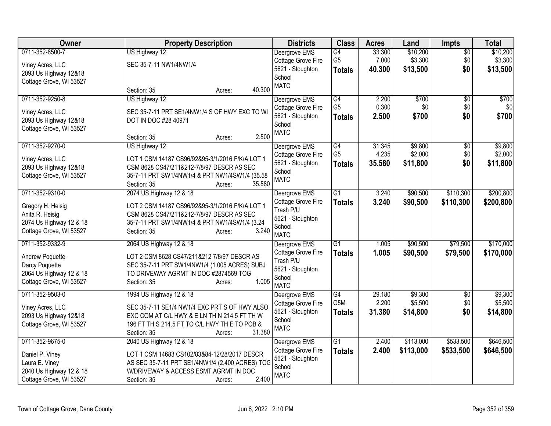| Owner                   | <b>Property Description</b>                     | <b>Districts</b>           | <b>Class</b>    | <b>Acres</b> | Land      | <b>Impts</b>    | <b>Total</b> |
|-------------------------|-------------------------------------------------|----------------------------|-----------------|--------------|-----------|-----------------|--------------|
| 0711-352-8500-7         | US Highway 12                                   | Deergrove EMS              | G4              | 33.300       | \$10,200  | $\overline{50}$ | \$10,200     |
| Viney Acres, LLC        | SEC 35-7-11 NW1/4NW1/4                          | Cottage Grove Fire         | G <sub>5</sub>  | 7.000        | \$3,300   | \$0             | \$3,300      |
| 2093 Us Highway 12&18   |                                                 | 5621 - Stoughton           | <b>Totals</b>   | 40.300       | \$13,500  | \$0             | \$13,500     |
| Cottage Grove, WI 53527 |                                                 | School                     |                 |              |           |                 |              |
|                         | 40.300<br>Section: 35<br>Acres:                 | <b>MATC</b>                |                 |              |           |                 |              |
| 0711-352-9250-8         | US Highway 12                                   | Deergrove EMS              | G4              | 2.200        | \$700     | \$0             | \$700        |
|                         |                                                 | Cottage Grove Fire         | G <sub>5</sub>  | 0.300        | \$0       | \$0             | \$0          |
| Viney Acres, LLC        | SEC 35-7-11 PRT SE1/4NW1/4 S OF HWY EXC TO WI   | 5621 - Stoughton           | <b>Totals</b>   | 2.500        | \$700     | \$0             | \$700        |
| 2093 Us Highway 12&18   | DOT IN DOC #28 40971                            | School                     |                 |              |           |                 |              |
| Cottage Grove, WI 53527 | 2.500<br>Section: 35<br>Acres:                  | <b>MATC</b>                |                 |              |           |                 |              |
| 0711-352-9270-0         | US Highway 12                                   | Deergrove EMS              | G4              | 31.345       | \$9,800   | \$0             | \$9,800      |
|                         |                                                 | Cottage Grove Fire         | G <sub>5</sub>  | 4.235        | \$2,000   | \$0             | \$2,000      |
| Viney Acres, LLC        | LOT 1 CSM 14187 CS96/92&95-3/1/2016 F/K/A LOT 1 | 5621 - Stoughton           | <b>Totals</b>   | 35.580       | \$11,800  | \$0             | \$11,800     |
| 2093 Us Highway 12&18   | CSM 8628 CS47/211&212-7/8/97 DESCR AS SEC       | School                     |                 |              |           |                 |              |
| Cottage Grove, WI 53527 | 35-7-11 PRT SW1/4NW1/4 & PRT NW1/4SW1/4 (35.58  | <b>MATC</b>                |                 |              |           |                 |              |
|                         | 35.580<br>Section: 35<br>Acres:                 |                            |                 |              |           |                 |              |
| 0711-352-9310-0         | 2074 US Highway 12 & 18                         | Deergrove EMS              | $\overline{G1}$ | 3.240        | \$90,500  | \$110,300       | \$200,800    |
| Gregory H. Heisig       | LOT 2 CSM 14187 CS96/92&95-3/1/2016 F/K/A LOT 1 | Cottage Grove Fire         | <b>Totals</b>   | 3.240        | \$90,500  | \$110,300       | \$200,800    |
| Anita R. Heisig         | CSM 8628 CS47/211&212-7/8/97 DESCR AS SEC       | Trash P/U                  |                 |              |           |                 |              |
| 2074 Us Highway 12 & 18 | 35-7-11 PRT SW1/4NW1/4 & PRT NW1/4SW1/4 (3.24   | 5621 - Stoughton           |                 |              |           |                 |              |
| Cottage Grove, WI 53527 | 3.240<br>Section: 35<br>Acres:                  | School                     |                 |              |           |                 |              |
|                         |                                                 | <b>MATC</b>                |                 |              |           |                 |              |
| 0711-352-9332-9         | 2064 US Highway 12 & 18                         | Deergrove EMS              | $\overline{G1}$ | 1.005        | \$90,500  | \$79,500        | \$170,000    |
| <b>Andrew Poquette</b>  | LOT 2 CSM 8628 CS47/211&212 7/8/97 DESCR AS     | Cottage Grove Fire         | <b>Totals</b>   | 1.005        | \$90,500  | \$79,500        | \$170,000    |
| Darcy Poquette          | SEC 35-7-11 PRT SW1/4NW1/4 (1.005 ACRES) SUBJ   | Trash P/U                  |                 |              |           |                 |              |
| 2064 Us Highway 12 & 18 | TO DRIVEWAY AGRMT IN DOC #2874569 TOG           | 5621 - Stoughton<br>School |                 |              |           |                 |              |
| Cottage Grove, WI 53527 | 1.005<br>Section: 35<br>Acres:                  | <b>MATC</b>                |                 |              |           |                 |              |
| 0711-352-9503-0         | 1994 US Highway 12 & 18                         | Deergrove EMS              | G4              | 29.180       | \$9,300   | $\overline{50}$ | \$9,300      |
|                         |                                                 | Cottage Grove Fire         | G5M             | 2.200        | \$5,500   | \$0             | \$5,500      |
| Viney Acres, LLC        | SEC 35-7-11 SE1/4 NW1/4 EXC PRT S OF HWY ALSO   | 5621 - Stoughton           | <b>Totals</b>   | 31.380       | \$14,800  | \$0             | \$14,800     |
| 2093 Us Highway 12&18   | EXC COM AT C/L HWY & E LN TH N 214.5 FT TH W    | School                     |                 |              |           |                 |              |
| Cottage Grove, WI 53527 | 196 FT TH S 214.5 FT TO C/L HWY TH E TO POB &   | <b>MATC</b>                |                 |              |           |                 |              |
|                         | 31.380<br>Section: 35<br>Acres:                 |                            |                 |              |           |                 |              |
| 0711-352-9675-0         | 2040 US Highway 12 & 18                         | Deergrove EMS              | $\overline{G1}$ | 2.400        | \$113,000 | \$533,500       | \$646,500    |
| Daniel P. Viney         | LOT 1 CSM 14683 CS102/83&84-12/28/2017 DESCR    | Cottage Grove Fire         | <b>Totals</b>   | 2.400        | \$113,000 | \$533,500       | \$646,500    |
| Laura E. Viney          | AS SEC 35-7-11 PRT SE1/4NW1/4 (2.400 ACRES) TOG | 5621 - Stoughton           |                 |              |           |                 |              |
| 2040 Us Highway 12 & 18 | W/DRIVEWAY & ACCESS ESMT AGRMT IN DOC           | School                     |                 |              |           |                 |              |
| Cottage Grove, WI 53527 | 2.400<br>Section: 35<br>Acres:                  | <b>MATC</b>                |                 |              |           |                 |              |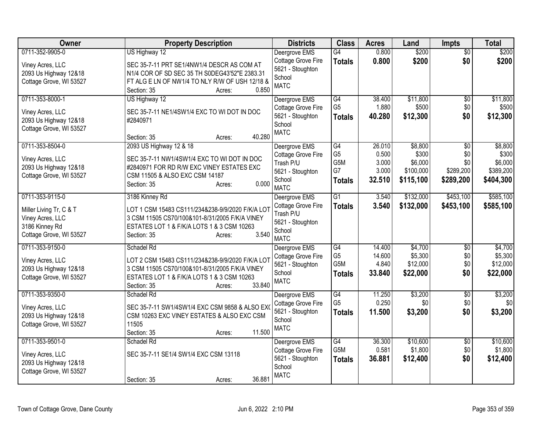| $\overline{50}$<br>\$200<br>Cottage Grove Fire<br>0.800<br>\$200<br>\$0<br><b>Totals</b><br>SEC 35-7-11 PRT SE1/4NW1/4 DESCR AS COM AT<br>Viney Acres, LLC<br>5621 - Stoughton<br>2093 Us Highway 12&18<br>N1/4 COR OF SD SEC 35 TH S0DEG43'52"E 2383.31<br>School<br>Cottage Grove, WI 53527<br>FT ALG E LN OF NW1/4 TO NLY R/W OF USH 12/18 &<br><b>MATC</b><br>0.850<br>Section: 35<br>Acres:<br>0711-353-8000-1<br>\$11,800<br>US Highway 12<br>Deergrove EMS<br>G4<br>38.400<br>\$0<br>G <sub>5</sub><br>Cottage Grove Fire<br>1.880<br>\$500<br>\$0<br>SEC 35-7-11 NE1/4SW1/4 EXC TO WI DOT IN DOC<br>Viney Acres, LLC<br>5621 - Stoughton<br>\$0<br>40.280<br>\$12,300<br><b>Totals</b><br>2093 Us Highway 12&18<br>#2840971<br>School<br>Cottage Grove, WI 53527<br><b>MATC</b><br>40.280<br>Section: 35<br>Acres:<br>0711-353-8504-0<br>2093 US Highway 12 & 18<br>G4<br>26.010<br>\$8,800<br>Deergrove EMS<br>\$0<br>G <sub>5</sub><br>0.500<br>\$300<br>\$0<br>Cottage Grove Fire<br>SEC 35-7-11 NW1/4SW1/4 EXC TO WI DOT IN DOC<br>Viney Acres, LLC<br>G5M<br>3.000<br>\$6,000<br>\$0<br>Trash P/U<br>2093 Us Highway 12&18<br>#2840971 FOR RD R/W EXC VINEY ESTATES EXC<br>G7<br>\$100,000<br>\$289,200<br>3.000<br>5621 - Stoughton<br>Cottage Grove, WI 53527<br>CSM 11505 & ALSO EXC CSM 14187<br>\$115,100<br>\$404,300<br>32.510<br>\$289,200<br>School<br><b>Totals</b><br>0.000<br>Section: 35<br>Acres:<br><b>MATC</b><br>0711-353-9115-0<br>$\overline{G1}$<br>\$132,000<br>\$453,100<br>3186 Kinney Rd<br>Deergrove EMS<br>3.540<br>Cottage Grove Fire<br>3.540<br>\$132,000<br>\$453,100<br>\$585,100<br><b>Totals</b><br>LOT 1 CSM 15483 CS111/234&238-9/9/2020 F/K/A LOT<br>Miller Living Tr, C & T<br>Trash P/U<br>3 CSM 11505 CS70/100&101-8/31/2005 F/K/A VINEY<br>Viney Acres, LLC<br>5621 - Stoughton<br>3186 Kinney Rd<br>ESTATES LOT 1 & F/K/A LOTS 1 & 3 CSM 10263<br>School<br>3.540<br>Cottage Grove, WI 53527<br>Section: 35<br>Acres:<br><b>MATC</b><br>0711-353-9150-0<br>Schadel Rd<br>G4<br>14.400<br>\$4,700<br>$\overline{50}$<br>Deergrove EMS<br>G <sub>5</sub><br>\$5,300<br>14.600<br>\$0<br>Cottage Grove Fire<br>LOT 2 CSM 15483 CS111/234&238-9/9/2020 F/K/A LOT<br>Viney Acres, LLC<br>G5M<br>\$12,000<br>\$0<br>5621 - Stoughton<br>4.840<br>2093 Us Highway 12&18<br>3 CSM 11505 CS70/100&101-8/31/2005 F/K/A VINEY<br>33.840<br>\$22,000<br>\$0<br>\$22,000<br>School<br><b>Totals</b><br>Cottage Grove, WI 53527<br>ESTATES LOT 1 & F/K/A LOTS 1 & 3 CSM 10263<br><b>MATC</b><br>33.840<br>Section: 35<br>Acres:<br>0711-353-9350-0<br>\$3,200<br>\$3,200<br>G4<br>11.250<br>Schadel Rd<br>Deergrove EMS<br>$\overline{50}$<br>G <sub>5</sub><br>0.250<br>\$0<br>Cottage Grove Fire<br>\$0<br>SEC 35-7-11 SW1/4SW1/4 EXC CSM 9858 & ALSO EXO<br>Viney Acres, LLC<br>5621 - Stoughton<br>11.500<br>\$3,200<br>\$0<br><b>Totals</b><br>CSM 10263 EXC VINEY ESTATES & ALSO EXC CSM<br>2093 Us Highway 12&18<br>School<br>11505<br>Cottage Grove, WI 53527<br><b>MATC</b><br>11.500<br>Section: 35<br>Acres: | Owner           | <b>Property Description</b> | <b>Districts</b> | <b>Class</b>    | <b>Acres</b> | Land     | <b>Impts</b> | <b>Total</b> |
|-----------------------------------------------------------------------------------------------------------------------------------------------------------------------------------------------------------------------------------------------------------------------------------------------------------------------------------------------------------------------------------------------------------------------------------------------------------------------------------------------------------------------------------------------------------------------------------------------------------------------------------------------------------------------------------------------------------------------------------------------------------------------------------------------------------------------------------------------------------------------------------------------------------------------------------------------------------------------------------------------------------------------------------------------------------------------------------------------------------------------------------------------------------------------------------------------------------------------------------------------------------------------------------------------------------------------------------------------------------------------------------------------------------------------------------------------------------------------------------------------------------------------------------------------------------------------------------------------------------------------------------------------------------------------------------------------------------------------------------------------------------------------------------------------------------------------------------------------------------------------------------------------------------------------------------------------------------------------------------------------------------------------------------------------------------------------------------------------------------------------------------------------------------------------------------------------------------------------------------------------------------------------------------------------------------------------------------------------------------------------------------------------------------------------------------------------------------------------------------------------------------------------------------------------------------------------------------------------------------------------------------------------------------------------------------------------------------------------------------------------------------------------------------------------------------------------------------------------------------------------------------------------------------------------------------------------------------------------------------------------------------------------------------------------------------------|-----------------|-----------------------------|------------------|-----------------|--------------|----------|--------------|--------------|
|                                                                                                                                                                                                                                                                                                                                                                                                                                                                                                                                                                                                                                                                                                                                                                                                                                                                                                                                                                                                                                                                                                                                                                                                                                                                                                                                                                                                                                                                                                                                                                                                                                                                                                                                                                                                                                                                                                                                                                                                                                                                                                                                                                                                                                                                                                                                                                                                                                                                                                                                                                                                                                                                                                                                                                                                                                                                                                                                                                                                                                                                 | 0711-352-9905-0 | US Highway 12               | Deergrove EMS    | $\overline{G4}$ | 0.800        | \$200    |              | \$200        |
|                                                                                                                                                                                                                                                                                                                                                                                                                                                                                                                                                                                                                                                                                                                                                                                                                                                                                                                                                                                                                                                                                                                                                                                                                                                                                                                                                                                                                                                                                                                                                                                                                                                                                                                                                                                                                                                                                                                                                                                                                                                                                                                                                                                                                                                                                                                                                                                                                                                                                                                                                                                                                                                                                                                                                                                                                                                                                                                                                                                                                                                                 |                 |                             |                  |                 |              |          |              |              |
|                                                                                                                                                                                                                                                                                                                                                                                                                                                                                                                                                                                                                                                                                                                                                                                                                                                                                                                                                                                                                                                                                                                                                                                                                                                                                                                                                                                                                                                                                                                                                                                                                                                                                                                                                                                                                                                                                                                                                                                                                                                                                                                                                                                                                                                                                                                                                                                                                                                                                                                                                                                                                                                                                                                                                                                                                                                                                                                                                                                                                                                                 |                 |                             |                  |                 |              |          |              |              |
|                                                                                                                                                                                                                                                                                                                                                                                                                                                                                                                                                                                                                                                                                                                                                                                                                                                                                                                                                                                                                                                                                                                                                                                                                                                                                                                                                                                                                                                                                                                                                                                                                                                                                                                                                                                                                                                                                                                                                                                                                                                                                                                                                                                                                                                                                                                                                                                                                                                                                                                                                                                                                                                                                                                                                                                                                                                                                                                                                                                                                                                                 |                 |                             |                  |                 |              |          |              |              |
| \$11,800<br>\$500<br>\$12,300<br>\$8,800<br>\$300<br>\$6,000<br>\$389,200<br>\$585,100                                                                                                                                                                                                                                                                                                                                                                                                                                                                                                                                                                                                                                                                                                                                                                                                                                                                                                                                                                                                                                                                                                                                                                                                                                                                                                                                                                                                                                                                                                                                                                                                                                                                                                                                                                                                                                                                                                                                                                                                                                                                                                                                                                                                                                                                                                                                                                                                                                                                                                                                                                                                                                                                                                                                                                                                                                                                                                                                                                          |                 |                             |                  |                 |              |          |              |              |
|                                                                                                                                                                                                                                                                                                                                                                                                                                                                                                                                                                                                                                                                                                                                                                                                                                                                                                                                                                                                                                                                                                                                                                                                                                                                                                                                                                                                                                                                                                                                                                                                                                                                                                                                                                                                                                                                                                                                                                                                                                                                                                                                                                                                                                                                                                                                                                                                                                                                                                                                                                                                                                                                                                                                                                                                                                                                                                                                                                                                                                                                 |                 |                             |                  |                 |              |          |              |              |
|                                                                                                                                                                                                                                                                                                                                                                                                                                                                                                                                                                                                                                                                                                                                                                                                                                                                                                                                                                                                                                                                                                                                                                                                                                                                                                                                                                                                                                                                                                                                                                                                                                                                                                                                                                                                                                                                                                                                                                                                                                                                                                                                                                                                                                                                                                                                                                                                                                                                                                                                                                                                                                                                                                                                                                                                                                                                                                                                                                                                                                                                 |                 |                             |                  |                 |              |          |              |              |
|                                                                                                                                                                                                                                                                                                                                                                                                                                                                                                                                                                                                                                                                                                                                                                                                                                                                                                                                                                                                                                                                                                                                                                                                                                                                                                                                                                                                                                                                                                                                                                                                                                                                                                                                                                                                                                                                                                                                                                                                                                                                                                                                                                                                                                                                                                                                                                                                                                                                                                                                                                                                                                                                                                                                                                                                                                                                                                                                                                                                                                                                 |                 |                             |                  |                 |              |          |              |              |
|                                                                                                                                                                                                                                                                                                                                                                                                                                                                                                                                                                                                                                                                                                                                                                                                                                                                                                                                                                                                                                                                                                                                                                                                                                                                                                                                                                                                                                                                                                                                                                                                                                                                                                                                                                                                                                                                                                                                                                                                                                                                                                                                                                                                                                                                                                                                                                                                                                                                                                                                                                                                                                                                                                                                                                                                                                                                                                                                                                                                                                                                 |                 |                             |                  |                 |              |          |              |              |
|                                                                                                                                                                                                                                                                                                                                                                                                                                                                                                                                                                                                                                                                                                                                                                                                                                                                                                                                                                                                                                                                                                                                                                                                                                                                                                                                                                                                                                                                                                                                                                                                                                                                                                                                                                                                                                                                                                                                                                                                                                                                                                                                                                                                                                                                                                                                                                                                                                                                                                                                                                                                                                                                                                                                                                                                                                                                                                                                                                                                                                                                 |                 |                             |                  |                 |              |          |              |              |
|                                                                                                                                                                                                                                                                                                                                                                                                                                                                                                                                                                                                                                                                                                                                                                                                                                                                                                                                                                                                                                                                                                                                                                                                                                                                                                                                                                                                                                                                                                                                                                                                                                                                                                                                                                                                                                                                                                                                                                                                                                                                                                                                                                                                                                                                                                                                                                                                                                                                                                                                                                                                                                                                                                                                                                                                                                                                                                                                                                                                                                                                 |                 |                             |                  |                 |              |          |              |              |
|                                                                                                                                                                                                                                                                                                                                                                                                                                                                                                                                                                                                                                                                                                                                                                                                                                                                                                                                                                                                                                                                                                                                                                                                                                                                                                                                                                                                                                                                                                                                                                                                                                                                                                                                                                                                                                                                                                                                                                                                                                                                                                                                                                                                                                                                                                                                                                                                                                                                                                                                                                                                                                                                                                                                                                                                                                                                                                                                                                                                                                                                 |                 |                             |                  |                 |              |          |              |              |
|                                                                                                                                                                                                                                                                                                                                                                                                                                                                                                                                                                                                                                                                                                                                                                                                                                                                                                                                                                                                                                                                                                                                                                                                                                                                                                                                                                                                                                                                                                                                                                                                                                                                                                                                                                                                                                                                                                                                                                                                                                                                                                                                                                                                                                                                                                                                                                                                                                                                                                                                                                                                                                                                                                                                                                                                                                                                                                                                                                                                                                                                 |                 |                             |                  |                 |              |          |              |              |
|                                                                                                                                                                                                                                                                                                                                                                                                                                                                                                                                                                                                                                                                                                                                                                                                                                                                                                                                                                                                                                                                                                                                                                                                                                                                                                                                                                                                                                                                                                                                                                                                                                                                                                                                                                                                                                                                                                                                                                                                                                                                                                                                                                                                                                                                                                                                                                                                                                                                                                                                                                                                                                                                                                                                                                                                                                                                                                                                                                                                                                                                 |                 |                             |                  |                 |              |          |              |              |
|                                                                                                                                                                                                                                                                                                                                                                                                                                                                                                                                                                                                                                                                                                                                                                                                                                                                                                                                                                                                                                                                                                                                                                                                                                                                                                                                                                                                                                                                                                                                                                                                                                                                                                                                                                                                                                                                                                                                                                                                                                                                                                                                                                                                                                                                                                                                                                                                                                                                                                                                                                                                                                                                                                                                                                                                                                                                                                                                                                                                                                                                 |                 |                             |                  |                 |              |          |              |              |
|                                                                                                                                                                                                                                                                                                                                                                                                                                                                                                                                                                                                                                                                                                                                                                                                                                                                                                                                                                                                                                                                                                                                                                                                                                                                                                                                                                                                                                                                                                                                                                                                                                                                                                                                                                                                                                                                                                                                                                                                                                                                                                                                                                                                                                                                                                                                                                                                                                                                                                                                                                                                                                                                                                                                                                                                                                                                                                                                                                                                                                                                 |                 |                             |                  |                 |              |          |              |              |
|                                                                                                                                                                                                                                                                                                                                                                                                                                                                                                                                                                                                                                                                                                                                                                                                                                                                                                                                                                                                                                                                                                                                                                                                                                                                                                                                                                                                                                                                                                                                                                                                                                                                                                                                                                                                                                                                                                                                                                                                                                                                                                                                                                                                                                                                                                                                                                                                                                                                                                                                                                                                                                                                                                                                                                                                                                                                                                                                                                                                                                                                 |                 |                             |                  |                 |              |          |              |              |
|                                                                                                                                                                                                                                                                                                                                                                                                                                                                                                                                                                                                                                                                                                                                                                                                                                                                                                                                                                                                                                                                                                                                                                                                                                                                                                                                                                                                                                                                                                                                                                                                                                                                                                                                                                                                                                                                                                                                                                                                                                                                                                                                                                                                                                                                                                                                                                                                                                                                                                                                                                                                                                                                                                                                                                                                                                                                                                                                                                                                                                                                 |                 |                             |                  |                 |              |          |              |              |
| \$4,700<br>\$5,300<br>\$12,000<br>\$0<br>\$3,200                                                                                                                                                                                                                                                                                                                                                                                                                                                                                                                                                                                                                                                                                                                                                                                                                                                                                                                                                                                                                                                                                                                                                                                                                                                                                                                                                                                                                                                                                                                                                                                                                                                                                                                                                                                                                                                                                                                                                                                                                                                                                                                                                                                                                                                                                                                                                                                                                                                                                                                                                                                                                                                                                                                                                                                                                                                                                                                                                                                                                |                 |                             |                  |                 |              |          |              |              |
|                                                                                                                                                                                                                                                                                                                                                                                                                                                                                                                                                                                                                                                                                                                                                                                                                                                                                                                                                                                                                                                                                                                                                                                                                                                                                                                                                                                                                                                                                                                                                                                                                                                                                                                                                                                                                                                                                                                                                                                                                                                                                                                                                                                                                                                                                                                                                                                                                                                                                                                                                                                                                                                                                                                                                                                                                                                                                                                                                                                                                                                                 |                 |                             |                  |                 |              |          |              |              |
|                                                                                                                                                                                                                                                                                                                                                                                                                                                                                                                                                                                                                                                                                                                                                                                                                                                                                                                                                                                                                                                                                                                                                                                                                                                                                                                                                                                                                                                                                                                                                                                                                                                                                                                                                                                                                                                                                                                                                                                                                                                                                                                                                                                                                                                                                                                                                                                                                                                                                                                                                                                                                                                                                                                                                                                                                                                                                                                                                                                                                                                                 |                 |                             |                  |                 |              |          |              |              |
|                                                                                                                                                                                                                                                                                                                                                                                                                                                                                                                                                                                                                                                                                                                                                                                                                                                                                                                                                                                                                                                                                                                                                                                                                                                                                                                                                                                                                                                                                                                                                                                                                                                                                                                                                                                                                                                                                                                                                                                                                                                                                                                                                                                                                                                                                                                                                                                                                                                                                                                                                                                                                                                                                                                                                                                                                                                                                                                                                                                                                                                                 |                 |                             |                  |                 |              |          |              |              |
|                                                                                                                                                                                                                                                                                                                                                                                                                                                                                                                                                                                                                                                                                                                                                                                                                                                                                                                                                                                                                                                                                                                                                                                                                                                                                                                                                                                                                                                                                                                                                                                                                                                                                                                                                                                                                                                                                                                                                                                                                                                                                                                                                                                                                                                                                                                                                                                                                                                                                                                                                                                                                                                                                                                                                                                                                                                                                                                                                                                                                                                                 |                 |                             |                  |                 |              |          |              |              |
|                                                                                                                                                                                                                                                                                                                                                                                                                                                                                                                                                                                                                                                                                                                                                                                                                                                                                                                                                                                                                                                                                                                                                                                                                                                                                                                                                                                                                                                                                                                                                                                                                                                                                                                                                                                                                                                                                                                                                                                                                                                                                                                                                                                                                                                                                                                                                                                                                                                                                                                                                                                                                                                                                                                                                                                                                                                                                                                                                                                                                                                                 |                 |                             |                  |                 |              |          |              |              |
|                                                                                                                                                                                                                                                                                                                                                                                                                                                                                                                                                                                                                                                                                                                                                                                                                                                                                                                                                                                                                                                                                                                                                                                                                                                                                                                                                                                                                                                                                                                                                                                                                                                                                                                                                                                                                                                                                                                                                                                                                                                                                                                                                                                                                                                                                                                                                                                                                                                                                                                                                                                                                                                                                                                                                                                                                                                                                                                                                                                                                                                                 |                 |                             |                  |                 |              |          |              |              |
|                                                                                                                                                                                                                                                                                                                                                                                                                                                                                                                                                                                                                                                                                                                                                                                                                                                                                                                                                                                                                                                                                                                                                                                                                                                                                                                                                                                                                                                                                                                                                                                                                                                                                                                                                                                                                                                                                                                                                                                                                                                                                                                                                                                                                                                                                                                                                                                                                                                                                                                                                                                                                                                                                                                                                                                                                                                                                                                                                                                                                                                                 |                 |                             |                  |                 |              |          |              |              |
|                                                                                                                                                                                                                                                                                                                                                                                                                                                                                                                                                                                                                                                                                                                                                                                                                                                                                                                                                                                                                                                                                                                                                                                                                                                                                                                                                                                                                                                                                                                                                                                                                                                                                                                                                                                                                                                                                                                                                                                                                                                                                                                                                                                                                                                                                                                                                                                                                                                                                                                                                                                                                                                                                                                                                                                                                                                                                                                                                                                                                                                                 |                 |                             |                  |                 |              |          |              |              |
|                                                                                                                                                                                                                                                                                                                                                                                                                                                                                                                                                                                                                                                                                                                                                                                                                                                                                                                                                                                                                                                                                                                                                                                                                                                                                                                                                                                                                                                                                                                                                                                                                                                                                                                                                                                                                                                                                                                                                                                                                                                                                                                                                                                                                                                                                                                                                                                                                                                                                                                                                                                                                                                                                                                                                                                                                                                                                                                                                                                                                                                                 |                 |                             |                  |                 |              |          |              |              |
|                                                                                                                                                                                                                                                                                                                                                                                                                                                                                                                                                                                                                                                                                                                                                                                                                                                                                                                                                                                                                                                                                                                                                                                                                                                                                                                                                                                                                                                                                                                                                                                                                                                                                                                                                                                                                                                                                                                                                                                                                                                                                                                                                                                                                                                                                                                                                                                                                                                                                                                                                                                                                                                                                                                                                                                                                                                                                                                                                                                                                                                                 |                 |                             |                  |                 |              |          |              |              |
|                                                                                                                                                                                                                                                                                                                                                                                                                                                                                                                                                                                                                                                                                                                                                                                                                                                                                                                                                                                                                                                                                                                                                                                                                                                                                                                                                                                                                                                                                                                                                                                                                                                                                                                                                                                                                                                                                                                                                                                                                                                                                                                                                                                                                                                                                                                                                                                                                                                                                                                                                                                                                                                                                                                                                                                                                                                                                                                                                                                                                                                                 |                 |                             |                  |                 |              |          |              |              |
|                                                                                                                                                                                                                                                                                                                                                                                                                                                                                                                                                                                                                                                                                                                                                                                                                                                                                                                                                                                                                                                                                                                                                                                                                                                                                                                                                                                                                                                                                                                                                                                                                                                                                                                                                                                                                                                                                                                                                                                                                                                                                                                                                                                                                                                                                                                                                                                                                                                                                                                                                                                                                                                                                                                                                                                                                                                                                                                                                                                                                                                                 |                 |                             |                  |                 |              |          |              |              |
| G4<br>36.300<br>Schadel Rd<br>Deergrove EMS<br>$\overline{60}$                                                                                                                                                                                                                                                                                                                                                                                                                                                                                                                                                                                                                                                                                                                                                                                                                                                                                                                                                                                                                                                                                                                                                                                                                                                                                                                                                                                                                                                                                                                                                                                                                                                                                                                                                                                                                                                                                                                                                                                                                                                                                                                                                                                                                                                                                                                                                                                                                                                                                                                                                                                                                                                                                                                                                                                                                                                                                                                                                                                                  | 0711-353-9501-0 |                             |                  |                 |              | \$10,600 |              | \$10,600     |
| G5M<br>\$1,800<br>0.581<br>\$0<br>\$1,800<br>Cottage Grove Fire<br>SEC 35-7-11 SE1/4 SW1/4 EXC CSM 13118<br>Viney Acres, LLC                                                                                                                                                                                                                                                                                                                                                                                                                                                                                                                                                                                                                                                                                                                                                                                                                                                                                                                                                                                                                                                                                                                                                                                                                                                                                                                                                                                                                                                                                                                                                                                                                                                                                                                                                                                                                                                                                                                                                                                                                                                                                                                                                                                                                                                                                                                                                                                                                                                                                                                                                                                                                                                                                                                                                                                                                                                                                                                                    |                 |                             |                  |                 |              |          |              |              |
| 5621 - Stoughton<br>\$12,400<br>\$0<br>\$12,400<br>36.881<br><b>Totals</b><br>2093 Us Highway 12&18                                                                                                                                                                                                                                                                                                                                                                                                                                                                                                                                                                                                                                                                                                                                                                                                                                                                                                                                                                                                                                                                                                                                                                                                                                                                                                                                                                                                                                                                                                                                                                                                                                                                                                                                                                                                                                                                                                                                                                                                                                                                                                                                                                                                                                                                                                                                                                                                                                                                                                                                                                                                                                                                                                                                                                                                                                                                                                                                                             |                 |                             |                  |                 |              |          |              |              |
| School<br>Cottage Grove, WI 53527                                                                                                                                                                                                                                                                                                                                                                                                                                                                                                                                                                                                                                                                                                                                                                                                                                                                                                                                                                                                                                                                                                                                                                                                                                                                                                                                                                                                                                                                                                                                                                                                                                                                                                                                                                                                                                                                                                                                                                                                                                                                                                                                                                                                                                                                                                                                                                                                                                                                                                                                                                                                                                                                                                                                                                                                                                                                                                                                                                                                                               |                 |                             |                  |                 |              |          |              |              |
| <b>MATC</b><br>36.881<br>Section: 35<br>Acres:                                                                                                                                                                                                                                                                                                                                                                                                                                                                                                                                                                                                                                                                                                                                                                                                                                                                                                                                                                                                                                                                                                                                                                                                                                                                                                                                                                                                                                                                                                                                                                                                                                                                                                                                                                                                                                                                                                                                                                                                                                                                                                                                                                                                                                                                                                                                                                                                                                                                                                                                                                                                                                                                                                                                                                                                                                                                                                                                                                                                                  |                 |                             |                  |                 |              |          |              |              |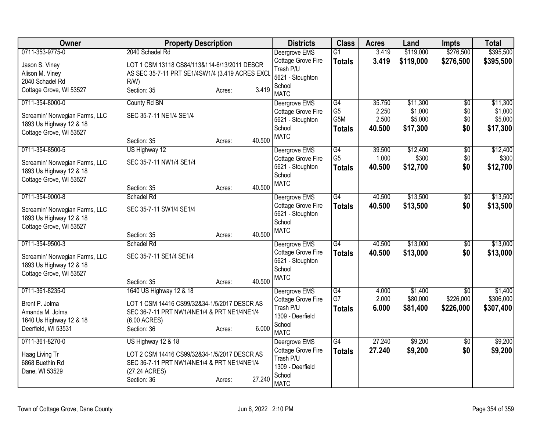| Owner                                                                                | <b>Property Description</b>                                                                                                                       |        |        | <b>Districts</b>                                                                              | <b>Class</b>                           | <b>Acres</b>             | Land                           | <b>Impts</b>           | <b>Total</b>                   |
|--------------------------------------------------------------------------------------|---------------------------------------------------------------------------------------------------------------------------------------------------|--------|--------|-----------------------------------------------------------------------------------------------|----------------------------------------|--------------------------|--------------------------------|------------------------|--------------------------------|
| 0711-353-9775-0                                                                      | 2040 Schadel Rd                                                                                                                                   |        |        | Deergrove EMS                                                                                 | G1                                     | 3.419                    | \$119,000                      | \$276,500              | \$395,500                      |
| Jason S. Viney<br>Alison M. Viney<br>2040 Schadel Rd                                 | LOT 1 CSM 13118 CS84/113&114-6/13/2011 DESCR<br>AS SEC 35-7-11 PRT SE1/4SW1/4 (3.419 ACRES EXCI<br>$R/W$ )                                        |        |        | Cottage Grove Fire<br>Trash P/U<br>5621 - Stoughton                                           | <b>Totals</b>                          | 3.419                    | \$119,000                      | \$276,500              | \$395,500                      |
| Cottage Grove, WI 53527                                                              | Section: 35                                                                                                                                       | Acres: | 3.419  | School<br><b>MATC</b>                                                                         |                                        |                          |                                |                        |                                |
| 0711-354-8000-0                                                                      | County Rd BN                                                                                                                                      |        |        | Deergrove EMS                                                                                 | G4                                     | 35.750                   | \$11,300                       | $\overline{60}$        | \$11,300                       |
| Screamin' Norwegian Farms, LLC<br>1893 Us Highway 12 & 18<br>Cottage Grove, WI 53527 | SEC 35-7-11 NE1/4 SE1/4                                                                                                                           |        |        | Cottage Grove Fire<br>5621 - Stoughton<br>School                                              | G <sub>5</sub><br>G5M<br><b>Totals</b> | 2.250<br>2.500<br>40.500 | \$1,000<br>\$5,000<br>\$17,300 | \$0<br>\$0<br>\$0      | \$1,000<br>\$5,000<br>\$17,300 |
|                                                                                      | Section: 35                                                                                                                                       | Acres: | 40.500 | <b>MATC</b>                                                                                   |                                        |                          |                                |                        |                                |
| 0711-354-8500-5                                                                      | US Highway 12                                                                                                                                     |        |        | Deergrove EMS                                                                                 | G4                                     | 39.500                   | \$12,400                       | $\overline{60}$        | \$12,400                       |
| Screamin' Norwegian Farms, LLC<br>1893 Us Highway 12 & 18<br>Cottage Grove, WI 53527 | SEC 35-7-11 NW1/4 SE1/4                                                                                                                           |        |        | Cottage Grove Fire<br>5621 - Stoughton<br>School                                              | G <sub>5</sub><br>Totals               | 1.000<br>40.500          | \$300<br>\$12,700              | \$0<br>\$0             | \$300<br>\$12,700              |
|                                                                                      | Section: 35                                                                                                                                       | Acres: | 40.500 | <b>MATC</b>                                                                                   |                                        |                          |                                |                        |                                |
| 0711-354-9000-8                                                                      | Schadel Rd                                                                                                                                        |        |        | Deergrove EMS<br>Cottage Grove Fire                                                           | G4                                     | 40.500<br>40.500         | \$13,500<br>\$13,500           | $\overline{50}$<br>\$0 | \$13,500                       |
| Screamin' Norwegian Farms, LLC<br>1893 Us Highway 12 & 18<br>Cottage Grove, WI 53527 | SEC 35-7-11 SW1/4 SE1/4                                                                                                                           |        |        | 5621 - Stoughton<br>School                                                                    | <b>Totals</b>                          |                          |                                |                        | \$13,500                       |
|                                                                                      | Section: 35                                                                                                                                       | Acres: | 40.500 | <b>MATC</b>                                                                                   |                                        |                          |                                |                        |                                |
| 0711-354-9500-3                                                                      | Schadel Rd                                                                                                                                        |        |        | Deergrove EMS                                                                                 | G4                                     | 40.500                   | \$13,000                       | \$0                    | \$13,000                       |
| Screamin' Norwegian Farms, LLC<br>1893 Us Highway 12 & 18                            | SEC 35-7-11 SE1/4 SE1/4                                                                                                                           |        |        | Cottage Grove Fire<br>5621 - Stoughton<br>School                                              | <b>Totals</b>                          | 40.500                   | \$13,000                       | \$0                    | \$13,000                       |
| Cottage Grove, WI 53527                                                              | Section: 35                                                                                                                                       | Acres: | 40.500 | <b>MATC</b>                                                                                   |                                        |                          |                                |                        |                                |
| 0711-361-8235-0                                                                      | 1640 US Highway 12 & 18                                                                                                                           |        |        | Deergrove EMS                                                                                 | G4                                     | 4.000                    | \$1,400                        | \$0                    | \$1,400                        |
| Brent P. Jolma<br>Amanda M. Jolma<br>1640 Us Highway 12 & 18<br>Deerfield, WI 53531  | LOT 1 CSM 14416 CS99/32&34-1/5/2017 DESCR AS<br>SEC 36-7-11 PRT NW1/4NE1/4 & PRT NE1/4NE1/4<br>(6.00 ACRES)<br>Section: 36                        | Acres: | 6.000  | Cottage Grove Fire<br>Trash P/U<br>1309 - Deerfield<br>School                                 | G7<br><b>Totals</b>                    | 2.000<br>6.000           | \$80,000<br>\$81,400           | \$226,000<br>\$226,000 | \$306,000<br>\$307,400         |
|                                                                                      |                                                                                                                                                   |        |        | <b>MATC</b>                                                                                   |                                        |                          |                                |                        |                                |
| 0711-361-8270-0<br>Haag Living Tr<br>6868 Buethin Rd<br>Dane, WI 53529               | US Highway 12 & 18<br>LOT 2 CSM 14416 CS99/32&34-1/5/2017 DESCR AS<br>SEC 36-7-11 PRT NW1/4NE1/4 & PRT NE1/4NE1/4<br>(27.24 ACRES)<br>Section: 36 | Acres: | 27.240 | Deergrove EMS<br>Cottage Grove Fire<br>Trash P/U<br>1309 - Deerfield<br>School<br><b>MATC</b> | $\overline{G4}$<br><b>Totals</b>       | 27.240<br>27.240         | \$9,200<br>\$9,200             | $\overline{50}$<br>\$0 | \$9,200<br>\$9,200             |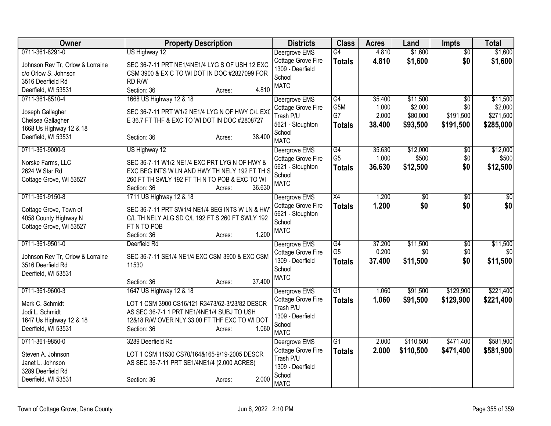| Owner                                                                                                                   | <b>Property Description</b>                                                                                                                                                                                | <b>Districts</b>                                                                                     | <b>Class</b>                          | <b>Acres</b>                       | Land                                        | <b>Impts</b>                                     | <b>Total</b>                                  |
|-------------------------------------------------------------------------------------------------------------------------|------------------------------------------------------------------------------------------------------------------------------------------------------------------------------------------------------------|------------------------------------------------------------------------------------------------------|---------------------------------------|------------------------------------|---------------------------------------------|--------------------------------------------------|-----------------------------------------------|
| 0711-361-8291-0<br>Johnson Rev Tr, Orlow & Lorraine<br>c/o Orlow S. Johnson<br>3516 Deerfield Rd<br>Deerfield, WI 53531 | US Highway 12<br>SEC 36-7-11 PRT NE1/4NE1/4 LYG S OF USH 12 EXC<br>CSM 3900 & EX C TO WI DOT IN DOC #2827099 FOR<br>RD <sub>R/W</sub><br>4.810<br>Section: 36<br>Acres:                                    | Deergrove EMS<br>Cottage Grove Fire<br>1309 - Deerfield<br>School<br><b>MATC</b>                     | G4<br><b>Totals</b>                   | 4.810<br>4.810                     | \$1,600<br>\$1,600                          | $\overline{30}$<br>\$0                           | \$1,600<br>\$1,600                            |
| 0711-361-8510-4<br>Joseph Gallagher<br>Chelsea Gallagher<br>1668 Us Highway 12 & 18<br>Deerfield, WI 53531              | 1668 US Highway 12 & 18<br>SEC 36-7-11 PRT W1/2 NE1/4 LYG N OF HWY C/L EXC<br>E 36.7 FT THF & EXC TO WI DOT IN DOC #2808727<br>38.400<br>Section: 36<br>Acres:                                             | Deergrove EMS<br>Cottage Grove Fire<br>Trash P/U<br>5621 - Stoughton<br>School<br><b>MATC</b>        | G4<br>G5M<br>G7<br><b>Totals</b>      | 35.400<br>1.000<br>2.000<br>38.400 | \$11,500<br>\$2,000<br>\$80,000<br>\$93,500 | $\overline{50}$<br>\$0<br>\$191,500<br>\$191,500 | \$11,500<br>\$2,000<br>\$271,500<br>\$285,000 |
| 0711-361-9000-9<br>Norske Farms, LLC<br>2624 W Star Rd<br>Cottage Grove, WI 53527                                       | US Highway 12<br>SEC 36-7-11 W1/2 NE1/4 EXC PRT LYG N OF HWY &<br>EXC BEG INTS W LN AND HWY TH NELY 192 FT TH S<br>260 FT TH SWLY 192 FT TH N TO POB & EXC TO WI<br>36.630<br>Section: 36<br>Acres:        | Deergrove EMS<br>Cottage Grove Fire<br>5621 - Stoughton<br>School<br><b>MATC</b>                     | G4<br>G <sub>5</sub><br><b>Totals</b> | 35.630<br>1.000<br>36.630          | \$12,000<br>\$500<br>\$12,500               | $\overline{50}$<br>\$0<br>\$0                    | \$12,000<br>\$500<br>\$12,500                 |
| 0711-361-9150-8<br>Cottage Grove, Town of<br>4058 County Highway N<br>Cottage Grove, WI 53527                           | 1711 US Highway 12 & 18<br>SEC 36-7-11 PRT SW1/4 NE1/4 BEG INTS W LN & HW<br>C/L TH NELY ALG SD C/L 192 FT S 260 FT SWLY 192<br>FT N TO POB<br>1.200<br>Section: 36<br>Acres:                              | Deergrove EMS<br><b>Cottage Grove Fire</b><br>5621 - Stoughton<br>School<br><b>MATC</b>              | X4<br><b>Totals</b>                   | 1.200<br>1.200                     | $\overline{50}$<br>\$0                      | $\overline{30}$<br>\$0                           | $\overline{50}$<br>\$0                        |
| 0711-361-9501-0<br>Johnson Rev Tr, Orlow & Lorraine<br>3516 Deerfield Rd<br>Deerfield, WI 53531                         | Deerfield Rd<br>SEC 36-7-11 SE1/4 NE1/4 EXC CSM 3900 & EXC CSM<br>11530<br>37.400<br>Section: 36<br>Acres:                                                                                                 | Deergrove EMS<br>Cottage Grove Fire<br>1309 - Deerfield<br>School<br><b>MATC</b>                     | G4<br>G <sub>5</sub><br><b>Totals</b> | 37.200<br>0.200<br>37.400          | \$11,500<br>\$0<br>\$11,500                 | $\overline{60}$<br>\$0<br>\$0                    | \$11,500<br>\$0<br>\$11,500                   |
| 0711-361-9600-3<br>Mark C. Schmidt<br>Jodi L. Schmidt<br>1647 Us Highway 12 & 18<br>Deerfield, WI 53531                 | 1647 US Highway 12 & 18<br>LOT 1 CSM 3900 CS16/121 R3473/62-3/23/82 DESCR<br>AS SEC 36-7-1 1 PRT NE1/4NE1/4 SUBJ TO USH<br>12&18 R/W OVER NLY 33.00 FT THF EXC TO WI DOT<br>1.060<br>Section: 36<br>Acres: | Deergrove EMS<br><b>Cottage Grove Fire</b><br>Trash P/U<br>1309 - Deerfield<br>School<br><b>MATC</b> | G1<br><b>Totals</b>                   | 1.060<br>1.060                     | \$91,500<br>\$91,500                        | \$129,900<br>\$129,900                           | \$221,400<br>\$221,400                        |
| 0711-361-9850-0<br>Steven A. Johnson<br>Janet L. Johnson<br>3289 Deerfield Rd<br>Deerfield, WI 53531                    | 3289 Deerfield Rd<br>LOT 1 CSM 11530 CS70/164&165-9/19-2005 DESCR<br>AS SEC 36-7-11 PRT SE1/4NE1/4 (2.000 ACRES)<br>2.000<br>Section: 36<br>Acres:                                                         | Deergrove EMS<br>Cottage Grove Fire<br>Trash P/U<br>1309 - Deerfield<br>School<br><b>MATC</b>        | $\overline{G1}$<br><b>Totals</b>      | 2.000<br>2.000                     | \$110,500<br>\$110,500                      | \$471,400<br>\$471,400                           | \$581,900<br>\$581,900                        |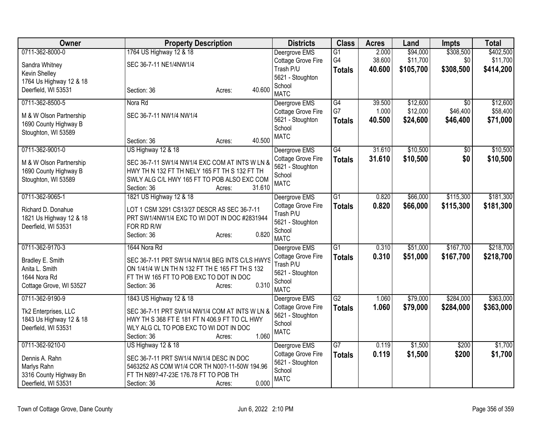| Owner                   | <b>Property Description</b>                     |                  | <b>Districts</b>              | <b>Class</b>    | <b>Acres</b> | Land      | <b>Impts</b>    | <b>Total</b> |
|-------------------------|-------------------------------------------------|------------------|-------------------------------|-----------------|--------------|-----------|-----------------|--------------|
| 0711-362-8000-0         | 1764 US Highway 12 & 18                         |                  | Deergrove EMS                 | $\overline{G1}$ | 2.000        | \$94,000  | \$308,500       | \$402,500    |
| Sandra Whitney          | SEC 36-7-11 NE1/4NW1/4                          |                  | Cottage Grove Fire            | G4              | 38.600       | \$11,700  | \$0             | \$11,700     |
| Kevin Shelley           |                                                 |                  | Trash P/U                     | <b>Totals</b>   | 40.600       | \$105,700 | \$308,500       | \$414,200    |
| 1764 Us Highway 12 & 18 |                                                 |                  | 5621 - Stoughton<br>School    |                 |              |           |                 |              |
| Deerfield, WI 53531     | Section: 36                                     | 40.600<br>Acres: | <b>MATC</b>                   |                 |              |           |                 |              |
| 0711-362-8500-5         | Nora Rd                                         |                  | Deergrove EMS                 | G4              | 39.500       | \$12,600  | $\overline{30}$ | \$12,600     |
| M & W Olson Partnership | SEC 36-7-11 NW1/4 NW1/4                         |                  | Cottage Grove Fire            | G7              | 1.000        | \$12,000  | \$46,400        | \$58,400     |
| 1690 County Highway B   |                                                 |                  | 5621 - Stoughton<br>School    | <b>Totals</b>   | 40.500       | \$24,600  | \$46,400        | \$71,000     |
| Stoughton, WI 53589     |                                                 |                  | <b>MATC</b>                   |                 |              |           |                 |              |
|                         | Section: 36                                     | 40.500<br>Acres: |                               |                 |              |           |                 |              |
| 0711-362-9001-0         | US Highway 12 & 18                              |                  | Deergrove EMS                 | G4              | 31.610       | \$10,500  | $\overline{50}$ | \$10,500     |
| M & W Olson Partnership | SEC 36-7-11 SW1/4 NW1/4 EXC COM AT INTS W LN &  |                  | Cottage Grove Fire            | <b>Totals</b>   | 31.610       | \$10,500  | \$0             | \$10,500     |
| 1690 County Highway B   | HWY TH N 132 FT TH NELY 165 FT TH S 132 FT TH   |                  | 5621 - Stoughton              |                 |              |           |                 |              |
| Stoughton, WI 53589     | SWLY ALG C/L HWY 165 FT TO POB ALSO EXC COM     |                  | School<br><b>MATC</b>         |                 |              |           |                 |              |
|                         | Section: 36                                     | 31.610<br>Acres: |                               |                 |              |           |                 |              |
| 0711-362-9065-1         | 1821 US Highway 12 & 18                         |                  | Deergrove EMS                 | $\overline{G1}$ | 0.820        | \$66,000  | \$115,300       | \$181,300    |
| Richard D. Donahue      | LOT 1 CSM 3291 CS13/27 DESCR AS SEC 36-7-11     |                  | Cottage Grove Fire            | <b>Totals</b>   | 0.820        | \$66,000  | \$115,300       | \$181,300    |
| 1821 Us Highway 12 & 18 | PRT SW1/4NW1/4 EXC TO WI DOT IN DOC #2831944    |                  | Trash P/U<br>5621 - Stoughton |                 |              |           |                 |              |
| Deerfield, WI 53531     | FOR RD R/W                                      |                  | School                        |                 |              |           |                 |              |
|                         | Section: 36                                     | 0.820<br>Acres:  | <b>MATC</b>                   |                 |              |           |                 |              |
| 0711-362-9170-3         | 1644 Nora Rd                                    |                  | Deergrove EMS                 | $\overline{G1}$ | 0.310        | \$51,000  | \$167,700       | \$218,700    |
| Bradley E. Smith        | SEC 36-7-11 PRT SW1/4 NW1/4 BEG INTS C/LS HWYS  |                  | Cottage Grove Fire            | <b>Totals</b>   | 0.310        | \$51,000  | \$167,700       | \$218,700    |
| Anita L. Smith          | ON 1/41/4 W LN TH N 132 FT TH E 165 FT TH S 132 |                  | Trash P/U                     |                 |              |           |                 |              |
| 1644 Nora Rd            | FT TH W 165 FT TO POB EXC TO DOT IN DOC         |                  | 5621 - Stoughton<br>School    |                 |              |           |                 |              |
| Cottage Grove, WI 53527 | Section: 36                                     | 0.310<br>Acres:  | <b>MATC</b>                   |                 |              |           |                 |              |
| 0711-362-9190-9         | 1843 US Highway 12 & 18                         |                  | Deergrove EMS                 | $\overline{G2}$ | 1.060        | \$79,000  | \$284,000       | \$363,000    |
| Tk2 Enterprises, LLC    | SEC 36-7-11 PRT SW1/4 NW1/4 COM AT INTS W LN &  |                  | Cottage Grove Fire            | <b>Totals</b>   | 1.060        | \$79,000  | \$284,000       | \$363,000    |
| 1843 Us Highway 12 & 18 | HWY TH S 368 FT E 181 FT N 406.9 FT TO CL HWY   |                  | 5621 - Stoughton              |                 |              |           |                 |              |
| Deerfield, WI 53531     | WLY ALG CL TO POB EXC TO WI DOT IN DOC          |                  | School                        |                 |              |           |                 |              |
|                         | Section: 36                                     | 1.060<br>Acres:  | <b>MATC</b>                   |                 |              |           |                 |              |
| 0711-362-9210-0         | US Highway 12 & 18                              |                  | Deergrove EMS                 | $\overline{G7}$ | 0.119        | \$1,500   | \$200           | \$1,700      |
| Dennis A. Rahn          | SEC 36-7-11 PRT SW1/4 NW1/4 DESC IN DOC         |                  | Cottage Grove Fire            | <b>Totals</b>   | 0.119        | \$1,500   | \$200           | \$1,700      |
| Marlys Rahn             | 5463252 AS COM W1/4 COR TH N00?-11-50W 194.96   |                  | 5621 - Stoughton              |                 |              |           |                 |              |
| 3316 County Highway Bn  | FT TH N89?-47-23E 176.78 FT TO POB TH           |                  | School<br><b>MATC</b>         |                 |              |           |                 |              |
| Deerfield, WI 53531     | Section: 36                                     | 0.000<br>Acres:  |                               |                 |              |           |                 |              |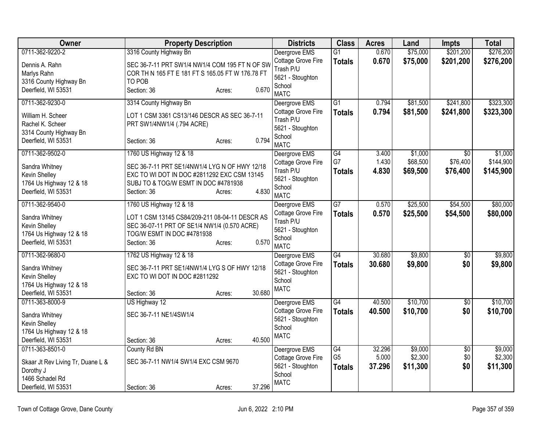| Owner                                                           | <b>Property Description</b>                                                                                  | <b>Districts</b>                                    | <b>Class</b>    | <b>Acres</b> | Land     | <b>Impts</b>           | <b>Total</b> |
|-----------------------------------------------------------------|--------------------------------------------------------------------------------------------------------------|-----------------------------------------------------|-----------------|--------------|----------|------------------------|--------------|
| 0711-362-9220-2                                                 | 3316 County Highway Bn                                                                                       | Deergrove EMS                                       | $\overline{G1}$ | 0.670        | \$75,000 | \$201,200              | \$276,200    |
| Dennis A. Rahn<br>Marlys Rahn<br>3316 County Highway Bn         | SEC 36-7-11 PRT SW1/4 NW1/4 COM 195 FT N OF SW<br>COR TH N 165 FT E 181 FT S 165.05 FT W 176.78 FT<br>TO POB | Cottage Grove Fire<br>Trash P/U<br>5621 - Stoughton | <b>Totals</b>   | 0.670        | \$75,000 | \$201,200              | \$276,200    |
| Deerfield, WI 53531                                             | 0.670<br>Section: 36<br>Acres:                                                                               | School<br><b>MATC</b>                               |                 |              |          |                        |              |
| 0711-362-9230-0                                                 | 3314 County Highway Bn                                                                                       | Deergrove EMS                                       | $\overline{G1}$ | 0.794        | \$81,500 | \$241,800              | \$323,300    |
| William H. Scheer<br>Rachel K. Scheer<br>3314 County Highway Bn | LOT 1 CSM 3361 CS13/146 DESCR AS SEC 36-7-11<br>PRT SW1/4NW1/4 (.794 ACRE)                                   | Cottage Grove Fire<br>Trash P/U<br>5621 - Stoughton | <b>Totals</b>   | 0.794        | \$81,500 | \$241,800              | \$323,300    |
| Deerfield, WI 53531                                             | 0.794<br>Section: 36<br>Acres:                                                                               | School<br><b>MATC</b>                               |                 |              |          |                        |              |
| 0711-362-9502-0                                                 | 1760 US Highway 12 & 18                                                                                      | Deergrove EMS                                       | G4              | 3.400        | \$1,000  | \$0                    | \$1,000      |
| Sandra Whitney                                                  | SEC 36-7-11 PRT SE1/4NW1/4 LYG N OF HWY 12/18                                                                | Cottage Grove Fire                                  | G7              | 1.430        | \$68,500 | \$76,400               | \$144,900    |
| Kevin Shelley                                                   | EXC TO WI DOT IN DOC #2811292 EXC CSM 13145                                                                  | Trash P/U                                           | <b>Totals</b>   | 4.830        | \$69,500 | \$76,400               | \$145,900    |
| 1764 Us Highway 12 & 18                                         | SUBJ TO & TOG/W ESMT IN DOC #4781938                                                                         | 5621 - Stoughton<br>School                          |                 |              |          |                        |              |
| Deerfield, WI 53531                                             | 4.830<br>Section: 36<br>Acres:                                                                               | <b>MATC</b>                                         |                 |              |          |                        |              |
| 0711-362-9540-0                                                 | 1760 US Highway 12 & 18                                                                                      | Deergrove EMS                                       | G7              | 0.570        | \$25,500 | \$54,500               | \$80,000     |
| Sandra Whitney                                                  | LOT 1 CSM 13145 CS84/209-211 08-04-11 DESCR AS                                                               | Cottage Grove Fire                                  | <b>Totals</b>   | 0.570        | \$25,500 | \$54,500               | \$80,000     |
| Kevin Shelley                                                   | SEC 36-07-11 PRT OF SE1/4 NW1/4 (0.570 ACRE)                                                                 | Trash P/U                                           |                 |              |          |                        |              |
| 1764 Us Highway 12 & 18                                         | TOG/W ESMT IN DOC #4781938                                                                                   | 5621 - Stoughton                                    |                 |              |          |                        |              |
| Deerfield, WI 53531                                             | 0.570<br>Section: 36<br>Acres:                                                                               | School<br><b>MATC</b>                               |                 |              |          |                        |              |
| 0711-362-9680-0                                                 | 1762 US Highway 12 & 18                                                                                      | Deergrove EMS                                       | $\overline{G4}$ | 30.680       | \$9,800  | $\overline{50}$        | \$9,800      |
| Sandra Whitney                                                  | SEC 36-7-11 PRT SE1/4NW1/4 LYG S OF HWY 12/18                                                                | Cottage Grove Fire                                  | <b>Totals</b>   | 30.680       | \$9,800  | \$0                    | \$9,800      |
| Kevin Shelley                                                   | EXC TO WI DOT IN DOC #2811292                                                                                | 5621 - Stoughton<br>School                          |                 |              |          |                        |              |
| 1764 Us Highway 12 & 18                                         |                                                                                                              | <b>MATC</b>                                         |                 |              |          |                        |              |
| Deerfield, WI 53531                                             | 30.680<br>Section: 36<br>Acres:                                                                              |                                                     |                 |              |          |                        |              |
| 0711-363-8000-9                                                 | US Highway 12                                                                                                | Deergrove EMS                                       | $\overline{G4}$ | 40.500       | \$10,700 | $\overline{50}$        | \$10,700     |
| Sandra Whitney                                                  | SEC 36-7-11 NE1/4SW1/4                                                                                       | Cottage Grove Fire<br>5621 - Stoughton              | <b>Totals</b>   | 40.500       | \$10,700 | \$0                    | \$10,700     |
| Kevin Shelley                                                   |                                                                                                              | School                                              |                 |              |          |                        |              |
| 1764 Us Highway 12 & 18                                         |                                                                                                              | <b>MATC</b>                                         |                 |              |          |                        |              |
| Deerfield, WI 53531<br>0711-363-8501-0                          | 40.500<br>Section: 36<br>Acres:                                                                              |                                                     | G4              | 32.296       | \$9,000  |                        | \$9,000      |
|                                                                 | County Rd BN                                                                                                 | Deergrove EMS<br>Cottage Grove Fire                 | G <sub>5</sub>  | 5.000        | \$2,300  | $\overline{50}$<br>\$0 | \$2,300      |
| Skaar Jt Rev Living Tr, Duane L &                               | SEC 36-7-11 NW1/4 SW1/4 EXC CSM 9670                                                                         | 5621 - Stoughton                                    | <b>Totals</b>   | 37.296       | \$11,300 | \$0                    | \$11,300     |
| Dorothy J                                                       |                                                                                                              | School                                              |                 |              |          |                        |              |
| 1466 Schadel Rd<br>Deerfield, WI 53531                          | 37.296<br>Section: 36<br>Acres:                                                                              | <b>MATC</b>                                         |                 |              |          |                        |              |
|                                                                 |                                                                                                              |                                                     |                 |              |          |                        |              |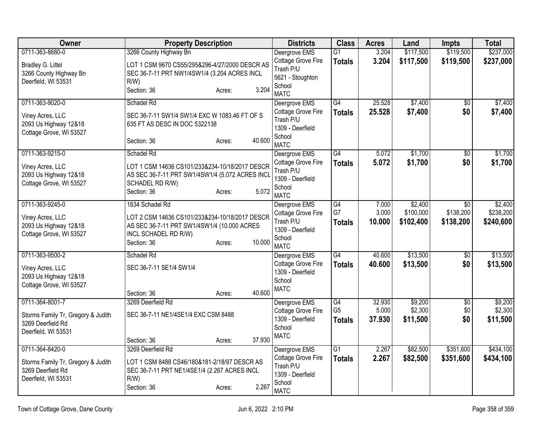| <b>Owner</b>                                            | <b>Property Description</b>                                                                  | <b>Districts</b>                       | <b>Class</b>         | <b>Acres</b>    | Land               | <b>Impts</b>           | <b>Total</b>       |
|---------------------------------------------------------|----------------------------------------------------------------------------------------------|----------------------------------------|----------------------|-----------------|--------------------|------------------------|--------------------|
| 0711-363-8680-0                                         | 3266 County Highway Bn                                                                       | Deergrove EMS                          | $\overline{G1}$      | 3.204           | \$117,500          | \$119,500              | \$237,000          |
| Bradley G. Littel                                       | LOT 1 CSM 9670 CS55/295&296-4/27/2000 DESCR AS                                               | Cottage Grove Fire<br>Trash P/U        | <b>Totals</b>        | 3.204           | \$117,500          | \$119,500              | \$237,000          |
| 3266 County Highway Bn                                  | SEC 36-7-11 PRT NW1/4SW1/4 (3.204 ACRES INCL                                                 | 5621 - Stoughton                       |                      |                 |                    |                        |                    |
| Deerfield, WI 53531                                     | R/W<br>3.204                                                                                 | School                                 |                      |                 |                    |                        |                    |
|                                                         | Section: 36<br>Acres:                                                                        | <b>MATC</b>                            |                      |                 |                    |                        |                    |
| 0711-363-9020-0                                         | Schadel Rd                                                                                   | Deergrove EMS                          | G4                   | 25.528          | \$7,400            | $\overline{30}$        | \$7,400            |
| Viney Acres, LLC                                        | SEC 36-7-11 SW1/4 SW1/4 EXC W 1083.46 FT OF S                                                | Cottage Grove Fire<br>Trash P/U        | <b>Totals</b>        | 25.528          | \$7,400            | \$0                    | \$7,400            |
| 2093 Us Highway 12&18                                   | 635 FT AS DESC IN DOC 5322138                                                                | 1309 - Deerfield                       |                      |                 |                    |                        |                    |
| Cottage Grove, WI 53527                                 |                                                                                              | School                                 |                      |                 |                    |                        |                    |
|                                                         | 40.600<br>Section: 36<br>Acres:                                                              | <b>MATC</b>                            |                      |                 |                    |                        |                    |
| 0711-363-9215-0                                         | Schadel Rd                                                                                   | Deergrove EMS                          | G4                   | 5.072           | \$1,700            | \$0                    | \$1,700            |
| Viney Acres, LLC                                        | LOT 1 CSM 14636 CS101/233&234-10/18/2017 DESCR                                               | Cottage Grove Fire                     | <b>Totals</b>        | 5.072           | \$1,700            | \$0                    | \$1,700            |
| 2093 Us Highway 12&18                                   | AS SEC 36-7-11 PRT SW1/4SW1/4 (5.072 ACRES INCL                                              | Trash P/U<br>1309 - Deerfield          |                      |                 |                    |                        |                    |
| Cottage Grove, WI 53527                                 | SCHADEL RD R/W)                                                                              | School                                 |                      |                 |                    |                        |                    |
|                                                         | 5.072<br>Section: 36<br>Acres:                                                               | <b>MATC</b>                            |                      |                 |                    |                        |                    |
| 0711-363-9245-0                                         | 1834 Schadel Rd                                                                              | Deergrove EMS                          | G4                   | 7.000           | \$2,400            | $\overline{50}$        | \$2,400            |
| Viney Acres, LLC                                        | LOT 2 CSM 14636 CS101/233&234-10/18/2017 DESCR                                               | Cottage Grove Fire                     | G7                   | 3.000           | \$100,000          | \$138,200              | \$238,200          |
| 2093 Us Highway 12&18                                   | AS SEC 36-7-11 PRT SW1/4SW1/4 (10.000 ACRES                                                  | Trash P/U                              | <b>Totals</b>        | 10.000          | \$102,400          | \$138,200              | \$240,600          |
| Cottage Grove, WI 53527                                 | INCL SCHADEL RD R/W)                                                                         | 1309 - Deerfield<br>School             |                      |                 |                    |                        |                    |
|                                                         | 10.000<br>Section: 36<br>Acres:                                                              | <b>MATC</b>                            |                      |                 |                    |                        |                    |
| 0711-363-9500-2                                         | Schadel Rd                                                                                   | Deergrove EMS                          | $\overline{G4}$      | 40.600          | \$13,500           | $\overline{50}$        | \$13,500           |
| Viney Acres, LLC                                        | SEC 36-7-11 SE1/4 SW1/4                                                                      | Cottage Grove Fire                     | <b>Totals</b>        | 40.600          | \$13,500           | \$0                    | \$13,500           |
| 2093 Us Highway 12&18                                   |                                                                                              | 1309 - Deerfield<br>School             |                      |                 |                    |                        |                    |
| Cottage Grove, WI 53527                                 |                                                                                              | <b>MATC</b>                            |                      |                 |                    |                        |                    |
|                                                         | 40.600<br>Section: 36<br>Acres:                                                              |                                        |                      |                 |                    |                        |                    |
| 0711-364-8001-7                                         | 3269 Deerfield Rd                                                                            | Deergrove EMS                          | G4<br>G <sub>5</sub> | 32.930<br>5.000 | \$9,200<br>\$2,300 | $\overline{50}$<br>\$0 | \$9,200<br>\$2,300 |
| Storms Family Tr, Gregory & Judith                      | SEC 36-7-11 NE1/4SE1/4 EXC CSM 8488                                                          | Cottage Grove Fire<br>1309 - Deerfield | <b>Totals</b>        | 37.930          | \$11,500           | \$0                    | \$11,500           |
| 3269 Deerfield Rd                                       |                                                                                              | School                                 |                      |                 |                    |                        |                    |
| Deerfield, WI 53531                                     | 37.930<br>Section: 36                                                                        | <b>MATC</b>                            |                      |                 |                    |                        |                    |
| 0711-364-8420-0                                         | Acres:<br>3269 Deerfield Rd                                                                  | Deergrove EMS                          | G1                   | 2.267           | \$82,500           | \$351,600              | \$434,100          |
|                                                         |                                                                                              | Cottage Grove Fire                     | <b>Totals</b>        | 2.267           | \$82,500           | \$351,600              | \$434,100          |
| Storms Family Tr, Gregory & Judith<br>3269 Deerfield Rd | LOT 1 CSM 8488 CS46/180&181-2/18/97 DESCR AS<br>SEC 36-7-11 PRT NE1/4SE1/4 (2.267 ACRES INCL | Trash P/U                              |                      |                 |                    |                        |                    |
| Deerfield, WI 53531                                     | R/W                                                                                          | 1309 - Deerfield                       |                      |                 |                    |                        |                    |
|                                                         | 2.267<br>Section: 36<br>Acres:                                                               | School                                 |                      |                 |                    |                        |                    |
|                                                         |                                                                                              | <b>MATC</b>                            |                      |                 |                    |                        |                    |